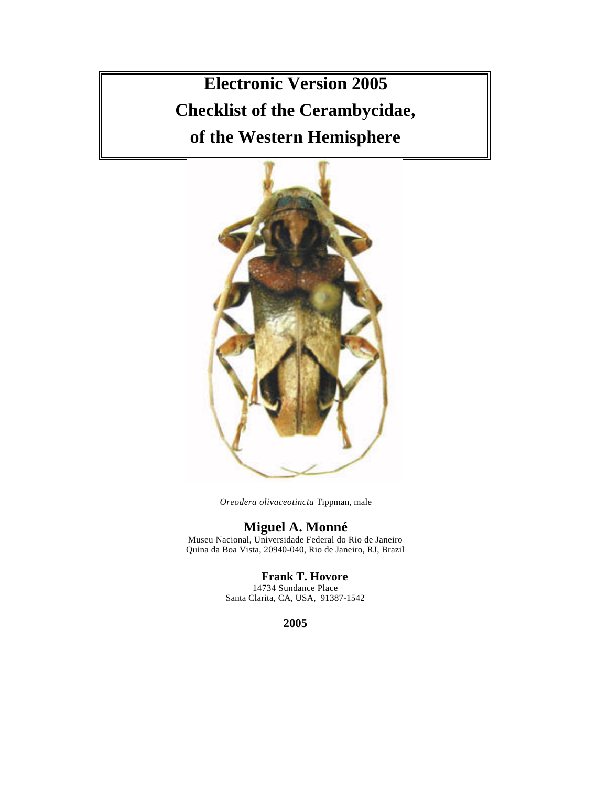**Electronic Version 2005 Checklist of the Cerambycidae, of the Western Hemisphere**



*Oreodera olivaceotincta* Tippman, male

# **Miguel A. Monné**

Museu Nacional, Universidade Federal do Rio de Janeiro Quina da Boa Vista, 20940-040, Rio de Janeiro, RJ, Brazil

# **Frank T. Hovore**

14734 Sundance Place Santa Clarita, CA, USA, 91387-1542

**2005**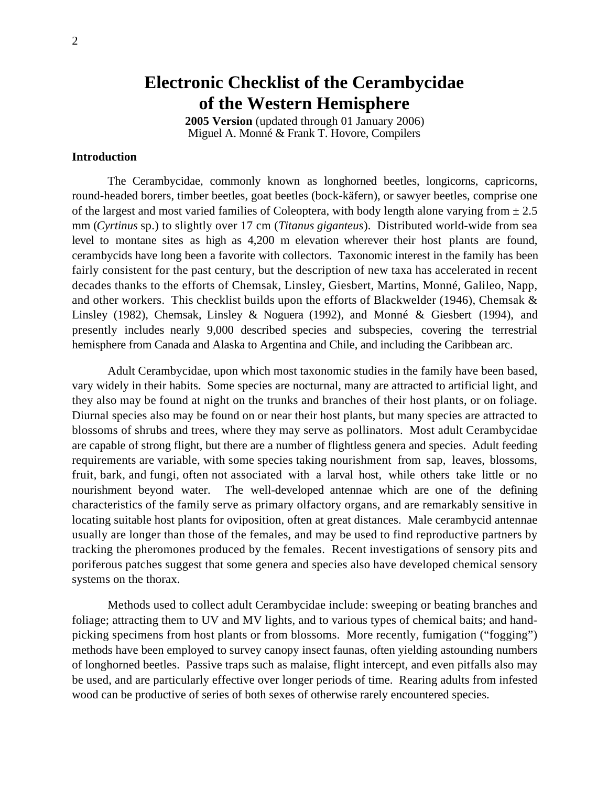# **Electronic Checklist of the Cerambycidae of the Western Hemisphere**

**2005 Version** (updated through 01 January 2006) Miguel A. Monné & Frank T. Hovore, Compilers

# **Introduction**

The Cerambycidae, commonly known as longhorned beetles, longicorns, capricorns, round-headed borers, timber beetles, goat beetles (bock-käfern), or sawyer beetles, comprise one of the largest and most varied families of Coleoptera, with body length alone varying from  $\pm 2.5$ mm (*Cyrtinus* sp.) to slightly over 17 cm (*Titanus giganteus*). Distributed world-wide from sea level to montane sites as high as 4,200 m elevation wherever their host plants are found, cerambycids have long been a favorite with collectors. Taxonomic interest in the family has been fairly consistent for the past century, but the description of new taxa has accelerated in recent decades thanks to the efforts of Chemsak, Linsley, Giesbert, Martins, Monné, Galileo, Napp, and other workers. This checklist builds upon the efforts of Blackwelder (1946), Chemsak & Linsley (1982), Chemsak, Linsley & Noguera (1992), and Monné & Giesbert (1994), and presently includes nearly 9,000 described species and subspecies, covering the terrestrial hemisphere from Canada and Alaska to Argentina and Chile, and including the Caribbean arc.

Adult Cerambycidae, upon which most taxonomic studies in the family have been based, vary widely in their habits. Some species are nocturnal, many are attracted to artificial light, and they also may be found at night on the trunks and branches of their host plants, or on foliage. Diurnal species also may be found on or near their host plants, but many species are attracted to blossoms of shrubs and trees, where they may serve as pollinators. Most adult Cerambycidae are capable of strong flight, but there are a number of flightless genera and species. Adult feeding requirements are variable, with some species taking nourishment from sap, leaves, blossoms, fruit, bark, and fungi, often not associated with a larval host, while others take little or no nourishment beyond water. The well-developed antennae which are one of the defining characteristics of the family serve as primary olfactory organs, and are remarkably sensitive in locating suitable host plants for oviposition, often at great distances. Male cerambycid antennae usually are longer than those of the females, and may be used to find reproductive partners by tracking the pheromones produced by the females. Recent investigations of sensory pits and poriferous patches suggest that some genera and species also have developed chemical sensory systems on the thorax.

Methods used to collect adult Cerambycidae include: sweeping or beating branches and foliage; attracting them to UV and MV lights, and to various types of chemical baits; and handpicking specimens from host plants or from blossoms. More recently, fumigation ("fogging") methods have been employed to survey canopy insect faunas, often yielding astounding numbers of longhorned beetles. Passive traps such as malaise, flight intercept, and even pitfalls also may be used, and are particularly effective over longer periods of time. Rearing adults from infested wood can be productive of series of both sexes of otherwise rarely encountered species.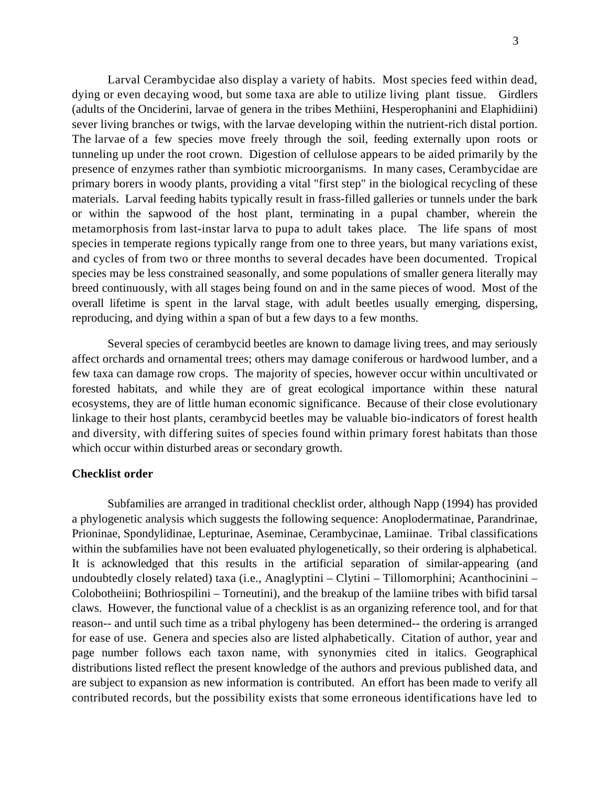Larval Cerambycidae also display a variety of habits. Most species feed within dead, dying or even decaying wood, but some taxa are able to utilize living plant tissue. Girdlers (adults of the Onciderini, larvae of genera in the tribes Methiini, Hesperophanini and Elaphidiini) sever living branches or twigs, with the larvae developing within the nutrient-rich distal portion. The larvae of a few species move freely through the soil, feeding externally upon roots or tunneling up under the root crown. Digestion of cellulose appears to be aided primarily by the presence of enzymes rather than symbiotic microorganisms. In many cases, Cerambycidae are primary borers in woody plants, providing a vital "first step" in the biological recycling of these materials. Larval feeding habits typically result in frass-filled galleries or tunnels under the bark or within the sapwood of the host plant, terminating in a pupal chamber, wherein the metamorphosis from last-instar larva to pupa to adult takes place. The life spans of most species in temperate regions typically range from one to three years, but many variations exist, and cycles of from two or three months to several decades have been documented. Tropical species may be less constrained seasonally, and some populations of smaller genera literally may breed continuously, with all stages being found on and in the same pieces of wood. Most of the overall lifetime is spent in the larval stage, with adult beetles usually emerging, dispersing, reproducing, and dying within a span of but a few days to a few months.

Several species of cerambycid beetles are known to damage living trees, and may seriously affect orchards and ornamental trees; others may damage coniferous or hardwood lumber, and a few taxa can damage row crops. The majority of species, however occur within uncultivated or forested habitats, and while they are of great ecological importance within these natural ecosystems, they are of little human economic significance. Because of their close evolutionary linkage to their host plants, cerambycid beetles may be valuable bio-indicators of forest health and diversity, with differing suites of species found within primary forest habitats than those which occur within disturbed areas or secondary growth.

# **Checklist order**

Subfamilies are arranged in traditional checklist order, although Napp (1994) has provided a phylogenetic analysis which suggests the following sequence: Anoplodermatinae, Parandrinae, Prioninae, Spondylidinae, Lepturinae, Aseminae, Cerambycinae, Lamiinae. Tribal classifications within the subfamilies have not been evaluated phylogenetically, so their ordering is alphabetical. It is acknowledged that this results in the artificial separation of similar-appearing (and undoubtedly closely related) taxa (i.e., Anaglyptini – Clytini – Tillomorphini; Acanthocinini – Colobotheiini; Bothriospilini – Torneutini), and the breakup of the lamiine tribes with bifid tarsal claws. However, the functional value of a checklist is as an organizing reference tool, and for that reason-- and until such time as a tribal phylogeny has been determined-- the ordering is arranged for ease of use. Genera and species also are listed alphabetically. Citation of author, year and page number follows each taxon name, with synonymies cited in italics. Geographical distributions listed reflect the present knowledge of the authors and previous published data, and are subject to expansion as new information is contributed. An effort has been made to verify all contributed records, but the possibility exists that some erroneous identifications have led to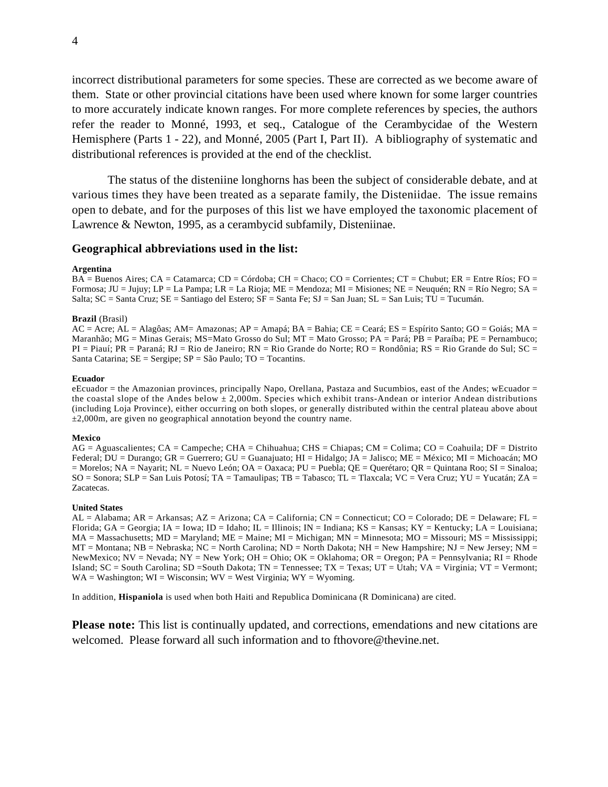incorrect distributional parameters for some species. These are corrected as we become aware of them. State or other provincial citations have been used where known for some larger countries to more accurately indicate known ranges. For more complete references by species, the authors refer the reader to Monné, 1993, et seq., Catalogue of the Cerambycidae of the Western Hemisphere (Parts 1 - 22), and Monné, 2005 (Part I, Part II). A bibliography of systematic and distributional references is provided at the end of the checklist.

The status of the disteniine longhorns has been the subject of considerable debate, and at various times they have been treated as a separate family, the Disteniidae. The issue remains open to debate, and for the purposes of this list we have employed the taxonomic placement of Lawrence & Newton, 1995, as a cerambycid subfamily, Disteniinae.

# **Geographical abbreviations used in the list:**

#### **Argentina**

BA = Buenos Aires; CA = Catamarca; CD = Córdoba; CH = Chaco; CO = Corrientes; CT = Chubut; ER = Entre Ríos; FO = Formosa; JU = Jujuy; LP = La Pampa; LR = La Rioja; ME = Mendoza; MI = Misiones; NE = Neuquén; RN = Río Negro; SA = Salta; SC = Santa Cruz; SE = Santiago del Estero; SF = Santa Fe; SJ = San Juan; SL = San Luis; TU = Tucumán.

#### **Brazil** (Brasil)

AC = Acre; AL = Alagôas; AM= Amazonas; AP = Amapá; BA = Bahia; CE = Ceará; ES = Espírito Santo; GO = Goiás; MA = Maranhão; MG = Minas Gerais; MS=Mato Grosso do Sul; MT = Mato Grosso; PA = Pará; PB = Paraíba; PE = Pernambuco; PI = Piauí; PR = Paraná; RJ = Rio de Janeiro; RN = Rio Grande do Norte; RO = Rondônia; RS = Rio Grande do Sul; SC = Santa Catarina; SE = Sergipe; SP = São Paulo; TO = Tocantins.

#### **Ecuador**

eEcuador = the Amazonian provinces, principally Napo, Orellana, Pastaza and Sucumbios, east of the Andes; wEcuador = the coastal slope of the Andes below  $\pm 2,000$ m. Species which exhibit trans-Andean or interior Andean distributions (including Loja Province), either occurring on both slopes, or generally distributed within the central plateau above about  $\pm$ 2,000m, are given no geographical annotation beyond the country name.

#### **Mexico**

AG = Aguascalientes; CA = Campeche; CHA = Chihuahua; CHS = Chiapas; CM = Colima; CO = Coahuila; DF = Distrito Federal; DU = Durango; GR = Guerrero; GU = Guanajuato; HI = Hidalgo; JA = Jalisco; ME = México; MI = Michoacán; MO = Morelos; NA = Nayarit; NL = Nuevo León; OA = Oaxaca; PU = Puebla; QE = Querétaro; QR = Quintana Roo; SI = Sinaloa;  $SO = Sonora$ ;  $SLP = San Luis Potosí$ ;  $TA = Tamaulipas$ ;  $TB = Tabasco$ ;  $TL = Tlaxcala$ ;  $VC = Vera Cruz$ ;  $YU = Yucatán$ ;  $ZA = Tlaxcala$ ;  $VQ = Ylax$ Zacatecas.

#### **United States**

AL = Alabama; AR = Arkansas; AZ = Arizona; CA = California; CN = Connecticut; CO = Colorado; DE = Delaware; FL = Florida; GA = Georgia; IA = Iowa; ID = Idaho; IL = Illinois; IN = Indiana; KS = Kansas; KY = Kentucky; LA = Louisiana;  $MA = Massachusetts$ ;  $MD = Maryland$ ;  $ME = Maine$ ;  $MI = Michigan$ ;  $MN = Minnesota$ ;  $MO = Missouri$ ;  $MS = Mississippi$ ;  $MT =$  Montana; NB = Nebraska; NC = North Carolina; ND = North Dakota; NH = New Hampshire; NJ = New Jersey; NM = NewMexico; NV = Nevada; NY = New York; OH = Ohio; OK = Oklahoma; OR = Oregon; PA = Pennsylvania; RI = Rhode Island; SC = South Carolina; SD =South Dakota; TN = Tennessee; TX = Texas; UT = Utah; VA = Virginia; VT = Vermont; WA = Washington; WI = Wisconsin; WV = West Virginia; WY = Wyoming.

In addition, **Hispaniola** is used when both Haiti and Republica Dominicana (R Dominicana) are cited.

**Please note:** This list is continually updated, and corrections, emendations and new citations are welcomed. Please forward all such information and to fthovore@thevine.net.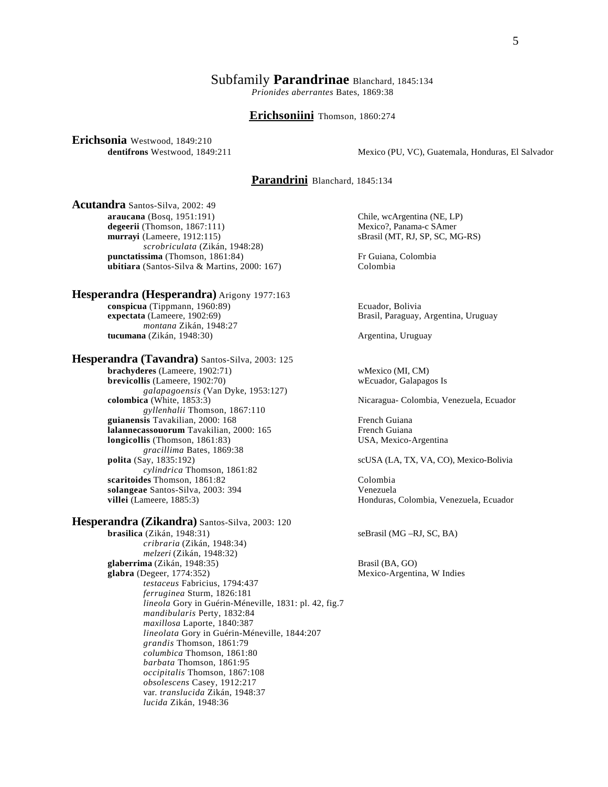### Subfamily **Parandrinae** Blanchard, 1845:134

*Prionides aberrantes* Bates, 1869:38

#### **Erichsoniini** Thomson, 1860:274

**Erichsonia** Westwood, 1849:210

**dentifrons** Westwood, 1849:211 Mexico (PU, VC), Guatemala, Honduras, El Salvador

# **Parandrini** Blanchard, 1845:134

**Acutandra** Santos-Silva, 2002: 49 **araucana** (Bosq, 1951:191) Chile, wcArgentina (NE, LP)<br> **degeerii** (Thomson, 1867:111) Mexico?, Panama-c SAmer degeerii (Thomson, 1867:111)<br>murravi (Lameere, 1912:115) *scrobriculata* (Zikán, 1948:28) **punctatissima** (Thomson, 1861:84) **F**r Guiana, Colombia **ubitiara** (Santos-Silva & Martins, 2000: 167) Colombia

#### **Hesperandra (Hesperandra)** Arigony 1977:163

**conspicua (Tippmann, 1960:89)** Ecuador, Bolivia **expectata (Lameere, 1902:69)** Brasil, Paraguay, *montana* Zikán, 1948:27 **tucumana** (Zikán, 1948:30) **Argentina, Uruguay Argentina**, Uruguay

**Hesperandra (Tavandra)** Santos-Silva, 2003: 125 **brachyderes** (Lameere, 1902:71) wMexico (MI, CM) **brevicollis** (Lameere, 1902:70) wEcuador, Galapagos Is *galapagoensis* (Van Dyke, 1953:127) *gyllenhalii* Thomson, 1867:110 **guianensis** Tavakilian, 2000: 168 French Guiana **lalannecassouorum** Tavakilian, 2000: 165 French Guiana **longicollis** (Thomson, 1861:83) USA, Mexico-Argentina *gracillima* Bates, 1869:38<br>**polita** (Say, 1835:192) *cylindrica* Thomson, 1861:82 **scaritoides** Thomson, 1861:82 Colombia **solangeae** Santos-Silva, 2003: 394 Venezuela **villei** (Lameere, 1885:3) **Honduras, Colombia, Venezuela, Ecuador Honduras**, Colombia, Venezuela, Ecuador

**Hesperandra (Zikandra)** Santos-Silva, 2003: 120 **brasilica** (Zikán, 1948:31) seBrasil (MG –RJ, SC, BA) *cribraria* (Zikán, 1948:34) *melzeri* (Zikán, 1948:32) **glaberrima** (Zikán, 1948:35) Brasil (BA, GO) **glabra** (Degeer, 1774:352) Mexico-Argentina, W Indies *testaceus* Fabricius, 1794:437 *ferruginea* Sturm, 1826:181 *lineola* Gory in Guérin-Méneville, 1831: pl. 42, fig.7 *mandibularis* Perty, 1832:84 *maxillosa* Laporte, 1840:387 *lineolata* Gory in Guérin-Méneville, 1844:207 *grandis* Thomson, 1861:79 *columbica* Thomson, 1861:80 *barbata* Thomson, 1861:95 *occipitalis* Thomson, 1867:108 *obsolescens* Casey, 1912:217 var. *translucida* Zikán, 1948:37 *lucida* Zikán, 1948:36

sBrasil (MT, RJ, SP, SC, MG-RS)

Brasil, Paraguay, Argentina, Uruguay

Nicaragua- Colombia, Venezuela, Ecuador

 $\text{scUSA}$  (LA, TX, VA, CO), Mexico-Bolivia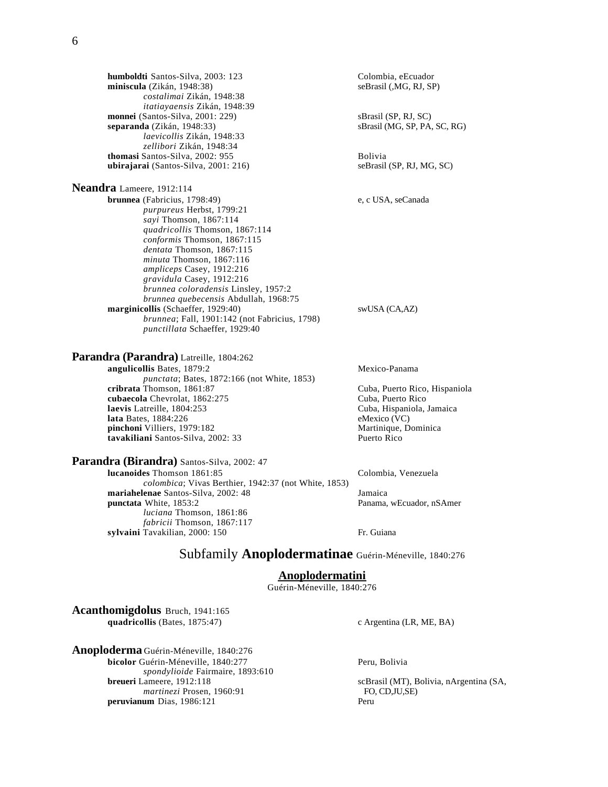**humboldti** Santos-Silva, 2003: 123 Colombia, eEcuador<br> **miniscula** (Zikán, 1948:38) SeBrasil (,MG, RJ, SP) **miniscula** (Zikán, 1948:38) *costalimai* Zikán, 1948:38 *itatiayaensis* Zikán, 1948:39 **monnei** (Santos-Silva, 2001: 229)<br> **separanda** (Zikán, 1948:33) sBrasil (MG, SP, PA, SC, RG) separanda (Zikán, 1948:33) *laevicollis* Zikán, 1948:33 *zellibori* Zikán, 1948:34 **thomasi** Santos-Silva, 2002: 955 **ubirajarai** (Santos-Silva, 2001: 216) seBrasil (SP, RJ, MG, SC)

#### **Neandra** Lameere, 1912:114

**brunnea** (Fabricius, 1798:49) e, c USA, seCanada *purpureus* Herbst, 1799:21 *sayi* Thomson, 1867:114 *quadricollis* Thomson, 1867:114 *conformis* Thomson, 1867:115 *dentata* Thomson, 1867:115 *minuta* Thomson, 1867:116 *ampliceps* Casey, 1912:216 *gravidula* Casey, 1912:216 *brunnea coloradensis* Linsley, 1957:2 *brunnea quebecensis* Abdullah, 1968:75 **marginicollis** (Schaeffer, 1929:40) swUSA (CA,AZ) *brunnea*; Fall, 1901:142 (not Fabricius, 1798) *punctillata* Schaeffer, 1929:40

#### **Parandra (Parandra)** Latreille, 1804:262

**Parandra (Birandra)** Santos-Silva, 2002: 47

*luciana* Thomson, 1861:86 *fabricii* Thomson, 1867:117

**angulicollis** Bates, 1879:2 Mexico-Panama *punctata*; Bates, 1872:166 (not White, 1853) **cubaecola** Chevrolat, 1862:275 Cuba, Puerto Rico<br> **cuba**, Hispaniola, Jamaica<br>
Cuba, Hispaniola, Jamaica **laevis** Latreille, 1804:253 Cuba, Hispaniola, Guba, Hispaniola, Jamaica, Jamaica, Jamaica, Jamaica, Jamaica, Jamaica, Jamaica, Jamaica, Jamaica, Jamaica, Jamaica, Jamaica, Jamaica, Jamaica, Jamaica, Jamaica, Jamaica, Jama **lata** Bates, 1884:226 **pinchoni** Villiers, 1979:182<br> **tavakiliani** Santos-Silva, 2002: 33 Martinique, Dominica<br>
Puerto Rico tavakiliani Santos-Silva, 2002: 33

Cuba, Puerto Rico, Hispaniola

**lucanoides** Thomson 1861:85 Colombia, Venezuela

**mariahelenae** Santos-Silva, 2002: 48 Jamaica **punctata** White, 1853:2 **Panama, wEcuador, nSAmer** 

**sylvaini** Tavakilian, 2000: 150 Fr. Guiana

# Subfamily **Anoplodermatinae** Guérin-Méneville, 1840:276

# **Anoplodermatini**

Guérin-Méneville, 1840:276

**Acanthomigdolus** Bruch, 1941:165 quadricollis (Bates, 1875:47) c Argentina (LR, ME, BA)

**Anoploderma** Guérin-Méneville, 1840:276 **bicolor** Guérin-Méneville, 1840:277 Peru, Bolivia *spondylioide* Fairmaire, 1893:610 **breueri** Lameere, 1912:118 scBrasil (MT), Bolivia, nArgentina (SA, *martinezi* Prosen, 1960:91 FO, CD,JU,SE)<br> **um** Dias. 1986:121 Peru **peruvianum** Dias, 1986:121

*colombica*; Vivas Berthier, 1942:37 (not White, 1853)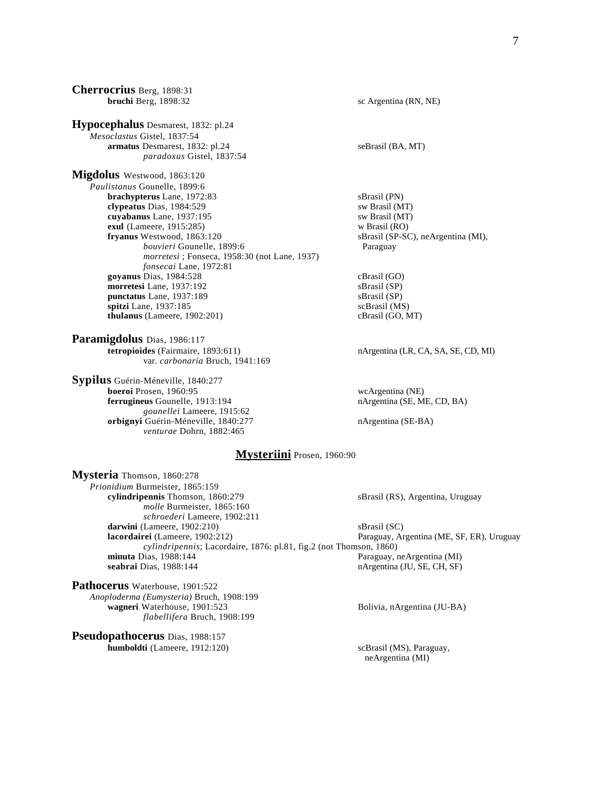**Cherrocrius** Berg, 1898:31 **bruchi** Berg, 1898:32 sc Argentina (RN, NE) **Hypocephalus** Desmarest, 1832: pl.24 *Mesoclastus* Gistel, 1837:54 **armatus** Desmarest, 1832: pl.24 seBrasil (BA, MT) *paradoxus* Gistel, 1837:54 **Migdolus** Westwood, 1863:120 *Paulistanus* Gounelle, 1899:6 **brachypterus** Lane, 1972:83 sBrasil (PN) **clypeatus** Dias, 1984:529 sw Brasil (MT) **cuyabanus** Lane, 1937:195 sw Brasil (MT) sw Brasil (MT) exul (Lameere, 1915:285) **exul** (Lameere, 1915:285)<br>**fryanus** Westwood, 1863:120 *bouvieri* Gounelle, 1899:6 Paraguay *morretesi* ; Fonseca, 1958:30 (not Lane, 1937) *fonsecai* Lane, 1972:81 **goyanus** Dias, 1984:528 cBrasil (GO)<br> **morretesi** Lane. 1937:192 sBrasil (SP) **morretesi** Lane, 1937:192 **punctatus** Lane, 1937:189 sBrasil (SP) **spitzi** Lane, 1937:185 scBrasil (MS)<br> **thulanus** (Lameere, 1902:201) cBrasil (GO, MT)  $thulanus$  (Lameere,  $1902:201$ ) **Paramigdolus** Dias, 1986:117 **tetropioides** (Fairmaire, 1893:611) nArgentina (LR, CA, SA, SE, CD, MI) var. *carbonaria* Bruch, 1941:169 **Sypilus** Guérin-Méneville, 1840:277

**boeroi** Prosen, 1960:95 wcArgentina (NE) **ferrugineus** Gounelle, 1913:194 nArgentina (SE, ME, CD, BA) *gounellei* Lameere, 1915:62 **orbignyi** Guérin-Méneville, 1840:277 nArgentina (SE-BA) *venturae* Dohrn, 1882:465

sBrasil (SP-SC), neArgentina (MI),

### **Mysteriini** Prosen, 1960:90

**Mysteria** Thomson, 1860:278 *Prionidium* Burmeister, 1865:159 **cylindripennis** Thomson, 1860:279 sBrasil (RS), Argentina, Uruguay *molle* Burmeister, 1865:160 *schroederi* Lameere, 1902:211 **darwini** (Lameere, 1902:210) sBrasil (SC) **lacordairei** (Lameere, 1902:212) Paraguay, Argentina (ME, SF, ER), Uruguay *cylindripennis*; Lacordaire, 1876: pl.81, fig.2 (not Thomson, 1860) **minuta** Dias, 1988:144 **Paraguay, neArgentina (MI) seabrai** Dias, 1988:144 **nArgentina (JU, SE, CH, SF)** 

**Pathocerus** Waterhouse, 1901:522 *Anoploderma (Eumysteria)* Bruch, 1908:199 **wagneri** Waterhouse, 1901:523 Bolivia, nArgentina (JU-BA) *flabellifera* Bruch, 1908:199

**Pseudopathocerus** Dias, 1988:157 **humboldti** (Lameere, 1912:120) scBrasil (MS), Paraguay,

neArgentina (MI)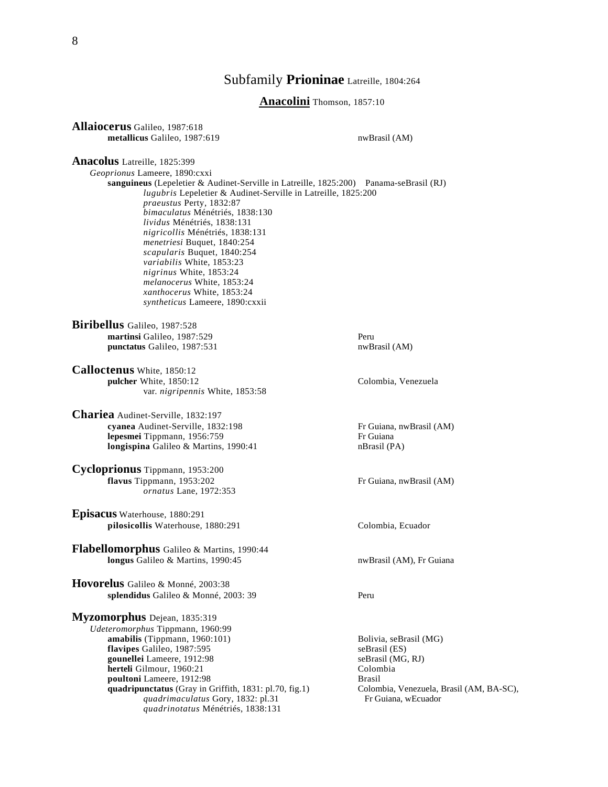# Subfamily **Prioninae** Latreille, 1804:264

**Anacolini** Thomson, 1857:10

**Allaiocerus** Galileo, 1987:618 **metallicus** Galileo, 1987:619 nwBrasil (AM)

#### **Anacolus** Latreille, 1825:399

*Geoprionus* Lameere, 1890:cxxi **sanguineus** (Lepeletier & Audinet-Serville in Latreille, 1825:200) Panama-seBrasil (RJ) *lugubris* Lepeletier & Audinet-Serville in Latreille, 1825:200 *praeustus* Perty, 1832:87 *bimaculatus* Ménétriés, 1838:130 *lividus* Ménétriés, 1838:131 *nigricollis* Ménétriés, 1838:131 *menetriesi* Buquet, 1840:254 *scapularis* Buquet, 1840:254 *variabilis* White, 1853:23 *nigrinus* White, 1853:24 *melanocerus* White, 1853:24 *xanthocerus* White, 1853:24 *syntheticus* Lameere, 1890:cxxii

**Biribellus** Galileo, 1987:528 **martinsi** Galileo, 1987:529 Peru punctatus Galileo, 1987:531

**Calloctenus** White, 1850:12 **pulcher** White, 1850:12 Colombia, Venezuela var. *nigripennis* White, 1853:58

**Chariea** Audinet-Serville, 1832:197 **cyanea** Audinet-Serville, 1832:198 Fr Guiana, nwBrasil (AM)<br> **lepesmei** Tippmann, 1956:759 Fr Guiana **lepesmei** Tippmann, 1956:759 **longispina** Galileo & Martins, 1990:41 nBrasil (PA)

**Cycloprionus** Tippmann, 1953:200 **flavus** Tippmann, 1953:202 Fr Guiana, nwBrasil (AM) *ornatus* Lane, 1972:353

**Episacus** Waterhouse, 1880:291 pilosicollis Waterhouse, 1880:291 Colombia, Ecuador

**Flabellomorphus** Galileo & Martins, 1990:44 **longus** Galileo & Martins, 1990:45 **nwBrasil (AM), Fr Guiana** 

**Hovorelus** Galileo & Monné, 2003:38 splendidus Galileo & Monné, 2003: 39 Peru

**Myzomorphus** Dejean, 1835:319

*Udeteromorphus* Tippmann, 1960:99 **amabilis** (Tippmann, 1960:101) Bolivia, seBrasil (MG) **flavipes** Galileo, 1987:595 seBrasil (ES)<br> **gounellei** Lameere, 1912:98 seBrasil (MG, RJ) gounellei Lameere, 1912:98 **herteli** Gilmour, 1960:21 Colombia **poultoni** Lameere, 1912:98<br> **poultoni** Lameere, 1912:98<br> **poultoni** Lameere, 1912:98<br> **poulting the Brasil** (AM, BA-SC),<br> **poulting the Brasil** (AM, BA-SC), **quadripunctatus** (Gray in Griffith, 1831: pl.70, fig.1) Colombia, Venezuela, I<br> *quadrimaculatus* Gory, 1832: pl.31 Fr Guiana, wEcuador quadrimaculatus Gory, 1832: pl.31 *quadrinotatus* Ménétriés, 1838:131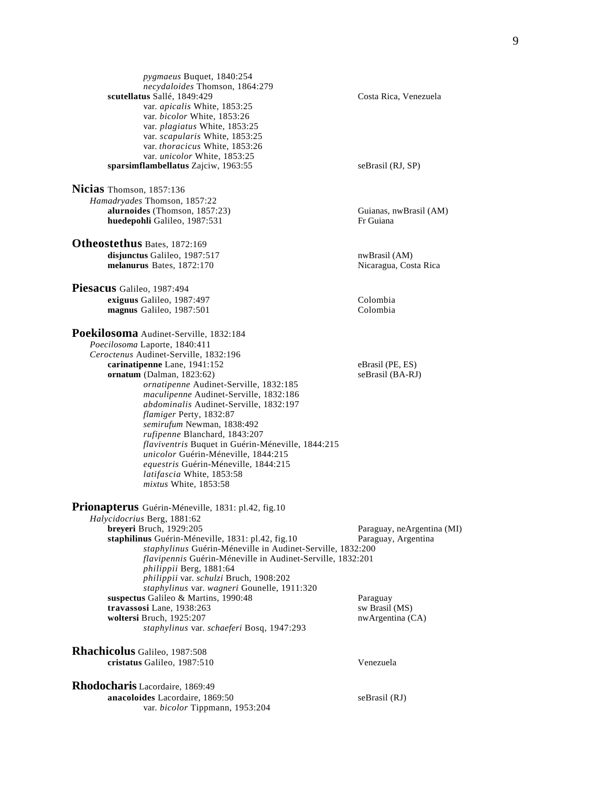*pygmaeus* Buquet, 1840:254 *necydaloides* Thomson, 1864:279 **scutellatus** Sallé, 1849:429 Costa Rica, Venezuela var. *apicalis* White, 1853:25 var. *bicolor* White, 1853:26 var. *plagiatus* White, 1853:25 var. *scapularis* White, 1853:25 var. *thoracicus* White, 1853:26 var. *unicolor* White, 1853:25 sparsimflambellatus Zajciw, 1963:55 seBrasil (RJ, SP) **Nicias** Thomson, 1857:136 *Hamadryades* Thomson, 1857:22 **alurnoides** (Thomson, 1857:23)<br> **alurnoides** (Thomson, 1857:23)<br> **huedepohli** Galileo. 1987:531 **huedepohli** Galileo, 1987:531 **Otheostethus** Bates, 1872:169 disjunctus Galileo, 1987:517 nwBrasil (AM) **melanurus** Bates, 1872:170 Nicaragua, Costa Rica **Piesacus** Galileo, 1987:494 **exiguus** Galileo, 1987:497 Colombia<br> **1988** Colombia<br>
Colombia magnus Galileo, 1987:501 **Poekilosoma** Audinet-Serville, 1832:184 *Poecilosoma* Laporte, 1840:411 *Ceroctenus* Audinet-Serville, 1832:196 **carinatipenne** Lane, 1941:152 eBrasil (PE, ES) **ornatum** (Dalman, 1823:62) seBrasil (BA-RJ) *ornatipenne* Audinet-Serville, 1832:185 *maculipenne* Audinet-Serville, 1832:186 *abdominalis* Audinet-Serville, 1832:197 *flamiger* Perty, 1832:87 *semirufum* Newman, 1838:492 *rufipenne* Blanchard, 1843:207 *flaviventris* Buquet in Guérin-Méneville, 1844:215 *unicolor* Guérin-Méneville, 1844:215 *equestris* Guérin-Méneville, 1844:215 *latifascia* White, 1853:58 *mixtus* White, 1853:58 **Prionapterus** Guérin-Méneville, 1831: pl.42, fig.10 *Halycidocrius* Berg, 1881:62 Paraguay, neArgentina (MI) **staphilinus** Guérin-Méneville, 1831: pl.42, fig.10 Paraguay, Argentina *staphylinus* Guérin-Méneville in Audinet-Serville, 1832:200 *flavipennis* Guérin-Méneville in Audinet-Serville, 1832:201 *philippii* Berg, 1881:64 *philippii* var. *schulzi* Bruch, 1908:202 *staphylinus* var. *wagneri* Gounelle, 1911:320 **suspectus** Galileo & Martins, 1990:48 Paraguay **travassosi** Lane, 1938:263 sw Brasil (MS)<br> **woltersi** Bruch, 1925:207 nwArgentina (CA) **woltersi Bruch, 1925:207** *staphylinus* var. *schaeferi* Bosq, 1947:293 **Rhachicolus** Galileo, 1987:508 **cristatus** Galileo, 1987:510 Venezuela **Rhodocharis** Lacordaire, 1869:49 **anacoloides** Lacordaire, 1869:50 seBrasil (RJ) var. *bicolor* Tippmann, 1953:204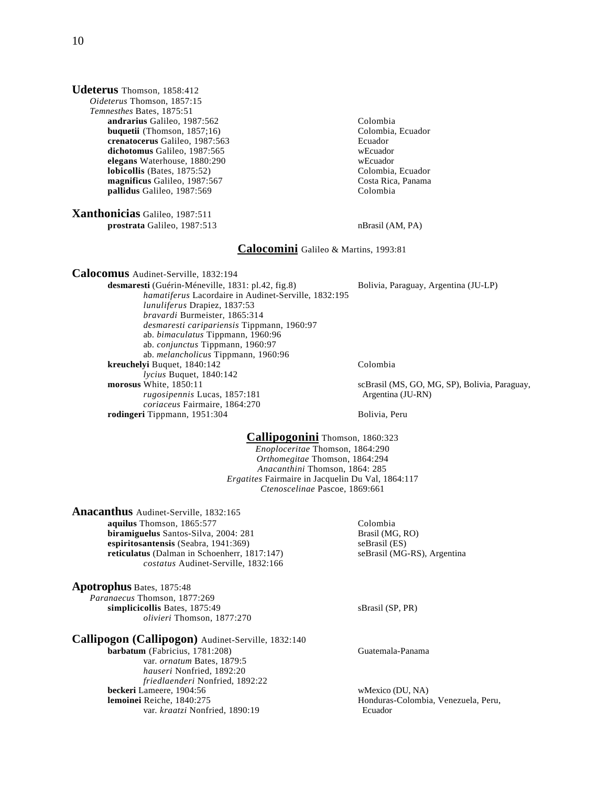**Udeterus** Thomson, 1858:412 *Oideterus* Thomson, 1857:15 *Temnesthes* Bates, 1875:51 **andrarius** Galileo, 1987:562<br> **buquetii** (Thomson, 1857;16) Colombia, Ecuador **buquetii** (Thomson,  $1857;16$ ) **crenatocerus** Galileo, 1987:563 Ecuador<br> **dichotomus** Galileo, 1987:565 WEcuador **dichotomus** Galileo, 1987:565<br> **elegans** Waterhouse, 1880:290<br>
wEcuador **elegans** Waterhouse, 1880:290 **wEcuador** website website website website website website website website website website website website website website website website website website website website website website webs  $\overline{\text{lobicolis}}$  (Bates, 1875:52) **magnificus** Galileo, 1987:567 Costa Rica, Panama **pallidus** Galileo, 1987:569 Colombia **Xanthonicias** Galileo, 1987:511 **prostrata** Galileo, 1987:513 nBrasil (AM, PA) **Calocomini** Galileo & Martins, 1993:81 **Calocomus** Audinet-Serville, 1832:194 **desmaresti** (Guérin-Méneville, 1831: pl.42, fig.8) Bolivia, Paraguay, Argentina (JU-LP) *hamatiferus* Lacordaire in Audinet-Serville, 1832:195 *lunuliferus* Drapiez, 1837:53 *bravardi* Burmeister, 1865:314 *desmaresti caripariensis* Tippmann, 1960:97 ab. *bimaculatus* Tippmann, 1960:96 ab. *conjunctus* Tippmann, 1960:97 ab. *melancholicus* Tippmann, 1960:96 **kreuchelyi** Buquet, 1840:142 Colombia *lycius* Buquet, 1840:142 **morosus White, 1850:11** scBrasil (MS, GO, MG, SP), Bolivia, Paraguay, rugosipennis Lucas, 1857:181 scBrasil (MS, GO, MG, SP), Bolivia, Paraguay, *rugosipennis* Lucas, 1857:181 *coriaceus* Fairmaire, 1864:270 **rodingeri** Tippmann, 1951:304 Bolivia, Peru **Callipogonini** Thomson, 1860:323 *Enoploceritae* Thomson, 1864:290 *Orthomegitae* Thomson, 1864:294 *Anacanthini* Thomson, 1864: 285 *Ergatites* Fairmaire in Jacquelin Du Val, 1864:117 *Ctenoscelinae* Pascoe, 1869:661 **Anacanthus** Audinet-Serville, 1832:165 **aquilus** Thomson, 1865:577<br> **biramiguelus** Santos-Silva, 2004: 281 **Colombia**<br> **Biramiguelus** Santos-Silva, 2004: 281 **Colombia biramiguelus** Santos-Silva, 2004: 281 **espiritosantensis** (Seabra, 1941:369) seBrasil (ES) **reticulatus** (Dalman in Schoenherr, 1817:147) seBrasil (MG-RS), Argentina *costatus* Audinet-Serville, 1832:166 **Apotrophus** Bates, 1875:48 *Paranaecus* Thomson, 1877:269 simplicicollis Bates, 1875:49 sBrasil (SP, PR)

*olivieri* Thomson, 1877:270 **Callipogon (Callipogon)** Audinet-Serville, 1832:140

**barbatum** (Fabricius, 1781:208) Guatemala-Panama var. *ornatum* Bates, 1879:5 *hauseri* Nonfried, 1892:20 *friedlaenderi* Nonfried, 1892:22 **beckeri** Lameere, 1904:56 **wMexico (DU, NA)**<br> **lemoinei Re**iche, 1840:275 **wMexico (DU, NA)**<br> **Honduras-Colombia** var. *kraatzi* Nonfried, 1890:19 Ecuador

Honduras-Colombia, Venezuela, Peru,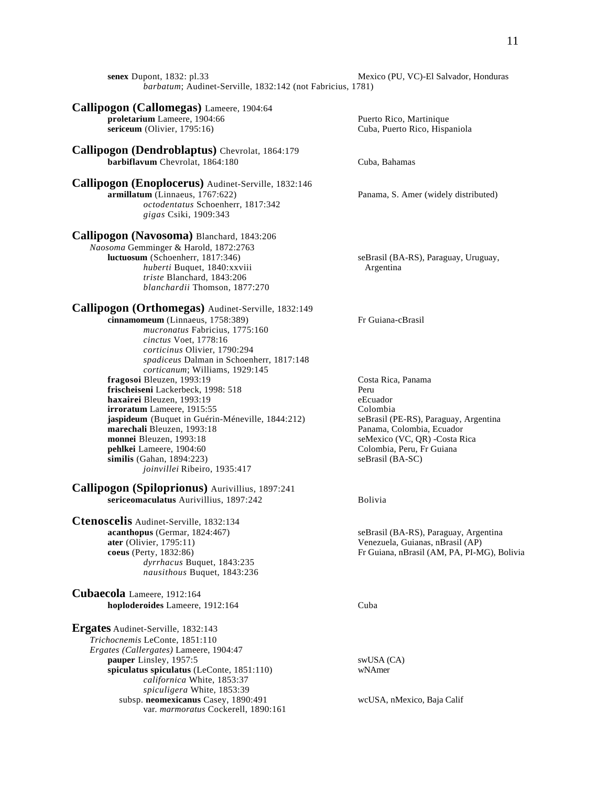**senex** Dupont, 1832: pl.33 Mexico (PU, VC)-El Salvador, Honduras *barbatum*; Audinet-Serville, 1832:142 (not Fabricius, 1781)

#### **Callipogon (Callomegas)** Lameere, 1904:64 **proletarium** Lameere, 1904:66 Puerto Rico, Martinique **sericeum** (Olivier, 1795:16) Cuba, Puerto Rico, Hispaniola

**Callipogon (Dendroblaptus)** Chevrolat, 1864:179 **barbiflavum** Chevrolat, 1864:180 Cuba, Bahamas

**Callipogon (Enoplocerus)** Audinet-Serville, 1832:146 *octodentatus* Schoenherr, 1817:342 *gigas* Csiki, 1909:343

# **Callipogon (Navosoma)** Blanchard, 1843:206

*Naosoma* Gemminger & Harold, 1872:2763 *huberti* Buquet, 1840:xxviii Argentina *triste* Blanchard, 1843:206 *blanchardii* Thomson, 1877:270

## **Callipogon (Orthomegas)** Audinet-Serville, 1832:149

**cinnamomeum** (Linnaeus, 1758:389) Fr Guiana-cBrasil *mucronatus* Fabricius, 1775:160 *cinctus* Voet, 1778:16 *corticinus* Olivier, 1790:294 *spadiceus* Dalman in Schoenherr, 1817:148 *corticanum*; Williams, 1929:145 **fragosoi** Bleuzen, 1993:19 Costa Rica, Panama **frischeiseni** Lackerbeck, 1998: 518<br> **haxairei** Bleuzen. 1993:19<br>
eEcuador **haxairei** Bleuzen, 1993:19<br> **irroratum** Lameere. 1915:55<br>
Colombia **irroratum** Lameere, 1915:55 **jaspideum** (Buquet in Guérin-Méneville, 1844:212) seBrasil (PE-RS), Paraguay, Argentina **marechali** Bleuzen, 1993:18 Panama, Colombia, Ecuador **monnei** Bleuzen, 1993:18 seMexico (VC, QR) -Costa Rica **pehlkei** Lameere, 1904:60 Colombia, Peru, Fr Guiana<br> **similis** (Gahan, 1894:223) SeBrasil (BA-SC) similis (Gahan, 1894:223) *joinvillei* Ribeiro, 1935:417

**Callipogon (Spiloprionus)** Aurivillius, 1897:241 sericeomaculatus Aurivillius, 1897:242 Bolivia

**Ctenoscelis** Audinet-Serville, 1832:134 **acanthopus** (Germar, 1824:467) seBrasil (BA-RS), Paraguay, Argentina **ater** (Olivier, 1795:11) Venezuela, Guianas, nBrasil (AP) *dyrrhacus* Buquet, 1843:235 *nausithous* Buquet, 1843:236

**Cubaecola** Lameere, 1912:164 **hoploderoides** Lameere, 1912:164 Cuba

**Ergates** Audinet-Serville, 1832:143 *Trichocnemis* LeConte, 1851:110 *Ergates (Callergates)* Lameere, 1904:47 **pauper** Linsley, 1957:5 swUSA (CA) **spiculatus spiculatus** (LeConte, 1851:110) wNAmer *californica* White, 1853:37 *spiculigera* White, 1853:39 subsp. **neomexicanus** Casey, 1890:491 wcUSA, nMexico, Baja Calif var. *marmoratus* Cockerell, 1890:161

Panama, S. Amer (widely distributed)

seBrasil (BA-RS), Paraguay, Uruguay,

**coeus** (Perty, 1832:86) Fr Guiana, nBrasil (AM, PA, PI-MG), Bolivia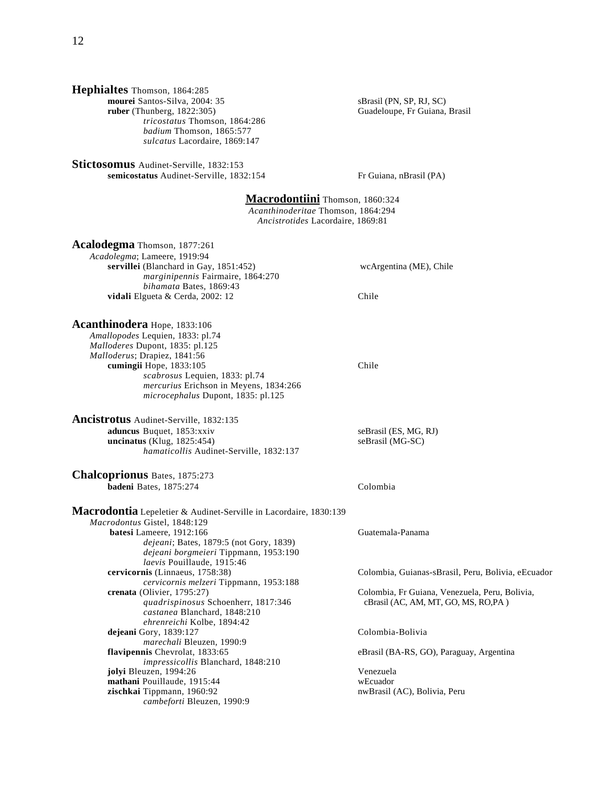# **Hephialtes** Thomson, 1864:285

**mourei** Santos-Silva, 2004: 35 SBrasil (PN, SP, RJ, SC)<br> **ruber** (Thunberg, 1822:305) Guadeloupe, Fr Guiana, *tricostatus* Thomson, 1864:286 *badium* Thomson, 1865:577 *sulcatus* Lacordaire, 1869:147

**Stictosomus** Audinet-Serville, 1832:153 **semicostatus** Audinet-Serville, 1832:154 Fr Guiana, nBrasil (PA)

Guadeloupe, Fr Guiana, Brasil

# **Macrodontiini** Thomson, 1860:324

*Acanthinoderitae* Thomson, 1864:294 *Ancistrotides* Lacordaire, 1869:81

**Acalodegma** Thomson, 1877:261

*Acadolegma*; Lameere, 1919:94 **servillei** (Blanchard in Gay, 1851:452) wcArgentina (ME), Chile *marginipennis* Fairmaire, 1864:270 *bihamata* Bates, 1869:43 **vidali** Elgueta & Cerda, 2002: 12 Chile

## **Acanthinodera** Hope, 1833:106

*Amallopodes* Lequien, 1833: pl.74 *Malloderes* Dupont, 1835: pl.125 *Malloderus*; Drapiez, 1841:56 **cumingii** Hope, 1833:105 Chile *scabrosus* Lequien, 1833: pl.74 *mercurius* Erichson in Meyens, 1834:266 *microcephalus* Dupont, 1835: pl.125

#### **Ancistrotus** Audinet-Serville, 1832:135 **aduncus** Buquet, 1853:xxiv seBrasil (ES, MG, RJ)<br> **ancinatus** (Klug, 1825:454) seBrasil (MG-SC)  $uncinatus$  (Klug,  $1825:454$ ) *hamaticollis* Audinet-Serville, 1832:137

**Chalcoprionus** Bates, 1875:273 **badeni** Bates, 1875:274 Colombia

**Macrodontia** Lepeletier & Audinet-Serville in Lacordaire, 1830:139 *Macrodontus* Gistel, 1848:129 **batesi** Lameere, 1912:166 Guatemala-Panama *dejeani*; Bates, 1879:5 (not Gory, 1839) *dejeani borgmeieri* Tippmann, 1953:190 *laevis* Pouillaude, 1915:46<br>cervicornis (Linnaeus, 1758:38) *cervicornis melzeri* Tippmann, 1953:188 **crenata** (Olivier, 1795:27) Colombia, Fr Guiana, Venezuela, Peru, Bolivia, *quadrispinosus* Schoenherr, 1817:346 cBrasil (AC, AM, MT, GO, MS, RO,PA ) *castanea* Blanchard, 1848:210 *ehrenreichi* Kolbe, 1894:42 **dejeani** Gory, 1839:127 Colombia-Bolivia *marechali* Bleuzen, 1990:9 **flavipennis** Chevrolat, 1833:65 eBrasil (BA-RS, GO), Paraguay, Argentina *impressicollis* Blanchard, 1848:210 **jolyi** Bleuzen, 1994:26 Venezuela **mathani** Pouillaude, 1915:44 wEcuador **zischkai** Tippmann, 1960:92 nwBrasil (AC), Bolivia, Peru *cambeforti* Bleuzen, 1990:9

Colombia, Guianas-sBrasil, Peru, Bolivia, eEcuador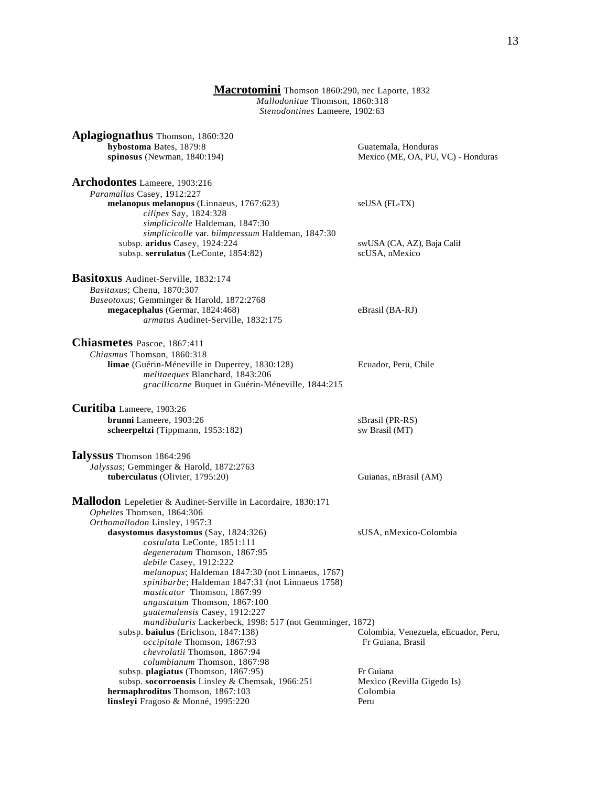#### **Macrotomini** Thomson 1860:290, nec Laporte, 1832 *Mallodonitae* Thomson, 1860:318 *Stenodontines* Lameere, 1902:63

**Aplagiognathus** Thomson, 1860:320 **hybostoma** Bates, 1879:8 Guatemala, Honduras

**Archodontes** Lameere, 1903:216 *Paramallus* Casey, 1912:227 **melanopus melanopus** (Linnaeus, 1767:623) seUSA (FL-TX) *cilipes* Say, 1824:328 *simplicicolle* Haldeman, 1847:30 *simplicicolle* var. *biimpressum* Haldeman, 1847:30 subsp. **aridus** Casey, 1924:224 swUSA (CA, AZ), Baja Calif subsp. **serrulatus** (LeConte, 1854:82) scUSA, nMexico

**Basitoxus** Audinet-Serville, 1832:174 *Basitaxus*; Chenu, 1870:307 *Baseotoxus*; Gemminger & Harold, 1872:2768 **megacephalus** (Germar, 1824:468) eBrasil (BA-RJ) *armatus* Audinet-Serville, 1832:175

**Chiasmetes** Pascoe, 1867:411 *Chiasmus* Thomson, 1860:318 **limae** (Guérin-Méneville in Duperrey, 1830:128) Ecuador, Peru, Chile *melitaeques* Blanchard, 1843:206 *gracilicorne* Buquet in Guérin-Méneville, 1844:215

**Curitiba** Lameere, 1903:26 **brunni** Lameere, 1903:26 sBrasil (PR-RS) **scheerpeltzi** (Tippmann, 1953:182) sw Brasil (MT)

**Ialyssus** Thomson 1864:296 *Jalyssus*; Gemminger & Harold, 1872:2763 **tuberculatus** (Olivier, 1795:20) Guianas, nBrasil (AM)

**Mallodon** Lepeletier & Audinet-Serville in Lacordaire, 1830:171 *Opheltes* Thomson, 1864:306 *Orthomallodon* Linsley, 1957:3 dasystomus dasystomus (Say, 1824:326) sUSA, nMexico-Colombia *costulata* LeConte, 1851:111 *degeneratum* Thomson, 1867:95 *debile* Casey, 1912:222 *melanopus*; Haldeman 1847:30 (not Linnaeus, 1767) *spinibarbe*; Haldeman 1847:31 (not Linnaeus 1758) *masticator* Thomson, 1867:99 *angustatum* Thomson, 1867:100 *guatemalensis* Casey, 1912:227 *mandibularis* Lackerbeck, 1998: 517 (not Gemminger, 1872) subsp. **baiulus** (Erichson, 1847:138) Colombia, Venezuela, eEcuador, Peru, *occipitale* Thomson, 1867:93 Fr Guiana, Brasil *chevrolatii* Thomson, 1867:94 *columbianum* Thomson, 1867:98 subsp. **plagiatus** (Thomson, 1867:95) Fr Guiana subsp. **socorroensis** Linsley & Chemsak, 1966:251 Mexico (Revilla Gigedo Is) **hermaphroditus** Thomson, 1867:103 Colombia **linsleyi** Fragoso & Monné, 1995:220 Peru

**spinosus** (Newman, 1840:194) Mexico (ME, OA, PU, VC) - Honduras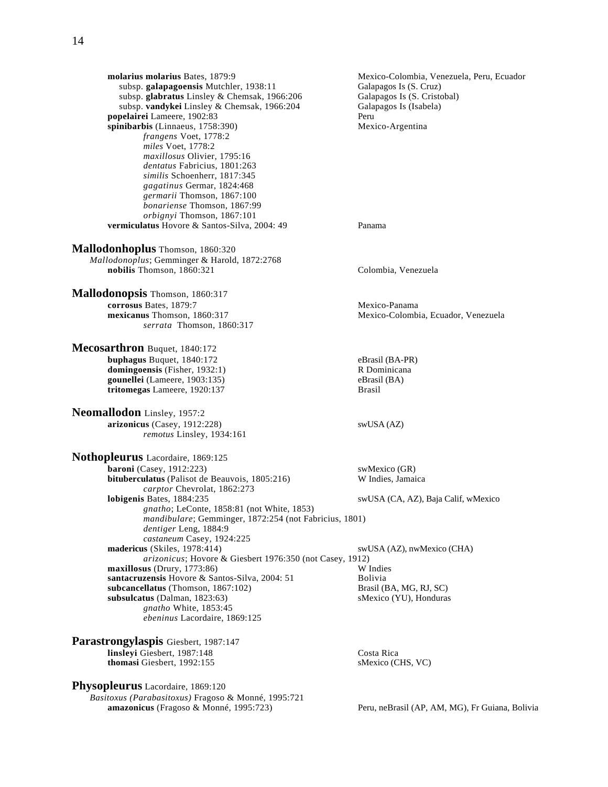**molarius molarius** Bates, 1879:9 Mexico-Colombia, Venezuela, Peru, Ecuador subsp. **galapagoensis** Mutchler, 1938:11 Galapagos Is (S. Cruz) subsp. galapagoensis Mutchler, 1938:11 subsp. glabratus Linsley & Chemsak, 1966:206 Galapagos Is (S. Cristobal) subsp. **vandykei** Linsley & Chemsak, 1966:204 Galapagos Is (Isabela)<br> **pelairei** Lameere. 1902:83 Peru **popelairei** Lameere, 1902:83<br> **popelairei** Linnaeus, 1758:390)<br>
Mexico-Argentina spinibarbis (Linnaeus, 1758:390) *frangens* Voet, 1778:2 *miles* Voet, 1778:2 *maxillosus* Olivier, 1795:16 *dentatus* Fabricius, 1801:263 *similis* Schoenherr, 1817:345 *gagatinus* Germar, 1824:468 *germarii* Thomson, 1867:100 *bonariense* Thomson, 1867:99 *orbignyi* Thomson, 1867:101 **vermiculatus** Hovore & Santos-Silva, 2004: 49 Panama **Mallodonhoplus** Thomson, 1860:320 *Mallodonoplus*; Gemminger & Harold, 1872:2768 **nobilis** Thomson, 1860:321 Colombia, Venezuela **Mallodonopsis** Thomson, 1860:317 **corrosus** Bates, 1879:7 Mexico-Panama **mexicanus** Thomson, 1860:317 Mexico-Colombia, Ecuador, Venezuela *serrata* Thomson, 1860:317 **Mecosarthron** Buquet, 1840:172 **buphagus** Buquet, 1840:172 eBrasil (BA-PR) **domingoensis** (Fisher, 1932:1) R Dominicana **gounellei** (Lameere, 1903:135) eBrasil (BA) **tritomegas** Lameere, 1920:137 Brasil **Neomallodon** Linsley, 1957:2 **arizonicus** (Casey, 1912:228) swUSA (AZ) *remotus* Linsley, 1934:161 **Nothopleurus** Lacordaire, 1869:125 **baroni** (Casey, 1912:223) swMexico (GR) **bituberculatus** (Palisot de Beauvois, 1805:216) W Indies, Jamaica *carptor* Chevrolat, 1862:273 **lobigenis** Bates, 1884:235 swUSA (CA, AZ), Baja Calif, wMexico *gnatho*; LeConte, 1858:81 (not White, 1853) *mandibulare*; Gemminger, 1872:254 (not Fabricius, 1801) *dentiger* Leng, 1884:9 *castaneum* Casey, 1924:225<br>madericus (Skiles, 1978:414) *arizonicus*; Hovore & Giesbert 1976:350 (not Casey, 1912) **maxillosus** (Drury, 1773:86) W Indies<br> **santacruzensis** Hovore & Santos-Silva, 2004: 51 Rolivia santacruzensis Hovore & Santos-Silva, 2004: 51 **subcancellatus** (Thomson, 1867:102) Brasil (BA, MG, RJ, SC) **subsulcatus** (Dalman, 1823:63) sMexico (YU), Honduras *gnatho* White, 1853:45 *ebeninus* Lacordaire, 1869:125 **Parastrongylaspis** Giesbert, 1987:147

**linsleyi** Giesbert, 1987:148 Costa Rica<br> **costa Rica**<br> **costa Rica**<br> **costa Rica**<br> **costa Rica**<br> **costa Rica**<br> **costa Rica thomasi** Giesbert, 1992:155

**Physopleurus** Lacordaire, 1869:120

*Basitoxus (Parabasitoxus)* Fragoso & Monné, 1995:721 **amazonicus** (Fragoso & Monné, 1995:723) Peru, neBrasil (AP, AM, MG), Fr Guiana, Bolivia

swUSA (AZ), nwMexico (CHA)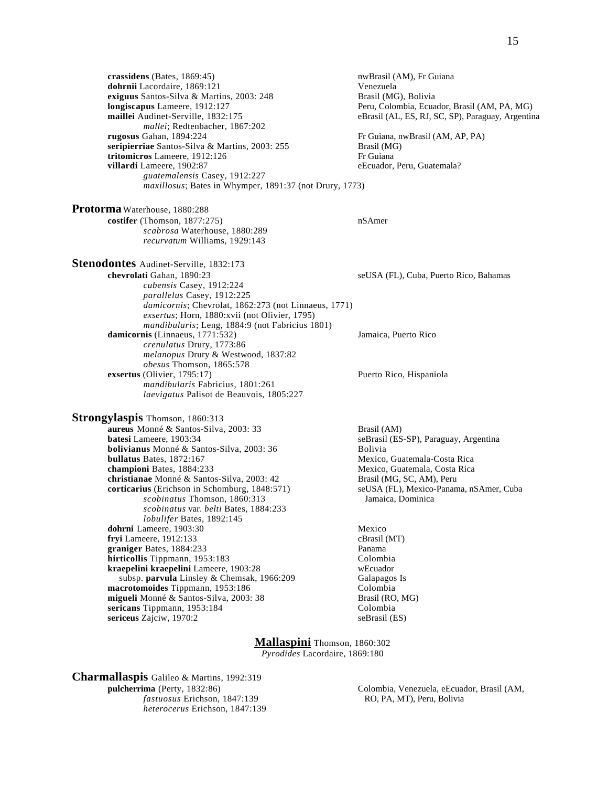**dohrnii** Lacordaire, 1869:121 Venezuela **exiguus** Santos-Silva & Martins, 2003: 248 Brasil (MG), Bolivia **longiscapus** Lameere, 1912:127 **Peru, Colombia, Ecuador, Brasil (AM, PA, MG)**<br> **maillei** Audinet-Serville, 1832:175 **Parasil (AL, ES, RJ, SC, SP, Paraguay, Argentin** eBrasil (AL, ES, RJ, SC, SP), Paraguay, Argentina *mallei*; Redtenbacher, 1867:202 **rugosus** Gahan, 1894:224 **Fr** Guiana, nwBrasil (AM, AP, PA) **seripierriae** Santos-Silva & Martins, 2003: 255 Brasil (MG) **tritomicros** Lameere, 1912:126 Fr Guiana **villardi** Lameere, 1902:87 eEcuador, Peru, Guatemala? *guatemalensis* Casey, 1912:227 *maxillosus*; Bates in Whymper, 1891:37 (not Drury, 1773) **Protorma** Waterhouse, 1880:288 **costifer** (Thomson, 1877:275) nSAmer *scabrosa* Waterhouse, 1880:289 *recurvatum* Williams, 1929:143 **Stenodontes** Audinet-Serville, 1832:173 **chevrolati** Gahan, 1890:23 seUSA (FL), Cuba, Puerto Rico, Bahamas *cubensis* Casey, 1912:224 *parallelus* Casey, 1912:225 *damicornis*; Chevrolat, 1862:273 (not Linnaeus, 1771) *exsertus*; Horn, 1880:xvii (not Olivier, 1795) *mandibularis*; Leng, 1884:9 (not Fabricius 1801) **damicornis** (Linnaeus, 1771:532) *Jamaica, Puerto Rico crenulatus* Drury, 1773:86 *melanopus* Drury & Westwood, 1837:82 *obesus* Thomson, 1865:578 **exsertus** (Olivier, 1795:17) Puerto Rico, Hispaniola *mandibularis* Fabricius, 1801:261 *laevigatus* Palisot de Beauvois, 1805:227 **Strongylaspis** Thomson, 1860:313 **aureus** Monné & Santos-Silva, 2003: 33 Brasil (AM)<br>**batesi** Lameere. 1903:34 seBrasil (ES **bolivianus** Monné & Santos-Silva, 2003: 36 Bolivia<br>**bullatus** Bates, 1872:167 Mexico, **championi** Bates, 1884:233 Mexico, Guatemala, Costa Rica **christianae** Monné & Santos-Silva, 2003: 42 Brasil (MG, SC, AM), Peru<br> **corticarius** (Erichson in Schomburg, 1848:571) seUSA (FL), Mexico-Panan *scobinatus* Thomson, 1860:313 Jamaica, Dominica *scobinatus* var. *belti* Bates, 1884:233 *lobulifer* Bates, 1892:145 **dohrni** Lameere, 1903:30 Mexico<br> **dohrni** Lameere, 1912:133 CBrasil (MT) **fryi** Lameere, 1912:133 **graniger** Bates, 1884:233 Panama **hirticollis** Tippmann, 1953:183 Colombia **kraepelini kraepelini** Lameere, 1903:28 wEcuador<br>subsp. **parvula** Linsley & Chemsak, 1966:209 Galapagos Is

**crassidens** (Bates, 1869:45) **nwBrasil (AM), Fr Guiana** 

seBrasil (ES-SP), Paraguay, Argentina **Mexico, Guatemala-Costa Rica** seUSA (FL), Mexico-Panama, nSAmer, Cuba

macrotomoides Tippmann, 1953:186 Colombia **migueli** Monné & Santos-Silva, 2003: 38 Brasil (RO, MG) **sericans** Tippmann, 1953:184 Colombia **sericeus** Zajciw, 1970:2 seBrasil (ES)

> **Mallaspini** Thomson, 1860:302 *Pyrodides* Lacordaire, 1869:180

**Charmallaspis** Galileo & Martins, 1992:319<br>pulcherrima (Perty, 1832:86) *fastuosus* Erichson, 1847:139 *heterocerus* Erichson, 1847:139

subsp. parvula Linsley & Chemsak, 1966:209

**Pulcherrima Colombia, Venezuela, eEcuador, Brasil (AM, RO, PA, MT), Peru, Bolivia**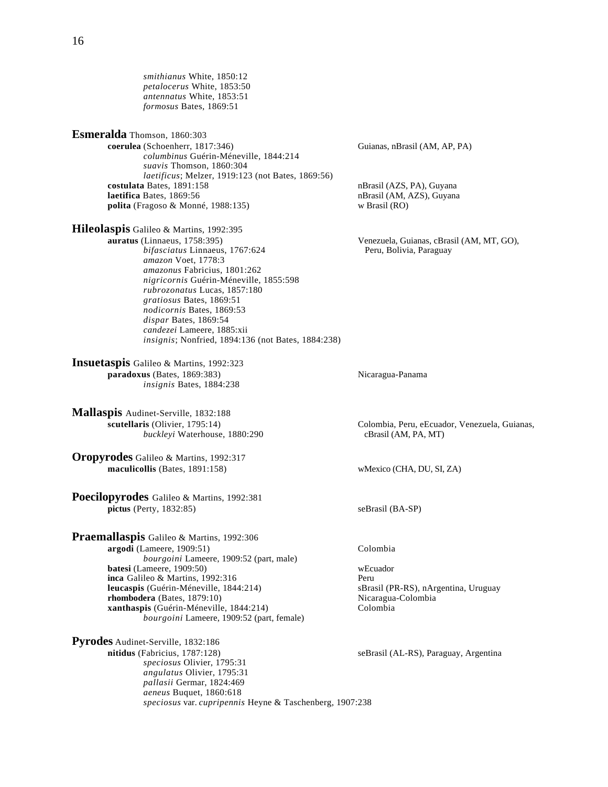*smithianus* White, 1850:12 *petalocerus* White, 1853:50 *antennatus* White, 1853:51 *formosus* Bates, 1869:51 **Esmeralda** Thomson, 1860:303 **coerulea** (Schoenherr, 1817:346) Guianas, nBrasil (AM, AP, PA) *columbinus* Guérin-Méneville, 1844:214 *suavis* Thomson, 1860:304 *laetificus*; Melzer, 1919:123 (not Bates, 1869:56) **costulata** Bates, 1891:158 **nBrasil (AZS, PA), Guyana laetifica** Bates, 1869:56 **nBrasil (AM, AZS)**, Guyana **polita** (Fragoso & Monné, 1988:135) **nBrasil (RO) w** Brasil (RO) polita (Fragoso & Monné, 1988:135) **Hileolaspis** Galileo & Martins, 1992:395<br>auratus (Linnaeus, 1758:395) Venezuela, Guianas, cBrasil (AM, MT, GO), Peru, Bolivia, Paraguay *bifasciatus* Linnaeus, 1767:624 *amazon* Voet, 1778:3 *amazonus* Fabricius, 1801:262 *nigricornis* Guérin-Méneville, 1855:598 *rubrozonatus* Lucas, 1857:180 *gratiosus* Bates, 1869:51 *nodicornis* Bates, 1869:53 *dispar* Bates, 1869:54 *candezei* Lameere, 1885:xii *insignis*; Nonfried, 1894:136 (not Bates, 1884:238) **Insuetaspis** Galileo & Martins, 1992:323 **paradoxus** (Bates, 1869:383) Nicaragua-Panama *insignis* Bates, 1884:238 **Mallaspis** Audinet-Serville, 1832:188 **scutellaris** (Olivier, 1795:14) Colombia, Peru, eEcuador, Venezuela, Guianas, *buckleyi* Waterhouse, 1880:290 cBrasil (AM, PA, MT) **Oropyrodes** Galileo & Martins, 1992:317 **maculicollis** (Bates, 1891:158) wMexico (CHA, DU, SI, ZA) **Poecilopyrodes** Galileo & Martins, 1992:381 pictus (Perty, 1832:85) seBrasil (BA-SP) **Praemallaspis** Galileo & Martins, 1992:306 **argodi** (Lameere, 1909:51) Colombia *bourgoini* Lameere, 1909:52 (part, male) **batesi** (Lameere, 1909:50) wEcuador **inca** Galileo & Martins, 1992:316 Peru **leucaspis** (Guérin-Méneville, 1844:214) sBrasil (PR-RS), nArgentina, Uruguay **rhombodera** (Bates, 1879:10) Nicaragua-Colombia **xanthaspis** (Guérin-Méneville, 1844:214) Colombia *bourgoini* Lameere, 1909:52 (part, female) **Pyrodes** Audinet-Serville, 1832:186 **nitidus** (Fabricius, 1787:128) seBrasil (AL-RS), Paraguay, Argentina *speciosus* Olivier, 1795:31 *angulatus* Olivier, 1795:31 *pallasii* Germar, 1824:469

*aeneus* Buquet, 1860:618

*speciosus* var. *cupripennis* Heyne & Taschenberg, 1907:238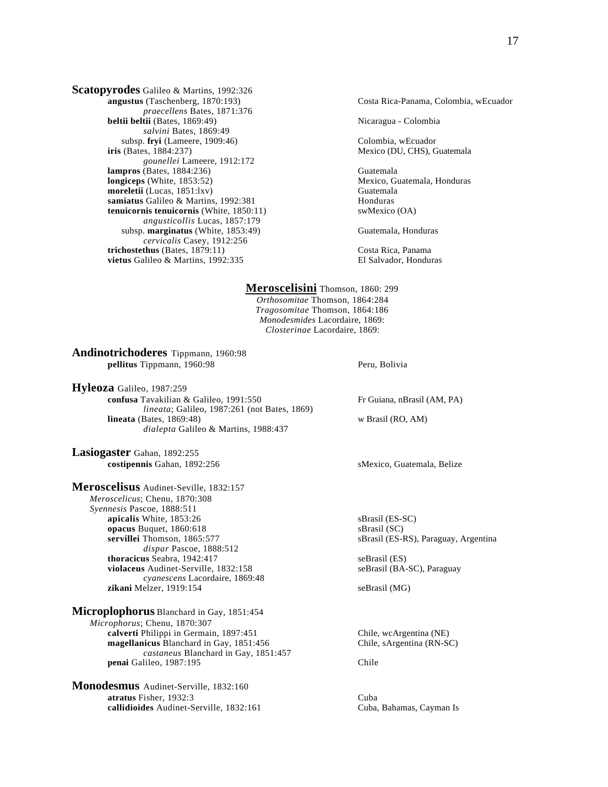**Scatopyrodes** Galileo & Martins, 1992:326<br>angustus (Taschenberg, 1870:193) *praecellens* Bates, 1871:376 **beltii beltii** (Bates, 1869:49) Nicaragua - Colombia *salvini* Bates, 1869:49 subsp. **fryi** (Lameere, 1909:46) Colombia, wEcuador **iris** (Bates, 1884:237) Mexico (DU, CHS), Guatemala *gounellei* Lameere, 1912:172 **lampros** (Bates, 1884:236) Guatemala **longiceps** (White, 1853:52) Mexico, Guatemala, Honduras **moreletii** (Lucas, 1851:lxv) Guatemala<br> **samiatus** Galileo & Martins. 1992:381 (Guatemala samiatus Galileo & Martins, 1992:381 **tenuicornis tenuicornis** (White, 1850:11) swMexico (OA) *angusticollis* Lucas, 1857:179 subsp. **marginatus** (White, 1853:49) Guatemala, Honduras *cervicalis* Casey, 1912:256 **trichostethus** (Bates, 1879:11) Costa Rica, Panama **vietus** Galileo & Martins, 1992:335 El Salvador, Honduras

Costa Rica-Panama, Colombia, wEcuador

**Meroscelisini** Thomson, 1860: 299 *Orthosomitae* Thomson, 1864:284 *Tragosomitae* Thomson, 1864:186 *Monodesmides* Lacordaire, 1869: *Closterinae* Lacordaire, 1869:

**Andinotrichoderes** Tippmann, 1960:98 **pellitus** Tippmann, 1960:98 Peru, Bolivia

**Hyleoza** Galileo, 1987:259 **confusa** Tavakilian & Galileo, 1991:550 Fr Guiana, nBrasil (AM, PA) *lineata*; Galileo, 1987:261 (not Bates, 1869) **lineata** (Bates, 1869:48) w Brasil (RO, AM) *dialepta* Galileo & Martins, 1988:437

**Lasiogaster** Gahan, 1892:255 **costipennis** Gahan, 1892:256 sMexico, Guatemala, Belize

**Meroscelisus** Audinet-Seville, 1832:157 *Meroscelicus*; Chenu, 1870:308 *Syennesis* Pascoe, 1888:511 **apicalis** White, 1853:26 sBrasil (ES-SC) **opacus** Buquet, 1860:618 sBrasil (SC) **servillei** Thomson, 1865:577 sBrasil (ES-RS), Paraguay, Argentina *dispar* Pascoe, 1888:512 **thoracicus** Seabra, 1942:417 seBrasil (ES) **violaceus** Audinet-Serville, 1832:158 seBrasil (BA-SC), Paraguay *cyanescens* Lacordaire, 1869:48 **zikani** Melzer, 1919:154 seBrasil (MG)

**Microplophorus** Blanchard in Gay, 1851:454 *Microphorus*; Chenu, 1870:307 **calverti** Philippi in Germain, 1897:451 Chile, wcArgentina (NE) **magellanicus** Blanchard in Gay, 1851:456 Chile, sArgentina (RN-SC) *castaneus* Blanchard in Gay, 1851:457 **penai** Galileo, 1987:195 Chile

**Monodesmus** Audinet-Serville, 1832:160 **atratus** Fisher, 1932:3 Cuba **callidioides** Audinet-Serville, 1832:161 Cuba, Bahamas, Cayman Is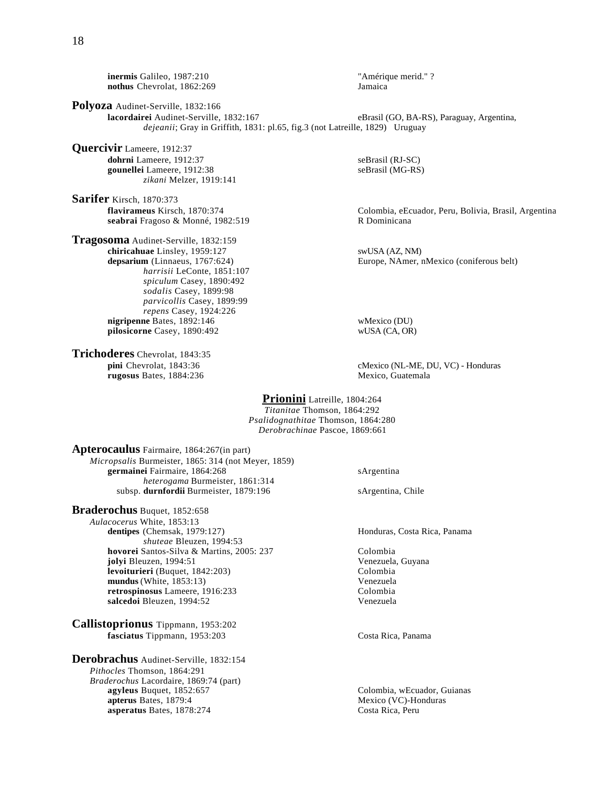**inermis** Galileo, 1987:210<br> **nothus** Chevrolat. 1862:269<br> **identify** *Iamaica*<br> *Jamaica* nothus Chevrolat, 1862:269

**Polyoza** Audinet-Serville, 1832:166<br>**lacordairei** Audinet-Serville, 1832:167 eBrasil (GO, BA-RS), Paraguay, Argentina, *dejeanii*; Gray in Griffith, 1831: pl.65, fig.3 (not Latreille, 1829) Uruguay

**Quercivir** Lameere, 1912:37 **dohrni** Lameere, 1912:37 seBrasil (RJ-SC) **gounellei** Lameere, 1912:38 seBrasil (MG-RS) *zikani* Melzer, 1919:141

**Sarifer** Kirsch, 1870:373 seabrai Fragoso & Monné, 1982:519

**Tragosoma** Audinet-Serville, 1832:159 **chiricahuae** Linsley, 1959:127 swUSA (AZ, NM)<br> **depsarium** (Linnaeus, 1767:624) Europe, NAmer, r *harrisii* LeConte, 1851:107 *spiculum* Casey, 1890:492 *sodalis* Casey, 1899:98 *parvicollis* Casey, 1899:99 *repens* Casey, 1924:226 **nigripenne** Bates, 1892:146 wMexico (DU) **pilosicorne** Casey, 1890:492 wUSA (CA, OR)

**Trichoderes** Chevrolat, 1843:35<br>pini Chevrolat, 1843:36 **rugosus** Bates, 1884:236

**flavirameus** Kirsch, 1870:374<br> **flavirameus** Kirsch, 1870:374<br> **R** Dominicana<br> **R** Dominicana

Europe, NAmer, nMexico (coniferous belt)

cMexico (NL-ME, DU, VC) - Honduras<br>Mexico, Guatemala

**Prionini** Latreille, 1804:264 *Titanitae* Thomson, 1864:292 *Psalidognathitae* Thomson, 1864:280 *Derobrachinae* Pascoe, 1869:661

**Apterocaulus** Fairmaire, 1864:267(in part) *Micropsalis* Burmeister, 1865: 314 (not Meyer, 1859) **germainei** Fairmaire, 1864:268 sArgentina *heterogama* Burmeister, 1861:314 subsp. **durnfordii** Burmeister, 1879:196 sArgentina, Chile

**Braderochus** Buquet, 1852:658

*Aulacocerus* White, 1853:13 **dentipes** (Chemsak, 1979:127) **Honduras, Costa Rica, Panama** *shuteae* Bleuzen, 1994:53 **hovorei** Santos-Silva & Martins, 2005: 237 Colombia **jolyi** Bleuzen, 1994:51 Venezuela, Guyana **levoiturieri** (Buquet, 1842:203)<br> **mundus** (White. 1853:13) Colombia<br>
Venezuela mundus (White, 1853:13) Venezuela<br> **retrospinosus** Lameere, 1916:233 Colombia retrospinosus Lameere, 1916:233 **salcedoi** Bleuzen, 1994:52 Venezuela

**Callistoprionus** Tippmann, 1953:202 **fasciatus** Tippmann, 1953:203 Costa Rica, Panama

**Derobrachus** Audinet-Serville, 1832:154 *Pithocles* Thomson, 1864:291 *Braderochus* Lacordaire, 1869:74 (part) **agyleus** Buquet, 1852:657 Colombia, wEcuador, Guianas<br> **apterus** Bates, 1879:4 Mexico (VC)-Honduras **asperatus** Bates, 1878:274 Costa Rica, Peru

**Mexico (VC)-Honduras**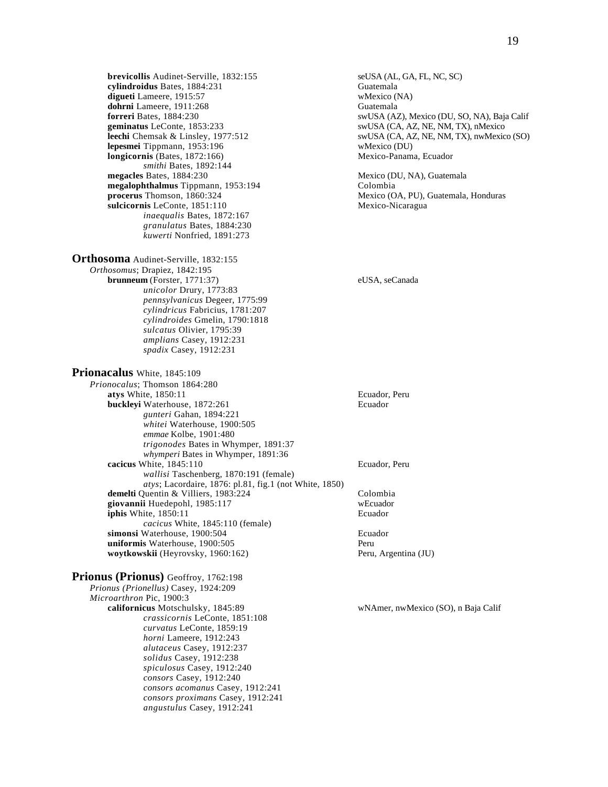**brevicollis** Audinet-Serville, 1832:155 seUSA (AL, GA, FL, NC, SC) seUsal cylindroidus Bates. 1884:231 cylindroidus Bates, 1884:231 digueti Lameere, 1915:57 wMexico (NA) **dohrni Lameere, 1911:268** Guatemala<br> **dohrni Bates, 1884:230** Guatemala<br>
SwUSA (A2 **lepesmei Tippmann, 1953:196 www.illepermei and the www.illepermei Tippmann, 1953:196** www.illepermein.com www.illepermein.com www.illepermein.com www.illepermein.com www.illepermein.com www.illepermein.com www.illeperme  $longicornis$  (Bates,  $1872:166$ ) *smithi* Bates, 1892:144<br>**megacles** Bates, 1884:230 **megalophthalmus** Tippmann, 1953:194 Colombia **procerus** Thomson, 1860:324 Mexico (OA, PU), Guatemala, Honduras **sulcicornis** LeConte, 1851:110 Mexico-Nicaragua sulcicornis LeConte, 1851:110 *inaequalis* Bates, 1872:167 *granulatus* Bates, 1884:230 *kuwerti* Nonfried, 1891:273

**Orthosoma** Audinet-Serville, 1832:155

*Orthosomus*; Drapiez, 1842:195 **brunneum** (Forster, 1771:37) eUSA, seCanada *unicolor* Drury, 1773:83 *pennsylvanicus* Degeer, 1775:99 *cylindricus* Fabricius, 1781:207 *cylindroides* Gmelin, 1790:1818 *sulcatus* Olivier, 1795:39 *amplians* Casey, 1912:231 *spadix* Casey, 1912:231

**Prionacalus** White, 1845:109 *Prionocalus*; Thomson 1864:280 **atys** White, 1850:11 Ecuador, Peru **buckleyi** Waterhouse, 1872:261 Ecuador *gunteri* Gahan, 1894:221 *whitei* Waterhouse, 1900:505 *emmae* Kolbe, 1901:480 *trigonodes* Bates in Whymper, 1891:37 *whymperi* Bates in Whymper, 1891:36 **cacicus** White, 1845:110 Ecuador, Peru *wallisi* Taschenberg, 1870:191 (female) *atys*; Lacordaire, 1876: pl.81, fig.1 (not White, 1850) **demelti** Quentin & Villiers, 1983:224 Colombia<br> **giovannii** Huedepohl. 1985:117 WEcuador giovannii Huedepohl, 1985:117 **iphis** White, 1850:11 Ecuador *cacicus* White, 1845:110 (female) **simonsi** Waterhouse, 1900:504 Ecuador **uniformis** Waterhouse, 1900:505 **woytkowskii** (Heyrovsky, 1960:162) Peru, Argentina (JU)

**Prionus (Prionus)** Geoffroy, 1762:198 *Prionus (Prionellus)* Casey, 1924:209 *Microarthron* Pic, 1900:3<br>**californicus** Motschulsky, 1845:89 *crassicornis* LeConte, 1851:108 *curvatus* LeConte, 1859:19 *horni* Lameere, 1912:243 *alutaceus* Casey, 1912:237 *solidus* Casey, 1912:238 *spiculosus* Casey, 1912:240 *consors* Casey, 1912:240 *consors acomanus* Casey, 1912:241 *consors proximans* Casey, 1912:241 *angustulus* Casey, 1912:241

**forreri** Bates, 1884:230<br> **forreri** Bates, 1884:230<br> **forreri** Bates, 1884:230<br> **forreri** Bates, 1885:233<br> **forreri** Bates, 1885:233<br> **for example and the swUSA (CA, AZ, NE, NM, TX), nMexico** swUSA (CA, AZ, NE, NM, TX), nMexico **leechi** Chemsak & Linsley, 1977:512 swUSA (CA, AZ, NE, NM, TX), nwMexico (SO)<br> **lepesmei** Tippmann, 1953:196 swMexico (DU)

Mexico (DU, NA), Guatemala

wNAmer, nwMexico (SO), n Baja Calif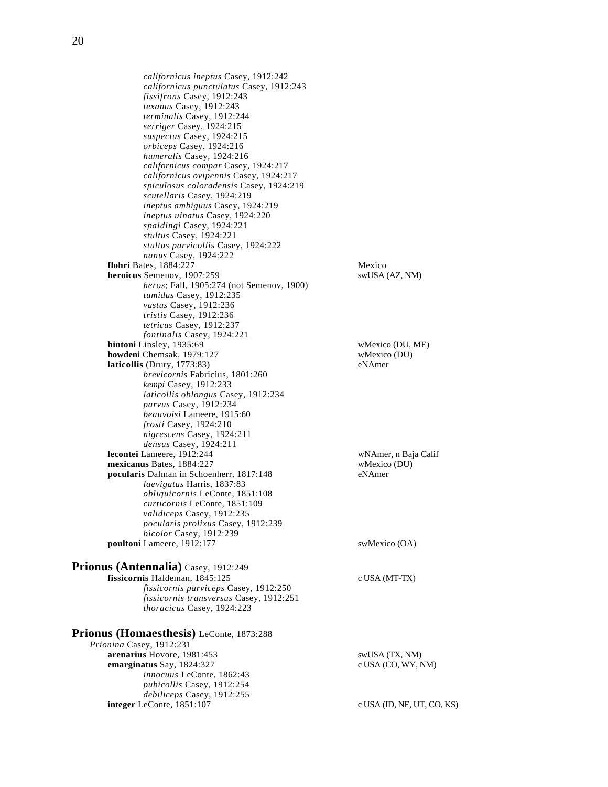*californicus ineptus* Casey, 1912:242 *californicus punctulatus* Casey, 1912:243 *fissifrons* Casey, 1912:243 *texanus* Casey, 1912:243 *terminalis* Casey, 1912:244 *serriger* Casey, 1924:215 *suspectus* Casey, 1924:215 *orbiceps* Casey, 1924:216 *humeralis* Casey, 1924:216 *californicus compar* Casey, 1924:217 *californicus ovipennis* Casey, 1924:217 *spiculosus coloradensis* Casey, 1924:219 *scutellaris* Casey, 1924:219 *ineptus ambiguus* Casey, 1924:219 *ineptus uinatus* Casey, 1924:220 *spaldingi* Casey, 1924:221 *stultus* Casey, 1924:221 *stultus parvicollis* Casey, 1924:222 *nanus* Casey, 1924:222 **flohri** Bates, 1884:227 Mexico **heroicus** Semenov, 1907:259 swUSA (AZ, NM) *heros*; Fall, 1905:274 (not Semenov, 1900) *tumidus* Casey, 1912:235 *vastus* Casey, 1912:236 *tristis* Casey, 1912:236 *tetricus* Casey, 1912:237 *fontinalis* Casey, 1924:221 **hintoni** Linsley, 1935:69<br> **howdeni** Chemsak, 1979:127 wMexico (DU) **howdeni** Chemsak, 1979:127<br> **laticollis** (Drury, 1773:83) eNAmer **laticollis** (Drury,  $1773:83$ ) *brevicornis* Fabricius, 1801:260 *kempi* Casey, 1912:233 *laticollis oblongus* Casey, 1912:234 *parvus* Casey, 1912:234 *beauvoisi* Lameere, 1915:60 *frosti* Casey, 1924:210 *nigrescens* Casey, 1924:211 *densus* Casey, 1924:211 **lecontei** Lameere, 1912:244 wNAmer, n Baja Calif **mexicanus Bates, 1884:227** wMexico (DU)<br> **pocularis** Dalman in Schoenherr, 1817:148 eNAmer pocularis Dalman in Schoenherr, 1817:148 *laevigatus* Harris, 1837:83 *obliquicornis* LeConte, 1851:108 *curticornis* LeConte, 1851:109 *validiceps* Casey, 1912:235 *pocularis prolixus* Casey, 1912:239 *bicolor* Casey, 1912:239 **poultoni** Lameere, 1912:177 swMexico (OA) **Prionus (Antennalia)** Casey, 1912:249

#### **fissicornis** Haldeman, 1845:125 c USA (MT-TX) *fissicornis parviceps* Casey, 1912:250 *fissicornis transversus* Casey, 1912:251 *thoracicus* Casey, 1924:223

**Prionus (Homaesthesis)** LeConte, 1873:288 *Prionina* Casey, 1912:231 arenarius Hovore, 1981:453 swUSA (TX, NM) **emarginatus** Say, 1824:327 c USA (CO, WY, NM) *innocuus* LeConte, 1862:43 *pubicollis* Casey, 1912:254 *debiliceps* Casey, 1912:255 **integer** LeConte, 1851:107 c USA (ID, NE, UT, CO, KS)

20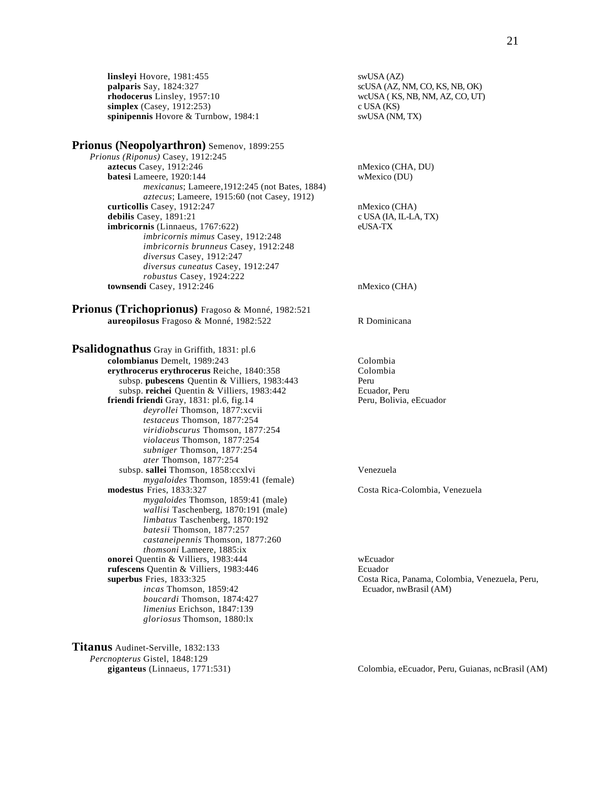**linsleyi** Hovore, 1981:455 swUSA (AZ)<br> **palparis** Say, 1824:327 scUSA (AZ, r **rhodocerus** Linsley, 1957:10 wcUSA ( KS, NB, NM, AZ, CO, UT) **simplex** (Casey, 1912:253) c USA (KS)<br> **spinipennis** Hovore & Turnbow, 1984:1 swUSA (NM, TX) spinipennis Hovore & Turnbow, 1984:1

#### **Prionus (Neopolyarthron)** Semenov, 1899:255

*Prionus (Riponus)* Casey, 1912:245 **aztecus** Casey, 1912:246 nMexico (CHA, DU) **batesi** Lameere, 1920:144 wMexico (DU) *mexicanus*; Lameere,1912:245 (not Bates, 1884) *aztecus*; Lameere, 1915:60 (not Casey, 1912) **curticollis** Casey, 1912:247 nMexico (CHA) debilis Casey, 1891:21 c USA (IA, IL-LA, TX) **imbricornis** (Linnaeus, 1767:622) eUSA-TX *imbricornis mimus* Casey, 1912:248 *imbricornis brunneus* Casey, 1912:248 *diversus* Casey, 1912:247 *diversus cuneatus* Casey, 1912:247 *robustus* Casey, 1924:222 **townsendi** Casey, 1912:246 nMexico (CHA)

**Prionus (Trichoprionus)** Fragoso & Monné, 1982:521 **aureopilosus** Fragoso & Monné, 1982:522 R Dominicana

**Psalidognathus** Gray in Griffith, 1831: pl.6 **colombianus** Demelt, 1989:243 Colombia<br> **colombia**<br> **colombia**<br> **colombia** erythrocerus erythrocerus Reiche, 1840:358 subsp. **pubescens** Quentin & Villiers, 1983:443 Peru subsp. **reichei** Quentin & Villiers, 1983:442 Ecuador, Peru **friendi friendi Gray, 1831: pl.6, fig.14** Peru, Bolivia, eEcuador *deyrollei* Thomson, 1877:xcvii *testaceus* Thomson, 1877:254 *viridiobscurus* Thomson, 1877:254 *violaceus* Thomson, 1877:254 *subniger* Thomson, 1877:254 *ater* Thomson, 1877:254 subsp. **sallei** Thomson, 1858:ccxlvi Venezuela *mygaloides* Thomson, 1859:41 (female) **modestus** Fries, 1833:327 Costa Rica-Colombia, Venezuela *mygaloides* Thomson, 1859:41 (male) *wallisi* Taschenberg, 1870:191 (male) *limbatus* Taschenberg, 1870:192 *batesii* Thomson, 1877:257 *castaneipennis* Thomson, 1877:260 *thomsoni* Lameere, 1885:ix **onorei** Quentin & Villiers, 1983:444 wEcuador **rufescens** Quentin & Villiers, 1983:446 Ecuador **superbus** Fries, 1833:325 Costa Rica, Panama, Colombia, Venezuela, Peru, *incas* Thomson, 1859:42 Ecuador, nwBrasil (AM) *boucardi* Thomson, 1874:427 *limenius* Erichson, 1847:139 *gloriosus* Thomson, 1880:lx

**Titanus** Audinet-Serville, 1832:133 *Percnopterus* Gistel, 1848:129

**palparis** Say, 1824:327 scUSA (AZ, NM, CO, KS, NB, OK)

**giganteus** (Linnaeus, 1771:531) Colombia, eEcuador, Peru, Guianas, ncBrasil (AM)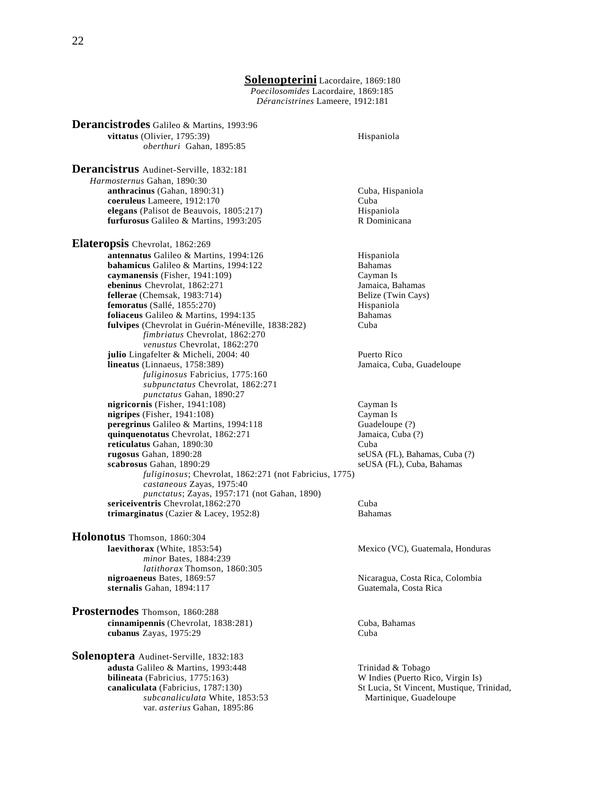#### **Solenopterini** Lacordaire, 1869:180 *Poecilosomides* Lacordaire, 1869:185 *Dérancistrines* Lameere, 1912:181

**Derancistrodes** Galileo & Martins, 1993:96 **vittatus** (Olivier, 1795:39) Hispaniola *oberthuri* Gahan, 1895:85 *Harmosternus* Gahan, 1890:30 **anthracinus** (Gahan, 1890:31) Cuba, Hispaniola **coeruleus** Lameere, 1912:170 Cuba **elegans** (Palisot de Beauvois, 1805:217) **Hispaniola**<br> **elegans** (Galileo & Martins, 1993:205 R Dominicana furfurosus Galileo & Martins, 1993:205 **Elateropsis** Chevrolat, 1862:269 **femoratus** (Sallé, 1855:270) *fimbriatus* Chevrolat, 1862:270 *venustus* Chevrolat, 1862:270 *fuliginosus* Fabricius, 1775:160 *subpunctatus* Chevrolat, 1862:271 *punctatus* Gahan, 1890:27  $nigripes$  (Fisher,  $1941:108$ ) *castaneous* Zayas, 1975:40 *punctatus*; Zayas, 1957:171 (not Gahan, 1890) **trimarginatus** (Cazier & Lacey, 1952:8) Bahamas

seUSA (FL), Bahamas, Cuba (?)

Nicaragua, Costa Rica, Colombia<br>Guatemala, Costa Rica

**W** Indies (Puerto Rico, Virgin Is)

**Derancistrus** Audinet-Serville, 1832:181

**antennatus** Galileo & Martins, 1994:126 Hispaniola **bahamicus** Galileo & Martins, 1994:122 Bahamas **caymanensis** (Fisher, 1941:109) Cayman Is **ebeninus** Chevrolat, 1862:271 Jamaica, Bahamas<br>**fellerae** (Chemsak, 1983:714) **Belize** (Twin Cays) **fellerae** (Chemsak, 1983:714) **Belize (Twin Cays)** Belize (Twin Cays) Belize (Twin Cays) Belize (Twin Cays) Belize (Twin Cays) Belize (Twin Cays) Belize (Twin Cays) Belize (Twin Cays) Belize (Twin Cays) Belize (Twin Cays) **foliaceus** Galileo & Martins, 1994:135 Bahamas **fulvipes** (Chevrolat in Guérin-Méneville, 1838:282) Cuba **julio** Lingafelter & Micheli, 2004: 40 Puerto Rico **lineatus** (Linnaeus, 1758:389) Jamaica, Cuba, Guadeloupe **nigricornis** (Fisher, 1941:108) Cayman Is<br> **nigripes** (Fisher, 1941:108) Cayman Is **peregrinus** Galileo & Martins, 1994:118 Guadeloupe (?) **quinquenotatus** Chevrolat, 1862:271 Jamaica, Cuba (?) **reticulatus** Gahan, 1890:30 Cuba<br> **rugosus** Gahan, 1890:28 SeUS **scabrosus** Gahan, 1890:29 seUSA (FL), Cuba, Bahamas *fuliginosus*; Chevrolat, 1862:271 (not Fabricius, 1775) **sericeiventris** Chevrolat, 1862:270 Cuba

**Holonotus** Thomson, 1860:304 **laevithorax** (White, 1853:54) Mexico (VC), Guatemala, Honduras *minor* Bates, 1884:239 *latithorax* Thomson, 1860:305<br>nigroaeneus Bates, 1869:57 sternalis Gahan, 1894:117

**Prosternodes** Thomson, 1860:288 **cinnamipennis** (Chevrolat, 1838:281) Cuba, Bahamas<br> **cubanus** Zavas, 1975:29 Cuba **cubanus** Zayas, 1975:29

**Solenoptera** Audinet-Serville, 1832:183 **adusta** Galileo & Martins, 1993:448 Trinidad & Tobago<br> **bilineata** (Fabricius, 1775:163) Trinidad & Tobago **canaliculata** (Fabricius, 1787:130) St Lucia, St Vincent, Mustique, Trinidad, *subcanaliculata* White, 1853:53 Martinique, Guadeloupe var. *asterius* Gahan, 1895:86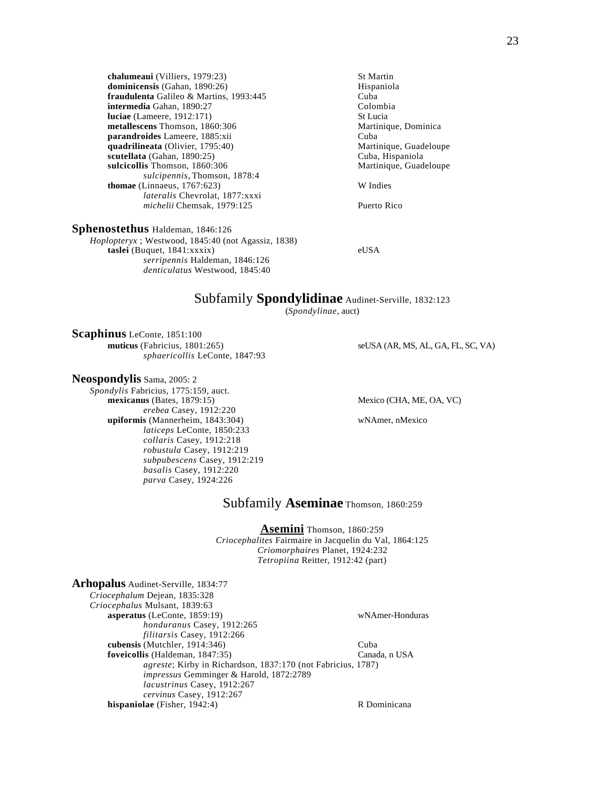**chalumeaui** (Villiers, 1979:23) St Martin<br> **dominicensis** (Gahan, 1890:26) St Martin Hispaniola dominicensis (Gahan, 1890:26) **fraudulenta** Galileo & Martins, 1993:445 Cuba **intermedia** Gahan, 1890:27<br> **luciae** (Lameere, 1912:171) St Lucia **luciae** (Lameere, 1912:171)<br> **netallescens** Thomson, 1860:306<br>
Martinique, Dominica metallescens Thomson, 1860:306 **parandroides** Lameere, 1885:xii Cuba **quadrilineata** (Olivier, 1795:40) **scutellata** (Gahan, 1890:25) Cuba, Hispaniola sulcicollis Thomson, 1860:306 Martinique, Guadeloupe *sulcipennis*, Thomson, 1878:4 **thomae** (Linnaeus, 1767:623) W Indies *lateralis* Chevrolat, 1877:xxxi *michelii* Chemsak, 1979:125 Puerto Rico

**Sphenostethus** Haldeman, 1846:126

*Hoplopteryx* ; Westwood, 1845:40 (not Agassiz, 1838) **taslei** (Buquet, 1841:xxxix) eUSA *serripennis* Haldeman, 1846:126 *denticulatus* Westwood, 1845:40

# Subfamily **Spondylidinae** Audinet-Serville, 1832:123

(*Spondylinae*, auct)

**Scaphinus** LeConte, 1851:100 **muticus** (Fabricius, 1801:265) seUSA (AR, MS, AL, GA, FL, SC, VA) *sphaericollis* LeConte, 1847:93

**Neospondylis** Sama, 2005: 2

*Spondylis* Fabricius, 1775:159, auct. **mexicanus** (Bates, 1879:15) Mexico (CHA, ME, OA, VC) *erebea* Casey, 1912:220 **upiformis** (Mannerheim, 1843:304) wNAmer, nMexico *laticeps* LeConte, 1850:233 *collaris* Casey, 1912:218 *robustula* Casey, 1912:219 *subpubescens* Casey, 1912:219 *basalis* Casey, 1912:220 *parva* Casey, 1924:226

# Subfamily **Aseminae** Thomson, 1860:259

**Asemini** Thomson, 1860:259 *Criocephalites* Fairmaire in Jacquelin du Val, 1864:125 *Criomorphaires* Planet, 1924:232 *Tetropiina* Reitter, 1912:42 (part)

| Arhopalus Audinet-Serville, 1834:77                                  |                 |
|----------------------------------------------------------------------|-----------------|
| Criocephalum Dejean, 1835:328                                        |                 |
| Criocephalus Mulsant, 1839:63                                        |                 |
| asperatus (LeConte, $1859:19$ )                                      | wNAmer-Honduras |
| honduranus Casey, 1912:265                                           |                 |
| filitarsis Casey, 1912:266                                           |                 |
| cubensis (Mutchler, $1914:346$ )                                     | Cuba            |
| foveicollis (Haldeman, 1847:35)                                      | Canada, n USA   |
| <i>agreste</i> ; Kirby in Richardson, 1837:170 (not Fabricius, 1787) |                 |
| <i>impressus</i> Gemminger & Harold, 1872:2789                       |                 |
| <i>lacustrinus</i> Casey, 1912:267                                   |                 |
| cervinus Casey, 1912:267                                             |                 |
| hispaniolae (Fisher, $1942:4$ )                                      | R Dominicana    |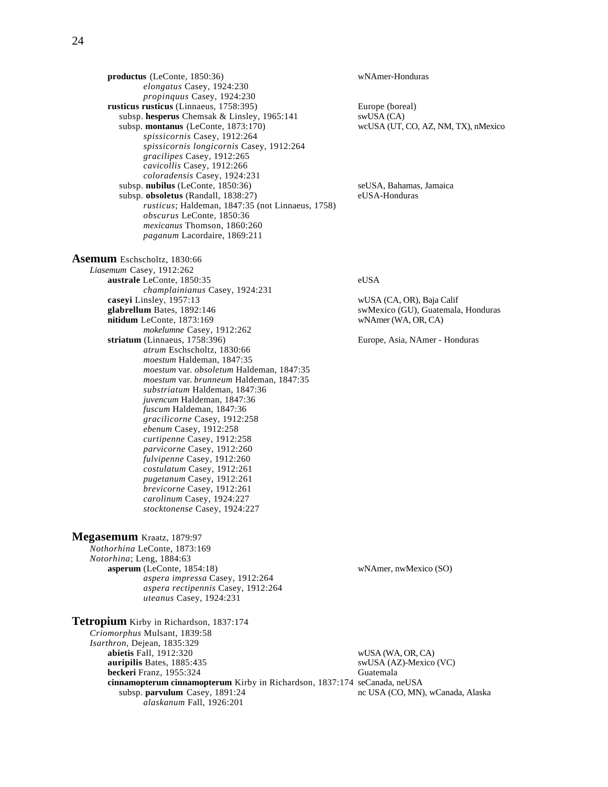**productus** (LeConte, 1850:36) wNAmer-Honduras *elongatus* Casey, 1924:230 *propinquus* Casey, 1924:230 **rusticus rusticus** (Linnaeus, 1758:395) Europe (boreal)<br>subsp. hesperus Chemsak & Linsley, 1965:141 swUSA (CA) subsp. **hesperus** Chemsak & Linsley, 1965:141 swUSA (CA)<br>subsp. **montanus** (LeConte, 1873:170) veCUSA (UT, CO, AZ, NM, TX), nMexico subsp. **montanus** (LeConte, 1873:170) *spissicornis* Casey, 1912:264 *spissicornis longicornis* Casey, 1912:264 *gracilipes* Casey, 1912:265 *cavicollis* Casey, 1912:266 *coloradensis* Casey, 1924:231 subsp. **nubilus** (LeConte, 1850:36) seUSA, Bahamas, Jamaica subsp. **obsoletus** (Randall, 1838:27) eUSA-Honduras *rusticus*; Haldeman, 1847:35 (not Linnaeus, 1758) *obscurus* LeConte, 1850:36 *mexicanus* Thomson, 1860:260 *paganum* Lacordaire, 1869:211

*champlainianus* Casey, 1924:231

*atrum* Eschscholtz, 1830:66 *moestum* Haldeman, 1847:35

*substriatum* Haldeman, 1847:36 *juvencum* Haldeman, 1847:36 *fuscum* Haldeman, 1847:36 *gracilicorne* Casey, 1912:258 *ebenum* Casey, 1912:258 *curtipenne* Casey, 1912:258 *parvicorne* Casey, 1912:260 *fulvipenne* Casey, 1912:260 *costulatum* Casey, 1912:261 *pugetanum* Casey, 1912:261 *brevicorne* Casey, 1912:261 *carolinum* Casey, 1924:227 *stocktonense* Casey, 1924:227

*aspera impressa* Casey, 1912:264 *aspera rectipennis* Casey, 1912:264

*uteanus* Casey, 1924:231

*moestum* var. *obsoletum* Haldeman, 1847:35 *moestum* var. *brunneum* Haldeman, 1847:35

mokelumne Casey, 1912:262<br>striatum (Linnaeus, 1758:396)

**Asemum** Eschscholtz, 1830:66 *Liasemum* Casey, 1912:262

**Megasemum** Kraatz, 1879:97 *Nothorhina* LeConte, 1873:169 *Notorhina*; Leng, 1884:63

**australe** LeConte, 1850:35 eUSA

**caseyi** Linsley, 1957:13 wUSA (CA, OR), Baja Calif <br> **glabrellum** Bates, 1892:146 wWexico (GU), Guatemala swMexico (GU), Guatemala, Honduras **nitidum** LeConte, 1873:169 wNAmer (WA, OR, CA)

Europe, Asia, NAmer - Honduras

**asperum** (LeConte, 1854:18) wNAmer, nwMexico (SO)

**Tetropium** Kirby in Richardson, 1837:174 *Criomorphus* Mulsant, 1839:58 *Isarthron,* Dejean, 1835:329 **abietis** Fall, 1912:320 wUSA (WA, OR, CA) **auripilis** Bates, 1885:435 swUSA (AZ)-Mexico (VC) **beckeri** Franz, 1955:324 Guatemala **cinnamopterum cinnamopterum** Kirby in Richardson, 1837:174 seCanada, neUSA<br>subsp. **parvulum** Casey, 1891:24 nc USA (CO, MN), wCanada, Alaska subsp. **parvulum** Casey, 1891:24 *alaskanum* Fall, 1926:201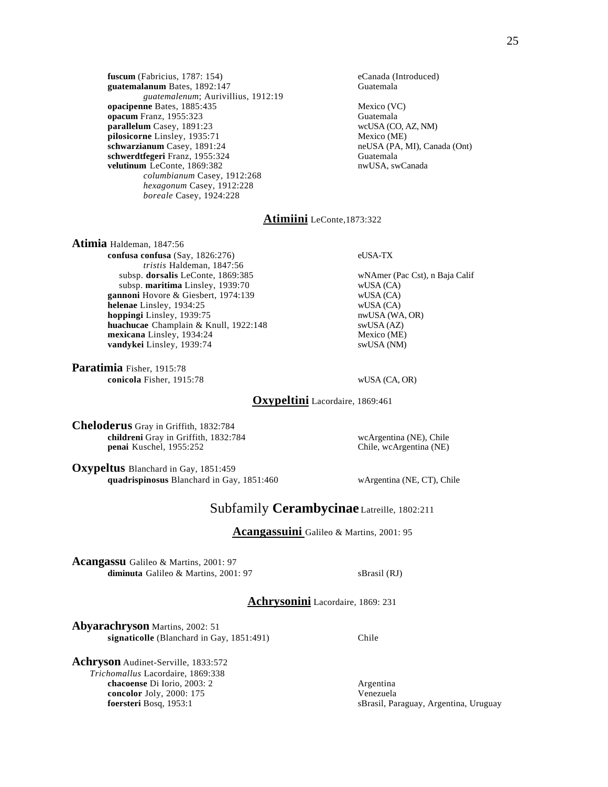**fuscum** (Fabricius, 1787: 154) eCanada (Introduced)<br> **guatemalanum** Bates, 1892:147 **eCanada** (Guatemala guatemalanum Bates, 1892:147 *guatemalenum*; Aurivillius, 1912:19 **opacipenne** Bates, 1885:435 Mexico (VC)<br> **opacum** Franz. 1955:323 Guatemala **opacum** Franz, 1955:323<br> **parallelum** Casey, 1891:23<br> **parallelum** Casey, 1891:23 parallelum Casey, 1891:23 **pilosicorne** Linsley, 1935:71 Mexico (ME)<br> **schwarzianum** Casey, 1891:24 **Mexico** neUSA (PA, N **schwerdtfegeri** Franz, 1955:324 Guatemala **velutinum** LeConte, 1869:382 nwUSA, swCanada *columbianum* Casey, 1912:268 *hexagonum* Casey, 1912:228 *boreale* Casey, 1924:228

neUSA (PA, MI), Canada (Ont)

# **Atimiini** LeConte,1873:322

**Atimia** Haldeman, 1847:56 **confusa confusa** (Say, 1826:276) eUSA-TX *tristis* Haldeman, 1847:56 subsp. **dorsalis** LeConte, 1869:385 wNAmer (Pac Cst), n Baja Calif subsp. **maritima** Linsley, 1939:70 wUSA (CA)<br> **nnoni** Hovore & Giesbert, 1974:139 wUSA (CA) **gannoni Hovore & Giesbert, 1974:139** wUSA (CA) **helenae** Linsley, 1934:25 wUSA (CA) **helenae** Linsley, 1934:25 **hoppingi** Linsley, 1939:75 nwUSA (WA, OR) **huachucae** Champlain & Knull, 1922:148 swUSA (AZ) **mexicana** Linsley, 1934:24 Mexico (ME) **vandykei** Linsley, 1939:74 swUSA (NM)

**Paratimia** Fisher, 1915:78 **conicola** Fisher, 1915:78 wUSA (CA, OR)

**Oxypeltini** Lacordaire, 1869:461

**Cheloderus** Gray in Griffith, 1832:784 **childreni** Gray in Griffith, 1832:784 wcArgentina (NE), Chile **penai** Kuschel, 1955:252 Chile, wcArgentina (NE) penai Kuschel, 1955:252

**Oxypeltus** Blanchard in Gay, 1851:459 **quadrispinosus** Blanchard in Gay, 1851:460 wArgentina (NE, CT), Chile

# Subfamily **Cerambycinae** Latreille, 1802:211

**Acangassuini** Galileo & Martins, 2001: 95

**Acangassu** Galileo & Martins, 2001: 97 **diminuta** Galileo & Martins, 2001: 97 sBrasil (RJ)

**Achrysonini** Lacordaire, 1869: 231

**Abyarachryson** Martins, 2002: 51 **signaticolle** (Blanchard in Gay, 1851:491) Chile

**Achryson** Audinet-Serville, 1833:572 *Trichomallus* Lacordaire, 1869:338 **chacoense** Di Iorio, 2003: 2 Argentina **concolor** Joly, 2000: 175 Venezuela<br> **foersteri** Bosq, 1953:1 SBrasil, Pa

sBrasil, Paraguay, Argentina, Uruguay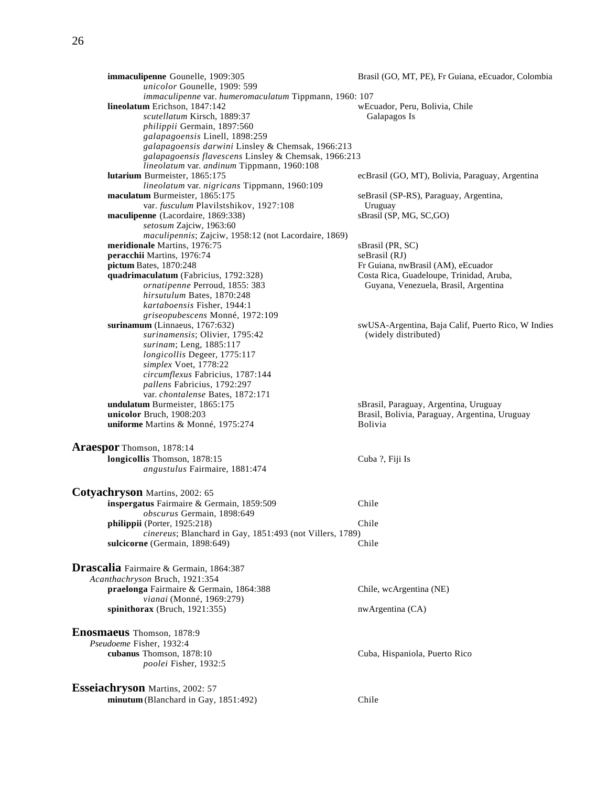| immaculipenne Gounelle, 1909:305                                 | Brasil (GO, MT, PE), Fr Guiana, eEcuador, Colombia                         |
|------------------------------------------------------------------|----------------------------------------------------------------------------|
| unicolor Gounelle, 1909: 599                                     |                                                                            |
| immaculipenne var. humeromaculatum Tippmann, 1960: 107           |                                                                            |
| lineolatum Erichson, 1847:142                                    | wEcuador, Peru, Bolivia, Chile                                             |
| scutellatum Kirsch, 1889:37                                      | Galapagos Is                                                               |
| philippii Germain, 1897:560<br>galapagoensis Linell, 1898:259    |                                                                            |
| galapagoensis darwini Linsley & Chemsak, 1966:213                |                                                                            |
| galapagoensis flavescens Linsley & Chemsak, 1966:213             |                                                                            |
| lineolatum var. andinum Tippmann, 1960:108                       |                                                                            |
| lutarium Burmeister, 1865:175                                    | ecBrasil (GO, MT), Bolivia, Paraguay, Argentina                            |
| lineolatum var. nigricans Tippmann, 1960:109                     |                                                                            |
| maculatum Burmeister, 1865:175                                   | seBrasil (SP-RS), Paraguay, Argentina,                                     |
| var. fusculum Plavilstshikov, 1927:108                           | Uruguay                                                                    |
| maculipenne (Lacordaire, 1869:338)                               | sBrasil (SP, MG, SC, GO)                                                   |
| setosum Zajciw, 1963:60                                          |                                                                            |
| maculipennis; Zajciw, 1958:12 (not Lacordaire, 1869)             |                                                                            |
| meridionale Martins, 1976:75                                     | sBrasil (PR, SC)                                                           |
| peracchii Martins, 1976:74                                       | seBrasil (RJ)                                                              |
| pictum Bates, 1870:248                                           | Fr Guiana, nwBrasil (AM), eEcuador                                         |
| quadrimaculatum (Fabricius, 1792:328)                            | Costa Rica, Guadeloupe, Trinidad, Aruba,                                   |
| ornatipenne Perroud, 1855: 383                                   | Guyana, Venezuela, Brasil, Argentina                                       |
| hirsutulum Bates, 1870:248                                       |                                                                            |
| kartaboensis Fisher, 1944:1                                      |                                                                            |
| griseopubescens Monné, 1972:109                                  |                                                                            |
| surinamum (Linnaeus, 1767:632)<br>surinamensis; Olivier, 1795:42 | swUSA-Argentina, Baja Calif, Puerto Rico, W Indies<br>(widely distributed) |
| surinam; Leng, 1885:117                                          |                                                                            |
| longicollis Degeer, 1775:117                                     |                                                                            |
| simplex Voet, 1778:22                                            |                                                                            |
| circumflexus Fabricius, 1787:144                                 |                                                                            |
| <i>pallens</i> Fabricius, 1792:297                               |                                                                            |
| var. chontalense Bates, 1872:171                                 |                                                                            |
| undulatum Burmeister, 1865:175                                   | sBrasil, Paraguay, Argentina, Uruguay                                      |
| unicolor Bruch, 1908:203                                         | Brasil, Bolivia, Paraguay, Argentina, Uruguay                              |
| uniforme Martins & Monné, 1975:274                               | <b>Bolivia</b>                                                             |
|                                                                  |                                                                            |
| Araespor Thomson, 1878:14                                        |                                                                            |
| longicollis Thomson, 1878:15<br>angustulus Fairmaire, 1881:474   | Cuba ?, Fiji Is                                                            |
|                                                                  |                                                                            |
| <b>Cotyachryson</b> Martins, 2002: 65                            |                                                                            |
| inspergatus Fairmaire & Germain, 1859:509                        | Chile                                                                      |
| obscurus Germain, 1898:649                                       |                                                                            |
| philippii (Porter, 1925:218)                                     | Chile                                                                      |
| cinereus; Blanchard in Gay, 1851:493 (not Villers, 1789)         |                                                                            |
| sulcicorne (Germain, 1898:649)                                   | Chile                                                                      |
| Drascalia Fairmaire & Germain, 1864:387                          |                                                                            |
|                                                                  |                                                                            |
| Acanthachryson Bruch, 1921:354                                   |                                                                            |
| praelonga Fairmaire & Germain, 1864:388                          | Chile, wcArgentina (NE)                                                    |
| vianai (Monné, 1969:279)<br>spinithorax (Bruch, $1921:355$ )     | nwArgentina (CA)                                                           |
|                                                                  |                                                                            |
| <b>Enosmaeus</b> Thomson, 1878:9                                 |                                                                            |
| Pseudoeme Fisher, 1932:4                                         |                                                                            |
| cubanus Thomson, 1878:10                                         | Cuba, Hispaniola, Puerto Rico                                              |
| poolei Fisher, 1932:5                                            |                                                                            |
|                                                                  |                                                                            |
| <b>Esseiachryson Martins, 2002: 57</b>                           |                                                                            |
| minutum (Blanchard in Gay, 1851:492)                             | Chile                                                                      |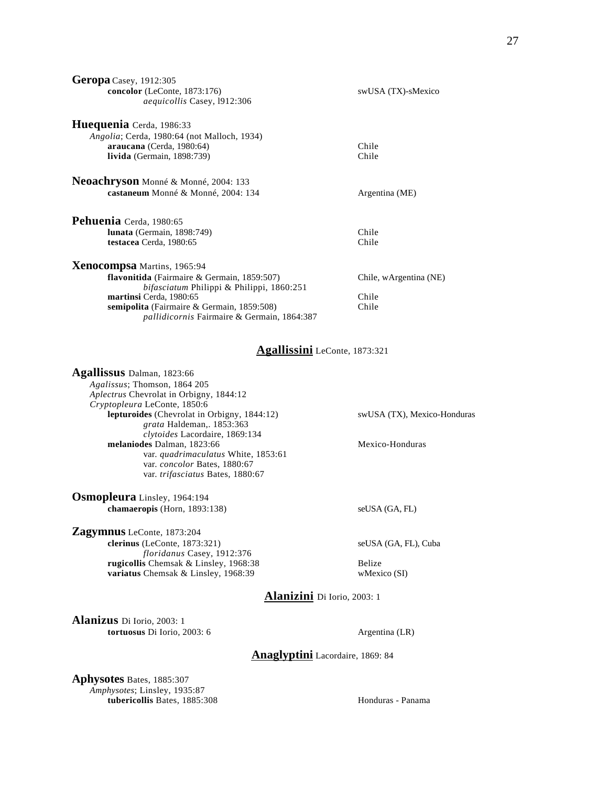| <b>Geropa</b> Casey, 1912:305                                                                                                         |                        |
|---------------------------------------------------------------------------------------------------------------------------------------|------------------------|
| concolor (LeConte, 1873:176)<br><i>aequicollis</i> Casey, 1912:306                                                                    | swUSA (TX)-sMexico     |
| Huequenia Cerda, 1986:33<br>Angolia; Cerda, 1980:64 (not Malloch, 1934)<br>araucana (Cerda, 1980:64)<br>livida (Germain, $1898:739$ ) | Chile<br>Chile         |
| Neoachryson Monné & Monné, 2004: 133<br>castaneum Monné & Monné, 2004: 134                                                            | Argentina (ME)         |
| Pehuenia Cerda, 1980:65                                                                                                               |                        |
| <b>lunata</b> (Germain, 1898:749)                                                                                                     | Chile                  |
| testacea Cerda, 1980:65                                                                                                               | Chile                  |
| <b>Xenocompsa</b> Martins, 1965:94                                                                                                    |                        |
| flavonitida (Fairmaire & Germain, 1859:507)<br>bifasciatum Philippi & Philippi, 1860:251                                              | Chile, wArgentina (NE) |
| martinsi Cerda, 1980:65                                                                                                               | Chile                  |
| semipolita (Fairmaire & Germain, 1859:508)<br><i>pallidicornis</i> Fairmaire & Germain, 1864:387                                      | Chile                  |
| $\bf{A}$ , and $\bf{B}$ and $\bf{C}$ and $\bf{A}$ and $\bf{A}$ and $\bf{A}$ and $\bf{A}$                                              |                        |

#### **Agallissini** LeConte, 1873:321

| Agallissus Dalman, 1823:66                     |                             |
|------------------------------------------------|-----------------------------|
| Agalissus; Thomson, 1864 205                   |                             |
| <i>Aplectrus</i> Chevrolat in Orbigny, 1844:12 |                             |
| Cryptopleura LeConte, 1850:6                   |                             |
| lepturoides (Chevrolat in Orbigny, 1844:12)    | swUSA (TX), Mexico-Honduras |
| grata Haldeman, 1853:363                       |                             |
| clytoides Lacordaire, 1869:134                 |                             |
| melaniodes Dalman, 1823:66                     | Mexico-Honduras             |
| var. quadrimaculatus White, 1853:61            |                             |
| var. concolor Bates, 1880:67                   |                             |
| var. trifasciatus Bates, 1880:67               |                             |
|                                                |                             |
|                                                |                             |

**Osmopleura** Linsley, 1964:194 **chamaeropis** (Horn, 1893:138) seUSA (GA, FL)

**Zagymnus** LeConte, 1873:204 **clerinus** (LeConte, 1873:321) seUSA (GA, FL), Cuba *floridanus* Casey, 1912:376 **rugicollis** Chemsak & Linsley, 1968:38 Belize **variatus** Chemsak & Linsley, 1968:39 wMexico (SI)

**Alanizini** Di Iorio, 2003: 1

**Alanizus** Di Iorio, 2003: 1 **tortuosus** Di Iorio, 2003: 6 Argentina (LR)

## **Anaglyptini** Lacordaire, 1869: 84

**Aphysotes** Bates, 1885:307 *Amphysotes*; Linsley, 1935:87 **tubericollis** Bates, 1885:308 **Honduras** - Panama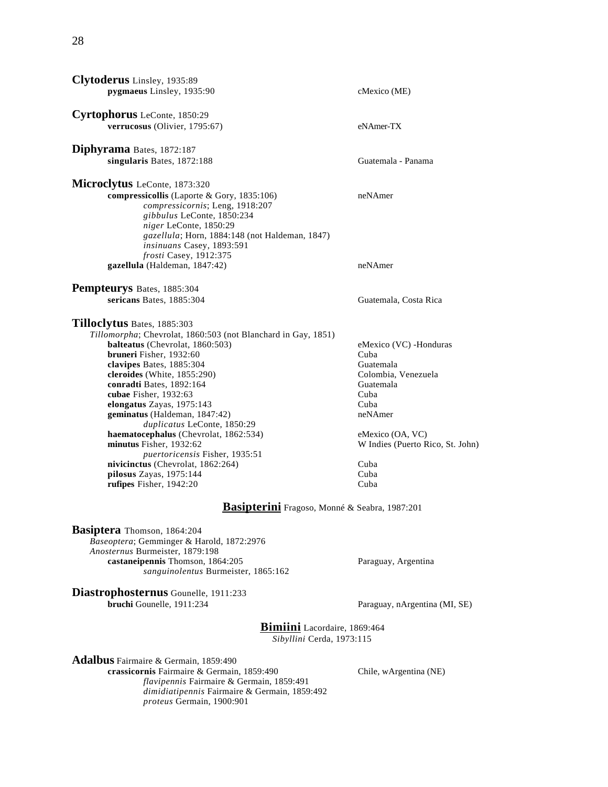| Clytoderus Linsley, 1935:89                                   |                                  |
|---------------------------------------------------------------|----------------------------------|
| pygmaeus Linsley, 1935:90                                     | cMexico (ME)                     |
|                                                               |                                  |
| Cyrtophorus LeConte, 1850:29                                  |                                  |
| verrucosus (Olivier, 1795:67)                                 | eNAmer-TX                        |
|                                                               |                                  |
| Diphyrama Bates, 1872:187                                     |                                  |
| singularis Bates, 1872:188                                    | Guatemala - Panama               |
| Microclytus LeConte, 1873:320                                 |                                  |
| compressicollis (Laporte & Gory, 1835:106)                    | neNAmer                          |
| compressicornis; Leng, 1918:207                               |                                  |
| gibbulus LeConte, 1850:234                                    |                                  |
| niger LeConte, 1850:29                                        |                                  |
| gazellula; Horn, 1884:148 (not Haldeman, 1847)                |                                  |
| insinuans Casey, 1893:591                                     |                                  |
| frosti Casey, 1912:375                                        |                                  |
| gazellula (Haldeman, 1847:42)                                 | neNAmer                          |
| Pempteurys Bates, 1885:304                                    |                                  |
| sericans Bates, 1885:304                                      | Guatemala, Costa Rica            |
|                                                               |                                  |
| Tilloclytus Bates, 1885:303                                   |                                  |
| Tillomorpha; Chevrolat, 1860:503 (not Blanchard in Gay, 1851) |                                  |
| balteatus (Chevrolat, 1860:503)                               | eMexico (VC) -Honduras           |
| bruneri Fisher, 1932:60                                       | Cuba                             |
| clavipes Bates, 1885:304                                      | Guatemala                        |
| cleroides (White, 1855:290)                                   | Colombia, Venezuela              |
| conradti Bates, 1892:164                                      | Guatemala                        |
| cubae Fisher, 1932:63                                         | Cuba<br>Cuba                     |
| elongatus Zayas, 1975:143<br>geminatus (Haldeman, 1847:42)    | neNAmer                          |
| duplicatus LeConte, 1850:29                                   |                                  |
| haematocephalus (Chevrolat, 1862:534)                         | eMexico (OA, VC)                 |
| minutus Fisher, 1932:62                                       | W Indies (Puerto Rico, St. John) |
| puertoricensis Fisher, 1935:51                                |                                  |
| nivicinctus (Chevrolat, 1862:264)                             | Cuba                             |
| pilosus Zayas, 1975:144                                       | Cuba                             |
| rufipes Fisher, 1942:20                                       | Cuba                             |
| <b>Basipterini</b> Fragoso, Monné & Seabra, 1987:201          |                                  |
| Basiptera Thomson, 1864:204                                   |                                  |
| Baseoptera; Gemminger & Harold, 1872:2976                     |                                  |
| Anosternus Burmeister, 1879:198                               |                                  |
| castaneipennis Thomson, 1864:205                              | Paraguay, Argentina              |
| sanguinolentus Burmeister, 1865:162                           |                                  |
|                                                               |                                  |
| Diastrophosternus Gounelle, 1911:233                          |                                  |
| bruchi Gounelle, 1911:234                                     | Paraguay, nArgentina (MI, SE)    |
| Bimiini Lacordaire, 1869:464                                  |                                  |
| Sibyllini Cerda, 1973:115                                     |                                  |
| <b>Adalbus</b> Fairmaire & Germain, 1859:490                  |                                  |
| crassicornis Fairmaire & Germain, 1859:490                    | Chile, wArgentina (NE)           |
| flavipennis Fairmaire & Germain, 1859:491                     |                                  |

*dimidiatipennis* Fairmaire & Germain, 1859:492

*proteus* Germain, 1900:901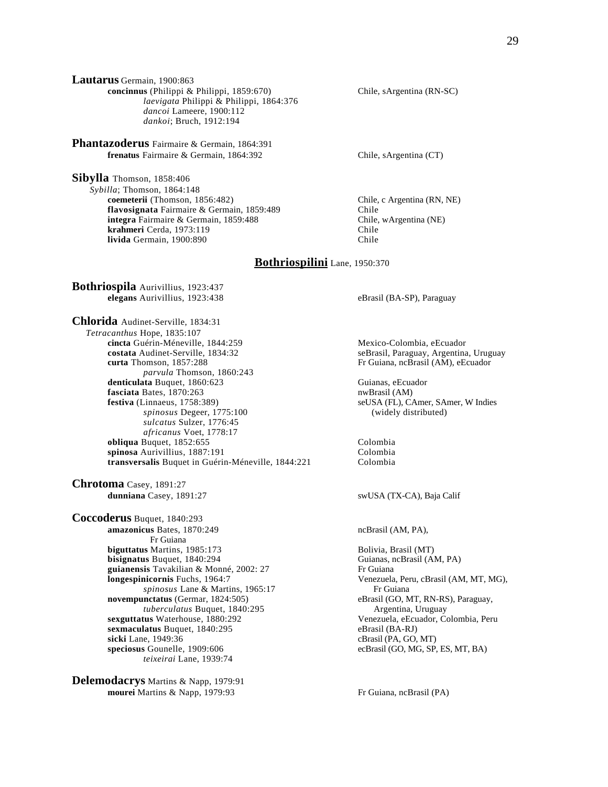**Lautarus** Germain, 1900:863 **concinnus** (Philippi & Philippi, 1859:670) Chile, sArgentina (RN-SC) *laevigata* Philippi & Philippi, 1864:376 *dancoi* Lameere, 1900:112 *dankoi*; Bruch, 1912:194

**Phantazoderus** Fairmaire & Germain, 1864:391 **frenatus** Fairmaire & Germain, 1864:392 Chile, sArgentina (CT)

**Sibylla** Thomson, 1858:406 *Sybilla*; Thomson, 1864:148 **coemeterii** (Thomson, 1856:482) Chile, c Argentina (RN, NE) **flavosignata** Fairmaire & Germain, 1859:489 Chile **integra** Fairmaire & Germain, 1859:488 Chile, wArgentina (NE)<br> **krahmeri** Cerda. 1973:119 Chile **krahmeri** Cerda, 1973:119<br>**livida** Germain. 1900:890 **livida** Germain, 1900:890

#### **Bothriospilini** Lane, 1950:370

**Bothriospila** Aurivillius, 1923:437 **elegans** Aurivillius, 1923:438 eBrasil (BA-SP), Paraguay

**Chlorida** Audinet-Serville, 1834:31 *Tetracanthus* Hope, 1835:107 **cincta** Guérin-Méneville, 1844:259<br> **costata** Audinet-Serville, 1834:32<br> **costata** Audinet-Serville, 1834:32 **costata** Audinet-Serville, 1834:32 seBrasil, Paraguay, Argentina, Uruguay<br> **curta** Thomson, 1857:288 Fr Guiana, ncBrasil (AM), eEcuador *parvula* Thomson, 1860:243 denticulata Buquet, 1860:623 Guianas, eEcuador **fasciata** Bates, 1870:263 nwBrasil (AM)<br> **festiva** (Linnaeus, 1758:389) seUSA (FL), C *spinosus* Degeer, 1775:100 *sulcatus* Sulzer, 1776:45 *africanus* Voet, 1778:17 **obliqua** Buquet, 1852:655 Colombia **spinosa** Aurivillius, 1887:191 Colombia<br> **transversalis** Buquet in Guérin-Méneville. 1844:221 Colombia transversalis Buquet in Guérin-Méneville, 1844:221

**Chrotoma** Casey, 1891:27<br>dunniana Casey, 1891:27

**Coccoderus** Buquet, 1840:293 **amazonicus** Bates, 1870:249 ncBrasil (AM, PA), Fr Guiana **biguttatus** Martins, 1985:173 Bolivia, Brasil (MT) **bisignatus** Buquet, 1840:294 Guianas, ncBrasil (AM, PA)<br> **puianensis** Tavakilian & Monné. 2002: 27 Fr Guiana guianensis Tavakilian & Monné, 2002: 27 **longespinicornis** Fuchs, 1964:7 Venezuela, Peru, cBrasil (AM, MT, MG), **novempunctatus** (Germar, 1824:505) eBrasil (GO, MT, RN-RS *tuberculatus* Buquet, 1840:295 Argentina, Uruguay *tuberculatus Buquet, 1840:295* **sexguttatus** Waterhouse, 1880:292 Venezuela, eEcuador, Colombia, Peru **sexmaculatus** Buquet, 1840:295 eBrasil (BA-RJ)<br> **sicki** Lane, 1949:36 eBrasil (PA, GO, **speciosus** Gounelle, 1909:606 ecBrasil (GO, MG, SP, ES, MT, BA) *teixeirai* Lane, 1939:74

**Delemodacrys** Martins & Napp, 1979:91 **mourei** Martins & Napp, 1979:93 Fr Guiana, ncBrasil (PA)

Fr Guiana, ncBrasil (AM), eEcuador

**feld SA (FL), CAmer, SAmer, W Indies**<br>(widely distributed)

swUSA (TX-CA), Baja Calif

*spinosus* Lane & Martins, 1965:17 **Fr** Guiana<br> **nctatus** (Germar, 1824:505) **Fr** Guiana **Example Brasil** (GO, MT, RN-RS), Paraguay, cBrasil (PA, GO, MT)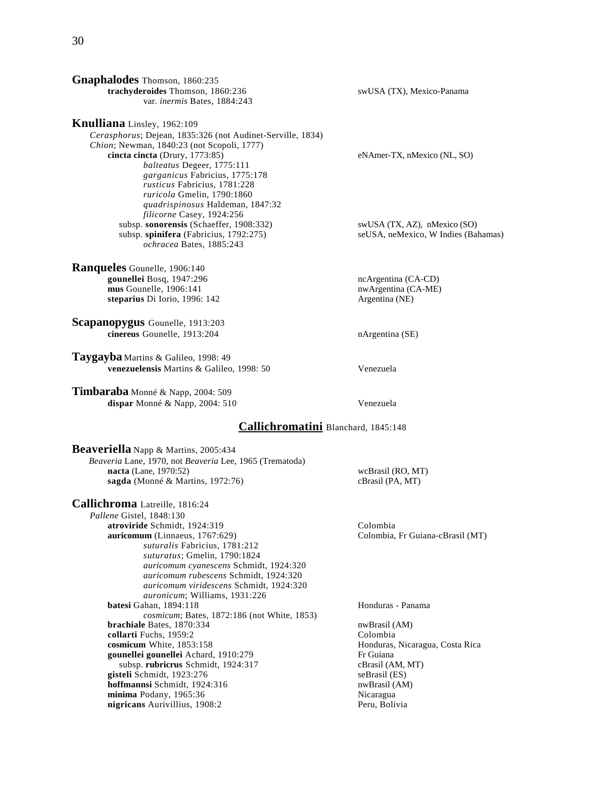**Gnaphalodes** Thomson, 1860:235 **trachyderoides** Thomson, 1860:236 swUSA (TX), Mexico-Panama var. *inermis* Bates, 1884:243

**Knulliana** Linsley, 1962:109 *Cerasphorus*; Dejean, 1835:326 (not Audinet-Serville, 1834) *Chion*; Newman, 1840:23 (not Scopoli, 1777) **cincta cincta** (Drury, 1773:85) eNAmer-TX, nMexico (NL, SO) *balteatus* Degeer, 1775:111 *garganicus* Fabricius, 1775:178 *rusticus* Fabricius, 1781:228 *ruricola* Gmelin, 1790:1860 *quadrispinosus* Haldeman, 1847:32 *filicorne* Casey, 1924:256 subsp. **sonorensis** (Schaeffer, 1908:332) swUSA (TX, AZ), nMexico (SO) subsp. **spinifera** (Fabricius, 1792:275) seUSA, neMexico, W Indies (Bahamas) *ochracea* Bates, 1885:243

**Ranqueles** Gounelle, 1906:140 **gounellei** Bosq, 1947:296 **ncArgentina (CA-CD)**<br> **mus** Gounelle, 1906:141 **nvArgentina (CA-ME)**  $\text{mus}$  Gounelle, 1906:141 **steparius** Di Iorio, 1996: 142 Argentina (NE)

**Scapanopygus** Gounelle, 1913:203 **cinereus** Gounelle, 1913:204 nArgentina (SE)

**Taygayba** Martins & Galileo, 1998: 49 **venezuelensis** Martins & Galileo, 1998: 50 Venezuela

**Timbaraba** Monné & Napp, 2004: 509 **dispar** Monné & Napp, 2004: 510 Venezuela

#### **Callichromatini** Blanchard, 1845:148

**Beaveriella** Napp & Martins, 2005:434 *Beaveria* Lane, 1970, not *Beaveria* Lee, 1965 (Trematoda) **nacta** (Lane, 1970:52)<br> **sagda** (Monné & Martins, 1972:76) cBrasil (PA, MT) sagda (Monné & Martins, 1972:76)

**Callichroma** Latreille, 1816:24 *Pallene* Gistel, 1848:130 **atroviride** Schmidt, 1924:319 Colombia **auricomum** (Linnaeus, 1767:629) Colombia, Fr Guiana-cBrasil (MT) *suturalis* Fabricius, 1781:212 *suturatus*; Gmelin, 1790:1824 *auricomum cyanescens* Schmidt, 1924:320 *auricomum rubescens* Schmidt, 1924:320 *auricomum viridescens* Schmidt, 1924:320 *auronicum*; Williams, 1931:226 **batesi** Gahan, 1894:118 **Honduras - Panama**  *cosmicum*; Bates, 1872:186 (not White, 1853) **brachiale** Bates, 1870:334 nwBrasil (AM)<br> **collarti** Fuchs, 1959:2 Colombia collarti Fuchs, 1959:2 **cosmicum** White, 1853:158 **Honduras, Nicaragua, Costa Rica** gounellei gounellei Achard, 1910:279 Fr Guiana subsp. **rubricrus** Schmidt, 1924:317 cBrasil (AM, MT) **gisteli** Schmidt, 1923:276 seBrasil (ES) **hoffmannsi** Schmidt, 1924:316 nwBrasil (AM) **minima** Podany, 1965:36<br> **nigricans** Aurivillius, 1908:2 nigricans Aurivillius, 1908:2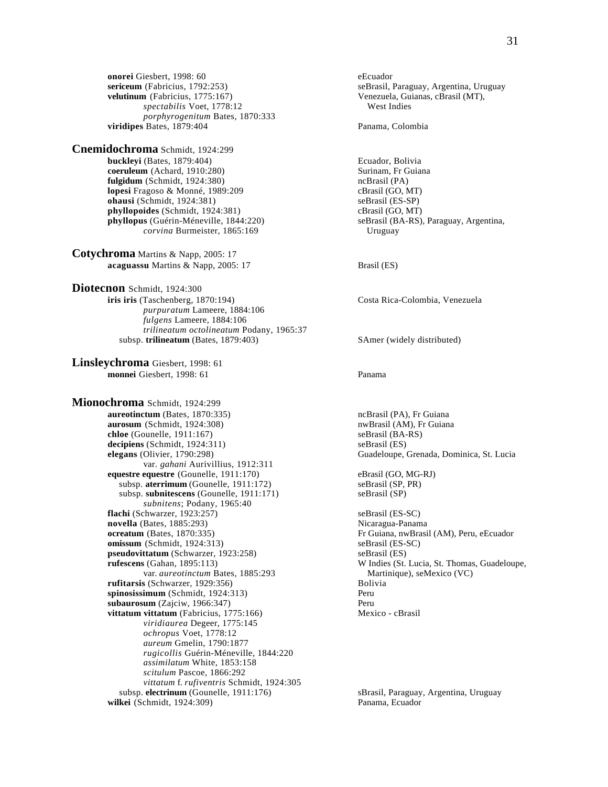**onorei** Giesbert, 1998: 60 eEcuador **velutinum** (Fabricius, 1775:167) Venezuela, Guianas, cBrasil (MT), *spectabilis* Voet, 1778:12 West Indies *porphyrogenitum* Bates, 1870:333 **viridipes** Bates, 1879:404 **Panama, Colombia** 

**Cnemidochroma** Schmidt, 1924:299 **buckleyi** (Bates, 1879:404)<br> **buckleyi** (Bates, 1879:404)<br> **coeruleum** (Achard, 1910:280)<br> **Ecuador, Bolivia**<br>
Surinam, Fr Guiana **coeruleum** (Achard, 1910:280) **fulgidum** (Schmidt, 1924:380)<br> **lopesi** Fragoso & Monné, 1989:209 **no Character Contains Contains Contains Contains Contains Contains Contains Contains Contains Contains Contains Contains Contains Contains Contains Contai lopesi** Fragoso & Monné, 1989:209 **ohausi** (Schmidt, 1924:381) seBrasil (ES-SP) **phyllopoides** (Schmidt, 1924:381)<br> **phyllopus** (Guérin-Méneville, 1844:220) **cBrasil (GO, MT)** seBrasil (BA-RS), Paraguay, Argentina, **phyllopus** (Guérin-Méneville, 1844:220) *corvina* Burmeister, 1865:169 Uruguay

**Cotychroma** Martins & Napp, 2005: 17 **acaguassu** Martins & Napp, 2005: 17 Brasil (ES)

**Diotecnon** Schmidt, 1924:300 **iris iris** (Taschenberg, 1870:194) Costa Rica-Colombia, Venezuela *purpuratum* Lameere, 1884:106 *fulgens* Lameere, 1884:106 *trilineatum octolineatum* Podany, 1965:37 subsp. trilineatum (Bates, 1879:403) SAmer (widely distributed)

**Linsleychroma** Giesbert, 1998: 61 **monnei** Giesbert, 1998: 61 Panama

**Mionochroma** Schmidt, 1924:299 **aureotinctum** (Bates, 1870:335) **ncBrasil (PA), Fr Guiana aurosum** (Schmidt, 1924:308) **nwBrasil** (AM), Fr Guiana **chloe** (Gounelle, 1911:167) seBrasil (BA-RS)<br> **decipiens** (Schmidt, 1924:311) seBrasil (ES) **decipiens** (Schmidt, 1924:311)<br>**elegans** (Olivier, 1790:298) var*. gahani* Aurivillius, 1912:311 **eguestre equestre** (Gounelle, 1911:170) eBrasil (GO, MG-RJ) subsp. **aterrimum** (Gounelle, 1911:172) seBrasil (SP, PR) subsp. **aterrimum** (Gounelle, 1911:172) subsp. subnitescens (Gounelle, 1911:171) seBrasil (SP) *subnitens*; Podany, 1965:40 **flachi** (Schwarzer, 1923:257) seBrasil (ES-SC) **novella** (Bates, 1885:293)<br> **ocreatum** (Bates, 1870:335)<br>
Fr Guiana, nwBrasi **omissum** (Schmidt, 1924:313) seBrasil (ES-SC) **pseudovittatum** (Schwarzer, 1923:258) seBrasil (ES)<br> **rufescens** (Gahan, 1895:113) W Indies (St. var. *aureotinctum* Bates, 1885:293 Martinique), seMexico (VC) **rufitarsis** (Schwarzer, 1929:356) Bolivia **spinosissimum** (Schmidt, 1924:313) Peru **subaurosum** (Zajciw, 1966:347) Peru **vittatum vittatum** (Fabricius, 1775:166) Mexico - cBrasil *viridiaurea* Degeer, 1775:145 *ochropus* Voet, 1778:12 *aureum* Gmelin, 1790:1877 *rugicollis* Guérin-Méneville, 1844:220 *assimilatum* White, 1853:158 *scitulum* Pascoe, 1866:292 *vittatum* f. *rufiventris* Schmidt, 1924:305 subsp. **electrinum** (Gounelle, 1911:176) sBrasil, Paraguay, Argentina, Uruguay **wilkei** (Schmidt, 1924:309) Panama, Ecuador

seBrasil, Paraguay, Argentina, Uruguay

Guadeloupe, Grenada, Dominica, St. Lucia

Fr Guiana, nwBrasil (AM), Peru, eEcuador W Indies (St. Lucia, St. Thomas, Guadeloupe,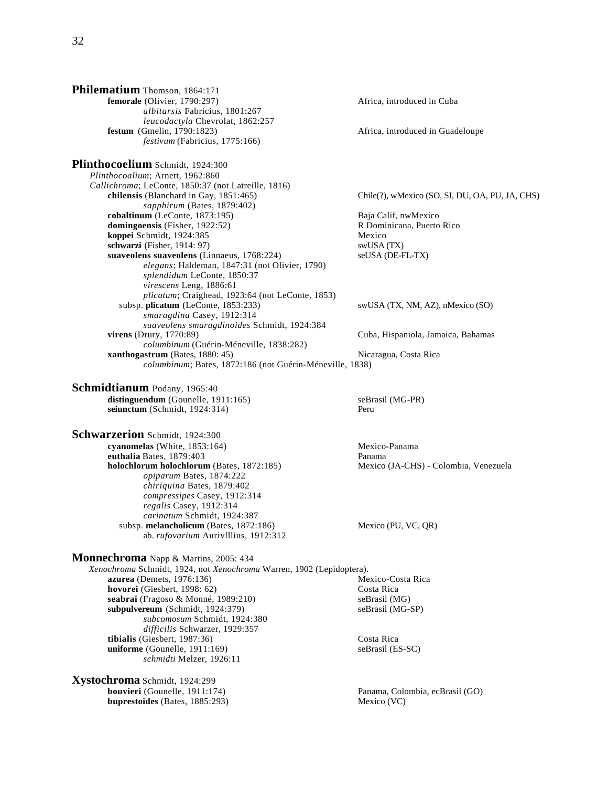**Philematium** Thomson, 1864:171 **femorale** (Olivier, 1790:297) **Africa, introduced in Cuba**  *albitarsis* Fabricius, 1801:267 *leucodactyla* Chevrolat, 1862:257<br>**festum** (Gmelin, 1790:1823) Africa, introduced in Guadeloupe *festivum* (Fabricius, 1775:166) **Plinthocoelium** Schmidt, 1924:300 *Plinthocoalium*; Arnett, 1962:860 *Callichroma*; LeConte, 1850:37 (not Latreille, 1816) **chilensis** (Blanchard in Gay, 1851:465) Chile(?), wMexico (SO, SI, DU, OA, PU, JA, CHS) *sapphirum* (Bates, 1879:402) **cobaltinum** (LeConte, 1873:195) Baja Calif, nwMexico **domingoensis** (Fisher, 1922:52) R Dominicana, Puerto Rico **koppei Schmidt, 1924:385** Mexico<br> **schwarzi** (Fisher, 1914: 97) Mexico swUSA (TX) **schwarzi** (Fisher, 1914: 97) suaveolens suaveolens (Linnaeus, 1768:224) seUSA (DE-FL-TX) *elegans*; Haldeman, 1847:31 (not Olivier, 1790) *splendidum* LeConte, 1850:37 *virescens* Leng, 1886:61 *plicatum*; Craighead, 1923:64 (not LeConte, 1853) subsp. **plicatum** (LeConte, 1853:233) swUSA (TX, NM, AZ), nMexico (SO) *smaragdina* Casey, 1912:314 *suaveolens smaragdinoides* Schmidt, 1924:384 **virens** (Drury, 1770:89) Cuba, Hispaniola, Jamaica, Bahamas *columbinum* (Guérin-Méneville, 1838:282) **xanthogastrum** (Bates, 1880: 45) Nicaragua, Costa Rica *columbinum*; Bates, 1872:186 (not Guérin-Méneville, 1838) **Schmidtianum** Podany, 1965:40

distinguendum (Gounelle, 1911:165) seBrasil (MG-PR) **seiunctum** (Schmidt, 1924:314) Peru

**Schwarzerion** Schmidt, 1924:300 **cyanomelas** (White, 1853:164) Mexico-Panama **euthalia** Bates, 1879:403 Panama **holochlorum holochlorum** (Bates, 1872:185) Mexico (JA-CHS) - Colombia, Venezuela *opiparum* Bates, 1874:222 *chiriquina* Bates, 1879:402 *compressipes* Casey, 1912:314 *regalis* Casey, 1912:314 *carinatum* Schmidt, 1924:387 subsp. melancholicum (Bates, 1872:186) Mexico (PU, VC, QR) ab. *rufovarium* Aurivlllius, 1912:312

**Monnechroma** Napp & Martins, 2005: 434

*Xenochroma* Schmidt, 1924, not *Xenochroma* Warren, 1902 (Lepidoptera). **azurea** (Demets, 1976:136) Mexico-Costa Rica **hovorei** (Giesbert, 1998: 62) Costa Rica seabrai (Fragoso & Monné, 1989:210) seBrasil (MG) **subpulvereum** (Schmidt, 1924:379) seBrasil (MG-SP) *subcomosum* Schmidt, 1924:380 *difficilis* Schwarzer, 1929:357 **tibialis** (Giesbert, 1987:36) Costa Rica **uniforme** (Gounelle, 1911:169) seBrasil (ES-SC) *schmidti* Melzer, 1926:11

**Xystochroma** Schmidt, 1924:299 **bouvieri** (Gounelle, 1911:174) Panama, Colombia, ecBrasil (GO) **buprestoides** (Bates, 1885:293) Mexico (VC)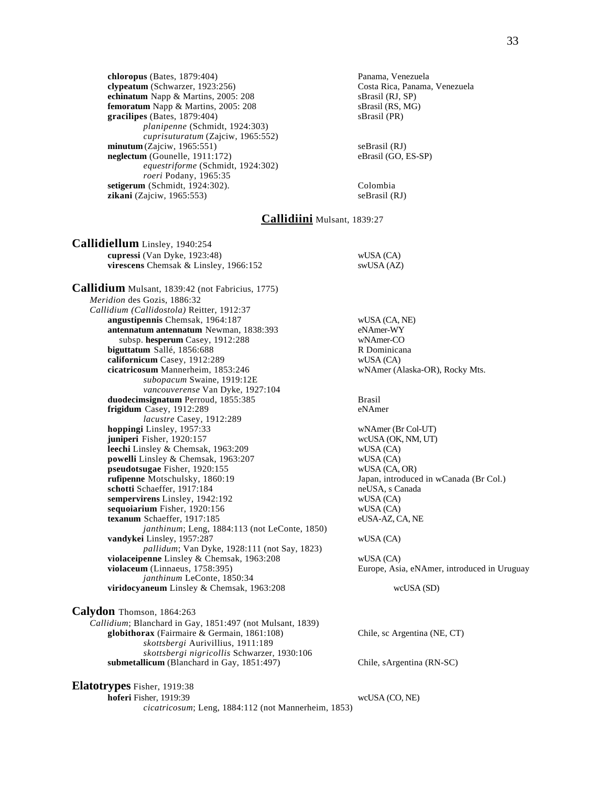**chloropus** (Bates, 1879:404)<br> **clypeatum** (Schwarzer, 1923:256) **Panama, Venezuela**<br>
Costa Rica, Panama, Venezuela **clypeatum** (Schwarzer, 1923:256) **echinatum** Napp & Martins, 2005: 208 sBrasil (RJ, SP) **femoratum** Napp & Martins, 2005: 208 sBrasil (RS, MG)<br> **gracilipes** (Bates, 1879:404) sBrasil (PR) gracilipes (Bates, 1879:404) *planipenne* (Schmidt, 1924:303) *cuprisuturatum* (Zajciw, 1965:552) **minutum** (Zajciw, 1965:551)<br> **neglectum** (Gounelle, 1911:172) SeBrasil (GO, ES-SP) **neglectum** (Gounelle, 1911:172) *equestriforme* (Schmidt, 1924:302) *roeri* Podany, 1965:35 **setigerum** (Schmidt, 1924:302). Colombia **zikani** (Zajciw, 1965:553) seBrasil (RJ)

# **Callidiini** Mulsant, 1839:27

**Callidiellum** Linsley, 1940:254 **cupressi** (Van Dyke, 1923:48) wUSA (CA) **virescens** Chemsak & Linsley, 1966:152 swUSA (AZ) **Callidium** Mulsant, 1839:42 (not Fabricius, 1775) *Meridion* des Gozis, 1886:32 *Callidium (Callidostola)* Reitter, 1912:37 **angustipennis** Chemsak, 1964:187 wUSA (CA, NE) **antennatum antennatum** Newman, 1838:393 eNAmer-WY<br>subsp. hesperum Casev. 1912:288 wNAmer-CO subsp. **hesperum** Casey, 1912:288 wNAmer-CO<br> **uttatum** Sallé. 1856:688 R Dominicana **biguttatum** Sallé, 1856:688 **californicum** Casey, 1912:289 wUSA (CA) **cicatricosum** Mannerheim, 1853:246 wNAmer (Alaska-OR), Rocky Mts. *subopacum* Swaine, 1919:12E *vancouverense* Van Dyke, 1927:104 **duodecimsignatum** Perroud, 1855:385 Brasil<br> **frigidum** Casey, 1912:289 eNAmer frigidum Casey, 1912:289 *lacustre* Casey, 1912:289 **hoppingi** Linsley, 1957:33 wNAmer (Br Col-UT) **juniperi** Fisher, 1920:157 wcUSA (OK, NM, UT) **leechi** Linsley & Chemsak, 1963:209 wUSA (CA) wUSA (CA) wUSA (CA) **powelli** Linsley & Chemsak, 1963:207 **pseudotsugae** Fisher, 1920:155 wUSA (CA, OR) **rufipenne** Motschulsky, 1860:19 Japan, introduced in wCanada (Br Col.) **schotti** Schaeffer, 1917:184 neUSA, s Canada **sempervirens** Linsley, 1942:192 wUSA (CA) **sequoiarium** Fisher, 1920:156 wUSA (CA)<br> **texanum** Schaeffer, 1917:185 wUSA-AZ, CA, NE texanum Schaeffer, 1917:185 *janthinum*; Leng, 1884:113 (not LeConte, 1850) **vandykei** Linsley, 1957:287 wUSA (CA) *pallidum*; Van Dyke, 1928:111 (not Say, 1823) **violaceipenne** Linsley & Chemsak, 1963:208 wUSA (CA) **violaceum** (Linnaeus, 1758:395) Europe, Asia, eNAmer, introduced in Uruguay *janthinum* LeConte, 1850:34 **viridocyaneum** Linsley & Chemsak, 1963:208 wcUSA (SD) **Calydon** Thomson, 1864:263 *Callidium*; Blanchard in Gay, 1851:497 (not Mulsant, 1839) **globithorax** (Fairmaire & Germain, 1861:108) Chile, sc Argentina (NE, CT) *skottsbergi* Aurivillius, 1911:189 *skottsbergi nigricollis* Schwarzer, 1930:106 **submetallicum** (Blanchard in Gay, 1851:497) Chile, sArgentina (RN-SC) **Elatotrypes** Fisher, 1919:38 **hoferi** Fisher, 1919:39 wcUSA (CO, NE) *cicatricosum*; Leng, 1884:112 (not Mannerheim, 1853)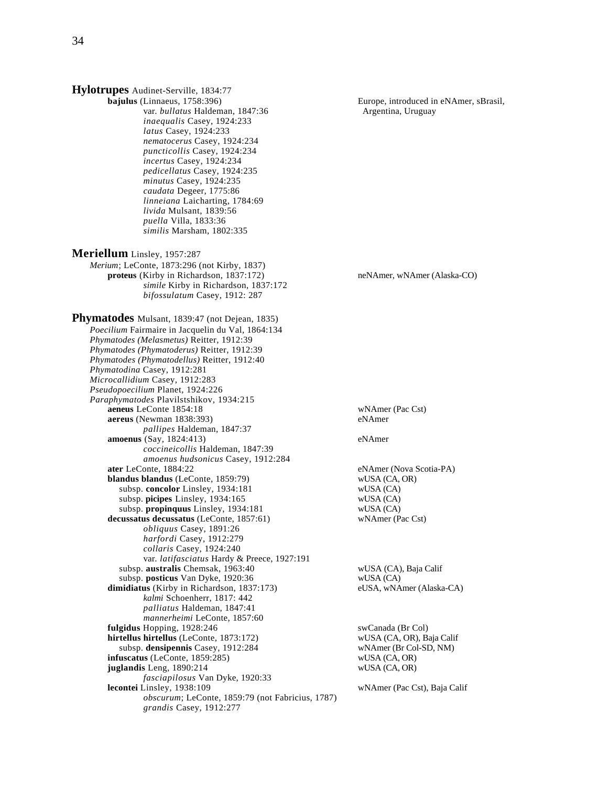| Hylotrupes Audinet-Serville, 1834:77                                           |                                        |
|--------------------------------------------------------------------------------|----------------------------------------|
| bajulus (Linnaeus, 1758:396)                                                   | Europe, introduced in eNAmer, sBrasil, |
| var. bullatus Haldeman, 1847:36                                                | Argentina, Uruguay                     |
| inaequalis Casey, 1924:233                                                     |                                        |
| latus Casey, 1924:233                                                          |                                        |
| nematocerus Casey, 1924:234                                                    |                                        |
| puncticollis Casey, 1924:234                                                   |                                        |
| incertus Casey, 1924:234                                                       |                                        |
| pedicellatus Casey, 1924:235                                                   |                                        |
| minutus Casey, 1924:235                                                        |                                        |
| caudata Degeer, 1775:86                                                        |                                        |
| linneiana Laicharting, 1784:69                                                 |                                        |
| livida Mulsant, 1839:56                                                        |                                        |
| puella Villa, 1833:36                                                          |                                        |
| similis Marsham, 1802:335                                                      |                                        |
| Meriellum Linsley, 1957:287                                                    |                                        |
| Merium; LeConte, 1873:296 (not Kirby, 1837)                                    |                                        |
| proteus (Kirby in Richardson, 1837:172)                                        | neNAmer, wNAmer (Alaska-CO)            |
| simile Kirby in Richardson, 1837:172                                           |                                        |
| bifossulatum Casey, 1912: 287                                                  |                                        |
| Phymatodes Mulsant, 1839:47 (not Dejean, 1835)                                 |                                        |
| Poecilium Fairmaire in Jacquelin du Val, 1864:134                              |                                        |
| Phymatodes (Melasmetus) Reitter, 1912:39                                       |                                        |
| Phymatodes (Phymatoderus) Reitter, 1912:39                                     |                                        |
| Phymatodes (Phymatodellus) Reitter, 1912:40                                    |                                        |
| Phymatodina Casey, 1912:281                                                    |                                        |
| Microcallidium Casey, 1912:283                                                 |                                        |
| Pseudopoecilium Planet, 1924:226                                               |                                        |
| Paraphymatodes Plavilstshikov, 1934:215                                        |                                        |
| aeneus LeConte 1854:18                                                         | wNAmer (Pac Cst)                       |
| aereus (Newman 1838:393)                                                       | eNAmer                                 |
| pallipes Haldeman, 1847:37                                                     |                                        |
| <b>amoenus</b> (Say, 1824:413)                                                 | eNAmer                                 |
| coccineicollis Haldeman, 1847:39                                               |                                        |
| amoenus hudsonicus Casey, 1912:284                                             |                                        |
| ater LeConte, 1884:22                                                          | eNAmer (Nova Scotia-PA)                |
| blandus blandus (LeConte, 1859:79)                                             | wUSA (CA, OR)                          |
| subsp. concolor Linsley, 1934:181                                              | WUSA (CA)                              |
| subsp. picipes Linsley, 1934:165<br>subsp. propinquus Linsley, 1934:181        | WUSA (CA)<br>wUSA (CA)                 |
| decussatus decussatus (LeConte, 1857:61)                                       | wNAmer (Pac Cst)                       |
| obliquus Casey, 1891:26                                                        |                                        |
| harfordi Casey, 1912:279                                                       |                                        |
| collaris Casey, 1924:240                                                       |                                        |
| var. latifasciatus Hardy & Preece, 1927:191                                    |                                        |
| subsp. australis Chemsak, 1963:40                                              | wUSA (CA), Baja Calif                  |
| subsp. posticus Van Dyke, 1920:36                                              | WUSA (CA)                              |
| dimidiatus (Kirby in Richardson, 1837:173)                                     | eUSA, wNAmer (Alaska-CA)               |
| kalmi Schoenherr, 1817: 442                                                    |                                        |
| palliatus Haldeman, 1847:41                                                    |                                        |
| mannerheimi LeConte, 1857:60                                                   |                                        |
| fulgidus Hopping, 1928:246                                                     | swCanada (Br Col)                      |
| hirtellus hirtellus (LeConte, 1873:172)                                        | wUSA (CA, OR), Baja Calif              |
| subsp. densipennis Casey, 1912:284                                             | wNAmer (Br Col-SD, NM)                 |
| infuscatus (LeConte, 1859:285)                                                 | wUSA (CA, OR)                          |
| juglandis Leng, 1890:214                                                       | wUSA (CA, OR)                          |
| fasciapilosus Van Dyke, 1920:33                                                |                                        |
| lecontei Linsley, 1938:109<br>obscurum; LeConte, 1859:79 (not Fabricius, 1787) | wNAmer (Pac Cst), Baja Calif           |
| grandis Casey, 1912:277                                                        |                                        |
|                                                                                |                                        |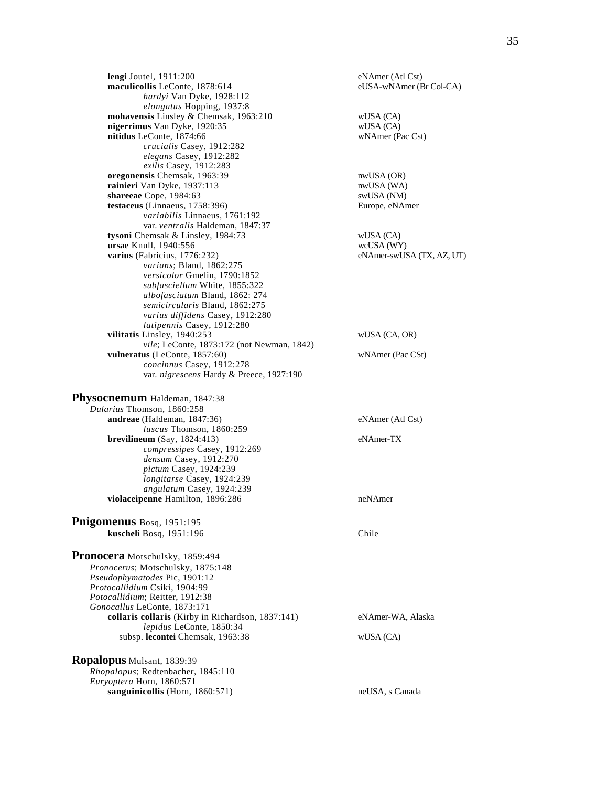**lengi** Joutel, 1911:200 eNAmer (Atl Cst)<br> **maculicollis** LeConte, 1878:614 eUSA-wNAmer (Br Col-CA) maculicollis LeConte, 1878:614 *hardyi* Van Dyke, 1928:112 *elongatus* Hopping, 1937:8 **mohavensis** Linsley & Chemsak, 1963:210 wUSA (CA) wUSA (CA) <br> **nigerrimus** Van Dyke, 1920:35 **nigerrimus** Van Dyke, 1920:35 **nitidus** LeConte, 1874:66 wNAmer (Pac Cst) *crucialis* Casey, 1912:282 *elegans* Casey, 1912:282 *exilis* Casey, 1912:283 **oregonensis** Chemsak, 1963:39 nwUSA (OR) **rainieri** Van Dyke, 1937:113 nwUSA (WA) **shareeae** Cope, 1984:63 swUSA (NM) testaceus (Linnaeus, 1758:396) Europe, eNAmer *variabilis* Linnaeus, 1761:192 var. *ventralis* Haldeman, 1847:37 **tysoni** Chemsak & Linsley, 1984:73 wUSA (CA) **ursae** Knull, 1940:556 wcUSA (WY) varius (Fabricius, 1776:232) eNAmer-swUSA (TX, AZ, UT) *varians*; Bland, 1862:275 *versicolor* Gmelin, 1790:1852 *subfasciellum* White, 1855:322 *albofasciatum* Bland, 1862: 274 *semicircularis* Bland, 1862:275 *varius diffidens* Casey, 1912:280 *latipennis* Casey, 1912:280 **vilitatis** Linsley, 1940:253 wUSA (CA, OR) *vile*; LeConte, 1873:172 (not Newman, 1842) **vulneratus** (LeConte, 1857:60) wNAmer (Pac CSt) *concinnus* Casey, 1912:278 var. *nigrescens* Hardy & Preece, 1927:190

| Physocnemum Haldeman, 1847:38      |                  |
|------------------------------------|------------------|
| <i>Dularius</i> Thomson, 1860:258  |                  |
| <b>andreae</b> (Haldeman, 1847:36) | eNAmer (Atl Cst) |
| <i>luscus</i> Thomson, 1860:259    |                  |
| brevilineum $(Say, 1824:413)$      | eNAmer-TX        |
| compressipes Casey, 1912:269       |                  |
| densum Casey, 1912:270             |                  |
| pictum Casey, 1924:239             |                  |
| longitarse Casey, 1924:239         |                  |
| angulatum Casey, 1924:239          |                  |
| violaceipenne Hamilton, 1896:286   | neNAmer          |
| Pnigomenus Bosq, 1951:195          |                  |

 **kuscheli** Bosq, 1951:196 Chile **Pronocera** Motschulsky, 1859:494 *Pronocerus*; Motschulsky, 1875:148 *Pseudophymatodes* Pic, 1901:12 *Protocallidium* Csiki, 1904:99 *Potocallidium*; Reitter, 1912:38 *Gonocallus* LeConte, 1873:171 **collaris collaris** (Kirby in Richardson, 1837:141) eNAmer-WA, Alaska

 *lepidus* LeConte, 1850:34 subsp. **lecontei** Chemsak, 1963:38 wUSA (CA) **Ropalopus** Mulsant, 1839:39

## *Rhopalopus*; Redtenbacher, 1845:110 *Euryoptera* Horn, 1860:571 sanguinicollis (Horn, 1860:571) neUSA, s Canada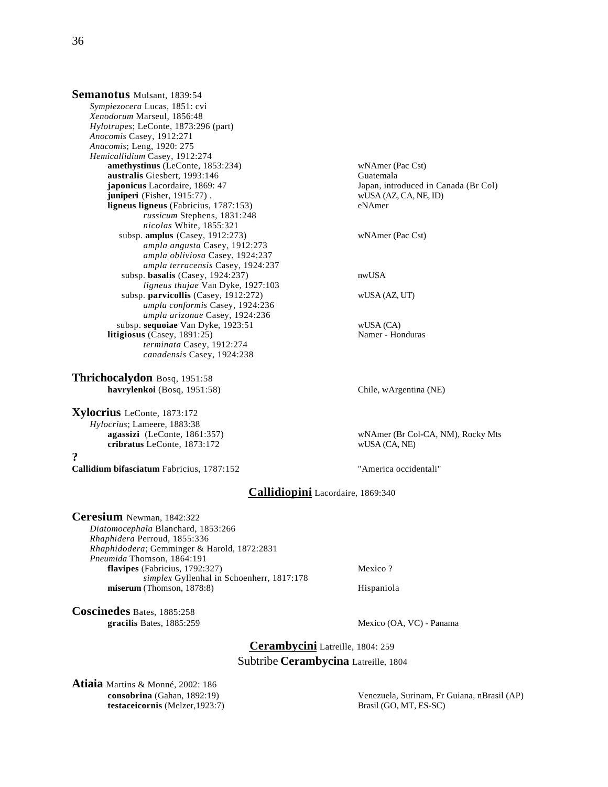**Semanotus** Mulsant, 1839:54 *Sympiezocera* Lucas, 1851: cvi *Xenodorum* Marseul, 1856:48 *Hylotrupes*; LeConte, 1873:296 (part) *Anocomis* Casey, 1912:271 *Anacomis*; Leng, 1920: 275 *Hemicallidium* Casey, 1912:274 **amethystinus** (LeConte, 1853:234) wNAmer (Pac Cst) **australis** Giesbert, 1993:146 Guatemala **japonicus** Lacordaire, 1869: 47 Japan, introduced in Canada (Br Col) **juniperi** (Fisher, 1915:77) . wUSA (AZ, CA, NE, ID)<br> **ligneus ligneus** (Fabricius, 1787:153) eNAmer **ligneus ligneus** (Fabricius, 1787:153) *russicum* Stephens, 1831:248 *nicolas* White, 1855:321 subsp. **amplus** (Casey, 1912:273) wNAmer (Pac Cst) *ampla angusta* Casey, 1912:273 *ampla obliviosa* Casey, 1924:237 *ampla terracensis* Casey, 1924:237 subsp. **basalis** (Casey, 1924:237) nwUSA *ligneus thujae* Van Dyke, 1927:103 subsp. **parvicollis** (Casey, 1912:272) wUSA (AZ, UT) *ampla conformis* Casey, 1924:236 *ampla arizonae* Casey, 1924:236 subsp. **sequoiae** Van Dyke, 1923:51 wUSA (CA)  $litingious (Casey, 1891:25)$  *terminata* Casey, 1912:274 *canadensis* Casey, 1924:238

**Thrichocalydon** Bosq, 1951:58 **havrylenkoi** (Bosq, 1951:58) Chile, wArgentina (NE)

**Xylocrius** LeConte, 1873:172 *Hylocrius*; Lameere, 1883:38 cribratus LeConte, 1873:172

**?**

**Callidium bifasciatum** Fabricius, 1787:152 "America occidentali"

**agassizi** (LeConte, 1861:357) wNAmer (Br Col-CA, NM), Rocky Mts<br> **cribratus** LeConte, 1873:172 wUSA (CA, NE)

# **Callidiopini** Lacordaire, 1869:340

**Ceresium** Newman, 1842:322 *Diatomocephala* Blanchard, 1853:266 *Rhaphidera* Perroud, 1855:336 *Rhaphidodera*; Gemminger & Harold, 1872:2831 *Pneumida* Thomson, 1864:191 **flavipes** (Fabricius, 1792:327) Mexico ? *simplex* Gyllenhal in Schoenherr, 1817:178 **miserum** (Thomson, 1878:8) Hispaniola

**Coscinedes** Bates, 1885:258

Mexico (OA, VC) - Panama

**Cerambycini** Latreille, 1804: 259 Subtribe **Cerambycina** Latreille, 1804

**Atiaia** Martins & Monné, 2002: 186<br>**consobrina** (Gahan, 1892:19) **testaceicornis** (Melzer,1923:7) Brasil (GO, MT, ES-SC)

Venezuela, Surinam, Fr Guiana, nBrasil (AP)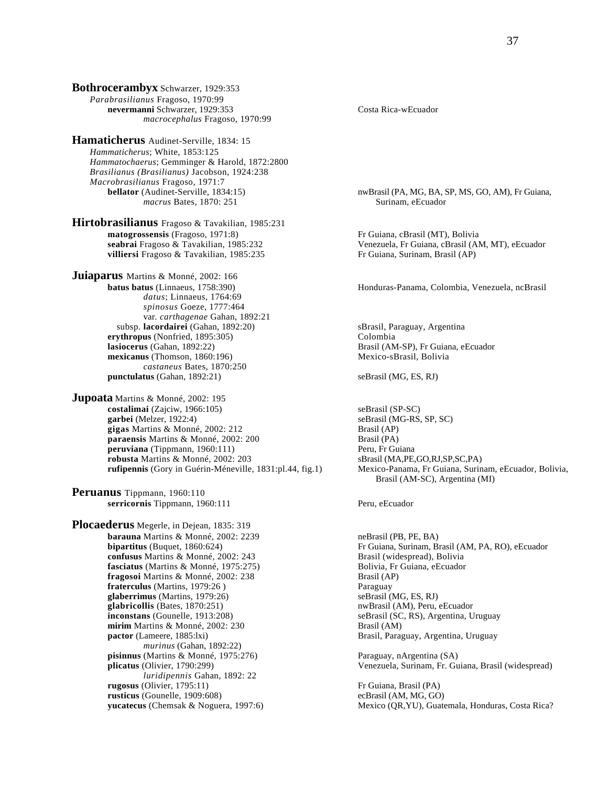**Bothrocerambyx** Schwarzer, 1929:353 *Parabrasilianus* Fragoso, 1970:99 **nevermanni** Schwarzer, 1929:353 Costa Rica-wEcuador *macrocephalus* Fragoso, 1970:99

**Hamaticherus** Audinet-Serville, 1834: 15 *Hammaticherus*; White, 1853:125 *Hammatochaerus*; Gemminger & Harold, 1872:2800 *Brasilianus (Brasilianus)* Jacobson, 1924:238 *Macrobrasilianus Fragoso, 1971:7*<br>**bellator** (Audinet-Serville, 1834:15) *macrus* Bates, 1870: 251 Surinam, eEcuador

**Hirtobrasilianus** Fragoso & Tavakilian, 1985:231 matogrossensis (Fragoso, 1971:8) **matogrossensis** (Fragoso, 1971:8)<br> **Fr** Guiana, cBrasil (MT), Bolivia<br> **Seabrai** Fragoso & Tavakilian, 1985:232<br> **Fragoso & Tavakilian, 1985:232**<br> **Prophermic Contract Contract Contract Contract Contract Contract Contract villiersi** Fragoso & Tavakilian, 1985:235 Fr Guiana, Surinam, Brasil (AP)

**Juiaparus** Martins & Monné, 2002: 166<br>**batus batus** (Linnaeus, 1758:390) *datus*; Linnaeus, 1764:69 *spinosus* Goeze, 1777:464 var. *carthagenae* Gahan, 1892:21 subsp. **lacordairei** (Gahan, 1892:20) <br> **sBrasil, Paraguay, Argentina**<br> **colombia**<br> **colombia erythropus** (Nonfried, 1895:305) **lasiocerus** (Gahan, 1892:22) **Brasil (AM-SP), Fr Guiana, eEcuador** Brasil (AM-SP), Fr Guiana, eEcuador **mexicanus** (Thomson, 1860:196) Mexico-sBrasil, Bolivia *castaneus* Bates, 1870:250 **punctulatus** (Gahan, 1892:21) seBrasil (MG, ES, RJ)

**Jupoata** Martins & Monné, 2002: 195 **costalimai** (Zajciw, 1966:105) seBrasil (SP-SC) **garbei** (Melzer, 1922:4) seBrasil (MG-RS, SP, SC) **gigas** Martins & Monné, 2002: 212 **Brasil (AP)**<br> **paraensis** Martins & Monné, 2002: 200 **Brasil (PA) paraensis** Martins & Monné, 2002: 200 **peruviana** (Tippmann, 1960:111)<br> **peruviana** (Tippmann, 1960:111)<br> **peruviana** (MA,PE,GO,RJ,SP,SC,PA) **robusta** Martins & Monné, 2002: 203<br> **rufipennis** (Gory in Guérin-Méneville, 1831:pl.44, fig.1) Mexico-Panama, Fr Guiana, Surinam, eEcuador, Bolivia, **rufipennis** (Gory in Guérin-Méneville, 1831:pl.44, fig.1)

**Peruanus** Tippmann, 1960:110 **serricornis** Tippmann, 1960:111 Peru, eEcuador

**Plocaederus** Megerle, in Dejean, 1835: 319 **barauna** Martins & Monné, 2002: 2239 **neBrasil (PB, PE, BA)**<br> **bipartitus** (Buquet, 1860:624) Fr Guiana, Surinam, Br **confusus** Martins & Monné, 2002: 243 Brasil (widespread), Bolivia **fasciatus** (Martins & Monné, 1975:275) Bolivia, Fr Guiana, eEcuador **fragosoi** Martins & Monné, 2002: 238 Brasil (AP) **fraterculus** (Martins, 1979:26 )<br> **glaberrimus** (Martins, 1979:26)<br>
SeBrasil (MG, ES, RJ) **glaberrimus** (Martins, 1979:26)<br> **glabricollis** (Bates, 1870:251) SeBrasil (MG, ES, RJ) **seBrasil** (AM), Peru, eEcuador  $q$ **labricollis** (Bates, 1870:251) **inconstans** (Gounelle, 1913:208) seBrasil (SC, RS), Argentina, Uruguay **mirim** Martins & Monné, 2002: 230 Brasil (AM)<br> **pactor** (Lameere, 1885:lxi) Brasil, Paras *murinus* (Gahan, 1892:22) **pisinnus** (Martins & Monné, 1975:276) Paraguay, nArgentina (SA) **plicatus** (Olivier, 1790:299) Paraguay, nArgentina (SA) *luridipennis* Gahan, 1892: 22 **rugosus** (Olivier, 1795:11) Fr Guiana, Brasil (PA) **rusticus** (Gounelle, 1909:608) ecBrasil (AM, MG, GO)

nwBrasil (PA, MG, BA, SP, MS, GO, AM), Fr Guiana,

Venezuela, Fr Guiana, cBrasil (AM, MT), eEcuador

Honduras-Panama, Colombia, Venezuela, ncBrasil

Brasil (AM-SC), Argentina (MI)

Fr Guiana, Surinam, Brasil (AM, PA, RO), eEcuador Brasil, Paraguay, Argentina, Uruguay

Venezuela, Surinam, Fr. Guiana, Brasil (widespread)

**yucatecus** (Chemsak & Noguera, 1997:6) Mexico (QR,YU), Guatemala, Honduras, Costa Rica?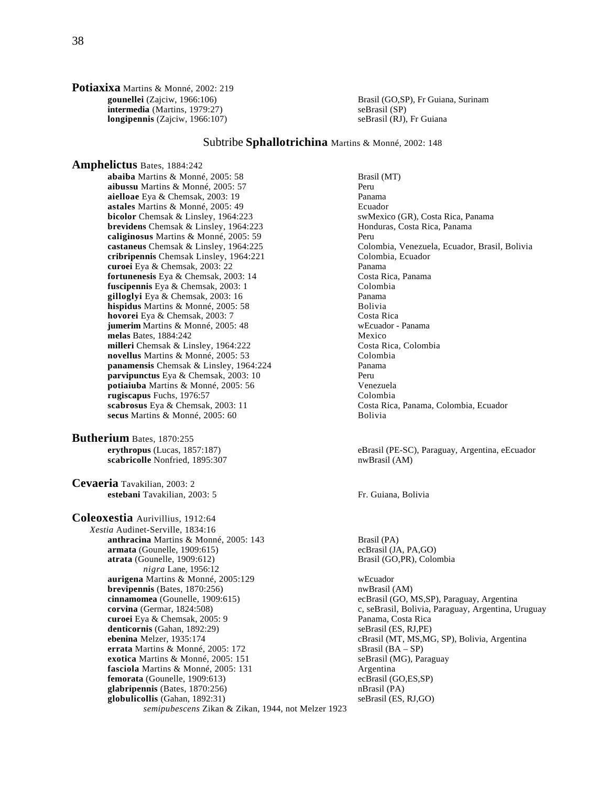**Potiaxixa** Martins & Monné, 2002: 219<br>**gounellei** (Zajciw, 1966:106) **intermedia** (Martins, 1979:27)<br> **longipennis** (Zajciw, 1966:107) SeBrasil (RJ), Fr Guiana **longipennis** (Zajciw, 1966:107)

Brasil (GO,SP), Fr Guiana, Surinam

# Subtribe **Sphallotrichina** Martins & Monné, 2002: 148

**Amphelictus** Bates, 1884:242 **abaiba** Martins & Monné, 2005: 58 Brasil (MT) **aibussu** Martins & Monné, 2005: 57<br> **aielloae** Eva & Chemsak. 2003: 19<br>
Panama aielloae Eya & Chemsak, 2003: 19 **astales** Martins & Monné, 2005: 49 Ecuador **bicolor** Chemsak & Linsley, 1964:223 swMexico (GR), Costa Rica, Panama<br> **brevidens** Chemsak & Linsley, 1964:223 Honduras, Costa Rica, Panama **brevidens** Chemsak & Linsley, 1964:223 **caliginosus** Martins & Monné, 2005: 59 Peru **cribripennis** Chemsak Linsley, 1964:221 Colombia, Ecuador **curoei** Eya & Chemsak, 2003: 22<br> **costa Richard Costa Richard Costa Richard Costa Rica, Panama**<br> **costa Rica, Panama** fortunenesis Eya & Chemsak, 2003: 14 **fuscipennis** Eya & Chemsak, 2003: 1 Colombia **gilloglyi** Eya & Chemsak, 2003: 16 Panama **hispidus** Martins & Monné, 2005: 58 Bolivia<br> **hovorei** Eva & Chemsak 2003: 7 hovorei Eya & Chemsak, 2003: 7 **jumerim** Martins & Monné, 2005: 48 wEcuador - Panama **melas** Bates, 1884:242 Mexico **milleri** Chemsak & Linsley, 1964:222 Costa Rica, Colombia **novellus** Martins & Monné, 2005: 53 Colombia **panamensis** Chemsak & Linsley, 1964:224 Panama<br> **parvipunctus** Eva & Chemsak. 2003: 10 **parvipunctus** Eya & Chemsak, 2003: 10 **potiaiuba** Martins & Monné, 2005: 56 Venezuela **rugiscapus** Fuchs, 1976:57 Colombia<br> **scabrosus** Eya & Chemsak, 2003: 11 Costa Rica secus Martins & Monné, 2005: 60

**Butherium** Bates, 1870:255 **erythropus** (Lucas, 1857:187) eBrasil (PE-SC), Paraguay, Argentina, eEcuador<br> **scabricolle** Nonfried, 1895:307 **biling and Scabricolle** Nonfried, 1895:307 scabricolle Nonfried, 1895:307

**Cevaeria** Tavakilian, 2003: 2 **estebani** Tavakilian, 2003: 5 Fr. Guiana, Bolivia

**Coleoxestia** Aurivillius, 1912:64 *Xestia* Audinet-Serville, 1834:16 **anthracina** Martins & Monné, 2005: 143 Brasil (PA) **armata** (Gounelle, 1909:615) ecBrasil (JA, PA,GO) **atrata** (Gounelle, 1909:612) Brasil (GO,PR), Colombia *nigra* Lane, 1956:12 **aurigena** Martins & Monné, 2005:129 wEcuador **brevipennis** (Bates, 1870:256) nwBrasil (AM) nwBrasil (AM) **cinnamomea** (Gounelle, 1909:615) ecBrasil (GO, N **corvina** (Germar, 1824:508) c, seBrasil, Bolivia, Paraguay, Argentina, Uruguay **curoei** Eya & Chemsak, 2005: 9 Panama, Costa Rica **denticornis** (Gahan, 1892:29) seBrasil (ES, RJ,PE) **ebenina** Melzer, 1935:174 cBrasil (MT, MS,MG, SP), Bolivia, Argentina **errata** Martins & Monné, 2005: 172<br> **exotica** Martins & Monné, 2005: 151 seBrasil (MG), Paraguay **exotica** Martins & Monné, 2005: 151 **fasciola** Martins & Monné, 2005: 131 Argentina **femorata** (Gounelle, 1909:613) ecBrasil (GO,ES,SP) **glabripennis** (Bates, 1870:256)<br> **globulicollis** (Gahan, 1892:31) SeBrasil (ES, RJ,GO) globulicollis (Gahan, 1892:31) *semipubescens* Zikan & Zikan, 1944, not Melzer 1923

**castaneus** Chemsak & Linsley, 1964:225 Colombia, Venezuela, Ecuador, Brasil, Bolivia Costa Rica, Panama, Colombia, Ecuador<br>Bolivia

ecBrasil (GO, MS,SP), Paraguay, Argentina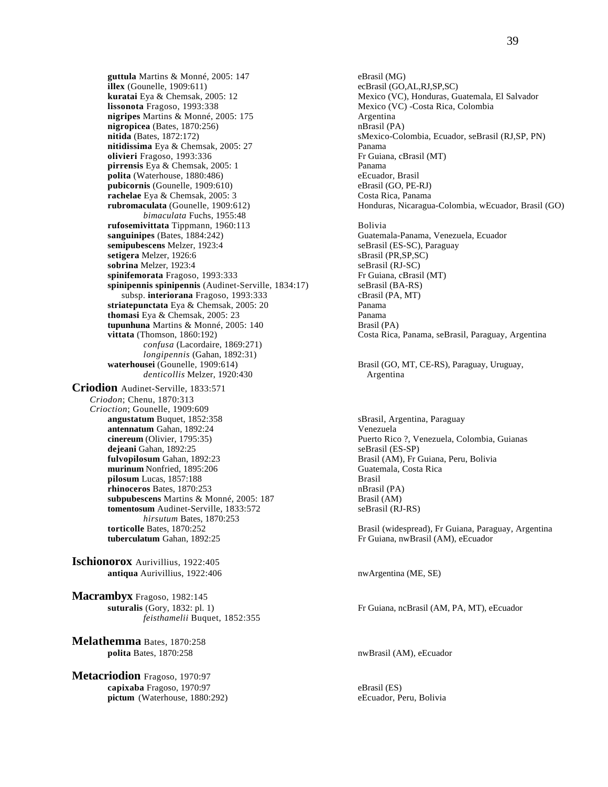**guttula** Martins & Monné, 2005: 147 eBrasil (MG)<br> **illex** (Gounelle, 1909:611) ecBrasil (GO,AL,RJ,SP,SC) **illex** (Gounelle,  $1909:611$ ) **lissonota** Fragoso, 1993:338<br> **nigripes** Martins & Monné, 2005: 175 **Mexico (VC)** -Costa Rica, Colombia **nigripes** Martins & Monné, 2005: 175 <br> **nigropicea** (Bates, 1870:256) **has a complement of the CO has a complement of the A h**  $nigropicea$  (Bates,  $1870:256$ ) **nitidissima** Eya & Chemsak, 2005: 27 Panama **olivieri** Fragoso, 1993:336 Fr Guiana, cBrasil (MT) **pirrensis** Eya & Chemsak, 2005: 1 Panama<br> **polita** (Waterhouse, 1880:486) eEcuador, Brasil **polita** (Waterhouse, 1880:486) **pubicornis** (Gounelle, 1909:610) eBrasil (GO, PE-RJ) **rachelae** Eya & Chemsak, 2005: 3 Costa Rica, Panama<br> **rubromaculata** (Gounelle, 1909:612) Honduras, Nicaragua *bimaculata* Fuchs, 1955:48 **rufosemivittata** Tippmann, 1960:113 Bolivia **sanguinipes** (Bates, 1884:242) Guatemala-Panama, Venezuela, Ecuador semipubescens Melzer, 1923:4 seBrasil (ES-SC), Paraguay semipubescens Melzer, 1923:4 **setigera** Melzer, 1926:6 sBrasil (PR,SP,SC) **sobrina** Melzer, 1923:4 seBrasil (RJ-SC) **spinifemorata** Fragoso, 1993:333 Fr Guiana, cBrasil (MT) **spinipennis spinipennis (Audinet-Serville, 1834:17)** seBrasil (BA-RS) subsp. **interiorana** Fragoso, 1993:333 cBrasil (PA, MT) subsp. **interiorana** Fragoso, 1993:333<br> **iatepunctata** Eva & Chemsak. 2005: 20<br>
Panama striatepunctata Eya & Chemsak, 2005: 20 **thomasi** Eya & Chemsak, 2005: 23 Panama **tupunhuna** Martins & Monné, 2005: 140 Brasil (PA) *confusa* (Lacordaire, 1869:271) *longipennis* (Gahan, 1892:31) **waterhousei** (Gounelle, 1909:614) Brasil (GO, MT, CE-RS), Paraguay, Uruguay, *denticollis* Melzer, 1920:430 Argentina **Criodion** Audinet-Serville, 1833:571 *Criodon*; Chenu, 1870:313 *Crioction*; Gounelle, 1909:609 **angustatum** Buquet, 1852:358 sBrasil, Argentina, Paraguay **antennatum** Gahan, 1892:24 Venezuela<br> **cinereum** (Olivier, 1795:35) Puerto Rice **dejeani** Gahan, 1892:25 seBrasil (ES-SP)<br> **fulvopilosum** Gahan, 1892:23 Brasil (AM), Fr ( **murinum** Nonfried, 1895:206 Guatemala, Costa Rica **pilosum** Lucas, 1857:188 **Brasil** Brasil Brasil (PA) **rhinoceros** Bates, 1870:253 **subpubescens** Martins & Monné, 2005: 187 Brasil (AM) **tomentosum** Audinet-Serville, 1833:572 seBrasil (RJ-RS) *hirsutum* Bates, 1870:253<br>**torticolle** Bates, 1870:252 **tuberculatum** Gahan, 1892:25 **Fr** Guiana, nwBrasil (AM), eEcuador

**Ischionorox** Aurivillius, 1922:405 **antiqua** Aurivillius, 1922:406 nwArgentina (ME, SE)

**Macrambyx** Fragoso, 1982:145<br>suturalis (Gory, 1832: pl. 1) *feisthamelii* Buquet, 1852:355

**Melathemma** Bates, 1870:258 **polita** Bates, 1870:258 nwBrasil (AM), eEcuador

**Metacriodion** Fragoso, 1970:97 **capixaba** Fragoso, 1970:97 eBrasil (ES) **pictum** (Waterhouse, 1880:292) eEcuador, Peru, Bolivia

**kuratai** Eya & Chemsak, 2005: 12 Mexico (VC), Honduras, Guatemala, El Salvador **nitida** (Bates, 1872:172) sMexico-Colombia, Ecuador, seBrasil (RJ,SP, PN) Honduras, Nicaragua-Colombia, wEcuador, Brasil (GO) **vittata** (Thomson, 1860:192) Costa Rica, Panama, seBrasil, Paraguay, Argentina

Puerto Rico ?, Venezuela, Colombia, Guianas Brasil (AM), Fr Guiana, Peru, Bolivia

Brasil (widespread), Fr Guiana, Paraguay, Argentina

Fr Guiana, ncBrasil (AM, PA, MT), eEcuador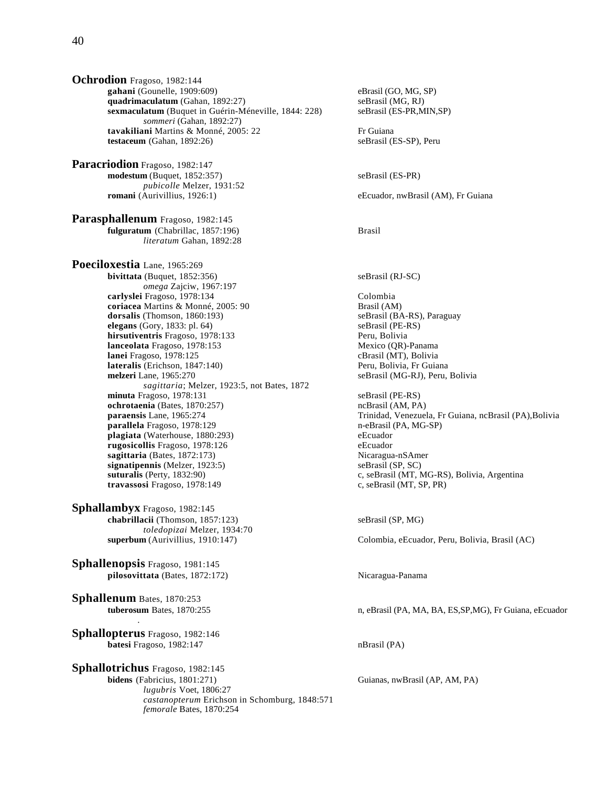**Ochrodion** Fragoso, 1982:144 gahani (Gounelle, 1909:609) eBrasil (GO, MG, SP) **quadrimaculatum** (Gahan, 1892:27) seBrasil (MG, RJ) **sexmaculatum** (Buquet in Guérin-Méneville, 1844: 228) seBrasil (ES-PR,MIN,SP) *sommeri* (Gahan, 1892:27) **tavakiliani** Martins & Monné, 2005: 22 Fr Guiana<br> **testaceum** (Gahan, 1892:26) SeBrasil (ES-SP), Peru  $testaccount (Gahan, 1892:26)$ 

**Paracriodion** Fragoso, 1982:147 **modestum** (Buquet, 1852:357) seBrasil (ES-PR) *pubicolle* Melzer, 1931:52

**Parasphallenum** Fragoso, 1982:145 **fulguratum** (Chabrillac, 1857:196) Brasil *literatum* Gahan, 1892:28

**Poeciloxestia** Lane, 1965:269 **bivittata** (Buquet, 1852:356) seBrasil (RJ-SC) *omega* Zajciw, 1967:197 **carlyslei** Fragoso, 1978:134 Colombia **coriacea** Martins & Monné, 2005: 90 **Brasil (AM)**<br> **coriacea** Martins & Monné, 2005: 90 **Brasil (BA-RS), Paraguay**<br> **coriacea Martins & Monné, 2005: 90 Brasil (BA-RS), Paraguay dorsalis** (Thomson, 1860:193) **elegans** (Gory, 1833: pl. 64) seBrasil (PE-RS) **hirsutiventris** Fragoso, 1978:133 Peru, Bolivia **lanceolata** Fragoso, 1978:153 Mexico (QR)-Panama **lanei** Fragoso, 1978:125 cBrasil (MT), Bolivia **lateralis** (Erichson, 1847:140) Peru, Bolivia, Fr Guiana<br> **melzeri** Lane, 1965:270 seBrasil (MG-RJ), Peru, *sagittaria*; Melzer, 1923:5, not Bates, 1872 **minuta** Fragoso, 1978:131 seBrasil (PE-RS) **ochrotaenia** (Bates, 1870:257) ncBrasil (AM, PA) ncBrasil (AM, PA) ncBrasil (AM, PA) ncBrasil (AM, PA) ncBrasil (AM, PA) **parallela** Fragoso, 1978:129 n-eBrasil (PA, MG-SP) **plagiata** (Waterhouse, 1880:293) eEcuador **rugosicollis** Fragoso, 1978:126 eEcuador **sagittaria** (Bates, 1872:173) Nicaragua-nSAmer **signatipennis** (Melzer, 1923:5) seBrasil (SP, SC) suturalis (Perty, 1832:90) c, seBrasil (MT, 1) **travassosi** Fragoso, 1978:149 c, seBrasil (MT, SP, PR)

**Sphallambyx** Fragoso, 1982:145 **chabrillacii** (Thomson, 1857:123) seBrasil (SP, MG) *toledopizai* Melzer, 1934:70<br>superbum (Aurivillius, 1910:147)

**Sphallenopsis** Fragoso, 1981:145 **pilosovittata** (Bates, 1872:172) Nicaragua-Panama

**Sphallenum** Bates, 1870:253 .

**Sphallopterus** Fragoso, 1982:146 **batesi** Fragoso, 1982:147 nBrasil (PA)

**Sphallotrichus** Fragoso, 1982:145 **bidens** (Fabricius, 1801:271) Guianas, nwBrasil (AP, AM, PA) *lugubris* Voet, 1806:27 *castanopterum* Erichson in Schomburg, 1848:571 *femorale* Bates, 1870:254

**romani** (Aurivillius, 1926:1) eEcuador, nwBrasil (AM), Fr Guiana seBrasil (MG-RJ), Peru, Bolivia **paraensis** Lane, 1965:274 Trinidad, Venezuela, Fr Guiana, ncBrasil (PA),Bolivia c, seBrasil (MT, MG-RS), Bolivia, Argentina Colombia, eEcuador, Peru, Bolivia, Brasil (AC)

**tuberosum** Bates, 1870:255 n, eBrasil (PA, MA, BA, ES,SP,MG), Fr Guiana, eEcuador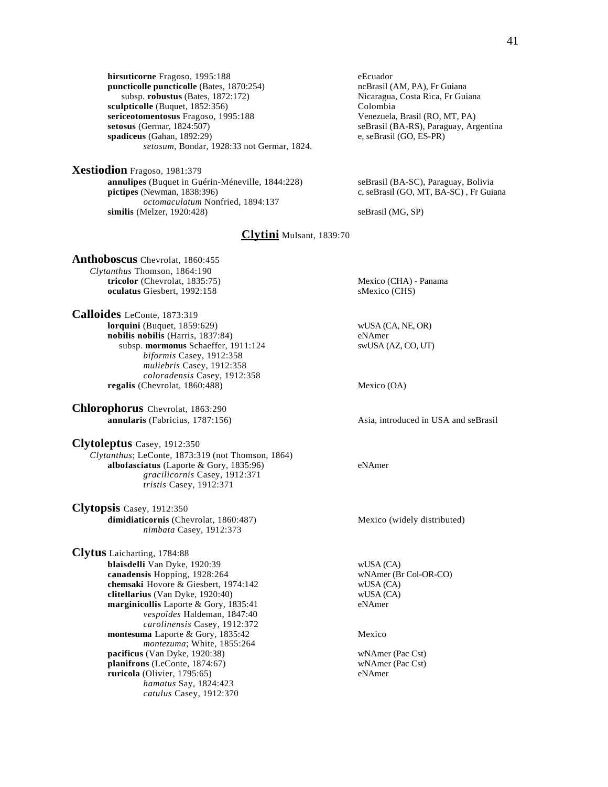**hirsuticorne** Fragoso, 1995:188 eEcuador<br> **puncticolle puncticolle** (Bates, 1870:254) contraction in the new media of the new media (AM, PA), Fr Guiana **puncticolle puncticolle** (Bates, 1870:254) subsp. **robustus** (Bates, 1872:172) Nicaragua, Costa Rica, Fr Guiana **sculpticolle** (Buquet, 1852:356)<br> **Sculpticolle** (Buquet, 1852:356)<br> **Sculpticolle** (Bouquet, 1995:188<br> **Sculpticolle** (RO, MT, PA) **sericeotomentosus** Fragoso, 1995:188 **setosus** (Germar, 1824:507) **spadiceus** (Gahan, 1892:29) e, seBrasil (GO, ES-PR) *setosum*, Bondar, 1928:33 not Germar, 1824.

**Xestiodion** Fragoso, 1981:379 **annulipes** (Buquet in Guérin-Méneville, 1844:228) seBrasil (BA-SC), Paraguay, Bolivia<br> **pictipes** (Newman, 1838:396) c, seBrasil (GO, MT, BA-SC), Fr Guia *octomaculatum* Nonfried, 1894:137 similis (Melzer, 1920:428) seBrasil (MG, SP)

seBrasil (BA-RS), Paraguay, Argentina

c, seBrasil (GO, MT, BA-SC), Fr Guiana

**Clytini** Mulsant, 1839:70

**Anthoboscus** Chevrolat, 1860:455 *Clytanthus* Thomson, 1864:190 **tricolor** (Chevrolat, 1835:75) Mexico (CHA) - Panama **oculatus** Giesbert, 1992:158 sMexico (CHS)

**Calloides** LeConte, 1873:319 **lorquini** (Buquet, 1859:629) wUSA (CA, NE, OR) **nobilis nobilis** (Harris, 1837:84) eNAmer subsp. **mormonus** Schaeffer, 1911:124 swUSA (AZ, CO, UT) *biformis* Casey, 1912:358 *muliebris* Casey, 1912:358 *coloradensis* Casey, 1912:358 **regalis** (Chevrolat, 1860:488) Mexico (OA)

**Chlorophorus** Chevrolat, 1863:290<br> **annularis** (Fabricius, 1787:156)

**Clytoleptus** Casey, 1912:350 *Clytanthus*; LeConte, 1873:319 (not Thomson, 1864) **albofasciatus** (Laporte & Gory, 1835:96) eNAmer *gracilicornis* Casey, 1912:371 *tristis* Casey, 1912:371

**Clytopsis** Casey, 1912:350 **dimidiaticornis** (Chevrolat, 1860:487) Mexico (widely distributed) *nimbata* Casey, 1912:373

**Clytus** Laicharting, 1784:88 **blaisdelli** Van Dyke, 1920:39 wUSA (CA) **canadensis** Hopping, 1928:264 wNAmer (Br Col-OR-CO) **chemsaki** Hovore & Giesbert, 1974:142 wUSA (CA) **clitellarius** (Van Dyke, 1920:40) wUSA (CA) **marginicollis** Laporte & Gory, 1835:41 eNAmer *vespoides* Haldeman, 1847:40 *carolinensis* Casey, 1912:372 **montesuma** Laporte & Gory, 1835:42 Mexico *montezuma*; White, 1855:264 **pacificus** (Van Dyke, 1920:38) wNAmer (Pac Cst) **planifrons** (LeConte, 1874:67) wNAmer (Pac Cst) **ruricola** (Olivier, 1795:65) eNAmer *hamatus* Say, 1824:423 *catulus* Casey, 1912:370

Asia, introduced in USA and seBrasil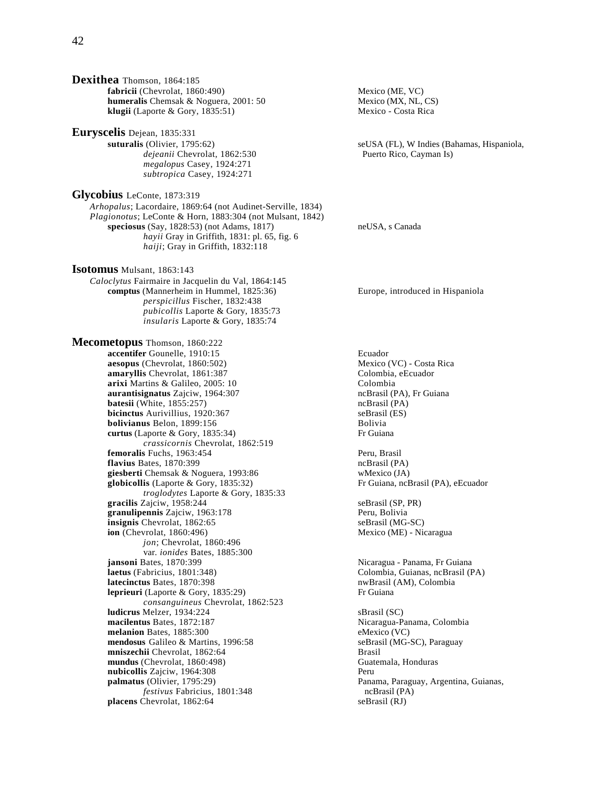**Dexithea** Thomson, 1864:185 **fabricii** (Chevrolat, 1860:490) Mexico (ME, VC) **humeralis** Chemsak & Noguera, 2001: 50 Mexico (MX, NL, CS) **klugii** (Laporte & Gory, 1835:51) Mexico - Costa Rica

**Euryscelis** Dejean, 1835:331 *dejeanii* Chevrolat, 1862:530 Puerto Rico, Cayman Is) *megalopus* Casey, 1924:271 *subtropica* Casey, 1924:271

**Glycobius** LeConte, 1873:319 *Arhopalus*; Lacordaire, 1869:64 (not Audinet-Serville, 1834) *Plagionotus*; LeConte & Horn, 1883:304 (not Mulsant, 1842) **speciosus** (Say, 1828:53) (not Adams, 1817) neUSA, s Canada *hayii* Gray in Griffith, 1831: pl. 65, fig. 6 *haiji*; Gray in Griffith, 1832:118

**Isotomus** Mulsant, 1863:143 *Caloclytus* Fairmaire in Jacquelin du Val, 1864:145 **comptus** (Mannerheim in Hummel, 1825:36) Europe, introduced in Hispaniola *perspicillus* Fischer, 1832:438 *pubicollis* Laporte & Gory, 1835:73 *insularis* Laporte & Gory, 1835:74

**Mecometopus** Thomson, 1860:222 **accentifer** Gounelle, 1910:15 Ecuador **aesopus** (Chevrolat, 1860:502)<br> **amaryllis** Chevrolat, 1861:387<br>
Colombia, eEcuador amaryllis Chevrolat, 1861:387 **arixi** Martins & Galileo, 2005: 10<br> **aurantisignatus** Zajciw, 1964:307<br> **aurantisignatus** Zajciw, 1964:307 aurantisignatus Zajciw, 1964:307 **batesii** (White, 1855:257) ncBrasil (PA) **bicinctus** Aurivillius, 1920:367<br> **bolivianus** Belon. 1899:156<br> **bolivia** Bolivia **bolivianus** Belon, 1899:156<br> **curtus** (Laporte & Gory, 1835:34) Frequiana **curtus** (Laporte  $\&$  Gory, 1835:34) *crassicornis* Chevrolat, 1862:519 **femoralis** Fuchs, 1963:454 Peru, Brasil **flavius** Bates, 1870:399 ncBrasil (PA) **giesberti** Chemsak & Noguera, 1993:86<br> **globicollis** (Laporte & Gory, 1835:32) Fr Guiana, ncBrasil (PA), eEcuador **globicollis** (Laporte & Gory, 1835:32) *troglodytes* Laporte & Gory, 1835:33 gracilis Zajciw, 1958:244 seBrasil (SP, PR) granulipennis Zajciw, 1963:178 Peru, Bolivia **insignis** Chevrolat, 1862:65 seBrasil (MG-SC) **ion** (Chevrolat, 1860:496) Mexico (ME) - Nicaragua *jon*; Chevrolat, 1860:496 var. *ionides* Bates, 1885:300 **jansoni** Bates, 1870:399 Nicaragua - Panama, Fr Guiana **latecinctus** Bates, 1870:398 **nwBrasil (AM), Colombia leprieuri** (Laporte & Gory, 1835:29) Fr Guiana *consanguineus* Chevrolat, 1862:523 **ludicrus** Melzer, 1934:224 sBrasil (SC) **macilentus** Bates, 1872:187 **Nicaragua-Panama, Colombia melanion** Bates, 1885:300 eMexico (VC) **mendosus** Galileo & Martins, 1996:58 seBrasil (MG-SC), Paraguay **mniszechii** Chevrolat, 1862:64<br> **mundus** (Chevrolat, 1860:498) **Brasil** Guatemala, Honduras mundus (Chevrolat, 1860:498) **nubicollis** Zajciw, 1964:308 Peru **palmatus** (Olivier, 1795:29) Panama, Paraguay, Argentina, Guianas, *festivus* Fabricius, 1801:348 ncBrasil (PA) **placens** Chevrolat, 1862:64 seBrasil (RJ)

**suturalis** (Olivier, 1795:62) seUSA (FL), W Indies (Bahamas, Hispaniola,

Colombia, Guianas, ncBrasil (PA)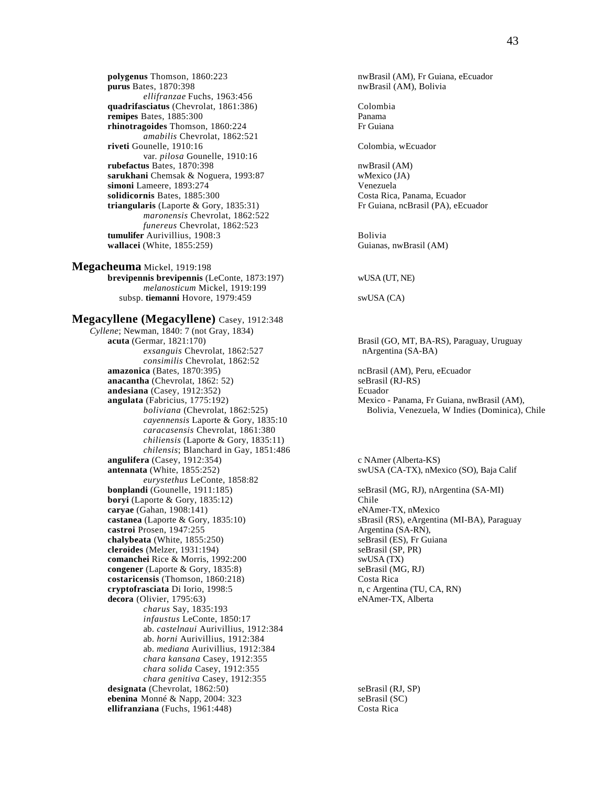**polygenus** Thomson, 1860:223 nwBrasil (AM), Fr Guiana, eEcuador<br>**purus** Bates, 1870:398 nwBrasil (AM), Bolivia *ellifranzae* Fuchs, 1963:456 quadrifasciatus (Chevrolat, 1861:386) Colombia **remipes** Bates, 1885:300 Panama<br> **rhinotragoides** Thomson, 1860:224 **Primeries** Fr Guiana rhinotragoides Thomson, 1860:224 *amabilis* Chevrolat, 1862:521 **riveti** Gounelle, 1910:16 Colombia, wEcuador var. *pilosa* Gounelle, 1910:16 **rubefactus** Bates, 1870:398<br> **sarukhani** Chemsak & Noguera, 1993:87<br>
Whexico (JA) sarukhani Chemsak & Noguera, 1993:87 **simoni** Lameere, 1893:274 Venezuela **solidicornis** Bates, 1885:300 Costa Rica, Panama, Ecuador **triangularis** (Laporte & Gory, 1835:31) Fr Guiana, ncBrasil (PA), eEcuador *maronensis* Chevrolat, 1862:522 *funereus* Chevrolat, 1862:523 **tumulifer** Aurivillius, 1908:3 Bolivia **wallacei** (White, 1855:259) Guianas, nwBrasil (AM)

**Megacheuma** Mickel, 1919:198 **brevipennis brevipennis** (LeConte, 1873:197) wUSA (UT, NE) *melanosticum* Mickel, 1919:199 subsp. **tiemanni** Hovore, 1979:459 swUSA (CA)

## **Megacyllene (Megacyllene)** Casey, 1912:348

*Cyllene*; Newman, 1840: 7 (not Gray, 1834) **acuta** (Germar, 1821:170) Brasil (GO, MT, BA-RS), Paraguay, Uruguay *exsanguis* Chevrolat, 1862:527 nArgentina (SA-BA) *consimilis* Chevrolat, 1862:52 **amazonica** (Bates, 1870:395) **amazonica** (Bates, 1870:395) **ncBrasil** (AM), Peru, eEcuador **anacantha** (Chevrolat, 1862: 52) seBrasil (RJ-RS) **andesiana** (Casey, 1912:352) Ecuador **angulata** (Fabricius, 1775:192) Mexico - Panama, Fr Guiana, nwBrasil (AM), *cayennensis* Laporte & Gory, 1835:10 *caracasensis* Chevrolat, 1861:380 *chiliensis* (Laporte & Gory, 1835:11) *chilensis*; Blanchard in Gay, 1851:486 **angulifera** (Casey, 1912:354) c NAmer (Alberta-KS) c NAmer (Alberta-KS) antennata (White, 1855:252) *eurystethus* LeConte, 1858:82 **bonplandi** (Gounelle, 1911:185) seBrasil (MG, RJ), nArgentina (SA-MI) **boryi** (Laporte & Gory, 1835:12) Chile<br> **carvae** (Gahan, 1908:141) eNAmer-TX, nMexico **caryae** (Gahan, 1908:141)<br>**castanea** (Laporte & Gory, 1835:10) **castroi** Prosen, 1947:255 Argentina (SA-RN), **chalybeata** (White, 1855:250) seBrasil (ES), Fr Guiana **cleroides** (Melzer, 1931:194) seBrasil (SP, PR) **comanchei** Rice & Morris, 1992:200 swUSA (TX) **congener** (Laporte & Gory, 1835:8) seBrasil (MG, RJ) **costaricensis** (Thomson, 1860:218) Costa Rica **cryptofrasciata** Di Iorio, 1998:5 n, c Argentina (TU, CA, RN) **decora** (Olivier, 1795:63) eNAmer-TX, Alberta *charus* Say, 1835:193 *infaustus* LeConte, 1850:17 ab. *castelnaui* Aurivillius, 1912:384 ab. *horni* Aurivillius, 1912:384 ab. *mediana* Aurivillius, 1912:384 *chara kansana* Casey, 1912:355 *chara solida* Casey, 1912:355 *chara genitiva* Casey, 1912:355 **designata** (Chevrolat, 1862:50)<br> **ebenina** Monné & Napp. 2004: 323<br>
seBrasil (SC) **ebenina** Monné & Napp, 2004: 323 **ellifranziana** (Fuchs, 1961:448) Costa Rica

nwBrasil (AM), Bolivia

*boliviana* (Chevrolat, 1862:525) Bolivia, Venezuela, W Indies (Dominica), Chile

swUSA (CA-TX), nMexico (SO), Baja Calif

sBrasil (RS), eArgentina (MI-BA), Paraguay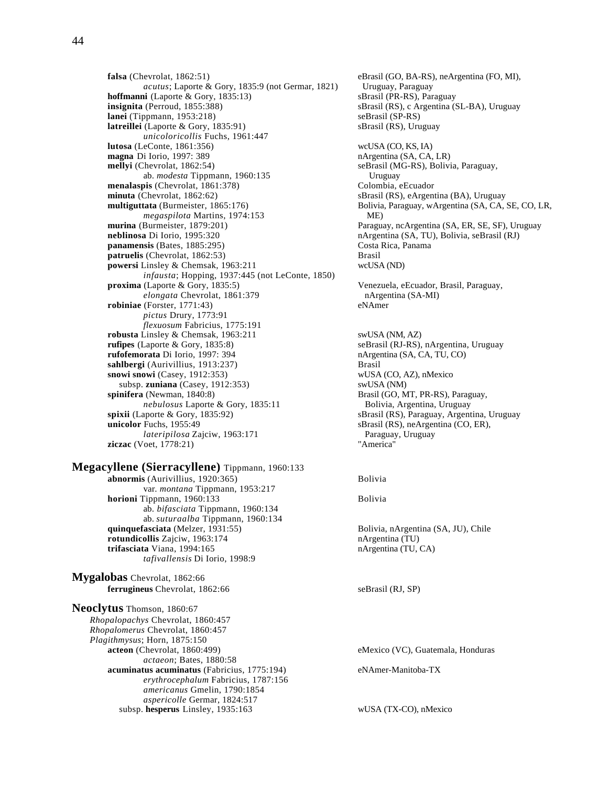*acutus*; Laporte & Gory, 1835:9 (not Germar, 1821) Uruguay, Paraguay<br> **ii** (Laporte & Gory, 1835:13) sBrasil (PR-RS), Paraguay **hoffmanni** (Laporte & Gory, 1835:13) **insignita** (Perroud, 1855:388) <br> **anei** (Tippmann, 1953:218) seBrasil (SP-RS) seBrasil (SP-RS) **lanei** (Tippmann, 1953:218)<br> **latreillei** (Laporte & Gory, 1835:91) seBrasil (RS), Uruguay **latreillei** (Laporte & Gory, 1835:91) *unicoloricollis* Fuchs, 1961:447 **lutosa** (LeConte, 1861:356) wcUSA (CO, KS, IA) **magna** Di Iorio, 1997: 389 nArgentina (SA, CA, LR) **mellyi** (Chevrolat, 1862:54) seBrasil (MG-RS), Bolivia, Paraguay, ab. *modesta* Tippmann, 1960:135 Uruguay **menalaspis** (Chevrolat, 1861:378) Colombia, eEcuador **minuta** (Chevrolat, 1862:62)<br> **multiguttata** (Burmeister, 1865:176) SBrasil (RS), eArgentina (BA), Uruguay<br>
Bolivia, Paraguay, wArgentina (SA, CA, S *megaspilota* Martins, 1974:153 ME) **murina** (Burmeister, 1879:201) Paraguay, ncArgentina (SA, ER, SE, SF), Uruguay **neblinosa** Di Iorio, 1995:320 nArgentina (SA, TU), Bolivia, seBrasil (RJ) **panamensis** (Bates, 1885:295) Costa Rica, Panama **patruelis** (Chevrolat, 1862:53) Brasil **powersi** Linsley & Chemsak, 1963:211 wcUSA (ND) *infausta*; Hopping, 1937:445 (not LeConte, 1850) **proxima** (Laporte & Gory, 1835:5) Venezuela, eEcuador, Brasil, Paraguay, *elongata* Chevrolat, 1861:379 **nArgentina (SA-MI)**<br>(Forster. 1771:43) **eNAmer robiniae** (Forster, 1771:43) *pictus* Drury, 1773:91 *flexuosum* Fabricius, 1775:191 **robusta** Linsley & Chemsak, 1963:211 swUSA (NM, AZ) **rufipes** (Laporte & Gory, 1835:8) seBrasil (RJ-RS), nArgentina, Uruguay<br> **rufofemorata** Di Iorio, 1997: 394 hArgentina (SA, CA, TU, CO) rufofemorata Di Iorio, 1997: 394 **sahlbergi** (Aurivillius, 1913:237) Brasil **snowi snowi** (Casey, 1912:353) wUSA (CO, AZ), nMexico subsp. **zuniana** (Casey, 1912:353) swUSA (NM) **spinifera** (Newman, 1840:8) Brasil (GO, M nebulosus Laporte & Gory, 1835:11 Bolivia, Argentina, Uruguay<br> **spixii** (Laporte & Gory, 1835:92) **Shammer Shammer Shammer Shammer Shammer Shammer Shammer Shammer Shammer Shammer Shammer Shammer Shammer Shammer Shammer Sha unicolor** Fuchs, 1955:49 sBrasil (RS), neArgentina (CO, ER), *lateripilosa* Zajciw, 1963:171 Paraguay, Uruguay<br>Voet, 1778:21) Paraguay, Paraguay, Uruguay **ziczac** (Voet, 1778:21)

**Megacyllene (Sierracyllene)** Tippmann, 1960:133 **abnormis** (Aurivillius, 1920:365) Bolivia var. *montana* Tippmann, 1953:217 **horioni** Tippmann, 1960:133 ab. *bifasciata* Tippmann, 1960:134 ab. *suturaalba* Tippmann, 1960:134 **quinquefasciata** (Melzer, 1931:55) Bolivia, nArgentina (SA, JU), Chile **rotundicollis** Zajciw, 1963:174 nArgentina (TU) **trifasciata** Viana, 1994:165 nArgentina (TU, CA) *tafivallensis* Di Iorio, 1998:9

**Mygalobas** Chevrolat, 1862:66 **ferrugineus** Chevrolat, 1862:66 seBrasil (RJ, SP)

**Neoclytus** Thomson, 1860:67 *Rhopalopachys* Chevrolat, 1860:457 *Rhopalomerus* Chevrolat, 1860:457 *Plagithmysus*; Horn, 1875:150 *actaeon*; Bates, 1880:58 **acuminatus acuminatus** (Fabricius, 1775:194) eNAmer-Manitoba-TX *erythrocephalum* Fabricius, 1787:156 *americanus* Gmelin, 1790:1854 *aspericolle* Germar, 1824:517 subsp. **hesperus** Linsley, 1935:163 wUSA (TX-CO), nMexico

**falsa** (Chevrolat, 1862:51)<br> *acutus*; Laporte & Gory, 1835:9 (not Germar, 1821) Uruguay, Paraguay Bolivia, Paraguay, wArgentina (SA, CA, SE, CO, LR,

> Brasil (GO, MT, PR-RS), Paraguay, sBrasil (RS), Paraguay, Argentina, Uruguay

eMexico (VC), Guatemala, Honduras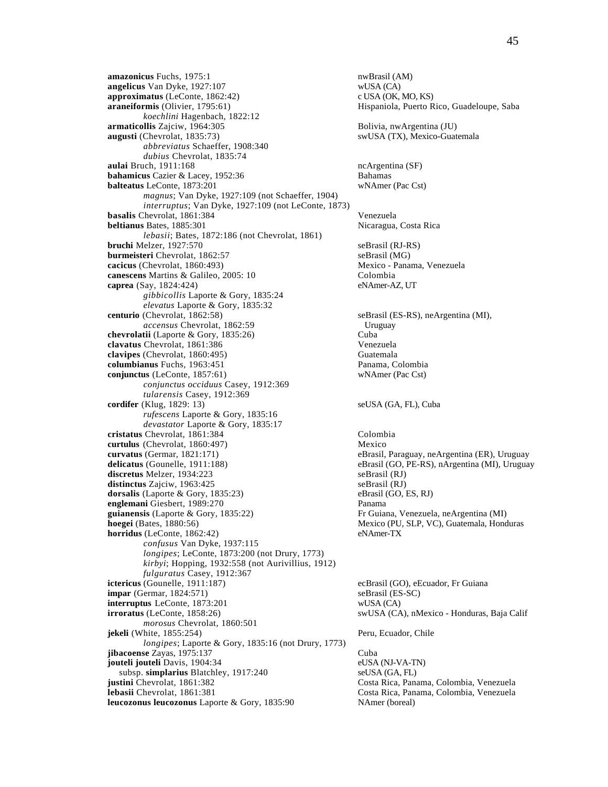**amazonicus** Fuchs, 1975:1 nwBrasil (AM) **angelicus** Van Dyke, 1927:107 wUSA (CA) **approximatus** (LeConte, 1862:42) c USA (OK, MO, KS) **araneiformis** (Olivier, 1795:61) Hispaniola, Puerto Rico, Guadeloupe, Saba *koechlini* Hagenbach, 1822:12 **armaticollis** Zajciw, 1964:305 Bolivia, nwArgentina (JU) **augusti** (Chevrolat, 1835:73) swUSA (TX), Mexico-Guatemala *abbreviatus* Schaeffer, 1908:340 *dubius* Chevrolat, 1835:74 **aulai** Bruch, 1911:168 ncArgentina (SF) **bahamicus** Cazier & Lacey, 1952:36 Bahamas **balteatus** LeConte, 1873:201 wNAmer (Pac Cst) *magnus*; Van Dyke, 1927:109 (not Schaeffer, 1904) *interruptus*; Van Dyke, 1927:109 (not LeConte, 1873) **basalis** Chevrolat, 1861:384 Venezuela **beltianus** Bates, 1885:301 *lebasii*; Bates, 1872:186 (not Chevrolat, 1861) **bruchi** Melzer, 1927:570 seBrasil (RJ-RS) **burmeisteri** Chevrolat, 1862:57 seBrasil (MG) **cacicus** (Chevrolat, 1860:493) Mexico - Panama, Venezuela **canescens** Martins & Galileo, 2005: 10 Colombia **caprea** (Say, 1824:424) eNAmer-AZ, UT *gibbicollis* Laporte & Gory, 1835:24 *elevatus* Laporte & Gory, 1835:32 **centurio** (Chevrolat, 1862:58) seBrasil (ES-RS), neArgentina (MI), *accensus* Chevrolat, 1862:59 Uruguay **chevrolatii** (Laporte & Gory, 1835:26) Cuba **clavatus** Chevrolat, 1861:386 **Venezuela**<br> **clavipes** (Chevrolat, 1860:495) **Clavipes** Guatemala  $clavipes$  (Chevrolat,  $1860:495$ ) **columbianus** Fuchs, 1963:451 Panama, Colombia **conjunctus** (LeConte, 1857:61) wNAmer (Pac Cst) *conjunctus occiduus* Casey, 1912:369 *tularensis* Casey, 1912:369 **cordifer** (Klug, 1829: 13) seUSA (GA, FL), Cuba *rufescens* Laporte & Gory, 1835:16 *devastator* Laporte & Gory, 1835:17 **cristatus** Chevrolat, 1861:384 Colombia **curtulus** (Chevrolat, 1860:497) Mexico<br> **curvatus** (Germar, 1821:171) eBrasil, **delicatus** (Gounelle, 1911:188) eBrasil (GO, PE-RS), nArgentina (MI), Uruguay **discretus** Melzer, 1934:223 seBrasil (RJ) **distinctus** Zajciw, 1963:425<br> **dorsalis** (Laporte & Gory, 1835:23) **b** eBrasil (GO, ES, RJ) **b** eBrasil (GO, ES, RJ) **dorsalis** (Laporte & Gory, 1835:23) **englemani** Giesbert, 1989:270 Panama **guianensis** (Laporte & Gory, 1835:22) Fr Guiana, Venezuela, neArgentina (MI) **hoegei** (Bates, 1880:56) Mexico (PU, SLP, VC), Guatemala, Honduras **horridus** (LeConte, 1862:42) eNAmer-TX *confusus* Van Dyke, 1937:115 *longipes*; LeConte, 1873:200 (not Drury, 1773) *kirbyi*; Hopping, 1932:558 (not Aurivillius, 1912) *fulguratus* Casey, 1912:367 **ictericus** (Gounelle, 1911:187) ecBrasil (GO), eEcuador, Fr Guiana **impar** (Germar, 1824:571) seBrasil (ES-SC) **interruptus** LeConte, 1873:201 wUSA (CA) **irroratus** (LeConte, 1858:26) swUSA (CA), nMexico - Honduras, Baja Calif *morosus* Chevrolat, 1860:501 **jekeli** (White, 1855:254) Peru, Ecuador, Chile *longipes*; Laporte & Gory, 1835:16 (not Drury, 1773) **jibacoense** Zayas, 1975:137 Cuba **jouteli Jouteli** Davis, 1904:34 eUSA (NJ-VA-TN) subsp. **simplarius** Blatchley, 1917:240 seUSA (GA, FL)<br> **iustini** Chevrolat. 1861:382 Costa Rica. Pana **lebasii** Chevrolat, 1861:381 Costa Rica, Panama, Colombia, Venezuela **leucozonus leucozonus** Laporte & Gory, 1835:90 NAmer (boreal)

eBrasil, Paraguay, neArgentina (ER), Uruguay

Costa Rica, Panama, Colombia, Venezuela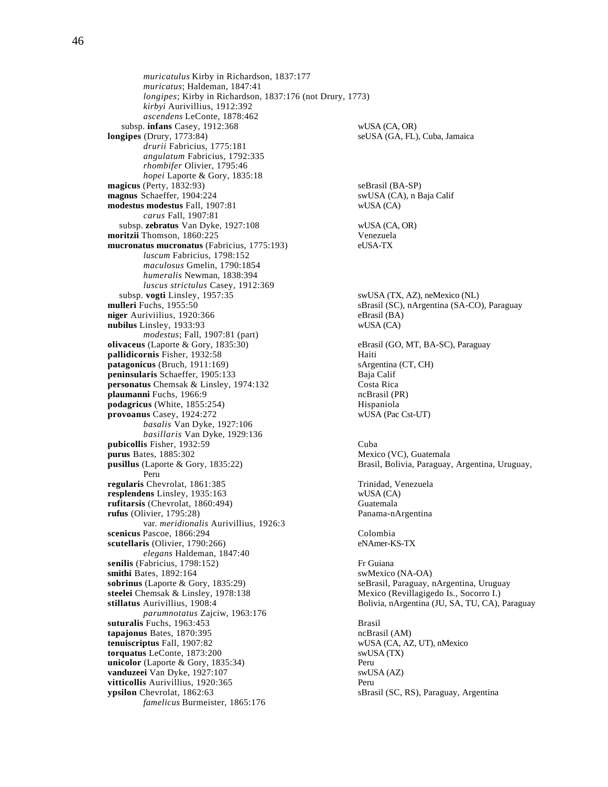*muricatulus* Kirby in Richardson, 1837:177 *muricatus*; Haldeman, 1847:41 *longipes*; Kirby in Richardson, 1837:176 (not Drury, 1773) *kirbyi* Aurivillius, 1912:392 *ascendens* LeConte, 1878:462 subsp. **infans** Casey, 1912:368 wUSA (CA, OR) **longipes** (Drury, 1773:84) seUSA (GA, FL), Cuba, Jamaica *drurii* Fabricius, 1775:181 *angulatum* Fabricius, 1792:335 *rhombifer* Olivier, 1795:46 *hopei* Laporte & Gory, 1835:18 **magicus** (Perty, 1832:93) seBrasil (BA-SP) **magnus** Schaeffer, 1904:224 swUSA (CA), n Baja Calif **modestus modestus** Fall, 1907:81 wUSA (CA) *carus* Fall, 1907:81 subsp. **zebratus** Van Dyke, 1927:108 wUSA (CA, OR) **moritzii Thomson, 1860:225 Venezuela<br>
<b>mucronatus mucronatus** (Fabricius, 1775:193) eUSA-TX mucronatus mucronatus (Fabricius, 1775:193) *luscum* Fabricius, 1798:152 *maculosus* Gmelin, 1790:1854 *humeralis* Newman, 1838:394 *luscus strictulus* Casey, 1912:369<br>subsp. vogti Linsley, 1957:35 subsp. **vogti** Linsley, 1957:35 swUSA (TX, AZ), neMexico (NL)<br>mulleri Fuchs, 1955:50 sBrasil (SC), nArgentina (SA-CO **niger** Auriviilius, 1920:366 eBrasil (BA) **nubilus** Linsley, 1933:93 wUSA (CA) *modestus*; Fall, 1907:81 (part) **olivaceus** (Laporte & Gory, 1835:30) eBrasil (GO, MT, BA-SC), Paraguay **pallidicornis** Fisher, 1932:58 Haiti **patagonicus** (Bruch, 1911:169) sArgentina (CT, CH) **peninsularis** Schaeffer, 1905:133 Baja Calif **personatus Chemsak & Linsley, 1974:132** Costa Rica<br> **plaumanni** Fuchs, 1966:9 costa Rica<br>
cBrasil (PR) plaumanni Fuchs, 1966:9 **podagricus** (White, 1855:254) <br> **provoanus** Casey, 1924:272 <br> **provoanus** Casey, 1924:272 <br> **example 1896** <br> **example 1896** <br> **example 1896** <br> **example 1896** <br> **example 1896** <br> **example 1896** <br> **example 1896** <br> **example 1** provoanus Casey, 1924:272 *basalis* Van Dyke, 1927:106 *basillaris* Van Dyke, 1929:136 **pubicollis** Fisher, 1932:59<br> **purus** Bates, 1885:302 **Cuba**<br>
Mexico (VC), Guatemala purus Bates, 1885:302 **pusillus** (Laporte & Gory, 1835:22) Brasil, Bolivia, Paraguay, Argentina, Uruguay, Peru **regularis** Chevrolat, 1861:385 Trinidad, Venezuela<br> **resplendens** Linsley, 1935:163 WUSA (CA) resplendens Linsley, 1935:163 **rufitarsis** (Chevrolat, 1860:494) Guatemala **rufus** (Olivier, 1795:28) Panama-nArgentina var. *meridionalis* Aurivillius, 1926:3 **scenicus** Pascoe, 1866:294 Colombia **scutellaris** (Olivier, 1790:266) eNAmer-KS-TX *elegans* Haldeman, 1847:40 **senilis** (Fabricius, 1798:152) Fr Guiana<br> **smithi** Bates, 1892:164 SwMexico (NA-OA) smithi Bates, 1892:164 **sobrinus** (Laporte & Gory, 1835:29) seBrasil, Paraguay, nArgentina, Uruguay **steelei** Chemsak & Linsley, 1978:138 Mexico (Revillagigedo Is., Socorro I.) **stillatus** Aurivillius, 1908:4 Bolivia, nArgentina (JU, SA, TU, CA), Paraguay *parumnotatus* Zajciw, 1963:176 **suturalis** Fuchs, 1963:453<br> **tapaionus** Bates, 1870:395<br> **tapaionus** Bates, 1870:395 tapajonus Bates, 1870:395 **tenuiscriptus** Fall, 1907:82 wUSA (CA, AZ, UT), nMexico **torquatus** LeConte, 1873:200 swUSA (TX) **unicolor** (Laporte & Gory, 1835:34) Peru **vanduzeei** Van Dyke, 1927:107 swUSA (AZ) **vitticollis** Aurivillius, 1920:365 Peru **ypsilon** Chevrolat, 1862:63 sBrasil (SC, RS), Paraguay, Argentina *famelicus* Burmeister, 1865:176

sBrasil (SC), nArgentina (SA-CO), Paraguay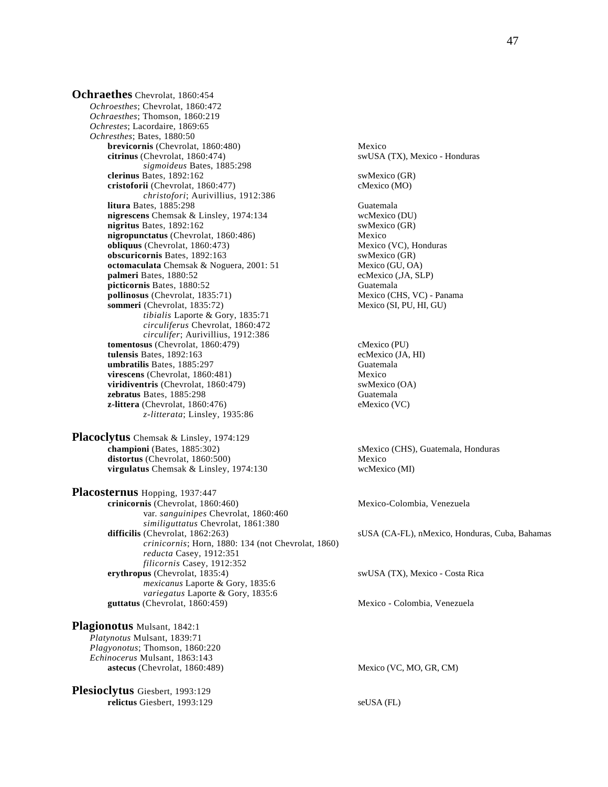**Ochraethes** Chevrolat, 1860:454 *Ochroesthes*; Chevrolat, 1860:472 *Ochraesthes*; Thomson, 1860:219 *Ochrestes*; Lacordaire, 1869:65 *Ochresthes*; Bates, 1880:50 **brevicornis** (Chevrolat, 1860:480) Mexico<br> **citrinus** (Chevrolat, 1860:474) SWUSA *sigmoideus* Bates, 1885:298 **clerinus** Bates, 1892:162 swMexico (GR) **cristoforii** (Chevrolat, 1860:477) cMexico (MO) *christofori*; Aurivillius, 1912:386 **litura** Bates, 1885:298 Guatemala **nigrescens** Chemsak & Linsley, 1974:134 wcMexico (DU) **nigritus** Bates, 1892:162 swMexico (GR) **nigropunctatus** (Chevrolat, 1860:486)<br> **obliquus** (Chevrolat, 1860:473)<br>
Mexico (VC), Honduras **obliquus** (Chevrolat, 1860:473) **obscuricornis** Bates, 1892:163 swMexico (GR) **octomaculata** Chemsak & Noguera, 2001: 51 Mexico (GU, OA) **palmeri** Bates, 1880:52 ecMexico (,JA, SLP) **picticornis Bates, 1880:52** Guatemala<br> **pollinosus** (Chevrolat, 1835:71) Mexico (CHS, VC) - Panama **pollinosus (Chevrolat, 1835:71)** Mexico (CHS, VC) - Panamaneri (Chevrolat, 1835:72) Mexico (SI, PU, HI, GU) sommeri (Chevrolat, 1835:72) *tibialis* Laporte & Gory, 1835:71 *circuliferus* Chevrolat, 1860:472 *circulifer*; Aurivillius, 1912:386 **tomentosus** (Chevrolat, 1860:479) cMexico (PU)<br> **tulensis** Bates, 1892:163 ecMexico (JA, HI) **tulensis** Bates, 1892:163<br> **umbratilis** Bates, 1885:297 **ecMexico** (Guatemala **umbratilis Bates, 1885:297 virescens** (Chevrolat, 1860:481) Mexico<br> **viridiventris** (Chevrolat, 1860:479) Mexico (OA) **viridiventris** (Chevrolat, 1860:479) **zebratus** Bates, 1885:298 Guatemala **z-littera** (Chevrolat, 1860:476) eMexico (VC) *z-litterata*; Linsley, 1935:86

**Placoclytus** Chemsak & Linsley, 1974:129<br>championi (Bates, 1885:302) distortus (Chevrolat, 1860:500) Mexico **virgulatus** Chemsak & Linsley, 1974:130 wcMexico (MI)

**Placosternus** Hopping, 1937:447 **crinicornis** (Chevrolat, 1860:460) Mexico-Colombia, Venezuela var. *sanguinipes* Chevrolat, 1860:460 *similiguttatus* Chevrolat, 1861:380<br>difficilis (Chevrolat, 1862:263) *crinicornis*; Horn, 1880: 134 (not Chevrolat, 1860) *reducta* Casey, 1912:351 *filicornis* Casey, 1912:352 *mexicanus* Laporte & Gory, 1835:6 *variegatus* Laporte & Gory, 1835:6 **guttatus** (Chevrolat, 1860:459) Mexico - Colombia, Venezuela

**Plagionotus** Mulsant, 1842:1 *Platynotus* Mulsant, 1839:71 *Plagyonotus*; Thomson, 1860:220 *Echinocerus* Mulsant, 1863:143 **astecus** (Chevrolat, 1860:489) Mexico (VC, MO, GR, CM)

**Plesioclytus** Giesbert, 1993:129 **relictus** Giesbert, 1993:129 seUSA (FL)

swUSA (TX), Mexico - Honduras

sMexico (CHS), Guatemala, Honduras

sUSA (CA-FL), nMexico, Honduras, Cuba, Bahamas

 $swUSA$  (TX), Mexico - Costa Rica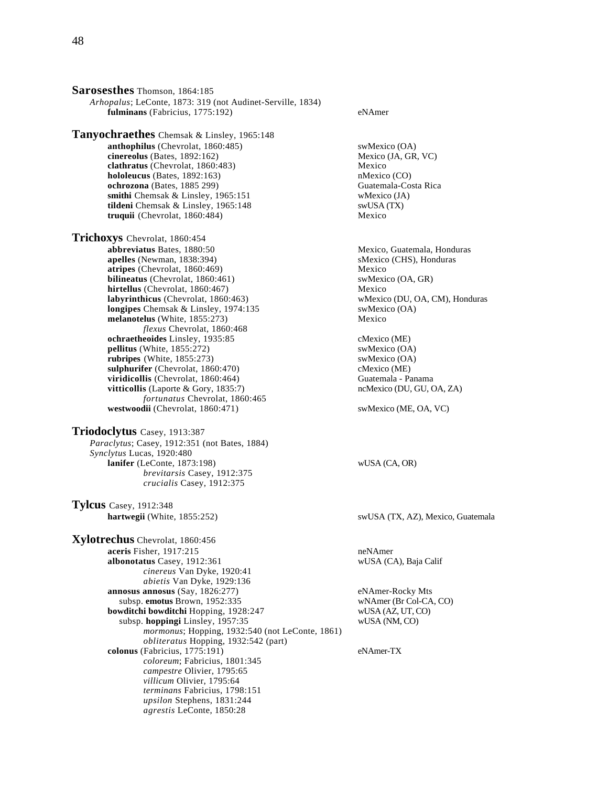**Sarosesthes** Thomson, 1864:185 *Arhopalus*; LeConte, 1873: 319 (not Audinet-Serville, 1834) **fulminans** (Fabricius, 1775:192) eNAmer

**Tanyochraethes** Chemsak & Linsley, 1965:148 **anthophilus** (Chevrolat, 1860:485) swMexico (OA) **cinereolus** (Bates, 1892:162) Mexico (JA, GR, VC) **clathratus** (Chevrolat, 1860:483) Mexico<br> **hololeucus** (Bates, 1892:163) Mexico (CO)  $holo$ **leucus** (Bates,  $1892:163$ ) **ochrozona** (Bates, 1885 299) Guatemala-Costa Rica smithi Chemsak & Linsley, 1965:151 wMexico (JA) tildeni Chemsak & Linsley, 1965:148 swUSA (TX) **truquii** (Chevrolat, 1860:484) Mexico

**Trichoxys** Chevrolat, 1860:454 **abbreviatus** Bates, 1880:50 Mexico, Guatemala, Honduras **apelles** (Newman, 1838:394) sMexico (CHS), Honduras **atripes** (Chevrolat, 1860:469) Mexico **bilineatus** (Chevrolat, 1860:461) swMexico (OA, GR)<br> **hirtellus** (Chevrolat, 1860:467) Mexico **hirtellus** (Chevrolat, 1860:467) **labyrinthicus** (Chevrolat, 1860:463) wMexico (DU, OA, CM), Honduras **longipes** Chemsak & Linsley, 1974:135 swMexico (OA) **melanotelus** (White, 1855:273) Mexico *flexus* Chevrolat, 1860:468 **ochraetheoides** Linsley, 1935:85<br> **pellitus** (White, 1855:272) SwMexico (OA)  $p$ **ellitus** (White,  $1855:272$ ) **rubripes** (White, 1855:273) swMexico (OA) **sulphurifer** (Chevrolat, 1860:470)<br> **viridicollis** (Chevrolat, 1860:464) compared to Guatemala - Panama **viridicollis** (Chevrolat, 1860:464) Guatemala - Panama<br> **vitticollis** (Laporte & Gory, 1835:7) Guatemala - Panama<br>
ncMexico (DU, GU, OA, ZA) **vitticollis** (Laporte & Gory, 1835:7) *fortunatus* Chevrolat, 1860:465 westwoodii (Chevrolat, 1860:471) swMexico (ME, OA, VC)

**Triodoclytus** Casey, 1913:387 *Paraclytus*; Casey, 1912:351 (not Bates, 1884) *Synclytus* Lucas, 1920:480 **lanifer** (LeConte, 1873:198) wUSA (CA, OR) *brevitarsis* Casey, 1912:375 *crucialis* Casey, 1912:375

**Tylcus** Casey, 1912:348

**Xylotrechus** Chevrolat, 1860:456 **aceris** Fisher, 1917:215 neNAmer **albonotatus** Casey, 1912:361 wUSA (CA), Baja Calif *cinereus* Van Dyke, 1920:41 *abietis* Van Dyke, 1929:136 **annosus annosus** (Say, 1826:277) eNAmer-Rocky Mts subsp. **emotus** Brown, 1952:335 wNAmer (Br Col-CA, CO)<br> **wditchi bowditchi** Hopping, 1928:247 wUSA (AZ, UT, CO) **bowditchi bowditchi Hopping, 1928:247**  subsp. **hoppingi** Linsley, 1957:35 wUSA (NM, CO) *mormonus*; Hopping, 1932:540 (not LeConte, 1861) *obliteratus* Hopping, 1932:542 (part) **colonus** (Fabricius, 1775:191) eNAmer-TX *coloreum*; Fabricius, 1801:345 *campestre* Olivier, 1795:65 *villicum* Olivier, 1795:64 *terminans* Fabricius, 1798:151 *upsilon* Stephens, 1831:244 *agrestis* LeConte, 1850:28

**hartwegii** (White, 1855:252) swUSA (TX, AZ), Mexico, Guatemala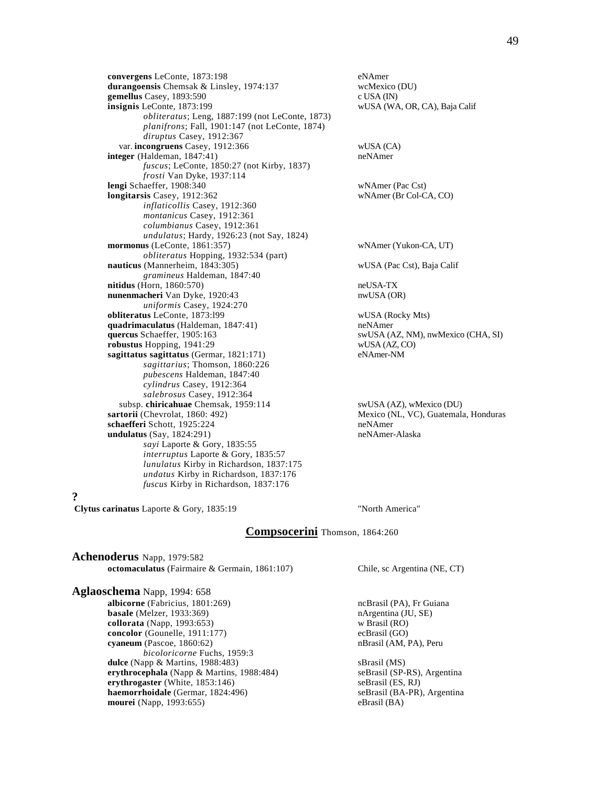**convergens** LeConte, 1873:198 eNAmer<br> **durangoensis** Chemsak & Linsley, 1974:137 wcMexico (DU) **durangoensis** Chemsak & Linsley, 1974:137 **gemellus** Casey, 1893:590 c USA (IN) **insignis** LeConte, 1873:199 wUSA (WA, OR, CA), Baja Calif *obliteratus*; Leng, 1887:199 (not LeConte, 1873) *planifrons*; Fall, 1901:147 (not LeConte, 1874) *diruptus* Casey, 1912:367 var. **incongruens** Casey, 1912:366 wUSA (CA) **integer** (Haldeman, 1847:41) neNAmer *fuscus*; LeConte, 1850:27 (not Kirby, 1837) *frosti* Van Dyke, 1937:114 **lengi** Schaeffer, 1908:340 wNAmer (Pac Cst) **longitarsis** Casey, 1912:362 wNAmer (Br Col-CA, CO) *inflaticollis* Casey, 1912:360 *montanicus* Casey, 1912:361 *columbianus* Casey, 1912:361 *undulatus*; Hardy, 1926:23 (not Say, 1824) **mormonus** (LeConte, 1861:357) wNAmer (Yukon-CA, UT) *obliteratus* Hopping, 1932:534 (part) **nauticus** (Mannerheim, 1843:305) wUSA (Pac Cst), Baja Calif *gramineus* Haldeman, 1847:40 **nitidus** (Horn, 1860:570) neUSA-TX **nunenmacheri** Van Dyke, 1920:43 nwUSA (OR) *uniformis* Casey, 1924:270 **obliteratus** LeConte, 1873:l99 wUSA (Rocky Mts) **quadrimaculatus** (Haldeman, 1847:41) neNAmer **quercus** Schaeffer, 1905:163 swUSA (AZ, NM), nwMexico (CHA, SI) **robustus** Hopping, 1941:29 wUSA (AZ, CO)<br> **sagittatus** sagittatus (Germar. 1821:171) eNAmer-NM sagittatus sagittatus (Germar, 1821:171) *sagittarius*; Thomson, 1860:226 *pubescens* Haldeman, 1847:40 *cylindrus* Casey, 1912:364 *salebrosus* Casey, 1912:364 subsp. **chiricahuae** Chemsak, 1959:114 swUSA (AZ), wMexico (DU) sartorii (Chevrolat, 1860: 492) Mexico (NL, VC), Guatemal schaefferi Schott, 1925:224 **undulatus** (Say, 1824:291) neNAmer-Alaska *sayi* Laporte & Gory, 1835:55 *interruptus* Laporte & Gory, 1835:57 *lunulatus* Kirby in Richardson, 1837:175 *undatus* Kirby in Richardson, 1837:176 *fuscus* Kirby in Richardson, 1837:176

Mexico (NL, VC), Guatemala, Honduras<br>neNAmer

**?**

**Clytus carinatus** Laporte & Gory, 1835:19 "North America"

# **Compsocerini** Thomson, 1864:260

**Achenoderus** Napp, 1979:582 **octomaculatus** (Fairmaire & Germain, 1861:107) Chile, sc Argentina (NE, CT)

**Aglaoschema** Napp, 1994: 658 **albicorne** (Fabricius, 1801:269) **ncBrasil (PA), Fr Guiana** ncBrasil (PA), Fr Guiana **basale** (Melzer, 1933:369) **nArgentina (JU, SE) nArgentina** (JU, SE) **collorata** (Napp, 1993:653)<br> **concolor** (Gounelle, 1911:177) ecBrasil (GO) concolor (Gounelle, 1911:177) **cyaneum** (Pascoe, 1860:62) nBrasil (AM, PA), Peru *bicoloricorne* Fuchs, 1959:3 **dulce** (Napp & Martins, 1988:483) sBrasil (MS) **erythrocephala** (Napp & Martins, 1988:484) seBrasil (SP-RS), Argentina<br> **erythrogaster** (White, 1853:146) seBrasil (ES, RJ) **erythrogaster** (White, 1853:146) **haemorrhoidale** (Germar, 1824:496) seBrasil (BA-PR), Argentina **mourei** (Napp, 1993:655) eBrasil (BA)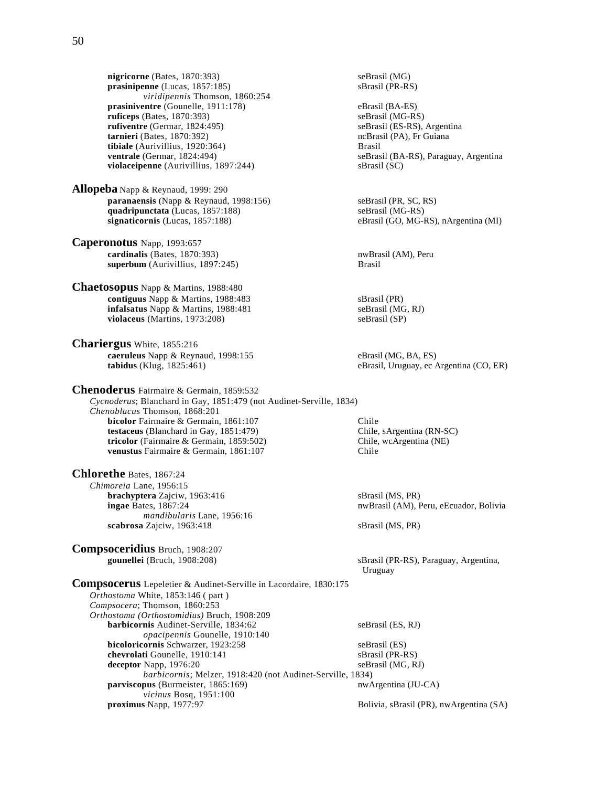**nigricorne** (Bates, 1870:393) <br> **prasinipenne** (Lucas, 1857:185) SBrasil (PR-RS)  $prasinipenne$  (Lucas,  $1857:185$ ) *viridipennis* Thomson, 1860:254 **prasiniventre** (Gounelle, 1911:178) eBrasil (BA-ES)<br> **proficeps** (Bates, 1870:393) seBrasil (MG-RS) **ruficeps** (Bates, 1870:393)<br> **rufiventre** (Germar, 1824:495) **seBrasil** (CS-RS), Argentina  $rufiventre$  (Germar,  $1824:495$ ) **tarnieri** (Bates, 1870:392) **heitich is a contract of the Case of Case of the Case of Case of the Case of Case of Case of Case of Case of Case of Case of Case of Case of Case of Case of Case of Case of Case of Case of Cas tibiale** (Aurivillius, 1920:364) Brasil<br> **ventrale** (Germar, 1824:494) seBras **violaceipenne** (Aurivillius, 1897:244) sBrasil (SC)

**Allopeba** Napp & Reynaud, 1999: 290 **paranaensis** (Napp & Reynaud, 1998:156) seBrasil (PR, SC, RS) **quadripunctata** (Lucas, 1857:188) seBrasil (MG-RS)<br> **signaticornis** (Lucas, 1857:188) eBrasil (GO, MG-I

- **Caperonotus** Napp, 1993:657 **cardinalis** (Bates, 1870:393) **nwBrasil (AM), Peru superbum** (Aurivillius, 1897:245) Brasil
- **Chaetosopus** Napp & Martins, 1988:480 **contiguus** Napp & Martins, 1988:483 sBrasil (PR) **infalsatus** Napp & Martins, 1988:481 seBrasil (MG, RJ) **violaceus** (Martins, 1973:208) seBrasil (SP)

**Chariergus** White, 1855:216 **caeruleus** Napp & Reynaud, 1998:155 eBrasil (MG, BA, ES) eBrasil, Uruguay, ec A

**Chenoderus** Fairmaire & Germain, 1859:532 *Cycnoderus*; Blanchard in Gay, 1851:479 (not Audinet-Serville, 1834) *Chenoblacus* Thomson, 1868:201 **bicolor** Fairmaire & Germain, 1861:107 Chile **testaceus** (Blanchard in Gay, 1851:479) Chile, sArgentina (RN-SC)<br> **tricolor** (Fairmaire & Germain, 1859:502) Chile, wcArgentina (NE) **tricolor** (Fairmaire & Germain, 1859:502) **venustus** Fairmaire & Germain, 1861:107 Chile

**Chlorethe** Bates, 1867:24 *Chimoreia* Lane, 1956:15 **brachyptera** Zajciw, 1963:416 sBrasil (MS, PR) *mandibularis* Lane, 1956:16 **scabrosa** Zajciw, 1963:418 sBrasil (MS, PR)

**Compsoceridius** Bruch, 1908:207

 $seBrasil (BA-RS)$ , Paraguay, Argentina

eBrasil (GO, MG-RS), nArgentina (MI)

eBrasil, Uruguay, ec Argentina (CO, ER)

**ingae** Bates, 1867:24 **https://web/2015.com/information-information-information-information-information-information-information-information-information-information-information-information-information-information-informati** 

 **gounellei** (Bruch, 1908:208) sBrasil (PR-RS), Paraguay, Argentina, Uruguay

**Compsocerus** Lepeletier & Audinet-Serville in Lacordaire, 1830:175 *Orthostoma* White, 1853:146 ( part ) *Compsocera*; Thomson, 1860:253 *Orthostoma (Orthostomidius)* Bruch, 1908:209 **barbicornis** Audinet-Serville, 1834:62 seBrasil (ES, RJ) *opacipennis* Gounelle, 1910:140 **bicoloricornis** Schwarzer, 1923:258 seBrasil (ES) **chevrolati** Gounelle, 1910:141 sBrasil (PR-RS) **deceptor** Napp, 1976:20 seBrasil (MG, RJ) *barbicornis*; Melzer, 1918:420 (not Audinet-Serville, 1834) **parviscopus** (Burmeister, 1865:169) nwArgentina (JU-CA) *vicinus* Bosq, 1951:100<br>**proximus** Napp, 1977:97 Bolivia, sBrasil (PR), nwArgentina (SA)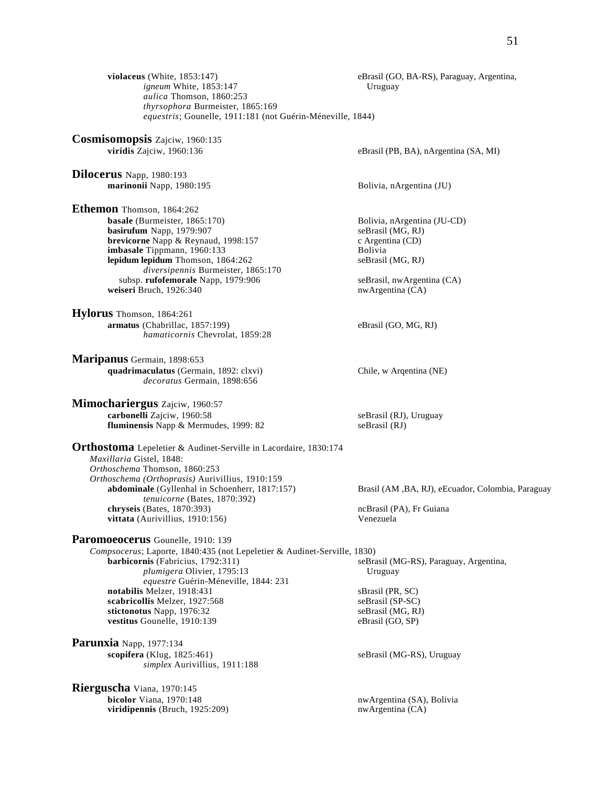**violaceus** (White, 1853:147) eBrasil (GO, BA-RS), Paraguay, Argentina, *igneum* White, 1853:147 Uruguay *aulica* Thomson, 1860:253 *thyrsophora* Burmeister, 1865:169 *equestris*; Gounelle, 1911:181 (not Guérin-Méneville, 1844) **Cosmisomopsis** Zajciw, 1960:135 **viridis** Zajciw, 1960:136 eBrasil (PB, BA), nArgentina (SA, MI) **Dilocerus** Napp, 1980:193 **marinonii** Napp, 1980:195 Bolivia, nArgentina (JU) **Ethemon** Thomson, 1864:262 **basale** (Burmeister, 1865:170) Bolivia, nArgentina (JU-CD) **basirufum** Napp, 1979:907 seBrasil (MG, RJ) **brevicorne** Napp & Reynaud, 1998:157 c Argentina (CD) c Argentina (CD) **imbasale** Tippmann, 1960:133 **imbasale** Tippmann, 1960:133 **lepidum lepidum** Thomson, 1864:262 seBrasil (MG, RJ) *diversipennis* Burmeister, 1865:170 subsp. **rufofemorale** Napp, 1979:906 seBrasil, nwArgentina (CA) weiseri Bruch, 1926:340 nwArgentina (CA) **Hylorus** Thomson, 1864:261 **armatus** (Chabrillac, 1857:199) eBrasil (GO, MG, RJ) *hamaticornis* Chevrolat, 1859:28 **Maripanus** Germain, 1898:653 **quadrimaculatus** (Germain, 1892: clxvi) Chile, w Arqentina (NE) *decoratus* Germain, 1898:656 **Mimochariergus** Zajciw, 1960:57 **carbonelli** Zajciw, 1960:58 seBrasil (RJ), Uruguay **fluminensis** Napp & Mermudes, 1999: 82 seBrasil (RJ) **Orthostoma** Lepeletier & Audinet-Serville in Lacordaire, 1830:174 *Maxillaria* Gistel, 1848: *Orthoschema* Thomson, 1860:253 *Orthoschema (Orthoprasis)* Aurivillius, 1910:159 **abdominale** (Gyllenhal in Schoenherr, 1817:157) Brasil (AM ,BA, RJ), eEcuador, Colombia, Paraguay *tenuicorne* (Bates, 1870:392) **chryseis** (Bates, 1870:393) **chryseis** (PA), Fr Guiana **vittata** (Aurivillius, 1910:156) Venezuela **Paromoeocerus** Gounelle, 1910: 139 *Compsocerus*; Laporte, 1840:435 (not Lepeletier & Audinet-Serville, 1830) **barbicornis** (Fabricius, 1792:311) seBrasil (MG-RS), Paraguay, Argentina, *plumigera* Olivier, 1795:13 *equestre* Guérin-Méneville, 1844: 231 **notabilis** Melzer, 1918:431 sBrasil (PR, SC) **scabricollis** Melzer, 1927:568 seBrasil (SP-SC)<br> **stictonotus** Napp, 1976:32 seBrasil (MG, RJ) stictonotus Napp, 1976:32 vestitus Gounelle, 1910:139 eBrasil (GO, SP) **Parunxia** Napp, 1977:134 **scopifera** (Klug, 1825:461) seBrasil (MG-RS), Uruguay *simplex* Aurivillius, 1911:188 **Rierguscha** Viana, 1970:145 nwArgentina (SA), Bolivia<br>nwArgentina (CA) viridipennis (Bruch, 1925:209)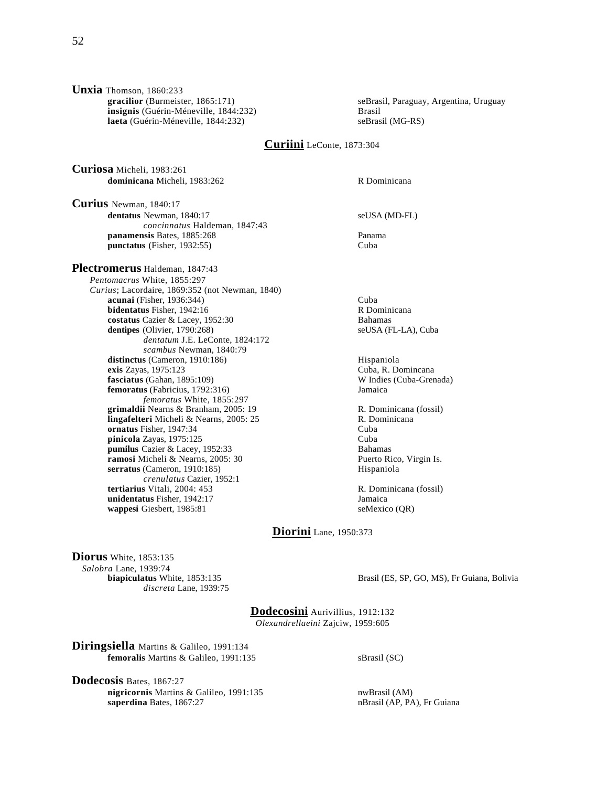**Unxia** Thomson, 1860:233<br>**gracilior** (Burmeister, 1865:171) **insignis** (Guérin-Méneville, 1844:232) **laeta** (Guérin-Méneville, 1844:232) seBrasil (MG-RS)

seBrasil, Paraguay, Argentina, Uruguay, Brasil

# **Curiini** LeConte, 1873:304

**Curiosa** Micheli, 1983:261 **dominicana** Micheli, 1983:262 R Dominicana

**Curius** Newman, 1840:17 **dentatus** Newman, 1840:17 seUSA (MD-FL) *concinnatus* Haldeman, 1847:43 **panamensis** Bates, 1885:268 **Panama**<br> **punctatus** (Fisher. 1932:55) Cuba  $punctatus$  (Fisher, 1932:55)

**Plectromerus** Haldeman, 1847:43 *Pentomacrus* White, 1855:297 *Curius*; Lacordaire, 1869:352 (not Newman, 1840) **acunai** (Fisher, 1936:344) Cuba<br> **bidentatus** Fisher, 1942:16 Cuba R Dominicana **bidentatus** Fisher, 1942:16 **costatus** Cazier & Lacey, 1952:30 Bahamas **dentipes** (Olivier, 1790:268) seUSA (FL-LA), Cuba *dentatum* J.E. LeConte, 1824:172 *scambus* Newman, 1840:79 distinctus (Cameron, 1910:186) Hispaniola **exis** Zayas, 1975:123 Cuba, R. Domincana **fasciatus** (Gahan, 1895:109) W Indies (Cuba-Grenada) **femoratus** (Fabricius, 1792:316) Jamaica *femoratus* White, 1855:297 **grimaldii** Nearns & Branham, 2005: 19 R. Dominicana (fossil) **lingafelteri** Micheli & Nearns, 2005: 25 R. Dominicana **ornatus** Fisher, 1947:34 Cuba<br> **pinicola** Zavas. 1975:125 Cuba **pinicola** Zayas, 1975:125 **pumilus** Cazier & Lacey, 1952:33<br> **pumilus** Cazier & Lacey, 1952:33<br> **pumilus** Cazier & Nearns, 2005: 30<br> **pullus** Puerto Rico, Virgin Is. **ramosi** Micheli & Nearns, 2005: 30 **serratus** (Cameron, 1910:185) Hispaniola *crenulatus* Cazier, 1952:1 **tertiarius** Vitali, 2004: 453<br> **unidentatus** Fisher, 1942:17<br> **Jamaica**<br> **Jamaica unidentatus** Fisher, 1942:17

**wappesi** Giesbert, 1985:81 seMexico (QR)

**Diorini** Lane, 1950:373

**Diorus** White, 1853:135 *Salobra* Lane, 1939:74 *discreta* Lane, 1939:75

Brasil (ES, SP, GO, MS), Fr Guiana, Bolivia

**Dodecosini** Aurivillius, 1912:132 *Olexandrellaeini* Zajciw, 1959:605

**Diringsiella** Martins & Galileo, 1991:134 **femoralis** Martins & Galileo, 1991:135 sBrasil (SC)

**Dodecosis** Bates, 1867:27 **nigricornis** Martins & Galileo, 1991:135 nwBrasil (AM) **saperdina** Bates, 1867:27 nBrasil (AP, PA), Fr Guiana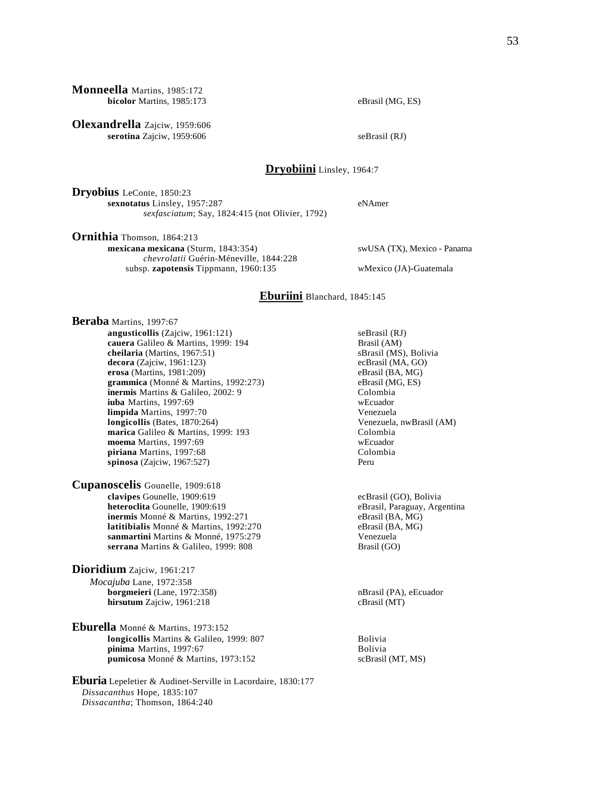**Monneella** Martins, 1985:172 **bicolor** Martins, 1985:173 eBrasil (MG, ES)

**Olexandrella** Zajciw, 1959:606 **serotina** Zajciw, 1959:606 seBrasil (RJ)

# **Dryobiini** Linsley, 1964:7

**Dryobius** LeConte, 1850:23 **sexnotatus** Linsley, 1957:287 eNAmer *sexfasciatum*; Say, 1824:415 (not Olivier, 1792)

**Ornithia** Thomson, 1864:213

*Dissacantha*; Thomson, 1864:240

 **mexicana mexicana** (Sturm, 1843:354) swUSA (TX), Mexico - Panama *chevrolatii* Guérin-Méneville, 1844:228 subsp. **zapotensis** Tippmann, 1960:135 wMexico (JA)-Guatemala

### **Eburiini** Blanchard, 1845:145

**Beraba** Martins, 1997:67 **angusticollis** (Zajciw, 1961:121) seBrasil (RJ) **cauera** Galileo & Martins, 1999: 194 **Brasil (AM)**<br> **cheilaria** (Martins, 1967:51) **Brasil (MS), Bolivia cheilaria** (Martins, 1967:51) **decora** (Zajciw, 1961:123) ecBrasil (MA, GO)<br> **erosa** (Martins, 1981:209) eBrasil (BA, MG) **erosa** (Martins, 1981:209) **grammica** (Monné & Martins, 1992:273) eBrasil (MG, ES) **inermis** Martins & Galileo, 2002: 9 Colombia<br> **iuba** Martins, 1997:69 WEcuador **iuba** Martins, 1997:69 **limpida** Martins, 1997:70 Venezuela **longicollis** (Bates, 1870:264) Venezuela, nwBrasil (AM) **marica** Galileo & Martins, 1999: 193<br> **moema** Martins, 1997:69<br>
Wecuador **moema** Martins, 1997:69 **piriana** Martins, 1997:68 Colombia **spinosa** (Zajciw, 1967:527) Peru **Cupanoscelis** Gounelle, 1909:618 **clavipes** Gounelle, 1909:619<br> **clavipes** Gounelle, 1909:619 ecBrasil (GO), Bolivia<br>
eBrasil Paraguay, Arg **inermis** Monné & Martins, 1992:271 eBrasil (BA, MG) **latitibialis** Monné & Martins, 1992:270 eBrasil (BA, MG) **sanmartini** Martins & Monné, 1975:279 Venezuela<br> **serrana** Martins & Galileo, 1999: 808 Brasil (GO) serrana Martins & Galileo, 1999: 808 **Dioridium** Zajciw, 1961:217 *Mocajuba* Lane, 1972:358 **borgmeieri** (Lane, 1972:358) **nBrasil (PA), eEcuador nBrasil** (PA), eEcuador **hirsutum** Zajciw, 1961:218 cBrasil (MT) **Eburella** Monné & Martins, 1973:152 **longicollis** Martins & Galileo, 1999: 807 Bolivia **pinima** Martins, 1997:67 Bolivia **pumicosa** Monné & Martins, 1973:152 scBrasil (MT, MS) **Eburia** Lepeletier & Audinet-Serville in Lacordaire, 1830:177 *Dissacanthus* Hope, 1835:107

eBrasil, Paraguay, Argentina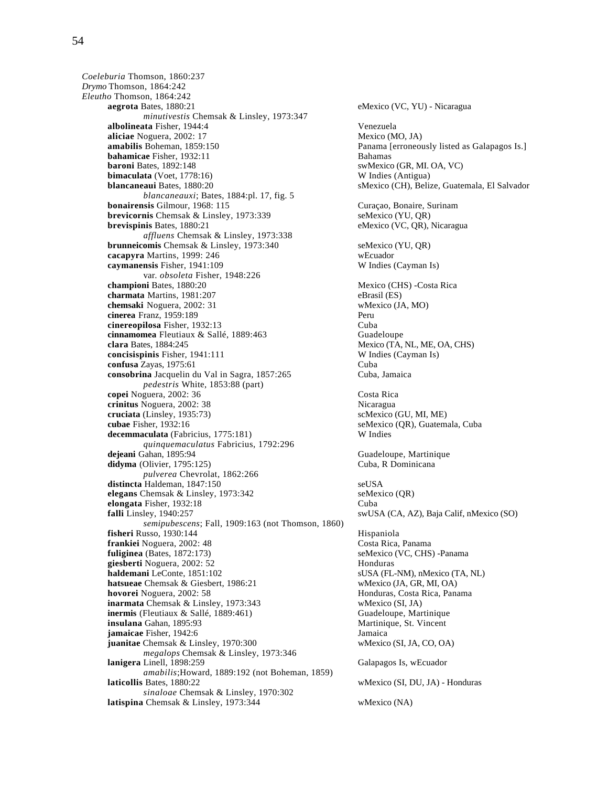*Coeleburia* Thomson, 1860:237 *Drymo* Thomson, 1864:242 *Eleutho* Thomson, 1864:242 **aegrota** Bates, 1880:21 eMexico (VC, YU) - Nicaragua *minutivestis* Chemsak & Linsley, 1973:347 **albolineata** Fisher, 1944:4 Venezuela **aliciae** Noguera, 2002: 17<br> **amabilis** Boheman, 1859:150<br> **amabilis** Boheman, 1859:150 **bahamicae** Fisher, 1932:11 Bahamas **baroni** Bates, 1892:148 swMexico (GR, MI. OA, VC) **bimaculata** (Voet, 1778:16) W Indies (Antigua) **blancaneaui** Bates, 1880:20 sMexico (CH), Belize, Guatemala, El Salvador *blancaneauxi*; Bates, 1884:pl. 17, fig. 5 **bonairensis** Gilmour, 1968: 115 Curaçao, Bonaire, Surinam **brevicornis** Chemsak & Linsley, 1973:339 seMexico (YU, OR) **brevispinis** Bates, 1880:21 eMexico (VC, QR), Nicaragua *affluens* Chemsak & Linsley, 1973:338 **brunneicomis** Chemsak & Linsley, 1973:340 seMexico (YU, QR) **cacapyra** Martins, 1999: 246 wEcuador **caymanensis** Fisher, 1941:109 W Indies (Cayman Is) var. *obsoleta* Fisher, 1948:226 **championi** Bates, 1880:20 Mexico (CHS) -Costa Rica **charmata** Martins, 1981:207 eBrasil (ES)<br> **chemsaki** Noguera, 2002: 31 wMexico (JA, MO) **chemsaki** Noguera, 2002: 31 **cinerea** Franz, 1959:189 Peru **cinereopilosa** Fisher, 1932:13 Cuba **cinnamomea** Fleutiaux & Sallé, 1889:463 Guadeloupe **clara** Bates, 1884:245 **Mexico (TA, NL, ME, OA, CHS)**<br> **concisispinis** Fisher, 1941:111 **W** Indies (Cayman Is) **concisispinis** Fisher, 1941:111 **confusa** Zayas, 1975:61 Cuba **consobrina** Jacquelin du Val in Sagra, 1857:265 Cuba, Jamaica *pedestris* White, 1853:88 (part) **copei** Noguera, 2002: 36 Costa Rica **crinitus** Noguera, 2002: 38 <br> **cruciata** (Linsley, 1935:73) SCMEXICO (GU, MI, ME)  $cruciata$  (Linsley, 1935:73) **cubae** Fisher, 1932:16 seMexico (QR), Guatemala, Cuba **decemmaculata** (Fabricius, 1775:181) W Indies *quinquemaculatus* Fabricius, 1792:296 **didyma** (Olivier, 1795:125) Cuba, R Dominicana *pulverea* Chevrolat, 1862:266 distincta Haldeman, 1847:150 seUSA **elegans** Chemsak & Linsley, 1973:342 seMexico (QR) **elongata** Fisher, 1932:18 Cuba **falli** Linsley, 1940:257 swUSA (CA, AZ), Baja Calif, nMexico (SO) *semipubescens*; Fall, 1909:163 (not Thomson, 1860) **fisheri** Russo, 1930:144 Hispaniola **frankiei** Noguera, 2002: 48 Costa Rica, Panama **fuliginea** (Bates, 1872:173) seMexico (VC, CHS) -Panama **giesberti** Noguera, 2002: 52 Honduras **haldemani** LeConte, 1851:102 sUSA (FL-NM), nMexico (TA, NL) **hatsueae** Chemsak & Giesbert, 1986:21 wMexico (JA, GR, MI, OA) hovorei Noguera, 2002: 58 **Honduras**, Costa Rica, Panama **inarmata** Chemsak & Linsley, 1973:343 wMexico (SI, JA) **inermis** (Fleutiaux & Sallé, 1889:461) Guadeloupe, Martinique **insulana** Gahan, 1895:93<br> **insulana** Gahan, 1942:6<br> **insulana Fisher.** 1942:6 **jamaicae** Fisher, 1942:6 **juanitae** Chemsak & Linsley, 1970:300 wMexico (SI, JA, CO, OA) *megalops* Chemsak & Linsley, 1973:346 **lanigera** Linell, 1898:259 Galapagos Is, wEcuador *amabilis*;Howard, 1889:192 (not Boheman, 1859) *sinaloae* Chemsak & Linsley, 1970:302

Panama [erroneously listed as Galapagos Is.] Guadeloupe, Martinique wMexico (SI, DU, JA) - Honduras **latispina** Chemsak & Linsley, 1973:344 wMexico (NA)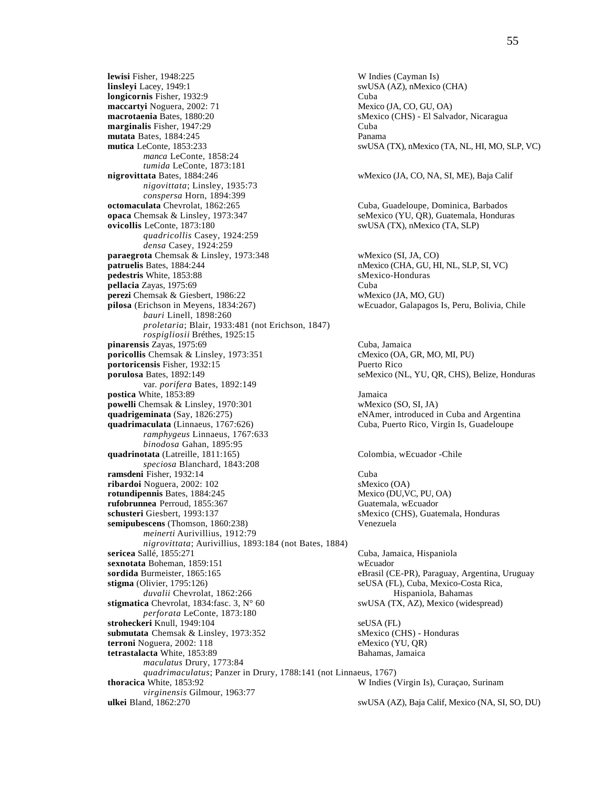**lewisi** Fisher, 1948:225 W Indies (Cayman Is)<br> **linsleyi** Lacey, 1949:1 W Indies (Cayman Is) **longicornis** Fisher, 1932:9 Cuba **maccartyi** Noguera, 2002: 71 Mexico (JA, CO, GU, OA)<br> **macrotaenia** Bates, 1880:20 SMexico (CHS) - El Salva **marginalis** Fisher, 1947:29 Cuba **mutata** Bates, 1884:245 **Panama**<br> **mutica** LeConte, 1853:233 swUSA *manca* LeConte, 1858:24 *tumida* LeConte, 1873:181<br>**nigrovittata** Bates, 1884:246 *nigovittata*; Linsley, 1935:73 *conspersa* Horn, 1894:399 **opaca** Chemsak & Linsley, 1973:347 seMexico (YU, OR), Guatemala, Honduras **ovicollis** LeConte, 1873:180 swUSA (TX), nMexico (TA, SLP) *quadricollis* Casey, 1924:259 *densa* Casey, 1924:259 **paraegrota** Chemsak & Linsley, 1973:348 wMexico (SI, JA, CO)<br> **patruelis** Bates. 1884:244 hMexico (CHA, GU, HI **pedestris** White, 1853:88 sMexico-Honduras **pellacia** Zayas, 1975:69 Cuba **perezi** Chemsak & Giesbert, 1986:22 wMexico (JA, MO, GU)<br> **pilosa** (Erichson in Meyens, 1834:267) wEcuador, Galapagos Is *bauri* Linell, 1898:260 *proletaria*; Blair, 1933:481 (not Erichson, 1847) *rospigliosii* Bréthes, 1925:15 **pinarensis** Zayas, 1975:69<br> **poricollis** Chemsak & Linsley, 1973:351<br> **poricollis** Chemsak & Linsley, 1973:351<br> **cMexico (OA, GR, MO, MI, PU) poricollis** Chemsak & Linsley, 1973:351 **portoricensis** Fisher, 1932:15 Puerto Rico **porulosa** Bates, 1892:149 seMexico (NL, YU, QR, CHS), Belize, Honduras var. *porifera* Bates, 1892:149 **postica** White, 1853:89 Jamaica **powelli** Chemsak & Linsley, 1970:301 wMexico (SO, SI, JA) quadrigeminata (Say, 1826:275) eNAmer, introduced i **quadrimaculata** (Linnaeus, 1767:626) Cuba, Puerto Rico, Virgin Is, Guadeloupe *ramphygeus* Linnaeus, 1767:633 *binodosa* Gahan, 1895:95 **quadrinotata** (Latreille, 1811:165) Colombia, wEcuador -Chile *speciosa* Blanchard, 1843:208 **ramsdeni** Fisher, 1932:14 Cuba **ribardoi** Noguera, 2002: 102 sMexico (OA) **rotundipennis** Bates, 1884:245 Mexico (DU,VC, PU, OA) **rufobrunnea** Perroud, 1855:367 Guatemala, wEcuador **schusteri** Giesbert, 1993:137 sMexico (CHS), Guatemala, Honduras **semipubescens** (Thomson, 1860:238) Venezuela *meinerti* Aurivillius, 1912:79 *nigrovittata*; Aurivillius, 1893:184 (not Bates, 1884) **sericea** Sallé, 1855:271 Cuba, Jamaica, Hispaniola **sexnotata** Boheman, 1859:151 wEcuador<br> **sordida** Burmeister, 1865:165 eBrasil (C **stigma** (Olivier, 1795:126) seUSA (FL), Cuba, Mexico-Costa Rica, *duvalii* Chevrolat, 1862:266 Hispaniola, Bahamas **stigmatica** Chevrolat, 1834:fasc. 3, N° 60 swUSA (TX, AZ), Mexico (widespread) *perforata* LeConte, 1873:180 **stroheckeri Knull, 1949:104**<br> **submutata** Chemsak & Linsley, 1973:352<br> **stroheckeri Knull, 1949:104**<br> **stroheckeri Knull, 1949:104**<br> **stroheckeri Knull, 1949:104** submutata Chemsak & Linsley, 1973:352 **terroni** Noguera, 2002: 118 eMexico (YU, QR) **tetrastalacta** White, 1853:89 Bahamas, Jamaica *maculatus* Drury, 1773:84 *quadrimaculatus*; Panzer in Drury, 1788:141 (not Linnaeus, 1767) *virginensis* Gilmour, 1963:77 **ulkei** Bland, 1862:270 swUSA (AZ), Baja Calif, Mexico (NA, SI, SO, DU)

swUSA (AZ), nMexico (CHA) sMexico (CHS) - El Salvador, Nicaragua swUSA (TX), nMexico (TA, NL, HI, MO, SLP, VC) wMexico (JA, CO, NA, SI, ME), Baja Calif Cuba, Guadeloupe, Dominica, Barbados **patruelis** Bates, 1884:244 nMexico (CHA, GU, HI, NL, SLP, SI, VC) wEcuador, Galapagos Is, Peru, Bolivia, Chile eNAmer, introduced in Cuba and Argentina eBrasil (CE-PR), Paraguay, Argentina, Uruguay W Indies (Virgin Is), Curaçao, Surinam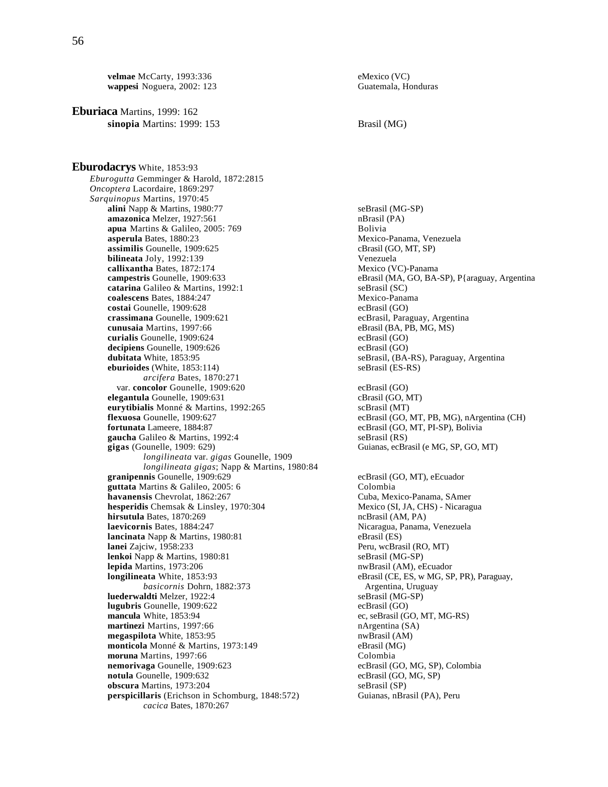**velmae** McCarty, 1993:336<br> **wappesi** Noguera, 2002: 123<br>
Guatemala, Honduras **wappesi** Noguera, 2002: 123

**Eburiaca** Martins, 1999: 162 **sinopia** Martins: 1999: 153 Brasil (MG)

**Eburodacrys** White, 1853:93 *Eburogutta* Gemminger & Harold, 1872:2815 *Oncoptera* Lacordaire, 1869:297 *Sarquinopus* Martins, 1970:45 **alini** Napp & Martins, 1980:77<br> **amazonica** Melzer. 1927:561 seBrasil (MG-SP) nBrasil (PA) amazonica Melzer, 1927:561 **apua** Martins & Galileo, 2005: 769 Bolivia **asperula** Bates, 1880:23 Mexico-Panama, Venezuela **assimilis** Gounelle, 1909:625 cBrasil (GO, MT, SP) **bilineata** Joly, 1992:139 Venezuela **callixantha** Bates, 1872:174<br>**campestris** Gounelle, 1909:633 **catarina** Galileo & Martins, 1992:1 seBrasil (SC) **coalescens** Bates, 1884:247 Mexico-Panama<br> **costai** Gounelle, 1909:628 Mexico-Panama<br>
ecBrasil (GO) costai Gounelle, 1909:628 **crassimana** Gounelle, 1909:621 ecBrasil, Paraguay, Argentina<br> **cunusaia** Martins, 1997:66 eBrasil (BA, PB, MG, MS) cunusaia Martins, 1997:66 **curialis** Gounelle, 1909:624 ecBrasil (GO) **decipiens** Gounelle, 1909:626 ecBrasil (GO)<br> **dubitata** White. 1853:95 ecBrasil. (BA**eburioides** (White, 1853:114) *arcifera* Bates, 1870:271 var. **concolor** Gounelle, 1909:620 ecBrasil (GO) **elegantula** Gounelle, 1909:631 cBrasil (GO, MT) **eurytibialis** Monné & Martins, 1992:265 scBrasil (MT) scBrasil (MT) **flexuosa** Gounelle. 1909:627 **fortunata** Lameere, 1884:87 ecBrasil (GO, MT, PI-SP), Bolivia **gaucha** Galileo & Martins, 1992:4 seBrasil (RS)<br> **gigas** (Gounelle, 1909: 629) Guianas, ecBr *longilineata* var. *gigas* Gounelle, 1909 *longilineata gigas*; Napp & Martins, 1980:84 **granipennis** Gounelle, 1909:629 ecBrasil (GO, MT), eEcuador **guttata** Martins & Galileo, 2005: 6 Colombia **havanensis** Chevrolat, 1862:267 Cuba, Mexico-Panama, SAmer<br> **hesperidis** Chemsak & Linsley, 1970:304 Mexico (SI, JA, CHS) - Nicaragua **hesperidis** Chemsak & Linsley, 1970:304 **hirsutula** Bates, 1870:269 ncBrasil (AM, PA) **laevicornis** Bates, 1884:247<br> **lancinata** Napp & Martins, 1980:81 **Nicaragua, Panama, Nenezuela**<br>
eBrasil (ES) **lancinata** Napp & Martins, 1980:81<br>**lanei** Zajciw, 1958:233 **lenkoi** Napp & Martins, 1980:81 seBrasil (MG-SP) **lepida** Martins, 1973:206 **nwBrasil (AM), eEcuador** nwBrasil (AM), eEcuador **longilineata** White, 1853:93 eBrasil (CE, ES, w MG, SP, PR), Paraguay, *basicornis* Dohrn, 1882:373 Argentina, Uruguay<br> **aldti** Melzer, 1922:4 seBrasil (MG-SP) **luederwaldti** Melzer, 1922:4<br> **lugubris** Gounelle, 1909:622 seBrasil (GO) **lugubris** Gounelle, 1909:622 **mancula** White, 1853:94 ec, seBrasil (GO, MT, MG-RS) **martinezi** Martins, 1997:66 **nArgentina (SA)**<br> **megaspilota** White, 1853:95 **n**WBrasil (AM) **megaspilota** White, 1853:95 **monticola** Monné & Martins, 1973:149 eBrasil (MG)<br> **moruna** Martins, 1997:66 Colombia **moruna** Martins, 1997:66<br> **nemorivaga** Gounelle, 1909:623<br> **ecBrasil (GO, MG, SP), Colombia** nemorivaga Gounelle, 1909:623 **notula** Gounelle, 1909:632 ecBrasil (GO, MG, SP) **obscura** Martins, 1973:204 seBrasil (SP) **perspicillaris** (Erichson in Schomburg, 1848:572) Guianas, nBrasil (PA), Peru

**eBrasil (MA, GO, BA-SP), P{araguay, Argentina** seBrasil, (BA-RS), Paraguay, Argentina<br>seBrasil (ES-RS)  $ecBrasil$  (GO, MT, PB, MG), nArgentina (CH) Guianas, ecBrasil (e MG, SP, GO, MT) Peru, wcBrasil (RO, MT)

*cacica* Bates, 1870:267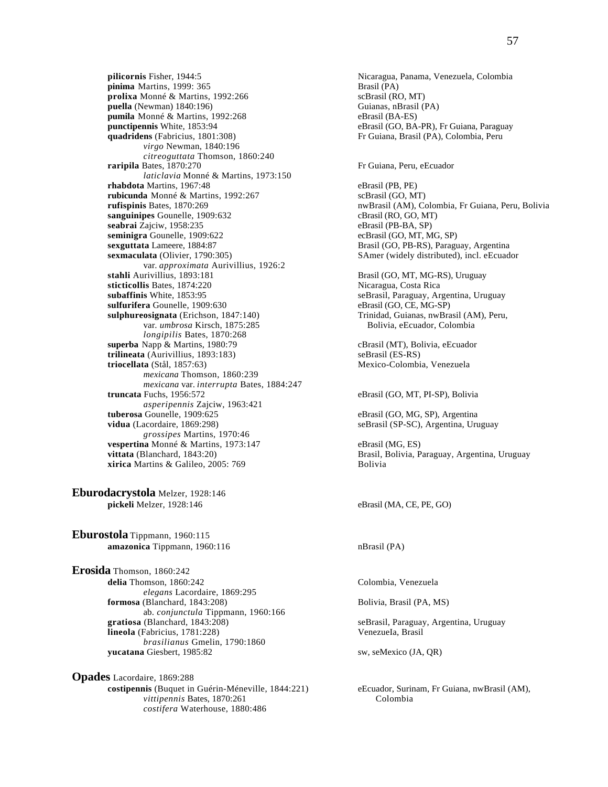**pilicornis** Fisher, 1944:5 Nicaragua, Panama, Venezuela, Colombia<br> **pinima** Martins, 1999: 365 **Nicaragua, Panama, Nicaragua, Panama**, Venezuela, Colombia **pinima** Martins, 1999: 365 **prolixa** Monné & Martins, 1992:266 scBrasil (RO, MT) **puella** (Newman) 1840:196)<br> **pumila** Monné & Martins, 1992:268<br> **pumila** Monné & Martins, 1992:268<br> **eBrasil (BA-ES) pumila** Monné & Martins, 1992:268<br>**punctipennis** White, 1853:94 **quadridens** (Fabricius, 1801:308) Fr Guiana, Brasil (PA), Colombia, Peru *virgo* Newman, 1840:196 *citreoguttata* Thomson, 1860:240 **raripila** Bates, 1870:270 Fr Guiana, Peru, eEcuador *laticlavia* Monné & Martins, 1973:150 **rhabdota** Martins, 1967:48 eBrasil (PB, PE) **rubicunda** Monné & Martins, 1992:267 scBrasil (GO, MT)<br> **rufispinis** Bates, 1870:269 nwBrasil (AM), C **sanguinipes** Gounelle, 1909:632 cBrasil (RO, GO, MT) **seabrai** Zajciw, 1958:235 eBrasil (PB-BA, SP)<br> **seminigra** Gounelle, 1909:622 eCBrasil (GO, MT, MG, SP) seminigra Gounelle, 1909:622 **sexguttata** Lameere, 1884:87 Brasil (GO, PB-RS), Paraguay, Argentina **sexmaculata** (Olivier, 1790:305) SAmer (widely distributed), incl. eEcuador var. *approximata* Aurivillius, 1926:2 **stahli** Aurivillius, 1893:181 **Brasil (GO, MT, MG-RS)**, Uruguay **sticticollis** Bates, 1874:220 **Nicaragua, Costa Rica**<br> **subaffinis** White, 1853:95 **Nicaragua, Argument Costa Rica**<br>
seBrasil, Paraguay, Argument Costa Rica sulfurifera Gounelle, 1909:630 **sulphureosignata** (Erichson, 1847:140) Trinidad, Guianas, nwBrasil (AM), Peru, var. *umbrosa* Kirsch, 1875:285 Bolivia, eEcuador, Colombia *longipilis* Bates, 1870:268 **superba** Napp & Martins, 1980:79 cBrasil (MT), Bolivia, eEcuador **trilineata** (Aurivillius, 1893:183) seBrasil (ES-RS) **trilineata** (Aurivillius, 1893:183) **triocellata** (Stål, 1857:63) Mexico-Colombia, Venezuela *mexicana* Thomson, 1860:239 *mexicana* var. *interrupta* Bates, 1884:247 *asperipennis* Zajciw, 1963:421 **vidua** (Lacordaire, 1869:298) seBrasil (SP-SC), Argentina, Uruguay *grossipes* Martins, 1970:46 **vespertina** Monné & Martins, 1973:147 eBrasil (MG, ES)<br> **vittata** (Blanchard, 1843:20) Brasil, Bolivia, P **xirica** Martins & Galileo, 2005: 769 Bolivia

**Eburodacrystola** Melzer, 1928:146 **pickeli** Melzer, 1928:146 eBrasil (MA, CE, PE, GO)

**Eburostola** Tippmann, 1960:115 **amazonica** Tippmann, 1960:116 nBrasil (PA)

**Erosida** Thomson, 1860:242 **delia** Thomson, 1860:242 Colombia, Venezuela *elegans* Lacordaire, 1869:295 **formosa** (Blanchard, 1843:208) Bolivia, Brasil (PA, MS) ab. *conjunctula* Tippmann, 1960:166 **gratiosa** (Blanchard, 1843:208) seBrasil, Paraguay, Argentina, Uruguay **lineola** (Fabricius, 1781:228) VenezueIa, Brasil *brasilianus* Gmelin, 1790:1860 **yucatana** Giesbert, 1985:82 sw, seMexico (JA, QR)

**Opades** Lacordaire, 1869:288 **costipennis** (Buquet in Guérin-Méneville, 1844:221) eEcuador, Surinam, Fr Guiana, nwBrasil (AM), *vittinennis* Bates. 1870:261 Colombia *vittipennis* Bates, 1870:261 *costifera* Waterhouse, 1880:486

**eBrasil (GO, BA-PR), Fr Guiana, Paraguay** 

**rufispinis** Bates, 1870:269 nwBrasil (AM), Colombia, Fr Guiana, Peru, Bolivia

seBrasil, Paraguay, Argentina, Uruguay<br>eBrasil (GO, CE, MG-SP)

eBrasil (GO, MT, PI-SP), Bolivia

eBrasil (GO, MG, SP), Argentina

Brasil, Bolivia, Paraguay, Argentina, Uruguay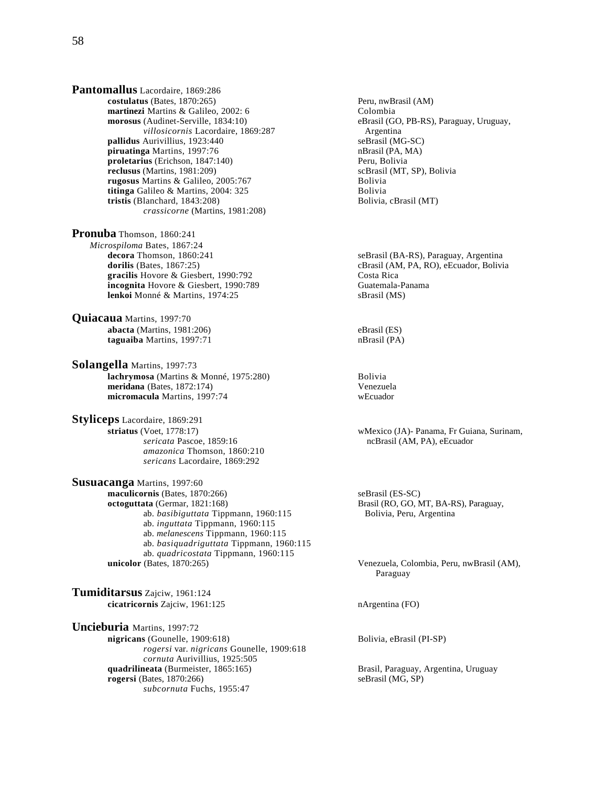**Pantomallus** Lacordaire, 1869:286 **costulatus** (Bates, 1870:265)<br> **costulatus** (AM)<br> **colombia**<br> **colombia martinezi** Martins & Galileo, 2002: 6 **morosus** (Audinet-Serville, 1834:10) eBrasil (GO, PB-RS), Paraguay, Uruguay, *villosicornis* Lacordaire, 1869:287 Argentina *villosicornis* Lacordaire, 1869:287 **Argentina**<br>
Aurivillius, 1923:440 **Argentina**<br>
SeBrasil (MG-SC) **pallidus** Aurivillius, 1923:440 **piruatinga** Martins, 1997:76 **nBrasil (PA, MA)**<br> **proletarius** (Erichson, 1847:140) **netally argument of the Community Peru**, Bolivia **proletarius** (Erichson, 1847:140)<br> **proletarius** (Martins, 1981:209) **Peru, Bolivia**<br> **proletarius** (MT, SP), Bolivia  $relusus$  (Martins,  $1981:209$ ) **rugosus** Martins & Galileo, 2005:767<br> **ittinga** Galileo & Martins. 2004: 325<br>
Bolivia **titinga** Galileo & Martins, 2004: 325 **Bolivia**<br> **tristis** (Blanchard, 1843:208) **Bolivia, calculary Bolivia**, calculary Bolivia, calculary Bolivia, calculary Bolivia, calculary Bolivia, calculary Bolivia, calculary Boliv tristis (Blanchard, 1843:208) *crassicorne* (Martins, 1981:208)

**Pronuba** Thomson, 1860:241 *Microspiloma* Bates, 1867:24 **decora** Thomson, 1860:241 seBrasil (BA-RS), Paraguay, Argentina<br> **dorilis** (Bates. 1867:25) seBrasil (AM, PA, RO), eEcuador. Bolivia **gracilis** Hovore & Giesbert, 1990:792 Costa Rica **incognita** Hovore & Giesbert, 1990:789 **Guatemala-Panama**<br> **lenkoi** Monné & Martins, 1974:25 SBrasil (MS) lenkoi Monné & Martins, 1974:25

**Quiacaua** Martins, 1997:70 **abacta** (Martins, 1981:206) eBrasil (ES) **taguaiba** Martins, 1997:71 nBrasil (PA)

**Solangella** Martins, 1997:73 **lachrymosa** (Martins & Monné, 1975:280) Bolivia **meridana** (Bates, 1872:174) Venezuela **micromacula** Martins, 1997:74

**Styliceps** Lacordaire, 1869:291<br>striatus (Voet, 1778:17) *amazonica* Thomson, 1860:210 *sericans* Lacordaire, 1869:292

**Susuacanga** Martins, 1997:60 **maculicornis** (Bates, 1870:266) seBrasil (ES-SC) seBrasil (ES-SC) seBrasil (ES-SC) ab. *basibiguttata* Tippmann, 1960:115 Bolivia, Peru, Argentina ab. *inguttata* Tippmann, 1960:115 ab. *melanescens* Tippmann, 1960:115 ab. *basiquadriguttata* Tippmann, 1960:115 ab. *quadricostata* Tippmann, 1960:115<br>unicolor (Bates, 1870:265)

**Tumiditarsus** Zajciw, 1961:124 **cicatricornis** Zajciw, 1961:125 nArgentina (FO)

**Uncieburia** Martins, 1997:72 **nigricans** (Gounelle, 1909:618) Bolivia, eBrasil (PI-SP) *rogersi* var. *nigricans* Gounelle, 1909:618 *cornuta* Aurivillius, 1925:505 **quadrilineata** (Burmeister, 1865:165) Brasil, Paraguay, Argentina, Uruguay **rogersi** (Bates, 1870:266) seBrasil (MG, SP) *subcornuta* Fuchs, 1955:47

cBrasil (AM, PA, RO), eEcuador, Bolivia

 **striatus** (Voet, 1778:17) wMexico (JA)- Panama, Fr Guiana, Surinam, *sericata* Pascoe, 1859:16 ncBrasil (AM, PA), eEcuador

Brasil (RO, GO, MT, BA-RS), Paraguay,

Venezuela, Colombia, Peru, nwBrasil (AM), Paraguay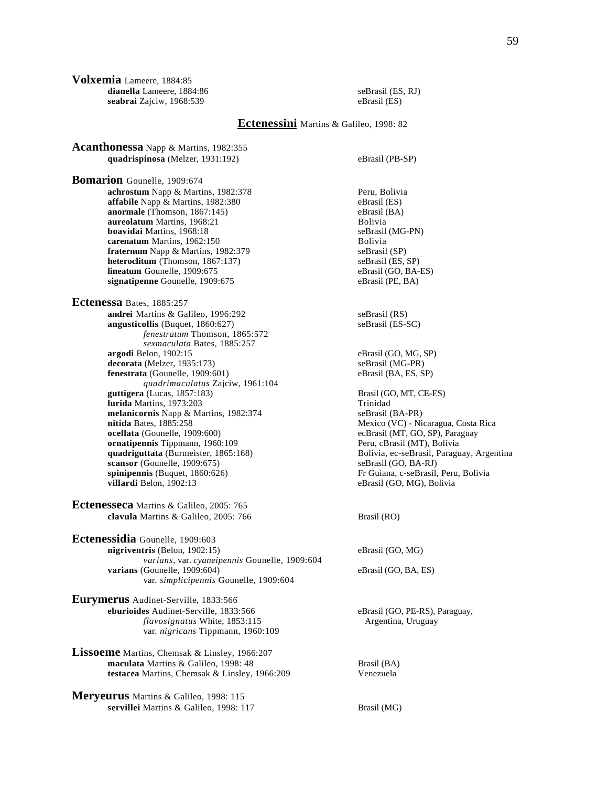**Volxemia** Lameere, 1884:85 dianella Lameere, 1884:86 seBrasil (ES, RJ) **seabrai** Zajciw, 1968:539 eBrasil (ES)

**Acanthonessa** Napp & Martins, 1982:355

## **Ectenessini** Martins & Galileo, 1998: 82

 **quadrispinosa** (Melzer, 1931:192) eBrasil (PB-SP) **Bomarion** Gounelle, 1909:674 **achrostum** Napp & Martins, 1982:378 Peru, Bolivia **affabile** Napp & Martins, 1982:380 eBrasil (ES) eBrasil (ES) eBrasil (BA) **anormale** (Thomson, 1867:145) eBrasil (Ballering and Parasil (Ballering and Parasil (Ba) eBrasil (Ba) eBrasil ( **aureolatum** Martins, 1968:21 **Bolivia**<br> **boavidai** Martins, 1968:18 **Bolivia** SeBrasil (MG-PN) **boavidai** Martins, 1968:18 seBrasil (MG-PN) **carenatum** Martins, 1962:150 **fraternum** Napp & Martins, 1982:379 seBrasil (SP) **heteroclitum** (Thomson, 1867:137) seBrasil (ES, SP)<br> **lineatum** Gounelle, 1909:675 eBrasil (GO, BA-ES) **lineatum** Gounelle, 1909:675 **signatipenne** Gounelle, 1909:675 eBrasil (PE, BA) **Ectenessa** Bates, 1885:257 **andrei** Martins & Galileo, 1996:292 seBrasil (RS) **angusticollis** (Buquet, 1860:627) seBrasil (ES-SC) *fenestratum* Thomson, 1865:572 *sexmaculata* Bates, 1885:257 **argodi** Belon, 1902:15 eBrasil (GO, MG, SP) **decorata** (Melzer, 1935:173) <br> **decorata** (Gounelle, 1909:601) **seBrasil (MG-PR)** eBrasil (BA, ES, SP) **fenestrata** (Gounelle, 1909:601) *quadrimaculatus* Zajciw, 1961:104 guttigera (Lucas, 1857:183) Brasil (GO, MT, CE-ES) **lurida** Martins, 1973:203 Trinidad **melanicornis** Napp & Martins, 1982:374 seBrasil (BA-PR)<br> **nitida** Bates, 1885:258 Mexico (VC) - Ni **nitida** Bates, 1885:258 Mexico (VC) - Nicaragua, Costa Rica<br> **ocellata** (Gounelle, 1909:600) Costa Rica<br> **ocellata** (Gounelle, 1909:600) Costa Rica **ornatipennis** Tippmann, 1960:109 Peru, cBrasil (MT), Bolivia quadriguttata (Burmeister, 1865:168) Peru, cBrasil (MT), Bolivia quadriguttata (Burmeister, 1865:168) **scansor** (Gounelle, 1909:675) seBrasil (GO, BA-RJ) **spinipennis** (Buquet, 1860:626)<br> **F** Guiana, c-seBrasil, Peru, Bolivia<br> **eBrasil** (GO, MG), Bolivia<br> **eBrasil** (GO, MG), Bolivia **Ectenesseca** Martins & Galileo, 2005: 765 **clavula** Martins & Galileo, 2005: 766 Brasil (RO) **Ectenessidia** Gounelle, 1909:603 **nigriventris** (Belon, 1902:15) eBrasil (GO, MG) *varians*, var. *cyaneipennis* Gounelle, 1909:604 **varians** (Gounelle, 1909:604) eBrasil (GO, BA, ES) var. *simplicipennis* Gounelle, 1909:604 **Eurymerus** Audinet-Serville, 1833:566 **eburioides** Audinet-Serville, 1833:566 eBrasil (GO, PE-RS), Paraguay, *flavosignatus* White, 1853:115 Argentina, Uruguay

**Lissoeme** Martins, Chemsak & Linsley, 1966:207 **maculata** Martins & Galileo, 1998: 48 Brasil (BA) **testacea** Martins, Chemsak & Linsley, 1966:209 Venezuela

var. *nigricans* Tippmann, 1960:109

**Meryeurus** Martins & Galileo, 1998: 115 **servillei** Martins & Galileo, 1998: 117 Brasil (MG)

ecBrasil (MT, GO, SP), Paraguay Bolivia, ec-seBrasil, Paraguay, Argentina eBrasil (GO, MG), Bolivia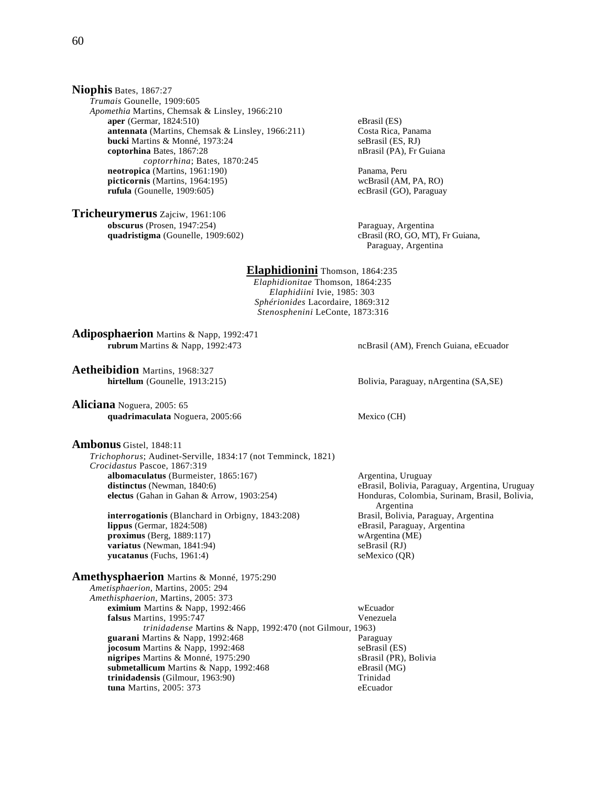**Niophis** Bates, 1867:27 *Trumais* Gounelle, 1909:605 *Apomethia* Martins, Chemsak & Linsley, 1966:210 **aper** (Germar, 1824:510) eBrasil (ES)<br> **antennata** (Martins, Chemsak & Linsley, 1966:211) Costa Rica, Panama **antennata** (Martins, Chemsak & Linsley, 1966:211) **bucki** Martins & Monné, 1973:24 seBrasil (ES, RJ) **coptorhina** Bates, 1867:28 nBrasil (PA), Fr Guiana *coptorrhina*; Bates, 1870:245 **neotropica** (Martins, 1961:190) Panama, Peru **picticornis** (Martins, 1964:195) wcBrasil (AM, PA, RO) **rufula** (Gounelle, 1909:605) ecBrasil (GO), Paraguay

**Tricheurymerus** Zajciw, 1961:106 **obscurus** (Prosen, 1947:254)<br> **obscurus** (Prosen, 1947:254)<br> **obscurus** (Prosen, 1947:254)<br> **obscurus** (Prosen, 1947:254)<br> **obscurus** (RO, GO, MT), Fr Guiana, **quadristigma** (Gounelle, 1909:602)

Paraguay, Argentina

**Elaphidionini** Thomson, 1864:235 *Elaphidionitae* Thomson, 1864:235 *Elaphidiini* Ivie, 1985: 303 *Sphérionides* Lacordaire, 1869:312 *Stenosphenini* LeConte, 1873:316

**Adiposphaerion** Martins & Napp, 1992:471 **rubrum** Martins & Napp, 1992:473 ncBrasil (AM), French Guiana, eEcuador

**Aetheibidion** Martins, 1968:327

**Aliciana** Noguera, 2005: 65 **quadrimaculata** Noguera, 2005:66 Mexico (CH)

**Ambonus** Gistel, 1848:11

 *Trichophorus*; Audinet-Serville, 1834:17 (not Temminck, 1821) *Crocidastus* Pascoe, 1867:319 **albomaculatus** (Burmeister, 1865:167) <br> **distinctus** (Newman, 1840:6) **and Exercise Contracts** expensive eBrasil. Bolivia. Par **electus** (Gahan in Gahan & Arrow, 1903:254) **Honduras, Colombia, Surinam, Brasil, Bolivia,** 

**interrogationis** (Blanchard in Orbigny, 1843:208) Brasil, Bolivia, Paraguay, Argentina<br> **lippus** (Germar, 1824:508) **Brasil, Paraguay, Argentina**<br>
eBrasil, Paraguay, Argentina **proximus** (Berg, 1889:117) wArgentina (ME)<br> **variatus** (Newman, 1841:94) seBrasil (RJ) **variatus** (Newman, 1841:94) **yucatanus** (Fuchs, 1961:4) seMexico (QR)

**Amethysphaerion** Martins & Monné, 1975:290

*Ametisphaerion*, Martins, 2005: 294 *Amethisphaerion*, Martins, 2005: 373 **eximium** Martins & Napp, 1992:466 wEcuador<br> **falsus** Martins. 1995:747 Wenezuela falsus Martins, 1995:747 *trinidadense* Martins & Napp, 1992:470 (not Gilmour, 1963) guarani Martins & Napp, 1992:468 **jocosum** Martins & Napp, 1992:468 seBrasil (ES) **nigripes** Martins & Monné, 1975:290<br> **sBrasil (PR), Bolivia**<br> **eBrasil (MG)**<br> **eBrasil (MG) submetallicum** Martins & Napp, 1992:468 eBrasil (New Artinidad eBrasil (New Artinidad eBrasil (New Artinidad eG trinidadensis (Gilmour, 1963:90) **tuna** Martins, 2005: 373 eEcuador

**hirtellum** (Gounelle, 1913:215) Bolivia, Paraguay, nArgentina (SA,SE)

eBrasil, Bolivia, Paraguay, Argentina, Uruguay Argentina eBrasil, Paraguay, Argentina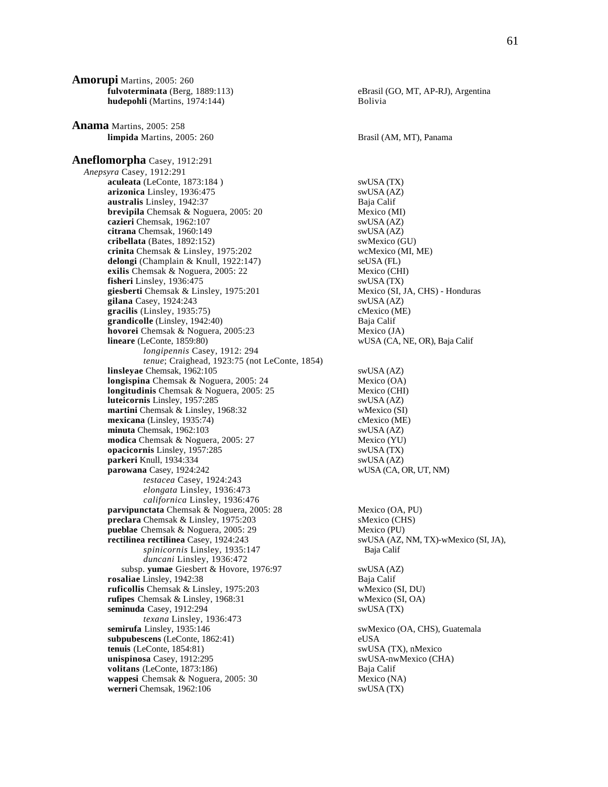**Amorupi** Martins, 2005: 260 **fulvoterminata** (Berg, 1889:113) eBrasil (GO, MT, AP-RJ), Argentina **hudepohli** (Martins, 1974:144) Bolivia **Anama** Martins, 2005: 258 **limpida** Martins, 2005: 260 Brasil (AM, MT), Panama **Aneflomorpha** Casey, 1912:291 *Anepsyra* Casey, 1912:291 **aculeata** (LeConte, 1873:184 ) swUSA (TX)<br> **arizonica** Linsley, 1936:475 swUSA (AZ) arizonica Linsley, 1936:475 **australis** Linsley, 1942:37 Baja Calif **brevipila** Chemsak & Noguera, 2005: 20 Mexico (MI) **cazieri** Chemsak, 1962:107 swUSA (AZ) **citrana** Chemsak, 1960:149<br> **cribellata** (Bates, 1892:152) swMexico (GU)  $cribellata$  (Bates,  $1892:152$ ) **crinita** Chemsak & Linsley, 1975:202 wcMexico (MI, ME) **delongi** (Champlain & Knull, 1922:147) seUSA (FL)<br> **exilis** Chemsak & Noguera, 2005: 22 Mexico (CHI) exilis Chemsak & Noguera, 2005: 22 **fisheri** Linsley, 1936:475 swUSA (TX) **giesberti** Chemsak & Linsley, 1975:201 Mexico (SI, JA, CHS) - Honduras **gilana** Casey, 1924:243 swUSA (AZ) **gracilis** (Linsley, 1935:75) cMexico (ME) **grandicolle** (Linsley, 1942:40) Baja Calif **hovorei** Chemsak & Noguera, 2005:23 Mexico (JA) **lineare** (LeConte, 1859:80) wUSA (CA, NE, OR), Baja Calif *longipennis* Casey, 1912: 294 *tenue*; Craighead, 1923:75 (not LeConte, 1854) **linsleyae** Chemsak, 1962:105 swUSA (AZ) **longispina** Chemsak & Noguera, 2005: 24 Mexico (OA) **longitudinis** Chemsak & Noguera, 2005: 25 Mexico (CHI) **luteicornis** Linsley, 1957:285 swUSA (AZ) **martini** Chemsak & Linsley, 1968:32 wMexico (SI)<br> **mexicana** (Linsley, 1935:74) cMexico (ME) **mexicana** (Linsley, 1935:74) **minuta** Chemsak, 1962:103 swUSA (AZ) **modica** Chemsak & Noguera, 2005: 27 Mexico (YU) **opacicornis** Linsley, 1957:285 swUSA (TX) **parkeri** Knull, 1934:334 swUSA (AZ) **parowana** Casey, 1924:242 wUSA (CA, OR, UT, NM) *testacea* Casey, 1924:243 *elongata* Linsley, 1936:473 *californica* Linsley, 1936:476 **parvipunctata** Chemsak & Noguera, 2005: 28 Mexico (OA, PU) **preclara** Chemsak & Linsley, 1975:203 sMexico (CHS) **pueblae** Chemsak & Noguera, 2005: 29 Mexico (PU) **rectilinea rectilinea** Casey, 1924:243 swUSA (AZ, NM, TX)-wMexico (SI, JA), *spinicornis* Linsley, 1935:147 Baja Calif *duncani* Linsley, 1936:472 subsp. **yumae** Giesbert & Hovore, 1976:97 swUSA (AZ) **rosaliae** Linsley, 1942:38 Baja Calif **ruficollis** Chemsak & Linsley, 1975:203 wMexico (SI, DU) **rufipes** Chemsak & Linsley, 1968:31 wMexico (SI, OA) **seminuda** Casey, 1912:294 swUSA (TX) *texana* Linsley, 1936:473 **semirufa** Linsley, 1935:146 swMexico (OA, CHS), Guatemala **subpubescens** (LeConte, 1862:41) eUSA **tenuis** (LeConte, 1854:81) swUSA (TX), nMexico **unispinosa** Casey, 1912:295 swUSA-nwMexico (CHA) **volitans** (LeConte, 1873:186) Baja Calif **wappesi** Chemsak & Noguera, 2005: 30 Mexico (NA) **werneri** Chemsak, 1962:106 swUSA (TX)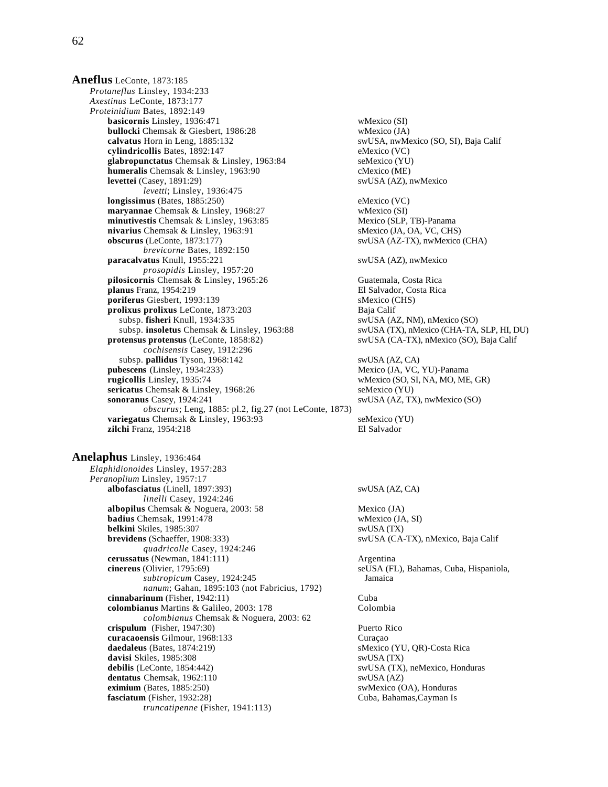**Aneflus** LeConte, 1873:185 *Protaneflus* Linsley, 1934:233 *Axestinus* LeConte, 1873:177 *Proteinidium* Bates, 1892:149 **basicornis** Linsley, 1936:471 wMexico (SI) **bullocki** Chemsak & Giesbert, 1986:28 wMexico (JA) **calvatus** Horn in Leng, 1885:132 swUSA, nwMexico (SO, SI), Baja Calif **cylindricollis** Bates, 1892:147 eMexico (VC) **glabropunctatus** Chemsak & Linsley, 1963:84 seMexico (YU) **humeralis** Chemsak & Linsley, 1963:90 cMexico (ME) **levettei** (Casey, 1891:29) swUSA (AZ), nwMexico *levetti*; Linsley, 1936:475 **longissimus** (Bates, 1885:250) eMexico (VC) **maryannae** Chemsak & Linsley, 1968:27 wMexico (SI) **minutivestis** Chemsak & Linsley, 1963:85 Mexico (SLP, TB)-Panama **nivarius** Chemsak & Linsley, 1963:91 sMexico (JA, OA, VC, CHS) **obscurus** (LeConte, 1873:177) swUSA (AZ-TX), nwMexico (CHA) *brevicorne* Bates, 1892:150 **paracalvatus** Knull, 1955:221 swUSA (AZ), nwMexico *prosopidis* Linsley, 1957:20 **pilosicornis** Chemsak & Linsley, 1965:26 Guatemala, Costa Rica **planus** Franz, 1954:219 El Salvador, Costa Rica **poriferus** Giesbert, 1993:139<br> **prolixus prolixus** LeConte. 1873:203<br>
Baia Calif prolixus prolixus LeConte, 1873:203 subsp. **fisheri** Knull, 1934:335 swUSA (AZ, NM), nMexico (SO) subsp. **insoletus** Chemsak & Linsley, 1963:88 swUSA (TX), nMexico (CHA-TA, SLP, HI, DU) **protensus protensus** (LeConte, 1858:82) swUSA (CA-TX), nMexico (SO), Baja Calif *cochisensis* Casey, 1912:296 subsp. **pallidus** Tyson, 1968:142 swUSA (AZ, CA) **pubescens** (Linsley, 1934:233) Mexico (JA, VC, YU)-Panama<br> **pubescens** (Linsley, 1935:74 WMexico (SO, SI, NA, MO, ME **sericatus** Chemsak & Linsley, 1968:26 seMexico (YU)<br> **sonoranus** Casey, 1924:241 swUSA (AZ, T) *obscurus*; Leng, 1885: pl.2, fig.27 (not LeConte, 1873) **variegatus** Chemsak & Linsley, 1963:93 seMexico (YU) **zilchi** Franz, 1954:218 **El Salvador** 

**Anelaphus** Linsley, 1936:464 *Elaphidionoides* Linsley, 1957:283 *Peranoplium* Linsley, 1957:17 **albofasciatus** (Linell, 1897:393) swUSA (AZ, CA) *linelli* Casey, 1924:246 **albopilus** Chemsak & Noguera, 2003: 58 Mexico (JA) **badius** Chemsak, 1991:478 wMexico (JA, SI) **belkini** Skiles, 1985:307 swUSA (TX) **brevidens** (Schaeffer, 1908:333) swUSA (CA-TX), nMexico, Baja Calif *quadricolle* Casey, 1924:246 **cerussatus** (Newman, 1841:111) Argentina **cinereus** (Olivier, 1795:69) seUSA (FL), Bahamas, Cuba, Hispaniola, *subtropicum* Casey, 1924:245 Jamaica *nanum*; Gahan, 1895:103 (not Fabricius, 1792) **cinnabarinum** (Fisher, 1942:11) Cuba **colombianus** Martins & Galileo, 2003: 178 Colombia *colombianus* Chemsak & Noguera, 2003: 62 **crispulum** (Fisher, 1947:30) Puerto Rico **curacaoensis** Gilmour, 1968:133 Curaçao **daedaleus** (Bates, 1874:219) sMexico (YU, QR)-Costa Rica **davisi** Skiles, 1985:308 swUSA (TX) **debilis** (LeConte, 1854:442) swUSA (TX), neMexico, Honduras **dentatus** Chemsak, 1962:110 swUSA (AZ) **eximium** (Bates, 1885:250) swMexico (OA), Honduras **fasciatum** (Fisher, 1932:28) Cuba, Bahamas,Cayman Is *truncatipenne* (Fisher, 1941:113)

wMexico (SO, SI, NA, MO, ME, GR) swUSA (AZ, TX), nwMexico (SO)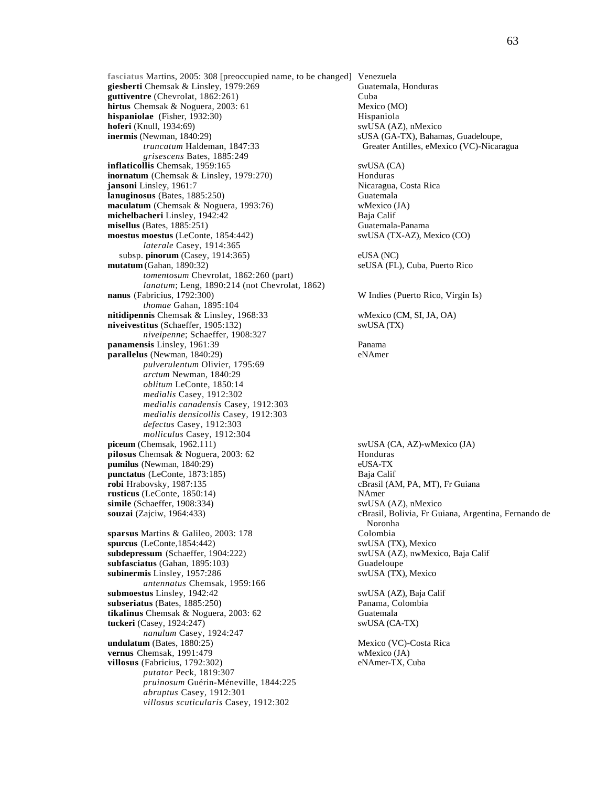**fasciatus** Martins, 2005: 308 [preoccupied name, to be changed] Venezuela giesberti Chemsak & Linsley, 1979:269 **guttiventre** (Chevrolat, 1862:261) Cuba **hirtus** Chemsak & Noguera, 2003: 61 Mexico (MO)<br> **hispaniolae** (Fisher, 1932:30) Hispaniola **hispaniolae** (Fisher, 1932:30)<br> **hoferi** (Knull, 1934:69)<br> **hoferi** (Knull, 1934:69) **hoferi** (Knull, 1934:69) **inermis** (Newman, 1840:29)<br> *truncatum* Haldeman, 1847:33<br>
Greater Antilles, eMexico (VC)-Nicara *grisescens* Bates, 1885:249 **inflaticollis** Chemsak, 1959:165 swUSA (CA) **inornatum** (Chemsak & Linsley, 1979:270) Honduras **jansoni** Linsley, 1961:7 Nicaragua, Costa Rica **lanuginosus** (Bates, 1885:250)<br> **maculatum** (Chemsak & Noguera, 1993:76) **Guatemala** Weico (JA) maculatum (Chemsak & Noguera, 1993:76) **michelbacheri** Linsley, 1942:42 Baja Calif **misellus** (Bates, 1885:251) Guatemala-Panama **moestus moestus** (LeConte, 1854:442) swUSA (TX-AZ), Mexico (CO) *laterale* Casey, 1914:365 subsp. **pinorum** (Casey, 1914:365) eUSA (NC) **mutatum** (Gahan, 1890:32) seUSA (FL), Cuba, Puerto Rico *tomentosum* Chevrolat, 1862:260 (part) *lanatum*; Leng, 1890:214 (not Chevrolat, 1862) **nanus** (Fabricius, 1792:300) *thomae* Gahan, 1895:104 **nitidipennis** Chemsak & Linsley, 1968:33 wMexico (CM, SI, JA, OA) **niveivestitus** (Schaeffer, 1905:132) swUSA (TX) *niveipenne*; Schaeffer, 1908:327 **panamensis** Linsley, 1961:39 **Panama**<br> **parallelus** (Newman, 1840:29) **Panama**<br>
eNAmer **parallelus** (Newman, 1840:29) *pulverulentum* Olivier, 1795:69 *arctum* Newman, 1840:29 *oblitum* LeConte, 1850:14 *medialis* Casey, 1912:302 *medialis canadensis* Casey, 1912:303 *medialis densicollis* Casey, 1912:303 *defectus* Casey, 1912:303 *molliculus* Casey, 1912:304<br>**piceum** (Chemsak, 1962.111) **pilosus** Chemsak & Noguera, 2003: 62 Honduras **pumilus** (Newman, 1840:29) eUSA-TX **punctatus** (LeConte, 1873:185) Baja Calif **robi** Hrabovsky, 1987:135 cBrasil (AM, PA, MT), Fr Guiana **rusticus** (LeConte, 1850:14) NAmer **simile** (Schaeffer, 1908:334) swUSA (AZ), nMexico **souzai** (Zajciw, 1964:433) cBrasil, Bolivia, Fr Guiana, Argentina, Fernando de sparsus Martins & Galileo, 2003: 178 **spurcus** (LeConte,1854:442) swUSA (TX), Mexico **subdepressum** (Schaeffer, 1904:222) swUSA (AZ), nwMexico, Baja Calif subfasciatus (Gahan, 1895:103) Guadeloupe **subinermis** Linsley, 1957:286 swUSA (TX), Mexico *antennatus* Chemsak, 1959:166 **submoestus** Linsley, 1942:42 swUSA (AZ), Baja Calif **subseriatus** (Bates, 1885:250) Panama, Colombia **tikalinus** Chemsak & Noguera, 2003: 62 Guatemala **tuckeri** (Casey, 1924:247) swUSA (CA-TX) *nanulum* Casey, 1924:247 **undulatum** (Bates, 1880:25) Mexico (VC)-Costa Rica **vernus** Chemsak, 1991:479 wMexico (JA) **villosus** (Fabricius, 1792:302) eNAmer-TX, Cuba *putator* Peck, 1819:307 *pruinosum* Guérin-Méneville, 1844:225 *abruptus* Casey, 1912:301 *villosus scuticularis* Casey, 1912:302

Greater Antilles, eMexico (VC)-Nicaragua W Indies (Puerto Rico, Virgin Is) swUSA (CA, AZ)-wMexico (JA) Noronha<br>Colombia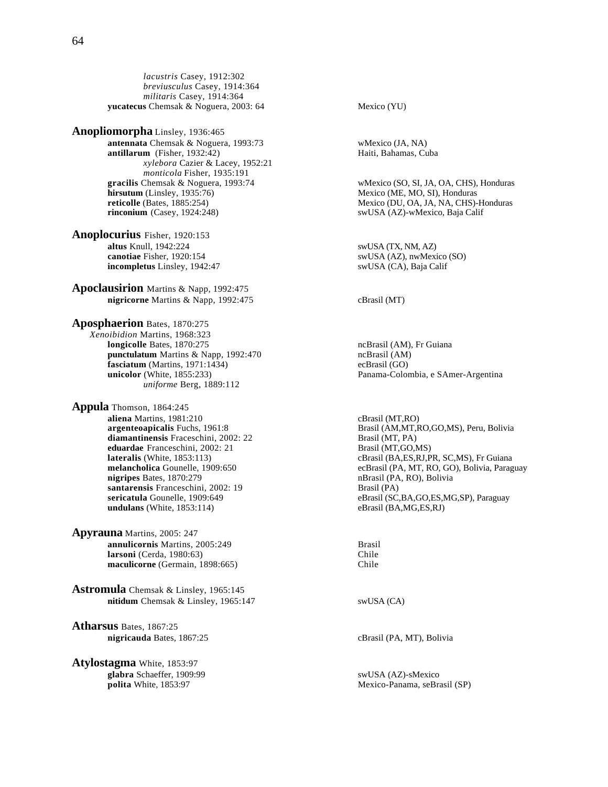*lacustris* Casey, 1912:302 *breviusculus* Casey, 1914:364 *militaris* Casey, 1914:364 **yucatecus** Chemsak & Noguera, 2003: 64 Mexico (YU)

**Anopliomorpha** Linsley, 1936:465 **antennata** Chemsak & Noguera, 1993:73 wMexico (JA, NA)<br> **antillarum** (Fisher, 1932:42) Haiti, Bahamas, Cuba **antillarum** (Fisher,  $1932:42$ ) *xylebora* Cazier & Lacey, 1952:21 *monticola* Fisher, 1935:191 **hirsutum** (Linsley, 1935:76) Mexico (ME, MO, SI), Honduras<br> **reticolle** (Bates, 1885:254) Mexico (DU, OA, JA, NA, CHS)-

**Anoplocurius** Fisher, 1920:153 **altus Knull, 1942:224** swUSA (TX, NM, AZ)<br> **canotiae** Fisher, 1920:154 swUSA (AZ), nwMexi **incompletus** Linsley, 1942:47 swUSA (CA), Baja Calif

**Apoclausirion** Martins & Napp, 1992:475 **nigricorne** Martins & Napp, 1992:475 cBrasil (MT)

**Aposphaerion** Bates, 1870:275 *Xenoibidion* Martins, 1968:323 punctulatum Martins & Napp, 1992:470 **fasciatum** (Martins, 1971:1434) ecBrasil (GO) *uniforme* Berg, 1889:112

**Appula** Thomson, 1864:245 **aliena** Martins, 1981:210 cBrasil (MT,RO) **diamantinensis** Fraceschini, 2002: 22 Brasil (MT, PA) **eduardae** Franceschini, 2002: 21 Brasil (MT,GO,MS) **santarensis** Franceschini, 2002: 19 Brasil (PA) **undulans** (White, 1853:114) eBrasil (BA,MG,ES,RJ)

**Apyrauna** Martins, 2005: 247 **annulicornis** Martins, 2005:249 **Brasil Brasil Brasil Brasil Brasil**<br> **larsoni** (Cerda, 1980:63) **Chile larsoni** (Cerda, 1980:63) Chile<br> **maculicorne** (Germain, 1898:665) Chile maculicorne (Germain, 1898:665)

**Astromula** Chemsak & Linsley, 1965:145 **nitidum** Chemsak & Linsley, 1965:147 swUSA (CA)

**Atharsus** Bates, 1867:25 **nigricauda** Bates, 1867:25 cBrasil (PA, MT), Bolivia

**Atylostagma** White, 1853:97 **glabra** Schaeffer, 1909:99 swUSA (AZ)-sMexico

**gracilis** Chemsak & Noguera, 1993:74 wMexico (SO, SI, JA, OA, CHS), Honduras **reticolle** (Bates, 1885:254) Mexico (DU, OA, JA, NA, CHS)-Honduras<br> **rinconium** (Casey, 1924:248) SwUSA (AZ)-wMexico, Baja Calif swUSA (AZ)-wMexico, Baja Calif swUSA (AZ), nwMexico (SO) ncBrasil (AM), Fr Guiana<br>ncBrasil (AM) **unicolor** (White, 1855:233) Panama-Colombia, e SAmer-Argentina **argenteoapicalis** Fuchs, 1961:8 Brasil (AM,MT,RO,GO,MS), Peru, Bolivia **lateralis** (White, 1853:113)<br> **lateralis** (White, 1853:113) cBrasil (BA,ES,RJ,PR, SC,MS), Fr Guiana<br>
ecBrasil (PA, MT, RO, GO), Bolivia, Parag **melancholica** Gounelle, 1909:650 ecBrasil (PA, MT, RO, GO), Bolivia, Paraguay<br> **nigripes** Bates, 1870:279 **ecBrasil** (PA, RO), Bolivia **nigripes** Bates, 1870:279 nBrasil (PA, RO), Bolivia **sericatula** Gounelle, 1909:649 eBrasil (SC,BA,GO,ES,MG,SP), Paraguay

**polita** White, 1853:97 Mexico-Panama, seBrasil (SP)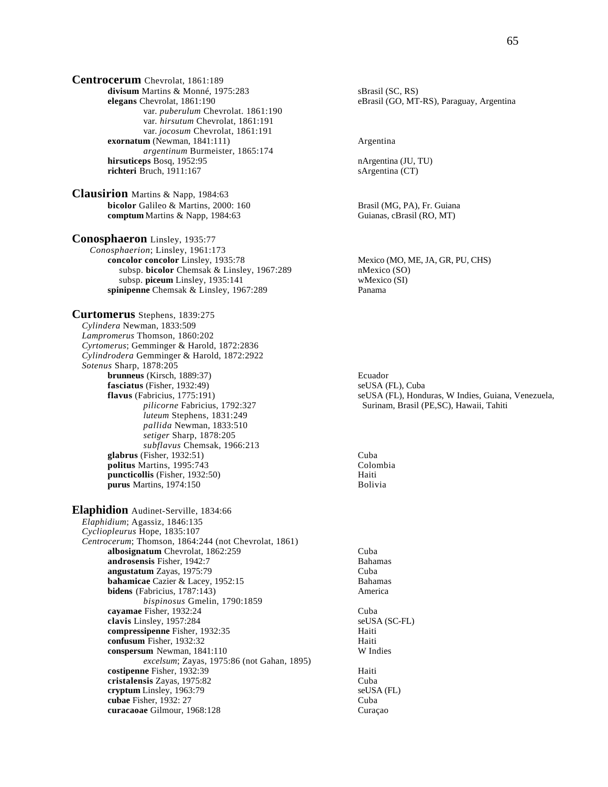**Centrocerum** Chevrolat, 1861:189 divisum Martins & Monné, 1975:283 sBrasil (SC, RS) **elegans** Chevrolat, 1861:190 eBrasil (GO, MT-RS), Paraguay, Argentina var. *puberulum* Chevrolat. 1861:190 var. *hirsutum* Chevrolat, 1861:191 var. *jocosum* Chevrolat, 1861:191 **exornatum** (Newman, 1841:111) Argentina *argentinum* Burmeister, 1865:174 **hirsuticeps** Bosq, 1952:95 nArgentina (JU, TU) **richteri** Bruch, 1911:167 sArgentina (CT)

**Clausirion** Martins & Napp, 1984:63 **bicolor** Galileo & Martins, 2000: 160 Brasil (MG, PA), Fr. Guiana **comptum** Martins & Napp, 1984:63 Guianas, cBrasil (RO, MT)

**Conosphaeron** Linsley, 1935:77 *Conosphaerion*; Linsley, 1961:173 **concolor concolor** Linsley, 1935:78 Mexico (MO, ME, JA, GR, PU, CHS) subsp. **bicolor** Chemsak & Linsley, 1967:289 nMexico (SO) subsp. **piceum** Linsley, 1935:141 wMexico (SI) **spinipenne** Chemsak & Linsley, 1967:289 Panama

**Curtomerus** Stephens, 1839:275 *Cylindera* Newman, 1833:509 *Lampromerus* Thomson, 1860:202 *Cyrtomerus*; Gemminger & Harold, 1872:2836 *Cylindrodera* Gemminger & Harold, 1872:2922 *Sotenus* Sharp, 1878:205 **brunneus** (Kirsch, 1889:37) Ecuador **fasciatus** (Fisher, 1932:49) seUSA (FL), Cuba *luteum* Stephens, 1831:249 *pallida* Newman, 1833:510 *setiger* Sharp, 1878:205 *subflavus* Chemsak, 1966:213 **glabrus** (Fisher, 1932:51) Cuba<br> **politus** Martins. 1995:743 Colombia **politus** Martins, 1995:743 Colombia Colombia Colombia Colombia Colombia Colombia Colombia Colombia Colombia Colo<br> **puncticollis** (Fisher, 1932:50) **puncticollis** (Fisher, 1932:50) **purus** Martins, 1974:150 Bolivia

**Elaphidion** Audinet-Serville, 1834:66 *Elaphidium*; Agassiz, 1846:135 *Cycliopleurus* Hope, 1835:107 *Centrocerum*; Thomson, 1864:244 (not Chevrolat, 1861) **albosignatum** Chevrolat, 1862:259 Cuba **androsensis** Fisher, 1942:7 Bahamas **angustatum** Zayas, 1975:79 Cuba **bahamicae** Cazier & Lacey, 1952:15 **Bahamas**<br> **bidens** (Fabricius, 1787:143) **America bidens** (Fabricius, 1787:143) *bispinosus* Gmelin, 1790:1859 **cayamae** Fisher, 1932:24 Cuba **clavis** Linsley, 1957:284 seUSA (SC-FL) **compressipenne** Fisher, 1932:35 Haiti **confusum** Fisher, 1932:32<br> **conspersum** Newman, 1841:110<br>
W Indies **conspersum** Newman, 1841:110 *excelsum*; Zayas, 1975:86 (not Gahan, 1895) **costipenne** Fisher, 1932:39 Haiti **cristalensis** Zayas, 1975:82 Cuba **cryptum** Linsley, 1963:79 seUSA (FL) **cubae** Fisher, 1932: 27 Cuba **curacaoae** Gilmour, 1968:128 Curaçao

 **flavus** (Fabricius, 1775:191) seUSA (FL), Honduras, W Indies, Guiana, Venezuela, *pilicorne* Fabricius, 1792:327 Surinam, Brasil (PE,SC), Hawaii, Tahiti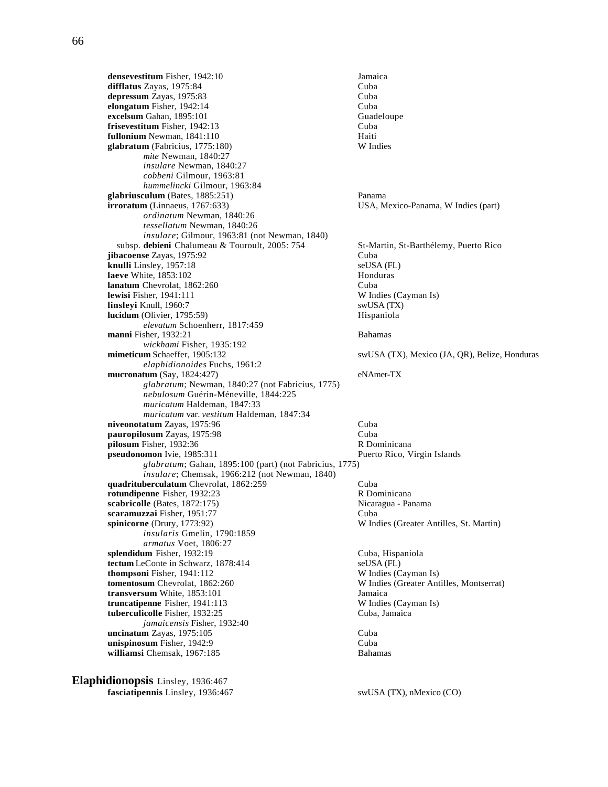**densevestitum** Fisher, 1942:10 Jamaica<br> **difflatus** Zavas. 1975:84 Cuba difflatus Zayas, 1975:84 **depressum** Zayas, 1975:83 Cuba **elongatum** Fisher, 1942:14 Cuba **excelsum** Gahan, 1895:101 Guadeloupe **frisevestitum** Fisher, 1942:13 Cuba **fullonium** Newman, 1841:110<br> **glabratum** (Fabricius, 1775:180) **Example 18 Constant Constant Constant Constant Constant Constant Constant Const**  $glabratum$  (Fabricius,  $1775:180$ ) *mite* Newman, 1840:27 *insulare* Newman, 1840:27 *cobbeni* Gilmour, 1963:81 *hummelincki* Gilmour, 1963:84 **glabriusculum** (Bates, 1885:251) Panama<br> **irroratum** (Linnaeus, 1767:633) USA, M *ordinatum* Newman, 1840:26 *tessellatum* Newman, 1840:26 *insulare*; Gilmour, 1963:81 (not Newman, 1840) subsp. **debieni** Chalumeau & Touroult, 2005: 754 St-Martin, St-Barthélemy, Puerto Rico **jibacoense** Zayas, 1975:92<br> **knulli** Linslev. 1957:18<br> **knulli** Linslev. 1957:18 **knulli** Linsley, 1957:18 **laeve** White, 1853:102 **Honduras lanatum** Chevrolat, 1862:260<br> **lewisi** Fisher, 1941:111<br>
W Indies (Cayman Is) **lewisi** Fisher, 1941:111 W Indies (Cayman Islam Islam Islam Islam Islam Islam Islam Islam Islam Islam Islam Islam Islam Islam Islam Islam Islam Islam Islam Islam Islam Islam Islam Islam Islam Islam Islam Islam Islam Islam **linsleyi** Knull, 1960:7 **lucidum** (Olivier, 1795:59) Hispaniola *elevatum* Schoenherr, 1817:459 **manni** Fisher, 1932:21 Bahamas *wickhami* Fisher, 1935:192<br>**mimeticum** Schaeffer, 1905:132 *elaphidionoides* Fuchs, 1961:2 **mucronatum** (Say, 1824:427) eNAmer-TX *glabratum*; Newman, 1840:27 (not Fabricius, 1775) *nebulosum* Guérin-Méneville, 1844:225 *muricatum* Haldeman, 1847:33 *muricatum* var. *vestitum* Haldeman, 1847:34 **niveonotatum** Zayas, 1975:96 Cuba **pauropilosum** Zayas, 1975:98<br> **pilosum** Fisher. 1932:36 Cuba<br>
R Dominicana pilosum Fisher, 1932:36 **pseudonomon** Ivie, 1985:311 Puerto Rico, Virgin Islands *glabratum*; Gahan, 1895:100 (part) (not Fabricius, 1775) *insulare*; Chemsak, 1966:212 (not Newman, 1840) **quadrituberculatum** Chevrolat, 1862:259 Cuba<br> **community** Cuba<br> **community** Cuba<br> **R** Dominicana **rotundipenne** Fisher, 1932:23 **scabricolle** (Bates, 1872:175) Nicaragua - Panama **scaramuzzai** Fisher, 1951:77 Cuba **spinicorne** (Drury, 1773:92) W Indies (Greater Antilles, St. Martin) *insularis* Gmelin, 1790:1859 *armatus* Voet, 1806:27 **splendidum** Fisher, 1932:19 Cuba, Hispaniola **tectum** LeConte in Schwarz, 1878:414 seUSA (FL)<br> **thompsoni** Fisher, 1941:112 W Indies (Cayman Is) **thompsoni** Fisher, 1941:112 **tomentosum** Chevrolat, 1862:260 W Indies (Greater Antilles, Montserrat) **transversum** White, 1853:101 Jamaica **truncatipenne** Fisher, 1941:113 W Indies (Cayman Is) **tuberculicolle** Fisher, 1932:25 Cuba, Jamaica *jamaicensis* Fisher, 1932:40 **uncinatum** Zayas, 1975:105 Cuba **unispinosum** Fisher, 1942:9 Cuba **williamsi** Chemsak, 1967:185 Bahamas

**Elaphidionopsis** Linsley, 1936:467 **fasciatipennis** Linsley, 1936:467 swUSA (TX), nMexico (CO)

USA, Mexico-Panama, W Indies (part)

swUSA (TX), Mexico (JA, QR), Belize, Honduras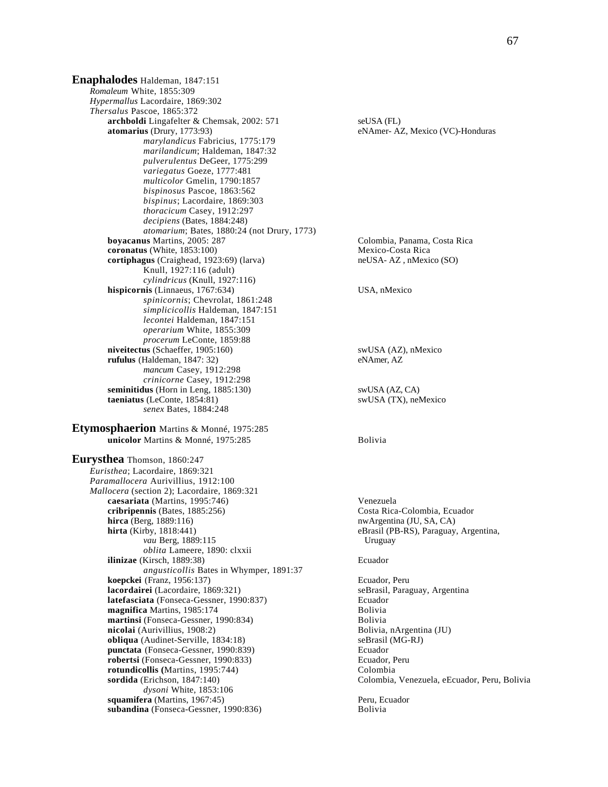**Enaphalodes** Haldeman, 1847:151 *Romaleum* White, 1855:309 *Hypermallus* Lacordaire, 1869:302 *Thersalus* Pascoe, 1865:372 **archboldi** Lingafelter & Chemsak, 2002: 571 seUSA (FL)<br> **atomarius** (Drury, 1773:93) eNAmer-A2 *marylandicus* Fabricius, 1775:179 *marilandicum*; Haldeman, 1847:32 *pulverulentus* DeGeer, 1775:299 *variegatus* Goeze, 1777:481 *multicolor* Gmelin, 1790:1857 *bispinosus* Pascoe, 1863:562 *bispinus*; Lacordaire, 1869:303 *thoracicum* Casey, 1912:297 *decipiens* (Bates, 1884:248) *atomarium*; Bates, 1880:24 (not Drury, 1773) **boyacanus** Martins, 2005: 287 Colombia, Panama, Costa Rica **coronatus** (White, 1853:100) Mexico-Costa Rica **cortiphagus** (Craighead, 1923:69) (larva) neUSA- AZ, nMexico (SO) Knull, 1927:116 (adult) *cylindricus* (Knull, 1927:116) **hispicornis** (Linnaeus, 1767:634) USA, nMexico *spinicornis*; Chevrolat, 1861:248 *simplicicollis* Haldeman, 1847:151 *lecontei* Haldeman, 1847:151 *operarium* White, 1855:309 *procerum* LeConte, 1859:88 **niveitectus** (Schaeffer, 1905:160) swUSA (AZ), nMexico **rufulus** (Haldeman, 1847: 32) eNAmer, AZ *mancum* Casey, 1912:298 *crinicorne* Casey, 1912:298 **seminitidus** (Horn in Leng, 1885:130) swUSA (AZ, CA)<br> **taeniatus** (LeConte, 1854:81) swUSA (TX), neMexico **taeniatus** (LeConte, 1854:81) *senex* Bates, 1884:248

**Etymosphaerion** Martins & Monné, 1975:285 **unicolor** Martins & Monné, 1975:285 Bolivia

**Eurysthea** Thomson, 1860:247 *Euristhea*; Lacordaire, 1869:321 *Paramallocera* Aurivillius, 1912:100 *Mallocera* (section 2); Lacordaire, 1869:321 **caesariata** (Martins, 1995:746) Venezuela **cribripennis** (Bates, 1885:256) Costa Rica-Colombia, Ecuador **hirca** (Berg, 1889:116) **hirta** (Kirby, 1818:441) **hirta** (Kirby, 1818:441) **hirta** (Kirby, 1818:441) **hirta** (Kirby, 1818:441) *vau* Berg, 1889:115 Uruguay *oblita* Lameere, 1890: clxxii **ilinizae** (Kirsch, 1889:38) Ecuador *angusticollis* Bates in Whymper, 1891:37 **koepckei** (Franz, 1956:137) Ecuador, Peru **lacordairei** (Lacordaire, 1869:321) **latefasciata** (Fonseca-Gessner, 1990:837) Ecuador **magnifica** Martins, 1985:174 Bolivia **martinsi** (Fonseca-Gessner, 1990:834)<br> **nicolai** (Aurivillius, 1908:2)<br>
Bolivia, nArgentina (JU) nicolai (Aurivillius, 1908:2) **obliqua** (Audinet-Serville, 1834:18) seBrasil (MG-RJ) **punctata** (Fonseca-Gessner, 1990:839) Ecuador **robertsi** (Fonseca-Gessner, 1990:833) Ecuador, Peru **rotundicollis** (Martins, 1995:744) Colombia<br> **colombia**<br> **colombia**<br> **colombia**  *dysoni* White, 1853:106 **squamifera** (Martins, 1967:45)<br> **subandina** (Fonseca-Gessner, 1990:836) **Peru, Ecuador**<br>
Bolivia subandina (Fonseca-Gessner, 1990:836)

eNAmer- AZ, Mexico (VC)-Honduras

eBrasil (PB-RS), Paraguay, Argentina,

Colombia, Venezuela, eEcuador, Peru, Bolivia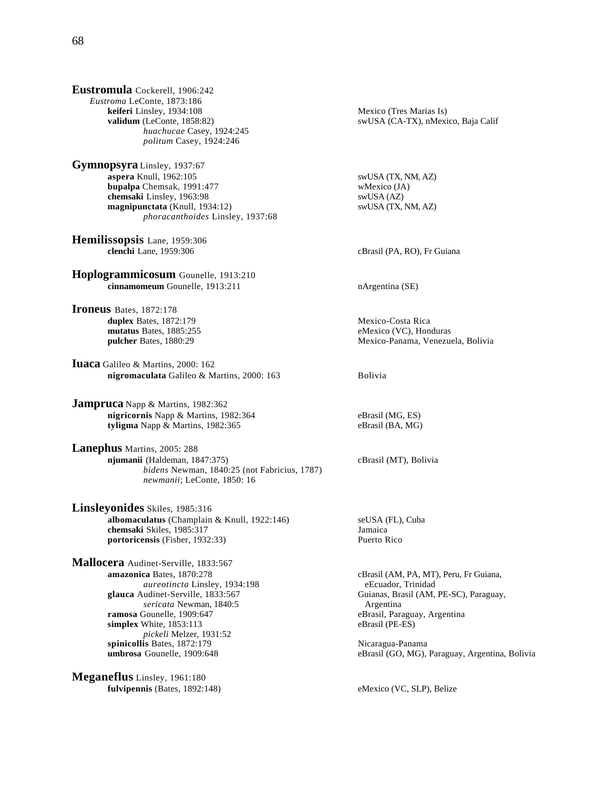**Eustromula** Cockerell, 1906:242 *Eustroma* LeConte, 1873:186 **keiferi** Linsley, 1934:108 Mexico (Tres Marias Is) *huachucae* Casey, 1924:245 *politum* Casey, 1924:246

**Gymnopsyra** Linsley, 1937:67 **aspera** Knull, 1962:105 swUSA (TX, NM, AZ) **bupalpa** Chemsak, 1991:477 wMexico (JA)<br> **chemsaki** Linsley, 1963:98 wWSA (AZ) **chemsaki Linsley, 1963:98** swUSA (AZ)<br> **companipunctata** (Knull, 1934:12) swUSA (TX, NM, AZ) **magnipunctata** (Knull, 1934:12) *phoracanthoides* Linsley, 1937:68

**Hemilissopsis** Lane, 1959:306<br>clenchi Lane, 1959:306

**Hoplogrammicosum** Gounelle, 1913:210 **cinnamomeum** Gounelle, 1913:211 nArgentina (SE)

**Ironeus** Bates, 1872:178 **duplex** Bates, 1872:179<br> **duplex** Bates, 1885:255<br> **duplex** Bates, 1885:255<br> **duplex** Bates, 1885:255 mutatus Bates, 1885:255

**Iuaca** Galileo & Martins, 2000: 162 **nigromaculata** Galileo & Martins, 2000: 163 Bolivia

**Jampruca** Napp & Martins, 1982:362 **nigricornis** Napp & Martins, 1982:364 eBrasil (MG, ES) **tyligma** Napp & Martins, 1982:365 eBrasil (BA, MG)

**Lanephus** Martins, 2005: 288 **njumanii** (Haldeman, 1847:375) cBrasil (MT), Bolivia *bidens* Newman, 1840:25 (not Fabricius, 1787) *newmanii*; LeConte, 1850: 16

**Linsleyonides** Skiles, 1985:316 **albomaculatus** (Champlain & Knull, 1922:146) seUSA (FL), Cuba **chemsaki Skiles, 1985:317** Jamaica<br> **contract in the Skiller Science of Skiller Skiller Skiller Skiller Puerto Rico**<br> **Puerto Rico** portoricensis (Fisher, 1932:33)

**Mallocera** Audinet-Serville, 1833:567 **amazonica** Bates, 1870:278 cBrasil (AM, PA, MT), Peru, Fr Guiana, *aureotincta* Linsley, 1934:198 eEcuador, Trinidad **glauca** Audinet-Serville, 1833:567 Guianas, Brasil (AM, PE-SC), Paraguay, *sericata* Newman, 1840:5 **Argentina**<br>**ramosa** Gounelle. 1909:647 **Argentina**<br>**eBrasil.** Para simplex White, 1853:113 *pickeli* Melzer, 1931:52 **spinicollis** Bates, 1872:179 <br> **umbrosa** Gounelle. 1909:648 (GO. MG).

**Meganeflus** Linsley, 1961:180 fulvipennis (Bates, 1892:148) eMexico (VC, SLP), Belize

**validum** (LeConte, 1858:82) swUSA (CA-TX), nMexico, Baja Calif

cBrasil (PA, RO), Fr Guiana

**pulcher** Bates, 1880:29 Mexico-Panama, Venezuela, Bolivia

eBrasil, Paraguay, Argentina<br>eBrasil (PE-ES)

eBrasil (GO, MG), Paraguay, Argentina, Bolivia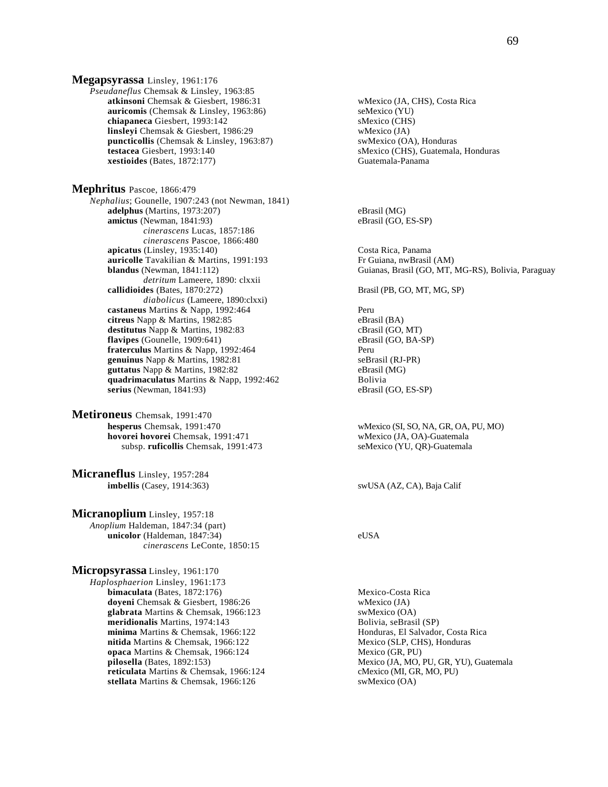**Megapsyrassa** Linsley, 1961:176 *Pseudaneflus* Chemsak & Linsley, 1963:85 **atkinsoni** Chemsak & Giesbert, 1986:31 wMexico (JA, CHS), Costa Rica **auricomis** (Chemsak & Linsley, 1963:86) seMexico (YU) **chiapaneca** Giesbert, 1993:142<br> **compared in the interval of the state of the insterior (CHS)**<br> **compared in the interval of the state of the instead of the instead of the instead of the instance of the instance of the in linsleyi** Chemsak & Giesbert, 1986:29 **puncticollis** (Chemsak & Linsley, 1963:87) swMexico (OA), Honduras **testacea** Giesbert, 1993:140 **smarting in the Solution Solution Solution** SMexico (CHS), Guatemala, Honduras **Solution SMexico** CHS), Guatemala, Honduras **Sestioides** (Bates. 1872:177) **xestioides** (Bates, 1872:177)

**Mephritus** Pascoe, 1866:479 *Nephalius*; Gounelle, 1907:243 (not Newman, 1841) **adelphus** (Martins, 1973:207) eBrasil (MG)<br> **amictus** (Newman, 1841:93) eBrasil (GO, ES-SP) **amictus** (Newman, 1841:93) *cinerascens* Lucas, 1857:186 *cinerascens* Pascoe, 1866:480 **apicatus** (Linsley, 1935:140) Costa Rica, Panama **auricolle** Tavakilian & Martins, 1991:193 Fr Guiana, nwBrasil (AM) *detritum* Lameere, 1890: clxxii **callidioides** (Bates, 1870:272) Brasil (PB, GO, MT, MG, SP) *diabolicus* (Lameere, 1890:clxxi) **castaneus** Martins & Napp, 1992:464 Peru **citreus** Napp & Martins, 1982:85 eBrasil (BA) **destitutus** Napp & Martins, 1982:83 cBrasil (GO, MT) flavipes (Gounelle, 1909:641) eBrasil (GO, BA-SP) **fraterculus** Martins & Napp, 1992:464 Peru **genuinus** Napp & Martins, 1982:81 seBrasil (RJ-PR) **guttatus** Napp & Martins, 1982:82 eBrasil (MG) **quadrimaculatus** Martins & Napp, 1992:462 Bolivia **serius** (Newman, 1841:93) eBrasil (GO, ES-SP)

**Metironeus** Chemsak, 1991:470<br>hesperus Chemsak, 1991:470 **hovorei hovorei Chemsak, 1991:471** subsp. **ruficollis** Chemsak, 1991:473 seMexico (YU, QR)-Guatemala

**Micraneflus** Linsley, 1957:284 **imbellis** (Casey, 1914:363) swUSA (AZ, CA), Baja Calif

**Micranoplium** Linsley, 1957:18 *Anoplium* Haldeman, 1847:34 (part) **unicolor** (Haldeman, 1847:34) eUSA *cinerascens* LeConte, 1850:15

**Micropsyrassa** Linsley, 1961:170 *Haplosphaerion* Linsley, 1961:173 **bimaculata** (Bates, 1872:176) Mexico-Costa Rica **doyeni** Chemsak & Giesbert, 1986:26 wMexico (JA)<br> **glabrata** Martins & Chemsak, 1966:123 wMexico (OA) glabrata Martins & Chemsak, 1966:123 **meridionalis** Martins, 1974:143 Bolivia, seBrasil (SP) **minima** Martins & Chemsak, 1966:122 **Honduras, El Salvador, Costa Rica nitida** Martins & Chemsak, 1966:122 **Honduras** Mexico (SLP, CHS), Honduras **nitida** Martins & Chemsak, 1966:122 **opaca** Martins & Chemsak, 1966:124 Mexico (GR, PU)<br> **pilosella** (Bates, 1892:153) Mexico (JA, MO, 1 **reticulata** Martins & Chemsak, 1966:124 stellata Martins & Chemsak, 1966:126 swMexico (OA)

**blandus** (Newman, 1841:112) Guianas, Brasil (GO, MT, MG-RS), Bolivia, Paraguay

wMexico (SI, SO, NA, GR, OA, PU, MO)<br>wMexico (JA, OA)-Guatemala

Mexico (JA, MO, PU, GR, YU), Guatemala<br>cMexico (MI, GR, MO, PU)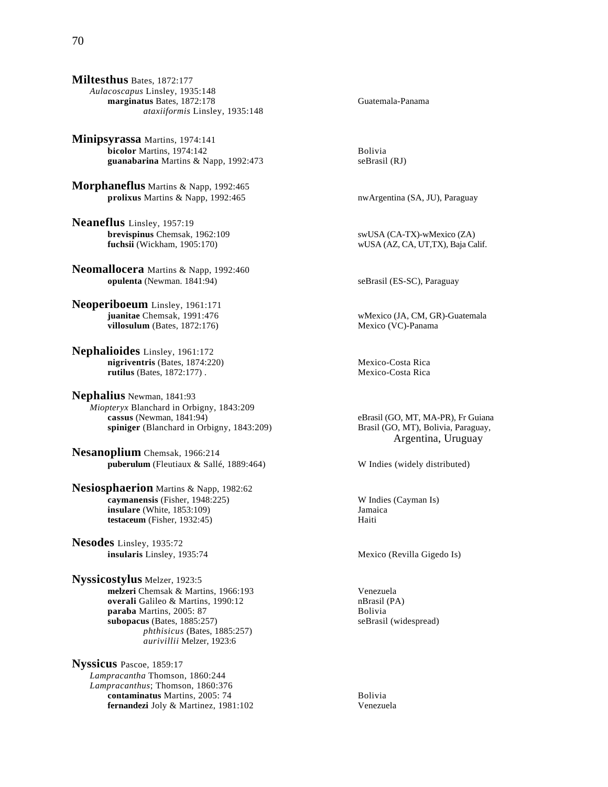**Minipsyrassa** Martins, 1974:141 **bicolor** Martins, 1974:142<br> **euanabarina** Martins & Napp. 1992:473<br> **eguanabarina** Martins & Napp. 1992:473 guanabarina Martins & Napp, 1992:473

**Morphaneflus** Martins & Napp, 1992:465 **prolixus** Martins & Napp, 1992:465 nwArgentina (SA, JU), Paraguay

**Neaneflus** Linsley, 1957:19 **brevispinus** Chemsak, 1962:109 swUSA (CA-TX)-wMexico (ZA)<br> **fuchsii** (Wickham, 1905:170) swUSA (AZ, CA, UT,TX), Baja Ca

**Neomallocera** Martins & Napp, 1992:460 **opulenta** (Newman. 1841:94) seBrasil (ES-SC), Paraguay

**Neoperiboeum** Linsley, 1961:171  $villosulum$  (Bates,  $1872:176$ )

**Nephalioides** Linsley, 1961:172 **nigriventris** (Bates, 1874:220) Mexico-Costa Rica<br> **rutilus** (Bates, 1872:177). Mexico-Costa Rica  $rutilus$  (Bates,  $1872:177$ ).

**Nephalius** Newman, 1841:93 *Miopteryx* Blanchard in Orbigny, 1843:209<br> **cassus** (Newman, 1841:94) **spiniger** (Blanchard in Orbigny, 1843:209) Brasil (GO, MT), Bolivia, Paraguay,

**Nesanoplium** Chemsak, 1966:214 **puberulum** (Fleutiaux & Sallé, 1889:464) W Indies (widely distributed)

**Nesiosphaerion** Martins & Napp, 1982:62 **caymanensis** (Fisher, 1948:225) W Indies (Cayman Is)<br> **insulare** (White, 1853:109) Samaica **insulare** (White, 1853:109) Jamaica (White, 1932:45) Jamaica (Gastro Controller and Gastro Controller and Gastro Controller and Gastro Controller and Gastro Controller and Gastro Controller and Gastro Controller and Gastr **testaceum** (Fisher, 1932:45)

**Nesodes** Linsley, 1935:72 **insularis** Linsley, 1935:74 Mexico (Revilla Gigedo Is)

**Nyssicostylus** Melzer, 1923:5 **melzeri** Chemsak & Martins, 1966:193 Venezuela **overali** Galileo & Martins, 1990:12 **nBrasil (PA)**<br> **paraba** Martins, 2005: 87 **B** Bolivia paraba Martins, 2005: 87 **subopacus** (Bates, 1885:257) seBrasil (widespread) *phthisicus* (Bates, 1885:257) *aurivillii* Melzer, 1923:6

**Nyssicus** Pascoe, 1859:17 *Lampracantha* Thomson, 1860:244 *Lampracanthus*; Thomson, 1860:376 **contaminatus** Martins, 2005: 74 Bolivia **fernandezi** Joly & Martinez, 1981:102 Venezuela

 $wUSA$  (AZ, CA, UT,TX), Baja Calif.

**juanitae** Chemsak, 1991:476<br> **illosulum** (Bates, 1872:176) wMexico (JA, CM, GR)-Guatemala<br>
Mexico (VC)-Panama

eBrasil (GO, MT, MA-PR), Fr Guiana Argentina, Uruguay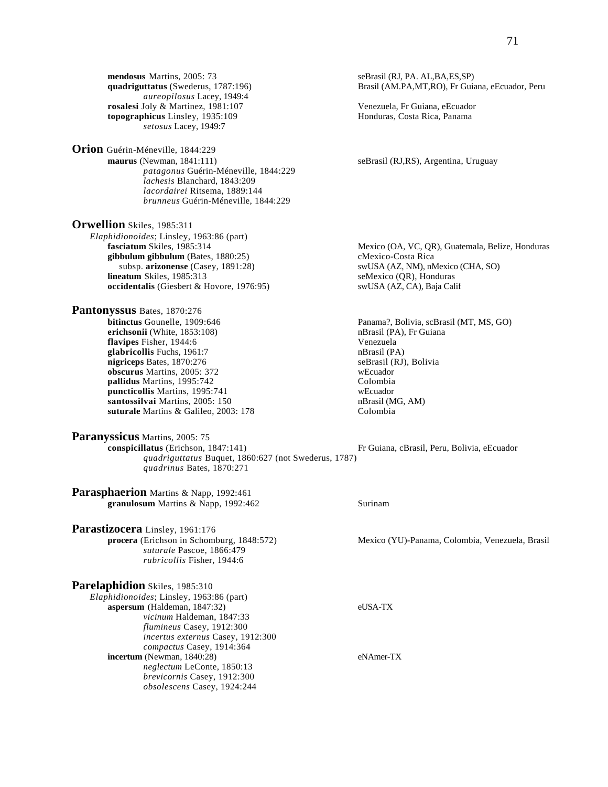**Orion** Guérin-Méneville, 1844:229 **maurus** (Newman, 1841:111) seBrasil (RJ,RS), Argentina, Uruguay *patagonus* Guérin-Méneville, 1844:229 *lachesis* Blanchard, 1843:209 *lacordairei* Ritsema, 1889:144 *brunneus* Guérin-Méneville, 1844:229

**Orwellion** Skiles, 1985:311 *Elaphidionoides*; Linsley, 1963:86 (part) **gibbulum gibbulum** (Bates, 1880:25) cMexico-Costa Rica subsp. **arizonense** (Casey, 1891:28) swUSA (AZ, NM), nMexico (CHA, SO) **lineatum** Skiles, 1985:313 seMexico (QR), Honduras **occidentalis** (Giesbert & Hovore, 1976:95) swUSA (AZ, CA), Baja Calif

**Pantonyssus Bates, 1870:276**<br>bitinctus Gounelle, 1909:646 **erichsonii** (White, 1853:108) **nBrasil** (PA), Fr Guiana **flavipes** Fisher, 1944:6 Venezuela<br> **glabricollis** Fuchs. 1961:7 (PA) **glabricollis** Fuchs, 1961:7 **ndialism** natural politicial politicial politicial politicial politicial politicial politicial politicial politicial politicial politicial politicial politicial politicial politicial politicia nigriceps Bates, 1870:276 **obscurus** Martins, 2005: 372<br> **obscurus** Martins, 1995:742 pallidus Martins, 1995:742 **puncticollis** Martins, 1995:741 wEcuador **santossilvai** Martins, 2005: 150 **nBrasil (MG, AM)** nBrasil (MG, AM) **suturale** Martins & Galileo, 2003: 178 Colombia

**Paranyssicus** Martins, 2005: 75<br>conspicillatus (Erichson, 1847:141)

 *quadriguttatus* Buquet, 1860:627 (not Swederus, 1787) *quadrinus* Bates, 1870:271

**Parasphaerion** Martins & Napp, 1992:461 **granulosum** Martins & Napp, 1992:462 Surinam

**Parastizocera** Linsley, 1961:176<br>procera (Erichson in Schomburg, 1848:572) *suturale* Pascoe, 1866:479 *rubricollis* Fisher, 1944:6

**Parelaphidion** Skiles, 1985:310 *Elaphidionoides*; Linsley, 1963:86 (part) **aspersum** (Haldeman, 1847:32) eUSA-TX *vicinum* Haldeman, 1847:33 *flumineus* Casey, 1912:300 *incertus externus* Casey, 1912:300 *compactus* Casey, 1914:364 **incertum** (Newman, 1840:28) eNAmer-TX *neglectum* LeConte, 1850:13 *brevicornis* Casey, 1912:300 *obsolescens* Casey, 1924:244

Brasil (AM.PA,MT,RO), Fr Guiana, eEcuador, Peru

**fasciatum** Skiles, 1985:314 Mexico (OA, VC, QR), Guatemala, Belize, Honduras

Panama?, Bolivia, scBrasil (MT, MS, GO)

Fr Guiana, cBrasil, Peru, Bolivia, eEcuador

Mexico (YU)-Panama, Colombia, Venezuela, Brasil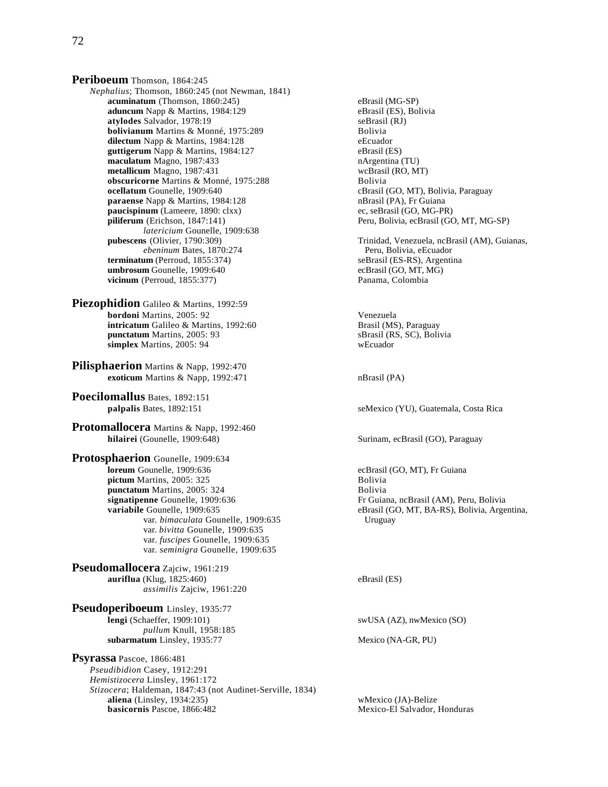**Periboeum** Thomson, 1864:245 *Nephalius*; Thomson, 1860:245 (not Newman, 1841) **acuminatum** (Thomson, 1860:245)<br> **aduncum** Napp & Martins, 1984:129<br>
eBrasil (ES), Bolivia **aduncum** Napp & Martins, 1984:129 **atylodes** Salvador, 1978:19<br> **bolivianum** Martins & Monné, 1975:289<br> **bolivia**<br> **bolivia bolivianum** Martins & Monné, 1975:289 **dilectum** Napp & Martins, 1984:128 eEcuador **guttigerum** Napp & Martins, 1984:127 eBrasil (ES)<br> **maculatum** Magno. 1987:433 **eBrasil (ES)**<br>
nArgentina (TU) **maculatum** Magno, 1987:433<br> **metallicum** Magno, 1987:431<br> **metallicum** Magno, 1987:431 metallicum Magno, 1987:431 **obscuricorne** Martins & Monné, 1975:288 Bolivia<br> **ocellatum** Gounelle, 1909:640 cBrasil **paraense** Napp & Martins, 1984:128 **paucispinum** (Lameere, 1890: clxx) ec, seBrasil (GO, MG-PR) external economic economic economic economic economic<br> **piliferum** (Erichson, 1847:141) eru, Bolivia, ecBrasil (GO *latericium* Gounelle, 1909:638 *ebeninum* Bates, 1870:274 Peru, Bolivia, eEcuador<br> **um** (Perroud. 1855:374) SeBrasil (ES-RS). Argentina  $terminatum$  (Perroud,  $1855:374$ ) **umbrosum** Gounelle, 1909:640 ecBrasil (GO, MT, MG) **vicinum** (Perroud, 1855:377) Panama, Colombia

- Piezophidion Galileo & Martins, 1992:59 **bordoni** Martins, 2005: 92 Venezuela **intricatum** Galileo & Martins, 1992:60<br> **intricatum** Martins, 2005: 93<br> **interval and Sand Solution Server Server Server Server Server Server Server Server Server Server Server Server Server Server Server Server Server Se punctatum** Martins, 2005: 93 **simplex** Martins, 2005: 94 wEcuador
- **Pilisphaerion** Martins & Napp, 1992:470 **exoticum** Martins & Napp, 1992:471 nBrasil (PA)
- **Poecilomallus** Bates, 1892:151
- **Protomallocera** Martins & Napp, 1992:460<br>hilairei (Gounelle, 1909:648)

**Protosphaerion** Gounelle, 1909:634<br>loreum Gounelle, 1909:636 **pictum** Martins, 2005: 325 **punctatum** Martins, 2005: 324 Bolivia **signatipenne** Gounelle, 1909:636 Fr Guiana, ncBrasil (AM), Peru, Bolivia<br> **variabile** Gounelle, 1909:635 eBrasil (GO, MT, BA-RS), Bolivia, Arge var. *bimaculata* Gounelle, 1909:635 Uruguay var. *bivitta* Gounelle, 1909:635 var. *fuscipes* Gounelle, 1909:635 var. *seminigra* Gounelle, 1909:635

**Pseudomallocera** Zajciw, 1961:219 **auriflua** (Klug, 1825:460) eBrasil (ES) *assimilis* Zajciw, 1961:220

**Pseudoperiboeum** Linsley, 1935:77<br>lengi (Schaeffer, 1909:101) *pullum* Knull, 1958:185 subarmatum Linsley, 1935:77 Mexico (NA-GR, PU)

**Psyrassa** Pascoe, 1866:481 *Pseudibidion* Casey, 1912:291 *Hemistizocera* Linsley, 1961:172 *Stizocera*; Haldeman, 1847:43 (not Audinet-Serville, 1834) **aliena** (Linsley, 1934:235)<br> **basicornis** Pascoe, 1866:482 **basicornis** Pascoe, 1866:482 **Mexico-El Salvador**, 1

cBrasil (GO, MT), Bolivia, Paraguay<br>nBrasil (PA), Fr Guiana Peru, Bolivia, ecBrasil (GO, MT, MG-SP) **pubescens** (Olivier, 1790:309) Trinidad, Venezuela, ncBrasil (AM), Guianas, *ebeninum* Bates, 1870:274 Peru, Bolivia, eEcuador **palpalis** Bates, 1892:151 seMexico (YU), Guatemala, Costa Rica Surinam, ecBrasil (GO), Paraguay ecBrasil (GO, MT), Fr Guiana<br>Bolivia eBrasil (GO, MT, BA-RS), Bolivia, Argentina, swUSA (AZ), nwMexico (SO)

**Mexico-El Salvador, Honduras**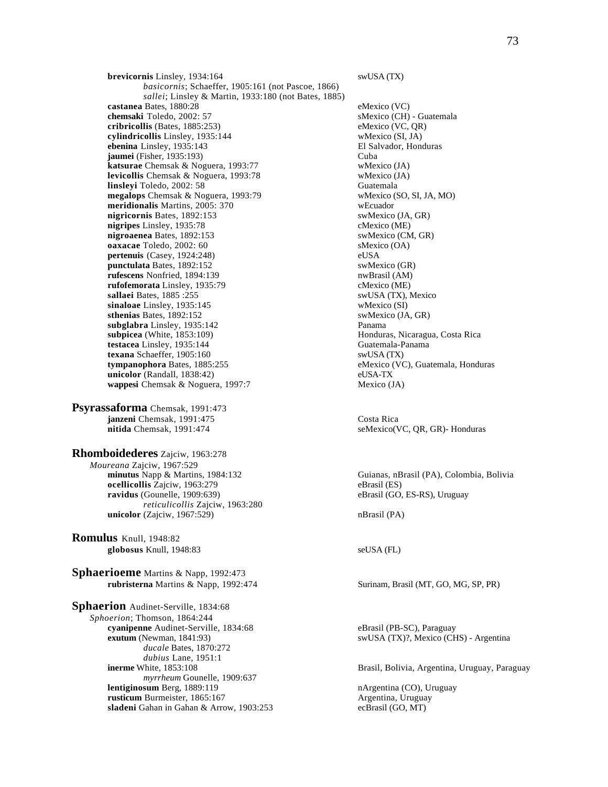**brevicornis** Linsley, 1934:164 swUSA (TX) *basicornis*; Schaeffer, 1905:161 (not Pascoe, 1866) *sallei*; Linsley & Martin, 1933:180 (not Bates, 1885) **castanea** Bates, 1880:28 eMexico (VC)<br> **chemsaki** Toledo, 2002: 57 sMexico (CH)  $cribricollis$  (Bates,  $1885:253$ ) **cylindricollis** Linsley, 1935:144 wMexico (SI, JA)<br> **charina** Linsley, 1935:143 El Salvador, Honduras **ebenina** Linsley, 1935:143 **jaumei** (Fisher, 1935:193) Cuba **katsurae** Chemsak & Noguera, 1993:77 wMexico (JA) **levicollis** Chemsak & Noguera, 1993:78 wMexico (JA) **linsleyi** Toledo, 2002: 58<br> **megalops** Chemsak & Noguera, 1993:79<br> **linguishing the Chemsak Contract Contract Contract Contract Contract Contract Contract Contract Contract Contract Contract Contract Contract Contract Con megalops** Chemsak & Noguera, 1993:79 **meridionalis** Martins, 2005: 370 wEcuador **nigricornis** Bates, 1892:153 swMexico (JA, GR) **nigripes** Linsley, 1935:78 cMexico (ME) **nigroaenea** Bates, 1892:153 swMexico (CM, GR) **oaxacae** Toledo, 2002: 60 sMexico (OA) **pertenuis** (Casey, 1924:248) eUSA **punctulata** Bates, 1892:152 swMexico (GR) **rufescens** Nonfried, 1894:139 nwBrasil (AM) **rufofemorata** Linsley, 1935:79 cMexico (ME) **sallaei** Bates, 1885 :255 <br> **sinaloae** Linsley, 1935:145 <br> **sinaloae** Linsley, 1935:145 <br> **sinaloae** Cinsley, 1935:145 sinaloae Linsley, 1935:145 **sthenias** Bates, 1892:152 swMexico (JA, GR) **subglabra** Linsley, 1935:142 Panama **subpicea** (White, 1853:109) **Honduras, Nicaragua, Costa Rica testacea** Linsley, 1935:144 Guatemala-Panama<br> **texana** Schaeffer, 1905:160 SwUSA (TX) texana Schaeffer, 1905:160 **tympanophora** Bates, 1885:255 eMexico (VC), Guatemala, Honduras **unicolor** (Randall, 1838:42) eUSA-TX **wappesi** Chemsak & Noguera, 1997:7 Mexico (JA)

**Psyrassaforma** Chemsak, 1991:473 **janzeni** Chemsak, 1991:475 **Costa Rica**<br> **nitida Chemsak, 1991:474** SeMexico(V

**Rhomboidederes** Zajciw, 1963:278 *Moureana* Zajciw, 1967:529 **ocellicollis** Zajciw, 1963:279 eBrasil (ES) **ravidus** (Gounelle, 1909:639) eBrasil (GO, ES-RS), Uruguay *reticulicollis* Zajciw, 1963:280 **unicolor** (Zajciw, 1967:529) nBrasil (PA)

**Romulus** Knull, 1948:82 **globosus** Knull, 1948:83 seUSA (FL)

**Sphaerioeme** Martins & Napp, 1992:473 **rubristerna** Martins & Napp, 1992:474 Surinam, Brasil (MT, GO, MG, SP, PR)

**Sphaerion** Audinet-Serville, 1834:68 *Sphoerion*; Thomson, 1864:244 **cyanipenne** Audinet-Serville, 1834:68 eBrasil (PB-SC), Paraguay<br> **exutum** (Newman, 1841:93) swUSA (TX)?, Mexico (CH *ducale* Bates, 1870:272 *dubius* Lane, 1951:1<br>**inerme** White, 1853:108 *myrrheum* Gounelle, 1909:637 **lentiginosum** Berg, 1889:119 **nArgentina (CO)**, Uruguay **rusticum** Burmeister, 1865:167 **Argentina, Uruguay sladeni** Gahan in Gahan & Arrow, 1903:253 ecBrasil (GO, MT)

sMexico (CH) - Guatemala<br>eMexico (VC, QR)

seMexico(VC, QR, GR)- Honduras

Guianas, nBrasil (PA), Colombia, Bolivia

swUSA (TX)?, Mexico (CHS) - Argentina

Brasil, Bolivia, Argentina, Uruguay, Paraguay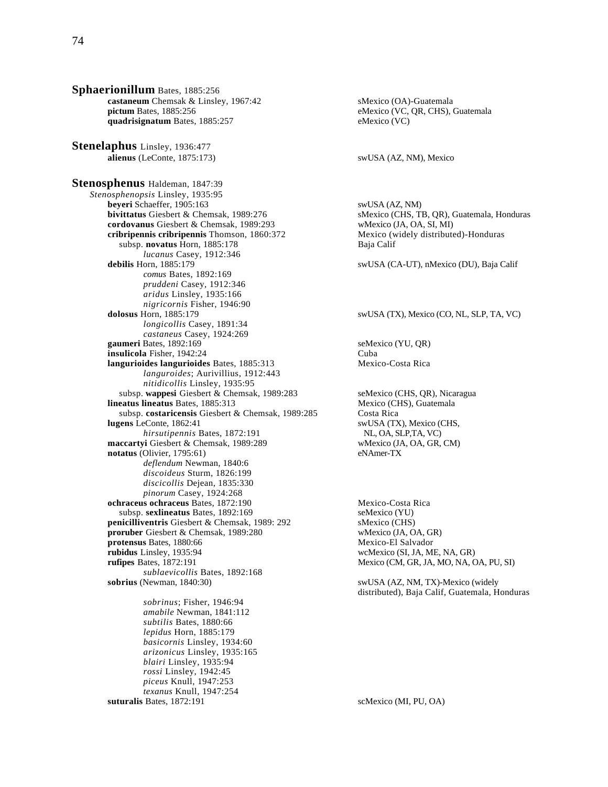**Sphaerionillum** Bates, 1885:256 **castaneum** Chemsak & Linsley, 1967:42 sMexico (OA)-Guatemala<br> **pictum** Bates, 1885:256 eMexico (VC, OR, CHS), 0 quadrisignatum Bates, 1885:257 **Stenelaphus** Linsley, 1936:477 **alienus** (LeConte, 1875:173) swUSA (AZ, NM), Mexico **Stenosphenus** Haldeman, 1847:39 *Stenosphenopsis* Linsley, 1935:95 **beyeri** Schaeffer, 1905:163 swUSA (AZ, NM) **bivittatus** Giesbert & Chemsak, 1989:276 sMexico (CHS, TB, QR), Guatemala, Honduras **cordovanus** Giesbert & Chemsak, 1989:293 wMexico (JA, OA, SI, MI) **cribripennis cribripennis** Thomson, 1860:372 Mexico (widely distributed)-Honduras subsp. **novatus** Horn, 1885:178 Baja Calif subsp. novatus Horn, 1885:178 *lucanus* Casey, 1912:346 **debilis** Horn, 1885:179 swUSA (CA-UT), nMexico (DU), Baja Calif *comus* Bates, 1892:169 *pruddeni* Casey, 1912:346 *aridus* Linsley, 1935:166 *nigricornis* Fisher, 1946:90 *longicollis* Casey, 1891:34 *castaneus* Casey, 1924:269 **gaumeri** Bates, 1892:169 seMexico (YU, OR) **insulicola** Fisher, 1942:24 Cuba **langurioides langurioides Bates, 1885:313** Mexico-Costa Rica *languroides*; Aurivillius, 1912:443 *nitidicollis* Linsley, 1935:95 subsp. **wappesi** Giesbert & Chemsak, 1989:283 seMexico (CHS, QR), Nicaragua **lineatus lineatus** Bates, 1885:313 Mexico (CHS), Guatemala subsp. **costaricensis** Giesbert & Chemsak, 1989:285 Costa Rica **lugens** LeConte, 1862:41 swUSA (TX), Mexico (CHS,<br>*hirsutipennis* Bates, 1872:191 NL, OA, SLP, TA, VC) *hirsutipennis* Bates, 1872:191 **maccartyi** Giesbert & Chemsak, 1989:289 wMexico (JA, OA, GR, CM) **notatus** (Olivier, 1795:61) eNAmer-TX *deflendum* Newman, 1840:6 *discoideus* Sturm, 1826:199 *discicollis* Dejean, 1835:330 *pinorum* Casey, 1924:268 **ochraceus ochraceus** Bates, 1872:190 Mexico-Costa Rica<br>subsp. **sexlineatus** Bates, 1892:169 seMexico (YU) subsp. sexlineatus Bates, 1892:169 **penicilliventris** Giesbert & Chemsak, 1989: 292 sMexico (CHS) **proruber** Giesbert & Chemsak, 1989:280 wMexico (JA, OA, GR) **protensus** Bates, 1880:66 Mexico-El Salvador **rubidus** Linsley, 1935:94 wcMexico (SI, JA, ME, NA, GR)<br> **rufipes** Bates, 1872:191 Mexico (CM, GR, JA, MO, NA, C *sublaevicollis* Bates, 1892:168 **sobrius** (Newman, 1840:30) swUSA (AZ, NM, TX)-Mexico (widely *sobrinus*; Fisher, 1946:94 *amabile* Newman, 1841:112 *subtilis* Bates, 1880:66 *lepidus* Horn, 1885:179 *basicornis* Linsley, 1934:60 *arizonicus* Linsley, 1935:165 *blairi* Linsley, 1935:94 *rossi* Linsley, 1942:45 *piceus* Knull, 1947:253 *texanus* Knull, 1947:254

eMexico (VC, QR, CHS), Guatemala<br>eMexico (VC)

#### swUSA (TX), Mexico (CO, NL, SLP, TA, VC)

 $Mexico (CM, GR, JA, MO, NA, OA, PU, SI)$ 

distributed), Baja Calif, Guatemala, Honduras

**suturalis** Bates, 1872:191 scMexico (MI, PU, OA)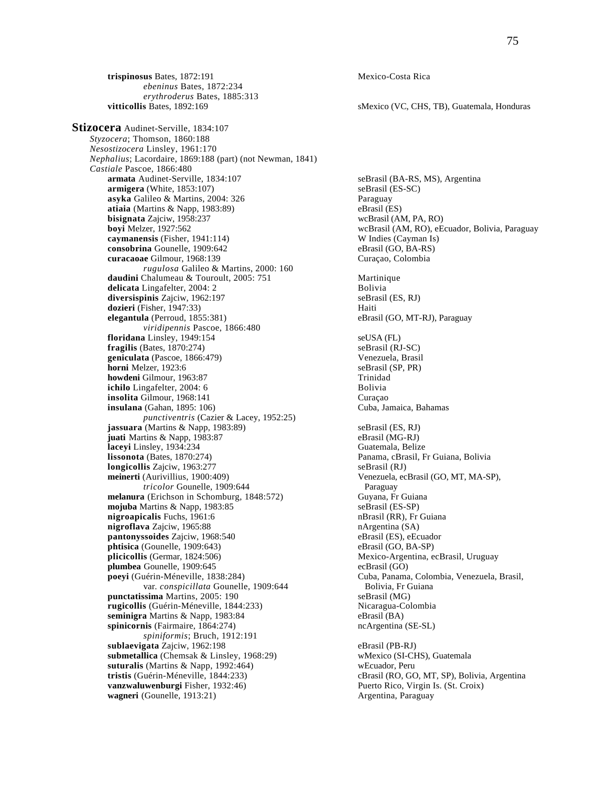**trispinosus** Bates, 1872:191 Mexico-Costa Rica *ebeninus* Bates, 1872:234 *erythroderus* Bates, 1885:313 **vitticollis** Bates, 1892:169 sMexico (VC, CHS, TB), Guatemala, Honduras

**Stizocera** Audinet-Serville, 1834:107 *Styzocera*; Thomson, 1860:188 *Nesostizocera* Linsley, 1961:170 *Nephalius*; Lacordaire, 1869:188 (part) (not Newman, 1841) *Castiale* Pascoe, 1866:480 **armigera** (White, 1853:107) seBrasil (ES-SC) **asyka** Galileo & Martins, 2004: 326 Paraguay **atiaia** (Martins & Napp, 1983:89) eBrasil (ES) eBrasil (ES) eBrasil (AM, PA, RO) eBrasil (AM, PA, RO) **bisignata** Zajciw, 1958:237<br>**bovi** Melzer, 1927:562 **caymanensis** (Fisher, 1941:114) W Indies (Cayman Is) **consobrina** Gounelle, 1909:642 eBrasil (GO, BA-RS) **curacaoae** Gilmour, 1968:139 Curaçao, Colombia *rugulosa* Galileo & Martins, 2000: 160 **daudini** Chalumeau & Touroult, 2005: 751 Martinique **delicata** Lingafelter, 2004: 2 Bolivia **diversispinis** Zajciw, 1962:197 seBrasil (ES, RJ) **dozieri** (Fisher, 1947:33) Haiti **elegantula** (Perroud, 1855:381) eBrasil (GO, MT-RJ), Paraguay *viridipennis* Pascoe, 1866:480 **floridana** Linsley, 1949:154 seUSA (FL) **fragilis** (Bates, 1870:274) seBrasil (RJ-SC)<br> **geniculata** (Pascoe, 1866:479) seBrasil (RJ-SC) **geniculata** (Pascoe, 1866:479) <br> **horni** Melzer, 1923:6 <br> **seBrasil (SP, PR) horni** Melzer, 1923:6 **howdeni** Gilmour, 1963:87 Trinidad **ichilo** Lingafelter, 2004: 6 Bolivia **insolita** Gilmour, 1968:141 Curaçao **insulana** (Gahan, 1895: 106) Cuba, Jamaica, Bahamas *punctiventris* (Cazier & Lacey, 1952:25) **jassuara** (Martins & Napp, 1983:89) seBrasil (ES, RJ) **juati** Martins & Napp, 1983:87<br> **laceyi** Linsley, 1934:234 **eBrasil (MG-RJ)**<br>
Guatemala, Belize laceyi Linsley, 1934:234 **lissonota** (Bates, 1870:274) Panama, cBrasil, Fr Guiana, Bolivia **longicollis** Zajciw, 1963:277 seBrasil (RJ) **meinerti** (Aurivillius, 1900:409) Venezuela, ecBrasil (GO, MT, MA-SP), *tricolor* Gounelle, 1909:644 Paraguay **melanura** (Erichson in Schomburg, 1848:572) Guyana, Fr Guiana<br> **moiuba** Martins & Napp. 1983:85<br>
SeBrasil (ES-SP)  $mojuba$  Martins  $&$  Napp, 1983:85 **nigroapicalis** Fuchs, 1961:6 **nigroapicalis** Fuchs, 1961:6 **n nigroflava** Zajciw, 1965:88 **nArgentina** (SA) **pantonyssoides** Zajciw, 1968:540 eBrasil (ES), eEcuador phtisica (Gounelle, 1909:643) eBrasil (GO, BA-SP) **phtisica** (Gounelle, 1909:643) **plicicollis** (Germar, 1824:506) Mexico-Argentina, ecBrasil, Uruguay **plumbea** Gounelle, 1909:645 ecBrasil (GO) **poeyi** (Guérin-Méneville, 1838:284) Cuba, Panama, Colombia, Venezuela, Brasil, var. *conspicillata* Gounelle, 1909:644 Bolivia, Fr Guiana<br> **ssima** Martins, 2005: 190<br>
Bolivia, Fr Guiana **punctatissima** Martins, 2005: 190 seBrasil (MG) **rugicollis** (Guérin-Méneville, 1844:233) **seminigra Martins & Napp, 1983:84** eBrasil (BA)<br> **spinicornis** (Fairmaire, 1864:274) eBrasil (CE-SL) spinicornis (Fairmaire, 1864:274) *spiniformis*; Bruch, 1912:191 **sublaevigata** Zajciw, 1962:198<br> **submetallica** (Chemsak & Linsley, 1968:29) eBrasil (PB-RJ)<br>
wMexico (SI-CHS), Guatemala submetallica (Chemsak & Linsley, 1968:29) **suturalis** (Martins & Napp, 1992:464) wEcuador, Peru **tristis** (Guérin-Méneville, 1844:233) cBrasil (RO, GO, MT, SP), Bolivia, Argentina<br> **vanzwaluwenburgi** Fisher, 1932:46) **cBrasil (RO, GO, MT, SP), Bolivia, Argentina**<br>
Puerto Rico, Virgin Is. (St. Croix) **vanzwaluwenburgi** Fisher, 1932:46) wagneri (Gounelle, 1913:21) **Argentina, Paraguay** 

seBrasil (BA-RS, MS), Argentina wcBrasil (AM, RO), eEcuador, Bolivia, Paraguay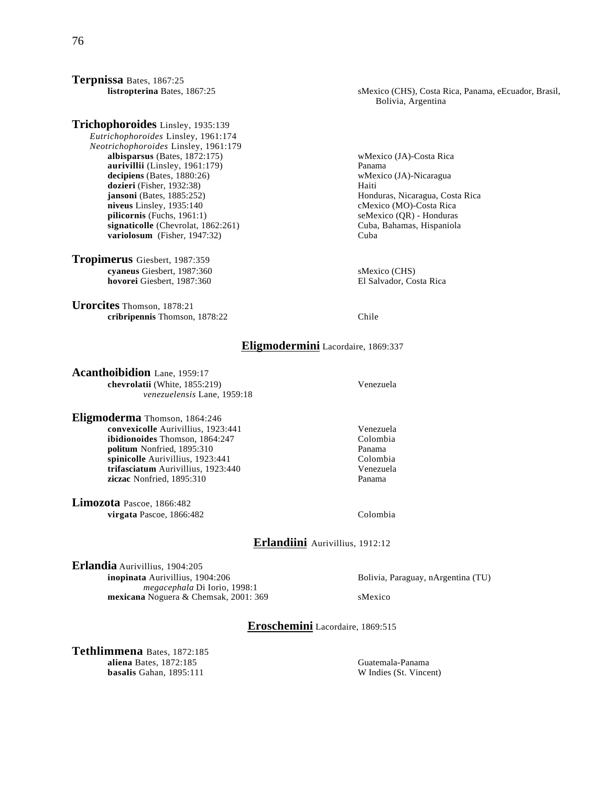**Terpnissa** Bates, 1867:25

**Trichophoroides** Linsley, 1935:139 *Eutrichophoroides* Linsley, 1961:174 *Neotrichophoroides* Linsley, 1961:179 **albisparsus** (Bates, 1872:175) wMexico (JA)-Costa Rica **aurivillii** (Linsley, 1961:179)<br> **aurivillii** (Linsley, 1880:26)<br> **aurivillii** (Bates, 1880:26)<br> **aurivillii** (Linsley, 1880:26)  $decipiens$  (Bates,  $1880:26$ ) **dozieri** (Fisher, 1932:38) Haiti **jansoni** (Bates, 1885:252) **Honduras, Nicaragua, Costa Rica**<br> **niveus** Linsley, 1935:140 **https://web/2003/costa Rica**<br>
cMexico (MO)-Costa Rica **niveus** Linsley, 1935:140<br> **pilicornis** (Fuchs, 1961:1) **computer contains and the Contains Contains and the Semi-Contains and Semi-Contains and Semi-Contains and Semi-Contains and Semi-Contains and Semi-Contains and Semi**  $pilicornis$  (Fuchs,  $1961:1$ ) **signaticolle** (Chevrolat, 1862:261) Cuba, Bahamas, Hispaniola **variolosum** (Fisher, 1947:32) Cuba

**Tropimerus** Giesbert, 1987:359 **cyaneus** Giesbert, 1987:360<br> **cyaneus** Giesbert, 1987:360<br> **cyaneus** Giesbert, 1987:360 **hovorei Giesbert, 1987:360** 

**Urorcites** Thomson, 1878:21 **cribripennis** Thomson, 1878:22 Chile

 **listropterina** Bates, 1867:25 sMexico (CHS), Costa Rica, Panama, eEcuador, Brasil, Bolivia, Argentina

# **Eligmodermini** Lacordaire, 1869:337

**Acanthoibidion** Lane, 1959:17 **chevrolatii** (White, 1855:219) Venezuela *venezuelensis* Lane, 1959:18

**Eligmoderma** Thomson, 1864:246 **convexicolle** Aurivillius, 1923:441<br> **ibidionoides** Thomson. 1864:247<br>
Colombia **ibidionoides** Thomson, 1864:247 **politum** Nonfried, 1895:310<br> **politum** Panama<br> **politum** Colombia<br>
Colombia **spinicolle** Aurivillius, 1923:441 Colombia<br> **trifasciatum** Aurivillius, 1923:440 Colombia<br>
Venezuela **trifasciatum** Aurivillius, 1923:440 **ziczac** Nonfried, 1895:310 Panama

**Limozota** Pascoe, 1866:482 **virgata** Pascoe, 1866:482 Colombia

# **Erlandiini** Aurivillius, 1912:12

**Erlandia** Aurivillius, 1904:205 **inopinata** Aurivillius, 1904:206 Bolivia, Paraguay, nArgentina (TU) *megacephala* Di Iorio, 1998:1 **mexicana** Noguera & Chemsak, 2001: 369 sMexico

**Eroschemini** Lacordaire, 1869:515

**Tethlimmena** Bates, 1872:185 **aliena** Bates, 1872:185 Guatemala-Panama **basalis** Gahan, 1895:111 W Indies (St. Vincent)

#### 76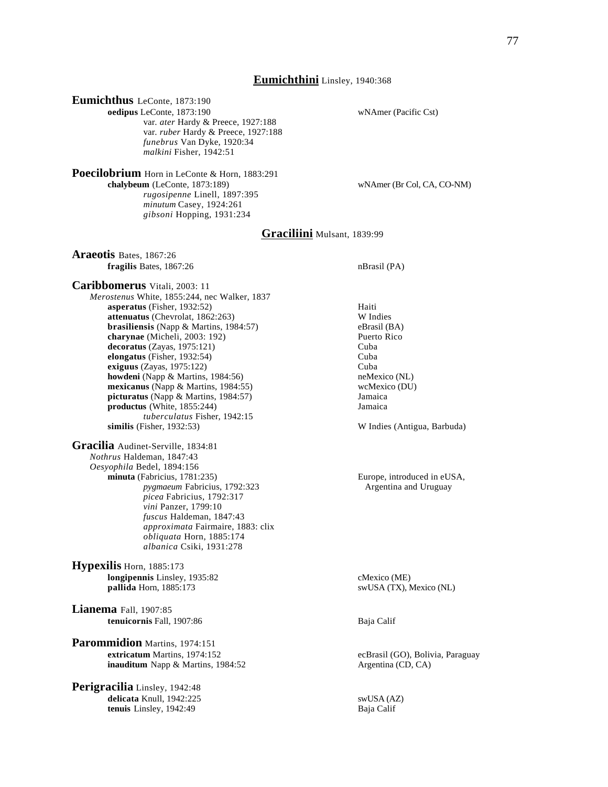#### **Eumichthini** Linsley, 1940:368

**Eumichthus** LeConte, 1873:190 **oedipus LeConte, 1873:190** wNAmer (Pacific Cst) var. *ater* Hardy & Preece, 1927:188 var. *ruber* Hardy & Preece, 1927:188 *funebrus* Van Dyke, 1920:34 *malkini* Fisher, 1942:51

**Poecilobrium** Horn in LeConte & Horn, 1883:291 chalybeum (LeConte, 1873:189) *rugosipenne* Linell, 1897:395 *minutum* Casey, 1924:261 *gibsoni* Hopping, 1931:234

 $wN$ Amer (Br Col, CA, CO-NM)

## **Graciliini** Mulsant, 1839:99

**Araeotis** Bates, 1867:26 **fragilis** Bates, 1867:26 nBrasil (PA)

**Caribbomerus** Vitali, 2003: 11 *Merostenus* White, 1855:244, nec Walker, 1837 **asperatus** (Fisher, 1932:52) Haiti **attenuatus** (Chevrolat, 1862:263) W Indies<br> **brasiliensis** (Napp & Martins, 1984:57) eBrasil (BA) **brasiliensis** (Napp & Martins, 1984:57) eBrasil (BA) eBrasil (BA) eBrasil (BA) eBrasil (BA) charynae (Micheli, 2003: 192) decoratus (Zayas, 1975:121) Cuba **elongatus** (Fisher, 1932:54) Cuba **exiguus** (Zayas, 1975:122) Cuba<br> **howdeni** (Napp & Martins, 1984:56) **Cuba**<br> **howdeni** (Napp & Martins, 1984:56) **howdeni** (Napp & Martins, 1984:56) **mexicanus** (Napp & Martins, 1984:55) wcMexico (DU) **picturatus** (Napp & Martins, 1984:57) Jamaica **productus** (White, 1855:244) Jamaica *tuberculatus* Fisher, 1942:15<br>similis (Fisher, 1932:53)

**Gracilia** Audinet-Serville, 1834:81 *Nothrus* Haldeman, 1847:43 *Oesyophila* Bedel, 1894:156 **minuta** (Fabricius, 1781:235) Europe, introduced in eUSA, *pygmaeum* Fabricius, 1792:323 Argentina and Uruguay *picea* Fabricius, 1792:317 *vini* Panzer, 1799:10 *fuscus* Haldeman, 1847:43 *approximata* Fairmaire, 1883: clix *obliquata* Horn, 1885:174 *albanica* Csiki, 1931:278

**Hypexilis** Horn, 1885:173 **longipennis** Linsley, 1935:82 cMexico (ME) **pallida** Horn, 1885:173 swUSA (TX), Mexico (NL)

**Lianema** Fall, 1907:85 **tenuicornis** Fall, 1907:86 Baja Calif

**Parommidion** Martins, 1974:151<br>extricatum Martins, 1974:152 **inauditum** Napp & Martins, 1984:52 Argentina (CD, CA)

**Perigracilia** Linsley, 1942:48 **delicata** Knull, 1942:225 swUSA (AZ) **tenuis** Linsley, 1942:49 Baja Calif

W Indies (Antigua, Barbuda)

ecBrasil (GO), Bolivia, Paraguay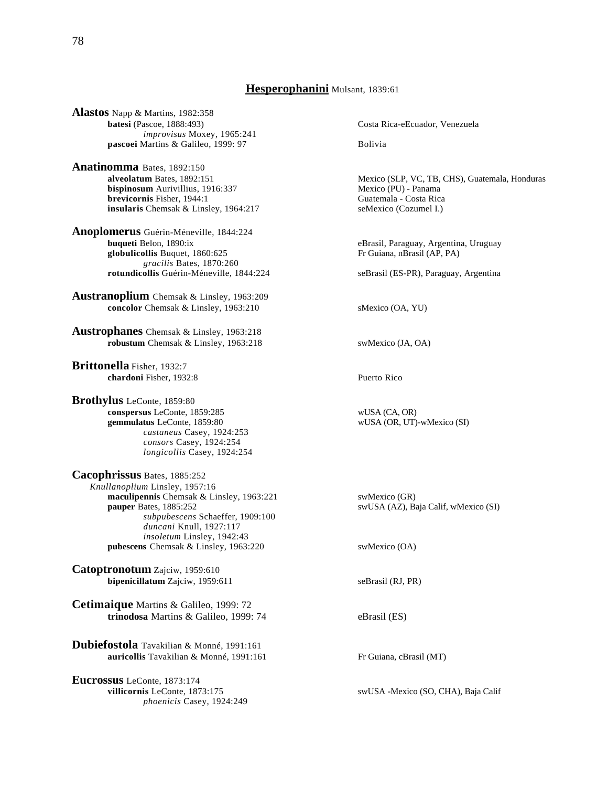## **Hesperophanini** Mulsant, 1839:61

**Alastos** Napp & Martins, 1982:358 **batesi** (Pascoe, 1888:493) Costa Rica-eEcuador, Venezuela *improvisus* Moxey, 1965:241 **pascoei** Martins & Galileo, 1999: 97

**Anatinomma** Bates, 1892:150 **bispinosum** Aurivillius, 1916:337 Mexico (PU) - Panama **brevicornis** Fisher, 1944:1 **Guatemala - Costa Rica insularis** Chemsak & Linsley, 1964:217 **Guatemala - Costa Rica** seMexico (Cozumel I.) **insularis** Chemsak & Linsley, 1964:217

**Anoplomerus** Guérin-Méneville, 1844:224 **buqueti** Belon, 1890:ix **eBrasil, Paraguay, Argentina, Uruguay** globulicollis Buquet, 1860:625 Fr Guiana, nBrasil (AP, PA) *gracilis* Bates, 1870:260 **rotundicollis** Guérin-Méneville, 1844:224 seBrasil (ES-PR), Paraguay, Argentina

**Austranoplium** Chemsak & Linsley, 1963:209 **concolor** Chemsak & Linsley, 1963:210 sMexico (OA, YU)

**Austrophanes** Chemsak & Linsley, 1963:218 **robustum** Chemsak & Linsley, 1963:218 swMexico (JA, OA)

**Brittonella** Fisher, 1932:7 **chardoni** Fisher, 1932:8 Puerto Rico

**Brothylus** LeConte, 1859:80 **conspersus** LeConte, 1859:285 wUSA (CA, OR) **gemmulatus** LeConte, 1859:80 wUSA (OR, UT)-wMexico (SI) *castaneus* Casey, 1924:253 *consors* Casey, 1924:254 *longicollis* Casey, 1924:254

**Cacophrissus** Bates, 1885:252 *Knullanoplium* Linsley, 1957:16 **maculipennis** Chemsak & Linsley, 1963:221 swMexico (GR) **pauper** Bates, 1885:252 swUSA (AZ), Bates *subpubescens* Schaeffer, 1909:100 *duncani* Knull, 1927:117 *insoletum* Linsley, 1942:43 **pubescens** Chemsak & Linsley, 1963:220 swMexico (OA)

**Catoptronotum** Zajciw, 1959:610 **bipenicillatum** Zajciw, 1959:611 seBrasil (RJ, PR)

**Cetimaique** Martins & Galileo, 1999: 72 **trinodosa** Martins & Galileo, 1999: 74 eBrasil (ES)

**Dubiefostola** Tavakilian & Monné, 1991:161 **auricollis** Tavakilian & Monné, 1991:161 Fr Guiana, cBrasil (MT)

**Eucrossus** LeConte, 1873:174 **villicornis** LeConte, 1873:175 swUSA -Mexico (SO, CHA), Baja Calif *phoenicis* Casey, 1924:249

**alveolatum** Bates, 1892:151 Mexico (SLP, VC, TB, CHS), Guatemala, Honduras

swUSA (AZ), Baja Calif, wMexico (SI)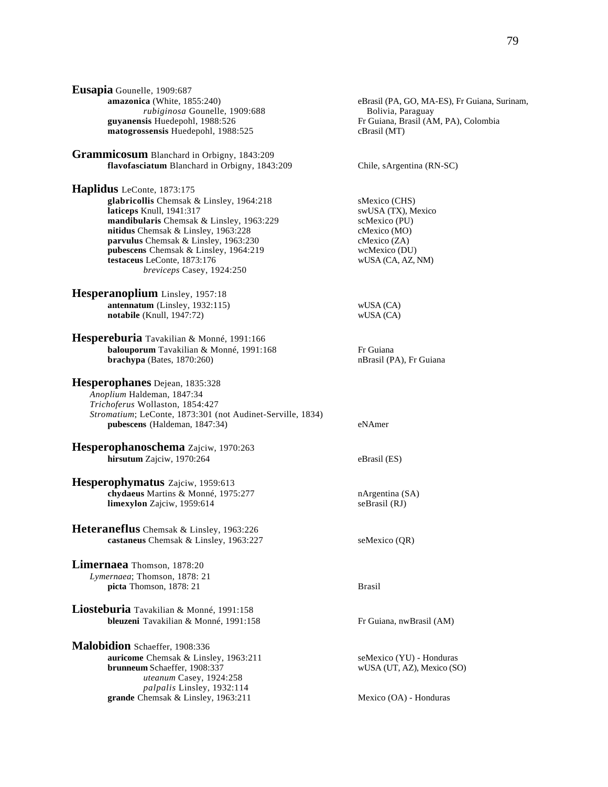**Eusapia** Gounelle, 1909:687 **amazonica** (White, 1855:240) eBrasil (PA, GO, MA-ES), Fr Guiana, Surinam, *rubiginosa* Gounelle, 1909:688 Bolivia, Paraguay **guyanensis** Huedepohl, 1988:526 **Fr** Guiana, Brasil (AM, PA), Colombia<br> **matogrossensis** Huedepohl, 1988:525 **Frasil** (MT) matogrossensis Huedepohl, 1988:525

**Grammicosum** Blanchard in Orbigny, 1843:209 **flavofasciatum** Blanchard in Orbigny, 1843:209 Chile, sArgentina (RN-SC)

**Haplidus** LeConte, 1873:175 **glabricollis** Chemsak & Linsley, 1964:218 sMexico (CHS)<br> **laticeps** Knull, 1941:317 swUSA (TX), Mexico **laticeps** Knull, 1941:317<br> **mandibularis** Chemsak & Linslev. 1963:229 scMexico (PU) mandibularis Chemsak & Linsley, 1963:229 nitidus Chemsak & Linsley, 1963:228 cMexico (MO) **parvulus** Chemsak & Linsley, 1963:230 cMexico (ZA)<br> **pubescens** Chemsak & Linsley, 1964:219 wcMexico (DU) **pubescens** Chemsak & Linsley, 1964:219 wcMexico (DU)<br>testaceus LeConte, 1873:176 wUSA (CA, AZ, NM) **testaceus** LeConte, 1873:176 *breviceps* Casey, 1924:250

**Hesperanoplium** Linsley, 1957:18 **antennatum** (Linsley, 1932:115) wUSA (CA) **notabile** (Knull, 1947:72) wUSA (CA)

**Hespereburia** Tavakilian & Monné, 1991:166 **balouporum** Tavakilian & Monné, 1991:168 Fr Guiana **brachypa** (Bates, 1870:260) nBrasil (PA), Fr Guiana

**Hesperophanes** Dejean, 1835:328 *Anoplium* Haldeman, 1847:34 *Trichoferus* Wollaston, 1854:427 *Stromatium*; LeConte, 1873:301 (not Audinet-Serville, 1834) **pubescens** (Haldeman, 1847:34) eNAmer

**Hesperophanoschema** Zajciw, 1970:263 **hirsutum** Zajciw, 1970:264 eBrasil (ES)

**Hesperophymatus** Zajciw, 1959:613 **chydaeus** Martins & Monné, 1975:277 **nargentina (SA)**<br> **chydaeus** Martins & Monné, 1975:277 **nargentina (SA)**<br>
seBrasil (RJ) **limexylon** Zajciw, 1959:614

**Heteraneflus** Chemsak & Linsley, 1963:226 **castaneus** Chemsak & Linsley, 1963:227 seMexico (OR)

**Limernaea** Thomson, 1878:20 *Lymernaea*; Thomson, 1878: 21 **picta** Thomson, 1878: 21 Brasil

**Liosteburia** Tavakilian & Monné, 1991:158 **bleuzeni** Tavakilian & Monné, 1991:158 Fr Guiana, nwBrasil (AM)

**Malobidion** Schaeffer, 1908:336 **auricome** Chemsak & Linsley, 1963:211 seMexico (YU) - Honduras **brunneum** Schaeffer, 1908:337 wUSA (UT, AZ), Mexico (SO) *uteanum* Casey, 1924:258 *palpalis* Linsley, 1932:114 **grande** Chemsak & Linsley, 1963:211 Mexico (OA) - Honduras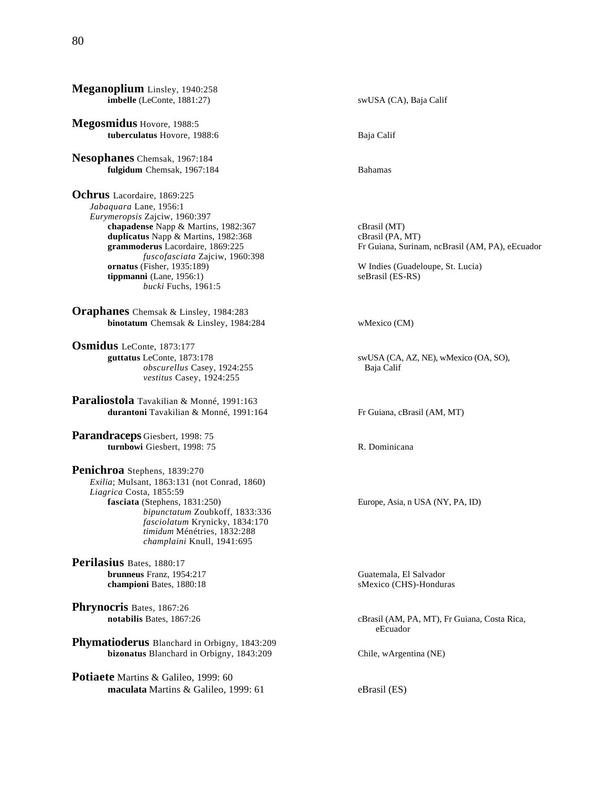**Meganoplium** Linsley, 1940:258 **imbelle** (LeConte, 1881:27) swUSA (CA), Baja Calif

**Megosmidus** Hovore, 1988:5 **tuberculatus** Hovore, 1988:6 Baja Calif

**Nesophanes** Chemsak, 1967:184 **fulgidum** Chemsak, 1967:184 Bahamas

**Ochrus** Lacordaire, 1869:225 *Jabaquara* Lane, 1956:1 *Eurymeropsis* Zajciw, 1960:397 **chapadense** Napp & Martins, 1982:367 cBrasil (MT)<br> **duplicatus** Napp & Martins, 1982:368 cBrasil (PA, MT) duplicatus Napp & Martins, 1982:368<br>grammoderus Lacordaire, 1869:225 *fuscofasciata* Zajciw, 1960:398 **tippmanni** (Lane, 1956:1) seBrasil (ES-RS) *bucki* Fuchs, 1961:5

**Oraphanes** Chemsak & Linsley, 1984:283 **binotatum** Chemsak & Linsley, 1984:284 wMexico (CM)

**Osmidus** LeConte, 1873:177 **guttatus** LeConte, 1873:178 swUSA (CA, AZ, NE), wMexico (OA, SO), *obscurellus* Casey, 1924:255 Baja Calif *vestitus* Casey, 1924:255

**Paraliostola** Tavakilian & Monné, 1991:163 **durantoni** Tavakilian & Monné, 1991:164 Fr Guiana, cBrasil (AM, MT)

**Parandraceps** Giesbert, 1998: 75 **turnbowi** Giesbert, 1998: 75 R. Dominicana

**Penichroa** Stephens, 1839:270 *Exilia*; Mulsant, 1863:131 (not Conrad, 1860) *Liagrica* Costa, 1855:59 *bipunctatum* Zoubkoff, 1833:336 *fasciolatum* Krynicky, 1834:170 *timidum* Ménétries, 1832:288 *champlaini* Knull, 1941:695

**Perilasius** Bates, 1880:17 **brunneus** Franz, 1954:217 Guatemala, El Salvador **championi** Bates, 1880:18 sMexico (CHS)-Honduras

**Phrynocris** Bates, 1867:26

**Phymatioderus** Blanchard in Orbigny, 1843:209 **bizonatus** Blanchard in Orbigny, 1843:209 Chile, wArgentina (NE)

**Potiaete** Martins & Galileo, 1999: 60 **maculata** Martins & Galileo, 1999: 61 eBrasil (ES)

Fr Guiana, Surinam, ncBrasil (AM, PA), eEcuador

W Indies (Guadeloupe, St. Lucia)

**fasciata** Europe, Asia, n USA (NY, PA, ID)

 **notabilis** Bates, 1867:26 cBrasil (AM, PA, MT), Fr Guiana, Costa Rica, eEcuador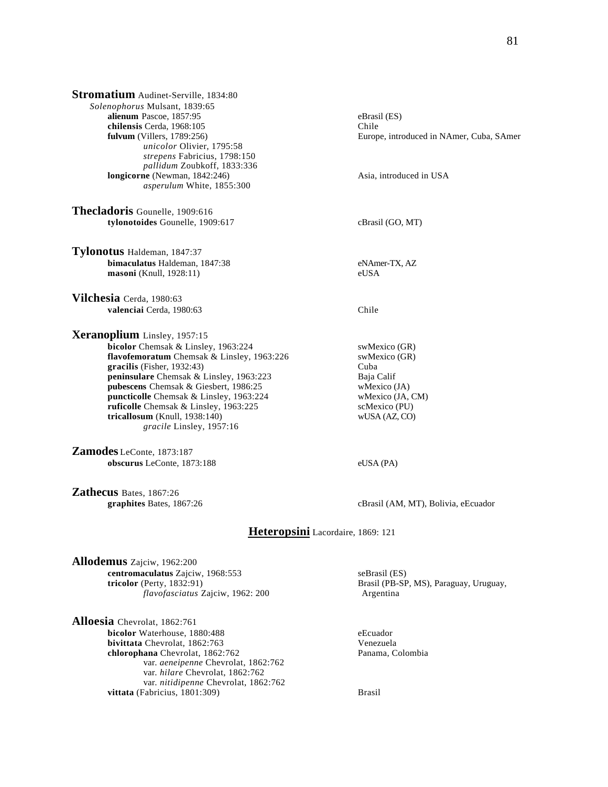| Stromatium Audinet-Serville, 1834:80                                                                               |                                                                   |                              |  |
|--------------------------------------------------------------------------------------------------------------------|-------------------------------------------------------------------|------------------------------|--|
| Solenophorus Mulsant, 1839:65                                                                                      | eBrasil (ES)<br>Chile<br>Europe, introduced in NAmer, Cuba, SAmer |                              |  |
| alienum Pascoe, 1857:95<br>chilensis Cerda, 1968:105<br>fulvum (Villers, $1789:256$ )<br>unicolor Olivier, 1795:58 |                                                                   |                              |  |
|                                                                                                                    |                                                                   | strepens Fabricius, 1798:150 |  |
|                                                                                                                    |                                                                   | pallidum Zoubkoff, 1833:336  |  |
| longicorne (Newman, 1842:246)                                                                                      | Asia, introduced in USA                                           |                              |  |
| asperulum White, 1855:300                                                                                          |                                                                   |                              |  |
|                                                                                                                    |                                                                   |                              |  |
| Thecladoris Gounelle, 1909:616                                                                                     |                                                                   |                              |  |
| tylonotoides Gounelle, 1909:617                                                                                    | cBrasil (GO, MT)                                                  |                              |  |
| Tylonotus Haldeman, 1847:37                                                                                        |                                                                   |                              |  |
| bimaculatus Haldeman, 1847:38                                                                                      | eNAmer-TX, AZ                                                     |                              |  |
| <b>masoni</b> (Knull, 1928:11)                                                                                     | eUSA                                                              |                              |  |
|                                                                                                                    |                                                                   |                              |  |
| Vilchesia Cerda, 1980:63                                                                                           |                                                                   |                              |  |
| valenciai Cerda, 1980:63                                                                                           | Chile                                                             |                              |  |
| Xeranoplium Linsley, 1957:15                                                                                       |                                                                   |                              |  |
| bicolor Chemsak & Linsley, 1963:224                                                                                | swMexico (GR)                                                     |                              |  |
| flavofemoratum Chemsak & Linsley, 1963:226                                                                         | swMexico (GR)                                                     |                              |  |
| gracilis (Fisher, 1932:43)                                                                                         | Cuba                                                              |                              |  |
| <b>peninsulare</b> Chemsak & Linsley, 1963:223                                                                     | Baja Calif                                                        |                              |  |
| pubescens Chemsak & Giesbert, 1986:25                                                                              | wMexico (JA)                                                      |                              |  |
| <b>puncticolle</b> Chemsak & Linsley, 1963:224                                                                     | wMexico (JA, CM)                                                  |                              |  |
| ruficolle Chemsak & Linsley, 1963:225                                                                              | scMexico (PU)                                                     |                              |  |
| tricallosum (Knull, 1938:140)                                                                                      | wUSA (AZ, CO)                                                     |                              |  |
| gracile Linsley, 1957:16                                                                                           |                                                                   |                              |  |
| Zamodes LeConte, 1873:187                                                                                          |                                                                   |                              |  |
| obscurus LeConte, 1873:188                                                                                         | eUSA (PA)                                                         |                              |  |
|                                                                                                                    |                                                                   |                              |  |

**Zathecus** Bates, 1867:26<br>graphites Bates, 1867:26

cBrasil (AM, MT), Bolivia, eEcuador

# **Heteropsini** Lacordaire, 1869: 121

**Allodemus** Zajciw, 1962:200 **centromaculatus** Zajciw, 1968:553 seBrasil (ES)<br> **tricolor** (Perty, 1832:91) Brasil (PB-SP  $flavofasciatus$  Zajciw, 1962: 200

**Alloesia** Chevrolat, 1862:761 **bicolor** Waterhouse, 1880:488 eEcuador **bivittata** Chevrolat, 1862:763<br> **chlorophana** Chevrolat, 1862:762<br>
Panama, Colombia chlorophana Chevrolat, 1862:762 var. *aeneipenne* Chevrolat, 1862:762 var. *hilare* Chevrolat, 1862:762 var. *nitidipenne* Chevrolat, 1862:762 vittata (Fabricius, 1801:309) Brasil

Brasil (PB-SP, MS), Paraguay, Uruguay, Argentina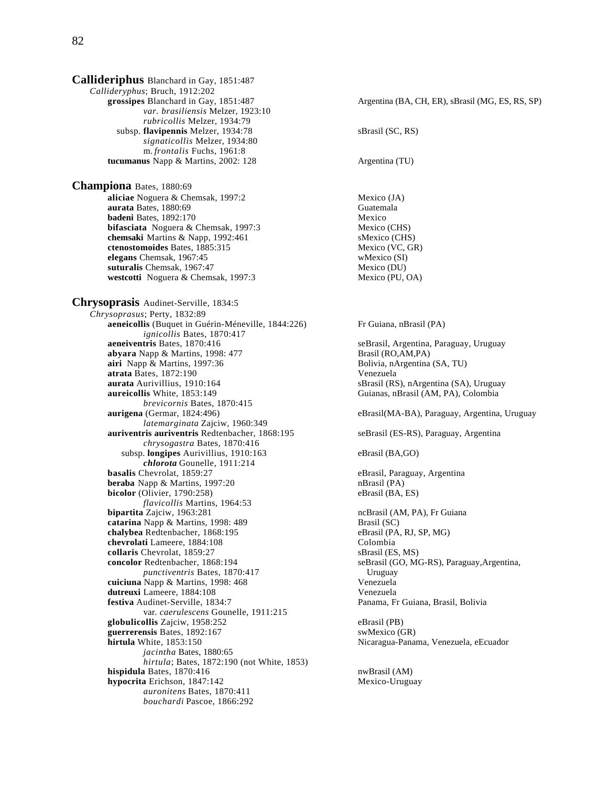**Callideriphus** Blanchard in Gay, 1851:487 *Callideryphus*; Bruch, 1912:202 *var. brasiliensis* Melzer, 1923:10 *rubricollis* Melzer, 1934:79 subsp. **flavipennis** Melzer, 1934:78 sBrasil (SC, RS) *signaticollis* Melzer, 1934:80 m. *frontalis* Fuchs, 1961:8 **tucumanus** Napp & Martins, 2002: 128 Argentina (TU) **Championa** Bates, 1880:69 **aliciae** Noguera & Chemsak, 1997:2 Mexico (JA) **aurata** Bates, 1880:69 Guatemala<br> **badeni** Bates, 1892:170 Guatemala **badeni** Bates, 1892:170 **bifasciata** Noguera & Chemsak, 1997:3 Mexico (CHS) **chemsaki** Martins & Napp, 1992:461 sMexico (CHS)<br> **ctenostomoides** Bates, 1885:315 Mexico (VC, GR) **ctenostomoides** Bates, 1885:315 Mexico (VC, GR) Mexico (VC, GR) Mexico (SI) **elegans** Chemsak, 1967:45 **suturalis** Chemsak, 1967:47<br> **westcotti** Noguera & Chemsak, 1997:3 Mexico (PU, OA) **westcotti** Noguera & Chemsak, 1997:3 **Chrysoprasis** Audinet-Serville, 1834:5 *Chrysoprasus*; Perty, 1832:89 **aeneicollis** (Buquet in Guérin-Méneville, 1844:226) Fr Guiana, nBrasil (PA) *ignicollis Bates, 1870:417*<br>**aeneiventris Bates**, 1870:416 **abyara** Napp & Martins, 1998: 477 Brasil (RO,AM,PA) **airi** Napp & Martins, 1997:36 Bolivia, nArgentina (SA, TU) **atrata** Bates, 1872:190 Venezuela **aurata** Aurivillius, 1910:164 sBrasil (RS), nArgentina (SA), Uruguay<br> **aureicollis** White, 1853:149 **sBrasil (AM, PA), Colombia**  *brevicornis* Bates, 1870:415 **aurigena** (Germar, 1824:496) eBrasil(MA-BA), Paraguay, Argentina, Uruguay *latemarginata* Zajciw, 1960:349 **auriventris auriventris Redtenbacher, 1868:195** seBrasil (ES-RS), Paraguay, Argentina *chrysogastra* Bates, 1870:416 subsp. **longipes** Aurivillius, 1910:163 eBrasil (BA,GO) *chlorota* Gounelle, 1911:214 **basalis** Chevrolat, 1859:27 eBrasil, Paraguay, Argentina<br> **beraba** Napp & Martins. 1997:20 eBrasil (PA) **beraba** Napp & Martins, 1997:20 **bicolor** (Olivier, 1790:258) eBrasil (BA, ES) *flavicollis* Martins, 1964:53 **bipartita** Zajciw, 1963:281 ncBrasil (AM, PA), Fr Guiana **catarina** Napp & Martins, 1998: 489 **Brasil (SC)**<br> **chalybea** Redtenbacher, 1868:195 **Brasil (PA, RJ, SP, MG)** chalybea Redtenbacher, 1868:195 **chevrolati** Lameere, 1884:108 Colombia **collaris** Chevrolat, 1859:27 sBrasil (ES, MS) **concolor** Redtenbacher, 1868:194 seBrasil (GO, MG-RS), Paraguay,Argentina,<br> *punctiventris* Bates, 1870:417 Uruguay *punctiventris Bates, 1870:417*  **cuiciuna** Napp & Martins, 1998: 468 Venezuela **dutreuxi** Lameere, 1884:108<br> **1988: Extiva** Audinet-Serville, 1834:7<br>
Panama, Fr var. *caerulescens* Gounelle, 1911:215 **globulicollis** Zajciw, 1958:252 eBrasil (PB) **guerrerensis** Bates, 1892:167 swMexico (GR) **hirtula** White, 1853:150 **Nicaragua-Panama, Venezuela, eEcuador** Nicaragua-Panama, Venezuela, eEcuador *jacintha* Bates, 1880:65 *hirtula*; Bates, 1872:190 (not White, 1853) **hispidula** Bates, 1870:416 nwBrasil (AM) **hypocrita** Erichson, 1847:142 Mexico-Uruguay *auronitens* Bates, 1870:411 *bouchardi* Pascoe, 1866:292

Argentina (BA, CH, ER), sBrasil (MG, ES, RS, SP) seBrasil, Argentina, Paraguay, Uruguay Guianas, nBrasil (AM, PA), Colombia Panama, Fr Guiana, Brasil, Bolivia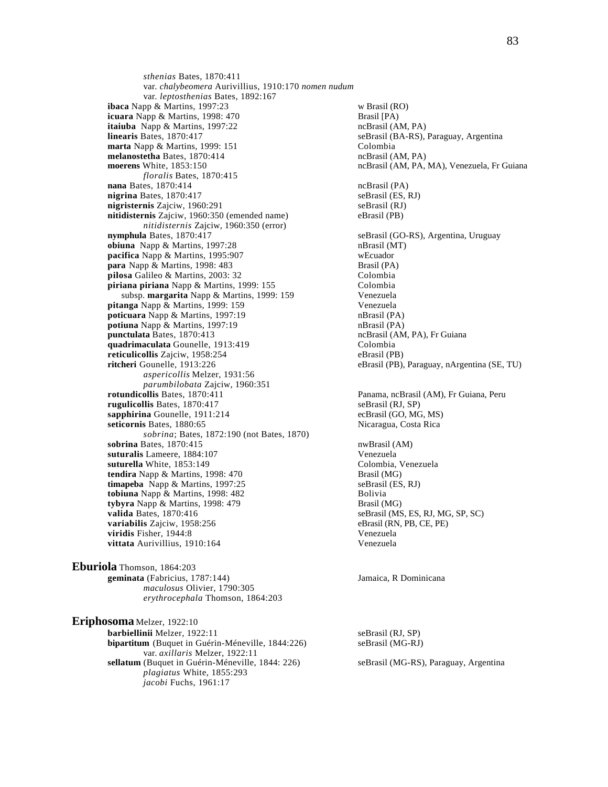*sthenias* Bates, 1870:411 var. *chalybeomera* Aurivillius, 1910:170 *nomen nudum* var. *leptosthenias* Bates, 1892:167 **ibaca** Napp & Martins, 1997:23 w Brasil (RO)<br> **icuara** Napp & Martins, 1998: 470 <br>
Brasil [PA) **icuara** Napp & Martins, 1998: 470 **itaiuba** Napp & Martins, 1997:22 ncBrasil (AM, PA) **linearis** Bates, 1870:417 seBrasil (BA-RS), Paraguay, Argentina **marta** Napp & Martins, 1999: 151 Colombia **melanostetha** Bates, 1870:414 ncBrasil (AM, PA) **moerens** White, 1853:150 ncBrasil (AM, PA, MA), Venezuela, Fr Guiana *floralis* Bates, 1870:415 **nana** Bates, 1870:414 ncBrasil (PA) **nigrina** Bates, 1870:417 seBrasil (ES, RJ) **nigristernis** Zajciw, 1960:291 seBrasil (RJ) **nitidisternis** Zajciw, 1960:350 (emended name) eBrasil (PB) *nitidisternis* Zajciw, 1960:350 (error) **nymphula** Bates, 1870:417 seBrasil (GO-RS), Argentina, Uruguay **obiuna** Napp & Martins, 1997:28 nBrasil (MT) **pacifica** Napp & Martins, 1995:907 welcuador<br> **para** Napp & Martins, 1998: 483 Brasil (PA) **para** Napp & Martins, 1998: 483 **pilosa** Galileo & Martins, 2003: 32 Colombia **piriana piriana** Napp & Martins, 1999: 155 Colombia<br>subsp. **margarita** Napp & Martins, 1999: 159 Venezuela subsp. **margarita** Napp & Martins, 1999: 159 Venezuela<br>**anga** Napp & Martins, 1999: 159 Venezuela pitanga<sup>Napp & Martins, 1999: 159</sup> poticuara Napp & Martins, 1997:19 nBrasil (PA) **potiuna** Napp & Martins, 1997:19 **nBrasil** (PA) **punctulata Bates, 1870:413** ncBrasil (AM, PA), Fr Guiana **quadrimaculata** Gounelle, 1913:419<br> **reticulicollis** Zaiciw. 1958:254<br>
eBrasil (PB) **reticulicollis** Zajciw, 1958:254 **ritcheri** Gounelle, 1913:226 eBrasil (PB), Paraguay, nArgentina (SE, TU) *aspericollis* Melzer, 1931:56 *parumbilobata* Zajciw, 1960:351 **rugulicollis** Bates, 1870:417<br> **rugulicollis Bates, 1870:417** sapphirina Gounelle, 1911:214 seBrasil (GO, MG, MS) sapphirina Gounelle, 1911:214 **seticornis** Bates, 1880:65 Nicaragua, Costa Rica *sobrina*; Bates, 1872:190 (not Bates, 1870) **sobrina** Bates, 1870:415<br> **suturalis** Lameere. 1884:107 **nwBrasil (AM)**<br> **Suturalis** Lameere. 1884:107 suturalis Lameere, 1884:107 **suturella** White, 1853:149<br> **tendira** Napp & Martins, 1998: 470<br> **Example 3** Colombia, Venezuela<br> **Example 3** Colombia, Venezuela tendira Napp & Martins, 1998: 470 **timapeba** Napp & Martins, 1997:25 seBrasil (ES, RJ) **tobiuna** Napp & Martins, 1998: 482 Bolivia **tybyra** Napp & Martins, 1998: 479 Brasil (MG) **valida** Bates, 1870:416 seBrasil (MS, ES, RJ, MG, SP, SC) **variabilis** Zajciw, 1958:256 eBrasil (RN, PB, CE, PE) **viridis** Fisher, 1944:8 Venezuela **vittata** Aurivillius, 1910:164 Venezuela

**Eburiola** Thomson, 1864:203 **geminata** (Fabricius, 1787:144) Jamaica, R Dominicana *maculosus* Olivier, 1790:305 *erythrocephala* Thomson, 1864:203

**Eriphosoma** Melzer, 1922:10 **barbiellinii** Melzer, 1922:11 seBrasil (RJ, SP) **bipartitum** (Buquet in Guérin-Méneville, 1844:226) seBrasil (MG-RJ) var. *axillaris* Melzer, 1922:11 **sellatum** (Buquet in Guérin-Méneville, 1844: 226) seBrasil (MG-RS), Paraguay, Argentina *plagiatus* White, 1855:293 *jacobi* Fuchs, 1961:17

Panama, ncBrasil (AM), Fr Guiana, Peru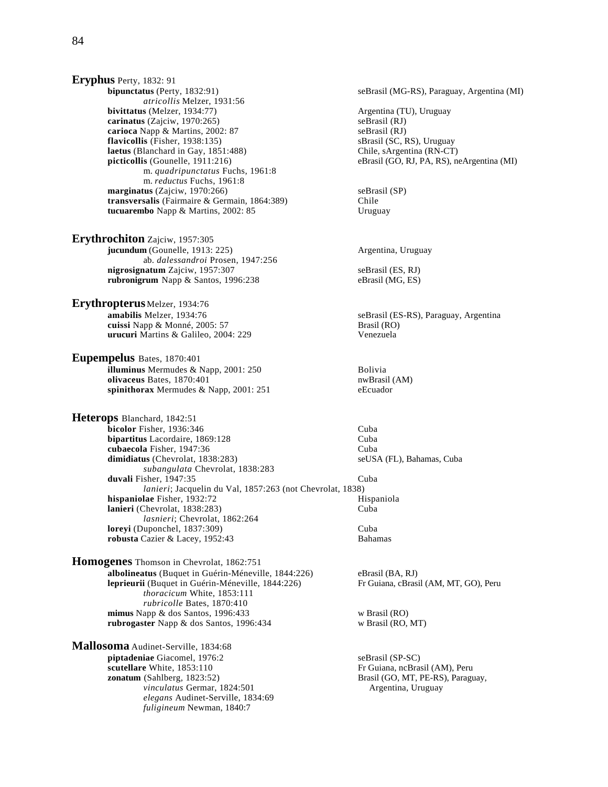**Eryphus** Perty, 1832: 91 **bipunctatus** (Perty, 1832:91) seBrasil (MG-RS), Paraguay, Argentina (MI) *atricollis* Melzer, 1931:56 **bivittatus** (Melzer, 1934:77) Argentina (TU), Uruguay **carinatus** (Zajciw, 1970:265)<br> **carioca** Napp & Martins, 2002: 87<br>
seBrasil (RJ) **carioca** Napp & Martins, 2002: 87<br> **cariocallis** (Fisher, 1938:135) **carriers** seBrasil (SC, RS), Uruguay **flavicollis** (Fisher, 1938:135) **laetus** (Blanchard in Gay, 1851:488) Chile, sArgentina (RN-CT) **picticollis** (Gounelle, 1911:216) eBrasil (GO, RJ, PA, RS), no m. *quadripunctatus* Fuchs, 1961:8 m. *reductus* Fuchs, 1961:8 **marginatus** (Zajciw, 1970:266) seBrasil (SP) **transversalis** (Fairmaire & Germain, 1864:389) Chile **tucuarembo** Napp & Martins, 2002: 85 Uruguay

**Erythrochiton** Zajciw, 1957:305 **jucundum** (Gounelle, 1913: 225) Argentina, Uruguay ab. *dalessandroi* Prosen, 1947:256 **nigrosignatum** Zajciw, 1957:307 seBrasil (ES, RJ) **rubronigrum** Napp & Santos, 1996:238 eBrasil (MG, ES)

**Erythropterus** Melzer, 1934:76 **amabilis** Melzer, 1934:76 seBrasil (ES-RS), Paraguay, Argentina **cuissi** Napp & Monné, 2005: 57 Brasil (RO) **urucuri** Martins & Galileo, 2004: 229 Venezuela

**Eupempelus** Bates, 1870:401 **illuminus** Mermudes & Napp, 2001: 250 Bolivia **olivaceus** Bates, 1870:401 **spinithorax** Mermudes & Napp, 2001: 251 eEcuador

**Heterops** Blanchard, 1842:51 **bicolor** Fisher, 1936:346 Cuba<br> **bipartitus** Lacordaire. 1869:128 Cuba **bipartitus** Lacordaire, 1869:128 **cubaecola** Fisher, 1947:36<br> **dimidiatus** (Chevrolat, 1838:283) SeUSA (FL), Bahamas, Cuba  $dimidiaus$  (Chevrolat,  $1838:283$ ) *subangulata* Chevrolat, 1838:283 **duvali** Fisher, 1947:35 Cuba *lanieri*; Jacquelin du Val, 1857:263 (not Chevrolat, 1838) **hispaniolae** Fisher, 1932:72 **lanieri** (Chevrolat, 1838:283) Cuba *lasnieri*; Chevrolat, 1862:264 **loreyi** (Duponchel, 1837:309) Cuba **robusta** Cazier & Lacey, 1952:43 Bahamas

**Homogenes** Thomson in Chevrolat, 1862:751 **albolineatus** (Buquet in Guérin-Méneville, 1844:226) eBrasil (BA, RJ) **leprieurii** (Buquet in Guérin-Méneville, 1844:226) Fr Guiana, cBrasil (AM, MT, GO), Peru *thoracicum* White, 1853:111 *rubricolle* Bates, 1870:410 **mimus** Napp & dos Santos, 1996:433 w Brasil (RO) **rubrogaster** Napp & dos Santos, 1996:434 w Brasil (RO, MT)

**Mallosoma** Audinet-Serville, 1834:68 **piptadeniae** Giacomel, 1976:2 seBrasil (SP-SC) seBrasil (SP-SC) seBrasil (SP-SC) seBrasil (SP-SC) **scutellare** White, 1853:110 **Fr** Guiana, ncBrasil (AM), Peru **zonatum** (Sahlberg, 1823:52) **Franciscus** Brasil (GO, MT, PE-RS), Paragu vinculatus Germar, 1824:501 Argentina, Uruguay *elegans* Audinet-Serville, 1834:69 *fuligineum* Newman, 1840:7

**eBrasil (GO, RJ, PA, RS), neArgentina (MI)** 

Brasil (GO, MT, PE-RS), Paraguay,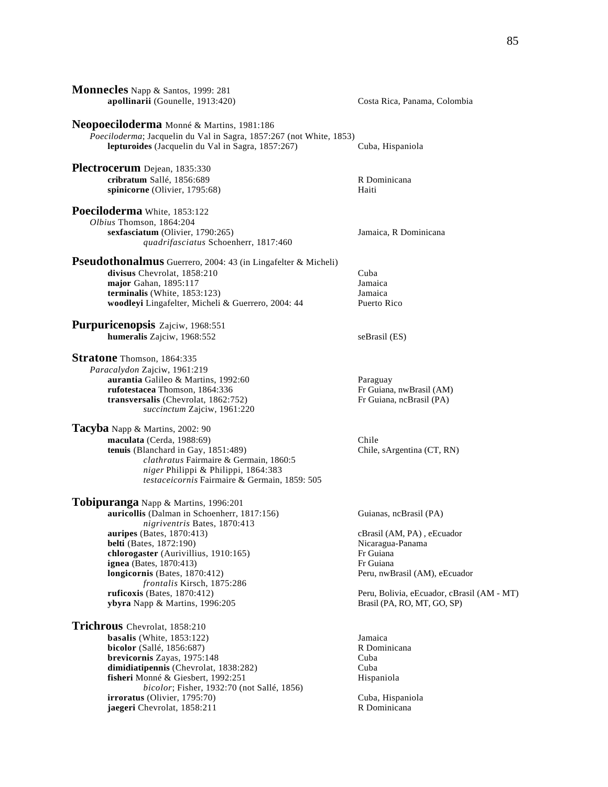| Monnecles Napp & Santos, 1999: 281                                                                                                                                                                                                                                                                                                                                                                                                                 |                                                                                                                                                                                                                  |
|----------------------------------------------------------------------------------------------------------------------------------------------------------------------------------------------------------------------------------------------------------------------------------------------------------------------------------------------------------------------------------------------------------------------------------------------------|------------------------------------------------------------------------------------------------------------------------------------------------------------------------------------------------------------------|
| apollinarii (Gounelle, 1913:420)                                                                                                                                                                                                                                                                                                                                                                                                                   | Costa Rica, Panama, Colombia                                                                                                                                                                                     |
| Neopoeciloderma Monné & Martins, 1981:186<br>Poeciloderma; Jacquelin du Val in Sagra, 1857:267 (not White, 1853)<br>lepturoides (Jacquelin du Val in Sagra, 1857:267)                                                                                                                                                                                                                                                                              | Cuba, Hispaniola                                                                                                                                                                                                 |
| Plectrocerum Dejean, 1835:330<br>cribratum Sallé, 1856:689<br>spinicorne (Olivier, 1795:68)                                                                                                                                                                                                                                                                                                                                                        | R Dominicana<br>Haiti                                                                                                                                                                                            |
| Poeciloderma White, 1853:122<br>Olbius Thomson, 1864:204<br>sexfasciatum (Olivier, 1790:265)<br>quadrifasciatus Schoenherr, 1817:460                                                                                                                                                                                                                                                                                                               | Jamaica, R Dominicana                                                                                                                                                                                            |
| <b>Pseudothonalmus</b> Guerrero, 2004: 43 (in Lingafelter & Micheli)<br>divisus Chevrolat, 1858:210<br>major Gahan, 1895:117<br>terminalis (White, 1853:123)<br>woodleyi Lingafelter, Micheli & Guerrero, 2004: 44                                                                                                                                                                                                                                 | Cuba<br>Jamaica<br>Jamaica<br>Puerto Rico                                                                                                                                                                        |
| <b>Purpuricenopsis</b> Zajciw, 1968:551<br>humeralis Zajciw, 1968:552                                                                                                                                                                                                                                                                                                                                                                              | seBrasil (ES)                                                                                                                                                                                                    |
| Stratone Thomson, 1864:335<br>Paracalydon Zajciw, 1961:219<br>aurantia Galileo & Martins, 1992:60<br>rufotestacea Thomson, 1864:336<br>transversalis (Chevrolat, 1862:752)<br>succinctum Zajciw, 1961:220<br>Tacyba Napp & Martins, 2002: 90<br>maculata (Cerda, 1988:69)<br>tenuis (Blanchard in Gay, 1851:489)<br>clathratus Fairmaire & Germain, 1860:5<br>niger Philippi & Philippi, 1864:383<br>testaceicornis Fairmaire & Germain, 1859: 505 | Paraguay<br>Fr Guiana, nwBrasil (AM)<br>Fr Guiana, ncBrasil (PA)<br>Chile<br>Chile, sArgentina (CT, RN)                                                                                                          |
| Tobipuranga Napp & Martins, 1996:201<br>auricollis (Dalman in Schoenherr, 1817:156)<br>nigriventris Bates, 1870:413<br><b>auripes</b> (Bates, 1870:413)<br>belti (Bates, 1872:190)<br>chlorogaster (Aurivillius, 1910:165)<br><b>ignea</b> (Bates, 1870:413)<br>longicornis (Bates, 1870:412)<br>frontalis Kirsch, 1875:286<br>ruficoxis (Bates, 1870:412)<br>ybyra Napp & Martins, 1996:205                                                       | Guianas, ncBrasil (PA)<br>cBrasil (AM, PA), eEcuador<br>Nicaragua-Panama<br>Fr Guiana<br>Fr Guiana<br>Peru, nwBrasil (AM), eEcuador<br>Peru, Bolivia, eEcuador, cBrasil (AM - MT)<br>Brasil (PA, RO, MT, GO, SP) |
| Trichrous Chevrolat, 1858:210<br>basalis (White, $1853:122$ )<br><b>bicolor</b> (Sallé, 1856:687)<br>brevicornis Zayas, 1975:148<br>dimidiatipennis (Chevrolat, 1838:282)<br>fisheri Monné & Giesbert, 1992:251<br>bicolor; Fisher, 1932:70 (not Sallé, 1856)<br><b>irroratus</b> (Olivier, 1795:70)<br>jaegeri Chevrolat, 1858:211                                                                                                                | Jamaica<br>R Dominicana<br>Cuba<br>Cuba<br>Hispaniola<br>Cuba, Hispaniola<br>R Dominicana                                                                                                                        |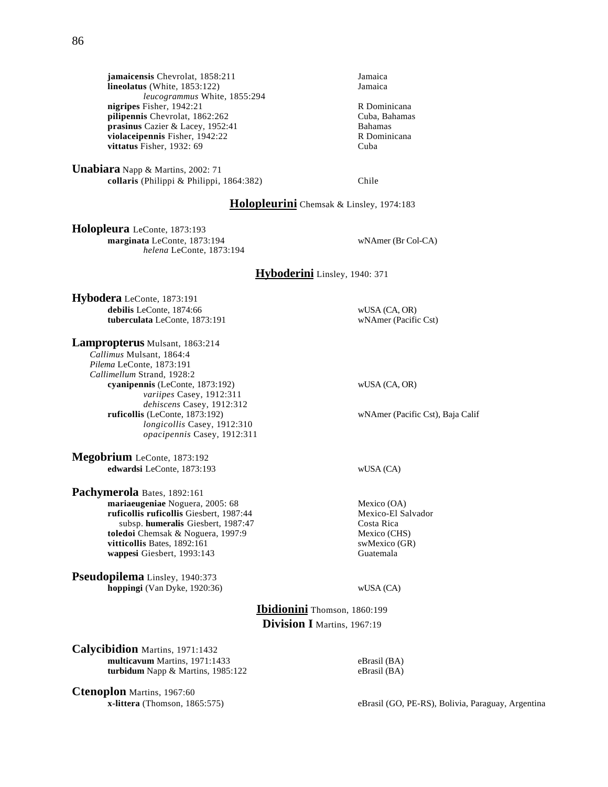**jamaicensis** Chevrolat, 1858:211 Jamaica<br> **lineolatus** (White, 1853:122) Jamaica **lineolatus** (White,  $1853:122$ ) *leucogrammus* White, 1855:294 **nigripes** Fisher, 1942:21 R Dominicana<br> **pilipennis** Chevrolat, 1862:262 Cuba, Bahamas **pilipennis** Chevrolat, 1862:262<br> **prasinus** Cazier & Lacev. 1952:41 Cuba, Bahamas **prasinus** Cazier & Lacey, 1952:41 **violaceipennis** Fisher, 1942:22 R Dominicana **vittatus** Fisher, 1932: 69 Cuba

**Unabiara** Napp & Martins, 2002: 71 **collaris** (Philippi & Philippi, 1864:382) Chile

# **Holopleurini** Chemsak & Linsley, 1974:183

**Holopleura** LeConte, 1873:193 **marginata** LeConte, 1873:194 wNAmer (Br Col-CA) *helena* LeConte, 1873:194

# **Hyboderini** Linsley, 1940: 371

**Hybodera** LeConte, 1873:191 **debilis** LeConte, 1874:66 wUSA (CA, OR) **tuberculata** LeConte, 1873:191 wNAmer (Pacific Cst)

**Lampropterus** Mulsant, 1863:214 *Callimus* Mulsant, 1864:4 *Pilema* LeConte, 1873:191 *Callimellum* Strand, 1928:2 **cyanipennis** (LeConte, 1873:192) wUSA (CA, OR) *variipes* Casey, 1912:311 *dehiscens* Casey, 1912:312<br>**ruficollis** (LeConte, 1873:192) *longicollis* Casey, 1912:310 *opacipennis* Casey, 1912:311

**Megobrium** LeConte, 1873:192 **edwardsi** LeConte, 1873:193 wUSA (CA)

**Pachymerola** Bates, 1892:161 **mariaeugeniae** Noguera, 2005: 68 Mexico (OA) **ruficollis ruficollis** Giesbert, 1987:44 Mexico-El Salvador subsp. **humeralis** Giesbert, 1987:47 Costa Rica<br> **edoi** Chemsak & Noguera, 1997:9 Mexico (CHS) **toledoi** Chemsak & Noguera, 1997:9 Mexico (CHS)<br> **vitticollis** Bates. 1892:161 vitticollis Bates, 1892:161 **wappesi** Giesbert, 1993:143 Guatemala

**Pseudopilema** Linsley, 1940:373 **hoppingi** (Van Dyke, 1920:36) wUSA (CA)

wNAmer (Pacific Cst), Baja Calif

**Ibidionini** Thomson, 1860:199 **Division I** Martins, 1967:19

**Calycibidion** Martins, 1971:1432 **multicavum** Martins, 1971:1433 eBrasil (BA) **turbidum** Napp & Martins, 1985:122 eBrasil (BA)

**Ctenoplon** Martins, 1967:60

**x-littera** (Thomson, 1865:575) eBrasil (GO, PE-RS), Bolivia, Paraguay, Argentina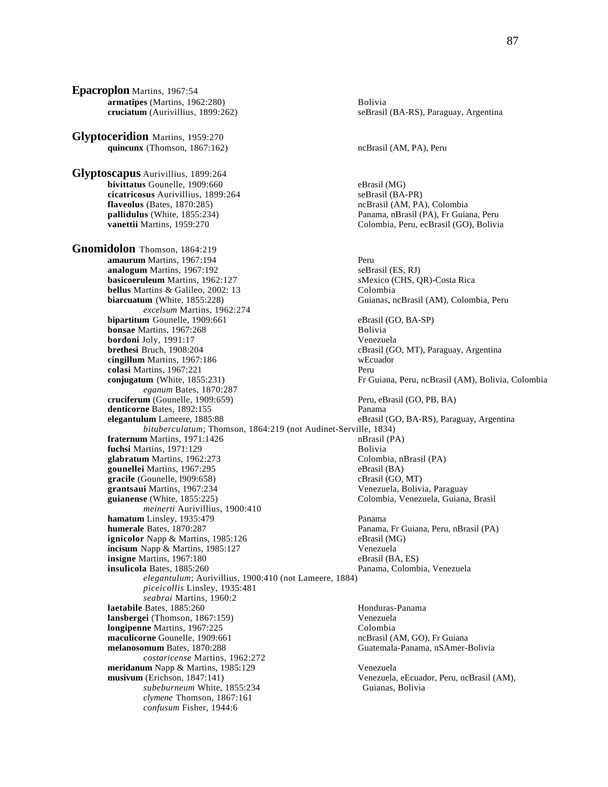**Epacroplon** Martins, 1967:54 **armatipes** (Martins, 1962:280) Bolivia **cruciatum** (Aurivillius, 1899:262) seBrasil (BA-RS), Paraguay, Argentina **Glyptoceridion** Martins, 1959:270 quincunx (Thomson, 1867:162) ncBrasil (AM, PA), Peru **Glyptoscapus** Aurivillius, 1899:264 **bivittatus** Gounelle, 1909:660 eBrasil (MG) **cicatricosus** Aurivillius, 1899:264 seBrasil (BA-PR) **flaveolus** (Bates, 1870:285) https://www.marchive.org/marchive.org/marchive.org/marchive.org/marchive.org/marchive.org/marchive.org/marchive.org/marchive.org/marchive.org/marchive.org/marchive.org/marchive.org/marchive.or **pallidulus** (White, 1855:234) Panama, nBrasil (PA), Fr Guiana, Peru **vanettii** Martins, 1959:270 Colombia, Peru, ecBrasil (GO), Bolivia **Gnomidolon** Thomson, 1864:219 **amaurum** Martins, 1967:194 **analogum** Martins, 1967:192 seBrasil (ES, RJ) **basicoeruleum** Martins, 1962:127 sMexico (CHS, QR)-Costa Rica **bellus** Martins & Galileo, 2002: 13 Colombia **biarcuatum** (White, 1855:228) Guianas, ncBrasil (AM), Colombia, Peru *excelsum* Martins, 1962:274 **bipartitum** Gounelle, 1909:661 eBrasil (GO, BA-SP) **bonsae** Martins, 1967:268 **Bolivia** Bolivia **bordoni** Joly, 1991:17<br> **brethesi** Bruch, 1908:204<br> **cBrasil** (G) **cingillum** Martins, 1967:186 wEcuador **colasi** Martins, 1967:221 Peru **conjugatum** (White, 1855:231) **Fr** Guiana, Peru, ncBrasil (AM), Bolivia, Colombia *eganum* Bates, 1870:287 **cruciferum** (Gounelle, 1909:659) Peru, eBrasil (GO, PB, BA) **denticorne** Bates, 1892:155 Panama **elegantulum** Lameere, 1885:88 eBrasil (GO, BA-RS), Paraguay, Argentina *bituberculatum*; Thomson, 1864:219 (not Audinet-Serville, 1834) **fraternum** Martins, 1971:1426 **fuchsi** Martins, 1971:129 Bolivia glabratum Martins, 1962:273 **gounellei** Martins, 1967:295 eBrasil (BA) **gracile** (Gounelle, 1909:658) cBrasil (GO, MT) cBrasil (GO, MT) cBrasil (GO, MT) **guianense** (White, 1855:225) Colombia, Venezuela, Guiana, Brasil *meinerti* Aurivillius, 1900:410 **hamatum** Linsley, 1935:479 Panama **humerale** Bates, 1870:287<br> **ignicolor** Napp & Martins, 1985:126<br> **eBrasil** (MG)<br> **eBrasil (MG)** ignicolor Napp & Martins, 1985:126 **incisum** Napp & Martins, 1985:127 Venezuela **insigne** Martins, 1967:180 eBrasil (BA, ES) **insulicola** Bates, 1885:260 Panama, Colombia, Venezuela *elegantulum*; Aurivillius, 1900:410 (not Lameere, 1884) *piceicollis* Linsley, 1935:481 *seabrai* Martins, 1960:2 **laetabile** Bates, 1885:260 **Honduras-Panama lansbergei** (Thomson, 1867:159) Venezuela **longipenne** Martins, 1967:225<br> **maculicorne** Gounelle. 1909:661<br> **maculicorne** Gounelle. 1909:661 **maculicorne** Gounelle, 1909:661 **melanosomum** Bates, 1870:288 Guatemala-Panama, nSAmer-Bolivia *costaricense* Martins, 1962:272 **meridanum** Napp & Martins, 1985:129 Venezuela<br> **musivum** (Erichson, 1847:141) Venezuela *subeburneum* White, 1855:234 Guianas, Bolivia *clymene* Thomson, 1867:161 *confusum* Fisher, 1944:6

cBrasil (GO, MT), Paraguay, Argentina Venezuela, Bolivia, Paraguay Venezuela, eEcuador, Peru, ncBrasil (AM),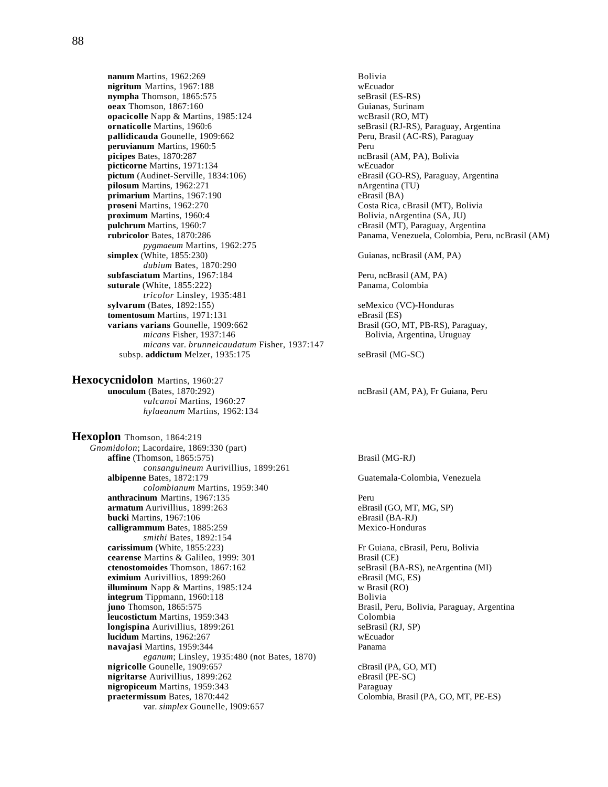**nanum** Martins, 1962:269<br> **nigritum** Martins, 1967:188 **nigritum** Martins, 1967:188 **nympha** Thomson, 1865:575 seBrasil (ES-RS) **oeax** Thomson, 1867:160 Guianas, Surinam<br> **opacicolle** Napp & Martins, 1985:124 WCBrasil (RO, MT) **opacicolle** Napp & Martins, 1985:124<br>**ornaticolle** Martins, 1960:6 **pallidicauda** Gounelle, 1909:662 Peru, Brasil (AC-RS), Paraguay **peruvianum** Martins, 1960:5 Peru **picipes** Bates, 1870:287 ncBrasil (AM, PA), Bolivia **picticorne** Martins, 1971:134 webcuador<br> **pictum** (Audinet-Serville, 1834:106) eBrasil (G **pilosum** Martins, 1962:271 nArgentina (TU) **primarium** Martins, 1967:190 eBrasil (BA)<br> **proseni** Martins, 1962:270 **eBrasil Costa Rica**, c **proximum** Martins, 1960:4 Bolivia, nArgentina (SA, JU) **pulchrum** Martins, 1960:7 cBrasil (MT), Paraguay, Argentina **rubricolor** Bates, 1870:286 Panama, Venezuela, Colombia, Peru, ncBrasil (AM) *pygmaeum* Martins, 1962:275 **simplex** (White, 1855:230) Guianas, ncBrasil (AM, PA) *dubium* Bates, 1870:290 **subfasciatum** Martins, 1967:184 Peru, ncBrasil (AM, PA) **suturale** (White, 1855:222) Panama, Colombia *tricolor* Linsley, 1935:481 **sylvarum** (Bates, 1892:155) seMexico (VC)-Honduras **tomentosum** Martins, 1971:131 eBrasil (ES) **varians varians Gounelle, 1909:662** Brasil (GO, MT, PB-RS), Paraguay, micans Fisher, 1937:146 Bolivia, Argentina, Uruguay *micans* var. *brunneicaudatum* Fisher, 1937:147 subsp. **addictum** Melzer, 1935:175 seBrasil (MG-SC)

**Hexocycnidolon** Martins, 1960:27<br>unoculum (Bates, 1870:292) *vulcanoi* Martins, 1960:27 *hylaeanum* Martins, 1962:134

**Hexoplon** Thomson, 1864:219 *Gnomidolon*; Lacordaire, 1869:330 (part) **affine** (Thomson, 1865:575) Brasil (MG-RJ) *consanguineum* Aurivillius, 1899:261 **albipenne** Bates, 1872:179 Guatemala-Colombia, Venezuela *colombianum* Martins, 1959:340 **anthracinum** Martins, 1967:135<br> **armatum** Aurivillius, 1899:263<br> **armatum** Aurivillius, 1899:263 armatum Aurivillius, 1899:263 **bucki** Martins, 1967:106<br> **calligrammum** Bates. 1885:259<br> **bucki (BA-RJ)**<br> **bucki (BA-RJ)**<br> **eBrasil (BA-RJ)** calligrammum Bates, 1885:259 *smithi* Bates, 1892:154 **carissimum** (White, 1855:223) Fr Guiana, cBrasil, Peru, Bolivia **cearense** Martins & Galileo, 1999: 301 **Brasil (CE)**<br> **ctenostomoides** Thomson, 1867:162 **by Sepassil (B) eximium** Aurivillius, 1899:260 eBrasil (MG, ES) **illuminum** Napp & Martins, 1985:124 w Brasil (RO) **integrum** Tippmann, 1960:118 Bolivia **juno** Thomson, 1865:575 Brasil, Peru, Bolivia, Paraguay, Argentina **leucostictum Martins, 1959:343 longispina** Aurivillius, 1899:261 seBrasil (RJ, SP) **lucidum** Martins, 1962:267 wEcuador **navajasi** Martins, 1959:344 Panama *eganum*; Linsley, 1935:480 (not Bates, 1870) **nigricolle** Gounelle, 1909:657 cBrasil (PA, GO, MT)<br> **nigritarse** Aurivillius, 1899:262 eBrasil (PE-SC) **nigritarse** Aurivillius, 1899:262 **nigropiceum** Martins, 1959:343 Paraguay **praetermissum** Bates, 1870:442 Colombia, Brasil (PA, GO, MT, PE-ES) var. *simplex* Gounelle, l909:657

seBrasil (RJ-RS), Paraguay, Argentina eBrasil (GO-RS), Paraguay, Argentina **Costa Rica, cBrasil (MT), Bolivia** 

Bolivia, Argentina, Uruguay

ncBrasil (AM, PA), Fr Guiana, Peru

seBrasil (BA-RS), neArgentina (MI)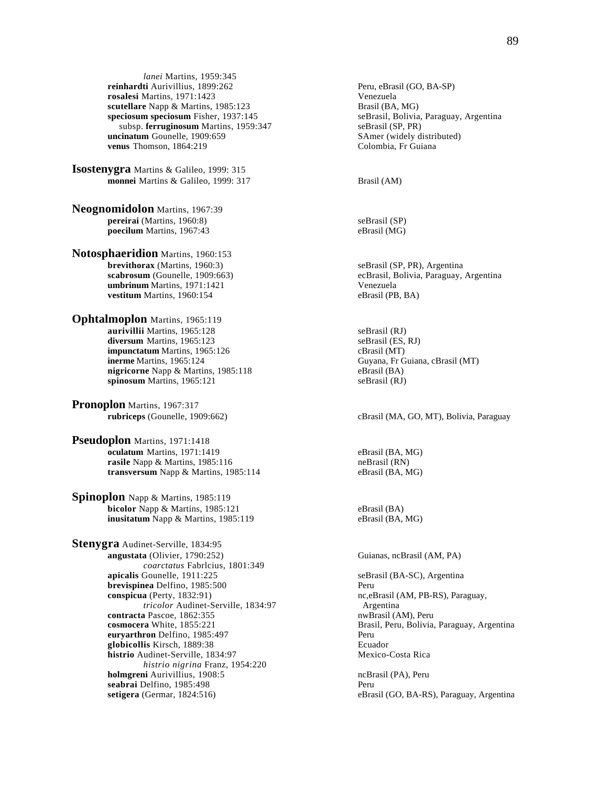*lanei* Martins, 1959:345 **reinhardti** Aurivillius, 1899:262 Peru, eBrasil (GO, BA-SP) **rosalesi** Martins, 1971:1423 <br> **rosalesi Martins, 1985:123** <br> **rosalesi III Venezuela**<br> **Property Property Contains and Separate Brasil (BA, MG) scutellare** Napp & Martins, 1985:123<br> **speciosum speciosum** Fisher, 1937:145<br> **seBrasil, Bolivia, Paraguay, Argentina speciosum speciosum** Fisher, 1937:145 seBrasil, Bolivia, subsp. **ferruginosum** Martins, 1959:347 seBrasil (SP, PR) subsp. ferruginosum Martins, 1959:347 **uncinatum** Gounelle, 1909:659 SAmer (widely distributed)<br> **venus** Thomson, 1864:219 Colombia, Fr Guiana venus Thomson, 1864:219

**Isostenygra** Martins & Galileo, 1999: 315 **monnei** Martins & Galileo, 1999: 317 Brasil (AM)

**Neognomidolon** Martins, 1967:39 **pereirai** (Martins, 1960:8) seBrasil (SP) **poecilum** Martins, 1967:43 eBrasil (MG)

**Notosphaeridion** Martins, 1960:153 **brevithorax** (Martins, 1960:3) seBrasil (SP, PR), Argentina **umbrinum** Martins, 1971:1421 Venezuela<br> **vestitum** Martins, 1960:154 (PB, BA) vestitum Martins, 1960:154

**Ophtalmoplon** Martins, 1965:119 **aurivillii** Martins, 1965:128 seBrasil (RJ) diversum Martins, 1965:123 seBrasil (ES, RJ) **impunctatum** Martins, 1965:126 cBrasil (MT)<br> **inerme** Martins, 1965:124 Guyana, Fr C **nigricorne** Napp & Martins, 1985:118 **spinosum** Martins, 1965:121 seBrasil (RJ)

**Pronoplon** Martins, 1967:317

**Pseudoplon** Martins, 1971:1418 **oculatum** Martins, 1971:1419 eBrasil (BA, MG) **rasile** Napp & Martins, 1985:116 neBrasil (RN) **transversum** Napp & Martins, 1985:114 eBrasil (BA, MG)

**Spinoplon** Napp & Martins, 1985:119 **bicolor** Napp & Martins, 1985:121 eBrasil (BA)<br> **inusitatum** Napp & Martins, 1985:119 eBrasil (BA, MG) inusitatum Napp & Martins, 1985:119

**Stenygra** Audinet-Serville, 1834:95 **angustata** (Olivier, 1790:252) Guianas, ncBrasil (AM, PA) *coarctatus* Fabrlcius, 1801:349<br>apicalis Gounelle, 1911:225 **brevispinea** Delfino, 1985:500 Peru **conspicua** (Perty, 1832:91) nc,eBrasil (AM, PB-RS), Paraguay, *tricolor* Audinet-Serville, 1834:97 **Argentina**<br> **a Pascoe, 1862:355 Argentina**<br> **a Pascoe, 1862:355 Argentina contracta** Pascoe, 1862:355 **cosmocera** White, 1855:221 Brasil, Peru, Bolivia, Paraguay, Argentina **euryarthron** Delfino, 1985:497 Peru **globicollis** Kirsch, 1889:38 Ecuador histrio Audinet-Serville, 1834:97 Mexico-Costa Rica *histrio nigrina* Franz, 1954:220 **holmgreni** Aurivillius, 1908:5 ncBrasil (PA), Peru **seabrai** Delfino, 1985:498 Peru **setigera** (Germar, 1824:516) eBrasil (GO, BA-RS), Paraguay, Argentina

**scabrosum** (Gounelle, 1909:663) ecBrasil, Bolivia, Paraguay, Argentina

Guyana, Fr Guiana, cBrasil (MT)<br>eBrasil (BA)

**rubriceps** (Gounelle, 1909:662) cBrasil (MA, GO, MT), Bolivia, Paraguay

seBrasil (BA-SC), Argentina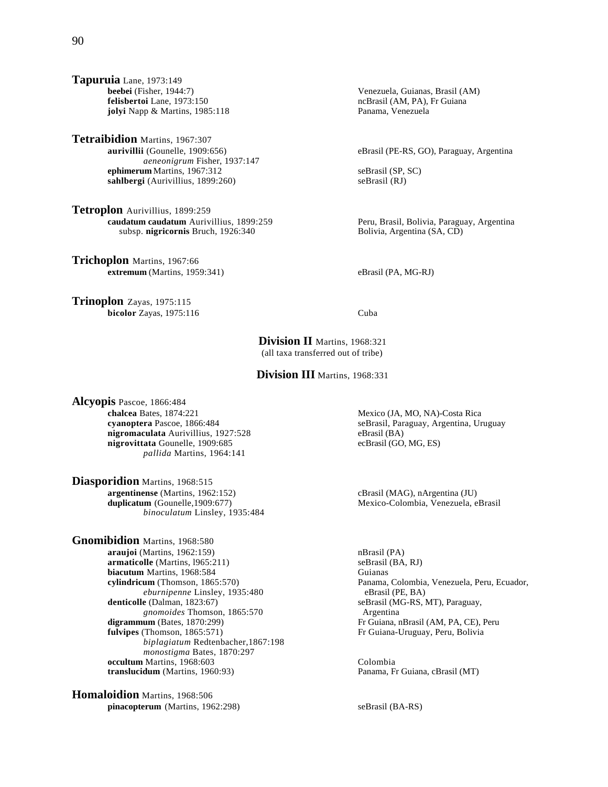**Tetraibidion** Martins, 1967:307 **aurivillii** (Gounelle, 1909:656) eBrasil (PE-RS, GO), Paraguay, Argentina *aeneonigrum* Fisher, 1937:147 **ephimerum** Martins, 1967:312 seBrasil (SP, SC) sahlbergi (Aurivillius, 1899:260) seBrasil (RJ)

**Tetroplon** Aurivillius, 1899:259<br>
caudatum caudatum Aurivillius, 1899:259 subsp. **nigricornis** Bruch, 1926:340 Bolivia, Argentina (SA, CD)

**Trichoplon** Martins, 1967:66 **extremum** (Martins, 1959:341) eBrasil (PA, MG-RJ)

**Trinoplon** Zayas, 1975:115 **bicolor** Zayas, 1975:116 Cuba

ncBrasil (AM, PA), Fr Guiana<br>Panama, Venezuela

Peru, Brasil, Bolivia, Paraguay, Argentina

**Division II** Martins, 1968:321 (all taxa transferred out of tribe)

**Division III** Martins, 1968:331

**Alcyopis** Pascoe, 1866:484 **chalcea** Bates, 1874:221 Mexico (JA, MO, NA)-Costa Rica<br> **cyanoptera** Pascoe, 1866:484 SeBrasil, Paraguay, Argentina, Ur **nigromaculata** Aurivillius, 1927:528 eBrasil (BA) **nigrovittata** Gounelle, 1909:685 ecBrasil (GO, MG, ES) *pallida* Martins, 1964:141

**Diasporidion** Martins, 1968:515 **argentinense** (Martins, 1962:152) cBrasil (MAG), nArgentina (JU) **duplicatum** (Gounelle, 1909:677) Mexico-Colombia, Venezuela, eBrasil *binoculatum* Linsley, 1935:484

**Gnomibidion** Martins, 1968:580 **araujoi** (Martins, 1962:159) nBrasil (PA) **armaticolle** (Martins, 1965:211) <br> **biacutum** Martins, 1968:584 <br> **compared Contains** Guianas **biacutum** Martins, 1968:584 **cylindricum** (Thomson, 1865:570) Panama, Colombia, Venezuela, Peru, Ecuador, *eburnipenne* Linsley, 1935:480 eBrasil (PE, BA) **denticolle** (Dalman, 1823:67) seBrasil (MG-RS, 1 *gnomoides* Thomson, 1865:570<br>digrammum (Bates, 1870:299) **fulvipes** (Thomson, 1865:571) **Fr** Guiana-Uruguay, Peru, Bolivia *biplagiatum* Redtenbacher,1867:198 *monostigma* Bates, 1870:297 **occultum** Martins, 1968:603<br> **colombia**<br> **colombia**<br> **colombia**<br> **colombia**<br> **colombia**<br> **colombia**<br> **colombia**<br> **colombia**<br> **colombia**<br> **colombia translucidum** (Martins, 1960:93)

**Homaloidion** Martins, 1968:506 **pinacopterum** (Martins, 1962:298) seBrasil (BA-RS)

seBrasil, Paraguay, Argentina, Uruguay

 $\alpha$  (MG-RS, MT), Paraguay, Argentina Fr Guiana, nBrasil (AM, PA, CE), Peru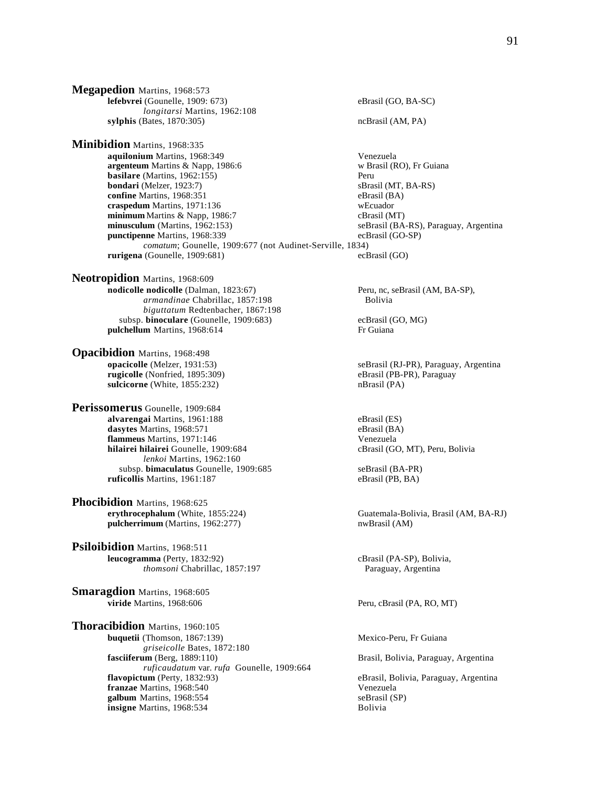**Megapedion** Martins, 1968:573 **lefebvrei** (Gounelle, 1909: 673) eBrasil (GO, BA-SC) *longitarsi* Martins, 1962:108 **sylphis** (Bates, 1870:305) ncBrasil (AM, PA)

**Minibidion** Martins, 1968:335 **aquilonium** Martins, 1968:349 Venezuela **argenteum** Martins & Napp, 1986:6 w Brasil (RO), Fr Guiana **basilare** (Martins, 1962:155)<br> **bondari** (Melzer, 1923:7) SBrasil (MT, BA-RS) **bondari** (Melzer, 1923:7) **confine** Martins, 1968:351 eBrasil (BA)<br> **crasnedum** Martins. 1971:136 eBrasil webcuador **craspedum** Martins, 1971:136<br> **comminimum** Martins & Napp. 1986:7<br>
comminimum Martins & Napp. 1986:7 **minimum** Martins & Napp, 1986:7 **minusculum** (Martins, 1962:153) seBrasil (BA-RS), Paraguay, Argentina **punctipenne** Martins, 1968:339 ecBrasil (GO-SP) *comatum*; Gounelle, 1909:677 (not Audinet-Serville, 1834) **rurigena** (Gounelle, 1909:681) ecBrasil (GO)

**Neotropidion** Martins, 1968:609 **nodicolle nodicolle** (Dalman, 1823:67) Peru, nc, seBrasil (AM, BA-SP), *armandinae* Chabrillac, 1857:198 Bolivia *biguttatum* Redtenbacher, 1867:198 subsp. **binoculare** (Gounelle, 1909:683) ecBrasil (GO, MG) **pulchellum** Martins, 1968:614 Fr Guiana

**Opacibidion** Martins, 1968:498 **sulcicorne** (White, 1855:232) nBrasil (PA)

**Perissomerus** Gounelle, 1909:684 **alvarengai** Martins, 1961:188 eBrasil (ES) dasytes Martins, 1968:571 eBrasil (BA) **flammeus** Martins, 1971:146 **hilairei hilairei** Gounelle, 1909:684 cBrasil (GO, MT), Peru, Bolivia *lenkoi* Martins, 1962:160 subsp. **bimaculatus** Gounelle, 1909:685 seBrasil (BA-PR) **ruficollis** Martins, 1961:187 eBrasil (PB, BA)

**Phocibidion** Martins, 1968:625<br>erythrocephalum (White, 1855:224) pulcherrimum (Martins, 1962:277) nwBrasil (AM)

**Psiloibidion** Martins, 1968:511 **leucogramma** (Perty, 1832:92) cBrasil (PA-SP), Bolivia, *thomsoni* Chabrillac, 1857:197 Paraguay, Argentina

**Smaragdion Martins, 1968:605**<br>**viride Martins, 1968:606** 

**Thoracibidion** Martins, 1960:105 **buquetii** (Thomson, 1867:139) Mexico-Peru, Fr Guiana *griseicolle* Bates, 1872:180 **fasciiferum** (Berg, 1889:110) Brasil, Bolivia, Paraguay, Argentina *ruficaudatum* var. *rufa* Gounelle, 1909:664 flavopictum (Perty, 1832:93) **franzae** Martins, 1968:540 Venezuela **galbum** Martins, 1968:554 seBrasil (SP) **insigne** Martins, 1968:534 Bolivia

**opacicolle** (Melzer, 1931:53) seBrasil (RJ-PR), Paraguay, Argentina **rugicolle** (Nonfried, 1895:309) eBrasil (PB-PR), Paraguay Guatemala-Bolivia, Brasil (AM, BA-RJ) Peru, cBrasil (PA, RO, MT) eBrasil, Bolivia, Paraguay, Argentina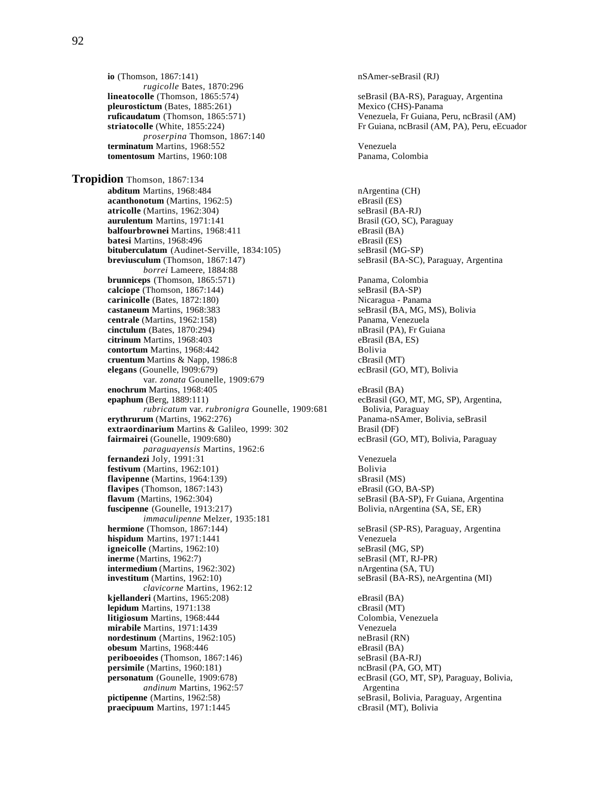**io** (Thomson, 1867:141) nSAmer-seBrasil (RJ) *rugicolle* Bates, 1870:296 **lineatocolle** (Thomson, 1865:574) seBrasil (BA-RS), Paraguay, Argentina **pleurostictum** (Bates, 1885:261)<br> **pleurostictum** (Thomson, 1865:571) Mexico (CHS)-Panama<br>
Venezuela, Fr Guiana, F *proserpina* Thomson, 1867:140 **terminatum** Martins, 1968:552 Venezuela **tomentosum** Martins, 1960:108 **Panama, Colombia** 

**Tropidion** Thomson, 1867:134 **abditum** Martins, 1968:484 nArgentina (CH) **acanthonotum** (Martins, 1962:5) eBrasil (ES) **atricolle** (Martins, 1962:304)<br> **aurulentum** Martins, 1971:141 Strassl (GO, SC), Paraguay **aurulentum** Martins, 1971:141 **balfourbrownei** Martins, 1968:411 eBrasil (BA) **batesi** Martins, 1968:496<br> **bituberculatum** (Audinet-Serville, 1834:105) eBrasil (MG-SP) **bituberculatum** (Audinet-Serville, 1834:105) **breviusculum** (Thomson, 1867:147) seBrasil (BA-SC), Paraguay, Argentina *borrei* Lameere, 1884:88 **brunniceps** (Thomson, 1865:571) Panama, Colombia **calciope** (Thomson, 1867:144) <br> **carinicolle** (Bates, 1872:180) **SeBrasil (BA-SP)** <br>
Nicaragua - Panama **carinicolle** (Bates, 1872:180)<br> **castaneum** Martins, 1968:383<br> **castaneum** Martins, 1968:383<br> **castaneum** Martins, 1968:383 castaneum Martins, 1968:383 **centrale** (Martins, 1962:158) Panama, Venezuela **cinctulum** (Bates, 1870:294) **nBrasil (PA), Fr Guiana**<br> **citrinum** Martins, 1968:403 **nBrasil (BA, ES) nBrasil (BA, ES) citrinum** Martins, 1968:403<br> **contortum** Martins, 1968:442<br>
Bolivia **contortum** Martins, 1968:442 **cruentum** Martins & Napp, 1986:8 cBrasil (MT) **elegans** (Gounelle, l909:679) ecBrasil (GO, MT), Bolivia var. *zonata* Gounelle, 1909:679 **enochrum** Martins, 1968:405<br> **enochrum** (Berg, 1889:111) ecBrasil (GO *rubricatum* var. *rubronigra* Gounelle, 1909:681 **erythrurum** (Martins, 1962:276) Panama-nSAmer, Bolivia, seBrasil **extraordinarium** Martins & Galileo, 1999: 302 Brasil (DF)<br> **fairmairei** (Gounelle, 1909:680) ecBrasil (G *paraguayensis* Martins, 1962:6 **fernandezi** Joly, 1991:31 Venezuela **festivum** (Martins, 1962:101) Bolivia **flavipenne** (Martins, 1964:139) <br>**flavipes** (Thomson, 1867:143) **compared as a compare of the series of the series of the series of the series of the series of the series of the series of the series of the series of the s flavipes** (Thomson, 1867:143)<br>**flavum** (Martins, 1962:304) **fuscipenne** (Gounelle, 1913:217) Bolivia, nArgentina (SA, SE, ER) *immaculipenne* Melzer, 1935:181 **hermione** (Thomson, 1867:144) seBrasil (SP-RS), Paraguay, Argentina **hispidum** Martins, 1971:1441<br> **igneicolle** (Martins, 1962:10) **and Solution Contract Contract Contract Contract Contract Contract Venezuela igneicolle** (Martins,  $1962:10$ ) **inerme** (Martins, 1962:7) seBrasil (MT, RJ-PR) **intermedium** (Martins, 1962:302) **nargentina (SA, TU) investitum** (Martins, 1962:10) **nargentina (SA, TU)** seBrasil (BA-RS), ne *clavicorne* Martins, 1962:12 **kjellanderi** (Martins, 1965:208) eBrasil (BA) **lepidum** Martins, 1971:138<br> **litigiosum** Martins, 1968:444<br> **colombia, Venezuela litigiosum** Martins, 1968:444 **mirabile** Martins, 1971:1439<br> **nordestinum** (Martins, 1962:105) **Shape Contains** (RN)  $n$ ordestinum *(Martins, 1962:105)* **obesum** Martins, 1968:446 eBrasil (BA) **periboeoides** (Thomson, 1867:146) seBrasil (BA-RJ)<br> **persimile** (Martins, 1960:181) contractions of the mediators of the mediators of the mediators of the mediators of the mediators of the mediators of the mediators of th **persimile** (Martins, 1960:181)<br>**personatum** (Gounelle, 1909:678) *andinum Martins, 1962:57* Argentina **pictipenne** (Martins, 1962:58) seBrasil, Bolivia, Paraguay, Argentina **praecipuum** Martins, 1971:1445 cBrasil (MT), Bolivia

**ruficaudatum** (Thomson, 1865:571) Venezuela, Fr Guiana, Peru, ncBrasil (AM) <br> **Fr** Guiana, ncBrasil (AM, PA), Peru, eEcuad Fr Guiana, ncBrasil (AM, PA), Peru, eEcuador ecBrasil (GO, MT, MG, SP), Argentina, Bolivia, Paraguay  $ecBrasil (GO, MT)$ , Bolivia, Paraguay seBrasil (BA-SP), Fr Guiana, Argentina  $seBrasil (BA-RS)$ , neArgentina (MI) ecBrasil (GO, MT, SP), Paraguay, Bolivia,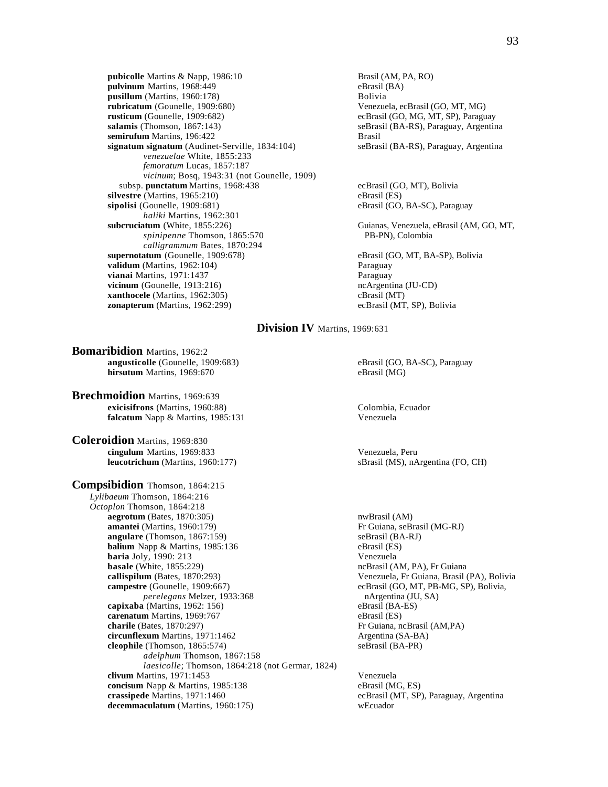**pubicolle** Martins & Napp, 1986:10 Brasil (AM, PA, RO)<br> **pulvinum** Martins, 1968:449 Brasil (BA) pulvinum Martins, 1968:449 **pusillum** (Martins, 1960:178) Bolivia **rubricatum** (Gounelle, 1909:680)<br> **rusticum** (Gounelle, 1909:682) Conservation Counelle, 1909:682) **rusticum** (Gounelle, 1909:682)<br> **rusticum** (Gounelle, 1909:682)<br> **rusticum** is experimented by each experiment of the security of the security security security security security security security security security securi **semirufum** Martins, 196:422<br> **signatum signatum** (Audinet-Serville, 1834:104) **Brasil** (BA-RS), Paraguay, Argentina signatum signatum (Audinet-Serville, 1834:104) *venezuelae* White, 1855:233 *femoratum* Lucas, 1857:187 *vicinum*; Bosq, 1943:31 (not Gounelle, 1909) subsp. **punctatum** Martins, 1968:438 ecBrasil (GO, MT), Bolivia **silvestre** (Martins, 1965:210) eBrasil (ES) eBrasil (ES) eBrasil (GO, sipolisi (GO, sipolisi (GO, single and the single and the single and the single and the single and the single and the single and the single and the sin *haliki* Martins, 1962:301 **subcruciatum** (White, 1855:226) Guianas, Venezuela, eBrasil (AM, GO, MT, *spinipenne* Thomson, 1865:570 PB-PN), Colombia *calligrammum* Bates, 1870:294 **supernotatum** (Gounelle, 1909:678) eBrasil (GO, MT, BA-SP), Bolivia **validum** (Martins, 1962:104) Paraguay **vianai** Martins, 1971:1437 Paraguay **vicinum** (Gounelle, 1913:216) ncArgentina (JU-CD) ncArgentina (JU-CD) ncArgentina (JU-CD) **xanthocele** (Martins, 1962:305)<br> **xonapterum** (Martins, 1962:299) cBrasil (MT, SP), Bolivia  $zonapterum$  (Martins,  $1962:299$ )

seBrasil (BA-RS), Paraguay, Argentina

eBrasil (GO, BA-SC), Paraguay

# **Division IV** Martins, 1969:631

**Bomaribidion** Martins, 1962:2 **angusticolle** (Gounelle, 1909:683) eBrasil (GO, BA-SC), Paraguay<br> **hirsutum** Martins, 1969:670 eBrasil (MG) **hirsutum** Martins, 1969:670

**Brechmoidion** Martins, 1969:639 **exicisifrons** (Martins, 1960:88) Colombia, Ecuador **falcatum** Napp & Martins, 1985:131 Venezuela

**Coleroidion** Martins, 1969:830 **cingulum** Martins, 1969:833 Venezuela, Peru

**Compsibidion** Thomson, 1864:215 *Lylibaeum* Thomson, 1864:216 *Octoplon* Thomson, 1864:218 **aegrotum** (Bates, 1870:305) nwBrasil (AM) **amantei** (Martins, 1960:179) Fr Guiana, seBrasil (MG-RJ)<br> **angulare** (Thomson, 1867:159) SeBrasil (BA-RJ) **angulare** (Thomson, 1867:159)<br> **balium** Napp & Martins, 1985:136 **balium** Napp & Martins, 1985:136 **balium** Napp & Martins, 1985:136 **baria** Joly, 1990: 213 Venezuela **basale** (White, 1855:229) **hasale** (White, 1855:229) **hasale** (White, 1855:229) **callispilum** (Bates, 1870:293) Venezuela, Fr Guiana, Brasil (PA), Bolivia **campestre** (Gounelle, 1909:667) ecBrasil (GO, MT, PB-MG, SP), Bolivia, *perelegans* Melzer, 1933:368 nArgentina (JU, SA) *perelegans* Melzer, 1933:368 **nArgentina (JU, SA)** nArgentina (JU, SA) **n** a CMartins, 1962: 156)  $\boldsymbol{\text{capixaba}}$  (Martins, 1962: 156) **carenatum** Martins, 1969:767 eBrasil (ES) **charile** (Bates, 1870:297) Fr Guiana, ncBrasil (AM,PA) **circunflexum** Martins, 1971:1462 Argentina (SA-BA) **cleophile** (Thomson, 1865:574) seBrasil (BA-PR) *adelphum* Thomson, 1867:158 *laesicolle*; Thomson, 1864:218 (not Germar, 1824) **clivum** Martins, 1971:1453<br> **concisum** Napp & Martins, 1985:138<br>
eBrasil (MG, ES) **concisum** Napp & Martins, 1985:138<br>**crassipede** Martins, 1971:1460 **decemmaculatum** (Martins, 1960:175) wEcuador

**leucotrichum** (Martins, 1960:177) sBrasil (MS), nArgentina (FO, CH)

ecBrasil (MT, SP), Paraguay, Argentina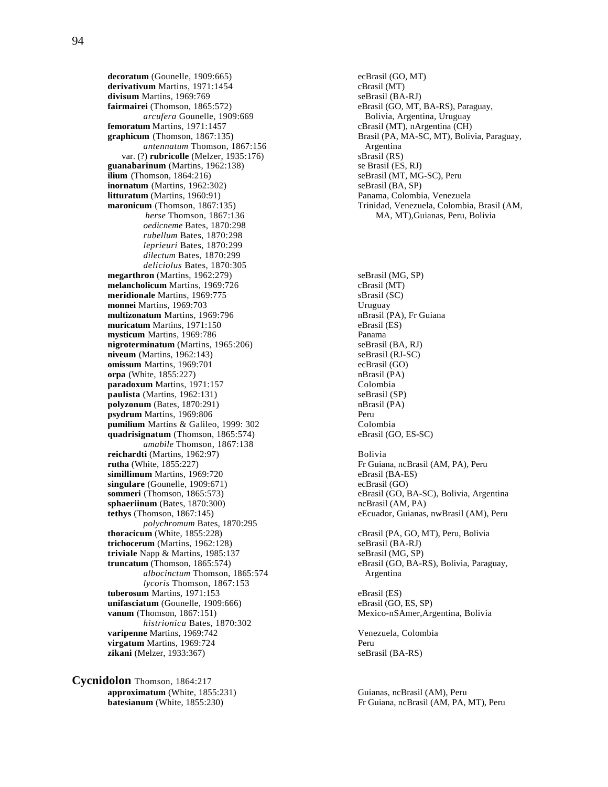**decoratum** (Gounelle, 1909:665) ecBrasil (GO, MT) ecBrasil (GO, MT) ecBrasil (GO, MT) derivativum Martins, 1971:1454 **divisum** Martins, 1969:769 seBrasil (BA-RJ) **fairmairei** (Thomson, 1865:572) eBrasil (GO, MT, BA-RS), Paraguay, *arcufera* Gounelle, 1909:669 eBrasil (GO, MT, BA-RS), Paraguay, *arcufera* Gounelle, 1909:669<br>**femoratum** Martins, 1971:1457 *antennatum* Thomson, 1867:156 Argentina var. (?) **rubricolle** (Melzer, 1935:176) sBrasil (RS) **guanabarinum** (Martins, 1962:138) se Brasil (ES, RJ)<br> **ilium** (Thomson, 1864:216) seBrasil (MT, MG-SC), Peru **ilium** (Thomson,  $1864:216$ ) **inornatum** (Martins, 1962:302) seBrasil (BA, SP) **litturatum** (Martins, 1960:91) **Panama, Colombia, Venezuela**<br> **maronicum** (Thomson, 1867:135) **Panama, Colombia, Venezuela, Colombia**  *oedicneme* Bates, 1870:298 *rubellum* Bates, 1870:298 *leprieuri* Bates, 1870:299 *dilectum* Bates, 1870:299 *deliciolus* Bates, 1870:305 **megarthron** (Martins, 1962:279) seBrasil (MG, SP) **melancholicum** Martins, 1969:726 cBrasil (MT) **meridionale** Martins, 1969:775 SBrasil (SC)<br> **monnei** Martins, 1969:703 Uruguay **monnei Martins, 1969:703 multizonatum** Martins, 1969:796 **nBrasil (PA), Fr Guiana muricatum** Martins, 1971:150 eBrasil (ES) **mysticum** Martins, 1969:786<br> **nigroterminatum** (Martins, 1965:206) **Panama**<br>
seBrasil (BA, RJ) **nigroterminatum** (Martins, 1965:206) seBrasil (BA, RJ)<br> **niveum** (Martins, 1962:143) seBrasil (RJ-SC)  $nivuum$  (Martins, 1962:143) **omissum** Martins, 1969:701 ecBrasil (GO) **orpa** (White, 1855:227) nBrasil (PA) **paradoxum** Martins, 1971:157<br> **paulista** (Martins, 1962:131) SeBrasil (SP)  $paulista (Martins, 1962:131)$ **polyzonum** (Bates, 1870:291) nBrasil (PA) **psydrum** Martins, 1969:806 Peru **pumilium** Martins & Galileo, 1999: 302 Colombia **quadrisignatum** (Thomson, 1865:574) eBrasil (GO, ES-SC) *amabile* Thomson, 1867:138 **reichardti** (Martins, 1962:97) Bolivia **rutha** (White, 1855:227) **Fr** Guiana, ncBrasil (AM, PA), Peru **simillimum** Martins, 1969:720 eBrasil (BA-ES) **singulare** (Gounelle, 1909:671) ecBrasil (GO) **sommeri** (Thomson, 1865:573)<br> **sphaeriinum** (Bates, 1870:300)<br> **sphaeriinum** (Bates, 1870:300)<br> **sphaeriinum** (Bates, 1870:300)  $spha$ **eriinum** (Bates, 1870:300) **tethys** (Thomson, 1867:145) eEcuador, Guianas, nwBrasil (AM), Peru *polychromum* Bates, 1870:295<br>thoracicum (White, 1855:228) **trichocerum** (Martins, 1962:128) seBrasil (BA-RJ) **triviale** Napp & Martins, 1985:137 seBrasil (MG, SP) **truncatum** (Thomson, 1865:574) eBrasil (GO, BA-RS), Bolivia, Paraguay, *albocinctum* Thomson, 1865:574 Argentina *lycoris* Thomson, 1867:153 **tuberosum** Martins, 1971:153 eBrasil (ES) **unifasciatum** (Gounelle, 1909:666) eBrasil (GO, ES, SP) **vanum** (Thomson, 1867:151) Mexico-nSAmer,Argentina, Bolivia *histrionica* Bates, 1870:302 **varipenne** Martins, 1969:742 Venezuela, Colombia **virgatum** Martins, 1969:724 Peru **zikani** (Melzer, 1933:367) seBrasil (BA-RS)

**Cycnidolon** Thomson, 1864:217 **approximatum** (White, 1855:231) Guianas, ncBrasil (AM), Peru

 $cBrasil (MT)$ , nArgentina (CH) **graphicum** (Thomson, 1867:135) Brasil (PA, MA-SC, MT), Bolivia, Paraguay, Trinidad, Venezuela, Colombia, Brasil (AM, *herse* Thomson, 1867:136 MA, MT),Guianas, Peru, Bolivia

cBrasil (PA, GO, MT), Peru, Bolivia

**batesianum** (White, 1855:230) Fr Guiana, ncBrasil (AM, PA, MT), Peru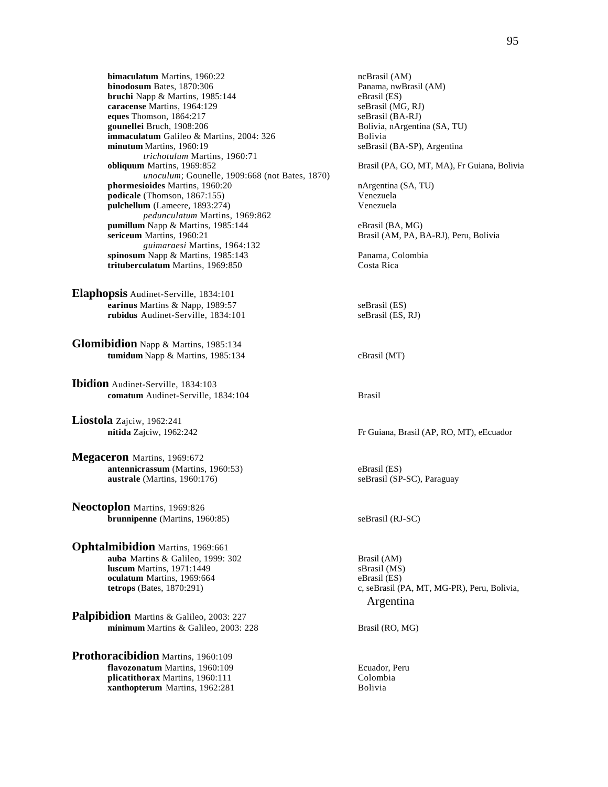**bimaculatum** Martins, 1960:22 ncBrasil (AM)<br> **binodosum** Bates, 1870:306 ncBrasil (AM) Panama, nwBrasil (AM) **binodosum** Bates, 1870:306 **bruchi** Napp & Martins, 1985:144 eBrasil (ES) **caracense** Martins, 1964:129 seBrasil (MG, RJ)<br> **eques** Thomson, 1864:217 seBrasil (BA-RJ) **eques Thomson, 1864:217**<br>**gounellei** Bruch, 1908:206 **immaculatum** Galileo & Martins, 2004: 326 **Bolivia**<br> **iminutum** Martins, 1960:19 seBrasil *trichotulum* Martins, 1960:71 **obliquum** Martins, 1969:852 Brasil (PA, GO, MT, MA), Fr Guiana, Bolivia *unoculum*; Gounelle, 1909:668 (not Bates, 1870) **phormesioides** Martins, 1960:20 nArgentina (SA, TU) **podicale** (Thomson, 1867:155)<br> **pulchellum** (Lameere, 1893:274) Venezuela pulchellum (Lameere, 1893:274) *pedunculatum* Martins, 1969:862 **pumillum** Napp & Martins, 1985:144 eBrasil (BA, MG) **sericeum** Martins, 1960:21 Brasil (AM, PA, BA-RJ), Peru, Bolivia *guimaraesi* Martins, 1964:132 **spinosum** Napp & Martins, 1985:143 Panama, Colombia **trituberculatum** Martins, 1969:850 Costa Rica

**Elaphopsis** Audinet-Serville, 1834:101 **earinus** Martins & Napp, 1989:57 seBrasil (ES) **rubidus** Audinet-Serville, 1834:101 seBrasil (ES, RJ)

**Glomibidion** Napp & Martins, 1985:134 **tumidum** Napp & Martins, 1985:134 cBrasil (MT)

**Ibidion** Audinet-Serville, 1834:103 **comatum** Audinet-Serville, 1834:104 Brasil

**Liostola** Zajciw, 1962:241

**Megaceron** Martins, 1969:672 **antennicrassum** (Martins, 1960:53) eBrasil (ES) **australe** (Martins, 1960:176) seBrasil (SP-SC), Paraguay

**Neoctoplon** Martins, 1969:826 **brunnipenne** (Martins, 1960:85) seBrasil (RJ-SC)

**Ophtalmibidion** Martins, 1969:661 **auba** Martins & Galileo, 1999: 302 Brasil (AM) **luscum** Martins, 1971:1449<br> **oculatum** Martins, 1969:664<br> **eBrasil (ES)** oculatum Martins, 1969:664

**Palpibidion** Martins & Galileo, 2003: 227 **minimum** Martins & Galileo, 2003: 228 Brasil (RO, MG)

**Prothoracibidion** Martins, 1960:109 **flavozonatum** Martins, 1960:109<br> **initially Ecuador, Peru**<br> **dicatithorax** Martins, 1960:111 **plicatithorax** Martins, 1960:111 Colombian Colombian Colombian Colombian Colombian Colombian Colombian Colombian Colombian Colombian Colombian Colombian Colombian Colombian Colombian Colombian Colombian Colombian Colombia **xanthopterum** Martins, 1962:281

Bolivia, nArgentina (SA, TU) seBrasil (BA-SP), Argentina

Fr Guiana, Brasil (AP, RO, MT), eEcuador

 **tetrops** (Bates, 1870:291) c, seBrasil (PA, MT, MG-PR), Peru, Bolivia, Argentina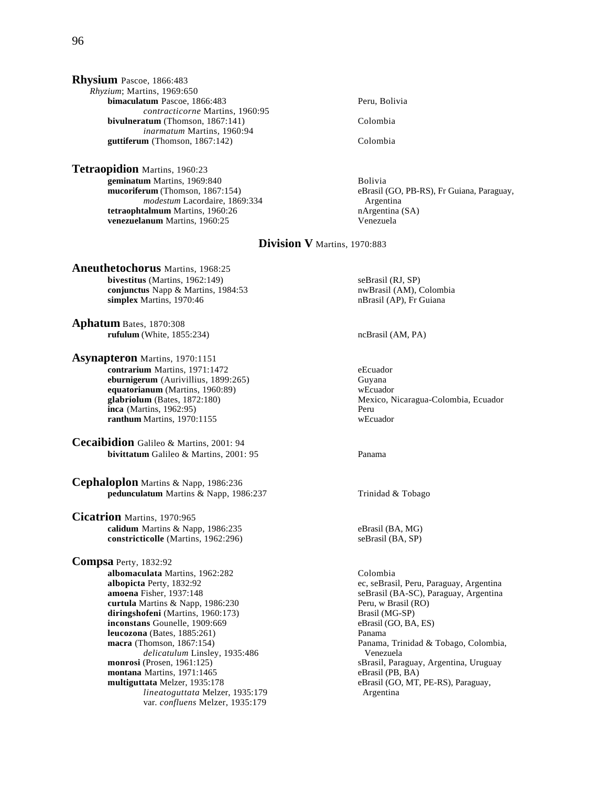**Rhysium** Pascoe, 1866:483 *Rhyzium*; Martins, 1969:650 **bimaculatum** Pascoe, 1866:483 Peru, Bolivia *contracticorne* Martins, 1960:95 **bivulneratum** (Thomson, 1867:141) Colombia *inarmatum* Martins, 1960:94 guttiferum (Thomson, 1867:142) Colombia

**Tetraopidion** Martins, 1960:23 **geminatum** Martins, 1969:840<br> **mucoriferum** (Thomson, 1867:154) **Bolivia**<br>
eBrasil (Brasil) modestum Lacordaire, 1869:334 **Argentina**<br> **talmum** Martins, 1960:26 **Argentina** (SA) **tetraophtalmum** Martins, 1960:26 **natural control in the example of the example of the example of the venezuela** (SA) venezuela **venezuelanum** Martins, 1960:25

eBrasil (GO, PB-RS), Fr Guiana, Paraguay,

# **Division V** Martins, 1970:883

**Aneuthetochorus** Martins, 1968:25 **bivestitus** (Martins, 1962:149) seBrasil (RJ, SP) **conjunctus** Napp & Martins, 1984:53 nwBrasil (AM), Colombia **simplex** Martins, 1970:46 nBrasil (AP), Fr Guiana

**Aphatum** Bates, 1870:308 **rufulum** (White, 1855:234) ncBrasil (AM, PA)

**Asynapteron** Martins, 1970:1151 **contrarium** Martins, 1971:1472 eEcuador **eburnigerum** (Aurivillius, 1899:265) Guyana **equatorianum** (Martins, 1960:89) wEcuador **inca** (Martins, 1962:95) Peru **ranthum** Martins, 1970:1155 wEcuador

**Cecaibidion** Galileo & Martins, 2001: 94 **bivittatum** Galileo & Martins, 2001: 95 Panama

**Cephaloplon** Martins & Napp, 1986:236 **pedunculatum** Martins & Napp, 1986:237 Trinidad & Tobago

**Cicatrion** Martins, 1970:965 **calidum** Martins & Napp, 1986:235 eBrasil (BA, MG) **constricticolle** (Martins, 1962:296) seBrasil (BA, SP)

**Compsa** Perty, 1832:92 **albomaculata** Martins, 1962:282 Colombia **albopicta** Perty, 1832:92 ec, seBrasil, Peru, Paraguay, Argentina<br> **amoena** Fisher, 1937:148 energy seBrasil (BA-SC), Paraguay, Argentina **curtula** Martins & Napp, 1986:230 **Peru, w Brasil (RO)** Peru, w Brasil (RO) **diringshofeni** (Martins, 1960:173) Brasil (MG-SP)<br> **inconstans** Gounelle, 1909:669 eBrasil (GO, BA, ES) **inconstans** Gounelle, 1909:669 eBrasil (Bouneau eBrasil (Bouneau eBrasil (Bouneau eBrasil (Bouneau eBrasil (Bouneau eS)<br> **Parama leucozona** (Bates, 1885:261)<br>**macra** (Thomson, 1867:154) *delicatulum Linsley, 1935:486* Venezuela<br> **monrosi** (Prosen, 1961:125) SBrasil, Para montana Martins, 1971:1465<br>multiguttata Melzer, 1935:178 *lineatoguttata* Melzer, 1935:179 Argentina var. *confluens* Melzer, 1935:179

Mexico, Nicaragua-Colombia, Ecuador

seBrasil (BA-SC), Paraguay, Argentina Panama, Trinidad & Tobago, Colombia, sBrasil, Paraguay, Argentina, Uruguay, eBrasil (PB, BA) eBrasil (GO, MT, PE-RS), Paraguay,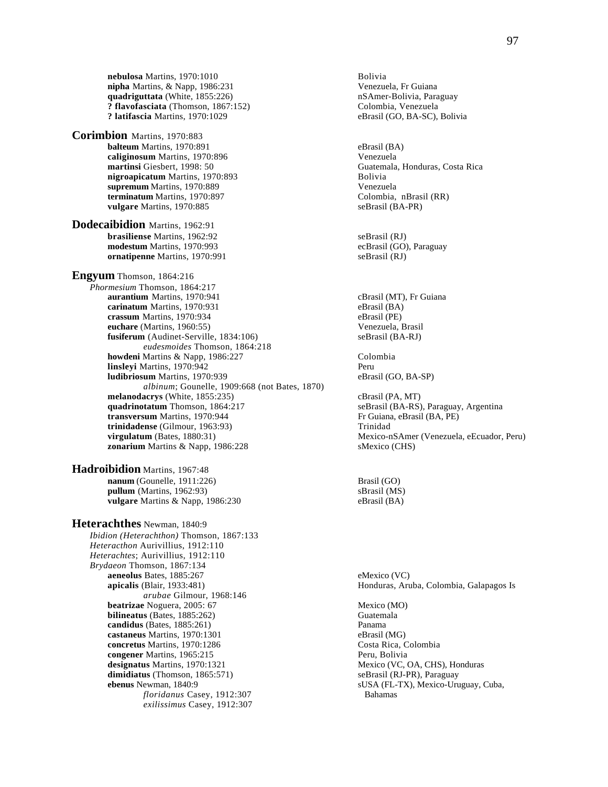**nebulosa** Martins, 1970:1010<br> **nipha** Martins, & Napp, 1986:231 **Bolivia** Venezuela, Fr Guiana  $nipha$  Martins,  $&$  Napp, 1986:231 **quadriguttata** (White, 1855:226) **nSAmer-Bolivia, Paraguay** nSAmer-Bolivia, Paraguay **? flavofasciata** (Thomson, 1867:152) Colombia, Venezuela **? latifascia Martins, 1970:1029** 

**Corimbion** Martins, 1970:883 **balteum** Martins, 1970:891 eBrasil (BA) **caliginosum** Martins, 1970:896 Venezuela **martinsi** Giesbert, 1998: 50<br> **nigroapicatum** Martins. 1970:893<br> **Example:** Bolivia<br>
Bolivia **nigroapicatum** Martins, 1970:893 **supremum** Martins, 1970:889 Venezuela **terminatum** Martins, 1970:897 Colombia, nBras<br> **vulgare** Martins, 1970:885 SeBrasil (BA-PR) vulgare Martins, 1970:885

**Dodecaibidion** Martins, 1962:91 **brasiliense** Martins, 1962:92 seBrasil (RJ) **modestum** Martins, 1970:993 ecBrasil (GO), Paraguay **ornatipenne** Martins, 1970:991 seBrasil (RJ)

**Engyum** Thomson, 1864:216 *Phormesium* Thomson, 1864:217 **aurantium** Martins, 1970:941 cBrasil (MT), Fr Guiana<br> **carinatum** Martins, 1970:931 eBrasil (BA) **carinatum** Martins, 1970:931 eBrasil (BA)<br> **crassum** Martins, 1970:934 eBrasil (PE) crassum Martins, 1970:934 **euchare** (Martins, 1960:55) <br> **fusiferum** (Audinet-Serville, 1834:106) <br> **example 36 and 56 and 56 and 56 and 56 and 56 and 56 and 56 and 56 and 56 and 56 and 56 and 56 and 56 and 56 and 56 and 56 and 56 and 56 and 56 and** fusiferum (Audinet-Serville, 1834:106) *eudesmoides* Thomson, 1864:218 **howdeni** Martins & Napp, 1986:227 Colombia **linsleyi** Martins, 1970:942<br> **ludibriosum** Martins, 1970:939 **Peru** eBrasil (GO, BA-SP) **ludibriosum** Martins, 1970:939 *albinum*; Gounelle, 1909:668 (not Bates, 1870) **melanodacrys** (White, 1855:235) cBrasil (PA, MT) **quadrinotatum** Thomson, 1864:217 seBrasil (BA-RS), Paraguay, Argentina **transversum** Martins, 1970:944 Fr Guiana, eBrasil (BA, PE)<br> **trinidadense** (Gilmour, 1963:93) Trinidad **trinidadense** (Gilmour, 1963:93)<br>**virgulatum** (Bates, 1880:31) **zonarium** Martins & Napp, 1986:228 sMexico (CHS)

**Hadroibidion** Martins, 1967:48 **nanum** (Gounelle, 1911:226) Brasil (GO) **pullum** (Martins, 1962:93) sBrasil (MS) **vulgare** Martins & Napp, 1986:230 eBrasil (BA)

**Heterachthes** Newman, 1840:9 *Ibidion (Heterachthon)* Thomson, 1867:133 *Heteracthon* Aurivillius, 1912:110 *Heterachtes*; Aurivillius, 1912:110 *Brydaeon* Thomson, 1867:134 **aeneolus Bates, 1885:267** eMexico (VC) emission eMexico (VC) emission eMexico (VC) emission eMexico (VC) emission emission emission emission emission emission emission emission emission emission emission emission emission *arubae* Gilmour, 1968:146 **beatrizae** Noguera, 2005: 67 Mexico (MO) **bilineatus** (Bates,  $1885:262$ ) **candidus** (Bates, 1885:261) Panama<br> **castaneus** Martins, 1970:1301 **Panama**<br>
eBrasil (MG) **castaneus** Martins, 1970:1301 eBrasil (MG)<br> **concretus** Martins, 1970:1286 eDrasil Costa Rica, Colombia concretus Martins, 1970:1286 **congener** Martins, 1965:215 **Peru, Bolivia**<br> **designatus** Martins, 1970:1321 **Peru, Bolivia**<br>
Mexico (VC, **dimidiatus** (Thomson, 1865:571) seBrasil (RJ-PR), Paraguay **ebenus** Newman, 1840:9 sUSA (FL-TX), Mexico-Uruguay, Cuba, *floridanus* Casey, 1912:307 Bahamas *exilissimus* Casey, 1912:307

Mexico-nSAmer (Venezuela, eEcuador, Peru) Honduras, Aruba, Colombia, Galapagos Is

Mexico (VC, OA, CHS), Honduras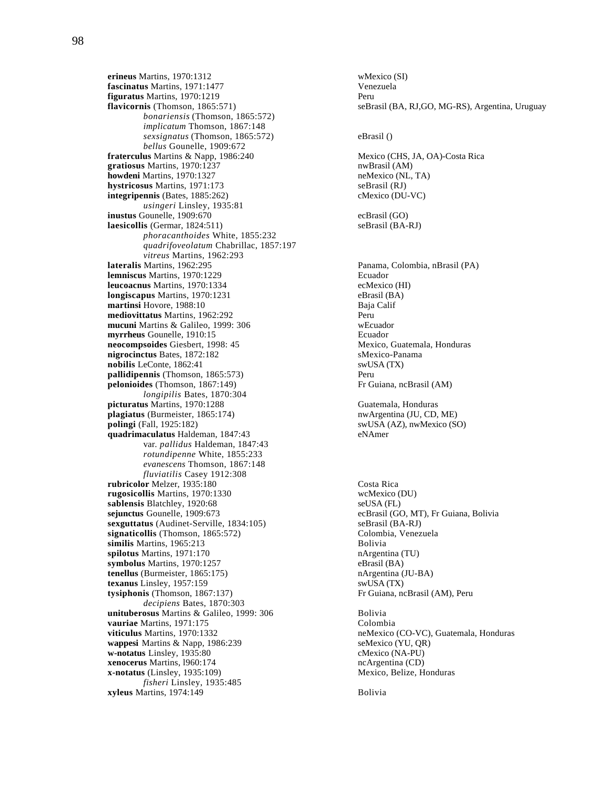**erineus** Martins, 1970:1312<br> **Example 20 Fascinatus** Martins, 1971:1477<br>
Venezuela fascinatus Martins, 1971:1477 **figuratus** Martins, 1970:1219 Peru *bonariensis* (Thomson, 1865:572) *implicatum* Thomson, 1867:148 *sexsignatus* (Thomson, 1865:572) eBrasil () *bellus* Gounelle, 1909:672 **fraterculus** Martins & Napp, 1986:240 Mexico (CHS, JA, OA)-Costa Rica<br> **gratiosus** Martins, 1970:1237 Mexico (CHS, JA, OA)-Costa Rica gratiosus Martins, 1970:1237 **howdeni** Martins, 1970:1327 neMexico (NL, TA) **hystricosus** Martins, 1971:173 seBrasil (RJ) **integripennis** (Bates, 1885:262) cMexico (DU-VC) *usingeri* Linsley, 1935:81 **inustus** Gounelle, 1909:670 ecBrasil (GO) **laesicollis** (Germar, 1824:511) seBrasil (BA-RJ) *phoracanthoides* White, 1855:232 *quadrifoveolatum* Chabrillac, 1857:197 *vitreus* Martins, 1962:293 **lateralis** Martins, 1962:295 Panama, Colombia, nBrasil (PA) **lemniscus** Martins, 1970:1229 Ecuador **leucoacnus** Martins, 1970:1334<br> **longiscapus** Martins, 1970:1231 eBrasil (BA) **longiscapus** Martins, 1970:1231 eBrasil (BA) eBrasil (BA) eBrasil (BA) eBrasil (BA) eBrasil (BA) eBrasil (BA) eBrasil (BA) eBrasil (BA) eBrasil (BA) eBrasil (BA) eBrasil (BA) eBrasil (BA) eBrasil (BA) eBrasil (BA) eBrasil **martinsi Hovore**, 1988:10 **mediovittatus** Martins, 1962:292 **Perumanelistic Perumanelistic Perumanelistic Perumanelistic Perumanelistic Peru mucuni** Martins & Galileo, 1999: 306 wEcuador **myrrheus** Gounelle, 1910:15<br> **neocompsoides** Giesbert, 1998: 45<br> **meocompsoides** Giesbert, 1998: 45<br> **neocompsoides** Giesbert, 1998: 45 **neocompsoides** Giesbert, 1998: 45 Mexico, Guatema<br> **nigrocinctus** Bates. 1872:182 SMexico-Panama **nigrocinctus Bates, 1872:182 nobilis** LeConte, 1862:41 swUSA (TX) **pallidipennis** (Thomson, 1865:573) Peru **pelonioides** (Thomson, 1867:149) Fr Guiana, ncBrasil (AM) *longipilis* Bates, 1870:304 **picturatus** Martins, 1970:1288 Guatemala, Honduras<br> **plagiatus** (Burmeister, 1865:174) **CO.** ME) **plagiatus** (Burmeister, 1865:174) **polingi** (Fall, 1925:182) swUSA (AZ), nwMexico (SO) **quadrimaculatus** Haldeman, 1847:43 eNAmer var. *pallidus* Haldeman, 1847:43 *rotundipenne* White, 1855:233 *evanescens* Thomson, 1867:148 *fluviatilis* Casey 1912:308 **rubricolor** Melzer, 1935:180 Costa Rica **rugosicollis** Martins, 1970:1330 wcMexico (DU) sablensis Blatchley, 1920:68 seUSA (FL) **sejunctus** Gounelle, 1909:673 ecBrasil (GO, MT), Fr Guiana, Bolivia **sexguttatus** (Audinet-Serville, 1834:105) seBrasil (BA-RJ) **signaticollis** (Thomson, 1865:572) Colombia, Venezuela **similis** Martins, 1965:213 Bolivia **spilotus** Martins, 1971:170 nArgentina (TU) **symbolus** Martins, 1970:1257<br> **tenellus** (Burmeister, 1865:175) **eBrasil (BA) hArgentina** (JU-BA) **tenellus** (Burmeister, 1865:175) **texanus** Linsley, 1957:159 swUSA (TX) **tysiphonis** (Thomson, 1867:137) Fr Guiana, ncBrasil (AM), Peru *decipiens* Bates, 1870:303 **unituberosus** Martins & Galileo, 1999: 306 Bolivia **vauriae** Martins, 1971:175<br> **viticulus** Martins, 1970:1332<br>
neMexico **wappesi** Martins & Napp, 1986:239 seMexico (YU, QR) **w-notatus** Linsley, 1935:80 cMexico (NA-PU) **xenocerus** Martins, 1960:174 ncArgentina (CD) **x-notatus** (Linsley, 1935:109) Mexico, Belize, Honduras *fisheri* Linsley, 1935:485 **xyleus** Martins, 1974:149 Bolivia

**flavicornis** (Thomson, 1865:571) seBrasil (BA, RJ,GO, MG-RS), Argentina, Uruguay neMexico (CO-VC), Guatemala, Honduras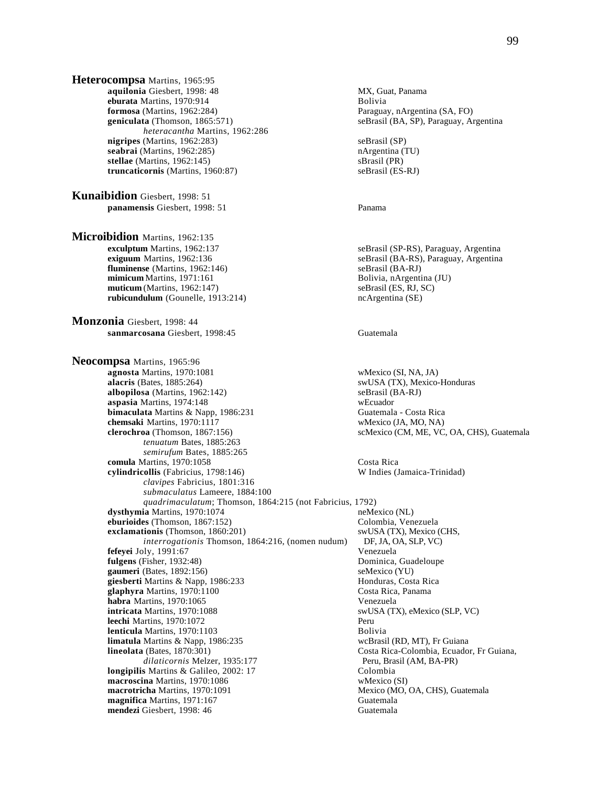**Heterocompsa** Martins, 1965:95 **aquilonia** Giesbert, 1998: 48 MX, Guat, Panama **eburata** Martins, 1970:914<br>**formosa** (Martins, 1962:284) **Bolivia** Baragua **formosa** (Martins, 1962:284) **Paraguay, nArgentina (SA, FO) geniculata** (Thomson, 1865:571) **Paraguay, Argentina (SA, FO) seBrasil (BA, SP)**, Paraguay, Argentina (SA, FO) *heteracantha* Martins, 1962:286 **nigripes** (Martins, 1962:283) seBrasil (SP) **seabrai** (Martins, 1962:285) **nargentina (TU) nargentina (TU) stellae** (Martins, 1962:145) **nargentina** (PR) **stellae** (Martins, 1962:145) **truncaticornis** (Martins, 1960:87) seBrasil (ES-RJ)

**Kunaibidion** Giesbert, 1998: 51 **panamensis** Giesbert, 1998: 51 Panama

**Microibidion** Martins, 1962:135<br>**exculptum** Martins, 1962:137 **exculptum** Martins, 1962:137 seBrasil (SP-RS), Paraguay, Argentina<br> **exiguum** Martins, 1962:136 seBrasil (BA-RS), Paraguay, Argentina **fluminense** (Martins, 1962:146) <br>**mimicum** Martins, 1971:161 **seBrasil (BA-RJ)** <br>Bolivia, nArgentina (JU) **mimicum** Martins, 1971:161 **muticum** (Martins, 1962:147) seBrasil (ES, RJ, SC) **rubicundulum** (Gounelle, 1913:214) ncArgentina (SE)

**Monzonia** Giesbert, 1998: 44 **sanmarcosana** Giesbert, 1998:45 Guatemala

**Neocompsa** Martins, 1965:96 **agnosta** Martins, 1970:1081 wMexico (SI, NA, JA)<br> **alacris** (Bates, 1885:264) wWSA (TX), Mexico **albopilosa** (Martins, 1962:142) seBrasil (BA-RJ) **aspasia** Martins, 1974:148 wEcuador **bimaculata** Martins & Napp, 1986:231 Guatemala - Costa Rica **chemsaki** Martins, 1970:1117 wMexico (JA, MO, NA) **clerochroa** (Thomson, 1867:156) scMexico (CM, ME, VC, OA, CHS), Guatemala *tenuatum* Bates, 1885:263 *semirufum* Bates, 1885:265 **comula** Martins, 1970:1058 Costa Rica **cylindricollis** (Fabricius, 1798:146) W Indies (Jamaica-Trinidad) *clavipes* Fabricius, 1801:316 *submaculatus* Lameere, 1884:100 *quadrimaculatum*; Thomson, 1864:215 (not Fabricius, 1792) **dysthymia** Martins, 1970:1074 neMexico (NL) **eburioides** (Thomson, 1867:152) Colombia, Venezuela **exclamationis** (Thomson, 1860:201) swUSA (TX), Mexico (CHS, *interrogationis* Thomson, 1864:216, (nomen nudum) DF, JA, OA, SLP, VC) *interrogationis* Thomson, 1864:216, (nomen nudum) DF, JA, O<br>
Ny, 1991:67 Venezuela **fefeyei** Joly, 1991:67 **fulgens** (Fisher, 1932:48) Dominica, Guadeloupe **gaumeri** (Bates, 1892:156)<br> **giesberti** Martins & Napp, 1986:233 **https://example.org/martings/semi-filterate/semi-filterate/semi-filterate/semi-filterate/semi-filterate/semi-filterate/semi-filterate/semi-filterate/semi-f giesberti** Martins & Napp, 1986:233 **Honduras, Costa Rica, Panama**<br> **glaphyra** Martins, 1970:1100 **Honduras, Costa Rica, Panama** glaphyra Martins, 1970:1100 **habra** Martins, 1970:1065<br> **intricata** Martins, 1970:1088<br>
SWUSA (T) **leechi** Martins, 1970:1072 Peru **lenticula** Martins, 1970:1103<br> **limatula** Martins & Napp, 1986:235 **Bolivia** Bolivia Republic Roules Republic Republic Republic Republic Republic R **limatula** Martins & Napp, 1986:235 **lineolata** (Bates, 1870:301) *dilaticornis* Melzer, 1935:177 Peru, Brasil (AM, BA-PR)<br> **s** Martins & Galileo, 2002: 17 Colombia **longipilis** Martins & Galileo, 2002: 17 **macroscina** Martins, 1970:1086 wMexico (SI) **macrotricha** Martins, 1970:1091 Mexico (MO, OA, CHS), Guatemala **magnifica** Martins, 1971:167 Guatemala **mendezi** Giesbert, 1998: 46 Guatemala

seBrasil (BA, SP), Paraguay, Argentina

 $seBrasil (BA-RS), Paraguay, Argentina  
seBrasil (BA-RJ)$ 

swUSA (TX), Mexico-Honduras

swUSA (TX), eMexico (SLP, VC) Costa Rica-Colombia, Ecuador, Fr Guiana,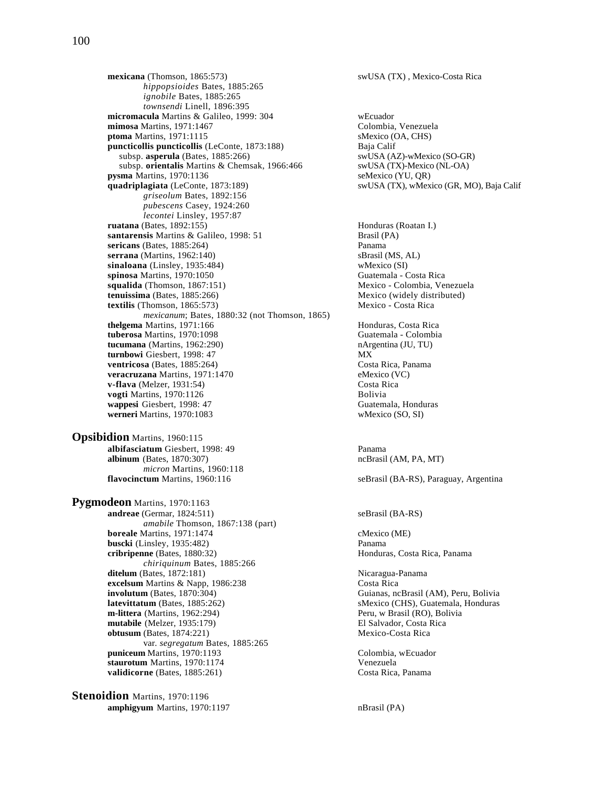**mexicana** (Thomson, 1865:573) swUSA (TX) , Mexico-Costa Rica *hippopsioides* Bates, 1885:265 *ignobile* Bates, 1885:265 *townsendi* Linell, 1896:395 micromacula Martins & Galileo, 1999: 304 wEcuador<br> **mimosa** Martins, 1971:1467 colombia, Venezuela **mimosa** Martins, 1971:1467 **ptoma** Martins, 1971:1115 sMexico (OA, CHS) **puncticollis puncticollis** (LeConte, 1873:188) Baja Calif subsp. **asperula** (Bates, 1885:266) swUSA (AZ)-wMexico (SO-GR) subsp. orientalis Martins & Chemsak, 1966:466 swUSA (TX)-Mexico (NL-OA) **pysma** Martins, 1970:1136 seMexico (YU, QR) **quadriplagiata** (LeConte, 1873:189) swUSA (TX), wMexico (GR, MO), Baja Calif *griseolum* Bates, 1892:156 *pubescens* Casey, 1924:260 *lecontei* Linsley, 1957:87 **ruatana** (Bates, 1892:155) **Honduras (Roatan I.) Honduras (Roatan I.) santarensis** Martins & Galileo, 1998: 51 Brasil (PA) **sericans** (Bates, 1885:264) Panama **serrana** (Martins, 1962:140) sBrasil (MS, AL) **sinaloana** (Linsley, 1935:484) wMexico (SI) **spinosa** Martins, 1970:1050 Guatemala - Costa Rica **squalida** (Thomson, 1867:151) Mexico - Colombia, Venezuela<br> **tenuissima** (Bates, 1885:266) Mexico (widely distributed) **tenuissima** (Bates, 1885:266)<br> **textilis** (Thomson, 1865:573) Mexico - Costa Rica  $textilis (Thomson, 1865:573)$  *mexicanum*; Bates, 1880:32 (not Thomson, 1865) **thelgema** Martins, 1971:166 **home in the act of the contract Article Honduras**, Costa Rica<br> **tuberosa** Martins, 1970:1098 **https://www.franchuras.org/community/contract Colombia** tuberosa Martins, 1970:1098 **tucumana** (Martins, 1962:290) **nargentina (JU, TU)**  $\frac{1}{2}$  **hargentina** (JU, TU) **turnbowi** Giesbert, 1998: 47 turnbowi Giesbert, 1998: 47 **ventricosa** (Bates, 1885:264) Costa Rica, Panama **veracruzana** Martins, 1971:1470 eMexico (VC) **v-flava** (Melzer, 1931:54) Costa Rica<br> **vogti** Martins. 1970:1126 **vogti Martins**, 1970:1126 **wappesi** Giesbert, 1998: 47 Guatemala, Honduras<br> **werneri** Martins, 1970:1083 Wexico (SO, SI) werneri Martins, 1970:1083 **Opsibidion** Martins, 1960:115 **albifasciatum** Giesbert, 1998: 49 Panama **albinum** (Bates, 1870:307) ncBrasil (AM, PA, MT) *micron* Martins, 1960:118

**Pygmodeon** Martins, 1970:1163 **andreae** (Germar, 1824:511) seBrasil (BA-RS) *amabile* Thomson, 1867:138 (part) **boreale** Martins, 1971:1474 cMexico (ME) **buscki** (Linsley, 1935:482) Panama **cribripenne** (Bates, 1880:32) Honduras, Costa Rica, Panama *chiriquinum* Bates, 1885:266 **ditelum** (Bates, 1872:181) Nicaragua-Panama **excelsum** Martins & Napp, 1986:238 Costa Rica<br> **involutum** (Bates, 1870:304) Guianas, no **latevittatum** (Bates, 1885:262) sMexico (CHS), Guatemala, Honduras **m-littera** (Martins, 1962:294) **Peru, w Brasil (RO), Bolivia**<br> **mutabile** (Melzer, 1935:179) **Peru, W Brasil (RO), Bolivia**<br>
El Salvador, Costa Rica **mutabile** (Melzer, 1935:179)<br> **bush mutabile** (Melzer, 1974:221)<br> **bushim (Rates, 1874:221)**<br> **bushim (Rates, 1874:221) obtusum** (Bates,  $1874:221$ ) var. *segregatum* Bates, 1885:265 **puniceum** Martins, 1970:1193 Colombia, wEcuador **staurotum** Martins, 1970:1174 Venezuela **validicorne** (Bates, 1885:261) Costa Rica, Panama

**Stenoidion** Martins, 1970:1196 **amphigyum** Martins, 1970:1197 **nBrasil (PA)** 

**flavocinctum** Martins, 1960:116 seBrasil (BA-RS), Paraguay, Argentina

Guianas, ncBrasil (AM), Peru, Bolivia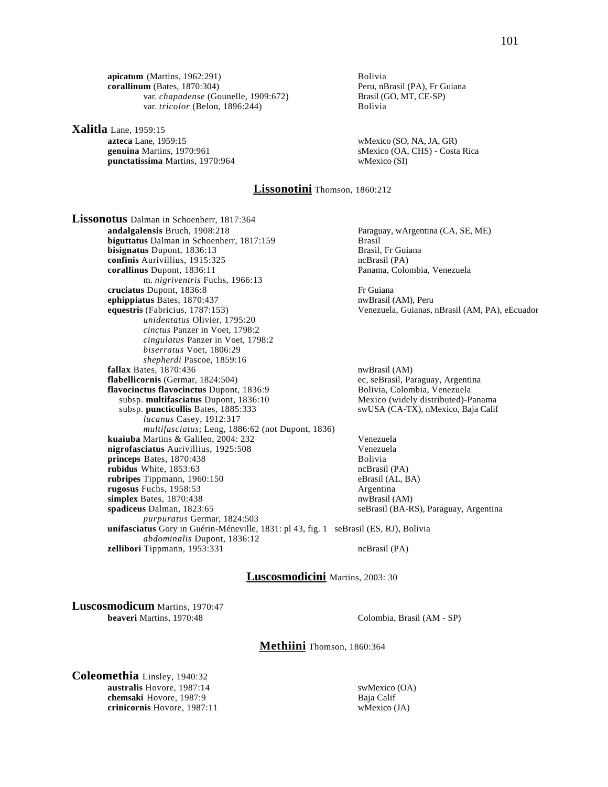**apicatum** (Martins, 1962:291)<br> **apicatum** (Bates, 1870:304) Bolivia<br>
Peru, nBrasil (PA), Fr Guiana  $\textbf{corallinum}$  (Bates, 1870:304) var. *chapadense* (Gounelle, 1909:672) Brasil (GO, MT, CE-SP) var. *tricolor* (Belon, 1896:244) Bolivia

**Xalitla** Lane, 1959:15<br>**azteca** Lane, 1959:15 **punctatissima** Martins, 1970:964 wMexico (SI)

wMexico (SO, NA, JA, GR) **genuina** Martins, 1970:961 sMexico (OA, CHS) - Costa Rica

## **Lissonotini** Thomson, 1860:212

**Lissonotus** Dalman in Schoenherr, 1817:364<br>andalgalensis Bruch, 1908:218 **biguttatus Dalman in Schoenherr, 1817:159** Brasil<br> **bisignatus Dupont, 1836:13** Brasil, Fr Guiana **bisignatus** Dupont, 1836:13 **confinis** Aurivillius, 1915:325 ncBrasil (PA) **corallinus** Dupont, 1836:11 Panama, Colombia, Venezuela m. *nigriventris* Fuchs, 1966:13 **cruciatus** Dupont, 1836:8 Fr Guiana **ephippiatus** Bates, 1870:437 **nwBrasil (AM), Peru equestris (Fabricius, 1787:153) nwBrasil (AM), Peru** equestris (Fabricius, 1787:153) *unidentatus* Olivier, 1795:20 *cinctus* Panzer in Voet, 1798:2 *cingulatus* Panzer in Voet, 1798:2 *biserratus* Voet, 1806:29 *shepherdi* Pascoe, 1859:16 **fallax** Bates, 1870:436 nwBrasil (AM) **flabellicornis** (Germar, 1824:504) ec, seBrasil, Paraguay, Argentina **flavocinctus flavocinctus Dupont, 1836:9** Bolivia, Colombia, Venezuela<br>subsp. multifasciatus Dupont, 1836:10 Mexico (widely distributed)-Panama subsp. **multifasciatus** Dupont, 1836:10 subsp. puncticollis Bates, 1885:333 *lucanus* Casey, 1912:317 *multifasciatus*; Leng, 1886:62 (not Dupont, 1836) **kuaiuba** Martins & Galileo, 2004: 232 Venezuela **nigrofasciatus** Aurivillius, 1925:508 Venezuela<br> **princeps** Bates, 1870:438 Bolivia princeps Bates, 1870:438 **rubidus** White, 1853:63 ncBrasil (PA) **rubripes** Tippmann, 1960:150 eBrasil (AL, BA) eBrasil (AL, BA) eBrasil (AL, BA)  $rugosus$  Fuchs,  $1958:53$ **simplex** Bates, 1870:438 nwBrasil (AM) **spadiceus** Dalman, 1823:65 seBrasil (BA-RS), Paraguay, Argentina *purpuratus* Germar, 1824:503 *abdominalis* Dupont, 1836:12

Paraguay, wArgentina (CA, SE, ME)

Venezuela, Guianas, nBrasil (AM, PA), eEcuador

swUSA (CA-TX), nMexico, Baja Calif

**unifasciatus** Gory in Guérin-Méneville, 1831: pl 43, fig. 1 seBrasil (ES, RJ), Bolivia **zellibori** Tippmann, 1953:331 ncBrasil (PA)

### **Luscosmodicini** Martins, 2003: 30

**Luscosmodicum** Martins, 1970:47<br>beaveri Martins, 1970:48

Colombia, Brasil (AM - SP)

**Methiini** Thomson, 1860:364

**Coleomethia** Linsley, 1940:32 **australis** Hovore, 1987:14 swMexico (OA) **chemsaki** Hovore, 1987:9 Baja Calif **crinicornis** Hovore, 1987:11 wMexico (JA)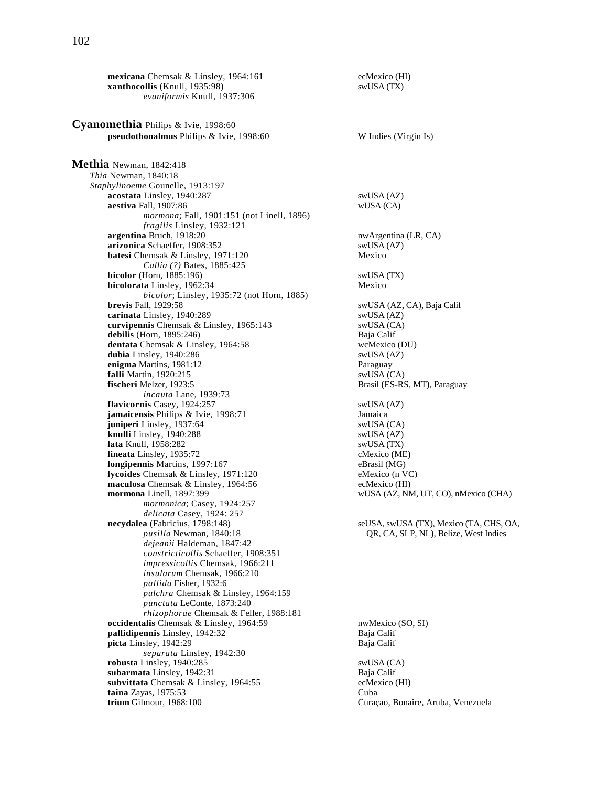**mexicana** Chemsak & Linsley, 1964:161 ecMexico (HI)<br> **xanthocollis** (Knull, 1935:98) swUSA (TX) **xanthocollis** (Knull, 1935:98) *evaniformis* Knull, 1937:306 **Cyanomethia** Philips & Ivie, 1998:60 **pseudothonalmus** Philips & Ivie, 1998:60 W Indies (Virgin Is) **Methia** Newman, 1842:418 *Thia* Newman, 1840:18 *Staphylinoeme* Gounelle, 1913:197 **acostata** Linsley, 1940:287 swUSA (AZ)

 **aestiva** Fall, 1907:86 wUSA (CA) *mormona*; Fall, 1901:151 (not Linell, 1896) *fragilis* Linsley, 1932:121 **argentina** Bruch, 1918:20<br> **arizonica** Schaeffer, 1908:352<br> **arizonica** Schaeffer, 1908:352 arizonica Schaeffer, 1908:352 **batesi** Chemsak & Linsley, 1971:120 Mexico *Callia (?)* Bates, 1885:425 **bicolor** (Horn, 1885:196) swUSA (TX) **bicolorata** Linsley, 1962:34 Mexico *bicolor*; Linsley, 1935:72 (not Horn, 1885) **carinata** Linsley, 1940:289 swUSA (AZ) **curvipennis** Chemsak & Linsley, 1965:143 swUSA (CA) **debilis** (Horn, 1895:246)<br> **dentata** Chemsak & Linsley, 1964:58<br> **dentata** Chemsak & Linsley, 1964:58<br> **dentata** Chemsak & Linsley, 1964:58 **dentata** Chemsak & Linsley, 1964:58 wcMexico (D<br> **dubia** Linsley, 1940:286 swUSA (AZ) **dubia** Linsley, 1940:286 **enigma** Martins, 1981:12 Paraguay **falli** Martin, 1920:215 swUSA (CA)<br>**fischeri** Melzer, 1923:5 **Stationary Stationary Stationary Stationary Stationary Stationary Stationary Stationary**  *incauta* Lane, 1939:73 **flavicornis** Casey, 1924:257<br> **jamaicensis** Philips & Ivie, 1998:71 Jamaica<br> **Jamaica jamaicensis Philips & Ivie, 1998:71 juniperi** Linsley, 1937:64 swUSA (CA) **knulli** Linsley, 1940:288 swUSA (AZ)<br> **lata** Knull, 1958:282 swUSA (TX) **lata Knull**, 1958:282 **lineata** Linsley, 1935:72 cMexico (ME) **longipennis** Martins, 1997:167 eBrasil (MG) **lycoides** Chemsak & Linsley, 1971:120 eMexico (n VC) **maculosa** Chemsak & Linsley, 1964:56 ecMexico (HI)<br> **mormona** Linell, 1897:399 wUSA (AZ, NN *mormonica*; Casey, 1924:257 *delicata* Casey, 1924: 257 **necydalea** (Fabricius, 1798:148)<br> *pusilla* Newman, 1840:18<br> **a necydalea** (TA, CHS, OA, pusilla Newman, 1840:18<br> **b c CA, SLP, NL), Belize, West Indies** *dejeanii* Haldeman, 1847:42 *constricticollis* Schaeffer, 1908:351 *impressicollis* Chemsak, 1966:211 *insularum* Chemsak, 1966:210 *pallida* Fisher, 1932:6 *pulchra* Chemsak & Linsley, 1964:159 *punctata* LeConte, 1873:240 *rhizophorae* Chemsak & Feller, 1988:181 **occidentalis** Chemsak & Linsley, 1964:59 nwMexico (SO, SI)<br> **pallidipennis** Linsley, 1942:32 Baja Calif pallidipennis Linsley, 1942:32 **picta** Linsley, 1942:29 Baja Calif *separata* Linsley, 1942:30 robusta Linsley, 1940:285 **subarmata** Linsley, 1942:31<br> **subvittata** Chemsak & Linsley, 1964:55 **Baja Calif** ecMexico (HI) subvittata Chemsak & Linsley, 1964:55 **taina** Zayas, 1975:53 Cuba **trium** Gilmour, 1968:100 Curaçao, Bonaire, Aruba, Venezuela

swUSA (AZ, CA), Baja Calif Brasil (ES-RS, MT), Paraguay  $wUSA$  (AZ, NM, UT, CO), nMexico (CHA) QR, CA, SLP, NL), Belize, West Indies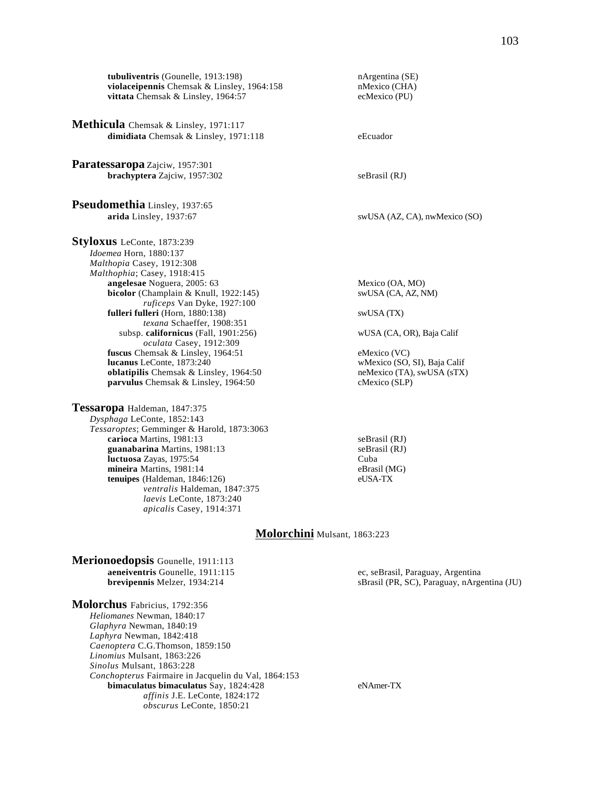**tubuliventris** (Gounelle, 1913:198) nArgentina (SE)<br> **violaceipennis** Chemsak & Linsley, 1964:158 nMexico (CHA) violaceipennis Chemsak & Linsley, 1964:158 **vittata** Chemsak & Linsley, 1964:57 ecMexico (PU)

**Methicula** Chemsak & Linsley, 1971:117 dimidiata Chemsak & Linsley, 1971:118 eEcuador

**Paratessaropa** Zajciw, 1957:301 **brachyptera** Zajciw, 1957:302 seBrasil (RJ)

**Pseudomethia** Linsley, 1937:65

**Styloxus** LeConte, 1873:239 *Idoemea* Horn, 1880:137 *Malthopia* Casey, 1912:308 *Malthophia*; Casey, 1918:415 **angelesae** Noguera, 2005: 63 Mexico (OA, MO) **bicolor** (Champlain & Knull, 1922:145) swUSA (CA, AZ, NM) *ruficeps* Van Dyke, 1927:100 **fulleri fulleri** (Horn, 1880:138) swUSA (TX) *texana* Schaeffer, 1908:351 *oculata* Casey, 1912:309 **fuscus** Chemsak & Linsley, 1964:51 eMexico (VC) **lucanus LeConte, 1873:240** wMexico (SO, SI), Baja Calif **oblatipilis** Chemsak & Linsley, 1964:50 meMexico (TA), swUSA (sTX) **oblatipilis** Chemsak & Linsley, 1964:50 **parvulus** Chemsak & Linsley, 1964:50 cMexico (SLP)

**Tessaropa** Haldeman, 1847:375 *Dysphaga* LeConte, 1852:143 *Tessaroptes*; Gemminger & Harold, 1873:3063 **carioca** Martins, 1981:13 seBrasil (RJ) **guanabarina** Martins, 1981:13<br> **luctuosa** Zayas, 1975:54<br>
Cuba **luctuosa** Zayas, 1975:54<br> **nineira** Martins, 1981:14<br> **nineira** Martins, 1981:14 **mineira** Martins, 1981:14 **tenuipes** (Haldeman, 1846:126) eUSA-TX *ventralis* Haldeman, 1847:375 *laevis* LeConte, 1873:240 *apicalis* Casey, 1914:371

**arida** Linsley, 1937:67 swUSA (AZ, CA), nwMexico (SO) subsp. **californicus** (Fall, 1901:256) wUSA (CA, OR), Baja Calif

**Molorchini** Mulsant, 1863:223

**Merionoedopsis** Gounelle, 1911:113 **aeneiventris** Gounelle, 1911:115 ec, seBrasil, Paraguay, Argentina

**Molorchus** Fabricius, 1792:356 *Heliomanes* Newman, 1840:17 *Glaphyra* Newman, 1840:19 *Laphyra* Newman, 1842:418 *Caenoptera* C.G.Thomson, 1859:150 *Linomius* Mulsant, 1863:226 *Sinolus* Mulsant, 1863:228 *Conchopterus* Fairmaire in Jacquelin du Val, 1864:153 **bimaculatus bimaculatus** Say, 1824:428 eNAmer-TX *affinis* J.E. LeConte, 1824:172 *obscurus* LeConte, 1850:21

**brevipennis** Melzer, 1934:214 sBrasil (PR, SC), Paraguay, nArgentina (JU)

103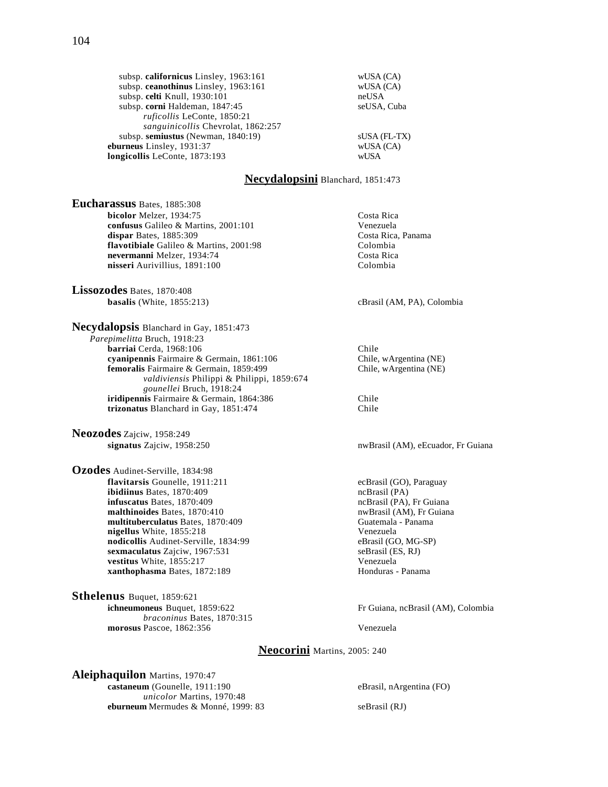subsp. **californicus** Linsley, 1963:161 wUSA (CA)<br>subsp. **ceanothinus** Linsley, 1963:161 wUSA (CA) subsp. **ceanothinus** Linsley, 1963:161 subsp. celti Knull, 1930:101 neUSA subsp. **corni** Haldeman, 1847:45 seUSA, Cuba *ruficollis* LeConte, 1850:21 *sanguinicollis* Chevrolat, 1862:257 subsp. **semiustus** (Newman, 1840:19) sUSA (FL-TX) **eburneus** Linsley, 1931:37<br> **longicollis** LeConte. 1873:193 wUSA wUSA **longicollis** LeConte, 1873:193

### **Necydalopsini** Blanchard, 1851:473

**Eucharassus** Bates, 1885:308 **bicolor** Melzer, 1934:75 Costa Rica **confusus** Galileo & Martins, 2001:101 Venezuela<br> **dispar** Bates, 1885:309 Costa Rica, Panama **dispar** Bates, 1885:309<br> **flavotibiale** Galileo & Martins. 2001:98 Colombia flavotibiale Galileo & Martins, 2001:98 **nevermanni** Melzer, 1934:74 Costa Rica **nisseri** Aurivillius, 1891:100 Colombia

**Lissozodes** Bates, 1870:408<br>**basalis** (White, 1855:213)

**Necydalopsis** Blanchard in Gay, 1851:473 *Parepimelitta* Bruch, 1918:23 **barriai** Cerda, 1968:106 Chile **cyanipennis** Fairmaire & Germain, 1861:106 Chile, wArgentina (NE) **femoralis** Fairmaire & Germain, 1859:499 Chile, wArgentina (NE) *valdiviensis* Philippi & Philippi, 1859:674 *gounellei* Bruch, 1918:24 **iridipennis** Fairmaire & Germain, 1864:386 Chile<br> **trizonatus** Blanchard in Gay, 1851:474 Chile trizonatus Blanchard in Gay, 1851:474

**Neozodes** Zajciw, 1958:249<br>signatus Zajciw, 1958:250

**Ozodes** Audinet-Serville, 1834:98 **flavitarsis** Gounelle, 1911:211 ecBrasil (GO), Paraguay **ibidiinus** Bates, 1870:409 ecBrasil (PA) **ibidiinus** Bates, 1870:409<br> **infuscatus** Bates, 1870:409<br> **infuscatus** Bates, 1870:409 **infuscatus** Bates, 1870:409 **malthinoides** Bates, 1870:410 **nwBrasil (AM), Fr Guiana multituberculatus** Bates, 1870:409 Guatemala - Panama **nigellus** White, 1855:218 Venezuela **nodicollis** Audinet-Serville, 1834:99 eBrasil (GO, MG-SP)<br> **sexmaculatus** Zajciw, 1967:531 seBrasil (ES, RJ) sexmaculatus Zajciw, 1967:531 **vestitus** White, 1855:217 Venezuela **xanthophasma** Bates, 1872:189 **Honduras** - Panama

**Sthelenus** Buquet, 1859:621 **ichneumoneus** Buquet, 1859:622 Fr Guiana, ncBrasil (AM), Colombia *braconinus* Bates, 1870:315 **morosus** Pascoe, 1862:356 Venezuela

cBrasil (AM, PA), Colombia

nwBrasil (AM), eEcuador, Fr Guiana

# **Neocorini** Martins, 2005: 240

**Aleiphaquilon** Martins, 1970:47 **castaneum** (Gounelle, 1911:190 eBrasil, nArgentina (FO) *unicolor* Martins, 1970:48 **eburneum** Mermudes & Monné, 1999: 83 seBrasil (RJ)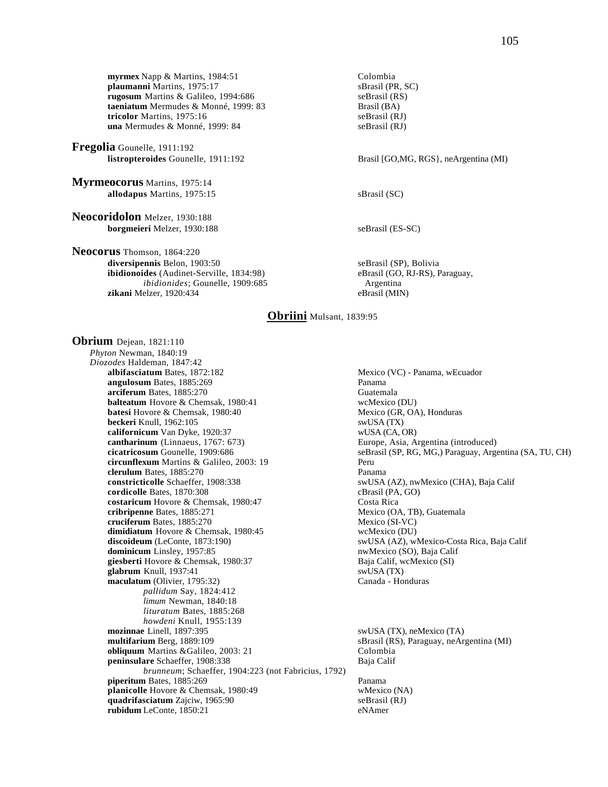**myrmex** Napp & Martins, 1984:51<br> **plaumanni** Martins, 1975:17<br>
SBrasil (PR, SC) plaumanni Martins, 1975:17 **rugosum** Martins & Galileo, 1994:686 seBrasil (RS) **taeniatum** Mermudes & Monné, 1999: 83<br> **tricolor** Martins, 1975:16<br>
seBrasil (RJ) tricolor Martins, 1975:16 **una** Mermudes & Monné, 1999: 84 seBrasil (RJ)

**Fregolia** Gounelle, 1911:192

**Myrmeocorus** Martins, 1975:14 **allodapus** Martins, 1975:15 sBrasil (SC)

**Neocoridolon** Melzer, 1930:188 **borgmeieri** Melzer, 1930:188 seBrasil (ES-SC)

**Neocorus** Thomson, 1864:220 diversipennis Belon, 1903:50 seBrasil (SP), Bolivia **ibidionoides** (Audinet-Serville, 1834:98) eBrasil (GO, RJ-RS), Paraguay, *ibidionides*; Gounelle, 1909:685 Argentina **zikani** Melzer, 1920:434 eBrasil (MIN)

Brasil [GO,MG, RGS}, neArgentina (MI)

# **Obriini** Mulsant, 1839:95

**Obrium** Dejean, 1821:110 *Phyton* Newman, 1840:19 *Diozodes* Haldeman, 1847:42 **angulosum** Bates, 1885:269 Panama **arciferum** Bates, 1885:270<br> **balteatum** Hovore & Chemsak, 1980:41 **Changes Changes Changes Changes Changes Changes Changes Changes Changes Changes Changes Changes Changes Changes Changes Chan balteatum** Hovore & Chemsak, 1980:41 **batesi** Hovore & Chemsak, 1980:40 Mexico (GR, OA), Honduras **beckeri** Knull, 1962:105 swUSA (TX) **californicum** Van Dyke, 1920:37 wUSA (CA, OR)<br> **cantharinum** (Linnaeus, 1767: 673) Europe, Asia, A **cicatricosum** Gounelle, 1909:686 seBrasil (SP, RG, MG,) Paraguay, Argentina (SA, TU, CH) **circunflexum** Martins & Galileo, 2003: 19 Peru **clerulum** Bates, 1885:270 Panama **constricticolle** Schaeffer, 1908:338 swUSA (AZ), nwMexico (CHA), Baja Calif cordicolle Bates, 1870:308 cBrasil (PA, GO) **cordicolle** Bates, 1870:308 cBrasil (PA, costaricum Hovore & Chemsak, 1980:47 cBrasil (PA, Costa Rica costaricum Hovore & Chemsak, 1980:47 **cribripenne** Bates, 1885:271 Mexico (OA, TB), Guatemala **cruciferum** Bates, 1885:270 Mexico (SI-VC) **dimidiatum** Hovore & Chemsak, 1980:45 wcMexico (DU) **discoideum** (LeConte, 1873:190) swUSA (AZ), wMexico-Costa Rica, Baja Calif **dominicum** Linsley, 1957:85 **state and September 2018** swUSA (AZ), wMexico-Costa Rica, Baja Calif **dominicum** Linsley, 1957:85 dominicum Linsley, 1957:85 **giesberti** Hovore & Chemsak, 1980:37 Baja Calif, wcMexico (SI) **glabrum** Knull, 1937:41<br> **maculatum** (Olivier, 1795:32) Shang Shang Shang Canada - Honduras **maculatum** (Olivier, 1795:32) *pallidum* Say, 1824:412 *limum* Newman, 1840:18 *lituratum* Bates, 1885:268 *howdeni* Knull, 1955:139 **mozinnae** Linell, 1897:395 swUSA (TX), neMexico (TA)<br> **multifarium** Berg, 1889:109 sBrasil (RS), Paraguay, neArg **obliquum** Martins &Galileo, 2003: 21 Colombia **peninsulare** Schaeffer, 1908:338 Baja Calif *brunneum*; Schaeffer, 1904:223 (not Fabricius, 1792) **piperitum** Bates, 1885:269 **Panama**<br> **planicolle** Hovore & Chemsak, 1980:49 **Panama** wMexico (NA) **planicolle** Hovore & Chemsak, 1980:49 wMexico (NA)<br> **quadrifasciatum** Zajciw, 1965:90 seBrasil (RJ) **quadrifasciatum** Zajciw, 1965:90 **rubidum** LeConte, 1850:21 eNAmer

Mexico (VC) - Panama, wEcuador Europe, Asia, Argentina (introduced)

sBrasil (RS), Paraguay, neArgentina (MI)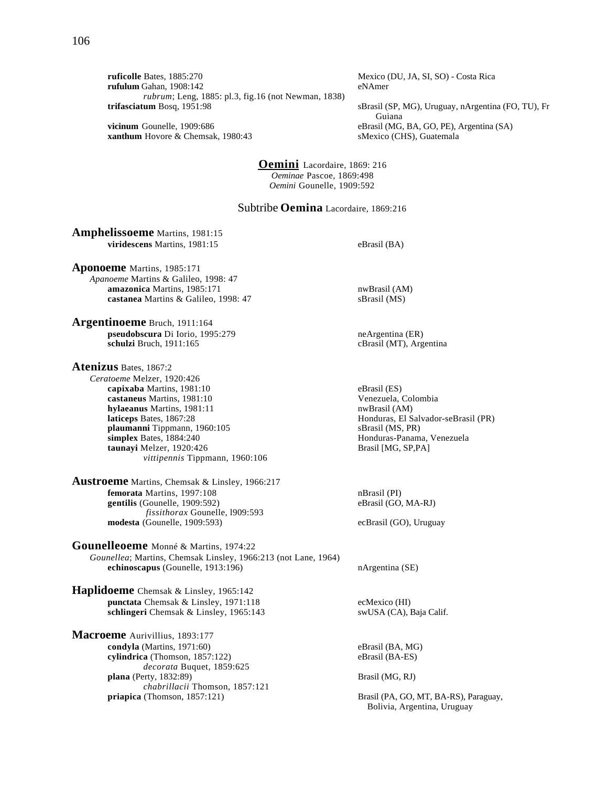**ruficolle** Bates, 1885:270 Mexico (DU, JA, SI, SO) - Costa Rica **rufulum** Gahan, 1908:142 eNAmer *rubrum*; Leng, 1885: pl.3, fig.16 (not Newman, 1838) **trifasciatum** Bosq, 1951:98 sBrasil (SP, MG), Uruguay, nArgentina (FO, TU), Fr

**xanthum** Hovore & Chemsak, 1980:43 sMexico (CHS), Guatemala

Guiana **vicinum** Gounelle, 1909:686 eBrasil (MG, BA, GO, PE), Argentina (SA)

> **Oemini** Lacordaire, 1869: 216 *Oeminae* Pascoe, 1869:498 *Oemini* Gounelle, 1909:592

# Subtribe **Oemina** Lacordaire, 1869:216

**Amphelissoeme** Martins, 1981:15 **viridescens** Martins, 1981:15 eBrasil (BA)

**Aponoeme** Martins, 1985:171 *Apanoeme* Martins & Galileo, 1998: 47 **amazonica** Martins, 1985:171 nwBrasil (AM) **castanea** Martins & Galileo, 1998: 47 sBrasil (MS)

**Argentinoeme** Bruch, 1911:164 **pseudobscura** Di Iorio, 1995:279 neArgentina (ER)<br> **pseudobscura** Di Iorio, 1995:279 neArgentina (ER)<br>
cBrasil (MT), Arg

**Atenizus** Bates, 1867:2 *Ceratoeme* Melzer, 1920:426 **capixaba** Martins, 1981:10 eBrasil (ES) **castaneus** Martins, 1981:10 Venezuela, Colombia<br> **hylaeanus** Martins, 1981:11 1981:11 nwBrasil (AM) **hylaeanus** Martins, 1981:11<br>**laticeps** Bates, 1867:28 **plaumanni T**ippmann, 1960:105 sBrasil (MS, PR)<br> **simplex** Bates, 1884:240 **simplex** Bates, 1884:240 **simplex** Bates, 1884:240 taunayi Melzer, 1920:426 *vittipennis* Tippmann, 1960:106

**Austroeme** Martins, Chemsak & Linsley, 1966:217 **femorata** Martins, 1997:108 nBrasil (PI) gentilis (Gounelle, 1909:592) eBrasil (GO, MA-RJ) *fissithorax* Gounelle, l909:593 **modesta** (Gounelle, 1909:593) ecBrasil (GO), Uruguay

**Gounelleoeme** Monné & Martins, 1974:22 *Gounellea*; Martins, Chemsak Linsley, 1966:213 (not Lane, 1964) **echinoscapus** (Gounelle, 1913:196) nArgentina (SE)

**Haplidoeme** Chemsak & Linsley, 1965:142 **punctata** Chemsak & Linsley, 1971:118 ecMexico (HI)<br> **schlingeri** Chemsak & Linsley, 1965:143 swUSA (CA), Baja Calif. schlingeri Chemsak & Linsley, 1965:143

**Macroeme** Aurivillius, 1893:177 **condyla** (Martins, 1971:60) eBrasil (BA, MG) eBrasil (BA, MG) eBrasil (BA, MG) eBrasil (BA-ES) cylindrica (Thomson, 1857:122) *decorata* Buquet, 1859:625 **plana** (Perty, 1832:89) Brasil (MG, RJ) *chabrillacii* Thomson, 1857:121

cBrasil (MT), Argentina

**Honduras, El Salvador-seBrasil (PR)** Honduras-Panama, Venezuela<br>Brasil [MG, SP,PA]

Brasil (PA, GO, MT, BA-RS), Paraguay, Bolivia, Argentina, Uruguay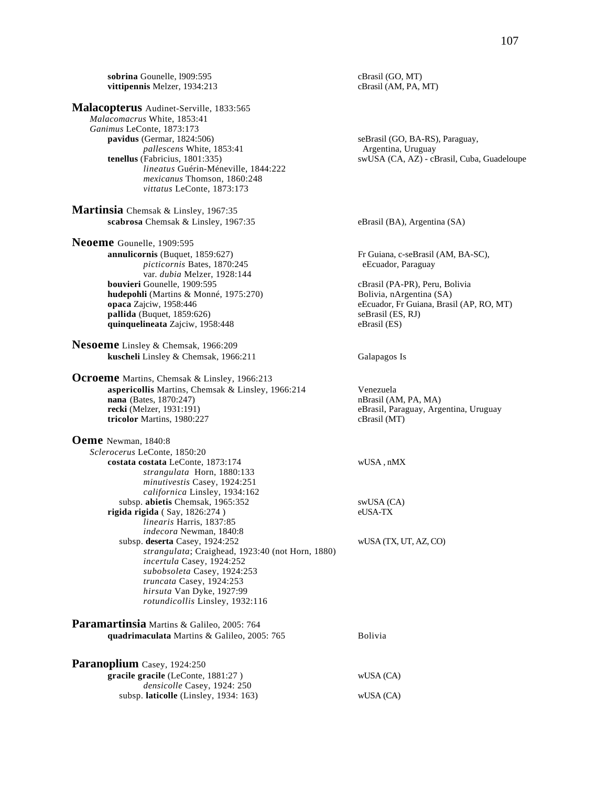**sobrina** Gounelle, 1909:595 cBrasil (GO, MT)<br> **vittipennis** Melzer, 1934:213 cBrasil (AM, PA, MT) vittipennis Melzer, 1934:213 **Malacopterus** Audinet-Serville, 1833:565 *Malacomacrus* White, 1853:41 *Ganimus* LeConte, 1873:173 **pavidus** (Germar, 1824:506) seBrasil (GO, BA-RS), Paraguay, *pallescens* White, 1853:41 **Argentina, Uruguay tenellus** (Fabricius, 1801:335) **Argentina, Uruguay Argentina, Uruguay Argentina**, Uruguay swUSA (CA, AZ) - cBrasil, Cuba, Guadeloupe *lineatus* Guérin-Méneville, 1844:222 *mexicanus* Thomson, 1860:248 *vittatus* LeConte, 1873:173 **Martinsia** Chemsak & Linsley, 1967:35 **scabrosa** Chemsak & Linsley, 1967:35 eBrasil (BA), Argentina (SA) **Neoeme** Gounelle, 1909:595<br>**annulicornis** (Buquet, 1859:627) Fr Guiana, c-seBrasil (AM, BA-SC), *picticornis* Bates, 1870:245 eEcuador, Paraguay var. *dubia* Melzer, 1928:144<br>**bouvieri** Gounelle, 1909:595 cBrasil (PA-PR), Peru, Bolivia<br>Bolivia, nArgentina (SA) **hudepohli** (Martins & Monné, 1975:270) **opaca** Zajciw, 1958:446 eEcuador, Fr Guiana, Brasil (AP, RO, MT) **pallida** (Buquet, 1859:626) seBrasil (ES, RJ) **quinquelineata** Zajciw, 1958:448 eBrasil (ES) **Nesoeme** Linsley & Chemsak, 1966:209 **kuscheli** Linsley & Chemsak, 1966:211 Galapagos Is **Ocroeme** Martins, Chemsak & Linsley, 1966:213 **aspericollis** Martins, Chemsak & Linsley, 1966:214 Venezuela<br> **aspericollis** Martins, Chemsak & Linsley, 1966:214 venezuela<br>
nBrasil (AM, PA, MA) **nana** (Bates, 1870:247)<br>**recki** (Melzer, 1931:191) eBrasil, Paraguay, Argentina, Uruguay **tricolor** Martins, 1980:227 cBrasil (MT) **Oeme** Newman, 1840:8 *Sclerocerus* LeConte, 1850:20 **costata costata** LeConte, 1873:174 wUSA , nMX *strangulata* Horn, 1880:133 *minutivestis* Casey, 1924:251 *californica* Linsley, 1934:162 subsp. **abietis** Chemsak, 1965:352 swUSA (CA) **rigida rigida** ( Say, 1826:274 ) eUSA-TX *linearis* Harris, 1837:85 *indecora* Newman, 1840:8 subsp. **deserta** Casey, 1924:252 wUSA (TX, UT, AZ, CO) *strangulata*; Craighead, 1923:40 (not Horn, 1880) *incertula* Casey, 1924:252 *subobsoleta* Casey, 1924:253 *truncata* Casey, 1924:253 *hirsuta* Van Dyke, 1927:99 *rotundicollis* Linsley, 1932:116 **Paramartinsia** Martins & Galileo, 2005: 764 **quadrimaculata** Martins & Galileo, 2005: 765 Bolivia Paranoplium Casey, 1924:250 **gracile gracile** (LeConte, 1881:27 ) wUSA (CA) *densicolle* Casey, 1924: 250 subsp. **laticolle** (Linsley, 1934: 163) wUSA (CA)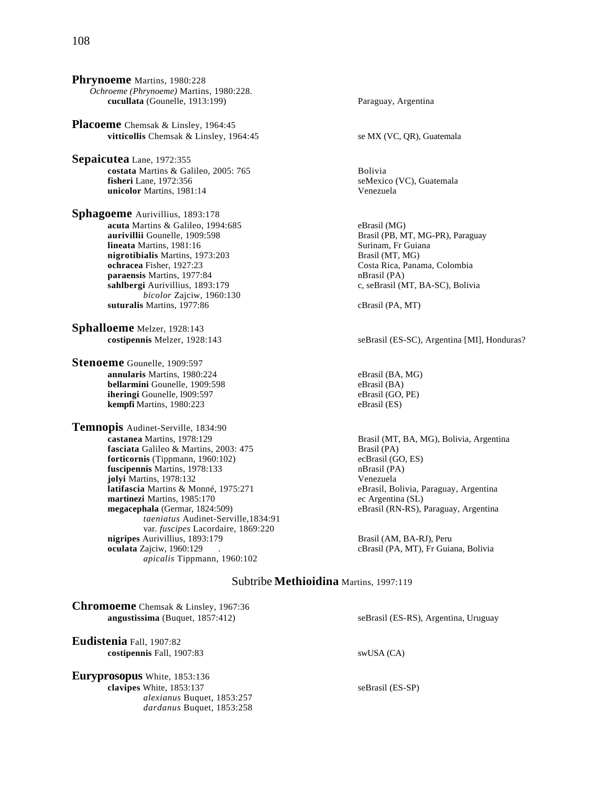**Phrynoeme** Martins, 1980:228 *Ochroeme (Phrynoeme)* Martins, 1980:228. **cucullata** (Gounelle, 1913:199) Paraguay, Argentina

**Placoeme** Chemsak & Linsley, 1964:45 **vitticollis** Chemsak & Linsley, 1964:45 se MX (VC, QR), Guatemala

**Sepaicutea** Lane, 1972:355 **costata** Martins & Galileo, 2005: 765 Bolivia **fisheri** Lane, 1972:356 seMexico (VC), Guatemala **unicolor** Martins, 1981:14 Venezuela

**Sphagoeme** Aurivillius, 1893:178 **acuta** Martins & Galileo, 1994:685 eBrasil (MG)<br> **aurivillii** Gounelle, 1909:598 Brasil (PB, M **lineata** Martins, 1981:16 **nigrotibialis** Martins, 1973:203 Brasil (MT, MG)<br> **ochracea** Fisher. 1927:23 Costa Rica. Pana **paraensis** Martins, 1977:84 nBrasil (PA) **sahlbergi** Aurivillius, 1893:179 c, seBrasil (MT, BA-SC), Bolivia *bicolor* Zajciw, 1960:130 **suturalis** Martins, 1977:86 cBrasil (PA, MT)

**Sphalloeme** Melzer, 1928:143

**Stenoeme** Gounelle, 1909:597 **annularis** Martins, 1980:224 eBrasil (BA, MG) **bellarmini** Gounelle, 1909:598 eBrasil (BA)<br> **iheringi** Gounelle, 1909:597 eBrasil (GO, PE) **iheringi** Gounelle, 1909:597 **kempfi** Martins, 1980:223 eBrasil (ES)

**Temnopis Audinet-Serville, 1834:90**<br>castanea Martins, 1978:129 **fasciata** Galileo & Martins, 2003: 475 Brasil (PA)<br> **forticornis** (Tippmann, 1960:102) ecBrasil (GO, ES) **forticornis** (Tippmann, 1960:102) ecBrasil (GO, **fuscipennis** Martins, 1978:133 **ecGrasil** (PA) fuscipennis Martins, 1978:133 **jolyi** Martins, 1978:132<br> **1988: Intifascia** Martins & Monné, 1975:271 **1988: Exercía de Partina**<br>
1998: Paraguay, Argentina **latifascia Martins & Monné, 1975:271 martinezi** Martins, 1985:170 ec Argentina (SL) **megacephala** (Germar, 1824:509) eBrasil (RN-RS), Paraguay, Argentina *taeniatus* Audinet-Serville,1834:91 var. *fuscipes* Lacordaire, 1869:220 **nigripes** Aurivillius, 1893:179 **Brasil (AM, BA-RJ), Peru**<br> **oculata** Zajciw, 1960:129 (Brasil (PA, MT), Fr Guia *apicalis* Tippmann, 1960:102

Brasil (PB, MT, MG-PR), Paraguay<br>Surinam, Fr Guiana Costa Rica, Panama, Colombia

**costipennis** Melzer, 1928:143 seBrasil (ES-SC), Argentina [MI], Honduras?

Brasil (MT, BA, MG), Bolivia, Argentina

cBrasil (PA, MT), Fr Guiana, Bolivia

# Subtribe **Methioidina** Martins, 1997:119

| <b>Chromoeme</b> Chemsak & Linsley, 1967:36<br>angustissima (Buquet, $1857:412$ )                                          | seBrasil (ES-RS), Argentina, Uruguay |
|----------------------------------------------------------------------------------------------------------------------------|--------------------------------------|
| Eudistenia Fall, 1907:82<br>costipennis Fall, 1907:83                                                                      | swUSA (CA)                           |
| <b>Euryprosopus</b> White, 1853:136<br>clavipes White, 1853:137<br>alexianus Buquet, 1853:257<br>dardanus Buquet, 1853:258 | seBrasil (ES-SP)                     |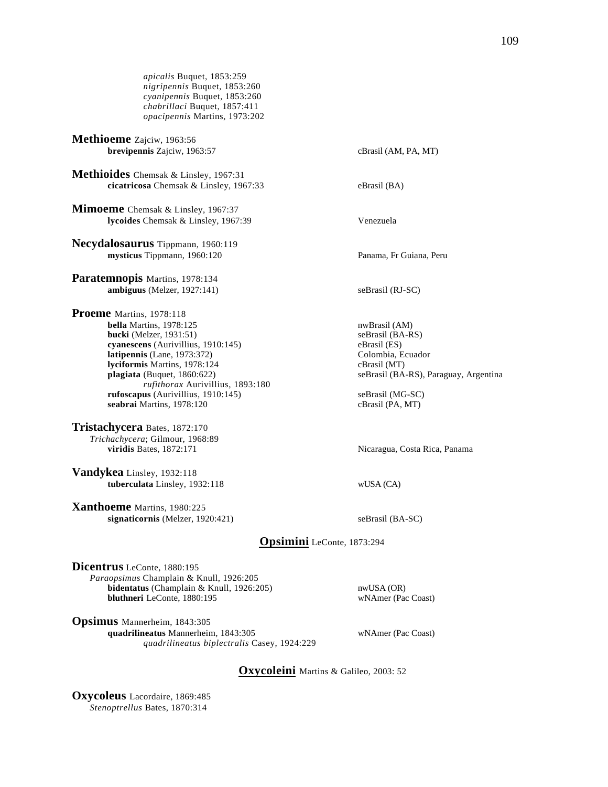*apicalis* Buquet, 1853:259 *nigripennis* Buquet, 1853:260 *cyanipennis* Buquet, 1853:260 *chabrillaci* Buquet, 1857:411 *opacipennis* Martins, 1973:202

**Methioeme** Zajciw, 1963:56 **brevipennis** Zajciw, 1963:57 cBrasil (AM, PA, MT)

**Methioides** Chemsak & Linsley, 1967:31 **cicatricosa** Chemsak & Linsley, 1967:33 eBrasil (BA)

**Mimoeme** Chemsak & Linsley, 1967:37 **lycoides** Chemsak & Linsley, 1967:39 Venezuela

**Necydalosaurus** Tippmann, 1960:119 **mysticus** Tippmann, 1960:120 Panama, Fr Guiana, Peru

**Paratemnopis** Martins, 1978:134 **ambiguus** (Melzer, 1927:141) seBrasil (RJ-SC)

**Proeme** Martins, 1978:118 **bella** Martins, 1978:125 nwBrasil (AM)<br> **bucki** (Melzer, 1931:51) seBrasil (BA-RS) **bucki** (Melzer,  $1931:51$ ) **cyanescens** (Aurivillius, 1910:145) eBrasil (ES)<br> **latipennis** (Lane, 1973:372) Colombia, Ecuador  $lationalation is (Lane, 1973:372)$ **lyciformis** Martins, 1978:124 cBrasil (MT) **plagiata** (Buquet, 1860:622) seBrasil (BA-RS), Paraguay, Argentina *rufithorax* Aurivillius, 1893:180 **rufoscapus** (Aurivillius, 1910:145) seBrasil (MG-SC) **seabrai** Martins, 1978:120 cBrasil (PA, MT)

**Tristachycera** Bates, 1872:170 *Trichachycera*; Gilmour, 1968:89 **viridis** Bates, 1872:171 Nicaragua, Costa Rica, Panama

**Vandykea** Linsley, 1932:118 **tuberculata** Linsley, 1932:118 wUSA (CA)

**Xanthoeme** Martins, 1980:225 **signaticornis** (Melzer, 1920:421) seBrasil (BA-SC)

**Opsimini** LeConte, 1873:294

**Dicentrus** LeConte, 1880:195 *Paraopsimus* Champlain & Knull, 1926:205 **bidentatus** (Champlain & Knull, 1926:205) nwUSA (OR) **bluthneri** LeConte, 1880:195 wNAmer (Pac Coast)

**Opsimus** Mannerheim, 1843:305 **quadrilineatus** Mannerheim, 1843:305 wNAmer (Pac Coast) *quadrilineatus biplectralis* Casey, 1924:229

**Oxycoleini** Martins & Galileo, 2003: 52

**Oxycoleus** Lacordaire, 1869:485 *Stenoptrellus* Bates, 1870:314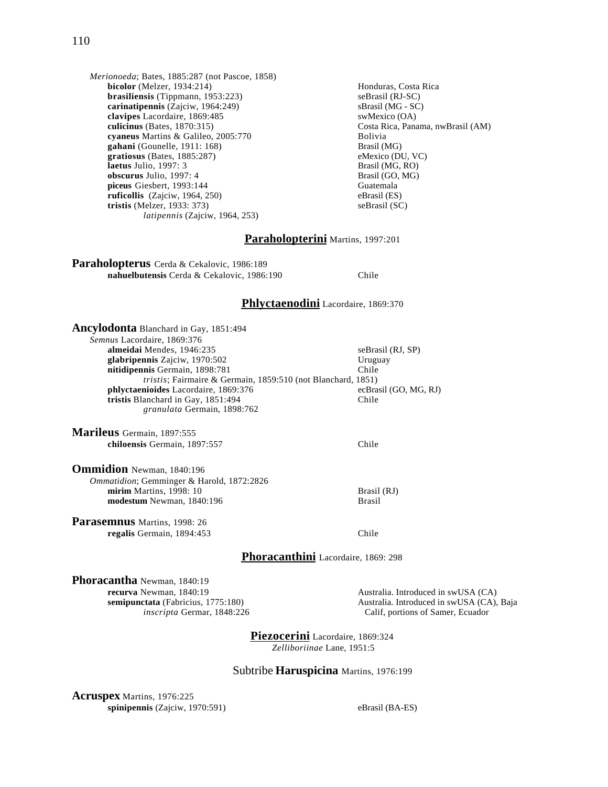*Merionoeda*; Bates, 1885:287 (not Pascoe, 1858) **bicolor** (Melzer, 1934:214) **Honduras, Costa Rica brasiliensis** (Tippmann, 1953:223) seBrasil (RJ-SC) **carinatipennis**  $(Zajciw, 1964:249)$  sBrasil (MG - SC)<br> **clavipes** Lacordaire, 1869:485 swMexico (OA) clavipes Lacordaire, 1869:485<br>culicinus (Bates, 1870:315) **cyaneus** Martins & Galileo, 2005:770 Bolivia<br> **cyaneus** Martins (Gounelle, 1911: 168) Brasil (MG) **gahani** (Gounelle, 1911: 168)<br> **gratiosus** (Bates, 1885:287) Brasil (MG)<br>
eMexico (DU, VC)  $grations$  (Bates,  $1885:287$ ) **laetus** Julio, 1997: 3 Brasil (MG, RO)<br> **obscurus** Julio, 1997: 4 Brasil (GO, MG) **obscurus** Julio, 1997: 4 **piceus** Giesbert, 1993:144 Guatemala **ruficollis** (Zajciw, 1964, 250) eBrasil (ES)<br> **tristis** (Melzer, 1933: 373) seBrasil (SC) **tristis** (Melzer, 1933: 373) *latipennis* (Zajciw, 1964, 253)

Costa Rica, Panama, nwBrasil (AM)

## **Paraholopterini** Martins, 1997:201

**Paraholopterus** Cerda & Cekalovic, 1986:189 **nahuelbutensis** Cerda & Cekalovic, 1986:190 Chile

# **Phlyctaenodini** Lacordaire, 1869:370

| Ancylodonta Blanchard in Gay, 1851:494                               |                                                       |
|----------------------------------------------------------------------|-------------------------------------------------------|
| Semnus Lacordaire, 1869:376                                          |                                                       |
| almeidai Mendes, 1946:235                                            | seBrasil (RJ, SP)                                     |
| glabripennis Zajciw, 1970:502                                        | Uruguay                                               |
| nitidipennis Germain, 1898:781                                       | Chile                                                 |
| <i>tristis</i> ; Fairmaire & Germain, 1859:510 (not Blanchard, 1851) |                                                       |
| phlyctaenioides Lacordaire, 1869:376                                 | ecBrasil (GO, MG, RJ)                                 |
| tristis Blanchard in Gay, 1851:494                                   | Chile                                                 |
| granulata Germain, 1898:762                                          |                                                       |
| Marileus Germain, 1897:555                                           |                                                       |
| chiloensis Germain, 1897:557                                         | Chile                                                 |
| <b>Ommidion</b> Newman, 1840:196                                     |                                                       |
| Ommatidion; Gemminger & Harold, 1872:2826                            |                                                       |
| mirim Martins, 1998: 10                                              | Brasil (RJ)                                           |
| modestum Newman, 1840:196                                            | <b>Brasil</b>                                         |
| Parasemnus Martins, 1998: 26                                         |                                                       |
| regalis Germain, 1894:453                                            | Chile                                                 |
|                                                                      |                                                       |
| Phoracanthini Lacordaire, 1869: 298                                  |                                                       |
|                                                                      |                                                       |
| Phoracantha Newman, 1840:19                                          |                                                       |
| recurva Newman, 1840:19                                              | Australia. Introduced in s                            |
| semipunctata (Fabricius, 1775:180)<br>inscripta Germar, 1848:226     | Australia. Introduced in s<br>Calif, portions of Same |

 $swUSA (CA)$ swUSA (CA), Baja *inscripta* Germar, 1848:226 Calif, portions of Samer, Ecuador

**Piezocerini** Lacordaire, 1869:324  *Zelliboriinae* Lane, 1951:5

#### Subtribe **Haruspicina** Martins, 1976:199

**Acruspex** Martins, 1976:225 **spinipennis** (Zajciw, 1970:591) eBrasil (BA-ES)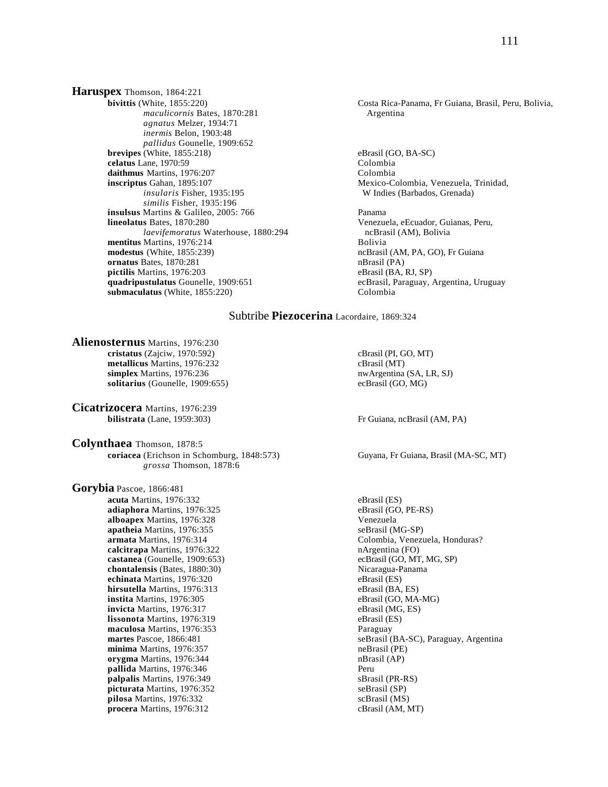**Haruspex** Thomson, 1864:221<br>bivittis (White, 1855:220) *maculicornis* Bates, 1870:281 *agnatus* Melzer, 1934:71 *inermis* Belon, 1903:48 *pallidus* Gounelle, 1909:652 **brevipes** (White, 1855:218) eBrasil (GO, BA-SC) **celatus** Lane, 1970:59 Colombia daithmus Martins, 1976:207 Colombia **inscriptus** Gahan, 1895:107 Mexico-Colombia, Venezuela, Trinidad, *insularis* Fisher, 1935:195 W Indies (Barbados, Grenada) *similis* Fisher, 1935:196 **insulsus** Martins & Galileo, 2005: 766 Panama **lineolatus** Bates, 1870:280 Venezuela, eEcuador, Guianas, Peru, *laevifemoratus* Waterhouse, 1880:294 ncBrasil (AM), Bolivia **mentitus Martins, 1976:214** Bolivia **modestus** (White, 1855:239) **ncBrasil (AM, PA, GO), Fr Guiana**<br> **ornatus** Bates, 1870:281 **ncBrasil (PA) ncBrasil** (PA) **ornatus** Bates, 1870:281 **pictilis** Martins, 1976:203 eBrasil (BA, RJ, SP) **quadripustulatus** Gounelle, 1909:651 ecBrasil, Paraguay, Argentina, Uruguay **submaculatus** (White, 1855:220) Colombia

Costa Rica-Panama, Fr Guiana, Brasil, Peru, Bolivia, Argentina

### Subtribe **Piezocerina** Lacordaire, 1869:324

**Alienosternus** Martins, 1976:230 **cristatus** (Zajciw, 1970:592) cBrasil (PI, GO, MT) **metallicus** Martins, 1976:232 cBrasil (MT) **simplex** Martins, 1976:236 nwArgentina (SA, LR, SJ) **solitarius** (Gounelle, 1909:655) ecBrasil (GO, MG)

**Cicatrizocera** Martins, 1976:239 **bilistrata** (Lane, 1959:303) Fr Guiana, ncBrasil (AM, PA)

**Colynthaea** Thomson, 1878:5 **coriacea** (Erichson in Schomburg, 1848:573) Guyana, Fr Guiana, Brasil (MA-SC, MT) *grossa* Thomson, 1878:6

**Gorybia** Pascoe, 1866:481 **acuta** Martins, 1976:332 eBrasil (ES)<br> **adiaphora** Martins, 1976:325 eBrasil (GO, PE-RS) adiaphora Martins, 1976:325 **alboapex** Martins, 1976:328 Venezuela **apatheia** Martins, 1976:355 seBrasil (MG-SP) **calcitrapa** Martins, 1976:322 nArgentina (FO) **castanea** (Gounelle, 1909:653) ecBrasil (GO, MT, MG, SP) **chontalensis** (Bates, 1880:30) Nicaragua-Panama **echinata** Martins, 1976:320 eBrasil (ES) **hirsutella** Martins, 1976:313<br> **instita** Martins, 1976:305<br>
eBrasil (GO, MA-MG) **instita** Martins, 1976:305 eBrasil (GO, MA-**invicta** Martins, 1976:317 eBrasil (MG, ES) **invicta** Martins, 1976:317 **lissonota** Martins, 1976:319 eBrasil (ES) **maculosa** Martins, 1976:353 Paraguay **minima** Martins, 1976:357 neBrasil (PE) **orygma** Martins, 1976:344 **nBrasil** (AP) **pallida** Martins, 1976:346 Peru **palpalis** Martins, 1976:349 sBrasil (PR-RS) **picturata** Martins, 1976:352 seBrasil (SP)<br> **pilosa** Martins, 1976:332 seBrasil (MS) pilosa Martins, 1976:332 procera Martins, 1976:312 cBrasil (AM, MT)

 **armata** Martins, 1976:314 Colombia, Venezuela, Honduras? **martes** Pascoe, 1866:481 seBrasil (BA-SC), Paraguay, Argentina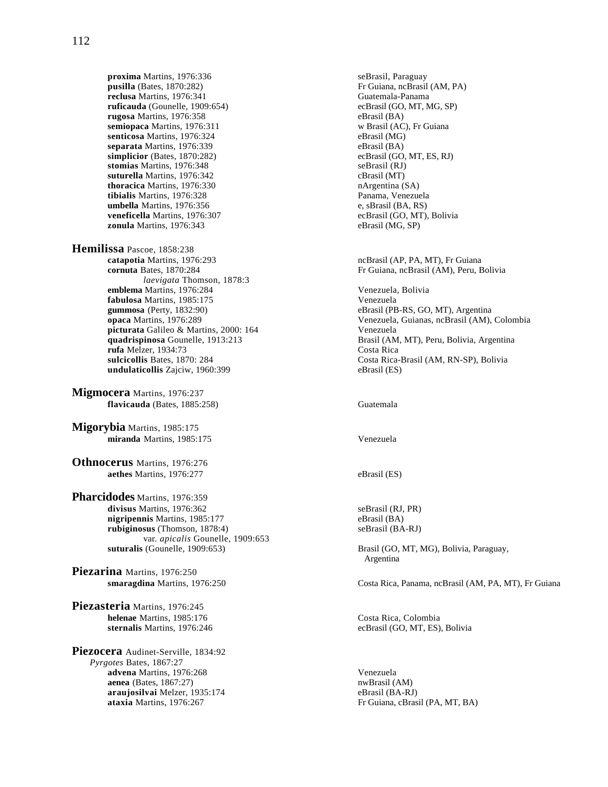**proxima** Martins, 1976:336 seBrasil, Paraguay<br> **pusilla** (Bates, 1870:282) **F** Guiana, ncBrasil **reclusa** Martins, 1976:341 Guatemala-Panama **ruficauda** (Gounelle, 1909:654) ecBrasil (GO, MT, MG, SP)<br> **rugosa** Martins, 1976:358 eBrasil (BA) **rugosa** Martins, 1976:358<br> **rugosa Martins, 1976:311** eBrasil (AC), Fr Guiana<br>
w Brasil (AC), Fr Guiana semiopaca Martins, 1976:311 **senticosa** Martins, 1976:324 eBrasil (MG)<br> **separata** Martins, 1976:339 eBrasil (BA) **separata** Martins, 1976:339<br> **simplicior** (Bates, 1870:282) ecBrasil (GO, MT, ES, RJ) **simplicior** (Bates, 1870:282) **stomias** Martins, 1976:348 seBrasil (RJ)<br> **suturella** Martins, 1976:342 cBrasil (MT) suturella Martins, 1976:342 **thoracica** Martins, 1976:330 nArgentina (SA) **tibialis** Martins, 1976:328 Panama, Venezuela **umbella** Martins, 1976:356 e, sBrasil (BA, RS)<br> **veneficella** Martins, 1976:307 ecBrasil (GO, MT). **zonula** Martins, 1976:343 eBrasil (MG, SP)

**Hemilissa** Pascoe, 1858:238<br>**catapotia** Martins. 1976:293 **cornuta** Bates, 1870:284 **Fr** Guiana, ncBrasil (AM), Peru, Bolivia *laevigata* Thomson, 1878:3 **emblema** Martins, 1976:284<br> **emblema** Martins, 1985:175<br>
Venezuela<br>
Venezuela **fabulosa** Martins, 1985:175 **gummosa** (Perty, 1832:90) **picturata** Galileo & Martins, 2000: 164 Venezuela<br> **quadrispinosa** Gounelle, 1913:213 Brasil (AM **rufa** Melzer, 1934:73 **undulaticollis** Zajciw, 1960:399 eBrasil (ES)

**Migmocera** Martins, 1976:237 **flavicauda** (Bates, 1885:258) Guatemala

**Migorybia** Martins, 1985:175 **miranda** Martins, 1985:175 Venezuela

**Othnocerus** Martins, 1976:276 **aethes** Martins, 1976:277 eBrasil (ES)

**Pharcidodes** Martins, 1976:359 divisus Martins, 1976:362 seBrasil (RJ, PR) **nigripennis** Martins, 1985:177 eBrasil (BA) **rubiginosus** (Thomson, 1878:4) seBrasil (BA-RJ) var. *apicalis* Gounelle, 1909:653<br>suturalis (Gounelle, 1909:653)

**Piezarina** Martins, 1976:250

**Piezasteria** Martins, 1976:245 **helenae** Martins, 1985:176 Costa Rica, Colombia

**Piezocera** Audinet-Serville, 1834:92 *Pyrgotes* Bates, 1867:27 **advena** Martins, 1976:268 Venezuela<br> **aenea** (Bates, 1867:27) venezuela<br>
mwBrasil (AM) **aenea** (Bates, 1867:27) **araujosilvai** Melzer, 1935:174 **bis araujosilvai** Melzer, 1935:174 **bis araujosilvai** Melzer, 1935:174 araujosilvai Melzer, 1935:174

Fr Guiana, ncBrasil (AM, PA) ecBrasil (GO, MT), Bolivia

ncBrasil (AP, PA, MT), Fr Guiana

eBrasil (PB-RS, GO, MT), Argentina **opaca** Martins, 1976:289 Venezuela, Guianas, ncBrasil (AM), Colombia Brasil (AM, MT), Peru, Bolivia, Argentina<br>Costa Rica **sulcicollis** Bates, 1870: 284 Costa Rica-Brasil (AM, RN-SP), Bolivia

Brasil (GO, MT, MG), Bolivia, Paraguay, Argentina

**smaragdina** Martins, 1976:250 Costa Rica, Panama, ncBrasil (AM, PA, MT), Fr Guiana

**sternalis** Martins, 1976:246 ecBrasil (GO, MT, ES), Bolivia

**ataxia** Martins, 1976:267 **Fr Guiana, cBrasil (PA, MT, BA)**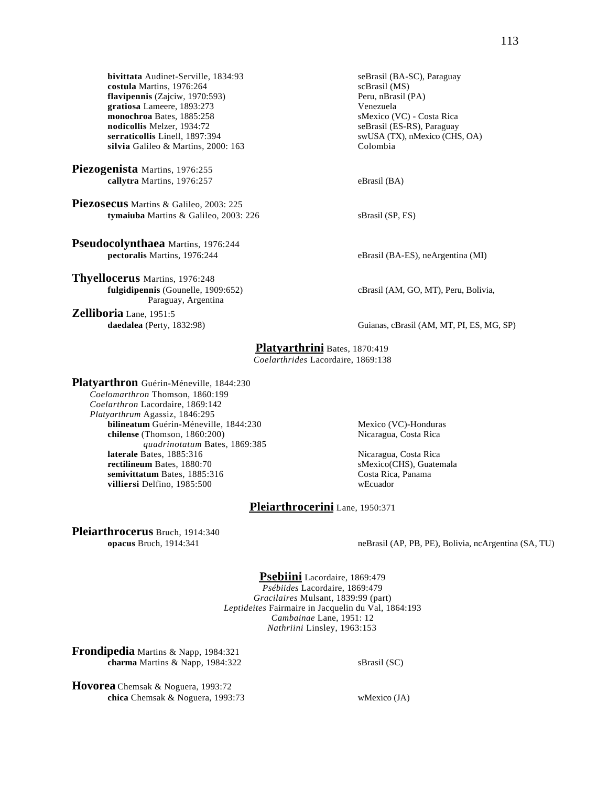**bivittata** Audinet-Serville, 1834:93 seBrasil (BA-SC), Paraguay<br> **costula** Martins, 1976:264 scBrasil (MS) **costula** Martins, 1976:264<br> **flavipennis** (Zajciw, 1970:593) **compared as a set of the set of the set of the set of Peru, nBrasil (PA) flavipennis** (Zajciw, 1970:593) **gratiosa** Lameere, 1893:273 Venezuela monochroa Bates, 1885:258<br>nodicollis Melzer, 1934:72 **serraticollis** Linell, 1897:394 swUSA (TX), nMexico (CHS, OA) silvia Galileo & Martins, 2000: 163 Colombia

**Piezogenista** Martins, 1976:255 **callytra** Martins, 1976:257 eBrasil (BA)

**Piezosecus** Martins & Galileo, 2003: 225 **tymaiuba** Martins & Galileo, 2003: 226 sBrasil (SP, ES)

**Pseudocolynthaea** Martins, 1976:244 **pectoralis** Martins, 1976:244 eBrasil (BA-ES), neArgentina (MI)

**Thyellocerus** Martins, 1976:248<br>**fulgidipennis** (Gounelle, 1909:652) Paraguay, Argentina

**Zelliboria** Lane, 1951:5

seBrasil (ES-RS), Paraguay

 $f$ Brasil (AM, GO, MT), Peru, Bolivia,

**daedalea** (Perty, 1832:98) Guianas, cBrasil (AM, MT, PI, ES, MG, SP)

### **Platyarthrini** Bates, 1870:419

*Coelarthrides* Lacordaire, 1869:138

**Platyarthron** Guérin-Méneville, 1844:230 *Coelomarthron* Thomson, 1860:199 *Coelarthron* Lacordaire, 1869:142 *Platyarthrum* Agassiz, 1846:295 **bilineatum** Guérin-Méneville, 1844:230 Mexico (VC)-Honduras **chilense** (Thomson, 1860:200) Nicaragua, Costa Rica *quadrinotatum* Bates, 1869:385 **laterale Bates, 1885:316** Nicaragua, Costa Rica **rectilineum** Bates, 1880:70 sMexico(CHS), Guatemala<br> **rectilineum** Bates, 1885:316 SMexico(CHS), Guatemala<br>
Costa Rica, Panama **semivittatum** Bates, 1885:316<br> **villiersi** Delfino, 1985:500 villiersi Delfino, 1985:500

## **Pleiarthrocerini** Lane, 1950:371

**Pleiarthrocerus** Bruch, 1914:340<br>opacus Bruch, 1914:341

neBrasil (AP, PB, PE), Bolivia, ncArgentina (SA, TU)

**Psebiini** Lacordaire, 1869:479 *Psébiides* Lacordaire, 1869:479 *Gracilaires* Mulsant, 1839:99 (part) *Leptideites* Fairmaire in Jacquelin du Val, 1864:193 *Cambainae* Lane, 1951: 12 *Nathriini* Linsley, 1963:153

**Frondipedia** Martins & Napp, 1984:321 **charma** Martins & Napp, 1984:322 sBrasil (SC)

**Hovorea** Chemsak & Noguera, 1993:72 **chica** Chemsak & Noguera, 1993:73 wMexico (JA)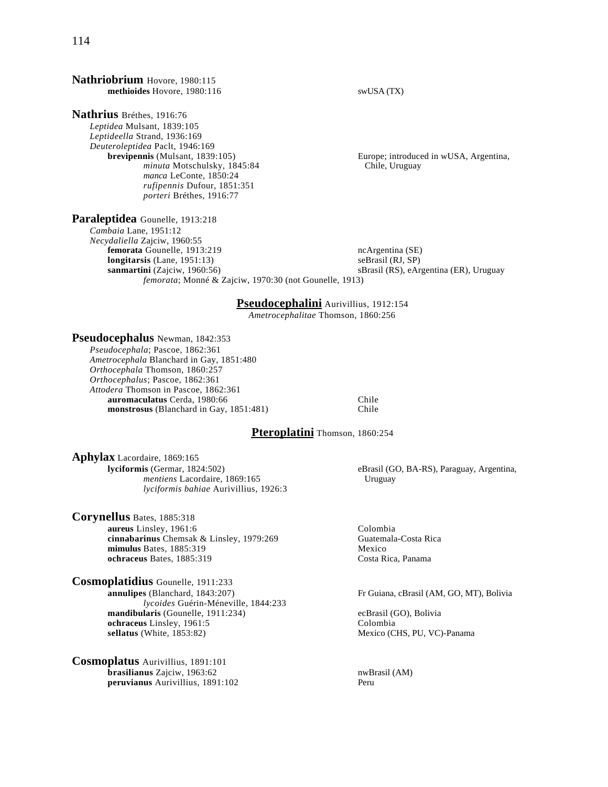### **Nathriobrium** Hovore, 1980:115 **methioides** Hovore, 1980:116 swUSA (TX)

**Paraleptidea** Gounelle, 1913:218

**Nathrius** Bréthes, 1916:76

*Leptidea* Mulsant, 1839:105 *Leptideella* Strand, 1936:169 *Deuteroleptidea* Paclt, 1946:169 **brevipennis** (Mulsant, 1839:105) Europe; introduced in wUSA, Argentina, *minuta* Motschulsky, 1845:84 Chile, Uruguay *manca* LeConte, 1850:24 *rufipennis* Dufour, 1851:351 *porteri* Bréthes, 1916:77

*Cambaia* Lane, 1951:12 *Necydaliella* Zajciw, 1960:55 **femorata** Gounelle, 1913:219 ncArgentina (SE) **longitarsis** (Lane, 1951:13) seBrasil (RJ, SP) sanmartini (Zajciw, 1960:56) sBrasil (RS), eArgentina (ER), Uruguay *femorata*; Monné & Zajciw, 1970:30 (not Gounelle, 1913)

**Pseudocephalini** Aurivillius, 1912:154

*Ametrocephalitae* Thomson, 1860:256

## **Pseudocephalus** Newman, 1842:353

*Pseudocephala*; Pascoe, 1862:361 *Ametrocephala* Blanchard in Gay, 1851:480 *Orthocephala* Thomson, 1860:257 *Orthocephalus*; Pascoe, 1862:361 *Attodera* Thomson in Pascoe, 1862:361 **auromaculatus** Cerda, 1980:66<br> **auromaculatus** Chile<br>
Chile 
Chile **monstrosus** (Blanchard in Gay, 1851:481)

# **Pteroplatini** Thomson, 1860:254

**Aphylax** Lacordaire, 1869:165<br>lyciformis (Germar, 1824:502) *mentiens* Lacordaire, 1869:165 Uruguay *lyciformis bahiae* Aurivillius, 1926:3

**Corynellus** Bates, 1885:318 **aureus** Linsley, 1961:6 Colombia<br> **cinnabarinus** Chemsak & Linsley, 1979:269 Cuatemala-Costa Rica cinnabarinus Chemsak & Linsley, 1979:269 **mimulus** Bates, 1885:319 Mexico **ochraceus** Bates, 1885:319 Costa Rica, Panama

**Cosmoplatidius** Gounelle, 1911:233 **annulipes** (Blanchard, 1843:207) Fr Guiana, cBrasil (AM, GO, MT), Bolivia *lycoides* Guérin-Méneville, 1844:233 **mandibularis** (Gounelle, 1911:234) ecBrasil (GO), Bolivia **ochraceus** Linsley, 1961:5 Colombia<br> **Sellatus** (White, 1853:82) Mexico (C

**Cosmoplatus** Aurivillius, 1891:101 **brasilianus** Zajciw, 1963:62<br> **brasilianus** Aurivillius, 1891:102 **nwBrasil (AM)**<br>
Peru peruvianus Aurivillius, 1891:102

eBrasil (GO, BA-RS), Paraguay, Argentina,

Mexico (CHS, PU, VC)-Panama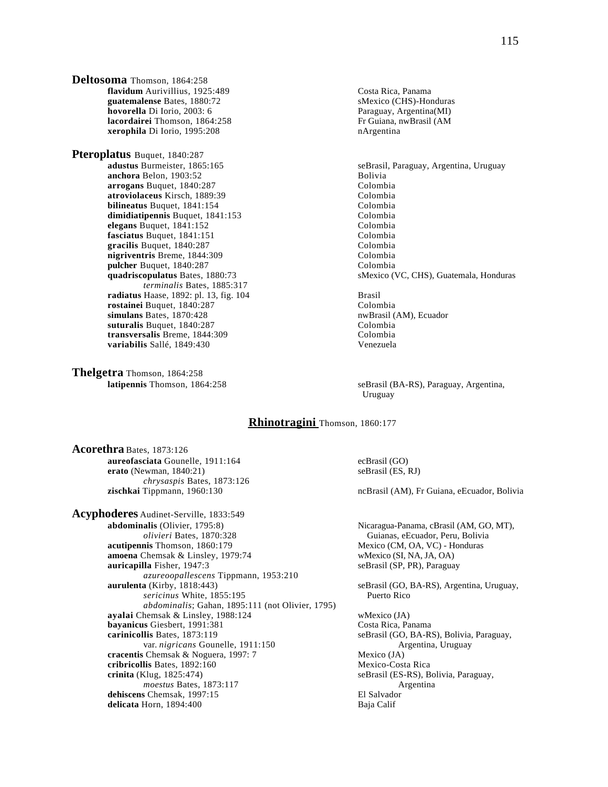**Deltosoma** Thomson, 1864:258 **flavidum** Aurivillius, 1925:489 Costa Rica, Panama **guatemalense** Bates, 1880:72 sMexico (CHS)-Honduras<br> **hovorella** Di Iorio, 2003: 6 **hovorella** Di Iorio, 2003: 6 **hovorella** Di Iorio, 2003: 6 **http://www.fraguate.org/2003 hovorella** Di Iorio, 2003: 6 **lacordairei Thomson, 1864:258** Fr Guiana, nwBrasil (AM **xerophila** Di Iorio, 1995:208 **Fr Guiana**, nwBrasil (AM **xerophila** Di Iorio, 1995:208

**Pteroplatus** Buquet, 1840:287 **adustus** Burmeister, 1865:165 seBrasil, Paraguay, Argentina, Uruguay<br> **anchora** Belon, 1903:52 **seBrasil, Paraguay, Argentina, Uruguay anchora** Belon, 1903:52<br> **arrogans** Buquet, 1840:287<br>
Colombia arrogans Buquet, 1840:287 **atroviolaceus** Kirsch, 1889:39<br> **bilineatus** Buquet, 1841:154<br>
Colombia **bilineatus** Buquet, 1841:154 **Colombia**<br> **dimidiatinennis** Buquet, 1841:153 **Colombia** dimidiatipennis Buquet, 1841:153 **elegans** Buquet, 1841:152<br> **elegans** Buquet, 1841:151<br>
Colombia **fasciatus** Buquet, 1841:151 Colombia<br> **gracilis** Buquet, 1840:287 Colombia gracilis Buquet, 1840:287 **nigriventris** Breme, 1844:309 Colombia **pulcher** Buquet, 1840:287 Colombia *terminalis* Bates, 1885:317 **radiatus** Haase, 1892: pl. 13, fig. 104 **Brasil Brasil Brasil**<br> **rostainei** Buquet. 1840:287 **Colombia** rostainei Buquet, 1840:287 **simulans** Bates, 1870:428 nwBrasil (AM), Ecuador **suturalis** Buquet, 1840:287 Colombia **transversalis** Breme, 1844:309 Colombia **variabilis** Sallé, 1849:430 Venezuela

**Thelgetra** Thomson, 1864:258

**quadriscopulatus** Bates, 1880:73 sMexico (VC, CHS), Guatemala, Honduras

**latipennis** Thomson, 1864:258 seBrasil (BA-RS), Paraguay, Argentina, Uruguay

# **Rhinotragini** Thomson, 1860:177

**Acorethra** Bates, 1873:126 **aureofasciata** Gounelle, 1911:164 ecBrasil (GO)<br> **erato** (Newman, 1840:21) seBrasil (ES, RJ) **erato** (Newman, 1840:21) *chrysaspis* Bates, 1873:126 **zischkai** Tippmann, 1960:130 ncBrasil (AM), Fr Guiana, eEcuador, Bolivia

**Acyphoderes** Audinet-Serville, 1833:549 *olivieri* Bates, 1870:328 Guianas, eEcuador, Peru, Bolivia **acutipennis** Thomson, 1860:179 Mexico (CM, OA, VC) - Honduras **amoena** Chemsak & Linsley, 1979:74 wMexico (SI, NA, JA, OA) **auricapilla** Fisher, 1947:3 seBrasil (SP, PR), Paraguay *azureoopallescens* Tippmann, 1953:210 *sericinus* White, 1855:195 Puerto Rico *abdominalis*; Gahan, 1895:111 (not Olivier, 1795) **ayalai** Chemsak & Linsley, 1988:124 wMexico (JA) **bayanicus** Giesbert, 1991:381 Costa Rica, Panama<br> **carinicollis** Bates, 1873:119 SeBrasil (GO, BA-R) var. *nigricans* Gounelle, 1911:150 **Argentina**, Uruguay **cracentis** Chemsak & Noguera, 1997: 7 Mexico (JA) **cribricollis** Bates, 1892:160 Mexico-Costa Rica **crinita** (Klug, 1825:474) seBrasil (ES-RS), Bolivia, Paraguay, *moestus* Bates, 1873:117 Argentina **dehiscens** Chemsak, 1997:15 **El Salvador delicata Horn**, 1894:400 **El Salvador** Baja Calif delicata Horn, 1894:400

Nicaragua-Panama, cBrasil (AM, GO, MT), Mexico (CM, OA, VC) - Honduras

seBrasil (GO, BA-RS), Argentina, Uruguay,

seBrasil (GO, BA-RS), Bolivia, Paraguay,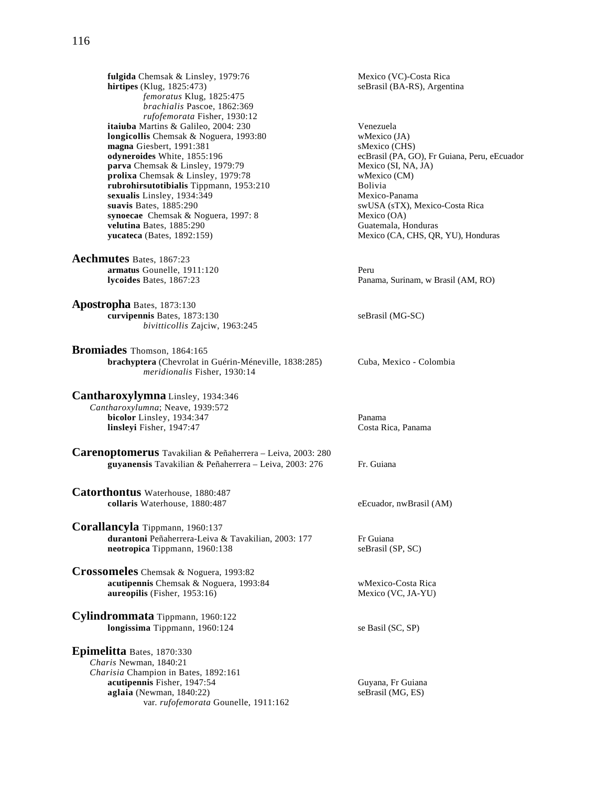**fulgida** Chemsak & Linsley, 1979:76 Mexico (VC)-Costa Rica<br> **hirtipes** (Klug, 1825:473) SeBrasil (BA-RS), Argent *femoratus* Klug, 1825:475 *brachialis* Pascoe, 1862:369 *rufofemorata* Fisher, 1930:12 **itaiuba** Martins & Galileo, 2004: 230 Venezuela **longicollis** Chemsak & Noguera, 1993:80 wMexico (JA)<br> **magna** Giesbert, 1991:381 sMexico (CHS) magna Giesbert, 1991:381<br>odyneroides White, 1855:196 **parva** Chemsak & Linsley, 1979:79 Mexico (SI, NA, JA)<br> **prolixa** Chemsak & Linsley, 1979:78 wMexico (CM) prolixa Chemsak & Linsley, 1979:78 **rubrohirsutotibialis** Tippmann, 1953:210 Bolivia **sexualis** Linsley, 1934:349<br> **suavis** Bates, 1885:290<br>
SWUSA (sTX), Mexico-Panama **synoecae** Chemsak & Noguera, 1997: 8 Mexico (OA) **velutina** Bates, 1885:290 Guatemala, Honduras

**Aechmutes** Bates, 1867:23 **armatus** Gounelle, 1911:120 Peru

**Apostropha** Bates, 1873:130 **curvipennis** Bates, 1873:130 seBrasil (MG-SC) *bivitticollis* Zajciw, 1963:245

**Bromiades** Thomson, 1864:165 **brachyptera** (Chevrolat in Guérin-Méneville, 1838:285) Cuba, Mexico - Colombia *meridionalis* Fisher, 1930:14

**Cantharoxylymna** Linsley, 1934:346 *Cantharoxylumna*; Neave, 1939:572 **bicolor** Linsley, 1934:347 Panama **linsleyi** Fisher, 1947:47 Costa Rica, Panama

**Carenoptomerus** Tavakilian & Peñaherrera – Leiva, 2003: 280 **guyanensis** Tavakilian & Peñaherrera – Leiva, 2003: 276 Fr. Guiana

**Catorthontus** Waterhouse, 1880:487 **collaris** Waterhouse, 1880:487 eEcuador, nwBrasil (AM)

**Corallancyla** Tippmann, 1960:137 durantoni Peñaherrera-Leiva & Tavakilian, 2003: 177 Fr Guiana **neotropica** Tippmann, 1960:138 seBrasil (SP, SC)

**Crossomeles** Chemsak & Noguera, 1993:82 **acutipennis** Chemsak & Noguera, 1993:84 wMexico-Costa Rica **aureopilis** (Fisher, 1953:16) Mexico (VC, JA-YU)

**Cylindrommata** Tippmann, 1960:122 **longissima** Tippmann, 1960:124 se Basil (SC, SP)

**Epimelitta** Bates, 1870:330 *Charis* Newman, 1840:21 *Charisia* Champion in Bates, 1892:161 **acutipennis** Fisher, 1947:54 Guyana, Fr Guiana<br> **aglaia** (Newman, 1840:22) SeBrasil (MG, ES)  $a$ glaia (Newman, 1840:22) var. *rufofemorata* Gounelle, 1911:162

seBrasil (BA-RS), Argentina

ecBrasil (PA, GO), Fr Guiana, Peru, eEcuador swUSA (sTX), Mexico-Costa Rica **yucateca** (Bates, 1892:159) Mexico (CA, CHS, QR, YU), Honduras

**lycoides** Bates, 1867:23 Panama, Surinam, w Brasil (AM, RO)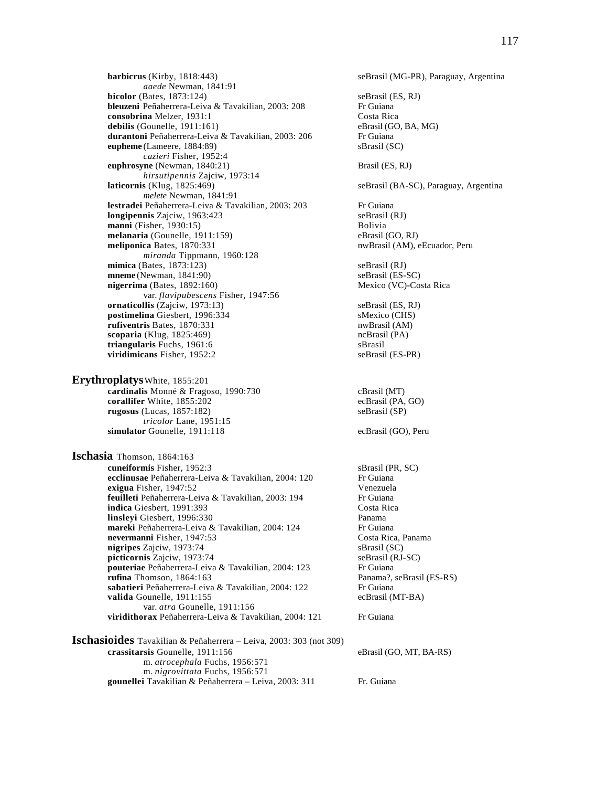**barbicrus** (Kirby, 1818:443) seBrasil (MG-PR), Paraguay, Argentina *aaede* Newman, 1841:91 **bicolor** (Bates, 1873:124) seBrasil (ES, RJ) **bleuzeni** Peñaherrera-Leiva & Tavakilian, 2003: 208 Fr Guiana<br> **consobrina** Melzer. 1931:1 Costa Rica **consobrina** Melzer, 1931:1 Costa Rica<br> **consobrina** Melzer, 1911:161) Costa Rica<br>
eBrasil (GO, BA, MG)  $debilis$  (Gounelle,  $1911:161$ ) durantoni Peñaherrera-Leiva & Tavakilian, 2003: 206 Fr Guiana **eupheme** (Lameere, 1884:89) sBrasil (SC) *cazieri* Fisher, 1952:4 **euphrosyne** (Newman, 1840:21) Brasil (ES, RJ) *hirsutipennis* Zajciw, 1973:14 **laticornis** (Klug, 1825:469) seBrasil (BA-SC), Paraguay, Argentina *melete* Newman, 1841:91 **lestradei** Peñaherrera-Leiva & Tavakilian, 2003: 203 Fr Guiana<br> **longipennis** Zaiciw. 1963:423 SeBrasil (RJ) **longipennis** Zajciw, 1963:423 **manni** (Fisher, 1930:15)<br> **melanaria** (Gounelle, 1911:159) Bolivia<br>
eBrasil (GO, RJ) melanaria (Gounelle, 1911:159)<br>meliponica Bates, 1870:331 *miranda* Tippmann, 1960:128 **mimica** (Bates, 1873:123) seBrasil (RJ)<br> **mneme** (Newman, 1841:90) seBrasil (ES-SC) **mneme** (Newman, 1841:90) **nigerrima** (Bates, 1892:160) Mexico (VC)-Costa Rica var. *flavipubescens* Fisher, 1947:56 **ornaticollis** (Zajciw, 1973:13) seBrasil (ES, RJ) **postimelina** Giesbert, 1996:334 sMexico (CHS) **rufiventris** Bates, 1870:331 nwBrasil (AM) **scoparia** (Klug, 1825:469) ncBrasil (PA) **triangularis** Fuchs, 1961:6 <br> **identify** space support of the selection of the selection of the selection of the selection of the selection of the selection of the selection of the selection of the selection of the select viridimicans Fisher, 1952:2

**Erythroplatys**White, 1855:201 **cardinalis** Monné & Fragoso, 1990:730 cBrasil (MT) **corallifer** White, 1855:202 ecBrasil (PA, GO) **rugosus** (Lucas, 1857:182) seBrasil (SP) *tricolor* Lane, 1951:15 **simulator** Gounelle, 1911:118 ecBrasil (GO), Peru

**Ischasia** Thomson, 1864:163 **cuneiformis** Fisher, 1952:3<br> **ecclinusae** Peñaherrera-Leiva & Tavakilian. 2004: 120 Fr Guiana **ecclinusae** Peñaherrera-Leiva & Tavakilian, 2004: 120 **exigua** Fisher, 1947:52 Venezuela **feuilleti** Peñaherrera-Leiva & Tavakilian, 2003: 194 Fr Guiana<br> **indica** Giesbert. 1991:393 Costa Rica **indica** Giesbert, 1991:393 **linsleyi** Giesbert, 1996:330 Panama **mareki** Peñaherrera-Leiva & Tavakilian, 2004: 124 Fr Guiana **nevermanni** Fisher, 1947:53 Costa Rica, Panama **nigripes** Zajciw, 1973:74 sBrasil (SC)<br> **picticornis** Zajciw, 1973:74 seBrasil (RJ-SC) **picticornis** Zajciw, 1973:74<br> **pouteriae** Peñaherrera-Leiva & Tavakilian. 2004: 123 Fr Guiana pouteriae Peñaherrera-Leiva & Tavakilian, 2004: 123 **rufina** Thomson, 1864:163 **Panama?, seBrasil (ES-RS)** sabatieri Peñaherrera-Leiva & Tavakilian, 2004: 122 Fr Guiana **valida** Gounelle, 1911:155 ecBrasil (MT-BA) var. *atra* Gounelle, 1911:156 **viridithorax** Peñaherrera-Leiva & Tavakilian, 2004: 121 Fr Guiana

**Ischasioides** Tavakilian & Peñaherrera – Leiva, 2003: 303 (not 309) **crassitarsis** Gounelle, 1911:156 eBrasil (GO, MT, BA-RS) m. *atrocephala* Fuchs, 1956:571 m. *nigrovittata* Fuchs, 1956:571 **gounellei** Tavakilian & Peñaherrera – Leiva, 2003: 311 Fr. Guiana

nwBrasil (AM), eEcuador, Peru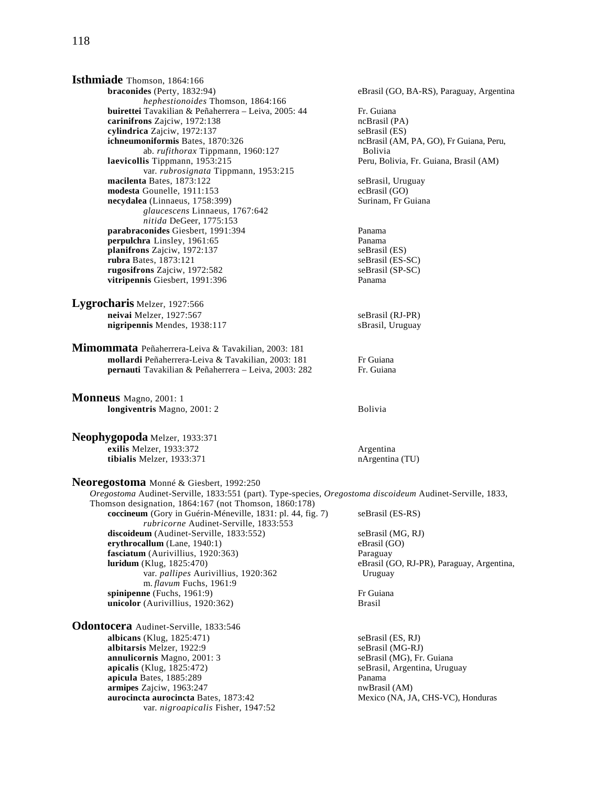**Isthmiade** Thomson, 1864:166<br>braconides (Perty, 1832:94) *hephestionoides* Thomson, 1864:166 **buirettei** Tavakilian & Peñaherrera – Leiva, 2005: 44 Fr. Guiana **carinifrons** Zajciw, 1972:138 **ncBrasil (PA)**<br> **cylindrica** Zajciw, 1972:137 **ncBrasil (ES)**<br> **cylindrica** Zajciw, 1972:137 **cylindrica** Zajciw, 1972:137<br> **ichneumoniformis** Bates, 1870:326 ab. *rufithorax* Tippmann, 1960:127 **Bolivia**<br>**1953:215** Bolivia Bolivia Bolivia Bolivia Bolivia Bolivia Bolivia Bolivia Bolivia Bolivia Bolivia Bolivia Bolivia var. *rubrosignata* Tippmann, 1953:215 **macilenta** Bates, 1873:122 seBrasil, Uruguay<br> **modesta** Gounelle, 1911:153 ecBrasil (GO) **modesta** Gounelle, 1911:153<br> **necydalea** (Linnaeus, 1758:399) Surinam, Fr Guiana necydalea (Linnaeus, 1758:399) *glaucescens* Linnaeus, 1767:642 *nitida* DeGeer, 1775:153 **parabraconides** Giesbert, 1991:394 Panama **perpulchra** Linsley, 1961:65 **Panama**<br> **planifrons** Zajciw, 1972:137 seBrasil (ES) **planifrons** Zajciw, 1972:137 **rubra** Bates, 1873:121 seBrasil (ES-SC) **rugosifrons** Zajciw, 1972:582 seBrasil (SP-SC) **vitripennis** Giesbert, 1991:396 Panama **Lygrocharis** Melzer, 1927:566 **neivai** Melzer, 1927:567 seBrasil (RJ-PR) **nigripennis** Mendes, 1938:117 sBrasil, Uruguay **Mimommata** Peñaherrera-Leiva & Tavakilian, 2003: 181 **mollardi** Peñaherrera-Leiva & Tavakilian, 2003: 181 Fr Guiana

**Monneus** Magno, 2001: 1 **longiventris** Magno, 2001: 2 Bolivia

**Neophygopoda** Melzer, 1933:371 **exilis** Melzer, 1933:372 <br> **exilis** Melzer, 1933:371 <br> **exilis** Melzer, 1933:371 <br> **exilis** Melzer, 1933:371 tibialis Melzer, 1933:371

**Neoregostoma** Monné & Giesbert, 1992:250

Thomson designation, 1864:167 (not Thomson, 1860:178)

m. *flavum* Fuchs, 1961:9

*rubricorne* Audinet-Serville, 1833:553

eBrasil (GO, BA-RS), Paraguay, Argentina ncBrasil (AM, PA, GO), Fr Guiana, Peru, Peru, Bolivia, Fr. Guiana, Brasil (AM) **pernauti** Tavakilian & Peñaherrera – Leiva, 2003: 282 Fr. Guiana *Oregostoma* Audinet-Serville, 1833:551 (part). Type-species, *Oregostoma discoideum* Audinet-Serville, 1833, **coccineum** (Gory in Guérin-Méneville, 1831: pl. 44, fig. 7) seBrasil (ES-RS) discoideum (Audinet-Serville, 1833:552) seBrasil (MG, RJ) **erythrocallum** (Lane, 1940:1) eBrasil (GO) **fasciatum** (Aurivillius, 1920:363) Paraguay **luridum** (Klug, 1825:470) eBrasil (GO, RJ-PR), Paraguay, Argentina, var. *pallipes* Aurivillius, 1920:362 Uruguay **spinipenne** (Fuchs, 1961:9) Fr Guiana **unicolor** (Aurivillius, 1920:362) Brasil **albicans** (Klug, 1825:471) seBrasil (ES, RJ) **albitarsis** Melzer, 1922:9 seBrasil (MG-RJ) seBrasil, Argentina, Uruguay<br>Panama

**annulicornis** Magno, 2001: 3 seBrasil (MG), Fr. Guiana<br> **apicalis** (Klug, 1825:472) seBrasil, Argentina, Urug apicula Bates, 1885:289 **armipes** Zajciw, 1963:247 nwBrasil (AM) **aurocincta aurocincta** Bates, 1873:42 Mexico (NA, JA, CHS-VC), Honduras var. *nigroapicalis* Fisher, 1947:52

**Odontocera** Audinet-Serville, 1833:546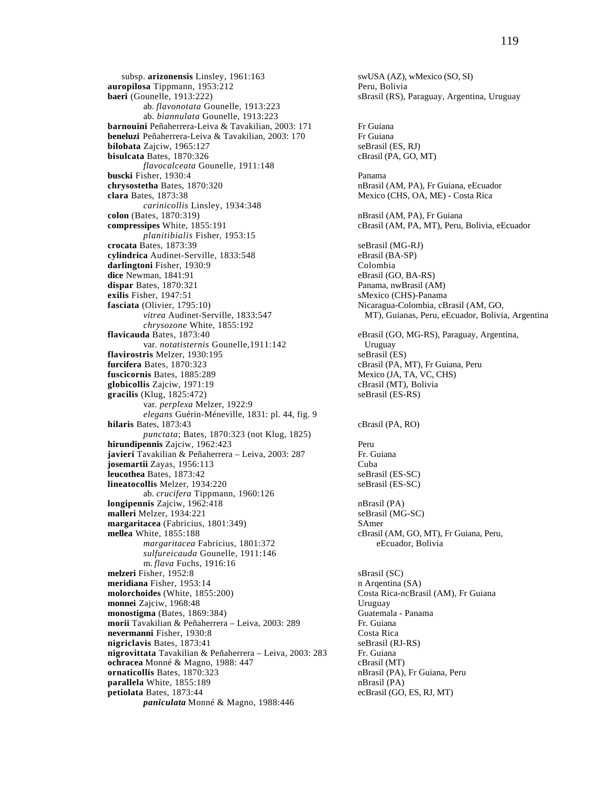subsp. **arizonensis** Linsley, 1961:163 swUSA (AZ), wMexico (SO, SI) **auropilosa** Tippmann, 1953:212 Peru, Bolivia **baeri** (Gounelle, 1913:222) sBrasil (RS), Paraguay, Argentina, Uruguay ab. *flavonotata* Gounelle, 1913:223 ab. *biannulata* Gounelle, 1913:223 **barnouini** Peñaherrera-Leiva & Tavakilian, 2003: 171 Fr Guiana **beneluzi** Peñaherrera-Leiva & Tavakilian, 2003: 170 Fr Guiana<br> **bilobata** Zajciw, 1965:127 seBrasil (ES, RJ) **bilobata** Zajciw, 1965:127 **bisulcata** Bates, 1870:326 cBrasil (PA, GO, MT) *flavocalceata* Gounelle, 1911:148 **buscki** Fisher, 1930:4 Panama **chrysostetha** Bates, 1870:320 nBrasil (AM, PA), Fr Guiana, eEcuador **clara** Bates, 1873:38 Mexico (CHS, OA, ME) - Costa Rica *carinicollis* Linsley, 1934:348 **colon** (Bates, 1870:319) **nBrasil (AM, PA), Fr Guiana compressipes** White, 1855:191 cBrasil (AM, PA, MT), Peru, Bolivia, eEcuador *planitibialis* Fisher, 1953:15 **crocata** Bates, 1873:39 seBrasil (MG-RJ) **cylindrica** Audinet-Serville, 1833:548 eBrasil (BA-SP) **darlingtoni** Fisher, 1930:9 **dice** Newman, 1841:91 eBrasil (GO, BA-RS) **dispar** Bates, 1870:321 **Panama, nwBrasil (AM) exilis** Fisher, 1947:51 sMexico (CHS)-Panama<br> **fasciata** (Olivier, 1795:10) SMexico (CHS)-Panama<br>
Nicaragua-Colombia, cB *chrysozone* White, 1855:192 **flavicauda** Bates, 1873:40 eBrasil (GO, MG-RS), Paraguay, Argentina, var. *notatisternis* Gounelle, 1911:142 Uruguay<br> **ris** Melzer. 1930:195 seBrasil (ES) **flavirostris** Melzer, 1930:195 **furcifera** Bates, 1870:323 cBrasil (PA, MT), Fr Guiana, Peru **fuscicornis** Bates, 1885:289 Mexico (JA, TA, VC, CHS) **globicollis** Zajciw, 1971:19 cBrasil (MT), Bolivia **gracilis** (Klug, 1825:472) seBrasil (ES-RS) var. *perplexa* Melzer, 1922:9 *elegans* Guérin-Méneville, 1831: pl. 44, fig. 9 **hilaris** Bates, 1873:43 cBrasil (PA, RO) *punctata*; Bates, 1870:323 (not Klug, 1825) **hirundipennis** Zajciw, 1962:423<br> **iavieri** Tavakilian & Peñaherrera – Leiva, 2003: 287 **Pr.** Guiana javieri Tavakilian & Peñaherrera - Leiva, 2003: 287 **josemartii** Zayas, 1956:113 Cuba<br> **leucothea** Bates, 1873:42 SeBrasil (ES-SC) **leucothea Bates, 1873:42 lineatocollis** Melzer, 1934:220 seBrasil (ES-SC) ab. *crucifera* Tippmann, 1960:126 **longipennis** Zajciw, 1962:418 nBrasil (PA) **malleri** Melzer, 1934:221 seBrasil (MG-SC) **margaritacea** (Fabricius, 1801:349) SAmer **mellea** White, 1855:188 cBrasil (AM, GO, MT), Fr Guiana, Peru, *margaritacea* Fabricius, 1801:372 eEcuador, Bolivia *sulfureicauda* Gounelle, 1911:146 m. *flava* Fuchs, 1916:16 **melzeri** Fisher, 1952:8 sBrasil (SC) **meridiana** Fisher, 1953:14 n Arqentina (SA) **molorchoides** (White, 1855:200) Costa Rica-ncBrasil (AM), Fr Guiana **monnei** Zajciw, 1968:48 Uruguay **monostigma** (Bates, 1869:384) Guatemala - Panama **morii** Tavakilian & Peñaherrera – Leiva, 2003: 289 Fr. Guiana<br> **nevermanni** Fisher. 1930:8 Costa Rica **nevermanni Fisher, 1930:8 nigriclavis** Bates, 1873:41 seBrasil (RJ-RS) **nigrovittata** Tavakilian & Peñaherrera – Leiva, 2003: 283 Fr. Guiana **ochracea** Monné & Magno, 1988: 447 cBrasil (MT) **ornaticollis** Bates, 1870:323<br> **parallela** White, 1855:189<br> **parallela** White, 1855:189<br> **parallela** White, 1855:189 parallela White, 1855:189 **petiolata** Bates, 1873:44 ecBrasil (GO, ES, RJ, MT) *paniculata* Monné & Magno, 1988:446

Nicaragua-Colombia, cBrasil (AM, GO, *vitrea* Audinet-Serville, 1833:547 MT), Guianas, Peru, eEcuador, Bolivia, Argentina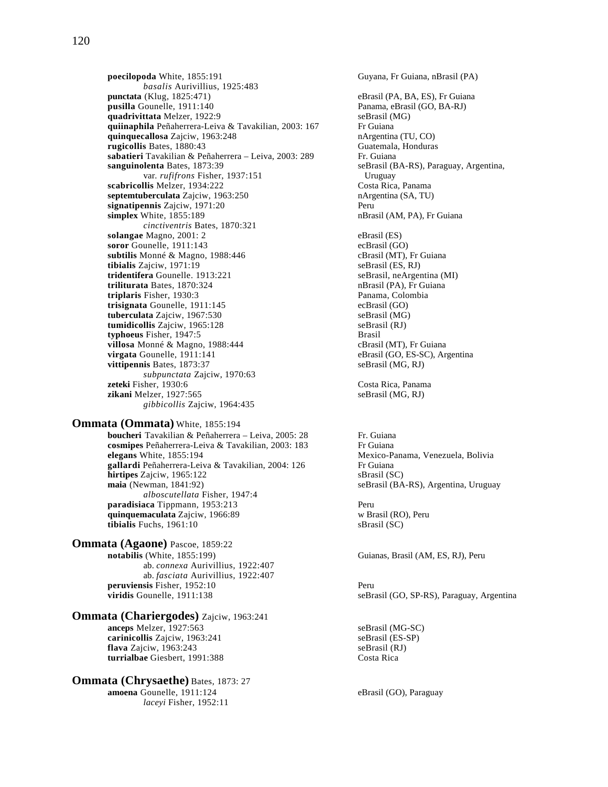**poecilopoda** White, 1855:191 Guyana, Fr Guiana, nBrasil (PA) *basalis* Aurivillius, 1925:483 **punctata** (Klug, 1825:471) eBrasil (PA, BA, ES), Fr Guiana **pusilla** Gounelle, 1911:140<br> **quadrivittata** Melzer, 1922:9<br> **pusili** Panama, eBrasil (MG)<br> **seBrasil** (MG) **quadrivittata** Melzer, 1922:9<br> **quiinaphila** Peñaherrera-Leiva & Tavakilian, 2003: 167 Fr Guiana **quiinaphila** Peñaherrera-Leiva & Tavakilian, 2003: 167 **quinquecallosa** Zajciw, 1963:248 **nArgentina (TU, CO)**<br> **rugicollis** Bates, 1880:43 **compared CO** Guatemala, Honduras **rugicollis** Bates, 1880:43 sabatieri Tavakilian & Peñaherrera – Leiva, 2003: 289 Fr. Guiana **sanguinolenta** Bates, 1873:39 seBrasil (BA-RS), Paraguay, Argentina, var. *rufifrons* Fisher, 1937:151 Uruguay **scabricollis** Melzer, 1934:222 Costa Rica, Panama septemtuberculata Zajciw, 1963:250 nArgentina (SA, TU) **signatipennis** Zajciw, 1971:20<br> **simplex** White. 1855:189 **Peru** nBrasil (AM. PA). Fr Guiana **simplex** White, 1855:189 *cinctiventris* Bates, 1870:321 **solangae** Magno, 2001: 2 eBrasil (ES)<br> **soror** Gounelle, 1911:143 ecBrasil (GO) soror Gounelle, 1911:143 **subtilis** Monné & Magno, 1988:446 cBrasil (MT), Fr Guiana **tibialis** Zajciw, 1971:19 seBrasil (ES, RJ) **tridentifera** Gounelle. 1913:221 seBrasil, neArgentina (MI) **triliturata** Bates, 1870:324 nBrasil (PA), Fr Guiana<br> **triplaris** Fisher, 1930:3 **nBrasil (PA), Fr Guiana triplaris** Fisher, 1930:3 Panama, Colombia Panama, Colombia Panama, Colombia Panama, Colombia Panama, Colombia Panama, Colombia Panama, Colombia Panama, Colombia Panama, Colombia Panama, Colombia Panama, Colombia Panama, trisignata Gounelle, 1911:145 **tuberculata** Zajciw, 1967:530 seBrasil (MG) **tumidicollis** Zajciw, 1965:128 seBrasil (RJ) **typhoeus** Fisher, 1947:5 Brasil **villosa** Monné & Magno, 1988:444 cBrasil (MT), Fr Guiana<br> **virgata** Gounelle, 1911:141 eBrasil (GO, ES-SC), Arg **vittipennis** Bates, 1873:37 seBrasil (MG, RJ) *subpunctata* Zajciw, 1970:63 **zeteki** Fisher, 1930:6 Costa Rica, Panama<br> **zikani** Melzer, 1927:565 Costa Rica, Panama<br>
seBrasil (MG, RJ) zikani Melzer, 1927:565 *gibbicollis* Zajciw, 1964:435

### **Ommata (Ommata)** White, 1855:194

**boucheri** Tavakilian & Peñaherrera – Leiva, 2005: 28 Fr. Guiana **cosmipes** Peñaherrera-Leiva & Tavakilian, 2003: 183 Fr Guiana **elegans** White, 1855:194 Mexico-Panama, Venezuela, Bolivia<br> **eallardi** Peñaherrera-Leiva & Tavakilian. 2004: 126 Fr Guiana gallardi Peñaherrera-Leiva & Tavakilian, 2004: 126 **hirtipes** Zajciw, 1965:122 sBrasil (SC) **maia** (Newman, 1841:92) seBrasil (BA-RS), Argentina, Uruguay *alboscutellata* Fisher, 1947:4 **paradisiaca** Tippmann, 1953:213 Peru **quinquemaculata** Zajciw, 1966:89 w Brasil (RO), Peru<br> **tibialis** Fuchs, 1961:10 sBrasil (SC) tibialis Fuchs, 1961:10

**Ommata (Agaone)** Pascoe, 1859:22<br>notabilis (White, 1855:199) ab. *connexa* Aurivillius, 1922:407 ab. *fasciata* Aurivillius, 1922:407 **peruviensis** Fisher, 1952:10 Peru

# **Ommata (Chariergodes)** Zajciw, 1963:241

**anceps** Melzer, 1927:563<br> **carinicollis** Zajciw, 1963:241<br>
seBrasil (ES-SP) **carinicollis** Zajciw, 1963:241 **flava** Zajciw, 1963:243 seBrasil (RJ) **turrialbae** Giesbert, 1991:388 Costa Rica

#### **Ommata (Chrysaethe)** Bates, 1873: 27 **amoena** Gounelle, 1911:124 eBrasil (GO), Paraguay *laceyi* Fisher, 1952:11

eBrasil (GO, ES-SC), Argentina

Guianas, Brasil (AM, ES, RJ), Peru

**viridis** Gounelle, 1911:138 seBrasil (GO, SP-RS), Paraguay, Argentina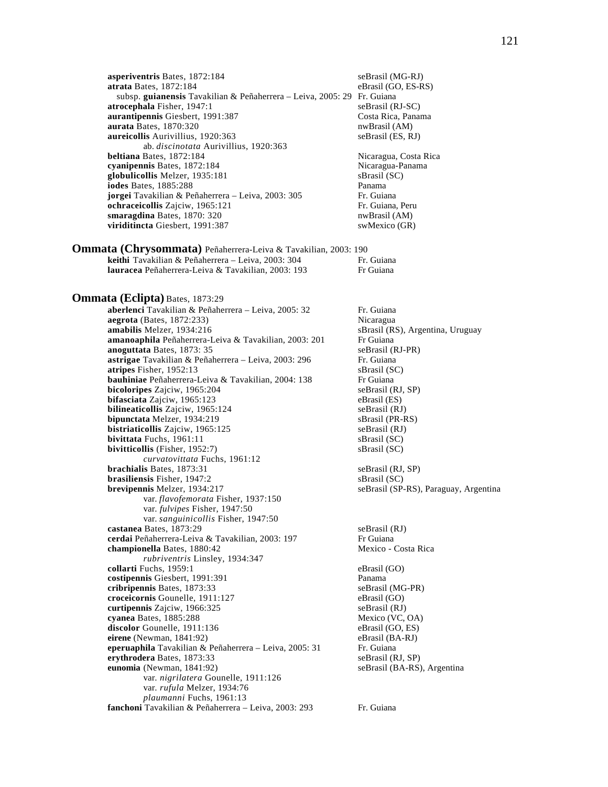**asperiventris** Bates, 1872:184 seBrasil (MG-RJ)<br> **atrata** Bates, 1872:184 eBrasil (GO, ES-RS) **atrata Bates, 1872:184**  subsp. **guianensis** Tavakilian & Peñaherrera – Leiva, 2005: 29 Fr. Guiana **atrocephala** Fisher, 1947:1 seBrasil (RJ-SC)<br> **aurantipennis** Giesbert, 1991:387 Costa Rica, Panama **aurantipennis Giesbert, 1991:387** Costa Rica, Panamarka Bates, 1870:320 Costa Rica, Panamarka Bates, 1870:320 **aurata** Bates, 1870:320 **aureicollis** Aurivillius, 1920:363 seBrasil (ES, RJ) ab. *discinotata* Aurivillius, 1920:363 **beltiana** Bates, 1872:184 **Nicaragua, Costa Rica Cyanipennis** Bates, 1872:184 **Nicaragua, Panama cyanipennis** Bates, 1872:184<br> **globulicollis** Melzer, 1935:181 SBrasil (SC) globulicollis Melzer, 1935:181 **iodes** Bates, 1885:288 Panama **jorgei** Tavakilian & Peñaherrera – Leiva, 2003: 305 Fr. Guiana **ochraceicollis** Zajciw, 1965:121 Fr. Guiana, Peru **smaragdina** Bates, 1870: 320 nwBrasil (AM) **viriditincta** Giesbert, 1991:387 swMexico (GR)

**Ommata (Chrysommata)** Peñaherrera-Leiva & Tavakilian, 2003: 190 **keithi** Tavakilian & Peñaherrera – Leiva, 2003: 304 Fr. Guiana **lauracea** Peñaherrera-Leiva & Tavakilian, 2003: 193 Fr Guiana

#### **Ommata (Eclipta)** Bates, 1873:29

**aberlenci** Tavakilian & Peñaherrera - Leiva, 2005: 32 Fr. Guiana **aegrota** (Bates, 1872:233) Nicaragua **amabilis** Melzer, 1934:216 sBrasil (RS), Argentina, Uruguay **amanoaphila** Peñaherrera-Leiva & Tavakilian, 2003: 201 Fr Guiana<br> **anoguttata** Bates, 1873: 35 seBrasil (RJ-PR) anoguttata Bates, 1873: 35 **astrigae** Tavakilian & Peñaherrera - Leiva, 2003: 296 Fr. Guiana **atripes** Fisher, 1952:13 sBrasil (SC) **bauhiniae** Peñaherrera-Leiva & Tavakilian, 2004: 138 Fr Guiana **bicoloripes** Zajciw, 1965:204 seBrasil (RJ, SP)<br> **bifasciata** Zajciw, 1965:123 eBrasil (ES) **bifasciata** Zajciw, 1965:123 **bilineaticollis** Zajciw, 1965:124 seBrasil (RJ) **bipunctata** Melzer, 1934:219 sBrasil (PR-RS) **bistriaticollis** Zajciw, 1965:125 seBrasil (RJ)<br>**bivittata** Fuchs, 1961:11 sBrasil (SC) **bivittata** Fuchs, 1961:11 sBrasil (SC)<br> **bivitticollis** (Fisher, 1952:7) sBrasil (SC) **bivitticollis** (Fisher, 1952:7) *curvatovittata* Fuchs, 1961:12 **brachialis** Bates, 1873:31 seBrasil (RJ, SP) **brasiliensis** Fisher, 1947:2 sBrasil (SC) **brevipennis** Melzer, 1934:217 seBrasil (SP-RS), Paraguay, Argentina var. *flavofemorata* Fisher, 1937:150 var. *fulvipes* Fisher, 1947:50 var. *sanguinicollis* Fisher, 1947:50 **castanea** Bates, 1873:29 seBrasil (RJ) **cerdai** Peñaherrera-Leiva & Tavakilian, 2003: 197 Fr Guiana<br> **championella** Bates. 1880:42 **Frankling** Mexico - Costa Rica **championella Bates, 1880:42**  *rubriventris* Linsley, 1934:347 **collarti** Fuchs, 1959:1 eBrasil (GO) **costipennis** Giesbert, 1991:391 Panama **cribripennis** Bates, 1873:33 seBrasil (MG-PR) **croceicornis** Gounelle, 1911:127 eBrasil (GO) **curtipennis** Zajciw, 1966:325 seBrasil (RJ)<br> **cyanea** Bates, 1885:288 Mexico (VC, OA) **cyanea** Bates, 1885:288 Mexico (VC, OA)<br> **discolor** Gounelle, 1911:136 eBrasil (GO, ES) **discolor** Gounelle, 1911:136 eBrasil (GO, ES)<br> **eirene** (Newman, 1841:92) eBrasil (BA-RJ)  $e$ **irene** (Newman, 1841:92) **eperuaphila** Tavakilian & Peñaherrera – Leiva, 2005: 31 Fr. Guiana **erythrodera** Bates, 1873:33 seBrasil (RJ, SP) **eunomia** (Newman, 1841:92) seBrasil (BA-RS), Argentina var. *nigrilatera* Gounelle, 1911:126 var. *rufula* Melzer, 1934:76 *plaumanni* Fuchs, 1961:13

fanchoni Tavakilian & Peñaherrera - Leiva, 2003: 293 Fr. Guiana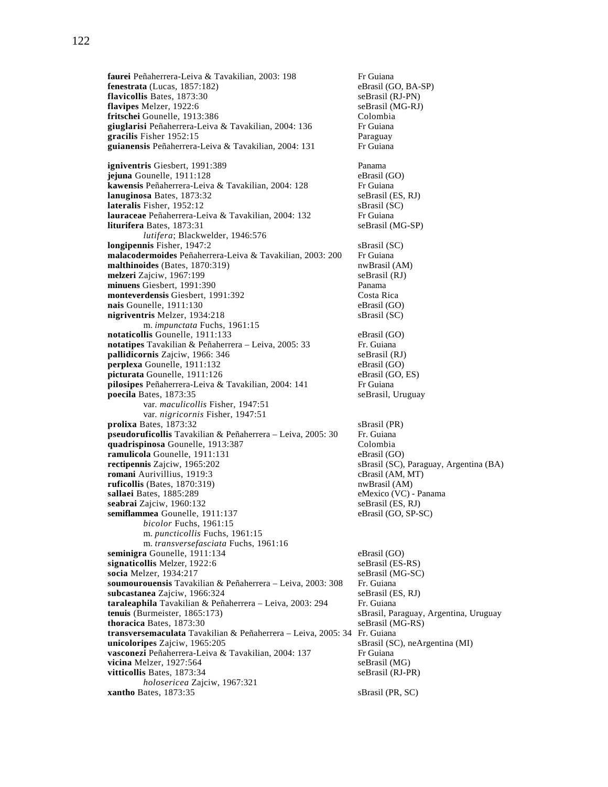**faurei Peñaherrera-Leiva & Tavakilian, 2003: 198** Fr Guiana<br>**fenestrata** (Lucas, 1857:182) eBrasil (GO, BA-SP) **fenestrata** (Lucas, 1857:182) **flavicollis** Bates, 1873:30 seBrasil (RJ-PN) **flavipes** Melzer, 1922:6 seBrasil (MG-RJ)<br> **fritschei** Gounelle, 1913:386 SeBrasil (MG-RJ) **fritschei** Gounelle, 1913:386 Colombia<br> **giuglarisi** Peñaherrera-Leiva & Tavakilian, 2004: 136 Fr Guiana giuglarisi Peñaherrera-Leiva & Tavakilian, 2004: 136 **gracilis** Fisher 1952:15 Paraguay guianensis Peñaherrera-Leiva & Tavakilian, 2004: 131 Fr Guiana **igniventris** Giesbert, 1991:389<br> **iejuna** Gounelle, 1911:128 **Panama** eBrasil (GO) **jejuna** Gounelle, 1911:128 **kawensis** Peñaherrera-Leiva & Tavakilian, 2004: 128 Fr Guiana **lanuginosa** Bates, 1873:32 seBrasil (ES, RJ) **lateralis** Fisher, 1952:12 sBrasil (SC) **lauraceae** Peñaherrera-Leiva & Tavakilian, 2004: 132 Fr Guiana **liturifera** Bates, 1873:31 seBrasil (MG-SP) *lutifera*; Blackwelder, 1946:576 **longipennis** Fisher, 1947:2 sBrasil (SC) **malacodermoides** Peñaherrera-Leiva & Tavakilian, 2003: 200 Fr Guiana **malthinoides** (Bates, 1870:319) nwBrasil (AM) **melzeri** Zajciw, 1967:199 seBrasil (RJ) **minuens Giesbert, 1991:390** Panama<br> **monteverdensis Giesbert. 1991:392** Costa Rica **monteverdensis** Giesbert, 1991:392 Costa Rica<br> **nais** Gounelle. 1911:130 eBrasil (GO) nais Gounelle, 1911:130 **nigriventris** Melzer, 1934:218 sBrasil (SC) m. *impunctata* Fuchs, 1961:15 **notaticollis** Gounelle, 1911:133 eBrasil (GO) **notatipes** Tavakilian & Peñaherrera – Leiva, 2005: 33 Fr. Guiana<br> **pallidicornis** Zaiciw. 1966: 346 seBrasil (RJ) pallidicornis Zajciw, 1966: 346 **perplexa** Gounelle, 1911:132 eBrasil (GO) **picturata** Gounelle, 1911:126 eBrasil (GO, ES) **pilosipes** Peñaherrera-Leiva & Tavakilian, 2004: 141 Fr Guiana<br> **poecila** Bates, 1873:35 seBrasil, Uruguay poecila Bates, 1873:35 var. *maculicollis* Fisher, 1947:51 var. *nigricornis* Fisher, 1947:51 **prolixa** Bates, 1873:32 sBrasil (PR) **pseudoruficollis** Tavakilian & Peñaherrera – Leiva, 2005: 30 Fr. Guiana<br> **quadrispinosa** Gounelle, 1913:387 Colombia **quadrispinosa** Gounelle, 1913:387 **ramulicola** Gounelle, 1911:131 eBrasil (GO) **rectipennis** Zajciw, 1965:202 sBrasil (SC), Paraguay, Argentina (BA) **romani** Aurivillius, 1919:3 cBrasil (AM, MT) **ruficollis** (Bates, 1870:319) **nwBrasil** (AM) **sallaei** Bates, 1885:289<br> **seabrai** Zajciw, 1960:132<br> **seabrai** (ES, RJ)<br> **seBrasil** (ES, RJ) seabrai Zajciw, 1960:132 **semiflammea** Gounelle, 1911:137 eBrasil (GO, SP-SC) *bicolor* Fuchs, 1961:15 m. *puncticollis* Fuchs, 1961:15 m. *transversefasciata* Fuchs, 1961:16 **seminigra** Gounelle, 1911:134 eBrasil (GO) **signaticollis** Melzer, 1922:6 seBrasil (ES-RS) **socia** Melzer, 1934:217 seBrasil (MG-SC) soumourouensis Tavakilian & Peñaherrera - Leiva, 2003: 308 Fr. Guiana **subcastanea** Zajciw, 1966:324 seBrasil (ES, RJ) **taraleaphila** Tavakilian & Peñaherrera – Leiva, 2003: 294 Fr. Guiana **tenuis** (Burmeister, 1865:173) <br> **thoracica** Bates, 1873:30 <br> **eBrasil (MG-RS)** seBrasil (MG-RS) **thoracica** Bates, 1873:30 **transversemaculata** Tavakilian & Peñaherrera – Leiva, 2005: 34 Fr. Guiana **unicoloripes** Zajciw, 1965:205 sBrasil (SC), neArgentina (MI) **vasconezi** Peñaherrera-Leiva & Tavakilian, 2004: 137 Fr Guiana **vicina** Melzer, 1927:564 seBrasil (MG) **vitticollis** Bates, 1873:34 seBrasil (RJ-PR) *holosericea* Zajciw, 1967:321 **xantho Bates, 1873:35** sBrasil (PR, SC)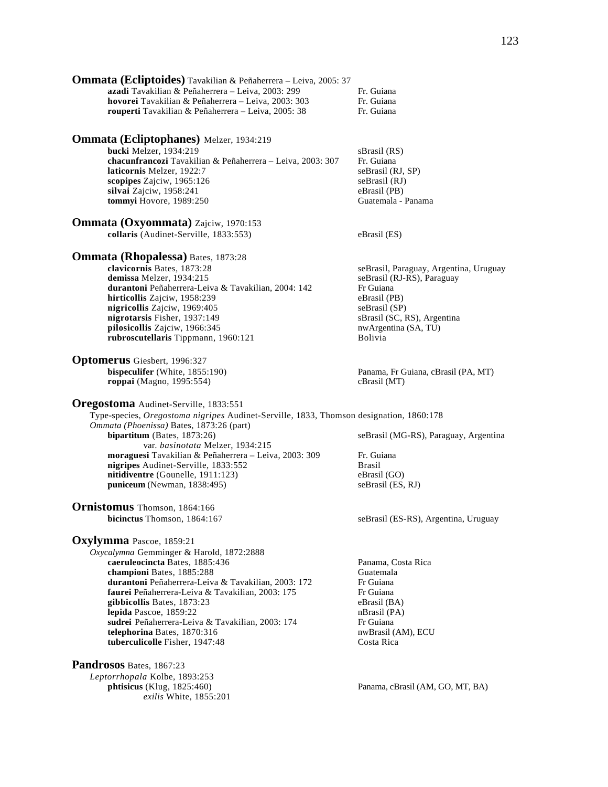| <b>Ommata (Ecliptoides)</b> Tavakilian & Peñaherrera - Leiva, 2005: 37<br>azadi Tavakilian & Peñaherrera - Leiva, 2003: 299<br>hovorei Tavakilian & Peñaherrera - Leiva, 2003: 303<br>rouperti Tavakilian & Peñaherrera - Leiva, 2005: 38                                                                                                                                                                                                                      | Fr. Guiana<br>Fr. Guiana<br>Fr. Guiana                                                                                                                                               |
|----------------------------------------------------------------------------------------------------------------------------------------------------------------------------------------------------------------------------------------------------------------------------------------------------------------------------------------------------------------------------------------------------------------------------------------------------------------|--------------------------------------------------------------------------------------------------------------------------------------------------------------------------------------|
| <b>Ommata (Ecliptophanes)</b> Melzer, 1934:219<br>bucki Melzer, 1934:219<br>chacunfrancozi Tavakilian & Peñaherrera - Leiva, 2003: 307<br>laticornis Melzer, 1922:7<br>scopipes Zajciw, 1965:126<br>silvai Zajciw, 1958:241<br>tommyi Hovore, 1989:250                                                                                                                                                                                                         | sBrasil (RS)<br>Fr. Guiana<br>seBrasil (RJ, SP)<br>seBrasil (RJ)<br>eBrasil (PB)<br>Guatemala - Panama                                                                               |
| <b>Ommata (Oxyommata)</b> Zajciw, 1970:153<br>collaris (Audinet-Serville, 1833:553)                                                                                                                                                                                                                                                                                                                                                                            | eBrasil (ES)                                                                                                                                                                         |
| <b>Ommata (Rhopalessa)</b> Bates, 1873:28<br>clavicornis Bates, 1873:28<br>demissa Melzer, 1934:215<br>durantoni Peñaherrera-Leiva & Tavakilian, 2004: 142<br>hirticollis Zajciw, 1958:239<br>nigricollis Zajciw, 1969:405<br>nigrotarsis Fisher, 1937:149<br>pilosicollis Zajciw, 1966:345<br>rubroscutellaris Tippmann, 1960:121                                                                                                                             | seBrasil, Paraguay, Argentina, Uruguay<br>seBrasil (RJ-RS), Paraguay<br>Fr Guiana<br>eBrasil (PB)<br>seBrasil (SP)<br>sBrasil (SC, RS), Argentina<br>nwArgentina (SA, TU)<br>Bolivia |
| <b>Optomerus</b> Giesbert, 1996:327<br>bispeculifer (White, 1855:190)<br>roppai (Magno, 1995:554)                                                                                                                                                                                                                                                                                                                                                              | Panama, Fr Guiana, cBrasil (PA, MT)<br>cBrasil (MT)                                                                                                                                  |
| Oregostoma Audinet-Serville, 1833:551<br>Type-species, Oregostoma nigripes Audinet-Serville, 1833, Thomson designation, 1860:178<br>Ommata (Phoenissa) Bates, 1873:26 (part)<br>bipartitum (Bates, 1873:26)<br>var. basinotata Melzer, 1934:215<br>moraguesi Tavakilian & Peñaherrera - Leiva, 2003: 309<br>nigripes Audinet-Serville, 1833:552<br>nitidiventre (Gounelle, 1911:123)<br>puniceum (Newman, 1838:495)                                            | seBrasil (MG-RS), Paraguay, Argentina<br>Fr. Guiana<br><b>Brasil</b><br>eBrasil (GO)<br>seBrasil (ES, RJ)                                                                            |
| Ornistomus Thomson, 1864:166<br>bicinctus Thomson, 1864:167                                                                                                                                                                                                                                                                                                                                                                                                    | seBrasil (ES-RS), Argentina, Uruguay                                                                                                                                                 |
| <b>Oxylymma</b> Pascoe, 1859:21<br>Oxycalymna Gemminger & Harold, 1872:2888<br>caeruleocincta Bates, 1885:436<br>championi Bates, 1885:288<br>durantoni Peñaherrera-Leiva & Tavakilian, 2003: 172<br>faurei Peñaherrera-Leiva & Tavakilian, 2003: 175<br>gibbicollis Bates, 1873:23<br>lepida Pascoe, 1859:22<br>sudrei Peñaherrera-Leiva & Tavakilian, 2003: 174<br>telephorina Bates, 1870:316<br>tuberculicolle Fisher, 1947:48<br>Pandrosos Bates, 1867:23 | Panama, Costa Rica<br>Guatemala<br>Fr Guiana<br>Fr Guiana<br>eBrasil (BA)<br>nBrasil (PA)<br>Fr Guiana<br>nwBrasil (AM), ECU<br>Costa Rica                                           |

*Leptorrhopala* Kolbe, 1893:253

*exilis* White, 1855:201

Panama, cBrasil (AM, GO, MT, BA)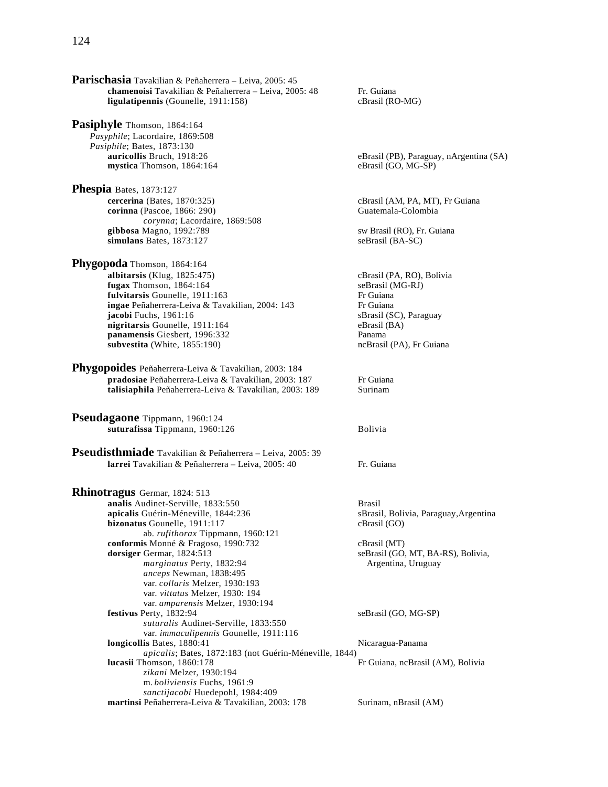**Parischasia** Tavakilian & Peñaherrera – Leiva, 2005: 45 **chamenoisi** Tavakilian & Peñaherrera – Leiva, 2005: 48 Fr. Guiana **ligulatipennis** (Gounelle, 1911:158) cBrasil (RO-MG)

**Pasiphyle** Thomson, 1864:164 *Pasyphile*; Lacordaire, 1869:508 *Pasiphile*; Bates, 1873:130<br>**auricollis** Bruch, 1918:26 mystica Thomson, 1864:164 eBrasil (GO, MG-SP)

**Phespia** Bates, 1873:127 **cercerina** (Bates, 1870:325) cBrasil (AM, PA, MT), Fr Guiana **corinna** (Pascoe, 1866: 290) Guatemala-Colombia *corynna*; Lacordaire, 1869:508 **gibbosa** Magno, 1992:789 sw Brasil (RO), Fr. Guiana **simulans** Bates, 1873:127 seBrasil (BA-SC)

**Phygopoda** Thomson, 1864:164 **albitarsis** (Klug, 1825:475) cBrasil (PA, RO), Bolivia **fugax** Thomson, 1864:164<br> **fulvitarsis** Gounelle. 1911:163 **seBrasil (MG-RJ)**<br>
Fr Guiana **fulvitarsis** Gounelle, 1911:163<br> **ingae** Peñaherrera-Leiva & Tavakilian. 2004: 143 Fr Guiana **ingae** Peñaherrera-Leiva & Tavakilian, 2004: 143 **jacobi** Fuchs, 1961:16 sBrasil (SC), Paraguay **nigritarsis** Gounelle, 1911:164 eBrasil (BA) **panamensis** Giesbert, 1996:332 Panama **subvestita** (White, 1855:190) ncBrasil (PA), Fr Guiana

**Phygopoides** Peñaherrera-Leiva & Tavakilian, 2003: 184 **pradosiae** Peñaherrera-Leiva & Tavakilian, 2003: 187 Fr Guiana talisiaphila Peñaherrera-Leiva & Tavakilian, 2003: 189 Surinam

**Pseudagaone** Tippmann, 1960:124 **suturafissa** Tippmann, 1960:126 Bolivia

**Pseudisthmiade** Tavakilian & Peñaherrera – Leiva, 2005: 39 **larrei** Tavakilian & Peñaherrera – Leiva, 2005: 40 Fr. Guiana

**Rhinotragus** Germar, 1824: 513 **analis** Audinet-Serville, 1833:550 **Brasil**<br> **apicalis Guérin-Méneville, 1844:236 Brasil bizonatus** Gounelle, 1911:117 cBrasil (GO) ab. *rufithorax* Tippmann, 1960:121 **conformis** Monné & Fragoso, 1990:732 cBrasil (MT) **dorsiger Germar, 1824:513** seBrasil (GO, MT, BA-RS), Bolivia, marginatus Perty, 1832:94 **Argentina**, Uruguay *anceps* Newman, 1838:495 var. *collaris* Melzer, 1930:193 var. *vittatus* Melzer, 1930: 194 var. *amparensis* Melzer, 1930:194 **festivus** Perty, 1832:94 seBrasil (GO, MG-SP) *suturalis* Audinet-Serville, 1833:550 var. *immaculipennis* Gounelle, 1911:116 **longicollis** Bates, 1880:41 Nicaragua-Panama *apicalis*; Bates, 1872:183 (not Guérin-Méneville, 1844) Fr Guiana, ncBrasil (AM), Bolivia *zikani* Melzer, 1930:194 m. *boliviensis* Fuchs, 1961:9 *sanctijacobi* Huedepohl, 1984:409 **martinsi** Peñaherrera-Leiva & Tavakilian, 2003: 178 Surinam, nBrasil (AM)

eBrasil (PB), Paraguay, nArgentina (SA)

sBrasil, Bolivia, Paraguay,Argentina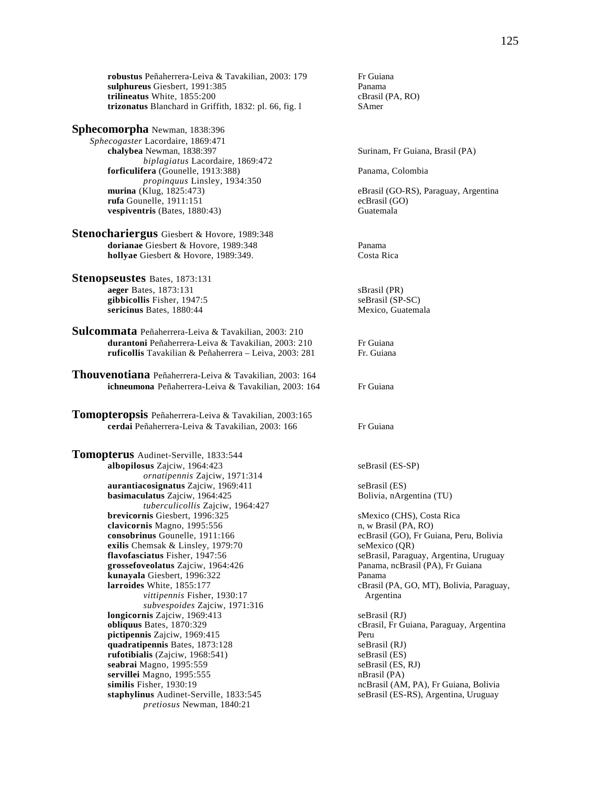**robustus** Peñaherrera-Leiva & Tavakilian, 2003: 179 Fr Guiana **sulphureus** Giesbert, 1991:385 Panama **trilineatus** White, 1855:200 cBrasil (PA, RO) **trizonatus** Blanchard in Griffith, 1832: pl. 66, fig. l SAmer

### **Sphecomorpha** Newman, 1838:396

*Sphecogaster* Lacordaire, 1869:471 **chalybea** Newman, 1838:397 Surinam, Fr Guiana, Brasil (PA) *biplagiatus* Lacordaire, 1869:472 **forficulifera** (Gounelle, 1913:388) Panama, Colombia *propinquus Linsley, 1934:350*<br> **murina** (Klug, 1825:473) **rufa** Gounelle, 1911:151 **vespiventris** (Bates, 1880:43) Guatemala

**Stenochariergus** Giesbert & Hovore, 1989:348 **dorianae** Giesbert & Hovore, 1989:348 Panama **hollyae** Giesbert & Hovore, 1989:349. Costa Rica

- **Stenopseustes** Bates, 1873:131 **aeger** Bates, 1873:131 sBrasil (PR) **gibbicollis** Fisher, 1947:5 <br>**sericinus** Bates, 1880:44 <br>Mexico, Guatemala sericinus Bates, 1880:44
- **Sulcommata** Peñaherrera-Leiva & Tavakilian, 2003: 210 **durantoni** Peñaherrera-Leiva & Tavakilian, 2003: 210 Fr Guiana<br> **ruficollis** Tavakilian & Peñaherrera – Leiva 2003: 281 Fr Guiana **ruficollis** Tavakilian & Peñaherrera - Leiva, 2003: 281
- **Thouvenotiana** Peñaherrera-Leiva & Tavakilian, 2003: 164 **ichneumona** Peñaherrera-Leiva & Tavakilian, 2003: 164 Fr Guiana

**Tomopteropsis** Peñaherrera-Leiva & Tavakilian, 2003:165 cerdai Peñaherrera-Leiva & Tavakilian, 2003: 166 Fr Guiana

**Tomopterus** Audinet-Serville, 1833:544 **albopilosus** Zajciw, 1964:423 seBrasil (ES-SP) *ornatipennis* Zajciw, 1971:314 **aurantiacosignatus** Zajciw, 1969:411 seBrasil (ES) **basimaculatus** Zajciw, 1964:425 Bolivia, nArgentina (TU) *tuberculicollis* Zajciw, 1964:427 **brevicornis** Giesbert, 1996:325 sMexico (CHS), Costa Rica<br> **clavicornis** Magno, 1995:556 settlement in we Brasil (PA, RO) clavicornis Magno, 1995:556 **consobrinus** Gounelle, 1911:166 ecBrasil (GO), Fr Guiana, Peru, Bolivia exilis Chemsak & Linsley, 1979:70 seMexico (QR) **exilis Chemsak & Linsley, 1979:70 flavofasciatus** Fisher, 1947:56 **grossefoveolatus** Zajciw, 1964:426 **Panama, ncBrasil (PA), Fr Guiana kunayala** Giesbert, 1996:322<br>**larroides** White, 1855:177 **Panama** CBrasil (CBrasil) *vittipennis* Fisher, 1930:17 Argentina *subvespoides* Zajciw, 1971:316 **longicornis** Zajciw, 1969:413 seBrasil (RJ) **obliquus** Bates, 1870:329 cBrasil, Fr Guiana, Paraguay, Argentina **pictipennis** Zajciw, 1969:415 Peru **quadratipennis** Bates, 1873:128 seBrasil (RJ) **rufotibialis** (Zajciw, 1968:541) seBrasil (ES)<br> **seabrai** Magno. 1995:559 seBrasil (ES, RJ) seabrai Magno, 1995:559 **servillei** Magno, 1995:555 nBrasil (PA) **similis** Fisher, 1930:19 ncBrasil (AM, PA), Fr Guiana, Bolivia **staphylinus** Audinet-Serville, 1833:545 seBrasil (ES-RS), Argentina, Uruguay *pretiosus* Newman, 1840:21

eBrasil (GO-RS), Paraguay, Argentina<br>ecBrasil (GO)

 **flavofasciatus** Fisher, 1947:56 seBrasil, Paraguay, Argentina, Uruguay cBrasil (PA, GO, MT), Bolivia, Paraguay,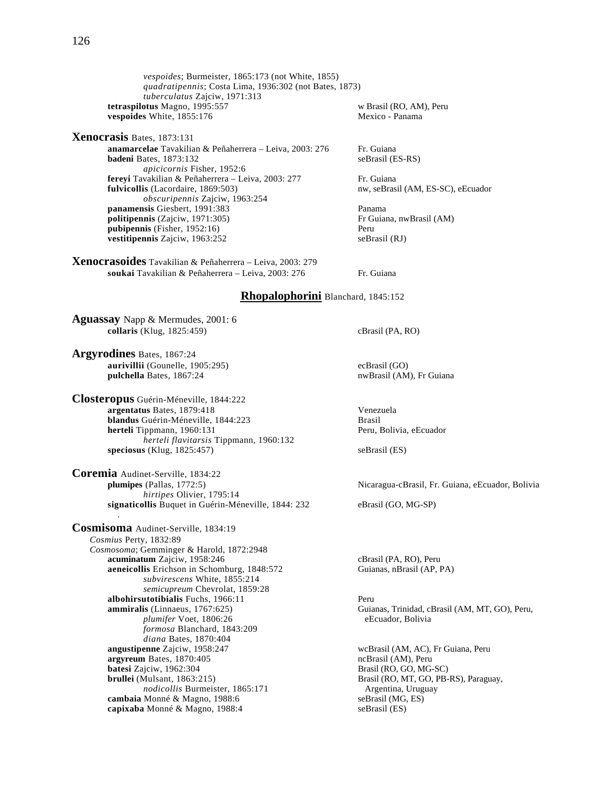*vespoides*; Burmeister, 1865:173 (not White, 1855) *quadratipennis*; Costa Lima, 1936:302 (not Bates, 1873) *tuberculatus* Zajciw, 1971:313 **tetraspilotus** Magno, 1995:557 w Brasil (RO, AM), Peru<br> **vespoides** White, 1855:176 Mexico - Panama vespoides White, 1855:176

**vestitipennis** Zajciw, 1963:252 seBrasil (RJ)

**Xenocrasis** Bates, 1873:131 **anamarcelae** Tavakilian & Peñaherrera – Leiva, 2003: 276 Fr. Guiana<br>**badeni** Bates, 1873:132 seBrasil (ES-RS) **badeni** Bates, 1873:132 *apicicornis* Fisher, 1952:6 **fereyi** Tavakilian & Peñaherrera – Leiva, 2003: 277 Fr. Guiana **fulvicollis** (Lacordaire, 1869:503) https://www.seBrasil (AM, ES-SC), eEcuador *obscuripennis* Zajciw, 1963:254 **panamensis** Giesbert, 1991:383 Panama **politipennis** (Zajciw, 1971:305) **pubipennis** (Fisher, 1952:16) Peru

**Xenocrasoides** Tavakilian & Peñaherrera – Leiva, 2003: 279 **soukai** Tavakilian & Peñaherrera – Leiva, 2003: 276 Fr. Guiana

#### **Rhopalophorini** Blanchard, 1845:152

**Aguassay** Napp & Mermudes, 2001: 6 **collaris** (Klug, 1825:459) cBrasil (PA, RO)

**Argyrodines** Bates, 1867:24 **aurivillii** (Gounelle, 1905:295)<br> **aurivillii** (Gounelle, 1905:295)<br> **pulchella** Bates, 1867:24<br> **pulchella** Bates, 1867:24 pulchella Bates, 1867:24

**Closteropus** Guérin-Méneville, 1844:222 **argentatus** Bates, 1879:418 Venezuela **blandus** Guérin-Méneville, 1844:223 **herteli** Tippmann, 1960:131 **Peru, Bolivia, eEcuador** Peru, Bolivia, eEcuador *herteli flavitarsis* Tippmann, 1960:132 **speciosus** (Klug, 1825:457) seBrasil (ES)

**Coremia** Audinet-Serville, 1834:22 **plumipes** (Pallas, 1772:5) Nicaragua-cBrasil, Fr. Guiana, eEcuador, Bolivia *hirtipes* Olivier, 1795:14 **signaticollis** Buquet in Guérin-Méneville, 1844: 232 eBrasil (GO, MG-SP) .

**Cosmisoma** Audinet-Serville, 1834:19 *Cosmius* Perty, 1832:89 *Cosmosoma*; Gemminger & Harold, 1872:2948 **acuminatum** Zajciw, 1958:246 cBrasil (PA, RO), Peru<br> **aeneicollis** Erichson in Schomburg, 1848:572 Guianas, nBrasil (AP, PA) aeneicollis Erichson in Schomburg, 1848:572 *subvirescens* White, 1855:214 *semicupreum* Chevrolat, 1859:28 **albohirsutotibialis** Fuchs, 1966:11 Peru<br> **ammiralis** (Linnaeus, 1767:625) Guia *plumifer* Voet, 1806:26 eEcuador, Bolivia *formosa* Blanchard, 1843:209 *diana* Bates, 1870:404 **angustipenne** Zajciw, 1958:247 wcBrasil (AM, AC), Fr Guiana, Peru<br> **argvreum** Bates. 1870:405 compared a metal (AM). Peru **argyreum** Bates, 1870:405 **batesi** Zajciw, 1962:304 **Brasil (RO, GO, MG-SC) brullei** (Mulsant, 1863:215)<br> *nodicollis* Burmeister, 1865:171<br> **brasil (RO, MT, GO, PB-RS), Paraguay,**<br> **brasil (RO, MT, GO, PB-RS), Paraguay,**<br> **brasil (RO, MT, GO, PB-RS), Paraguay,** *nodicollis* Burmeister, 1865:171 Argentina, Uruguay Argentina, Uruguay Argentina, Uruguay Argentina, Uruguay Argentina, Uruguay Argentina, Uruguay Argentina, Uruguay Argentina, Uruguay Argentina, Uruguay Argentina, Urugua cambaia Monné & Magno, 1988:6 **capixaba** Monné & Magno, 1988:4 seBrasil (ES)

Guianas, Trinidad, cBrasil (AM, MT, GO), Peru,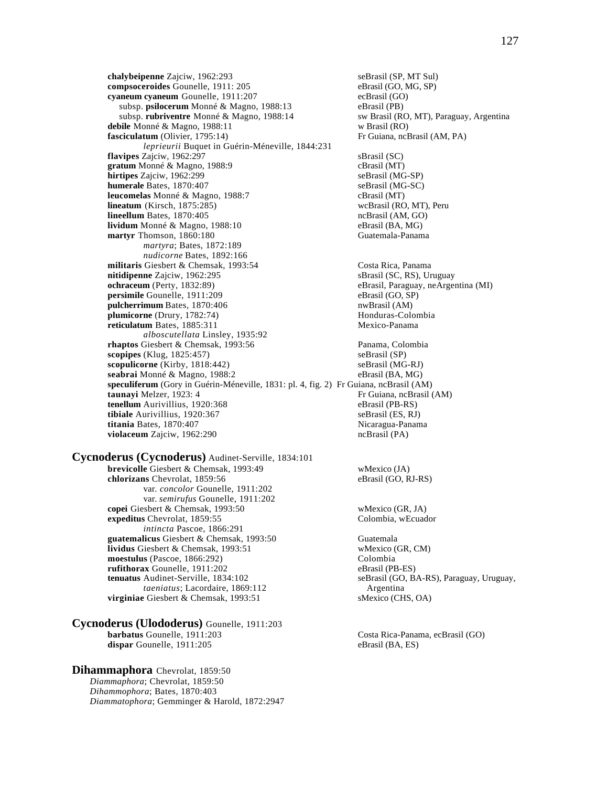**chalybeipenne** Zajciw, 1962:293 seBrasil (SP, MT Sul)<br> **compsoceroides** Gounelle, 1911: 205 eBrasil (GO, MG, SP) compsoceroides Gounelle, 1911: 205 **cyaneum cyaneum** Gounelle, 1911:207 ecBrasil (GO) subsp. **psilocerum** Monné & Magno, 1988:13 eBrasil (PB)<br>
subsp. **rubriventre** Monné & Magno, 1988:14 sw Brasil (RO, MT), Paraguay, Argentina subsp. rubriventre Monné & Magno, 1988:14 **debile** Monné & Magno, 1988:11 w Brasil (RO) **fasciculatum** (Olivier, 1795:14) Fr Guiana, ncBrasil (AM, PA) *leprieurii* Buquet in Guérin-Méneville, 1844:231 **flavipes** Zajciw, 1962:297 sBrasil (SC) **gratum** Monné & Magno, 1988:9 cBrasil (MT)<br> **hirtipes** Zajciw, 1962:299 cBrasil (MG-SP) **hirtipes** Zajciw, 1962:299 **humerale** Bates, 1870:407 seBrasil (MG-SC) **leucomelas** Monné & Magno, 1988:7 cBrasil (MT)<br> **lineatum** (Kirsch, 1875:285) cBrasil (RO, MT), Peru  $lineatum$  (Kirsch,  $1875:285$ ) **lineellum** Bates, 1870:405 **ncBrasil (AM, GO)** ncBrasil (AM, GO) **lividum** Monné & Magno, 1988:10 eBrasil (BA, MG) **martyr** Thomson, 1860:180 Guatemala-Panama *martyra*; Bates, 1872:189 *nudicorne* Bates, 1892:166 **militaris** Giesbert & Chemsak, 1993:54 Costa Rica, Panama **nitidipenne** Zajciw, 1962:295 sBrasil (SC, RS), Uruguay **ochraceum** (Perty, 1832:89) eBrasil, Paraguay, neArgentina (MI) **persimile** Gounelle, 1911:209 eBrasil (GO, SP)<br> **pulcherrimum** Bates, 1870:406 **eBrasil** (AM) pulcherrimum Bates, 1870:406 **plumicorne** (Drury, 1782:74) Honduras-Colombia **reticulatum** Bates, 1885:311 Mexico-Panama *alboscutellata* Linsley, 1935:92 **rhaptos** Giesbert & Chemsak, 1993:56 Panama, Colombia<br> **represents** (Klug. 1825:457) SeBrasil (SP) **scopipes** (Klug, 1825:457) **scopulicorne** (Kirby, 1818:442) seBrasil (MG-RJ) **seabrai** Monné & Magno, 1988:2 eBrasil (BA, MG) **speculiferum** (Gory in Guérin-Méneville, 1831: pl. 4, fig. 2) Fr Guiana, ncBrasil (AM) **taunayi** Melzer, 1923: 4 Fr Guiana, ncBrasil **tenellum** Aurivillius, 1920:368 eBrasil (PB-RS)<br> **tibiale** Aurivillius, 1920:367 seBrasil (ES, RJ) tibiale Aurivillius, 1920:367 **titania** Bates, 1870:407 **Nicaragua-Panama violaceum** Zajciw, 1962:290 ncBrasil (PA)

**Cycnoderus (Cycnoderus)** Audinet-Serville, 1834:101 **brevicolle** Giesbert & Chemsak, 1993:49 wMexico (JA) **chlorizans** Chevrolat, 1859:56 eBrasil (GO, RJ-RS) var. *concolor* Gounelle, 1911:202 var. *semirufus* Gounelle, 1911:202 **copei Giesbert & Chemsak, 1993:50** wMexico (GR, JA) **expeditus** Chevrolat, 1859:55 Colombia, wEcuador *intincta* Pascoe, 1866:291 **guatemalicus** Giesbert & Chemsak, 1993:50 Guatemala **lividus** Giesbert & Chemsak, 1993:51 wMexico (GR, CM) **moestulus** (Pascoe, 1866:292) Colombia **rufithorax** Gounelle, 1911:202 eBrasil (PB-ES)<br> **tenuatus** Audinet-Serville, 1834:102 seBrasil (GO, B. *taeniatus*; Lacordaire, 1869:112 Argentina **virginiae** Giesbert & Chemsak, 1993:51 sMexico (CHS, OA)

**Cycnoderus (Ulododerus)** Gounelle, 1911:203 **barbatus** Gounelle, 1911:203 Costa Rica-Panama, ecBrasil (GO) dispar Gounelle, 1911:205 eBrasil (BA, ES)

**Dihammaphora** Chevrolat, 1859:50 *Diammaphora*; Chevrolat, 1859:50 *Dihammophora*; Bates, 1870:403 *Diammatophora*; Gemminger & Harold, 1872:2947 Fr Guiana, ncBrasil (AM)

seBrasil (GO, BA-RS), Paraguay, Uruguay,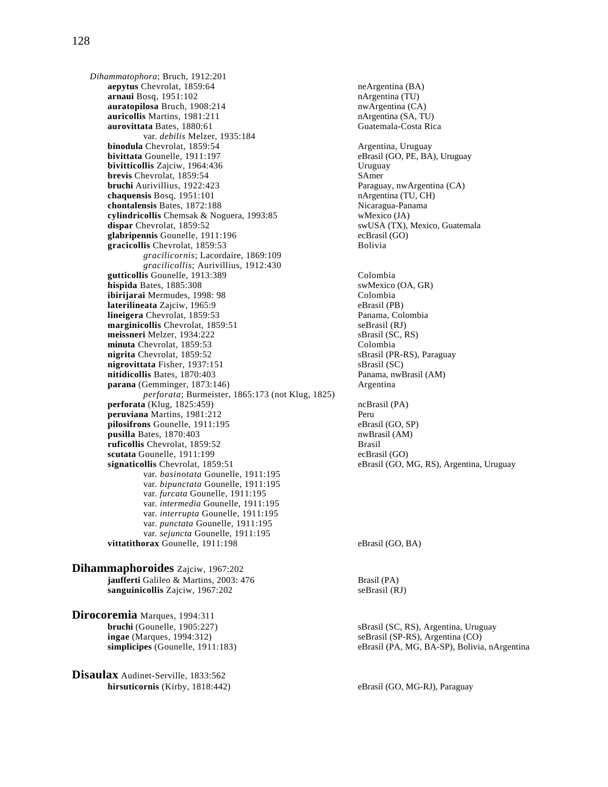*Dihammatophora*; Bruch, 1912:201 **aepytus** Chevrolat, 1859:64 neArgentina (BA) **arnaui** Bosq, 1951:102 nArgentina (TU) **auratopilosa** Bruch, 1908:214 nwArgentina (CA)<br> **auricollis** Martins, 1981:211 nArgentina (SA, TU) **auricollis** Martins, 1981:211 **auroritata** Bates, 1880:61 **nArgentina (SA, TU) aurovittata** Bates, 1880:61 **auroritata** Guatemala-Costa Rica aurovittata Bates, 1880:61 var. *debilis* Melzer, 1935:184 **binodula** Chevrolat, 1859:54 <br>**bivittata** Gounelle. 1911:197 **Argentina, Uruguay** eBrasil (GO. PE. BA **bivitticollis** Zajciw, 1964:436 <br> **bivitticollis** Zajciw, 1959:54 **Uruguay**<br>
SAmer **brevis** Chevrolat, 1859:54<br> **bruchi** Aurivillius, 1922:423<br> **bruchi** Aurivillius, 1922:423 **bruchi** Aurivillius, 1922:423 **chaquensis** Bosq, 1951:101 nArgentina (TU, CH) nArgentina (TU, CH) nArgentina (TU, CH) chontalensis Bates, 1872:188 **cylindricollis** Chemsak & Noguera, 1993:85 wMexico (JA) **dispar Chevrolat, 1859:52** swUSA (TX), Mexico, Guatemala **glabripennis** Gounelle, 1911:196 ecBrasil (GO) **gracicollis** Chevrolat, 1859:53 Bolivia *gracilicornis*; Lacordaire, 1869:109 *gracilicollis*; Aurivillius, 1912:430 **gutticollis** Gounelle, 1913:389 Colombia **hispida** Bates, 1885:308<br> **ibirijarai** Mermudes, 1998: 98<br> **ibirijarai** Mermudes, 1998: 98 **ibirijarai** Mermudes, 1998: 98 Colombia **laterilineata** Zajciw, 1965:9 **lineigera** Chevrolat, 1859:53 Panama, Colombia **marginicollis** Chevrolat, 1859:51 seBrasil (RJ) **meissneri** Melzer, 1934:222 sBrasil (SC, RS) **minuta** Chevrolat, 1859:53 Colombia<br> **nigrita** Chevrolat, 1859:52 SBrasil (PF **nigrovittata** Fisher, 1937:151 sBrasil (SC) **nitidicollis** Bates, 1870:403 Panama, nwBrasil (AM) **parana** (Gemminger, 1873:146) Argentina *perforata*; Burmeister, 1865:173 (not Klug, 1825) **perforata** (Klug, 1825:459) ncBrasil (PA) **peruviana** Martins, 1981:212 Peru pilosifrons Gounelle, 1911:195 eBrasil (GO, SP) **pusilla** Bates, 1870:403<br> **pusilla** Bates, 1870:403<br> **pusilla** Chevrolat. 1859:52 ruficollis Chevrolat, 1859:52 **scutata** Gounelle, 1911:199 ecBrasil (GO) **signaticollis** Chevrolat, 1859:51 eBrasil (GO, MG, RS), Argentina, Uruguay var. *basinotata* Gounelle, 1911:195 var. *bipunctata* Gounelle, 1911:195 var. *furcata* Gounelle, 1911:195 var. *intermedia* Gounelle, 1911:195 var. *interrupta* Gounelle, 1911:195 var. *punctata* Gounelle, 1911:195 var. *sejuncta* Gounelle, 1911:195 **vittatithorax** Gounelle, 1911:198 eBrasil (GO, BA) **Dihammaphoroides** Zajciw, 1967:202

**jaufferti** Galileo & Martins, 2003: 476 Brasil (PA) sanguinicollis Zajciw, 1967:202 seBrasil (RJ)

**Dirocoremia** Marques, 1994:311 **bruchi** (Gounelle, 1905:227) sBrasil (SC, RS), Argentina, Uruguay **ingae** (Marques, 1994:312) seBrasil (SP-RS), Argentina (CO)

**Disaulax** Audinet-Serville, 1833:562 hirsuticornis (Kirby, 1818:442) eBrasil (GO, MG-RJ), Paraguay

 $eBrasil (GO, PE, BA)$ , Uruguay sBrasil (PR-RS), Paraguay

**simplicipes** (Gounelle, 1911:183) eBrasil (PA, MG, BA-SP), Bolivia, nArgentina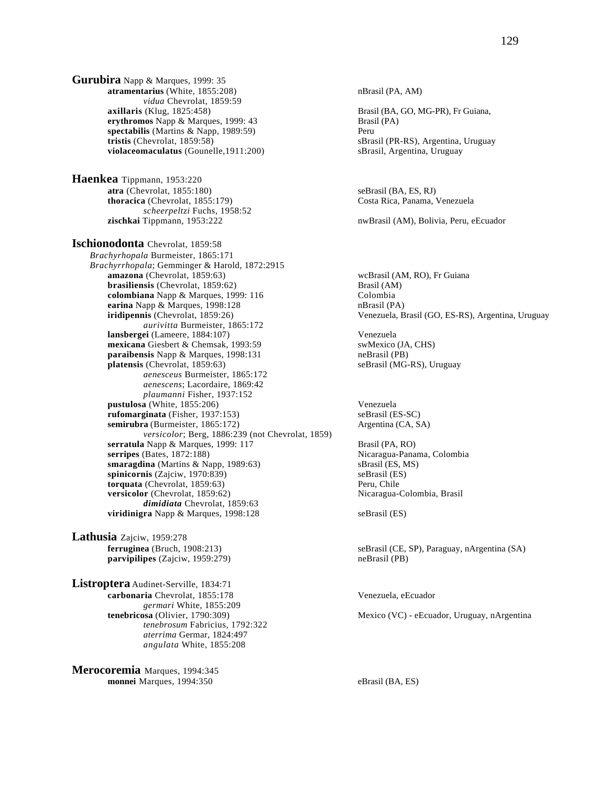**Gurubira** Napp & Marques, 1999: 35 atramentarius (White, 1855:208) nBrasil (PA, AM) *vidua* Chevrolat, 1859:59<br>**axillaris** (Klug, 1825:458) **erythromos** Napp & Marques, 1999: 43 Brasil (PA)<br> **spectabilis** (Martins & Napp. 1989:59) Peru spectabilis (Martins & Napp, 1989:59)<br>tristis (Chevrolat, 1859:58) **violaceomaculatus** (Gounelle, 1911:200) sBrasil, Argentina, Uruguay

**Haenkea** Tippmann, 1953:220 **atra** (Chevrolat, 1855:180) seBrasil (BA, ES, RJ) **thoracica** (Chevrolat, 1855:179) Costa Rica, Panama, Venezuela *scheerpeltzi* Fuchs, 1958:52

**Ischionodonta** Chevrolat, 1859:58 *Brachyrhopala* Burmeister, 1865:171 *Brachyrrhopala*; Gemminger & Harold, 1872:2915 **amazona** (Chevrolat, 1859:63) wcBrasil (AM, RO), Fr Guiana **brasiliensis** (Chevrolat, 1859:62)<br> **colombiana** Napp & Marques. 1999: 116 Colombia **colombiana** Napp & Marques, 1999: 116 Colombia<br> **colombia**<br> **carina** Napp & Marques, 1998:128 **Colombia**<br> **carina** Napp & Marques, 1998:128 **earina** Napp & Marques, 1998:128 **iridipennis** (Chevrolat, 1859:26) Venezuela, Brasil (GO, ES-RS), Argentina, Uruguay *aurivitta* Burmeister, 1865:172 **lansbergei** (Lameere, 1884:107) Venezuela **mexicana** Giesbert & Chemsak, 1993:59<br> **paraibensis** Napp & Marques. 1998:131 (PB) **paraibensis** Napp & Marques, 1998:131 **platensis** (Chevrolat, 1859:63) seBrasil (MG-RS), Uruguay *aenesceus* Burmeister, 1865:172 *aenescens*; Lacordaire, 1869:42 *plaumanni* Fisher, 1937:152 **pustulosa** (White, 1855:206)<br> **pustulosa** (White, 1937:153)<br> **pustulosa (Fisher, 1937:153)**<br> **pustulosa (ES-SC)**<br> **pustulosa (ES-SC) (Fisher, 1937:153) semirubra** (Burmeister, 1865:172) Argentina (CA, SA) *versicolor*; Berg, 1886:239 (not Chevrolat, 1859) **serratula** Napp & Marques, 1999: 117 **Brasil (PA, RO)**<br>**Serripes** (Bates, 1872:188) **Brasil (PA, RO)** Nicaragua-Pana **smaragdina** (Martins & Napp, 1989:63) spinicornis (Zajciw, 1970:839) seBrasil (ES, MS) seBrasil (ES) **spinicornis** (Zajciw, 1970:839) seBrasil (ES) seBrasil (ES) seBrasil (ES) seBrasil (ES) seBrasil (ES) seBrasil (ES) seBrasil (ES) seBrasil (ES) seBrasil (ES) seBrasil (ES) seBrasil (ES) seBrasil (ES) seBrasil (ES) seBrasi **torquata** (Chevrolat, 1859:63) **versicolor** (Chevrolat, 1859:62) Nicaragua-Colombia, Brasil *dimidiata* Chevrolat, 1859:63 **viridinigra** Napp & Marques, 1998:128 seBrasil (ES)

**Lathusia** Zajciw, 1959:278 **parvipilipes** (Zajciw, 1959:279) neBrasil (PB)

**Listroptera** Audinet-Serville, 1834:71 **carbonaria** Chevrolat, 1855:178 Venezuela, eEcuador *germari* White, 1855:209<br>**tenebricosa** (Olivier, 1790:309) *tenebrosum* Fabricius, 1792:322 *aterrima* Germar, 1824:497 *angulata* White, 1855:208

**Merocoremia** Marques, 1994:345 **monnei** Marques, 1994:350 eBrasil (BA, ES)

Brasil (BA, GO, MG-PR), Fr Guiana, sBrasil (PR-RS), Argentina, Uruguay

nwBrasil (AM), Bolivia, Peru, eEcuador

Nicaragua-Panama, Colombia

**ferruginea** (Bruch, 1908:213) seBrasil (CE, SP), Paraguay, nArgentina (SA)

Mexico (VC) - eEcuador, Uruguay, nArgentina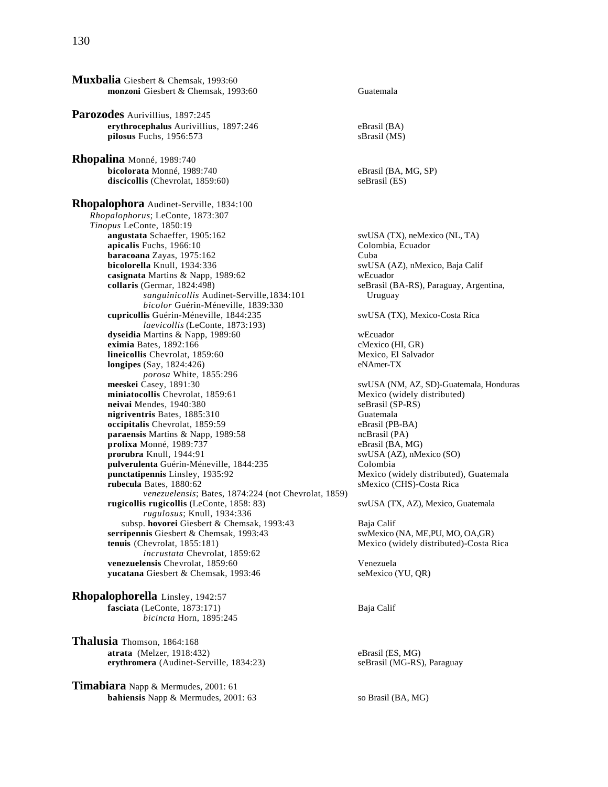**Muxbalia** Giesbert & Chemsak, 1993:60 **monzoni** Giesbert & Chemsak, 1993:60 Guatemala **Parozodes** Aurivillius, 1897:245 **erythrocephalus** Aurivillius, 1897:246 eBrasil (BA) pilosus Fuchs, 1956:573 sBrasil (MS) **Rhopalina** Monné, 1989:740 **bicolorata** Monné, 1989:740 eBrasil (BA, MG, SP) discicollis (Chevrolat, 1859:60) seBrasil (ES) **Rhopalophora** Audinet-Serville, 1834:100 *Rhopalophorus*; LeConte, 1873:307 *Tinopus* LeConte, 1850:19 apicalis Fuchs, 1966:10 **baracoana** Zayas, 1975:162<br>**bicolorella** Knull. 1934:336 **Cuba** SwUS **casignata** Martins & Napp, 1989:62 wEcuador **collaris** (Germar, 1824:498) seBrasil (BA-RS), Paraguay, Argentina, *sanguinicollis* Audinet-Serville,1834:101 Uruguay *bicolor* Guérin-Méneville, 1839:330 **cupricollis** Guérin-Méneville, 1844:235 swUSA (TX), Mexico-Costa Rica *laevicollis* (LeConte, 1873:193) **dyseidia** Martins & Napp, 1989:60 wEcuador **eximia** Bates, 1892:166 cMexico (HI, GR)<br> **lineicollis** Chevrolat, 1859:60 cMexico, El Salvador **lineicollis** Chevrolat, 1859:60 **longipes** (Say, 1824:426) eNAmer-TX *porosa* White, 1855:296<br>**meeskei** Casey, 1891:30 miniatocollis Chevrolat, 1859:61 **neivai** Mendes, 1940:380<br> **nigriventris** Bates, 1885:310<br>
Guatemala **nigriventris** Bates, 1885:310 **occipitalis** Chevrolat, 1859:59 eBrasil (PB-BA) **paraensis** Martins & Napp, 1989:58 **ncBrasil (PA)** ncBrasil (PA) **prolixa** Monné, 1989:737 eBrasil (BA, MG) **prolixa** Monné, 1989:737<br>**prorubra** Knull, 1944:91 pulverulenta Guérin-Méneville, 1844:235 Colombia<br> **punctatipennis** Linsley, 1935:92 Mexico (w **punctatipennis** Linsley, 1935:92<br> **punctatipennis** Linsley, 1935:92<br> **punctatipennis** Linsley, 1935:92<br> **punctatipennis** Linsley, 1935:92<br> **punctatipennis** Linsley, 1935:92 *venezuelensis*; Bates, 1874:224 (not Chevrolat, 1859) **rugicollis rugicollis** (LeConte, 1858: 83) swUSA (TX, AZ), Mexico, Guatemala *rugulosus*; Knull, 1934:336 subsp. **hovorei** Giesbert & Chemsak, 1993:43<br> **Calif** Baja Calif Saint Giesbert & Chemsak, 1993:43<br>
SwMexico (NA, ME,PU, MO, OA,GR) **serripennis** Giesbert & Chemsak, 1993:43<br>**tenuis** (Chevrolat, 1855:181) *incrustata* Chevrolat, 1859:62 **venezuelensis** Chevrolat, 1859:60<br> **venezuela**<br> **venezuela**<br> **venezuela**<br> **venezuela**<br> **venezuela**<br> **venezuela**<br> **venezuela**<br> **venezuela**<br> **venezuela** yucatana Giesbert & Chemsak, 1993:46 **Rhopalophorella** Linsley, 1942:57

 **fasciata** (LeConte, 1873:171) Baja Calif *bicincta* Horn, 1895:245

**Thalusia** Thomson, 1864:168 **atrata** (Melzer, 1918:432) eBrasil (ES, MG) **erythromera** (Audinet-Serville, 1834:23) seBrasil (MG-RS), Paraguay

**Timabiara** Napp & Mermudes, 2001: 61 **bahiensis** Napp & Mermudes, 2001: 63 so Brasil (BA, MG)

swUSA (TX), neMexico (NL, TA)<br>Colombia, Ecuador swUSA (AZ), nMexico, Baja Calif swUSA (NM, AZ, SD)-Guatemala, Honduras<br>Mexico (widely distributed) swUSA (AZ), nMexico (SO) **sMexico (CHS)-Costa Rica Mexico** (widely distributed)-Costa Rica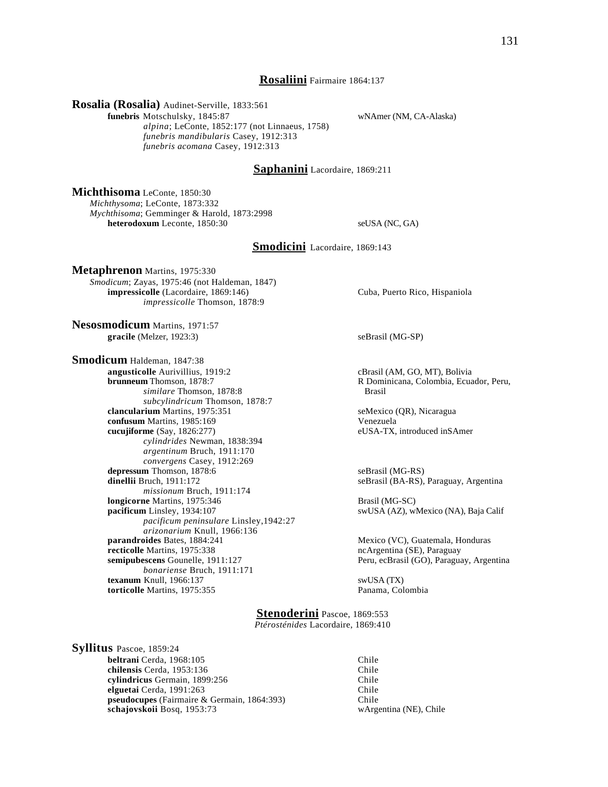### **Rosaliini** Fairmaire 1864:137

**Rosalia (Rosalia)** Audinet-Serville, 1833:561

**funebris** Motschulsky, 1845:87 wNAmer (NM, CA-Alaska)

 *alpina*; LeConte, 1852:177 (not Linnaeus, 1758) *funebris mandibularis* Casey, 1912:313 *funebris acomana* Casey, 1912:313

## **Saphanini** Lacordaire, 1869:211

**Michthisoma** LeConte, 1850:30

*Michthysoma*; LeConte, 1873:332 *Mychthisoma*; Gemminger & Harold, 1873:2998 **heterodoxum** Leconte, 1850:30 seUSA (NC, GA)

**Smodicini** Lacordaire, 1869:143

**Metaphrenon** Martins, 1975:330 *Smodicum*; Zayas, 1975:46 (not Haldeman, 1847) **impressicolle** (Lacordaire, 1869:146) Cuba, Puerto Rico, Hispaniola *impressicolle* Thomson, 1878:9

**Nesosmodicum** Martins, 1971:57 **gracile** (Melzer, 1923:3) seBrasil (MG-SP)

**Smodicum** Haldeman, 1847:38 **angusticolle** Aurivillius, 1919:2 cBrasil (AM, GO, MT), Bolivia<br> **brunneum** Thomson, 1878:7 **cannomical R** Dominicana, Colombia, Ecua *similare* Thomson, 1878:8 *subcylindricum* Thomson, 1878:7 **clancularium** Martins, 1975:351 seMexico (QR), Nicaragua **confusum** Martins, 1985:169 Venezuela **cucujiforme** (Say, 1826:277) eUSA-TX, introduced inSAmer *cylindrides* Newman, 1838:394 *argentinum* Bruch, 1911:170 *convergens* Casey, 1912:269 **depressum** Thomson, 1878:6 seBrasil (MG-RS)<br> **dinellii** Bruch. 1911:172 seBrasil (BA-RS). *missionum* Bruch, 1911:174 **longicorne** Martins, 1975:346 **Brasil (MG-SC) pacificum** Linsley, 1934:107 swUSA (AZ), wMexico (NA), Baja Calif *pacificum peninsulare* Linsley,1942:27 *arizonarium* Knull, 1966:136<br>**parandroides** Bates, 1884:241 **recticolle** Martins, 1975:338 ncArgentina (SE), Paraguay **semipubescens** Gounelle, 1911:127 Peru, ecBrasil (GO), Paraguay, Argentina *bonariense* Bruch, 1911:171 **texanum** Knull, 1966:137<br> **torticolle** Martins, 1975:355<br> **Example Martins, 1975:355** States of Martins, 1975:355 torticolle Martins, 1975:355

R Dominicana, Colombia, Ecuador, Peru,

seBrasil (BA-RS), Paraguay, Argentina

**Mexico (VC), Guatemala, Honduras** 

**Stenoderini** Pascoe, 1869:553 *Ptérosténides* Lacordaire, 1869:410

**Syllitus** Pascoe, 1859:24 **beltrani** Cerda, 1968:105 Chile **chilensis Cerda, 1953:136** Chile **cylindricus** Germain, 1899:256 Chile **elguetai** Cerda, 1991:263 Chile **pseudocupes** (Fairmaire & Germain, 1864:393) Chile<br> **schajovskoii** Bosq, 1953:73 wArgentina (NE), Chile schajovskoii Bosq, 1953:73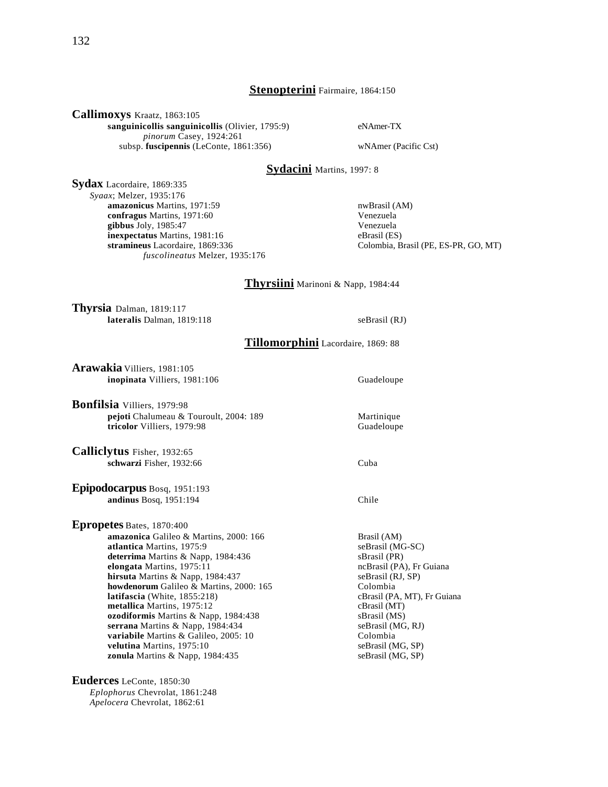## **Stenopterini** Fairmaire, 1864:150

**Callimoxys** Kraatz, 1863:105

**sanguinicollis sanguinicollis** (Olivier, 1795:9) eNAmer-TX *pinorum* Casey, 1924:261 subsp. **fuscipennis** (LeConte, 1861:356) wNAmer (Pacific Cst)

# **Sydacini** Martins, 1997: 8

**Sydax** Lacordaire, 1869:335 *Syaax*; Melzer, 1935:176 **amazonicus** Martins, 1971:59<br> **confragus** Martins, 1971:60<br>
Venezuela **confragus** Martins, 1971:60 **gibbus** Joly, 1985:47 Venezuela **inexpectatus** Martins, 1981:16 eBrasil (ES)<br> **stramineus** Lacordaire, 1869:336 Colombia, E *fuscolineatus* Melzer, 1935:176

Colombia, Brasil (PE, ES-PR, GO, MT)

## **Thyrsiini** Marinoni & Napp, 1984:44

**Thyrsia** Dalman, 1819:117 **lateralis** Dalman, 1819:118 seBrasil (RJ)

**Tillomorphini** Lacordaire, 1869: 88

**Arawakia** Villiers, 1981:105 **inopinata** Villiers, 1981:106 Guadeloupe

**Bonfilsia** Villiers, 1979:98 **pejoti** Chalumeau & Touroult, 2004: 189 Martinique<br> **tricolor** Villiers, 1979:98 Guadeloupe tricolor Villiers, 1979:98

**Calliclytus** Fisher, 1932:65 **schwarzi** Fisher, 1932:66 Cuba

**Epipodocarpus** Bosq, 1951:193 **andinus** Bosq, 1951:194 Chile

**Epropetes** Bates, 1870:400 **amazonica** Galileo & Martins, 2000: 166 Brasil (AM)<br> **atlantica** Martins, 1975:9 seBrasil (MG-SC) **atlantica** Martins, 1975:9 deterrima Martins & Napp, 1984:436 sBrasil (PR) **elongata** Martins, 1975:11 ncBrasil (PA), Fr Guiana **hirsuta** Martins & Napp, 1984:437 seBrasil (RJ, SP) **howdenorum** Galileo & Martins, 2000: 165 Colombia<br> **latifascia** (White, 1855:218) CBrasil (PA **metallica** Martins, 1975:12 **ozodiformis** Martins & Napp, 1984:438 sBrasil (MS) **serrana** Martins & Napp, 1984:434 <br> **variabile** Martins & Galileo, 2005: 10 <br>
Colombia Colombia **variabile** Martins & Galileo, 2005: 10 **velutina** Martins, 1975:10<br> **zonula** Martins & Napp, 1984:435<br>
seBrasil (MG, SP) zonula Martins & Napp, 1984:435

**Euderces** LeConte, 1850:30 *Eplophorus* Chevrolat, 1861:248 *Apelocera* Chevrolat, 1862:61

cBrasil (PA, MT), Fr Guiana<br>cBrasil (MT)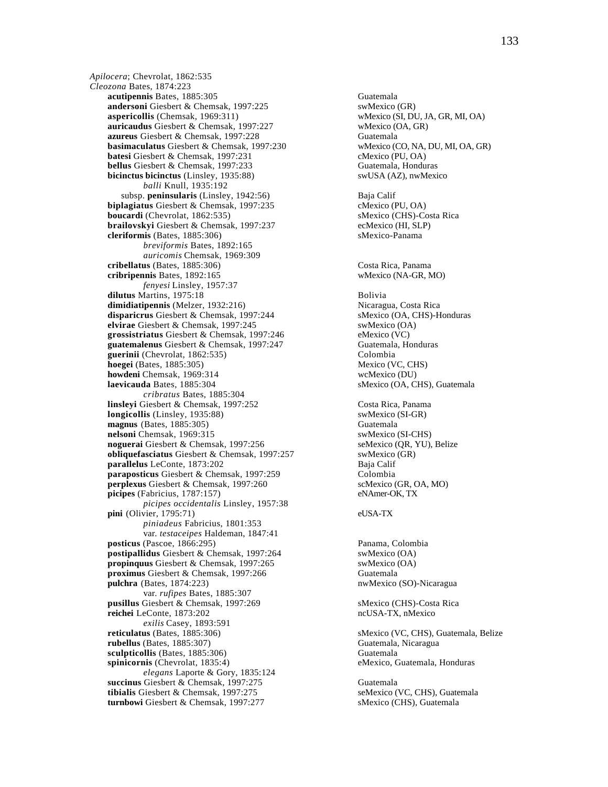*Apilocera*; Chevrolat, 1862:535 *Cleozona* Bates, 1874:223 **acutipennis** Bates, 1885:305 Guatemala **andersoni** Giesbert & Chemsak, 1997:225 swMexico (GR)<br> **aspericollis** (Chemsak, 1969:311) wMexico (SI, DU, JA, GR, MI, OA) **aspericollis** (Chemsak, 1969:311) **auricaudus** Giesbert & Chemsak, 1997:227 wMexico (OA, GR) **azureus** Giesbert & Chemsak, 1997:228 Guatemala<br> **basimaculatus** Giesbert & Chemsak, 1997:230 WMexico (CO, NA, DU, MI, OA, GR) **basimaculatus** Giesbert & Chemsak, 1997:230 **batesi** Giesbert & Chemsak, 1997:231 cMexico (PU, OA) **bellus** Giesbert & Chemsak, 1997:233 Guatemala, Honduras **bicinctus bicinctus** (Linsley, 1935:88) swUSA (AZ), nwMexico *balli* Knull, 1935:192 subsp. **peninsularis** (Linsley, 1942:56) Baja Calif **biplagiatus** Giesbert & Chemsak, 1997:235 cMexico (PU, OA) **boucardi** (Chevrolat, 1862:535) sMexico (CHS)-Costa Rica **brailovskyi** Giesbert & Chemsak, 1997:237 ecMexico (HI, SLP) **cleriformis** (Bates, 1885:306) sMexico-Panama *breviformis* Bates, 1892:165 *auricomis* Chemsak, 1969:309 **cribellatus** (Bates, 1885:306) Costa Rica, Panama **cribripennis** Bates, 1892:165 wMexico (NA-GR, MO) *fenyesi* Linsley, 1957:37 **dilutus** Martins, 1975:18 Bolivia dimidiatipennis (Melzer, 1932:216) **disparicrus** Giesbert & Chemsak, 1997:244 sMexico (OA, CHS)-Honduras **elvirae** Giesbert & Chemsak, 1997:245 swMexico (OA) **grossistriatus** Giesbert & Chemsak, 1997:246 eMexico (VC) **guatemalenus** Giesbert & Chemsak, 1997:247 Guatemala, Honduras<br> **guerinii** (Chevrolat. 1862:535) Colombia guerinii (Chevrolat, 1862:535) **hoegei** (Bates, 1885:305) Mexico (VC, CHS) **howdeni** Chemsak, 1969:314 wcMexico (DU) **laevicauda** Bates, 1885:304 sMexico (OA, CHS), Guatemala *cribratus* Bates, 1885:304 **linsleyi** Giesbert & Chemsak, 1997:252 Costa Rica, Panama<br> **longicollis** (Linsley, 1935:88) SwMexico (SI-GR) **longicollis** (Linsley, 1935:88) **magnus** (Bates, 1885:305) Guatemala **nelsoni Chemsak, 1969:315**<br> **noguerai Giesbert & Chemsak, 1997:256** seMexico (QR, YU), Belize **noguerai** Giesbert & Chemsak, 1997:256 **obliquefasciatus Giesbert & Chemsak, 1997:257** swMexico (GR) **parallelus** LeConte, 1873:202 Baja Calif **paraposticus** Giesbert & Chemsak, 1997:259 Colombia **perplexus** Giesbert & Chemsak, 1997:260 scMexico (GR, OA, MO) **picipes** (Fabricius, 1787:157) eNAmer-OK, TX *picipes occidentalis* Linsley, 1957:38 **pini** (Olivier, 1795:71) eUSA-TX *piniadeus* Fabricius, 1801:353 var. *testaceipes* Haldeman, 1847:41 **posticus** (Pascoe, 1866:295) Panama, Colombia **postipallidus** Giesbert & Chemsak, 1997:264 swMexico (OA) **propinquus** Giesbert & Chemsak, 1997:265 swMexico (OA) **proximus** Giesbert & Chemsak, 1997:266 Guatemala pulchra (Bates, 1874:223) nwMexico (SO)-Nicaragua var. *rufipes* Bates, 1885:307 **pusillus** Giesbert & Chemsak, 1997:269 sMexico (CHS)-Costa Rica **reichei** LeConte, 1873:202 ncUSA-TX, nMexico *exilis* Casey, 1893:591<br>**reticulatus** (Bates, 1885:306) **rubellus** (Bates, 1885:307) Guatemala, Nicaragua **sculpticollis** (Bates, 1885:306) Guatemala **spinicornis** (Chevrolat, 1835:4) eMexico, Guatemala, Honduras *elegans* Laporte & Gory, 1835:124 **succinus** Giesbert & Chemsak, 1997:275<br> **sextibialis** Giesbert & Chemsak, 1997:275<br> **seMexico (VC, CHS), Guatemala tibialis** Giesbert & Chemsak, 1997:275 **turnbowi Giesbert & Chemsak, 1997:277** sMexico (CHS), Guatemala

sMexico (VC, CHS), Guatemala, Belize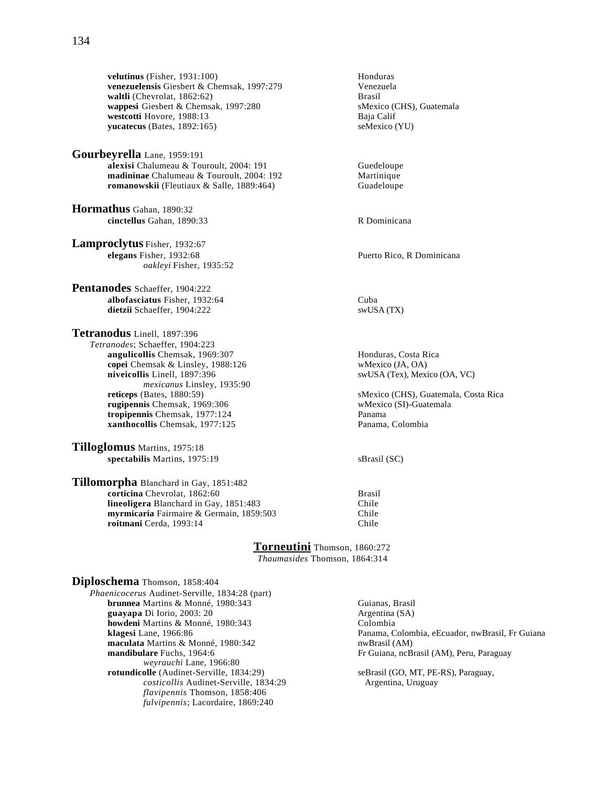**velutinus** (Fisher, 1931:100)<br> **venezuelensis** Giesbert & Chemsak, 1997:279 **Honduras**<br>
Venezuela venezuelensis Giesbert & Chemsak, 1997:279 **waltli** (Chevrolat, 1862:62) Brasil **wappesi** Giesbert & Chemsak, 1997:280 sMexico (CHS), Guatemala<br> **westcotti** Hovore, 1988:13 Baja Calif **westcotti Hovore, 1988:13** Baja Calif <br> **westcotti Automatic California** Baja California Baja California Baja California Baja California Baja California<br> **westcotti Automatic California Baja California Baja California Baj**  $yucatecus$  (Bates,  $1892:165$ )

**Gourbeyrella** Lane, 1959:191 **alexisi** Chalumeau & Touroult, 2004: 191 Guedeloupe<br> **madininae** Chalumeau & Touroult, 2004: 192 Martinique madininae Chalumeau & Touroult, 2004: 192 **romanowskii** (Fleutiaux & Salle, 1889:464) Guadeloupe

**Hormathus** Gahan, 1890:32 **cinctellus** Gahan, 1890:33 R Dominicana

**Lamproclytus** Fisher, 1932:67 **elegans** Fisher, 1932:68 Puerto Rico, R Dominicana *oakleyi* Fisher, 1935:52

**Pentanodes** Schaeffer, 1904:222 **albofasciatus** Fisher, 1932:64 Cuba<br> **dietzii** Schaeffer, 1904:222 SwUSA (TX) dietzii Schaeffer, 1904:222

**Tetranodus** Linell, 1897:396 *Tetranodes*; Schaeffer, 1904:223 **angulicollis** Chemsak, 1969:307<br> **angulicollis** Chemsak & Linsley, 1988:126<br> **angulicollis** Chemsak & Linsley, 1988:126<br> **angulicollis Chemsak & Linsley, 1988:126 copei** Chemsak & Linsley, 1988:126 **niveicollis** Linell, 1897:396 swUSA (Tex), Mexico (OA, VC) mexicanus Linsley, 1935:90<br>reticeps (Bates, 1880:59) **rugipennis** Chemsak, 1969:306 **wMexico (SI)-Guatemala**<br> **ropipennis** Chemsak. 1977:124 **Panama tropipennis** Chemsak, 1977:124 **xanthocollis** Chemsak, 1977:125 Panama, Colombia

**Tilloglomus** Martins, 1975:18 **spectabilis** Martins, 1975:19 sBrasil (SC)

**Tillomorpha** Blanchard in Gay, 1851:482 **corticina** Chevrolat, 1862:60 **Brasil Brasil in Chevrolat**, 1862:60 **Brasil Chile Chile lineoligera** Blanchard in Gay, 1851:483 **myrmicaria** Fairmaire & Germain, 1859:503 Chile **roitmani** Cerda, 1993:14 Chile

**sMexico** (CHS), Guatemala, Costa Rica

**Torneutini** Thomson, 1860:272 *Thaumasides* Thomson, 1864:314

**Diploschema** Thomson, 1858:404 *Phaenicocerus* Audinet-Serville, 1834:28 (part) **brunnea** Martins & Monné, 1980:343 Guianas, Brasil **guayapa** Di Iorio, 2003: 20 Argentina (SA) howdeni Martins & Monné, 1980:343<br>**klagesi** Lane, 1966:86 **maculata** Martins & Monné, 1980:342 nwBrasil (AM) **mandibulare** Fuchs, 1964:6 **Fig. 2.1 Fr** Guiana, ncBrasil (AM), Peru, Paraguay *weyrauchi* Lane, 1966:80 **rotundicolle** (Audinet-Serville, 1834:29) seBrasil (GO, MT, PE-RS), Paraguay, costicollis Audinet-Serville, 1834:29 Argentina, Uruguay *costicollis* Audinet-Serville, 1834:29 *flavipennis* Thomson, 1858:406 *fulvipennis*; Lacordaire, 1869:240

Panama, Colombia, eEcuador, nwBrasil, Fr Guiana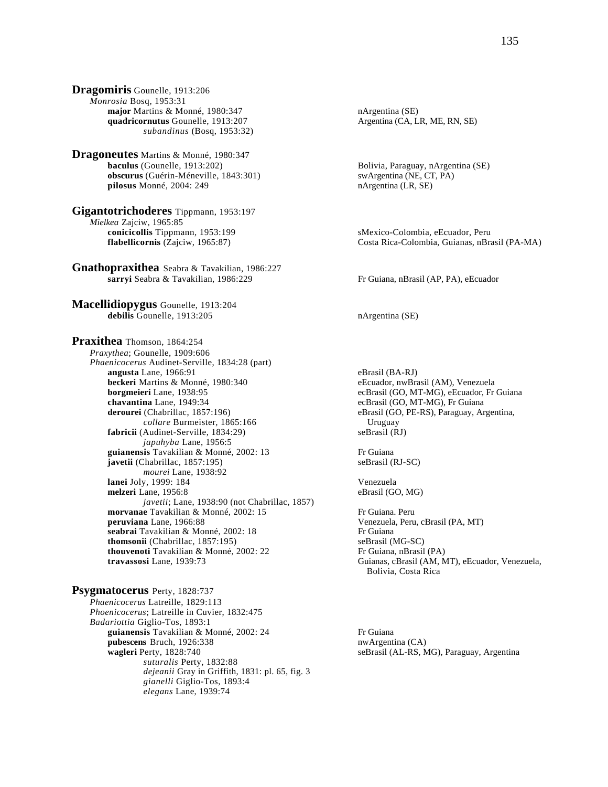**Dragomiris** Gounelle, 1913:206 *Monrosia* Bosq, 1953:31 **major** Martins & Monné, 1980:347 nArgentina (SE) **quadricornutus** Gounelle, 1913:207 Argentina (CA, LR, ME, RN, SE) *subandinus* (Bosq, 1953:32)

**Dragoneutes** Martins & Monné, 1980:347 **baculus** (Gounelle, 1913:202)<br> **bacurus** (Guérin-Méneville, 1843:301)<br> **bacurus** (Guérin-Méneville, 1843:301)<br> **bacurus** (NE, CT, PA) **obscurus** (Guérin-Méneville, 1843:301) **pilosus** Monné, 2004: 249 nArgentina (LR, SE)

**Gigantotrichoderes** Tippmann, 1953:197 *Mielkea* Zajciw, 1965:85 **conicicollis** Tippmann, 1953:199 sMexico-Colombia, eEcuador, Peru<br> **flabellicornis** (Zajciw, 1965:87) Costa Rica-Colombia, Guianas, nBra

**Gnathopraxithea** Seabra & Tavakilian, 1986:227 **sarryi** Seabra & Tavakilian, 1986:229 Fr Guiana, nBrasil (AP, PA), eEcuador

**Macellidiopygus** Gounelle, 1913:204 debilis Gounelle, 1913:205 nArgentina (SE)

**Praxithea** Thomson, 1864:254 *Praxythea*; Gounelle, 1909:606 *Phaenicocerus* Audinet-Serville, 1834:28 (part) **angusta** Lane, 1966:91 eBrasil (BA-RJ) **beckeri** Martins & Monné, 1980:340 eEcuador, nwBrasil (AM), Venezuela **borgmeieri** Lane, 1938:95 ecBrasil (GO, MT-MG), eEcuador, Fr Guiana **chavantina** Lane, 1949:34 ecBrasil (GO, MT-MG), Fr Guiana **derourei** (Chabrillac, 1857:196) eBrasil (GO, PE-RS), Paraguay, Argentina, *collare* Burmeister, 1865:166 Uruguay **fabricii** (Audinet-Serville, 1834:29) seBrasil (RJ) *japuhyba* Lane, 1956:5 guianensis Tavakilian & Monné, 2002: 13 Fr Guiana **javetii** (Chabrillac, 1857:195) seBrasil (RJ-SC) *mourei* Lane, 1938:92 **lanei** Joly, 1999: 184 Venezuela **melzeri** Lane, 1956:8 eBrasil (GO, MG) *javetii*; Lane, 1938:90 (not Chabrillac, 1857) **morvanae** Tavakilian & Monné, 2002: 15 Fr Guiana. Peru **peruviana** Lane, 1966:88 Venezuela, Peru, cBrasil (PA, MT) seabrai Tavakilian & Monné, 2002: 18 Fr Guiana **thomsonii** (Chabrillac, 1857:195)<br> **thouvenoti** Tavakilian & Monné, 2002: 22<br>
Fr Guiana, nBrasil (PA) **thouvenoti** Tavakilian & Monné, 2002: 22 **travassosi** Lane, 1939:73 Guianas, cBrasil (AM, MT), eEcuador, Venezuela,

**Psygmatocerus** Perty, 1828:737 *Phaenicocerus* Latreille, 1829:113

*Phoenicocerus*; Latreille in Cuvier, 1832:475 *Badariottia* Giglio-Tos, 1893:1 **guianensis** Tavakilian & Monné, 2002: 24 Fr Guiana **pubescens** Bruch, 1926:338 nwArgentina (CA) **wagleri** Perty, 1828:740 seBrasil (AL-RS, MG), Paraguay, Argentina *suturalis* Perty, 1832:88 *dejeanii* Gray in Griffith, 1831: pl. 65, fig. 3 *gianelli* Giglio-Tos, 1893:4 *elegans* Lane, 1939:74

**flabellicos flabellicos flabellicos flabellicos flabellicos flabel flabel flabel flabel flabel flabel flabel flabel flabel flabel flabel flabel flabel flabel flabel flabel flabel** 

Bolivia, Costa Rica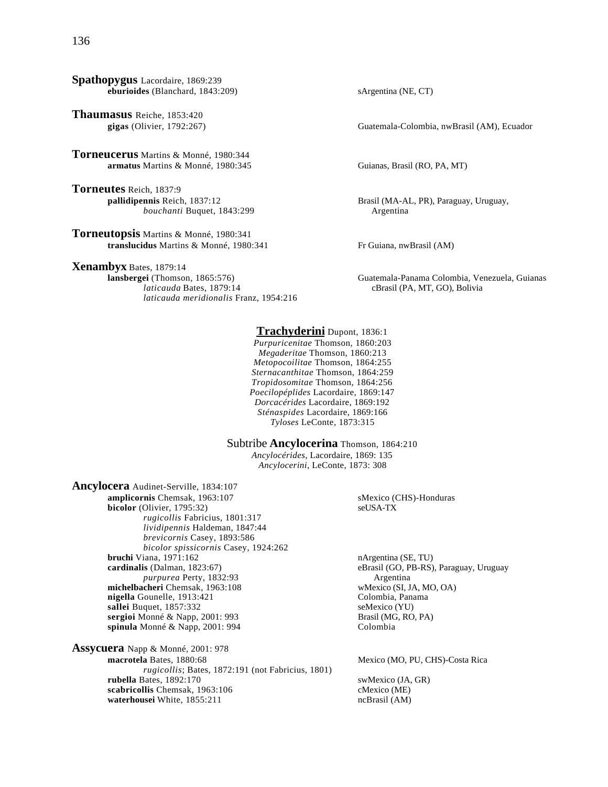**Spathopygus** Lacordaire, 1869:239 **eburioides** (Blanchard, 1843:209) sArgentina (NE, CT)

**Thaumasus** Reiche, 1853:420 gigas (Olivier, 1792:267)

**Torneucerus** Martins & Monné, 1980:344 **armatus** Martins & Monné, 1980:345 Guianas, Brasil (RO, PA, MT)

**Torneutes** Reich, 1837:9<br>**pallidipennis** Reich, 1837:12 *bouchanti* Buquet, 1843:299 Argentina

**Torneutopsis** Martins & Monné, 1980:341 translucidus Martins & Monné, 1980:341 Fr Guiana, nwBrasil (AM)

**Xenambyx** Bates, 1879:14<br>**lansbergei** (Thomson, 1865:576) *laticauda* Bates, 1879:14 cBrasil (PA, MT, GO), Bolivia *laticauda meridionalis* Franz, 1954:216

Guatemala-Colombia, nwBrasil (AM), Ecuador

Brasil (MA-AL, PR), Paraguay, Uruguay,

**lansbergei** (Thomson, 1865:576) Guatemala-Panama Colombia, Venezuela, Guianas

**Trachyderini** Dupont, 1836:1 *Purpuricenitae* Thomson, 1860:203 *Megaderitae* Thomson, 1860:213 *Metopocoilitae* Thomson, 1864:255 *Sternacanthitae* Thomson, 1864:259 *Tropidosomitae* Thomson, 1864:256 *Poecilopéplides* Lacordaire, 1869:147 *Dorcacérides* Lacordaire, 1869:192 *Sténaspides* Lacordaire, 1869:166 *Tyloses* LeConte, 1873:315

Subtribe **Ancylocerina** Thomson, 1864:210 *Ancylocérides*, Lacordaire, 1869: 135 *Ancylocerini*, LeConte, 1873: 308

**Ancylocera** Audinet-Serville, 1834:107 **amplicornis** Chemsak, 1963:107<br> **bicolor** (Olivier. 1795:32)<br> **bicolor** (Olivier. 1795:32)  $bicolor$  (Olivier, 1795:32) *rugicollis* Fabricius, 1801:317 *lividipennis* Haldeman, 1847:44 *brevicornis* Casey, 1893:586 *bicolor spissicornis* Casey, 1924:262 **bruchi** Viana, 1971:162<br> **cardinalis** (Dalman, 1823:67) **bruchi access brachinalis** (SO, PB-RS) *purpurea* Perty, 1832:93 Argentina **michelbacheri** Chemsak, 1963:108 wMexico (SI, JA, MO, OA) **nigella** Gounelle, 1913:421 Colombia, Panama **sallei** Buquet, 1857:332<br> **sengioi** Monné & Napp, 2001: 993<br> **Sengioi** Monné & Napp, 2001: 993 sergioi Monné & Napp, 2001: 993 **spinula** Monné & Napp, 2001: 994 Colombia

**Assycuera** Napp & Monné, 2001: 978 *rugicollis*; Bates, 1872:191 (not Fabricius, 1801) **rubella** Bates, 1892:170 swMexico (JA, GR) scabricollis Chemsak, 1963:106 cMexico (ME) **waterhousei** White, 1855:211 ncBrasil (AM)

eBrasil (GO, PB-RS), Paraguay, Uruguay

Mexico (MO, PU, CHS)-Costa Rica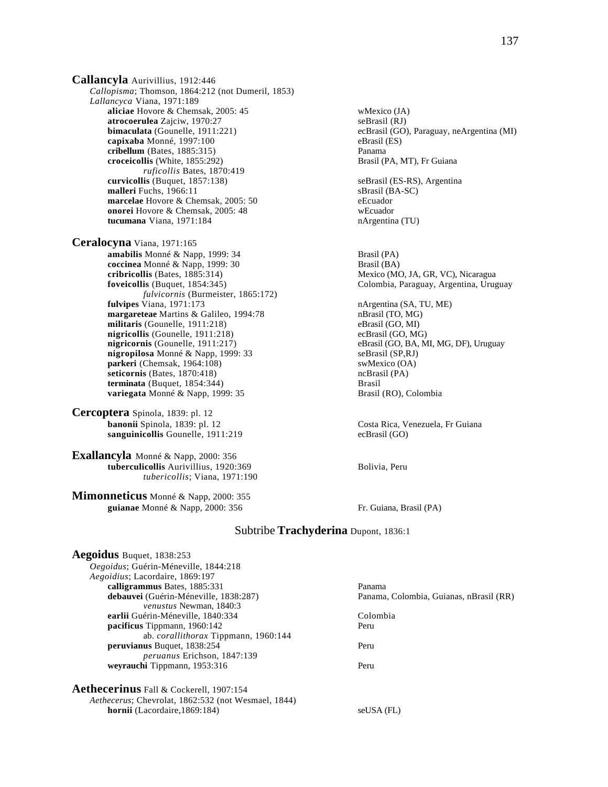**Callancyla** Aurivillius, 1912:446 *Callopisma*; Thomson, 1864:212 (not Dumeril, 1853) *Lallancyca* Viana, 1971:189 **aliciae** Hovore & Chemsak, 2005: 45 wMexico (JA) **atrocoerulea** Zajciw, 1970:27 seBrasil (RJ) **capixaba** Monné, 1997:100 eBrasil (ES) **cribellum** (Bates, 1885:315)<br> **croceicollis** (White, 1855:292) **Panama**<br> **croceicollis** (White, 1855:292) **Panama**<br> **Brasil (PA, MT), Fr Guiana** croceicollis (White, 1855:292) *ruficollis* Bates, 1870:419 **curvicollis** (Buquet, 1857:138) seBrasil (ES-RS), Argentina **malleri** Fuchs, 1966:11 sBrasil (BA-SC) **marcelae** Hovore & Chemsak, 2005: 50 eEcuador **onorei** Hovore & Chemsak, 2005: 48 wEcuador **tucumana** Viana, 1971:184 nArgentina (TU)

**Ceralocyna** Viana, 1971:165 **amabilis** Monné & Napp, 1999: 34 Brasil (PA) **coccinea** Monné & Napp, 1999: 30 Brasil (BA) **cribricollis** (Bates, 1885:314) Mexico (MO, JA, GR, VC), Nicaragua<br> **foveicollis** (Buquet, 1854:345) Colombia, Paraguay, Argentina, Urug *fulvicornis* (Burmeister, 1865:172) **fulvipes** Viana, 1971:173 nArgentina (SA, TU, ME) **margareteae** Martins & Galileo, 1994:78 nBrasil (TO, MG)<br> **militaris** (Gounelle, 1911:218) eBrasil (GO, MI) militaris (Gounelle, 1911:218) eBrasil (GO, MI)<br> **nigricollis** (Gounelle, 1911:218) ecBrasil (GO, MG) **nigricollis** (Gounelle, 1911:218)<br>**nigricornis** (Gounelle, 1911:217) **nigropilosa** Monné & Napp, 1999: 33 seBrasil (SP,RJ) **parkeri** (Chemsak, 1964:108) swMexico (OA) seticornis (Bates, 1870:418) swMexico (OA) ncBrasil (PA) seticornis (Bates, 1870:418) **terminata** (Buquet, 1854:344)<br> **variegata** Monné & Napp, 1999: 35 **blue Brasil** (RO), Colombia variegata Monné & Napp, 1999: 35

**Cercoptera** Spinola, 1839: pl. 12 **banonii** Spinola, 1839: pl. 12 **Costa Rica, Venezuela, Fr Guiana sanguinicollis** Gounelle, 1911:219 ecBrasil (GO)

**Exallancyla** Monné & Napp, 2000: 356 **tuberculicollis** Aurivillius, 1920:369 Bolivia, Peru *tubericollis*; Viana, 1971:190

**Mimonneticus** Monné & Napp, 2000: 355 **guianae** Monné & Napp, 2000: 356 Fr. Guiana, Brasil (PA)

ecBrasil (GO), Paraguay, neArgentina (MI) **foveicollis** (Buquet, 1854:345) Colombia, Paraguay, Argentina, Uruguay eBrasil (GO, BA, MI, MG, DF), Uruguay

# Subtribe **Trachyderina** Dupont, 1836:1

| <b>Aegoidus</b> Buquet, 1838:253                            |                                         |
|-------------------------------------------------------------|-----------------------------------------|
| Oegoidus; Guérin-Méneville, 1844:218                        |                                         |
| Aegoidius; Lacordaire, 1869:197                             |                                         |
| calligrammus Bates, 1885:331                                | Panama                                  |
| debauvei (Guérin-Méneville, 1838:287)                       | Panama, Colombia, Guianas, nBrasil (RR) |
| venustus Newman, 1840:3                                     |                                         |
| earlii Guérin-Méneville, 1840:334                           | Colombia                                |
| <b>pacificus</b> Tippmann, 1960:142                         | Peru                                    |
| ab. <i>corallithorax</i> Tippmann, 1960:144                 |                                         |
| <b>peruvianus</b> Buquet, 1838:254                          | Peru                                    |
| <i>peruanus</i> Erichson, 1847:139                          |                                         |
| wevrauchi Tippmann, 1953:316                                | Peru                                    |
| <b>Aethecerinus</b> Fall & Cockerell, 1907:154              |                                         |
| <i>Aethecerus</i> ; Chevrolat, 1862:532 (not Wesmael, 1844) |                                         |

**hornii** (Lacordaire,1869:184) seUSA (FL)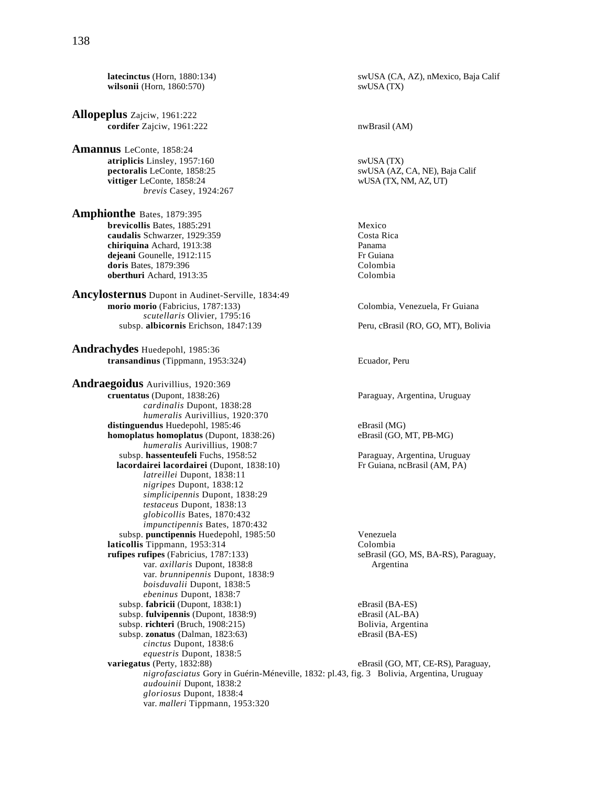**latecinctus** (Horn, 1880:134) swUSA (CA, AZ), nMexico, Baja Calif **wilsonii** (Horn, 1860:570) swUSA (TX)

**Allopeplus** Zajciw, 1961:222 **cordifer** Zajciw, 1961:222 nwBrasil (AM)

**Amannus** LeConte, 1858:24 **atriplicis** Linsley, 1957:160<br> **atriplicis** LeConte, 1858:25<br> **atriplicis** LeConte, 1858:25<br> **atriplicis** LeConte, 1858:25<br> **atriplicis** LeConte, 1858:25 pectoralis LeConte, 1858:25 **vittiger** LeConte, 1858:24 wUSA (TX, NM, AZ, UT) *brevis* Casey, 1924:267

**Amphionthe** Bates, 1879:395 **brevicollis** Bates, 1885:291 Mexico **caudalis Schwarzer, 1929:359** Costa Rica<br> **chiriquina** Achard 1913:38 **chiriquina** Achard, 1913:38 **dejeani** Gounelle, 1912:115 Fr Guiana **doris** Bates, 1879:396 Colombia **oberthuri** Achard, 1913:35 Colombia

**Ancylosternus** Dupont in Audinet-Serville, 1834:49 **morio morio** (Fabricius, 1787:133) Colombia, Venezuela, Fr Guiana *scutellaris* Olivier, 1795:16 subsp. **albicornis** Erichson, 1847:139 Peru, cBrasil (RO, GO, MT), Bolivia

**Andrachydes** Huedepohl, 1985:36 **transandinus** (Tippmann, 1953:324) Ecuador, Peru

**Andraegoidus** Aurivillius, 1920:369 **cruentatus** (Dupont, 1838:26) Paraguay, Argentina, Uruguay *cardinalis* Dupont, 1838:28 *humeralis* Aurivillius, 1920:370 distinguendus Huedepohl, 1985:46 eBrasil (MG) **homoplatus homoplatus** (Dupont, 1838:26) eBrasil (GO, MT, PB-MG) *humeralis* Aurivillius, 1908:7 subsp. **hassenteufeli** Fuchs, 1958:52 Paraguay, Argentina, Uruguay<br> **lacordairei lacordairei** (Dupont, 1838:10) Fr Guiana, ncBrasil (AM, PA) **lacordairei lacordairei** (Dupont, 1838:10) *latreillei* Dupont, 1838:11 *nigripes* Dupont, 1838:12 *simplicipennis* Dupont, 1838:29 *testaceus* Dupont, 1838:13 *globicollis* Bates, 1870:432 *impunctipennis* Bates, 1870:432 subsp. **punctipennis** Huedepohl, 1985:50 Venezuela **laticollis** Tippmann, 1953:314<br> **rufipes rufipes** (Fabricius, 1787:133) SeBrasil (GO, MS, BA-RS), Paraguay, **rufipes rufipes** (Fabricius, 1787:133) var. *axillaris* Dupont, 1838:8 Argentina var. *brunnipennis* Dupont, 1838:9 *boisduvalii* Dupont, 1838:5 *ebeninus* Dupont, 1838:7 subsp. **fabricii** (Dupont, 1838:1) eBrasil (BA-ES)<br>
subsp. **fulvipennis** (Dupont, 1838:9) eBrasil (AL-BA) subsp. **fulvipennis** (Dupont, 1838:9) subsp. **richteri** (Bruch, 1908:215) Bolivia, Argentina subsp. **zonatus** (Dalman, 1823:63) eBrasil (BA-ES) *cinctus* Dupont, 1838:6 *equestris* Dupont, 1838:5 **variegatus** (Perty, 1832:88) eBrasil (GO, MT, CE-RS), Paraguay, *nigrofasciatus* Gory in Guérin-Méneville, 1832: pl.43, fig. 3 Bolivia, Argentina, Uruguay *audouinii* Dupont, 1838:2 *gloriosus* Dupont, 1838:4 var. *malleri* Tippmann, 1953:320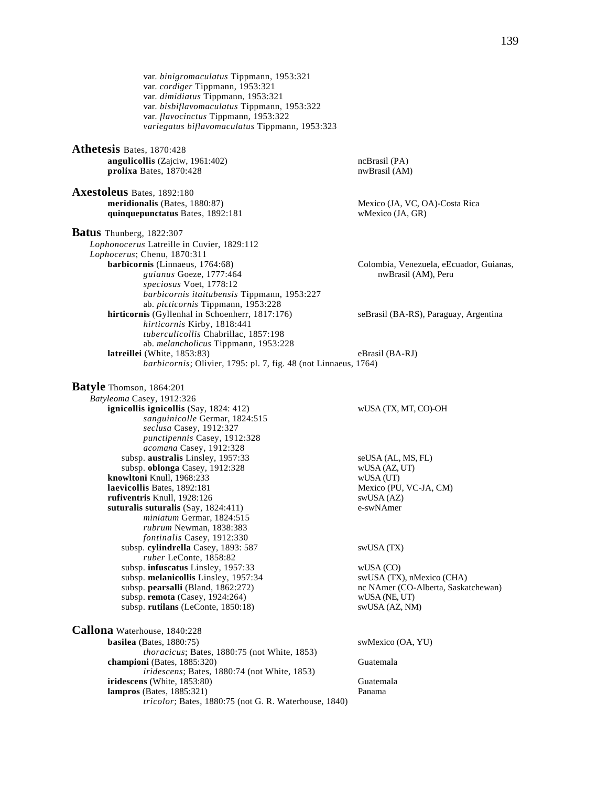var. *binigromaculatus* Tippmann, 1953:321 var. *cordiger* Tippmann, 1953:321 var. *dimidiatus* Tippmann, 1953:321 var. *bisbiflavomaculatus* Tippmann, 1953:322 var. *flavocinctus* Tippmann, 1953:322 *variegatus biflavomaculatus* Tippmann, 1953:323 **Athetesis** Bates, 1870:428 **angulicollis** (Zajciw, 1961:402) **https://web/2015/angulicollis** (PA) **ncBrasil** (PA) **nwBrasil** (AM) prolixa Bates, 1870:428 **Axestoleus** Bates, 1892:180<br>meridionalis (Bates, 1880:87) Mexico (JA, VC, OA)-Costa Rica **quinquepunctatus** Bates, 1892:181 wMexico (JA, GR) **Batus** Thunberg, 1822:307 *Lophonocerus* Latreille in Cuvier, 1829:112 *Lophocerus*; Chenu, 1870:311 **barbicornis** (Linnaeus, 1764:68) Colombia, Venezuela, eEcuador, Guianas, guianus Goeze, 1777:464 nwBrasil (AM), Peru *speciosus* Voet, 1778:12 *barbicornis itaitubensis* Tippmann, 1953:227 ab. *picticornis* Tippmann, 1953:228 **hirticornis** (Gyllenhal in Schoenherr, 1817:176) seBrasil (BA-RS), Paraguay, Argentina *hirticornis* Kirby, 1818:441 *tuberculicollis* Chabrillac, 1857:198 ab. *melancholicus* Tippmann, 1953:228 **latreillei** (White, 1853:83) eBrasil (BA-RJ) *barbicornis*; Olivier, 1795: pl. 7, fig. 48 (not Linnaeus, 1764) **Batyle** Thomson, 1864:201 *Batyleoma* Casey, 1912:326 **ignicollis ignicollis** (Say, 1824: 412) wUSA (TX, MT, CO)-OH *sanguinicolle* Germar, 1824:515 *seclusa* Casey, 1912:327 *punctipennis* Casey, 1912:328 *acomana* Casey, 1912:328 subsp. **australis** Linsley, 1957:33 seUSA (AL, MS, FL) subsp. **oblonga** Casey, 1912:328 wUSA (AZ, UT) **knowltoni** Knull, 1968:233 wUSA (UT) **laevicollis** Bates, 1892:181 Mexico (PU, VC-JA, CM) **rufiventris** Knull, 1928:126 swUSA (AZ)<br> **suturalis suturalis** (Sav. 1824:411) e-swNAmer  $$ *miniatum* Germar, 1824:515 *rubrum* Newman, 1838:383 *fontinalis* Casey, 1912:330 subsp. **cylindrella** Casey, 1893: 587 swUSA (TX) *ruber* LeConte, 1858:82 subsp. **infuscatus** Linsley, 1957:33 wUSA (CO)<br>subsp. **melanicollis** Linsley, 1957:34 swUSA (TX), nMexico (CHA) subsp. melanicollis Linsley, 1957:34 subsp. **pearsalli** (Bland, 1862:272) nc NAmer (CO-Alberta, Saskatchewan) subsp. **remota** (Casey, 1924:264) wUSA (NE, UT) subsp. **rutilans** (LeConte, 1850:18) swUSA (AZ, NM) **Callona** Waterhouse, 1840:228 **basilea** (Bates, 1880:75) swMexico (OA, YU) *thoracicus*; Bates, 1880:75 (not White, 1853) **championi** (Bates, 1885:320) Guatemala *iridescens*; Bates, 1880:74 (not White, 1853) **iridescens** (White, 1853:80) Guatemala **lampros** (Bates, 1885:321) Panama *tricolor*; Bates, 1880:75 (not G. R. Waterhouse, 1840)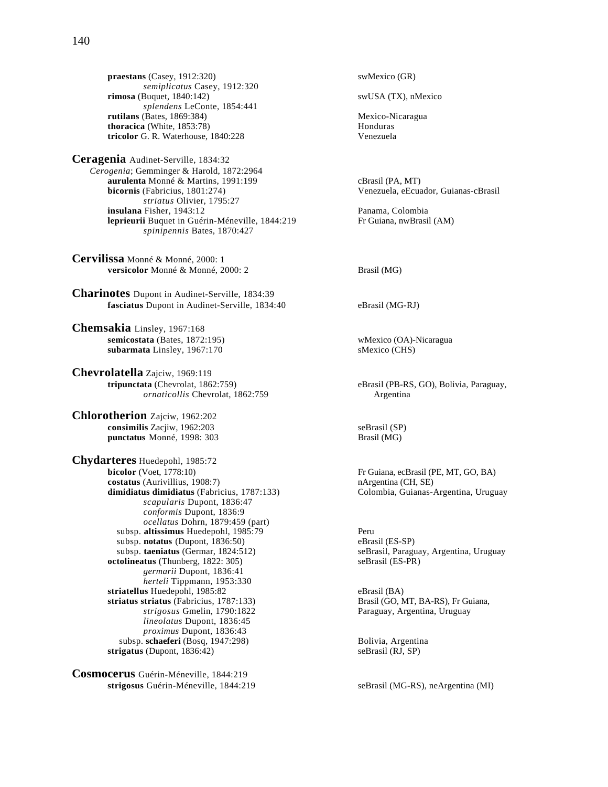praestans (Casey, 1912:320) swMexico (GR) *semiplicatus* Casey, 1912:320 **rimosa** (Buquet, 1840:142) swUSA (TX), nMexico *splendens* LeConte, 1854:441 **rutilans** (Bates, 1869:384)<br> **comparison in the comparison of the comparison of the comparison of the comparison of the Honduras**<br> **Honduras thoracica** (White, 1853:78) **tricolor** G. R. Waterhouse, 1840:228 Venezuela

**Ceragenia** Audinet-Serville, 1834:32 *Cerogenia*; Gemminger & Harold, 1872:2964 **aurulenta** Monné & Martins, 1991:199 cBrasil (PA, MT)<br> **bicornis** (Fabricius, 1801:274) Cenezuela, eEcua *striatus* Olivier, 1795:27 **insulana** Fisher, 1943:12<br> **diana in** Guérin-Méneville. 1844:219 **Panama, Colombia**<br> **Fr** Guiana. nwBrasil (AM) **leprieurii** Buquet in Guérin-Méneville, 1844:219 *spinipennis* Bates, 1870:427

**Cervilissa** Monné & Monné, 2000: 1 **versicolor** Monné & Monné, 2000: 2 Brasil (MG)

**Charinotes** Dupont in Audinet-Serville, 1834:39 **fasciatus** Dupont in Audinet-Serville, 1834:40 eBrasil (MG-RJ)

**Chemsakia** Linsley, 1967:168 **semicostata** (Bates, 1872:195) <br>**subarmata** Linsley, 1967:170 <br>**similar in the subarmata** Linsley, 1967:170 <br>**similar in the subarmata** SMexico (CHS) subarmata Linsley, 1967:170

**Chevrolatella** Zajciw, 1969:119<br>tripunctata (Chevrolat, 1862:759) *ornaticollis* Chevrolat, 1862:759 Argentina

**Chlorotherion** Zajciw, 1962:202 **consimilis** Zacjiw, 1962:203 seBrasil (SP) **punctatus** Monné, 1998: 303 Brasil (MG)

**Chydarteres** Huedepohl, 1985:72 **costatus** (Aurivillius, 1908:7) nArgentina (CH, SE) **dimidiatus dimidiatus** (Fabricius, 1787:133) Colombia, Guianas-Argentina, Uruguay *scapularis* Dupont, 1836:47 *conformis* Dupont, 1836:9 *ocellatus* Dohrn, 1879:459 (part) subsp. **altissimus** Huedepohl, 1985:79 Peru subsp. **notatus** (Dupont, 1836:50) eBrasil (ES-SP)<br>subsp. **taeniatus** (Germar, 1824:512) seBrasil, Paragu **octolineatus** (Thunberg, 1822: 305) seBrasil (ES-PR) *germarii* Dupont, 1836:41 *herteli* Tippmann, 1953:330 striatellus Huedepohl, 1985:82 eBrasil (BA) **striatus striatus** (Fabricius, 1787:133) Brasil (GO, MT, BA-RS), Fr Guiana, *strigosus* Gmelin, 1790:1822 Paraguay, Argentina, Uruguay *lineolatus* Dupont, 1836:45 *proximus* Dupont, 1836:43 subsp. **schaeferi** (Bosq, 1947:298) Bolivia, Argentina<br> **igatus** (Dupont, 1836:42) SeBrasil (RJ, SP)  $strigatus$  (Dupont,  $1836:42$ )

**Cosmocerus** Guérin-Méneville, 1844:219 **strigosus** Guérin-Méneville, 1844:219 seBrasil (MG-RS), neArgentina (MI)

Venezuela, eEcuador, Guianas-cBrasil

eBrasil (PB-RS, GO), Bolivia, Paraguay,

Fr Guiana, ecBrasil (PE, MT, GO, BA)

seBrasil, Paraguay, Argentina, Uruguay

Paraguay, Argentina, Uruguay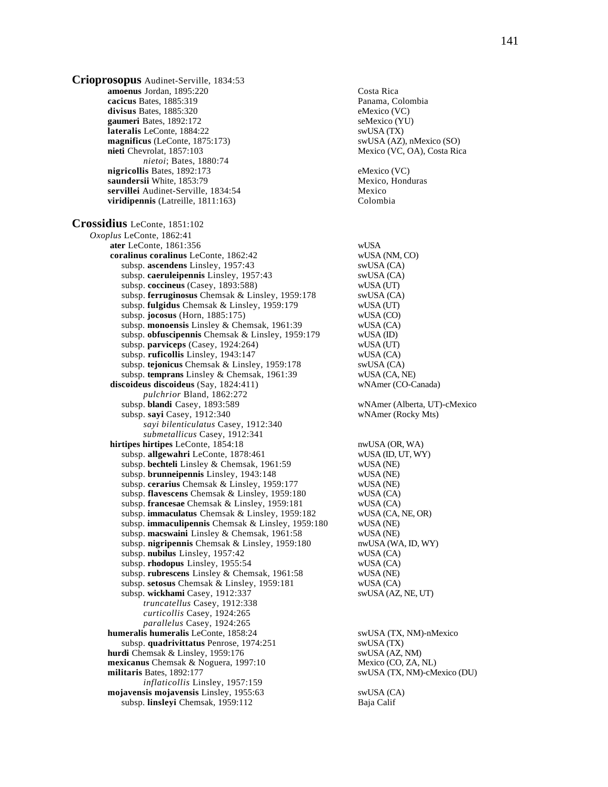**amoenus** Jordan, 1895:220 Costa Rica **cacicus** Bates, 1885:319 Panama, Colombia **divisus** Bates, 1885:320 eMexico (VC) gaumeri Bates, 1892:172 seMexico (YU) **lateralis** LeConte, 1884:22 swUSA (TX) **magnificus** (LeConte, 1875:173) swUSA (AZ), nMexico (SO) **nieti** Chevrolat, 1857:103 Mexico (VC, OA), Costa Rica **nigricollis** Bates, 1892:173 eMexico (VC) **saundersii** White, 1853:79 Mexico, Honduras

**servillei** Audinet-Serville, 1834:54 Mexico **viridipennis** (Latreille, 1811:163) Colombia **Crossidius** LeConte, 1851:102 *Oxoplus* LeConte, 1862:41  **ater** LeConte, 1861:356 wUSA  **coralinus coralinus** LeConte, 1862:42 wUSA (NM, CO) subsp. **ascendens** Linsley, 1957:43 swUSA (CA) subsp. **caeruleipennis** Linsley, 1957:43 swUSA (CA) subsp. **coccineus** (Casey, 1893:588) wUSA (UT) subsp. **ferruginosus** Chemsak & Linsley, 1959:178 swUSA (CA) subsp. **fulgidus** Chemsak & Linsley, 1959:179 wUSA (UT) subsp. **fulgidus** Chemsak & Linsley, 1959:179 subsp. **jocosus** (Horn, 1885:175) wUSA (CO) subsp. **monoensis** Linsley & Chemsak, 1961:39 wUSA (CA) subsp. **obfuscipennis** Chemsak & Linsley, 1959:179 wUSA (ID) subsp. **parviceps** (Casey, 1924:264) wUSA (UT)<br>
subsp. **ruficollis** Linsley, 1943:147 wUSA (CA) subsp. ruficollis Linsley, 1943:147 subsp. **tejonicus** Chemsak & Linsley, 1959:178 swUSA (CA) subsp. **temprans** Linsley & Chemsak, 1961:39 wUSA (CA, NE)  **discoideus discoideus** (Say, 1824:411) wNAmer (CO-Canada) *pulchrior* Bland, 1862:272 subsp. **blandi** Casey, 1893:589 wNAmer (Alberta, UT)-cMexico subsp. **sayi** Casey, 1912:340 wNAmer (Rocky Mts) *sayi bilenticulatus* Casey, 1912:340 *submetallicus* Casey, 1912:341 hirtipes hirtipes LeConte, 1854:18 nwUSA (OR, WA) subsp. **allgewahri** LeConte, 1878:461 wUSA (ID, UT, WY) subsp. **bechteli** Linsley & Chemsak, 1961:59 wUSA (NE) subsp. **brunneipennis** Linsley, 1943:148 wUSA (NE) subsp. **cerarius** Chemsak & Linsley, 1959:177 wUSA (NE) subsp. **flavescens** Chemsak & Linsley, 1959:180 wUSA (CA) subsp. **francesae** Chemsak & Linsley, 1959:181 wUSA (CA) subsp. **immaculatus** Chemsak & Linsley, 1959:182 wUSA (CA, NE, OR) subsp. **immaculipennis** Chemsak & Linsley, 1959:180 wUSA (NE) subsp. **macswaini** Linsley & Chemsak, 1961:58 wUSA (NE) subsp. nigripennis Chemsak & Linsley, 1959:180 nwUSA (WA, ID, WY) subsp. **nubilus** Linsley, 1957:42 wUSA (CA) subsp. **rhodopus** Linsley, 1955:54 wUSA (CA) subsp. **rubrescens** Linsley & Chemsak, 1961:58 wUSA (NE) subsp. **setosus** Chemsak & Linsley, 1959:181 wUSA (CA) subsp. **wickhami** Casey, 1912:337 swUSA (AZ, NE, UT) *truncatellus* Casey, 1912:338 *curticollis* Casey, 1924:265 *parallelus* Casey, 1924:265 **humeralis humeralis** LeConte, 1858:24 swUSA (TX, NM)-nMexico subsp. **quadrivittatus** Penrose, 1974:251 swUSA (TX) **hurdi** Chemsak & Linsley, 1959:176 swUSA (AZ, NM) **mexicanus** Chemsak & Noguera, 1997:10 Mexico (CO, ZA, NL) **militaris** Bates, 1892:177 swUSA (TX, NM)-cMexico (DU) *inflaticollis* Linsley, 1957:159

**Crioprosopus** Audinet-Serville, 1834:53

*nietoi*; Bates, 1880:74

**mojavensis mojavensis** Linsley, 1955:63 swUSA (CA) subsp. **linsleyi** Chemsak, 1959:112 Baja Calif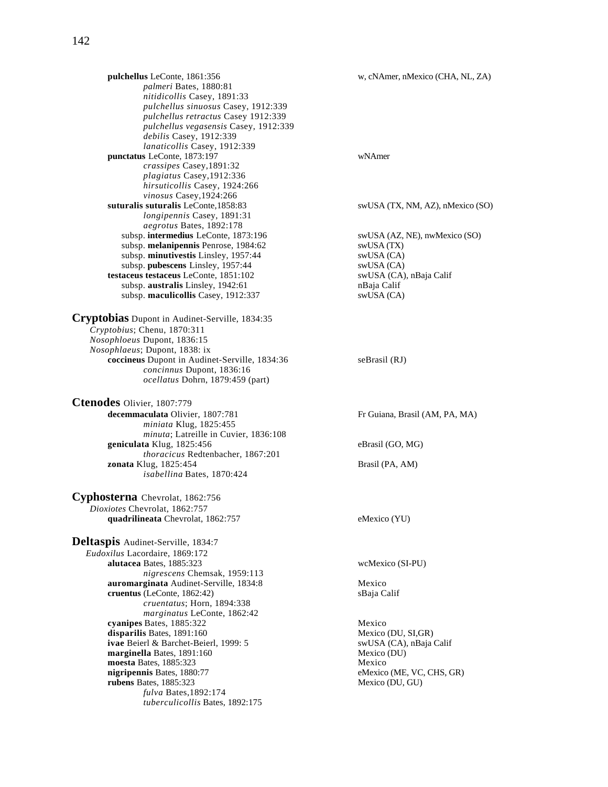*palmeri* Bates, 1880:81 *nitidicollis* Casey, 1891:33 *pulchellus sinuosus* Casey, 1912:339 *pulchellus retractus* Casey 1912:339 *pulchellus vegasensis* Casey, 1912:339 *debilis* Casey, 1912:339 *lanaticollis* Casey, 1912:339 **punctatus** LeConte, 1873:197 wNAmer *crassipes* Casey,1891:32 *plagiatus* Casey,1912:336 *hirsuticollis* Casey, 1924:266 *vinosus* Casey,1924:266 **suturalis suturalis** LeConte,1858:83 swUSA (TX, NM, AZ), nMexico (SO) *longipennis* Casey, 1891:31 *aegrotus* Bates, 1892:178 subsp. **intermedius** LeConte, 1873:196 swUSA (AZ, NE), nwMexico (SO) subsp. **melanipennis** Penrose, 1984:62 swUSA (TX) subsp. minutivestis Linsley, 1957:44 subsp. **pubescens** Linsley, 1957:44 swUSA (CA) **testaceus testaceus** LeConte, 1851:102 swUSA (CA), nBaja Calif subsp. **australis** Linsley, 1942:61 nBaja Calif subsp. **maculicollis** Casey, 1912:337 swUSA (CA)

#### **Cryptobias** Dupont in Audinet-Serville, 1834:35 *Cryptobius*; Chenu, 1870:311 *Nosophloeus* Dupont, 1836:15 *Nosophlaeus*; Dupont, 1838: ix **coccineus** Dupont in Audinet-Serville, 1834:36 seBrasil (RJ) *concinnus* Dupont, 1836:16 *ocellatus* Dohrn, 1879:459 (part)

**Ctenodes** Olivier, 1807:779 **decemmaculata** Olivier, 1807:781 Fr Guiana, Brasil (AM, PA, MA) *miniata* Klug, 1825:455 *minuta*; Latreille in Cuvier, 1836:108 **geniculata** Klug, 1825:456 eBrasil (GO, MG) *thoracicus* Redtenbacher, 1867:201 **zonata** Klug, 1825:454 Brasil (PA, AM) *isabellina* Bates, 1870:424

**Cyphosterna** Chevrolat, 1862:756 *Dioxiotes* Chevrolat, 1862:757 **quadrilineata** Chevrolat, 1862:757 eMexico (YU)

**Deltaspis** Audinet-Serville, 1834:7 *Eudoxilus* Lacordaire, 1869:172 **alutacea** Bates, 1885:323 wcMexico (SI-PU) *nigrescens* Chemsak, 1959:113 **auromarginata** Audinet-Serville, 1834:8 Mexico **cruentus** (LeConte, 1862:42) sBaja Calif *cruentatus*; Horn, 1894:338 *marginatus* LeConte, 1862:42 **cyanipes** Bates, 1885:322 Mexico<br> **disparilis** Bates, 1891:160 Mexico (DU, SI,GR) disparilis Bates, 1891:160 **ivae** Beierl & Barchet-Beierl, 1999: 5 swUSA (CA), nBaja Calif **marginella** Bates, 1891:160 Mexico (DU) **moesta** Bates, 1885:323 Mexico **nigripennis** Bates, 1880:77 eMexico (ME, VC, CHS, GR)<br> **rubens** Bates, 1885:323 Mexico (DU, GU) **rubens** Bates, 1885:323 *fulva* Bates,1892:174 *tuberculicollis* Bates, 1892:175

**pulchellus** LeConte, 1861:356 w, cNAmer, nMexico (CHA, NL, ZA)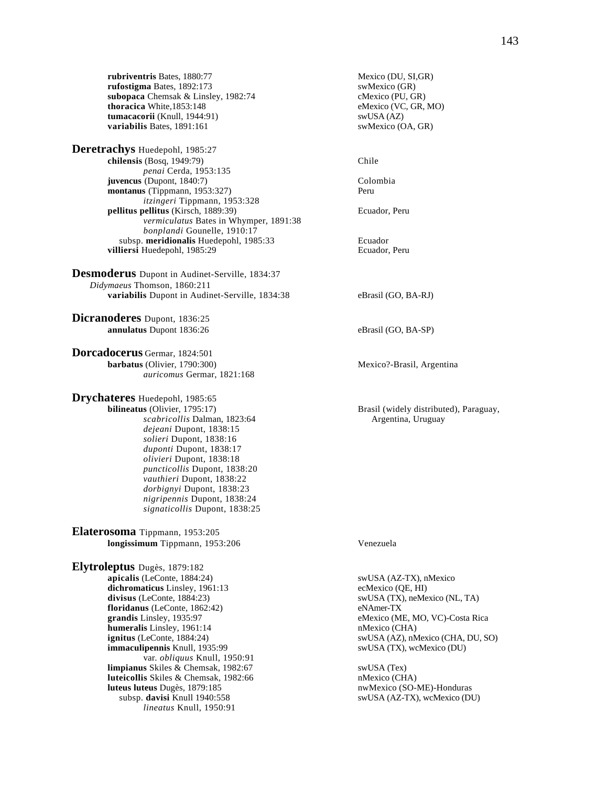**rubriventris** Bates, 1880:77 Mexico (DU, SI,GR)<br> **rufostigma** Bates, 1892:173 SwMexico (GR) **rufostigma** Bates, 1892:173 swMexico (GR)<br> **subopaca** Chemsak & Linsley, 1982:74 cMexico (PU, GR) subopaca Chemsak & Linsley, 1982:74 **thoracica** White,1853:148 eMexico (VC, GR, MO)<br> **tumacacorii** (Knull, 1944:91) swUSA (AZ) **tumacacorii** (Knull, 1944:91)<br> **variabilis** Bates, 1891:161 swMexico (OA, GR) **variabilis** Bates, 1891:161

**Deretrachys** Huedepohl, 1985:27 **chilensis** (Bosq, 1949:79) Chile *penai* Cerda, 1953:135 **juvencus** (Dupont, 1840:7) Colombia **montanus** (Tippmann, 1953:327) Peru *itzingeri* Tippmann, 1953:328 **pellitus pellitus** (Kirsch, 1889:39) Ecuador, Peru *vermiculatus* Bates in Whymper, 1891:38 *bonplandi* Gounelle, 1910:17 subsp. **meridionalis** Huedepohl, 1985:33 **Ecuador** Ecuador Ecuador, Peru villiersi Huedepohl, 1985:29

**Desmoderus** Dupont in Audinet-Serville, 1834:37 *Didymaeus* Thomson, 1860:211 **variabilis** Dupont in Audinet-Serville, 1834:38 eBrasil (GO, BA-RJ)

**Dicranoderes** Dupont, 1836:25 **annulatus** Dupont 1836:26 eBrasil (GO, BA-SP)

**Dorcadocerus** Germar, 1824:501 **barbatus** (Olivier, 1790:300) Mexico?-Brasil, Argentina *auricomus* Germar, 1821:168

**Drychateres** Huedepohl, 1985:65<br>bilineatus (Olivier, 1795:17) *scabricollis* Dalman, 1823:64 Argentina, Uruguay *dejeani* Dupont, 1838:15 *solieri* Dupont, 1838:16 *duponti* Dupont, 1838:17 *olivieri* Dupont, 1838:18 *puncticollis* Dupont, 1838:20 *vauthieri* Dupont, 1838:22 *dorbignyi* Dupont, 1838:23 *nigripennis* Dupont, 1838:24 *signaticollis* Dupont, 1838:25

**Elaterosoma** Tippmann, 1953:205 **longissimum** Tippmann, 1953:206 Venezuela

**Elytroleptus** Dugès, 1879:182 **apicalis** (LeConte, 1884:24) swUSA (AZ-TX), nMexico dichromaticus Linsley, 1961:13 ecMexico (QE, HI) divisus (LeConte, 1884:23) swUSA (TX), neMexico (NL, TA) **floridanus** (LeConte, 1862:42) eNAmer-TX **grandis** Linsley, 1935:97 eMexico (ME, MO, VC)-Costa Rica **humeralis** Linsley, 1961:14 nMexico (CHA)<br> **ignitus** (LeConte, 1884:24) swUSA (AZ), nMexico (CHA) **immaculipennis** Knull, 1935:99 swUSA (TX), wcMexico (DU) var. *obliquus* Knull, 1950:91 **limpianus** Skiles & Chemsak, 1982:67 swUSA (Tex)<br> **luteicollis** Skiles & Chemsak, 1982:66 **subsets n**Mexico (CHA) **luteicollis** Skiles & Chemsak, 1982:66<br>**luteus luteus** Dugès, 1879:185 subsp. **davisi** Knull 1940:558 swUSA (AZ-TX), wcMexico (DU) *lineatus* Knull, 1950:91

**Brasil** (widely distributed), Paraguay,

swUSA (AZ), nMexico (CHA, DU, SO)

nwMexico (SO-ME)-Honduras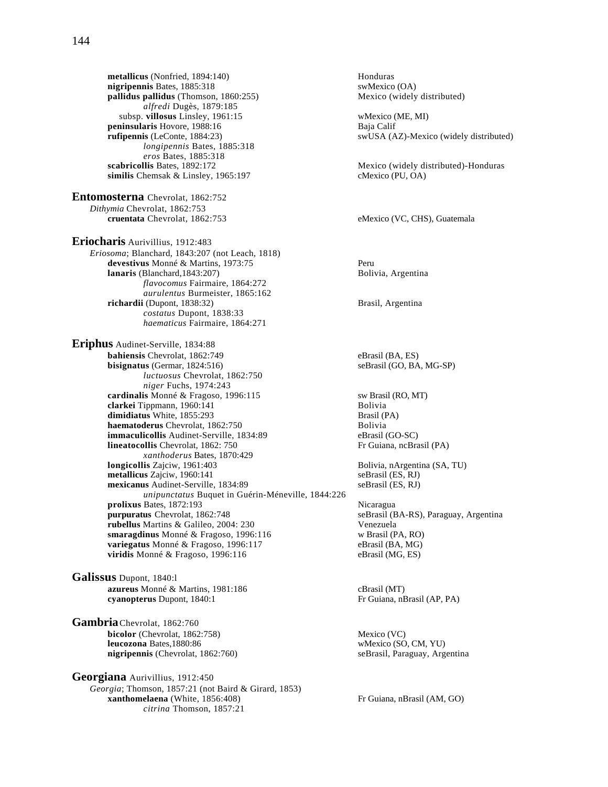**metallicus** (Nonfried, 1894:140) Honduras<br> **nigripennis** Bates, 1885:318 SwMexico (OA) **nigripennis** Bates, 1885:318<br> **pallidus pallidus** (Thomson, 1860:255) **and Mexico** (widely distributed) pallidus pallidus (Thomson, 1860:255) *alfredi* Dugès, 1879:185 subsp. **villosus** Linsley, 1961:15 wMexico (ME, MI)<br> **ninsularis** Hovore, 1988:16 Baja Calif **peninsularis** Hovore, 1988:16 **rufipennis** (LeConte, 1884:23) swUSA (AZ)-Mexico (widely distributed) *longipennis* Bates, 1885:318 *eros* Bates, 1885:318 **scabricollis** Bates, 1892:172<br> **similis** Chemsak & Linsley, 1965:197 **Mexico** (PU, OA) **cMexico** (PU, OA)  $\sin$ ilis Chemsak & Linsley, 1965:197 **Entomosterna** Chevrolat, 1862:752 *Dithymia* Chevrolat, 1862:753<br>**cruentata** Chevrolat, 1862:753 **Eriocharis** Aurivillius, 1912:483 *Eriosoma*; Blanchard, 1843:207 (not Leach, 1818) **devestivus** Monné & Martins, 1973:75 Peru **lanaris** (Blanchard,1843:207) Bolivia, Argentina *flavocomus* Fairmaire, 1864:272 *aurulentus* Burmeister, 1865:162 **richardii** (Dupont, 1838:32) Brasil, Argentina *costatus* Dupont, 1838:33 *haematicus* Fairmaire, 1864:271 **Eriphus** Audinet-Serville, 1834:88 **bahiensis** Chevrolat, 1862:749 eBrasil (BA, ES) **bisignatus** (Germar, 1824:516) seBrasil (GO, BA, MG-SP) *luctuosus* Chevrolat, 1862:750 *niger* Fuchs, 1974:243 **cardinalis** Monné & Fragoso, 1996:115 sw Brasil (RO, MT)<br> **clarkei** Tippmann. 1960:141 **clarkei** Tippmann, 1960:141<br> **dimidiatus** White, 1855:293 Brasil (PA) dimidiatus White, 1855:293 **haematoderus** Chevrolat, 1862:750 Bolivia **immaculicollis** Audinet-Serville, 1834:89 eBrasil (GO-SC) **lineatocollis** Chevrolat, 1862: 750 Fr Guiana, ncBrasil (PA) *xanthoderus* Bates, 1870:429<br>**longicollis** Zajciw, 1961:403 **metallicus** Zajciw, 1960:141 **mexicanus** Audinet-Serville, 1834:89 seBrasil (ES, RJ) *unipunctatus* Buquet in Guérin-Méneville, 1844:226 **prolixus** Bates, 1872:193 Nicaragua<br> **purpuratus** Chevrolat, 1862:748 seBrasil (E **rubellus** Martins & Galileo, 2004: 230 smaragdinus Monné & Fragoso, 1996:116 w Brasil (PA, RO) **variegatus** Monné & Fragoso, 1996:117 eBrasil (BA, MG)<br> **viridis** Monné & Fragoso, 1996:116 eBrasil (MG, ES) viridis Monné & Fragoso, 1996:116 **Galissus** Dupont, 1840:l **azureus** Monné & Martins, 1981:186 cBrasil (MT)

**Gambria**Chevrolat, 1862:760 **bicolor** (Chevrolat, 1862:758)<br> **leucozona** Bates, 1880:86<br> **leucozona** Bates, 1880:86 **leucozona** Bates, 1880:86 **nigripennis** (Chevrolat, 1862:760) seBrasil, Paraguay, Argentina

**Georgiana** Aurivillius, 1912:450 *Georgia*; Thomson, 1857:21 (not Baird & Girard, 1853) **xanthomelaena** (White, 1856:408) Fr Guiana, nBrasil (AM, GO) *citrina* Thomson, 1857:21

eMexico (VC, CHS), Guatemala

Bolivia, nArgentina (SA, TU)<br>seBrasil (ES, RJ)

seBrasil (BA-RS), Paraguay, Argentina<br>Venezuela

**cyanopterus** Dupont, 1840:1 Fr Guiana, nBrasil (AP, PA)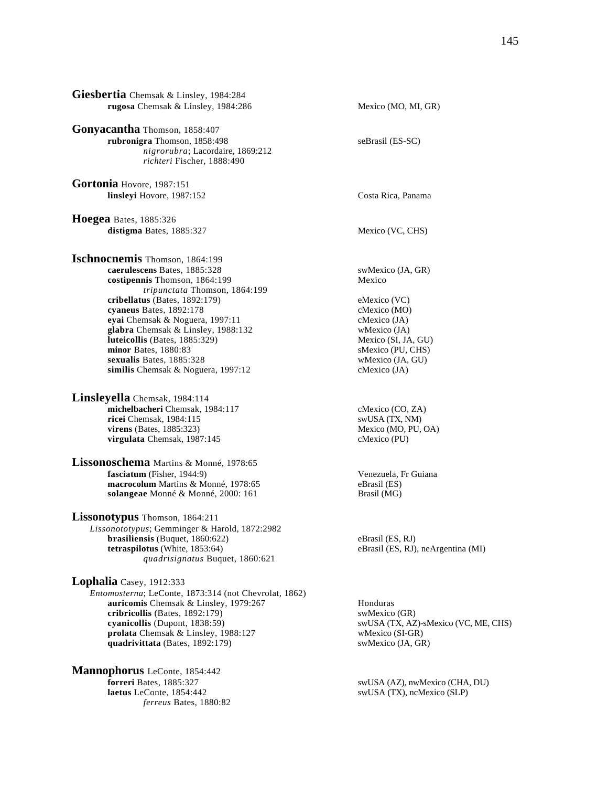| Giesbertia Chemsak & Linsley, 1984:284<br>rugosa Chemsak & Linsley, 1984:286                                                                                                                                                                                                                                                                                                                     | Mexico (MO, MI, GR)                                                                                                                                                         |
|--------------------------------------------------------------------------------------------------------------------------------------------------------------------------------------------------------------------------------------------------------------------------------------------------------------------------------------------------------------------------------------------------|-----------------------------------------------------------------------------------------------------------------------------------------------------------------------------|
|                                                                                                                                                                                                                                                                                                                                                                                                  |                                                                                                                                                                             |
| Gonyacantha Thomson, 1858:407<br>rubronigra Thomson, 1858:498<br>nigrorubra; Lacordaire, 1869:212<br>richteri Fischer, 1888:490                                                                                                                                                                                                                                                                  | seBrasil (ES-SC)                                                                                                                                                            |
| Gortonia Hovore, 1987:151<br>linsleyi Hovore, 1987:152                                                                                                                                                                                                                                                                                                                                           | Costa Rica, Panama                                                                                                                                                          |
| Hoegea Bates, 1885:326<br>distigma Bates, 1885:327                                                                                                                                                                                                                                                                                                                                               | Mexico (VC, CHS)                                                                                                                                                            |
| Ischnocnemis Thomson, 1864:199<br>caerulescens Bates, 1885:328<br>costipennis Thomson, 1864:199<br>tripunctata Thomson, 1864:199<br>cribellatus (Bates, 1892:179)<br>cyaneus Bates, 1892:178<br>eyai Chemsak & Noguera, 1997:11<br>glabra Chemsak & Linsley, 1988:132<br>luteicollis (Bates, 1885:329)<br>minor Bates, 1880:83<br>sexualis Bates, 1885:328<br>similis Chemsak & Noguera, 1997:12 | swMexico (JA, GR)<br>Mexico<br>eMexico (VC)<br>cMexico (MO)<br>cMexico (JA)<br>wMexico (JA)<br>Mexico (SI, JA, GU)<br>sMexico (PU, CHS)<br>wMexico (JA, GU)<br>cMexico (JA) |
| Linsleyella Chemsak, 1984:114<br>michelbacheri Chemsak, 1984:117<br>ricei Chemsak, 1984:115<br><b>virens</b> (Bates, 1885:323)<br>virgulata Chemsak, 1987:145<br>Lissonoschema Martins & Monné, 1978:65<br>fasciatum (Fisher, 1944:9)<br>macrocolum Martins & Monné, 1978:65<br>solangeae Monné & Monné, 2000: 161                                                                               | cMexico (CO, ZA)<br>swUSA (TX, NM)<br>Mexico (MO, PU, OA)<br>cMexico (PU)<br>Venezuela, Fr Guiana<br>eBrasil (ES)<br>Brasil (MG)                                            |
| Lissonotypus Thomson, 1864:211<br>Lissonototypus; Gemminger & Harold, 1872:2982<br>brasiliensis (Buquet, 1860:622)<br>tetraspilotus (White, 1853:64)<br>quadrisignatus Buquet, 1860:621                                                                                                                                                                                                          | eBrasil (ES, RJ)<br>eBrasil (ES, RJ), neArgentina (MI)                                                                                                                      |
| Lophalia Casey, 1912:333<br>Entomosterna; LeConte, 1873:314 (not Chevrolat, 1862)<br>auricomis Chemsak & Linsley, 1979:267<br>cribricollis (Bates, 1892:179)<br>cyanicollis (Dupont, 1838:59)<br>prolata Chemsak & Linsley, 1988:127<br>quadrivittata (Bates, 1892:179)                                                                                                                          | Honduras<br>swMexico (GR)<br>swUSA (TX, AZ)-sMexico (VC, ME, CHS)<br>wMexico (SI-GR)<br>swMexico (JA, GR)                                                                   |

**Mannophorus** LeConte, 1854:442 **laetus** LeConte, 1854:442 swUSA (TX), ncMexico (SLP) *ferreus* Bates, 1880:82

**for Forrest** AZ), nwMexico (CHA, DU)<br>**swUSA (TX), ncMexico (SLP)**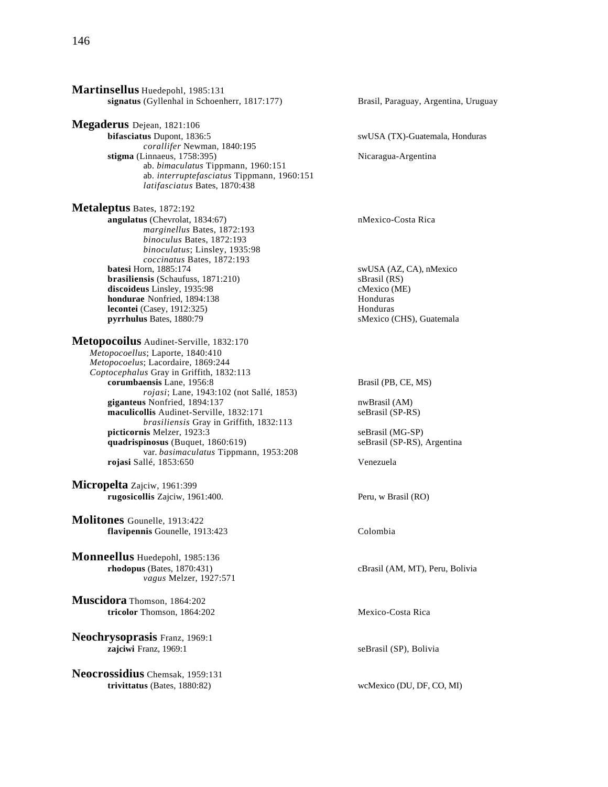**Martinsellus** Huedepohl, 1985:131 **signatus** (Gyllenhal in Schoenherr, 1817:177) Brasil, Paraguay, Argentina, Uruguay **Megaderus** Dejean, 1821:106<br>bifasciatus Dupont, 1836:5 *corallifer* Newman, 1840:195 **stigma** (Linnaeus, 1758:395) Nicaragua-Argentina ab. *bimaculatus* Tippmann, 1960:151 ab. *interruptefasciatus* Tippmann, 1960:151 *latifasciatus* Bates, 1870:438 **Metaleptus** Bates, 1872:192 **angulatus** (Chevrolat, 1834:67) nMexico-Costa Rica *marginellus* Bates, 1872:193 *binoculus* Bates, 1872:193 *binoculatus*; Linsley, 1935:98 *coccinatus* Bates, 1872:193 **brasiliensis** (Schaufuss, 1871:210) sBrasil (RS)<br> **discoideus** Linsley. 1935:98 cMexico (ME) discoideus Linsley, 1935:98 **hondurae** Nonfried, 1894:138 Honduras **lecontei** (Casey, 1912:325) Honduras **pyrrhulus** Bates, 1880:79 sMexico (CHS), Guatemala **Metopocoilus** Audinet-Serville, 1832:170 *Metopocoellus*; Laporte, 1840:410 *Metopocoelus*; Lacordaire, 1869:244 *Coptocephalus* Gray in Griffith, 1832:113 **corumbaensis** Lane, 1956:8 Brasil (PB, CE, MS) *rojasi*; Lane, 1943:102 (not Sallé, 1853) **giganteus** Nonfried, 1894:137 nwBrasil (AM) maculicollis Audinet-Serville, 1832:171 *brasiliensis* Gray in Griffith, 1832:113 **picticornis** Melzer, 1923:3 seBrasil (MG-SP)<br> **quadrispinosus** (Buquet, 1860:619) seBrasil (SP-RS), Argentina **quadrispinosus** (Buquet, 1860:619) var. *basimaculatus* Tippmann, 1953:208 **rojasi** Sallé, 1853:650 Venezuela **Micropelta** Zajciw, 1961:399 **rugosicollis** Zajciw, 1961:400. Peru, w Brasil (RO) **Molitones** Gounelle, 1913:422 **flavipennis** Gounelle, 1913:423 Colombia **Monneellus** Huedepohl, 1985:136 **rhodopus** (Bates, 1870:431) cBrasil (AM, MT), Peru, Bolivia *vagus* Melzer, 1927:571 **Muscidora** Thomson, 1864:202 **tricolor** Thomson, 1864:202 Mexico-Costa Rica **Neochrysoprasis** Franz, 1969:1 **zajciwi** Franz, 1969:1 seBrasil (SP), Bolivia **Neocrossidius** Chemsak, 1959:131 **trivittatus** (Bates, 1880:82) wcMexico (DU, DF, CO, MI)

 $swUSA$  (TX)-Guatemala, Honduras

swUSA (AZ, CA), nMexico<br>sBrasil (RS)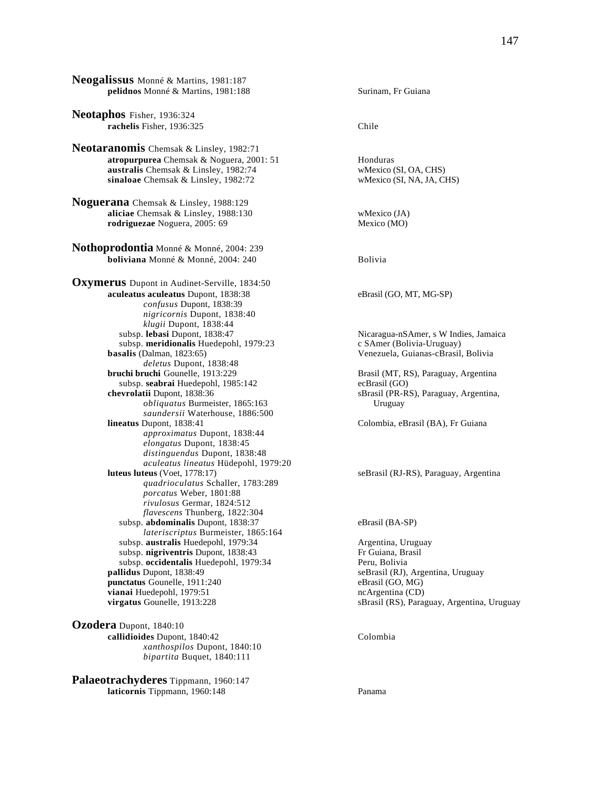**Neogalissus** Monné & Martins, 1981:187 **pelidnos** Monné & Martins, 1981:188 Surinam, Fr Guiana

**Neotaphos** Fisher, 1936:324 **rachelis** Fisher, 1936:325 Chile

**Neotaranomis** Chemsak & Linsley, 1982:71 **atropurpurea** Chemsak & Noguera, 2001: 51 Honduras **australis** Chemsak & Linsley, 1982:74 wMexico (SI, OA, CHS)<br> **sinaloae** Chemsak & Linsley, 1982:72 wMexico (SI, NA, JA, CHS) sinaloae Chemsak & Linsley, 1982:72

**Noguerana** Chemsak & Linsley, 1988:129 **aliciae** Chemsak & Linsley, 1988:130 wMexico (JA) wMexico (JA) **rodriguezae** Noguera, 2005: 69 Mexico (MO) rodriguezae Noguera, 2005: 69

**Nothoprodontia** Monné & Monné, 2004: 239 **boliviana** Monné & Monné, 2004: 240 Bolivia

**Oxymerus** Dupont in Audinet-Serville, 1834:50 **aculeatus aculeatus** Dupont, 1838:38 eBrasil (GO, MT, MG-SP) *confusus* Dupont, 1838:39 *nigricornis* Dupont, 1838:40 *klugii Dupont, 1838:44*<br>subsp. **lebasi** Dupont, 1838:47 subsp. meridionalis Huedepohl, 1979:23 **basalis** (Dalman, 1823:65) Venezuela, Guianas-cBrasil, Bolivia *deletus* Dupont, 1838:48<br>**bruchi bruchi** Gounelle, 1913:229 subsp. **seabrai** Huedepohl, 1985:142 ecBrasil (GO)<br> **chevrolatii** Dupont, 1838:36 sBrasil (PR-R *obliquatus* Burmeister, 1865:163 Uruguay *saundersii* Waterhouse, 1886:500 *approximatus* Dupont, 1838:44 *elongatus* Dupont, 1838:45 *distinguendus* Dupont, 1838:48 *aculeatus lineatus* Hüdepohl, 1979:20 *quadrioculatus* Schaller, 1783:289 *porcatus* Weber, 1801:88 *rivulosus* Germar, 1824:512 *flavescens* Thunberg, 1822:304 subsp. **abdominalis** Dupont, 1838:37 eBrasil (BA-SP) *lateriscriptus* Burmeister, 1865:164 subsp. **australis** Huedepohl, 1979:34 **Argentina, Uruguay**<br>
subsp. **nigriventris** Dupont, 1838:43 **Argentina, Brasil** Fr Guiana, Brasil subsp. nigriventris Dupont, 1838:43 subsp. occidentalis Huedepohl, 1979:34 Peru, Bolivia<br> **pallidus** Dupont, 1838:49 seBrasil (RJ), **punctatus** Gounelle, 1911:240 eBrasil (GO, MG) **vianai** Huedepohl, 1979:51 ncArgentina (CD)

**Ozodera** Dupont, 1840:10 **callidioides** Dupont, 1840:42 Colombia *xanthospilos* Dupont, 1840:10 *bipartita* Buquet, 1840:111

**Palaeotrachyderes** Tippmann, 1960:147 **laticornis Tippmann, 1960:148 Panama** 

Nicaragua-nSAmer, s W Indies, Jamaica<br>c SAmer (Bolivia-Uruguay)

**brasil (MT, RS), Paraguay, Argentina** sBrasil (PR-RS), Paraguay, Argentina,

Colombia, eBrasil (BA), Fr Guiana

seBrasil (RJ-RS), Paraguay, Argentina

seBrasil (RJ), Argentina, Uruguay **virgatus** Gounelle, 1913:228 sBrasil (RS), Paraguay, Argentina, Uruguay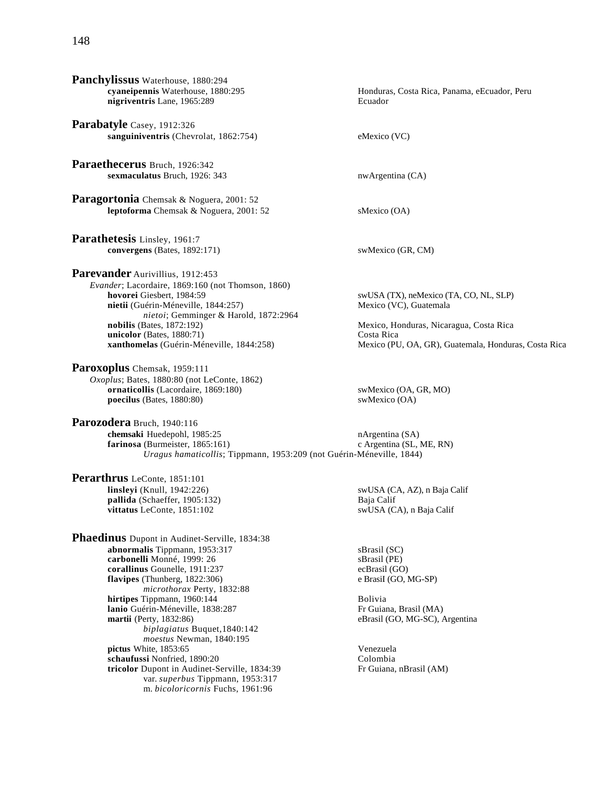| Panchylissus Waterhouse, 1880:294<br>cyaneipennis Waterhouse, 1880:295<br>nigriventris Lane, 1965:289                                                                                                                                                                                                                                                                                                                                                                                                                                                   | Honduras, Costa Rica, Panama, eEcuador, Peru<br>Ecuador                                                                                                                                          |
|---------------------------------------------------------------------------------------------------------------------------------------------------------------------------------------------------------------------------------------------------------------------------------------------------------------------------------------------------------------------------------------------------------------------------------------------------------------------------------------------------------------------------------------------------------|--------------------------------------------------------------------------------------------------------------------------------------------------------------------------------------------------|
| Parabatyle Casey, 1912:326<br>sanguiniventris (Chevrolat, 1862:754)                                                                                                                                                                                                                                                                                                                                                                                                                                                                                     | eMexico (VC)                                                                                                                                                                                     |
| Paraethecerus Bruch, 1926:342<br>sexmaculatus Bruch, 1926: 343                                                                                                                                                                                                                                                                                                                                                                                                                                                                                          | nwArgentina (CA)                                                                                                                                                                                 |
| Paragortonia Chemsak & Noguera, 2001: 52<br>leptoforma Chemsak & Noguera, 2001: 52                                                                                                                                                                                                                                                                                                                                                                                                                                                                      | sMexico (OA)                                                                                                                                                                                     |
| Parathetesis Linsley, 1961:7<br>convergens (Bates, 1892:171)                                                                                                                                                                                                                                                                                                                                                                                                                                                                                            | swMexico (GR, CM)                                                                                                                                                                                |
| Parevander Aurivillius, 1912:453<br>Evander; Lacordaire, 1869:160 (not Thomson, 1860)<br>hovorei Giesbert, 1984:59<br>nietii (Guérin-Méneville, 1844:257)<br>nietoi; Gemminger & Harold, 1872:2964<br>nobilis (Bates, $1872:192$ )<br>unicolor (Bates, 1880:71)<br>xanthomelas (Guérin-Méneville, 1844:258)                                                                                                                                                                                                                                             | swUSA (TX), neMexico (TA, CO, NL, SLP)<br>Mexico (VC), Guatemala<br>Mexico, Honduras, Nicaragua, Costa Rica<br>Costa Rica<br>Mexico (PU, OA, GR), Guatemala, Honduras, Costa Rica                |
| Paroxoplus Chemsak, 1959:111<br>Oxoplus; Bates, 1880:80 (not LeConte, 1862)<br>ornaticollis (Lacordaire, 1869:180)<br>poecilus (Bates, 1880:80)                                                                                                                                                                                                                                                                                                                                                                                                         | swMexico (OA, GR, MO)<br>swMexico (OA)                                                                                                                                                           |
| Parozodera Bruch, 1940:116<br>chemsaki Huedepohl, 1985:25<br>farinosa (Burmeister, 1865:161)<br>Uragus hamaticollis; Tippmann, 1953:209 (not Guérin-Méneville, 1844)                                                                                                                                                                                                                                                                                                                                                                                    | $n$ Argentina (SA)<br>c Argentina (SL, ME, RN)                                                                                                                                                   |
| Perarthrus LeConte, 1851:101<br>linsleyi (Knull, 1942:226)<br>pallida (Schaeffer, 1905:132)<br>vittatus LeConte, 1851:102                                                                                                                                                                                                                                                                                                                                                                                                                               | swUSA (CA, AZ), n Baja Calif<br>Baja Calif<br>swUSA (CA), n Baja Calif                                                                                                                           |
| Phaedinus Dupont in Audinet-Serville, 1834:38<br>abnormalis Tippmann, 1953:317<br>carbonelli Monné, 1999: 26<br>corallinus Gounelle, 1911:237<br>flavipes (Thunberg, 1822:306)<br>microthorax Perty, 1832:88<br>hirtipes Tippmann, 1960:144<br>lanio Guérin-Méneville, 1838:287<br>martii (Perty, 1832:86)<br>biplagiatus Buquet, 1840:142<br>moestus Newman, 1840:195<br>pictus White, 1853:65<br>schaufussi Nonfried, 1890:20<br>tricolor Dupont in Audinet-Serville, 1834:39<br>var. superbus Tippmann, 1953:317<br>m. bicoloricornis Fuchs, 1961:96 | sBrasil (SC)<br>sBrasil (PE)<br>ecBrasil (GO)<br>e Brasil (GO, MG-SP)<br>Bolivia<br>Fr Guiana, Brasil (MA)<br>eBrasil (GO, MG-SC), Argentina<br>Venezuela<br>Colombia<br>Fr Guiana, nBrasil (AM) |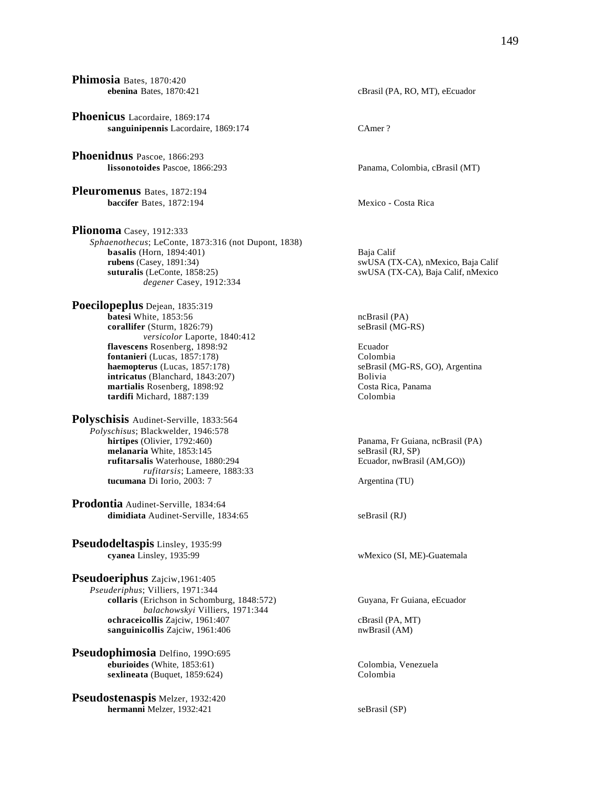**Phoenicus** Lacordaire, 1869:174 **sanguinipennis** Lacordaire, 1869:174 CAmer ? **Phoenidnus** Pascoe, 1866:293 **lissonotoides** Pascoe, 1866:293 Panama, Colombia, cBrasil (MT) **Pleuromenus** Bates, 1872:194 **baccifer** Bates, 1872:194 Mexico - Costa Rica **Plionoma** Casey, 1912:333 *Sphaenothecus*; LeConte, 1873:316 (not Dupont, 1838) **basalis** (Horn, 1894:401) Baja Calif **rubens** (Casey, 1891:34) SwUSA (T. *degener* Casey, 1912:334

**Phimosia** Bates, 1870:420

**Poecilopeplus** Dejean, 1835:319 **batesi** White, 1853:56 ncBrasil (PA) **corallifer** (Sturm, 1826:79) seBrasil (MG-RS) *versicolor* Laporte, 1840:412 **flavescens** Rosenberg, 1898:92 Ecuador **fontanieri** (Lucas, 1857:178) Colombia<br> **haemopterus** (Lucas, 1857:178) SeBrasil (N **intricatus** (Blanchard, 1843:207) Bolivia<br> **intricatus** (Blanchard, 1898:92 **Bolivia**<br>
Costa Rica, Panama martialis Rosenberg, 1898:92 **tardifi** Michard, 1887:139 Colombia

**Polyschisis** Audinet-Serville, 1833:564 *Polyschisus*; Blackwelder, 1946:578 **melanaria** White, 1853:145 seBrasil (RJ, SP) **rufitarsalis** Waterhouse, 1880:294 **Ecuador, nwBrasil (AM,GO)** *rufitarsis*; Lameere, 1883:33 **tucumana** Di Iorio, 2003: 7 Argentina (TU)

**Prodontia** Audinet-Serville, 1834:64 dimidiata Audinet-Serville, 1834:65 seBrasil (RJ)

**Pseudodeltaspis** Linsley, 1935:99

**Pseudoeriphus** Zajciw,1961:405 *Pseuderiphus*; Villiers, 1971:344 **collaris** (Erichson in Schomburg, 1848:572) Guyana, Fr Guiana, eEcuador *balachowskyi* Villiers, 1971:344 **ochraceicollis** Zajciw, 1961:407 cBrasil (PA, MT)<br> **sanguinicollis** Zajciw, 1961:406 care and the muscle of the muscle of the muscle of the muscle of the muscle of the muscle of the muscle of the muscle of the muscle of t sanguinicollis Zajciw, 1961:406

**Pseudophimosia** Delfino, 199O:695 **eburioides** (White, 1853:61) Colombia, Venezuela<br> **eburioides** (Ruquet, 1859:624) Colombia<br>
Colombia  $s$ **exlineata** (Buquet,  $1859:624$ )

**Pseudostenaspis** Melzer, 1932:420 **hermanni** Melzer, 1932:421 seBrasil (SP)

**ebenina** Bates, 1870:421 cBrasil (PA, RO, MT), eEcuador

**rubens** (Casey, 1891:34) swUSA (TX-CA), nMexico, Baja Calif suturalis (LeConte, 1858:25) swUSA (TX-CA), Baja Calif, nMexico swUSA (TX-CA), Baja Calif, nMexico

 $seBrasil (MG-RS, GO)$ , Argentina

Panama, Fr Guiana, ncBrasil (PA)

wMexico (SI, ME)-Guatemala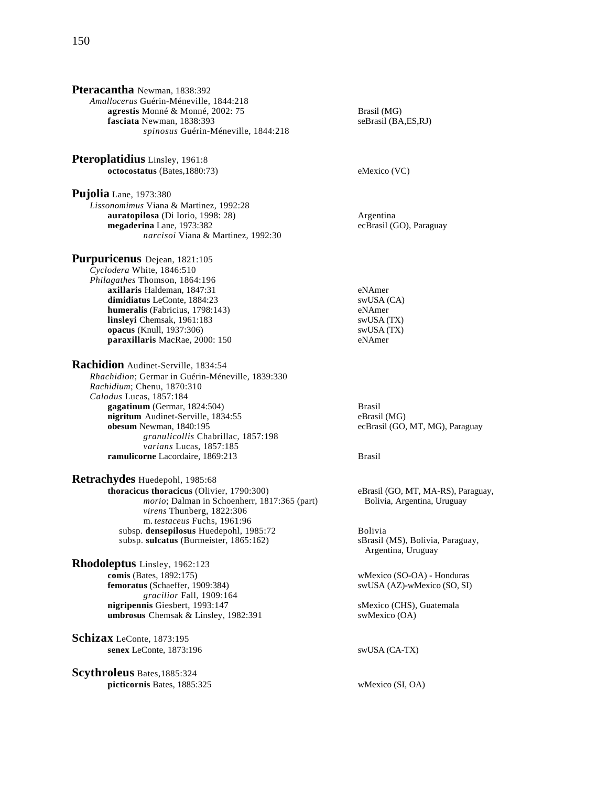| <b>Pteracantha</b> Newman, 1838:392              |                               |
|--------------------------------------------------|-------------------------------|
| Amallocerus Guérin-Méneville, 1844:218           |                               |
| agrestis Monné & Monné, 2002: 75                 | Brasil (MG)                   |
| fasciata Newman, 1838:393                        | seBrasil (BA,E                |
| spinosus Guérin-Méneville, 1844:218              |                               |
| <b>Pteroplatidius</b> Linsley, 1961:8            |                               |
| octocostatus (Bates, 1880:73)                    | eMexico (VC)                  |
|                                                  |                               |
| <b>Pujolia</b> Lane, 1973:380                    |                               |
| Lissonomimus Viana & Martinez, 1992:28           |                               |
| auratopilosa (Di Iorio, 1998: 28)                | Argentina                     |
| megaderina Lane, 1973:382                        | ecBrasil (GO)                 |
| narcisoi Viana & Martinez, 1992:30               |                               |
| <b>Purpuricenus</b> Dejean, 1821:105             |                               |
| Cyclodera White, 1846:510                        |                               |
| Philagathes Thomson, 1864:196                    |                               |
| axillaris Haldeman, 1847:31                      | eNAmer                        |
| dimidiatus LeConte, 1884:23                      | swUSA (CA)                    |
| humeralis (Fabricius, 1798:143)                  | eNAmer                        |
| linsleyi Chemsak, 1961:183                       | swUSA (TX)                    |
| opacus (Knull, 1937:306)                         | swUSA (TX)                    |
| paraxillaris MacRae, 2000: 150                   | eNAmer                        |
| Rachidion Audinet-Serville, 1834:54              |                               |
| Rhachidion; Germar in Guérin-Méneville, 1839:330 |                               |
| Rachidium; Chenu, 1870:310                       |                               |
| Calodus Lucas, 1857:184                          |                               |
| gagatinum (Germar, 1824:504)                     | <b>Brasil</b>                 |
| nigritum Audinet-Serville, 1834:55               | eBrasil (MG)                  |
| obesum Newman, 1840:195                          | ecBrasil (GO,                 |
| granulicollis Chabrillac, 1857:198               |                               |
| varians Lucas, 1857:185                          |                               |
| ramulicorne Lacordaire, 1869:213                 | <b>Brasil</b>                 |
| Retrachydes Huedepohl, 1985:68                   |                               |
| thoracicus thoracicus (Olivier, 1790:300)        | eBrasil (GO, M                |
| morio; Dalman in Schoenherr, 1817:365 (part)     | Bolivia, Arg                  |
| virens Thunberg, 1822:306                        |                               |
| m. testaceus Fuchs, 1961:96                      |                               |
| subsp. densepilosus Huedepohl, 1985:72           | Bolivia                       |
| subsp. sulcatus (Burmeister, 1865:162)           | sBrasil (MS),<br>Argentina, U |
| Rhodoleptus Linsley, 1962:123                    |                               |
| comis (Bates, 1892:175)                          | wMexico (SO-                  |
| femoratus (Schaeffer, 1909:384)                  | SWUSA (AZ)-                   |
| gracilior Fall, 1909:164                         |                               |
| nigripennis Giesbert, 1993:147                   | sMexico (CHS                  |
| umbrosus Chemsak & Linsley, 1982:391             | swMexico (O/                  |
| Schizax LeConte, 1873:195                        |                               |
| senex LeConte, 1873:196                          | swUSA (CA-T                   |
| <b>Scythroleus</b> Bates, 1885:324               |                               |
| picticornis Bates, 1885:325                      | wMexico (SI,                  |
|                                                  |                               |
|                                                  |                               |

 $\dot{\text{sil}}$  (BA,ES,RJ)

 $\text{nsil}$  (GO), Paraguay

**obesum** Newman, 1840:195 ecBrasil (GO, MT, MG), Paraguay

il (GO, MT, MA-RS), Paraguay, ivia, Argentina, Uruguay

sil (MS), Bolivia, Paraguay, entina, Uruguay

xico (SO-OA) - Honduras **f**emoratories (SO, SI)

ico (CHS), Guatemala exico (OA)

**A** (CA-TX)

 $xico(SI, OA)$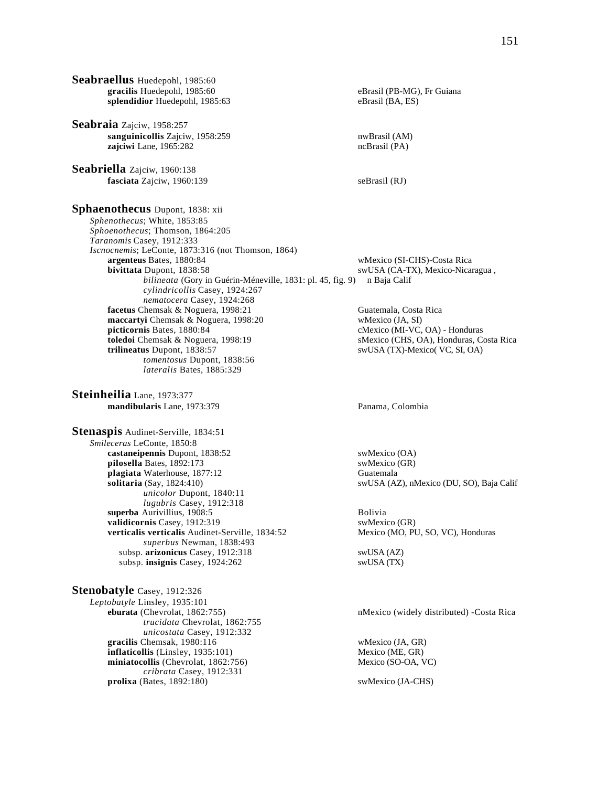**Seabraellus** Huedepohl, 1985:60 **gracilis** Huedepohl, 1985:60 eBrasil (PB-MG), Fr Guiana splendidior Huedepohl, 1985:63 eBrasil (BA, ES) **Seabraia** Zajciw, 1958:257 sanguinicollis Zajciw, 1958:259 nwBrasil (AM) **zajciwi** Lane, 1965:282 ncBrasil (PA) **Seabriella** Zajciw, 1960:138 **fasciata** Zajciw, 1960:139 seBrasil (RJ) **Sphaenothecus** Dupont, 1838: xii *Sphenothecus*; White, 1853:85 *Sphoenothecus*; Thomson, 1864:205 *Taranomis* Casey, 1912:333 *Iscnocnemis*; LeConte, 1873:316 (not Thomson, 1864) **argenteus** Bates, 1880:84 wMexico (SI-CHS)-Costa Rica **bivittata** Dupont, 1838:58 swUSA (CA-TX), Mexico-Nicaragua , *bilineata* (Gory in Guérin-Méneville, 1831: pl. 45, fig. 9) n Baja Calif *cylindricollis* Casey, 1924:267 *nematocera* Casey, 1924:268 **facetus** Chemsak & Noguera, 1998:21 Guatemala, Costa Rica **maccartyi** Chemsak & Noguera, 1998:20 wMexico (JA, SI) **picticornis Bates, 1880:84** cMexico (MI-VC, OA) - Honduras **toledoi** Chemsak & Noguera, 1998:19 cMexico (CHS, OA), Honduras, Co **toledoi** Chemsak & Noguera, 1998:19 **sMexico (CHS, OA), Honduras, Costa Rica**<br> **trilineatus** Dupont, 1838:57 **swUSA (TX)-Mexico (VC, SI, OA)** swUSA (TX)-Mexico( VC, SI, OA) *tomentosus* Dupont, 1838:56 *lateralis* Bates, 1885:329 **Steinheilia** Lane, 1973:377 **mandibularis** Lane, 1973:379 Panama, Colombia **Stenaspis** Audinet-Serville, 1834:51 *Smileceras* LeConte, 1850:8 **castaneipennis** Dupont, 1838:52 swMexico (OA) **pilosella** Bates, 1892:173 swMexico (GR) **plagiata** Waterhouse, 1877:12 Guatemala<br> **solitaria** (Say, 1824:410) SwUSA (A2 *unicolor* Dupont, 1840:11 *lugubris* Casey, 1912:318 **superba** Aurivillius, 1908:5 Bolivia **validicornis** Casey, 1912:319 swMexico (GR) **verticalis verticalis** Audinet-Serville, 1834:52 Mexico (MO, PU, SO, VC), Honduras *superbus* Newman, 1838:493 subsp. **arizonicus** Casey, 1912:318 swUSA (AZ) subsp. **insignis** Casey, 1924:262 swUSA (TX) **Stenobatyle** Casey, 1912:326 *Leptobatyle* Linsley, 1935:101 *trucidata* Chevrolat, 1862:755 *unicostata* Casey, 1912:332

miniatocollis (Chevrolat, 1862:756) *cribrata* Casey, 1912:331

**gracilis** Chemsak, 1980:116 wMexico (JA, GR) **inflaticollis** (Linsley, 1935:101) Mexico (ME, GR)<br> **miniatocollis** (Chevrolat, 1862:756) Mexico (SO-OA, VC)

**prolixa** (Bates, 1892:180) swMexico (JA-CHS)

swUSA (AZ), nMexico (DU, SO), Baja Calif

nMexico (widely distributed) -Costa Rica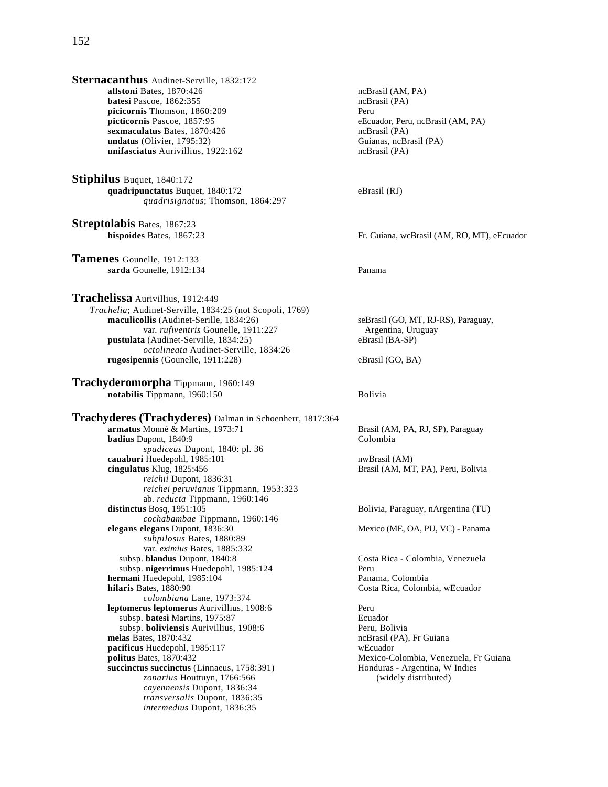**Sternacanthus** Audinet-Serville, 1832:172 **allstoni** Bates, 1870:426 ncBrasil (AM, PA) **batesi** Pascoe, 1862:355 ncBrasil (PA) **picicornis** Thomson, 1860:209 Peru<br> **picticornis** Pascoe, 1857:95 eEcu **sexmaculatus** Bates, 1870:426 **ncBrasil (PA)** ncBrasil (PA) nodes (PA) ncBrasil (PA) or modes (PA) or modes (PA)  $undatus$  (Olivier, 1795:32) **unifasciatus** Aurivillius, 1922:162 ncBrasil (PA)

**Stiphilus** Buquet, 1840:172 **quadripunctatus** Buquet, 1840:172 eBrasil (RJ) *quadrisignatus*; Thomson, 1864:297

**Streptolabis** Bates, 1867:23

**Tamenes** Gounelle, 1912:133 **sarda** Gounelle, 1912:134 Panama

**Trachelissa** Aurivillius, 1912:449 *Trachelia*; Audinet-Serville, 1834:25 (not Scopoli, 1769) **maculicollis** (Audinet-Serille, 1834:26) seBrasil (GO, MT, RJ-RS), Paraguay, var. *rufiventris* Gounelle, 1911:227 Argentina, Uruguay **pustulata** (Audinet-Serville, 1834:25) eBrasil (BA-SP) *octolineata* Audinet-Serville, 1834:26 **rugosipennis** (Gounelle, 1911:228) eBrasil (GO, BA)

**Trachyderomorpha** Tippmann, 1960:149 **notabilis** Tippmann, 1960:150 Bolivia

**Trachyderes (Trachyderes)** Dalman in Schoenherr, 1817:364 **armatus** Monné & Martins, 1973:71 Brasil (AM, PA, RJ, SP), Paraguay<br> **badius** Dupont. 1840:9 Colombia **badius** Dupont, 1840:9 *spadiceus* Dupont, 1840: pl. 36 **cauaburi** Huedepohl, 1985:101 nwBrasil (AM)<br> **cingulatus** Klug, 1825:456 **https://www.brasil (AM, M1**) *reichii* Dupont, 1836:31 *reichei peruvianus* Tippmann, 1953:323 ab. *reducta* Tippmann, 1960:146 **distinctus** Bosq, 1951:105 Bolivia, Paraguay, nArgentina (TU) *cochabambae* Tippmann, 1960:146 *subpilosus* Bates, 1880:89 var. *eximius* Bates, 1885:332 subsp. **blandus** Dupont, 1840:8 Costa Rica - Colombia, Venezuela subsp. **nigerrimus** Huedepohl, 1985:124 Peru **hermani** Huedepohl, 1985:104<br>**hilaris** Bates, 1880:90 *colombiana* Lane, 1973:374 **leptomerus leptomerus** Aurivillius, 1908:6 Peru subsp. **batesi** Martins, 1975:87 Ecuador subsp. **boliviensis** Aurivillius, 1908:6 Peru, Bolivia<br>melas Bates, 1870:432 ncBrasil (PA), **pacificus** Huedepohl, 1985:117 wEcuador **politus** Bates, 1870:432<br> **politus** Bates, 1870:432<br> **politus** Bates, 1870:432<br> **politus** Bates, 1870:432<br> **politus** Guiana<br> **politus** Honduras - Argentina, W Indies **succinctus succinctus** (Linnaeus, 1758:391) Honduras - Argentina, W<br> *zonarius* Houttuyn, 1766:566 (widely distributed) zonarius Houttuyn, 1766:566 *cayennensis* Dupont, 1836:34 *transversalis* Dupont, 1836:35 *intermedius* Dupont, 1836:35

**eEcuador, Peru, ncBrasil (AM, PA)**<br>ncBrasil (PA)

**hispoides** Bates, 1867:23 **Fr. Guiana, wcBrasil (AM, RO, MT), eEcuador** 

Brasil (AM, MT, PA), Peru, Bolivia

Mexico (ME, OA, PU, VC) - Panama

Costa Rica, Colombia, wEcuador

ncBrasil (PA), Fr Guiana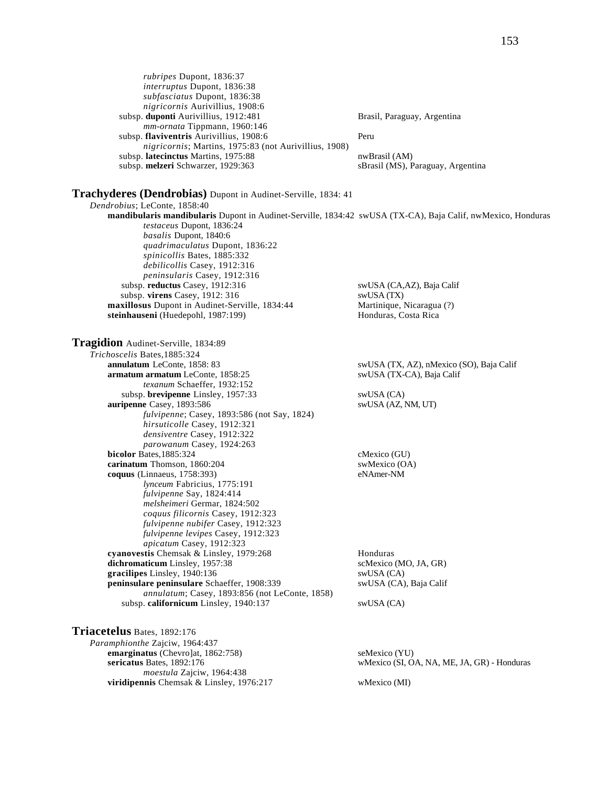*rubripes* Dupont, 1836:37 *interruptus* Dupont, 1836:38 *subfasciatus* Dupont, 1836:38 *nigricornis* Aurivillius, 1908:6 subsp. **duponti** Aurivillius, 1912:481 Brasil, Paraguay, Argentina *mm-ornata* Tippmann, 1960:146 subsp. **flaviventris** Aurivillius, 1908:6 Peru *nigricornis*; Martins, 1975:83 (not Aurivillius, 1908) subsp. latecinctus Martins, 1975:88 nwBrasil (AM) subsp. melzeri Schwarzer, 1929:363 sBrasil (MS), Paraguay, Argentina **Trachyderes (Dendrobias)** Dupont in Audinet-Serville, 1834: 41 *Dendrobius*; LeConte, 1858:40 **mandibularis mandibularis** Dupont in Audinet-Serville, 1834:42 swUSA (TX-CA), Baja Calif, nwMexico, Honduras

*testaceus* Dupont, 1836:24 *basalis* Dupont, 1840:6 *quadrimaculatus* Dupont, 1836:22 *spinicollis* Bates, 1885:332 *debilicollis* Casey, 1912:316 *peninsularis* Casey, 1912:316 subsp. **reductus** Casey, 1912:316 swUSA (CA,AZ), Baja Calif *subsp.* **virens** Casey, 1912: 316<br> **xillosus** Dupont in Audinet-Serville, 1834:44 **harma** Martinique, Nicaragua (?) maxillosus Dupont in Audinet-Serville, 1834:44 **steinhauseni** (Huedepohl, 1987:199) Honduras, Costa Rica

**Tragidion** Audinet-Serville, 1834:89 *Trichoscelis* Bates,1885:324 **annulatum** LeConte, 1858: 83 swUSA (TX, AZ), nMexico (SO), Baja Calif **armatum armatum** LeConte, 1858:25 swUSA (TX-CA), Baja Calif *texanum* Schaeffer, 1932:152 subsp. **brevipenne** Linsley, 1957:33 swUSA (CA) **auripenne** Casey, 1893:586 swUSA (AZ, NM, UT) *fulvipenne*; Casey, 1893:586 (not Say, 1824) *hirsuticolle* Casey, 1912:321 *densiventre* Casey, 1912:322 *parowanum* Casey, 1924:263 **bicolor** Bates,1885:324 cMexico (GU) **carinatum** Thomson, 1860:204 swMexico (OA)<br> **coquus** (Linnaeus, 1758:393) eNAmer-NM **coquus** (Linnaeus, 1758:393) *lynceum* Fabricius, 1775:191 *fulvipenne* Say, 1824:414 *melsheimeri* Germar, 1824:502 *coquus filicornis* Casey, 1912:323 *fulvipenne nubifer* Casey, 1912:323 *fulvipenne levipes* Casey, 1912:323 *apicatum* Casey, 1912:323 **cyanovestis** Chemsak & Linsley, 1979:268 Honduras<br> **dichromaticum** Linsley, 1957:38 ScMexico (MO, JA, GR) dichromaticum Linsley, 1957:38 gracilipes Linsley, 1940:136 swUSA (CA) **peninsulare peninsulare** Schaeffer, 1908:339 swUSA (CA), Baja Calif *annulatum*; Casey, 1893:856 (not LeConte, 1858) subsp. **californicum** Linsley, 1940:137 swUSA (CA)

**Triacetelus** Bates, 1892:176

*Paramphionthe* Zajciw, 1964:437

*moestula* Zajciw, 1964:438

**emarginatus** (Chevro]at, 1862:758) seMexico (YU) **sericatus** Bates, 1892:176 wMexico (SI, OA, NA, ME, JA, GR) - Honduras

**viridipennis** Chemsak & Linsley, 1976:217 wMexico (MI)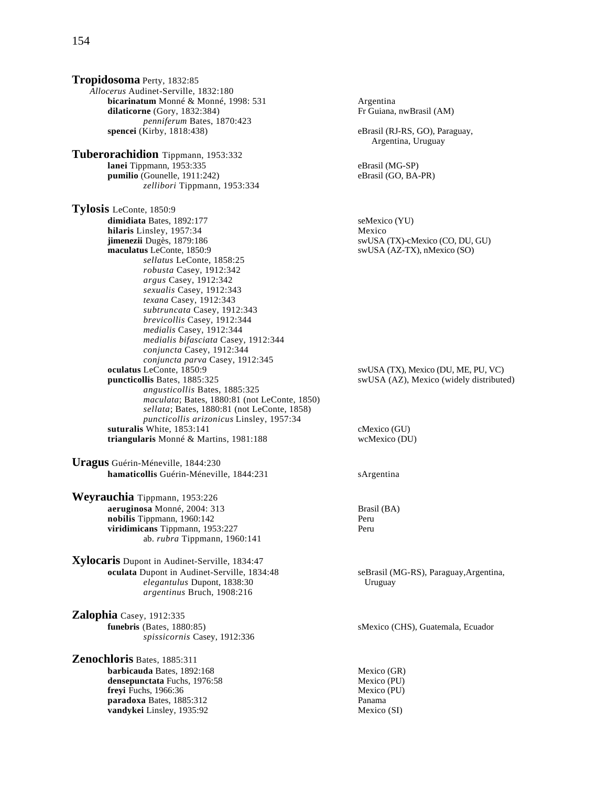**Tropidosoma** Perty, 1832:85 *Allocerus* Audinet-Serville, 1832:180 **bicarinatum** Monné & Monné, 1998: 531 **and Argentina**<br> **dilaticorne** (Gory, 1832:384) **Argentina** Fr Guiana, nwBrasil (AM) **dilaticorne** (Gory, 1832:384) *penniferum Bates, 1870:423*<br>**spencei** (Kirby, 1818:438) **Tuberorachidion** Tippmann, 1953:332 **lanei** Tippmann, 1953:335<br> **pumilio** (Gounelle, 1911:242) **eBrasil (GO, BA-PR)** eBrasil (GO, BA-PR) pumilio<sup>(Gounelle, 1911:242)</sup> *zellibori* Tippmann, 1953:334 **Tylosis** LeConte, 1850:9 **dimidiata** Bates, 1892:177 seMexico (YU) **hilaris** Linsley, 1957:34 Mexico **jimenezii** Dugès, 1879:186 swUSA (TX)-cMexico (CO, DU, GU)<br> **maculatus** LeConte, 1850:9 swUSA (AZ-TX), nMexico (SO) *sellatus* LeConte, 1858:25 *robusta* Casey, 1912:342 *argus* Casey, 1912:342 *sexualis* Casey, 1912:343 *texana* Casey, 1912:343 *subtruncata* Casey, 1912:343 *brevicollis* Casey, 1912:344 *medialis* Casey, 1912:344 *medialis bifasciata* Casey, 1912:344 *conjuncta* Casey, 1912:344 *conjuncta parva* Casey, 1912:345 **oculatus** LeConte, 1850:9 swUSA (TX), Mexico (DU, ME, PU, VC) **puncticollis** Bates, 1885:325 swUSA (AZ), Mexico (widely distributed) *angusticollis* Bates, 1885:325 *maculata*; Bates, 1880:81 (not LeConte, 1850) *sellata*; Bates, 1880:81 (not LeConte, 1858) *puncticollis arizonicus* Linsley, 1957:34 **suturalis** White, 1853:141 cMexico (GU) **triangularis** Monné & Martins, 1981:188 wcMexico (DU) **Uragus** Guérin-Méneville, 1844:230 hamaticollis Guérin-Méneville, 1844:231 sArgentina

**Weyrauchia** Tippmann, 1953:226 **aeruginosa** Monné, 2004: 313 Brasil (BA) **nobilis** Tippmann, 1960:142 Peru **viridimicans** Tippmann, 1953:227 Peru ab. *rubra* Tippmann, 1960:141

**Xylocaris** Dupont in Audinet-Serville, 1834:47 **oculata** Dupont in Audinet-Serville, 1834:48 seBrasil (MG-RS), Paraguay,Argentina, *elegantulus* Dupont, 1838:30 Uruguay *argentinus* Bruch, 1908:216

**Zalophia** Casey, 1912:335 **funebris** (Bates, 1880:85) sMexico (CHS), Guatemala, Ecuador *spissicornis* Casey, 1912:336

**Zenochloris** Bates, 1885:311 **barbicauda** Bates, 1892:168 Mexico (GR)<br> **densepunctata** Fuchs, 1976:58 Mexico (PU) densepunctata Fuchs, 1976:58 **freyi** Fuchs, 1966:36 Mexico (PU) **paradoxa** Bates, 1885:312 Panama **vandykei** Linsley, 1935:92 Mexico (SI)

eBrasil (RJ-RS, GO), Paraguay, Argentina, Uruguay swUSA (AZ-TX), nMexico (SO)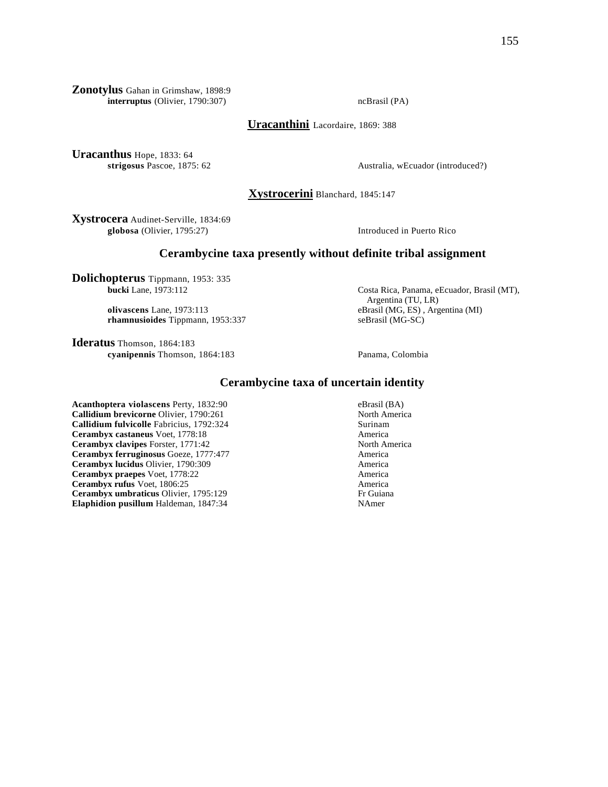**Zonotylus** Gahan in Grimshaw, 1898:9 **interruptus** (Olivier, 1790:307) ncBrasil (PA)

**Uracanthini** Lacordaire, 1869: 388

**Uracanthus** Hope, 1833: 64

**strigosus** Pascoe, 1875: 62 Australia, wEcuador (introduced?)

**Xystrocerini** Blanchard, 1845:147

**Xystrocera** Audinet-Serville, 1834:69 **globosa** (Olivier, 1795:27) Introduced in Puerto Rico

## **Cerambycine taxa presently without definite tribal assignment**

**Dolichopterus** Tippmann, 1953: 335<br>bucki Lane, 1973:112

**rhamnusioides** Tippmann, 1953:337 seBrasil (MG-SC)

**Ideratus** Thomson, 1864:183 **cyanipennis** Thomson, 1864:183 Panama, Colombia

Costa Rica, Panama, eEcuador, Brasil (MT), Argentina (TU, LR) **olivascens** Lane, 1973:113 eBrasil (MG, ES) , Argentina (MI)

# **Cerambycine taxa of uncertain identity**

**Acanthoptera violascens** Perty, 1832:90 eBrasil (BA) eBrasil (BA) eBrasil (BA) callidium brevicorne Olivier, 1790:261 **Callidium brevicorne Olivier, 1790:261 Callidium fulvicolle** Fabricius, 1792:324 Surinam **Cerambyx castaneus** Voet, 1778:18 <br> **Cerambyx clavipes** Forster, 1771:42 <br>
North America **Cerambyx clavipes Forster, 1771:42** North America<br> **Cerambyx ferruginosus** Goeze, 1777:477 America **Cerambyx ferruginosus** Goeze, 1777:477 **Cerambyx lucidus** Olivier, 1790:309 America **Cerambyx praepes** Voet, 1778:22 America **Cerambyx rufus** Voet, 1806:25 America **Cerambyx umbraticus** Olivier, 1795:129 **Fr Guiana**<br> **Elaphidion pusillum** Haldeman, 1847:34 **Altana** MAmer **Elaphidion pusillum** Haldeman, 1847:34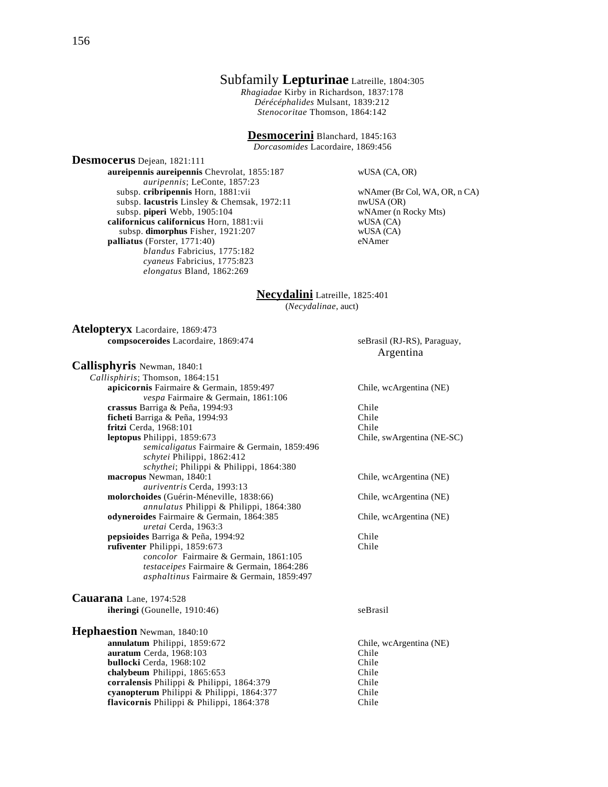# Subfamily **Lepturinae** Latreille, 1804:305

*Rhagiadae* Kirby in Richardson, 1837:178 *Dérécéphalides* Mulsant, 1839:212 *Stenocoritae* Thomson, 1864:142

#### **Desmocerini** Blanchard, 1845:163

*Dorcasomides* Lacordaire, 1869:456

**Desmocerus** Dejean, 1821:111 **aureipennis aureipennis** Chevrolat, 1855:187 wUSA (CA, OR) *auripennis*; LeConte, 1857:23 subsp. **cribripennis** Horn, 1881:vii wNAmer (Br Col, WA, OR, n CA) subsp. lacustris Linsley & Chemsak, 1972:11 nwUSA (OR) subsp. **piperi** Webb, 1905:104 wNAmer (n Rocky Mts)<br> **lifornicus californicus** Horn, 1881:vii wUSA (CA) californicus californicus Horn, 1881:vii subsp. **dimorphus** Fisher, 1921:207 wUSA (CA)<br> **Iliatus** (Forster, 1771:40) eNAmer **palliatus** (Forster, 1771:40) *blandus* Fabricius, 1775:182 *cyaneus* Fabricius, 1775:823 *elongatus* Bland, 1862:269

#### **Necydalini** Latreille, 1825:401

(*Necydalinae*, auct)

**Atelopteryx** Lacordaire, 1869:473 **compsoceroides** Lacordaire, 1869:474 seBrasil (RJ-RS), Paraguay,

**Callisphyris** Newman, 1840:1

*Callisphiris*; Thomson, 1864:151 **apicicornis** Fairmaire & Germain, 1859:497 Chile, wcArgentina (NE) *vespa* Fairmaire & Germain, 1861:106 **crassus** Barriga & Peña, 1994:93 Chile **ficheti** Barriga & Peña, 1994:93 Chile **fritzi** Cerda, 1968:101 Chile **leptopus Philippi, 1859:673** Chile, swArgentina (NE-SC) *semicaligatus* Fairmaire & Germain, 1859:496 *schytei* Philippi, 1862:412 *schythei*; Philippi & Philippi, 1864:380 **macropus** Newman, 1840:1 Chile, wcArgentina (NE) *auriventris* Cerda, 1993:13 **molorchoides** (Guérin-Méneville, 1838:66) Chile, wcArgentina (NE) *annulatus* Philippi & Philippi, 1864:380 **odyneroides** Fairmaire & Germain, 1864:385 Chile, wcArgentina (NE) *uretai* Cerda, 1963:3 **pepsioides** Barriga & Peña, 1994:92 **Chile (Chile 1994:92** Chile 1994:92 Chile 1994:92 Chile 1995) **rufiventer** Philippi, 1859:673 *concolor* Fairmaire & Germain, 1861:105 *testaceipes* Fairmaire & Germain, 1864:286 *asphaltinus* Fairmaire & Germain, 1859:497

**Cauarana** Lane, 1974:528 **iheringi** (Gounelle, 1910:46) seBrasil **Hephaestion** Newman, 1840:10 **annulatum** Philippi, 1859:672 Chile, wcArgentina (NE) **auratum** Cerda, 1968:103 Chile **bullocki** Cerda, 1968:102 Chile **chalybeum** Philippi, 1865:653 Chile<br> **corralensis** Philippi & Philippi, 1864:379 Chile **corralensis Philippi & Philippi, 1864:379 cyanopterum** Philippi & Philippi, 1864:377 Chile **flavicornis** Philippi & Philippi, 1864:378 Chile

Argentina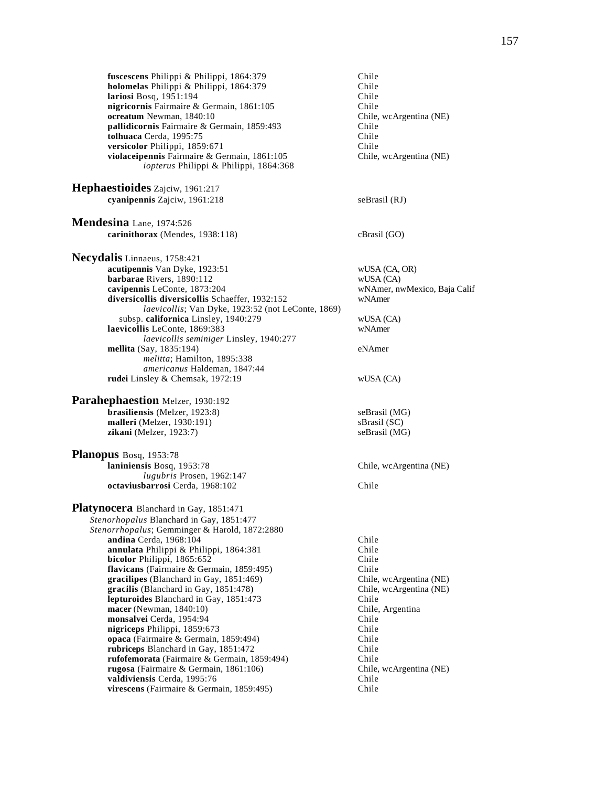**fuscescens** Philippi & Philippi, 1864:379 Chile<br> **holomelas** Philippi & Philippi, 1864:379 Chile **holomelas** Philippi & Philippi, 1864:379 **lariosi** Bosq, 1951:194 Chile **nigricornis** Fairmaire & Germain, 1861:105 Chile<br> **ocreatum** Newman, 1840:10 Chile, wcArgentina (NE) **ocreatum** Newman, 1840:10<br> **pallidicornis** Fairmaire & Germain, 1859:493 Chile pallidicornis Fairmaire & Germain, 1859:493 **tolhuaca** Cerda, 1995:75 Chile **versicolor** Philippi, 1859:671 Chile **violaceipennis** Fairmaire & Germain, 1861:105 Chile, wcArgentina (NE) *iopterus* Philippi & Philippi, 1864:368 **Hephaestioides** Zajciw, 1961:217 **cyanipennis** Zajciw, 1961:218 seBrasil (RJ) **Mendesina** Lane, 1974:526 **carinithorax** (Mendes, 1938:118) cBrasil (GO) **Necydalis** Linnaeus, 1758:421 **acutipennis** Van Dyke, 1923:51 wUSA (CA, OR) **barbarae** Rivers, 1890:112 wUSA (CA)<br> **cavipennis** LeConte, 1873:204 wNAmer, nv wNAmer, nwMexico, Baja Calif **diversicollis diversicollis** Schaeffer, 1932:152 wNAmer *laevicollis*; Van Dyke, 1923:52 (not LeConte, 1869) subsp. **californica** Linsley, 1940:279 wUSA (CA)<br> **vicollis** LeConte. 1869:383 wNAmer **laevicollis** LeConte, 1869:383 *laevicollis seminiger* Linsley, 1940:277 **mellita** (Say, 1835:194) eNAmer *melitta*; Hamilton, 1895:338 *americanus* Haldeman, 1847:44 **rudei** Linsley & Chemsak, 1972:19 wUSA (CA) **Parahephaestion** Melzer, 1930:192 **brasiliensis** (Melzer, 1923:8) seBrasil (MG) **malleri** (Melzer, 1930:191) sBrasil (SC) **zikani** (Melzer, 1923:7) seBrasil (MG) **Planopus** Bosq, 1953:78 **laniniensis** Bosq, 1953:78 Chile, wcArgentina (NE) *lugubris* Prosen, 1962:147 **octaviusbarrosi** Cerda, 1968:102 Chile **Platynocera** Blanchard in Gay, 1851:471 *Stenorhopalus* Blanchard in Gay, 1851:477 *Stenorrhopalus*; Gemminger & Harold, 1872:2880 **andina** Cerda, 1968:104 Chile<br> **annulata** Philinni & Philinni 1864:381 Chile annulata Philippi & Philippi, 1864:381 **bicolor** Philippi, 1865:652 Chile **flavicans** (Fairmaire & Germain, 1859:495) Chile **gracilipes** (Blanchard in Gay, 1851:469) Chile, wcArgentina (NE) **gracilis** (Blanchard in Gay, 1851:478) Chile, wcArgentina (NE) **lepturoides** Blanchard in Gay, 1851:473 Chile **macer** (Newman, 1840:10) Chile, Argentina **monsalvei** Cerda, 1954:94 Chile **nigriceps** Philippi, 1859:673 Chile<br> **opaca** (Fairmaire & Germain, 1859:494) Chile opaca (Fairmaire & Germain, 1859:494) **rubriceps** Blanchard in Gay, 1851:472 Chile **rufofemorata** (Fairmaire & Germain, 1859:494) Chile **rugosa** (Fairmaire & Germain, 1861:106) Chile, wcArgentina (NE) **valdiviensis** Cerda, 1995:76 Chile **virescens** (Fairmaire & Germain, 1859:495) Chile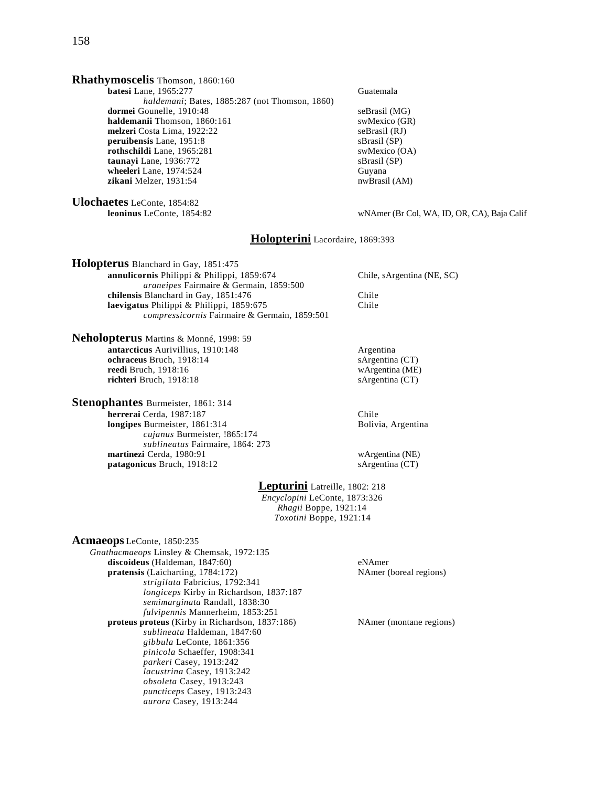# **Rhathymoscelis** Thomson, 1860:160

**batesi** Lane, 1965:277 Guatemala *haldemani*; Bates, 1885:287 (not Thomson, 1860) **dormei** Gounelle, 1910:48 seBrasil (MG) **haldemanii** Thomson, 1860:161 swMexico (GR)<br> **melzeri** Costa Lima, 1922:22 seBrasil (RJ) **melzeri** Costa Lima, 1922:22 seBrasil (RJ)<br> **peruibensis** Lane, 1951:8 sBrasil (SP) **peruibensis** Lane, 1951:8 **rothschildi** Lane, 1965:281 swMexico (OA)<br> **taunayi** Lane, 1936:772 sBrasil (SP) taunayi Lane, 1936:772 **wheeleri** Lane, 1974:524 Guyana **zikani** Melzer, 1931:54 nwBrasil (AM)

**Ulochaetes** LeConte, 1854:82

#### wNAmer (Br Col, WA, ID, OR, CA), Baja Calif

### **Holopterini** Lacordaire, 1869:393

**Holopterus** Blanchard in Gay, 1851:475 **annulicornis** Philippi & Philippi, 1859:674 Chile, sArgentina (NE, SC) *araneipes* Fairmaire & Germain, 1859:500 **chilensis Blanchard in Gay, 1851:476** Chile<br> **Solution** Chile **Replaces** Chile **Chile** Chile laevigatus Philippi & Philippi, 1859:675 *compressicornis* Fairmaire & Germain, 1859:501

**Neholopterus** Martins & Monné, 1998: 59 **antarcticus** Aurivillius, 1910:148 Argentina **ochraceus** Bruch, 1918:14 sArgentina (CT) **reedi** Bruch, 1918:16 wArgentina (ME) **richteri** Bruch, 1918:18 sArgentina (CT)

**Stenophantes** Burmeister, 1861: 314 **herrerai** Cerda, 1987:187 Chile **longipes** Burmeister, 1861:314 Bolivia, Argentina *cujanus* Burmeister, !865:174 *sublineatus* Fairmaire, 1864: 273 **martinezi** Cerda, 1980:91 wArgentina (NE) patagonicus Bruch, 1918:12 sArgentina (CT)

# **Lepturini** Latreille, 1802: 218

*Encyclopini* LeConte, 1873:326 *Rhagii* Boppe, 1921:14 *Toxotini* Boppe, 1921:14

| <b>Acmaeops</b> LeConte, 1850:235                      |
|--------------------------------------------------------|
| Gnathacmaeops Linsley & Chemsak, 1972:135              |
| discoideus (Haldeman, 1847:60)                         |
| <b>pratensis</b> (Laicharting, 1784:172)               |
| strigilata Fabricius, 1792:341                         |
| longiceps Kirby in Richardson, 1837:187                |
| semimarginata Randall, 1838:30                         |
| fulvipennis Mannerheim, 1853:251                       |
| <b>proteus proteus</b> (Kirby in Richardson, 1837:186) |
| sublineata Haldeman, 1847:60                           |
| gibbula LeConte, 1861:356                              |
| pinicola Schaeffer, 1908:341                           |
| parkeri Casey, 1913:242                                |
| lacustrina Casey, 1913:242                             |
| obsoleta Casey, 1913:243                               |
| puncticeps Casey, 1913:243                             |
| <i>aurora</i> Casey, 1913:244                          |
|                                                        |

eNAmer **NAmer** (boreal regions)

**NAmer (montane regions)**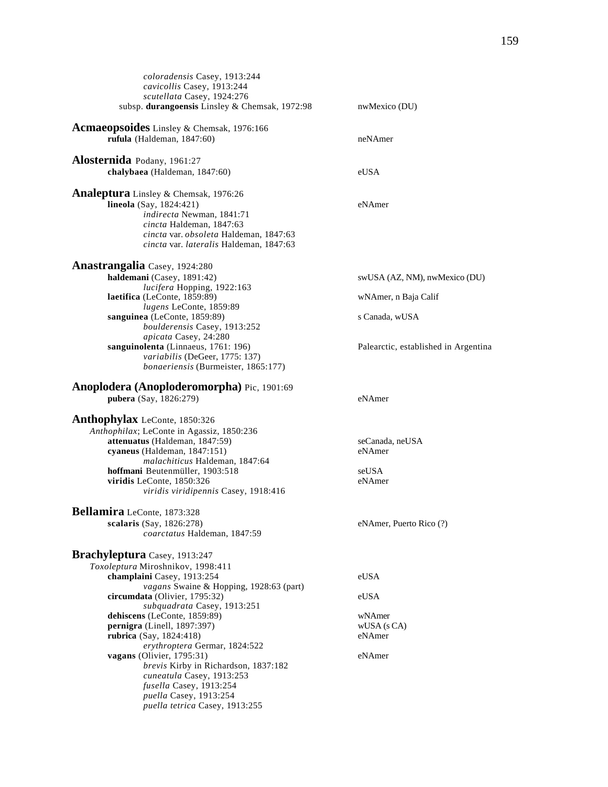| cavicollis Casey, 1913:244<br>scutellata Casey, 1924:276<br>subsp. durangoensis Linsley & Chemsak, 1972:98<br>nwMexico (DU) |  |
|-----------------------------------------------------------------------------------------------------------------------------|--|
|                                                                                                                             |  |
|                                                                                                                             |  |
|                                                                                                                             |  |
| Acmaeopsoides Linsley & Chemsak, 1976:166                                                                                   |  |
| rufula (Haldeman, 1847:60)<br>neNAmer                                                                                       |  |
|                                                                                                                             |  |
| Alosternida Podany, 1961:27                                                                                                 |  |
| chalybaea (Haldeman, 1847:60)<br>eUSA                                                                                       |  |
| Analeptura Linsley & Chemsak, 1976:26                                                                                       |  |
| lineola (Say, 1824:421)<br>eNAmer                                                                                           |  |
| indirecta Newman, 1841:71                                                                                                   |  |
| cincta Haldeman, 1847:63                                                                                                    |  |
| cincta var. obsoleta Haldeman, 1847:63                                                                                      |  |
| cincta var. lateralis Haldeman, 1847:63                                                                                     |  |
|                                                                                                                             |  |
| Anastrangalia Casey, 1924:280                                                                                               |  |
| haldemani (Casey, 1891:42)<br>swUSA (AZ, NM), nwMexico (DU)                                                                 |  |
| lucifera Hopping, 1922:163                                                                                                  |  |
| laetifica (LeConte, 1859:89)<br>wNAmer, n Baja Calif                                                                        |  |
| lugens LeConte, 1859:89                                                                                                     |  |
| sanguinea (LeConte, 1859:89)<br>s Canada, wUSA                                                                              |  |
| boulderensis Casey, 1913:252                                                                                                |  |
| apicata Casey, 24:280                                                                                                       |  |
| sanguinolenta (Linnaeus, 1761: 196)<br>Palearctic, established in Argentina<br>variabilis (DeGeer, 1775: 137)               |  |
| bonaeriensis (Burmeister, 1865:177)                                                                                         |  |
|                                                                                                                             |  |
| Anoplodera (Anoploderomorpha) Pic, 1901:69                                                                                  |  |
| pubera (Say, 1826:279)<br>eNAmer                                                                                            |  |
| Anthophylax LeConte, 1850:326                                                                                               |  |
|                                                                                                                             |  |
|                                                                                                                             |  |
| Anthophilax; LeConte in Agassiz, 1850:236                                                                                   |  |
| attenuatus (Haldeman, 1847:59)<br>seCanada, neUSA                                                                           |  |
| cyaneus (Haldeman, 1847:151)<br>eNAmer                                                                                      |  |
| malachiticus Haldeman, 1847:64                                                                                              |  |
| hoffmani Beutenmüller, 1903:518<br>seUSA                                                                                    |  |
| viridis LeConte, 1850:326<br>eNAmer                                                                                         |  |
| viridis viridipennis Casey, 1918:416                                                                                        |  |
| Bellamira LeConte, 1873:328                                                                                                 |  |
| scalaris (Say, 1826:278)<br>eNAmer, Puerto Rico (?)                                                                         |  |
| coarctatus Haldeman, 1847:59                                                                                                |  |
|                                                                                                                             |  |
| Brachyleptura Casey, 1913:247                                                                                               |  |
| Toxoleptura Miroshnikov, 1998:411                                                                                           |  |
| champlaini Casey, 1913:254<br>eUSA                                                                                          |  |
| vagans Swaine & Hopping, 1928:63 (part)                                                                                     |  |
| circumdata (Olivier, 1795:32)<br>eUSA                                                                                       |  |
| subquadrata Casey, 1913:251                                                                                                 |  |
| dehiscens (LeConte, 1859:89)<br>wNAmer                                                                                      |  |
| pernigra (Linell, 1897:397)<br>$WUSA$ (s $CA$ )                                                                             |  |
| rubrica (Say, 1824:418)<br>eNAmer                                                                                           |  |
| erythroptera Germar, 1824:522                                                                                               |  |
| vagans (Olivier, $1795:31$ )<br>eNAmer                                                                                      |  |
| brevis Kirby in Richardson, 1837:182                                                                                        |  |
| cuneatula Casey, 1913:253                                                                                                   |  |
| fusella Casey, 1913:254<br>puella Casey, 1913:254                                                                           |  |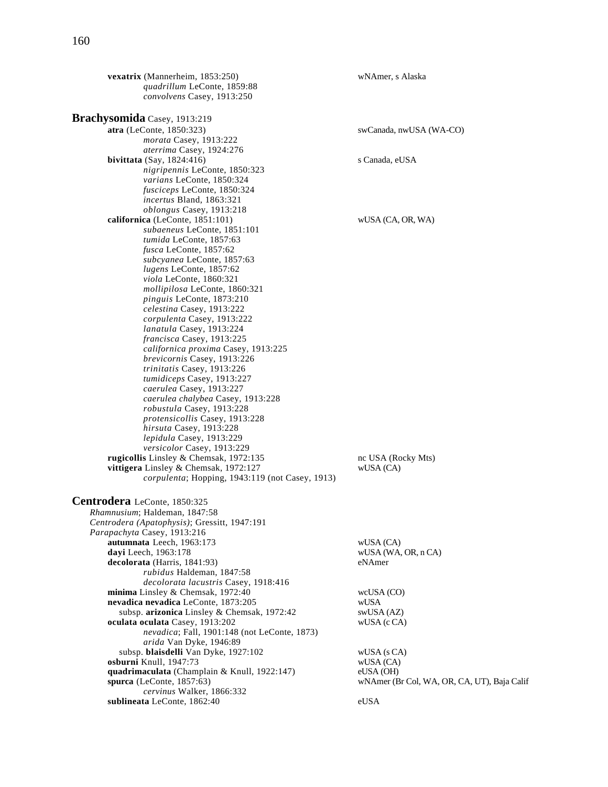**vexatrix** (Mannerheim, 1853:250) wNAmer, s Alaska *quadrillum* LeConte, 1859:88 *convolvens* Casey, 1913:250 **Brachysomida** Casey, 1913:219<br>atra (LeConte, 1850:323) swCanada, nwUSA (WA-CO) *morata* Casey, 1913:222 *aterrima* Casey, 1924:276 **bivittata** (Say, 1824:416) s Canada, eUSA *nigripennis* LeConte, 1850:323 *varians* LeConte, 1850:324 *fusciceps* LeConte, 1850:324 *incertus* Bland, 1863:321 *oblongus* Casey, 1913:218 **californica** (LeConte, 1851:101) wUSA (CA, OR, WA) *subaeneus* LeConte, 1851:101 *tumida* LeConte, 1857:63 *fusca* LeConte, 1857:62 *subcyanea* LeConte, 1857:63 *lugens* LeConte, 1857:62 *viola* LeConte, 1860:321 *mollipilosa* LeConte, 1860:321 *pinguis* LeConte, 1873:210 *celestina* Casey, 1913:222 *corpulenta* Casey, 1913:222 *lanatula* Casey, 1913:224 *francisca* Casey, 1913:225 *californica proxima* Casey, 1913:225 *brevicornis* Casey, 1913:226 *trinitatis* Casey, 1913:226 *tumidiceps* Casey, 1913:227 *caerulea* Casey, 1913:227 *caerulea chalybea* Casey, 1913:228 *robustula* Casey, 1913:228 *protensicollis* Casey, 1913:228 *hirsuta* Casey, 1913:228 *lepidula* Casey, 1913:229 *versicolor* Casey, 1913:229 **rugicollis** Linsley & Chemsak, 1972:135 nc USA (Rocky Mts) **vittigera** Linsley & Chemsak, 1972:127 wUSA (CA) *corpulenta*; Hopping, 1943:119 (not Casey, 1913) **Centrodera** LeConte, 1850:325 *Rhamnusium*; Haldeman, 1847:58 *Centrodera (Apatophysis)*; Gressitt, 1947:191 *Parapachyta* Casey, 1913:216 **autumnata** Leech, 1963:173 wUSA (CA) **dayi** Leech, 1963:178 wUSA (WA, OR, n CA) **decolorata** (Harris, 1841:93) eNAmer *rubidus* Haldeman, 1847:58 *decolorata lacustris* Casey, 1918:416 **minima** Linsley & Chemsak, 1972:40 wcUSA (CO) **nevadica nevadica LeConte, 1873:205** wUSA<br>subsp. **arizonica** Linsley & Chemsak, 1972:42 swUSA (AZ) subsp. arizonica Linsley & Chemsak, 1972:42 **oculata oculata** Casey, 1913:202 wUSA (c CA) *nevadica*; Fall, 1901:148 (not LeConte, 1873) *arida* Van Dyke, 1946:89 subsp. **blaisdelli** Van Dyke, 1927:102 wUSA (s CA)<br> **burni** Knull, 1947:73 wUSA (CA) **osburni** Knull, 1947:73 wUSA (CA)<br> **quadrimaculata** (Champlain & Knull, 1922:147) eUSA (OH) quadrimaculata (Champlain & Knull, 1922:147) **spurca** (LeConte, 1857:63) wNAmer (Br Col, WA, OR, CA, UT), Baja Calif *cervinus* Walker, 1866:332 **sublineata** LeConte, 1862:40 eUSA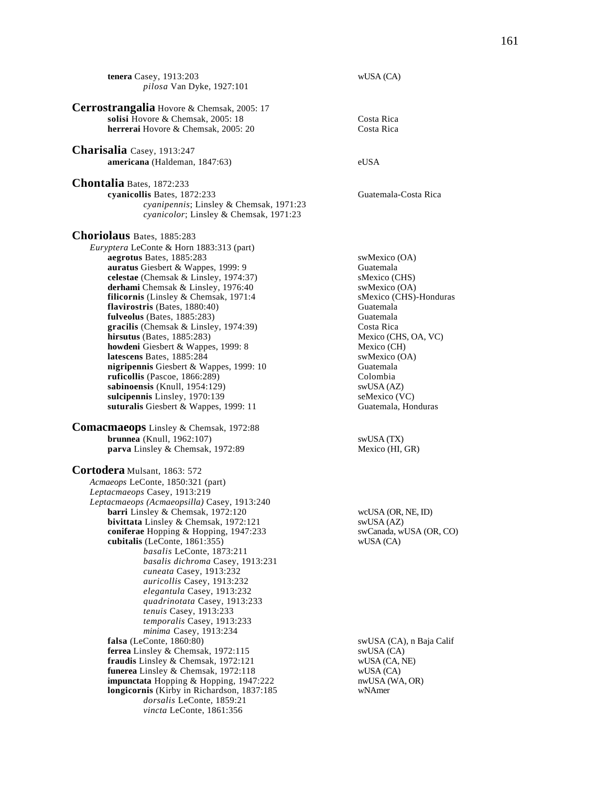**tenera** Casey, 1913:203 wUSA (CA) *pilosa* Van Dyke, 1927:101 **Cerrostrangalia** Hovore & Chemsak, 2005: 17 **solisi** Hovore & Chemsak, 2005: 18 Costa Rica **herrerai** Hovore & Chemsak, 2005: 20 Costa Rica **Charisalia** Casey, 1913:247 **americana** (Haldeman, 1847:63) eUSA **Chontalia** Bates, 1872:233 **cyanicollis** Bates, 1872:233 Guatemala-Costa Rica *cyanipennis*; Linsley & Chemsak, 1971:23 *cyanicolor*; Linsley & Chemsak, 1971:23 **Choriolaus** Bates, 1885:283 *Euryptera* LeConte & Horn 1883:313 (part) **aegrotus** Bates, 1885:283 swMexico (OA) **auratus** Giesbert & Wappes, 1999: 9 Guatemala<br> **celestae** (Chemsak & Linsley, 1974:37) SMexico (CHS) **celestae** (Chemsak & Linsley, 1974:37) derhami Chemsak & Linsley, 1976:40 swMexico (OA) **filicornis** (Linsley & Chemsak, 1971:4 sMexico (CHS)-Honduras **flavirostris** (Bates, 1880:40) Guatemala  $flavirostris$  (Bates,  $1880:40$ ) **fulveolus** (Bates, 1885:283) Guatemala **gracilis** (Chemsak & Linsley, 1974:39) Costa Rica<br> **hirsutus** (Bates, 1885:283) Mexico (CHS, OA, VC) **hirsutus** (Bates, 1885:283) **howdeni** Giesbert & Wappes, 1999: 8 Mexico (CH) **latescens** Bates, 1885:284 swMexico (OA) **nigripennis** Giesbert & Wappes, 1999: 10 Guatemala **ruficollis** (Pascoe, 1866:289) Colombia<br> **sabinoensis** (Knull, 1954:129) SwUSA (AZ) sabinoensis (Knull, 1954:129) **sulcipennis** Linsley, 1970:139 seMexico (VC) **suturalis** Giesbert & Wappes, 1999: 11 Guatemala, Honduras **Comacmaeops** Linsley & Chemsak, 1972:88 **brunnea** (Knull, 1962:107) swUSA (TX) **parva** Linsley & Chemsak, 1972:89 Mexico (HI, GR) **Cortodera** Mulsant, 1863: 572 *Acmaeops* LeConte, 1850:321 (part) *Leptacmaeops* Casey, 1913:219 *Leptacmaeops (Acmaeopsilla)* Casey, 1913:240 **barri** Linsley & Chemsak, 1972:120 wcUSA (OR, NE, ID) **bivittata** Linsley & Chemsak, 1972:121 swUSA (AZ)<br> **coniferae** Hopping & Hopping, 1947:233 swCanada, wUSA (OR, CO) coniferae Hopping & Hopping, 1947:233 **cubitalis** (LeConte, 1861:355) wUSA (CA) *basalis* LeConte, 1873:211 *basalis dichroma* Casey, 1913:231 *cuneata* Casey, 1913:232 *auricollis* Casey, 1913:232 *elegantula* Casey, 1913:232 *quadrinotata* Casey, 1913:233 *tenuis* Casey, 1913:233 *temporalis* Casey, 1913:233 *minima* Casey, 1913:234 **falsa** (LeConte, 1860:80)<br> **ferrea** Linsley & Chemsak, 1972:115 swUSA (CA), n Baja Calif swUSA (CA) ferrea Linsley & Chemsak, 1972:115 **fraudis** Linsley & Chemsak, 1972:121 wUSA (CA, NE)<br> **funerea** Linsley & Chemsak, 1972:118 wUSA (CA) **funerea** Linsley & Chemsak, 1972:118 wUSA (CA)<br> **impunctata** Hopping & Hopping, 1947:222 mwUSA (WA, OR) **impunctata** Hopping & Hopping, 1947:222 **longicornis** (Kirby in Richardson, 1837:185 wNAmer *dorsalis* LeConte, 1859:21 *vincta* LeConte, 1861:356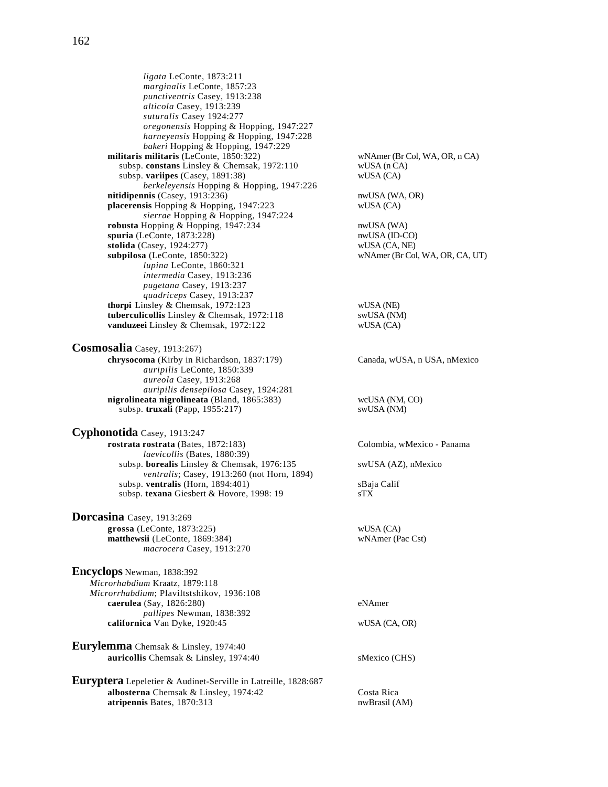*ligata* LeConte, 1873:211 *marginalis* LeConte, 1857:23 *punctiventris* Casey, 1913:238 *alticola* Casey, 1913:239 *suturalis* Casey 1924:277 *oregonensis* Hopping & Hopping, 1947:227 *harneyensis* Hopping & Hopping, 1947:228 *bakeri* Hopping & Hopping, 1947:229 **militaris militaris** (LeConte, 1850:322) wNAmer (Br Col, WA, OR, n CA) subsp. **constans** Linsley & Chemsak, 1972:110 wUSA (n CA) wUSA (CA) wUSA (CA) subsp. variipes (Casey, 1891:38) *berkeleyensis* Hopping & Hopping, 1947:226 **nitidipennis** (Casey, 1913:236) nwUSA (WA, OR) **placerensis** Hopping & Hopping, 1947:223 wUSA (CA) *sierrae* Hopping & Hopping, 1947:224 **robusta** Hopping & Hopping, 1947:234 nwUSA (WA) **spuria** (LeConte, 1873:228) nwUSA (ID-CO) **stolida** (Casey, 1924:277) wUSA (CA, NE) **subpilosa** (LeConte, 1850:322) wNAmer (Br Col, WA, OR, CA, UT) *lupina* LeConte, 1860:321 *intermedia* Casey, 1913:236 *pugetana* Casey, 1913:237 *quadriceps* Casey, 1913:237 **thorpi** Linsley & Chemsak, 1972:123 wUSA (NE) **tuberculicollis** Linsley & Chemsak, 1972:118 swUSA (NM) **vanduzeei** Linsley & Chemsak, 1972:122 wUSA (CA) **Cosmosalia** Casey, 1913:267) **chrysocoma** (Kirby in Richardson, 1837:179) Canada, wUSA, n USA, nMexico *auripilis* LeConte, 1850:339 *aureola* Casey, 1913:268 *auripilis densepilosa* Casey, 1924:281 **nigrolineata nigrolineata** (Bland, 1865:383) wcUSA (NM, CO) subsp. **truxali** (Papp, 1955:217) swUSA (NM) **Cyphonotida** Casey, 1913:247 **rostrata rostrata** (Bates, 1872:183) Colombia, wMexico - Panama *laevicollis* (Bates, 1880:39) subsp. **borealis** Linsley & Chemsak, 1976:135 swUSA (AZ), nMexico *ventralis*; Casey, 1913:260 (not Horn, 1894) subsp. **ventralis** (Horn, 1894:401) sBaja Calif subsp. **texana** Giesbert & Hovore, 1998: 19 sTX **Dorcasina** Casey, 1913:269 **grossa** (LeConte, 1873:225) wUSA (CA) **matthewsii** (LeConte, 1869:384) wNAmer (Pac Cst) *macrocera* Casey, 1913:270 **Encyclops** Newman, 1838:392 *Microrhabdium* Kraatz, 1879:118 *Microrrhabdium*; Plaviltstshikov, 1936:108 **caerulea** (Say, 1826:280) eNAmer *pallipes* Newman, 1838:392 **californica** Van Dyke, 1920:45 wUSA (CA, OR) **Eurylemma** Chemsak & Linsley, 1974:40 **auricollis** Chemsak & Linsley, 1974:40 sMexico (CHS)

**Euryptera** Lepeletier & Audinet-Serville in Latreille, 1828:687 **albosterna** Chemsak & Linsley, 1974:42 Costa Rica **atripennis Bates, 1870:313** nwBrasil (AM)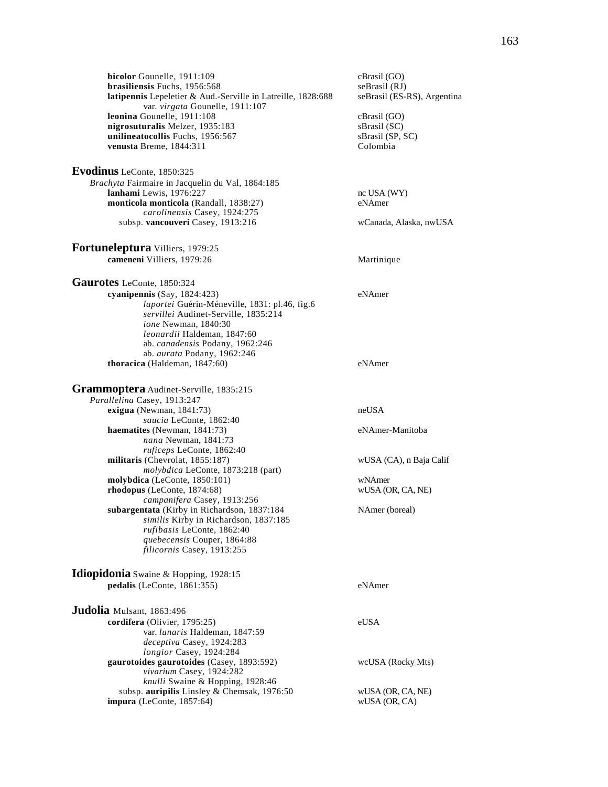**bicolor** Gounelle, 1911:109 cBrasil (GO)<br> **brasiliensis** Fuchs, 1956:568 seBrasil (RJ) **brasiliensis** Fuchs, 1956:568<br>**latipennis** Lepeletier & Aud.-Serville in Latreille, 1828:688 seBrasil (ES-RS), Argentina latipennis Lepeletier & Aud.-Serville in Latreille, 1828:688 var. *virgata* Gounelle, 1911:107 **leonina** Gounelle, 1911:108<br> **nigrosuturalis** Melzer, 1935:183<br>
sBrasil (SC) nigrosuturalis Melzer, 1935:183 **unilineatocollis** Fuchs, 1956:567 sBrasil (SP, SC)<br> **venusta** Breme. 1844:311 Colombia **venusta** Breme, 1844:311 **Evodinus** LeConte, 1850:325 *Brachyta* Fairmaire in Jacquelin du Val, 1864:185 **lanhami** Lewis, 1976:227<br> **monticola monticola** (Randall. 1838:27) eNAmer **monticola monticola** (Randall, 1838:27) *carolinensis* Casey, 1924:275 subsp. **vancouveri** Casey, 1913:216 wCanada, Alaska, nwUSA **Fortuneleptura** Villiers, 1979:25 **cameneni** Villiers, 1979:26 Martinique **Gaurotes** LeConte, 1850:324 **cyanipennis** (Say, 1824:423) eNAmer *laportei* Guérin-Méneville, 1831: pl.46, fig.6 *servillei* Audinet-Serville, 1835:214 *ione* Newman, 1840:30 *leonardii* Haldeman, 1847:60 ab. *canadensis* Podany, 1962:246 ab. *aurata* Podany, 1962:246 **thoracica** (Haldeman, 1847:60) eNAmer **Grammoptera** Audinet-Serville, 1835:215 *Parallelina* Casey, 1913:247 **exigua** (Newman, 1841:73) neUSA *saucia* LeConte, 1862:40 **haematites** (Newman, 1841:73) eNAmer-Manitoba *nana* Newman, 1841:73 *ruficeps* LeConte, 1862:40 **militaris** (Chevrolat, 1855:187) wUSA (CA), n Baja Calif *molybdica* LeConte, 1873:218 (part) **molybdica** (LeConte, 1850:101) wNAmer **rhodopus** (LeConte, 1874:68) wUSA (OR, CA, NE) *campanifera* Casey, 1913:256 **subargentata** (Kirby in Richardson, 1837:184 NAmer (boreal) *similis* Kirby in Richardson, 1837:185 *rufibasis* LeConte, 1862:40 *quebecensis* Couper, 1864:88 *filicornis* Casey, 1913:255 **Idiopidonia** Swaine & Hopping, 1928:15 **pedalis** (LeConte, 1861:355) eNAmer **Judolia** Mulsant, 1863:496 **cordifera** (Olivier, 1795:25) eUSA var. *lunaris* Haldeman, 1847:59 *deceptiva* Casey, 1924:283 *longior* Casey, 1924:284 **gaurotoides gaurotoides** (Casey, 1893:592) wcUSA (Rocky Mts) *vivarium* Casey, 1924:282 *knulli* Swaine & Hopping, 1928:46 subsp. **auripilis** Linsley & Chemsak, 1976:50 wUSA (OR, CA, NE)<br> **pura** (LeConte, 1857:64) wUSA (OR, CA)  $impura$  (LeConte, 1857:64)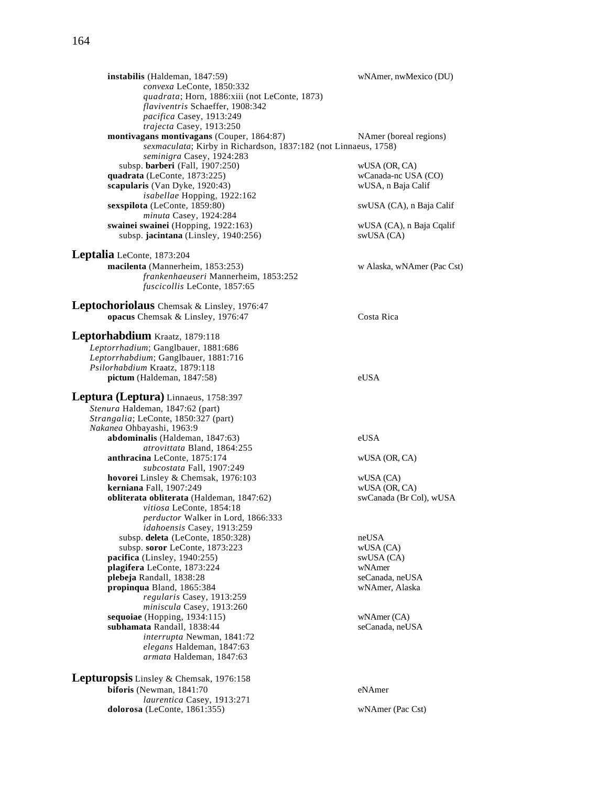**instabilis** (Haldeman, 1847:59) wNAmer, nwMexico (DU) *convexa* LeConte, 1850:332 *quadrata*; Horn, 1886:xiii (not LeConte, 1873) *flaviventris* Schaeffer, 1908:342 *pacifica* Casey, 1913:249 *trajecta* Casey, 1913:250 **montivagans montivagans** (Couper, 1864:87) NAmer (boreal regions) *sexmaculata*; Kirby in Richardson, 1837:182 (not Linnaeus, 1758) *seminigra* Casey, 1924:283 subsp. **barberi** (Fall, 1907:250) wUSA (OR, CA) wUSA (OR, CA) wCanada-nc USA (CO) **quadrata** (LeConte, 1873:225) **scapularis** (Van Dyke, 1920:43) wUSA, n Baja Calif *isabellae* Hopping, 1922:162 **sexspilota** (LeConte, 1859:80) swUSA (CA), n Baja Calif *minuta* Casey, 1924:284 **swainei swainei** (Hopping, 1922:163) wUSA (CA), n Baja Cqalif subsp. **jacintana** (Linsley, 1940:256) swUSA (CA) **Leptalia** LeConte, 1873:204 **macilenta** (Mannerheim, 1853:253) w Alaska, wNAmer (Pac Cst) *frankenhaeuseri* Mannerheim, 1853:252 *fuscicollis* LeConte, 1857:65 **Leptochoriolaus** Chemsak & Linsley, 1976:47 **opacus** Chemsak & Linsley, 1976:47 Costa Rica **Leptorhabdium** Kraatz, 1879:118 *Leptorrhadium*; Ganglbauer, 1881:686 *Leptorrhabdium*; Ganglbauer, 1881:716 *Psilorhabdium* Kraatz, 1879:118 **pictum** (Haldeman, 1847:58) eUSA **Leptura (Leptura)** Linnaeus, 1758:397 *Stenura* Haldeman, 1847:62 (part) *Strangalia*; LeConte, 1850:327 (part) *Nakanea* Ohbayashi, 1963:9 **abdominalis** (Haldeman, 1847:63) eUSA *atrovittata* Bland, 1864:255 **anthracina** LeConte, 1875:174 wUSA (OR, CA) *subcostata* Fall, 1907:249 **hovorei** Linsley & Chemsak, 1976:103 wUSA (CA) **kerniana** Fall, 1907:249 wUSA (OR, CA) **obliterata obliterata** (Haldeman, 1847:62) swCanada (Br Col), wUSA *vitiosa* LeConte, 1854:18 *perductor* Walker in Lord, 1866:333 *idahoensis* Casey, 1913:259 subsp. **deleta** (LeConte, 1850:328) neUSA subsp. **soror** LeConte, 1873:223 wUSA (CA)<br> **cifica** (Linsley, 1940:255) wUSA (CA) **pacifica** (Linsley, 1940:255) swUSA (CA) plagifera LeConte, 1873:224 plebeja Randall, 1838:28 seCanada, neUSA **propinqua** Bland, 1865:384 wNAmer, Alaska *regularis* Casey, 1913:259 *miniscula* Casey, 1913:260 **sequoiae** (Hopping, 1934:115) wNAmer (CA) **subhamata** Randall, 1838:44 seCanada, neUSA *interrupta* Newman, 1841:72 *elegans* Haldeman, 1847:63 *armata* Haldeman, 1847:63 **Lepturopsis** Linsley & Chemsak, 1976:158 **biforis** (Newman, 1841:70 eNAmer *laurentica* Casey, 1913:271 **dolorosa** (LeConte, 1861:355) wNAmer (Pac Cst)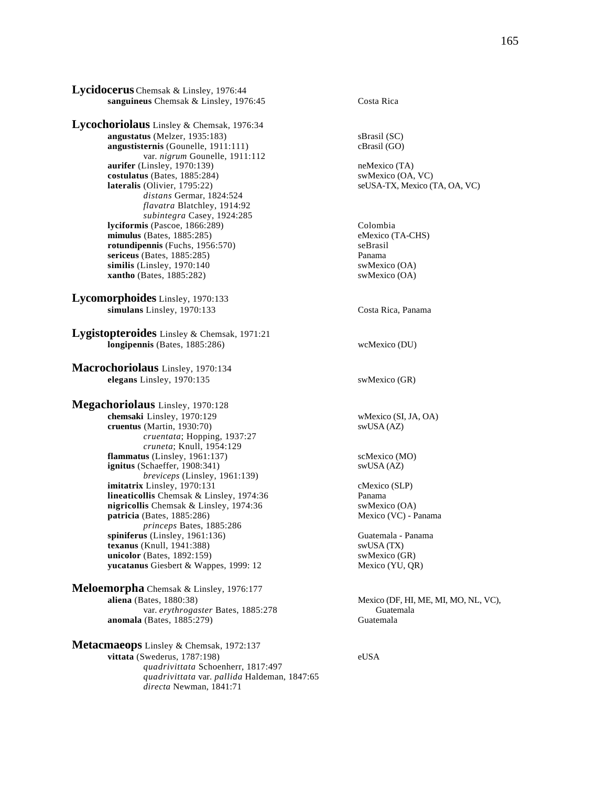**Lycidocerus** Chemsak & Linsley, 1976:44 sanguineus Chemsak & Linsley, 1976:45 Costa Rica

**Lycochoriolaus** Linsley & Chemsak, 1976:34 **angustatus** (Melzer, 1935:183) sBrasil (SC)<br> **angustisternis** (Gounelle, 1911:111) cBrasil (GO) **angustisternis** (Gounelle, 1911:111) var. *nigrum* Gounelle, 1911:112 **aurifer** (Linsley, 1970:139) **hemics aurifer** (Linsley, 1970:139) **hemics hemics hemics hemics costulatus** (Bates, 1885:284) **hemics swMexico** (OA, VC)  $costulatus$  (Bates,  $1885:284$ ) **lateralis** (Olivier, 1795:22) seUSA-TX, Mexico (TA, OA, VC) *distans* Germar, 1824:524 *flavatra* Blatchley, 1914:92 *subintegra* Casey, 1924:285 **lyciformis** (Pascoe, 1866:289) Colombia **mimulus** (Bates, 1885:285) eMexico (TA-CHS)<br> **contract examples** emergency emergency emergency emergency emerges and the emergency of the emergency of the emergency of the emergency of the emergency of the emergency of th  $rotundipennis$  (Fuchs,  $1956:570$ ) **sericeus** (Bates, 1885:285) **Panama**<br> **similis** (Linsley, 1970:140 **Panama** SwMexico (OA)  $\textbf{similis}$  (Linsley, 1970:140) **xantho** (Bates, 1885:282) swMexico (OA)

**Lycomorphoides** Linsley, 1970:133 **simulans** Linsley, 1970:133 Costa Rica, Panama

**Lygistopteroides** Linsley & Chemsak, 1971:21 **longipennis** (Bates, 1885:286) wcMexico (DU)

**Macrochoriolaus** Linsley, 1970:134 **elegans** Linsley, 1970:135 swMexico (GR)

**Megachoriolaus** Linsley, 1970:128 **chemsaki** Linsley, 1970:129 wMexico (SI, JA, OA) **cruentus** (Martin, 1930:70) swUSA (AZ) *cruentata*; Hopping, 1937:27 *cruneta*; Knull, 1954:129 **flammatus** (Linsley, 1961:137) scMexico (MO) **ignitus** (Schaeffer, 1908:341) swUSA (AZ) *breviceps* (Linsley, 1961:139) **imitatrix** Linsley, 1970:131 cMexico (SLP) **lineaticollis** Chemsak & Linsley, 1974:36 Panama **nigricollis** Chemsak & Linsley, 1974:36 swMexico (OA) **patricia** (Bates, 1885:286) Mexico (VC) - Panama *princeps* Bates, 1885:286 **spiniferus** (Linsley, 1961:136) Guatemala - Panama<br> **texanus** (Knull, 1941:388) SwUSA (TX) **texanus** (Knull, 1941:388) **unicolor** (Bates, 1892:159) swMexico (GR) yucatanus Giesbert & Wappes, 1999: 12 Mexico (YU, QR)

**Meloemorpha** Chemsak & Linsley, 1976:177<br>aliena (Bates, 1880:38) var. *erythrogaster* Bates, 1885:278 Guatemala<br>
(Bates, 1885:279) Guatemala **anomala** (Bates, 1885:279)

**Metacmaeops** Linsley & Chemsak, 1972:137 **vittata** (Swederus, 1787:198) eUSA *quadrivittata* Schoenherr, 1817:497 *quadrivittata* var. *pallida* Haldeman, 1847:65 *directa* Newman, 1841:71

Mexico (DF, HI, ME, MI, MO, NL, VC),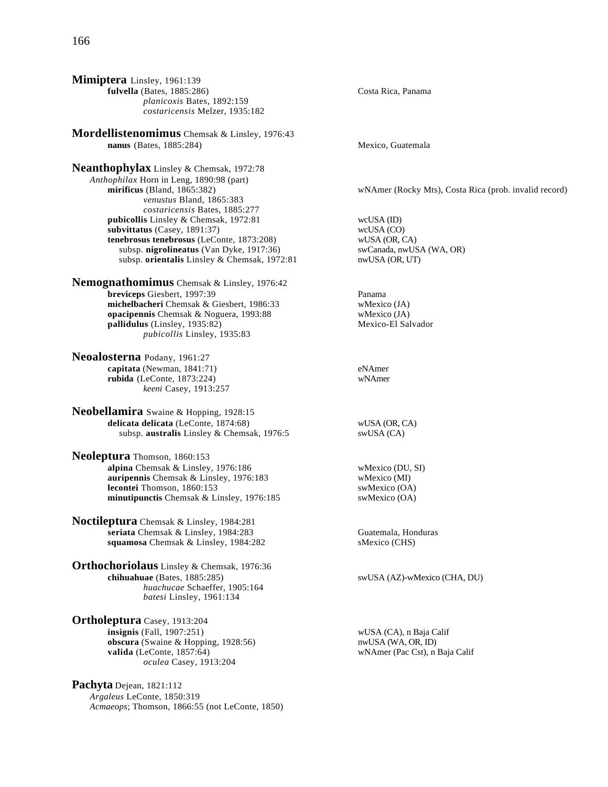**Mimiptera** Linsley, 1961:139 **fulvella** (Bates, 1885:286) Costa Rica, Panama *planicoxis* Bates, 1892:159 *costaricensis* Melzer, 1935:182

**Mordellistenomimus** Chemsak & Linsley, 1976:43 **nanus** (Bates, 1885:284) Mexico, Guatemala

**Neanthophylax** Linsley & Chemsak, 1972:78 *Anthophilax* Horn in Leng, 1890:98 (part) **mirificus** (Bland, 1865:382) wNAmer (Rocky Mts), Costa Rica (prob. invalid record) *venustus* Bland, 1865:383 *costaricensis* Bates, 1885:277 **pubicollis** Linsley & Chemsak, 1972:81 wcUSA (ID)<br> **subvittatus** (Casey, 1891:37) wcUSA (CO) **subvittatus** (Casey, 1891:37) wcUSA (CO)<br> **tenebrosus tenebrosus** (LeConte, 1873:208) wUSA (OR. CA) **tenebrosus tenebrosus** (LeConte, 1873:208) subsp. **nigrolineatus** (Van Dyke, 1917:36) swCanada, nwUSA (WA, OR) subsp. **orientalis** Linsley & Chemsak, 1972:81 nwUSA (OR, UT)

**Nemognathomimus** Chemsak & Linsley, 1976:42 **breviceps** Giesbert, 1997:39 Panama **michelbacheri** Chemsak & Giesbert, 1986:33 wMexico (JA)<br> **opacipennis** Chemsak & Noguera, 1993:88 wMexico (JA) **opacipennis** Chemsak & Noguera, 1993:88 **pallidulus** (Linsley, 1935:82) Mexico-El Salvador *pubicollis* Linsley, 1935:83

**Neoalosterna** Podany, 1961:27 **capitata** (Newman, 1841:71) eNAmer<br> **rubida** (LeConte, 1873:224) wNAmer  **(LeConte, 1873:224)** *keeni* Casey, 1913:257

**Neobellamira** Swaine & Hopping, 1928:15 **delicata delicata** (LeConte, 1874:68) wUSA (OR, CA) subsp. **australis** Linsley & Chemsak, 1976:5 swUSA (CA) subsp. **australis** Linsley & Chemsak, 1976:5

**Neoleptura** Thomson, 1860:153 **alpina** Chemsak & Linsley, 1976:186 wMexico (DU, SI) **auripennis** Chemsak & Linsley, 1976:183 wMexico (MI) **lecontei** Thomson, 1860:153 swMexico (OA) **minutipunctis** Chemsak & Linsley, 1976:185 swMexico (OA)

**Noctileptura** Chemsak & Linsley, 1984:281 **seriata** Chemsak & Linsley, 1984:283 Guatemala, Honduras **squamosa** Chemsak & Linsley, 1984:282 sMexico (CHS)

**Orthochoriolaus** Linsley & Chemsak, 1976:36 **chihuahuae** (Bates, 1885:285) swUSA (AZ)-wMexico (CHA, DU) *huachucae* Schaeffer, 1905:164 *batesi* Linsley, 1961:134

**Ortholeptura** Casey, 1913:204 **insignis** (Fall, 1907:251) wUSA (CA), n Baja Calif **obscura** (Swaine & Hopping, 1928:56) nwUSA (WA, OR, ID) **valida** (LeConte, 1857:64) wNAmer (Pac Cst), n Baja Calif *oculea* Casey, 1913:204

**Pachyta** Dejean, 1821:112 *Argaleus* LeConte, 1850:319 *Acmaeops*; Thomson, 1866:55 (not LeConte, 1850)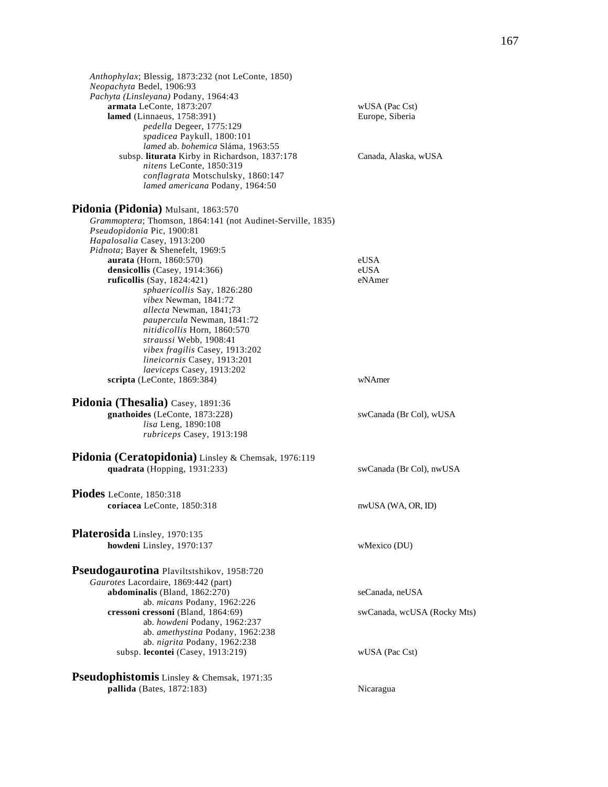| Anthophylax; Blessig, 1873:232 (not LeConte, 1850)<br>Neopachyta Bedel, 1906:93<br>Pachyta (Linsleyana) Podany, 1964:43<br>armata LeConte, 1873:207<br>lamed (Linnaeus, 1758:391)<br>pedella Degeer, 1775:129<br>spadicea Paykull, 1800:101<br>lamed ab. bohemica Sláma, 1963:55<br>subsp. liturata Kirby in Richardson, 1837:178<br>nitens LeConte, 1850:319<br>conflagrata Motschulsky, 1860:147<br>lamed americana Podany, 1964:50                                                                                                         | wUSA (Pac Cst)<br>Europe, Siberia<br>Canada, Alaska, wUSA        |
|-----------------------------------------------------------------------------------------------------------------------------------------------------------------------------------------------------------------------------------------------------------------------------------------------------------------------------------------------------------------------------------------------------------------------------------------------------------------------------------------------------------------------------------------------|------------------------------------------------------------------|
|                                                                                                                                                                                                                                                                                                                                                                                                                                                                                                                                               |                                                                  |
| Pidonia (Pidonia) Mulsant, 1863:570<br>Grammoptera; Thomson, 1864:141 (not Audinet-Serville, 1835)<br>Pseudopidonia Pic, 1900:81<br>Hapalosalia Casey, 1913:200<br>Pidnota; Bayer & Shenefelt, 1969:5<br>aurata (Horn, 1860:570)<br>densicollis (Casey, 1914:366)<br>ruficollis (Say, $1824:421$ )<br>sphaericollis Say, 1826:280<br>vibex Newman, 1841:72<br>allecta Newman, 1841;73<br>paupercula Newman, 1841:72<br>nitidicollis Horn, 1860:570<br>straussi Webb, 1908:41<br>vibex fragilis Casey, 1913:202<br>lineicornis Casey, 1913:201 | eUSA<br>eUSA<br>eNAmer                                           |
| laeviceps Casey, 1913:202<br>scripta (LeConte, 1869:384)                                                                                                                                                                                                                                                                                                                                                                                                                                                                                      | wNAmer                                                           |
|                                                                                                                                                                                                                                                                                                                                                                                                                                                                                                                                               |                                                                  |
| Pidonia (Thesalia) Casey, 1891:36<br>gnathoides (LeConte, 1873:228)<br>lisa Leng, 1890:108<br>rubriceps Casey, 1913:198                                                                                                                                                                                                                                                                                                                                                                                                                       | swCanada (Br Col), wUSA                                          |
| Pidonia (Ceratopidonia) Linsley & Chemsak, 1976:119                                                                                                                                                                                                                                                                                                                                                                                                                                                                                           |                                                                  |
| quadrata (Hopping, 1931:233)                                                                                                                                                                                                                                                                                                                                                                                                                                                                                                                  | swCanada (Br Col), nwUSA                                         |
| Piodes LeConte, 1850:318                                                                                                                                                                                                                                                                                                                                                                                                                                                                                                                      |                                                                  |
| coriacea LeConte, 1850:318                                                                                                                                                                                                                                                                                                                                                                                                                                                                                                                    | nwUSA (WA, OR, ID)                                               |
| Platerosida Linsley, 1970:135<br>howdeni Linsley, 1970:137                                                                                                                                                                                                                                                                                                                                                                                                                                                                                    | wMexico (DU)                                                     |
| Pseudogaurotina Plaviltstshikov, 1958:720<br>Gaurotes Lacordaire, 1869:442 (part)<br>abdominalis (Bland, 1862:270)<br>ab. <i>micans</i> Podany, 1962:226<br>cressoni cressoni (Bland, 1864:69)<br>ab. howdeni Podany, 1962:237<br>ab. amethystina Podany, 1962:238<br>ab. nigrita Podany, 1962:238<br>subsp. lecontei (Casey, 1913:219)                                                                                                                                                                                                       | seCanada, neUSA<br>swCanada, wcUSA (Rocky Mts)<br>wUSA (Pac Cst) |
| Pseudophistomis Linsley & Chemsak, 1971:35                                                                                                                                                                                                                                                                                                                                                                                                                                                                                                    |                                                                  |
| pallida (Bates, 1872:183)                                                                                                                                                                                                                                                                                                                                                                                                                                                                                                                     | Nicaragua                                                        |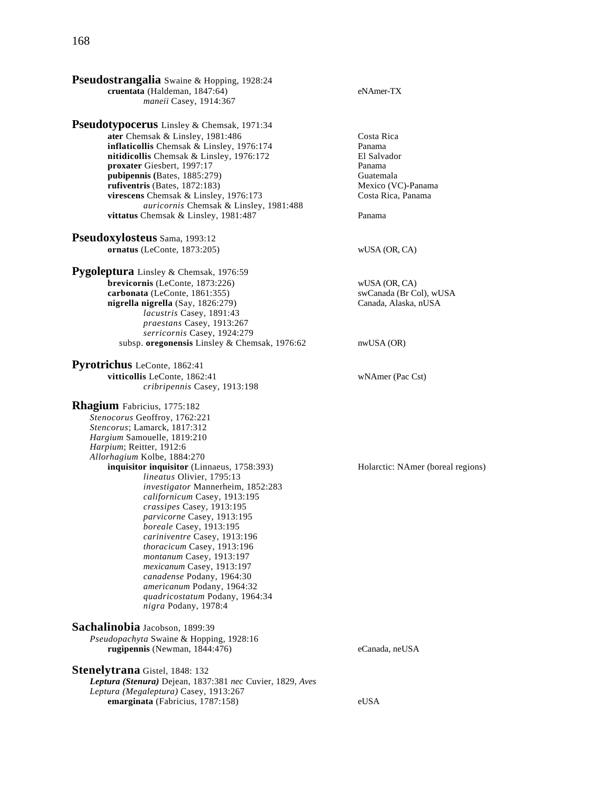| <b>Pseudostrangalia</b> Swaine & Hopping, 1928:24<br>cruentata (Haldeman, 1847:64)<br>maneii Casey, 1914:367                                                                                                                                                                                                                                                                                                                                                                                                                                                                                                                                                                                  | eNAmer-TX                                                                                                        |
|-----------------------------------------------------------------------------------------------------------------------------------------------------------------------------------------------------------------------------------------------------------------------------------------------------------------------------------------------------------------------------------------------------------------------------------------------------------------------------------------------------------------------------------------------------------------------------------------------------------------------------------------------------------------------------------------------|------------------------------------------------------------------------------------------------------------------|
| Pseudotypocerus Linsley & Chemsak, 1971:34<br>ater Chemsak & Linsley, 1981:486<br>inflaticollis Chemsak & Linsley, 1976:174<br>nitidicollis Chemsak & Linsley, 1976:172<br>proxater Giesbert, 1997:17<br>pubipennis (Bates, 1885:279)<br>rufiventris (Bates, 1872:183)<br>virescens Chemsak & Linsley, 1976:173<br>auricornis Chemsak & Linsley, 1981:488<br>vittatus Chemsak & Linsley, 1981:487                                                                                                                                                                                                                                                                                             | Costa Rica<br>Panama<br>El Salvador<br>Panama<br>Guatemala<br>Mexico (VC)-Panama<br>Costa Rica, Panama<br>Panama |
| Pseudoxylosteus Sama, 1993:12<br>ornatus (LeConte, 1873:205)                                                                                                                                                                                                                                                                                                                                                                                                                                                                                                                                                                                                                                  | wUSA (OR, CA)                                                                                                    |
| Pygoleptura Linsley & Chemsak, 1976:59<br>brevicornis (LeConte, 1873:226)<br>carbonata (LeConte, 1861:355)<br>nigrella nigrella (Say, 1826:279)<br>lacustris Casey, 1891:43<br>praestans Casey, 1913:267<br>serricornis Casey, 1924:279<br>subsp. oregonensis Linsley & Chemsak, 1976:62                                                                                                                                                                                                                                                                                                                                                                                                      | wUSA (OR, CA)<br>swCanada (Br Col), wUSA<br>Canada, Alaska, nUSA<br>nwUSA(OR)                                    |
| <b>Pyrotrichus</b> LeConte, 1862:41<br>vitticollis LeConte, 1862:41<br>cribripennis Casey, 1913:198                                                                                                                                                                                                                                                                                                                                                                                                                                                                                                                                                                                           | wNAmer (Pac Cst)                                                                                                 |
| <b>Rhagium</b> Fabricius, 1775:182<br>Stenocorus Geoffroy, 1762:221<br>Stencorus; Lamarck, 1817:312<br>Hargium Samouelle, 1819:210<br>Harpium; Reitter, 1912:6<br>Allorhagium Kolbe, 1884:270<br>inquisitor inquisitor (Linnaeus, 1758:393)<br><i>lineatus</i> Olivier, 1795:13<br>investigator Mannerheim, 1852:283<br>californicum Casey, 1913:195<br>crassipes Casey, 1913:195<br><i>parvicorne</i> Casey, 1913:195<br>boreale Casey, 1913:195<br>cariniventre Casey, 1913:196<br>thoracicum Casey, 1913:196<br>montanum Casey, 1913:197<br>mexicanum Casey, 1913:197<br>canadense Podany, 1964:30<br>americanum Podany, 1964:32<br>quadricostatum Podany, 1964:34<br>nigra Podany, 1978:4 | Holarctic: NAmer (boreal regions)                                                                                |
| Sachalinobia Jacobson, 1899:39<br>Pseudopachyta Swaine & Hopping, 1928:16<br>rugipennis (Newman, $1844:476$ )<br><b>Stenelytrana</b> Gistel, 1848: 132<br>Leptura (Stenura) Dejean, 1837:381 nec Cuvier, 1829, Aves                                                                                                                                                                                                                                                                                                                                                                                                                                                                           | eCanada, neUSA                                                                                                   |
| Leptura (Megaleptura) Casey, 1913:267<br>emarginata (Fabricius, 1787:158)                                                                                                                                                                                                                                                                                                                                                                                                                                                                                                                                                                                                                     | eUSA                                                                                                             |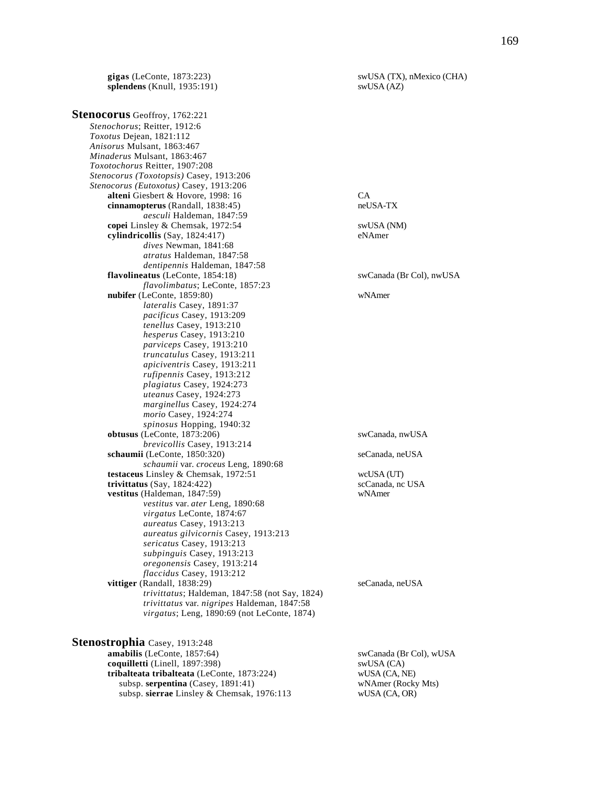**gigas** (LeConte, 1873:223) swUSA (TX), nMexico (CHA) splendens (Knull, 1935:191) swUSA (AZ) **splendens** (Knull, 1935:191)

**Stenocorus** Geoffroy, 1762:221 *Stenochorus*; Reitter, 1912:6 *Toxotus* Dejean, 1821:112 *Anisorus* Mulsant, 1863:467 *Minaderus* Mulsant, 1863:467 *Toxotochorus* Reitter, 1907:208 *Stenocorus (Toxotopsis)* Casey, 1913:206 *Stenocorus (Eutoxotus)* Casey, 1913:206 **alteni** Giesbert & Hovore, 1998: 16 CA<br> **cinnamopterus** (Randall, 1838:45) components are used to the neUSA-TX **cinnamopterus** (Randall, 1838:45) *aesculi* Haldeman, 1847:59 **copei** Linsley & Chemsak, 1972:54 swUSA (NM) **cylindricollis** (Say, 1824:417) eNAmer *dives* Newman, 1841:68 *atratus* Haldeman, 1847:58 *dentipennis* Haldeman, 1847:58 **flavolineatus** (LeConte, 1854:18) swCanada (Br Col), nwUSA *flavolimbatus*; LeConte, 1857:23 **nubifer** (LeConte, 1859:80) wNAmer *lateralis* Casey, 1891:37 *pacificus* Casey, 1913:209 *tenellus* Casey, 1913:210 *hesperus* Casey, 1913:210 *parviceps* Casey, 1913:210 *truncatulus* Casey, 1913:211 *apiciventris* Casey, 1913:211 *rufipennis* Casey, 1913:212 *plagiatus* Casey, 1924:273 *uteanus* Casey, 1924:273 *marginellus* Casey, 1924:274 *morio* Casey, 1924:274 *spinosus* Hopping, 1940:32 **obtusus** (LeConte, 1873:206) swCanada, nwUSA *brevicollis* Casey, 1913:214 **schaumii** (LeConte, 1850:320) seCanada, neUSA *schaumii* var. *croceus* Leng, 1890:68 **testaceus** Linsley & Chemsak, 1972:51 wcUSA (UT)<br> **trivittatus** (Say, 1824:422) scCanada, nc USA  $trivittatus (Say, 1824:422)$ **vestitus** (Haldeman, 1847:59) wNAmer *vestitus* var. *ater* Leng, 1890:68 *virgatus* LeConte, 1874:67 *aureatus* Casey, 1913:213 *aureatus gilvicornis* Casey, 1913:213 *sericatus* Casey, 1913:213 *subpinguis* Casey, 1913:213 *oregonensis* Casey, 1913:214 *flaccidus* Casey, 1913:212 **vittiger** (Randall, 1838:29) seCanada, neUSA *trivittatus*; Haldeman, 1847:58 (not Say, 1824) *trivittatus* var. *nigripes* Haldeman, 1847:58 *virgatus*; Leng, 1890:69 (not LeConte, 1874)

**Stenostrophia** Casey, 1913:248 **amabilis** (LeConte, 1857:64) swCanada (Br Col), wUSA **coquilletti** (Linell, 1897:398) swUSA (CA) **tribalteata tribalteata** (LeConte, 1873:224) wUSA (CA, NE)<br>subsp. serpentina (Casey, 1891:41) wNAmer (Rocky Mts) subsp. serpentina (Casey, 1891:41) subsp. **sierrae** Linsley & Chemsak, 1976:113 wUSA (CA, OR)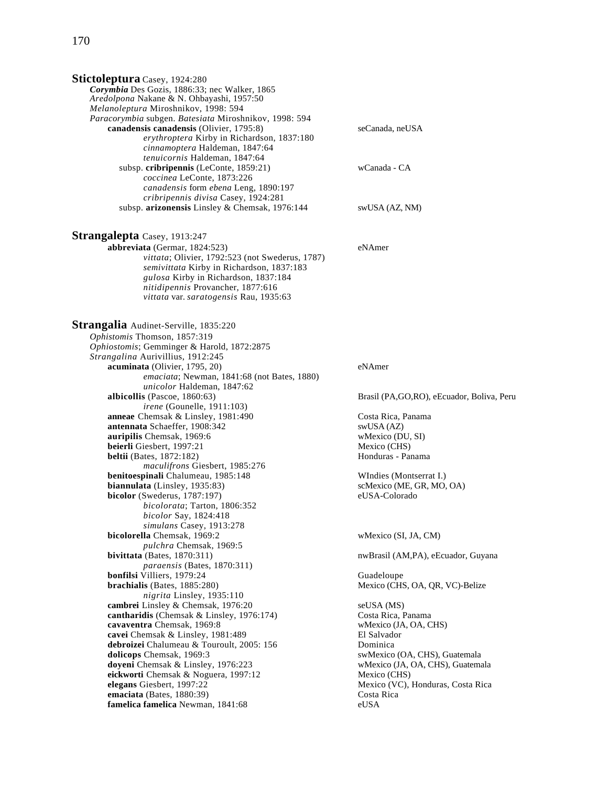| <b>Stictoleptura</b> Casey, 1924:280<br>Corymbia Des Gozis, 1886:33; nec Walker, 1865<br>Aredolpona Nakane & N. Ohbayashi, 1957:50<br>Melanoleptura Miroshnikov, 1998: 594                                                                           |                                             |
|------------------------------------------------------------------------------------------------------------------------------------------------------------------------------------------------------------------------------------------------------|---------------------------------------------|
| Paracorymbia subgen. Batesiata Miroshnikov, 1998: 594<br>canadensis canadensis (Olivier, 1795:8)<br>erythroptera Kirby in Richardson, 1837:180<br>cinnamoptera Haldeman, 1847:64<br>tenuicornis Haldeman, 1847:64                                    | seCanada, neUSA                             |
| subsp. cribripennis (LeConte, 1859:21)<br>coccinea LeConte, 1873:226<br>canadensis form ebena Leng, 1890:197<br>cribripennis divisa Casey, 1924:281                                                                                                  | wCanada - CA                                |
| subsp. arizonensis Linsley & Chemsak, 1976:144                                                                                                                                                                                                       | swUSA (AZ, NM)                              |
| <b>Strangalepta</b> Casey, 1913:247                                                                                                                                                                                                                  |                                             |
| abbreviata (Germar, 1824:523)<br>vittata; Olivier, 1792:523 (not Swederus, 1787)<br>semivittata Kirby in Richardson, 1837:183<br>gulosa Kirby in Richardson, 1837:184<br>nitidipennis Provancher, 1877:616<br>vittata var. saratogensis Rau, 1935:63 | eNAmer                                      |
| Strangalia Audinet-Serville, 1835:220                                                                                                                                                                                                                |                                             |
| Ophistomis Thomson, 1857:319                                                                                                                                                                                                                         |                                             |
| Ophiostomis; Gemminger & Harold, 1872:2875                                                                                                                                                                                                           |                                             |
| Strangalina Aurivillius, 1912:245                                                                                                                                                                                                                    |                                             |
| acuminata (Olivier, 1795, 20)                                                                                                                                                                                                                        | eNAmer                                      |
| emaciata; Newman, 1841:68 (not Bates, 1880)<br>unicolor Haldeman, 1847:62                                                                                                                                                                            |                                             |
| albicollis (Pascoe, 1860:63)                                                                                                                                                                                                                         | Brasil (PA, GO, RO), eEcuador, Boliva, Peru |
| <i>irene</i> (Gounelle, 1911:103)                                                                                                                                                                                                                    |                                             |
| anneae Chemsak & Linsley, 1981:490                                                                                                                                                                                                                   | Costa Rica, Panama                          |
| antennata Schaeffer, 1908:342                                                                                                                                                                                                                        | swUSA (AZ)                                  |
| auripilis Chemsak, 1969:6                                                                                                                                                                                                                            | wMexico (DU, SI)                            |
| beierli Giesbert, 1997:21                                                                                                                                                                                                                            | Mexico (CHS)                                |
| <b>beltii</b> (Bates, 1872:182)                                                                                                                                                                                                                      | Honduras - Panama                           |
| maculifrons Giesbert, 1985:276                                                                                                                                                                                                                       |                                             |
| benitoespinali Chalumeau, 1985:148                                                                                                                                                                                                                   | WIndies (Montserrat I.)                     |
| biannulata (Linsley, 1935:83)                                                                                                                                                                                                                        | scMexico (ME, GR, MO, OA)                   |
| bicolor (Swederus, 1787:197)                                                                                                                                                                                                                         | eUSA-Colorado                               |
| bicolorata; Tarton, 1806:352                                                                                                                                                                                                                         |                                             |
| <i>bicolor</i> Say, 1824:418                                                                                                                                                                                                                         |                                             |
| simulans Casey, 1913:278                                                                                                                                                                                                                             |                                             |
| bicolorella Chemsak, 1969:2                                                                                                                                                                                                                          | wMexico (SI, JA, CM)                        |
| pulchra Chemsak, 1969:5                                                                                                                                                                                                                              |                                             |
| bivittata (Bates, $1870:311$ )                                                                                                                                                                                                                       | nwBrasil (AM,PA), eEcuador, Guyana          |
| <i>paraensis</i> (Bates, 1870:311)                                                                                                                                                                                                                   |                                             |
| bonfilsi Villiers, 1979:24<br>brachialis (Bates, 1885:280)                                                                                                                                                                                           | Guadeloupe                                  |
| nigrita Linsley, 1935:110                                                                                                                                                                                                                            | Mexico (CHS, OA, QR, VC)-Belize             |
| cambrei Linsley & Chemsak, 1976:20                                                                                                                                                                                                                   | seUSA (MS)                                  |
| cantharidis (Chemsak & Linsley, 1976:174)                                                                                                                                                                                                            | Costa Rica, Panama                          |
| cavaventra Chemsak, 1969:8                                                                                                                                                                                                                           | wMexico (JA, OA, CHS)                       |
| cavei Chemsak & Linsley, 1981:489                                                                                                                                                                                                                    | El Salvador                                 |
| debroizei Chalumeau & Touroult, 2005: 156                                                                                                                                                                                                            | Dominica                                    |
| dolicops Chemsak, 1969:3                                                                                                                                                                                                                             | swMexico (OA, CHS), Guatemala               |
| doyeni Chemsak & Linsley, 1976:223                                                                                                                                                                                                                   | wMexico (JA, OA, CHS), Guatemala            |
| eickworti Chemsak & Noguera, 1997:12                                                                                                                                                                                                                 | Mexico (CHS)                                |
| elegans Giesbert, 1997:22                                                                                                                                                                                                                            | Mexico (VC), Honduras, Costa Rica           |
| emaciata (Bates, 1880:39)                                                                                                                                                                                                                            | Costa Rica                                  |
| famelica famelica Newman, 1841:68                                                                                                                                                                                                                    | eUSA                                        |
|                                                                                                                                                                                                                                                      |                                             |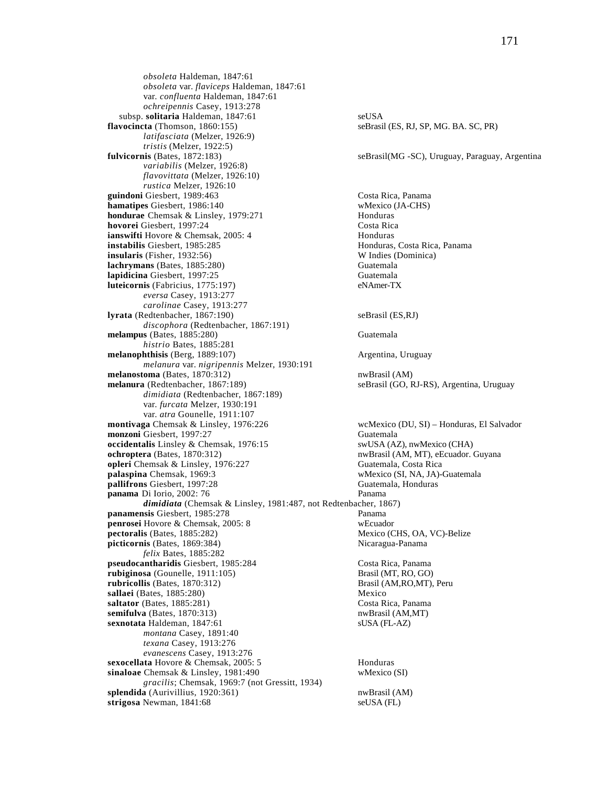*obsoleta* Haldeman, 1847:61 *obsoleta* var. *flaviceps* Haldeman, 1847:61 var. *confluenta* Haldeman, 1847:61 *ochreipennis* Casey, 1913:278 subsp. **solitaria** Haldeman, 1847:61<br> **vocincta** (Thomson, 1860:155) seBrasil (ES, RJ, SP, MG, BA, SC, PR) flavocincta (Thomson, 1860:155) *latifasciata* (Melzer, 1926:9) *tristis* (Melzer, 1922:5)<br>**fulvicornis** (Bates, 1872:183) *variabilis* (Melzer, 1926:8) *flavovittata* (Melzer, 1926:10) *rustica* Melzer, 1926:10 **guindoni** Giesbert, 1989:463 Costa Rica, Panama<br> **hamatipes** Giesbert, 1986:140 Costa Rica, Panama **hamatipes** Giesbert, 1986:140 **hondurae** Chemsak & Linsley, 1979:271 Honduras **hovorei** Giesbert, 1997:24 Costa Rica **ianswifti** Hovore & Chemsak, 2005: 4 **house Honduras**<br> **instabilis** Giesbert, 1985:285 **honduras**, Costa Rica, Panama **instabilis** Giesbert, 1985:285 **insularis** (Fisher, 1932:56) W Indies (Dominica) **lachrymans** (Bates, 1885:280) Guatemala **lapidicina** Giesbert, 1997:25 Guatemala **luteicornis** (Fabricius, 1775:197) eNAmer-TX *eversa* Casey, 1913:277 *carolinae* Casey, 1913:277 **lyrata** (Redtenbacher, 1867:190) seBrasil (ES,RJ) *discophora* (Redtenbacher, 1867:191) **melampus** (Bates, 1885:280) Guatemala *histrio* Bates, 1885:281 **melanophthisis** (Berg, 1889:107) Argentina, Uruguay *melanura* var. *nigripennis* Melzer, 1930:191 **melanostoma** (Bates, 1870:312) nwBrasil (AM) **melanura** (Redtenbacher, 1867:189) seBrasil (GO, RJ-RS), Argentina, Uruguay *dimidiata* (Redtenbacher, 1867:189) var. *furcata* Melzer, 1930:191 var. *atra* Gounelle, 1911:107 **montivaga** Chemsak & Linsley, 1976:226 wcMexico (DU, SI) – Honduras, El Salvador **monzoni** Giesbert, 1997:27 Guatemala **occidentalis** Linsley & Chemsak, 1976:15 swUSA (AZ), nwMexico (CHA) ochroptera (Bates, 1870:312) nwBrasil (AM, MT), eEcuador. **opleri** Chemsak & Linsley, 1976:227 Guatemala, Costa Rica<br> **palaspina** Chemsak, 1969:3 Wexico (SI, NA, JA) **pallifrons** Giesbert, 1997:28 Guatemala, Honduras **panama** Di Iorio, 2002: 76 Panama *dimidiata* (Chemsak & Linsley, 1981:487, not Redtenbacher, 1867) **panamensis** Giesbert, 1985:278 Panama **penrosei** Hovore & Chemsak, 2005: 8 wEcuador<br> **pectoralis** (Bates, 1885:282) Mexico (C **picticornis** (Bates, 1869:384) Nicaragua-Panama *felix* Bates, 1885:282 **pseudocantharidis** Giesbert, 1985:284 Costa Rica, Panama **rubiginosa** (Gounelle, 1911:105) Brasil (MT, RO, GO) **rubricollis** (Bates, 1870:312) Brasil (AM,RO,MT), Peru **sallaei** (Bates, 1885:280) Mexico **saltator** (Bates, 1885:281) Costa Rica, Panama **semifulva** (Bates, 1870:313) nwBrasil (AM,MT) **sexnotata** Haldeman, 1847:61 sUSA (FL-AZ) *montana* Casey, 1891:40 *texana* Casey, 1913:276 *evanescens* Casey, 1913:276 **sexocellata** Hovore & Chemsak, 2005: 5 Honduras **sinaloae** Chemsak & Linsley, 1981:490 wMexico (SI) *gracilis*; Chemsak, 1969:7 (not Gressitt, 1934) **splendida** (Aurivillius, 1920:361) nwBrasil (AM) **strigosa** Newman, 1841:68 seUSA (FL)

seBrasil(MG -SC), Uruguay, Paraguay, Argentina

nwBrasil (AM, MT), eEcuador. Guyana wMexico (SI, NA, JA)-Guatemala **Mexico (CHS, OA, VC)-Belize**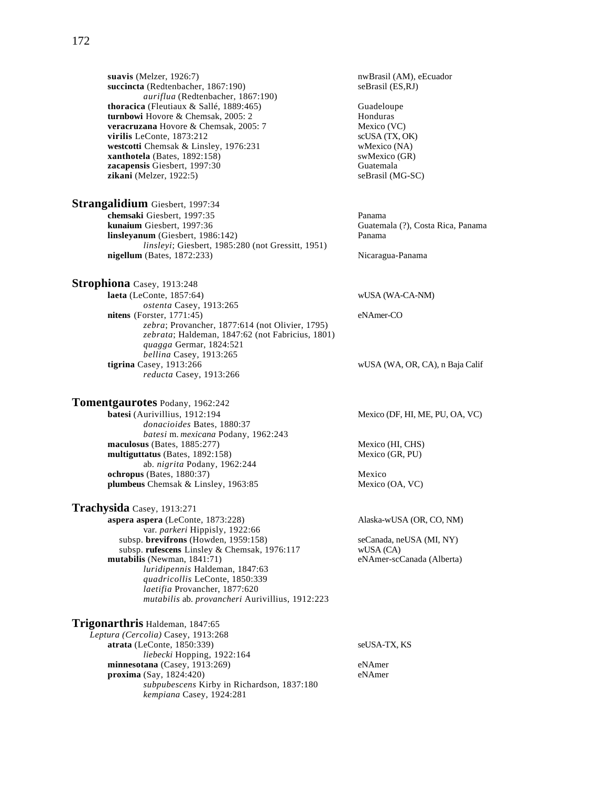**suavis** (Melzer, 1926:7)<br> **succincta** (Redtenbacher, 1867:190) **nwBrasil** (AM), eEcuador<br>
seBrasil (ES,RJ) succincta (Redtenbacher, 1867:190) *auriflua* (Redtenbacher, 1867:190) **thoracica** (Fleutiaux & Sallé, 1889:465) Guadeloupe<br> **turnbowi** Hovore & Chemsak, 2005: 2 **Change** Honduras **turnbowi** Hovore & Chemsak, 2005: 2 **honduras**<br> **the Veracruzana** Hovore & Chemsak, 2005: 7 **hexico** (VC) veracruzana Hovore & Chemsak, 2005: 7 **virilis** LeConte, 1873:212 scUSA (TX, OK)<br> **westcotti** Chemsak & Linsley, 1976:231 wMexico (NA) westcotti Chemsak & Linsley, 1976:231 **xanthotela** (Bates, 1892:158) swMexico (GR) **zacapensis** Giesbert, 1997:30<br> **zikani** (Melzer, 1922:5) SeBrasil (MG-SC)  $z$ ikani (Melzer, 1922:5)

**Strangalidium** Giesbert, 1997:34 **chemsaki** Giesbert, 1997:35 Panama **kunaium** Giesbert, 1997:36 Guatemala (?), Costa Rica, Panama **linsleyanum** (Giesbert, 1986:142) Panama *linsleyi*; Giesbert, 1985:280 (not Gressitt, 1951) nigellum (Bates, 1872:233) Nicaragua-Panama

**Strophiona** Casey, 1913:248 **laeta** (LeConte, 1857:64) wUSA (WA-CA-NM) *ostenta* Casey, 1913:265 **nitens** (Forster, 1771:45) eNAmer-CO *zebra*; Provancher, 1877:614 (not Olivier, 1795) *zebrata*; Haldeman, 1847:62 (not Fabricius, 1801) *quagga* Germar, 1824:521 *bellina* Casey, 1913:265 **tigrina** Casey, 1913:266 wUSA (WA, OR, CA), n Baja Calif *reducta* Casey, 1913:266

**Tomentgaurotes** Podany, 1962:242 **batesi** (Aurivillius, 1912:194 Mexico (DF, HI, ME, PU, OA, VC) *donacioides* Bates, 1880:37 *batesi* m. *mexicana* Podany, 1962:243 maculosus (Bates, 1885:277) Mexico (HI, CHS)<br> **multiguttatus** (Bates, 1892:158) Mexico (GR, PU)  $multiguttatus$  (Bates,  $1892:158$ ) ab. *nigrita* Podany, 1962:244 **ochropus** (Bates, 1880:37) Mexico<br> **plumbeus** Chemsak & Linsley, 1963:85 Mexico (OA, VC) plumbeus Chemsak & Linsley, 1963:85

**Trachysida** Casey, 1913:271 **aspera aspera** (LeConte, 1873:228) Alaska-wUSA (OR, CO, NM) var. *parkeri* Hippisly, 1922:66 subsp. **brevifrons** (Howden, 1959:158) seCanada, neUSA (MI, NY)<br>subsp. **rufescens** Linsley & Chemsak. 1976:117 wUSA (CA) subsp. rufescens Linsley & Chemsak, 1976:117 **mutabilis** (Newman, 1841:71) eNAmer-scCanada (Alberta) *luridipennis* Haldeman, 1847:63 *quadricollis* LeConte, 1850:339 *laetifia* Provancher, 1877:620 *mutabilis* ab. *provancheri* Aurivillius, 1912:223

**Trigonarthris** Haldeman, 1847:65 *Leptura (Cercolia)* Casey, 1913:268 **atrata** (LeConte, 1850:339) seUSA-TX, KS *liebecki* Hopping, 1922:164 **minnesotana** (Casey, 1913:269) eNAmer **proxima** (Say, 1824:420) eNAmer *subpubescens* Kirby in Richardson, 1837:180 *kempiana* Casey, 1924:281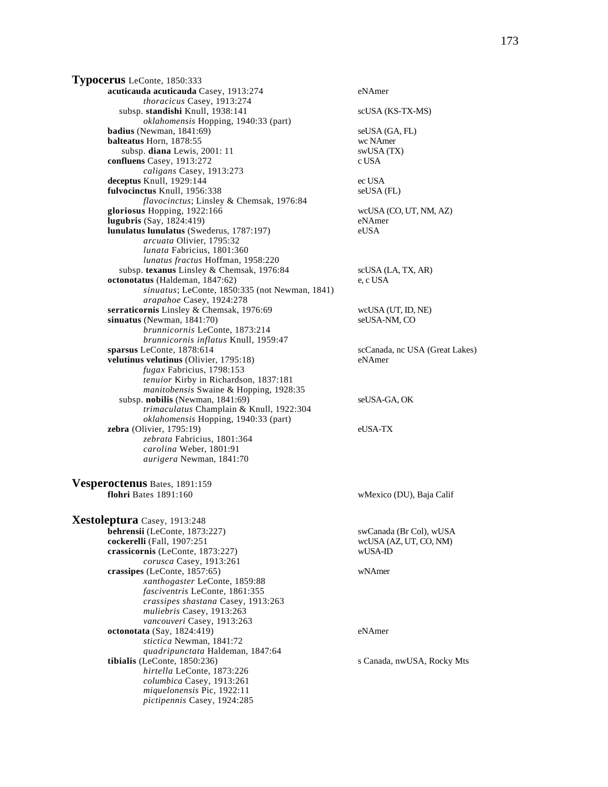**Typocerus** LeConte, 1850:333 **acuticauda acuticauda** Casey, 1913:274 eNAmer *thoracicus* Casey, 1913:274 subsp. **standishi** Knull, 1938:141 scUSA (KS-TX-MS) *oklahomensis* Hopping, 1940:33 (part) **badius** (Newman, 1841:69) seUSA (GA, FL) **balteatus** Horn, 1878:55 wc NAmer subsp. **diana** Lewis, 2001: 11 swUSA (TX) **confluens** Casey, 1913:272 c USA *caligans* Casey, 1913:273 **deceptus** Knull, 1929:144 ec USA **fulvocinctus** Knull, 1956:338 seUSA (FL) *flavocinctus*; Linsley & Chemsak, 1976:84 **gloriosus** Hopping, 1922:166 wcUSA (CO, UT, NM, AZ) **lugubris** (Say, 1824:419) eNAmer **lunulatus lunulatus** (Swederus, 1787:197) eUSA *arcuata* Olivier, 1795:32 *lunata* Fabricius, 1801:360 *lunatus fractus* Hoffman, 1958:220 subsp. **texanus** Linsley & Chemsak, 1976:84 scUSA (LA, TX, AR) **octonotatus** (Haldeman, 1847:62) e, c USA *sinuatus*; LeConte, 1850:335 (not Newman, 1841) *arapahoe* Casey, 1924:278 **serraticornis** Linsley & Chemsak, 1976:69 wcUSA (UT, ID, NE) **sinuatus** (Newman, 1841:70) seUSA-NM, CO *brunnicornis* LeConte, 1873:214 *brunnicornis inflatus* Knull, 1959:47 **velutinus velutinus** (Olivier, 1795:18) eNAmer *fugax* Fabricius, 1798:153 *tenuior* Kirby in Richardson, 1837:181 *manitobensis* Swaine & Hopping, 1928:35 subsp. **nobilis** (Newman, 1841:69) seUSA-GA, OK *trimaculatus* Champlain & Knull, 1922:304 *oklahomensis* Hopping, 1940:33 (part) **zebra** (Olivier, 1795:19) eUSA-TX *zebrata* Fabricius, 1801:364 *carolina* Weber, 1801:91 *aurigera* Newman, 1841:70 **Vesperoctenus** Bates, 1891:159 **flohri** Bates 1891:160 wMexico (DU), Baja Calif **Xestoleptura** Casey, 1913:248 **behrensii** (LeConte, 1873:227) swCanada (Br Col), wUSA **cockerelli** (Fall, 1907:251 wcUSA (AZ, UT, CO, NM)<br> **crassicornis** (LeConte, 1873:227) wUSA-ID crassicornis (LeConte, 1873:227) *corusca* Casey, 1913:261 **crassipes** (LeConte, 1857:65) wNAmer *xanthogaster* LeConte, 1859:88 *fasciventris* LeConte, 1861:355 *crassipes shastana* Casey, 1913:263 *muliebris* Casey, 1913:263

*vancouveri* Casey, 1913:263

*quadripunctata* Haldeman, 1847:64

*stictica* Newman, 1841:72

*hirtella* LeConte, 1873:226 *columbica* Casey, 1913:261 *miquelonensis* Pic, 1922:11 *pictipennis* Casey, 1924:285

scCanada, nc USA (Great Lakes) **octonotata** (Say, 1824:419) eNAmer

**tibialis** (LeConte, 1850:236) s Canada, nwUSA, Rocky Mts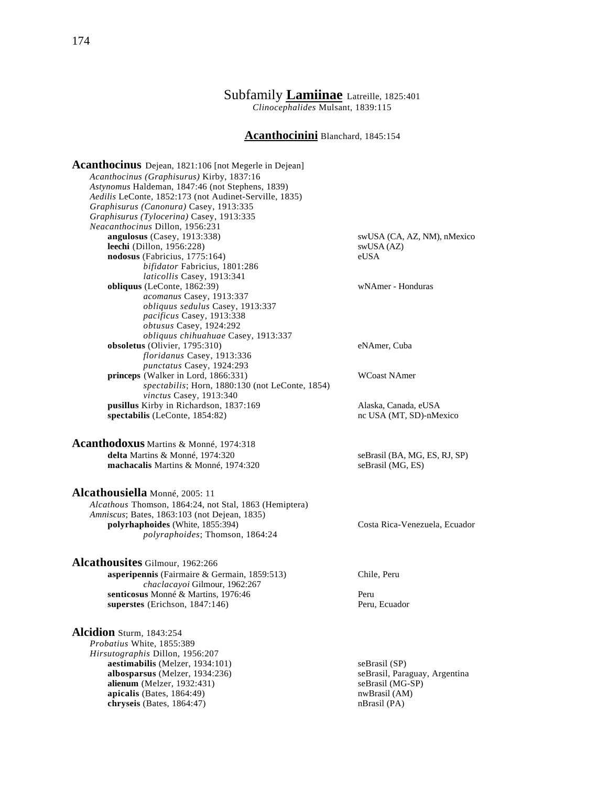# Subfamily **Lamiinae** Latreille, 1825:401

*Clinocephalides* Mulsant, 1839:115

#### **Acanthocinini** Blanchard, 1845:154

**Acanthocinus** Dejean, 1821:106 [not Megerle in Dejean] *Acanthocinus (Graphisurus)* Kirby, 1837:16 *Astynomus* Haldeman, 1847:46 (not Stephens, 1839) *Aedilis* LeConte, 1852:173 (not Audinet-Serville, 1835) *Graphisurus (Canonura)* Casey, 1913:335 *Graphisurus (Tylocerina)* Casey, 1913:335 *Neacanthocinus* Dillon, 1956:231 **leechi** (Dillon, 1956:228) swUSA (AZ) **nodosus** (Fabricius, 1775:164) eUSA *bifidator* Fabricius, 1801:286  *laticollis* Casey, 1913:341 **obliquus** (LeConte, 1862:39) wNAmer - Honduras *acomanus* Casey, 1913:337 *obliquus sedulus* Casey, 1913:337 *pacificus* Casey, 1913:338 *obtusus* Casey, 1924:292 *obliquus chihuahuae* Casey, 1913:337 **obsoletus** (Olivier, 1795:310) eNAmer, Cuba *floridanus* Casey, 1913:336 *punctatus* Casey, 1924:293 **princeps** (Walker in Lord, 1866:331) WCoast NAmer *spectabilis*; Horn, 1880:130 (not LeConte, 1854) *vinctus* Casey, 1913:340 **pusillus** Kirby in Richardson, 1837:169<br> **pusillus** Alaska, Canada, eUSA<br>
pectabilis (LeConte, 1854:82)<br>
pusico and CUSA (MT, SD)-nMexico spectabilis (LeConte, 1854:82)

**Acanthodoxus** Martins & Monné, 1974:318 **delta** Martins & Monné, 1974:320<br> **machacalis** Martins & Monné, 1974:320<br>
seBrasil (MG, ES)<br>
seBrasil (MG, ES) machacalis Martins & Monné, 1974:320

**Alcathousiella** Monné, 2005: 11 *Alcathous* Thomson, 1864:24, not Stal, 1863 (Hemiptera) *Amniscus*; Bates, 1863:103 (not Dejean, 1835) **polyrhaphoides** (White, 1855:394) Costa Rica-Venezuela, Ecuador *polyraphoides*; Thomson, 1864:24

**Alcathousites** Gilmour, 1962:266 **asperipennis** (Fairmaire & Germain, 1859:513) Chile, Peru *chaclacayoi* Gilmour, 1962:267 **senticosus** Monné & Martins, 1976:46 Peru **superstes** (Erichson, 1847:146) Peru, Ecuador

**Alcidion** Sturm, 1843:254 *Probatius* White, 1855:389 *Hirsutographis* Dillon, 1956:207 **aestimabilis** (Melzer, 1934:101) seBrasil (SP) **albosparsus** (Melzer, 1934:236) seBrasil, Paraguay, Argentina<br> **alienum** (Melzer, 1932:431) seBrasil (MG-SP) **alienum** (Melzer, 1932:431) **apicalis** (Bates, 1864:49) nwBrasil (AM) nwBrasil (AM) networks (Bates, 1864:47) chryseis (Bates, 1864:47)

swUSA (CA, AZ, NM), nMexico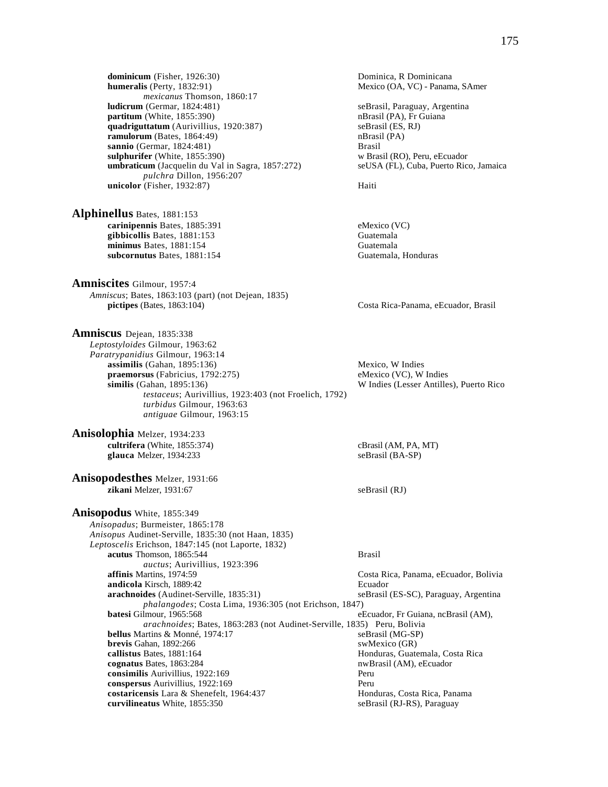**dominicum** (Fisher, 1926:30) Dominica, R Dominicana<br> **humeralis** (Perty, 1832:91) Mexico (OA, VC) - Panam *mexicanus* Thomson, 1860:17 **ludicrum** (Germar, 1824:481) seBrasil, Paraguay, Argentina<br> **partitum** (White, 1855:390) seBrasil (PA), Fr Guiana **partitum** (White, 1855:390)<br> **quadriguttatum** (Aurivillius, 1920:387) **nBrasil (PA), Fr Guiana** (ES, RJ) quadriguttatum (Aurivillius, 1920:387) **ramulorum** (Bates, 1864:49) nBrasil (PA) **sannio** (Germar, 1824:481) Brasil **sulphurifer** (White, 1855:390) w Brasil (RO), Peru, eEcuador **umbraticum** (Jacquelin du Val in Sagra, 1857:272) seUSA (FL), Cuba, Puerto Rico, Jamaica *pulchra* Dillon, 1956:207 **unicolor** (Fisher, 1932:87) Haiti

**Alphinellus** Bates, 1881:153 **carinipennis** Bates, 1885:391 eMexico (VC) **gibbicollis** Bates, 1881:153 Guatemala<br> **gibbicollis** Bates, 1881:154 Guatemala minimus Bates, 1881:154 **subcornutus** Bates, 1881:154 Guatemala, Honduras

**Amniscites** Gilmour, 1957:4 *Amniscus*; Bates, 1863:103 (part) (not Dejean, 1835)

**Amniscus** Dejean, 1835:338 *Leptostyloides* Gilmour, 1963:62 *Paratrypanidius* Gilmour, 1963:14 **assimilis** (Gahan, 1895:136) Mexico, W Indies **praemorsus** (Fabricius, 1792:275) eMexico (VC), W Indies **similis** (Gahan, 1895:136) W Indies (Lesser Antilles), Puerto Rico *testaceus*; Aurivillius, 1923:403 (not Froelich, 1792) *turbidus* Gilmour, 1963:63  *antiguae* Gilmour, 1963:15

**Anisolophia** Melzer, 1934:233 **cultrifera** (White, 1855:374) cBrasil (AM, PA, MT)  **glauca** Melzer, 1934:233 seBrasil (BA-SP)

**Anisopodesthes** Melzer, 1931:66 **zikani** Melzer, 1931:67 seBrasil (RJ)

**Anisopodus** White, 1855:349 *Anisopadus*; Burmeister, 1865:178 *Anisopus* Audinet-Serville, 1835:30 (not Haan, 1835) *Leptoscelis* Erichson, 1847:145 (not Laporte, 1832) **acutus** Thomson, 1865:544 Brasil *auctus*; Aurivillius, 1923:396 **affinis** Martins, 1974:59 **Costa Rica, Panama, eEcuador, Bolivia andicola** Kirsch, 1889:42 Ecuador **arachnoides** (Audinet-Serville, 1835:31) seBrasil (ES-SC), Paraguay, Argentina *phalangodes*; Costa Lima, 1936:305 (not Erichson, 1847) **batesi** Gilmour, 1965:568 eEcuador, Fr Guiana, ncBrasil (AM), *arachnoides*; Bates, 1863:283 (not Audinet-Serville, 1835) Peru, Bolivia **bellus** Martins & Monné, 1974:17 seBrasil (MG-SP) **brevis** Gahan, 1892:266 swMexico (GR) **callistus** Bates, 1881:164 **Honduras**, Guatemala, Costa Rica **cognatus** Bates, 1863:284 **nwBrasil (AM), eEcuador** nwBrasil (AM), eEcuador **consimilis** Aurivillius, 1922:169 Peru **conspersus** Aurivillius, 1922:169 Peru **costaricensis** Lara & Shenefelt, 1964:437 **Honduras, Costa Rica, Panama**<br>**curvilineatus** White, 1855:350 **Exercía Exercía Exercía Exercía Exercía Exercía Exercía e Brasil (RJ-RS), Paraguay curvilineatus** White, 1855:350

Mexico (OA, VC) - Panama, SAmer

**pictipes** (Bates, 1863:104) Costa Rica-Panama, eEcuador, Brasil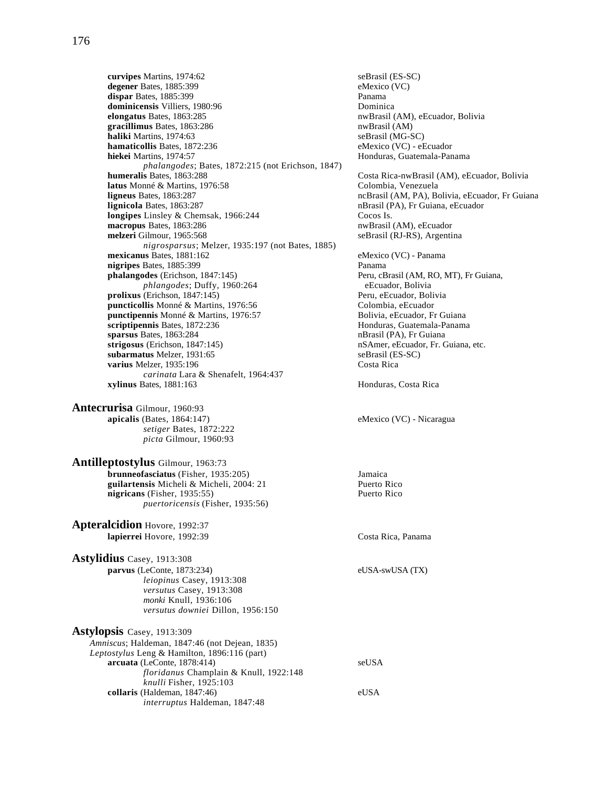**curvipes** Martins, 1974:62<br> **degener** Bates, 1885:399<br> **comparent Bates**, 1885:399<br> **comparent Bates**, 1885:399 **degener** Bates, 1885:399 **dispar Bates, 1885:399 Panama dominicensis** Villiers, 1980:96 **Dominica**<br> **elongatus** Bates, 1863:285 **Dominica**<br>
nwBrasil ( gracillimus Bates, 1863:286 **haliki** Martins, 1974:63<br> **hamaticollis** Bates, 1872:236 **bamaticollis** Bates, 1872:236 **bamaticollis** Bates, 1872:236 **hamaticollis Bates, 1872:236 hiekei** Martins, 1974:57 **hiekei Martins, 1974:57 Honduras, Guatemala-Panama** *phalangodes*; Bates, 1872:215 (not Erichson, 1847) **latus** Monné & Martins, 1976:58 Colombia, Venezuela **ligneus** Bates, 1863:287 **ncBrasil (AM, PA), Bolivia, eEcuador**, Fr Guiana<br> **lignicola** Bates, 1863:287 **ncBrasil (PA), Fr Guiana, eEcuador longipes** Linsley & Chemsak, 1966:244 Cocos Is. **macropus** Bates, 1863:286 nwBrasil (AM), eEcuador **melzeri** Gilmour, 1965:568 seBrasil (RJ-RS), Argentina *nigrosparsus*; Melzer, 1935:197 (not Bates, 1885) **mexicanus** Bates, 1881:162 eMexico (VC) - Panama **nigripes** Bates, 1885:399 Panama **phalangodes** (Erichson, 1847:145) Peru, cBrasil (AM, RO, MT), Fr Guiana, *phlangodes*; Duffy, 1960:264 eEcuador, Bolivia<br>
(Erichson, 1847:145) eeru, eEcuador, Bolivia **prolixus** (Erichson, 1847:145)<br> **puncticollis** Monné & Martins, 1976:56 **Peru, example 2016** Colombia, eEcuador puncticollis Monné & Martins, 1976:56 **punctipennis** Monné & Martins, 1976:57 Bolivia, eEcuador, Fr Guiana **scriptipennis** Bates, 1872:236 **Honduras, Guatemala-Panama sparsus Bates, 1863:284** nBrasil (PA), Fr Guiana **strigosus** (Erichson, 1847:145) **nSAmer, eEcuador, Fr. Guiana, etc.**<br> **subarmatus** Melzer, 1931:65 **blue** seBrasil (ES-SC) subarmatus Melzer, 1931:65 **varius** Melzer, 1935:196 Costa Rica *carinata* Lara & Shenafelt, 1964:437 **xylinus** Bates, 1881:163 **Honduras**, Costa Rica

**Antecrurisa** Gilmour, 1960:93 **apicalis** (Bates, 1864:147) eMexico (VC) - Nicaragua *setiger* Bates, 1872:222 *picta* Gilmour, 1960:93

**Antilleptostylus** Gilmour, 1963:73 **brunneofasciatus** (Fisher, 1935:205) **Jamaica**<br> **brunneofasciatus** (Fisher, 1935:205) **Jamaica**<br> **brunneofasciatus** Micheli 2004: 21 guilartensis Micheli & Micheli, 2004: 21 **nigricans** (Fisher, 1935:55) Puerto Rico *puertoricensis* (Fisher, 1935:56)

**Apteralcidion** Hovore, 1992:37 **lapierrei** Hovore, 1992:39 Costa Rica, Panama

**Astylidius** Casey, 1913:308 **parvus** (LeConte, 1873:234) eUSA-swUSA (TX) *leiopinus* Casey, 1913:308 *versutus* Casey, 1913:308  *monki* Knull, 1936:106  *versutus downiei* Dillon, 1956:150

| <b>Astylopsis</b> Casey, 1913:309                      |       |
|--------------------------------------------------------|-------|
| <i>Amniscus</i> ; Haldeman, 1847:46 (not Dejean, 1835) |       |
| <i>Leptostylus</i> Leng & Hamilton, 1896:116 (part)    |       |
| $arcuata$ (LeConte, 1878:414)                          | seUSA |
| floridanus Champlain & Knull, 1922:148                 |       |
| knulli Fisher, 1925:103                                |       |
| collaris (Haldeman, 1847:46)                           | eUSA  |
| <i>interruptus</i> Haldeman, 1847:48                   |       |

nwBrasil (AM), eEcuador, Bolivia<br>nwBrasil (AM)

Costa Rica-nwBrasil (AM), eEcuador, Bolivia **lignicola** Bates, 1863:287 nBrasil (PA), Fr Guiana, eEcuador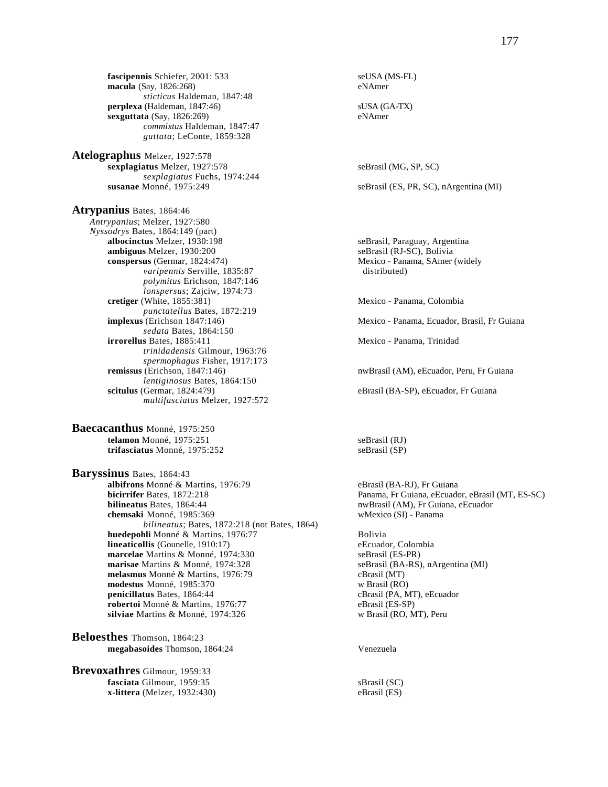**fascipennis** Schiefer, 2001: 533 seUSA (MS-FL)<br> **macula** (Say, 1826:268) eNAmer **macula** (Say, 1826:268) *sticticus* Haldeman, 1847:48 **perplexa** (Haldeman, 1847:46) subsets and subsets subsets of the subsets of the subsets of the subsets of the subsets of the subsets of the subsets of the subsets of the subsets of the subsets of the subsets of the subset **sexguttata** (Say, 1826:269) *commixtus* Haldeman, 1847:47  *guttata*; LeConte, 1859:328

**Atelographus** Melzer, 1927:578 **sexplagiatus** Melzer, 1927:578 seBrasil (MG, SP, SC) *sexplagiatus* Fuchs, 1974:244 **susanae** Monné, 1975:249 seBrasil (ES, PR, SC), nArgentina (MI)

**Atrypanius** Bates, 1864:46 *Antrypanius*; Melzer, 1927:580 *Nyssodrys* Bates, 1864:149 (part) **albocinctus** Melzer, 1930:198 seBrasil, Paraguay, Argentina **ambiguus** Melzer, 1930:200 seBrasil (RJ-SC), Bolivia **conspersus** (Germar, 1824:474) Mexico - Panama, SAmer (widely *varipennis* Serville, 1835:87 distributed) *polymitus* Erichson, 1847:146 *lonspersus*; Zajciw, 1974:73 **cretiger** (White, 1855:381) Mexico - Panama, Colombia *punctatellus* Bates, 1872:219 **implexus** (Erichson 1847:146) Mexico - Panama, Ecuador, Brasil, Fr Guiana *sedata* Bates, 1864:150 **irrorellus** Bates, 1885:411 Mexico - Panama, Trinidad *trinidadensis* Gilmour, 1963:76 *spermophagus Fisher, 1917:173*<br>**remissus** (Erichson, 1847:146) *lentiginosus* Bates, 1864:150 **scitulus** (Germar, 1824:479) **eBrasil (BA-SP), eEcuador, Fr Guiana** *multifasciatus* Melzer, 1927:572

**Baecacanthus** Monné, 1975:250 **telamon** Monné, 1975:251 seBrasil (RJ) **trifasciatus** Monné, 1975:252 seBrasil (SP)

**Baryssinus** Bates, 1864:43 **albifrons** Monné & Martins, 1976:79 eBrasil (BA-RJ), Fr Guiana<br> **bicirrifer** Bates, 1872:218 **eBrasil (BA-RI), Panama, Fr Guiana, eEcuado bicirrifer** Bates, 1872:218 **Panama, Fr Guiana, eEcuador, eBrasil (MT, ES-SC)**<br> **bilineatus** Bates, 1864:44 **Panama, except and Science Areas** Research Must and Must always nuclear and Must and **chemsaki** Monné, 1985:369 wMexico (SI) - Panama *bilineatus*; Bates, 1872:218 (not Bates, 1864) **huedepohli** Monné & Martins, 1976:77 Bolivia **lineaticollis** (Gounelle, 1910:17)<br> **marcelae** Martins & Monné. 1974:330<br>
seBrasil (ES-PR) marcelae Martins & Monné, 1974:330<br> **marisae** Martins & Monné, 1974:328<br>
seBrasil (BA-RS), nArgentina (MI) **marisae** Martins & Monné, 1974:328 **melasmus** Monné & Martins, 1976:79 cBrasil (MT)<br> **modestus** Monné, 1985:370 v Brasil (RO) modestus Monné, 1985:370 **penicillatus** Bates, 1864:44 cBrasil (PA, MT), eEcuador **robertoi** Monné & Martins, 1976:77<br> **silviae** Martins & Monné, 1974:326<br> **robertoi** Wartins & Monné, 1974:326<br> **robertoi** Wartins & Monné, 1974:326 silviae Martins & Monné, 1974:326

**Beloesthes** Thomson, 1864:23 **megabasoides** Thomson, 1864:24 Venezuela

**Brevoxathres** Gilmour, 1959:33 **fasciata** Gilmour, 1959:35 sBrasil (SC) **x-littera** (Melzer, 1932:430) eBrasil (ES)

nwBrasil (AM), eEcuador, Peru, Fr Guiana

nwBrasil (AM), Fr Guiana, eEcuador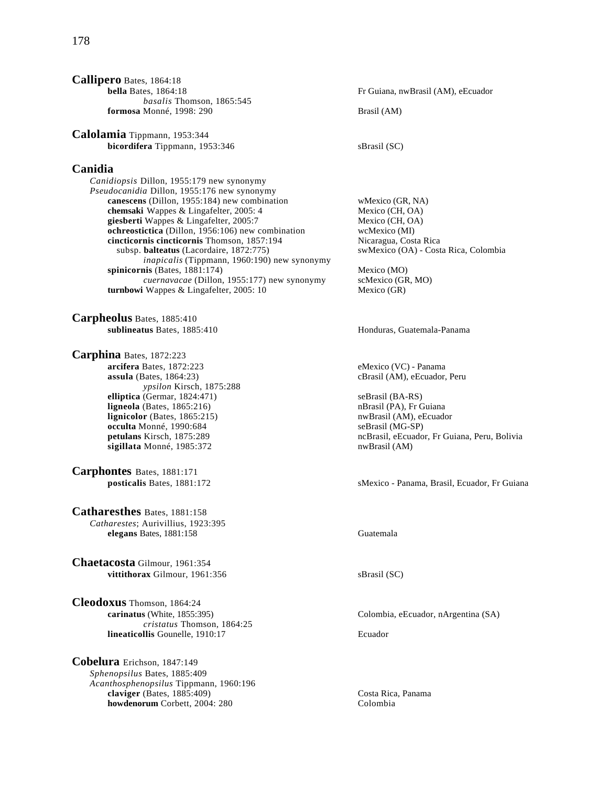| Callipero Bates, 1864:18         |
|----------------------------------|
| <b>bella</b> Bates, $1864:18$    |
| <i>basalis</i> Thomson, 1865:545 |
| formosa Monné, 1998: 290         |

**Calolamia** Tippmann, 1953:344 **bicordifera** Tippmann, 1953:346 sBrasil (SC)

# **Canidia**

*Canidiopsis* Dillon, 1955:179 new synonymy *Pseudocanidia* Dillon, 1955:176 new synonymy **canescens** (Dillon, 1955:184) new combination wMexico (GR, NA) **chemsaki** Wappes & Lingafelter, 2005: 4 Mexico (CH, OA)<br> **piesberti** Wappes & Lingafelter. 2005:7 Mexico (CH, OA) giesberti Wappes & Lingafelter, 2005:7 **ochreostictica** (Dillon, 1956:106) new combination wcMexico (MI) **cincticornis cincticornis** Thomson, 1857:194 Nicaragua, Costa Rica<br>subsp. **balteatus** (Lacordaire, 1872:775) sweets of OA) - Costa Rica, Colombia subsp. **balteatus** (Lacordaire, 1872:775) *inapicalis* (Tippmann, 1960:190) new synonymy **spinicornis** (Bates, 1881:174) Mexico (MO)<br> *cuernavacae* (Dillon, 1955:177) new synonymy scMexico (GR, MO) *cuernavacae* (Dillon, 1955:177) new synonymy **turnbowi** Wappes & Lingafelter, 2005: 10 Mexico (GR)

**Carpheolus** Bates, 1885:410 **sublineatus** Bates, 1885:410 **Honduras, Guatemala-Panama** 

**Carphina** Bates, 1872:223 **arcifera** Bates, 1872:223 eMexico (VC) - Panama<br> **assula** (Bates, 1864:23) cBrasil (AM), eEcuador, *ypsilon* Kirsch, 1875:288 **elliptica** (Germar, 1824:471) seBrasil (BA-RS) **ligneola** (Bates, 1865:216) **nb**rasil (PA), Fr Guiana **lignicolor** (Bates, 1865:215) **nwBrasil (AM), eEcuador occulta** Monné, 1990:684 **b color color seBrasil (MG-SP)** occulta Monné, 1990:684<br>petulans Kirsch, 1875:289 **sigillata** Monné, 1985:372 nwBrasil (AM)

**Carphontes** Bates, 1881:171

**Catharesthes** Bates, 1881:158 *Catharestes*; Aurivillius, 1923:395 **elegans** Bates, 1881:158 Guatemala

**Chaetacosta** Gilmour, 1961:354 **vittithorax** Gilmour, 1961:356 sBrasil (SC)

**Cleodoxus** Thomson, 1864:24 **carinatus** (White, 1855:395) Colombia, eEcuador, nArgentina (SA) *cristatus* Thomson, 1864:25 **lineaticollis** Gounelle, 1910:17 Ecuador

**Cobelura** Erichson, 1847:149 *Sphenopsilus* Bates, 1885:409 *Acanthosphenopsilus* Tippmann, 1960:196 **claviger** (Bates, 1885:409)<br> **costa Rica, Panama**<br> **howdenorum** Corbett. 2004: 280 **howdenorum** Corbett, 2004: 280

Fr Guiana, nwBrasil (AM), eEcuador **formal**  $(AM)$ 

cBrasil (AM), eEcuador, Peru

ncBrasil, eEcuador, Fr Guiana, Peru, Bolivia

**posticalis** Bates, 1881:172 sMexico - Panama, Brasil, Ecuador, Fr Guiana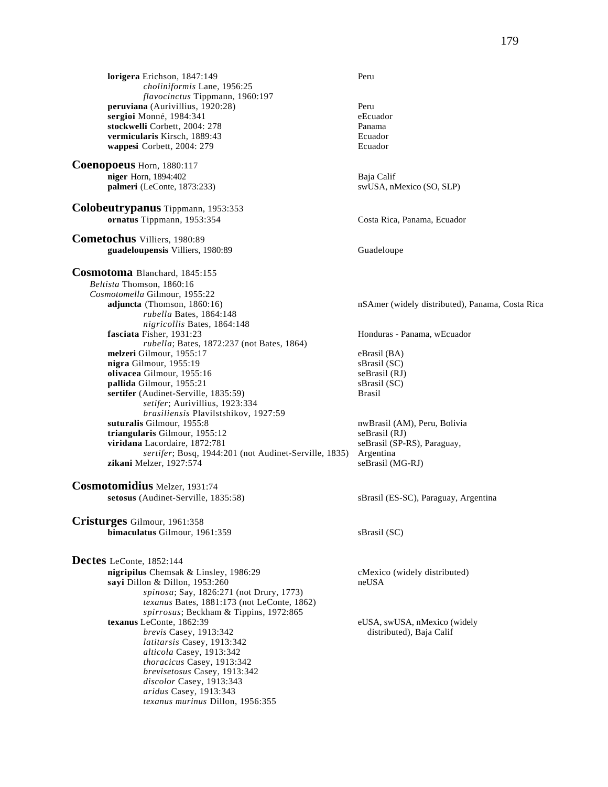**lorigera** Erichson, 1847:149 Peru *choliniformis* Lane, 1956:25 *flavocinctus* Tippmann, 1960:197 **peruviana** (Aurivillius, 1920:28)<br> **peruviana** (Aurivillius, 1920:28)<br> **explores to the explorer of the explorer of the explorer of the explorer of the explorer of the explorer of the explorer of the explorer of the explo sergioi** Monné, 1984:341<br> **stockwelli** Corbett. 2004: 278 stockwelli Corbett, 2004: 278 **vermicularis** Kirsch, 1889:43 Ecuador **wappesi** Corbett, 2004: 279 Ecuador **Coenopoeus** Horn, 1880:117 **niger** Horn, 1894:402 Baja Calif **palmeri** (LeConte, 1873:233) swUSA, nMexico (SO, SLP) **Colobeutrypanus** Tippmann, 1953:353 **ornatus** Tippmann, 1953:354 Costa Rica, Panama, Ecuador **Cometochus** Villiers, 1980:89 guadeloupensis Villiers, 1980:89 Guadeloupe **Cosmotoma** Blanchard, 1845:155 *Beltista* Thomson, 1860:16 *Cosmotomella* Gilmour, 1955:22 **adjuncta** (Thomson, 1860:16) **nSAmer** (widely distributed), Panama, Costa Rica *rubella* Bates, 1864:148 *nigricollis* Bates, 1864:148<br>**fasciata** Fisher, 1931:23 *rubella*; Bates, 1872:237 (not Bates, 1864) **melzeri** Gilmour, 1955:17 eBrasil (BA) **nigra** Gilmour, 1955:19<br> **olivacea** Gilmour, 1955:16<br>
seBrasil (RJ) **olivacea** Gilmour, 1955:16 **pallida** Gilmour, 1955:21 sBrasil (SC) **sertifer** (Audinet-Serville, 1835:59) Brasil *setifer*; Aurivillius, 1923:334 *brasiliensis* Plavilstshikov, 1927:59 **triangularis** Gilmour, 1955:12 seBrasil (RJ) **viridana** Lacordaire, 1872:781 seBrasil (SP-RS), Paraguay, *sertifer*; Bosq, 1944:201 (not Audinet-Serville, 1835) Argentina  $z$ ikani Melzer, 1927:574 **Cosmotomidius** Melzer, 1931:74 **setosus** (Audinet-Serville, 1835:58) sBrasil (ES-SC), Paraguay, Argentina **Cristurges** Gilmour, 1961:358 **bimaculatus** Gilmour, 1961:359 sBrasil (SC) **Dectes** LeConte, 1852:144 **nigripilus** Chemsak & Linsley, 1986:29 cMexico (widely distributed) **sayi** Dillon & Dillon, 1953:260 neUSA *spinosa*; Say, 1826:271 (not Drury, 1773) *texanus* Bates, 1881:173 (not LeConte, 1862) *spirrosus*; Beckham & Tippins, 1972:865 **texanus** LeConte, 1862:39 eUSA, swUSA, nMexico (widely *brevis* Casey, 1913:342 distributed), Baja Calif *latitarsis* Casey, 1913:342 *alticola* Casey, 1913:342 *thoracicus* Casey, 1913:342 *brevisetosus* Casey, 1913:342 *discolor* Casey, 1913:343

*aridus* Casey, 1913:343

*texanus murinus* Dillon, 1956:355

**fasciata** Fisher, 1931:23 Honduras - Panama, wEcuador nwBrasil (AM), Peru, Bolivia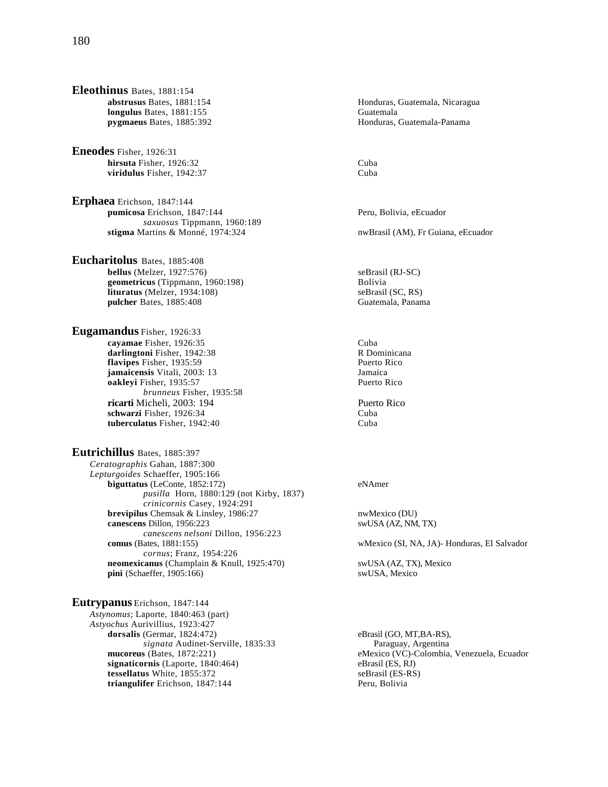- **Eleothinus** Bates, 1881:154 **longulus** Bates, 1881:155 Guatemala
- **Eneodes** Fisher, 1926:31 **hirsuta** Fisher, 1926:32 Cuba **viridulus** Fisher, 1942:37 Cuba
- **Erphaea** Erichson, 1847:144 **pumicosa** Erichson, 1847:144 **Peru, Bolivia, eEcuador** Peru, Bolivia, eEcuador *saxuosus* Tippmann, 1960:189 **stigma** Martins & Monné, 1974:324 nwBrasil (AM), Fr Guiana, eEcuador

**Eucharitolus** Bates, 1885:408 **bellus** (Melzer, 1927:576) seBrasil (RJ-SC) geometricus (Tippmann, 1960:198) Bolivia **lituratus** (Melzer, 1934:108) <br> **pulcher** Bates, 1885:408 <br> **pulcher** Bates, 1885:408 pulcher Bates, 1885:408

**Eugamandus** Fisher, 1926:33 **cayamae** Fisher, 1926:35<br> **darlingtoni** Fisher, 1942:38<br> **darlingtoni** Fisher, 1942:38 darlingtoni Fisher, 1942:38 **flavipes** Fisher, 1935:59<br> **iamaicensis** Vitali, 2003: 13<br> **Iamaicensis** Vitali, 2003: 13 **jamaicensis** Vitali, 2003: 13 **oakleyi** Fisher, 1935:57 Puerto Rico *brunneus* Fisher, 1935:58 **ricarti** Micheli, 2003: 194 Puerto Rico **schwarzi** Fisher, 1926:34 Cuba **tuberculatus** Fisher, 1942:40 Cuba

**Eutrichillus** Bates, 1885:397 *Ceratographis* Gahan, 1887:300 *Lepturgoides* Schaeffer, 1905:166 **biguttatus** (LeConte, 1852:172) eNAmer *pusilla* Horn, 1880:129 (not Kirby, 1837) *crinicornis* Casey, 1924:291 **brevipilus** Chemsak & Linsley, 1986:27 nwMexico (DU) **canescens** Dillon, 1956:223 swUSA (AZ, NM, TX) *canescens nelsoni* Dillon, 1956:223<br>**comus** (Bates, 1881:155) *cornus*; Franz, 1954:226 **neomexicanus** (Champlain & Knull, 1925:470) swUSA (AZ, TX), Mexico **pini** (Schaeffer, 1905:166) swUSA, Mexico  $\pi$ ini (Schaeffer, 1905:166)

**Eutrypanus** Erichson, 1847:144 *Astynomus*; Laporte, 1840:463 (part) *Astyochus* Aurivillius, 1923:427 dorsalis (Germar, 1824:472) eBrasil (GO, MT,BA-RS), *signata* Audinet-Serville, 1835:33 Paraguay, Argentina **signaticornis** (Laporte, 1840:464) eBrasil (ES, RJ) **tessellatus** White, 1855:372 seBrasil (ES-RS) **triangulifer** Erichson, 1847:144 Peru, Bolivia

**abstrusus Bates, 1881:154** Honduras, Guatemala, Nicaragua **pygmaeus** Bates, 1885:392 Honduras, Guatemala-Panama

wMexico (SI, NA, JA)- Honduras, El Salvador

**mucoreus** (Bates, 1872:221) eMexico (VC)-Colombia, Venezuela, Ecuador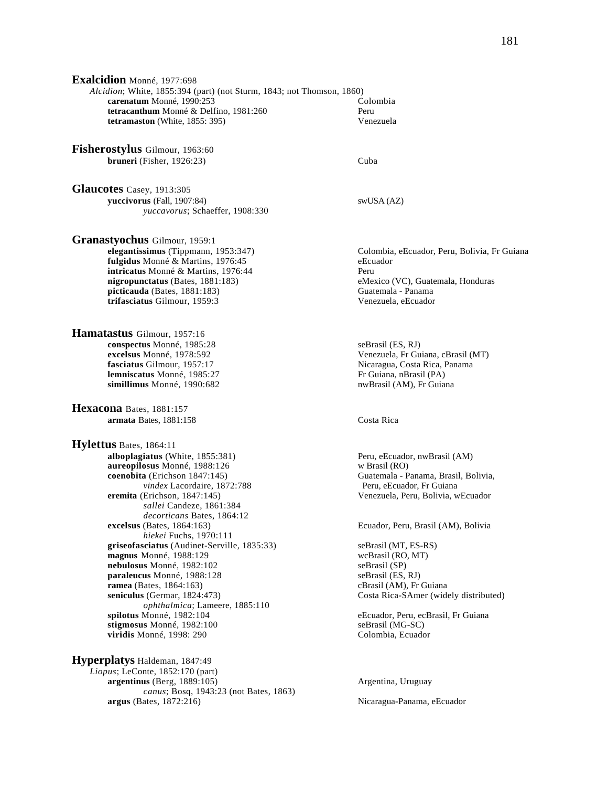**Exalcidion** Monné, 1977:698 *Alcidion*; White, 1855:394 (part) (not Sturm, 1843; not Thomson, 1860) **carenatum** Monné, 1990:253<br> **colombia**<br> **colombia**<br> **colombia**<br> **colombia**<br> **colombia**<br> **colombia tetracanthum** Monné & Delfino, 1981:260 **tetramaston** (White, 1855: 395) Venezuela

**Fisherostylus** Gilmour, 1963:60 **bruneri** (Fisher, 1926:23) Cuba

**Glaucotes** Casey, 1913:305 **yuccivorus** (Fall, 1907:84) swUSA (AZ) *yuccavorus*; Schaeffer, 1908:330

**Granastyochus** Gilmour, 1959:1<br>elegantissimus (Tippmann, 1953:347) **fulgidus** Monné & Martins, 1976:45 eEcuador **intricatus** Monné & Martins, 1976:44 Peru **nigropunctatus** (Bates, 1881:183) eMexico (VC), Guatemala, Honduras **picticauda** (Bates, 1881:183) Guatemala - Panama **trifasciatus** Gilmour, 1959:3 Venezuela, eEcuador

**Hamatastus** Gilmour, 1957:16 **conspectus** Monné, 1985:28 seBrasil (ES, RJ)<br>**excelsus** Monné, 1978:592 venezuela. Fr Gu **lemniscatus** Monné, 1985:27 Fr Guiana, nBrasil (PA) **simillimus** Monné, 1990:682 nwBrasil (AM), Fr Guiana

**Hexacona** Bates, 1881:157 **armata** Bates, 1881:158 Costa Rica

**Hylettus** Bates, 1864:11 **alboplagiatus** (White, 1855:381) Peru, eEcuador, nwBrasil (AM) **aureopilosus** Monné, 1988:126 w Brasil (RO) **coenobita** (Erichson 1847:145)<br>
vindex Lacordaire. 1872:788 Peru, eEcuador. Fr Guiana *vindex Lacordaire, 1872:788* **eremita** (Erichson, 1847:145) Venezuela, Peru, Bolivia, wEcuador *sallei* Candeze, 1861:384 *decorticans Bates, 1864:12*<br>excelsus (Bates, 1864:163) *hiekei* Fuchs, 1970:111 **griseofasciatus** (Audinet-Serville, 1835:33) seBrasil (MT, ES-RS) **magnus** Monné, 1988:129 wcBrasil (RO, MT) **nebulosus** Monné, 1982:102<br> **paraleucus** Monné, 1988:128<br>
seBrasil (ES, RJ) **paraleucus** Monné, 1988:128 seBrasil (ES, RJ)<br> **ramea** (Bates, 1864:163) cBrasil (AM), Fr Guiana  $$ **seniculus** (Germar, 1824:473) Costa Rica-SAmer (widely distributed) *ophthalmica*; Lameere, 1885:110 **stigmosus** Monné, 1982:100<br> **viridis** Monné, 1998: 290<br>
Colombia, Ecuador **viridis** Monné, 1998: 290

**Hyperplatys** Haldeman, 1847:49 *Liopus*; LeConte, 1852:170 (part) **argentinus** (Berg, 1889:105) **Argentina, Uruguay Argentina**, Uruguay *canus*; Bosq, 1943:23 (not Bates, 1863) **argus** (Bates, 1872:216) Nicaragua-Panama, eEcuador

Colombia, eEcuador, Peru, Bolivia, Fr Guiana

**excelsus** Monné, 1978:592 Venezuela, Fr Guiana, cBrasil (MT) **fasciatus** Gilmour, 1957:17 Venezuela, Costa Rica, Panama Nicaragua, Costa Rica, Panama

Ecuador, Peru, Brasil (AM), Bolivia

eEcuador, Peru, ecBrasil, Fr Guiana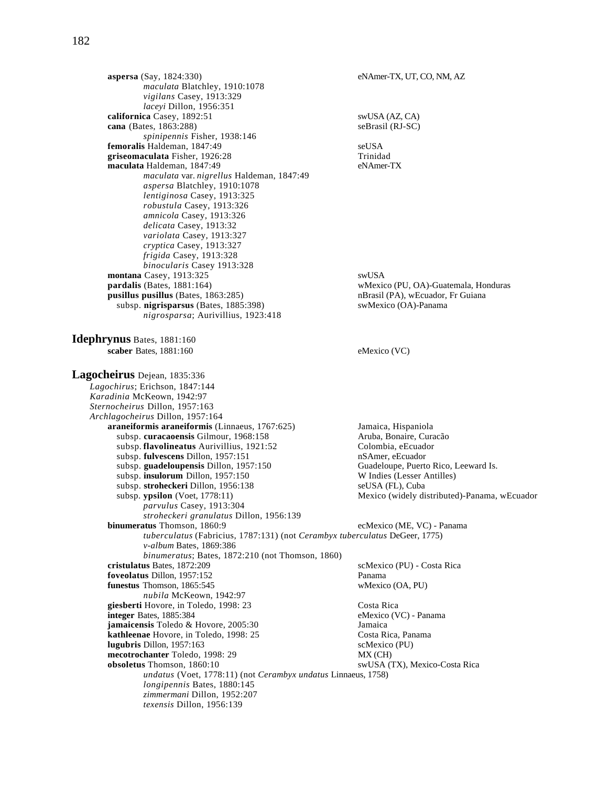**aspersa** (Say, 1824:330) eNAmer-TX, UT, CO, NM, AZ *maculata* Blatchley, 1910:1078 *vigilans* Casey, 1913:329 *laceyi* Dillon, 1956:351 **californica** Casey, 1892:51 swUSA (AZ, CA)<br> **cana** (Bates, 1863:288) seBrasil (RJ-SC) **cana** (Bates, 1863:288) *spinipennis* Fisher, 1938:146 **femoralis** Haldeman, 1847:49<br> **example 1976:28** seUSA<br> **existents are the 1976:28 griseomaculata** Fisher, 1926:28 **maculata** Haldeman, 1847:49 eNAmer-TX *maculata* var. *nigrellus* Haldeman, 1847:49 *aspersa* Blatchley, 1910:1078 *lentiginosa* Casey, 1913:325 *robustula* Casey, 1913:326 *amnicola* Casey, 1913:326 *delicata* Casey, 1913:32 *variolata* Casey, 1913:327 *cryptica* Casey, 1913:327 *frigida* Casey, 1913:328 *binocularis* Casey 1913:328 **montana** Casey, 1913:325 swUSA<br> **pardalis** (Bates, 1881:164) wMexic wMexico (PU, OA)-Guatemala, Honduras **pusillus pusillus** (Bates, 1863:285) nBrasil (PA), wEcuador, Fr Guiana<br>subsp. **nigrisparsus** (Bates, 1885:398) swMexico (OA)-Panama subsp. nigrisparsus (Bates, 1885:398) *nigrosparsa*; Aurivillius, 1923:418 **Idephrynus** Bates, 1881:160 **scaber** Bates, 1881:160 eMexico (VC) **Lagocheirus** Dejean, 1835:336 *Lagochirus*; Erichson, 1847:144 *Karadinia* McKeown, 1942:97 *Sternocheirus* Dillon, 1957:163 *Archlagocheirus* Dillon, 1957:164 **araneiformis araneiformis** (Linnaeus, 1767:625) Jamaica, Hispaniola<br>subsp. **curacaoensis** Gilmour. 1968:158 Aruba. Bonaire. Curacão subsp. curacaoensis Gilmour, 1968:158 subsp. **flavolineatus** Aurivillius, 1921:52 Colombia, eEcuador subsp. **fulvescens** Dillon, 1957:151 nSAmer, eEcuador subsp. **guadeloupensis** Dillon, 1957:150 Guadeloupe, Puerto Rico, Leeward Is. subsp. **insulorum** Dillon, 1957:150 W Indies (Lesser Antilles)<br>subsp. **stroheckeri** Dillon, 1956:138 seUSA (FL). Cuba subsp. stroheckeri Dillon, 1956:138 subsp. **ypsilon** (Voet, 1778:11) Mexico (widely distributed)-Panama, wEcuador *parvulus* Casey, 1913:304  *stroheckeri granulatus* Dillon, 1956:139 ecMexico (ME, VC) - Panama *tuberculatus* (Fabricius, 1787:131) (not *Cerambyx tuberculatus* DeGeer, 1775) *v-album* Bates, 1869:386 *binumeratus*; Bates, 1872:210 (not Thomson, 1860) **cristulatus** Bates, 1872:209 scMexico (PU) - Costa Rica **foveolatus Dillon, 1957:152**<br> **funestus Thomson, 1865:545** Panama wMexico (OA, PU) **funestus** Thomson, 1865:545 *nubila* McKeown, 1942:97 **giesberti** Hovore, in Toledo, 1998: 23 Costa Rica<br> **integer** Bates, 1885:384 eMexico (VC) - Panama **integer** Bates, 1885:384 **jamaicensis** Toledo & Hovore, 2005:30 *Jamaica*<br> **kathleenae** Hovore, in Toledo, 1998: 25 **Sharehore Costa** Costa Rica, Panama kathleenae Hovore, in Toledo, 1998: 25 **lugubris** Dillon, 1957:163 scMexico (PU) **mecotrochanter** Toledo, 1998: 29 MX (CH) **obsoletus** Thomson, 1860:10 swUSA (TX), Mexico-Costa Rica *undatus* (Voet, 1778:11) (not *Cerambyx undatus* Linnaeus, 1758) *longipennis* Bates, 1880:145 *zimmermani* Dillon, 1952:207

 *texensis* Dillon, 1956:139

182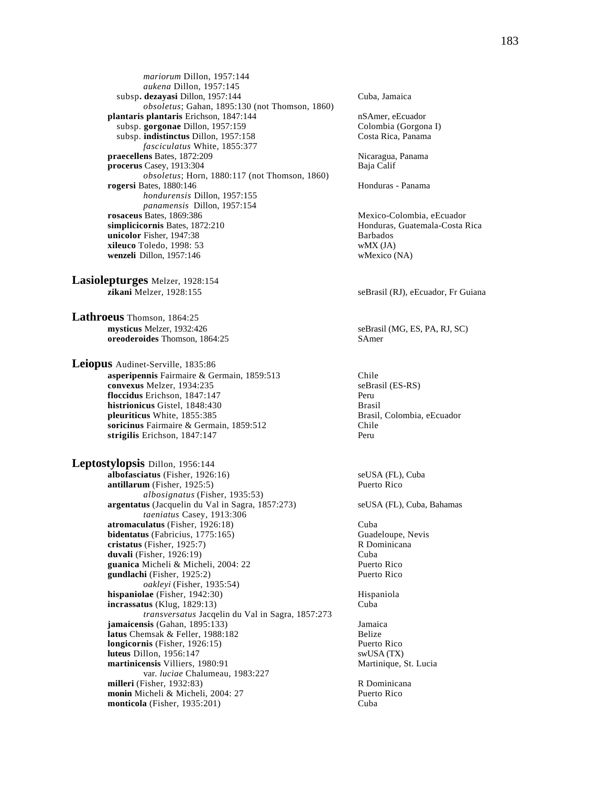*mariorum* Dillon, 1957:144  *aukena* Dillon, 1957:145 subsp. dezayasi Dillon, 1957:144 Cuba, Jamaica *obsoletus*; Gahan, 1895:130 (not Thomson, 1860) **plantaris plantaris** Erichson, 1847:144 nSAmer, eEcuador<br>subsp. **gorgonae** Dillon, 1957:159 Colombia (Gorgona I) subsp. gorgonae Dillon, 1957:159 subsp. **indistinctus** Dillon, 1957:158 Costa Rica, Panama *fasciculatus* White, 1855:377 **praecellens** Bates, 1872:209 Nicaragua, Panama **procerus** Casey, 1913:304 Baja Calif *obsoletus*; Horn, 1880:117 (not Thomson, 1860) **rogersi** Bates, 1880:146 **Honduras** - Panama *hondurensis* Dillon, 1957:155 *panamensis* Dillon, 1957:154<br>**rosaceus** Bates, 1869:386 **simplicicornis** Bates, 1872:210 Honduras, Guatemala-Costa Rica **unicolor** Fisher, 1947:38 **Barbados**<br> **xileuco** Toledo, 1998: 53 **Barbados wMX** (JA) **xileuco** Toledo, 1998: 53 **wenzeli** Dillon, 1957:146 wMexico (NA)

**Lasiolepturges** Melzer, 1928:154 **zikani** Melzer, 1928:155 seBrasil (RJ), eEcuador, Fr Guiana

**Lathroeus** Thomson, 1864:25<br>mysticus Melzer, 1932:426 **oreoderoides** Thomson, 1864:25 SAmer

**Leiopus** Audinet-Serville, 1835:86 **asperipennis** Fairmaire & Germain, 1859:513 Chile **convexus** Melzer, 1934:235 seBrasil (ES-RS) **floccidus** Erichson, 1847:147 Peru **histrionicus** Gistel, 1848:430<br> **histrionicus** White, 1855:385<br> **histrionicus** White, 1855:385 pleuriticus White, 1855:385 **soricinus** Fairmaire & Germain, 1859:512 Chile **strigilis** Erichson, 1847:147 Peru

**Leptostylopsis** Dillon, 1956:144 **albofasciatus** (Fisher, 1926:16) seUSA (FL), Cuba **antillarum** (Fisher, 1925:5) Puerto Rico *albosignatus* (Fisher, 1935:53) **argentatus** (Jacquelin du Val in Sagra, 1857:273) seUSA (FL), Cuba, Bahamas *taeniatus* Casey, 1913:306 **atromaculatus** (Fisher, 1926:18)<br> **bidentatus** (Fabricius, 1775:165) Cuba<br>
Guadeloupe, Nevis **bidentatus** (Fabricius, 1775:165) **cristatus** (Fisher, 1925:7) R Dominicana **duvali** (Fisher, 1926:19)<br> **guanica** Micheli & Micheli, 2004: 22 **Cuba**<br>
Puerto Rico guanica Micheli & Micheli, 2004: 22 **gundlachi** (Fisher, 1925:2) Puerto Rico *oakleyi* (Fisher, 1935:54) **hispaniolae** (Fisher, 1942:30) Hispaniola **incrassatus** (Klug, 1829:13) Cuba *transversatus* Jacqelin du Val in Sagra, 1857:273 **jamaicensis** (Gahan, 1895:133) Jamaica **latus Chemsak & Feller, 1988:182 Belize**<br> **longicornis** (Fisher, 1926:15) **Belize Puerto Rico longicornis** (Fisher, 1926:15) **luteus** Dillon, 1956:147 swUSA (TX) **martinicensis** Villiers, 1980:91 Martinique, St. Lucia var. *luciae* Chalumeau, 1983:227 **milleri** (Fisher, 1932:83) R Dominicana **monin** Micheli & Micheli, 2004: 27 **Puerto Rico Puerto Rico Puerto Rico monticola** (Fisher, 1935:201) **monticola** (Fisher, 1935:201)

Mexico-Colombia, eEcuador

 $seBrasil(MG, ES, PA, RJ, SC)$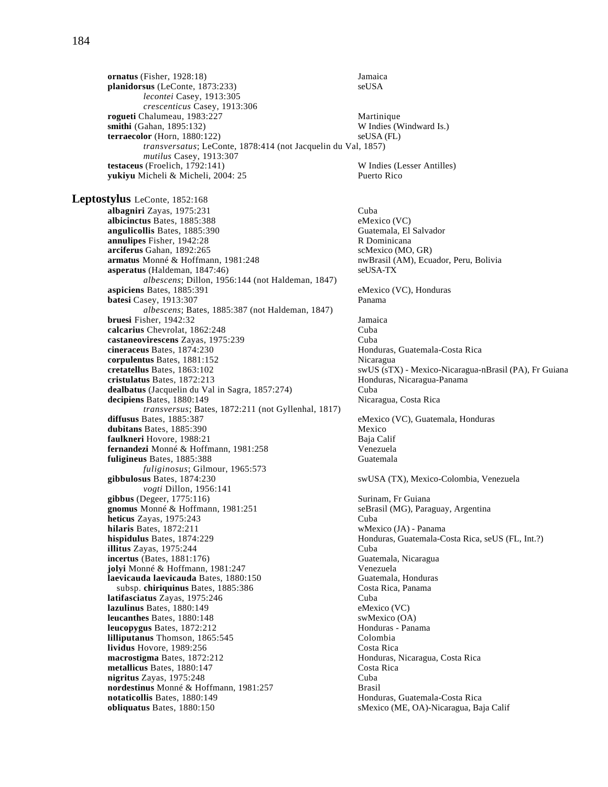*crescenticus* Casey, 1913:306 **rogueti** Chalumeau, 1983:227<br> **smithi** (Gahan, 1895:132) W Indies (Windward Is.) **smithi** (Gahan, 1895:132) **terraecolor** (Horn, 1880:122) seUSA (FL) *transversatus*; LeConte, 1878:414 (not Jacquelin du Val, 1857) *mutilus* Casey, 1913:307 **testaceus** (Froelich, 1792:141) W Indies (Lesser Antilles)<br> **yukiyu** Micheli & Micheli, 2004: 25 Puerto Rico yukiyu Micheli & Micheli, 2004: 25 **Leptostylus** LeConte, 1852:168 **albagniri** Zayas, 1975:231 Cuba **albicinctus** Bates, 1885:388 eMexico (VC) **angulicollis** Bates, 1885:390 Guatemala, El Salvador **annulipes** Fisher, 1942:28 **R Dominicana**<br> **arciferus** Gahan, 1892:265 **R Dominicana**<br> **arciferus** Gahan, 1892:265 **R** 2008, CAR arciferus Gahan, 1892:265 **armatus** Monné & Hoffmann, 1981:248 nwBrasil (AM), Ecuador, Peru, Bolivia **asperatus** (Haldeman, 1847:46) seUSA-TX *albescens*; Dillon, 1956:144 (not Haldeman, 1847) **aspiciens** Bates, 1885:391 eMexico (VC), Honduras **batesi** Casey, 1913:307 Panama *albescens*; Bates, 1885:387 (not Haldeman, 1847) **bruesi** Fisher, 1942:32 Jamaica **calcarius** Chevrolat, 1862:248 Cuba **castaneovirescens** Zayas, 1975:239 Cuba<br> **cineraceus** Bates, 1874:230 **Cuba**<br>
Hond **corpulentus** Bates, 1881:152 Nicaragua **cretatellus** Bates, 1863:102 swUS (sTX) - Mexico-Nicaragua-nBrasil (PA), Fr Guiana **cristulatus** Bates, 1872:213 **Honduras, Nicaragua-Panama dealbatus** (Jacquelin du Val in Sagra, 1857:274) Cuba<br> **decipiens** Bates, 1880:149 **Micaragua**, Costa Rica decipiens Bates, 1880:149 *transversus*; Bates, 1872:211 (not Gyllenhal, 1817) **diffusus** Bates, 1885:387 eMexico (VC), Guatemala, Honduras **dubitans** Bates, 1885:390<br> **dulkneri** Hovore, 1988:21 **Mexico**<br>
Baja Calif **faulkneri** Hovore, 1988:21 **fernandezi** Monné & Hoffmann, 1981:258 **Venezuela**<br> **fuligineus** Bates. 1885:388 **Guatemala fuligineus** Bates, 1885:388 *fuliginosus*; Gilmour, 1965:573 **gibbulosus** Bates, 1874:230 swUSA (TX), Mexico-Colombia, Venezuela *vogti* Dillon, 1956:141 **gibbus** (Degeer, 1775:116) Surinam, Fr Guiana **gnomus** Monné & Hoffmann, 1981:251 seBrasil (MG), Paraguay, Argentina **heticus** Zayas, 1975:243 Cuba **hilaris** Bates, 1872:211 wMexico (JA) - Panama **hispidulus** Bates, 1874:229 Honduras, Guatemala-Costa Rica, seUS (FL, Int.?) **illitus** Zayas, 1975:244 Cuba **incertus** (Bates, 1881:176) Guatemala, Nicaragua **jolyi** Monné & Hoffmann, 1981:247<br> **1988: Interpretaga di Santa Santa Control di Santa Controlla di Santa Cuatemala, Honduras** laevicauda laevicauda Bates, 1880:150 subsp. **chiriquinus** Bates, 1885:386 Costa Rica, Panama **latifasciatus Zayas, 1975:246** Cuba **lazulinus** Bates, 1880:149 eMexico (VC) **leucanthes** Bates, 1880:148 swMexico (OA)<br> **leucopygus** Bates, 1872:212 **states leucopygus** Bates, 1872:212 **leucopygus** Bates, 1872:212 Honduras - Panama **lilliputanus** Thomson, 1865:545 **lividus** Hovore, 1989:256 Costa Rica **macrostigma** Bates, 1872:212 Honduras, Nicaragua, Costa Rica **metallicus** Bates, 1880:147 Costa Rica<br> **nigritus** Zavas. 1975:248 Cuba **nigritus** Zayas, 1975:248 **nordestinus** Monné & Hoffmann, 1981:257 Brasil **notaticollis** Bates, 1880:149 **Honduras, Guatemala-Costa Rica obliquatus** Bates, 1880:150 sMexico (ME, OA)-Nicaragua, Baja Calif

**ornatus** (Fisher, 1928:18) Jamaica<br> **planidorsus** (LeConte, 1873:233) SeUSA

**planidorsus** (LeConte, 1873:233)

*lecontei* Casey, 1913:305

**Honduras, Guatemala-Costa Rica** 

184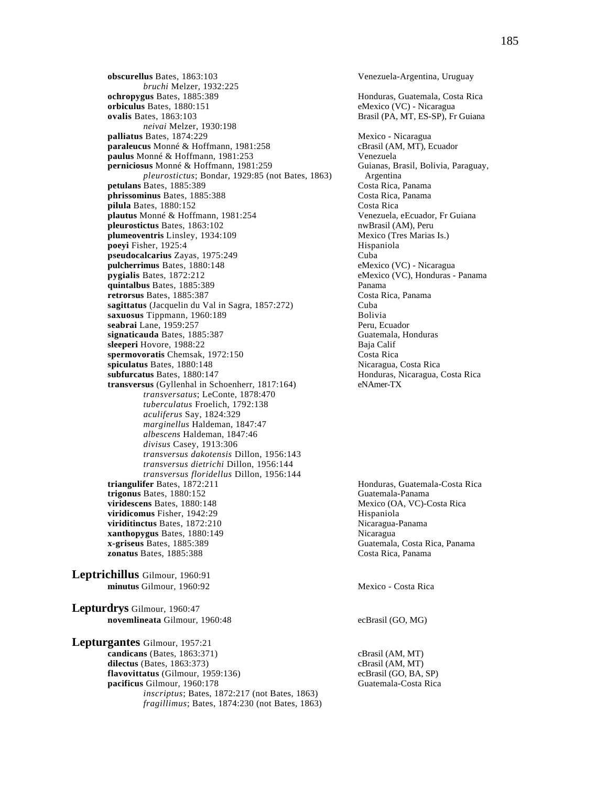**obscurellus** Bates, 1863:103 Venezuela-Argentina, Uruguay *bruchi* Melzer, 1932:225 **ochropygus** Bates, 1885:389 **Honduras, Guatemala, Costa Rica orbiculus** Bates, 1880:151 eMexico (VC) - Nicaragua<br> **ovalis** Bates, 1863:103 Brasil (PA, MT, ES-SP), Fr *neivai* Melzer, 1930:198 **palliatus** Bates, 1874:229<br> **paraleucus** Monné & Hoffmann, 1981:258<br> **paraleucus** Monné & Hoffmann, 1981:258<br> **paraleucus** Monné & Hoffmann, 1981:258 paraleucus Monné & Hoffmann, 1981:258 **paulus** Monné & Hoffmann, 1981:253 Venezuela **perniciosus** Monné & Hoffmann, 1981:259 Guianas, Brasil, Bolivia, Paraguay, *pleurostictus*; Bondar, 1929:85 (not Bates, 1863) Argentina **petulans** Bates, 1885:389 Costa Rica, Panama **phrissominus** Bates, 1885:388 Costa Rica, Panama<br> **phrissominus** Bates, 1880:152 Costa Rica **pilula Bates, 1880:152**<br> **pilula Bates, 1880:152**<br> **pilula Bates, 1880:152**<br> **pilula Bates, 1880:152**<br> **pilotes Costa Rica**<br> **pilotes Costa Rica**<br> **pilotes Costa Rica**<br> **pilotes Costa Rica** plautus Monné & Hoffmann, 1981:254 pleurostictus Bates, 1863:102 nwBrasil (AM), Peru **plumeoventris** Linsley, 1934:109 Mexico (Tres Marias Is.) **poeyi** Fisher, 1925:4 Hispaniola pseudocalcarius Zayas, 1975:249 Cuba **pulcherrimus** Bates, 1880:148 eMexico (VC) - Nicaragua **pygialis** Bates, 1872:212 eMexico (VC), Honduras - Panama **quintalbus** Bates, 1885:389<br> **retrorsus** Bates, 1885:387 **Panama**<br>
Costa Rica, Panama **retrorsus Bates, 1885:387** Costa Costa Costa Costa Rica, Panama Costa Rica, Panama Costa Rica, Panama Costa Rica, Panama Cuba sagittatus (Jacquelin du Val in Sagra, 1857:272) **saxuosus** Tippmann, 1960:189 Bolivia **seabrai** Lane, 1959:257 **Peru, Ecuador** Peru, Ecuador **signaticauda** Bates, 1885:387 Guatemala, Honduras **sleeperi** Hovore, 1988:22<br> **spermovoratis** Chemsak. 1972:150 **Baja Calif** Costa Rica spermovoratis Chemsak, 1972:150 **spiculatus** Bates, 1880:148 Nicaragua, Costa Rica **subfurcatus** Bates, 1880:147 **Honduras, Nicaragua, Costa Rica transversus** (Gyllenhal in Schoenherr, 1817:164) eNAmer-TX *transversatus*; LeConte, 1878:470 *tuberculatus* Froelich, 1792:138  *aculiferus* Say, 1824:329  *marginellus* Haldeman, 1847:47  *albescens* Haldeman, 1847:46  *divisus* Casey, 1913:306  *transversus dakotensis* Dillon, 1956:143  *transversus dietrichi* Dillon, 1956:144  *transversus floridellus* Dillon, 1956:144 **trigonus** Bates, 1880:152<br> **interviews** Guatemala-Panama<br> **different Mexico (OA, VC)-Costa Rica**<br> **different Mexico (OA, VC)-Costa Rica viridescens** Bates, 1880:148 **viridicomus** Fisher, 1942:29 Hispaniola viriditinctus Bates, 1872:210 Nicaragua-Panama **xanthopygus** Bates, 1880:149 **Nicaragua**<br> **x-griseus** Bates, 1885:389 **Nicaragua**<br>
Guatemala **zonatus** Bates, 1885:388 Costa Rica, Panama

**Leptrichillus** Gilmour, 1960:91 **minutus** Gilmour, 1960:92 Mexico - Costa Rica

**Lepturdrys** Gilmour, 1960:47 **novemlineata** Gilmour, 1960:48 ecBrasil (GO, MG)

**Lepturgantes** Gilmour, 1957:21 **candicans** (Bates, 1863:371) cBrasil (AM, MT) **dilectus** (Bates, 1863:373) cBrasil (AM, MT) **flavovittatus** (Gilmour, 1959:136) ecBrasil (GO, BA, SP) **pacificus** Gilmour, 1960:178 Guatemala-Costa Rica *inscriptus*; Bates, 1872:217 (not Bates, 1863) *fragillimus*; Bates, 1874:230 (not Bates, 1863)

Brasil (PA, MT, ES-SP), Fr Guiana

**Honduras, Guatemala-Costa Rica x-griseus** Bates, 1885:389 Guatemala, Costa Rica, Panama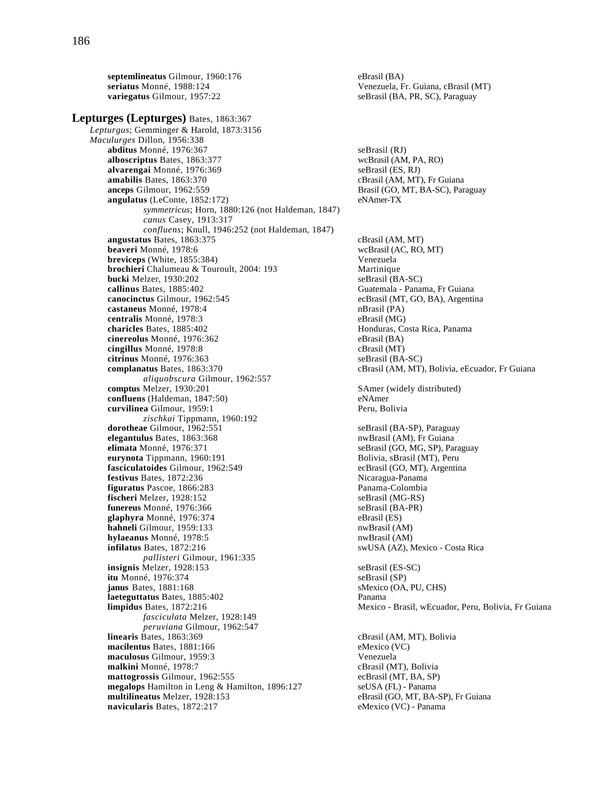**septemlineatus** Gilmour, 1960:176 eBrasil (BA)<br>**seriatus** Monné, 1988:124 Venezuela, F **variegatus** Gilmour, 1957:22 seBrasil (BA, PR, SC), Paraguay **Lepturges (Lepturges)** Bates, 1863:367 *Lepturgus*; Gemminger & Harold, 1873:3156 *Maculurges* Dillon, 1956:338 **abditus** Monné, 1976:367 seBrasil (RJ) **alboscriptus** Bates, 1863:377 wcBrasil (AM, PA, RO) **alvarengai** Monné, 1976:369 seBrasil (ES, RJ) **amabilis** Bates, 1863:370 cBrasil (AM, MT), Fr Guiana **anceps** Gilmour, 1962:559 Brasil (GO, MT, BA-SC), Paraguay **angulatus** (LeConte, 1852:172) eNAmer-TX *symmetricus*; Horn, 1880:126 (not Haldeman, 1847) *canus* Casey, 1913:317 *confluens*; Knull, 1946:252 (not Haldeman, 1847) **angustatus** Bates, 1863:375 cBrasil (AM, MT) **beaveri** Monné, 1978:6 wcBrasil (AC, RO, MT) **breviceps** (White, 1855:384) Venezuela **brochieri** Chalumeau & Touroult, 2004: 193 Martinique **bucki** Melzer, 1930:202 seBrasil (BA-SC)<br> **callinus** Bates, 1885:402 SeBrasil (BA-SC) **canocinctus** Gilmour, 1962:545 ecBrasil (MT, GO, BA), Argentina **castaneus** Monné, 1978:4 nBrasil (PA) **centralis** Monné, 1978:3 eBrasil (MG)<br> **charicles** Bates, 1885:402 eBrasil (MG) **cinereolus** Monné, 1976:362 eBrasil (BA) **cingillus** Monné, 1978:8 cBrasil (MT) **citrinus** Monné, 1976:363 seBrasil (BA-SC) **complanatus** Bates, 1863:370 **cBrasil (AM, MT), Bolivia, eEcuador, Fr Guiana** *aliquobscura* Gilmour, 1962:557 **comptus** Melzer, 1930:201 SAmer (widely distributed) **confluens** (Haldeman, 1847:50) eNAmer **curvilinea** Gilmour, 1959:1 Peru, Bolivia *zischkai* Tippmann, 1960:192 **dorotheae** Gilmour, 1962:551 seBrasil (BA-SP), Paraguay<br> **elegantulus** Bates, 1863:368 nwBrasil (AM), Fr Guiana **elegantulus** Bates, 1863:368 **elimata** Monné, 1976:371 seBrasil (GO, MG, SP), Paraguay **eurynota** Tippmann, 1960:191 **Bolivia, sBrasil (MT), Peru fasciculatoides** Gilmour, 1962:549 ecBrasil (GO, MT), Argentina **festivus** Bates, 1872:236 Nicaragua-Panama **figuratus** Pascoe, 1866:283 Panama-Colombia **fischeri** Melzer, 1928:152 seBrasil (MG-RS)<br> **funereus** Monné, 1976:366 seBrasil (BA-PR) funereus Monné, 1976:366 **glaphyra** Monné, 1976:374 eBrasil (ES) **hahneli** Gilmour, 1959:133 nwBrasil (AM) **hylaeanus** Monné, 1978:5 **nwBrasil** (AM) **infilatus** Bates, 1872:216 swUSA (AZ), Mexico - Costa Rica *pallisteri* Gilmour, 1961:335 **insignis** Melzer, 1928:153 seBrasil (ES-SC) **itu** Monné, 1976:374 seBrasil (SP) **janus** Bates, 1881:168 sMexico (OA, PU, CHS) **laeteguttatus** Bates, 1885:402 Panama **limpidus** Bates, 1872:216 Mexico - Brasil, wEcuador, Peru, Bolivia, Fr Guiana *fasciculata* Melzer, 1928:149 *peruviana* Gilmour, 1962:547 **linearis** Bates, 1863:369 cBrasil (AM, MT), Bolivia **macilentus** Bates, 1881:166 eMexico (VC)<br> **maculosus** Gilmour, 1959:3 eMexico (VC) maculosus Gilmour, 1959:3 **malkini** Monné, 1978:7<br> **mattogrossis** Gilmour, 1962:555<br> **cBrasil (MT, BA, SP)**<br>
ecBrasil (MT, BA, SP) mattogrossis Gilmour, 1962:555 **megalops** Hamilton in Leng & Hamilton, 1896:127 seUSA (FL) - Panama **multilineatus** Melzer, 1928:153 eBrasil (GO, MT, BA-SP), Fr Guiana **navicularis** Bates, 1872:217 eMexico (VC) - Panama

Venezuela, Fr. Guiana, cBrasil (MT)

Guatemala - Panama, Fr Guiana Honduras, Costa Rica, Panama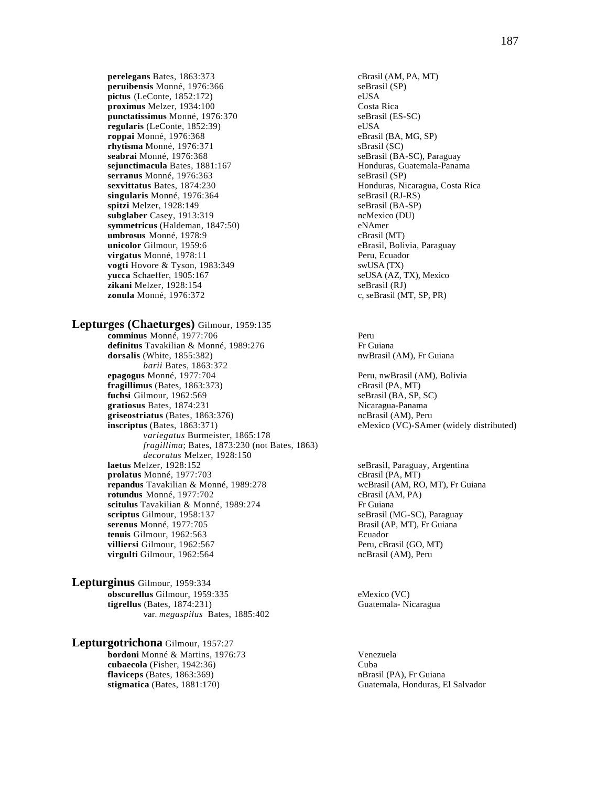**perelegans** Bates, 1863:373 cBrasil (AM, PA, MT)<br> **peruibensis** Monné, 1976:366 seBrasil (SP) peruibensis Monné, 1976:366 **pictus** (LeConte, 1852:172) eUSA **proximus** Melzer, 1934:100 Costa Rica punctatissimus Monné, 1976:370 **regularis** (LeConte, 1852:39) eUSA **roppai** Monné, 1976:368 eBrasil (BA, MG, SP)<br> **rhytisma** Monné, 1976:371 sBrasil (SC) rhytisma Monné, 1976:371<br>seabrai Monné, 1976:368 **sejunctimacula** Bates, 1881:167 **Honduras, Guatemala-Panama serranus** Monné, 1976:363 seBrasil (SP) **sexvittatus** Bates, 1874:230 Honduras, Nicaragua, Costa Rica singularis Monné, 1976:364 seBrasil (RJ-RS) **spitzi** Melzer, 1928:149 seBrasil (BA-SP) **subglaber** Casey, 1913:319 ncMexico (DU) **symmetricus** (Haldeman, 1847:50) eNAmer **umbrosus** Monné, 1978:9<br> **unicolor** Gilmour, 1959:6<br>
eBrasil, Boli **virgatus** Monné, 1978:11 Peru, Ecuador **vogti** Hovore & Tyson, 1983:349 swUSA (TX) **yucca** Schaeffer, 1905:167 seUSA (AZ, TX), Mexico **zikani** Melzer, 1928:154<br> **zonula** Monné, 1976:372 seBrasil (M

## **Lepturges (Chaeturges)** Gilmour, 1959:135

**comminus** Monné, 1977:706 Peru definitus Tavakilian & Monné, 1989:276 Fr Guiana **dorsalis** (White, 1855:382) **nwBrasil (AM), Fr Guiana** *barii* Bates, 1863:372<br>**epagogus** Monné, 1977:704 **fragillimus** (Bates, 1863:373) cBrasil (PA, MT) **fuchsi** Gilmour, 1962:569 seBrasil (BA, SP, SC) seBrasil (BA, SP, SC) seBrasil (BA, SP, SC) **gratiosus** Bates, 1874:231 Nicaragua-Panama griseostriatus (Bates, 1863:376) **inscriptus** (Bates, 1863:371) eMexico (VC)-SAmer (widely distributed) *variegatus* Burmeister, 1865:178 *fragillima*; Bates, 1873:230 (not Bates, 1863) *decoratus* Melzer, 1928:150<br>**laetus** Melzer, 1928:152 **prolatus** Monné, 1977:703 **repandus** Tavakilian & Monné, 1989:278 wcBrasil (AM, RO, MT), Fr Guiana **rotundus** Monné, 1977:702 cBrasil (AM, PA) scitulus Tavakilian & Monné, 1989:274 Fr Guiana **scriptus** Gilmour, 1958:137 **seBrasil (MG-SC), Paraguay**<br>**serenus** Monné, 1977:705 **Serenus** Brasil (AP, MT), Fr Guiana serenus Monné, 1977:705 **tenuis** Gilmour, 1962:563 Ecuador **villiersi** Gilmour, 1962:567 **Peru, cBrasil (GO, MT) virgulti** Gilmour, 1962:564 ncBrasil (AM), Peru

**Lepturginus** Gilmour, 1959:334 **obscurellus** Gilmour, 1959:335 eMexico (VC) **tigrellus** (Bates, 1874:231) Guatemala- Nicaragua var. *megaspilus* Bates, 1885:402

# **Lepturgotrichona** Gilmour, 1957:27

**bordoni** Monné & Martins, 1976:73 Venezuela **cubaecola** (Fisher, 1942:36) Cuba **flaviceps** (Bates, 1863:369) **nb**rasil (PA), Fr Guiana **stigmatica** (Bates, 1881:170) Guatemala, Honduras, El Salvador

seBrasil (BA-SC), Paraguay eBrasil, Bolivia, Paraguay c, seBrasil (MT, SP, PR)

Peru, nwBrasil (AM), Bolivia

seBrasil, Paraguay, Argentina<br>cBrasil (PA, MT)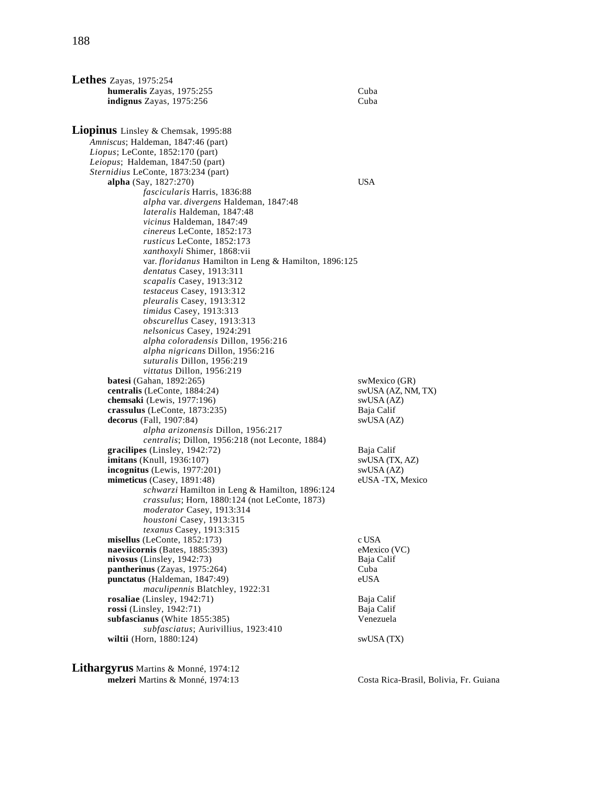| Lethes Zayas, $1975:254$                                      |                                |
|---------------------------------------------------------------|--------------------------------|
| humeralis Zayas, 1975:255                                     | Cuba                           |
| <b>indignus</b> Zayas, 1975:256                               | Cuba                           |
|                                                               |                                |
| Liopinus Linsley & Chemsak, 1995:88                           |                                |
| Amniscus; Haldeman, 1847:46 (part)                            |                                |
| <i>Liopus</i> ; LeConte, $1852:170$ (part)                    |                                |
| Leiopus; Haldeman, 1847:50 (part)                             |                                |
| Sternidius LeConte, 1873:234 (part)                           |                                |
| <b>alpha</b> (Say, 1827:270)                                  | <b>USA</b>                     |
| fascicularis Harris, 1836:88                                  |                                |
| <i>alpha var. divergens Haldeman, 1847:48</i>                 |                                |
| lateralis Haldeman, 1847:48                                   |                                |
| vicinus Haldeman, 1847:49                                     |                                |
| cinereus LeConte, 1852:173                                    |                                |
| rusticus LeConte, 1852:173                                    |                                |
| xanthoxyli Shimer, 1868:vii                                   |                                |
| var. <i>floridanus</i> Hamilton in Leng & Hamilton, 1896:125  |                                |
| dentatus Casey, 1913:311                                      |                                |
| scapalis Casey, 1913:312                                      |                                |
| testaceus Casey, 1913:312<br><i>pleuralis</i> Casey, 1913:312 |                                |
| timidus Casey, 1913:313                                       |                                |
| <i>obscurellus</i> Casey, 1913:313                            |                                |
| nelsonicus Casey, 1924:291                                    |                                |
| alpha coloradensis Dillon, 1956:216                           |                                |
| alpha nigricans Dillon, 1956:216                              |                                |
| suturalis Dillon, 1956:219                                    |                                |
| <i>vittatus</i> Dillon, 1956:219                              |                                |
| <b>batesi</b> (Gahan, $1892:265$ )                            | swMexico (GR)                  |
| centralis (LeConte, 1884:24)                                  | swUSA (AZ, NM, TX)             |
| chemsaki (Lewis, 1977:196)                                    | swUSA (AZ)                     |
| crassulus (LeConte, $1873:235$ )                              | Baja Calif                     |
| decorus (Fall, $1907:84$ )                                    | swUSA (AZ)                     |
| alpha arizonensis Dillon, 1956:217                            |                                |
| <i>centralis</i> ; Dillon, 1956:218 (not Leconte, 1884)       |                                |
| $gracilipes$ (Linsley, 1942:72)                               | Baja Calif                     |
| imitans (Knull, 1936:107)                                     | swUSA (TX, AZ)                 |
| $incognitus$ (Lewis, 1977:201)<br>mimeticus (Casey, 1891:48)  | swUSA (AZ)<br>eUSA -TX, Mexico |
| schwarzi Hamilton in Leng & Hamilton, 1896:124                |                                |
| crassulus; Horn, 1880:124 (not LeConte, 1873)                 |                                |
| moderator Casey, 1913:314                                     |                                |
| houstoni Casey, 1913:315                                      |                                |
| texanus Casey, 1913:315                                       |                                |
| misellus (LeConte, $1852:173$ )                               | c USA                          |
| naeviicornis (Bates, 1885:393)                                | eMexico (VC)                   |
| nivosus (Linsley, $1942:73$ )                                 | Baja Calif                     |
| pantherinus (Zayas, 1975:264)                                 | Cuba                           |
| punctatus (Haldeman, 1847:49)                                 | eUSA                           |
| maculipennis Blatchley, 1922:31                               |                                |
| rosaliae (Linsley, 1942:71)                                   | Baja Calif                     |
| rossi (Linsley, 1942:71)                                      | Baja Calif                     |
| subfascianus (White 1855:385)                                 | Venezuela                      |
| subfasciatus; Aurivillius, 1923:410                           |                                |
| wiltii (Horn, 1880:124)                                       | swUSA (TX)                     |
|                                                               |                                |

**Lithargyrus** Martins & Monné, 1974:12 **melzeri** Martins & Monné, 1974:13 Costa Rica-Brasil, Bolivia, Fr. Guiana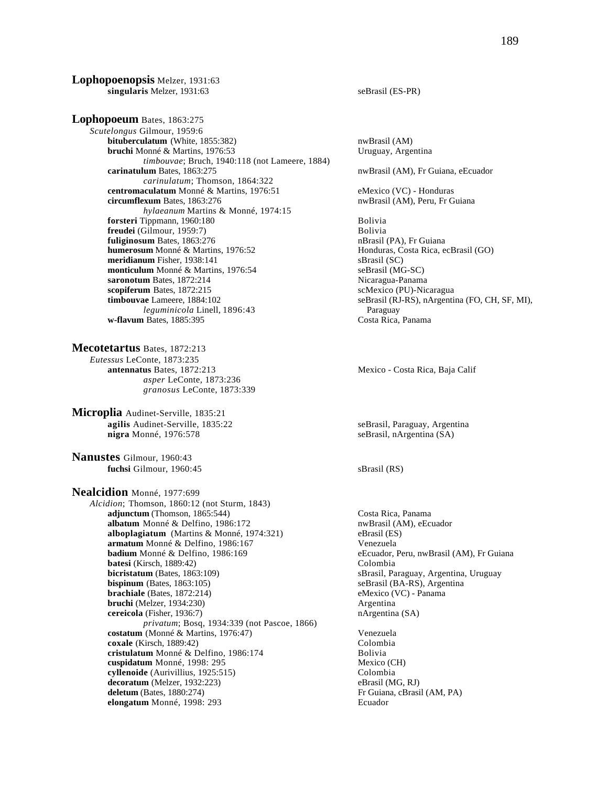**Lophopoenopsis** Melzer, 1931:63 **singularis** Melzer, 1931:63 seBrasil (ES-PR)

**Lophopoeum** Bates, 1863:275 *Scutelongus* Gilmour, 1959:6 **bituberculatum** (White, 1855:382) nwBrasil (AM) **bruchi** Monné & Martins, 1976:53 Uruguay, Argentina *timbouvae*; Bruch, 1940:118 (not Lameere, 1884) **carinatulum** Bates, 1863:275 nwBrasil (AM), Fr Guiana, eEcuador *carinulatum*; Thomson, 1864:322 **centromaculatum** Monné & Martins, 1976:51 eMexico (VC) - Honduras<br> **circumflexum** Bates, 1863:276 **empirical and State State Article Republic Article Republic Republic Republic Republic Republic Republic Republic Control** *hylaeanum* Martins & Monné, 1974:15 **forsteri** Tippmann, 1960:180 Bolivia **freudei** (Gilmour, 1959:7) Bolivia **fuliginosum** Bates, 1863:276<br> **http://e** nBrasil (PA), Fr Guiana<br> **humerosum** Monné & Martins, 1976:52<br> **http://effectuary.org/filteral distributor** Honduras, Costa Rica, e **meridianum** Fisher, 1938:141 sBrasil (SC) **monticulum** Monné & Martins, 1976:54 seBrasil (MG-SC) **saronotum** Bates, 1872:214 Nicaragua-Panama **scopiferum** Bates, 1872:215 scMexico (PU)-Nicaragua **timbouvae** Lameere, 1884:102 seBrasil (RJ-RS), nArgentina (FO, CH, SF, MI),<br> *leguminicola* Linell, 1896:43 Paraguay  $leq$ uminicola Linell, 1896:43 **w-flavum** Bates, 1885:395 Costa Rica, Panama

**Mecotetartus** Bates, 1872:213 *Eutessus* LeConte, 1873:235 **antennatus** Bates, 1872:213 Mexico - Costa Rica, Baja Calif *asper* LeConte, 1873:236 *granosus* LeConte, 1873:339

**Microplia** Audinet-Serville, 1835:21 **agilis** Audinet-Serville, 1835:22 seBrasil, Paraguay, Argentina **nigra** Monné, 1976:578 seBrasil, nArgentina (SA)

**Nanustes** Gilmour, 1960:43 **fuchsi** Gilmour, 1960:45 sBrasil (RS)

**Nealcidion** Monné, 1977:699 *Alcidion*; Thomson, 1860:12 (not Sturm, 1843) **adjunctum** (Thomson, 1865:544) Costa Rica, Panama **albatum** Monné & Delfino, 1986:172 nwBrasil (AM), eEcuador **alboplagiatum** (Martins & Monné, 1974:321) eBrasil (ES) **armatum** Monné & Delfino, 1986:167 Venezuela **badium** Monné & Delfino, 1986:169 eEcuador, Peru, nwBrasil (AM), Fr Guiana **batesi** (Kirsch, 1889:42) Colombia **bicristatum** (Bates, 1863:109) sBrasil, Paraguay, Argentina, Uruguay **bispinum** (Bates, 1863:105) seBrasil (BA-RS), Argentina **brachiale** (Bates, 1872:214) eMexico (VC) - Panama **bruchi** (Melzer, 1934:230) Argentina **cereicola** (Fisher, 1936:7) nArgentina (SA) *privatum*; Bosq, 1934:339 (not Pascoe, 1866) **costatum** (Monné & Martins, 1976:47) Venezuela **coxale** (Kirsch, 1889:42) Colombia **cristulatum** Monné & Delfino, 1986:174 Bolivia **cuspidatum** Monné, 1998: 295 Mexico (CH) **cyllenoide** (Aurivillius, 1925:515) Colombia<br> **decoratum** (Melzer, 1932:223) Colombia<br>
eBrasil (MG, RJ) **decoratum** (Melzer, 1932:223)<br>**deletum** (Bates, 1880:274) **elongatum** Monné, 1998: 293 Ecuador

nwBrasil (AM), Peru, Fr Guiana

Honduras, Costa Rica, ecBrasil (GO)

Fr Guiana, cBrasil (AM, PA)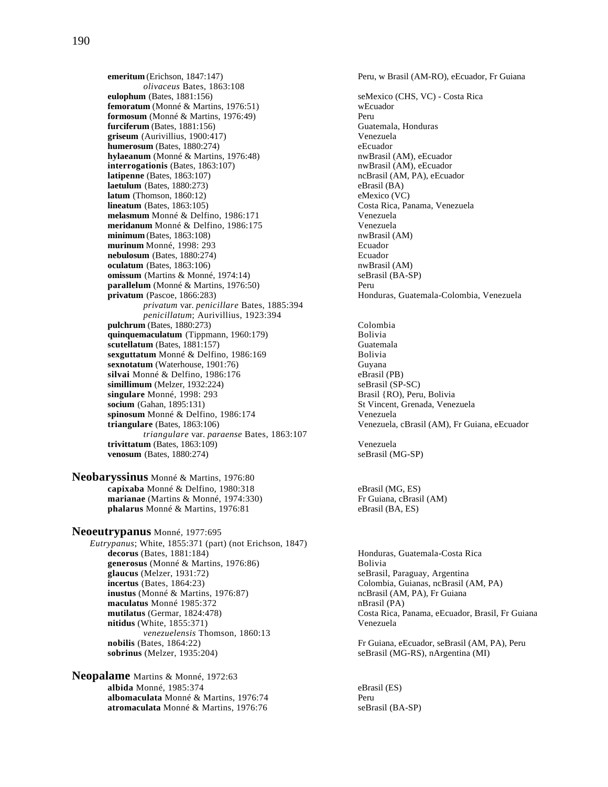**emeritum** (Erichson, 1847:147) Peru, w Brasil (AM-RO), eEcuador, Fr Guiana *olivaceus* Bates, 1863:108 **eulophum** (Bates, 1881:156) seMexico (CHS, VC) - Costa Rica **femoratum** (Monné & Martins, 1976:51) weEcuador<br> **formosum** (Monné & Martins, 1976:49) **blue** Peru **formosum** (Monné & Martins, 1976:49) **furciferum** (Bates, 1881:156) **Guatemala, Honduras** Guatemala, Honduras **griseum** (Aurivillius, 1900:417) Venezuela **humerosum** (Bates, 1880:274) eEcuador **hylaeanum** (Monné & Martins, 1976:48) **nwBrasil** (AM), eEcuador **interrogationis** (Bates, 1863:107) **https://wbb/2013/mwBrasil (AM), eEcuador**<br> **latipenne** (Bates, 1863:107) **https://wwb.mcBrasil (AM, PA), eEcuador laetulum** (Bates, 1880:273) eBrasil (BA) **latum** (Thomson, 1860:12) eMexico (VC)<br> **lineatum** (Bates, 1863:105) costa Rica, Pa **melasmum** Monné & Delfino, 1986:171 Venezuela **meridanum** Monné & Delfino, 1986:175 Venezuela **minimum** (Bates, 1863:108) nwBrasil (AM) **murinum** Monné, 1998: 293 Ecuador **nebulosum** (Bates, 1880:274) Ecuador **oculatum** (Bates, 1863:106) **nwBrasil** (AM) **omissum** (Martins & Monné, 1974:14) seBrasil (BA-SP) **parallelum** (Monné & Martins, 1976:50) Peru **privatum** (Pascoe, 1866:283) **Honduras, Guatemala-Colombia, Venezuela** *privatum* var. *penicillare* Bates, 1885:394 *penicillatum*; Aurivillius, 1923:394 **pulchrum** (Bates, 1880:273) Colombia **quinquemaculatum** (Tippmann, 1960:179) Bolivia **scutellatum** (Bates, 1881:157)<br> **Scuteriatum** Monné & Delfino, 1986:169<br>
Bolivia sexguttatum Monné & Delfino, 1986:169 **sexnotatum** (Waterhouse, 1901:76) Guyana **silvai** Monné & Delfino, 1986:176 eBrasil (PB) **simillimum** (Melzer, 1932:224) <br> **singulare** Monné, 1998: 293 <br> **Singulare** Monné, 1998: 293 <br> **Singulare** Monné, 1998: 293 <br> **Singulare** Monné, 1998: 293 <br> **Singulare** Monné, 1998: 293 <br> **Singulare** Monné, 1998: 293 <br> **S** singulare Monné, 1998: 293 **socium** (Gahan, 1895:131) St Vincent, Grenada, Venezuela **spinosum** Monné & Delfino, 1986:174 Venezuela **triangulare** (Bates, 1863:106) Venezuela, cBrasil (AM), Fr Guiana, eEcuador *triangulare* var. *paraense* Bates, 1863:107 **trivittatum** (Bates, 1863:109)<br> **venosum** (Bates, 1880:274) SeBrasil (MG-SP)  $venosum$  (Bates,  $1880:274$ )

**Neobaryssinus** Monné & Martins, 1976:80 **capixaba** Monné & Delfino, 1980:318 eBrasil (MG, ES) **marianae** (Martins & Monné, 1974:330) Fr Guiana, cBrasil (AM) **phalarus** Monné & Martins, 1976:81 eBrasil (BA, ES)

**Neoeutrypanus** Monné, 1977:695 *Eutrypanus*; White, 1855:371 (part) (not Erichson, 1847) **decorus** (Bates, 1881:184) **Honduras, Guatemala-Costa Rica generosus** (Monné & Martins, 1976:86) Bolivia<br>**glaucus** (Melzer, 1931:72) seBrasil **incertus** (Bates, 1864:23) Colombia, Guianas, ncBrasil (AM, PA) **inustus** (Monné & Martins, 1976:87) **ncBrasil (AM, PA), Fr Guiana maculatus** Monné 1985:372 nBrasil (PA) **mutilatus** (Germar, 1824:478) Costa Rica, Panama, eEcuador, Brasil, Fr Guiana **nitidus** (White, 1855:371) Venezuela *venezuelensis* Thomson, 1860:13 **nobilis** (Bates, 1864:22) **Fr** Guiana, eEcuador, seBrasil (AM, PA), Peru **sobrinus** (Melzer, 1935:204) seBrasil (MG-RS), nArgentina (MI)

**Neopalame** Martins & Monné, 1972:63 **albida** Monné, 1985:374 eBrasil (ES) **albomaculata** Monné & Martins, 1976:74 Peru **atromaculata** Monné & Martins, 1976:76 seBrasil (BA-SP)

ncBrasil (AM, PA), eEcuador **Costa Rica, Panama, Venezuela** 

seBrasil, Paraguay, Argentina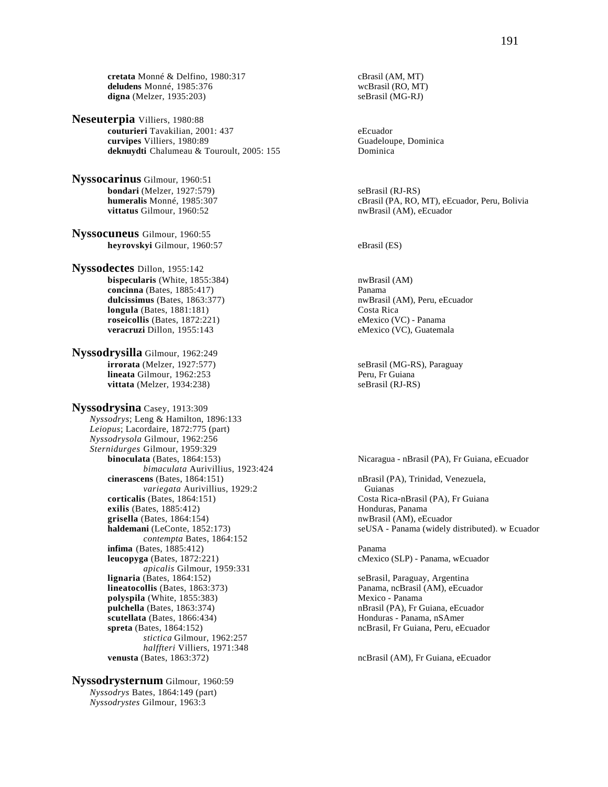**cretata** Monné & Delfino, 1980:317 cBrasil (AM, MT)<br> **deludens** Monné, 1985:376 cBrasil (RO, MT) **deludens** Monné, 1985:376 digna (Melzer, 1935:203) seBrasil (MG-RJ)

**Neseuterpia** Villiers, 1980:88 **couturieri** Tavakilian, 2001: 437<br> **curvipes** Villiers, 1980:89<br> **curvipes** Villiers, 1980:89 **curvipes** Villiers, 1980:89 Guadeloupe, Cuadeloupe, Cuadeloupe, Cuadeloupe, Cuadeloupe, Cuadeloupe, Cuadeloupe, Cuadeloupe, Cuadeloupe, Cuadeloupe, Cuadeloupe, Cuadeloupe, Cuadeloupe, Cuadeloupe, Cuadeloupe, Cuadeloupe, C deknuydti Chalumeau & Touroult, 2005: 155

**Nyssocarinus** Gilmour, 1960:51 **bondari** (Melzer, 1927:579) <br> **humeralis** Monné, 1985:307 (Brasil (PA, RO, CBrasil (PA, RO, **vittatus** Gilmour, 1960:52 nwBrasil (AM), eEcuador

**Nyssocuneus** Gilmour, 1960:55 **heyrovskyi** Gilmour, 1960:57 eBrasil (ES)

**Nyssodectes** Dillon, 1955:142 **bispecularis** (White, 1855:384) nwBrasil (AM) **concinna** (Bates, 1885:417) Panama **dulcissimus** (Bates, 1863:377) **nwBrasil (AM), Peru, eEcuador dulcissimus** (Bates, 1881:181) **nwBrasil (Costa Rica**  $longula$  (Bates,  $1881:181$ ) **roseicollis** (Bates, 1872:221) eMexico (VC) - Panama **veracruzi** Dillon, 1955:143 eMexico (VC), Guatemala

**Nyssodrysilla** Gilmour, 1962:249 **irrorata** (Melzer, 1927:577) seBrasil (MG-RS), Paraguay **lineata** Gilmour, 1962:253 Peru, Fr Guiana **vittata** (Melzer, 1934:238) seBrasil (RJ-RS)

**Nyssodrysina** Casey, 1913:309 *Nyssodrys*; Leng & Hamilton, 1896:133 *Leiopus*; Lacordaire, 1872:775 (part) *Nyssodrysola* Gilmour, 1962:256 *Sternidurges* Gilmour, 1959:329 *bimaculata* Aurivillius, 1923:424 **cinerascens** (Bates, 1864:151) nBrasil (PA), Trinidad, Venezuela, variegata Aurivillius, 1929:2 Guianas *variegata* Aurivillius, 1929:2 **corticalis** (Bates, 1864:151) Costa Rica-nBrasil (PA), Fr Guiana **exilis** (Bates, 1885:412) **Honduras, Panama grisella** (Bates, 1864:154) **nwBrasil (AM), eEcuador nwBrasil** (AM), eEcuador *contempta* Bates, 1864:152 **infima** (Bates, 1885:412) Panama **leucopyga** (Bates, 1872:221) cMexico (SLP) - Panama, wEcuador *apicalis Gilmour, 1959:331*<br>**lignaria** (Bates, 1864:152) **lineatocollis** (Bates, 1863:373) Panama, ncBrasil (AM), eEcuador **polyspila** (White, 1855:383) Mexico - Panama **pulchella** (Bates, 1863:374) **nBrasil (PA), Fr Guiana, eEcuador nBrasil** (PA), Fr Guiana, eEcuador **scutellata** (Bates, 1866:434) **Honduras - Panama, nSAmer spreta** (Bates, 1864:152) **ncBrasil, Fr Guiana, Peru, eEcuador ncBrasil**, Fr Guiana, Peru, eEcuador *stictica* Gilmour, 1962:257 *halffteri* Villiers, 1971:348 **venusta** (Bates, 1863:372) ncBrasil (AM), Fr Guiana, eEcuador

**Nyssodrysternum** Gilmour, 1960:59 *Nyssodrys* Bates, 1864:149 (part) *Nyssodrystes* Gilmour, 1963:3

cBrasil (PA, RO, MT), eEcuador, Peru, Bolivia

Nicaragua - nBrasil (PA), Fr Guiana, eEcuador

**haldemani** (LeConte, 1852:173) seUSA - Panama (widely distributed). w Ecuador

seBrasil, Paraguay, Argentina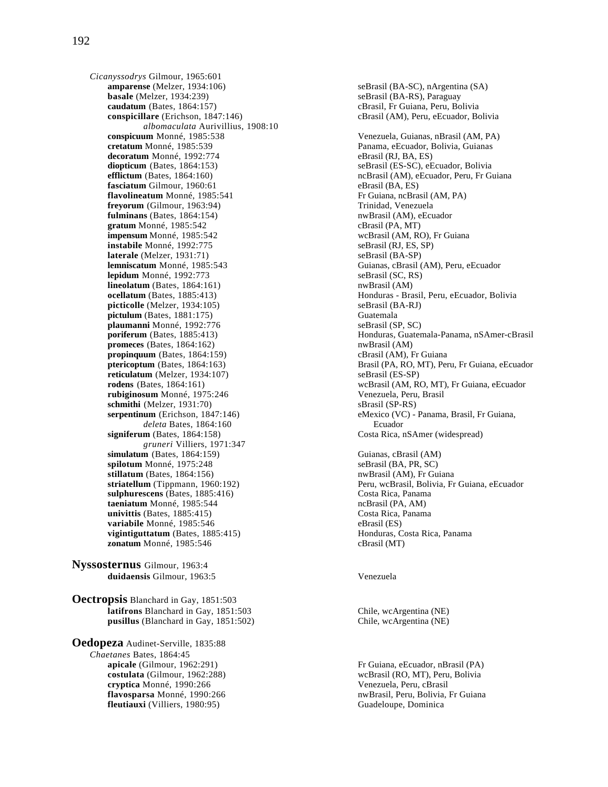*Cicanyssodrys* Gilmour, 1965:601 **basale** (Melzer, 1934:239) seBrasil (BA-RS), Paraguay **caudatum** (Bates, 1864:157)<br> **caudatum** (Bates, 1847:146)<br> **caudatum** (Brasil (AM), Peru, eEcuador, Bolivia<br> **caudatum** (Brasil (AM), Peru, eEcuador, Bolivia *albomaculata* Aurivillius, 1908:10 **conspicuum** Monné, 1985:538 Venezuela, Guianas, nBrasil (AM, PA)<br> **cretatum** Monné, 1985:539 **Venezuela, Guianas, exclusión** Panama, eEcuador, Bolivia, Guianas decoratum Monné, 1992:774 eBrasil (RJ, BA, ES) **diopticum** (Bates, 1864:153) seBrasil (ES-SC), eEcuador, Bolivia<br>
efflictum (Bates, 1864:160) seBrasil (AM), eEcuador, Peru, Fr Gi **fasciatum** Gilmour, 1960:61 eBrasil (BA, ES) **flavolineatum** Monné, 1985:541 Fr Guiana, ncBrasil (AM, PA)<br> **frevorum** (Gilmour, 1963:94) **Frieda** Trinidad, Venezuela freyorum (Gilmour, 1963:94) **fulminans** (Bates, 1864:154) **nwBrasil (AM), eEcuador** nwBrasil (AM), eEcuador gratum Monné, 1985:542 cBrasil (PA, MT) **impensum** Monné, 1985:542 wcBrasil (AM, RO), Fr Guiana **instabile** Monné, 1992:775 seBrasil (RJ, ES, SP) **laterale** (Melzer, 1931:71) seBrasil (BA-SP) **lemniscatum** Monné, 1985:543 Guianas, cBrasil (AM), Peru, eEcuador **lepidum** Monné, 1992:773 seBrasil (SC, RS) **lineolatum** (Bates, 1864:161) **nwBrasil** (AM) **ocellatum** (Bates, 1885:413) **Honduras - Brasil, Peru, eEcuador, Bolivia**<br> **picticolle** (Melzer, 1934:105) **SeBrasil** (BA-RJ) **SeBrasil** (BA-RJ) picticolle (Melzer, 1934:105) **pictulum** (Bates, 1881:175) Guatemala **plaumanni** Monné, 1992:776 seBrasil (SP, SC) **promeces** (Bates, 1864:162)<br> **propinguum** (Bates, 1864:159) **company** company company company company company company company company company company company company company company company company company company company  $propinquum$  (Bates,  $1864:159$ ) **reticulatum** (Melzer, 1934:107) seBrasil (ES-SP) **rubiginosum** Monné, 1975:246 Venezuela, Peru, Brasil **schmithi** (Melzer, 1931:70) <br>**serpentinum** (Erichson, 1847:146) **serpentinum** (Erichson, 1847:146) **eMexico** (VC) *deleta* Bates, 1864:160 Ecuador **signiferum** (Bates, 1864:158) Costa Rica, nSAmer (widespread) *gruneri* Villiers, 1971:347 **simulatum** (Bates, 1864:159) Guianas, cBrasil (AM) **spilotum** Monné, 1975:248 seBrasil (BA, PR, SC) **stillatum** (Bates, 1864:156) **nwBrasil (AM), Fr Guiana sulphurescens** (Bates, 1885:416) Costa Rica, Panama<br> **taeniatum** Monné, 1985:544 costa Rica, Panama ncBrasil (PA, AM) taeniatum Monné, 1985:544 **univittis** (Bates, 1885:415) Costa Rica, Panama **variabile** Monné, 1985:546 eBrasil (ES) **vigintiguttatum** (Bates, 1885:415) **zonatum** Monné, 1985:546 cBrasil (MT)

**Nyssosternus** Gilmour, 1963:4 **duidaensis** Gilmour, 1963:5 Venezuela

**Oectropsis** Blanchard in Gay, 1851:503 **latifrons** Blanchard in Gay, 1851:503 Chile, wcArgentina (NE) **pusillus** (Blanchard in Gay, 1851:502) Chile, wcArgentina (NE)

**Oedopeza** Audinet-Serville, 1835:88 *Chaetanes* Bates, 1864:45 **cryptica** Monné, 1990:266 Venezuela, Peru, cBrasil **fleutiauxi** (Villiers, 1980:95) Guadeloupe, Dominica

seBrasil (BA-SC), nArgentina (SA) cBrasil (AM), Peru, eEcuador, Bolivia Panama, eEcuador, Bolivia, Guianas ncBrasil (AM), eEcuador, Peru, Fr Guiana **poriferum** (Bates, 1885:413) Honduras, Guatemala-Panama, nSAmer-cBrasil **ptericoptum** (Bates, 1864:163) Brasil (PA, RO, MT), Peru, Fr Guiana, eEcuador **rodens** (Bates, 1864:161) wcBrasil (AM, RO, MT), Fr Guiana, eEcuador eMexico (VC) - Panama, Brasil, Fr Guiana, **striatellum** (Tippmann, 1960:192) Peru, wcBrasil, Bolivia, Fr Guiana, eEcuador

**apicale** (Gilmour, 1962:291) Fr Guiana, eEcuador, nBrasil (PA) **costulata** (Gilmour, 1962:288) wcBrasil (RO, MT), Peru, Bolivia **flavosparsa** Monné, 1990:266 nwBrasil, Peru, Bolivia, Fr Guiana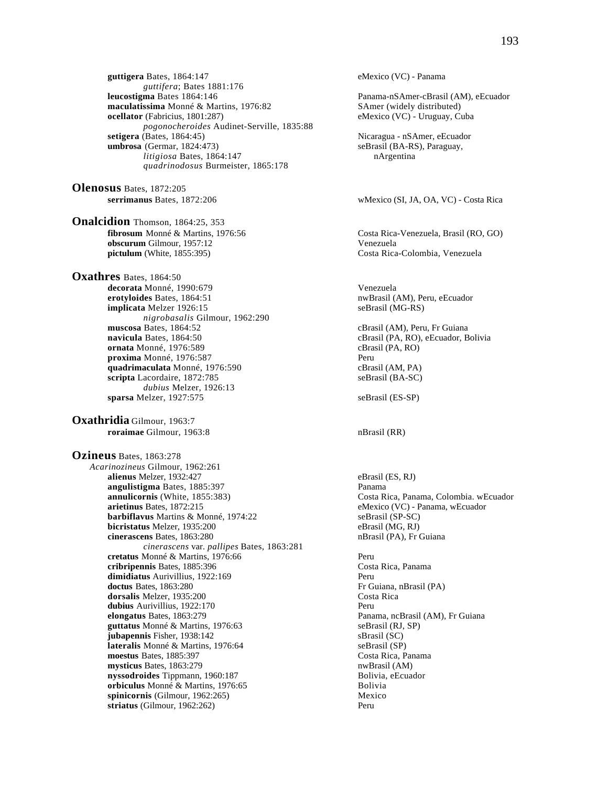**guttigera** Bates, 1864:147 eMexico (VC) - Panama *guttifera*; Bates 1881:176<br>**leucostigma** Bates 1864:146 **maculatissima** Monné & Martins, 1976:82 SAmer (widely distributed)<br> **ocellator** (Fabricius, 1801:287) eMexico (VC) - Uruguay, Cu *pogonocheroides* Audinet-Serville, 1835:88 **setigera** (Bates, 1864:45) <br> **sebagai - natural - natural - natural - natural - natural - natural - natural - natural - natural - natural - natural - natural - natural - natural - natural - natural - natural - natural - n** *litigiosa* Bates, 1864:147 nArgentina *quadrinodosus* Burmeister, 1865:178

**Olenosus** Bates, 1872:205

**Onalcidion** Thomson, 1864:25, 353<br> **fibrosum** Monné & Martins, 1976:56 **obscurum** Gilmour, 1957:12<br> **pictulum** (White, 1855:395) Costa Rica

**Oxathres** Bates, 1864:50 **decorata** Monné, 1990:679 Venezuela **erotyloides** Bates, 1864:51 **nwBrasil (AM), Peru, eEcuador**<br> **implicata** Melzer 1926:15 **notational seculiary of the Secult AM**), Peru, eEcuador **implicata** Melzer 1926:15 *nigrobasalis* Gilmour, 1962:290 **navicula** Bates, 1864:50 **cBrasil (PA, RO), eEcuador, Bolivia ornata** Monné, 1976:589 cBrasil (PA, RO) **proxima** Monné, 1976:587 Peru **quadrimaculata** Monné, 1976:590 cBrasil (AM, PA) **scripta** Lacordaire, 1872:785 seBrasil (BA-SC) *dubius* Melzer, 1926:13 **sparsa** Melzer, 1927:575 seBrasil (ES-SP)

**Oxathridia** Gilmour, 1963:7 **roraimae** Gilmour, 1963:8 nBrasil (RR)

**Ozineus** Bates, 1863:278 *Acarinozineus* Gilmour, 1962:261 **alienus** Melzer, 1932:427 eBrasil (ES, RJ) **angulistigma** Bates, 1885:397<br> **annulicornis** (White, 1855:383) Costa R **annulicornis** (White, 1855:383) Costa Rica, Panama, Colombia. wEcuador **arietinus** Bates. 1872:215 Costa Rica, Panama, wEcuador eMexico (VC) - Panama. wEcuador **barbiflavus** Martins & Monné, 1974:22 seBrasil (SP-SC) **bicristatus** Melzer, 1935:200 eBrasil (MG, RJ)<br> **cinerascens** Bates, 1863:280 **eBrasil (PA)**, Fr Guiana cinerascens Bates, 1863:280 *cinerascens* var. *pallipes* Bates, 1863:281 **cretatus** Monné & Martins, 1976:66 Peru **cribripennis** Bates, 1885:396 Costa Rica, Panama **dimidiatus** Aurivillius, 1922:169 Peru **doctus** Bates, 1863:280 **Fr** Guiana, nBrasil (PA) **dorsalis** Melzer. 1935:200 **Fr** Guiana, nBrasil (PA) dorsalis Melzer, 1935:200 **dubius** Aurivillius, 1922:170 Peru **elongatus Bates, 1863:279** Panama, ncBrasil (AM), Fr Guiana **guttatus** Monné & Martins, 1976:63 seBrasil (RJ, SP) **jubapennis** Fisher, 1938:142 sBrasil (SC) **lateralis** Monné & Martins, 1976:64 seBrasil (SP)<br> **moestus** Bates, 1885:397 Costa Rica, Panama **moestus Bates, 1885:397 mysticus** Bates, 1863:279 nwBrasil (AM) **nyssodroides** Tippmann, 1960:187<br> **orbiculus** Monné & Martins. 1976:65<br>
Bolivia Bolivia **orbiculus** Monné & Martins, 1976:65<br> **orbiculus in the Solivia**<br> **orbicornis** (Gilmour. 1962:265)  $spinicornis$  (Gilmour, 1962:265) **striatus** (Gilmour, 1962:262) Peru

Panama-nSAmer-cBrasil (AM), eEcuador eMexico (VC) - Uruguay, Cuba seBrasil (BA-RS), Paraguay, **serrimanus** Bates, 1872:206 wMexico (SI, JA, OA, VC) - Costa Rica **fibroson** Costa Rica-Venezuela, Brasil (RO, GO) Costa Rica-Colombia, Venezuela cBrasil (AM), Peru, Fr Guiana eMexico (VC) - Panama, wEcuador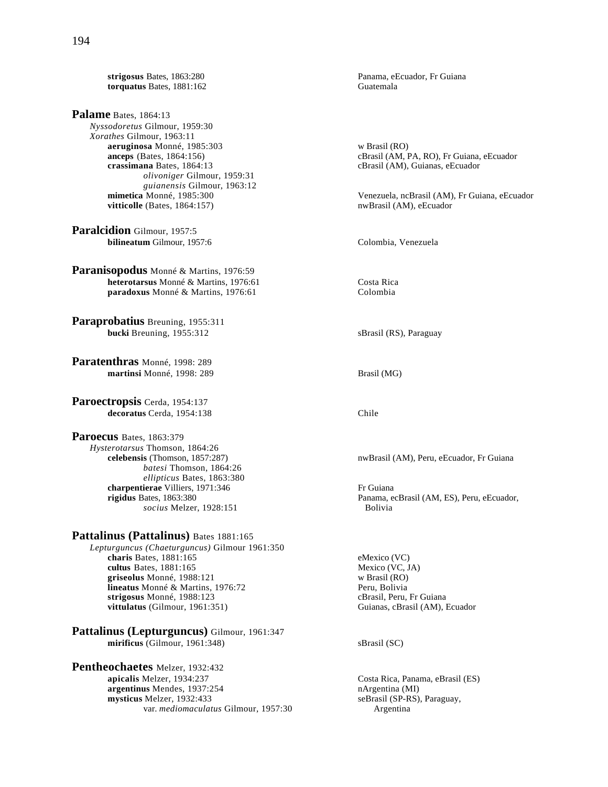**torquatus Bates, 1881:162** 

**Palame** Bates, 1864:13 *Nyssodoretus* Gilmour, 1959:30 *Xorathes* Gilmour, 1963:11 **aeruginosa** Monné, 1985:303 w Brasil (RO)<br> **anceps** (Bates, 1864:156) cBrasil (AM, F **crassimana** Bates, 1864:13 cBrasil (AM), Guianas, eEcuador *olivoniger* Gilmour, 1959:31 *guianensis* Gilmour, 1963:12  $vitticolle$  (Bates,  $1864:157$ )

**Paralcidion** Gilmour, 1957:5 **bilineatum** Gilmour, 1957:6 Colombia, Venezuela

**Paranisopodus** Monné & Martins, 1976:59 **heterotarsus** Monné & Martins, 1976:61 Costa Rica<br> **paradoxus** Monné & Martins, 1976:61 Colombia  **paradoxus** Monné & Martins, 1976:61

**Paraprobatius** Breuning, 1955:311 **bucki** Breuning, 1955:312 sBrasil (RS), Paraguay

**Paratenthras** Monné, 1998: 289 **martinsi** Monné, 1998: 289 Brasil (MG)

**Paroectropsis** Cerda, 1954:137 decoratus Cerda, 1954:138 Chile

**Paroecus** Bates, 1863:379 *Hysterotarsus* Thomson, 1864:26 **celebensis** (Thomson, 1857:287) nwBrasil (AM), Peru, eEcuador, Fr Guiana *batesi* Thomson, 1864:26  *ellipticus* Bates, 1863:380 **charpentierae** Villiers, 1971:346 Fr Guiana<br> **rigidus** Bates, 1863:380 Panama, e *socius* Melzer, 1928:151

Pattalinus (Pattalinus) Bates 1881:165

*Lepturguncus (Chaeturguncus)* Gilmour 1961:350 **charis** Bates, 1881:165 eMexico (VC)<br> **cultus** Bates, 1881:165 eMexico (VC, JA) **cultus** Bates, 1881:165 **griseolus** Monné, 1988:121 w Brasil (RO) **lineatus** Monné & Martins, 1976:72<br> **strigosus** Monné, 1988:123<br> **cBrasil, Peru, Fr Guiana** strigosus Monné, 1988:123 **vittulatus** (Gilmour, 1961:351) Guianas, cBrasil (AM), Ecuador

**Pattalinus (Lepturguncus)** Gilmour, 1961:347 **mirificus** (Gilmour, 1961:348) sBrasil (SC)

**Pentheochaetes** Melzer, 1932:432<br>apicalis Melzer, 1934:237 **argentinus** Mendes, 1937:254 **nArgentina (MI)**<br> **argentinus Melzer**, 1932:433 **n** seBrasil (SP-RS), Paraguay, mysticus Melzer, 1932:433 var. *mediomaculatus* Gilmour, 1957:30 Argentina

**strigosus Bates, 1863:280 Panama, eEcuador, Fr Guiana**<br> **strigosus Bates**, 1881:162 **Panama, eEcuador, Fr Guiana** 

cBrasil (AM, PA, RO), Fr Guiana, eEcuador

Venezuela, ncBrasil (AM), Fr Guiana, eEcuador nwBrasil (AM), eEcuador

Panama, ecBrasil (AM, ES), Peru, eEcuador, Bolivia

Costa Rica, Panama, eBrasil (ES)<br>nArgentina (MI)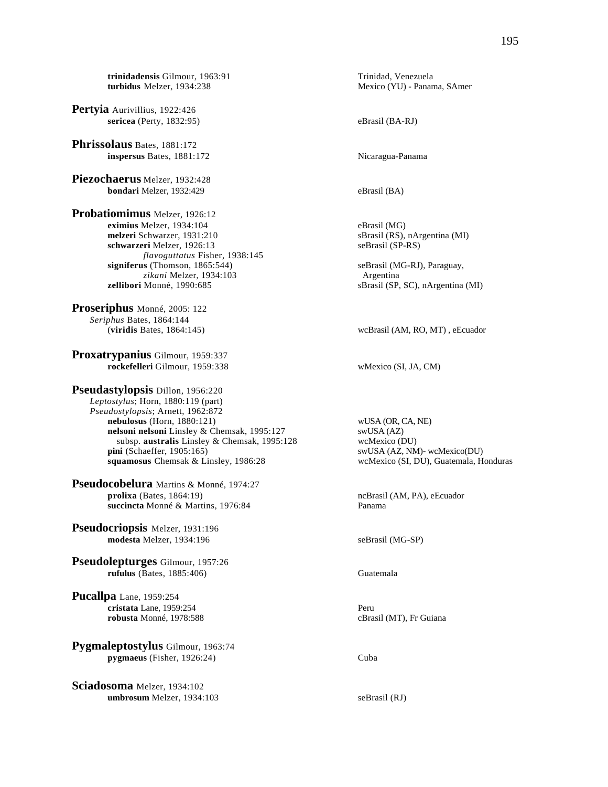**trinidadensis** Gilmour, 1963:91 Trinidad, Venezuela<br> **turbidus** Melzer, 1934:238 Mexico (YU) - Panan

**Pertyia** Aurivillius, 1922:426 **sericea** (Perty, 1832:95) eBrasil (BA-RJ)

**Phrissolaus** Bates, 1881:172 **inspersus** Bates, 1881:172 Nicaragua-Panama

**Piezochaerus** Melzer, 1932:428 **bondari** Melzer, 1932:429 eBrasil (BA)

**Probatiomimus** Melzer, 1926:12 **eximius** Melzer, 1934:104<br> **eximius** Melzer, 1931:210<br> **eximius** Melzeri Schwarzer, 1931:210<br> **eximis** eBrasil (MG)<br> **eximisis eBrasil (MG) melzeri** Schwarzer, 1931:210 sBrasil (RS), nAr<br> **schwarzeri** Melzer, 1926:13 seBrasil (SP-RS) schwarzeri Melzer, 1926:13 *flavoguttatus Fisher, 1938:145*<br>signiferus (Thomson, 1865:544) z*ikani* Melzer, 1934:103 Argentina **zellibori** Monné, 1990:685 sBrasil (SP, SC), nArgentina (MI)

**Proseriphus** Monné, 2005: 122 *Seriphus* Bates, 1864:144

**Proxatrypanius** Gilmour, 1959:337 **rockefelleri** Gilmour, 1959:338 wMexico (SI, JA, CM)

**Pseudastylopsis** Dillon, 1956:220 *Leptostylus*; Horn, 1880:119 (part) *Pseudostylopsis*; Arnett, 1962:872 **nebulosus** (Horn, 1880:121) wUSA (OR, CA, NE)<br> **nelsoni nelsoni** Linsley & Chemsak, 1995:127 swUSA (AZ) **nelsoni nelsoni** Linsley & Chemsak, 1995:127 swUSA (AZ)<br>subsp. **australis** Linsley & Chemsak, 1995:128 wcMexico (DU) subsp. **australis** Linsley & Chemsak, 1995:128 **pini** (Schaeffer, 1905:165) swUSA (AZ, NM)- wcMexico(DU) **squamosus** Chemsak & Linsley, 1986:28 wcMexico (SI, DU), Guatemala, Honduras

**Pseudocobelura** Martins & Monné, 1974:27 **prolixa** (Bates, 1864:19) **prolixa prolixa (Bates, 1864:19) ncBrasil (AM, PA), eEcuador succincta** Monné & Martins, 1976:84 Panama

**Pseudocriopsis** Melzer, 1931:196 **modesta** Melzer, 1934:196 seBrasil (MG-SP)

**Pseudolepturges** Gilmour, 1957:26 **rufulus** (Bates, 1885:406) Guatemala

**Pucallpa** Lane, 1959:254 **cristata** Lane, 1959:254<br> **contracts contracts contracts contracts contracts contracts contracts contracts contracts contracts contracts contracts contracts contracts contracts contracts co** robusta Monné, 1978:588

**Pygmaleptostylus** Gilmour, 1963:74 **pygmaeus** (Fisher, 1926:24) Cuba

**Sciadosoma** Melzer, 1934:102 **umbrosum** Melzer, 1934:103 seBrasil (RJ)

Mexico (YU) - Panama, SAmer

seBrasil (MG-RJ), Paraguay,

(**viridis** Bates, 1864:145) wcBrasil (AM, RO, MT) , eEcuador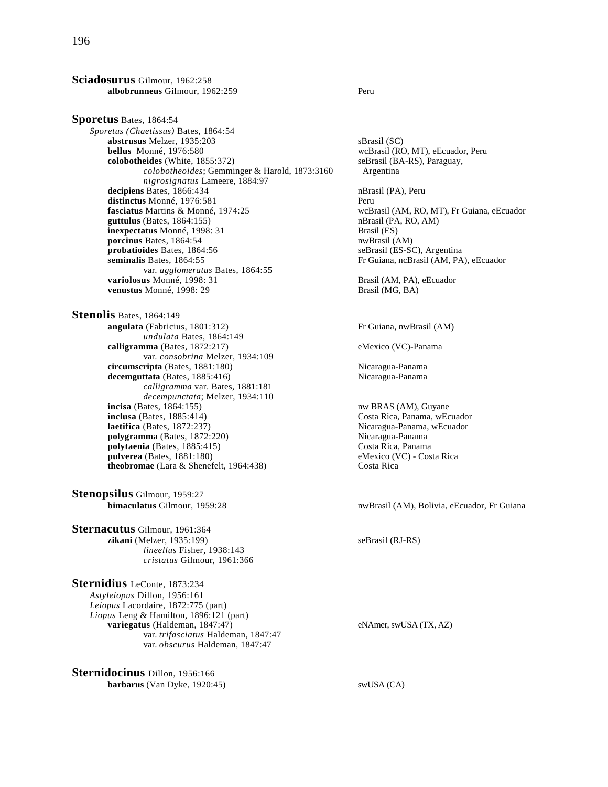**Sciadosurus** Gilmour, 1962:258 **albobrunneus** Gilmour, 1962:259 Peru

**Sporetus** Bates, 1864:54 *Sporetus (Chaetissus)* Bates, 1864:54 **abstrusus** Melzer, 1935:203 sBrasil (SC) **bellus** Monné, 1976:580 wcBrasil (RO, MT), eEcuador, Peru<br> **colobotheides** (White, 1855:372) seBrasil (BA-RS), Paraguay, **colobotheides** (White, 1855:372) *colobotheoides*; Gemminger & Harold, 1873:3160 Argentina *nigrosignatus* Lameere, 1884:97 decipiens Bates, 1866:434 nBrasil (PA), Peru distinctus Monné, 1976:581 Peru **fasciatus** Martins & Monné, 1974:25 wcBrasil (AM, RO, MT), Fr Guiana, eEcuador **guttulus** (Bates, 1864:155) **b** mBrasil (PA, RO, AM)  $guttulus$  (Bates,  $1864:155$ ) **inexpectatus** Monné, 1998: 31 Brasil (ES) **porcinus** Bates, 1864:54 nwBrasil (AM)<br> **probatioides** Bates, 1864:56 seBrasil (ES-S) **probatioides** Bates, 1864:56 seBrasil (ES-SC), Argentina<br> **probatioides** Bates, 1864:55 seBrasil (AM, PA var. *agglomeratus* Bates, 1864:55 **variolosus** Monné, 1998: 31 Brasil (AM, PA), eEcuador **venustus** Monné, 1998: 29 Brasil (MG, BA)

**Stenolis** Bates, 1864:149 **angulata** (Fabricius, 1801:312) Fr Guiana, nwBrasil (AM) *undulata* Bates, 1864:149 **calligramma** (Bates, 1872:217) eMexico (VC)-Panama var. *consobrina* Melzer, 1934:109 **circumscripta** (Bates, 1881:180) Nicaragua-Panama decemguttata (Bates, 1885:416) Nicaragua-Panama *calligramma* var. Bates, 1881:181 *decempunctata*; Melzer, 1934:110 **incisa** (Bates, 1864:155) nw BRAS (AM), Guyane **inclusa** (Bates, 1885:414) **Costa Rica, Panama, wEcuador laetifica** (Bates, 1872:237) **Costa Rica, Panama, wEcuador** polygramma (Bates, 1872:220) **polytaenia** (Bates, 1885:415) Costa Rica, Panama **pulverea** (Bates, 1881:180) eMexico (VC) - Costa Rica **theobromae** (Lara & Shenefelt, 1964:438) Costa Rica

**Stenopsilus** Gilmour, 1959:27

**Sternacutus** Gilmour, 1961:364 **zikani** (Melzer, 1935:199) seBrasil (RJ-RS) *lineellus* Fisher, 1938:143 *cristatus* Gilmour, 1961:366

**Sternidius** LeConte, 1873:234 *Astyleiopus* Dillon, 1956:161 *Leiopus* Lacordaire, 1872:775 (part) *Liopus* Leng & Hamilton, 1896:121 (part) **variegatus** (Haldeman, 1847:47) eNAmer, swUSA (TX, AZ) var. *trifasciatus* Haldeman, 1847:47 var. *obscurus* Haldeman, 1847:47

**Sternidocinus** Dillon, 1956:166 **barbarus** (Van Dyke, 1920:45) swUSA (CA)

Fr Guiana, ncBrasil (AM, PA), eEcuador

Nicaragua-Panama, wEcuador<br>Nicaragua-Panama

**bimaculatus** Gilmour, 1959:28 nwBrasil (AM), Bolivia, eEcuador, Fr Guiana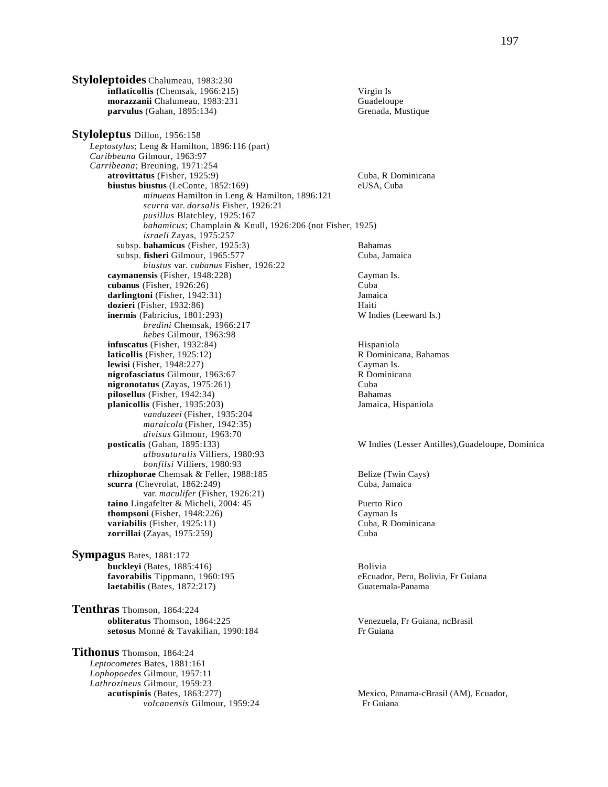**Styloleptoides** Chalumeau, 1983:230 **inflaticollis** (Chemsak, 1966:215) Virgin Is **morazzanii C**halumeau, 1983:231 Guadeloupe<br> **1988: Guadeloupe Guadeloupe Guadeloupe Grenada**, Mustique Grenada, Mustique  $parvulus (Gahan, 1895:134)$ **Styloleptus** Dillon, 1956:158 *Leptostylus*; Leng & Hamilton, 1896:116 (part) *Caribbeana* Gilmour, 1963:97 *Carribeana*; Breuning, 1971:254 **atrovittatus** (Fisher, 1925:9) Cuba, R Dominicana **biustus biustus** (LeConte, 1852:169) eUSA, Cuba *minuens* Hamilton in Leng & Hamilton, 1896:121 *scurra* var. *dorsalis* Fisher, 1926:21 *pusillus* Blatchley, 1925:167 *bahamicus*; Champlain & Knull, 1926:206 (not Fisher, 1925) *israeli* Zayas, 1975:257 subsp. **bahamicus** (Fisher, 1925:3) Bahamas subsp. fisheri Gilmour, 1965:577 Cuba, Jamaica *biustus* var. *cubanus* Fisher, 1926:22 **caymanensis** (Fisher, 1948:228) Cayman Is. **cubanus** (Fisher, 1926:26) Cuba **darlingtoni** (Fisher, 1942:31) **Jamaica**<br> **dozieri** (Fisher, 1932:86) **Haiti** Haiti **dozieri** (Fisher, 1932:86) **inermis** (Fabricius, 1801:293) W Indies (Leeward Is.) *bredini* Chemsak, 1966:217  *hebes* Gilmour, 1963:98 **infuscatus** (Fisher, 1932:84)<br> **laticollis** (Fisher, 1925:12) **Hispaniola** R Dominicana, Bahamas **laticollis** (Fisher, 1925:12) **R** Dominicana, Bahamas, Bahamas, Bahamas, Bahamas, Bahamas, Bahamas, Bahamas, Bahamas, Bahamas, Bahamas, Bahamas, Bahamas, Bahamas, Bahamas, Bahamas, Bahamas, Bahamas, Bahamas, Bahamas, Baha **lewisi** (Fisher, 1948:227) **nigrofasciatus** Gilmour, 1963:67 R Dominicana **nigronotatus** (Zayas, 1975:261) Cuba<br> **nilosellus** (Fisher, 1942:34) **Cuba**<br>
Bahamas pilosellus (Fisher, 1942:34) **planicollis** (Fisher, 1935:203) Jamaica, Hispaniola *vanduzeei* (Fisher, 1935:204 *maraicola* (Fisher, 1942:35) *divisus* Gilmour, 1963:70<br>**posticalis** (Gahan, 1895:133) *albosuturalis* Villiers, 1980:93 *bonfilsi* Villiers, 1980:93 **rhizophorae** Chemsak & Feller, 1988:185 Belize (Twin Cays) **scurra** (Chevrolat, 1862:249) Cuba, Jamaica var. *maculifer* (Fisher, 1926:21) **taino** Lingafelter & Micheli, 2004: 45 Puerto Rico **thompsoni** (Fisher, 1948:226) Cayman Is **variabilis** (Fisher, 1925:11) Cuba, R Dominicana **zorrillai** (Zayas, 1975:259) Cuba

**Sympagus** Bates, 1881:172 **buckleyi** (Bates, 1885:416) Bolivia **laetabilis** (Bates, 1872:217) Guatemala-Panama

**Tenthras** Thomson, 1864:224 **obliteratus** Thomson, 1864:225 Venezuela, Fr Guiana, ncBrasil setosus Monné & Tavakilian, 1990:184 Fr Guiana

**Tithonus** Thomson, 1864:24 *Leptocometes* Bates, 1881:161 *Lophopoedes* Gilmour, 1957:11 *Lathrozineus* Gilmour, 1959:23 **acutispinis** (Bates, 1863:277)<br>
volcanensis Gilmour, 1959:24<br>
Frequiana<br>
Frequiana *volcanensis* Gilmour, 1959:24

W Indies (Lesser Antilles),Guadeloupe, Dominica

**favorabilis** Tippmann, 1960:195 eEcuador, Peru, Bolivia, Fr Guiana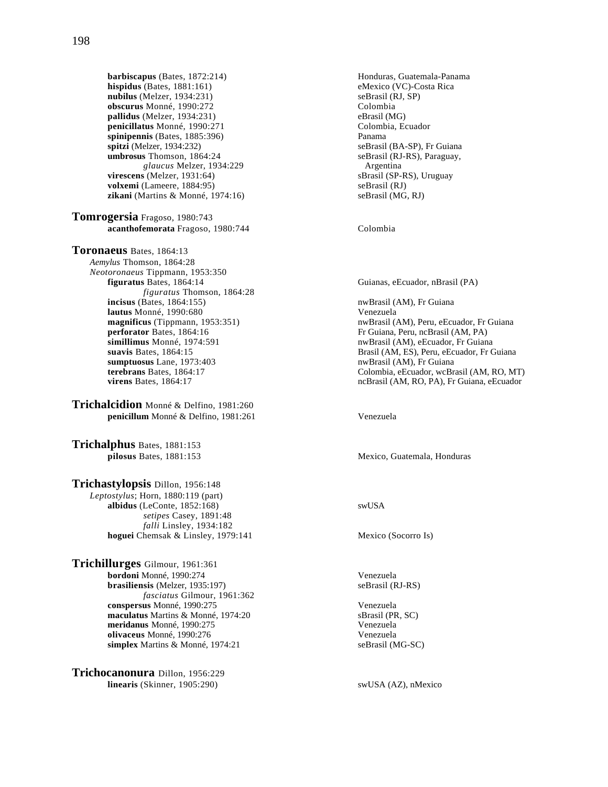**barbiscapus** (Bates, 1872:214) **Honduras, Guatemala-Panama**<br> **hispidus** (Bates, 1881:161) **Honduras** eMexico (VC)-Costa Rica **hispidus** (Bates,  $1881:161$ ) **nubilus** (Melzer, 1934:231) seBrasil (RJ, SP) **obscurus** Monné, 1990:272 Colombia **pallidus** (Melzer, 1934:231) eBrasil (MG) penicillatus Monné, 1990:271 **spinipennis** (Bates, 1885:396) Panama<br> **spitzi** (Melzer, 1934:232) seBrasil **spitzi** (Melzer, 1934:232)<br> **seBrasil (BA-SP), Fr Guiana**<br> **seBrasil (RJ-RS), Paraguay,** 

**zikani** (Martins & Monné, 1974:16) seBrasil (MG, RJ) **Tomrogersia** Fragoso, 1980:743

**virescens** (Melzer, 1931:64)

**Toronaeus** Bates, 1864:13 *Aemylus* Thomson, 1864:28 *Neotoronaeus* Tippmann, 1953:350 **figuratus** Bates, 1864:14 Guianas, eEcuador, nBrasil (PA) *figuratus* Thomson, 1864:28<br>**incisus** (Bates, 1864:155) **lautus** Monné, 1990:680 Venezuela<br> **magnificus** (Tippmann, 1953:351) The numerical versus in the numerical versus in the numerical versus in the numerical versus in the numerical versus in the numerical versus in the nume **simillimus** Monné, 1974:591 **nwBrasil (AM), eEcuador, Fr Guiana**<br>**suavis** Bates, 1864:15 **numbers b** Brasil (AM, ES), Peru, eEcuador, Fr C **sumptuosus** Lane, 1973:403 **nwBrasil (AM), Fr Guiana** 

**Trichalcidion** Monné & Delfino, 1981:260 **penicillum** Monné & Delfino, 1981:261 Venezuela

**Trichalphus** Bates, 1881:153

**Trichastylopsis** Dillon, 1956:148 *Leptostylus*; Horn, 1880:119 (part) **albidus** (LeConte, 1852:168) swUSA *setipes* Casey, 1891:48 *falli* Linsley, 1934:182 **hoguei** Chemsak & Linsley, 1979:141 Mexico (Socorro Is)

**Trichillurges** Gilmour, 1961:361 **bordoni** Monné, 1990:274 Venezuela **brasiliensis** (Melzer, 1935:197) *fasciatus* Gilmour, 1961:362 **conspersus** Monné, 1990:275<br> **maculatus** Martins & Monné, 1974:20<br> **conspersion**<br> **conspersion**<br> **conspersed**<br> **conspersed**<br> **conspersed**<br> **conspersed**<br> **conspersion** maculatus Martins & Monné, 1974:20 **meridanus** Monné, 1990:275 Venezuela **olivaceus** Monné, 1990:276<br> **simplex** Martins & Monné, 1974:21 SeBrasil (MG-SC) simplex Martins & Monné, 1974:21

**Trichocanonura** Dillon, 1956:229 **linearis** (Skinner, 1905:290) swUSA (AZ), nMexico

seBrasil (RJ-RS), Paraguay, *glaucus* Melzer, 1934:229 <br>**g** (Melzer, 1931:64) **Argentina Shave Shave Shave Shave Shave Shave Shave Shave Shave Shave Shave Shave Shave Shave Shave Shave Shave Shave Shave Shave Shave Shave Shave Shave Shave Shave Sha volxemi** (Lameere, 1884:95) seBrasil (RJ)

**acanthofemorata** Fragoso, 1980:744 Colombia

nwBrasil (AM), Fr Guiana **magnificus** (Tippmann, 1953:351) nwBrasil (AM), Peru, eEcuador, Fr Guiana<br> **perforator** Bates, 1864:16 Fr Guiana, Peru, ncBrasil (AM, PA) Fr Guiana, Peru, ncBrasil (AM, PA) Brasil (AM, ES), Peru, eEcuador, Fr Guiana **terebrans** Bates, 1864:17 Colombia, eEcuador, wcBrasil (AM, RO, MT) **virens** Bates, 1864:17 **colombia, eEcuador** ncBrasil (AM, RO, PA), Fr Guiana, eEcuador **virens** Bates, 1864:17 ncBrasil (AM, RO, PA), Fr Guiana, eEcuador

**pilosus** Bates, 1881:153 Mexico, Guatemala, Honduras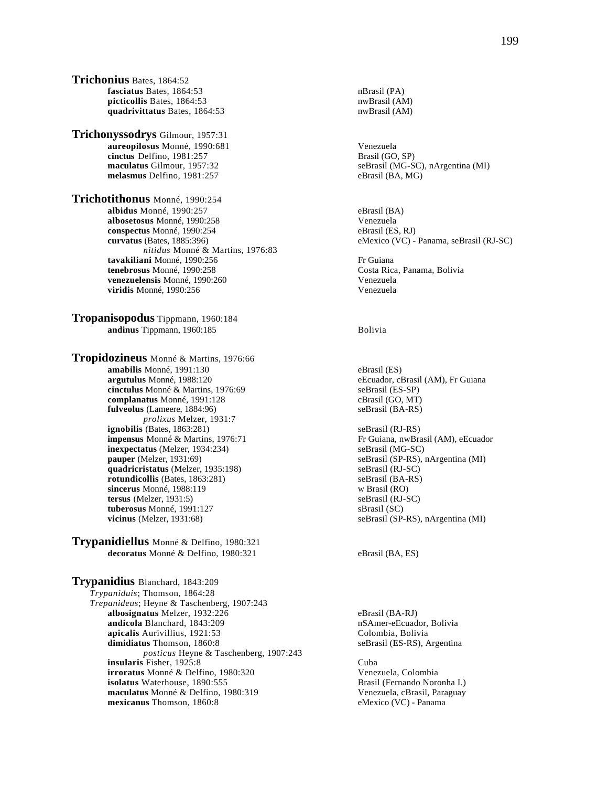**Trichonius** Bates, 1864:52 **fasciatus** Bates, 1864:53 nBrasil (PA) **picticollis** Bates, 1864:53 nwBrasil (AM)<br> **quadrivittatus** Bates, 1864:53 nwBrasil (AM) quadrivittatus Bates, 1864:53

**Trichonyssodrys** Gilmour, 1957:31 **aureopilosus** Monné, 1990:681<br> **aureopilosus** Monné, 1981:257<br> **aureopilosus** Delfino, 1981:257 cinctus Delfino, 1981:257 **melasmus** Delfino, 1981:257 eBrasil (BA, MG)

**Trichotithonus** Monné, 1990:254 **albidus** Monné, 1990:257 eBrasil (BA)  **albosetosus** Monné, 1990:258 Venezuela **conspectus** Monné, 1990:254 eBrasil (ES, RJ)  **curvatus** (Bates, 1885:396) eMexico (VC) - Panama, seBrasil (RJ-SC) *nitidus* Monné & Martins, 1976:83 **tavakiliani** Monné, 1990:256 Fr Guiana  **tenebrosus** Monné, 1990:258 Costa Rica, Panama, Bolivia **venezuelensis** Monné, 1990:260<br> **venezuela viridis** Monné, 1990:256 **viridis** Monné, 1990:256

**Tropanisopodus** Tippmann, 1960:184 **andinus** Tippmann, 1960:185 Bolivia

**Tropidozineus** Monné & Martins, 1976:66 **amabilis** Monné, 1991:130<br> **argutulus** Monné, 1988:120<br>
eEcuador, cl **cinctulus** Monné & Martins, 1976:69 seBrasil (ES-SP)<br> **complanatus** Monné, 1991:128 cBrasil (GO, MT) **complanatus** Monné, 1991:128 cBrasil (GO, MT)<br> **fulveolus** (Lameere, 1884:96) seBrasil (BA-RS) **fulveolus** (Lameere, 1884:96) *prolixus* Melzer, 1931:7 **ignobilis** (Bates, 1863:281)<br> **impensus** Monné & Martins, 1976:71 **seBrasil (RJ-RS)** Fr Guiana, nwBrasil (AM), eEcuador **impensus** Monné & Martins, 1976:71 **inexpectatus** (Melzer, 1934:234) seBrasil (MG-SC) seBrasil (MG-SC) seBrasil (SP-RS), i **quadricristatus** (Melzer, 1935:198) seBrasil (RJ-SC) **rotundicollis** (Bates, 1863:281) seBrasil (BA-RS) sincerus Monné, 1988:119 v Brasil (RO) **sincerus** Monné, 1988:119 **tersus** (Melzer, 1931:5) seBrasil (RJ-SC) **tuberosus** Monné, 1991:127 sBrasil (SC)

**Trypanidiellus** Monné & Delfino, 1980:321 decoratus Monné & Delfino, 1980:321 eBrasil (BA, ES)

**Trypanidius** Blanchard, 1843:209 *Trypaniduis*; Thomson, 1864:28 *Trepanideus*; Heyne & Taschenberg, 1907:243 **albosignatus** Melzer, 1932:226 eBrasil (BA-RJ)<br> **andicola** Blanchard, 1843:209 eBrasil (BA-RJ) eSAmer-eEcuador, Bolivia **andicola** Blanchard, 1843:209 **nSAmer-eEcuador, apicalis** Aurivillius, 1921:53 **notation** Colombia, Bolivia apicalis Aurivillius, 1921:53 **dimidiatus** Thomson, 1860:8 seBrasil (ES-RS), Argentina *posticus* Heyne & Taschenberg, 1907:243 **insularis** Fisher, 1925:8 Cuba **irroratus** Monné & Delfino, 1980:320 Venezuela, Colombia<br> **isolatus** Waterhouse, 1890:555 **Venezuela, Colombia** Brasil (Fernando Noronha I.) **isolatus** Waterhouse, 1890:555 **maculatus** Monné & Delfino, 1980:319 Venezuela, cBrasil, Paraguay **mexicanus** Thomson, 1860:8 eMexico (VC) - Panama

**maculatus** Gilmour, 1957:32 seBrasil (MG-SC), nArgentina (MI)

eEcuador, cBrasil (AM), Fr Guiana

 $seBrasil (SP-RS), nArgentina (MI)$ **vicinus** (Melzer, 1931:68) seBrasil (SP-RS), nArgentina (MI)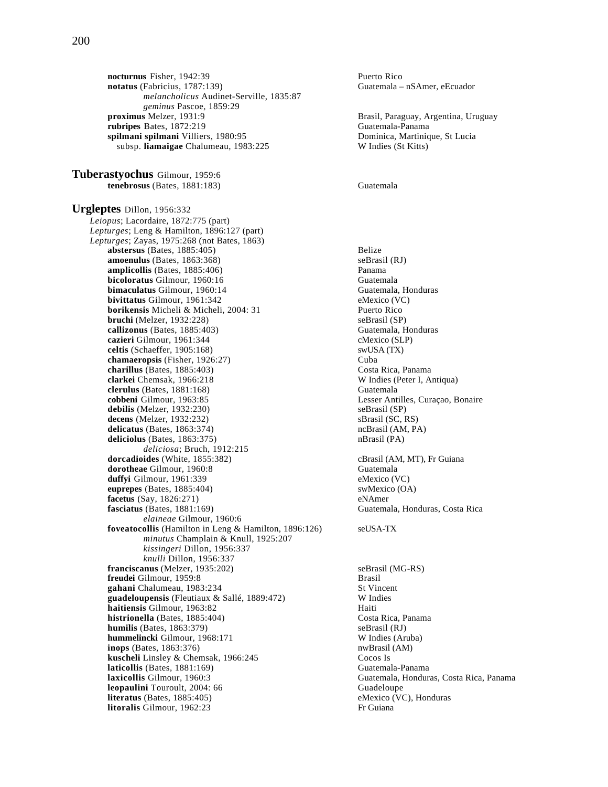**nocturnus** Fisher, 1942:39<br> **notatus** (Fabricius, 1787:139) **Puerto Rico**<br>
Guatemala – *melancholicus* Audinet-Serville, 1835:87 *geminus Pascoe, 1859:29*<br>**proximus** Melzer, 1931:9 **rubripes** Bates, 1872:219 **spilmani spilmani** Villiers, 1980:95<br>
subsp. **liamaigae** Chalumeau, 1983:225<br>
W Indies (St Kitts) subsp. liamaigae Chalumeau, 1983:225

**Tuberastyochus** Gilmour, 1959:6 **tenebrosus** (Bates, 1881:183) Guatemala

**Urgleptes** Dillon, 1956:332 *Leiopus*; Lacordaire, 1872:775 (part) *Lepturges*; Leng & Hamilton, 1896:127 (part) *Lepturges*; Zayas, 1975:268 (not Bates, 1863) **abstersus** (Bates, 1885:405) Belize **amoenulus** (Bates, 1863:368) seBrasil (RJ) **amplicollis** (Bates, 1885:406) Panama **bicoloratus** Gilmour, 1960:16 Guatemala **bimaculatus** Gilmour, 1960:14 **Guatemala, Honduras**<br> **bivittatus** Gilmour, 1961:342 **CONS** eMexico (VC) **bivittatus** Gilmour, 1961:342<br> **borikensis** Micheli & Micheli. 2004: 31 **eMexico** (VC) Puerto Rico **borikensis** Micheli & Micheli, 2004: 31 **bruchi** (Melzer, 1932:228) seBrasil (SP) **callizonus** (Bates, 1885:403) Guatemala, Honduras **cazieri Gilmour, 1961:344** consumed consumed consumed consumed consumed consumed consumed consumed consumed consumed consumed consumed consumed consumed consumed consumed consumed consumed consumed consumed consumed consu  $celtis$  (Schaeffer,  $1905:168$ ) **chamaeropsis** (Fisher, 1926:27) Cuba **charillus** (Bates, 1885:403) Costa Rica, Panama **clarkei** Chemsak, 1966:218 W Indies (Peter I, Antiqua) **clerulus** (Bates, 1881:168) Guatemala<br> **cobbeni** Gilmour, 1963:85 Cesser Anti  $debilis$  (Melzer, 1932:230) decens (Melzer, 1932:232) sBrasil (SC, RS) **delicatus** (Bates, 1863:374) ncBrasil (AM, PA) **deliciolus** (Bates, 1863:375) nBrasil (PA) *deliciosa*; Bruch, 1912:215 **dorcadioides** (White, 1855:382) **cBrasil (AM, MT), Fr Guiana dorotheae** Gilmour, 1960:8 Guatemala **duffyi** Gilmour, 1961:339 eMexico (VC)<br> **euprepes** (Bates, 1885:404) swMexico (OA)  $euprepes$  (Bates,  $1885:404$ ) **facetus** (Say, 1826:271) eNAmer **fasciatus** (Bates, 1881:169) Guatemala, Honduras, Costa Rica *elaineae* Gilmour, 1960:6 **foveatocollis** (Hamilton in Leng & Hamilton, 1896:126) seUSA-TX *minutus* Champlain & Knull, 1925:207 *kissingeri* Dillon, 1956:337 *knulli* Dillon, 1956:337 **franciscanus** (Melzer, 1935:202) seBrasil (MG-RS) **freudei** Gilmour, 1959:8 Brasil **gahani** Chalumeau, 1983:234 St Vincent **guadeloupensis** (Fleutiaux & Sallé, 1889:472) W Indies **haitiensis** Gilmour, 1963:82 Haiti **histrionella** (Bates, 1885:404) Costa Rica, Panama **humilis** (Bates, 1863:379) <br> **hummelincki** Gilmour. 1968:171 W Indies (Aruba) **hummelincki** Gilmour, 1968:171 **inops** (Bates, 1863:376) **nwBrasil** (AM) **kuscheli** Linsley & Chemsak, 1966:245 Cocos Is **laticollis** (Bates, 1881:169) Guatemala-Panama<br> **laxicollis** Gilmour, 1960:3 Guatemala, Hondura **leopaulini** Touroult, 2004: 66 Guadeloupe **literatus** (Bates, 1885:405) eMexico (VC), Honduras **litoralis** Gilmour, 1962:23 Fr Guiana

Guatemala – nSAmer, eEcuador

Brasil, Paraguay, Argentina, Uruguay<br>Guatemala-Panama

Lesser Antilles, Curaçao, Bonaire<br>seBrasil (SP)

Guatemala, Honduras, Costa Rica, Panama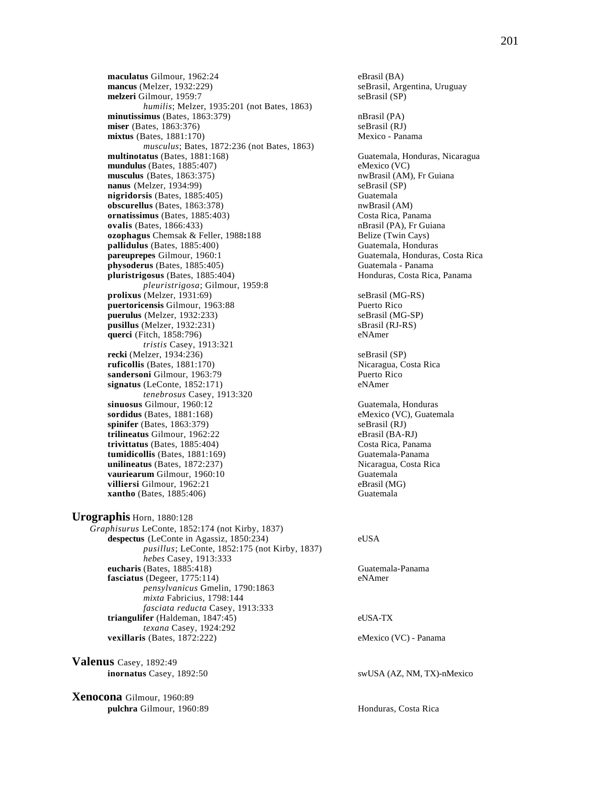**maculatus** Gilmour, 1962:24 eBrasil (BA)<br> **mancus** (Melzer, 1932:229) seBrasil, Arg **melzeri** Gilmour, 1959:7 seBrasil (SP) *humilis*; Melzer, 1935:201 (not Bates, 1863) **minutissimus** (Bates, 1863:379) nBrasil (PA) nBrasil (PA) nBrasil (RJ) nBrasil (RJ) **miser** (Bates, 1863:376) mixtus (Bates, 1881:170) Mexico - Panama *musculus*; Bates, 1872:236 (not Bates, 1863) **multinotatus** (Bates, 1881:168) Guatemala, Honduras, Nicaragua **mundulus** (Bates, 1885:407)<br> **musculus** (Bates, 1863:375) eMexico (VC)<br>
musculus (Bates, 1863:375)  $musculus (Bates, 1863:375)$ **nanus** (Melzer, 1934:99) seBrasil (SP) **nigridorsis** (Bates, 1885:405)<br> **obscurellus** (Bates, 1863:378) **Guatemala**<br> **obscurellus** (Bates, 1863:378) **obscurellus** (Bates, 1863:378) **ornatissimus** (Bates, 1885:403) Costa Rica, Panama **ovalis** (Bates, 1866:433) **nBrasil (PA), Fr Guiana ozophagus** Chemsak & Feller, 1988**:**188 Belize (Twin Cays) **pallidulus** (Bates, 1885:400) Guatemala, Honduras **pareuprepes** Gilmour, 1960:1 Guatemala, Honduras, Costa Rica<br> **physoderus** (Bates, 1885:405) Guatemala - Panama  $physoderus$  (Bates,  $1885:405$ ) **pluristrigosus** (Bates, 1885:404) **Honduras, Costa Rica, Panama** *pleuristrigosa*; Gilmour, 1959:8 **prolixus** (Melzer, 1931:69)<br> **prolixus** (MG-RS)<br> **puertoricensis** Gilmour. 1963:88<br> **puertoricensis** Gilmour. 1963:88 puertoricensis Gilmour, 1963:88 **puerulus** (Melzer, 1932:233) seBrasil (MG-SP) **pusillus** (Melzer, 1932:231) sBrasil (RJ-RS) **querci** (Fitch, 1858:796) eNAmer *tristis* Casey, 1913:321 **recki** (Melzer, 1934:236) seBrasil (SP) **ruficollis** (Bates, 1881:170) Nicaragua, Costa Rica **sandersoni** Gilmour, 1963:79 **Puerto Rico signatus** (LeConte, 1852:171) eNAmer *tenebrosus* Casey, 1913:320 **sinuosus** Gilmour, 1960:12 Guatemala, Honduras<br> **sordidus** (Bates, 1881:168) Guatemala<br>
eMexico (VC), Guatemala  $sordidus$  (Bates,  $1881:168$ ) **spinifer** (Bates, 1863:379) seBrasil (RJ) **trilineatus** Gilmour, 1962:22 eBrasil (BA-RJ)<br> **trivittatus** (Bates, 1885:404) Costa Rica, Panama **trivittatus** (Bates, 1885:404) Costa Rica, Panama<br> **tumidicollis** (Bates, 1881:169) Guatemala-Panama  $tumidicollis$  (Bates,  $1881:169$ ) **unilineatus** (Bates, 1872:237) <br> **vauriearum** Gilmour, 1960:10 **Nicaragua, Costa Rica**<br> **Guatemala vauriearum** Gilmour, 1960:10 **Guatemala**<br> **villiersi** Gilmour, 1962:21 **Guatemala**<br>
eBrasil (MG) **villiersi** Gilmour, 1962:21 **xantho** (Bates, 1885:406) Guatemala

**Urographis** Horn, 1880:128 *Graphisurus* LeConte, 1852:174 (not Kirby, 1837) **despectus** (LeConte in Agassiz, 1850:234) eUSA *pusillus*; LeConte, 1852:175 (not Kirby, 1837) *hebes* Casey, 1913:333 **eucharis** (Bates, 1885:418) Guatemala-Panama **fasciatus** (Degeer, 1775:114) eNAmer *pensylvanicus* Gmelin, 1790:1863 *mixta* Fabricius, 1798:144 *fasciata reducta* Casey, 1913:333 **triangulifer** (Haldeman, 1847:45) eUSA-TX *texana* Casey, 1924:292 **vexillaris** (Bates, 1872:222) eMexico (VC) - Panama

**Valenus** Casey, 1892:49

**Xenocona** Gilmour, 1960:89 **pulchra** Gilmour, 1960:89 **Honduras, Costa Rica** 

seBrasil, Argentina, Uruguay

**inornatus** Casey, 1892:50 swUSA (AZ, NM, TX)-nMexico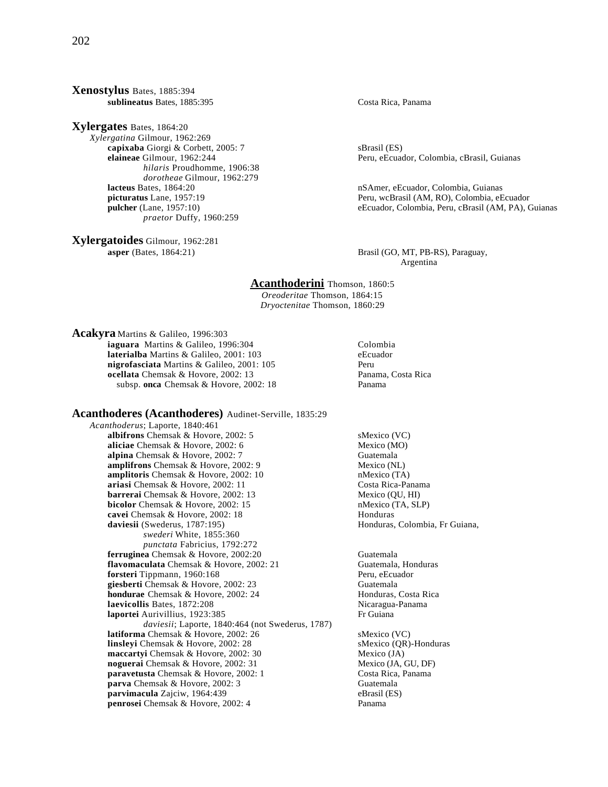### **Xenostylus** Bates, 1885:394 **sublineatus** Bates, 1885:395 Costa Rica, Panama

**Xylergates** Bates, 1864:20 *Xylergatina* Gilmour, 1962:269 **capixaba** Giorgi & Corbett, 2005: 7 SBrasil (ES)<br> **elaineae** Gilmour, 1962:244 **Santa Brasil (ES)**<br>
Peru, eEcua *hilaris* Proudhomme, 1906:38 *dorotheae* Gilmour, 1962:279 **lacteus** Bates, 1864:20 nSAmer, eEcuador, Colombia, Guianas<br> **picturatus** Lane, 1957:19 **nSAmer, eEcuador, Colombia, Guianas** *praetor* Duffy, 1960:259

**Xylergatoides** Gilmour, 1962:281

Peru, eEcuador, Colombia, cBrasil, Guianas

Peru, wcBrasil (AM, RO), Colombia, eEcuador **pulcher** (Lane, 1957:10) eEcuador, Colombia, Peru, cBrasil (AM, PA), Guianas

**asper** (Bates, 1864:21) **Brasil (GO, MT, PB-RS), Paraguay,** Argentina

### **Acanthoderini** Thomson, 1860:5

*Oreoderitae* Thomson, 1864:15 *Dryoctenitae* Thomson, 1860:29

**Acakyra** Martins & Galileo, 1996:303

**iaguara** Martins & Galileo, 1996:304 **Colombia**<br> **laterialba** Martins & Galileo. 2001: 103 **CECUACES laterialba** Martins & Galileo, 2001: 103 **nigrofasciata** Martins & Galileo, 2001: 105 Peru **ocellata** Chemsak & Hovore, 2002: 13 Panama, Costa Rica subsp. **onca** Chemsak & Hovore, 2002: 18 Panama

## **Acanthoderes (Acanthoderes)** Audinet-Serville, 1835:29

*Acanthoderus*; Laporte, 1840:461 **albifrons** Chemsak & Hovore, 2002: 5 sMexico (VC) **aliciae** Chemsak & Hovore, 2002: 6 Mexico (MO) **alpina** Chemsak & Hovore, 2002: 7 Guatemala<br> **amplifrons** Chemsak & Hovore. 2002: 9 Mexico (NL) **amplifrons** Chemsak & Hovore, 2002: 9 Mexico (NL)<br> **amplitoris** Chemsak & Hovore, 2002: 10 Mexico (TA) **amplitoris** Chemsak & Hovore, 2002: 10 **ariasi** Chemsak & Hovore, 2002: 11 Costa Rica-Panama **barrerai** Chemsak & Hovore, 2002: 13 Mexico (QU, HI) **bicolor** Chemsak & Hovore, 2002: 15 **nMexico** (TA, SLP)<br> **cavei** Chemsak & Hovore, 2002: 18 **Honduras cavei** Chemsak & Hovore, 2002: 18<br>**daviesii** (Swederus, 1787:195) *swederi* White, 1855:360 *punctata* Fabricius, 1792:272 **ferruginea** Chemsak & Hovore, 2002:20<br> **flavomaculata** Chemsak & Hovore, 2002: 21 **Guatemala, Honduras** flavomaculata Chemsak & Hovore, 2002: 21 **forsteri** Tippmann, 1960:168 Peru, eEcuador **giesberti** Chemsak & Hovore, 2002: 23 Guatemala<br> **hondurae** Chemsak & Hovore, 2002: 24 Honduras, Costa Rica hondurae Chemsak & Hovore, 2002: 24 **laevicollis** Bates, 1872:208 Nicaragua-Panama **laportei** Aurivillius, 1923:385 Fr Guiana *daviesii*; Laporte, 1840:464 (not Swederus, 1787) **latiforma** Chemsak & Hovore, 2002: 26 SMexico (VC)<br> **linsleyi** Chemsak & Hovore, 2002: 28 SMexico (QR)-Honduras **linsleyi** Chemsak & Hovore, 2002: 28 **maccartyi** Chemsak & Hovore, 2002: 30 Mexico (JA) **noguerai** Chemsak & Hovore, 2002: 31 Mexico (JA, GU, DF) **paravetusta** Chemsak & Hovore, 2002: 1 Costa Rica, Panama **parva** Chemsak & Hovore, 2002: 3 Guatemala **parvimacula** Zajciw, 1964:439<br> **penrosei** Chemsak & Hovore. 2002: 4 Panama **penrosei** Chemsak & Hovore, 2002: 4

Honduras, Colombia, Fr Guiana,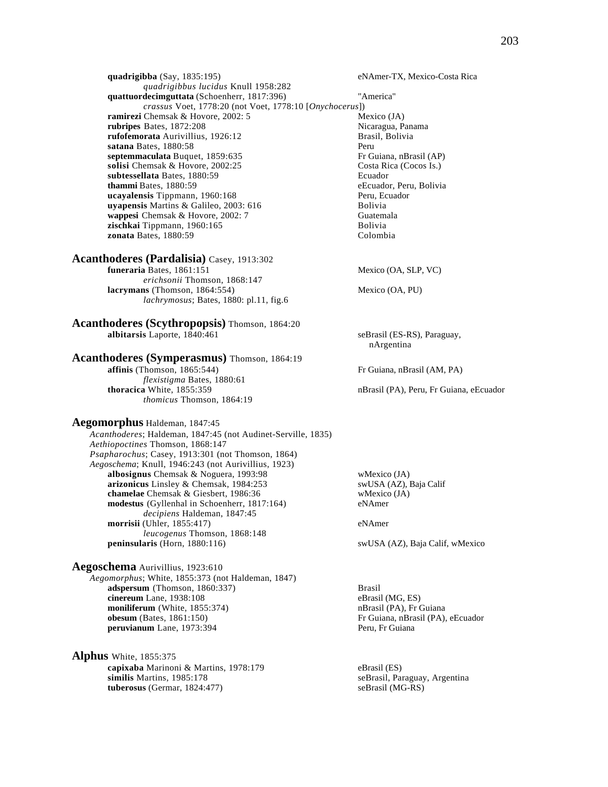*quadrigibbus lucidus* Knull 1958:282 **quattuordecimguttata** (Schoenherr, 1817:396) "America" *crassus* Voet, 1778:20 (not Voet, 1778:10 [*Onychocerus*]) **ramirezi** Chemsak & Hovore, 2002: 5 Mexico (JA)<br> **rubripes** Bates, 1872:208 Mexico (JA)<br>
Nicaragua, Panama **rubripes** Bates, 1872:208 **rufofemorata** Aurivillius, 1926:12 Brasil, Bolivia **satana** Bates, 1880:58 Peru **septemmaculata** Buquet, 1859:635 Fr Guiana, nBrasil (AP) **solisi** Chemsak & Hovore, 2002:25 Costa Rica (Cocos Is.)<br> **subtessellata** Bates, 1880:59 Ecuador subtessellata Bates, 1880:59 **thammi Bates, 1880:59** eEcuador, Peru, Bolivia<br> **ucayalensis** Tippmann, 1960:168 Peru, Ecuador **ucayalensis** Tippmann, 1960:168 **Peru, Ecuador Peru, Ecuador e Peru, Ecuador e Peru, Ecuador e Peru, Ecuador e Peru, Ecuador e Peru, Ecuador e Peru, Ecuador e Peru, Ecuador e Peru, Ecuador e Peru, Ecuador e Peru, Ecuador uyapensis** Martins & Galileo, 2003: 616<br> **wappesi** Chemsak & Hovore. 2002: 7 Cuatemala **wappesi** Chemsak & Hovore, 2002: 7 zischkai Tippmann, 1960:165 Bolivia **zonata** Bates, 1880:59 Colombia

## **Acanthoderes (Pardalisia)** Casey, 1913:302

**funeraria** Bates, 1861:151 Mexico (OA, SLP, VC) *erichsonii* Thomson, 1868:147 **lacrymans** (Thomson, 1864:554) Mexico (OA, PU) *lachrymosus*; Bates, 1880: pl.11, fig.6

**Acanthoderes (Scythropopsis)** Thomson, 1864:20 **albitarsis** Laporte, 1840:461 seBrasil (ES-RS), Paraguay,

## **Acanthoderes (Symperasmus)** Thomson, 1864:19

*flexistigma* Bates, 1880:61<br>**thoracica** White, 1855:359 *thomicus* Thomson, 1864:19

### **Aegomorphus** Haldeman, 1847:45

*Acanthoderes*; Haldeman, 1847:45 (not Audinet-Serville, 1835) *Aethiopoctines* Thomson, 1868:147 *Psapharochus*; Casey, 1913:301 (not Thomson, 1864) *Aegoschema*; Knull, 1946:243 (not Aurivillius, 1923) **albosignus** Chemsak & Noguera, 1993:98 wMexico (JA) **arizonicus** Linsley & Chemsak, 1984:253 swUSA (AZ), Baja Calif **chamelae** Chemsak & Giesbert, 1986:36 wMexico (JA)<br> **modestus** (Gyllenhal in Schoenherr, 1817:164) eNAmer **modestus** (Gyllenhal in Schoenherr, 1817:164) *decipiens* Haldeman, 1847:45 **morrisii** (Uhler, 1855:417) eNAmer *leucogenus* Thomson, 1868:148<br>**peninsularis** (Horn, 1880:116)

## **Aegoschema** Aurivillius, 1923:610

*Aegomorphus*; White, 1855:373 (not Haldeman, 1847) **adspersum** (Thomson, 1860:337) Brasil **cinereum** Lane, 1938:108 eBrasil (MG, ES) **moniliferum** (White, 1855:374) nBrasil (PA), Fr Guiana **obesum** (Bates, 1861:150) Fr Guiana, nBrasil (PA), eEcuador **peruvianum** Lane, 1973:394 Peru, Fr Guiana

**Alphus** White, 1855:375 **capixaba** Marinoni & Martins, 1978:179 eBrasil (ES)<br> **similis** Martins, 1985:178 seBrasil, Partins, 1985:178 **tuberosus** (Germar, 1824:477) seBrasil (MG-RS)

nArgentina

**affinis** (Thomson, 1865:544) Fr Guiana, nBrasil (AM, PA)

nBrasil (PA), Peru, Fr Guiana, eEcuador

swUSA (AZ), Baja Calif, wMexico

seBrasil, Paraguay, Argentina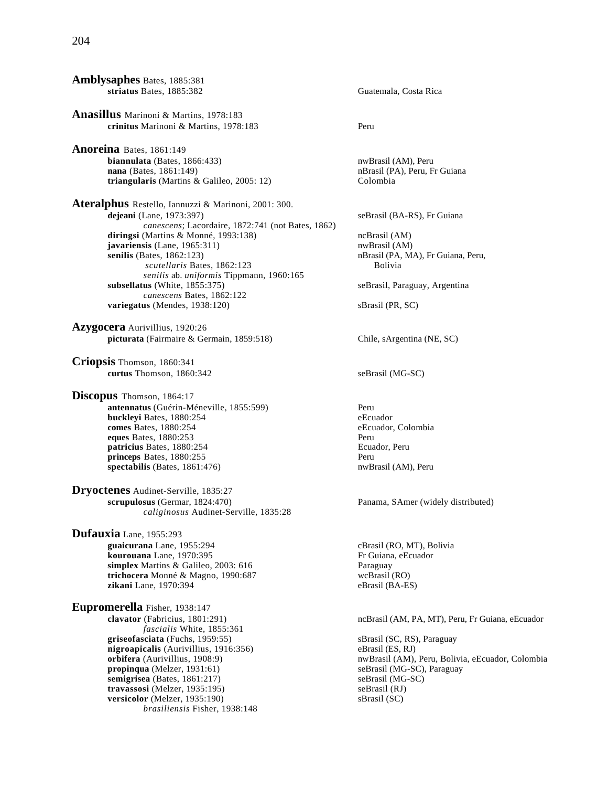204

**Amblysaphes** Bates, 1885:381 **striatus** Bates, 1885:382 Guatemala, Costa Rica **Anasillus** Marinoni & Martins, 1978:183 **crinitus** Marinoni & Martins, 1978:183 Peru **Anoreina** Bates, 1861:149 **biannulata** (Bates, 1866:433) **nwBrasil (AM), Peru** number of the set of the set of the set of the set of the set of the set of the set of the set of the set of the set of the set of the set of the set of the set of the s **nana** (Bates, 1861:149) **nBrasil (PA), Peru, Fr Guiana** triangularis (Martins & Galileo, 2005: 12) Colombia **Ateralphus** Restello, Iannuzzi & Marinoni, 2001: 300.<br>dejeani (Lane, 1973:397) *canescens*; Lacordaire, 1872:741 (not Bates, 1862) diringsi (Martins & Monné, 1993:138) ncBrasil (AM) **javariensis** (Lane, 1965:311) nwBrasil (AM) **senilis** (Bates, 1862:123) nBrasil (PA, MA), Fr Guiana, Peru, *scutellaris* Bates, 1862:123 *senilis* ab. *uniformis* Tippmann, 1960:165 **subsellatus** (White, 1855:375) seBrasil, Paraguay, Argentina *canescens* Bates, 1862:122 variegatus (Mendes, 1938:120) sBrasil (PR, SC) **Azygocera** Aurivillius, 1920:26 **picturata** (Fairmaire & Germain, 1859:518) Chile, sArgentina (NE, SC) **Criopsis** Thomson, 1860:341 **curtus** Thomson, 1860:342 seBrasil (MG-SC) **Discopus** Thomson, 1864:17 **antennatus** (Guérin-Méneville, 1855:599) Peru **bucklevi** Bates, 1880:254 eEcuador **comes** Bates, 1880:254 eEcuador, Colombia **eques** Bates, 1880:253 Peru patricius Bates, 1880:254 **princeps** Bates, 1880:255 Peru **spectabilis** (Bates, 1861:476) nwBrasil (AM), Peru **Dryoctenes** Audinet-Serville, 1835:27<br>scrupulosus (Germar, 1824:470) *caliginosus* Audinet-Serville, 1835:28 **Dufauxia** Lane, 1955:293 **guaicurana** Lane, 1955:294 cBrasil (RO, MT), Bolivia **kourouana** Lane, 1970:395 **Fr** Guiana, eEcuador **simplex** Martins & Galileo, 2003: 616 Paraguay<br> **trichocera** Monné & Magno, 1990:687 WeBrasil (RO) **trichocera** Monné & Magno, 1990:687<br> **zikani** Lane, 1970:394<br>
eBrasil (BA-ES) **zikani** Lane, 1970:394 **Eupromerella** Fisher, 1938:147 **clavator** (Fabricius, 1801:291) **clavator** (Fabricius, 1801:291) **ncBrasil (AM, PA, MT), Peru, Fr Guiana**, eEcuador *fascialis* White, 1855:361 **griseofasciata** (Fuchs, 1959:55) sBrasil (SC, RS), Paraguay **nigroapicalis** (Aurivillius, 1916:356) eBrasil (ES, RJ) eBrasil (CS, RJ) eBrasil (AM), **propinqua** (Melzer, 1931:61) seBrasil (MG-SC), Paraguay **semigrisea** (Bates, 1861:217) seBrasil (MG-SC)<br> **travassosi** (Melzer, 1935:195) seBrasil (RJ) **travassosi** (Melzer, 1935:195)<br> **versicolor** (Melzer, 1935:190) SBrasil (SC) **versicolor** (Melzer, 1935:190) *brasiliensis* Fisher, 1938:148

seBrasil (BA-RS), Fr Guiana Panama, SAmer (widely distributed)

nwBrasil (AM), Peru, Bolivia, eEcuador, Colombia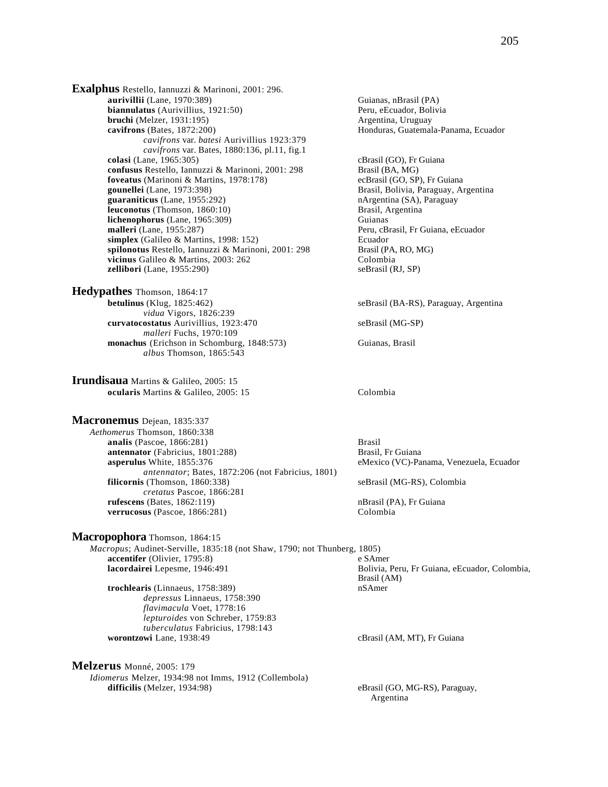**Exalphus** Restello, Iannuzzi & Marinoni, 2001: 296. **aurivillii** (Lane, 1970:389)<br> **biannulatus** (Aurivillius, 1921:50) **Guianas, nBrasil (PA)**<br>
Peru, eEcuador, Bolivia **biannulatus** (Aurivillius, 1921:50) **bruchi** (Melzer, 1931:195) **Argentina, Uruguay Argentina**, Uruguay **cavifrons** (Bates, 1872:200) **Honduras, Guatemala-Panama, Ecuador Honduras**, Guatemala-Panama, Ecuador *cavifrons* var. *batesi* Aurivillius 1923:379 *cavifrons* var*.* Bates, 1880:136, pl.11, fig.1 **colasi** (Lane, 1965:305) **c**Brasil (GO), Fr Guiana **confusus** Restello, Iannuzzi & Marinoni, 2001: 298 Brasil (BA, MG) **foveatus** (Marinoni & Martins, 1978:178) ecBrasil (GO, SP), Fr Guiana<br> **gounellei** (Lane, 1973:398) Brasil, Bolivia, Paraguay, A **guaraniticus** (Lane, 1955:292) nArgentina (SA), Paraguay **leuconotus** (Thomson, 1860:10) Brasil, Argentina **lichenophorus** (Lane, 1965:309) Guianas<br> **malleri** (Lane, 1955:287) Peru, cB  $simplex$  (Galileo & Martins, 1998: 152) **spilonotus** Restello, Iannuzzi & Marinoni, 2001: 298 Brasil (PA, RO, MG) **vicinus** Galileo & Martins, 2003: 262 Colombia **zellibori** (Lane, 1955:290) seBrasil (RJ, SP)

**Hedypathes** Thomson, 1864:17 **betulinus** (Klug, 1825:462) seBrasil (BA-RS), Paraguay, Argentina *vidua* Vigors, 1826:239 **curvatocostatus** Aurivillius, 1923:470 seBrasil (MG-SP) *malleri* Fuchs, 1970:109 **monachus** (Erichson in Schomburg, 1848:573) Guianas, Brasil *albus* Thomson, 1865:543

**Irundisaua** Martins & Galileo, 2005: 15 **ocularis** Martins & Galileo, 2005: 15 Colombia

### **Macronemus** Dejean, 1835:337

*Aethomerus* Thomson, 1860:338 **analis** (Pascoe, 1866:281) Brasil **antennator** (Fabricius, 1801:288) Brasil, Fr Guiana **asperulus** White, 1855:376 eMexico (VC)-Panama, Venezuela, Ecuador *antennator*; Bates, 1872:206 (not Fabricius, 1801) **filicornis** (Thomson, 1860:338) seBrasil (MG-RS), Colombia *cretatus* Pascoe, 1866:281 **rufescens** (Bates, 1862:119) **nBrasil (PA), Fr Guiana verrucosus** (Pascoe, 1866:281) Colombia

### **Macropophora** Thomson, 1864:15

*Macropus*; Audinet-Serville, 1835:18 (not Shaw, 1790; not Thunberg, 1805) **accentifer** (Olivier, 1795:8) e SAmer **lacordairei** Lepesme, 1946:491 **Bolivia, Peru, Fr Guiana, eEcuador, Colombia,** 

**trochlearis** (Linnaeus, 1758:389) nSAmer *depressus* Linnaeus, 1758:390 *flavimacula* Voet, 1778:16 *lepturoides* von Schreber, 1759:83 *tuberculatus* Fabricius, 1798:143

### **Melzerus** Monné, 2005: 179

*Idiomerus* Melzer, 1934:98 not Imms, 1912 (Collembola) difficilis (Melzer, 1934:98) eBrasil (GO, MG-RS), Paraguay,

Brasil, Bolivia, Paraguay, Argentina Peru, cBrasil, Fr Guiana, eEcuador<br>Ecuador

Brasil (AM)

cBrasil (AM, MT), Fr Guiana

Argentina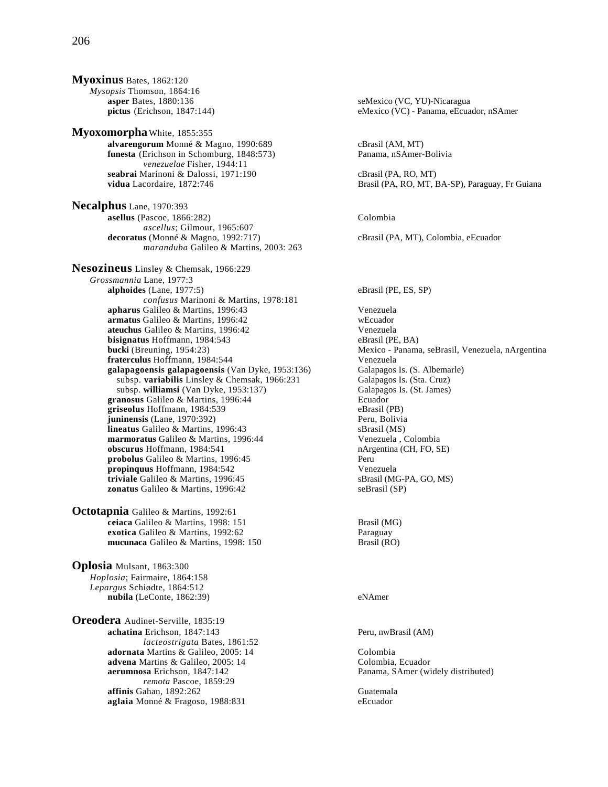**Myoxinus** Bates, 1862:120 *Mysopsis* Thomson, 1864:16

**Myoxomorpha** White, 1855:355 **alvarengorum** Monné & Magno, 1990:689 cBrasil (AM, MT) **funesta** (Erichson in Schomburg, 1848:573) Panama, nSAmer-Bolivia *venezuelae* Fisher, 1944:11 **seabrai** Marinoni & Dalossi, 1971:190 cBrasil (PA, RO, MT)

**Necalphus** Lane, 1970:393 **asellus** (Pascoe, 1866:282) Colombia *ascellus*; Gilmour, 1965:607 **decoratus** (Monné & Magno, 1992:717) cBrasil (PA, MT), Colombia, eEcuador *maranduba* Galileo & Martins, 2003: 263

**Nesozineus** Linsley & Chemsak, 1966:229 *Grossmannia* Lane, 1977:3 **alphoides** (Lane, 1977:5) eBrasil (PE, ES, SP) *confusus* Marinoni & Martins, 1978:181 **apharus** Galileo & Martins, 1996:43 Venezuela **armatus** Galileo & Martins, 1996:42 wEcuador **ateuchus** Galileo & Martins, 1996:42 Venezuela<br> **bisignatus** Hoffmann, 1984:543 (PE, BA) **bisignatus** Hoffmann, 1984:543<br>**bucki** (Breuning, 1954:23) **fraterculus** Hoffmann, 1984:544 Venezuela **galapagoensis galapagoensis** (Van Dyke, 1953:136) Galapagos Is. (S. Albemarle) subsp. **variabilis** Linsley & Chemsak, 1966:231 Galapagos Is. (Sta. Cruz) subsp. **williamsi** (Van Dyke, 1953:137) Galapagos Is. (St. James) Galapagos Is. (St. James) **granosus Galileo & Martins, 1996:44** Ecuador<br> **griseolus** Hoffmann, 1984:539 **Ecuador**<br> **eBrasil** (PB) griseolus Hoffmann, 1984:539 **juninensis** (Lane, 1970:392) Peru, Bolivia **lineatus** Galileo & Martins, 1996:43<br> **marmoratus** Galileo & Martins, 1996:44 Senezuela, Colombia **marmoratus** Galileo & Martins, 1996:44 **obscurus** Hoffmann, 1984:541 nArgentina (CH, FO, SE) **probolus** Galileo & Martins, 1996:45 Peru **propinquus** Hoffmann, 1984:542 Venezuela **triviale** Galileo & Martins, 1996:45 sBrasil (MG-PA, GO, MS) **zonatus** Galileo & Martins, 1996:42 seBrasil (SP)

**Octotapnia** Galileo & Martins, 1992:61 **ceiaca** Galileo & Martins, 1998: 151 **Brasil (MG) exotica** Galileo & Martins, 1992:62 **mucunaca** Galileo & Martins, 1998: 150 Brasil (RO)

**Oplosia** Mulsant, 1863:300 *Hoplosia*; Fairmaire, 1864:158 *Lepargus* Schiødte, 1864:512 **nubila** (LeConte, 1862:39) eNAmer

**Oreodera** Audinet-Serville, 1835:19 **achatina** Erichson, 1847:143 **Peru, nwBrasil (AM)** *lacteostrigata* Bates, 1861:52 **adornata** Martins & Galileo, 2005: 14 Colombia<br> **advena** Martins & Galileo, 2005: 14 Colombia, Ecuador **advena** Martins & Galileo, 2005: 14<br>**aerumnosa** Erichson, 1847:142 *remota* Pascoe, 1859:29 **affinis** Gahan, 1892:262<br> **aglaia** Monné & Fragoso, 1988:831<br>
eEcuador aglaia Monné & Fragoso, 1988:831

**asper** Bates, 1880:136 seMexico (VC, YU)-Nicaragua<br> **pictus** (Erichson, 1847:144) seMexico (VC) - Panama, eEcua eMexico (VC) - Panama, eEcuador, nSAmer

vidua Lacordaire, 1872:746 **Brasil (PA, RO, MT, BA-SP)**, Paraguay, Fr Guiana

Mexico - Panama, seBrasil, Venezuela, nArgentina

Panama, SAmer (widely distributed)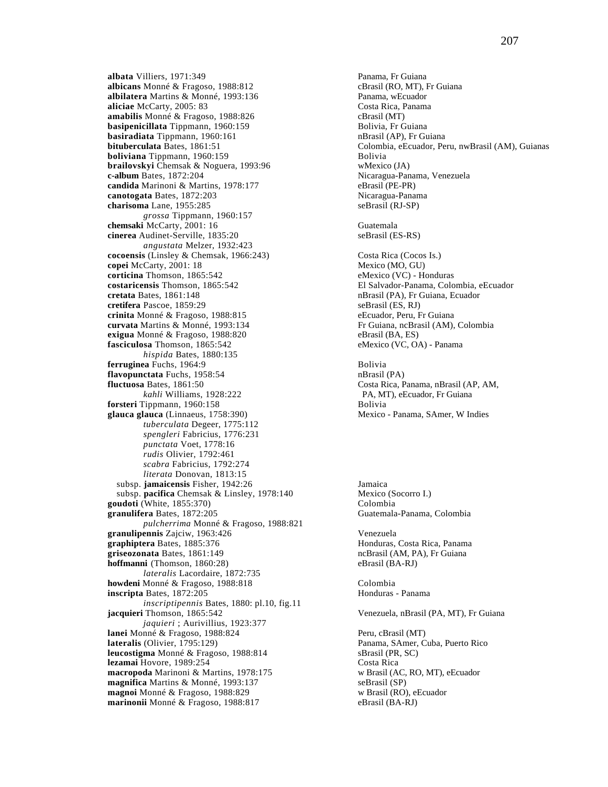**albata** Villiers, 1971:349<br> **albicans** Monné & Fragoso, 1988:812<br> **albicans** Monné & Fragoso, 1988:812<br> **albicans** CBrasil (RO, MT), Fr Guiana **albicans** Monné & Fragoso, 1988:812 **albilatera** Martins & Monné, 1993:136 Panama, wEcuador **aliciae** McCarty, 2005: 83<br> **amabilis** Monné & Fragoso, 1988:826 **Canama** Costa Rica, Panama **amabilis** Monné & Fragoso, 1988:826 cBrasil (MT)<br> **basipenicillata** Tippmann, 1960:159 came and Bolivia, Fr Guiana **basipenicillata** Tippmann, 1960:159 **basiradiata** Tippmann, 1960:161 **nBrasil (AP), Fr Guiana**<br> **bituberculata** Bates, 1861:51 **nBrasil (AP), Fr Guiana** Colombia, eEcuador, Pe **boliviana** Tippmann, 1960:159 Bolivia **brailovskyi** Chemsak & Noguera, 1993:96 **wMexico (JA)**<br> **c-album** Bates, 1872:204 **Nicaragua-Pan candida** Marinoni & Martins, 1978:177 eBrasil (PE-PR) **canotogata** Bates, 1872:203 Nicaragua-Panama<br> **charisoma** Lane, 1955:285 SeBrasil (RJ-SP) **charisoma** Lane, 1955:285 *grossa* Tippmann, 1960:157 **chemsaki** McCarty, 2001: 16 Guatemala<br> **cinerea** Audinet-Serville, 1835:20 SeBrasil (ES-RS) cinerea Audinet-Serville, 1835:20 *angustata* Melzer, 1932:423 **cocoensis** (Linsley & Chemsak, 1966:243) Costa Rica (Cocos Is.) **copei** McCarty, 2001: 18 Mexico (MO, GU) **corticina** Thomson, 1865:542 eMexico (VC) - Honduras **costaricensis** Thomson, 1865:542 **El Salvador-Panama, Colombia, eEcuador**<br> **cretata** Bates, 1861:148 **COLOGY EL SALVA EL SALVA EL SALVA EL SALVA EL SALVA EL SALVA EL SALVA EL SALVA EL SALVA EL SALVA EL SALVA EL SALVA EL** cretifera Pascoe, 1859:29 **crinita** Monné & Fragoso, 1988:815 eEcuador, Peru, Fr Guiana **curvata** Martins & Monné, 1993:134 Fr Guiana, ncBrasil (AM), Colombia **exigua** Monné & Fragoso, 1988:820 eBrasil (BA, ES) **fasciculosa** Thomson, 1865:542 eMexico (VC, OA) - Panama *hispida* Bates, 1880:135 **ferruginea** Fuchs, 1964:9 **flavopunctata** Fuchs, 1958:54 nBrasil (PA) **fluctuosa** Bates, 1861:50 Costa Rica, Panama, nBrasil (AP, AM, kahli Williams, 1928:222 PA, MT), eEcuador, Fr Guiana **forsteri** Tippmann, 1960:158 Bolivia glauca glauca (Linnaeus, 1758:390) *tuberculata* Degeer, 1775:112 *spengleri* Fabricius, 1776:231 *punctata* Voet, 1778:16 *rudis* Olivier, 1792:461 *scabra* Fabricius, 1792:274 *literata* Donovan, 1813:15 subsp. **jamaicensis** Fisher, 1942:26 **Jamaica**<br>
subsp. **pacifica** Chemsak & Linsley, 1978:140 Mexico (Socorro I.) subsp. pacifica Chemsak & Linsley, 1978:140 **goudoti** (White, 1855:370) Colombia **granulifera** Bates, 1872:205 Guatemala-Panama, Colombia *pulcherrima* Monné & Fragoso, 1988:821 **granulipennis** Zajciw, 1963:426 Venezuela **graphiptera** Bates, 1885:376 **Honduras, Costa Rica, Panama griseozonata** Bates, 1861:149 ncBrasil (AM, PA), Fr Guiana **hoffmanni** (Thomson, 1860:28) eBrasil (BA-RJ) *lateralis* Lacordaire, 1872:735 **howdeni** Monné & Fragoso, 1988:818 Colombia **inscripta** Bates, 1872:205 **Honduras** - Panama *inscriptipennis* Bates, 1880: pl.10, fig.11 **jacquieri** Thomson, 1865:542 Venezuela, nBrasil (PA, MT), Fr Guiana *jaquieri* ; Aurivillius, 1923:377 **lanei** Monné & Fragoso, 1988:824 Peru, cBrasil (MT) **lateralis** (Olivier, 1795:129) Panama, SAmer, Cuba, Puerto Rico **leucostigma** Monné & Fragoso, 1988:814 sBrasil (PR, SC)<br> **lezamai** Hovore, 1989:254 Costa Rica **lezamai** Hovore, 1989:254 **macropoda** Marinoni & Martins, 1978:175 w Brasil (AC, RO, MT), eEcuador magnifica Martins & Monné, 1993:137 seBrasil (SP) **magnifica** Martins & Monné, 1993:137 **magnoi** Monné & Fragoso, 1988:829 w Brasil (RO), eEcuador **marinonii** Monné & Fragoso, 1988:817 eBrasil (BA-RJ)

Colombia, eEcuador, Peru, nwBrasil (AM), Guianas Nicaragua-Panama, Venezuela nBrasil (PA), Fr Guiana, Ecuador<br>seBrasil (ES, RJ) PA, MT), eEcuador, Fr Guiana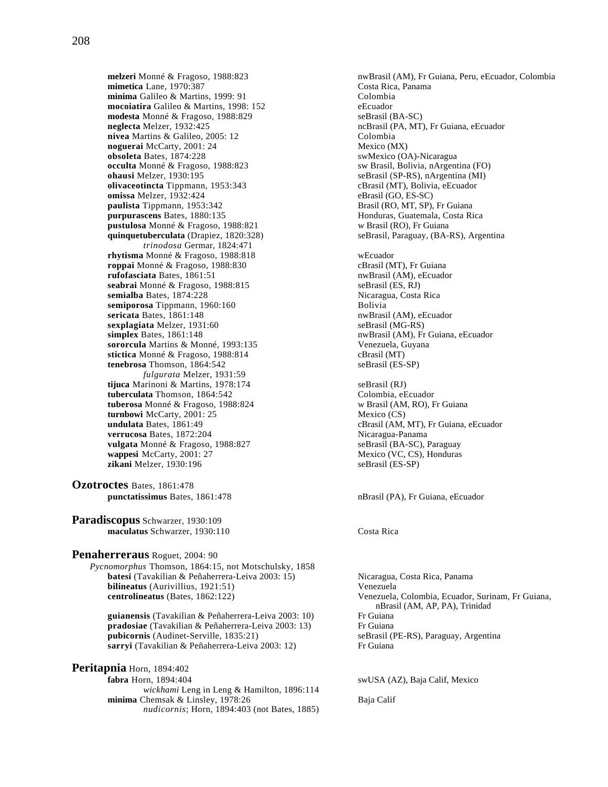mimetica Lane, 1970:387 **minima** Galileo & Martins, 1999: 91 Colombia **mocoiatira** Galileo & Martins, 1998: 152 eEcuador<br> **modesta** Monné & Fragoso, 1988:829 seBrasil (BA-SC) modesta Monné & Fragoso, 1988:829<br>neglecta Melzer, 1932:425 nivea Martins & Galileo, 2005: 12 Colombia **noguerai** McCarty, 2001: 24 Mexico (MX) **obsoleta** Bates, 1874:228 swMexico (OA)-Nicaragua **occulta** Monné & Fragoso, 1988:823 sw Brasil, Bolivia, nArgentina (FO)<br> **ohausi** Melzer, 1930:195 seBrasil (SP-RS), nArgentina (MI) **olivaceotincta** Tippmann, 1953:343 cBrasil (MT), Bolivia, eEcuador **omissa** Melzer, 1932:424<br> **omissa Melzer, 1932:424** eBrasil (GO, ES-SC)<br>
Brasil (RO, MT, SP), Fr Guiana paulista Tippmann, 1953:342 **purpurascens** Bates, 1880:135 Honduras, Guatemala, Costa Rica **pustulosa** Monné & Fragoso, 1988:821 w Brasil (RO), Fr Guiana **quinquetuberculata** (Drapiez, 1820:328) seBrasil, Paraguay, (BA-RS), Argentina *trinodosa* Germar, 1824:471 **rhytisma** Monné & Fragoso, 1988:818<br> **roppai** Monné & Fragoso, 1988:830 **wecuador** eBrasil (MT). Fr Guiana **roppai** Monné & Fragoso, 1988:830 **rufofasciata** Bates, 1861:51 nwBrasil (AM), eEcuador **seabrai** Monné & Fragoso, 1988:815 seBrasil (ES, RJ) **semialba** Bates, 1874:228<br> **seminorosa** Tippmann. 1960:160<br> **Seminorosa** Tippmann. 1960:160 semiporosa Tippmann, 1960:160 **sericata** Bates, 1861:148 **nwBrasil (AM), eEcuador** nwBrasil (AM), eEcuador **sexplagiata** Melzer, 1931:60 sexplagiata Melzer, 1931:60 **simplex** Bates, 1861:148 **nwBrasil (AM), Fr Guiana, eEcuador nwBrasil** (AM), Fr Guiana, eEcuador **sororcula** Martins & Monné, 1993:135 Venezuela, Guyana stictica Monné & Fragoso, 1988:814 cBrasil (MT) **tenebrosa** Thomson, 1864:542 seBrasil (ES-SP) *fulgurata* Melzer, 1931:59 **tijuca** Marinoni & Martins, 1978:174 seBrasil (RJ)<br> **tuberculata** Thomson, 1864:542 <br>
Colombia, eEcuador tuberculata Thomson, 1864:542 **tuberosa** Monné & Fragoso, 1988:824 w Brasil (AM, RO), Fr Guiana<br> **turnbowi** McCarty, 2001: 25 Mexico (CS) **turnbowi** McCarty, 2001: 25 **undulata** Bates, 1861:49 cBrasil (AM, MT), Fr Guiana, eEcuador **verrucosa** Bates, 1872:204 Nicaragua-Panama **vulgata** Monné & Fragoso, 1988:827 seBrasil (BA-SC), Paraguay **wappesi** McCarty, 2001: 27 Mexico (VC, CS), Honduras **zikani** Melzer, 1930:196 seBrasil (ES-SP)

- **Ozotroctes** Bates, 1861:478 **punctatissimus** Bates, 1861:478 nBrasil (PA), Fr Guiana, eEcuador
- **Paradiscopus** Schwarzer, 1930:109 **maculatus** Schwarzer, 1930:110 Costa Rica

## **Penaherreraus** Roguet, 2004: 90

*Pycnomorphus* Thomson, 1864:15, not Motschulsky, 1858 **batesi** (Tavakilian & Peñaherrera-Leiva 2003: 15) Nicaragua, Costa Rica, Panama **bilineatus** (Aurivillius, 1921:51) Venezuela<br> **centrolineatus** (Bates, 1862:122) Venezuela

**guianensis** (Tavakilian & Peñaherrera-Leiva 2003: 10) Fr Guiana **pradosiae** (Tavakilian & Peñaherrera-Leiva 2003: 13) Fr Guiana **pubicornis** (Audinet-Serville, 1835:21) seBrasil (PE-RS), Paraguay, Argentina<br> **sarryi** (Tavakilian & Peñaherrera-Leiva 2003: 12) Fr Guiana sarryi (Tavakilian & Peñaherrera-Leiva 2003: 12)

**Peritapnia** Horn, 1894:402

**fabra** Horn, 1894:404 swUSA (AZ), Baja Calif, Mexico *wickhami* Leng in Leng & Hamilton, 1896:114 **minima** Chemsak & Linsley, 1978:26 Baja Calif *nudicornis*; Horn, 1894:403 (not Bates, 1885)

**melzeri** Monné & Fragoso, 1988:823 nwBrasil (AM), Fr Guiana, Peru, eEcuador, Colombia<br> **mimetica** Lane, 1970:387 costa Rica, Panama ncBrasil (PA, MT), Fr Guiana, eEcuador seBrasil (SP-RS), nArgentina (MI)

Venezuela, Colombia, Ecuador, Surinam, Fr Guiana, nBrasil (AM, AP, PA), Trinidad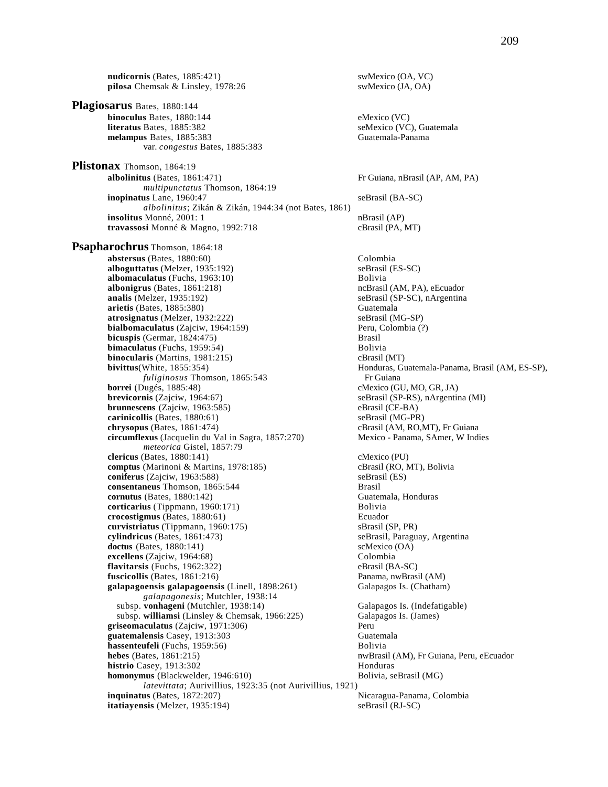**nudicornis** (Bates, 1885:421) swMexico (OA, VC) pilosa Chemsak & Linsley, 1978:26 swMexico (JA, OA) **Plagiosarus** Bates, 1880:144 **binoculus** Bates, 1880:144 eMexico (VC) **literatus** Bates, 1885:382 seMexico (VC), Guatemala<br> **melampus** Bates, 1885:383 Guatemala-Panama melampus Bates, 1885:383 var. *congestus* Bates, 1885:383 **Plistonax** Thomson, 1864:19 **albolinitus** (Bates, 1861:471) Fr Guiana, nBrasil (AP, AM, PA) *multipunctatus* Thomson, 1864:19 **inopinatus** Lane, 1960:47 seBrasil (BA-SC) *albolinitus*; Zikán & Zikán, 1944:34 (not Bates, 1861) **insolitus** Monné, 2001: 1 nBrasil (AP) **travassosi** Monné & Magno, 1992:718 cBrasil (PA, MT) **Psapharochrus** Thomson, 1864:18 **abstersus** (Bates, 1880:60) Colombia<br> **alboguttatus** (Melzer, 1935:192) Colombia<br>
seBrasil (ES-SC) alboguttatus (Melzer, 1935:192) **albomaculatus** (Fuchs, 1963:10) Bolivia **albonigrus** (Bates, 1861:218) ncBrasil (AM, PA), eEcuador **analis** (Melzer, 1935:192) seBrasil (SP-SC), nArgentina **arietis** (Bates, 1885:380) Guatemala **atrosignatus** (Melzer, 1932:222) seBrasil (MG-SP)<br> **bialbomaculatus** (Zajciw, 1964:159) **See Server, Colombia** (?) **bialbomaculatus** (Zajciw, 1964:159) **bicuspis** (Germar, 1824:475) Brasil **bimaculatus** (Fuchs, 1959:54) Bolivia **binocularis** (Martins, 1981:215) cBrasil (MT) **bivittus**(White, 1855:354) **Honduras, Guatemala-Panama, Brasil (AM, ES-SP), Honduras**, Guatemala-Panama, Brasil (AM, ES-SP), *fuliginosus* Thomson, 1865:543 Fr Guiana<br>**borrei** (Dugés, 1885:48) cMexico (G **borrei** (Dugés, 1885:48)<br> **brevicornis** (Zajciw, 1964:67) cMexico (GU, MO, GR, JA)<br>
seBrasil (SP-RS), nArgentii **brunnescens** (Zajciw, 1963:585) eBrasil (CE-BA) **carinicollis** (Bates, 1880:61) seBrasil (MG-PR) **chrysopus** (Bates, 1861:474) **cBrasil (AM, RO,MT), Fr Guiana circumflexus** (Jacquelin du Val in Sagra, 1857:270) Mexico - Panama, SAmer, W Indies *meteorica* Gistel, 1857:79 **clericus** (Bates, 1880:141) cMexico (PU) **comptus** (Marinoni & Martins, 1978:185) cBrasil (RO, MT), Bolivia **coniferus** (Zajciw, 1963:588) seBrasil (ES) **consentaneus** Thomson, 1865:544 Brasil **cornutus** (Bates, 1880:142)<br> **corticarius** (Tippmann, 1960:171) Guatemala, Honduras **corticarius** (Tippmann, 1960:171) **crocostigmus** (Bates, 1880:61) Ecuador **curvistriatus** (Tippmann, 1960:175) sBrasil (SP, PR) **cylindricus** (Bates, 1861:473) seBrasil, Paraguay, Argentina<br> **doctus** (Bates, 1880:141) scMexico (OA) **doctus** (Bates, 1880:141) **excellens** (Zajciw, 1964:68) Colombia **flavitarsis** (Fuchs, 1962:322) eBrasil (BA-SC) **fuscicollis** (Bates, 1861:216) Panama, nwBrasil (AM) **galapagoensis galapagoensis** (Linell, 1898:261) Galapagos Is. (Chatham) *galapagonesis*; Mutchler, 1938:14 subsp. **vonhageni** (Mutchler, 1938:14) Galapagos Is. (Indefatigable) subsp. **williamsi** (Linsley & Chemsak, 1966:225) Galapagos Is. (James) **griseomaculatus** (Zajciw, 1971:306)<br>**guatemalensis** Casev, 1913:303 **Perupane Constants Constants Casev**, 1913:303 guatemalensis Casey, 1913:303 **hassenteufeli** (Fuchs, 1959:56) Bolivia<br> **hebes** (Bates, 1861:215) **Bolivia**<br>
nwBrasi histrio Casey, 1913:302 Honduras **homonymus** (Blackwelder, 1946:610) Bolivia, seBrasil (MG) *latevittata*; Aurivillius, 1923:35 (not Aurivillius, 1921) **inquinatus** (Bates, 1872:207) Nicaragua-Panama, Colombia **itatiayensis** (Melzer, 1935:194) seBrasil (RJ-SC)

 $beBrasil (SP-RS), nArgentina (MI)$ nwBrasil (AM), Fr Guiana, Peru, eEcuador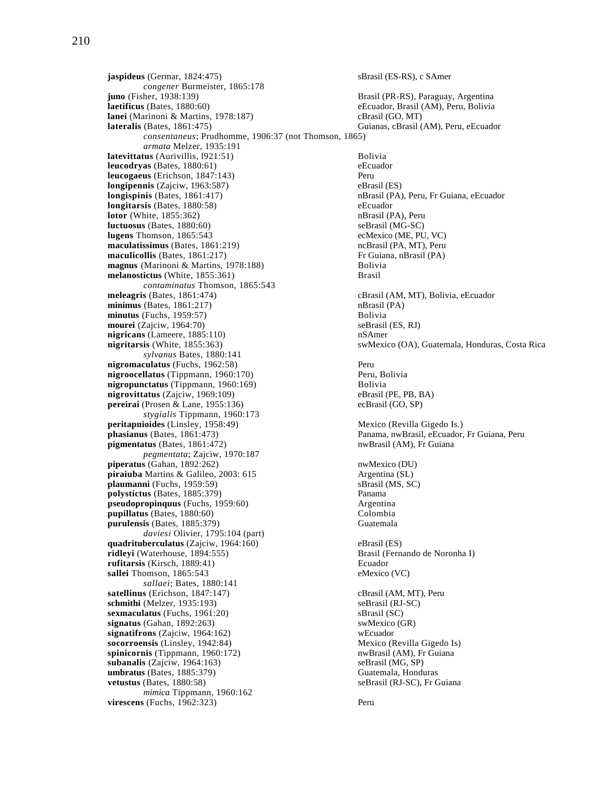**jaspideus** (Germar, 1824:475) sBrasil (ES-RS), c SAmer *congener* Burmeister, 1865:178 **juno** (Fisher, 1938:139) Brasil (PR-RS), Paraguay, Argentina **laetificus** (Bates, 1880:60)<br> **lanei** (Marinoni & Martins, 1978:187) eEcuador, Brasil (GO, MT) cBrasil (GO, MT) **lanei** (Marinoni & Martins, 1978:187)<br>**lateralis** (Bates, 1861:475) *consentaneus*; Prudhomme, 1906:37 (not Thomson, 1865) *armata* Melzer, 1935:191 **latevittatus** (Aurivillis, 1921:51) Bolivia **leucodryas** (Bates, 1880:61) eEcuador **leucogaeus** (Erichson, 1847:143) Peru **longipennis** (Zajciw, 1963:587) eBrasil (ES) **longispinis** (Bates, 1861:417) **nBrasil (PA), Peru, Fr Guiana, eEcuador nBrasil** (PA), Peru, Fr Guiana, eEcuador **longitarsis** (Bates, 1880:58) eEcuador **lotor** (White, 1855:362) **nbigger** 1855:362) **nbigger** 1875. **luctuosus** (Bates, 1880:60)<br> **lugens** Thomson, 1865:543<br> **lugens** Thomson, 1865:543<br> **lugens** Thomson, 1865:543 lugens Thomson, 1865:543 **maculatissimus** (Bates, 1861:219) ncBrasil (PA, MT), Peru **maculicollis** (Bates, 1861:217) Fr Guiana, nBrasil (PA) **magnus** (Marinoni & Martins, 1978:188) Bolivia **melanostictus** (White, 1855:361) Brasil *contaminatus* Thomson, 1865:543<br>meleagris (Bates, 1861:474)  $minimus$  (Bates,  $1861:217$ ) **minutus** (Fuchs, 1959:57) Bolivia **mourei** (Zajciw, 1964:70) seBrasil (ES, RJ) **nigricans** (Lameere, 1885:110) nSAmer *sylvanus* Bates, 1880:141 **nigromaculatus** (Fuchs, 1962:58) Peru **nigroocellatus** (Tippmann, 1960:170) Peru, Bolivia **nigropunctatus** (Tippmann, 1960:169)<br> **nigrovittatus** (Zajciw, 1969:109) Bolivia<br>
eBrasil (PE, PB, BA) nigrovittatus (Zajciw, 1969:109) **pereirai** (Prosen & Lane, 1955:136) ecBrasil (GO, SP) *stygialis* Tippmann, 1960:173 **peritapnioides** (Linsley, 1958:49) Mexico (Revilla Gigedo Is.) **phasianus** (Bates, 1861:473) Panama, nwBrasil, eEcuador, Fr Guiana, Peru **pigmentatus** (Bates, 1861:472) nwBrasil (AM), Fr Guiana *pegmentata*; Zajciw, 1970:187 **piperatus** (Gahan, 1892:262) nwMexico (DU) **piraiuba** Martins & Galileo, 2003: 615 Argentina (SL) **plaumanni** (Fuchs, 1959:59) sBrasil (MS, SC) **polystictus** (Bates, 1885:379) Panama<br> **pseudopropinguus** (Fuchs, 1959:60) Panama<br>
Argentina **pseudopropinquus** (Fuchs, 1959:60) **pupillatus** (Bates, 1880:60) Colombia **purulensis** (Bates, 1885:379) Guatemala *daviesi* Olivier, 1795:104 (part) **quadrituberculatus** (Zajciw, 1964:160) eBrasil (ES) **ridleyi** (Waterhouse, 1894:555) Brasil (Fernando de Noronha I) **rufitarsis** (Kirsch, 1889:41) **Ecuador Ecuador Ecuador Sallei** Thomson, 1865:543 **Ecuador Ecuador Ecuador Ecuador Ecuador Ecuador Ecuador Ecuador Ecuador Ecuador Ecuador Ecuador Ecuador Ecu** sallei Thomson, 1865:543 *sallaei*; Bates, 1880:141 **satellinus** (Erichson, 1847:147) **cBrasil (AM, MT), Peru schmithi** (Melzer, 1935:193) seBrasil (RJ-SC) **sexmaculatus** (Fuchs, 1961:20)<br> **signatus** (Gahan, 1892:263)<br> **subsets** sweet subsets (GR) **signatus** (Gahan, 1892:263) swMexico (Gahan, 1892:263) swMexico (Gahan, 1892:263)  $signatifrons$  (Zajciw, 1964:162) **socorroensis** (Linsley, 1942:84) Mexico (Revilla Gigedo Is) **spinicornis** (Tippmann, 1960:172) **notationally intervalse in the US** new Brasil (AM), Fr Guiana **subanalis** (Zajciw, 1964:163) seBrasil (MG, SP) **umbratus** (Bates, 1885:379) Guatemala, Honduras<br> **vetustus** (Bates, 1880:58) SeBrasil (RJ-SC), Fr C *mimica* Tippmann, 1960:162 **virescens** (Fuchs, 1962:323) Peru

Guianas, cBrasil (AM), Peru, eEcuador cBrasil (AM, MT), Bolivia, eEcuador<br>nBrasil (PA) **nigritarsis** (White, 1855:363) swMexico (OA), Guatemala, Honduras, Costa Rica  $seBrasil (RJ-SC)$ , Fr Guiana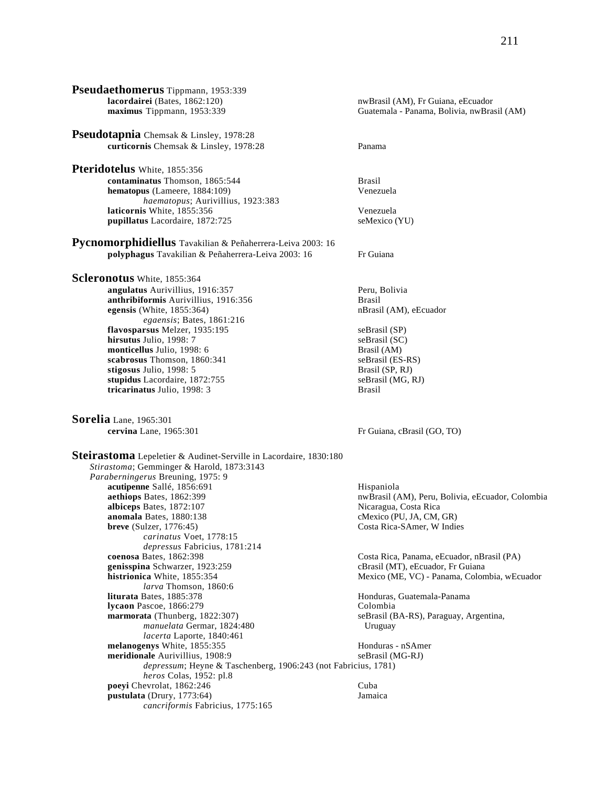**Pseudaethomerus** Tippmann, 1953:339<br>lacordairei (Bates, 1862:120) **lacordairei** (Bates, 1862:120) nwBrasil (AM), Fr Guiana, eEcuador Guatemala - Panama, Bolivia, nwBrasil (AM) **Pseudotapnia** Chemsak & Linsley, 1978:28 **curticornis** Chemsak & Linsley, 1978:28 Panama **Pteridotelus** White, 1855:356 **contaminatus** Thomson, 1865:544 Brasil **hematopus** (Lameere, 1884:109) Venezuela *haematopus*; Aurivillius, 1923:383 **laticornis** White, 1855:356 Venezuela<br> **bubillatus** Lacordaire. 1872:725 SeMexico (YU) pupillatus Lacordaire, 1872:725 **Pycnomorphidiellus** Tavakilian & Peñaherrera-Leiva 2003: 16 **polyphagus** Tavakilian & Peñaherrera-Leiva 2003: 16 Fr Guiana **Scleronotus** White, 1855:364 **angulatus** Aurivillius, 1916:357<br> **anthribiformis** Aurivillius, 1916:356<br> **Brasil anthribiformis** Aurivillius, 1916:356<br> **anthribiformis** Aurivillius, 1916:356<br> **anthribiformis** Aurivillius, 1916:356<br> **anthribiformis** Aurivillius, 1916:356<br> **anthribiformis** Aurivillius, 1916:356<br> **anthribiformis** Auriv **egensis** (White,  $1855:364$ ) *egaensis*; Bates, 1861:216 **flavosparsus** Melzer, 1935:195 seBrasil (SP) **hirsutus** Julio, 1998: 7<br> **monticellus** Julio, 1998: 6<br>
Brasil (AM) **monticellus** Julio, 1998: 6 **scabrosus** Thomson, 1860:341 seBrasil (ES-RS) **stigosus** Julio, 1998: 5 Brasil (SP, RJ) **stupidus** Lacordaire, 1872:755 seBrasil (MG, RJ) **tricarinatus** Julio, 1998: 3 Brasil **Sorelia** Lane, 1965:301<br> **cervina** Lane, 1965:301 Fr Guiana, cBrasil (GO, TO) **Steirastoma** Lepeletier & Audinet-Serville in Lacordaire, 1830:180 *Stirastoma*; Gemminger & Harold, 1873:3143 *Paraberningerus* Breuning, 1975: 9 **acutipenne** Sallé, 1856:691 Hispaniola<br> **acthiops** Bates, 1862:399 **Hispaniola**<br> **acthiops** Bates, 1862:399 nwBrasil (AM), Peru, Bolivia, eEcuador, Colombia<br>Nicaragua, Costa Rica  $albieeps$  Bates,  $1872:107$ **anomala** Bates, 1880:138 cMexico (PU, JA, CM, GR) **breve** (Sulzer, 1776:45) Costa Rica-SAmer, W Indies *carinatus* Voet, 1778:15 *depressus* Fabricius, 1781:214 Costa Rica, Panama, eEcuador, nBrasil (PA) **genisspina** Schwarzer, 1923:259 cBrasil (MT), eEcuador, Fr Guiana<br> **histrionica** White, 1855:354 cBrasil (ME, VC) - Panama, Colon Mexico (ME, VC) - Panama, Colombia, wEcuador *larva* Thomson, 1860:6<br>**liturata** Bates. 1885:378 Honduras, Guatemala-Panama **lycaon** Pascoe, 1866:279 Colombia **marmorata** (Thunberg, 1822:307) seBrasil (BA-RS), Paraguay, Argentina, *manuelata* Germar, 1824:480 Uruguay *lacerta* Laporte, 1840:461 **melanogenys** White, 1855:355 **Honduras - nSAmer**<br> **meridionale** Aurivillius, 1908:9 **SeBrassi** (MG-RJ) **meridionale** Aurivillius, 1908:9 *depressum*; Heyne & Taschenberg, 1906:243 (not Fabricius, 1781) *heros* Colas, 1952: pl.8 **poevi** Chevrolat, 1862:246 Cuba **pustulata** (Drury, 1773:64) Jamaica *cancriformis* Fabricius, 1775:165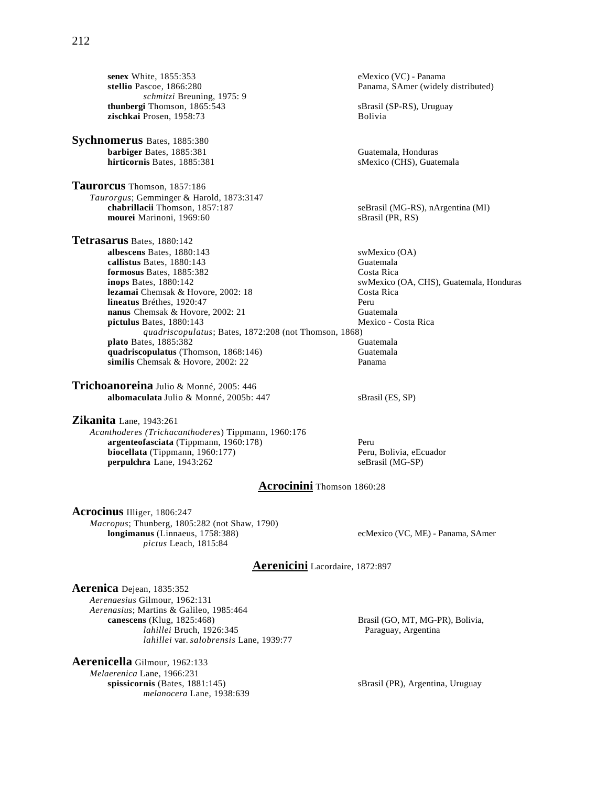**senex** White, 1855:353 eMexico (VC) - Panama<br> **stellio** Pascoe, 1866:280 eMexico (VC) - Panama, SAmer (widely *schmitzi* Breuning, 1975: 9 **thunbergi** Thomson, 1865:543 sBrasil (SP-RS), Uruguay<br> **zischkai** Prosen, 1958:73 Bolivia zischkai Prosen, 1958:73

**Sychnomerus** Bates, 1885:380 **barbiger** Bates, 1885:381 Guatemala, Honduras

**Taurorcus** Thomson, 1857:186 *Taurorgus*; Gemminger & Harold, 1873:3147 mourei Marinoni, 1969:60

**Tetrasarus** Bates, 1880:142 **albescens** Bates, 1880:143 swMexico (OA)<br> **callistus** Bates, 1880:143 Guatemala callistus Bates, 1880:143 **formosus** Bates, 1885:382 Costa Rica **inops** Bates, 1880:142<br> **inops** Bates, 1880:142<br> **inco** Summar Costa Rica<br>
Costa Rica<br>
Costa Rica **lezamai** Chemsak & Hovore, 2002: 18 Costa Rica **lineatus** Bréthes, 1920:47 **nanus** Chemsak & Hovore, 2002: 21 Guatemala **pictulus** Bates, 1880:143 Mexico - Costa Rica *quadriscopulatus*; Bates, 1872:208 (not Thomson, 1868) **plato** Bates, 1885:382<br> **quadriscopulatus** (Thomson, 1868:146) **Guatemala** quadriscopulatus (Thomson, 1868:146) **similis** Chemsak & Hovore, 2002: 22 Panama

**Trichoanoreina** Julio & Monné, 2005: 446 **albomaculata** Julio & Monné, 2005b: 447 sBrasil (ES, SP)

**Zikanita** Lane, 1943:261

*Acanthoderes (Trichacanthoderes*) Tippmann, 1960:176 argenteofasciata (Tippmann, 1960:178) Peru **biocellata** (Tippmann, 1960:177) Peru, Bolivia, eEcuador **perpulchra** Lane, 1943:262 seBrasil (MG-SP)

**hirticornis Bates, 1885:381** sMexico (CHS), Guatemala seBrasil (MG-RS), nArgentina (MI)<br>sBrasil (PR, RS)

Panama, SAmer (widely distributed)

# **Acrocinini** Thomson 1860:28

**Acrocinus** Illiger, 1806:247 *Macropus*; Thunberg, 1805:282 (not Shaw, 1790) *pictus* Leach, 1815:84

ecMexico (VC, ME) - Panama, SAmer

### **Aerenicini** Lacordaire, 1872:897

**Aerenica** Dejean, 1835:352 *Aerenaesius* Gilmour, 1962:131 *Aerenasius*; Martins & Galileo, 1985:464 *lahillei* Bruch, 1926:345 Paraguay, Argentina *lahillei* var. *salobrensis* Lane, 1939:77

**Aerenicella** Gilmour, 1962:133 *Melaerenica* Lane, 1966:231<br>**spissicornis** (Bates, 1881:145) *melanocera* Lane, 1938:639 Brasil (GO, MT, MG-PR), Bolivia,

sBrasil (PR), Argentina, Uruguay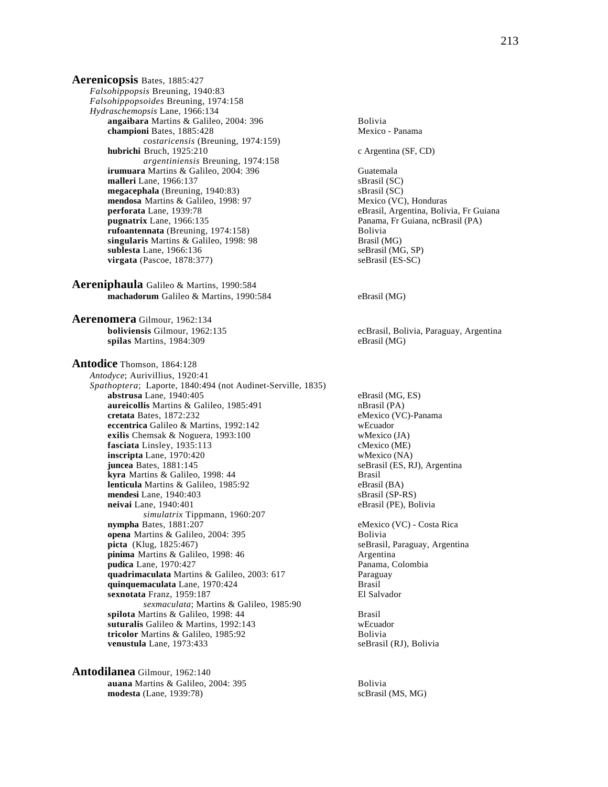**Aerenicopsis** Bates, 1885:427 *Falsohippopsis* Breuning, 1940:83 *Falsohippopsoides* Breuning, 1974:158 *Hydraschemopsis* Lane, 1966:134 **angaibara** Martins & Galileo, 2004: 396 **Bolivia**<br> **championi** Bates, 1885:428 **Mexico** - Panama **championi** Bates, 1885:428 *costaricensis* (Breuning, 1974:159) **hubrichi** Bruch, 1925:210 c Argentina (SF, CD) *argentiniensis* Breuning, 1974:158 **irumuara** Martins & Galileo, 2004: 396 Guatemala **malleri** Lane, 1966:137<br> **megacephala** (Breuning, 1940:83) SBrasil (SC) **megacephala** (Breuning, 1940:83)<br> **mendosa** Martins & Galileo, 1998: 97<br> **mendosa** Martins & Galileo, 1998: 97<br> **Mexico (VC), Honduras mendosa** Martins & Galileo, 1998: 97 **perforata** Lane, 1939:78 eBrasil, Argentina, Bolivia, Fr Guiana<br> **pugnatrix** Lane, 1966:135 eBrasil (PA) **rufoantennata** (Breuning, 1974:158) Bolivia **singularis** Martins & Galileo, 1998: 98 Brasil (MG)<br> **sublesta** Lane, 1966:136 SeBrasil (MG, SP) **sublesta** Lane, 1966:136 seBrasil (MG, SP)<br> **virgata** (Pascoe, 1878:377) seBrasil (ES-SC) **virgata** (Pascoe, 1878:377)

**Aereniphaula** Galileo & Martins, 1990:584 **machadorum** Galileo & Martins, 1990:584 eBrasil (MG)

**Aerenomera** Gilmour, 1962:134 **spilas** Martins, 1984:309 eBrasil (MG)

**Antodice** Thomson, 1864:128 *Antodyce*; Aurivillius, 1920:41 *Spathoptera*; Laporte, 1840:494 (not Audinet-Serville, 1835) **abstrusa** Lane, 1940:405 eBrasil (MG, ES) **aureicollis** Martins & Galileo, 1985:491 **nBrasil (PA)**<br> **aureicollis Martins & Galileo, 1985:491 nBrasil (PA)**<br> **eMexico (VC) eccentrica** Galileo & Martins, 1992:142 wEcuador **exilis** Chemsak & Noguera, 1993:100 wMexico (JA) **fasciata** Linsley, 1935:113 cMexico (ME) **inscripta** Lane, 1970:420 wMexico (NA)<br> **juncea** Bates, 1881:145 seBrasil (ES, R kyra Martins & Galileo, 1998: 44 **lenticula** Martins & Galileo, 1985:92 eBrasil (BA)<br> **mendesi** Lane, 1940:403 sBrasil (SP-RS) **mendesi** Lane, 1940:403<br> **neivai** Lane, 1940:401<br> **eBrasil (PE), Bolivia neivai** Lane, 1940:401 *simulatrix* Tippmann, 1960:207 **opena** Martins & Galileo, 2004: 395 Bolivia **picta** (Klug, 1825:467) seBrasil, Paraguay, Argentina **pinima** Martins & Galileo, 1998: 46 <br> **pudica** Lane, 1970:427 <br> **pudica** Lane, 1970:427 **pudica** Lane, 1970:427 **quadrimaculata** Martins & Galileo, 2003: 617<br> **quinquemaculata** Lane. 1970:424<br> **Brasil quinquemaculata** Lane, 1970:424 **Brasil Brasil Brasil Brasil**<br> **Sexnotata** Franz. 1959:187 **Bl** Salvador sexnotata Franz, 1959:187 *sexmaculata*; Martins & Galileo, 1985:90 **spilota** Martins & Galileo, 1998: 44 Brasil **suturalis** Galileo & Martins, 1992:143 wEcuador **tricolor** Martins & Galileo, 1985:92 **Bolivia**<br> **but Bolivia**<br> **eBrasil (RJ), Bolivia**<br> **eBrasil (RJ), Bolivia** venustula Lane, 1973:433

**Antodilanea** Gilmour, 1962:140 **auana** Martins & Galileo, 2004: 395 Bolivia **modesta** (Lane, 1939:78) scBrasil (MS, MG)

Panama, Fr Guiana, ncBrasil (PA) **boliviensis** Gilmour, 1962:135 ecBrasil, Bolivia, Paraguay, Argentina eMexico (VC)-Panama

 $j$ eBrasil (ES, RJ), Argentina<br>Brasil

eMexico (VC) - Costa Rica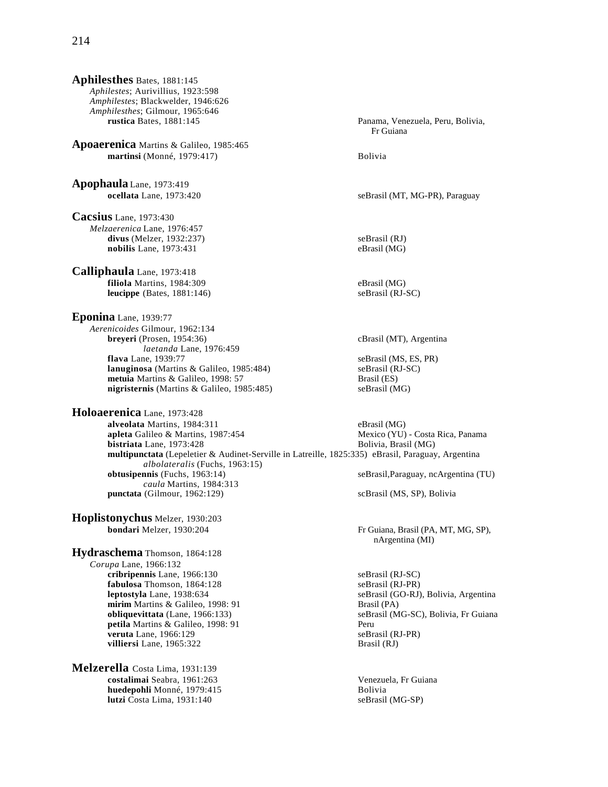**Aphilesthes** Bates, 1881:145 *Aphilestes*; Aurivillius, 1923:598 *Amphilestes*; Blackwelder, 1946:626 *Amphilesthes*; Gilmour, 1965:646 **rustica** Bates, 1881:145 Panama, Venezuela, Peru, Bolivia, **Apoaerenica** Martins & Galileo, 1985:465 **martinsi** (Monné, 1979:417) Bolivia **Apophaula** Lane, 1973:419 **ocellata** Lane, 1973:420 seBrasil (MT, MG-PR), Paraguay **Cacsius** Lane, 1973:430 *Melzaerenica* Lane, 1976:457 **divus** (Melzer, 1932:237) seBrasil (RJ) **nobilis** Lane, 1973:431 eBrasil (MG) **Calliphaula** Lane, 1973:418 **filiola** Martins, 1984:309 eBrasil (MG) **leucippe** (Bates, 1881:146) seBrasil (RJ-SC) **Eponina** Lane, 1939:77 *Aerenicoides* Gilmour, 1962:134 **breyeri** (Prosen, 1954:36) cBrasil (MT), Argentina *laetanda* Lane, 1976:459 **flava** Lane, 1939:77 seBrasil (MS, ES, PR) **lanuginosa** (Martins & Galileo, 1985:484) seBrasil (RJ-SC)<br> **metuia** Martins & Galileo, 1998: 57 Brasil (ES) **metuia** Martins & Galileo, 1998: 57<br> **nigristernis** (Martins & Galileo, 1985:485) SeBrasil (MG) **nigristernis** (Martins & Galileo, 1985:485) **Holoaerenica** Lane, 1973:428 **alveolata** Martins, 1984:311 eBrasil (MG) **apleta** Galileo & Martins, 1987:454 Mexico (YU) - Costa Rica, Panama<br> **bistriata** Lane, 1973:428 Bolivia, Brasil (MG) **bistriata** Lane, 1973:428 **multipunctata** (Lepeletier & Audinet-Serville in Latreille, 1825:335) eBrasil, Paraguay, Argentina *albolateralis* (Fuchs, 1963:15) *caula* Martins, 1984:313 **punctata** (Gilmour, 1962:129) scBrasil (MS, SP), Bolivia **Hoplistonychus** Melzer, 1930:203 **bondari** Melzer, 1930:204 Fr Guiana, Brasil (PA, MT, MG, SP), **Hydraschema** Thomson, 1864:128 *Corupa* Lane, 1966:132 **cribripennis** Lane, 1966:130 seBrasil (RJ-SC) **fabulosa** Thomson, 1864:128 seBrasil (RJ-PR) **leptostyla** Lane, 1938:634 seBrasil (GO-RJ), Bolivia, Argentina **mirim** Martins & Galileo, 1998: 91 Brasil (PA)<br> **obliquevittata** (Lane, 1966:133) seBrasil (M **petila** Martins & Galileo, 1998: 91 Peru **veruta** Lane, 1966:129 seBrasil (RJ-PR)<br> **villiersi** Lane, 1965:322 SeBrasil (RJ) **villiersi** Lane, 1965:322 **Melzerella** Costa Lima, 1931:139 **costalimai** Seabra, 1961:263 Venezuela, Fr Guiana **huedepohli** Monné, 1979:415 Bolivia

**lutzi** Costa Lima, 1931:140 seBrasil (MG-SP)

 Fr Guiana  $seBrasil, Paraguay, nca$ rgentina (TU) nArgentina (MI) seBrasil (MG-SC), Bolivia, Fr Guiana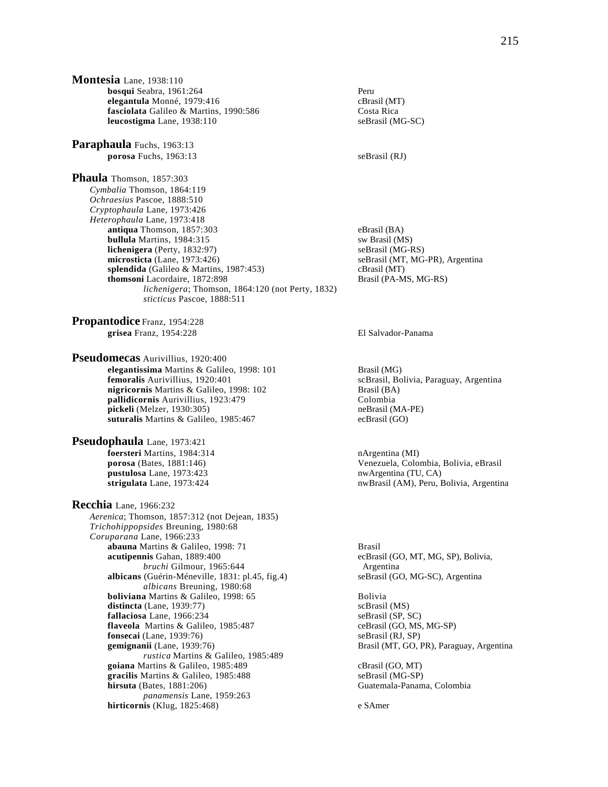**Montesia** Lane, 1938:110 **bosqui** Seabra, 1961:264<br> **elegantula** Monné, 1979:416 **Peru** CBrasil (MT) **elegantula** Monné, 1979:416 fasciolata Galileo & Martins, 1990:586 Costa Rica **leucostigma** Lane, 1938:110 seBrasil (MG-SC)

**Paraphaula** Fuchs, 1963:13 **porosa** Fuchs, 1963:13 seBrasil (RJ)

**Phaula** Thomson, 1857:303 *Cymbalia* Thomson, 1864:119 *Ochraesius* Pascoe, 1888:510 *Cryptophaula* Lane, 1973:426 *Heterophaula* Lane, 1973:418 **antiqua** Thomson, 1857:303<br> **bullula** Martins. 1984:315<br> **bullula** Martins. 1984:315 **bullula** Martins, 1984:315 **lichenigera** (Perty, 1832:97) seBrasil (MG-RS) **microsticta** (Lane, 1973:426) seBrasil (MT, MG-PR), Argentina **splendida** (Galileo & Martins, 1987:453) cBrasil (MT) **thomsoni** Lacordaire, 1872:898 Brasil (PA-MS, MG-RS) *lichenigera*; Thomson, 1864:120 (not Perty, 1832) *sticticus* Pascoe, 1888:511

**Propantodice** Franz, 1954:228 **grisea** Franz, 1954:228 El Salvador-Panama

**Pseudomecas** Aurivillius, 1920:400 **elegantissima** Martins & Galileo, 1998: 101 **Brasil (MG)**<br>**femoralis** Aurivillius, 1920:401 **Brasil Contains and Auricial** ScBrasil, Bo **nigricornis** Martins & Galileo, 1998: 102 **Brasil (BA)**<br> **nallidicornis** Aurivillius, 1923:479 **Colombia pallidicornis** Aurivillius, 1923:479<br> **pickeli** (Melzer, 1930:305)<br> **pickeli** (MA-PE) **pickeli** (Melzer, 1930:305) **suturalis** Martins & Galileo, 1985:467 ecBrasil (GO)

**Pseudophaula** Lane, 1973:421 **foersteri** Martins, 1984:314 **nArgentina (MI)**<br> **porosa** (Bates, 1881:146) **being the Community of Community** Cheracuela, Color **pustulosa** Lane, 1973:423 nwArgentina (TU, CA)<br> **strigulata** Lane, 1973:424 nwBrasil (AM), Peru, 1

**Recchia** Lane, 1966:232 *Aerenica*; Thomson, 1857:312 (not Dejean, 1835) *Trichohippopsides* Breuning, 1980:68 *Coruparana* Lane, 1966:233 **abauna** Martins & Galileo, 1998: 71 **Brasil acutipennis Gahan**, 1889:400 **Brasil** ecBras *bruchi* Gilmour, 1965:644 Argentina **albicans** (Guérin-Méneville, 1831: pl.45, fig.4) seBrasil (GO, MG-SC), Argentina *albicans* Breuning, 1980:68 **boliviana** Martins & Galileo, 1998: 65 Bolivia<br> **distincta** (Lane, 1939:77) scBrasil (MS) **distincta** (Lane, 1939:77) **fallaciosa** Lane, 1966:234<br> **flaveola** Martins & Galileo, 1985:487 ceBrasil (GO, MS, MG-SP) **flaveola** Martins & Galileo, 1985:487 **fonsecai** (Lane, 1939:76) seBrasil (RJ, SP)<br> **gemignanii** (Lane, 1939:76) SeBrasil (MT, GO, 1978) *rustica* Martins & Galileo, 1985:489 **goiana** Martins & Galileo, 1985:489 cBrasil (GO, MT) **gracilis** Martins & Galileo, 1985:488 seBrasil (MG-SP)<br> **hirsuta** (Bates, 1881:206) Guatemala-Panam *panamensis* Lane, 1959:263 **hirticornis** (Klug, 1825:468) e SAmer

 $scBrasil$ , Bolivia, Paraguay, Argentina

Venezuela, Colombia, Bolivia, eBrasil nwBrasil (AM), Peru, Bolivia, Argentina

ecBrasil (GO, MT, MG, SP), Bolivia,

Brasil (MT, GO, PR), Paraguay, Argentina

Guatemala-Panama, Colombia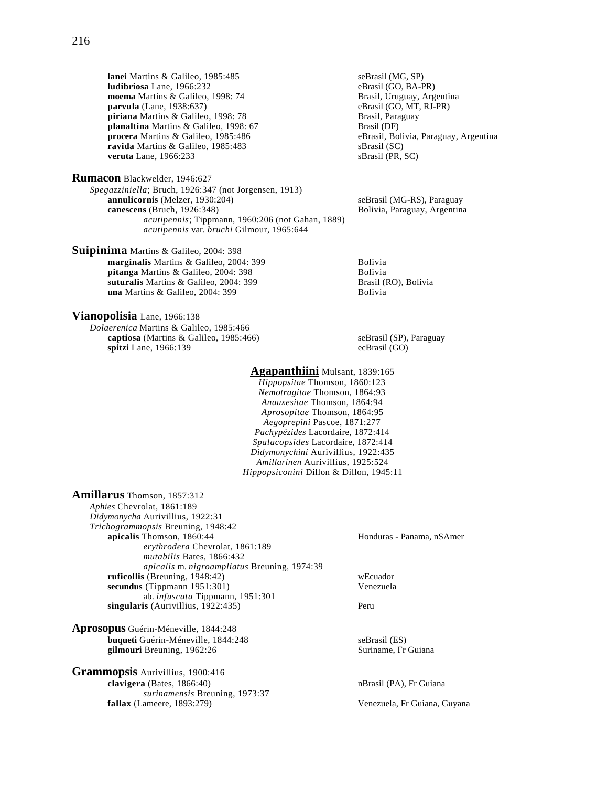**lanei** Martins & Galileo, 1985:485<br> **ludibriosa** Lane, 1966:232 **b** eBrasil (GO, BA-PR) **ludibriosa** Lane, 1966:232 **moema** Martins & Galileo, 1998: 74 **Brasil, Uruguay, Argentina**<br> **parvula** (Lane, 1938:637) **Brasil** (GO, MT, RJ-PR) **parvula** (Lane, 1938:637) eBrasil (GO, MT, **piriana** Martins & Galileo, 1998: 78 **eBrasil (GO, MT,**  $\overline{B}$ **piriana** Martins & Galileo, 1998: 78 **Brasil, Paraguay Brasil, Paraguay Brasil**, Paraguay Brasil, Paraguay Brasil<br> **planaltina** Martins & Galileo, 1998: 67 **Brasil** (DF) planaltina Martins & Galileo, 1998: 67 **procera** Martins & Galileo, 1985:486 **eBrasil, Bolivia, Paraguay, Argentina**<br> **ravida** Martins & Galileo, 1985:483 **eBrasil** (SC) seRrasil (SC) **ravida** Martins & Galileo, 1985:483 sBrasil (SC)<br> **veruta** Lane, 1966:233 sBrasil (PR, SC) **veruta** Lane, 1966:233

**Rumacon** Blackwelder, 1946:627 *Spegazziniella*; Bruch, 1926:347 (not Jorgensen, 1913) **annulicornis** (Melzer, 1930:204) seBrasil (MG-RS), Paraguay **canescens** (Bruch, 1926:348) **Bolivia, Paraguay, Argentina** *acutipennis*; Tippmann, 1960:206 (not Gahan, 1889) *acutipennis* var. *bruchi* Gilmour, 1965:644

**Suipinima** Martins & Galileo, 2004: 398

**marginalis** Martins & Galileo, 2004: 399 Bolivia pitanga Martins & Galileo, 2004: 398 Bolivia **suturalis** Martins & Galileo, 2004: 399<br> **una** Martins & Galileo, 2004: 399<br>
Bolivia<br>
Bolivia una Martins & Galileo, 2004: 399

**Vianopolisia** Lane, 1966:138

*Dolaerenica* Martins & Galileo, 1985:466 **captiosa** (Martins & Galileo, 1985:466) seBrasil (SP), Paraguay **spitzi** Lane, 1966:139 ecBrasil (GO)

## **Agapanthiini** Mulsant, 1839:165

*Hippopsitae* Thomson, 1860:123 *Nemotragitae* Thomson, 1864:93 *Anauxesitae* Thomson, 1864:94 *Aprosopitae* Thomson, 1864:95 *Aegoprepini* Pascoe, 1871:277 *Pachypézides* Lacordaire, 1872:414 *Spalacopsides* Lacordaire, 1872:414 *Didymonychini* Aurivillius, 1922:435 *Amillarinen* Aurivillius, 1925:524 *Hippopsiconini* Dillon & Dillon, 1945:11

**Amillarus** Thomson, 1857:312 *Aphies* Chevrolat, 1861:189 *Didymonycha* Aurivillius, 1922:31 *Trichogrammopsis* Breuning, 1948:42 *erythrodera* Chevrolat, 1861:189 *mutabilis* Bates, 1866:432 *apicalis* m. *nigroampliatus* Breuning, 1974:39 **ruficollis** (Breuning, 1948:42) wEcuador **secundus** (Tippmann 1951:301) Venezuela ab. *infuscata* Tippmann, 1951:301 **singularis** (Aurivillius, 1922:435) Peru

**Aprosopus** Guérin-Méneville, 1844:248 **buqueti** Guérin-Méneville, 1844:248 seBrasil (ES) gilmouri Breuning, 1962:26 Suriname, Fr Guiana

**Grammopsis** Aurivillius, 1900:416 **clavigera** (Bates, 1866:40) nBrasil (PA), Fr Guiana *surinamensis* Breuning, 1973:37 **fallax** (Lameere, 1893:279) Venezuela, Fr Guiana, Guyana

Honduras - Panama, nSAmer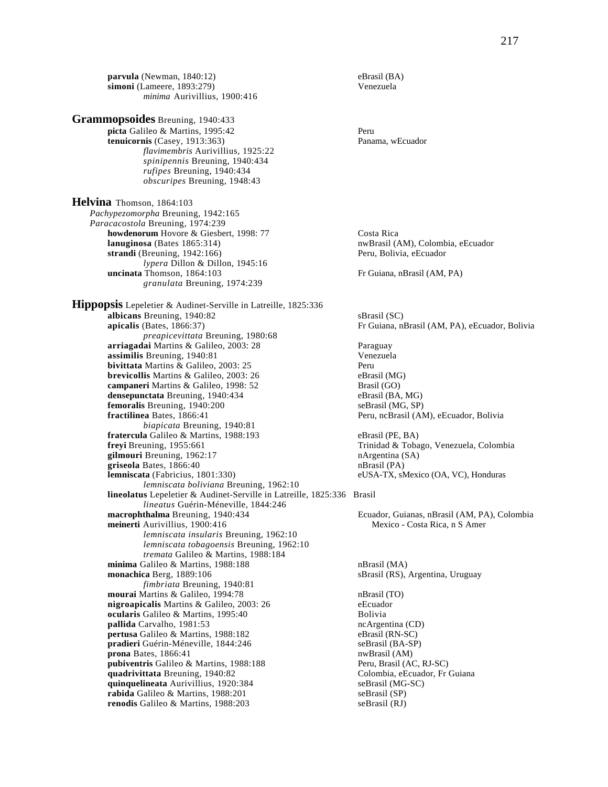**picta** Galileo & Martins, 1995:42 Peru **tenuicornis** (Casey, 1913:363) Panama, wEcuador *flavimembris* Aurivillius, 1925:22 *spinipennis* Breuning, 1940:434 *rufipes* Breuning, 1940:434 *obscuripes* Breuning, 1948:43 **Helvina** Thomson, 1864:103 *Pachypezomorpha* Breuning, 1942:165 *Paracacostola* Breuning, 1974:239 **howdenorum** Hovore & Giesbert, 1998: 77 Costa Rica **lanuginosa** (Bates 1865:314) **nwBrasil (AM), Colombia, eEcuador nwBrasil** (AM), Colombia, eEcuador strandi (Breuning, 1942:166) Peru, Bolivia, eEcuador *lypera* Dillon & Dillon, 1945:16 **uncinata** Thomson, 1864:103 Fr Guiana, nBrasil (AM, PA)

*granulata* Breuning, 1974:239

**Grammopsoides** Breuning, 1940:433

**Hippopsis** Lepeletier & Audinet-Serville in Latreille, 1825:336 **albicans** Breuning, 1940:82<br> **apicalis** (Bates, 1866:37) Fr Guiana, n *preapicevittata* Breuning, 1980:68 **arriagadai** Martins & Galileo, 2003: 28 Paraguay **assimilis** Breuning, 1940:81 Venezuela **bivittata** Martins & Galileo, 2003: 25 **Peru Peru Peru Peru eBrasil (MG)**<br> **brevicollis** Martins & Galileo, 2003: 26 **Peru eBrasil (MG) brevicollis** Martins & Galileo, 2003: 26 **campaneri** Martins & Galileo, 1998: 52 Brasil (GO) **densepunctata** Breuning, 1940:434 eBrasil (BA, MG) **femoralis** Breuning, 1940:200 seBrasil (MG, SP)<br> **fractilinea** Bates, 1866:41 **see Secure Secure Secure Secure Secure Secure Secure Secure Secure Secure Secure Secure Secure Secure Secure Secure Secure Secure Secure Secur** *biapicata* Breuning, 1940:81 **fratercula** Galileo & Martins, 1988:193 eBrasil (PE, BA) **freyi** Breuning, 1955:661 Trinidad & Tobago, Venezuela, Colombia **gilmouri** Breuning, 1962:17 **nargentina (SA)**<br>**griseola** Bates. 1866:40 **n**Brasil (PA) **griseola** Bates, 1866:40<br>**lemniscata** (Fabricius, 1801:330) *lemniscata boliviana* Breuning, 1962:10 **lineolatus** Lepeletier & Audinet-Serville in Latreille, 1825:336 Brasil *lineatus* Guérin-Méneville, 1844:246 **macrophthalma** Breuning, 1940:434 **Ecuador, Guianas, nBrasil (AM, PA), Colombia**<br> **meinerti** Aurivillius, 1900:416 **Mexico** - Costa Rica, n S Amer **meinerti** Aurivillius, 1900:416 *lemniscata insularis* Breuning, 1962:10 *lemniscata tobagoensis* Breuning, 1962:10 *tremata* Galileo & Martins, 1988:184 **minima** Galileo & Martins, 1988:188 nBrasil (MA) **monachica** Berg, 1889:106 sBrasil (RS), Argentina, Uruguay *fimbriata* Breuning, 1940:81 **mourai** Martins & Galileo, 1994:78 nBrasil (TO) **nigroapicalis** Martins & Galileo, 2003: 26 eEcuador<br> **ocularis** Galileo & Martins. 1995:40 **eEcuador**<br>
Bolivia **ocularis** Galileo & Martins, 1995:40 **pallida** Carvalho, 1981:53 ncArgentina (CD) **pertusa** Galileo & Martins, 1988:182 eBrasil (RN-SC)<br> **pradieri** Guérin-Méneville, 1844:246 seBrasil (BA-SP) pradieri Guérin-Méneville, 1844:246 **prona** Bates, 1866:41 nwBrasil (AM) **pubiventris** Galileo & Martins, 1988:188 Peru, Brasil (AC, RJ-SC) **quadrivittata** Breuning, 1940:82 Colombia, eEcuador, Fr Guiana **quinquelineata** Aurivillius, 1920:384 seBrasil (MG-SC) **rabida** Galileo & Martins, 1988:201 seBrasil (SP)<br> **renodis** Galileo & Martins, 1988:203 seBrasil (RJ) renodis Galileo & Martins, 1988:203

Fr Guiana, nBrasil (AM, PA), eEcuador, Bolivia

Peru, ncBrasil (AM), eEcuador, Bolivia

eUSA-TX, sMexico (OA, VC), Honduras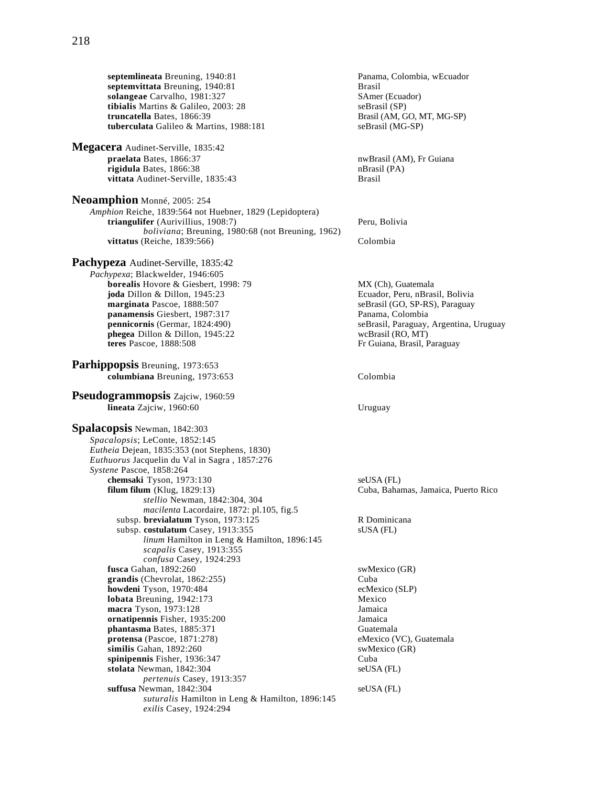**septemlineata** Breuning, 1940:81 **Panama, Colombia, wEcuador**<br> **septemvittata** Breuning, 1940:81 **Panama, Panama, Panama, Colombia, wEcuador** septemvittata Breuning, 1940:81 **solangeae** Carvalho, 1981:327 **SAmer (Ecuador)**<br> **tibialis** Martins & Galileo, 2003: 28 **SAMER SEP** seBrasil (SP) **tibialis** Martins & Galileo, 2003: 28<br>**truncatella** Bates, 1866:39 tuberculata Galileo & Martins, 1988:181 **Megacera** Audinet-Serville, 1835:42<br>praelata Bates, 1866:37 **rigidula** Bates, 1866:38 nBrasil (PA) nBrasil (PA) nBrasil (PA) vittata Audinet-Serville, 1835:43 **Neoamphion** Monné, 2005: 254 *Amphion* Reiche, 1839:564 not Huebner, 1829 (Lepidoptera) **triangulifer** (Aurivillius, 1908:7) Peru, Bolivia *boliviana*; Breuning, 1980:68 (not Breuning, 1962) **vittatus** (Reiche, 1839:566) Colombia **Pachypeza** Audinet-Serville, 1835:42 *Pachypexa*; Blackwelder, 1946:605 **borealis** Hovore & Giesbert, 1998: 79 MX (Ch), Guatemala **joda** Dillon & Dillon, 1945:23 Ecuador, Peru, nBrasil, Bolivia **marginata** Pascoe, 1888:507 seBrasil (GO, SP-RS), Paraguay **panamensis** Giesbert, 1987:317 Panama, Colombia **pennicornis** (Germar, 1824:490) <br> **phegea** Dillon & Dillon, 1945:22 <br> **phegea** Dillon & Dillon, 1945:22 <br> **phegea** Dillon & Dillon, 1945:22 **phegea** Dillon & Dillon, 1945:22 **teres** Pascoe, 1888:508 **Parhippopsis** Breuning, 1973:653 **columbiana** Breuning, 1973:653 Colombia **Pseudogrammopsis** Zajciw, 1960:59 **lineata** Zajciw, 1960:60 Uruguay **Spalacopsis** Newman, 1842:303 *Spacalopsis*; LeConte, 1852:145 *Eutheia* Dejean, 1835:353 (not Stephens, 1830) *Euthuorus* Jacquelin du Val in Sagra , 1857:276 *Systene* Pascoe, 1858:264 **chemsaki** Tyson, 1973:130 seUSA (FL) **filum filum** (Klug, 1829:13) Cuba, Bahamas, Jamaica, Puerto Rico *stellio* Newman, 1842:304, 304 *macilenta* Lacordaire, 1872: pl.105, fig.5 subsp. **brevialatum** Tyson, 1973:125 R Dominicana subsp. **costulatum** Casey, 1913:355 sUSA (FL) *linum* Hamilton in Leng & Hamilton, 1896:145 *scapalis* Casey, 1913:355 *confusa* Casey, 1924:293 **fusca** Gahan, 1892:260 swMexico (GR) **grandis** (Chevrolat, 1862:255) Cuba **howdeni** Tyson, 1970:484 ecMexico (SLP) **lobata** Breuning, 1942:173 Mexico **macra** Tyson, 1973:128 Jamaica **ornatipennis** Fisher, 1935:200 Jamaica **phantasma Bates, 1885:371** Guatemala<br> **protensa** (Pascoe, 1871:278) Guatemala<br> **eMexico (VC), Guatemala** protensa (Pascoe, 1871:278) **similis** Gahan, 1892:260 swMexico (GR) **spinipennis** Fisher, 1936:347 Cuba **stolata** Newman, 1842:304 seUSA (FL) *pertenuis* Casey, 1913:357 **suffusa** Newman, 1842:304 seUSA (FL) *suturalis* Hamilton in Leng & Hamilton, 1896:145 *exilis* Casey, 1924:294

Brasil (AM, GO, MT, MG-SP)<br>seBrasil (MG-SP)

nwBrasil (AM), Fr Guiana

Fr Guiana, Brasil, Paraguay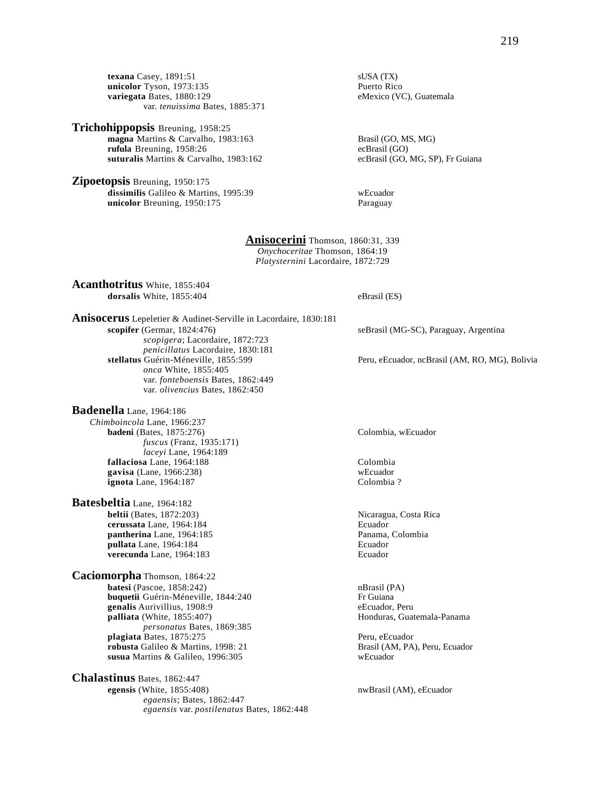**texana** Casey, 1891:51 sUSA (TX)<br> **unicolor** Tyson, 1973:135 Puerto Rico unicolor Tyson, 1973:135 **variegata** Bates, 1880:129 eMexico (VC), Guatemala var. *tenuissima* Bates, 1885:371

### **Trichohippopsis** Breuning, 1958:25

**magna** Martins & Carvalho, 1983:163 Brasil (GO, MS, MG) **rufula** Breuning, 1958:26<br> **suturalis** Martins & Carvalho, 1983:162<br>
ecBrasil (GO, MG, SP), Fr Guiana suturalis Martins & Carvalho, 1983:162

**Zipoetopsis** Breuning, 1950:175 **dissimilis** Galileo & Martins, 1995:39 wEcuador<br> **unicolor** Breuning, 1950:175 Paraguay unicolor Breuning, 1950:175

### **Anisocerini** Thomson, 1860:31, 339 *Onychoceritae* Thomson, 1864:19

*Platysternini* Lacordaire, 1872:729

**Acanthotritus** White, 1855:404 **dorsalis** White, 1855:404 eBrasil (ES)

**Anisocerus** Lepeletier & Audinet-Serville in Lacordaire, 1830:181 **scopifer** (Germar, 1824:476) seBrasil (MG-SC), Paraguay, Argentina *scopigera*; Lacordaire, 1872:723 *penicillatus* Lacordaire, 1830:181 *onca* White, 1855:405 var. *fonteboensis* Bates, 1862:449 var. *olivencius* Bates, 1862:450

**Badenella** Lane, 1964:186 *Chimboincola* Lane, 1966:237 **badeni** (Bates, 1875:276) Colombia, wEcuador *fuscus* (Franz, 1935:171) *laceyi* Lane, 1964:189 **fallaciosa** Lane, 1964:188 Colombia **gavisa** (Lane, 1966:238) wEcuador **ignota** Lane, 1964:187 Colombia ?

**Batesbeltia** Lane, 1964:182<br>beltii (Bates, 1872:203) **cerussata** Lane, 1964:184<br> **pantherina** Lane, 1964:185<br> **pantherina** Lane, 1964:185 pantherina Lane, 1964:185 **pullata** Lane, 1964:184 **Ecuador**<br> **Pullata Lane, 1964:183** Ecuador<br> **Ecuador** verecunda Lane, 1964:183

**Caciomorpha** Thomson, 1864:22 **batesi** (Pascoe, 1858:242) nBrasil (PA) **buquetii** Guérin-Méneville, 1844:240 Fr Guiana **genalis** Aurivillius, 1908:9 eEcuador, Peru<br> **palliata** (White, 1855:407) en extra de la pallia de Honduras, Guatemala-Panama palliata (White, 1855:407) *personatus* Bates, 1869:385 **plagiata** Bates, 1875:275 Peru, eEcuador **robusta** Galileo & Martins, 1998: 21 Brasil (AM, PA), Peru, Ecuador susua Martins & Galileo, 1996:305

**Chalastinus** Bates, 1862:447 **egensis** (White, 1855:408) nwBrasil (AM), eEcuador *egaensis*; Bates, 1862:447 *egaensis* var. *postilenatus* Bates, 1862:448

Peru, eEcuador, ncBrasil (AM, RO, MG), Bolivia

Nicaragua, Costa Rica<br>Ecuador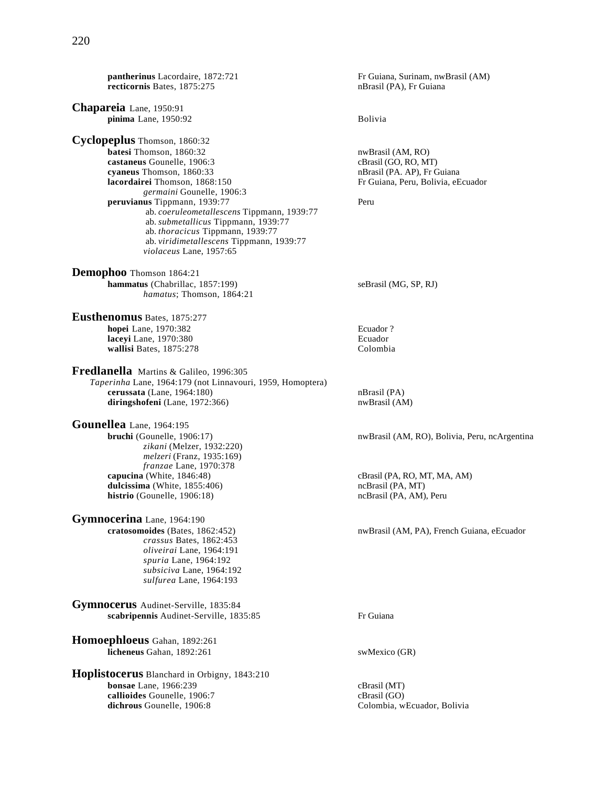**pantherinus** Lacordaire, 1872:721 Fr Guiana, Surinam, nwBrasil (AM) **recticornis** Bates, 1875:275 nBrasil (PA), Fr Guiana recticornis Bates, 1875:275 **Chapareia** Lane, 1950:91 **pinima** Lane, 1950:92 Bolivia **Cyclopeplus** Thomson, 1860:32 **batesi** Thomson, 1860:32 nwBrasil (AM, RO) **castaneus** Gounelle, 1906:3 cBrasil (GO, RO, MT) **cyaneus** Thomson, 1860:33<br> **different intervals of the Secure 1868:150**<br>
Fr Guiana, Peru, Bolivia, eE **lacordairei** Thomson, 1868:150 Fr Guiana, Peru, Bolivia, eEcuador *germaini* Gounelle, 1906:3 **peruvianus** Tippmann, 1939:77 ab. *coeruleometallescens* Tippmann, 1939:77 ab. *submetallicus* Tippmann, 1939:77 ab. *thoracicus* Tippmann, 1939:77 ab. *viridimetallescens* Tippmann, 1939:77 *violaceus* Lane, 1957:65 **Demophoo** Thomson 1864:21 **hammatus** (Chabrillac, 1857:199) seBrasil (MG, SP, RJ) *hamatus*; Thomson, 1864:21 **Eusthenomus** Bates, 1875:277 **hopei** Lane, 1970:382 **Ecuador** ? **laceyi** Lane, 1970:380 **Ecuador Ecuador Ecuador Ecuador Ecuador Ecuador Ecuador Ecuador Ecuador Ecuador Ecuador Ecuador Ecuador Ecuador Ecuador Ecuador Ecuador Ecuador Ecuador Ecuador** wallisi Bates, 1875:278 **Fredlanella** Martins & Galileo, 1996:305 *Taperinha* Lane, 1964:179 (not Linnavouri, 1959, Homoptera) **cerussata** (Lane, 1964:180) nBrasil (PA) diringshofeni (Lane, 1972:366) nwBrasil (AM) **Gounellea** Lane, 1964:195<br>**bruchi** (Gounelle, 1906:17) *zikani* (Melzer, 1932:220) *melzeri* (Franz, 1935:169) *franzae* Lane, 1970:378 **capucina** (White, 1846:48) cBrasil (PA, RO, MT, MA, AM) dulcissima (White, 1855:406) cBrasil (PA, MT) **dulcissima** (White,  $1855:406$ ) **histrio** (Gounelle, 1906:18) **histrio** (Gounelle, 1906:18) **http://web.com/mode/mode/com/mode/mode/ Gymnocerina** Lane, 1964:190<br>cratosomoides (Bates, 1862:452) *crassus* Bates, 1862:453 *oliveirai* Lane, 1964:191 *spuria* Lane, 1964:192 *subsiciva* Lane, 1964:192 *sulfurea* Lane, 1964:193 **Gymnocerus** Audinet-Serville, 1835:84 scabripennis Audinet-Serville, 1835:85 Fr Guiana

**Homoephloeus** Gahan, 1892:261 **licheneus** Gahan, 1892:261 swMexico (GR)

**Hoplistocerus** Blanchard in Orbigny, 1843:210 **bonsae** Lane, 1966:239<br> **callioides** Gounelle, 1906:7 callioides councile, 1906:7 callioides Gounelle, 1906:7 **dichrous** Gounelle, 1906:8 Colombia, wEcuador, Bolivia

nwBrasil (AM, RO), Bolivia, Peru, ncArgentina

**cratosomoides** (Bates, 1862:452) nwBrasil (AM, PA), French Guiana, eEcuador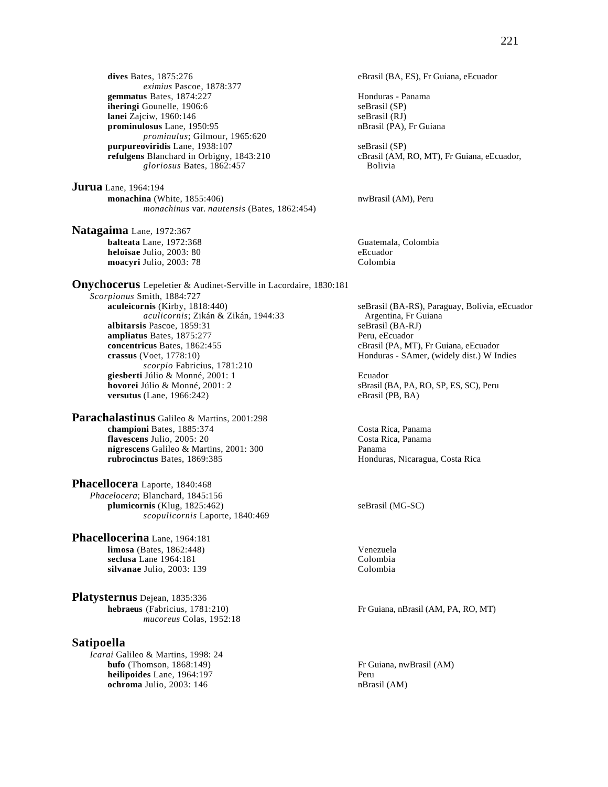**dives** Bates, 1875:276 eBrasil (BA, ES), Fr Guiana, eEcuador *eximius* Pascoe, 1878:377 **gemmatus** Bates, 1874:227 **Honduras** - Panama **iheringi** Gounelle, 1906:6 seBrasil (SP)<br> **lanei** Zajciw, 1960:146 seBrasil (RJ) **lanei** Zajciw, 1960:146 seBrasil (RJ)<br> **prominulosus** Lane, 1950:95 seBrasil (PA), Fr Guiana **prominulosus** Lane, 1950:95 *prominulus*; Gilmour, 1965:620 **purpureoviridis** Lane, 1938:107 seBrasil (SP)<br> **refulgens** Blanchard in Orbigny, 1843:210 cBrasil (AM, i *gloriosus* Bates, 1862:457 Bolivia

**Jurua** Lane, 1964:194 **monachina** (White, 1855:406) **notationally** neutral expectation of the number of  $\mathbb{R}$  is not all  $\mathbb{R}$  expectation of  $\mathbb{R}$  is not all  $\mathbb{R}$  expectation of  $\mathbb{R}$  is not all  $\mathbb{R}$  expectation. The set of *monachinus* var. *nautensis* (Bates, 1862:454)

**Natagaima** Lane, 1972:367 **balteata** Lane, 1972:368 Guatemala, Colombia **heloisae** Julio, 2003: 80<br> **moacyri** Julio, 2003: 78<br>
Colombia moacyri Julio, 2003: 78

**Onychocerus** Lepeletier & Audinet-Serville in Lacordaire, 1830:181 *Scorpionus* Smith, 1884:727 **aculeicornis** (Kirby, 1818:440) seBrasil (BA-RS), Paraguay, Bolivia, eEcuador *aculicornis*; Zikán & Zikán, 1944:33 Argentina, Fr Guiana *aculicornis*; Zikán & Zikán, 1944:33 Argentina, Fr G<br> **s** Pascoe. 1859:31 seBrasil (BA-RJ) **albitarsis** Pascoe, 1859:31 **ampliatus** Bates, 1875:277 Peru, eEcuador<br> **concentricus** Bates, 1862:455 CBrasil (PA, MT **crassus** (Voet, 1778:10) **Honduras - SAmer, (widely dist.) W Indies** *scorpio* Fabricius, 1781:210 **giesberti** Júlio & Monné, 2001: 1 Ecuador **hovorei** Júlio & Monné, 2001: 2 sBrasil (BA, PA, RO, SP, ES, SC), Peru **versutus** (Lane, 1966:242) eBrasil (PB, BA)

**Parachalastinus** Galileo & Martins, 2001:298 **championi** Bates, 1885:374 Costa Rica, Panama<br> **flavescens** Julio, 2005: 20 Costa Rica, Panama **flavescens** Julio, 2005: 20 **nigrescens** Galileo & Martins, 2001: 300 Panama<br> **rubrocinctus** Bates, 1869:385 Hondura

**Phacellocera** Laporte, 1840:468 *Phacelocera*; Blanchard, 1845:156 **plumicornis** (Klug, 1825:462) seBrasil (MG-SC) *scopulicornis* Laporte, 1840:469

**Phacellocerina** Lane, 1964:181 **limosa** (Bates, 1862:448) Venezuela **seclusa** Lane 1964:181<br> **silvanae** Julio. 2003: 139<br>
Colombia silvanae Julio, 2003: 139

**Platysternus** Dejean, 1835:336<br>hebraeus (Fabricius, 1781:210) *mucoreus* Colas, 1952:18

# **Satipoella**

*Icarai* Galileo & Martins, 1998: 24<br>**bufo** (Thomson, 1868:149) **heilipoides** Lane, 1964:197 Peru **ochroma** Julio, 2003: 146 nBrasil (AM)

cBrasil (AM, RO, MT), Fr Guiana, eEcuador,

cBrasil (PA, MT), Fr Guiana, eEcuador

**Honduras, Nicaragua, Costa Rica** 

Fr Guiana, nBrasil (AM, PA, RO, MT)

Fr Guiana, nwBrasil (AM)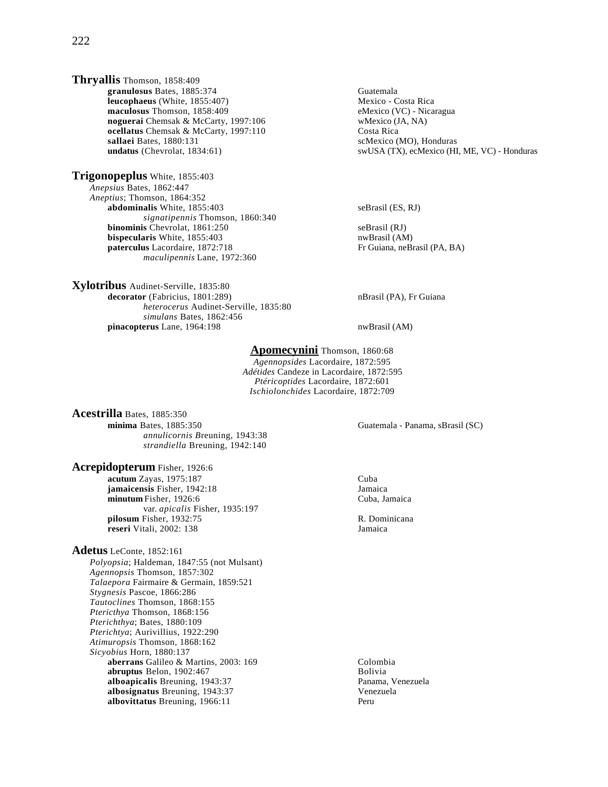**Thryallis** Thomson, 1858:409 **granulosus** Bates, 1885:374 Guatemala **leucophaeus** (White, 1855:407) Mexico - Costa Rica **maculosus** Thomson, 1858:409 eMexico (VC) - Nicaragua **noguerai** Chemsak & McCarty, 1997:106 wMexico (JA, NA)<br> **ocellatus** Chemsak & McCarty, 1997:110 Costa Rica ocellatus Chemsak & McCarty, 1997:110 **sallaei** Bates, 1880:131 scMexico (MO), Honduras

**Trigonopeplus** White, 1855:403 *Anepsius* Bates, 1862:447 *Aneptius*; Thomson, 1864:352 **abdominalis** White, 1855:403 seBrasil (ES, RJ) *signatipennis* Thomson, 1860:340 **binominis** Chevrolat, 1861:250 seBrasil (RJ) **bispecularis** White, 1855:403<br> **paterculus** Lacordaire, 1872:718 **nubiling the Secure Area** Fr Guiana, neBrasil (PA, BA) paterculus Lacordaire, 1872:718 *maculipennis* Lane, 1972:360

**Xylotribus** Audinet-Serville, 1835:80 **decorator** (Fabricius, 1801:289) **nBrasil (PA), Fr Guiana** *heterocerus* Audinet-Serville, 1835:80 *simulans* Bates, 1862:456 pinacopterus Lane, 1964:198 nwBrasil (AM)

**undatus** (Chevrolat, 1834:61) swUSA (TX), ecMexico (HI, ME, VC) - Honduras

# **Apomecynini** Thomson, 1860:68

*Agennopsides* Lacordaire, 1872:595 *Adétides* Candeze in Lacordaire, 1872:595 *Ptéricoptides* Lacordaire, 1872:601 *Ischiolonchides* Lacordaire, 1872:709

**Acestrilla** Bates, 1885:350 **minima** Bates, 1885:350 Guatemala - Panama, sBrasil (SC) *annulicornis B*reuning, 1943:38 *strandiella* Breuning, 1942:140

**Acrepidopterum** Fisher, 1926:6 **acutum** Zayas, 1975:187<br> **acutum** Zayas, 1975:187<br> **acutum** Zayas, 1942:18 **jamaicensis** Fisher, 1942:18<br> **idiomia initialist in the Sepannica**<br>
Cuba, Jamaica<br>
Cuba, Jamaica minutum Fisher, 1926:6 var. *apicalis* Fisher, 1935:197 **pilosum** Fisher, 1932:75 R. Dominicana **reseri** Vitali, 2002: 138 Jamaica

**Adetus** LeConte, 1852:161

*Polyopsia*; Haldeman, 1847:55 (not Mulsant) *Agennopsis* Thomson, 1857:302 *Talaepora* Fairmaire & Germain, 1859:521 *Stygnesis* Pascoe, 1866:286 *Tautoclines* Thomson, 1868:155 *Ptericthya* Thomson, 1868:156 *Pterichthya*; Bates, 1880:109 *Pterichtya*; Aurivillius, 1922:290 *Atimuropsis* Thomson, 1868:162 *Sicyobius* Horn, 1880:137 **aberrans** Galileo & Martins, 2003: 169<br> **abruptus** Belon. 1902:467<br>
Bolivia **abruptus** Belon, 1902:467 **alboapicalis** Breuning, 1943:37 Panama, Venezuela **albosignatus** Breuning, 1943:37<br> **albovittatus** Breuning, 1966:11 albovittatus Breuning, 1966:11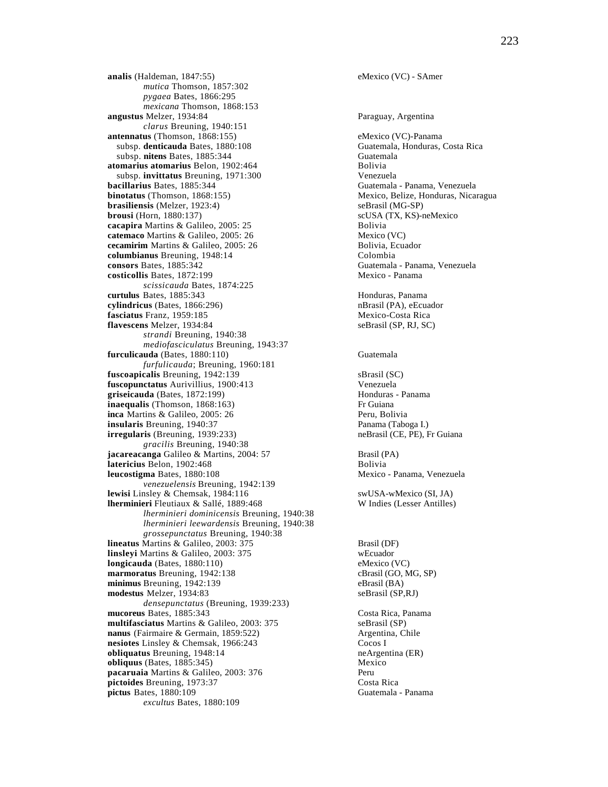**analis** (Haldeman, 1847:55) eMexico (VC) - SAmer *mutica* Thomson, 1857:302 *pygaea* Bates, 1866:295 *mexicana* Thomson, 1868:153 **angustus** Melzer, 1934:84 Paraguay, Argentina *clarus* Breuning, 1940:151 **antennatus** (Thomson, 1868:155) eMexico (VC)-Panama<br>subsp. **denticauda** Bates, 1880:108 Guatemala, Honduras, Costa Rica subsp. **denticauda** Bates, 1880:108 subsp. **nitens** Bates, 1885:344 Guatemala atomarius atomarius Belon, 1902:464 Bolivia subsp. **invittatus** Breuning, 1971:300 Venezuela **bacillarius** Bates, 1885:344 Guatemala - Panama, Venezuela **binotatus** (Thomson, 1868:155) Mexico, Belize, Honduras, Nicaragua **brasiliensis** (Melzer, 1923:4) seBrasil (MG-SP) **brousi** (Horn, 1880:137) scUSA (TX, KS)-neMexico **cacapira** Martins & Galileo, 2005: 25 Bolivia<br> **catemaco** Martins & Galileo, 2005: 26 Mexico (VC) **catemaco** Martins & Galileo, 2005: 26 Mexico (VC)<br> **cecamirim** Martins & Galileo, 2005: 26 Bolivia, Ecuador **cecamirim** Martins & Galileo, 2005: 26 **columbianus** Breuning, 1948:14 Colombia **consors** Bates, 1885:342 Guatemala - Panama, Venezuela **costicollis** Bates, 1872:199 Mexico - Panama *scissicauda* Bates, 1874:225 **curtulus** Bates, 1885:343<br> **cylindricus** (Bates, 1866:296) **Contract Server Structures** (Bates, 1866:296) **Contract Server Structures** (PA), eEcuador cylindricus (Bates, 1866:296) **fasciatus** Franz, 1959:185 Mexico-Costa Rica **flavescens** Melzer, 1934:84 seBrasil (SP, RJ, SC) *strandi* Breuning, 1940:38 *mediofasciculatus* Breuning, 1943:37 **furculicauda** (Bates, 1880:110) Guatemala *furfulicauda*; Breuning, 1960:181 **fuscoapicalis** Breuning, 1942:139 sBrasil (SC)<br> **fuscopunctatus** Aurivillius. 1900:413 Venezuela **fuscopunctatus** Aurivillius, 1900:413<br> **griseicauda** (Bates, 1872:199)<br> **Honduras - Panama** griseicauda (Bates, 1872:199) **inaequalis** (Thomson, 1868:163)<br> **inca** Martins & Galileo, 2005: 26<br> **Peru, Bolivia** inca Martins & Galileo, 2005: 26 **insularis** Breuning, 1940:37 Panama (Taboga I.) **irregularis** (Breuning, 1939:233) neBrasil (CE, PE), Fr Guiana *gracilis* Breuning, 1940:38 **jacareacanga** Galileo & Martins, 2004: 57 Brasil (PA) **latericius** Belon, 1902:468 Bolivia **leucostigma** Bates, 1880:108 Mexico - Panama, Venezuela *venezuelensis* Breuning, 1942:139 **lewisi** Linsley & Chemsak, 1984:116 swUSA-wMexico (SI, JA) **lherminieri** Fleutiaux & Sallé, 1889:468 W Indies (Lesser Antilles) *lherminieri dominicensis* Breuning, 1940:38 *lherminieri leewardensis* Breuning, 1940:38 *grossepunctatus* Breuning, 1940:38 **lineatus** Martins & Galileo, 2003: 375 Brasil (DF) **linsleyi** Martins & Galileo, 2003: 375 wEcuador **longicauda** (Bates, 1880:110) eMexico (VC) **marmoratus** Breuning, 1942:138 cBrasil (GO, MG, SP) **minimus** Breuning, 1942:139 eBrasil (BA) **modestus** Melzer, 1934:83 seBrasil (SP,RJ) *densepunctatus* (Breuning, 1939:233) **mucoreus** Bates, 1885:343 Costa Rica, Panama **multifasciatus** Martins & Galileo, 2003: 375 seBrasil (SP)<br> **nanus** (Fairmaire & Germain, 1859:522) Argentina, Chile **nanus** (Fairmaire & Germain, 1859:522) **nesiotes** Linsley & Chemsak, 1966:243 Cocos I **obliquatus** Breuning, 1948:14 neArgentina (ER) **obliquus** (Bates, 1885:345) Mexico **pacaruaia** Martins & Galileo, 2003: 376 **Perupata Perupata Perupata Secure 2016** Peru<br> **pictoides** Breuning, 1973:37 pictoides Breuning, 1973:37 **pictus** Bates, 1880:109 Guatemala - Panama *excultus* Bates, 1880:109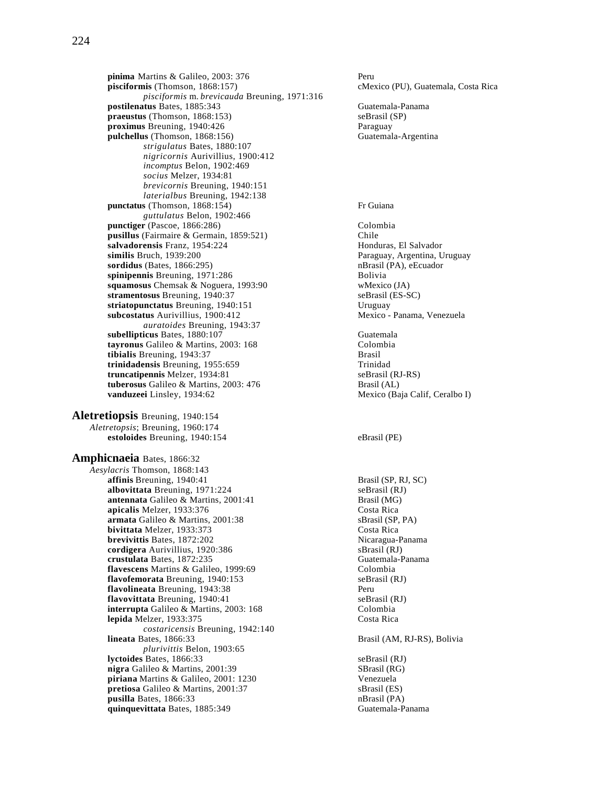224

**pinima** Martins & Galileo, 2003: 376 Peru<br> **pisciformis** (Thomson, 1868:157) cMes *pisciformis* m. *brevicauda* Breuning, 1971:316 **postilenatus** Bates, 1885:343 Guatemala-Panama<br> **praeustus** (Thomson, 1868:153) SeBrasil (SP)  $pra eustus$  (Thomson, 1868:153) **proximus** Breuning, 1940:426 Paraguay pulchellus (Thomson, 1868:156) Guatemala-Argentina *strigulatus* Bates, 1880:107 *nigricornis* Aurivillius, 1900:412 *incomptus* Belon, 1902:469 *socius* Melzer, 1934:81 *brevicornis* Breuning, 1940:151 *laterialbus* Breuning, 1942:138 **punctatus** (Thomson, 1868:154) Fr Guiana *guttulatus* Belon, 1902:466 **punctiger** (Pascoe, 1866:286) Colombia **pusillus** (Fairmaire & Germain, 1859:521)<br> **chile**<br> **pusillus** (Fairmaire & Germain, 1859:521)<br> **Pusilism Chile**<br> **Pusilism Chile**<br> **Pusilism Chile**<br> **Pusilism Chile**<br> **Pusilism Chile** salvadorensis Franz, 1954:224 **similis** Bruch, 1939:200 Paraguay, Argentina, Uruguay **sordidus** (Bates, 1866:295) **nBrasil** (PA), eEcuador **spinipennis** Breuning, 1971:286 Bolivia **squamosus** Chemsak & Noguera, 1993:90 wMexico (JA)<br> **stramentosus** Breuning, 1940:37 seBrasil (ES-SC) **stramentosus** Breuning, 1940:37<br> **striatopunctatus** Breuning, 1940:151 **Striatopunctatus** Breuning, 1940:151 striatopunctatus Breuning, 1940:151 subcostatus Aurivillius, 1900:412 Mexico - Panama, Venezuela *auratoides* Breuning, 1943:37 **subellipticus** Bates, 1880:107 Guatemala **tayronus** Galileo & Martins, 2003: 168 Colombia<br> **tibialis** Breuning, 1943:37 Brasil tibialis Breuning, 1943:37 **trinidadensis** Breuning, 1955:659 Trinidad **truncatipennis** Melzer, 1934:81 seBrasil (RJ-RS) **tuberosus** Galileo & Martins, 2003: 476 **Brasil (AL)**<br> **vanduzeei** Linsley, 1934:62 **Mexico** (Ba **Aletretiopsis** Breuning, 1940:154

*Aletretopsis*; Breuning, 1960:174 **estoloides** Breuning, 1940:154 eBrasil (PE)

**Amphicnaeia** Bates, 1866:32 *Aesylacris* Thomson, 1868:143 **affinis** Breuning, 1940:41 Brasil (SP, RJ, SC) **albovittata** Breuning, 1971:224 seBrasil (RJ) **antennata** Galileo & Martins, 2001:41 Brasil (MG)<br> **apicalis** Melzer, 1933:376 Costa Rica **apicalis** Melzer, 1933:376<br> **armata** Galileo & Martins, 2001:38<br>
SBrasil (SP, PA) armata Galileo & Martins, 2001:38 **bivittata** Melzer, 1933:373 Costa Rica **brevivittis Bates, 1872:202 brevivittis Bates, 1872:202 Nicaragua-Panama**<br> **cordigera** Aurivillius, 1920:386 **Shamma** Shasil (RJ) cordigera Aurivillius, 1920:386 **crustulata** Bates, 1872:235 Guatemala-Panama **flavescens** Martins & Galileo, 1999:69 Colombia **flavofemorata** Breuning, 1940:153 seBrasil (RJ) **flavolineata** Breuning, 1943:38 Peru **flavovittata** Breuning, 1940:41<br> **interrupta** Galileo & Martins. 2003: 168 (Colombia) interrupta Galileo & Martins, 2003: 168 **lepida** Melzer, 1933:375 Costa Rica *costaricensis* Breuning, 1942:140 **lineata** Bates, 1866:33 Brasil (AM, RJ-RS), Bolivia *plurivittis* Belon, 1903:65 **lyctoides** Bates, 1866:33 seBrasil (RJ) **nigra** Galileo & Martins, 2001:39 SBrasil (RG) **piriana** Martins & Galileo, 2001: 1230 Venezuela **pretiosa** Galileo & Martins, 2001:37 <br>**pusilla** Bates, 1866:33 **pusilla** Bates, 1866:33 pusilla Bates, 1866:33 **quinquevittata** Bates, 1885:349 Guatemala-Panama

**pisciformis** (Thomson, 1868:157) cMexico (PU), Guatemala, Costa Rica

Mexico (Baja Calif, Ceralbo I)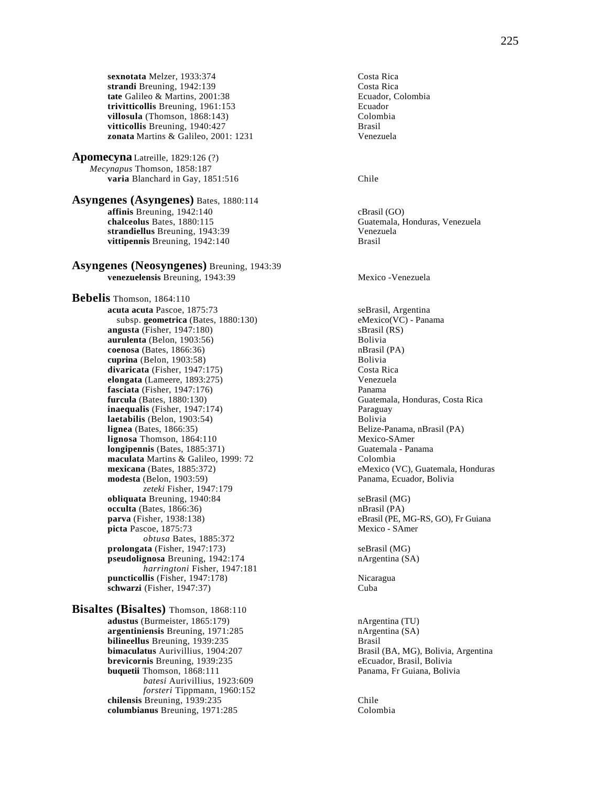**sexnotata** Melzer, 1933:374<br> **strandi** Breuning. 1942:139<br>
Costa Rica strandi Breuning, 1942:139 **tate** Galileo & Martins, 2001:38 Ecuador, Colombia **trivitticollis** Breuning, 1961:153<br> **rivitticollis** Breuning, 1868:143)<br>
Colombia **villosula** (Thomson, 1868:143) Colom<br> **vitticollis** Breuning. 1940:427 Brasil vitticollis Breuning, 1940:427 **zonata** Martins & Galileo, 2001: 1231 Venezuela

**Apomecyna** Latreille, 1829:126 (?) *Mecynapus* Thomson, 1858:187 **varia** Blanchard in Gay, 1851:516 Chile

# **Asyngenes (Asyngenes)** Bates, 1880:114 **affinis** Breuning, 1942:140 cBrasil (GO) chalceolus Bates, 1880:115 cBrasil CO **strandiellus** Breuning, 1943:39<br> **vittipennis** Breuning, 1942:140<br> **Prassil** vittipennis Breuning, 1942:140

#### **Asyngenes (Neosyngenes)** Breuning, 1943:39 **venezuelensis** Breuning, 1943:39 Mexico -Venezuela

**Bebelis** Thomson, 1864:110 **acuta acuta** Pascoe, 1875:73 seBrasil, Argentina subsp. **geometrica** (Bates, 1880:130) eMexico(VC) - Panama **angusta** (Fisher, 1947:180) sBrasil (RS) **aurulenta** (Belon, 1903:56)<br> **coenosa** (Bates, 1866:36)<br> **b** nBrasil (PA) **coenosa** (Bates, 1866:36) **cuprina** (Belon, 1903:58) Bolivia **divaricata** (Fisher, 1947:175) Costa Rica **elongata** (Lameere, 1893:275) Venezuela **fasciata** (Fisher, 1947:176) **Panama furcula** (Bates, 1880:130) **Panama inaequalis** (Fisher, 1947:174) Paraguay **laetabilis** (Belon, 1903:54) Bolivia **lignea** (Bates, 1866:35) **Belize-Panama, nBrasil (PA)** Belize-Panama, nBrasil (PA) **lignosa** Thomson, 1864:110 **longipennis** (Bates, 1885:371) Guatemala - Panama **maculata** Martins & Galileo, 1999: 72 Colombia **mexicana** (Bates, 1885:372) eMexico (VC), Guatemala, Honduras **modesta** (Belon, 1903:59) Panama, Ecuador, Bolivia *zeteki* Fisher, 1947:179 **obliquata** Breuning, 1940:84 seBrasil (MG) **occulta** (Bates, 1866:36) nBrasil (PA) **parva** (Fisher, 1938:138) eBrasil (PE, MG-RS, GO), Fr Guiana picta Pascoe, 1875:73 Mexico - SAmer *obtusa* Bates, 1885:372 **prolongata** (Fisher, 1947:173) seBrasil (MG) **pseudolignosa** Breuning, 1942:174 nArgentina (SA) *harringtoni* Fisher, 1947:181 **puncticollis** (Fisher, 1947:178) Nicaragua **schwarzi** (Fisher, 1947:37) Cuba

**Bisaltes (Bisaltes)** Thomson, 1868:110 **adustus** (Burmeister, 1865:179) nArgentina (TU) **argentiniensis** Breuning, 1971:285 **nArgentina (SA)**<br> **bilineellus** Breuning, 1939:235 **n**Brasil Brasil **bilineellus** Breuning, 1939:235<br>**bimaculatus** Aurivillius, 1904:207 **brevicornis** Breuning, 1939:235 eEcuador, Brasil, Bolivia **buquetii Thomson, 1868:111** Panama, Fr Guiana, Bolivia *batesi* Aurivillius, 1923:609 *forsteri* Tippmann, 1960:152 **chilensis** Breuning, 1939:235 Chile **columbianus** Breuning, 1971:285 Colombia

Guatemala, Honduras, Venezuela

**Guatemala, Honduras, Costa Rica** 

Brasil (BA, MG), Bolivia, Argentina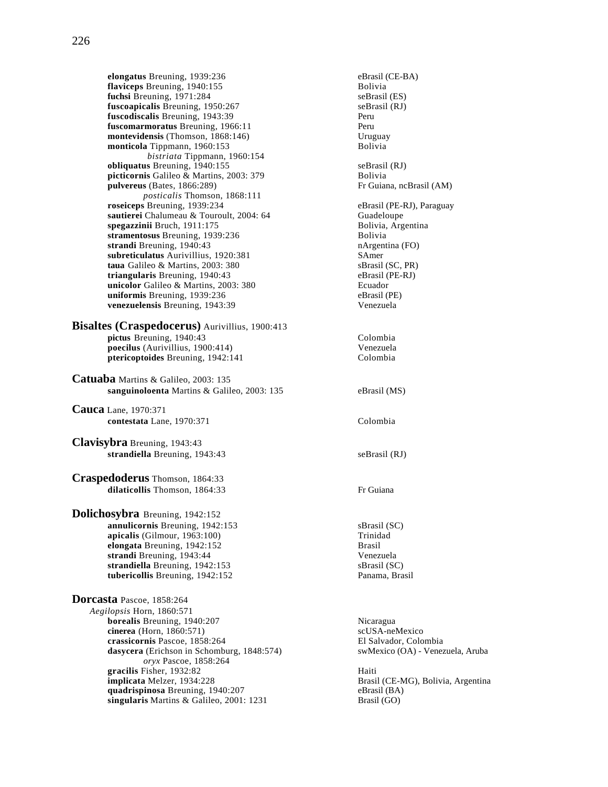**elongatus** Breuning, 1939:236 **eBrasil (CE-BA)**<br> **eBrasil (CE-BA)**<br> **eBrasil (CE-BA)**<br> **eBrasil (CE-BA) flaviceps** Breuning, 1940:155 **fuchsi** Breuning, 1971:284 seBrasil (ES) **fuscoapicalis** Breuning, 1950:267 seBrasil (RJ)<br> **fuscodiscalis** Breuning, 1943:39 Peru fuscodiscalis Breuning, 1943:39 **fuscomarmoratus** Breuning, 1966:11 Peru **montevidensis** (Thomson, 1868:146) Uruguay<br> **monticola** Tippmann, 1960:153 Bolivia monticola Tippmann, 1960:153 *bistriata* Tippmann, 1960:154 **obliquatus** Breuning, 1940:155<br> **picticornis** Galileo & Martins. 2003: 379 **Solivia**<br>
Bolivia picticornis Galileo & Martins, 2003: 379 **pulvereus** (Bates, 1866:289) Fr Guiana, ncBrasil (AM) *posticalis* Thomson, 1868:111 **roseiceps** Breuning, 1939:234 eBrasil (PE-RJ), Paraguay **sautierei** Chalumeau & Touroult, 2004: 64 Guadeloupe **spegazzinii** Bruch, 1911:175 Bolivia, Argentina **stramentosus** Breuning, 1939:236 **Bolivia**<br> **strandi** Breuning, 1940:43 **Bolivia**<br> **nArgentina** (FO) **strandi** Breuning, 1940:43 nArgen<br> **subreticulatus** Aurivillius, 1920:381 SAmer **subreticulatus** Aurivillius, 1920:381 SAmer<br> **1920:** Samer Samer Samer Samer Samer Samer Samer Samer Samer Samer Samer Samer Samer Samer Samer Samer Samer Samer Samer Samer Samer Samer Samer Samer Samer Samer Samer Samer taua Galileo & Martins, 2003: 380 **triangularis** Breuning, 1940:43 eBrasil (PE-RJ) **unicolor** Galileo & Martins, 2003: 380 Ecuador<br> **uniformis** Breuning, 1939:236 eBrasil (PE) **uniformis** Breuning, 1939:236<br> **venezuelensis** Breuning, 1943:39<br>
Venezuela venezuelensis Breuning, 1943:39 **Bisaltes (Craspedocerus)** Aurivillius, 1900:413

## **pictus** Breuning, 1940:43 Colombia **poecilus** (Aurivillius, 1900:414) **Venezuela**<br> **piericoptoides** Breuning, 1942:141 **Colombia** ptericoptoides Breuning, 1942:141

**Catuaba** Martins & Galileo, 2003: 135 **sanguinoloenta** Martins & Galileo, 2003: 135 eBrasil (MS)

**Cauca** Lane, 1970:371 **contestata** Lane, 1970:371 Colombia

**Clavisybra** Breuning, 1943:43 strandiella Breuning, 1943:43 seBrasil (RJ)

**Craspedoderus** Thomson, 1864:33 **dilaticollis** Thomson, 1864:33 Fr Guiana

**Dolichosybra** Breuning, 1942:152 **annulicornis** Breuning, 1942:153 sBrasil (SC) **apicalis** (Gilmour, 1963:100)<br> **apicalis** (Gilmour, 1942:152)<br>
Brasil **elongata** Breuning, 1942:152 **strandi** Breuning, 1943:44 Venezuela **strandiella** Breuning, 1942:153<br> **tubericollis** Breuning, 1942:152<br>
Panama, Brasil **tubericollis** Breuning, 1942:152

**Dorcasta** Pascoe, 1858:264 *Aegilopsis* Horn, 1860:571 **borealis** Breuning, 1940:207 Nicaragua **cinerea** (Horn, 1860:571) scUSA-neMexico<br> **crassicornis** Pascoe, 1858:264 El Salvador, Colombia **crassicornis Pascoe, 1858:264** El Salvador, Colombia<br> **crassicornis Pascoe, 1858:264** El Salvador, Colombia<br> **crassicornis Pascoe, 1858:264** El Salvador, Colombia **dasycera** (Erichson in Schomburg, 1848:574) *oryx* Pascoe, 1858:264 **gracilis** Fisher, 1932:82<br> **implicata** Melzer, 1934:228 **quadrispinosa** Breuning, 1940:207 eBrasil (BA)<br> **singularis** Martins & Galileo, 2001: 1231 **eBrasil (GO)** singularis Martins & Galileo, 2001: 1231

Brasil (CE-MG), Bolivia, Argentina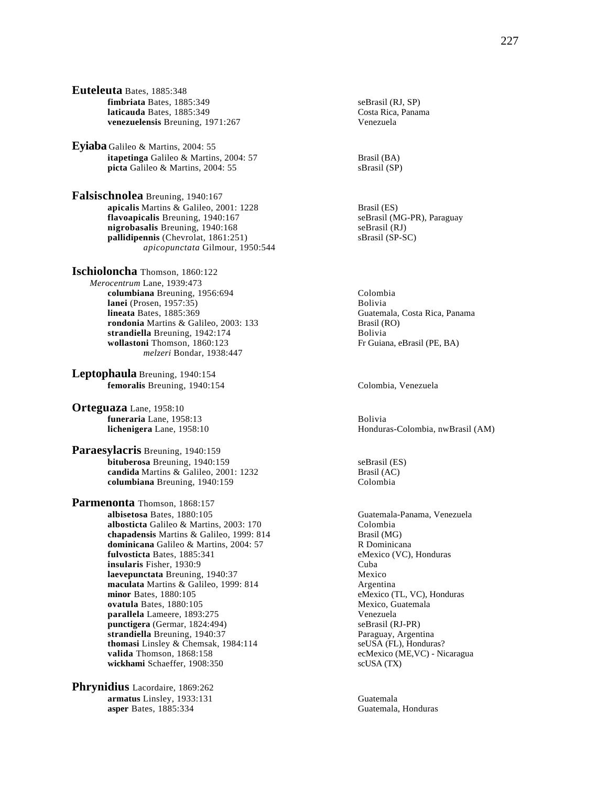**Euteleuta** Bates, 1885:348 **fimbriata** Bates, 1885:349 seBrasil (RJ, SP) **laticauda** Bates, 1885:349 Costa Rica, Panama **venezuelensis** Breuning, 1971:267 Venezuela

**Eyiaba** Galileo & Martins, 2004: 55 **itapetinga** Galileo & Martins, 2004: 57 Brasil (BA) **picta** Galileo & Martins, 2004: 55 sBrasil (SP)

**Falsischnolea** Breuning, 1940:167 **apicalis** Martins & Galileo, 2001: 1228 **Brasil (ES)**<br> **apicalis** Breuning, 1940:167 **Brasil (MG-PR), Paraguay** flavoapicalis Breuning, 1940:167 **nigrobasalis** Breuning, 1940:168 seBrasil (RJ) **pallidipennis** (Chevrolat, 1861:251) sBrasil (SP-SC) *apicopunctata* Gilmour, 1950:544

**Ischioloncha** Thomson, 1860:122 *Merocentrum* Lane, 1939:473 **columbiana** Breuning, 1956:694 Colombia **lanei** (Prosen, 1957:35)<br> **lineata** Bates. 1885:369<br>
Guatem rondonia Martins & Galileo, 2003: 133 strandiella Breuning, 1942:174 Bolivia **wollastoni** Thomson, 1860:123 Fr Guiana, eBrasil (PE, BA) *melzeri* Bondar, 1938:447

**Leptophaula** Breuning, 1940:154 **femoralis** Breuning, 1940:154 Colombia, Venezuela

**Orteguaza** Lane, 1958:10 **funeraria** Lane, 1958:13 Bolivia

**Paraesylacris** Breuning, 1940:159 **bituberosa** Breuning, 1940:159 seBrasil (ES) **candida** Martins & Galileo, 2001: 1232 Brasil (AC) **columbiana** Breuning, 1940:159 Colombia

**Parmenonta** Thomson, 1868:157 **albisetosa** Bates, 1880:105 Guatemala-Panama, Venezuela<br> **albosticta** Galileo & Martins, 2003: 170 Colombia **albosticta** Galileo & Martins, 2003: 170 Colombia<br> **chapadensis** Martins & Galileo, 1999: 814 Brasil (MG) chapadensis Martins & Galileo, 1999: 814 **dominicana** Galileo & Martins, 2004: 57 R Dominicana fulvosticta Bates, 1885:341 **insularis** Fisher, 1930:9 Cuba **laevepunctata** Breuning, 1940:37 Mexico **maculata** Martins & Galileo, 1999: 814 Argentina **minor** Bates, 1880:105 eMexico (TL, VC), Honduras **ovatula** Bates, 1880:105<br> **ovatula** Bates, 1893:275<br> **ovatulela** Lameere, 1893:275 parallela Lameere, 1893:275 **punctigera** (Germar, 1824:494) seBrasil (RJ-PR) **strandiella** Breuning, 1940:37<br> **thomasi** Linsley & Chemsak, 1984:114<br> **seUSA** (FL), Honduras? **thomasi** Linsley & Chemsak, 1984:114 **valida** Thomson, 1868:158 ecMexico (ME,VC) - Nicaragua wickhami Schaeffer, 1908:350 scUSA (TX)

**Phrynidius** Lacordaire, 1869:262 **armatus** Linsley, 1933:131 Guatemala **asper Bates, 1885:334** Guatemala, Honduras

Guatemala, Costa Rica, Panama<br>Brasil (RO)

**lichenigera** Lane, 1958:10 **Honduras-Colombia, nwBrasil (AM) Honduras-Colombia, nwBrasil (AM)**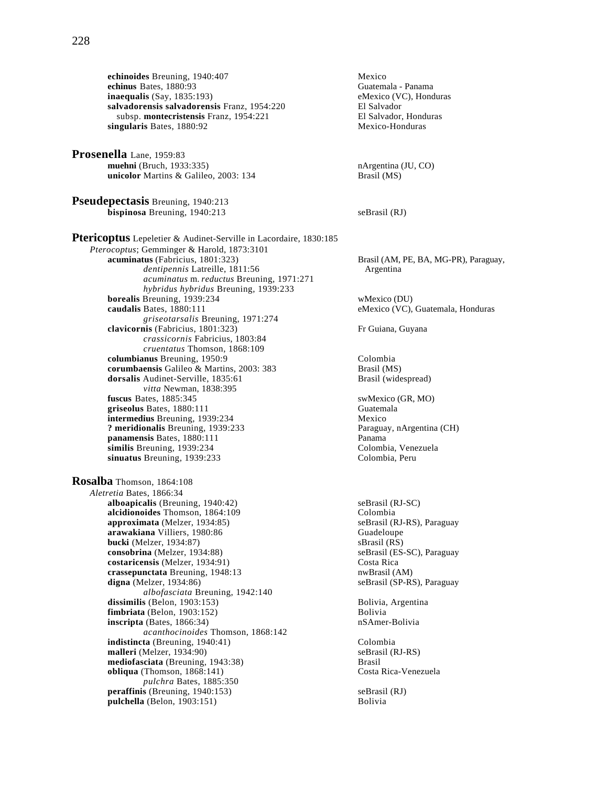**echinoides** Breuning, 1940:407<br> **echinus** Bates, 1880:93<br>
Guatemala - Panama **echinus** Bates, 1880:93 **inaequalis** (Say, 1835:193) eMexico (VC), Honduras **salvadorensis salvadorensis** Franz, 1954:220 **El Salvador El Salvador**<br>
subsp. **montecristensis** Franz, 1954:221 **El Salvador**, Honduras subsp. **montecristensis** Franz, 1954:221 **El Salvador, Honduras**<br> **ngularis** Bates, 1880:92 **Mexico-Honduras** singularis Bates, 1880:92

**Prosenella** Lane, 1959:83 **muehni** (Bruch, 1933:335)<br> **unicolor** Martins & Galileo, 2003: 134<br>
Brasil (MS) unicolor Martins & Galileo, 2003: 134

**Pseudepectasis** Breuning, 1940:213 **bispinosa** Breuning, 1940:213 seBrasil (RJ)

**Ptericoptus** Lepeletier & Audinet-Serville in Lacordaire, 1830:185 *Pterocoptus*; Gemminger & Harold, 1873:3101 **acuminatus** (Fabricius, 1801:323) Brasil (AM, PE, BA, MG-PR), Paraguay, *dentipennis* Latreille, 1811:56 Argentina *acuminatus* m. *reductus* Breuning, 1971:271 *hybridus hybridus* Breuning, 1939:233 **borealis** Breuning, 1939:234 wMexico (DU) **caudalis** Bates, 1880:111 eMexico (VC), Guatemala, Honduras *griseotarsalis* Breuning, 1971:274 **clavicornis** (Fabricius, 1801:323) Fr Guiana, Guyana *crassicornis* Fabricius, 1803:84 *cruentatus* Thomson, 1868:109 **columbianus** Breuning, 1950:9 Colombia **corumbaensis** Galileo & Martins, 2003: 383 Brasil (MS)<br> **dorsalis** Audinet-Serville, 1835:61 Brasil (widespread) **dorsalis** Audinet-Serville, 1835:61 *vitta* Newman, 1838:395 **fuscus** Bates, 1885:345 swMexico (GR, MO) **griseolus** Bates, 1880:111 Guatemala griseolus Bates, 1880:111 **intermedius** Breuning, 1939:234 Mexico **? meridionalis** Breuning, 1939:233 Paraguay, nArgentina (CH) **panamensis** Bates, 1880:111 Panama<br> **panama**<br> **panama**<br> **panama**<br> **panama**<br> **panama**<br> **panama**<br> **panama**<br> **panama**<br> **panama**<br> **panama**<br> **colombia**<br> **vanama** similis Breuning, 1939:234 **sinuatus** Breuning, 1939:233 Colombia, Peru **Rosalba** Thomson, 1864:108 *Aletretia* Bates, 1866:34 **alboapicalis** (Breuning, 1940:42) seBrasil (RJ-SC)<br> **alcidionoides** Thomson, 1864:109 (Colombia **alcidionoides** Thomson, 1864:109<br> **approximata** (Melzer, 1934:85) SeBrasil (RJ-RS), Paraguay **approximata** (Melzer, 1934:85) **arawakiana** Villiers, 1980:86 Guadeloupe **bucki** (Melzer, 1934:87)<br> **consobrina** (Melzer, 1934:88)<br> **bucki** (RS)<br>
seBrasil (ES-SC), Paraguay consobrina (Melzer, 1934:88) **costaricensis** (Melzer, 1934:91) Costa Rica<br> **crassepunctata** Breuning, 1948:13 crassepunctata Breuning, 1948:13 crassepunctata Breuning, 1948:13 **digna** (Melzer, 1934:86) **seBrasil** (SP-RS), Paraguay *albofasciata* Breuning, 1942:140 **dissimilis** (Belon, 1903:153)<br> **fimbriata** (Belon, 1903:152)<br>
Bolivia<br>
Bolivia  $fimplr$ iata (Belon, 1903:152) **inscripta** (Bates, 1866:34) nSAmer-Bolivia *acanthocinoides* Thomson, 1868:142 **indistincta** (Breuning, 1940:41) Colombia **malleri** (Melzer, 1934:90)<br> **mediofasciata** (Breuning, 1943:38) **seBrasil** (RJ-RS) **mediofasciata** (Breuning, 1943:38)<br> **obliqua** (Thomson, 1868:141) **Brasil** Costa Rica-Venezuela **obliqua** (Thomson,  $1868:141$ ) *pulchra* Bates, 1885:350 **peraffinis** (Breuning, 1940:153) seBrasil (RJ)<br> **pulchella** (Belon, 1903:151) Solivia  $pulchella$  (Belon, 1903:151)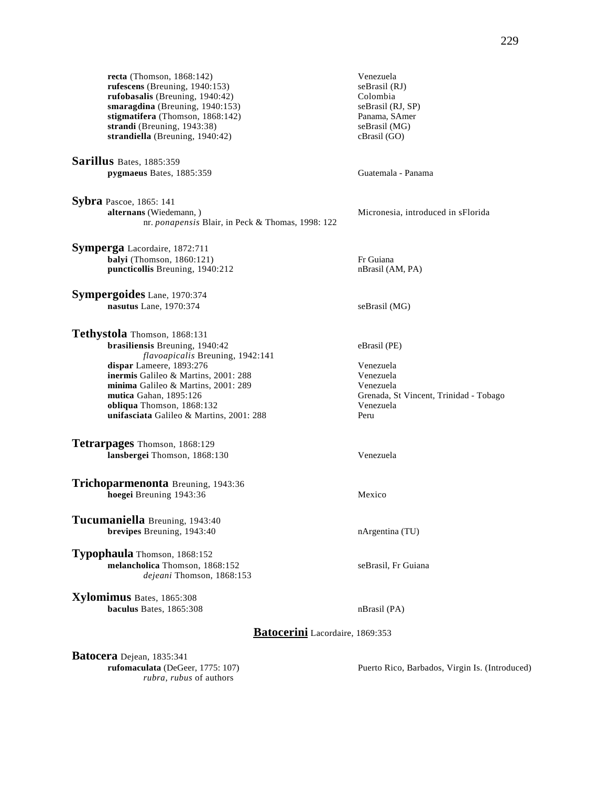**recta** (Thomson, 1868:142) Venezuela<br> **rufescens** (Breuning, 1940:153) seBrasil (RJ)  $rufescens$  (Breuning,  $1940:153$ ) **rufobasalis** (Breuning, 1940:42) Colombia **smaragdina** (Breuning, 1940:153) seBrasil (RJ, SP) stigmatifera (Thomson, 1868:142) Panama, SAmer **stigmatifera** (Thomson, 1868:142) Panama, SAme<br> **strandi** (Breuning, 1943:38) SeBrasil (MG) strandi (Breuning, 1943:38) **strandiella** (Breuning, 1940:42) cBrasil (GO)

**Sarillus** Bates, 1885:359 **pygmaeus** Bates, 1885:359 Guatemala - Panama

**Sybra** Pascoe, 1865: 141 **alternans** (Wiedemann, ) nr. *ponapensis* Blair, in Peck & Thomas, 1998: 122

**Symperga** Lacordaire, 1872:711 **balyi** (Thomson, 1860:121)<br> **balyi** (Thomson, 1860:1212 Fr Guiana<br> **puncticollis** Breuning, 1940:212 Fr Guiana puncticollis Breuning, 1940:212

**Sympergoides** Lane, 1970:374 **nasutus** Lane, 1970:374 seBrasil (MG)

**Tethystola** Thomson, 1868:131 **brasiliensis** Breuning, 1940:42 eBrasil (PE) *flavoapicalis* Breuning, 1942:141 **dispar** Lameere, 1893:276<br> **inermis** Galileo & Martins. 2001: 288<br>
Venezuela inermis Galileo & Martins, 2001: 288 **minima** Galileo & Martins, 2001: 289 Venezuela **mutica** Gahan, 1895:126 Grenada, St Vincent, Trinidad - Tobago **obliqua** Thomson, 1868:132<br> **unifasciata** Galileo & Martins. 2001: 288<br>
Peru unifasciata Galileo & Martins, 2001: 288

**Tetrarpages** Thomson, 1868:129 **lansbergei** Thomson, 1868:130 Venezuela

**Trichoparmenonta** Breuning, 1943:36 **hoegei Breuning 1943:36** Mexico

**Tucumaniella** Breuning, 1943:40 **brevipes** Breuning, 1943:40 nArgentina (TU)

**Typophaula** Thomson, 1868:152 **melancholica** Thomson, 1868:152 seBrasil, Fr Guiana *dejeani* Thomson, 1868:153

**Xylomimus** Bates, 1865:308 **baculus** Bates, 1865:308 nBrasil (PA)

Micronesia, introduced in sFlorida

**Batocerini** Lacordaire, 1869:353

**Batocera** Dejean, 1835:341 *rubra, rubus* of authors

**rufomaculata** (DeGeer, 1775: 107) Puerto Rico, Barbados, Virgin Is. (Introduced)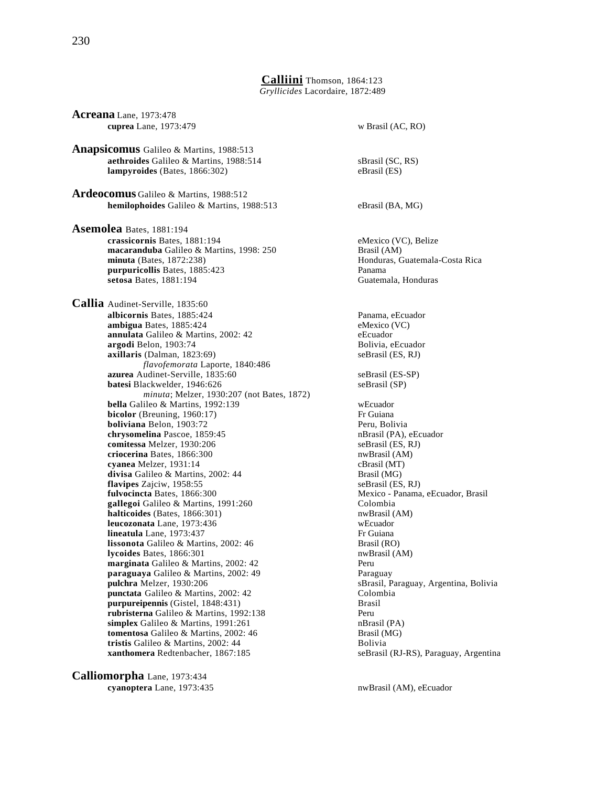**Calliini** Thomson, 1864:123 *Gryllicides* Lacordaire, 1872:489

**Acreana** Lane, 1973:478 **cuprea** Lane, 1973:479 w Brasil (AC, RO) **Anapsicomus** Galileo & Martins, 1988:513 **aethroides** Galileo & Martins, 1988:514 sBrasil (SC, RS)<br> **ampyroides** (Bates, 1866:302) eBrasil (ES)  $lampvroides$  (Bates,  $1866:302$ ) **Ardeocomus** Galileo & Martins, 1988:512 **hemilophoides** Galileo & Martins, 1988:513 eBrasil (BA, MG) **Asemolea** Bates, 1881:194 **crassicornis** Bates, 1881:194 eMexico (VC), Belize **macaranduba** Galileo & Martins, 1998: 250 Brasil (AM) **minuta** (Bates, 1872:238) **Honduras, Guatemala-Costa Rica purpuricollis** Bates, 1885:423 Panama **setosa** Bates, 1881:194 Guatemala, Honduras **Callia** Audinet-Serville, 1835:60 **albicornis** Bates, 1885:424 Panama, eEcuador **ambigua** Bates, 1885:424 eMexico (VC) **annulata** Galileo & Martins, 2002: 42 eEcuador **argodi** Belon, 1903:74 **Bolivia, eEcuador**<br> **axillaris** (Dalman, 1823:69) SeBrasil (ES, RJ)  $axillaris$  (Dalman,  $1823:69$ ) *flavofemorata* Laporte, 1840:486 **azurea** Audinet-Serville, 1835:60 seBrasil (ES-SP) **batesi** Blackwelder, 1946:626 seBrasil (SP) *minuta*; Melzer, 1930:207 (not Bates, 1872) **bella** Galileo & Martins, 1992:139 webcuador<br> **bicolor** (Breuning, 1960:17) Fr Guiana  $bicolor$  (Breuning,  $1960:17$ ) **boliviana** Belon, 1903:72 Peru, Bolivia **chrysomelina** Pascoe, 1859:45 **nBrasil (PA), eEcuador comitessa** Melzer, 1930:206 **nDrasil (PA), eEcuador comitessa** Melzer, 1930:206 comitessa Melzer, 1930:206 **criocerina** Bates, 1866:300 nwBrasil (AM) **cyanea** Melzer, 1931:14 cBrasil (MT)<br> **divisa** Galileo & Martins, 2002: 44 **cBrasil (MG)** divisa Galileo & Martins, 2002: 44 **flavipes** Zajciw, 1958:55 seBrasil (ES, RJ) **fulvocincta** Bates, 1866:300<br> **gallegoi** Galileo & Martins, 1991:260<br>
Colombia<br>
Colombia gallegoi Galileo & Martins, 1991:260 **halticoides** (Bates, 1866:301) nwBrasil (AM) **leucozonata** Lane, 1973:436 wEcuador **lineatula** Lane, 1973:437 Fr Guiana **lissonota** Galileo & Martins, 2002: 46 Brasil (RO) **lycoides** Bates, 1866:301 nwBrasil (AM) **marginata** Galileo & Martins, 2002: 42 Peru **paraguaya** Galileo & Martins, 2002: 49 Paraguay **pulchra** Melzer, 1930:206 sBrasil, Paraguay, Argentina, Bolivia **punctata** Galileo & Martins, 2002: 42 Colombia **purpureipennis** (Gistel, 1848:431) Brasil **rubristerna** Galileo & Martins, 1992:138 Peru<br> **simplex** Galileo & Martins, 1991:261 **Particular** Particular PA **simplex** Galileo & Martins, 1991:261 **nBrasil (PA)**<br> **tomentosa Galileo & Martins**, 2002: 46 **https://** Brasil (MG) tomentosa Galileo & Martins, 2002: 46 **tristis** Galileo & Martins, 2002: 44 Bolivia

**Calliomorpha** Lane, 1973:434 **cyanoptera** Lane, 1973:435 nwBrasil (AM), eEcuador

**xanthomera** Redtenbacher, 1867:185 seBrasil (RJ-RS), Paraguay, Argentina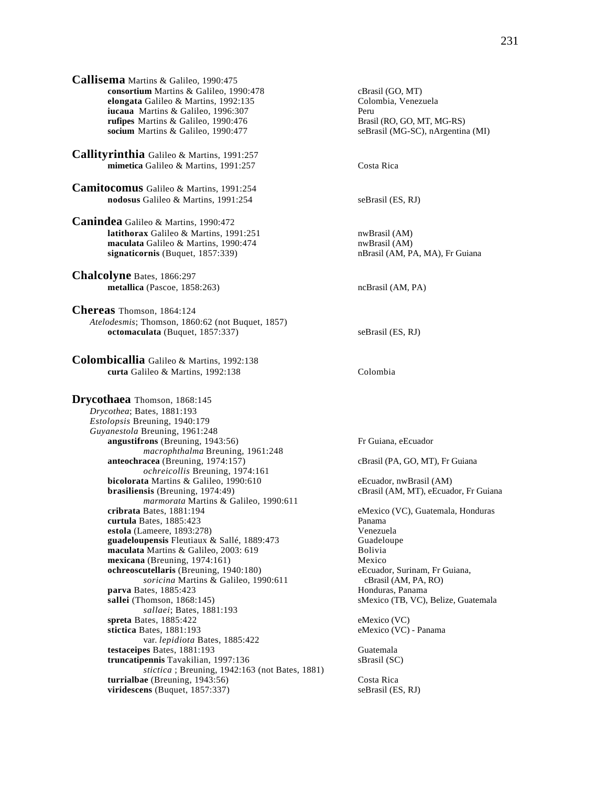| <b>Callisema</b> Martins & Galileo, 1990:475 |             |
|----------------------------------------------|-------------|
| consortium Martins & Galileo, 1990:478       | cBra        |
| elongata Galileo & Martins, 1992:135         | Colo        |
| <b>iucaua</b> Martins & Galileo, 1996:307    | Peru        |
| <b>rufipes</b> Martins & Galileo, 1990:476   | <b>Bras</b> |
| socium Martins & Galileo, 1990:477           | seBr        |
|                                              |             |

**Callityrinthia** Galileo & Martins, 1991:257 **mimetica** Galileo & Martins, 1991:257 Costa Rica

**Camitocomus** Galileo & Martins, 1991:254 **nodosus** Galileo & Martins, 1991:254 seBrasil (ES, RJ)

**Canindea** Galileo & Martins, 1990:472 **latithorax** Galileo & Martins, 1991:251 nwBrasil (AM) **maculata** Galileo & Martins, 1990:474 nwBrasil (AM) **signaticornis** (Buquet, 1857:339) **nBrasil** (AM, PA, MA), Fr Guiana

**Chalcolyne** Bates, 1866:297 **metallica** (Pascoe, 1858:263) ncBrasil (AM, PA)

**Chereas** Thomson, 1864:124 *Atelodesmis*; Thomson, 1860:62 (not Buquet, 1857) **octomaculata** (Buquet, 1857:337) seBrasil (ES, RJ)

**Colombicallia** Galileo & Martins, 1992:138 **curta** Galileo & Martins, 1992:138 Colombia

**Drycothaea** Thomson, 1868:145 *Drycothea*; Bates, 1881:193 *Estolopsis* Breuning, 1940:179 *Guyanestola* Breuning, 1961:248 **angustifrons** (Breuning, 1943:56) Fr Guiana, eEcuador *macrophthalma* Breuning, 1961:248 **anteochracea** (Breuning, 1974:157) cBrasil (PA, GO, MT), Fr Guiana *ochreicollis* Breuning, 1974:161 **bicolorata** Martins & Galileo, 1990:610 eEcuador, nwBrasil (AM) **brasiliensis** (Breuning, 1974:49) cBrasil (AM, MT), eEcuador, Fr Guiana *marmorata* Martins & Galileo, 1990:611 **cribrata** Bates, 1881:194 eMexico (VC), Guatemala, Honduras **curtula** Bates, 1885:423 **Panama**<br> **estola** (Lameere, 1893:278) **Panama**<br> **Venezuela estola** (Lameere, 1893:278)<br> **example 1898:473** Venezuela<br> **example 1889:473** Guadeloupe guadeloupensis Fleutiaux & Sallé, 1889:473 **maculata** Martins & Galileo, 2003: 619 Bolivia **mexicana** (Breuning, 1974:161)<br> **ochreoscutellaris** (Breuning, 1940:180) **Mexico**<br>
eEcuador, Surinam, Fr Guiana, **ochreoscutellaris** (Breuning, 1940:180) *soricina* Martins & Galileo, 1990:611 cBrasil (AM, PA, RO)<br>ates, 1885:423 Honduras, Panama parva Bates, 1885:423 **sallei** (Thomson, 1868:145) sMexico (TB, VC), Belize, Guatemala *sallaei*; Bates, 1881:193 **spreta** Bates, 1885:422 eMexico (VC)<br> **stictica** Bates, 1881:193 eMexico (VC) - Panama stictica Bates, 1881:193 var. *lepidiota* Bates, 1885:422 **testaceipes** Bates, 1881:193 Guatemala **truncatipennis** Tavakilian, 1997:136 sBrasil (SC) *stictica* ; Breuning, 1942:163 (not Bates, 1881) **turrialbae** (Breuning, 1943:56) Costa Rica **viridescens** (Buquet, 1857:337) seBrasil (ES, RJ)

**consortium in the CBrasil (GO, MT)** Colombia, Venezuela Brasil (RO, GO, MT, MG-RS) seBrasil (MG-SC), nArgentina (MI)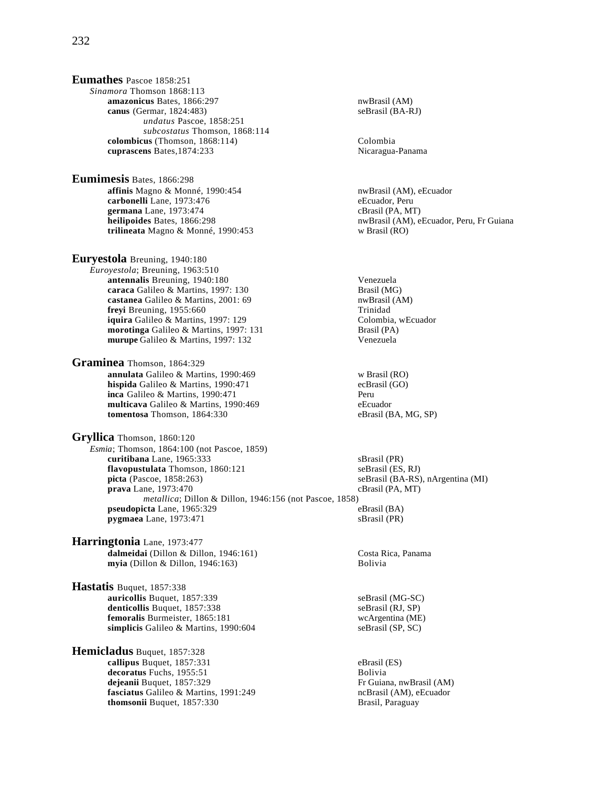**Eumathes** Pascoe 1858:251 *Sinamora* Thomson 1868:113 **amazonicus** Bates, 1866:297 nwBrasil (AM)<br> **canus** (Germar, 1824:483) seBrasil (BA-RJ) **canus** (Germar, 1824:483) *undatus* Pascoe, 1858:251 *subcostatus* Thomson, 1868:114 **colombicus** (Thomson, 1868:114) Colombia **cuprascens** Bates,1874:233 Nicaragua-Panama

**Eumimesis** Bates, 1866:298 **affinis** Magno & Monné, 1990:454 nwBrasil (AM), eEcuador **carbonelli** Lane, 1973:476 eEcuador, Peru **germana** Lane, 1973:474 cBrasil (PA, MT)<br> **heilipoides** Bates. 1866:298 cBrasil (AM). environmental and the number of the number of the number of the number **trilineata** Magno & Monné, 1990:453 w Brasil (RO)

**Euryestola** Breuning, 1940:180 *Euroyestola*; Breuning, 1963:510 **antennalis** Breuning, 1940:180<br> **caraca** Galileo & Martins, 1997: 130 **Venezuela**<br>
Brasil (MG) **caraca** Galileo & Martins, 1997: 130 Brasil (MG)<br> **castanea** Galileo & Martins, 2001: 69 hwBrasil (AM) **castanea** Galileo & Martins, 2001: 69 **nwBrasil (AM)** nwBrasil (AM) nwBrasil (AM) control (AM) nwBrasil (AM) of the metropology of the metropology of the metropology of the metropology of the metropology of the metropolog **freyi** Breuning, 1955:660 **iquira** Galileo & Martins, 1997: 129 Colombia, wEcuador **morotinga** Galileo & Martins, 1997: 131 Brasil (PA) **murupe** Galileo & Martins, 1997: 132 Venezuela

**Graminea** Thomson, 1864:329 **annulata** Galileo & Martins, 1990:469 w Brasil (RO)<br> **hispida** Galileo & Martins, 1990:471 ecBrasil (GO) **hispida** Galileo & Martins, 1990:471 ecBrasil economic economic economic economic economic economic economic economic economic economic economic economic experience execution of the experiment of the equation of the equat inca Galileo & Martins, 1990:471 **multicava** Galileo & Martins, 1990:469 eEcuador<br> **tomentosa** Thomson, 1864:330 eBrasil (BA, MG, SP) tomentosa Thomson, 1864:330

**Gryllica** Thomson, 1860:120 *Esmia*; Thomson, 1864:100 (not Pascoe, 1859) **curitibana** Lane, 1965:333 sBrasil (PR) **flavopustulata** Thomson, 1860:121 seBrasil (ES, RJ) **picta** (Pascoe, 1858:263) seBrasil (BA-RS), nArgentina (MI) **prava** Lane, 1973:470 cBrasil (PA, MT) *metallica*; Dillon & Dillon, 1946:156 (not Pascoe, 1858) **pseudopicta** Lane, 1965:329 eBrasil (BA) **pygmaea** Lane, 1973:471 sBrasil (PR)

**Harringtonia** Lane, 1973:477 **dalmeidai** (Dillon & Dillon, 1946:161) Costa Rica, Panama **myia** (Dillon & Dillon, 1946:163) Bolivia

**Hastatis** Buquet, 1857:338 **auricollis** Buquet, 1857:339 seBrasil (MG-SC) denticollis Buquet, 1857:338 seBrasil (RJ, SP) **femoralis** Burmeister, 1865:181 wcArgentina (ME) **simplicis** Galileo & Martins, 1990:604 seBrasil (SP, SC)

**Hemicladus** Buquet, 1857:328 **callipus** Buquet, 1857:331 eBrasil (ES) **decoratus** Fuchs, 1955:51<br> **dejeanii** Buquet, 1857:329<br>
Fr Guiana, nwBrasil (AM) dejeanii Buquet, 1857:329 **fasciatus** Galileo & Martins, 1991:249 **ncBrasil** (AM), eEcuador **thomsonii** Buquet, 1857:330 Brasil, Paraguay

nwBrasil (AM), eEcuador, Peru, Fr Guiana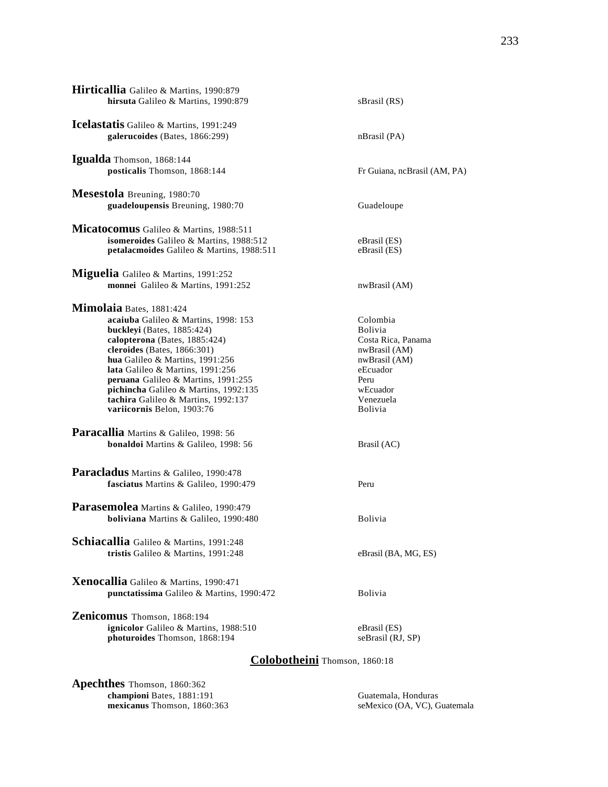| Hirticallia Galileo & Martins, 1990:879<br>hirsuta Galileo & Martins, 1990:879                                                                                                                                                                                                                                                                                                                       | sBrasil (RS)                                                                                                                                      |
|------------------------------------------------------------------------------------------------------------------------------------------------------------------------------------------------------------------------------------------------------------------------------------------------------------------------------------------------------------------------------------------------------|---------------------------------------------------------------------------------------------------------------------------------------------------|
| Icelastatis Galileo & Martins, 1991:249<br>galerucoides (Bates, 1866:299)                                                                                                                                                                                                                                                                                                                            | nBrasil (PA)                                                                                                                                      |
| Igualda Thomson, 1868:144<br>posticalis Thomson, 1868:144                                                                                                                                                                                                                                                                                                                                            | Fr Guiana, ncBrasil (AM, PA)                                                                                                                      |
| Mesestola Breuning, 1980:70<br>guadeloupensis Breuning, 1980:70                                                                                                                                                                                                                                                                                                                                      | Guadeloupe                                                                                                                                        |
| Micatocomus Galileo & Martins, 1988:511<br>isomeroides Galileo & Martins, 1988:512<br>petalacmoides Galileo & Martins, 1988:511                                                                                                                                                                                                                                                                      | eBrasil (ES)<br>eBrasil (ES)                                                                                                                      |
| Miguelia Galileo & Martins, 1991:252<br>monnei Galileo & Martins, 1991:252                                                                                                                                                                                                                                                                                                                           | nwBrasil (AM)                                                                                                                                     |
| Mimolaia Bates, 1881:424<br>acaiuba Galileo & Martins, 1998: 153<br>buckleyi (Bates, 1885:424)<br>calopterona (Bates, 1885:424)<br>cleroides (Bates, $1866:301$ )<br>hua Galileo & Martins, 1991:256<br>lata Galileo & Martins, 1991:256<br><b>peruana</b> Galileo & Martins, 1991:255<br>pichincha Galileo & Martins, 1992:135<br>tachira Galileo & Martins, 1992:137<br>variicornis Belon, 1903:76 | Colombia<br><b>Bolivia</b><br>Costa Rica, Panama<br>nwBrasil (AM)<br>nwBrasil (AM)<br>eEcuador<br>Peru<br>wEcuador<br>Venezuela<br><b>Bolivia</b> |
| Paracallia Martins & Galileo, 1998: 56<br>bonaldoi Martins & Galileo, 1998: 56                                                                                                                                                                                                                                                                                                                       | Brasil (AC)                                                                                                                                       |
| Paracladus Martins & Galileo, 1990:478<br>fasciatus Martins & Galileo, 1990:479<br><b>Parasemolea</b> Martins & Galileo, 1990:479                                                                                                                                                                                                                                                                    | Peru                                                                                                                                              |
| <b>boliviana</b> Martins & Galileo, 1990:480<br>Schiacallia Galileo & Martins, 1991:248<br>tristis Galileo & Martins, 1991:248                                                                                                                                                                                                                                                                       | <b>Bolivia</b><br>eBrasil (BA, MG, ES)                                                                                                            |
| Xenocallia Galileo & Martins, 1990:471<br>punctatissima Galileo & Martins, 1990:472                                                                                                                                                                                                                                                                                                                  | <b>Bolivia</b>                                                                                                                                    |
| Zenicomus Thomson, 1868:194<br>ignicolor Galileo & Martins, 1988:510<br>photuroides Thomson, 1868:194                                                                                                                                                                                                                                                                                                | eBrasil (ES)<br>seBrasil (RJ, SP)                                                                                                                 |

# **Colobotheini** Thomson, 1860:18

**Apechthes** Thomson, 1860:362 **championi** Bates, 1881:191 Guatemala, Honduras **mexicanus** Thomson, 1860:363 seMexico (OA, VC), Guatemala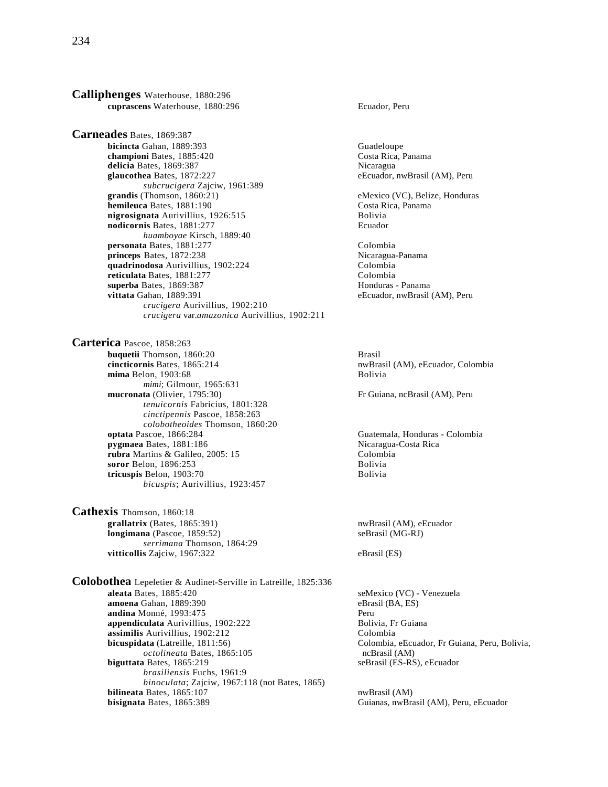**Calliphenges** Waterhouse, 1880:296 **cuprascens** Waterhouse, 1880:296 Ecuador, Peru

**Carneades** Bates, 1869:387 **bicincta** Gahan, 1889:393 Guadeloupe **championi** Bates, 1885:420 Costa Rica, Panama **delicia** Bates, 1869:387<br> **glaucothea** Bates, 1872:227 **Nicaragua**<br> **eEcuador, nwBrasil (AM), Peru** glaucothea Bates, 1872:227 *subcrucigera* Zajciw, 1961:389 **hemileuca** Bates, 1881:190<br> **nigrosignata** Aurivillius, 1926:515<br>
Bolivia nigrosignata Aurivillius, 1926:515 **nodicornis** Bates, 1881:277 Ecuador *huamboyae* Kirsch, 1889:40 **personata** Bates, 1881:277 Colombia **princeps** Bates, 1872:238 <br> **auadrinodosa** Aurivillius. 1902:224 **Nicaragua-Panama**<br>
Colombia **quadrinodosa** Aurivillius, 1902:224 **reticulata** Bates, 1881:277 Colombia **superba** Bates, 1869:387 **Honduras - Panama**<br> **vittata** Gahan, 1889:391 **Honduras - Panama**<br>
eEcuador, nwBrasil *crucigera* Aurivillius, 1902:210 *crucigera* var.*amazonica* Aurivillius, 1902:211

**Carterica** Pascoe, 1858:263 **buquetii** Thomson, 1860:20 Brasil **cincticornis** Bates, 1865:214 nwBrasil (AM), eEcuador, Colombia **mima** Belon, 1903:68 Bolivia *mimi*; Gilmour, 1965:631<br>**mucronata** (Olivier, 1795:30) *tenuicornis* Fabricius, 1801:328 *cinctipennis* Pascoe, 1858:263 *colobotheoides* Thomson, 1860:20 **optata Pascoe, 1866:284** Guatemala, Honduras - Colombia<br> **pygmaea** Bates, 1881:186 **Guatemala, Costa Rica**<br>
Nicaragua-Costa Rica **pygmaea** Bates, 1881:186<br> **pygmaea** Bates, 1881:186<br> **colombia**<br>
Colombia **rubra** Martins & Galileo, 2005: 15 **soror** Belon, 1896:253 Bolivia<br> **discription**<br> **solivia**<br> **solivia**<br> **bolivia tricuspis** Belon, 1903:70 *bicuspis*; Aurivillius, 1923:457

**Cathexis** Thomson, 1860:18 grallatrix (Bates, 1865:391) nwBrasil (AM), eEcuador **longimana** (Pascoe, 1859:52) seBrasil (MG-RJ) *serrimana* Thomson, 1864:29 **vitticollis** Zajciw, 1967:322 eBrasil (ES)

**Colobothea** Lepeletier & Audinet-Serville in Latreille, 1825:336 **aleata** Bates, 1885:420 seMexico (VC) - Venezuela **amoena** Gahan, 1889:390 eBrasil (BA, ES) **andina** Monné, 1993:475<br> **appendiculata** Aurivillius, 1902:222<br>
Bolivia, Fr Guiana **appendiculata** Aurivillius, 1902:222<br> **assimilis** Aurivillius, 1902:212<br>
Colombia **assimilis** Aurivillius, 1902:212 **bicuspidata** (Latreille, 1811:56) Colombia, eEcuador, Fr Guiana, Peru, Bolivia, *octolineata* Bates, 1865:105 ncBrasil (AM) **biguttata** Bates, 1865:219 seBrasil (ES-RS), eEcuador *brasiliensis* Fuchs, 1961:9 *binoculata*; Zajciw, 1967:118 (not Bates, 1865) **bilineata** Bates, 1865:107 nwBrasil (AM) **bisignata** Bates, 1865:389 Guianas, nwBrasil (AM), Peru, eEcuador

eMexico (VC), Belize, Honduras<br>Costa Rica, Panama

eEcuador, nwBrasil (AM), Peru

Fr Guiana, ncBrasil (AM), Peru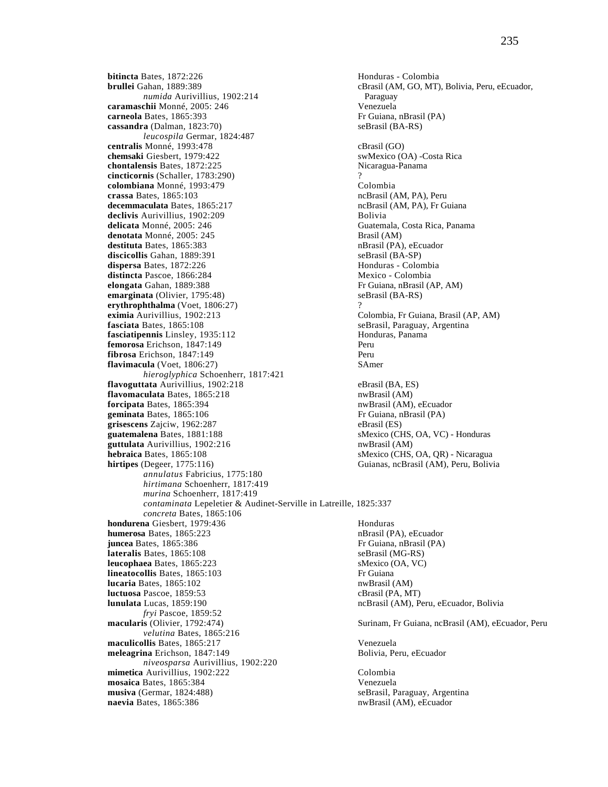**bitincta** Bates, 1872:226 **Honduras - Colombia**<br> **bitincta** Bates, 1872:226 **Honduras - Colombia**<br> **cBrasil** (AM, GO, MT) *numida* Aurivillius, 1902:214 Paraguay **caramaschii** Monné, 2005: 246 Venezuela **carneola** Bates, 1865:393<br> **cassandra** (Dalman, 1823:70) **Fr** Guiana, nBrasil (BA-RS) cassandra (Dalman, 1823:70) *leucospila* Germar, 1824:487 **centralis** Monné, 1993:478<br> **chemsaki** Giesbert, 1979:422 chemsaki Giesbert, 1979:422 **chemsaki Giesbert, 1979:422 chontalensis** Bates, 1872:225 Nicaragua-Panama **cincticornis** (Schaller, 1783:290) ? **colombiana** Monné, 1993:479 Colombia **crassa** Bates, 1865:103<br> **decemmaculata** Bates, 1865:217 ncBrasil (AM, PA), Peru **declivis** Aurivillius, 1902:209 Bolivia **delicata** Monné, 2005: 246 Guatemala, Costa Rica, Panama **denotata** Monné, 2005: 245 **Brasil (AM) destituta** Bates, 1865:383 nBrasil (PA), eEcuador **discicollis** Gahan, 1889:391 seBrasil (BA-SP) **dispersa** Bates, 1872:226 **Honduras** - Colombia **distincta** Pascoe, 1866:284 Mexico - Colombia **elongata** Gahan, 1889:388 **Fr** Guiana, nBrasil (AP, AM) **emarginata** (Olivier, 1795:48) **Fr** Guiana, nBrasil (BA-RS) **emarginata** (Olivier, 1795:48) **erythrophthalma** (Voet, 1806:27) ? **eximia** Aurivillius, 1902:213 Colombia, Fr Guiana, Brasil (AP, AM) **fasciata** Bates, 1865:108 seBrasil, Paraguay, Argentina **fasciatipennis** Linsley, 1935:112 Honduras, Panama **femorosa** Erichson, 1847:149<br>**fibrosa** Erichson. 1847:149 **Peru fibrosa** Erichson, 1847:149<br>**flavimacula** (Voet. 1806:27) SAmer  $flavimacula$   $(Voet, 1806:27)$ *hieroglyphica* Schoenherr, 1817:421 **flavoguttata** Aurivillius, 1902:218 eBrasil (BA, ES) **flavomaculata** Bates, 1865:218 nwBrasil (AM) **forcipata** Bates, 1865:394 **nwBrasil (AM), eEcuador**<br>**geminata** Bates, 1865:106 **notatal contract expansive Exercise** Fr Guiana, nBrasil (PA) geminata Bates, 1865:106 **grisescens** Zajciw, 1962:287 eBrasil (ES) **guatemalena** Bates, 1881:188 sMexico (CHS, OA, VC) - Honduras **guttulata** Aurivillius, 1902:216 nwBrasil (AM) **hebraica** Bates, 1865:108 small and the small small small small small small small small small small small small small small small small small small small small small small small small small small small small small small s **hirtipes** (Degeer, 1775:116) Guianas, ncBrasil (AM), Peru, Bolivia *annulatus* Fabricius, 1775:180 *hirtimana* Schoenherr, 1817:419 *murina* Schoenherr, 1817:419 *contaminata* Lepeletier & Audinet-Serville in Latreille, 1825:337 *concreta* Bates, 1865:106 **hondurena** Giesbert, 1979:436 Honduras **humerosa** Bates, 1865:223 nBrasil (PA), eEcuador **juncea** Bates, 1865:386 **Fr** Guiana, nBrasil (PA) **lateralis** Bates, 1865:108 seBrasil (MG-RS) **leucophaea** Bates, 1865:223 sMexico (OA, VC) **lineatocollis** Bates, 1865:103 Fr Guiana **lucaria** Bates, 1865:102 nwBrasil (AM) **luctuosa** Pascoe, 1859:53 cBrasil (PA, MT) **lunulata** Lucas, 1859:190 **ncBrasil (AM), Peru, eEcuador, Bolivia** *fryi Pascoe, 1859:52*<br>**macularis** (Olivier, 1792:474) *velutina* Bates, 1865:216 **maculicollis** Bates, 1865:217 Venezuela **meleagrina** Erichson, 1847:149 **Bolivia, Peru, eEcuador** Bolivia, Peru, eEcuador *niveosparsa* Aurivillius, 1902:220 **mimetica** Aurivillius, 1902:222<br> **mosaica** Bates. 1865:384<br>
Venezuela **mosaica Bates, 1865:384 musiva** (Germar, 1824:488) seBrasil, Paraguay, Argentina **naevia** Bates, 1865:386 **naevia nub**rasil (AM), eEcuador

cBrasil (AM, GO, MT), Bolivia, Peru, eEcuador, ncBrasil (AM, PA), Fr Guiana Surinam, Fr Guiana, ncBrasil (AM), eEcuador, Peru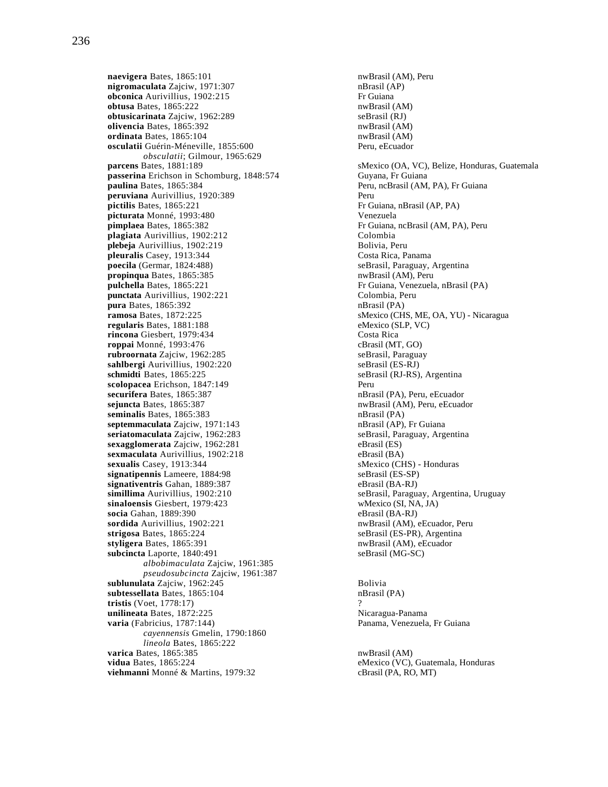**naevigera** Bates, 1865:101 **nwBrasil (AM), Peru nigromaculata** Zajciw, 1971:307 **nd Exercise Server Control** natural natural natural natural natural natural natural natural natural natural natural natural natural natural nigromaculata Zajciw, 1971:307 **obconica** Aurivillius, 1902:215 **Fr** Guiana<br> **obtusa** Bates, 1865:222 **Fr** Guiana<br> **obtusa** Bates, 1865:222 **obtusa** Bates, 1865:222<br> **obtusicarinata** Zaiciw. 1962:289<br> **obtusicarinata** Zaiciw. 1962:289 **obtusicarinata** Zajciw, 1962:289 **olivencia** Bates, 1865:392 nwBrasil (AM) **ordinata** Bates, 1865:104 nwBrasil (AM) **osculatii** Guérin-Méneville, 1855:600 Peru, eEcuador *obsculatii*; Gilmour, 1965:629 **passerina** Erichson in Schomburg, 1848:574 Guyana, Fr Guiana **paulina** Bates, 1865:384 Peru, ncBrasil (AM, PA), Fr Guiana **peruviana** Aurivillius, 1920:389 **Perupictilis** Bates, 1865:221 **Perupictilis** Bates, 1865:221 **picturata** Monné, 1993:480<br> **pimplaea** Bates, 1865:382 Fr Guiana, **plagiata** Aurivillius, 1902:212<br> **plebeja** Aurivillius, 1902:219<br> **plebeja** Aurivillius, 1902:219 **plebeja** Aurivillius, 1902:219<br> **pleuralis** Casev, 1913:344<br>
Costa Rica, Panama pleuralis Casey, 1913:344<br>poecila (Germar, 1824:488) **propinqua** Bates, 1865:385 nwBrasil (AM), Peru **pulchella** Bates, 1865:221 **Fr** Guiana, Venezuela, nBrasil (PA) **punctata** Aurivillius, 1902:221 **Fr** Golombia, Peru **punctata** Aurivillius, 1902:221 Colombia, Polombia, Polombia, Polombia, Polombia, Polombia, Polombia, Polombia, Polombia, Polombia, Polombia, Polombia, Polombia, Polombia, Polombia, Polombia, Polombia, Polombia, Polombia, **pura** Bates, 1865:392 **ramosa** Bates, 1872:225 sMexico (CHS, ME, OA, YU) - Nicaragua **regularis** Bates, 1881:188 eMexico (SLP, VC) **rincona** Giesbert, 1979:434 Costa Rica **roppai** Monné, 1993:476<br> **rubroornata** Zajciw, 1962:285<br> **rubroornata** Zajciw, 1962:285 rubroornata Zajciw, 1962:285 **sahlbergi** Aurivillius, 1902:220 seBrasil (ES-RJ) **schmidti** Bates, 1865:225 seBrasil (RJ-RS), Argentina **scolopacea** Erichson, 1847:149<br> **securifera** Bates. 1865:387 **Perumane Securifera** Bates. 1865:387 securifera Bates, 1865:387<br>sejuncta Bates, 1865:387 seminalis Bates, 1865:383 **septemmaculata** Zajciw, 1971:143 nBrasil (AP), Fr Guiana **seriatomaculata** Zajciw, 1962:283 seBrasil, Paraguay, Argentina<br> **sexagglomerata** Zaiciw, 1962:281 seBrasil (ES) sexagglomerata Zajciw, 1962:281 **sexmaculata** Aurivillius, 1902:218 eBrasil (BA) **sexualis** Casey, 1913:344 **sMexico (CHS)** - Honduras **signatipennis** Lameere, 1884:98 **sexualis** SeBrasil (ES-SP) signatipennis Lameere, 1884:98 **signativentris** Gahan, 1889:387 eBrasil (BA-RJ) **simillima** Aurivillius, 1902:210 seBrasil, Paraguay, Argentina, Uruguay<br> **sinaloensis** Giesbert, 1979:423 wMexico (SI, NA, JA) sinaloensis Giesbert, 1979:423 **socia** Gahan, 1889:390 eBrasil (BA-RJ) **sordida** Aurivillius, 1902:221 nwBrasil (AM), eEcuador, Peru **strigosa** Bates, 1865:224 seBrasil (ES-PR), Argentina **styligera** Bates, 1865:391 **nwBrasil** (AM), eEcuador subcincta Laporte, 1840:491 seBrasil (MG-SC) *albobimaculata* Zajciw, 1961:385 *pseudosubcincta* Zajciw, 1961:387 **sublunulata** Zajciw, 1962:245 Bolivia **subtessellata** Bates, 1865:104 nBrasil (PA) **tristis** (Voet, 1778:17) ? **unilineata** Bates, 1872:225 Nicaragua-Panama **varia** (Fabricius, 1787:144) Panama, Venezuela, Fr Guiana *cayennensis* Gmelin, 1790:1860 *lineola* Bates, 1865:222 **varica** Bates, 1865:385 nwBrasil (AM) **vidua** Bates, 1865:224 eMexico (VC), Guatemala, Honduras **viehmanni** Monné & Martins, 1979:32 cBrasil (PA, RO, MT)

**parcens** Bates, 1881:189 sMexico (OA, VC), Belize, Honduras, Guatemala Fr Guiana, nBrasil (AP, PA) Fr Guiana, ncBrasil (AM, PA), Peru seBrasil, Paraguay, Argentina nwBrasil (AM), Peru, eEcuador<br>nBrasil (PA)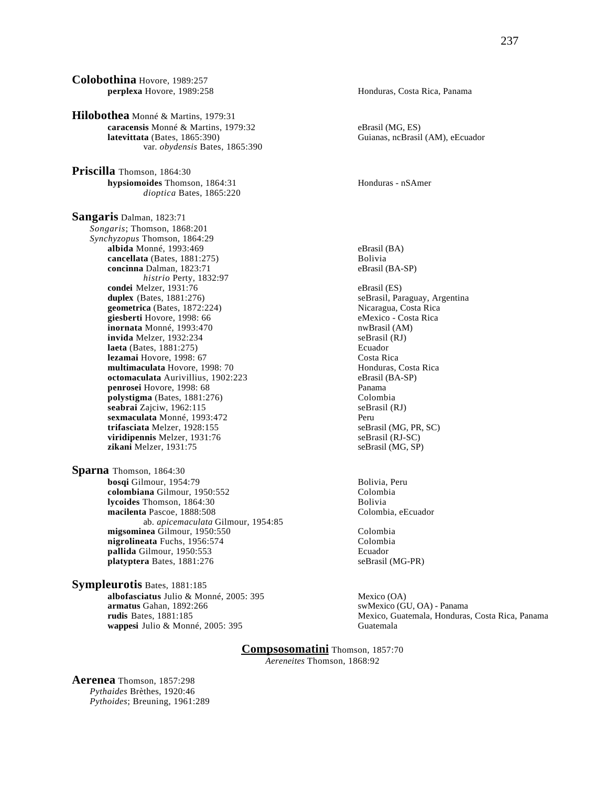**Colobothina** Hovore, 1989:257 **perplexa** Hovore, 1989:258 **Honduras, Costa Rica, Panama Hilobothea** Monné & Martins, 1979:31 **caracensis** Monné & Martins, 1979:32 eBrasil (MG, ES)<br> **latevittata** (Bates, 1865:390) Guianas, ncBrasil var. *obydensis* Bates, 1865:390 **Priscilla** Thomson, 1864:30 **hypsiomoides** Thomson, 1864:31 **Honduras - nSAmer** Honduras - nSAmer *dioptica* Bates, 1865:220 **Sangaris** Dalman, 1823:71 *Songaris*; Thomson, 1868:201 *Synchyzopus* Thomson, 1864:29 **albida** Monné, 1993:469 eBrasil (BA) **cancellata** (Bates, 1881:275)<br> **concinna** Dalman, 1823:71 **Bolivia**<br> **concinna** Dalman, 1823:71 concinna Dalman, 1823:71 *histrio* Perty, 1832:97 **condei** Melzer, 1931:76 eBrasil (ES) **duplex** (Bates, 1881:276)<br> **duplex** (Bates, 1872:224)<br> **duplex** (Bates, 1872:224)<br> **duplex** (Bates, 1872:224)<br> **duplex** (Bates, 1872:224) **geometrica** (Bates,  $1872:224$ ) **giesberti** Hovore, 1998: 66 eMexico - Costa Rica<br> **inornata** Monné, 1993:470 eMexico - Costa Rica **inornata** Monné, 1993:470 **invida** Melzer, 1932:234 seBrasil (RJ) **laeta** (Bates, 1881:275) Ecuador **lezamai** Hovore, 1998: 67 Costa Rica multimaculata Hovore, 1998: 70 **octomaculata** Aurivillius, 1902:223 eBrasil (BA-SP) **penrosei** Hovore, 1998: 68 Panama **polystigma** (Bates, 1881:276) Colombia **seabrai** Zajciw, 1962:115 seBrasil (RJ) **sexmaculata** Monné, 1993:472 Peru **trifasciata** Melzer, 1928:155 seBrasil (MG, PR, SC) **viridipennis** Melzer, 1931:76 seBrasil (RJ-SC)<br> **zikani** Melzer, 1931:75 seBrasil (MG, SP) zikani Melzer, 1931:75 **Sparna** Thomson, 1864:30 **bosqi** Gilmour, 1954:79<br> **colombiana** Gilmour, 1950:552<br>
Colombia **colombiana** Gilmour, 1950:552<br>**Iveoides** Thomson, 1864:30<br>**Iveoides** Thomson, 1864:30 **lycoides** Thomson, 1864:30 **macilenta** Pascoe, 1888:508 Colombia, eEcuador ab. *apicemaculata* Gilmour, 1954:85 **migsominea** Gilmour, 1950:550 **Colombia**<br> **nigrolineata** Fuchs, 1956:574 **Colombia nigrolineata** Fuchs, 1956:574 Colombia<br> **nallida** Gilmour. 1950:553 Ecuador pallida Gilmour, 1950:553 **platyptera** Bates, 1881:276 seBrasil (MG-PR)

**Sympleurotis** Bates, 1881:185 **albofasciatus** Julio & Monné, 2005: 395 Mexico (OA)<br> **armatus** Gahan, 1892:266 **wappesi** Julio & Monné, 2005: 395 Guatemala

swMexico (GU, OA) - Panama **rudis** Bates, 1881:185 Mexico, Guatemala, Honduras, Costa Rica, Panama

> **Compsosomatini** Thomson, 1857:70 *Aereneites* Thomson, 1868:92

**Aerenea** Thomson, 1857:298 *Pythaides* Brèthes, 1920:46 *Pythoides*; Breuning, 1961:289

Guianas, ncBrasil (AM), eEcuador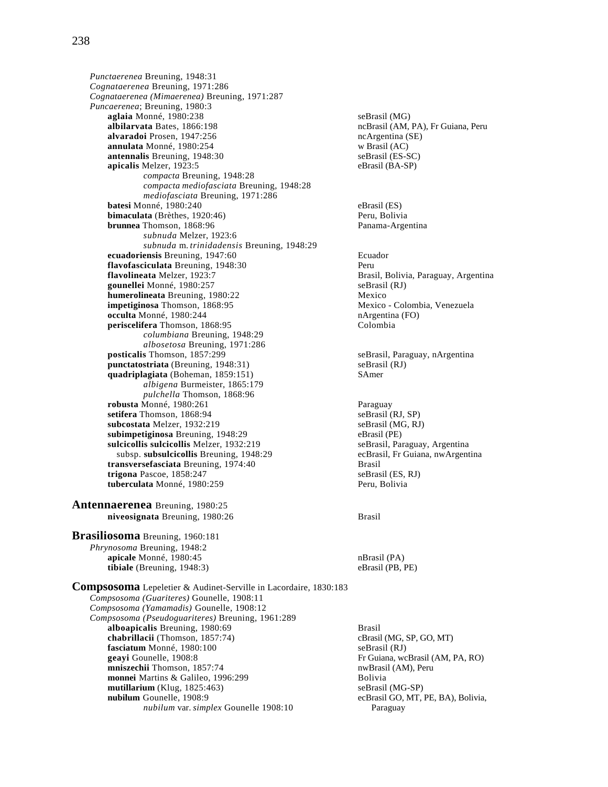*Punctaerenea* Breuning, 1948:31 *Cognataerenea* Breuning, 1971:286 *Cognataerenea (Mimaerenea)* Breuning, 1971:287 *Puncaerenea*; Breuning, 1980:3 **aglaia** Monné, 1980:238 seBrasil (MG)<br> **albilarvata** Bates, 1866:198 seBrasil (AM, ncBrasil (AM, ncBrasil) **alvaradoi** Prosen, 1947:256 **ncArgentina (SE)**<br> **annulata** Monné, 1980:254 **ncArgentina** (SE) **w** Brasil (AC) annulata Monné, 1980:254 **antennalis** Breuning, 1948:30 seBrasil (ES-SC) **apicalis** Melzer, 1923:5 eBrasil (BA-SP) *compacta* Breuning, 1948:28 *compacta mediofasciata* Breuning, 1948:28 *mediofasciata* Breuning, 1971:286 **batesi** Monné, 1980:240 eBrasil (ES) **bimaculata** (Brèthes, 1920:46) Peru, Bolivia **brunnea** Thomson, 1868:96 Panama-Argentina *subnuda* Melzer, 1923:6 *subnuda* m. *trinidadensis* Breuning, 1948:29 **ecuadoriensis** Breuning, 1947:60 Ecuador **flavofasciculata** Breuning, 1948:30 **flavolineata** Melzer, 1923:7 **Brasil, Bolivia, Paraguay, Argentina gounellei** Monné, 1980:257<br> **humerolineata** Breuning. 1980:22<br> **humerolineata** Breuning. 1980:22 **humerolineata** Breuning, 1980:22 Mexico<br> **impetiginosa** Thomson, 1868:95 Mexico - Colombia, Venezuela **impetiginosa** Thomson, 1868:95 **occulta** Monné, 1980:244 nArgentina (FO) **periscelifera** Thomson, 1868:95 Colombia *columbiana* Breuning, 1948:29 *albosetosa* Breuning, 1971:286 **punctatostriata** (Breuning, 1948:31) seBrasil (RJ) **quadriplagiata** (Boheman, 1859:151) SAmer *albigena* Burmeister, 1865:179 *pulchella* Thomson, 1868:96 **robusta** Monné, 1980:261 **Paraguay**<br> **robusta** Monné, 1868:94 **Paraguay**<br> **robusta** Paraguay<br> **robusta** Paraguay setifera Thomson, 1868:94 **subcostata** Melzer, 1932:219 seBrasil (MG, RJ) **subimpetiginosa** Breuning, 1948:29<br> **sulcicollis sulcicollis** Melzer, 1932:219<br>
eBrasil, Paraguay, Argentina **sulcicollis sulcicollis Melzer, 1932:219** seBrasil, Paraguay, Argentina<br>subsp. **subsulcicollis** Breuning, 1948:29 ecBrasil, Fr Guiana, nwArgentina subsp. subsulcicollis Breuning, 1948:29 **transversefasciata** Breuning, 1974:40 **Brasil Brasil Brasil SeBrasil (ES, RJ)** Brasil (ES, RJ) **trigona** Pascoe, 1858:247<br> **tuberculata** Monné. 1980:259 **seBrasil (ES, R)**<br>
Peru. Bolivia tuberculata Monné, 1980:259

**Antennaerenea** Breuning, 1980:25 **niveosignata** Breuning, 1980:26 Brasil

**Brasiliosoma** Breuning, 1960:181 *Phrynosoma* Breuning, 1948:2 **apicale** Monné, 1980:45<br> **apicale** (Breuning, 1948:3) **approximately** eBrasil (PB, PE) **tibiale** (Breuning, 1948:3)

**albilarvata** Bates, 1866:198 ncBrasil (AM, PA), Fr Guiana, Peru

seBrasil, Paraguay, nArgentina

**Compsosoma** Lepeletier & Audinet-Serville in Lacordaire, 1830:183 *Compsosoma (Guariteres)* Gounelle, 1908:11 *Compsosoma (Yamamadis)* Gounelle, 1908:12 *Compsosoma (Pseudoguariteres)* Breuning, 1961:289 **alboapicalis** Breuning, 1980:69 Brasil Brasil Brasil Chabrillacii (Thomson, 1857:74) Chabri Chabrillacii (Thomson, 1857:74) **chabrillacii** (Thomson, 1857:74) **fasciatum** Monné, 1980:100 seBrasil (RJ) **geayi** Gounelle, 1908:8 Fr Guiana, wcBrasil (AM, PA, RO)<br> **mniszechii** Thomson, 1857:74 **Fr** Guiana, wcBrasil (AM), Peru **mniszechii** Thomson, 1857:74<br> **monnei** Martins & Galileo, 1996:299<br>
Bolivia **monnei** Martins & Galileo, 1996:299

**mutillarium** (Klug, 1825:463) seBrasil (MG-SP) seBrasil (MG-SP) seBrasil (MG-SP) ecBrasil GO, MT, PE, BA), Bolivia, *nubilum* var. *simplex* Gounelle 1908:10 Paraguay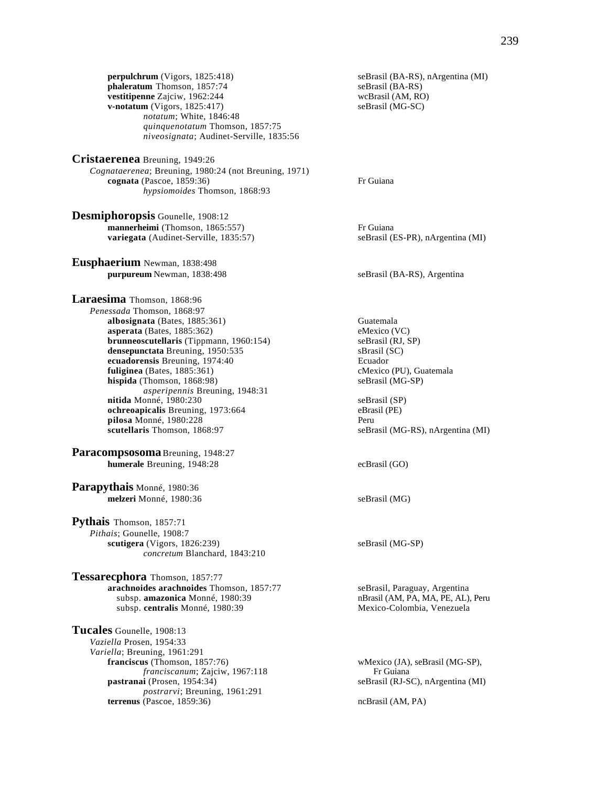**perpulchrum** (Vigors, 1825:418) seBrasil (BA-RS), nArgentina (MI) **phaleratum** Thomson, 1857:74 seBrasil (BA-RS) **phaleratum** Thomson, 1857:74 seBrasil (BA-RS)<br> **vestitipenne** Zajciw, 1962:244 wcBrasil (AM, RO) vestitipenne Zajciw, 1962:244 **v-notatum** (Vigors, 1825:417) seBrasil (MG-SC) *notatum*; White, 1846:48 *quinquenotatum* Thomson, 1857:75 *niveosignata*; Audinet-Serville, 1835:56

**Cristaerenea** Breuning, 1949:26 *Cognataerenea*; Breuning, 1980:24 (not Breuning, 1971) **cognata** (Pascoe, 1859:36) Fr Guiana *hypsiomoides* Thomson, 1868:93

**Desmiphoropsis** Gounelle, 1908:12 **mannerheimi** (Thomson, 1865:557) Fr Guiana **variegata** (Audinet-Serville, 1835:57) seBrasil (ES-PR), nArgentina (MI)

**Eusphaerium** Newman, 1838:498 **purpureum** Newman, 1838:498 seBrasil (BA-RS), Argentina

**Laraesima** Thomson, 1868:96 *Penessada* Thomson, 1868:97 **albosignata** (Bates, 1885:361) Guatemala<br> **asperata** (Bates, 1885:362) Guatemala<br>
eMexico (VC)  $a$ **sperata** (Bates,  $1885:362$ ) **brunneoscutellaris** (Tippmann, 1960:154) seBrasil (RJ, SP) **densepunctata** Breuning, 1950:535 sBrasil (SC) **ecuadorensis** Breuning, 1974:40 Ecuador fuliginea  $(Bates, 1885:361)$ **hispida** (Thomson, 1868:98) seBrasil (MG-SP) *asperipennis* Breuning, 1948:31 **nitida** Monné, 1980:230 seBrasil (SP) **ochreoapicalis** Breuning, 1973:664 eBrasil (PE)<br> **pilosa** Monné. 1980:228 eBrasil (PE) **pilosa** Monné, 1980:228 **scutellaris** Thomson, 1868:97 seBrasil (MG-RS), nArgentina (MI)

**Paracompsosoma** Breuning, 1948:27 **humerale** Breuning, 1948:28 ecBrasil (GO)

**Parapythais** Monné, 1980:36 **melzeri** Monné, 1980:36 seBrasil (MG)

**Pythais** Thomson, 1857:71 *Pithais*; Gounelle, 1908:7 **scutigera** (Vigors, 1826:239) seBrasil (MG-SP) *concretum* Blanchard, 1843:210

**Tessarecphora** Thomson, 1857:77 **arachnoides arachnoides** Thomson, 1857:77 seBrasil, Paraguay, Argentina subsp. **amazonica** Monné, 1980:39 nBrasil (AM, PA, MA, PE, AL), Peru subsp. **centralis** Monné, 1980:39 Mexico-Colombia, Venezuela

**Tucales** Gounelle, 1908:13 *Vaziella* Prosen, 1954:33 *Variella*; Breuning, 1961:291<br>**franciscus** (Thomson, 1857:76) *franciscanum*; Zajciw, 1967:118 **pastranai** (Prosen, 1954:34) seBrasil (RJ-SC), nArgentina (MI) *postrarvi*; Breuning, 1961:291 **terrenus** (Pascoe, 1859:36) ncBrasil (AM, PA)

wMexico (JA), seBrasil (MG-SP),<br>Fr Guiana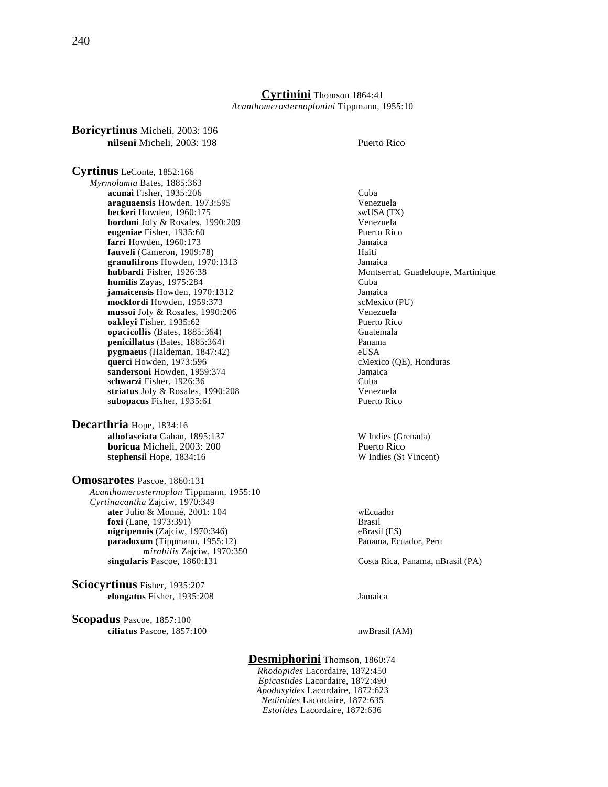**Cyrtinini** Thomson 1864:41 *Acanthomerosternoplonini* Tippmann, 1955:10

**nilseni** Micheli, 2003: 198 Puerto Rico **Cyrtinus** LeConte, 1852:166 *Myrmolamia* Bates, 1885:363 **acunai Fisher, 1935:206** Cuba<br>**araguaensis** Howden, 1973:595 Cuba Cuba **araguaensis** Howden, 1973:595 **Venezuela**<br> **beckeri** Howden, 1960:175 **Venezuela** swUSA (TX) **beckeri** Howden, 1960:175 **bordoni** Joly & Rosales, 1990:209 Venezuela **eugeniae** Fisher, 1935:60 **Puerto Rico**<br> **Farri** Howden, 1960:173 **Puerto Rico**<br> **Farri** Howden, 1960:173 **farri** Howden, 1960:173 **fauveli** (Cameron, 1909:78) Haiti granulifrons Howden, 1970:1313 **hubbardi** Fisher, 1926:38 Montserrat, Guadeloupe, Martinique **humilis** Zayas, 1975:284 Cuba **jamaicensis** Howden, 1970:1312<br> **1980: Howden, 1959:373**<br>
SeMexico (PU) mockfordi Howden, 1959:373 **mussoi** Joly & Rosales, 1990:206 Venezuela **oakleyi** Fisher, 1935:62 Puerto Rico **opacicollis** (Bates, 1885:364) Guatemala **penicillatus** (Bates, 1885:364) Panama **pygmaeus** (Haldeman, 1847:42) eUSA **querci** Howden, 1973:596 **cMexico** (QE), Honduras **sandersoni** Howden, 1959:374 Jamaica<br> **schwarzi** Fisher, 1976:36 schwarzi Fisher, 1926:36 **striatus** Joly & Rosales, 1990:208 Venezuela **subopacus** Fisher, 1935:61 Puerto Rico **Decarthria** Hope, 1834:16 **albofasciata** Gahan, 1895:137 W Indies (Grenada)

**Boricyrtinus** Micheli, 2003: 196

**Omosarotes** Pascoe, 1860:131 *Acanthomerosternoplon* Tippmann, 1955:10 *Cyrtinacantha* Zajciw, 1970:349 **ater** Julio & Monné, 2001: 104 wEcuador **foxi** (Lane, 1973:391) Brasil **nigripennis** (Zajciw, 1970:346) eBrasil (ES) paradoxum (Tippmann, 1955:12) Panama, Ecuador, Peru *mirabilis* Zajciw, 1970:350 **singularis** Pascoe, 1860:131 Costa Rica, Panama, nBrasil (PA)

stephensii Hope, 1834:16

**Sciocyrtinus** Fisher, 1935:207 **elongatus** Fisher, 1935:208 Jamaica

**Scopadus** Pascoe, 1857:100 **ciliatus** Pascoe, 1857:100 nwBrasil (AM)

**boricua** Micheli, 2003: 200<br> **boricua** Puerto Rico<br> **exploring Structure Rico**<br> **exploring We Indies (St Vincent)** 

**Desmiphorini** Thomson, 1860:74 *Rhodopides* Lacordaire, 1872:450 *Epicastides* Lacordaire, 1872:490 *Apodasyides* Lacordaire, 1872:623 *Nedinides* Lacordaire, 1872:635 *Estolides* Lacordaire, 1872:636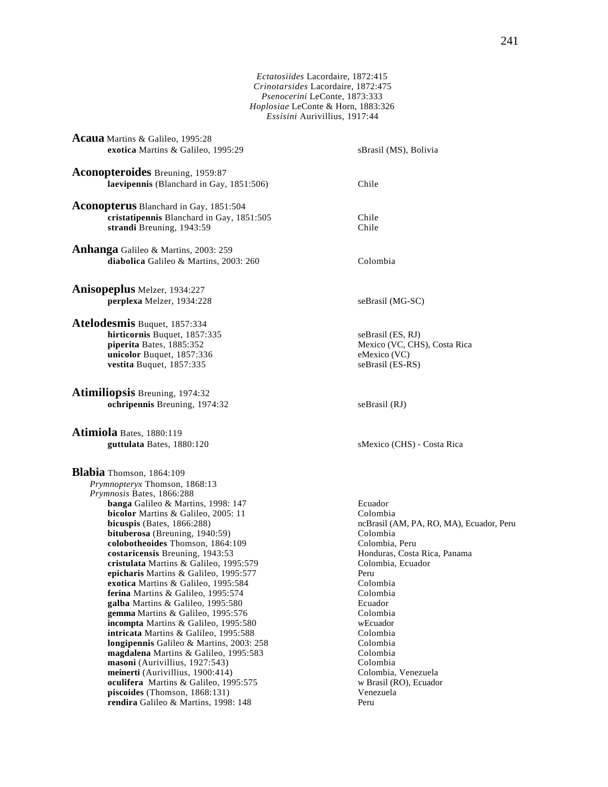*Ectatosiides* Lacordaire, 1872:415 *Crinotarsides* Lacordaire, 1872:475 *Psenocerini* LeConte, 1873:333 *Hoplosiae* LeConte & Horn, 1883:326 *Essisini* Aurivillius, 1917:44

**Acaua** Martins & Galileo, 1995:28 **exotica** Martins & Galileo, 1995:29 sBrasil (MS), Bolivia **Aconopteroides** Breuning, 1959:87 **laevipennis** (Blanchard in Gay, 1851:506) Chile **Aconopterus** Blanchard in Gay, 1851:504 **cristatipennis** Blanchard in Gay, 1851:505 Chile **strandi** Breuning, 1943:59 Chile **Anhanga** Galileo & Martins, 2003: 259 diabolica Galileo & Martins, 2003: 260 Colombia **Anisopeplus** Melzer, 1934:227 **perplexa** Melzer, 1934:228 seBrasil (MG-SC) **Atelodesmis** Buquet, 1857:334 **hirticornis** Buquet, 1857:335 seBrasil (ES, RJ) **piperita** Bates, 1885:352 Mexico (VC, CHS), Costa Rica<br> **unicolor** Buquet. 1857:336 Mexico (VC) **unicolor** Buquet, 1857:336 **vestita** Buquet, 1857:335 seBrasil (ES-RS) **Atimiliopsis** Breuning, 1974:32 **ochripennis** Breuning, 1974:32 seBrasil (RJ) **Atimiola** Bates, 1880:119 **guttulata** Bates, 1880:120 sMexico (CHS) - Costa Rica **Blabia** Thomson, 1864:109 *Prymnopteryx* Thomson, 1868:13 *Prymnosis* Bates, 1866:288 **banga** Galileo & Martins, 1998: 147 Ecuador **bicolor** Martins & Galileo, 2005: 11 Colombia **bicuspis** (Bates, 1866:288) ncBrasil (AM, PA, RO, MA), Ecuador, Peru **bituberosa** (Breuning, 1940:59) Colombia **colobotheoides** Thomson, 1864:109 Colombia, Peru **costaricensis** Breuning, 1943:53 Honduras, Costa Rica, Panama **cristulata** Martins & Galileo, 1995:579 Colombia, Ecuador **epicharis** Martins & Galileo, 1995:577 Peru **exotica** Martins & Galileo, 1995:584 Colombia<br> **ferina** Martins & Galileo. 1995:574 Colombia **ferina** Martins & Galileo, 1995:574 **galba** Martins & Galileo, 1995:580 Ecuador **gemma** Martins & Galileo, 1995:576 Colombia<br> **incompta** Martins & Galileo, 1995:580 Colombia **incompta** Martins & Galileo, 1995:580 wEcuador<br> **intricata** Martins & Galileo, 1995:588 Colombia **intricata** Martins & Galileo, 1995:588 **longipennis** Galileo & Martins, 2003: 258 Colombia **magdalena** Martins & Galileo, 1995:583 Colombia<br> **masoni** (Aurivillius, 1927:543) Colombia  $$ **meinerti** (Aurivillius, 1900:414)<br> **oculifera** Martins & Galileo, 1995:575 (and Social Warsell Roy, Ecuador **oculifera** Martins & Galileo, 1995:575 **piscoides** (Thomson, 1868:131) Venezuela

**rendira** Galileo & Martins, 1998: 148 Peru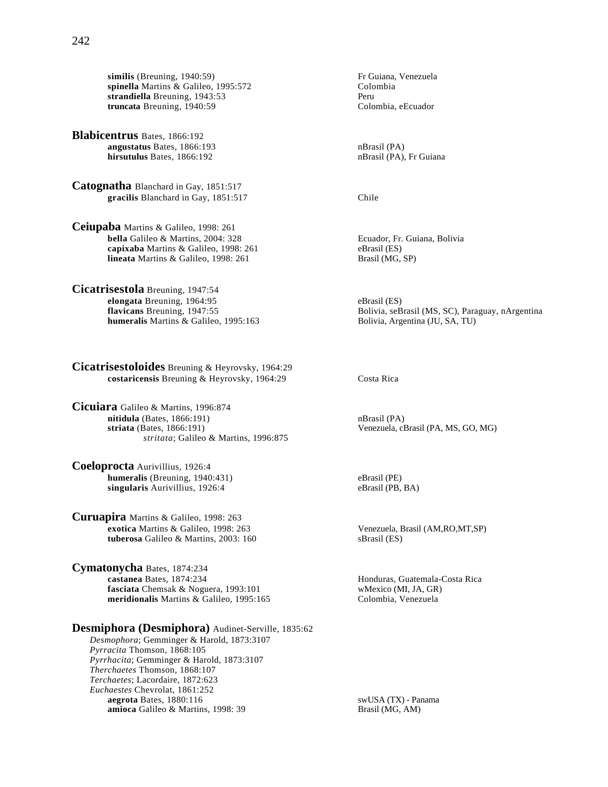**similis** (Breuning, 1940:59) Fr Guiana, Venezuela spinella Martins & Galileo, 1995:572 **strandiella** Breuning, 1943:53 Peru **truncata** Breuning, 1940:59 Colombia, eEcuador

**Blabicentrus** Bates, 1866:192 **angustatus** Bates, 1866:193 nBrasil (PA) **hirsutulus** Bates, 1866:192 nBrasil (PA), Fr Guiana

**Catognatha** Blanchard in Gay, 1851:517 **gracilis** Blanchard in Gay, 1851:517 Chile

**Ceiupaba** Martins & Galileo, 1998: 261 **bella** Galileo & Martins, 2004: 328 Ecuador, Fr. Guiana, Bolivia **capixaba** Martins & Galileo, 1998: 261 eBrasil (ES) **lineata** Martins & Galileo, 1998: 261 Brasil (MG, SP)

**Cicatrisestola** Breuning, 1947:54 **elongata** Breuning, 1964:95<br> **flavicans** Breuning, 1947:55 **eBrasil (ES)**<br>
Bolivia, seB **humeralis** Martins & Galileo, 1995:163 Bolivia, Argentina (JU, SA, TU)

**Cicatrisestoloides** Breuning & Heyrovsky, 1964:29 **costaricensis** Breuning & Heyrovsky, 1964:29 Costa Rica

**Cicuiara** Galileo & Martins, 1996:874 **nitidula** (Bates, 1866:191) nBrasil (PA) **striata** (Bates, 1866:191) Venezuela, cBrasil (PA, MS, GO, MG) *stritata*; Galileo & Martins, 1996:875

**Coeloprocta** Aurivillius, 1926:4 **humeralis** (Breuning, 1940:431) eBrasil (PE) **singularis** Aurivillius, 1926:4 eBrasil (PB, BA)

**Curuapira** Martins & Galileo, 1998: 263 **exotica** Martins & Galileo, 1998: 263 Venezuela, Brasil (AM,RO,MT,SP) **tuberosa** Galileo & Martins, 2003: 160 sBrasil (ES)

**Cymatonycha** Bates, 1874:234 **fasciata** Chemsak & Noguera, 1993:101 wMexico (MI, JA, GR)<br> **meridionalis** Martins & Galileo, 1995:165 Colombia, Venezuela **meridionalis** Martins & Galileo, 1995:165

# **Desmiphora (Desmiphora)** Audinet-Serville, 1835:62

*Desmophora*; Gemminger & Harold, 1873:3107 *Pyrracita* Thomson, 1868:105 *Pyrrhacita*; Gemminger & Harold, 1873:3107 *Therchaetes* Thomson, 1868:107 *Terchaetes*; Lacordaire, 1872:623 *Euchaestes* Chevrolat, 1861:252 **aegrota** Bates, 1880:116 swUSA (TX) - Panama<br> **amioca** Galileo & Martins, 1998: 39 **b** Brasil (MG, AM) amioca Galileo & Martins, 1998: 39

Bolivia, seBrasil (MS, SC), Paraguay, nArgentina

Honduras, Guatemala-Costa Rica<br>wMexico (MI, JA, GR)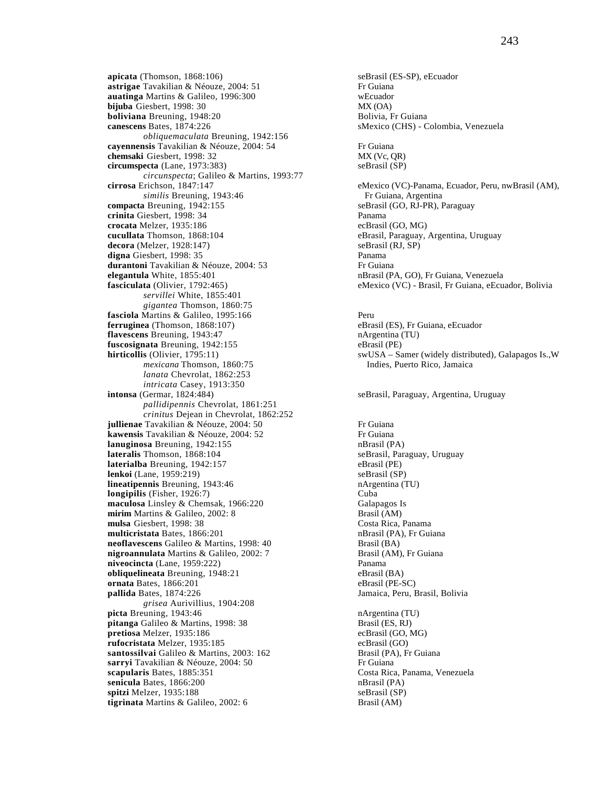**apicata** (Thomson, 1868:106)<br> **astrigae** Tavakilian & Néouze, 2004: 51 Frequiana Frequiana astrigae Tavakilian & Néouze, 2004: 51 **auatinga** Martins & Galileo, 1996:300 wEcuador **bijuba** Giesbert, 1998: 30<br> **boliviana** Breuning, 1948:20<br> **bolivia, Fr Guiana boliviana** Breuning, 1948:20<br>**canescens** Bates, 1874:226 *obliquemaculata* Breuning, 1942:156 **cayennensis** Tavakilian & Néouze, 2004: 54 Fr Guiana **chemsaki** Giesbert, 1998: 32 MX (Vc, QR) **circumspecta** (Lane, 1973:383) seBrasil (SP) *circunspecta*; Galileo & Martins, 1993:77 **cirrosa** Erichson, 1847:147 eMexico (VC)-Panama, Ecuador, Peru, nwBrasil (AM), *similis* Breuning, 1943:46 **Fr** Guiana, Argentina<br> **compacta** Breuning, 1942:155 **Frame** seBrasil (GO, RJ-PR), I **crinita** Giesbert, 1998: 34 Panama **crocata** Melzer, 1935:186 ecBrasil (GO, MG) **cucullata** Thomson, 1868:104 eBrasil, Paraguay, Argentina, Uruguay decora (Melzer, 1928:147) seBrasil (RJ, SP) **digna** Giesbert, 1998: 35 Panama **durantoni** Tavakilian & Néouze, 2004: 53 Fr Guiana **elegantula** White, 1855:401 nBrasil (PA, GO), Fr Guiana, Venezuela **fasciculata** (Olivier, 1792:465) eMexico (VC) - Brasil, Fr Guiana, eEcuador, Bolivia *servillei* White, 1855:401 *gigantea* Thomson, 1860:75 **fasciola** Martins & Galileo, 1995:166 **Perumane Access** Peru **ferruginea** (Thomson, 1868:107) eBrasil (ES), Fr Guiana, eEcuador **flavescens** Breuning, 1943:47 nArgentina (TU) **fuscosignata** Breuning, 1942:155 eBrasil (PE)<br> **hirticollis** (Olivier, 1795:11) swUSA – Sa *mexicana* Thomson, 1860:75 Indies, Puerto Rico, Jamaica *lanata* Chevrolat, 1862:253 *intricata* Casey, 1913:350<br>**intonsa** (Germar, 1824:484) *pallidipennis* Chevrolat, 1861:251 *crinitus* Dejean in Chevrolat, 1862:252 **jullienae** Tavakilian & Néouze, 2004: 50 Fr Guiana **kawensis** Tavakilian & Néouze, 2004: 52 Frequiana<br> **hanuginosa** Breuning, 1942:155 Frequisiana dan particular particular particular particular particular particular **lanuginosa** Breuning, 1942:155<br> **lateralis** Thomson, 1868:104 **nDirect Contract Selater** SeBrasil, Paraguay, Uruguay **lateralis Thomson, 1868:104 laterialba** Breuning, 1942:157 eBrasil (PE) **lenkoi** (Lane, 1959:219) **lineatipennis** Breuning, 1943:46 nArgentina (TU) **longipilis** (Fisher, 1926:7)<br> **maculosa** Linsley & Chemsak, 1966:220 **Calapagos** Is maculosa Linsley & Chemsak, 1966:220 **mirim** Martins & Galileo, 2002: 8 Brasil (AM) **mulsa** Giesbert, 1998: 38<br> **multicristata** Bates, 1866:201<br> **costa Rica, Panama**<br> **mBrasil (PA), Fr Guiana multicristata** Bates, 1866:201 **neoflavescens** Galileo & Martins, 1998: 40 Brasil (BA) **nigroannulata** Martins & Galileo, 2002: 7 Brasil (AM), Fr Guiana **niveocincta** (Lane, 1959:222) Panama **obliquelineata** Breuning, 1948:21 eBrasil (BA) **ornata** Bates, 1866:201 eBrasil (PE-SC) **pallida** Bates, 1874:226 Jamaica, Peru, Brasil, Bolivia *grisea* Aurivillius, 1904:208 **picta** Breuning, 1943:46 **nArgentina (TU) pitanga** Galileo & Martins, 1998: 38 Brasil (ES, RJ)<br> **pretiosa** Melzer, 1935:186 ecBrasil (GO, MG) pretiosa Melzer, 1935:186 **rufocristata** Melzer, 1935:185 ecBrasil (GO) **santossilvai** Galileo & Martins, 2003: 162 Brasil (PA), Fr Guiana **sarryi** Tavakilian & Néouze, 2004: 50 Frequence of the Suite of the Suite of the Suite of the Suite of the Suite of the Suite of the Suite of the Suite of the Suite of the Suite of the Suite of the Suite of the Suite of t **scapularis** Bates, 1885:351 Costa Rica, Panama, Venezuela<br> **senicula** Bates, 1866:200 **Costa Rica, Panama, Venezuela**<br>
mBrasil (PA) senicula Bates, 1866:200 **spitzi** Melzer, 1935:188 seBrasil (SP) **tigrinata** Martins & Galileo, 2002: 6 Brasil (AM)

sMexico (CHS) - Colombia, Venezuela seBrasil (GO, RJ-PR), Paraguay swUSA – Samer (widely distributed), Galapagos Is.,W seBrasil, Paraguay, Argentina, Uruguay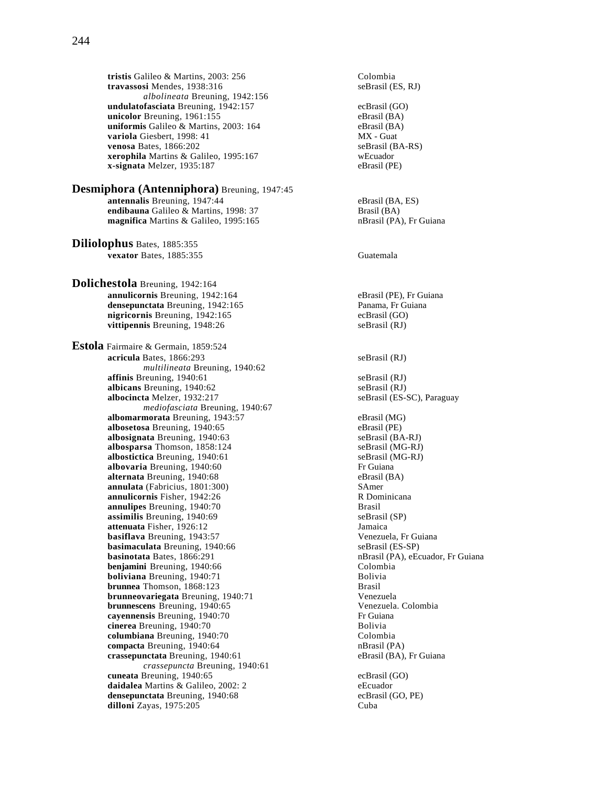**tristis** Galileo & Martins, 2003: 256 Colombia<br> **travassosi** Mendes, 1938:316 SeBrasil (ES, RJ) travassosi Mendes, 1938:316 *albolineata* Breuning, 1942:156 **undulatofasciata** Breuning, 1942:157 ecBrasil (GO)<br> **unicolor** Breuning, 1961:155 eBrasil (BA) **unicolor** Breuning, 1961:155<br> **uniformis** Galileo & Martins, 2003: 164 eBrasil (BA) uniformis Galileo & Martins, 2003: 164 **variola** Giesbert, 1998: 41 MX - Guat<br> **venosa** Bates, 1866:202 seBrasil (BA-RS) **venosa** Bates, 1866:202 **xerophila** Martins & Galileo, 1995:167 wEcuador **x-signata** Melzer, 1935:187 eBrasil (PE)

**Desmiphora (Antenniphora)** Breuning, 1947:45 **antennalis** Breuning, 1947:44 eBrasil (BA, ES) **endibauna** Galileo & Martins, 1998: 37<br> **endifica** Martins & Galileo. 1995:165<br> **endifica** Martins & Galileo. 1995:165<br> **endifica** Martins & Galileo. 1995:165 **magnifica** Martins & Galileo, 1995:165

**Diliolophus** Bates, 1885:355 **vexator** Bates, 1885:355 Guatemala

**Dolichestola** Breuning, 1942:164 **annulicornis** Breuning, 1942:164 eBrasil (PE), Fr Guiana<br> **densepunctata** Breuning, 1942:165 eams Panama, Fr Guiana densepunctata Breuning, 1942:165 **nigricornis** Breuning, 1942:165 ecBrasil (GO) **vittipennis** Breuning, 1948:26 seBrasil (RJ)

**Estola** Fairmaire & Germain, 1859:524 **acricula** Bates, 1866:293 seBrasil (RJ) *multilineata* Breuning, 1940:62 **affinis** Breuning, 1940:61<br> **albicans** Breuning, 1940:62<br>
seBrasil (RJ)<br>
seBrasil (RJ) **albicans** Breuning, 1940:62<br> **albocincta** Melzer, 1932:217<br>
seBrasil (ES-SC), Paraguay albocincta Melzer, 1932:217 *mediofasciata* Breuning, 1940:67 **albomarmorata** Breuning, 1943:57 eBrasil (MG) **albosetosa** Breuning, 1940:65 eBrasil (PE) **albosignata** Breuning, 1940:63 seBrasil (BA-RJ)<br> **albosparsa** Thomson, 1858:124 seBrasil (MG-RJ) albosparsa Thomson, 1858:124 albostictica Breuning, 1940:61 seBrasil (MG-RJ) **albovaria** Breuning, 1940:60 Fr Guiana **alternata** Breuning, 1940:68<br> **annulata** (Fabricius, 1801:300) **Example 18. SAMERICAL SAMERICAL SAMERICAL SAMERICAL SAMERICAL SAMERICAL SAMERICAL SAMERICAL SAMERICAL SAMERICAL SAMERICAL SAMERICAL SAMERICAL SAMERICAL SAMER annulata** (Fabricius, 1801:300) SAmer<br> **annulicornis** Fisher, 1942:26 R Dominicana **annulicornis** Fisher, 1942:26 **R** Don<br> **annulipes** Breuning, 1940:70 **Brasil** annulipes Breuning, 1940:70 **assimilis** Breuning, 1940:69 seBrasil (SP) **attenuata** Fisher, 1926:12 Jamaica **basiflava** Breuning, 1943:57 Venezuela, Fr Guiana **basimaculata** Breuning, 1940:66 **basinotata** Bates, 1866:291 nBrasil (PA), eEcuador, Fr Guiana **benjamini** Breuning, 1940:66 Colombia **boliviana** Breuning, 1940:71 Bolivia **brunnea** Thomson, 1868:123 Brasil **brunneovariegata** Breuning, 1940:71 <br> **brunnescens** Breuning, 1940:65 <br>
Venezuela. Colombia **brunnescens** Breuning, 1940:65 **cayennensis** Breuning, 1940:70<br> **cinerea** Breuning, 1940:70<br>
Bolivia **cinerea** Breuning, 1940:70 **Bolivia**<br> **columbiana** Breuning, 1940:70 **Bolivia**<br> **Colombia columbiana** Breuning, 1940:70 **compacta** Breuning, 1940:64<br> **crassepunctata** Breuning, 1940:61 **nBrasil (BA), Freuning**, 1940:61 **nBrasil (BA), Freuning**, 1940:61 crassepunctata Breuning, 1940:61 *crassepuncta* Breuning, 1940:61 **cuneata** Breuning, 1940:65<br> **daidalea** Martins & Galileo. 2002: 2 **example a** experience experience example a experience example a example example a example a example a example a example a example a example a example a ex **daidalea** Martins & Galileo, 2002: 2 eEcuador<br> **densepunctata** Breuning, 1940:68 eCBrasil (GO, PE) **densepunctata** Breuning, 1940:68 **dilloni** Zayas, 1975:205 Cuba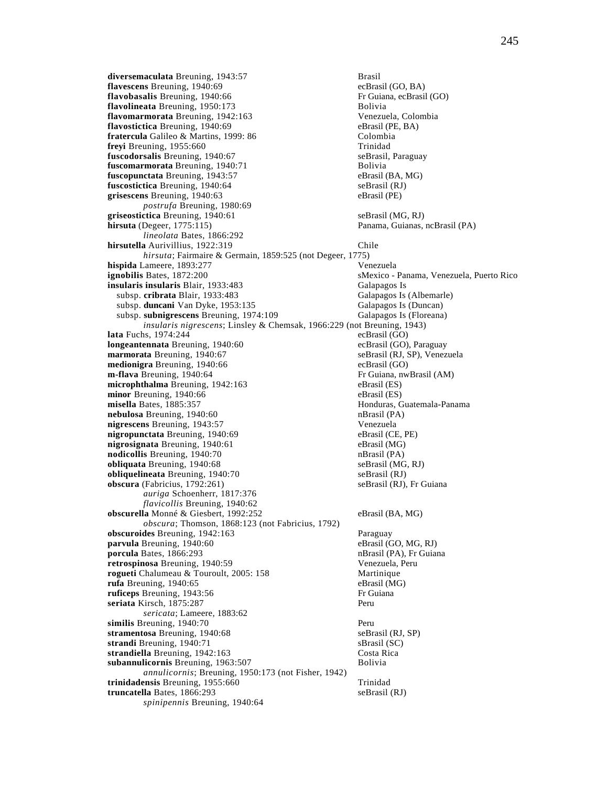**diversemaculata** Breuning, 1943:57<br> **flavescens** Breuning, 1940:69<br>
ecBrasil (GO, BA) **flavescens** Breuning, 1940:69 ecBrasil (GO, BA)<br> **flavobasalis** Breuning, 1940:66 Fr Guiana, ecBrasil (GO) flavobasalis Breuning, 1940:66 **flavolineata** Breuning, 1950:173<br>**flavomarmorata** Breuning, 1942:163 **Bolivia** Brezuela, Colombia **flavomarmorata** Breuning, 1942:163<br>**flavostictica** Breuning, 1940:69 **Colombia Brass** eBrasil (PE, BA) **flavostictica** Breuning, 1940:69 **fratercula** Galileo & Martins, 1999: 86 Colombia **freyi** Breuning, 1955:660<br> **fuscodorsalis** Breuning, 1940:67<br> **fuscodorsalis** Breuning, 1940:67 fuscodorsalis Breuning, 1940:67 fuscomarmorata Breuning, 1940:71 Bolivia **fuscopunctata** Breuning, 1943:57 eBrasil (BA, MG) **fuscostictica** Breuning, 1940:64 seBrasil (RJ) **grisescens** Breuning, 1940:63 eBrasil (PE) *postrufa* Breuning, 1980:69 **griseostictica** Breuning, 1940:61 seBrasil (MG, RJ)<br> **hirsuta** (Degeer, 1775:115) Panama, Guianas, *lineolata* Bates, 1866:292 **hirsutella** Aurivillius, 1922:319 Chile *hirsuta*; Fairmaire & Germain, 1859:525 (not Degeer, 1775) **hispida** Lameere, 1893:277 Venezuela **ignobilis** Bates, 1872:200 sMexico - Panama, Venezuela, Puerto Rico **insularis insularis Blair, 1933:483** Galapagos Is subsp. **cribrata** Blair, 1933:483 Galapagos Is (Albemarle)<br>
subsp. **duncani** Van Dyke, 1953:135 Galapagos Is (Duncan) subsp. duncani Van Dyke, 1953:135 subsp. **subnigrescens** Breuning, 1974:109 Galapagos Is (Floreana) *insularis nigrescens*; Linsley & Chemsak, 1966:229 (not Breuning, 1943) **lata** Fuchs, 1974:244 ecBrasil (GO) **longeantennata** Breuning, 1940:60 ecBrasil (GO), Paraguay<br> **marmorata** Breuning, 1940:67 exerces expenses the security of the security security security security security security security of the security of the security **marmorata** Breuning, 1940:67 **medionigra** Breuning, 1940:66 ecBrasil (GO) **m-flava** Breuning, 1940:64 **Fr** Guiana, nwBrasil (AM) **microphthalma** Breuning, 1942:163 eBrasil (ES)<br> **minor** Breuning, 1940:66 eBrasil (ES) minor Breuning, 1940:66 **misella** Bates, 1885:357<br> **nebulosa** Breuning, 1940:60<br> **nebulosa** Brasil (PA) **nebulosa** Breuning, 1940:60 **nigrescens** Breuning, 1943:57 Venezuela **nigropunctata** Breuning, 1940:69 eBrasil (CE, PE) **nigrosignata** Breuning, 1940:61 eBrasil (MG) **nodicollis** Breuning, 1940:70 **nBrasil** (PA) **obliquata** Breuning, 1940:68 seBrasil (MG, RJ) **obliquelineata** Breuning, 1940:70 seBrasil (RJ) **obscura** (Fabricius, 1792:261) seBrasil (RJ), Fr Guiana *auriga* Schoenherr, 1817:376 *flavicollis* Breuning, 1940:62 **obscurella** Monné & Giesbert, 1992:252 eBrasil (BA, MG) *obscura*; Thomson, 1868:123 (not Fabricius, 1792) **obscuroides** Breuning, 1942:163<br> **obscuroides** Breuning, 1940:60<br> **obscuroides** Paraguay<br> **obscuroides** Brasil (GO, MG, RJ) **parvula** Breuning, 1940:60 **porcula** Bates, 1866:293 nBrasil (PA), Fr Guiana **retrospinosa** Breuning, 1940:59 Venezuela, Peru **rogueti** Chalumeau & Touroult, 2005: 158 Martinique **rufa** Breuning, 1940:65 eBrasil (MG) **ruficeps** Breuning, 1943:56 Fr Guiana **seriata** Kirsch, 1875:287 Peru *sericata*; Lameere, 1883:62 **similis** Breuning, 1940:70<br> **stramentosa** Breuning, 1940:68 **Perumentosa** SeBrasil (RJ, SP) stramentosa Breuning, 1940:68 **strandi** Breuning, 1940:71 sBrasil (SC) **strandiella** Breuning, 1942:163 Costa Rica **subannulicornis** Breuning, 1963:507 Bolivia *annulicornis*; Breuning, 1950:173 (not Fisher, 1942) **trinidadensis** Breuning, 1955:660 Trinidad **truncatella** Bates, 1866:293 seBrasil (RJ)

*spinipennis* Breuning, 1940:64

Panama, Guianas, ncBrasil (PA)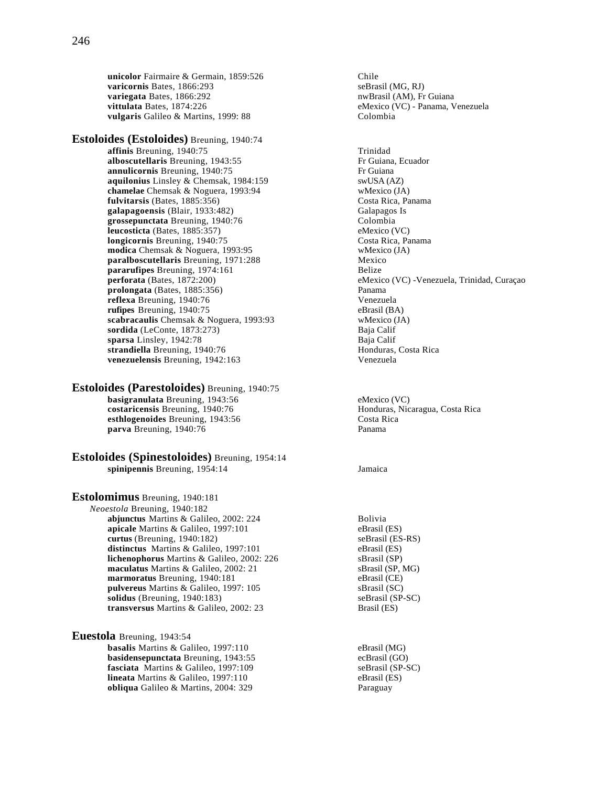**unicolor** Fairmaire & Germain, 1859:526 Chile<br> **varicornis** Bates, 1866:293 seBrasil (MG, RJ) varicornis Bates, 1866:293 **variegata** Bates, 1866:292 **notatally a material experience of the experience of the number of the number of the number of the number of the number of the number of the number of the number of the number of the number of vittulata** Bates, 1874:226 eMexico (VC) - Panama, Venezuela<br> **vulgaris** Galileo & Martins. 1999: 88 colombia vulgaris Galileo & Martins, 1999: 88

**Estoloides (Estoloides)** Breuning, 1940:74 **affinis** Breuning, 1940:75<br> **alboscutellaris** Breuning, 1943:55<br>
Frequiana, Ecuador alboscutellaris Breuning, 1943:55 **annulicornis** Breuning, 1940:75 Fr Guiana **aquilonius** Linsley & Chemsak, 1984:159 swUSA (AZ) **chamelae** Chemsak & Noguera, 1993:94 wMexico (JA) **fulvitarsis** (Bates, 1885:356) Costa Rica, Panama **galapagoensis** (Blair, 1933:482)<br> **grossepunctata** Breuning, 1940:76 (Glombia grossepunctata Breuning, 1940:76 **leucosticta** (Bates, 1885:357) eMexico (VC) **longicornis** Breuning, 1940:75 Costa Rica, Panama<br> **modica** Chemsak & Noguera, 1993:95 Wessico (JA) **modica** Chemsak & Noguera, 1993:95 **paralboscutellaris** Breuning, 1971:288 Mexico **pararufipes** Breuning, 1974:161 Belize **prolongata** (Bates, 1885:356)<br> **prolongata** Breuning, 1940:76 **Panama**<br>
Venezuela **reflexa** Breuning, 1940:76 **Venezuela**<br> **rufines** Breuning, 1940:75 **Venezuela**<br>
eBrasil (BA) **rufipes** Breuning, 1940:75 **scabracaulis** Chemsak & Noguera, 1993:93 wMexico (JA) **sordida** (LeConte, 1873:273) Baja Calif<br> **sparsa** Linsley, 1942:78 Baja Calif **sparsa** Linsley, 1942:78 Baja Calif strandiella Breuning, 1940:76 **venezuelensis** Breuning, 1942:163 Venezuela

**Estoloides (Parestoloides)** Breuning, 1940:75 **basigranulata** Breuning, 1943:56 eMexico (VC)<br> **costaricensis** Breuning, 1940:76 emergency emergency and Honduras, Nicaragua, Costa Rica costaricensis Breuning, 1940:76 **esthlogenoides** Breuning, 1943:56 Costa Rica **parva** Breuning, 1940:76 Panama

**Estoloides (Spinestoloides)** Breuning, 1954:14 **spinipennis** Breuning, 1954:14 Jamaica

**Estolomimus** Breuning, 1940:181 *Neoestola* Breuning, 1940:182 **abjunctus** Martins & Galileo, 2002: 224 Bolivia **apicale** Martins & Galileo, 1997:101 eBrasil (ES) **curtus** (Breuning, 1940:182) seBrasil (ES-RS) distinctus Martins & Galileo, 1997:101 eBrasil (ES) **lichenophorus** Martins & Galileo, 2002: 226 sBrasil (SP) **maculatus** Martins & Galileo, 2002: 21 SBrasil (SP, MG)<br> **marmoratus** Breuning, 1940:181 eBrasil (CE) marmoratus Breuning, 1940:181 **pulvereus** Martins & Galileo, 1997: 105 sBrasil (SC) **solidus** (Breuning, 1940:183) seBrasil (SP-SC) **transversus** Martins & Galileo, 2002: 23 Brasil (ES)

**Euestola** Breuning, 1943:54 **basalis** Martins & Galileo, 1997:110 eBrasil (MG) **basidensepunctata** Breuning, 1943:55 ecBrasil (GO)<br> **fasciata** Martins & Galileo, 1997:109 seBrasil (SP-SC) **fasciata** Martins & Galileo, 1997:109<br> **lineata** Martins & Galileo, 1997:110 eBrasil (ES) **lineata** Martins & Galileo, 1997:110 **obliqua** Galileo & Martins, 2004: 329 Paraguay

**perforata** (Bates, 1872:200) eMexico (VC) -Venezuela, Trinidad, Curaçao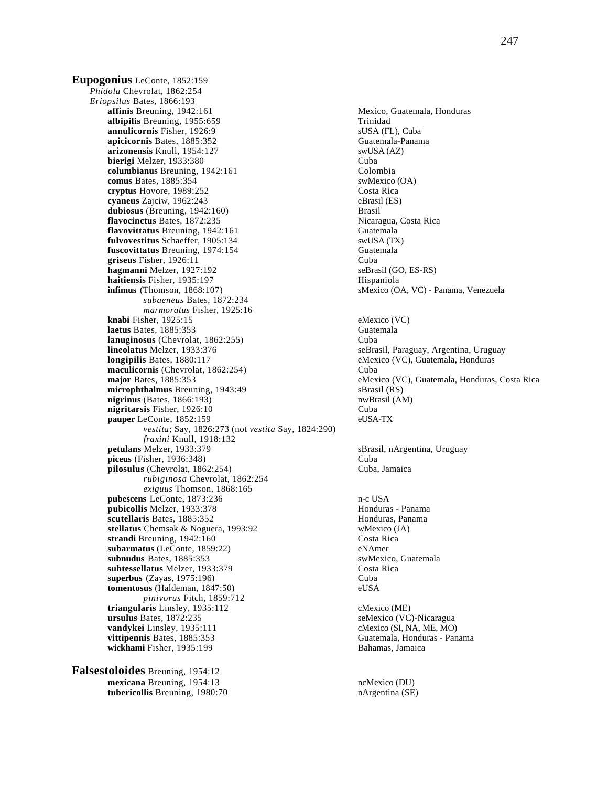**Eupogonius** LeConte, 1852:159 *Phidola* Chevrolat, 1862:254 *Eriopsilus* Bates, 1866:193 **albipilis** Breuning, 1955:659 Trinidad Trinidad SUSA (FL), Cuba annulicornis Fisher, 1926:9 **apicicornis** Bates, 1885:352 Guatemala-Panama **arizonensis** Knull, 1954:127 swUSA (AZ) **bierigi** Melzer, 1933:380 Cuba **columbianus** Breuning, 1942:161 Colombia **comus** Bates, 1885:354 swMexico (OA) **cryptus** Hovore, 1989:252 Costa Rica<br> **cvaneus** Zaiciw. 1962:243 eBrasil (ES) cyaneus Zajciw, 1962:243 dubiosus (Breuning, 1942:160) Brasil **flavocinctus** Bates, 1872:235 Nicaragua, Costa Rica **flavovittatus** Breuning, 1942:161 Guatemala **fulvovestitus** Schaeffer, 1905:134 swUSA (TX)<br> **fuscovittatus** Breuning. 1974:154 **Sunner Schaffer** Schatemala fuscovittatus Breuning, 1974:154 **griseus** Fisher, 1926:11 Cuba **hagmanni** Melzer, 1927:192 seBrasil (GO, ES-RS) **haitiensis** Fisher, 1935:197 Hispaniola **infimus** (Thomson, 1868:107) sMexico (OA, VC) - Panama, Venezuela *subaeneus* Bates, 1872:234 *marmoratus* Fisher, 1925:16 **knabi** Fisher, 1925:15 eMexico (VC) **laetus** Bates, 1885:353 Guatemala **lanuginosus** (Chevrolat, 1862:255) Cuba<br> **lineolatus** Melzer, 1933:376 SeBra **longipilis** Bates, 1880:117 eMexico (VC), Guatemala, Honduras **maculicornis** (Chevrolat, 1862:254) Cuba microphthalmus Breuning, 1943:49 sBrasil (RS)<br>
nigrinus (Bates, 1866:193) nwBrasil (AM)  $nigrinus$  (Bates, 1866:193) **nigritarsis** Fisher, 1926:10 Cuba **pauper** LeConte, 1852:159 eUSA-TX *vestita*; Say, 1826:273 (not *vestita* Say, 1824:290) *fraxini Knull, 1918:132*<br>**petulans** Melzer, 1933:379 **piceus** (Fisher, 1936:348) Cuba **pilosulus** (Chevrolat, 1862:254) Cuba, Jamaica *rubiginosa* Chevrolat, 1862:254 *exiguus* Thomson, 1868:165 pubescens LeConte, 1873:236 n-c USA **pubicollis** Melzer, 1933:378 **Honduras - Panama**<br> **pubicollis** Melzer, 1885:352 **Honduras, Panama**<br>
Honduras, Panama **scutellaris** Bates, 1885:352<br> **stellatus** Chemsak & Noguera, 1993:92<br>
wMexico (JA) stellatus Chemsak & Noguera, 1993:92 **strandi** Breuning, 1942:160 Costa Rica **subarmatus** (LeConte, 1859:22) eNAmer **subnudus** Bates, 1885:353 swMexico, Guatemala **subtessellatus** Melzer, 1933:379 Costa Rica **superbus** (Zayas, 1975:196) Cuba **tomentosus** (Haldeman, 1847:50) eUSA *pinivorus* Fitch, 1859:712 **triangularis** Linsley, 1935:112 cMexico (ME) **ursulus** Bates, 1872:235 seMexico (VC)-Nicaragua<br> **vandykei** Linsley, 1935:111 cMexico (SI, NA, ME, MO) **vandykei** Linsley, 1935:111<br>**vittipennis** Bates, 1885:353 **wickhami** Fisher, 1935:199 Bahamas, Jamaica

**Falsestoloides** Breuning, 1954:12 **mexicana** Breuning, 1954:13<br> **tubericollis** Breuning, 1980:70 **national properties** in the national CSE) **tubericollis** Breuning, 1980:70

Mexico, Guatemala, Honduras seBrasil, Paraguay, Argentina, Uruguay **major** Bates, 1885:353 eMexico (VC), Guatemala, Honduras, Costa Rica sBrasil, nArgentina, Uruguay Guatemala, Honduras - Panama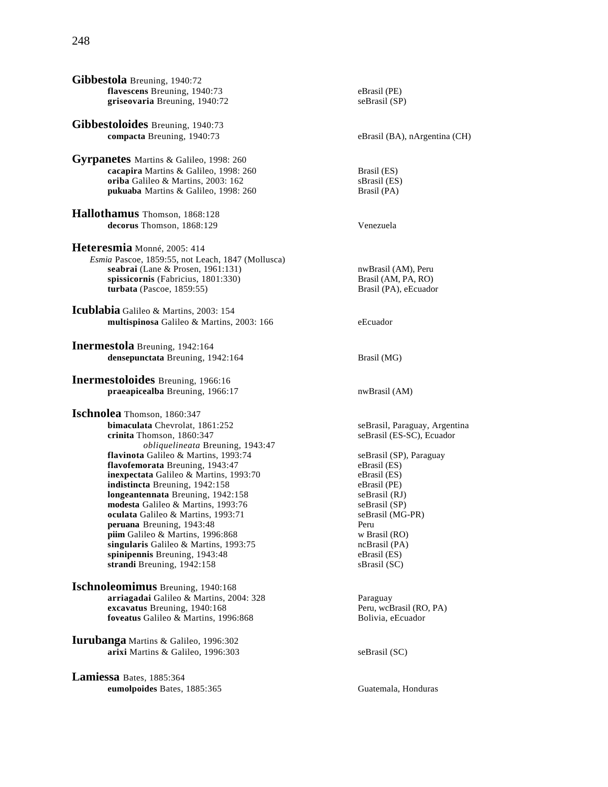**Gibbestoloides** Breuning, 1940:73 **compacta** Breuning, 1940:73 eBrasil (BA), nArgentina (CH)

**Gyrpanetes** Martins & Galileo, 1998: 260 **cacapira** Martins & Galileo, 1998: 260 Brasil (ES) **oriba** Galileo & Martins, 2003: 162<br> **pukuaba** Martins & Galileo, 1998: 260<br>
Brasil (PA) pukuaba Martins & Galileo, 1998: 260

**Hallothamus** Thomson, 1868:128 **decorus** Thomson, 1868:129 Venezuela

**Heteresmia** Monné, 2005: 414 *Esmia* Pascoe, 1859:55, not Leach, 1847 (Mollusca) **seabrai** (Lane & Prosen, 1961:131) **nwBrasil (AM), Peru spissicornis** (Fabricius, 1801:330) Brasil (AM, PA, RO)<br> **turbata** (Pascoe, 1859:55) Brasil (PA), eEcuador  $turbata$  (Pascoe,  $1859:55$ )

**Icublabia** Galileo & Martins, 2003: 154 **multispinosa** Galileo & Martins, 2003: 166 eEcuador

**Inermestola** Breuning, 1942:164 **densepunctata** Breuning, 1942:164 Brasil (MG)

**Inermestoloides** Breuning, 1966:16 **praeapicealba** Breuning, 1966:17 nwBrasil (AM)

**Ischnolea** Thomson, 1860:347<br>bimaculata Chevrolat, 1861:252 **crinita** Thomson, 1860:347 seBrasil (ES-SC), Ecuador *obliquelineata* Breuning, 1943:47 **flavinota** Galileo & Martins, 1993:74 seBrasil (SP), Paraguay<br>**flavofemorata** Breuning. 1943:47 eBrasil (ES) **flavofemorata** Breuning, 1943:47 eBrasil (ES)<br> **inexpectata** Galileo & Martins, 1993:70 eBrasil (ES) **inexpectata** Galileo & Martins, 1993:70 **indistincta** Breuning, 1942:158 eBrasil (PE) **longeantennata** Breuning, 1942:158<br> **modesta** Galileo & Martins, 1993:76<br>
seBrasil (SP) **modesta** Galileo & Martins, 1993:76 **oculata** Galileo & Martins, 1993:71 seBrasil (MG-PR) **peruana** Breuning, 1943:48<br> **piim** Galileo & Martins, 1996:868 **Peruana** Warsel (RO) piim Galileo & Martins, 1996:868 **singularis** Galileo & Martins, 1993:75 **ncBrasil (PA)**<br> **spinipennis** Breuning, 1943:48 **eBrasil (ES) spinipennis** Breuning, 1943:48 eBrasil (ES)<br> **strandi** Breuning, 1942:158 eBrasil (SC) strandi Breuning, 1942:158

**Ischnoleomimus** Breuning, 1940:168 **arriagadai** Galileo & Martins, 2004: 328 Paraguay **excavatus** Breuning, 1940:168<br> **foveatus** Galileo & Martins, 1996:868<br> **excavatus** Bolivia, eEcuador foveatus Galileo & Martins, 1996:868

**Iurubanga** Martins & Galileo, 1996:302 **arixi** Martins & Galileo, 1996:303 seBrasil (SC)

**Lamiessa** Bates, 1885:364 **eumolpoides** Bates, 1885:365 Guatemala, Honduras

seBrasil, Paraguay, Argentina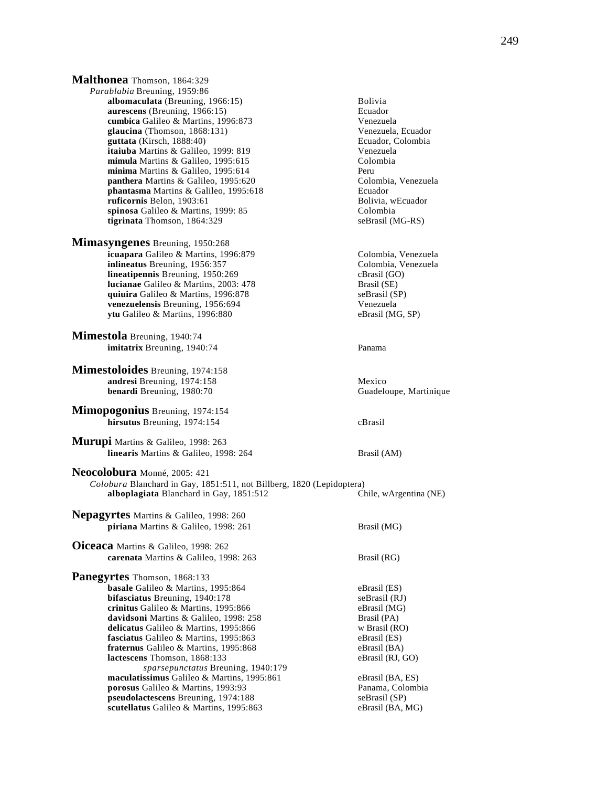**Malthonea** Thomson, 1864:329 *Parablabia* Breuning, 1959:86 **albomaculata** (Breuning, 1966:15) **Bolivia**<br> **aurescens** (Breuning, 1966:15) **Bolivia**<br> **Ecuador aurescens** (Breuning,  $1966:15$ ) **cumbica** Galileo & Martins, 1996:873 Venezuela<br> **glaucina** (Thomson, 1868:131) Venezuela, Ecuador **glaucina** (Thomson, 1868:131) Venezuela, Ecuador<br> **guttata** (Kirsch, 1888:40) **Venezuela, Ecuador**, Colombia guttata (Kirsch, 1888:40) **itaiuba** Martins & Galileo, 1999: 819<br> **itaius** Martins & Galileo, 1995:615<br>
Colombia **mimula** Martins & Galileo, 1995:615 **minima** Martins & Galileo, 1995:614 Peru **panthera** Martins & Galileo, 1995:620 Colombia, Venezuela **phantasma Martins & Galileo, 1995:618** Ecuador<br> **phantasma Martins & Galileo, 1995:618** Ecuador<br>
Bolivia, wEcuador **ruficornis** Belon, 1903:61 spinosa Galileo & Martins, 1999: 85 Colombia **tigrinata** Thomson, 1864:329 seBrasil (MG-RS) **Mimasyngenes** Breuning, 1950:268 **icuapara** Galileo & Martins, 1996:879 Colombia, Venezuela **inlineatus** Breuning, 1956:357 Colombia, Venezuela<br> **lineatipennis** Breuning, 1950:269 CBrasil (GO) **lineatipennis** Breuning, 1950:269<br> **lucianae** Galileo & Martins, 2003: 478 **cannos** Brasil (SE) **lucianae** Galileo & Martins, 2003: 478 **quiuira** Galileo & Martins, 1996:878 seBrasil (SP) **venezuelensis** Breuning, 1956:694 Venezuela **ytu** Galileo & Martins, 1996:880 eBrasil (MG, SP) **Mimestola** Breuning, 1940:74 **imitatrix** Breuning, 1940:74 Panama **Mimestoloides** Breuning, 1974:158 **andresi** Breuning, 1974:158 Mexico **benardi** Breuning, 1980:70 Guadeloupe, Martinique **Mimopogonius** Breuning, 1974:154 **hirsutus** Breuning, 1974:154 cBrasil **Murupi** Martins & Galileo, 1998: 263 **linearis** Martins & Galileo, 1998: 264 Brasil (AM) **Neocolobura** Monné, 2005: 421 *Colobura* Blanchard in Gay, 1851:511, not Billberg, 1820 (Lepidoptera) **alboplagiata** Blanchard in Gay, 1851:512 Chile, wArgentina (NE) **Nepagyrtes** Martins & Galileo, 1998: 260 **piriana** Martins & Galileo, 1998: 261 Brasil (MG) **Oiceaca** Martins & Galileo, 1998: 262 **carenata** Martins & Galileo, 1998: 263 Brasil (RG) **Panegyrtes** Thomson, 1868:133 **basale** Galileo & Martins, 1995:864 eBrasil (ES) **bifasciatus** Breuning, 1940:178 seBrasil (RJ) **crinitus** Galileo & Martins, 1995:866 eBrasil (MG) **davidsoni** Martins & Galileo, 1998: 258 Brasil (PA) **delicatus** Galileo & Martins, 1995:866 w Brasil (RO)<br> **fasciatus** Galileo & Martins, 1995:863 eBrasil (ES) **fasciatus** Galileo & Martins, 1995:863 **fraternus** Galileo & Martins, 1995:868 eBrasil (BA) **lactescens** Thomson, 1868:133 eBrasil (RJ, GO) *sparsepunctatus* Breuning, 1940:179 **maculatissimus** Galileo & Martins, 1995:861 eBrasil (BA, ES) **porosus** Galileo & Martins, 1993:93 Panama, Colombia **pseudolactescens** Breuning, 1974:188 seBrasil (SP) **scutellatus** Galileo & Martins, 1995:863 eBrasil (BA, MG)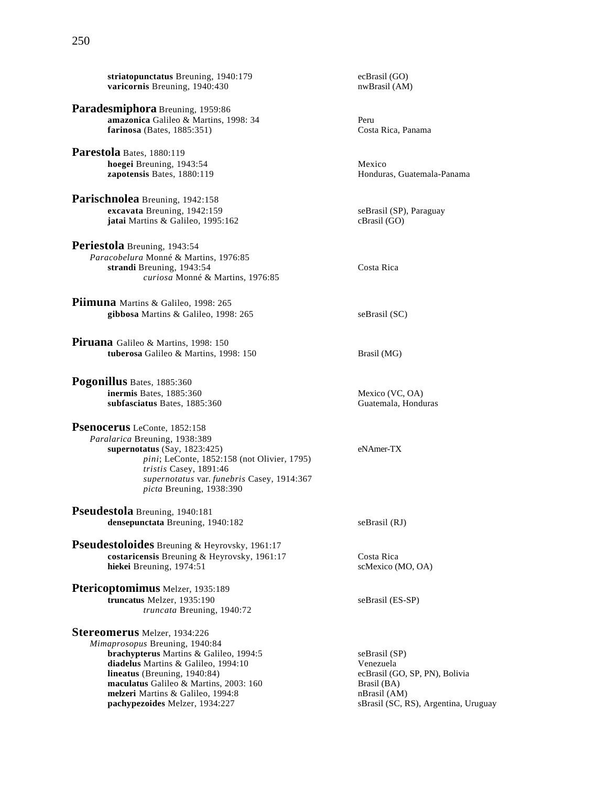**striatopunctatus** Breuning, 1940:179 ecBrasil (GO)<br> **varicornis** Breuning, 1940:430 **ecBrasil** (AM) **varicornis** Breuning, 1940:430

- **Paradesmiphora** Breuning, 1959:86 **amazonica** Galileo & Martins, 1998: 34 Peru **farinosa** (Bates, 1885:351) Costa Rica, Panama
- **Parestola** Bates, 1880:119 **hoegei** Breuning, 1943:54<br> **hoegei** Breuning, 1943:54<br> **hoegei** Bates, 1880:119 zapotensis Bates, 1880:119
- **Parischnolea** Breuning, 1942:158 **excavata** Breuning, 1942:159<br> **jatai** Martins & Galileo, 1995:162<br> **expansify contains & Galileo, 1995:162**<br> **expansify contains and Separate Serversify Contains and Serversify Contains and Serversify Contains and Servers** jatai Martins & Galileo, 1995:162
- **Periestola** Breuning, 1943:54 *Paracobelura* Monné & Martins, 1976:85 **strandi Breuning, 1943:54** Costa Rica *curiosa* Monné & Martins, 1976:85
- **Piimuna** Martins & Galileo, 1998: 265 **gibbosa** Martins & Galileo, 1998: 265 seBrasil (SC)
- **Piruana** Galileo & Martins, 1998: 150 **tuberosa** Galileo & Martins, 1998: 150 Brasil (MG)
- **Pogonillus** Bates, 1885:360 **inermis** Bates, 1885:360 Mexico (VC, OA)<br> **subfasciatus** Bates, 1885:360 Mexico (VC, OA)<br>
Guatemala, Honduras subfasciatus Bates, 1885:360
- **Psenocerus** LeConte, 1852:158 *Paralarica* Breuning, 1938:389 **supernotatus** (Say, 1823:425) eNAmer-TX *pini*; LeConte, 1852:158 (not Olivier, 1795) *tristis* Casey, 1891:46 *supernotatus* var. *funebris* Casey, 1914:367 *picta* Breuning, 1938:390
- **Pseudestola** Breuning, 1940:181 **densepunctata** Breuning, 1940:182 seBrasil (RJ)
- **Pseudestoloides** Breuning & Heyrovsky, 1961:17 **costaricensis** Breuning & Heyrovsky, 1961:17 Costa Rica **hiekei** Breuning, 1974:51 scMexico (MO, OA)
- **Ptericoptomimus** Melzer, 1935:189 **truncatus** Melzer, 1935:190 seBrasil (ES-SP) *truncata* Breuning, 1940:72

**Stereomerus** Melzer, 1934:226 *Mimaprosopus* Breuning, 1940:84 **brachypterus** Martins & Galileo, 1994:5 seBrasil (SP) **diadelus** Martins & Galileo, 1994:10<br> **diadelus (Breuning, 1940:84)**<br> **diadelus (Breuning, 1940:84)**<br> **diadelus Constanting (CO, SP, PN), Bolivia lineatus** (Breuning, 1940:84) ecBrasil (GC) ecBrasil (GC) ecBrasil (GC) expansil (GC) expansil (BA), Research Brasil (BA), Research Brasil (BA), Research Brasil (BA), Research Brasil (BA), Research Brasil (BA), Research B maculatus Galileo & Martins, 2003: 160 **melzeri** Martins & Galileo, 1994:8 nBrasil (AM)<br> **pachypezoides** Melzer, 1934:227 sBrasil (SC, F

sBrasil (SC, RS), Argentina, Uruguay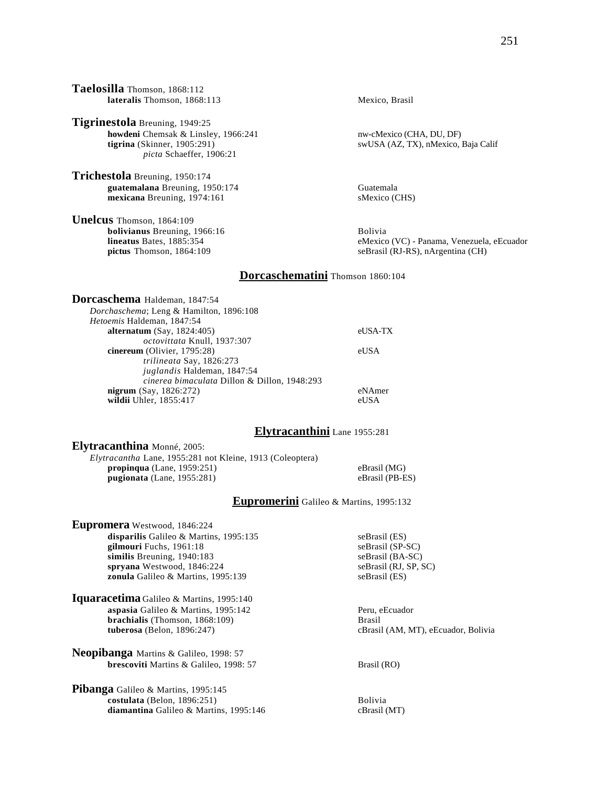**Taelosilla** Thomson, 1868:112 **lateralis** Thomson, 1868:113 Mexico, Brasil **Tigrinestola** Breuning, 1949:25 **howdeni** Chemsak & Linsley, 1966:241 nw-cMexico (CHA, DU, DF)<br> **tigrina** (Skinner, 1905:291) swUSA (AZ, TX), nMexico, swUSA (AZ, TX), nMexico, Baja Calif *picta* Schaeffer, 1906:21 **Trichestola** Breuning, 1950:174 **guatemalana** Breuning, 1950:174<br> **guatemala** Breuning, 1974:161<br> **guatemala** SMexico (CHS) mexicana Breuning, 1974:161 **Unelcus** Thomson, 1864:109 **bolivianus** Breuning, 1966:16 **Bolivia**<br> **lineatus** Bates, 1885:354 **Bolivia**<br>
eMexico eMexico (VC) - Panama, Venezuela, eEcuador **pictus** Thomson, 1864:109 seBrasil (RJ-RS), nArgentina (CH) **Dorcaschematini** Thomson 1860:104 **Dorcaschema** Haldeman, 1847:54 *Dorchaschema*; Leng & Hamilton, 1896:108 *Hetoemis* Haldeman, 1847:54 **alternatum** (Say, 1824:405) eUSA-TX *octovittata* Knull, 1937:307 **cinereum** (Olivier, 1795:28) eUSA *trilineata* Say, 1826:273 *juglandis* Haldeman, 1847:54 *cinerea bimaculata* Dillon & Dillon, 1948:293 **nigrum** (Say, 1826:272) eNAmer wildii Uhler, 1855:417 eUSA **Elytracanthini** Lane 1955:281 **Elytracanthina** Monné, 2005: *Elytracantha* Lane, 1955:281 not Kleine, 1913 (Coleoptera) **propinqua** (Lane, 1959:251) eBrasil (MG)<br> **pugionata** (Lane, 1955:281) eBrasil (PB-ES) **pugionata** (Lane,  $1955:281$ )

**Eupromerini** Galileo & Martins, 1995:132

cBrasil (AM, MT), eEcuador, Bolivia

**disparilis** Galileo & Martins, 1995:135 seBrasil (ES)<br> **gilmouri** Fuchs, 1961:18 seBrasil (SP-SC)

similis Breuning, 1940:183 seBrasil (BA-SC) **spryana** Westwood, 1846:224 seBrasil (RJ, SP, SC) **zonula** Galileo & Martins, 1995:139 seBrasil (ES)

**aspasia** Galileo & Martins, 1995:142 Peru, eEcuador

**brescoviti** Martins & Galileo, 1998: 57 Brasil (RO)

**costulata** (Belon, 1896:251) Bolivia diamantina Galileo & Martins, 1995:146 cBrasil (MT)

**brachialis** (Thomson, 1868:109) **Brasil Brasil Constant Constant Constant Constant Constant Constant Constant Constant Constant Constant Constant Constant Constant Constant Constant Constant Constant Constant Constant Con** 

**Eupromera** Westwood, 1846:224

gilmouri Fuchs, 1961:18

**Iquaracetima** Galileo & Martins, 1995:140

**Neopibanga** Martins & Galileo, 1998: 57

Pibanga Galileo & Martins, 1995:145

# 251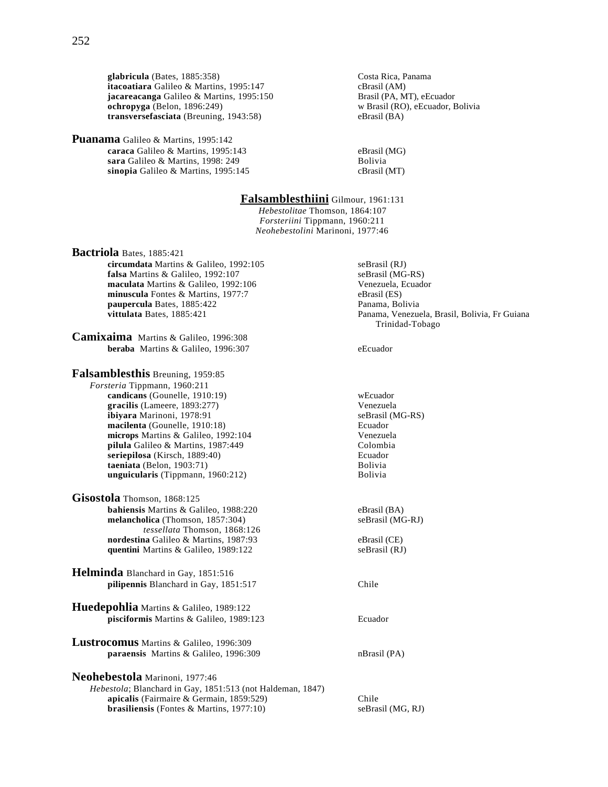**glabricula** (Bates, 1885:358) Costa Rica, Panama itacoatiara Galileo & Martins, 1995:147 **jacareacanga** Galileo & Martins, 1995:150 Brasil (PA, MT), eEcuador **ochropyga** (Belon, 1896:249)<br> **transversefasciata** (Breuning, 1943:58)<br> **eBrasil (BA)**<br> **eBrasil (BA) transversefasciata** (Breuning, 1943:58)

**Puanama** Galileo & Martins, 1995:142 **caraca** Galileo & Martins, 1995:143 eBrasil (MG) **sara** Galileo & Martins, 1998: 249<br> **sinopia** Galileo & Martins, 1995:145 **Bolivia** CBrasil (MT) sinopia Galileo & Martins, 1995:145

# **Falsamblesthiini** Gilmour, 1961:131

*Hebestolitae* Thomson, 1864:107 *Forsteriini* Tippmann, 1960:211 *Neohebestolini* Marinoni, 1977:46

**Bactriola** Bates, 1885:421 **circumdata** Martins & Galileo, 1992:105 seBrasil (RJ) **falsa** Martins & Galileo, 1992:107<br> **maculata** Martins & Galileo, 1992:106 **seBrasil (MG-RS)**<br>
Venezuela, Ecuador maculata Martins & Galileo, 1992:106 **minuscula** Fontes & Martins, 1977:7 eBrasil (ES) **paupercula** Bates, 1885:422 Panama, Bolivia **vittulata** Bates, 1885:421 **Panama, Venezuela, Brasil, Bolivia, Fr Guiana Camixaima** Martins & Galileo, 1996:308 **beraba** Martins & Galileo, 1996:307 eEcuador **Falsamblesthis** Breuning, 1959:85 *Forsteria* Tippmann, 1960:211 **candicans** (Gounelle, 1910:19) were well were well were well were vertex were vertex were vertex were vertex were vertex were vertex were vertex were vertex were vertex were vertex were vertex were vertex were vertex were **gracilis** (Lameere, 1893:277)<br> **ibiyara** Marinoni, 1978:91 (MG-RS) ibiyara Marinoni, 1978:91 **macilenta** (Gounelle, 1910:18) Ecuador **microps** Martins & Galileo, 1992:104 Venezuela **pilula** Galileo & Martins, 1987:449 Colombia **seriepilosa** (Kirsch, 1889:40) **Ecuador**<br> **differentiata** (Belon, 1903:71) **Ecuador**<br> **Bolivia taeniata** (Belon, 1903:71) Bolivia **unguicularis** (Tippmann, 1960:212) **Gisostola** Thomson, 1868:125 **bahiensis** Martins & Galileo, 1988:220 eBrasil (BA)<br> **melancholica** (Thomson, 1857:304) seBrasil (MG-RJ) **melancholica** (Thomson, 1857:304) *tessellata* Thomson, 1868:126 **nordestina** Galileo & Martins, 1987:93 eBrasil (CE) **quentini** Martins & Galileo, 1989:122 seBrasil (RJ) **Helminda** Blanchard in Gay, 1851:516 **pilipennis** Blanchard in Gay, 1851:517 Chile **Huedepohlia** Martins & Galileo, 1989:122 **pisciformis** Martins & Galileo, 1989:123 Ecuador **Lustrocomus** Martins & Galileo, 1996:309 **paraensis** Martins & Galileo, 1996:309 nBrasil (PA) **Neohebestola** Marinoni, 1977:46 *Hebestola*; Blanchard in Gay, 1851:513 (not Haldeman, 1847) **apicalis** (Fairmaire & Germain, 1859:529) Chile **brasiliensis** (Fontes & Martins, 1977:10) seBrasil (MG, RJ)

Trinidad-Tobago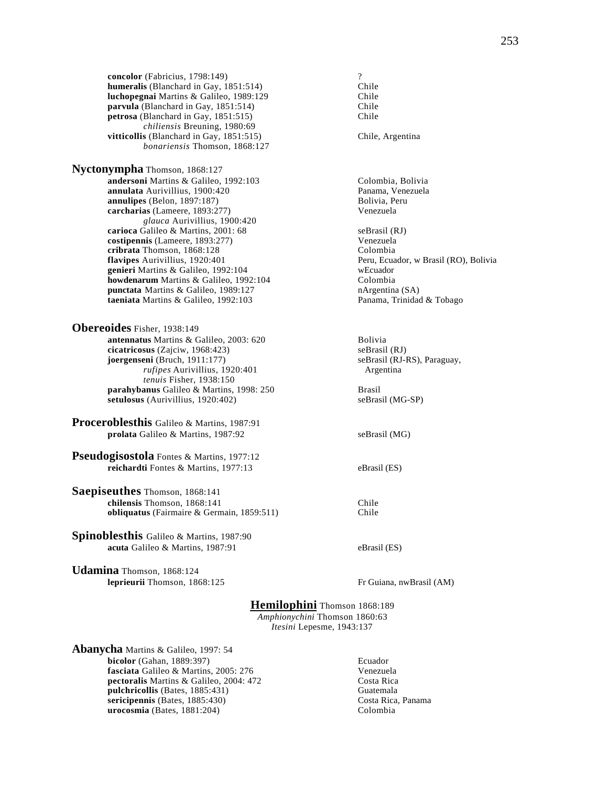**concolor** (Fabricius, 1798:149) <br> **humeralis** (Blanchard in Gay, 1851:514) **Chile Chile humeralis** (Blanchard in Gay, 1851:514) **luchopegnai** Martins & Galileo, 1989:129 Chile **parvula (Blanchard in Gay, 1851:514)** Chile<br> **petrosa** (Blanchard in Gay, 1851:515) Chile petrosa (Blanchard in Gay, 1851:515) *chiliensis* Breuning, 1980:69 **vitticollis** (Blanchard in Gay, 1851:515) Chile, Argentina *bonariensis* Thomson, 1868:127

**Nyctonympha** Thomson, 1868:127 **andersoni** Martins & Galileo, 1992:103 Colombia, Bolivia<br> **annulata** Aurivillius, 1900:420 Panama, Venezuela **annulata** Aurivillius, 1900:420 Panama, Vene<br> **annulipes** (Belon, 1897:187) Bolivia, Peru  $annulipes$  (Belon, 1897:187) **carcharias** (Lameere, 1893:277) Venezuela *glauca* Aurivillius, 1900:420 **carioca** Galileo & Martins, 2001: 68 seBrasil (RJ) **costipennis** (Lameere, 1893:277) Venezuela<br> **cribrata** Thomson. 1868:128 (Colombia cribrata Thomson, 1868:128 **flavipes** Aurivillius, 1920:401 **Peru, Ecuador, w Brasil (RO), Bolivia genieri** Martins & Galileo, 1992:104 wEcuador **howdenarum** Martins & Galileo, 1992:104 Colombia **punctata** Martins & Galileo, 1989:127 nArgentina (SA) **taeniata** Martins & Galileo, 1992:103 Panama, Trinidad & Tobago

**Obereoides** Fisher, 1938:149 **antennatus** Martins & Galileo, 2003: 620<br> **cicatricosus** (Zaiciw. 1968:423)<br> **antennatus** (Zaiciw. 1968:423) **cicatricosus** (Zajciw, 1968:423) **joergenseni** (Bruch, 1911:177) seBrasil (RJ-RS), Paraguay, *rufipes* Aurivillius, 1920:401 *tenuis* Fisher, 1938:150

**parahybanus** Galileo & Martins, 1998: 250 Brasil<br> **parahybanus** (Aurivillius, 1920:402) seBrasil (MG-SP) setulosus (Aurivillius, 1920:402)

**Proceroblesthis** Galileo & Martins, 1987:91 **prolata** Galileo & Martins, 1987:92 seBrasil (MG)

**Pseudogisostola** Fontes & Martins, 1977:12 **reichardti** Fontes & Martins, 1977:13 eBrasil (ES)

**Saepiseuthes** Thomson, 1868:141 **chilensis Thomson, 1868:141** Chile<br> **obliquatus** (Fairmaire & Germain, 1859:511) Chile **obliquatus** (Fairmaire & Germain, 1859:511)

**Spinoblesthis** Galileo & Martins, 1987:90 **acuta** Galileo & Martins, 1987:91 eBrasil (ES)

**Udamina** Thomson, 1868:124 **leprieurii** Thomson, 1868:125 Fr Guiana, nwBrasil (AM)

# **Hemilophini** Thomson 1868:189

*Amphionychini* Thomson 1860:63 *Itesini* Lepesme, 1943:137

**Abanycha** Martins & Galileo, 1997: 54 **bicolor** (Gahan, 1889:397) Ecuador **fasciata** Galileo & Martins, 2005: 276 Venezuela **pectoralis** Martins & Galileo, 2004: 472 Costa Rica **pulchricollis** (Bates, 1885:431) Guatemala<br> **pulchricollis** (Bates, 1885:430) Gosta Rica, Panama sericipennis (Bates, 1885:430) **urocosmia** (Bates, 1881:204) Colombia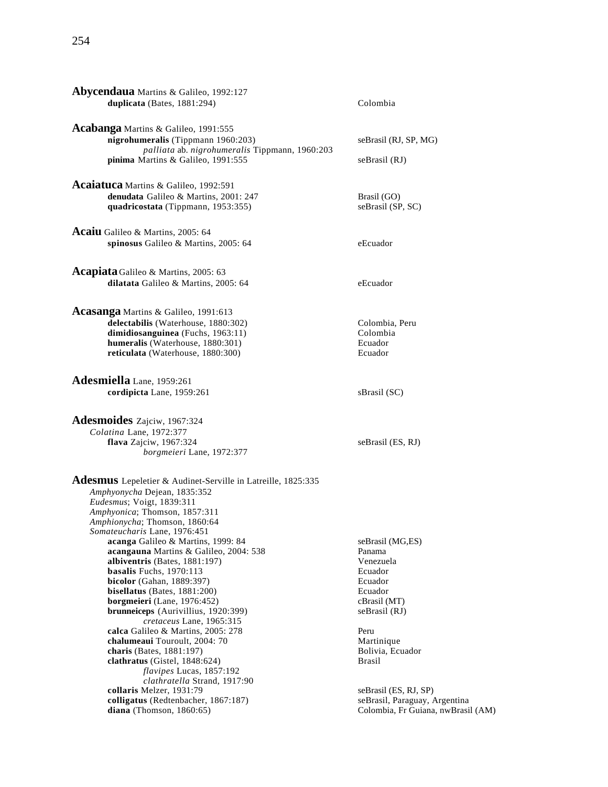| <b>Abycendaua</b> Martins & Galileo, 1992:127<br>duplicata (Bates, 1881:294)                                                                                                                                                                                                                                                                                                                                                                                                                                                                                                                                                                                                                                                                                                           | Colombia                                                                                                                                                                                      |
|----------------------------------------------------------------------------------------------------------------------------------------------------------------------------------------------------------------------------------------------------------------------------------------------------------------------------------------------------------------------------------------------------------------------------------------------------------------------------------------------------------------------------------------------------------------------------------------------------------------------------------------------------------------------------------------------------------------------------------------------------------------------------------------|-----------------------------------------------------------------------------------------------------------------------------------------------------------------------------------------------|
| Acabanga Martins & Galileo, 1991:555<br>nigrohumeralis (Tippmann 1960:203)<br>palliata ab. nigrohumeralis Tippmann, 1960:203<br>pinima Martins & Galileo, 1991:555                                                                                                                                                                                                                                                                                                                                                                                                                                                                                                                                                                                                                     | seBrasil (RJ, SP, MG)<br>seBrasil (RJ)                                                                                                                                                        |
| Acaiatuca Martins & Galileo, 1992:591<br>denudata Galileo & Martins, 2001: 247<br>quadricostata (Tippmann, 1953:355)                                                                                                                                                                                                                                                                                                                                                                                                                                                                                                                                                                                                                                                                   | Brasil (GO)<br>seBrasil (SP, SC)                                                                                                                                                              |
| Acaiu Galileo & Martins, 2005: 64<br>spinosus Galileo & Martins, 2005: 64                                                                                                                                                                                                                                                                                                                                                                                                                                                                                                                                                                                                                                                                                                              | eEcuador                                                                                                                                                                                      |
| <b>Acapiata</b> Galileo & Martins, 2005: 63<br>dilatata Galileo & Martins, 2005: 64                                                                                                                                                                                                                                                                                                                                                                                                                                                                                                                                                                                                                                                                                                    | eEcuador                                                                                                                                                                                      |
| Acasanga Martins & Galileo, 1991:613<br>delectabilis (Waterhouse, 1880:302)<br>dimidiosanguinea (Fuchs, 1963:11)<br>humeralis (Waterhouse, 1880:301)<br>reticulata (Waterhouse, 1880:300)                                                                                                                                                                                                                                                                                                                                                                                                                                                                                                                                                                                              | Colombia, Peru<br>Colombia<br>Ecuador<br>Ecuador                                                                                                                                              |
| Adesmiella Lane, 1959:261<br>cordipicta Lane, 1959:261                                                                                                                                                                                                                                                                                                                                                                                                                                                                                                                                                                                                                                                                                                                                 | sBrasil (SC)                                                                                                                                                                                  |
| Adesmoides Zajciw, 1967:324<br>Colatina Lane, 1972:377<br>flava Zajciw, 1967:324<br>borgmeieri Lane, 1972:377                                                                                                                                                                                                                                                                                                                                                                                                                                                                                                                                                                                                                                                                          | seBrasil (ES, RJ)                                                                                                                                                                             |
| <b>Adesmus</b> Lepeletier & Audinet-Serville in Latreille, 1825:335<br>Amphyonycha Dejean, 1835:352<br>Eudesmus; Voigt, 1839:311<br>Amphyonica; Thomson, 1857:311<br>Amphionycha; Thomson, 1860:64<br>Somateucharis Lane, 1976:451<br>acanga Galileo & Martins, 1999: 84<br>acangauna Martins & Galileo, 2004: 538<br>albiventris (Bates, 1881:197)<br>basalis Fuchs, 1970:113<br>bicolor (Gahan, 1889:397)<br>bisellatus (Bates, $1881:200$ )<br>borgmeieri (Lane, 1976:452)<br><b>brunneiceps</b> (Aurivillius, 1920:399)<br>cretaceus Lane, 1965:315<br>calca Galileo & Martins, 2005: 278<br>chalumeaui Touroult, 2004: 70<br>charis (Bates, 1881:197)<br>clathratus (Gistel, $1848:624$ )<br>flavipes Lucas, 1857:192<br>clathratella Strand, 1917:90<br>collaris Melzer, 1931:79 | seBrasil (MG,ES)<br>Panama<br>Venezuela<br>Ecuador<br>Ecuador<br>Ecuador<br>cBrasil (MT)<br>seBrasil (RJ)<br>Peru<br>Martinique<br>Bolivia, Ecuador<br><b>Brasil</b><br>seBrasil (ES, RJ, SP) |
| colligatus (Redtenbacher, 1867:187)<br>diana (Thomson, $1860:65$ )                                                                                                                                                                                                                                                                                                                                                                                                                                                                                                                                                                                                                                                                                                                     | seBrasil, Paraguay, Argentina<br>Colombia, Fr Guiana, nwBrasil (AM)                                                                                                                           |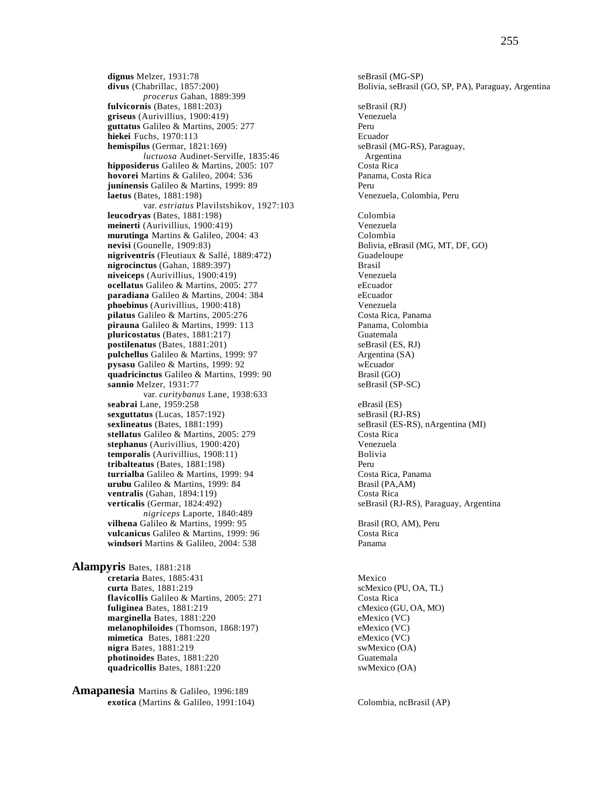**dignus** Melzer, 1931:78 seBrasil (MG-SP)<br> **divus** (Chabrillac, 1857:200) Solivia, seBrasil (MG-SP) *procerus* Gahan, 1889:399 **fulvicornis** (Bates, 1881:203)<br> **griseus** (Aurivillius, 1900:419) SeBrasil (RJ)<br> **Senezuela** griseus (Aurivillius, 1900:419) **guttatus** Galileo & Martins, 2005: 277 **hiekei** Fuchs, 1970:113<br> **hemispilus** (Germar, 1821:169) **Ecuador** SeBrasil (MG-RS), Paraguay,  $hemispilus (German, 1821:169)$ *luctuosa* Audinet-Serville, 1835:46 Argentina **hipposiderus** Galileo & Martins, 2005: 107 Costa Rica<br> **hovorei** Martins & Galileo, 2004: 536 Costa Panama, Costa Rica hovorei Martins & Galileo, 2004: 536 **juninensis** Galileo & Martins, 1999: 89 Peru **laetus** (Bates, 1881:198) Venezuela, Colombia, Peru var. *estriatus* Plavilstshikov, 1927:103 **leucodryas** (Bates, 1881:198) Colombia **meinerti** (Aurivillius, 1900:419) Venezuela **murutinga** Martins & Galileo, 2004: 43 Colombia<br> **nevisi** (Gounelle, 1909:83) Bolivia, eB **nigriventris** (Fleutiaux & Sallé, 1889:472) Guadeloupe **nigrocinctus** (Gahan, 1889:397) Brasil **niveiceps** (Aurivillius, 1900:419) Venezuela **ocellatus** Galileo & Martins, 2005: 277 eEcuador<br> **paradiana** Galileo & Martins, 2004: 384 eEcuador **paradiana** Galileo & Martins, 2004: 384 eEcuador<br> **phoebinus** (Aurivillius, 1900:418) **Example 1868** Venezuela **phoebinus** (Aurivillius, 1900:418) **pilatus** Galileo & Martins, 2005:276 Costa Rica, Panama **pirauna** Galileo & Martins, 1999: 113 Panama, Colombia **pluricostatus** (Bates, 1881:217) Guatemala **postilenatus** (Bates, 1881:201) seBrasil (ES, RJ)<br> **pulchellus** Galileo & Martins, 1999: 97 Argentina (SA) pulchellus Galileo & Martins, 1999: 97 **pysasu** Galileo & Martins, 1999: 92 wEcuador **quadricinctus** Galileo & Martins, 1999: 90 Brasil (GO) **sannio** Melzer, 1931:77 seBrasil (SP-SC) var. *curitybanus* Lane, 1938:633 **seabrai** Lane, 1959:258 eBrasil (ES)<br> **sexguttatus** (Lucas, 1857:192) eBrasil (RJ-RS) sexguttatus (Lucas, 1857:192) **sexlineatus** (Bates, 1881:199) seBrasil (ES-RS), nArgentina (MI) **stellatus** Galileo & Martins, 2005: 279 Costa Rica<br> **stephanus** (Aurivillius, 1900:420) Costa Rica **stephanus** (Aurivillius, 1900:420) Venezuela  $temporalis$  (Aurivillius,  $1908:11$ ) **tribalteatus** (Bates, 1881:198)<br> **turrialba** Galileo & Martins, 1999: 94 **Peru Costa Rica, Panama turrialba** Galileo & Martins, 1999: 94 Costa Rica, Panamanus Costa Rica, Panamanus Costa Rica, Panamanus Costa Rica, Panamanus Costa Rica, Panamanus Costa Rica, Panamanus Costa Rica, Panamanus Costa Rica, Panamanus Costa **urubu** Galileo & Martins, 1999: 84 **ventralis** (Gahan, 1894:119) Costa Rica<br>**verticalis** (Germar, 1824:492) SeBrasil (R. *nigriceps* Laporte, 1840:489 **vilhena** Galileo & Martins, 1999: 95 Brasil (RO, AM), Peru<br> **vulcanicus** Galileo & Martins, 1999: 96 Costa Rica vulcanicus Galileo & Martins, 1999: 96 **windsori** Martins & Galileo, 2004: 538

**Alampyris** Bates, 1881:218 **cretaria** Bates, 1885:431 Mexico<br> **curta** Bates, 1881:219 ScMexic **flavicollis** Galileo & Martins, 2005: 271 Costa Rica **fuliginea** Bates, 1881:219 **cMexico (GU, OA, MO) marginella** Bates, 1881:220 eMexico (VC) **melanophiloides** (Thomson, 1868:197) eMexico (VC)<br> **mimetica** Bates. 1881:220 eMexico (VC) **mimetica** Bates, 1881:220 **nigra** Bates, 1881:219 swMexico (OA) **photinoides** Bates, 1881:220 Guatemala quadricollis Bates, 1881:220 swMexico (OA)

**Amapanesia** Martins & Galileo, 1996:189 **exotica** (Martins & Galileo, 1991:104) Colombia, ncBrasil (AP)

Bolivia, seBrasil (GO, SP, PA), Paraguay, Argentina Bolivia, eBrasil (MG, MT, DF, GO)  $seBrasil (RJ-RS)$ , Paraguay, Argentina scMexico (PU, OA, TL)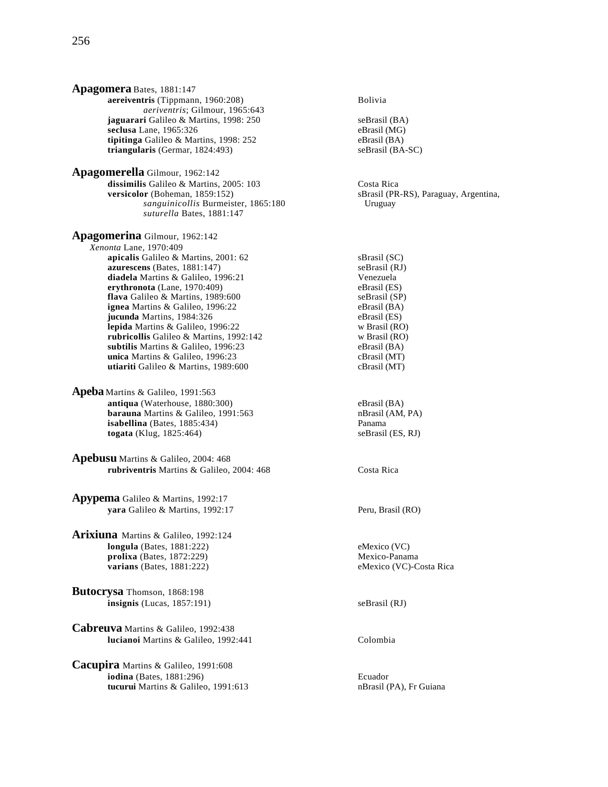**Apagomera** Bates, 1881:147 **aereiventris** (Tippmann, 1960:208) Bolivia *aeriventris*; Gilmour, 1965:643 **jaguarari** Galileo & Martins, 1998: 250 seBrasil (BA) **seclusa** Lane, 1965:326<br> **tipitinga** Galileo & Martins. 1998: 252<br>
eBrasil (BA) **tipitinga** Galileo & Martins, 1998: 252 eBrasil (BA)<br> **triangularis** (Germar, 1824:493) seBrasil (BA-SC) **triangularis** (Germar, 1824:493)

**Apagomerella** Gilmour, 1962:142 dissimilis Galileo & Martins, 2005: 103 Costa Rica **versicolor** (Boheman, 1859:152) sBrasil (PR-RS), Paraguay, Argentina, *sanguinicollis* Burmeister, 1865:180 *suturella* Bates, 1881:147

**Apagomerina** Gilmour, 1962:142 *Xenonta* Lane, 1970:409 **apicalis** Galileo & Martins, 2001: 62 sBrasil (SC) **azurescens** (Bates, 1881:147) <br> **diadela** Martins & Galileo, 1996:21 <br> **Comparent Venezuela diadela** Martins & Galileo, 1996:21 Venezuela<br> **ervthronota** (Lane. 1970:409) (Brasil (ES)  $erythonota$  (Lane,  $1970:409$ ) **flava** Galileo & Martins, 1989:600 seBrasil (SP)<br> **ignea** Martins & Galileo, 1996:22 eBrasil (BA) **ignea** Martins & Galileo, 1996:22 **jucunda** Martins, 1984:326 eBrasil (ES) **lepida** Martins & Galileo, 1996:22 w Brasil (RO)<br> **rubricollis** Galileo & Martins, 1992:142 w Brasil (RO) rubricollis Galileo & Martins, 1992:142 **subtilis** Martins & Galileo, 1996:23 eBrasil (BA) **unica** Martins & Galileo, 1996:23 cBrasil (MT) **utiariti** Galileo & Martins, 1989:600 cBrasil (MT)

- **Apeba** Martins & Galileo, 1991:563 **antiqua** (Waterhouse, 1880:300) eBrasil (BA) **barauna** Martins & Galileo, 1991:563 nBrasil (AM, PA) **isabellina** (Bates, 1885:434) **Panama**<br> **iogata** (Klug, 1825:464) **Panama** seBrasil (ES, RJ) **togata** (Klug, 1825:464)
- **Apebusu** Martins & Galileo, 2004: 468 **rubriventris** Martins & Galileo, 2004: 468 Costa Rica
- **Apypema** Galileo & Martins, 1992:17 **yara** Galileo & Martins, 1992:17 Peru, Brasil (RO)
- **Arixiuna** Martins & Galileo, 1992:124 **longula** (Bates, 1881:222) eMexico (VC) prolixa (Bates, 1872:229) Mexico-Panama **varians** (Bates, 1881:222) eMexico (VC)-Costa Rica
- **Butocrysa** Thomson, 1868:198 **insignis** (Lucas, 1857:191) seBrasil (RJ)
- **Cabreuva** Martins & Galileo, 1992:438 **lucianoi** Martins & Galileo, 1992:441 Colombia

**Cacupira** Martins & Galileo, 1991:608 **iodina** (Bates, 1881:296) Ecuador **tucurui** Martins & Galileo, 1991:613 nBrasil (PA), Fr Guiana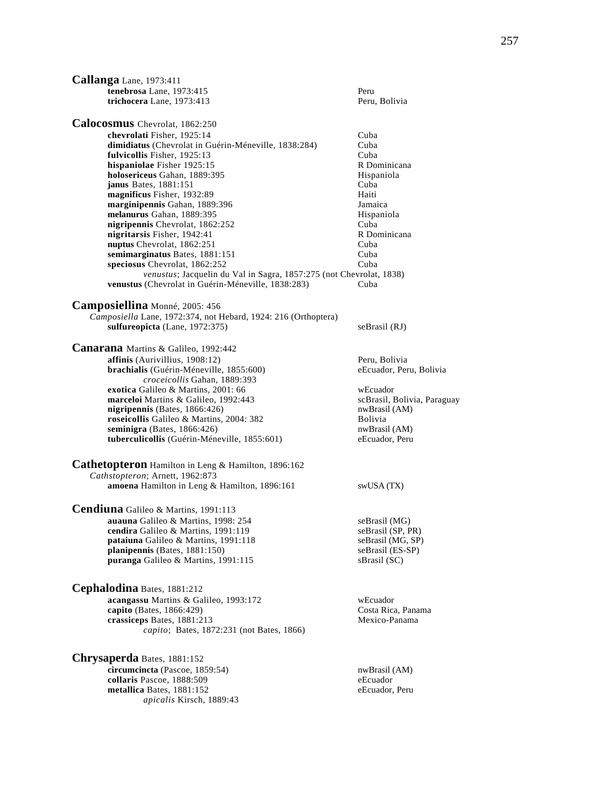**Callanga** Lane, 1973:411 **tenebrosa** Lane, 1973:415 Peru **trichocera** Lane, 1973:413 Peru, Bolivia **Calocosmus** Chevrolat, 1862:250 **chevrolati** Fisher, 1925:14 Cuba **dimidiatus** (Chevrolat in Guérin-Méneville, 1838:284) Cuba<br>**fulvicollis** Fisher, 1925:13 Cuba **fulvicollis** Fisher, 1925:13 **hispaniolae** Fisher 1925:15 R Dominicana **holosericeus** Gahan, 1889:395 **Hispaniola**<br> **ianus** Bates. 1881:151 Cuba **janus** Bates, 1881:151 **magnificus** Fisher, 1932:89 Haiti **marginipennis** Gahan, 1889:396 Jamaica **melanurus** Gahan, 1889:395 Hispaniola **nigripennis** Chevrolat, 1862:252 Cuba **nigritarsis** Fisher, 1942:41 R Dominicana<br> **nuptus** Chevrolat. 1862:251 Cuba nuptus Chevrolat, 1862:251 **semimarginatus Bates, 1881:151** Cuba **speciosus** Chevrolat, 1862:252 Cuba *venustus*; Jacquelin du Val in Sagra, 1857:275 (not Chevrolat, 1838) **venustus** (Chevrolat in Guérin-Méneville, 1838:283) Cuba **Camposiellina** Monné, 2005: 456 *Camposiella* Lane, 1972:374, not Hebard, 1924: 216 (Orthoptera) **sulfureopicta** (Lane, 1972:375) seBrasil (RJ) **Canarana** Martins & Galileo, 1992:442 **affinis** (Aurivillius, 1908:12) Peru, Bolivia **brachialis** (Guérin-Méneville, 1855:600) eEcuador, Peru, Bolivia *croceicollis* Gahan, 1889:393 **exotica** Galileo & Martins, 2001: 66 <br> **marceloi** Martins & Galileo, 1992:443 <br>
scBrasil, Bolivia, Paraguay **marceloi** Martins & Galileo, 1992:443 scBrasil, Boliv<br> **nigripennis** (Bates, 1866:426) scBrasil (AM)  $nigripennis$  (Bates,  $1866:426$ ) **roseicollis** Galileo & Martins, 2004: 382 Bolivia **seminigra** (Bates, 1866:426)<br> **tuberculicollis** (Guérin-Méneville, 1855:601) eEcuador, Peru **tuberculicollis** (Guérin-Méneville, 1855:601) **Cathetopteron** Hamilton in Leng & Hamilton, 1896:162 *Cathstopteron*; Arnett, 1962:873 **amoena** Hamilton in Leng & Hamilton, 1896:161 swUSA (TX) **Cendiuna** Galileo & Martins, 1991:113 **auauna** Galileo & Martins, 1998: 254 seBrasil (MG)<br> **cendira** Galileo & Martins, 1991:119 seBrasil (SP, PR) **cendira** Galileo & Martins, 1991:119<br> **pataiuna** Galileo & Martins, 1991:118 seBrasil (MG, SP) **pataiuna** Galileo & Martins, 1991:118 **planipennis** (Bates, 1881:150) seBrasil (ES-SP) **puranga** Galileo & Martins, 1991:115 sBrasil (SC) **Cephalodina** Bates, 1881:212 **acangassu** Martins & Galileo, 1993:172 wEcuador **capito** (Bates, 1866:429) Costa Rica, Panama<br> **crassicens** Bates. 1881:213 Costa Rica, Panama crassiceps Bates, 1881:213 *capito*; Bates, 1872:231 (not Bates, 1866) **Chrysaperda** Bates, 1881:152 **circumcincta** (Pascoe, 1859:54) nwBrasil (AM) **collaris** Pascoe, 1888:509 eEcuador **metallica** Bates, 1881:152 eEcuador, Peru *apicalis* Kirsch, 1889:43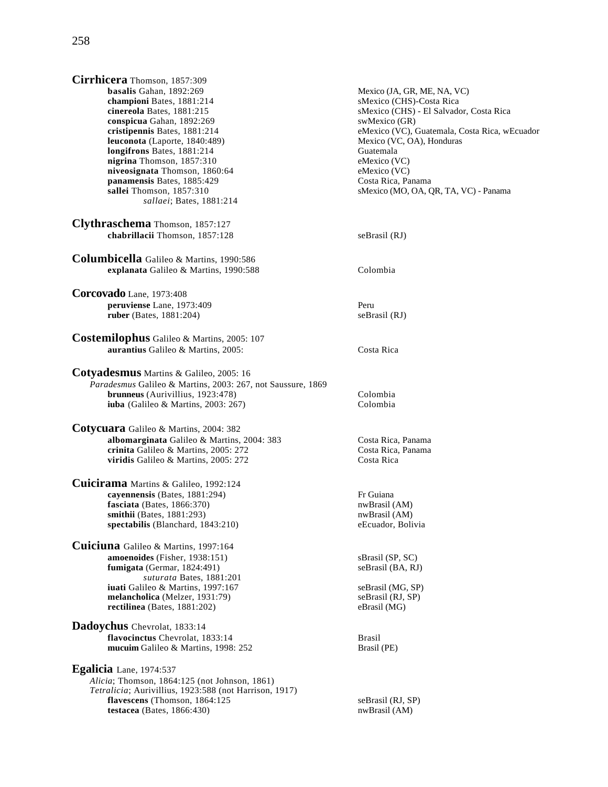**conspicua** Gahan, 1892:269 swMexico (GR)<br> **cristipennis** Bates, 1881:214 eMexico (VC), 0 **leuconota** (Laporte, 1840:489) **longifrons** Bates, 1881:214 Guatemala<br> **nigrina** Thomson, 1857:310 CMEXICO (VC)  $\textbf{nigrina}$  Thomson,  $1857:310$ **niveosignata** Thomson, 1860:64 eMexico (VC) **panamensis** Bates, 1885:429 Costa Rica, Panama **sallei** Thomson, 1857:310 sMexico (MO, OA, QR, TA, VC) - Panama *sallaei*; Bates, 1881:214 **Clythraschema** Thomson, 1857:127 **chabrillacii** Thomson, 1857:128 seBrasil (RJ) **Columbicella** Galileo & Martins, 1990:586 **explanata** Galileo & Martins, 1990:588 Colombia **Corcovado** Lane, 1973:408 **peruviense** Lane, 1973:409 Peru **ruber** (Bates, 1881:204) seBrasil (RJ) **Costemilophus** Galileo & Martins, 2005: 107 **aurantius** Galileo & Martins, 2005: Costa Rica **Cotyadesmus** Martins & Galileo, 2005: 16 *Paradesmus* Galileo & Martins, 2003: 267, not Saussure, 1869 **brunneus** (Aurivillius, 1923:478) Colombia **iuba** (Galileo & Martins, 2003: 267) Colombia **Cotycuara** Galileo & Martins, 2004: 382 **albomarginata** Galileo & Martins, 2004: 383 Costa Rica, Panama **crinita** Galileo & Martins, 2005: 272 Costa Rica, Panama<br> **viridis** Galileo & Martins. 2005: 272 Costa Rica viridis Galileo & Martins, 2005: 272 **Cuicirama** Martins & Galileo, 1992:124 **cayennensis** (Bates, 1881:294) Fr Guiana<br> **fasciata** (Bates, 1866:370) Fr Guiana<br>
nwBrasil (AM) **fasciata** (Bates, 1866:370) nwBrasil (AM) nwBrasil (AM) nwBrasil (AM) nwBrasil (AM) **smithii** (Bates, 1881:293)<br> **spectabilis** (Blanchard, 1843:210) **nwBrasil** (AM) eEcuador, Bolivia spectabilis (Blanchard, 1843:210) **Cuiciuna** Galileo & Martins, 1997:164 **amoenoides** (Fisher, 1938:151) sBrasil (SP, SC)<br> **fumigata** (Germar, 1824:491) seBrasil (BA, RJ)  $fumigata$  (Germar,  $1824:491$ ) *suturata* Bates, 1881:201 **iuati** Galileo & Martins, 1997:167 seBrasil (MG, SP) **melancholica** (Melzer, 1931:79) seBrasil (RJ, SP) **rectilinea** (Bates, 1881:202) eBrasil (MG) **Dadoychus** Chevrolat, 1833:14 **flavocinctus** Chevrolat, 1833:14 Brasil **mucuim** Galileo & Martins, 1998: 252 Brasil (PE) **Egalicia** Lane, 1974:537 *Alicia*; Thomson, 1864:125 (not Johnson, 1861) *Tetralicia*; Aurivillius, 1923:588 (not Harrison, 1917) **flavescens** (Thomson, 1864:125 seBrasil (RJ, SP)

sMexico (CHS) - El Salvador, Costa Rica eMexico (VC), Guatemala, Costa Rica, wEcuador<br>Mexico (VC, OA), Honduras

**testacea** (Bates, 1866:430) nwBrasil (AM)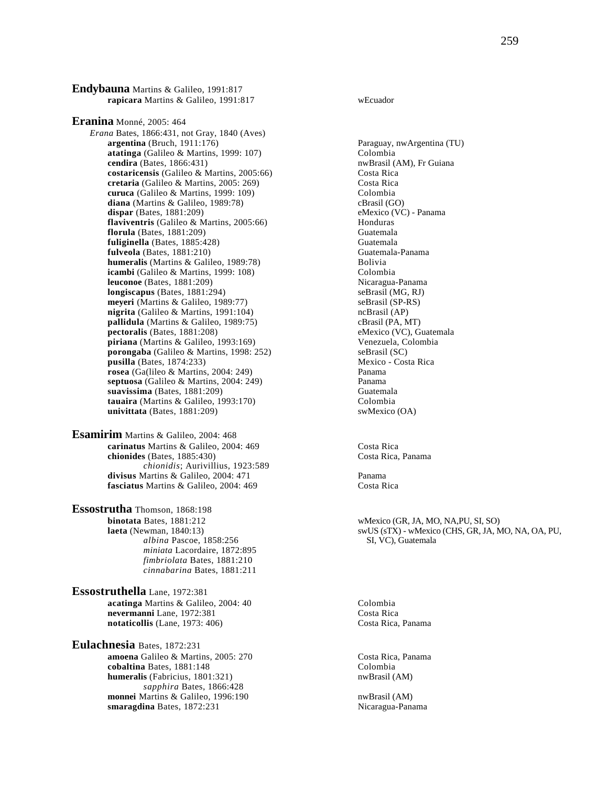**Endybauna** Martins & Galileo, 1991:817 **rapicara** Martins & Galileo, 1991:817 wEcuador

**Eranina** Monné, 2005: 464 *Erana* Bates, 1866:431, not Gray, 1840 (Aves) **argentina** (Bruch, 1911:176)<br> **atatinga** (Galileo & Martins, 1999: 107) Colombia<br>
Colombia atatinga (Galileo & Martins, 1999: 107) **cendira** (Bates, 1866:431) **nwBrasil (AM), Fr Guiana costaricensis** (Galileo & Martins, 2005:66) Costa Rica **cretaria** (Galileo & Martins, 2005: 269) Costa Rica **curuca** (Galileo & Martins, 1999: 109) Colombia<br> **diana** (Martins & Galileo, 1989:78) Colombia<br>
cBrasil (GO) **diana** (Martins & Galileo, 1989:78)<br> **dispar** (Bates, 1881:209) cBrasil (GO)<br>
eMexico (VC) - Panama  $dispar$  (Bates,  $1881:209$ ) **flaviventris** (Galileo & Martins, 2005:66) Honduras **florula** (Bates, 1881:209) **Guatemala**<br> **fuliginella** (Bates, 1885:428) **Guatemala fuliginella** (Bates, 1885:428) **fulveola** (Bates, 1881:210)<br> **humeralis** (Martins & Galileo, 1989:78) **Guatemala-Panama**<br>
Bolivia **humeralis** (Martins & Galileo, 1989:78) **icambi** (Galileo & Martins, 1999: 108) Colombia **leuconoe** (Bates, 1881:209)<br> **longiscapus** (Bates, 1881:294) SeBrasil (MG, RJ)  $longiscapus$  (Bates,  $1881:294$ ) **meyeri** (Martins & Galileo, 1989:77) seBrasil (SP-RS) **nigrita** (Galileo & Martins, 1991:104) ncBrasil (AP) **pallidula** (Martins & Galileo, 1989:75) cBrasil (PA, MT) **pectoralis** (Bates, 1881:208)<br> **piriana** (Martins & Galileo, 1993:169) **eMexico (VC)**, Guatemala<br>
Venezuela, Colombia **piriana** (Martins & Galileo, 1993:169)<br> **porongaba** (Galileo & Martins, 1998: 252) SeBrasil (SC) **porongaba** (Galileo & Martins, 1998: 252) **pusilla** (Bates, 1874:233) Mexico - Costa Rica **rosea** (Ga(lileo & Martins, 2004: 249) Panama<br> **rosea** (Galileo & Martins, 2004: 249) Panama septuosa (Galileo & Martins, 2004: 249) **suavissima** (Bates, 1881:209) Guatemala **tauaira** (Martins & Galileo, 1993:170) Colombia **univittata** (Bates, 1881:209) swMexico (OA)

**Esamirim** Martins & Galileo, 2004: 468 **carinatus** Martins & Galileo, 2004: 469 Costa Rica **chionides** (Bates, 1885:430) Costa Rica, Panama *chionidis*; Aurivillius, 1923:589 **divisus** Martins & Galileo, 2004: 471 **Panama**<br> **divisus** Martins & Galileo, 2004: 469 **Panama**<br>
Costa Rica fasciatus Martins & Galileo, 2004: 469

**Essostrutha** Thomson, 1868:198 **binotata** Bates, 1881:212 wMexico (GR, JA, MO, NA,PU, SI, SO)<br> **laeta** (Newman, 1840:13) wWESS (STX) - wMexico (CHS, GR, JA, N *albina* Pascoe, 1858:256 *miniata* Lacordaire, 1872:895 *fimbriolata* Bates, 1881:210 *cinnabarina* Bates, 1881:211

**Essostruthella** Lane, 1972:381 **acatinga** Martins & Galileo, 2004: 40 Colombia **nevermanni** Lane, 1972:381<br> **notaticollis** (Lane, 1973: 406) Costa Rica, Panama notaticollis (Lane, 1973: 406)

**Eulachnesia** Bates, 1872:231 **amoena** Galileo & Martins, 2005: 270 Costa Rica, Panama **cobaltina** Bates, 1881:148 Colombia<br> **colombia**<br> **humeralis** (Fabricius, 1801:321) **colombia**<br> **humeralis** (AM) **humeralis** (Fabricius, 1801:321) *sapphira* Bates, 1866:428 **monnei** Martins & Galileo, 1996:190 **nwBrasil** (AM) **smaragdina** Bates, 1872:231 Nicaragua-Panama

**lackarry (STX)** - wMexico (CHS, GR, JA, MO, NA, OA, PU, SI, VC), Guatemala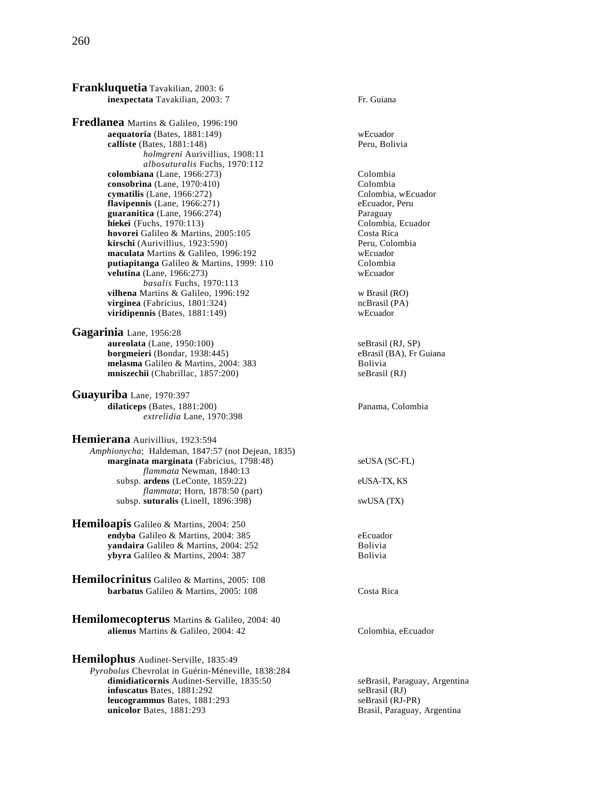**Frankluquetia** Tavakilian, 2003: 6 **inexpectata** Tavakilian, 2003: 7 Fr. Guiana **Fredlanea** Martins & Galileo, 1996:190 **aequatoria** (Bates, 1881:149) wEcuador **calliste** (Bates, 1881:148) Peru, Bolivia *holmgreni* Aurivillius, 1908:11 *albosuturalis* Fuchs, 1970:112 **colombiana** (Lane, 1966:273) Colombia **consobrina** (Lane, 1970:410) Colombia **cymatilis** (Lane, 1966:272)<br> **colombia, wEcuador flavipennis** (Lane, 1966:271) Colombia, eEcuador, Peru **flavipennis**  $(Lane, 1966:271)$ **guaranitica** (Lane, 1966:274) **Paraguay** Paraguay Paraguay Paraguay Paraguay Paraguay Paraguay Paraguay Paraguay **hiekei** (Fuchs, 1970:113) **hovorei** Galileo & Martins, 2005:105 Costa Rica **kirschi** (Aurivillius, 1923:590)<br> **maculata** Martins & Galileo. 1996:192<br>
Wecuador **maculata** Martins & Galileo, 1996:192 webcuador<br> **putiapitanga** Galileo & Martins, 1999: 110 Colombia putiapitanga Galileo & Martins, 1999: 110 **velutina** (Lane, 1966:273) wEcuador *basalis* Fuchs, 1970:113 **vilhena** Martins & Galileo, 1996:192 w Brasil (RO) **virginea** (Fabricius, 1801:324) **ncBrasil (PA)** ncBrasil (PA) **ncBrasil** (PA) **viridipennis** (Bates, 1881:149) viridipennis (Bates, 1881:149) **Gagarinia** Lane, 1956:28 **aureolata** (Lane, 1950:100) seBrasil (RJ, SP) **borgmeieri** (Bondar, 1938:445) eBrasil (BA), Fr Guiana **melasma** Galileo & Martins, 2004: 383 Bolivia<br> **mniszechii** (Chabrillac, 1857:200) seBrasil (RJ) **mniszechii** (Chabrillac, 1857:200) **Guayuriba** Lane, 1970:397 **dilaticeps** (Bates, 1881:200) Panama, Colombia *extrelidia* Lane, 1970:398 **Hemierana** Aurivillius, 1923:594 *Amphionycha*; Haldeman, 1847:57 (not Dejean, 1835) **marginata marginata** (Fabricius, 1798:48) seUSA (SC-FL) *flammata* Newman, 1840:13 subsp. **ardens** (LeConte, 1859:22) eUSA-TX, KS *flammata*; Horn, 1878:50 (part) subsp. **suturalis** (Linell, 1896:398) swUSA (TX) **Hemiloapis** Galileo & Martins, 2004: 250 **endyba** Galileo & Martins, 2004: 385 eEcuador<br> **vandaira** Galileo & Martins, 2004: 252 **eEcuador**<br>
Bolivia yandaira Galileo & Martins, 2004: 252 **ybyra** Galileo & Martins, 2004: 387 **Hemilocrinitus** Galileo & Martins, 2005: 108 **barbatus** Galileo & Martins, 2005: 108 Costa Rica **Hemilomecopterus** Martins & Galileo, 2004: 40 **alienus** Martins & Galileo, 2004: 42 Colombia, eEcuador **Hemilophus** Audinet-Serville, 1835:49 *Pyrobolus* Chevrolat in Guérin-Méneville, 1838:284 **dimidiaticornis** Audinet-Serville, 1835:50 seBrasil, Paraguay, Argentina **infuscatus** Bates, 1881:292 **seBrasil (RJ)**<br> **leucogrammus** Bates, 1881:293 seBrasil (RJ-PR)

**leucogrammus Bates, 1881:293** 

**unicolor** Bates, 1881:293 **Brasil, Paraguay, Argentina**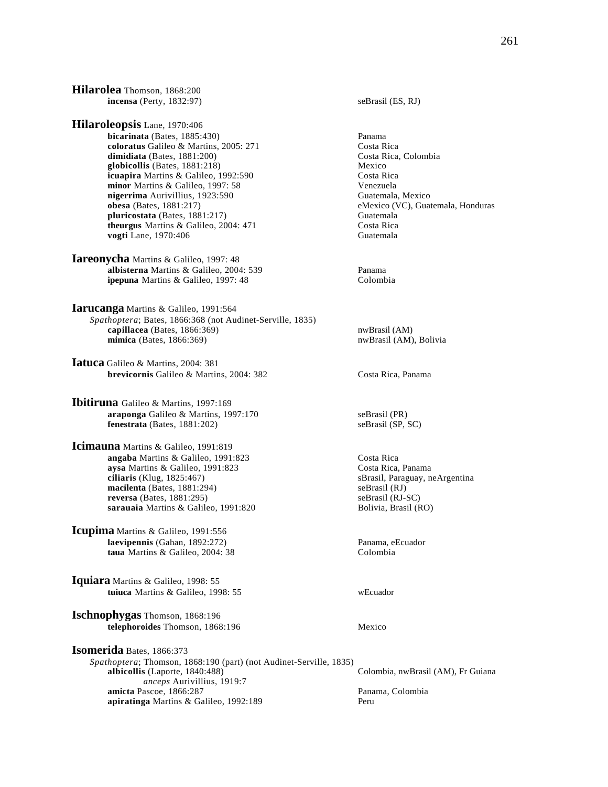**Hilarolea** Thomson, 1868:200 **incensa** (Perty, 1832:97) seBrasil (ES, RJ) **Hilaroleopsis** Lane, 1970:406 **bicarinata** (Bates, 1885:430) Panama **coloratus** Galileo & Martins, 2005: 271 Costa Rica<br> **dimidiata** (Bates, 1881:200) Costa Rica, Colombia  $dimidiata$  (Bates,  $1881:200$ )

**globicollis** (Bates, 1881:218)<br> **icuapira** Martins & Galileo, 1992:590 **Mexico** Costa Rica **icuapira** Martins & Galileo, 1992:590 **minor** Martins & Galileo, 1997: 58 Venezuela **nigerrima** Aurivillius, 1923:590 Guatemala, Mexico **obesa** (Bates, 1881:217) Guatemala, Mexico eMexico (VC), Guat **pluricostata** (Bates, 1881:217) Guatemala **theurgus** Martins & Galileo, 2004: 471 Costa Rica **vogti** Lane, 1970:406 Guatemala

**Iareonycha** Martins & Galileo, 1997: 48 **albisterna** Martins & Galileo, 2004: 539 Panama **ipepuna** Martins & Galileo, 1997: 48 Colombia

**Iarucanga** Martins & Galileo, 1991:564 *Spathoptera*; Bates, 1866:368 (not Audinet-Serville, 1835) **capillacea** (Bates, 1866:369) nwBrasil (AM) **mimica** (Bates, 1866:369) nwBrasil (AM), Bolivia

**Iatuca** Galileo & Martins, 2004: 381 **brevicornis** Galileo & Martins, 2004: 382 Costa Rica, Panama

**Ibitiruna** Galileo & Martins, 1997:169 **araponga** Galileo & Martins, 1997:170 seBrasil (PR) **fenestrata** (Bates, 1881:202) seBrasil (SP, SC)

**Icimauna** Martins & Galileo, 1991:819 **angaba** Martins & Galileo, 1991:823<br> **aysa** Martins & Galileo, 1991:823<br>
Costa Rica, Panama aysa Martins & Galileo, 1991:823<br>ciliaris (Klug, 1825:467) **macilenta** (Bates, 1881:294) seBrasil (RJ) **reversa** (Bates, 1881:295)<br> **reversa** (RJ-SC)<br> **reversa** (RJ-SC)<br> **reversa** (RJ-SC)<br> **reversa** (RJ-SC)<br> **reversa** (RJ-SC)<br> **reversal (RJ-SC)** sarauaia Martins & Galileo, 1991:820

**Icupima** Martins & Galileo, 1991:556 **laevipennis** (Gahan, 1892:272) Panama, eEcuador<br> **taua** Martins & Galileo. 2004: 38 Colombia taua Martins & Galileo, 2004: 38

**Iquiara** Martins & Galileo, 1998: 55 **tuiuca** Martins & Galileo, 1998: 55 wEcuador

**Ischnophygas** Thomson, 1868:196 **telephoroides** Thomson, 1868:196 Mexico

**Isomerida** Bates, 1866:373 *Spathoptera*; Thomson, 1868:190 (part) (not Audinet-Serville, 1835) *anceps* Aurivillius, 1919:7 **amicta** Pascoe, 1866:287 Panama, Colombia **apiratinga** Martins & Galileo, 1992:189

eMexico (VC), Guatemala, Honduras

sBrasil, Paraguay, neArgentina

Colombia, nwBrasil (AM), Fr Guiana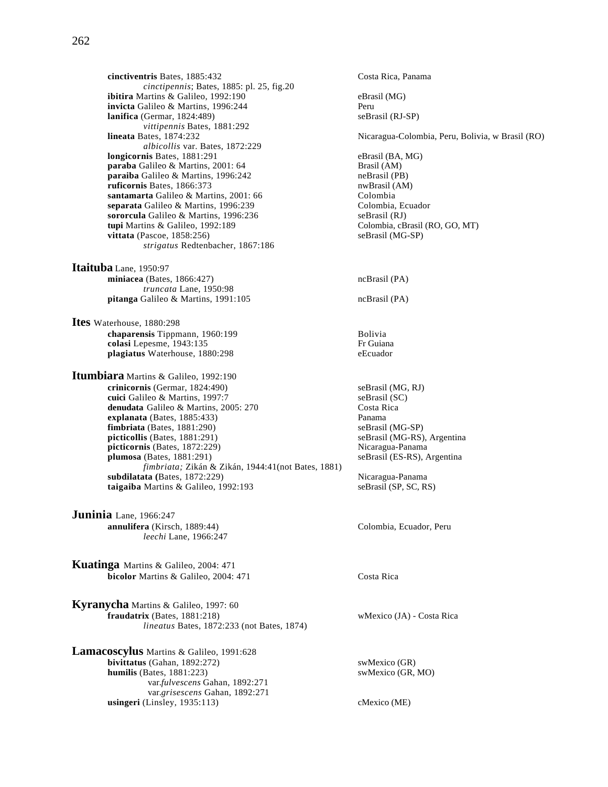**cinctiventris** Bates, 1885:432 Costa Rica, Panama *cinctipennis*; Bates, 1885: pl. 25, fig.20 **ibitira** Martins & Galileo, 1992:190 eBrasil (MG) **invicta** Galileo & Martins, 1996:244 Peru<br> **lanifica** (Germar, 1824:489) SeBrasil (RJ-SP) **lanifica** (Germar, 1824:489) *vittipennis* Bates, 1881:292 *albicollis* var. Bates, 1872:229 **longicornis** Bates, 1881:291 eBrasil (BA, MG) **paraba** Galileo & Martins, 2001: 64 Brasil (AM)<br> **paraiba** Galileo & Martins, 1996:242 **Brasil (PB)** neBrasil (PB) paraiba Galileo & Martins, 1996:242 **ruficornis** Bates, 1866:373 nwBrasil (AM) **santamarta** Galileo & Martins, 2001: 66 Colombia<br> **separata** Galileo & Martins, 1996:239 Colombia. Ecuador **separata Galileo & Martins, 1996:239** Colombia, Ecuador Colombia, Ecuador e Separatil (RJ) sororcula Galileo & Martins, 1996:236 **tupi** Martins & Galileo, 1992:189 Colombia, cBrasil (RO, GO, MT) vittata (Pascoe, 1858:256) seBrasil (MG-SP)  $vittata$  (Pascoe,  $1858:256$ ) *strigatus* Redtenbacher, 1867:186

**Itaituba** Lane, 1950:97 **miniacea** (Bates, 1866:427) ncBrasil (PA) *truncata* Lane, 1950:98 **pitanga** Galileo & Martins, 1991:105 ncBrasil (PA)

**Ites** Waterhouse, 1880:298 **chaparensis** Tippmann, 1960:199<br> **colasi** Lenesme. 1943:135<br>
Fr Guiana colasi Lepesme, 1943:135 **plagiatus** Waterhouse, 1880:298 eEcuador

**Itumbiara** Martins & Galileo, 1992:190 **crinicornis** (Germar, 1824:490) seBrasil (MG, RJ) **cuici** Galileo & Martins, 1997:7 seBrasil (SC) denudata Galileo & Martins, 2005: 270 Costa Rica **explanata** (Bates, 1885:433) Panama **fimbriata** (Bates, 1881:290) seBrasil (MG-SP) **picticollis** (Bates, 1881:291) seBrasil (MG-RS), Argentina<br> **picticornis** (Bates, 1872:229) SeBrasil (MG-RS), Argentina  $picticornis$  (Bates,  $1872:229$ )<br>**plumosa** (Bates,  $1881:291$ ) *fimbriata;* Zikán & Zikán, 1944:41(not Bates, 1881) **subdilatata** (Bates, 1872:229)<br> **taigaiba** Martins & Galileo, 1992:193 seBrasil (SP, SC, RS) taigaiba Martins & Galileo, 1992:193

**Juninia** Lane, 1966:247 **annulifera** (Kirsch, 1889:44) Colombia, Ecuador, Peru *leechi* Lane, 1966:247

**Kuatinga** Martins & Galileo, 2004: 471 **bicolor** Martins & Galileo, 2004: 471 Costa Rica

**Kyranycha** Martins & Galileo, 1997: 60 **fraudatrix** (Bates, 1881:218) wMexico (JA) - Costa Rica *lineatus* Bates, 1872:233 (not Bates, 1874)

**Lamacoscylus** Martins & Galileo, 1991:628 **bivittatus** (Gahan, 1892:272) swMexico (GR) **humilis** (Bates, 1881:223) swMexico (GR, MO) var.*fulvescens* Gahan, 1892:271 var.*grisescens* Gahan, 1892:271 **usingeri** (Linsley, 1935:113) **cMexico (ME)** 

**lineata** Bates, 1874:232 Nicaragua-Colombia, Peru, Bolivia, w Brasil (RO) seBrasil (ES-RS), Argentina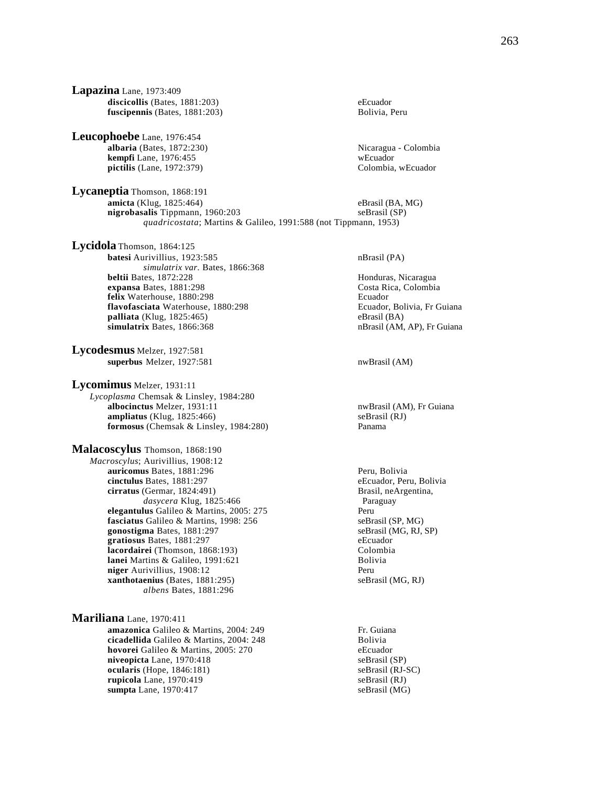**Lapazina** Lane, 1973:409 discicollis (Bates, 1881:203) eEcuador **fuscipennis** (Bates, 1881:203) Bolivia, Peru

**Leucophoebe** Lane, 1976:454 **albaria** (Bates, 1872:230) Nicaragua - Colombia **kempfi** Lane, 1976:455 **pictilis** (Lane, 1972:379) Colombia, wEcuador

**Lycaneptia** Thomson, 1868:191 **amicta** (Klug, 1825:464) eBrasil (BA, MG) eBrasil (BA, MG) eBrasil (SP) nigrobasalis Tippmann, 1960:203 *quadricostata*; Martins & Galileo, 1991:588 (not Tippmann, 1953)

**Lycidola** Thomson, 1864:125 **batesi** Aurivillius, 1923:585 nBrasil (PA) *simulatrix var.* Bates, 1866:368<br>**beltii** Bates, 1872:228 **expansa** Bates, 1881:298 **felix** Waterhouse, 1880:298<br> **flavofasciata** Waterhouse, 1880:298 **Ecuador** Ecuador, Bolivia, Fr Guiana flavofasciata Waterhouse, 1880:298 **palliata** (Klug, 1825:465) eBrasil (BA) **simulatrix** Bates, 1866:368 **nBrasil (AM, AP)**, Fr Guiana

**Lycodesmus** Melzer, 1927:581 **superbus** Melzer, 1927:581 nwBrasil (AM)

**Lycomimus** Melzer, 1931:11 *Lycoplasma* Chemsak & Linsley, 1984:280

**albocinctus** Melzer, 1931:11 nwBrasil (AM), Fr Guiana **ampliatus** (Klug, 1825:466)<br> **formosus** (Chemsak & Linsley, 1984:280)<br> **Panama formosus** (Chemsak & Linsley, 1984:280)

**Malacoscylus** Thomson, 1868:190 *Macroscylus*; Aurivillius, 1908:12 **auricomus** Bates, 1881:296 **Peru, Bolivia**<br> **cinctulus** Bates, 1881:297 **Peru, Bolivia**<br> **eEcuador, Peru, Bolivia** cinctulus Bates, 1881:297 **cirratus** (Germar, 1824:491) Brasil, neArgentina, *dasycera* Klug, 1825:466 Paraguay **elegantulus** Galileo & Martins, 2005: 275 Peru **fasciatus** Galileo & Martins, 1998: 256 seBrasil (SP, MG)<br> **gonostigma** Bates, 1881:297 seBrasil (MG, RJ, SP) **gonostigma** Bates, 1881:297 seBrasil (Magnus 1881:297 seBrasil (Magnus 1881:297 seBrasil (Magnus 1881:297 seBrasil (Magnus 1891:297 seBrasil (Magnus 1891:297 seBrasil (Magnus 1891:297 seBrasil (Magnus 1891:297 seBrasil (M **gratiosus** Bates, 1881:297 **lacordairei** (Thomson, 1868:193) Colombia **lanei** Martins & Galileo, 1991:621<br> **niger** Aurivillius. 1908:12 **niger** Aurivillius, 1908:12 **xanthotaenius** (Bates, 1881:295) seBrasil (MG, RJ) *albens* Bates, 1881:296

**Mariliana** Lane, 1970:411 **amazonica** Galileo & Martins, 2004: 249 Fr. Guiana **cicadellida** Galileo & Martins, 2004: 248 Bolivia **hovorei** Galileo & Martins, 2005: 270 eEcuador **niveopicta** Lane, 1970:418 seBrasil (SP) **ocularis** (Hope, 1846:181) seBrasil (RJ-SC) **rupicola** Lane, 1970:419 seBrasil (RJ) **sumpta** Lane, 1970:417 seBrasil (MG)

Honduras, Nicaragua<br>Costa Rica, Colombia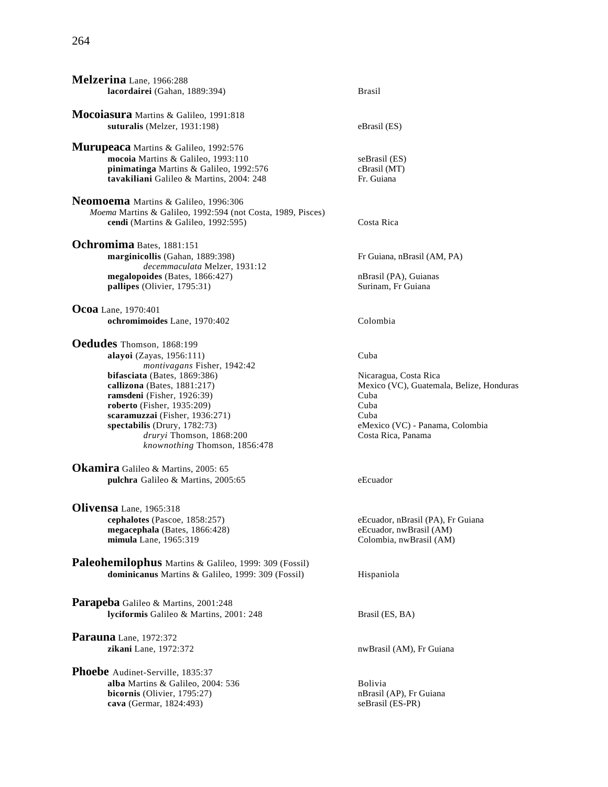# 264

| Melzerina Lane, 1966:288<br>lacordairei (Gahan, 1889:394)                                                                                                                                                                                                                                                                                            | <b>Brasil</b>                                                                                                                                              |
|------------------------------------------------------------------------------------------------------------------------------------------------------------------------------------------------------------------------------------------------------------------------------------------------------------------------------------------------------|------------------------------------------------------------------------------------------------------------------------------------------------------------|
| Mocoiasura Martins & Galileo, 1991:818<br>suturalis (Melzer, 1931:198)                                                                                                                                                                                                                                                                               | eBrasil (ES)                                                                                                                                               |
| Murupeaca Martins & Galileo, 1992:576<br>mocoia Martins & Galileo, 1993:110<br>pinimatinga Martins & Galileo, 1992:576<br>tavakiliani Galileo & Martins, 2004: 248                                                                                                                                                                                   | seBrasil (ES)<br>cBrasil (MT)<br>Fr. Guiana                                                                                                                |
| Neomoema Martins & Galileo, 1996:306<br>Moema Martins & Galileo, 1992:594 (not Costa, 1989, Pisces)<br>cendi (Martins & Galileo, 1992:595)                                                                                                                                                                                                           | Costa Rica                                                                                                                                                 |
| Ochromima Bates, 1881:151<br>marginicollis (Gahan, 1889:398)<br>decemmaculata Melzer, 1931:12                                                                                                                                                                                                                                                        | Fr Guiana, nBrasil (AM, PA)                                                                                                                                |
| megalopoides (Bates, 1866:427)<br>pallipes (Olivier, 1795:31)                                                                                                                                                                                                                                                                                        | nBrasil (PA), Guianas<br>Surinam, Fr Guiana                                                                                                                |
| <b>Ocoa</b> Lane, 1970:401<br>ochromimoides Lane, 1970:402                                                                                                                                                                                                                                                                                           | Colombia                                                                                                                                                   |
| Oedudes Thomson, 1868:199<br>alayoi (Zayas, 1956:111)<br>montivagans Fisher, 1942:42<br>bifasciata (Bates, $1869:386$ )<br>callizona (Bates, 1881:217)<br>ramsdeni (Fisher, 1926:39)<br>roberto (Fisher, $1935:209$ )<br>scaramuzzai (Fisher, 1936:271)<br>spectabilis (Drury, 1782:73)<br>druryi Thomson, 1868:200<br>knownothing Thomson, 1856:478 | Cuba<br>Nicaragua, Costa Rica<br>Mexico (VC), Guatemala, Belize, Honduras<br>Cuba<br>Cuba<br>Cuba<br>eMexico (VC) - Panama, Colombia<br>Costa Rica, Panama |
| Okamira Galileo & Martins, 2005: 65<br>pulchra Galileo & Martins, 2005:65                                                                                                                                                                                                                                                                            | eEcuador                                                                                                                                                   |
| Olivensa Lane, 1965:318<br>cephalotes (Pascoe, 1858:257)<br>megacephala (Bates, 1866:428)<br>mimula Lane, 1965:319                                                                                                                                                                                                                                   | eEcuador, nBrasil (PA), Fr Guiana<br>eEcuador, nwBrasil (AM)<br>Colombia, nwBrasil (AM)                                                                    |
| Paleohemilophus Martins & Galileo, 1999: 309 (Fossil)<br>dominicanus Martins & Galileo, 1999: 309 (Fossil)                                                                                                                                                                                                                                           | Hispaniola                                                                                                                                                 |
| Parapeba Galileo & Martins, 2001:248<br>lyciformis Galileo & Martins, 2001: 248                                                                                                                                                                                                                                                                      | Brasil (ES, BA)                                                                                                                                            |
| Parauna Lane, 1972:372<br>zikani Lane, 1972:372                                                                                                                                                                                                                                                                                                      | nwBrasil (AM), Fr Guiana                                                                                                                                   |
| Phoebe Audinet-Serville, 1835:37<br>alba Martins & Galileo, 2004: 536<br>bicornis (Olivier, 1795:27)                                                                                                                                                                                                                                                 | Bolivia<br>nBrasil (AP), Fr Guiana                                                                                                                         |

**cava** (Germar, 1824:493) seBrasil (ES-PR)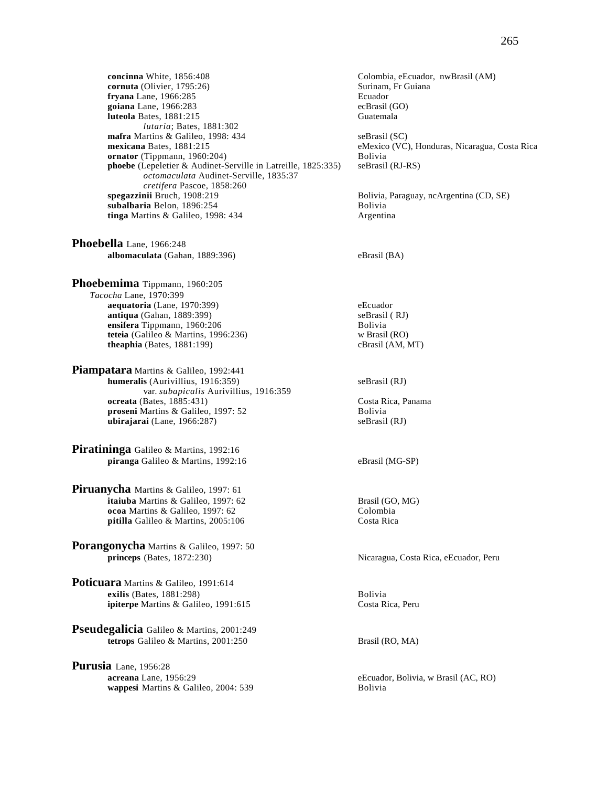**concinna** White, 1856:408 Colombia, eEcuador, nwBrasil (AM) Cornuta (Olivier, 1795:26) Colombia, eTuador, nwBrasil (AM)  $cornuta$  (Olivier,  $1795:26$ ) **fryana** Lane, 1966:285 Ecuador **goiana** Lane, 1966:283 ecBrasil (GO)<br> **luteola** Bates. 1881:215 ecBrasil (GO) **luteola** Bates, 1881:215 *lutaria*; Bates, 1881:302 **mafra** Martins & Galileo, 1998: 434 seBrasil (SC)<br> **mexicana** Bates, 1881:215 eMexico (VC **ornator** (Tippmann, 1960:204) Bolivia **phoebe** (Lepeletier & Audinet-Serville in Latreille, 1825:335) seBrasil (RJ-RS) *octomaculata* Audinet-Serville, 1835:37 *cretifera* Pascoe, 1858:260 **subalbaria** Belon, 1896:254<br> **tinga** Martins & Galileo, 1998: 434<br> **Argentina**  $tinga$  Martins  $\&$  Galileo, 1998: 434

**Phoebella** Lane, 1966:248 **albomaculata** (Gahan, 1889:396) eBrasil (BA)

**Phoebemima** Tippmann, 1960:205 *Tacocha* Lane, 1970:399 **aequatoria** (Lane, 1970:399) eEcuador<br> **antiqua** (Gahan, 1889:399) eEcuador<br>
seBrasil (RJ)  $\arctan(Gahan, 1889:399)$ **ensifera** Tippmann, 1960:206 Bolivia **teteia** (Galileo & Martins, 1996:236) w Brasil (RO) **theaphia** (Bates, 1881:199) cBrasil (AM, MT)

**Piampatara** Martins & Galileo, 1992:441 **humeralis** (Aurivillius, 1916:359) seBrasil (RJ) var. *subapicalis* Aurivillius, 1916:359 **ocreata** (Bates, 1885:431) Costa Rica, Panama **proseni** Martins & Galileo, 1997: 52 Bolivia **ubirajarai** (Lane, 1966:287) seBrasil (RJ)

**Piratininga** Galileo & Martins, 1992:16 **piranga** Galileo & Martins, 1992:16 eBrasil (MG-SP)

**Piruanycha** Martins & Galileo, 1997: 61 **itaiuba** Martins & Galileo, 1997: 62 **Brasil (GO, MG)**<br> **ocoa** Martins & Galileo, 1997: 62 **Colombia** ocoa Martins & Galileo, 1997: 62 pitilla Galileo & Martins, 2005:106 Costa Rica

**Porangonycha** Martins & Galileo, 1997: 50<br>princeps (Bates, 1872:230)

**Poticuara** Martins & Galileo, 1991:614 **exilis** (Bates, 1881:298) Bolivia **ipiterpe** Martins & Galileo, 1991:615 Costa Rica, Peru

**Pseudegalicia** Galileo & Martins, 2001:249 **tetrops** Galileo & Martins, 2001:250 Brasil (RO, MA)

**Purusia** Lane, 1956:28<br>**acreana** Lane, 1956:29 **wappesi** Martins & Galileo, 2004: 539 Bolivia

eMexico (VC), Honduras, Nicaragua, Costa Rica

Bolivia, Paraguay, ncArgentina (CD, SE)

Nicaragua, Costa Rica, eEcuador, Peru

eEcuador, Bolivia, w Brasil (AC, RO)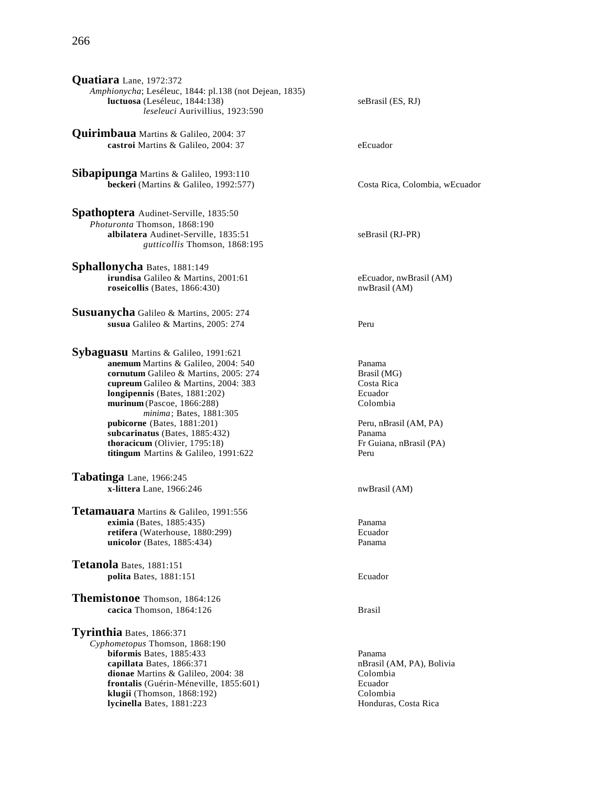**Quirimbaua** Martins & Galileo, 2004: 37 **castroi** Martins & Galileo, 2004: 37 eEcuador

**Sibapipunga** Martins & Galileo, 1993:110 **beckeri** (Martins & Galileo, 1992:577) Costa Rica, Colombia, wEcuador

**Spathoptera** Audinet-Serville, 1835:50 *Photuronta* Thomson, 1868:190 **albilatera** Audinet-Serville, 1835:51 seBrasil (RJ-PR) *gutticollis* Thomson, 1868:195

**Sphallonycha** Bates, 1881:149 **irundisa** Galileo & Martins, 2001:61 eEcuador, nwBrasil (AM) **roseicollis** (Bates, 1866:430) nwBrasil (AM)

**Susuanycha** Galileo & Martins, 2005: 274 **susua** Galileo & Martins, 2005: 274 Peru

**Sybaguasu** Martins & Galileo, 1991:621 **anemum** Martins & Galileo, 2004: 540 **Panama**<br> **cornutum** Galileo & Martins, 2005: 274 **Panama**<br>
Brasil (MG) **cornutum** Galileo & Martins, 2005: 274 **cupreum** Galileo & Martins, 2004: 383 Costa Rica<br> **longipennis** (Bates, 1881:202) Costa Rica **longipennis** (Bates, 1881:202)<br> **nurinum** (Pascoe, 1866:288) Colombia **murinum** (Pascoe, 1866:288) *minima*; Bates, 1881:305 **pubicorne** (Bates, 1881:201) Peru, nBrasil (AM, PA) **subcarinatus** (Bates, 1885:432) Panama **thoracicum** (Olivier, 1795:18) Fr Guiana, nBrasil (PA) **titingum** Martins & Galileo, 1991:622 Peru

**Tabatinga** Lane, 1966:245 **x-littera** Lane, 1966:246 nwBrasil (AM)

**Tetamauara** Martins & Galileo, 1991:556 **eximia** (Bates, 1885:435) Panama **retifera** (Waterhouse, 1880:299) Ecuador **unicolor** (Bates, 1885:434) Panama

**Tetanola** Bates, 1881:151 **polita** Bates, 1881:151 Ecuador

**Themistonoe** Thomson, 1864:126 **cacica** Thomson, 1864:126 Brasil

**Tyrinthia** Bates, 1866:371 *Cyphometopus* Thomson, 1868:190 **biformis** Bates, 1885:433 Panama **capillata** Bates, 1866:371 nBrasil (AM, PA), Bolivia **dionae** Martins & Galileo, 2004: 38 Colombia **frontalis** (Guérin-Méneville, 1855:601) Ecuador **klugii** (Thomson, 1868:192) Colombia **lycinella** Bates, 1881:223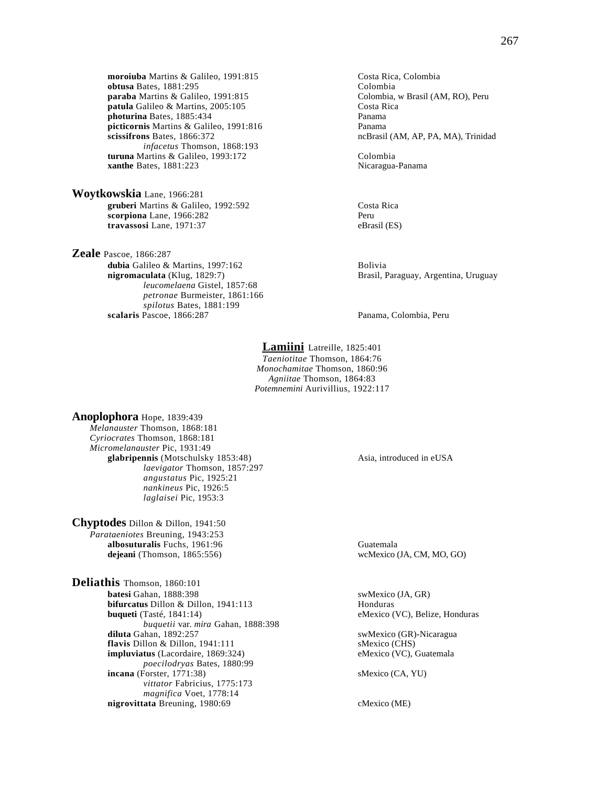**moroiuba** Martins & Galileo, 1991:815 Costa Rica, Colombia<br> **obtusa** Bates, 1881:295 Colombia **obtusa** Bates, 1881:295 **paraba** Martins & Galileo, 1991:815 Colombia, w Brasil (AM, RO), Peru **patula** Galileo & Martins, 2005:105 **Costa Rica**<br> **photurina** Bates. 1885:434 **Panama photurina** Bates, 1885:434<br> **picticornis** Martins & Galileo. 1991:816<br>
Panama picticornis Martins & Galileo, 1991:816 **scissifrons** Bates, 1866:372 ncBrasil (AM, AP, PA, MA), Trinidad *infacetus* Thomson, 1868:193 **turuna** Martins & Galileo, 1993:172 Colombia **xanthe Bates, 1881:223 Nicaragua-Panama** 

**Woytkowskia** Lane, 1966:281 **gruberi** Martins & Galileo, 1992:592 Costa Rica<br> **Scorpiona** Lane. 1966:282 **scorpiona** Lane, 1966:282 **travassosi** Lane, 1971:37 eBrasil (ES)

**Zeale** Pascoe, 1866:287 **dubia** Galileo & Martins, 1997:162 **nigromaculata** (Klug, 1829:7) Brasil, Paraguay, Argentina, Uruguay *leucomelaena* Gistel, 1857:68 *petronae* Burmeister, 1861:166 *spilotus* Bates, 1881:199 **scalaris** Pascoe, 1866:287 Panama, Colombia, Peru

#### **Lamiini** Latreille, 1825:401 *Taeniotitae* Thomson, 1864:76 *Monochamitae* Thomson, 1860:96

*Agniitae* Thomson, 1864:83 *Potemnemini* Aurivillius, 1922:117

**Anoplophora** Hope, 1839:439 *Melanauster* Thomson, 1868:181 *Cyriocrates* Thomson, 1868:181 *Micromelanauster* Pic, 1931:49 glabripennis (Motschulsky 1853:48) Asia, introduced in eUSA *laevigator* Thomson, 1857:297 *angustatus* Pic, 1925:21 *nankineus* Pic, 1926:5 *laglaisei* Pic, 1953:3

**Chyptodes** Dillon & Dillon, 1941:50 *Parataeniotes* Breuning, 1943:253 **albosuturalis** Fuchs, 1961:96 Guatemala **dejeani** (Thomson, 1865:556) wcMexico (JA, CM, MO, GO)

**Deliathis** Thomson, 1860:101 **batesi** Gahan, 1888:398 swMexico (JA, GR) **bifurcatus** Dillon & Dillon, 1941:113 Honduras<br> **buqueti** (Tasté, 1841:14) eMexico ( *buquetii* var. *mira* Gahan, 1888:398 **diluta** Gahan, 1892:257 swMexico (GR)-Nicaragua **flavis** Dillon & Dillon, 1941:111<br> **impluviatus** (Lacordaire, 1869:324) **smetrical emit example of the emit of the emit of the emit of the emit of the emit of the emit of the emit of the emit of the emit of the emit of th impluviatus** (Lacordaire, 1869:324) *poecilodryas* Bates, 1880:99 **incana** (Forster, 1771:38) sMexico (CA, YU) *vittator* Fabricius, 1775:173 *magnifica* Voet, 1778:14 **nigrovittata** Breuning, 1980:69 cMexico (ME)

eMexico (VC), Belize, Honduras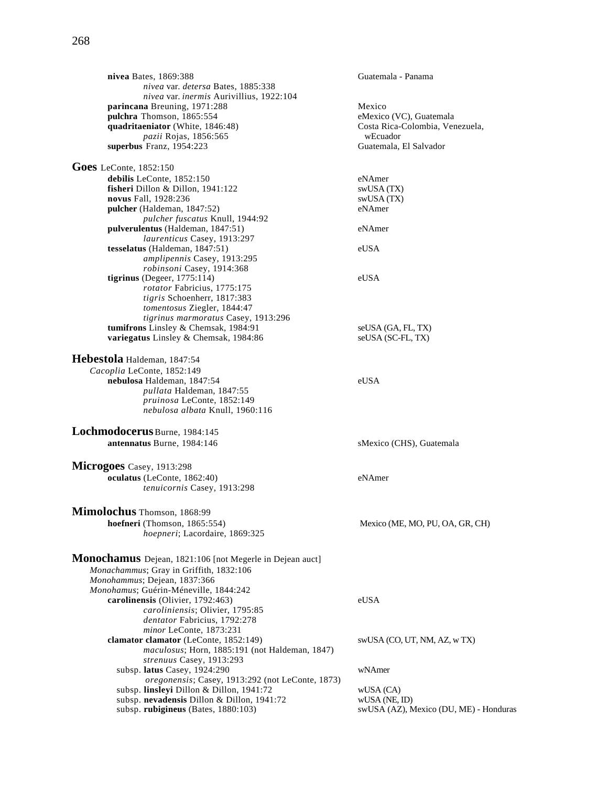**nivea** Bates, 1869:388 Guatemala - Panama *nivea* var. *detersa* Bates, 1885:338 *nivea* var. *inermis* Aurivillius, 1922:104 **parincana** Breuning, 1971:288<br> **pulchra** Thomson, 1865:554<br> **pulchra** Thomson, 1865:554 **pulchra** Thomson, 1865:554 eMexico (VC), Guatemala **quadritaeniator** (White, 1846:48) *pazii* Rojas, 1856:565 wEcuador<br> **Franz**, 1954:223 **wEcuador**<br>
Guatemala, El Salvador superbus Franz, 1954:223 **Goes** LeConte, 1852:150 **debilis** LeConte, 1852:150 eNAmer

**fisheri** Dillon & Dillon, 1941:122 swUSA (TX) **novus** Fall, 1928:236 swUSA (TX)<br> **pulcher** (Haldeman, 1847:52) eNAmer pulcher (Haldeman, 1847:52) *pulcher fuscatus* Knull, 1944:92 **pulverulentus** (Haldeman, 1847:51) eNAmer *laurenticus* Casey, 1913:297 **tesselatus** (Haldeman, 1847:51) eUSA *amplipennis* Casey, 1913:295 *robinsoni* Casey, 1914:368 **tigrinus** (Degeer, 1775:114) eUSA *rotator* Fabricius, 1775:175 *tigris* Schoenherr, 1817:383 *tomentosus* Ziegler, 1844:47 *tigrinus marmoratus* Casey, 1913:296 **tumifrons** Linsley & Chemsak, 1984:91 seUSA (GA, FL, TX) **variegatus** Linsley & Chemsak, 1984:86 seUSA (SC-FL, TX)

**Hebestola** Haldeman, 1847:54 *Cacoplia* LeConte, 1852:149 **nebulosa** Haldeman, 1847:54 eUSA *pullata* Haldeman, 1847:55 *pruinosa* LeConte, 1852:149 *nebulosa albata* Knull, 1960:116

**Lochmodocerus** Burne, 1984:145 **antennatus** Burne, 1984:146 sMexico (CHS), Guatemala

**Microgoes** Casey, 1913:298 **oculatus** (LeConte, 1862:40) eNAmer *tenuicornis* Casey, 1913:298

**Mimolochus** Thomson, 1868:99<br>hoefneri (Thomson, 1865:554) *hoepneri*; Lacordaire, 1869:325

 $Mexico(ME, MO, PU, OA, GR, CH)$ 

| eUSA                                   |
|----------------------------------------|
|                                        |
|                                        |
|                                        |
| swUSA (CO, UT, NM, AZ, w TX)           |
|                                        |
|                                        |
| wNAmer                                 |
|                                        |
| wUSA (CA)                              |
| $WUSA$ (NE, ID)                        |
| swUSA (AZ), Mexico (DU, ME) - Honduras |
|                                        |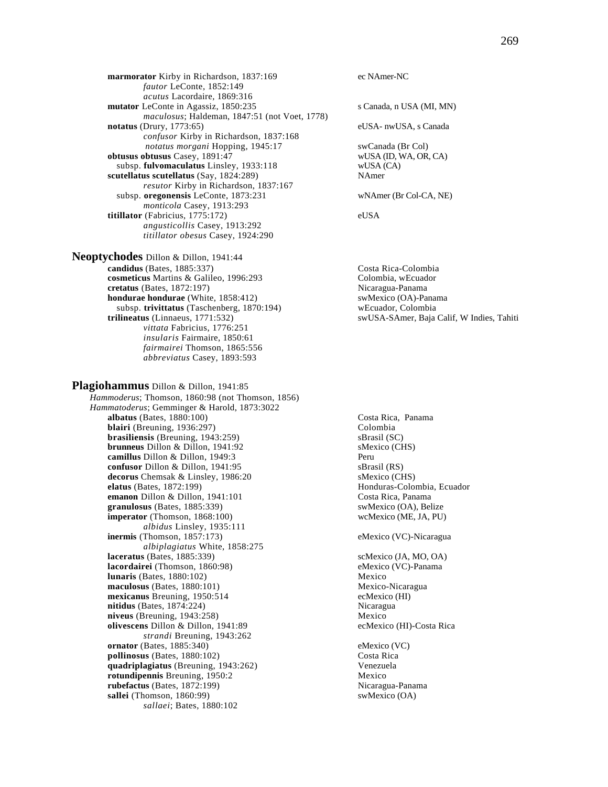**marmorator** Kirby in Richardson, 1837:169 ec NAmer-NC *fautor* LeConte, 1852:149 *acutus* Lacordaire, 1869:316 **mutator** LeConte in Agassiz, 1850:235 s Canada, n USA (MI, MN) *maculosus*; Haldeman, 1847:51 (not Voet, 1778) **notatus** (Drury, 1773:65) eUSA- nwUSA, s Canada *confusor* Kirby in Richardson, 1837:168 *notatus morgani* Hopping, 1945:17 swCanada (Br Col) **obtusus obtusus** Casey, 1891:47 wUSA (ID, WA, OR, CA) subsp. **fulvomaculatus** Linsley, 1933:118 wUSA (CA) subsp. fulvomaculatus Linsley, 1933:118 scutellatus scutellatus (Say, 1824:289) NAmer *resutor* Kirby in Richardson, 1837:167 subsp. **oregonensis** LeConte, 1873:231 wNAmer (Br Col-CA, NE) *monticola* Casey, 1913:293 **titillator** (Fabricius, 1775:172) eUSA *angusticollis* Casey, 1913:292 *titillator obesus* Casey, 1924:290

**Neoptychodes** Dillon & Dillon, 1941:44 **candidus** (Bates, 1885:337)<br> **cosmeticus** Martins & Galileo, 1996:293<br>
Colombia, wEcuador **cosmeticus** Martins & Galileo, 1996:293 **cretatus** (Bates, 1872:197) Nicaragua-Panama **hondurae hondurae** (White, 1858:412) swMexico (OA)-Panama subsp. **trivittatus** (Taschenberg, 1870:194) wEcuador, Colombia **trilineatus** (Linnaeus, 1771:532) swUSA-SAmer, Baja Calif, W Indies, Tahiti *vittata* Fabricius, 1776:251 *insularis* Fairmaire, 1850:61 *fairmairei* Thomson, 1865:556 *abbreviatus* Casey, 1893:593

**Plagiohammus** Dillon & Dillon, 1941:85 *Hammoderus*; Thomson, 1860:98 (not Thomson, 1856) *Hammatoderus*; Gemminger & Harold, 1873:3022 **albatus** (Bates, 1880:100) Costa Rica, Panama **blairi** (Breuning, 1936:297) Colombia **brasiliensis** (Breuning, 1943:259) sBrasil (SC) **brunneus** Dillon & Dillon, 1941:92 sMexico (CHS) **camillus** Dillon & Dillon, 1949:3 **confusor** Dillon & Dillon, 1941:95 sBrasil (RS) **decorus** Chemsak & Linsley, 1986:20 sMexico (CHS) **elatus** (Bates, 1872:199) **Honduras-Colombia, Ecuador Honduras-Colombia**, Ecuador **emanon** Dillon & Dillon, 1941:101 Costa Rica, Panama<br> **eranulosus** (Bates, 1885:339) Costa Rica, Panama<br>
swMexico (OA), Belize  $granulosus$  (Bates,  $1885:339$ ) **imperator** (Thomson, 1868:100) wcMexico (ME, JA, PU) *albidus* Linsley, 1935:111 **inermis** (Thomson, 1857:173) eMexico (VC)-Nicaragua *albiplagiatus* White, 1858:275 **laceratus** (Bates, 1885:339) scMexico (JA, MO, OA) **lacordairei** (Thomson, 1860:98) eMexico (VC)-Panama **lunaris** (Bates, 1880:102) Mexico **maculosus** (Bates, 1880:101)<br> **mexicanus** Breuning, 1950:514<br>
ecMexico (HI) mexicanus Breuning, 1950:514 **nitidus** (Bates, 1874:224) Nicaragua **niveus** (Breuning, 1943:258) Mexico **olivescens** Dillon & Dillon, 1941:89 ecMexico (HI)-Costa Rica *strandi* Breuning, 1943:262 **ornator** (Bates, 1885:340) eMexico (VC)<br> **pollinosus** (Bates, 1880:102) Costa Rica  $pollinosus$  (Bates,  $1880:102$ ) **quadriplagiatus** (Breuning, 1943:262) Venezuela **rotundipennis** Breuning, 1950:2 **rubefactus** (Bates, 1872:199) Nicaragua-Panama **sallei** (Thomson, 1860:99) swMexico (OA) *sallaei*; Bates, 1880:102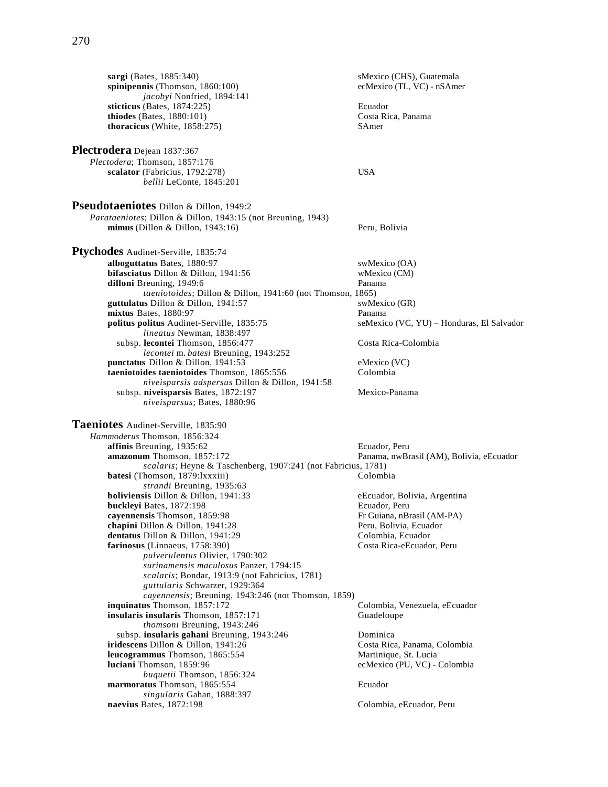**sargi** (Bates, 1885:340)<br> **sminipennis** (Thomson, 1860:100) **sminipennis** (Thomson, 1860:100) **sminipennis** ecMexico (TL, VC) - nSAmer  $spinipennis$  (Thomson,  $1860:100$ ) *jacobyi* Nonfried, 1894:141 **sticticus** (Bates, 1874:225) **Ecuador**<br> **costa Rica, Panama**<br> **costa Rica, Panama**  $$ **thoracicus** (White, 1858:275) SAmer **Plectrodera** Dejean 1837:367 *Plectodera*; Thomson, 1857:176 **scalator** (Fabricius, 1792:278) USA *bellii* LeConte, 1845:201 **Pseudotaeniotes** Dillon & Dillon, 1949:2 *Parataeniotes*; Dillon & Dillon, 1943:15 (not Breuning, 1943) **mimus** (Dillon & Dillon, 1943:16) Peru, Bolivia **Ptychodes** Audinet-Serville, 1835:74 **alboguttatus** Bates, 1880:97 swMexico (OA) **bifasciatus** Dillon & Dillon, 1941:56 wMexico (CM) was under the extended of the extended of the extended of the extended of the extended of the extended of the extended of the extended of the extended of the extended of dilloni Breuning, 1949:6 *taeniotoides*; Dillon & Dillon, 1941:60 (not Thomson, 1865) **guttulatus** Dillon & Dillon, 1941:57 swMexico (GR) **mixtus** Bates, 1880:97<br> **politus politus** Audinet-Serville, 1835:75<br> **eMexico (VC, YU)** – Honduras, El Salvador politus politus Audinet-Serville, 1835:75 *lineatus* Newman, 1838:497 subsp. lecontei Thomson, 1856:477 Costa Rica-Colombia *lecontei* m. *batesi* Breuning, 1943:252 **punctatus** Dillon & Dillon, 1941:53<br> **taeniotoides taeniotoides** Thomson, 1865:556 Colombia taeniotoides taeniotoides Thomson, 1865:556 *niveisparsis adspersus* Dillon & Dillon, 1941:58 subsp. niveisparsis Bates, 1872:197 Mexico-Panama *niveisparsus*; Bates, 1880:96 **Taeniotes** Audinet-Serville, 1835:90 *Hammoderus* Thomson, 1856:324 **affinis Breuning, 1935:62** Ecuador, Peru **amazonum** Thomson, 1857:172 Panama, nwBrasil (AM), Bolivia, eEcuador *scalaris*; Heyne & Taschenberg, 1907:241 (not Fabricius, 1781) **batesi** (Thomson, 1879:lxxxiii) Colombia *strandi* Breuning, 1935:63 **boliviensis** Dillon & Dillon, 1941:33 eEcuador, Bolivia, Argentina **buckleyi** Bates, 1872:198 **Ecuador**, Peru **cayennensis** Thomson, 1859:98 **Fr Guiana, nBrasil (AM-PA)**<br> **chapini** Dillon & Dillon, 1941:28 **Peru, Bolivia, Ecuador** chapini Dillon & Dillon, 1941:28 **dentatus** Dillon & Dillon, 1941:29 Colombia, Ecuador<br> **dentatus** Costa Rica-eEcuador, Peru farinosus (Linnaeus, 1758:390) *pulverulentus* Olivier, 1790:302 *surinamensis maculosus* Panzer, 1794:15 *scalaris*; Bondar, 1913:9 (not Fabricius, 1781) *guttularis* Schwarzer, 1929:364 *cayennensis*; Breuning, 1943:246 (not Thomson, 1859) **inquinatus** Thomson, 1857:172 Colombia, Venezuela, eEcuador **insularis insularis** Thomson, 1857:171 Guadeloupe *thomsoni* Breuning, 1943:246 subsp. **insularis gahani** Breuning, 1943:246 Dominica **iridescens** Dillon & Dillon, 1941:26 Costa Rica, Panama, Colombia **leucogrammus** Thomson, 1865:554 Martinique, St. Lucia **luciani** Thomson, 1859:96 ecMexico (PU, VC) - Colombia *buquetii* Thomson, 1856:324 **marmoratus** Thomson, 1865:554 Ecuador *singularis* Gahan, 1888:397 Colombia, eEcuador, Peru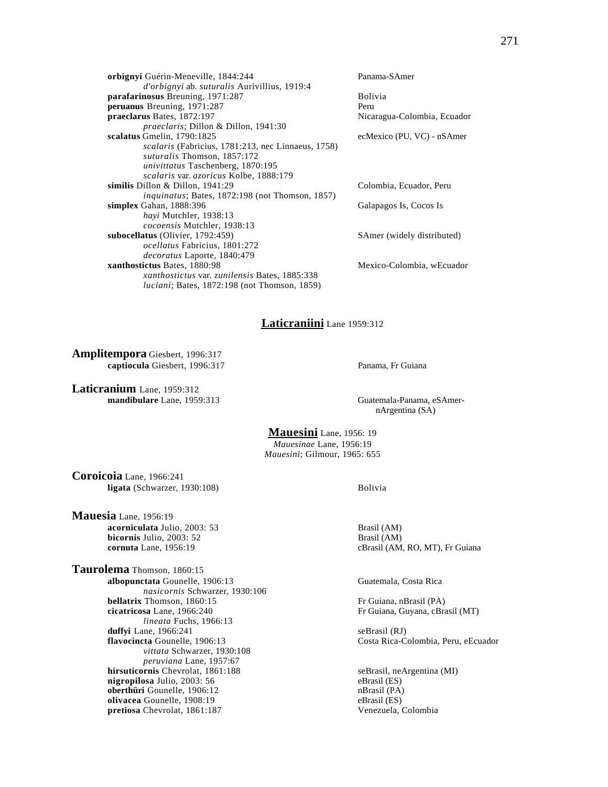**orbignyi** Guérin-Meneville, 1844:244 Panama-SAmer *d'orbignyi* ab. *suturalis* Aurivillius, 1919:4 **parafarinosus** Breuning, 1971:287 Bolivia **peruanus** Breuning, 1971:287 **Perupanesis and Perupanesis and Perupanesis and Perupanesis and Perupanesis and Peru**<br> **praeclarus** Bates, 1872:197 *praeclaris*; Dillon & Dillon, 1941:30 **scalatus** Gmelin, 1790:1825 ecMexico (PU, VC) - nSAmer *scalaris* (Fabricius, 1781:213, nec Linnaeus, 1758) *suturalis* Thomson, 1857:172 *univittatus* Taschenberg, 1870:195 *scalaris* var. *azoricus* Kolbe, 1888:179 **similis** Dillon & Dillon, 1941:29 Colombia, Ecuador, Peru *inquinatus*; Bates, 1872:198 (not Thomson, 1857) **simplex** Gahan, 1888:396 Galapagos Is, Cocos Is *hayi* Mutchler, 1938:13 *cocoensis* Mutchler, 1938:13 **subocellatus** (Olivier, 1792:459) SAmer (widely distributed) *ocellatus* Fabricius, 1801:272 *decoratus* Laporte, 1840:479 **xanthostictus** Bates, 1880:98 Mexico-Colombia, wEcuador *xanthostictus* var. *zunilensis* Bates, 1885:338 *luciani*; Bates, 1872:198 (not Thomson, 1859)

Nicaragua-Colombia, Ecuador

#### **Laticraniini** Lane 1959:312

**Amplitempora** Giesbert, 1996:317 **captiocula** Giesbert, 1996:317 Panama, Fr Guiana

**Laticranium** Lane, 1959:312 **mandibulare** Lane, 1959:313 Guatemala-Panama, eSAmer-

nArgentina (SA)

**Mauesini** Lane, 1956: 19 *Mauesinae* Lane, 1956:19 *Mauesini*; Gilmour, 1965: 655

**Coroicoia** Lane, 1966:241 **ligata** (Schwarzer, 1930:108) Bolivia

**Mauesia** Lane, 1956:19 **acorniculata** Julio, 2003: 53 Brasil (AM) **bicornis** Julio, 2003: 52 Brasil (AM)

**Taurolema** Thomson, 1860:15 **albopunctata** Gounelle, 1906:13 Guatemala, Costa Rica *nasicornis* Schwarzer, 1930:106 **bellatrix** Thomson, 1860:15 **Fr** Guiana, nBrasil (PA) **Fr** Guiana, nBrasil (PA) **Fr** Guiana, Guyana, cBrasil (PA) *lineata* Fuchs, 1966:13 **duffyi** Lane, 1966:241 seBrasil (RJ)<br> **flavocincta** Gounelle, 1906:13 Costa Rica-C *vittata* Schwarzer, 1930:108 *peruviana* Lane, 1957:67 **hirsuticornis** Chevrolat, 1861:188 seBrasil, neArgentina (MI) **nigropilosa** Julio, 2003: 56 eBrasil (ES) **oberthüri** Gounelle, 1906:12 nBrasil (PA)<br> **olivacea** Gounelle, 1908:19 eBrasil (ES) **olivacea** Gounelle, 1908:19 **pretiosa** Chevrolat, 1861:187 Venezuela, Colombia

**cornuta** Lane, 1956:19 **cBrasil (AM, RO, MT), Fr Guiana** 

Fr Guiana, Guyana, cBrasil (MT)

**flavor** Gosta Rica-Colombia, Peru, eEcuador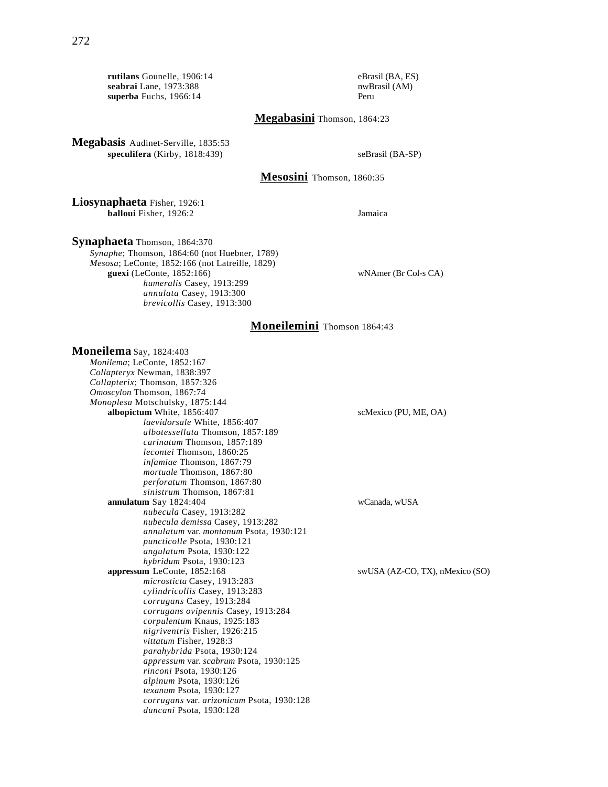**rutilans** Gounelle, 1906:14 eBrasil (BA, ES)<br> **seabrai** Lane, 1973:388 nwBrasil (AM) seabrai Lane, 1973:388 **superba** Fuchs, 1966:14 Peru

**Megabasini** Thomson, 1864:23

**Megabasis** Audinet-Serville, 1835:53 **speculifera** (Kirby, 1818:439) seBrasil (BA-SP)

### **Mesosini** Thomson, 1860:35

**Liosynaphaeta** Fisher, 1926:1 **balloui** Fisher, 1926:2 Jamaica

**Synaphaeta** Thomson, 1864:370

*Synaphe*; Thomson, 1864:60 (not Huebner, 1789) *Mesosa*; LeConte, 1852:166 (not Latreille, 1829) **guexi** (LeConte, 1852:166) wNAmer (Br Col-s CA) *humeralis* Casey, 1913:299 *annulata* Casey, 1913:300 *brevicollis* Casey, 1913:300

## **Moneilemini** Thomson 1864:43

**Moneilema** Say, 1824:403 *Monilema*; LeConte, 1852:167 *Collapteryx* Newman, 1838:397 *Collapterix*; Thomson, 1857:326 *Omoscylon* Thomson, 1867:74 *Monoplesa* Motschulsky, 1875:144 **albopictum** White, 1856:407 scMexico (PU, ME, OA) *laevidorsale* White, 1856:407 *albotessellata* Thomson, 1857:189 *carinatum* Thomson, 1857:189 *lecontei* Thomson, 1860:25 *infamiae* Thomson, 1867:79 *mortuale* Thomson, 1867:80 *perforatum* Thomson, 1867:80 *sinistrum* Thomson, 1867:81 **annulatum** Say 1824:404 wCanada, wUSA *nubecula* Casey, 1913:282 *nubecula demissa* Casey, 1913:282 *annulatum* var. *montanum* Psota, 1930:121 *puncticolle* Psota, 1930:121 *angulatum* Psota, 1930:122 *hybridum* Psota, 1930:123 **appressum** LeConte, 1852:168 swUSA (AZ-CO, TX), nMexico (SO) *microsticta* Casey, 1913:283 *cylindricollis* Casey, 1913:283 *corrugans* Casey, 1913:284 *corrugans ovipennis* Casey, 1913:284 *corpulentum* Knaus, 1925:183 *nigriventris* Fisher, 1926:215 *vittatum* Fisher, 1928:3 *parahybrida* Psota, 1930:124 *appressum* var. *scabrum* Psota, 1930:125 *rinconi* Psota, 1930:126 *alpinum* Psota, 1930:126 *texanum* Psota, 1930:127 *corrugans* var. *arizonicum* Psota, 1930:128 *duncani* Psota, 1930:128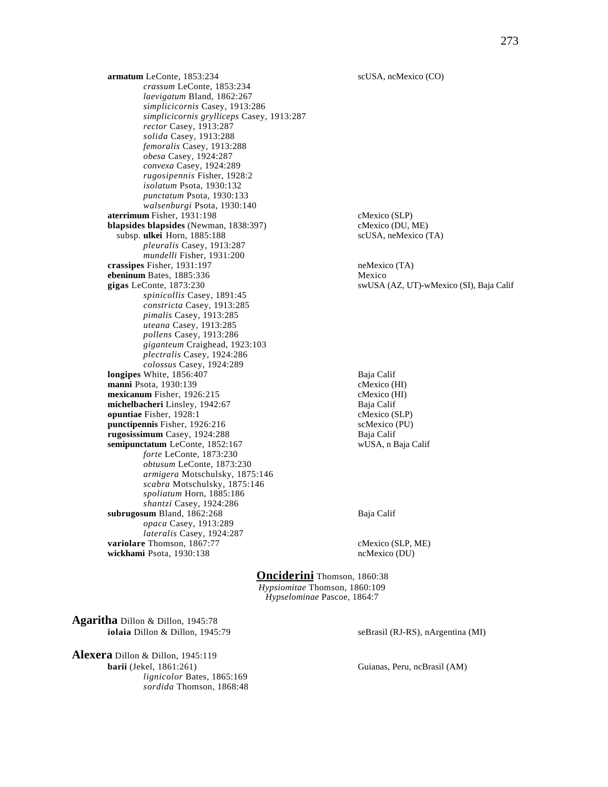**armatum** LeConte, 1853:234 scUSA, ncMexico (CO) *crassum* LeConte, 1853:234 *laevigatum* Bland, 1862:267 *simplicicornis* Casey, 1913:286 *simplicicornis grylliceps* Casey, 1913:287 *rector* Casey, 1913:287 *solida* Casey, 1913:288 *femoralis* Casey, 1913:288 *obesa* Casey, 1924:287 *convexa* Casey, 1924:289 *rugosipennis* Fisher, 1928:2 *isolatum* Psota, 1930:132 *punctatum* Psota, 1930:133 *walsenburgi* Psota, 1930:140 **aterrimum** Fisher, 1931:198 cMexico (SLP) **blapsides blapsides** (Newman, 1838:397) cMexico (DU, ME) subsp. **ulkei** Horn, 1885:188 scUSA, neMexico (TA) *pleuralis* Casey, 1913:287 *mundelli* Fisher, 1931:200 **crassipes** Fisher, 1931:197 neMexico (TA) **ebeninum** Bates, 1885:336 Mexico **gigas** LeConte, 1873:230 swUSA (AZ, UT)-wMexico (SI), Baja Calif *spinicollis* Casey, 1891:45 *constricta* Casey, 1913:285 *pimalis* Casey, 1913:285 *uteana* Casey, 1913:285 *pollens* Casey, 1913:286 *giganteum* Craighead, 1923:103 *plectralis* Casey, 1924:286 *colossus* Casey, 1924:289 **longipes** White, 1856:407 **Baja Calif** Baja Calif Baja Calif Baja Calif Baja Calif Baja Calif Baja Calif Baja Calif Baja Calif Baja Calif Baja Calif Baja Calif Baja Calif Baja Calif Baja Calif Baja Calif Baja Calif Baja C **manni** Psota, 1930:139<br> **mexicanum** Fisher, 1926:215<br>
cMexico (HI) **mexicanum** Fisher, 1926:215 **michelbacheri** Linsley, 1942:67 Baja Calif **buntiae** Fisher, 1928:1 computing CMexico (SLP) **opuntiae** Fisher, 1928:1 **punctipennis** Fisher, 1926:216 scMexico (PU) **rugosissimum** Casey, 1924:288 **Baja Calif**<br> **rugosissimum** LeConte, 1852:167 **Baja Calif** WUSA, n Baja Calif semipunctatum LeConte, 1852:167 *forte* LeConte, 1873:230 *obtusum* LeConte, 1873:230 *armigera* Motschulsky, 1875:146 *scabra* Motschulsky, 1875:146 *spoliatum* Horn, 1885:186 *shantzi* Casey, 1924:286 **subrugosum** Bland, 1862:268 Baja Calif *opaca* Casey, 1913:289 *lateralis* Casey, 1924:287 **variolare** Thomson, 1867:77 cMexico (SLP, ME) **wickhami** Psota, 1930:138 ncMexico (DU)

**Onciderini** Thomson, 1860:38 *Hypsiomitae* Thomson, 1860:109 *Hypselominae* Pascoe, 1864:7

**Agaritha** Dillon & Dillon, 1945:78 **iolaia** Dillon & Dillon, 1945:79 seBrasil (RJ-RS), nArgentina (MI)

**Alexera** Dillon & Dillon, 1945:119 **barii** (Jekel, 1861:261) Guianas, Peru, ncBrasil (AM) *lignicolor* Bates, 1865:169 *sordida* Thomson, 1868:48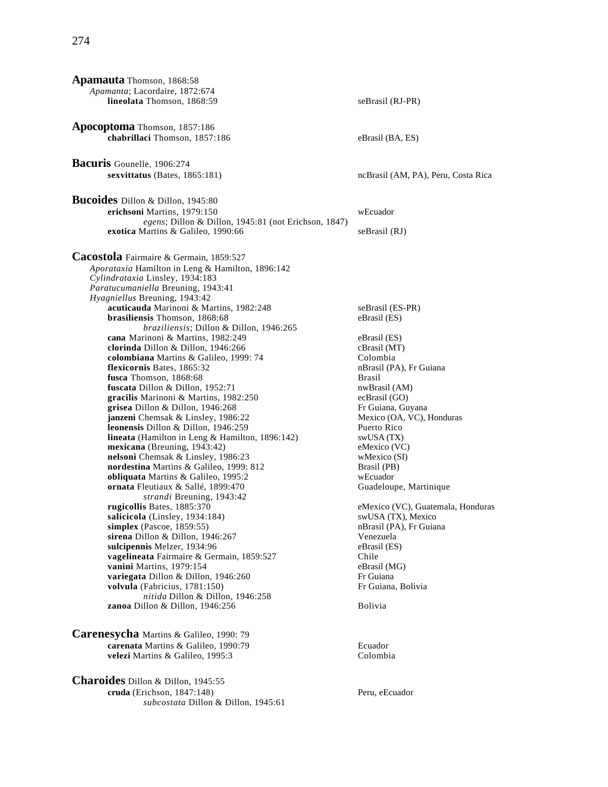| <b>Apamauta</b> Thomson, 1868:58                                               |                                     |
|--------------------------------------------------------------------------------|-------------------------------------|
| Apamanta; Lacordaire, 1872:674                                                 |                                     |
| lineolata Thomson, 1868:59                                                     | seBrasil (RJ-PR)                    |
|                                                                                |                                     |
| Apocoptoma Thomson, 1857:186                                                   |                                     |
| chabrillaci Thomson, 1857:186                                                  | eBrasil (BA, ES)                    |
|                                                                                |                                     |
| Bacuris Gounelle, 1906:274                                                     |                                     |
| sexvittatus (Bates, 1865:181)                                                  | ncBrasil (AM, PA), Peru, Costa Rica |
|                                                                                |                                     |
| Bucoides Dillon & Dillon, 1945:80                                              |                                     |
| erichsoni Martins, 1979:150                                                    | wEcuador                            |
| egens; Dillon & Dillon, 1945:81 (not Erichson, 1847)                           |                                     |
| exotica Martins & Galileo, 1990:66                                             | seBrasil (RJ)                       |
|                                                                                |                                     |
| Cacostola Fairmaire & Germain, 1859:527                                        |                                     |
| Aporataxia Hamilton in Leng & Hamilton, 1896:142                               |                                     |
| Cylindrataxia Linsley, 1934:183                                                |                                     |
| Paratucumaniella Breuning, 1943:41                                             |                                     |
| Hyagniellus Breuning, 1943:42                                                  |                                     |
| acuticauda Marinoni & Martins, 1982:248                                        | seBrasil (ES-PR)                    |
| brasiliensis Thomson, 1868:68<br>braziliensis; Dillon & Dillon, 1946:265       | eBrasil (ES)                        |
| cana Marinoni & Martins, 1982:249                                              | eBrasil (ES)                        |
| clorinda Dillon & Dillon, 1946:266                                             | cBrasil (MT)                        |
| colombiana Martins & Galileo, 1999: 74                                         | Colombia                            |
| flexicornis Bates, 1865:32                                                     | nBrasil (PA), Fr Guiana             |
| fusca Thomson, 1868:68                                                         | <b>Brasil</b>                       |
| fuscata Dillon & Dillon, 1952:71                                               | nwBrasil (AM)                       |
| gracilis Marinoni & Martins, 1982:250<br>grisea Dillon & Dillon, $1946:268$    | ecBrasil (GO)<br>Fr Guiana, Guyana  |
| janzeni Chemsak & Linsley, 1986:22                                             | Mexico (OA, VC), Honduras           |
| <b>leonensis</b> Dillon & Dillon, $1946:259$                                   | Puerto Rico                         |
| <b>lineata</b> (Hamilton in Leng & Hamilton, 1896:142)                         | swUSA (TX)                          |
| mexicana (Breuning, 1943:42)                                                   | eMexico (VC)                        |
| nelsoni Chemsak & Linsley, 1986:23                                             | wMexico (SI)                        |
| nordestina Martins & Galileo, 1999: 812<br>obliquata Martins & Galileo, 1995:2 | Brasil (PB)<br>wEcuador             |
| ornata Fleutiaux & Sallé, 1899:470                                             | Guadeloupe, Martinique              |
| strandi Breuning, 1943:42                                                      |                                     |
| rugicollis Bates, 1885:370                                                     | eMexico (VC), Guatemala, Honduras   |
| salicicola (Linsley, 1934:184)                                                 | swUSA (TX), Mexico                  |
| simplex (Pascoe, $1859:55$ )                                                   | nBrasil (PA), Fr Guiana             |
| sirena Dillon & Dillon, 1946:267<br>sulcipennis Melzer, 1934:96                | Venezuela<br>eBrasil (ES)           |
| vagelineata Fairmaire & Germain, 1859:527                                      | Chile                               |
| vanini Martins, 1979:154                                                       | eBrasil (MG)                        |
| variegata Dillon & Dillon, 1946:260                                            | Fr Guiana                           |
| volvula (Fabricius, 1781:150)                                                  | Fr Guiana, Bolivia                  |
| nitida Dillon & Dillon, 1946:258                                               |                                     |
| zanoa Dillon & Dillon, 1946:256                                                | Bolivia                             |
|                                                                                |                                     |
| Carenesycha Martins & Galileo, 1990: 79                                        |                                     |
| carenata Martins & Galileo, 1990:79                                            | Ecuador                             |
| velezi Martins & Galileo, 1995:3                                               | Colombia                            |
|                                                                                |                                     |
| МL -<br>. .                                                                    |                                     |

**Charoides** Dillon & Dillon, 1945:55 **cruda** (Erichson, 1847:148) Peru, eEcuador *subcostata* Dillon & Dillon, 1945:61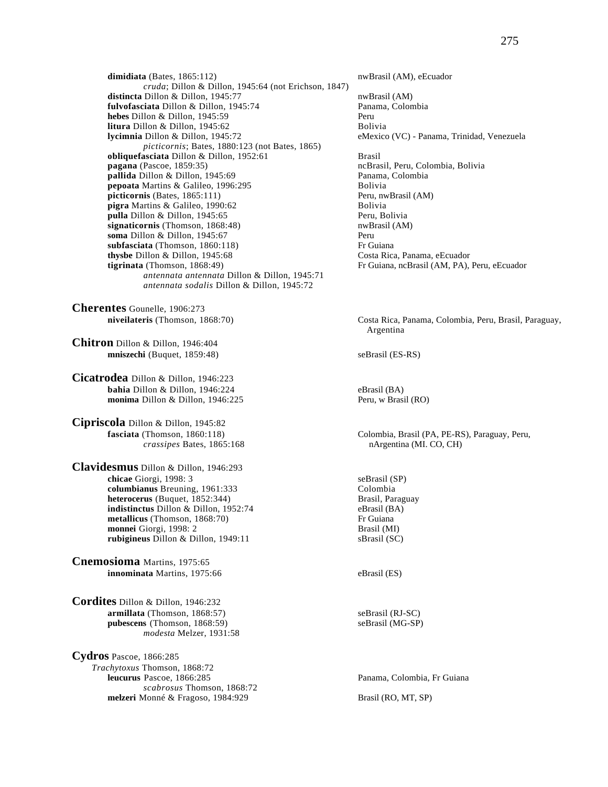dimidiata (Bates, 1865:112) nwBrasil (AM), eEcuador *cruda*; Dillon & Dillon, 1945:64 (not Erichson, 1847) **distincta** Dillon & Dillon, 1945:77 nwBrasil (AM) **fulvofasciata** Dillon & Dillon, 1945:74 Panama, Colombia<br> **hebes** Dillon & Dillon, 1945:59 Peru **hebes** Dillon & Dillon, 1945:59 **litura** Dillon & Dillon, 1945:62 Bolivia **lycimnia** Dillon & Dillon, 1945:72 eMexico (VC) - Panama, Trinidad, Venezuela *picticornis*; Bates, 1880:123 (not Bates, 1865) **obliquefasciata** Dillon & Dillon, 1952:61 Brasil **pagana** (Pascoe, 1859:35)<br> **pallida** Dillon & Dillon, 1945:69<br> **pallida** Dillon & Dillon, 1945:69<br> **pallida** Dillon & Dillon, 1945:69 pallida Dillon & Dillon, 1945:69 **pepoata** Martins & Galileo, 1996:295 Bolivia **picticornis** (Bates, 1865:111) Peru, nwBrasil (AM) **pigra** Martins & Galileo, 1990:62 Bolivia **pulla** Dillon & Dillon, 1945:65 Peru, Bolivia **signaticornis** (Thomson, 1868:48) nwBrasil (AM) **soma** Dillon & Dillon, 1945:67<br> **subfasciata** (Thomson, 1860:118) **Perumana Biography** Pressurance subfasciata (Thomson, 1860:118) **thysbe Dillon & Dillon, 1945:68** Costa Rica, Panama, eEcuador **tigrinata** (Thomson, 1868:49) **Fr** Guiana, ncBrasil (AM, PA), Peru, eEcuador *antennata antennata* Dillon & Dillon, 1945:71 *antennata sodalis* Dillon & Dillon, 1945:72

**Cherentes** Gounelle, 1906:273

**Chitron** Dillon & Dillon, 1946:404 **mniszechi** (Buquet, 1859:48) seBrasil (ES-RS)

**Cicatrodea** Dillon & Dillon, 1946:223 **bahia** Dillon & Dillon, 1946:224 eBrasil (BA)<br> **monima** Dillon & Dillon, 1946:225 Peru, w Brasil (RO) monima Dillon & Dillon, 1946:225

**Cipriscola** Dillon & Dillon, 1945:82

**Clavidesmus** Dillon & Dillon, 1946:293 **chicae** Giorgi, 1998: 3<br> **columbianus** Breuning, 1961:333<br>
Colombia **columbianus** Breuning, 1961:333 Colombia  $heterocerus$  *(Buquet, 1852:344)* **indistinctus** Dillon & Dillon, 1952:74 eBrasil (BA) **metallicus** (Thomson, 1868:70) Fr Guiana **monnei** Giorgi, 1998: 2 Brasil (MI) **rubigineus** Dillon & Dillon, 1949:11 sBrasil (SC)

**Cnemosioma** Martins, 1975:65 **innominata** Martins, 1975:66 eBrasil (ES)

**Cordites** Dillon & Dillon, 1946:232 **armillata** (Thomson, 1868:57) seBrasil (RJ-SC) pubescens (Thomson, 1868:59) seBrasil (MG-SP) *modesta* Melzer, 1931:58

**Cydros** Pascoe, 1866:285 *Trachytoxus* Thomson, 1868:72 *scabrosus* Thomson, 1868:72 **melzeri** Monné & Fragoso, 1984:929 Brasil (RO, MT, SP)

**niveilateris** (Thomson, 1868:70) Costa Rica, Panama, Colombia, Peru, Brasil, Paraguay, Argentina

**fasciata** (Thomson, 1860:118) Colombia, Brasil (PA, PE-RS), Paraguay, Peru, *crassipes* Bates, 1865:168 **nargentina** (MI. CO, CH)

Panama, Colombia, Fr Guiana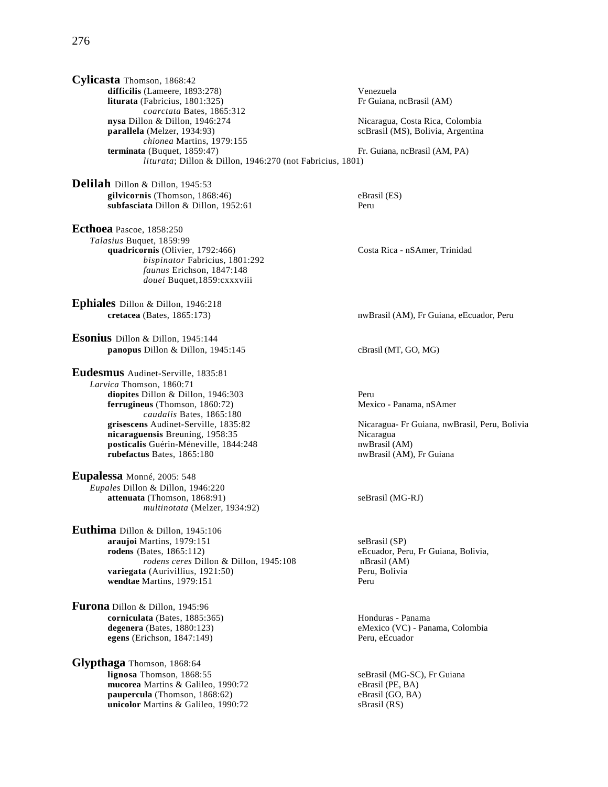**Cylicasta** Thomson, 1868:42 **difficilis** (Lameere, 1893:278) Venezuela **liturata** (Fabricius, 1801:325) Fr Guiana, ncBrasil (AM) *coarctata* Bates, 1865:312 **nysa** Dillon & Dillon, 1946:274 Nicaragua, Costa Rica, Colombia<br> **parallela** (Melzer, 1934:93) ScBrasil (MS), Bolivia, Argentina *chionea* Martins, 1979:155 **terminata** (Buquet, 1859:47) **Fr. Guiana, ncBrasil (AM, PA)** *liturata*; Dillon & Dillon, 1946:270 (not Fabricius, 1801)

**Delilah** Dillon & Dillon, 1945:53 **gilvicornis** (Thomson, 1868:46) eBrasil (ES) subfasciata Dillon & Dillon, 1952:61 Peru

**Ecthoea** Pascoe, 1858:250 *Talasius* Buquet, 1859:99 quadricornis (Olivier, 1792:466) Costa Rica - nSAmer, Trinidad *bispinator* Fabricius, 1801:292 *faunus* Erichson, 1847:148 *douei* Buquet,1859:cxxxviii

**Ephiales** Dillon & Dillon, 1946:218

**Esonius** Dillon & Dillon, 1945:144 **panopus** Dillon & Dillon, 1945:145 cBrasil (MT, GO, MG)

**Eudesmus** Audinet-Serville, 1835:81 *Larvica* Thomson, 1860:71 diopites Dillon & Dillon, 1946:303 Peru **ferrugineus** (Thomson, 1860:72) Mexico - Panama, nSAmer *caudalis* Bates, 1865:180 **nicaraguensis** Breuning, 1958:35<br> **posticalis** Guérin-Méneville, 1844:248 **Nicaragua** nwBrasil (AM) posticalis Guérin-Méneville, 1844:248<br>rubefactus Bates, 1865:180

**Eupalessa** Monné, 2005: 548 *Eupales* Dillon & Dillon, 1946:220 **attenuata** (Thomson, 1868:91) seBrasil (MG-RJ) *multinotata* (Melzer, 1934:92)

**Euthima** Dillon & Dillon, 1945:106 **araujoi** Martins, 1979:151 seBrasil (SP)<br> **rodens** (Bates, 1865:112) eEcuador, Per *rodens ceres* Dillon & Dillon, 1945:108 nBrasil (AM) **variegata** (Aurivillius, 1921:50) Peru, Bolivia **wendtae** Martins, 1979:151 Peru

**Furona** Dillon & Dillon, 1945:96 **corniculata** (Bates, 1885:365) Honduras - Panama **egens** (Erichson, 1847:149)

**Glypthaga** Thomson, 1868:64 **mucorea** Martins & Galileo, 1990:72 eBrasil (PE, BA)<br> **paupercula** (Thomson, 1868:62) eBrasil (GO, BA) **paupercula** (Thomson, 1868:62) eBrasil (GO, **unicolor** Martins & Galileo, 1990:72 sBrasil (RS) unicolor Martins & Galileo, 1990:72

scBrasil (MS), Bolivia, Argentina

**cretacea** (Bates, 1865:173) **nwBrasil (AM), Fr Guiana, eEcuador, Peru** 

**grisescens** Audinet-Serville, 1835:82 Nicaragua- Fr Guiana, nwBrasil, Peru, Bolivia nwBrasil (AM), Fr Guiana

eEcuador, Peru, Fr Guiana, Bolivia,

**degenera** (Bates, 1880:123)<br> **exico (VC)** - Panama, Colombia<br> **exico (VC)** - Panama, Colombia<br>
Peru, eEcuador

seBrasil (MG-SC), Fr Guiana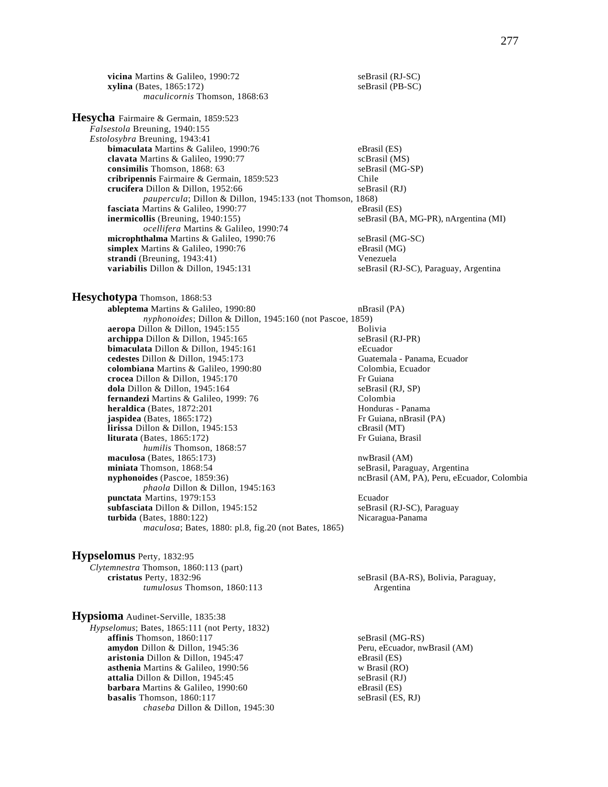**vicina** Martins & Galileo, 1990:72 seBrasil (RJ-SC)<br> **xylina** (Bates, 1865:172) seBrasil (PB-SC)  $xylina$  (Bates,  $1865:172$ ) *maculicornis* Thomson, 1868:63

**Hesycha** Fairmaire & Germain, 1859:523 *Falsestola* Breuning, 1940:155 *Estolosybra* Breuning, 1943:41 **bimaculata** Martins & Galileo, 1990:76 eBrasil (ES) **clavata** Martins & Galileo, 1990:77 scBrasil (MS) **consimilis** Thomson, 1868: 63<br> **cribripennis** Fairmaire & Germain. 1859:523 Chile<br>
Chile cribripennis Fairmaire & Germain, 1859:523 **crucifera** Dillon & Dillon, 1952:66 seBrasil (RJ) *paupercula*; Dillon & Dillon, 1945:133 (not Thomson, 1868) **fasciata** Martins & Galileo, 1990:77 eBrasil (ES)<br> **inermicollis** (Breuning, 1940:155) seBrasil (BA *ocellifera* Martins & Galileo, 1990:74 **microphthalma** Martins & Galileo, 1990:76 seBrasil (MG-SC) **simplex** Martins & Galileo, 1990:76 eBrasil (MG) **strandi** (Breuning, 1943:41) Venezuela

**Hesychotypa** Thomson, 1868:53 **ableptema** Martins & Galileo, 1990:80 **nBrasil** (PA)

*nyphonoides*; Dillon & Dillon, 1945:160 (not Pascoe, 1859) aeropa Dillon & Dillon, 1945:155 **archippa** Dillon & Dillon, 1945:165<br> **bimaculata** Dillon & Dillon, 1945:161 seBrasil (RJ-PR) **bimaculata** Dillon & Dillon, 1945:161 **cedestes** Dillon & Dillon, 1945:173 Guatemala - Panama, Ecuador **colombiana** Martins & Galileo, 1990:80 Colombia, Ecuador **crocea** Dillon & Dillon, 1945:170 Fr Guiana **crocea** Dillon & Dillon, 1945:170<br> **dola** Dillon & Dillon, 1945:164<br> **cola** Dillon & Dillon, 1945:164<br> **cola** SeBrasil (RJ, SP) dola Dillon & Dillon, 1945:164 **fernandezi** Martins & Galileo, 1999: 76 Colombia **heraldica** (Bates, 1872:201 Honduras - Panama **jaspidea** (Bates, 1865:172) Fr Guiana, nBrasil (PA) **lirissa** Dillon & Dillon, 1945:153 cBrasil (MT) **liturata** (Bates, 1865:172) Fr Guiana, Brasil *humilis* Thomson, 1868:57 **maculosa** (Bates, 1865:173) nwBrasil (AM) **miniata** Thomson, 1868:54 seBrasil, Paraguay, Argentina **nyphonoides** (Pascoe, 1859:36) ncBrasil (AM, PA), Peru, eEcuador, Colombia *phaola* Dillon & Dillon, 1945:163 **punctata** Martins, 1979:153<br> **subfasciata** Dillon & Dillon, 1945:152<br> **eBrasil (RJ-SC), Paraguay** subfasciata Dillon & Dillon, 1945:152 **turbida** (Bates, 1880:122) Nicaragua-Panama *maculosa*; Bates, 1880: pl.8, fig.20 (not Bates, 1865)

**Hypselomus** Perty, 1832:95 *Clytemnestra* Thomson, 1860:113 (part) **cristatus** Perty, 1832:96 seBrasil (BA-RS), Bolivia, Paraguay, *tumulosus* Thomson, 1860:113 Argentina

**Hypsioma** Audinet-Serville, 1835:38 *Hypselomus*; Bates, 1865:111 (not Perty, 1832) **affinis** Thomson, 1860:117 seBrasil (MG-RS) **amydon** Dillon & Dillon, 1945:36 Peru, eEcuador, nwBrasil (AM) **aristonia** Dillon & Dillon, 1945:47 eBrasil (ES)<br> **asthenia** Martins & Galileo, 1990:56 w Brasil (RO) **asthenia** Martins & Galileo, 1990:56 w Brasil (RO) **attalia** Dillon & Dillon, 1945:45 seBrasil (RJ) attalia Dillon & Dillon, 1945:45 **barbara** Martins & Galileo, 1990:60 eBrasil (ES) **basalis** Thomson, 1860:117 seBrasil (ES, RJ) *chaseba* Dillon & Dillon, 1945:30

seBrasil (BA, MG-PR), nArgentina (MI)

seBrasil (RJ-SC), Paraguay, Argentina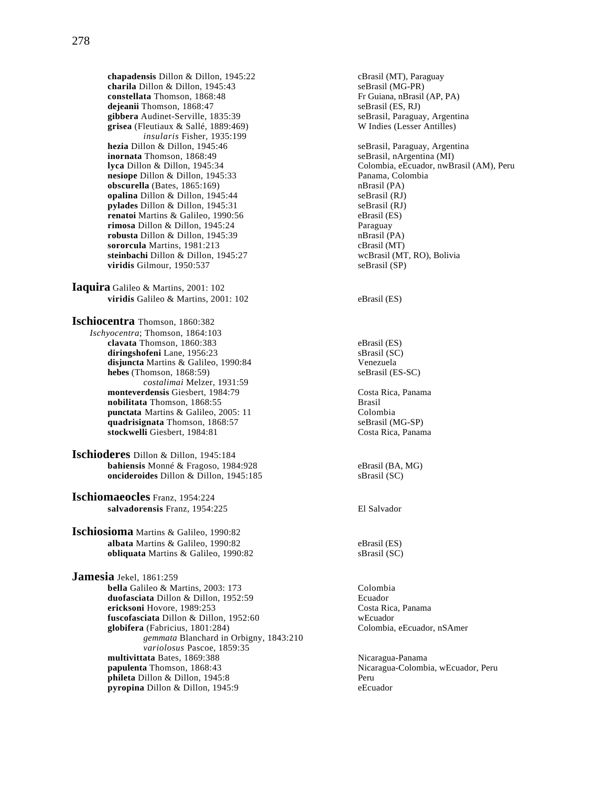**chapadensis** Dillon & Dillon, 1945:22 cBrasil (MT), Paraguay<br> **charila** Dillon & Dillon, 1945:43 seBrasil (MG-PR) charila Dillon & Dillon, 1945:43 **constellata** Thomson, 1868:48 Fr Guiana, nBrasil (AP, PA) **dejeanii** Thomson, 1868:47<br> **gibbera** Audinet-Serville, 1835:39<br> **seBrasil, Paraguay, Argentina**<br> **seBrasil, Paraguay, Argentina gibbera** Audinet-Serville, 1835:39 seBrasil, Paraguay, Argent **grisea** (Fleutiaux & Sallé, 1889:469) W Indies (Lesser Antilles) grisea (Fleutiaux & Sallé, 1889:469) *insularis* Fisher, 1935:199<br>**hezia** Dillon & Dillon, 1945:46 **hezia** Dillon & Dillon, 1945:46 seBrasil, Paraguay, Argentina<br> **inornata** Thomson, 1868:49 seBrasil, nArgentina (MI) nesiope Dillon & Dillon, 1945:33 **obscurella** (Bates, 1865:169) nBrasil (PA) **opalina** Dillon & Dillon, 1945:44 seBrasil (RJ)<br> **ovlades** Dillon & Dillon, 1945:31 seBrasil (RJ) **pylades** Dillon & Dillon, 1945:31 **renatoi** Martins & Galileo, 1990:56 eBrasil (ES) **rimosa** Dillon & Dillon, 1945:24 **Paraguay**<br> **robusta** Dillon & Dillon, 1945:39 **Paraguay**<br> **robusta** Dillon & Dillon, 1945:39 **Paraguay** robusta Dillon & Dillon, 1945:39 **sororcula** Martins, 1981:213 cBrasil (MT) **steinbachi** Dillon & Dillon, 1945:27 wcBrasil (MT, RO), Bolivia **viridis** Gilmour, 1950:537 seBrasil (SP) **Iaquira** Galileo & Martins, 2001: 102 **viridis** Galileo & Martins, 2001: 102 eBrasil (ES) **Ischiocentra** Thomson, 1860:382 *Ischyocentra*; Thomson, 1864:103 **clavata** Thomson, 1860:383 eBrasil (ES) **diringshofeni** Lane, 1956:23 sBrasil (SC) **disjuncta** Martins & Galileo, 1990:84 Venezuela<br> **hebes** (Thomson, 1868:59) SeBrasil (ES-SC)  $hebes$  (Thomson,  $1868:59$ ) *costalimai* Melzer, 1931:59 **monteverdensis** Giesbert, 1984:79 Costa Rica, Panama **nobilitata** Thomson, 1868:55 Brasil **punctata** Martins & Galileo, 2005: 11 Colombia quadrisignata Thomson, 1868:57 seBrasil (MG-SP) **stockwelli** Giesbert, 1984:81 Costa Rica, Panama **Ischioderes** Dillon & Dillon, 1945:184 **bahiensis** Monné & Fragoso, 1984:928 eBrasil (BA, MG) **oncideroides** Dillon & Dillon, 1945:185 sBrasil (SC) **Ischiomaeocles** Franz, 1954:224 **salvadorensis** Franz, 1954:225 El Salvador **Ischiosioma** Martins & Galileo, 1990:82 **albata** Martins & Galileo, 1990:82 eBrasil (ES) **obliquata** Martins & Galileo, 1990:82 sBrasil (SC) **Jamesia** Jekel, 1861:259 **bella** Galileo & Martins, 2003: 173 **duofasciata** Dillon & Dillon, 1952:59 Ecuador **ericksoni** Hovore, 1989:253 Costa Rica, Panama **fuscofasciata** Dillon & Dillon, 1952:60 wEcuador **globifera** (Fabricius, 1801:284) Colombia, eEcuador, nSAmer *gemmata* Blanchard in Orbigny, 1843:210 *variolosus* Pascoe, 1859:35 **multivittata** Bates, 1869:388 **Nicaragua-Panama**<br> **1868:43** Nicaragua-Colombianual Alexander Anatomy Nicaragua-Colombianual Alexander Alexander Alexander Alexander A **phileta** Dillon & Dillon, 1945:8 **pyropina** Dillon & Dillon, 1945:9 eEcuador

seBrasil, nArgentina (MI) **lyca** Dillon & Dillon, 1945:34 Colombia, eEcuador, nwBrasil (AM), Peru<br> **nesiope** Dillon & Dillon, 1945:33 Panama, Colombia Nicaragua-Colombia, wEcuador, Peru<br>Peru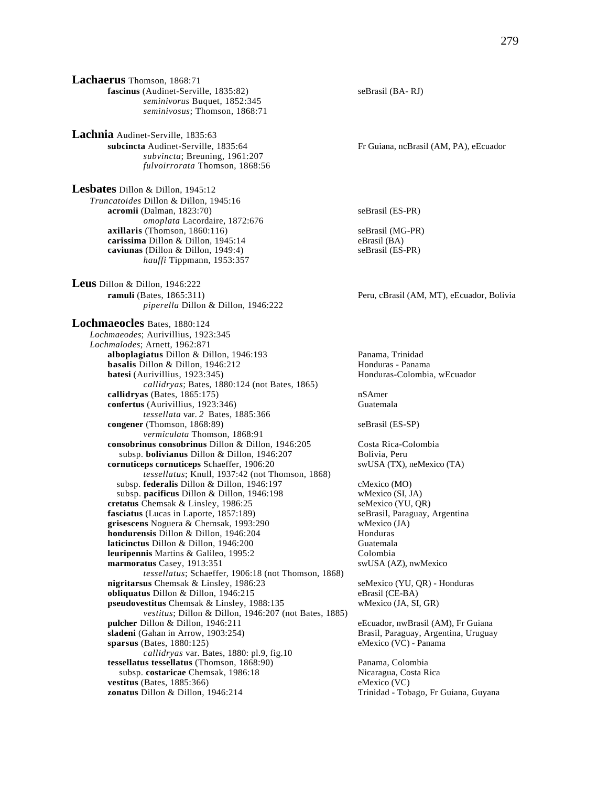**Lachaerus** Thomson, 1868:71 **fascinus** (Audinet-Serville, 1835:82) seBrasil (BA- RJ) *seminivorus* Buquet, 1852:345 *seminivosus*; Thomson, 1868:71

**Lachnia** Audinet-Serville, 1835:63 **subcincta** Audinet-Serville, 1835:64 Fr Guiana, ncBrasil (AM, PA), eEcuador *subvincta*; Breuning, 1961:207 *fulvoirrorata* Thomson, 1868:56

**Lesbates** Dillon & Dillon, 1945:12 *Truncatoides* Dillon & Dillon, 1945:16 **acromii** (Dalman, 1823:70) seBrasil (ES-PR) *omoplata* Lacordaire, 1872:676 **axillaris** (Thomson, 1860:116) seBrasil (MG-PR) **carissima** Dillon & Dillon, 1945:14 eBrasil (BA)<br> **caviunas** (Dillon & Dillon, 1949:4) seBrasil (ES-PR)  $caviunas$  (Dillon & Dillon, 1949:4) *hauffi* Tippmann, 1953:357

**Leus** Dillon & Dillon, 1946:222 **ramuli** (Bates, 1865:311) Peru, cBrasil (AM, MT), eEcuador, Bolivia *piperella* Dillon & Dillon, 1946:222

**Lochmaeocles** Bates, 1880:124 *Lochmaeodes*; Aurivillius, 1923:345 *Lochmalodes*; Arnett, 1962:871 **alboplagiatus** Dillon & Dillon, 1946:193 Panama, Trinidad **basalis** Dillon & Dillon, 1946:212 **Honduras** - Panama **batesi** (Aurivillius, 1923:345) **Honduras-Colombia, wEcuador Honduras***callidryas*; Bates, 1880:124 (not Bates, 1865) **callidryas** (Bates, 1865:175) nSAmer **confertus** (Aurivillius, 1923:346) Guatemala *tessellata* var. *2* Bates, 1885:366 **congener** (Thomson, 1868:89) seBrasil (ES-SP) *vermiculata* Thomson, 1868:91 **consobrinus consobrinus** Dillon & Dillon, 1946:205 Costa Rica-Colombia subsp. **bolivianus** Dillon & Dillon, 1946:207 Bolivia, Peru **cornuticeps cornuticeps** Schaeffer, 1906:20 swUSA (TX), neMexico (TA) *tessellatus*; Knull, 1937:42 (not Thomson, 1868) subsp. **federalis** Dillon & Dillon, 1946:197 cMexico (MO) subsp. **pacificus** Dillon & Dillon, 1946:198 wMexico (SI, JA)<br> **etatus** Chemsak & Linsley, 1986:25 seMexico (YU, QR) cretatus Chemsak & Linsley, 1986:25 **fasciatus** (Lucas in Laporte, 1857:189) seBrasil, Paraguay, Argentina **grisescens** Noguera & Chemsak, 1993:290 wMexico (JA) **hondurensis** Dillon & Dillon, 1946:204 Honduras **laticinctus** Dillon & Dillon, 1946:200 **leuripennis** Martins & Galileo, 1995:2 Colombia **marmoratus** Casey, 1913:351 swUSA (AZ), nwMexico *tessellatus*; Schaeffer, 1906:18 (not Thomson, 1868) **nigritarsus** Chemsak & Linsley, 1986:23 seMexico (YU, QR) - Honduras **obliquatus** Dillon & Dillon, 1946:215 eBrasil (CE-BA) **pseudovestitus** Chemsak & Linsley, 1988:135 wMexico (JA, SI, GR) *vestitus*; Dillon & Dillon, 1946:207 (not Bates, 1885) **pulcher** Dillon & Dillon, 1946:211 eEcuador, nwBrasil (AM), Fr Guiana<br> **sladeni** (Gahan in Arrow, 1903:254) **eEcuador**, Paraguay, Argentina, Uruguay **sparsus** (Bates, 1880:125) eMexico (VC) - Panama *callidryas* var. Bates, 1880: pl.9, fig.10 **tessellatus tessellatus** (Thomson, 1868:90) Panama, Colombia subsp. **costaricae** Chemsak, 1986:18 Nicaragua, Costa Rica  $v$ estitus (Bates, 1885:366) **zonatus** Dillon & Dillon, 1946:214 Trinidad - Tobago, Fr Guiana, Guyana

Brasil, Paraguay, Argentina, Uruguay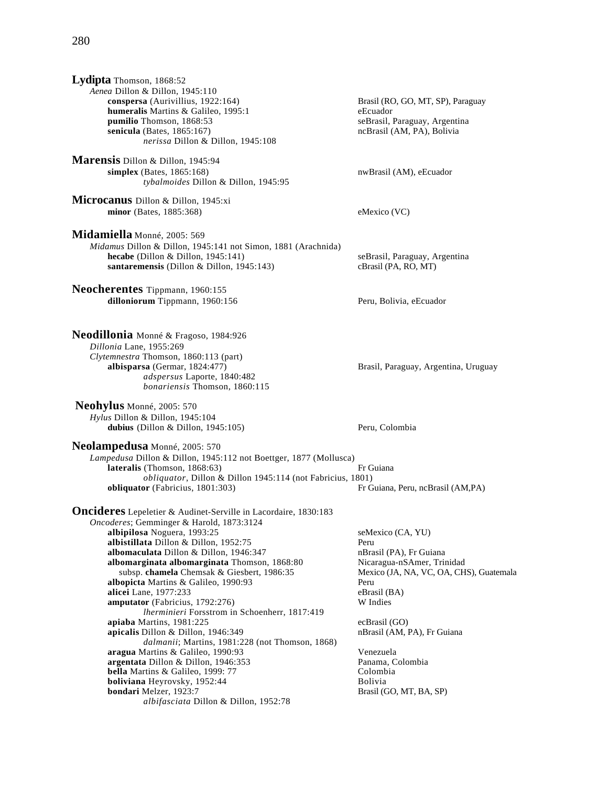# 280

| Lydipta Thomson, 1868:52                                               |                                                             |
|------------------------------------------------------------------------|-------------------------------------------------------------|
| Aenea Dillon & Dillon, 1945:110                                        |                                                             |
| conspersa (Aurivillius, 1922:164)                                      | Brasil (RO, GO, MT, SP), Paraguay                           |
| humeralis Martins & Galileo, 1995:1                                    | eEcuador                                                    |
| pumilio Thomson, 1868:53                                               | seBrasil, Paraguay, Argentina<br>ncBrasil (AM, PA), Bolivia |
| senicula (Bates, 1865:167)<br>nerissa Dillon & Dillon, 1945:108        |                                                             |
|                                                                        |                                                             |
| Marensis Dillon & Dillon, 1945:94                                      |                                                             |
| simplex (Bates, 1865:168)                                              | nwBrasil (AM), eEcuador                                     |
| tybalmoides Dillon & Dillon, 1945:95                                   |                                                             |
| Microcanus Dillon & Dillon, 1945:xi                                    |                                                             |
| minor (Bates, 1885:368)                                                | eMexico (VC)                                                |
|                                                                        |                                                             |
| Midamiella Monné, 2005: 569                                            |                                                             |
| Midamus Dillon & Dillon, 1945:141 not Simon, 1881 (Arachnida)          |                                                             |
| hecabe (Dillon & Dillon, $1945:141$ )                                  | seBrasil, Paraguay, Argentina                               |
| santaremensis (Dillon & Dillon, 1945:143)                              | cBrasil (PA, RO, MT)                                        |
|                                                                        |                                                             |
| Neocherentes Tippmann, 1960:155                                        |                                                             |
| dilloniorum Tippmann, 1960:156                                         | Peru, Bolivia, eEcuador                                     |
|                                                                        |                                                             |
|                                                                        |                                                             |
| Neodillonia Monné & Fragoso, 1984:926                                  |                                                             |
| Dillonia Lane, 1955:269                                                |                                                             |
| Clytemnestra Thomson, 1860:113 (part)                                  |                                                             |
| albisparsa (Germar, 1824:477)                                          | Brasil, Paraguay, Argentina, Uruguay                        |
| adspersus Laporte, 1840:482                                            |                                                             |
| bonariensis Thomson, 1860:115                                          |                                                             |
| Neohylus Monné, 2005: 570                                              |                                                             |
| Hylus Dillon & Dillon, 1945:104                                        |                                                             |
| dubius (Dillon & Dillon, $1945:105$ )                                  | Peru, Colombia                                              |
|                                                                        |                                                             |
| Neolampedusa Monné, 2005: 570                                          |                                                             |
| Lampedusa Dillon & Dillon, 1945:112 not Boettger, 1877 (Mollusca)      |                                                             |
| lateralis (Thomson, 1868:63)                                           | Fr Guiana                                                   |
| obliquator, Dillon & Dillon 1945:114 (not Fabricius, 1801)             |                                                             |
| obliquator (Fabricius, 1801:303)                                       | Fr Guiana, Peru, ncBrasil (AM,PA)                           |
| <b>Oncideres</b> Lepeletier & Audinet-Serville in Lacordaire, 1830:183 |                                                             |
| Oncoderes; Gemminger & Harold, 1873:3124                               |                                                             |
| albipilosa Noguera, 1993:25                                            | seMexico (CA, YU)                                           |
| albistillata Dillon & Dillon, 1952:75                                  | Peru                                                        |
| albomaculata Dillon & Dillon, 1946:347                                 | nBrasil (PA), Fr Guiana                                     |
| albomarginata albomarginata Thomson, 1868:80                           | Nicaragua-nSAmer, Trinidad                                  |
| subsp. chamela Chemsak & Giesbert, 1986:35                             | Mexico (JA, NA, VC, OA, CHS), Guatemala                     |
| albopicta Martins & Galileo, 1990:93                                   | Peru                                                        |
| alicei Lane, 1977:233                                                  | eBrasil (BA)                                                |
| amputator (Fabricius, 1792:276)                                        | W Indies                                                    |
| Iherminieri Forsstrom in Schoenherr, 1817:419                          |                                                             |
| apiaba Martins, 1981:225                                               | ecBrasil (GO)                                               |
| apicalis Dillon & Dillon, 1946:349                                     | nBrasil (AM, PA), Fr Guiana                                 |
| dalmanii; Martins, 1981:228 (not Thomson, 1868)                        |                                                             |
| aragua Martins & Galileo, 1990:93                                      | Venezuela                                                   |
| argentata Dillon & Dillon, 1946:353                                    | Panama, Colombia                                            |
| bella Martins & Galileo, 1999: 77                                      | Colombia                                                    |
| boliviana Heyrovsky, 1952:44                                           | Bolivia                                                     |
| bondari Melzer, 1923:7                                                 | Brasil (GO, MT, BA, SP)                                     |
| albifasciata Dillon & Dillon, 1952:78                                  |                                                             |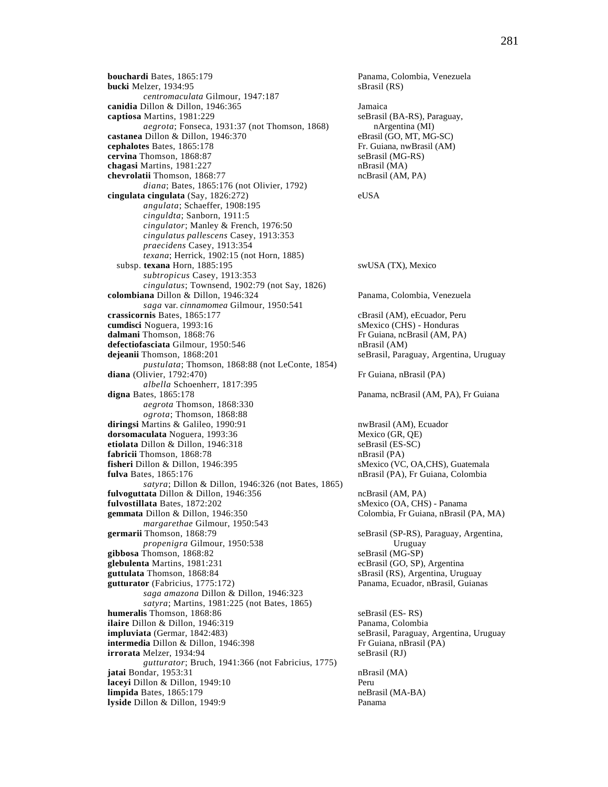**bouchardi** Bates, 1865:179 Panama, Colombia, Venezuela **bucki** Melzer, 1934:95 sBrasil (RS) *centromaculata* Gilmour, 1947:187 **canidia** Dillon & Dillon, 1946:365 *Jamaica*<br> **captiosa** Martins, 1981:229 **Jamaica** seBrasil *aegrota*; Fonseca, 1931:37 (not Thomson, 1868) nArgentina (MI) **castanea** Dillon & Dillon, 1946:370 eBrasil (GO, MT, MG-SC) **cephalotes** Bates, 1865:178 Fr. Guiana, nwBrasil (AM) **cervina** Thomson, 1868:87 seBrasil (MG-RS) **chagasi** Martins, 1981:227 nBrasil (MA) **chevrolatii** Thomson, 1868:77 ncBrasil (AM, PA) *diana*; Bates, 1865:176 (not Olivier, 1792) **cingulata cingulata** (Say, 1826:272) eUSA *angulata*; Schaeffer, 1908:195 *cinguldta*; Sanborn, 1911:5 *cingulator*; Manley & French, 1976:50 *cingulatus pallescens* Casey, 1913:353 *praecidens* Casey, 1913:354 *texana*; Herrick, 1902:15 (not Horn, 1885) subsp. **texana** Horn, 1885:195 swUSA (TX), Mexico *subtropicus* Casey, 1913:353 *cingulatus*; Townsend, 1902:79 (not Say, 1826) **colombiana** Dillon & Dillon, 1946:324 Panama, Colombia, Venezuela *saga* var. *cinnamomea* Gilmour, 1950:541 **crassicornis** Bates, 1865:177 cBrasil (AM), eEcuador, Peru **cumdisci** Noguera, 1993:16 sMexico (CHS) - Honduras **dalmani** Thomson, 1868:76 Fr Guiana, ncBrasil (AM, PA) **defectiofasciata** Gilmour, 1950:546 **nBrasil (AM)**<br> **dejeanii** Thomson, 1868:201 **nDrash nBrasil (AM)** seBrasil, Para *pustulata*; Thomson, 1868:88 (not LeConte, 1854) **diana** (Olivier, 1792:470) Fr Guiana, nBrasil (PA) *albella* Schoenherr, 1817:395<br>**digna** Bates, 1865:178 *aegrota* Thomson, 1868:330 *ogrota*; Thomson, 1868:88 **diringsi** Martins & Galileo, 1990:91 **nwBrasil** (AM), Ecuador **dorsomaculata** Noguera, 1993:36 Mexico (GR, QE) **etiolata** Dillon & Dillon, 1946:318 seBrasil (ES-SC) **fabricii** Thomson, 1868:78 **nBrasil (PA)** nBrasil (PA) **fisheri** Dillon & Dillon, 1946:395 sMexico (VC, OA,CHS), Guatemala **fulva** Bates, 1865:176 **nBrasil (PA), Fr Guiana, Colombia** *satyra*; Dillon & Dillon, 1946:326 (not Bates, 1865) **fulvoguttata** Dillon & Dillon, 1946:356 ncBrasil (AM, PA)<br> **fulvostillata** Bates, 1872:202 sMexico (OA, CHS) - Panama fulvostillata Bates, 1872:202 **gemmata** Dillon & Dillon, 1946:350 Colombia, Fr Guiana, nBrasil (PA, MA) *margarethae* Gilmour, 1950:543 **germarii** Thomson, 1868:79 seBrasil (SP-RS), Paraguay, Argentina, *propenigra* Gilmour, 1950:538 Uruguay gibbosa Thomson, 1868:82 seBrasil (MG-SP) **glebulenta** Martins, 1981:231 ecBrasil (GO, SP), Argentina **guttulata** Thomson, 1868:84 sBrasil (RS), Argentina, Uruguay **gutturator** (Fabricius, 1775:172) Panama, Ecuador, nBrasil, Guianas *saga amazona* Dillon & Dillon, 1946:323 *satyra*; Martins, 1981:225 (not Bates, 1865) **humeralis** Thomson, 1868:86 seBrasil (ES- RS) **ilaire** Dillon & Dillon, 1946:319 **Panama, Colombia impluviata** (Germar, 1842:483) seBrasil, Paraguay, Argentina, Uruguay **intermedia** Dillon & Dillon, 1946:398 Fr Guiana, nBrasil (PA) **irrorata** Melzer, 1934:94 seBrasil (RJ) *gutturator*; Bruch, 1941:366 (not Fabricius, 1775) **jatai** Bondar, 1953:31 nBrasil (MA) **laceyi** Dillon & Dillon, 1949:10 Peru **limpida** Bates, 1865:179 neBrasil (MA-BA) **lyside** Dillon & Dillon, 1949:9 Panama

seBrasil (BA-RS), Paraguay, seBrasil, Paraguay, Argentina, Uruguay Panama, ncBrasil (AM, PA), Fr Guiana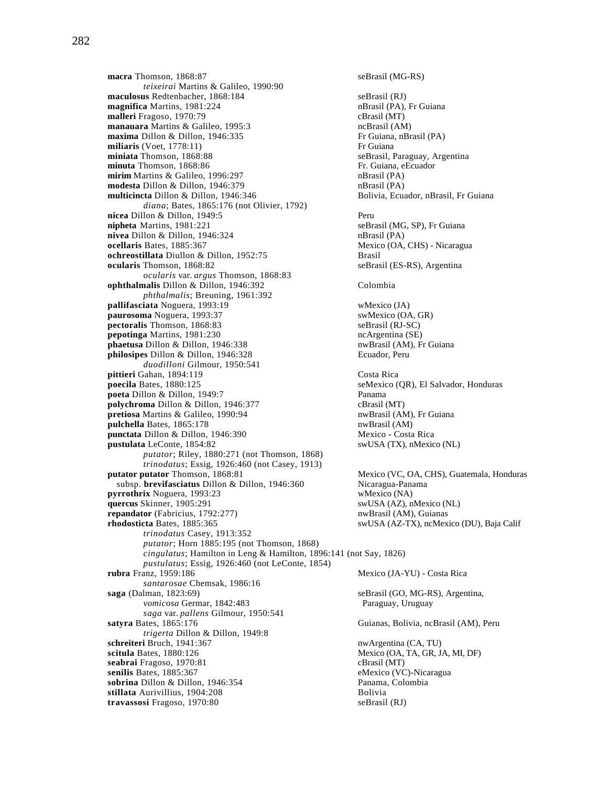282

**macra** Thomson, 1868:87 seBrasil (MG-RS) *teixeirai* Martins & Galileo, 1990:90 **maculosus** Redtenbacher, 1868:184 seBrasil (RJ) **magnifica** Martins, 1981:224 **nBrasil (PA), Fr Guiana**<br> **malleri** Fragoso, 1970:79 **nBrasil (MT)** cBrasil (MT) **malleri** Fragoso, 1970:79 **manauara** Martins & Galileo, 1995:3 ncBrasil (AM) **maxima** Dillon & Dillon, 1946:335 Fr Guiana, nBrasil (PA) **miliaris** (Voet, 1778:11) Fr Guiana **miniata** Thomson, 1868:88 seBrasil, Paraguay, Argentina **minuta** Thomson, 1868:86 **Fr. Guiana, eEcuador** Fr. Guiana, eEcuador **mirim** Martins & Galileo, 1996:297 nBrasil (PA) **modesta** Dillon & Dillon, 1946:379 nBrasil (PA) **multicincta** Dillon & Dillon, 1946:346 Bolivia, Ecuador, nBrasil, Fr Guiana *diana*; Bates, 1865:176 (not Olivier, 1792) **nicea** Dillon & Dillon, 1949:5 Peru **nipheta** Martins, 1981:221 seBrasil (MG, SP), Fr Guiana **nivea** Dillon & Dillon, 1946:324 nBrasil (PA) **ocellaris Bates, 1885:367 Mexico (OA, CHS) - Nicaragua ochreostillata** Diullon & Dillon, 1952:75 Brasil **ocularis** Thomson, 1868:82 seBrasil (ES-RS), Argentina *ocularis* var. *argus* Thomson, 1868:83 **ophthalmalis** Dillon & Dillon, 1946:392 Colombia *phthalmalis*; Breuning, 1961:392 **pallifasciata** Noguera, 1993:19 wMexico (JA) **paurosoma** Noguera, 1993:37 swMexico (OA, GR) **pectoralis** Thomson, 1868:83 seBrasil (RJ-SC) **pepotinga** Martins, 1981:230 ncArgentina (SE) **phaetusa Dillon & Dillon, 1946:338** nwBrasil (AM), Fr Guiana<br> **philosipes Dillon & Dillon, 1946:328** Ecuador, Peru **philosipes Dillon & Dillon, 1946:328** *duodilloni* Gilmour, 1950:541 **pittieri** Gahan, 1894:119 Costa Rica **poecila** Bates, 1880:125 seMexico (QR), El Salvador, Honduras **poeta** Dillon & Dillon, 1949:7 Panama **polychroma** Dillon & Dillon, 1946:377<br> **pretiosa** Martins & Galileo, 1990:94 **cBrasil (AM)**, Fr Guiana **pretiosa** Martins & Galileo, 1990:94 **pulchella** Bates, 1865:178 nwBrasil (AM) **punctata** Dillon & Dillon, 1946:390 Mexico - Costa Rica **pustulata** LeConte, 1854:82 swUSA (TX), nMexico (NL) *putator*; Riley, 1880:271 (not Thomson, 1868) *trinodatus*; Essig, 1926:460 (not Casey, 1913)<br>putator putator Thomson, 1868:81 subsp. **brevifasciatus** Dillon & Dillon, 1946:360 Nicaragua-Panama **pyrrothrix** Noguera, 1993:23<br> **quercus** Skinner, 1905:291 wMexico (NA)<br>
swUSA (AZ), nMexico (NL) **quercus** Skinner, 1905:291 **repandator** (Fabricius, 1792:277) nwBrasil (AM), Guianas **rhodosticta** Bates, 1885:365 swUSA (AZ-TX), ncMexico (DU), Baja Calif *trinodatus* Casey, 1913:352 *putator*; Horn 1885:195 (not Thomson, 1868) *cingulatus*; Hamilton in Leng & Hamilton, 1896:141 (not Say, 1826) *pustulatus*; Essig, 1926:460 (not LeConte, 1854) *santarosae* Chemsak, 1986:16 **saga** (Dalman, 1823:69) seBrasil (GO, MG-RS), Argentina, *vomicosa* Germar, 1842:483 Paraguay, Uruguay *saga* var. *pallens* Gilmour, 1950:541 **satyra** Bates, 1865:176 Guianas, Bolivia, ncBrasil (AM), Peru *trigerta* Dillon & Dillon, 1949:8 **schreiteri** Bruch, 1941:367 nwArgentina (CA, TU) **scitula** Bates, 1880:126 Mexico (OA, TA, GR, JA, MI, DF) **seabrai** Fragoso, 1970:81 cBrasil (MT) **senilis** Bates, 1885:367 eMexico (VC)-Nicaragua<br> **sobrina** Dillon & Dillon, 1946:354 Panama, Colombia **sobrina** Dillon & Dillon, 1946:354<br> **stillata** Aurivillius, 1904:208<br> **Bolivia** stillata Aurivillius, 1904:208 **travassosi** Fragoso, 1970:80 seBrasil (RJ)

**Mexico (VC, OA, CHS), Guatemala, Honduras** Mexico (JA-YU) - Costa Rica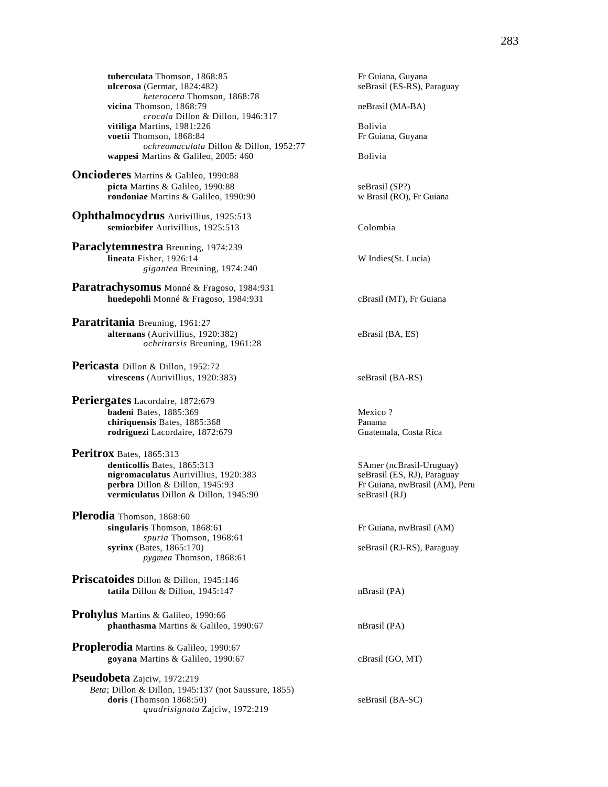**tuberculata** Thomson, 1868:85 **Fr** Guiana, Guyana<br> **ulcerosa** (Germar, 1824:482) **Example 20** SeBrasil (ES-RS), Paraguay  $ulcerosa$  (Germar,  $1824:482$ ) *heterocera* Thomson, 1868:78 **vicina** Thomson, 1868:79 neBrasil (MA-BA) *crocala* Dillon & Dillon, 1946:317 **vitiliga** Martins, 1981:226 Bolivia **voetii Thomson, 1868:84** Fr Guiana, Guyana *ochreomaculata* Dillon & Dillon, 1952:77 **wappesi** Martins & Galileo, 2005: 460 Bolivia

**Oncioderes** Martins & Galileo, 1990:88 **picta** Martins & Galileo, 1990:88<br> **picta** Martins & Galileo, 1990:90<br>
w Brasil (RO), Fr Guiana **rondoniae** Martins & Galileo, 1990:90

**Ophthalmocydrus** Aurivillius, 1925:513 **semiorbifer** Aurivillius, 1925:513 Colombia

**Paraclytemnestra** Breuning, 1974:239 **lineata** Fisher, 1926:14 W Indies(St. Lucia) *gigantea* Breuning, 1974:240

**Paratrachysomus** Monné & Fragoso, 1984:931 **huedepohli** Monné & Fragoso, 1984:931 cBrasil (MT), Fr Guiana

**Paratritania** Breuning, 1961:27 **alternans** (Aurivillius, 1920:382) eBrasil (BA, ES) *ochritarsis* Breuning, 1961:28

**Pericasta** Dillon & Dillon, 1952:72 **virescens** (Aurivillius, 1920:383) seBrasil (BA-RS)

**Periergates** Lacordaire, 1872:679 **badeni** Bates, 1885:369 Mexico ? **chiriquensis** Bates, 1885:368 Panama **rodriguezi** Lacordaire, 1872:679 Guatemala, Costa Rica

**Peritrox** Bates, 1865:313<br>denticollis Bates, 1865:313 **nigromaculatus** Aurivillius, 1920:383 **perbra** Dillon & Dillon, 1945:93 Fr Guiana, nwBrasil (AM), Peru **vermiculatus** Dillon & Dillon, 1945:90 seBrasil (RJ)

**Plerodia** Thomson, 1868:60 **singularis** Thomson, 1868:61 **Fr** Guiana, nwBrasil (AM) *spuria* Thomson, 1968:61 **syrinx** (Bates, 1865:170) seBrasil (RJ-RS), Paraguay *pygmea* Thomson, 1868:61

**Priscatoides** Dillon & Dillon, 1945:146 **tatila** Dillon & Dillon, 1945:147 nBrasil (PA)

**Prohylus** Martins & Galileo, 1990:66 **phanthasma** Martins & Galileo, 1990:67 nBrasil (PA)

**Proplerodia** Martins & Galileo, 1990:67 **goyana** Martins & Galileo, 1990:67 cBrasil (GO, MT)

**Pseudobeta** Zajciw, 1972:219 *Beta*; Dillon & Dillon, 1945:137 (not Saussure, 1855) **doris** (Thomson 1868:50) seBrasil (BA-SC) *quadrisignata* Zajciw, 1972:219

SAmer (ncBrasil-Uruguay)<br>seBrasil (ES, RJ), Paraguay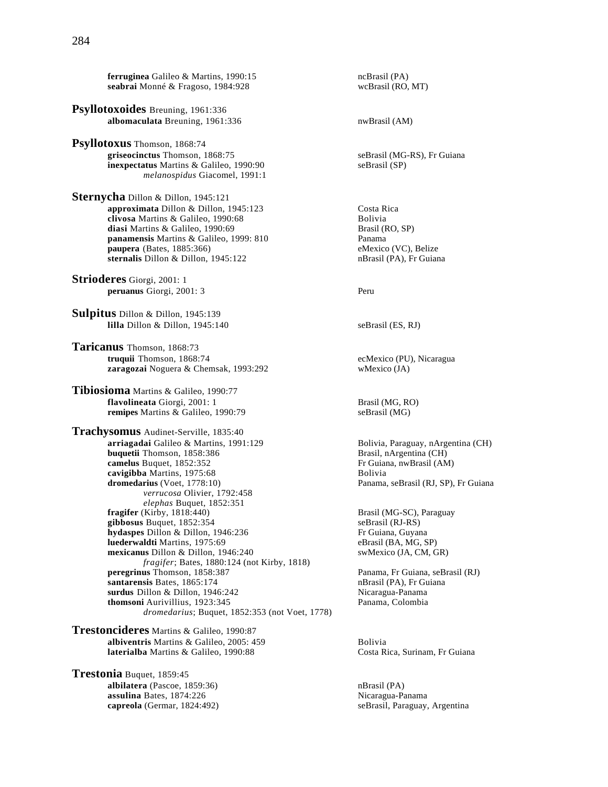**ferruginea** Galileo & Martins, 1990:15 **ncBrasil (PA)**<br> **seabrai** Monné & Fragoso, 1984:928 **ncBrasil (RO, MT)** seabrai Monné & Fragoso, 1984:928

- **Psyllotoxoides** Breuning, 1961:336 albomaculata Breuning, 1961:336 nwBrasil (AM)
- **Psyllotoxus** Thomson, 1868:74 **griseocinctus** Thomson, 1868:75 seBrasil (MG-RS), Fr Guiana **inexpectatus** Martins & Galileo, 1990:90 seBrasil (SP) *melanospidus* Giacomel, 1991:1
- **Sternycha** Dillon & Dillon, 1945:121 **approximata** Dillon & Dillon, 1945:123 Costa Rica<br> **clivosa** Martins & Galileo, 1990:68 Costa Rolivia **clivosa** Martins & Galileo, 1990:68 **Bolivia**<br> **clivosa** Martins & Galileo, 1990:69 **Bolivia**<br>
Brasil (RO, SP) diasi Martins & Galileo, 1990:69 **panamensis** Martins & Galileo, 1999: 810 Panama **paupera** (Bates, 1885:366) eMexico (VC), Belize **sternalis** Dillon & Dillon, 1945:122 nBrasil (PA), Fr Guiana
- **Strioderes** Giorgi, 2001: 1 **peruanus** Giorgi, 2001: 3 Peru
- **Sulpitus** Dillon & Dillon, 1945:139 **lilla** Dillon & Dillon, 1945:140 seBrasil (ES, RJ)
- **Taricanus** Thomson, 1868:73 **truquii** Thomson, 1868:74 ecMexico (PU), Nicaragua **zaragozai** Noguera & Chemsak, 1993:292 wMexico (JA)
- **Tibiosioma** Martins & Galileo, 1990:77 **flavolineata** Giorgi, 2001: 1 Brasil (MG, RO)<br> **remipes** Martins & Galileo, 1990:79 SeBrasil (MG) **remipes** Martins & Galileo, 1990:79
- **Trachysomus** Audinet-Serville, 1835:40 **arriagadai** Galileo & Martins, 1991:129 Bolivia, Paraguay, nArgentina (CH)<br> **buquetii** Thomson, 1858:386 Brasil, nArgentina (CH) **buquetii** Thomson, 1858:386 **Brasil, nArgentina (CH)**<br> **camelus** Buquet, 1852:352 **Brasil** Fr Guiana, nwBrasil (AM) camelus Buquet, 1852:352 **cavigibba** Martins, 1975:68 **Bolivia**<br> **cavigibba Martins, 1975:68** Bolivia<br>
Panama, *verrucosa* Olivier, 1792:458 *elephas* Buquet, 1852:351 **fragifer** (Kirby, 1818:440) **Brasil (MG-SC), Paraguay Brasil (MG-SC)**, Paraguay **gibbosus** Buquet. 1852:354 gibbosus Buquet, 1852:354 **hydaspes** Dillon & Dillon, 1946:236 **Fr** Guiana, Guyana **luederwaldti** Martins, 1975:69 eBrasil (BA, MG, SP) **mexicanus** Dillon & Dillon, 1946:240 swMexico (JA, CM, GR) *fragifer*; Bates, 1880:124 (not Kirby, 1818) **peregrinus** Thomson, 1858:387 Panama, Fr Guiana, seBrasil (RJ) **santarensis Bates, 1865:174 nBrasil (PA), Fr Guiana surdus** Dillon & Dillon, 1946:242 **Nicaragua-Panama**<br> **combini** Aurivillius, 1923:345 **Nicaragua-Panama**, Colombia thomsoni Aurivillius, 1923:345 *dromedarius*; Buquet, 1852:353 (not Voet, 1778)
- **Trestoncideres** Martins & Galileo, 1990:87 **albiventris** Martins & Galileo, 2005: 459 Bolivia **laterialba** Martins & Galileo, 1990:88 Costa Rica, Surinam, Fr Guiana
- **Trestonia** Buquet, 1859:45 **albilatera** (Pascoe, 1859:36)<br> **assulina** Bates, 1874:226 **nDiamaille 1869** nBrasil (PA)<br>
Nicaragua-Panama assulina Bates, 1874:226 **capreola** (Germar, 1824:492) seBrasil, Paraguay, Argentina
- Panama, seBrasil (RJ, SP), Fr Guiana
	-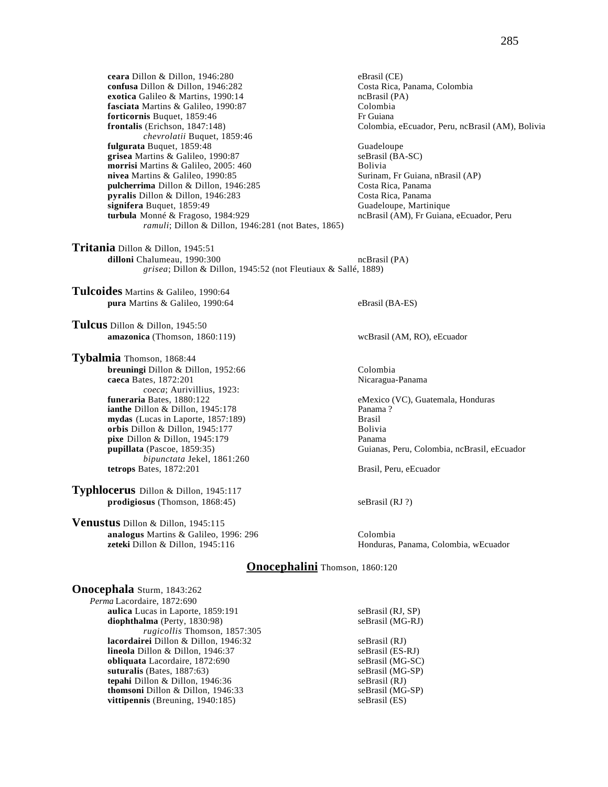**ceara** Dillon & Dillon, 1946:280<br> **confusa** Dillon & Dillon, 1946:282<br> **confusa** Dillon & Dillon, 1946:282<br> **confusa** Colombia confusa Dillon & Dillon, 1946:282 **exotica** Galileo & Martins, 1990:14 ncBrasil (PA) **fasciata** Martins & Galileo, 1990:87<br> **forticornis** Buquet. 1859:46<br>
Frequiana **forticornis** Buquet, 1859:46<br>**frontalis** (Erichson, 1847:148) *chevrolatii* Buquet, 1859:46 **fulgurata** Buquet, 1859:48<br> **grisea** Martins & Galileo, 1990:87 Guadeloupe (BA-SC) grisea Martins & Galileo, 1990:87 **morrisi** Martins & Galileo, 2005: 460<br> **nivea** Martins & Galileo, 1990:85<br> **nivea** Martins & Galileo, 1990:85<br> **Surinam, Fr Guiana, nBrasil (AP)** nivea Martins & Galileo, 1990:85 **pulcherrima** Dillon & Dillon, 1946:285 Costa Rica, Panama **pyralis** Dillon & Dillon, 1946:283 Costa Rica, Panama **signifera** Buquet, 1859:49 Guadeloupe, Martinique **turbula** Monné & Fragoso, 1984:929 ncBrasil (AM), Fr Guiana, eEcuador, Peru *ramuli*; Dillon & Dillon, 1946:281 (not Bates, 1865)

**Tritania** Dillon & Dillon, 1945:51 **dilloni** Chalumeau, 1990:300 **ncBrasil (PA)** ncBrasil (PA) *grisea*; Dillon & Dillon, 1945:52 (not Fleutiaux & Sallé, 1889)

**Tulcoides** Martins & Galileo, 1990:64 **pura** Martins & Galileo, 1990:64 eBrasil (BA-ES)

**Tulcus** Dillon & Dillon, 1945:50 **amazonica** (Thomson, 1860:119) wcBrasil (AM, RO), eEcuador

**Tybalmia** Thomson, 1868:44 **breuningi** Dillon & Dillon, 1952:66 Colombia **caeca** Bates, 1872:201 **Nicaragua-Panama** *coeca*; Aurivillius, 1923:<br>**funeraria** Bates, 1880:122 **ianthe Dillon & Dillon, 1945:178 mydas** (Lucas in Laporte, 1857:189) Brasil **orbis** Dillon & Dillon, 1945:177 Bolivia **pixe** Dillon & Dillon, 1945:179 Panama **pupillata** (Pascoe, 1859:35) Guianas, Peru, Colombia, ncBrasil, eEcuador *bipunctata* Jekel, 1861:260 **tetrops** Bates, 1872:201 Brasil, Peru, eEcuador

**Typhlocerus** Dillon & Dillon, 1945:117 **prodigiosus** (Thomson, 1868:45) seBrasil (RJ ?)

**Venustus** Dillon & Dillon, 1945:115 **analogus** Martins & Galileo, 1996: 296 Colombia

**frontalis** (Erichson, 1847:148) Colombia, eEcuador, Peru, ncBrasil (AM), Bolivia

**eMexico (VC), Guatemala, Honduras**<br>Panama?

**zeteki** Dillon & Dillon, 1945:116 Honduras, Panama, Colombia, wEcuador

#### **Onocephalini** Thomson, 1860:120

**Onocephala** Sturm, 1843:262 *Perma* Lacordaire, 1872:690 **aulica** Lucas in Laporte, 1859:191 seBrasil (RJ, SP)<br> **diophthalma** (Perty, 1830:98) seBrasil (MG-RJ) **diophthalma** (Perty, 1830:98) *rugicollis* Thomson, 1857:305 **lacordairei D**illon & Dillon, 1946:32 seBrasil (RJ)<br> **lineola** Dillon & Dillon, 1946:37 seBrasil (ES-RJ) **lineola** Dillon & Dillon, 1946:37 **obliquata** Lacordaire, 1872:690 seBrasil (MG-SC) suturalis (Bates, 1887:63) seBrasil (MG-SP) suturalis (Bates, 1887:63) **tepahi** Dillon & Dillon, 1946:36 seBrasil (RJ) **thomsoni** Dillon & Dillon, 1946:33 seBrasil (MG-SP)<br> **vittipennis** (Breuning, 1940:185) seBrasil (ES) **vittipennis** (Breuning, 1940:185)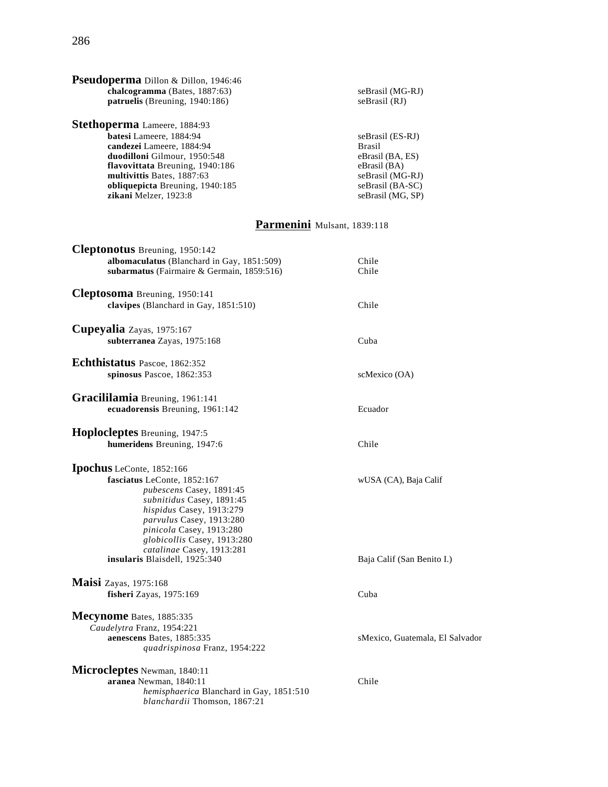| <b>Pseudoperma</b> Dillon & Dillon, 1946:46<br>chalcogramma (Bates, 1887:63)<br>patruelis (Breuning, 1940:186)                                                                                                                                                                                     | seBrasil (MG-RJ)<br>seBrasil (RJ)                                                                                                  |
|----------------------------------------------------------------------------------------------------------------------------------------------------------------------------------------------------------------------------------------------------------------------------------------------------|------------------------------------------------------------------------------------------------------------------------------------|
| <b>Stethoperma</b> Lameere, 1884:93<br>batesi Lameere, 1884:94<br>candezei Lameere, 1884:94<br>duodilloni Gilmour, 1950:548<br>flavovittata Breuning, 1940:186<br>multivittis Bates, 1887:63<br>obliquepicta Breuning, 1940:185<br>zikani Melzer, 1923:8                                           | seBrasil (ES-RJ)<br><b>Brasil</b><br>eBrasil (BA, ES)<br>eBrasil (BA)<br>seBrasil (MG-RJ)<br>seBrasil (BA-SC)<br>seBrasil (MG, SP) |
|                                                                                                                                                                                                                                                                                                    | Parmenini Mulsant, 1839:118                                                                                                        |
| <b>Cleptonotus</b> Breuning, 1950:142<br>albomaculatus (Blanchard in Gay, 1851:509)<br>subarmatus (Fairmaire & Germain, 1859:516)                                                                                                                                                                  | Chile<br>Chile                                                                                                                     |
| Cleptosoma Breuning, 1950:141<br>clavipes (Blanchard in Gay, 1851:510)                                                                                                                                                                                                                             | Chile                                                                                                                              |
| Cupeyalia Zayas, 1975:167<br>subterranea Zayas, 1975:168                                                                                                                                                                                                                                           | Cuba                                                                                                                               |
| Echthistatus Pascoe, 1862:352<br>spinosus Pascoe, 1862:353                                                                                                                                                                                                                                         | scMexico (OA)                                                                                                                      |
| Gracililamia Breuning, 1961:141<br>ecuadorensis Breuning, 1961:142                                                                                                                                                                                                                                 | Ecuador                                                                                                                            |
| <b>Hoplocleptes</b> Breuning, 1947:5<br>humeridens Breuning, 1947:6                                                                                                                                                                                                                                | Chile                                                                                                                              |
| Ipochus LeConte, 1852:166<br>fasciatus LeConte, 1852:167<br>pubescens Casey, 1891:45<br>subnitidus Casey, 1891:45<br>hispidus Casey, 1913:279<br>parvulus Casey, 1913:280<br>pinicola Casey, 1913:280<br>globicollis Casey, 1913:280<br>catalinae Casey, 1913:281<br>insularis Blaisdell, 1925:340 | wUSA (CA), Baja Calif<br>Baja Calif (San Benito I.)                                                                                |
| <b>Maisi</b> Zayas, 1975:168<br>fisheri Zayas, 1975:169                                                                                                                                                                                                                                            | Cuba                                                                                                                               |
| Mecynome Bates, 1885:335<br>Caudelytra Franz, 1954:221<br>aenescens Bates, 1885:335<br>quadrispinosa Franz, 1954:222                                                                                                                                                                               | sMexico, Guatemala, El Salvador                                                                                                    |
| Microcleptes Newman, 1840:11<br>aranea Newman, 1840:11<br>hemisphaerica Blanchard in Gay, 1851:510<br>blanchardii Thomson, 1867:21                                                                                                                                                                 | Chile                                                                                                                              |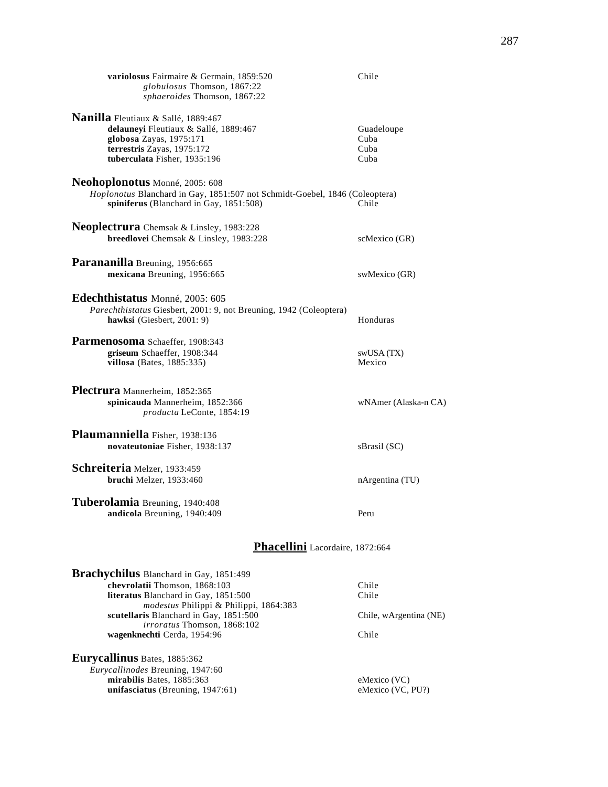| variolosus Fairmaire & Germain, 1859:520<br>globulosus Thomson, 1867:22<br>sphaeroides Thomson, 1867:22                                                                                                                                                            | Chile                                             |
|--------------------------------------------------------------------------------------------------------------------------------------------------------------------------------------------------------------------------------------------------------------------|---------------------------------------------------|
| Nanilla Fleutiaux & Sallé, 1889:467<br>delauneyi Fleutiaux & Sallé, 1889:467<br>globosa Zayas, 1975:171<br>terrestris Zayas, 1975:172<br>tuberculata Fisher, 1935:196                                                                                              | Guadeloupe<br>Cuba<br>Cuba<br>Cuba                |
| Neohoplonotus Monné, 2005: 608<br>Hoplonotus Blanchard in Gay, 1851:507 not Schmidt-Goebel, 1846 (Coleoptera)<br>spiniferus (Blanchard in Gay, 1851:508)                                                                                                           | Chile                                             |
| <b>Neoplectrura</b> Chemsak & Linsley, 1983:228<br>breedlovei Chemsak & Linsley, 1983:228                                                                                                                                                                          | scMexico (GR)                                     |
| Parananilla Breuning, 1956:665<br>mexicana Breuning, 1956:665                                                                                                                                                                                                      | swMexico (GR)                                     |
| Edechthistatus Monné, 2005: 605<br>Parechthistatus Giesbert, 2001: 9, not Breuning, 1942 (Coleoptera)<br>hawksi (Giesbert, 2001: 9)                                                                                                                                | Honduras                                          |
| Parmenosoma Schaeffer, 1908:343<br>griseum Schaeffer, 1908:344<br>villosa (Bates, $1885:335$ )                                                                                                                                                                     | swUSA (TX)<br>Mexico                              |
| Plectrura Mannerheim, 1852:365<br>spinicauda Mannerheim, 1852:366<br>producta LeConte, 1854:19                                                                                                                                                                     | wNAmer (Alaska-n CA)                              |
| Plaumanniella Fisher, 1938:136<br>novateutoniae Fisher, 1938:137                                                                                                                                                                                                   | sBrasil (SC)                                      |
| Schreiteria Melzer, 1933:459<br>bruchi Melzer, 1933:460                                                                                                                                                                                                            | nArgentina (TU)                                   |
| Tuberolamia Breuning, 1940:408<br>andicola Breuning, 1940:409                                                                                                                                                                                                      | Peru                                              |
| Phacellini Lacordaire, 1872:664                                                                                                                                                                                                                                    |                                                   |
| Brachychilus Blanchard in Gay, 1851:499<br>chevrolatii Thomson, 1868:103<br>literatus Blanchard in Gay, 1851:500<br>modestus Philippi & Philippi, 1864:383<br>scutellaris Blanchard in Gay, 1851:500<br>irroratus Thomson, 1868:102<br>wagenknechti Cerda, 1954:96 | Chile<br>Chile<br>Chile, wArgentina (NE)<br>Chile |
| Eurycallinus Bates, 1885:362<br>Eurycallinodes Breuning, 1947:60<br>mirabilis Bates, 1885:363<br>unifasciatus (Breuning, 1947:61)                                                                                                                                  | eMexico (VC)<br>eMexico (VC, PU?)                 |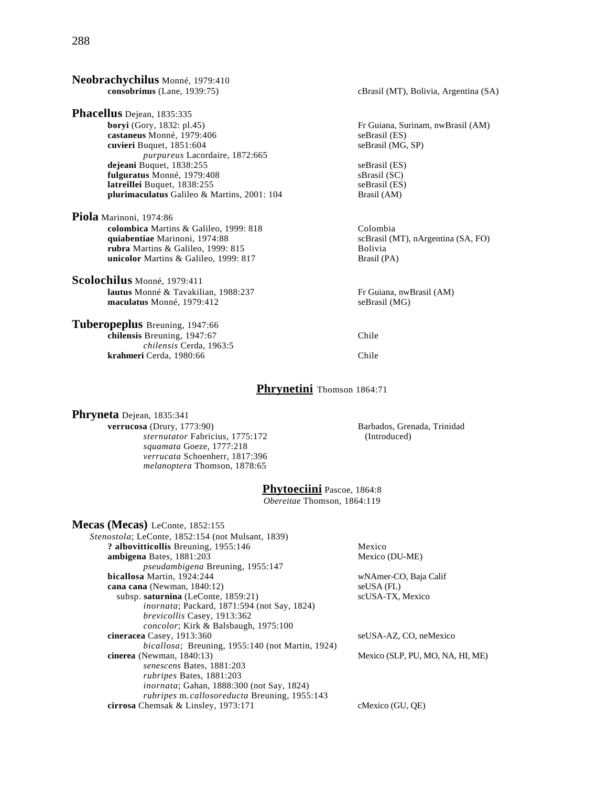**Neobrachychilus** Monné, 1979:410 **consobrinus** (Lane, 1939:75) cBrasil (MT), Bolivia, Argentina (SA) **Phacellus** Dejean, 1835:335<br>boryi (Gory, 1832: pl.45) Fr Guiana, Surinam, nwBrasil (AM) **castaneus** Monné, 1979:406 seBrasil (ES) **cuvieri** Buquet, 1851:604 seBrasil (MG, SP) *purpureus* Lacordaire, 1872:665 **dejeani** Buquet, 1838:255 seBrasil (ES) **fulguratus** Monné, 1979:408 sBrasil (SC)<br> **latreillei** Buquet, 1838:255 seBrasil (ES) **latreillei** Buquet, 1838:255<br> **plurimaculatus** Galileo & Martins, 2001: 104 **blurimaculatus** Galileo & Martins, 2001: 104 **blurimaculatus** Brasil (AM) plurimaculatus Galileo & Martins, 2001: 104 **Piola** Marinoni, 1974:86 **colombica** Martins & Galileo, 1999: 818 Colombia **quiabentiae** Marinoni, 1974:88 scBrasil (MT), nArgentina (SA, FO) **rubra** Martins & Galileo, 1999: 815 Bolivia **unicolor** Martins & Galileo, 1999: 817 Brasil (PA) **Scolochilus** Monné, 1979:411 **lautus** Monné & Tavakilian, 1988:237 Fr Guiana, nwBrasil (AM)<br> **maculatus** Monné, 1979:412 seBrasil (MG) **maculatus** Monné, 1979:412 **Tuberopeplus** Breuning, 1947:66 **chilensis** Breuning, 1947:67 Chile *chilensis* Cerda, 1963:5 **krahmeri** Cerda, 1980:66 Chile

### **Phrynetini** Thomson 1864:71

**Phryneta** Dejean, 1835:341<br>verrucosa (Drury, 1773:90) *sternutator* Fabricius, 1775:172 *squamata* Goeze, 1777:218 *verrucata* Schoenherr, 1817:396 *melanoptera* Thomson, 1878:65

Barbados, Grenada, Trinidad<br>(Introduced)

# **Phytoeciini** Pascoe, 1864:8

*Obereitae* Thomson, 1864:119

| Mecas (Mecas) LeConte, 1852:155                           |                                  |
|-----------------------------------------------------------|----------------------------------|
| <i>Stenostola</i> ; LeConte, 1852:154 (not Mulsant, 1839) |                                  |
| ? albovitticollis Breuning, 1955:146                      | Mexico                           |
| ambigena Bates, 1881:203                                  | Mexico (DU-ME)                   |
| <i>pseudambigena</i> Breuning, 1955:147                   |                                  |
| bicallosa Martin, 1924:244                                | wNAmer-CO, Baja Calif            |
| cana cana (Newman, 1840:12)                               | seUSA (FL)                       |
| subsp. saturnina (LeConte, 1859:21)                       | scUSA-TX, Mexico                 |
| <i>inornata</i> ; Packard, 1871:594 (not Say, 1824)       |                                  |
| <i>brevicollis</i> Casey, 1913:362                        |                                  |
| concolor; Kirk & Balsbaugh, 1975:100                      |                                  |
| cineracea Casey, 1913:360                                 | seUSA-AZ, CO, neMexico           |
| <i>bicallosa</i> ; Breuning, 1955:140 (not Martin, 1924)  |                                  |
| cinerea (Newman, $1840:13$ )                              | Mexico (SLP, PU, MO, NA, HI, ME) |
| senescens Bates, 1881:203                                 |                                  |
| <i>rubripes</i> Bates, 1881:203                           |                                  |
| <i>inornata</i> ; Gahan, 1888:300 (not Say, 1824)         |                                  |
| rubripes m. callosoreducta Breuning, 1955:143             |                                  |
| cirrosa Chemsak & Linsley, $1973:171$                     | cMexico (GU, OE)                 |
|                                                           |                                  |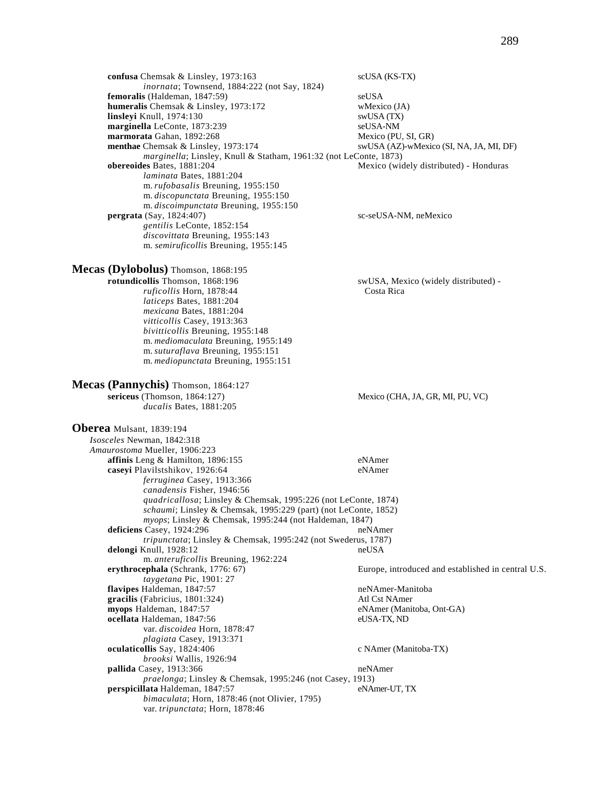| confusa Chemsak & Linsley, 1973:163                                                                                                                                                                                                                                                                                                              | scUSA (KS-TX)                                      |
|--------------------------------------------------------------------------------------------------------------------------------------------------------------------------------------------------------------------------------------------------------------------------------------------------------------------------------------------------|----------------------------------------------------|
| inornata; Townsend, 1884:222 (not Say, 1824)                                                                                                                                                                                                                                                                                                     |                                                    |
| femoralis (Haldeman, 1847:59)                                                                                                                                                                                                                                                                                                                    | seUSA                                              |
| humeralis Chemsak & Linsley, 1973:172                                                                                                                                                                                                                                                                                                            | wMexico (JA)                                       |
| linsleyi Knull, 1974:130                                                                                                                                                                                                                                                                                                                         | swUSA (TX)                                         |
| marginella LeConte, 1873:239                                                                                                                                                                                                                                                                                                                     | seUSA-NM                                           |
| marmorata Gahan, 1892:268                                                                                                                                                                                                                                                                                                                        | Mexico (PU, SI, GR)                                |
| menthae Chemsak & Linsley, 1973:174                                                                                                                                                                                                                                                                                                              | swUSA (AZ)-wMexico (SI, NA, JA, MI, DF)            |
| <i>marginella</i> ; Linsley, Knull & Statham, 1961:32 (not LeConte, 1873)                                                                                                                                                                                                                                                                        |                                                    |
| obereoides Bates, 1881:204                                                                                                                                                                                                                                                                                                                       | Mexico (widely distributed) - Honduras             |
| laminata Bates, 1881:204                                                                                                                                                                                                                                                                                                                         |                                                    |
| m. rufobasalis Breuning, 1955:150                                                                                                                                                                                                                                                                                                                |                                                    |
| m. discopunctata Breuning, 1955:150                                                                                                                                                                                                                                                                                                              |                                                    |
| m. discoimpunctata Breuning, 1955:150                                                                                                                                                                                                                                                                                                            |                                                    |
| pergrata $(Say, 1824:407)$                                                                                                                                                                                                                                                                                                                       | sc-seUSA-NM, neMexico                              |
| gentilis LeConte, 1852:154                                                                                                                                                                                                                                                                                                                       |                                                    |
| discovittata Breuning, 1955:143                                                                                                                                                                                                                                                                                                                  |                                                    |
| m. semiruficollis Breuning, 1955:145                                                                                                                                                                                                                                                                                                             |                                                    |
| Mecas (Dylobolus) Thomson, 1868:195<br>rotundicollis Thomson, 1868:196<br>ruficollis Horn, 1878:44<br>laticeps Bates, 1881:204<br>mexicana Bates, 1881:204<br>vitticollis Casey, 1913:363<br>bivitticollis Breuning, 1955:148<br>m. mediomaculata Breuning, 1955:149<br>m. suturaflava Breuning, 1955:151<br>m. mediopunctata Breuning, 1955:151 | swUSA, Mexico (widely distributed) -<br>Costa Rica |
| Mecas (Pannychis) Thomson, 1864:127<br>sericeus (Thomson, 1864:127)<br>ducalis Bates, 1881:205                                                                                                                                                                                                                                                   | Mexico (CHA, JA, GR, MI, PU, VC)                   |
| Oberea Mulsant, 1839:194                                                                                                                                                                                                                                                                                                                         |                                                    |

*Isosceles* Newman, 1842:318 *Amaurostoma* Mueller, 1906:223 **affinis** Leng & Hamilton, 1896:155 eNAmer **caseyi** Plavilstshikov, 1926:64 eNAmer *ferruginea* Casey, 1913:366 *canadensis* Fisher, 1946:56 *quadricallosa*; Linsley & Chemsak, 1995:226 (not LeConte, 1874) *schaumi*; Linsley & Chemsak, 1995:229 (part) (not LeConte, 1852) *myops*; Linsley & Chemsak, 1995:244 (not Haldeman, 1847) **deficiens** Casey, 1924:296 neNAmer *tripunctata*; Linsley & Chemsak, 1995:242 (not Swederus, 1787) delongi Knull, 1928:12 m. *anteruficollis* Breuning, 1962:224<br>erythrocephala (Schrank, 1776: 67) Europe, introduced and established in central U.S. *taygetana* Pic, 1901: 27 **flavipes** Haldeman, 1847:57 neNAmer-Manitoba **gracilis** (Fabricius, 1801:324) Atl Cst NAmer **myops** Haldeman, 1847:57 eNAmer (Manitoba, Ont-GA) **ocellata** Haldeman, 1847:56 eUSA-TX, ND var. *discoidea* Horn, 1878:47 *plagiata* Casey, 1913:371 **oculaticollis** Say, 1824:406 c NAmer (Manitoba-TX) *brooksi* Wallis, 1926:94 **pallida** Casey, 1913:366 neNAmer *praelonga*; Linsley & Chemsak, 1995:246 (not Casey, 1913) perspicillata Haldeman, 1847:57 *bimaculata*; Horn, 1878:46 (not Olivier, 1795) var. *tripunctata*; Horn, 1878:46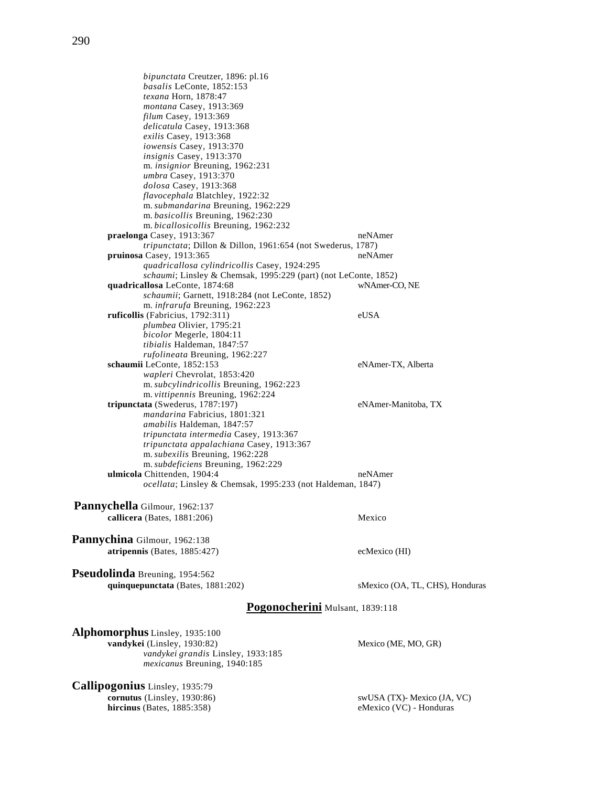290

*bipunctata* Creutzer, 1896: pl.16 *basalis* LeConte, 1852:153 *texana* Horn, 1878:47 *montana* Casey, 1913:369 *filum* Casey, 1913:369 *delicatula* Casey, 1913:368 *exilis* Casey, 1913:368 *iowensis* Casey, 1913:370 *insignis* Casey, 1913:370 m. *insignior* Breuning, 1962:231 *umbra* Casey, 1913:370 *dolosa* Casey, 1913:368 *flavocephala* Blatchley, 1922:32 m. *submandarina* Breuning, 1962:229 m. *basicollis* Breuning, 1962:230 m. *bicallosicollis* Breuning, 1962:232 **praelonga** Casey, 1913:367 neNAmer *tripunctata*; Dillon & Dillon, 1961:654 (not Swederus, 1787) **pruinosa** Casey, 1913:365 neNAmer *quadricallosa cylindricollis* Casey, 1924:295 *schaumi*; Linsley & Chemsak, 1995:229 (part) (not LeConte, 1852) **quadricallosa** LeConte, 1874:68 wNAmer-CO, NE *schaumii*; Garnett, 1918:284 (not LeConte, 1852) m. *infrarufa* Breuning, 1962:223 **ruficollis** (Fabricius, 1792:311) eUSA *plumbea* Olivier, 1795:21 *bicolor* Megerle, 1804:11 *tibialis* Haldeman, 1847:57 *rufolineata* Breuning, 1962:227 **schaumii** LeConte, 1852:153 eNAmer-TX, Alberta *wapleri* Chevrolat, 1853:420 m. *subcylindricollis* Breuning, 1962:223 m. *vittipennis* Breuning, 1962:224 **tripunctata** (Swederus, 1787:197) eNAmer-Manitoba, TX *mandarina* Fabricius, 1801:321 *amabilis* Haldeman, 1847:57 *tripunctata intermedia* Casey, 1913:367 *tripunctata appalachiana* Casey, 1913:367 m. *subexilis* Breuning, 1962:228 m. *subdeficiens* Breuning, 1962:229 **ulmicola** Chittenden, 1904:4 neNAmer *ocellata*; Linsley & Chemsak, 1995:233 (not Haldeman, 1847) **Pannychella** Gilmour, 1962:137 **callicera** (Bates, 1881:206) Mexico **Pannychina** Gilmour, 1962:138 **atripennis** (Bates, 1885:427) ecMexico (HI) **Pseudolinda** Breuning, 1954:562 **quinquepunctata** (Bates, 1881:202) sMexico (OA, TL, CHS), Honduras **Pogonocherini** Mulsant, 1839:118

**Alphomorphus** Linsley, 1935:100 **vandykei** (Linsley, 1930:82) Mexico (ME, MO, GR) *vandykei grandis* Linsley, 1933:185 *mexicanus* Breuning, 1940:185

**Callipogonius** Linsley, 1935:79 **cornutus** (Linsley, 1930:86) swUSA (TX)- Mexico (JA, VC) **hircinus** (Bates, 1885:358) eMexico (VC) - Honduras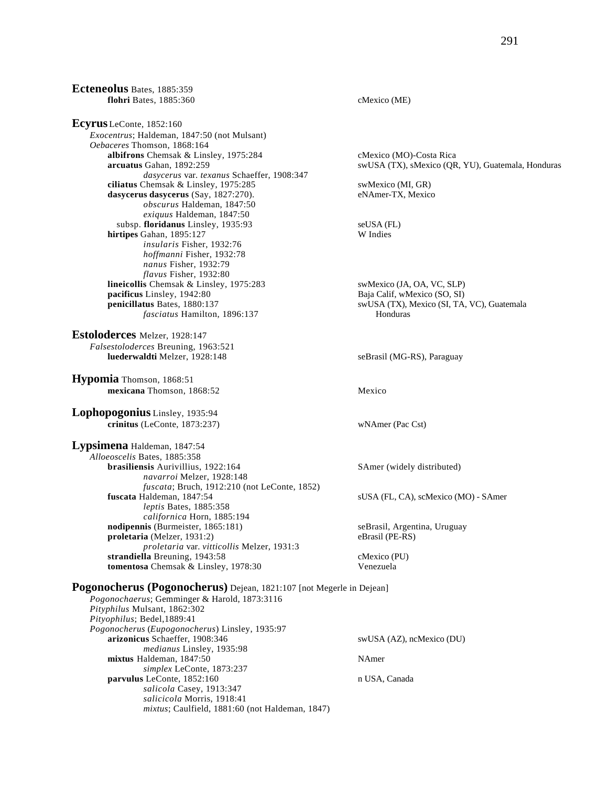**Ecteneolus** Bates, 1885:359 **flohri** Bates, 1885:360 cMexico (ME) **Ecyrus** LeConte, 1852:160 *Exocentrus*; Haldeman, 1847:50 (not Mulsant) *Oebaceres* Thomson, 1868:164 albifrons Chemsak & Linsley, 1975:284 cMexico (MO)-Costa Rica **arcuatus** Gahan, 1892:259 swUSA (TX), sMexico (QR, YU), Guatemala, Honduras *dasycerus* var. *texanus* Schaeffer, 1908:347 **ciliatus** Chemsak & Linsley, 1975:285 swMexico (MI, GR) **dasycerus dasycerus** (Say, 1827:270). eNAmer-TX, Mexico *obscurus* Haldeman, 1847:50 *exiquus* Haldeman, 1847:50 subsp. **floridanus** Linsley, 1935:93 seUSA (FL) **hirtipes** Gahan, 1895:127 W Indies *insularis* Fisher, 1932:76 *hoffmanni* Fisher, 1932:78 *nanus* Fisher, 1932:79 *flavus* Fisher, 1932:80 **lineicollis** Chemsak & Linsley, 1975:283 swMexico (JA, OA, VC, SLP)<br> **pacificus** Linsley, 1942:80 Baja Calif, wMexico (SO, SI) Baja Calif, wMexico (SO, SI) **penicillatus** Bates, 1880:137 swUSA (TX), Mexico (SI, TA, VC), Guatemala *fasciatus* Hamilton, 1896:137 Honduras **Estoloderces** Melzer, 1928:147 *Falsestoloderces* Breuning, 1963:521 **luederwaldti** Melzer, 1928:148 seBrasil (MG-RS), Paraguay **Hypomia** Thomson, 1868:51 **mexicana** Thomson, 1868:52 Mexico **Lophopogonius** Linsley, 1935:94 **crinitus** (LeConte, 1873:237) wNAmer (Pac Cst) **Lypsimena** Haldeman, 1847:54 *Alloeoscelis* Bates, 1885:358 **brasiliensis** Aurivillius, 1922:164 SAmer (widely distributed) *navarroi* Melzer, 1928:148 *fuscata*; Bruch, 1912:210 (not LeConte, 1852) **fuscata** Haldeman, 1847:54 sUSA (FL, CA), scMexico (MO) - SAmer *leptis* Bates, 1885:358 *californica* Horn, 1885:194 **nodipennis** (Burmeister, 1865:181) seBrasil, Argentina, Uruguay **proletaria** (Melzer, 1931:2) eBrasil (PE-RS) *proletaria* var. *vitticollis* Melzer, 1931:3 strandiella Breuning, 1943:58 cMexico (PU) **tomentosa** Chemsak & Linsley, 1978:30 Venezuela **Pogonocherus (Pogonocherus)** Dejean, 1821:107 [not Megerle in Dejean] *Pogonochaerus*; Gemminger & Harold, 1873:3116 *Pityphilus* Mulsant, 1862:302 *Pityophilus*; Bedel,1889:41 *Pogonocherus* (*Eupogonocherus*) Linsley, 1935:97 **arizonicus** Schaeffer, 1908:346 swUSA (AZ), ncMexico (DU) *medianus* Linsley, 1935:98 **mixtus** Haldeman, 1847:50 NAmer *simplex* LeConte, 1873:237

**parvulus** LeConte, 1852:160 n USA, Canada *salicola* Casey, 1913:347 *salicicola* Morris, 1918:41 *mixtus*; Caulfield, 1881:60 (not Haldeman, 1847)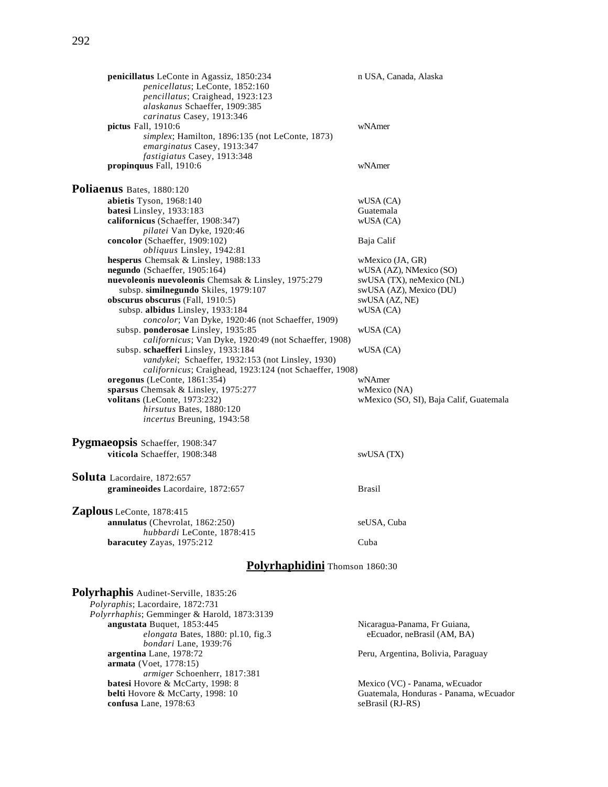| penicillatus LeConte in Agassiz, 1850:234<br>penicellatus; LeConte, 1852:160<br>pencillatus; Craighead, 1923:123<br>alaskanus Schaeffer, 1909:385                 | n USA, Canada, Alaska                   |  |
|-------------------------------------------------------------------------------------------------------------------------------------------------------------------|-----------------------------------------|--|
| carinatus Casey, 1913:346<br>pictus Fall, 1910:6<br>simplex; Hamilton, 1896:135 (not LeConte, 1873)<br>emarginatus Casey, 1913:347<br>fastigiatus Casey, 1913:348 | wNAmer                                  |  |
| propinquus Fall, 1910:6                                                                                                                                           | wNAmer                                  |  |
| Poliaenus Bates, 1880:120                                                                                                                                         |                                         |  |
| abietis Tyson, 1968:140                                                                                                                                           | WUSA (CA)                               |  |
| batesi Linsley, 1933:183                                                                                                                                          | Guatemala                               |  |
| californicus (Schaeffer, 1908:347)                                                                                                                                | wUSA (CA)                               |  |
| pilatei Van Dyke, 1920:46                                                                                                                                         |                                         |  |
| concolor (Schaeffer, 1909:102)                                                                                                                                    | Baja Calif                              |  |
| <i>obliquus</i> Linsley, 1942:81                                                                                                                                  |                                         |  |
| hesperus Chemsak & Linsley, 1988:133                                                                                                                              | wMexico (JA, GR)                        |  |
| negundo (Schaeffer, 1905:164)                                                                                                                                     | wUSA (AZ), NMexico (SO)                 |  |
| nuevoleonis nuevoleonis Chemsak & Linsley, 1975:279                                                                                                               | swUSA (TX), neMexico (NL)               |  |
|                                                                                                                                                                   |                                         |  |
| subsp. similnegundo Skiles, 1979:107                                                                                                                              | swUSA (AZ), Mexico (DU)                 |  |
| obscurus obscurus (Fall, 1910:5)                                                                                                                                  | swUSA (AZ, NE)                          |  |
| subsp. albidus Linsley, 1933:184                                                                                                                                  | wUSA (CA)                               |  |
| concolor; Van Dyke, 1920:46 (not Schaeffer, 1909)                                                                                                                 |                                         |  |
| subsp. ponderosae Linsley, 1935:85                                                                                                                                | wUSA (CA)                               |  |
| californicus; Van Dyke, 1920:49 (not Schaeffer, 1908)                                                                                                             |                                         |  |
| subsp. schaefferi Linsley, 1933:184                                                                                                                               | wUSA (CA)                               |  |
| vandykei; Schaeffer, 1932:153 (not Linsley, 1930)                                                                                                                 |                                         |  |
| californicus; Craighead, 1923:124 (not Schaeffer, 1908)                                                                                                           |                                         |  |
| oregonus (LeConte, 1861:354)                                                                                                                                      | wNAmer                                  |  |
| sparsus Chemsak & Linsley, 1975:277                                                                                                                               | wMexico (NA)                            |  |
| volitans (LeConte, 1973:232)                                                                                                                                      | wMexico (SO, SI), Baja Calif, Guatemala |  |
| hirsutus Bates, 1880:120                                                                                                                                          |                                         |  |
| incertus Breuning, 1943:58                                                                                                                                        |                                         |  |
| Pygmaeopsis Schaeffer, 1908:347                                                                                                                                   |                                         |  |
| viticola Schaeffer, 1908:348                                                                                                                                      | swUSA (TX)                              |  |
|                                                                                                                                                                   |                                         |  |
| Soluta Lacordaire, 1872:657                                                                                                                                       |                                         |  |
| gramineoides Lacordaire, 1872:657                                                                                                                                 | <b>Brasil</b>                           |  |
| Zaplous LeConte, 1878:415                                                                                                                                         |                                         |  |
|                                                                                                                                                                   |                                         |  |
| annulatus (Chevrolat, 1862:250)                                                                                                                                   | seUSA, Cuba                             |  |
| hubbardi LeConte, 1878:415                                                                                                                                        |                                         |  |
| baracutey Zayas, 1975:212                                                                                                                                         | Cuba                                    |  |
| Polyrhaphidini Thomson 1860:30                                                                                                                                    |                                         |  |
|                                                                                                                                                                   |                                         |  |
| Polyrhaphis Audinet-Serville, 1835:26                                                                                                                             |                                         |  |
| Polyraphis; Lacordaire, 1872:731<br>$l$ <sub>unth antice</sub> $C$ <sub>a</sub> mming $v$ <sup>0</sup> H <sub>onald</sub> 1972.2120                               |                                         |  |

*Polyrrhaphis*; Gemminger & Harold, 1873:3139 *elongata* Bates, 1880: pl.10, fig.3 *bondari* Lane, 1939:76<br>argentina Lane, 1978:72 **armata** (Voet, 1778:15) *armiger* Schoenherr, 1817:381 **batesi** Hovore & McCarty, 1998: 8 Mexico (VC) - Panama, wEcuador **belti** Hovore & McCarty, 1998: 10 Guatemala, Honduras - Panama, w **confusa** Lane, 1978:63

Nicaragua-Panama, Fr Guiana, eEcuador, neBrasil (AM, BA)

Peru, Argentina, Bolivia, Paraguay

Guatemala, Honduras - Panama, wEcuador seBrasil (RJ-RS)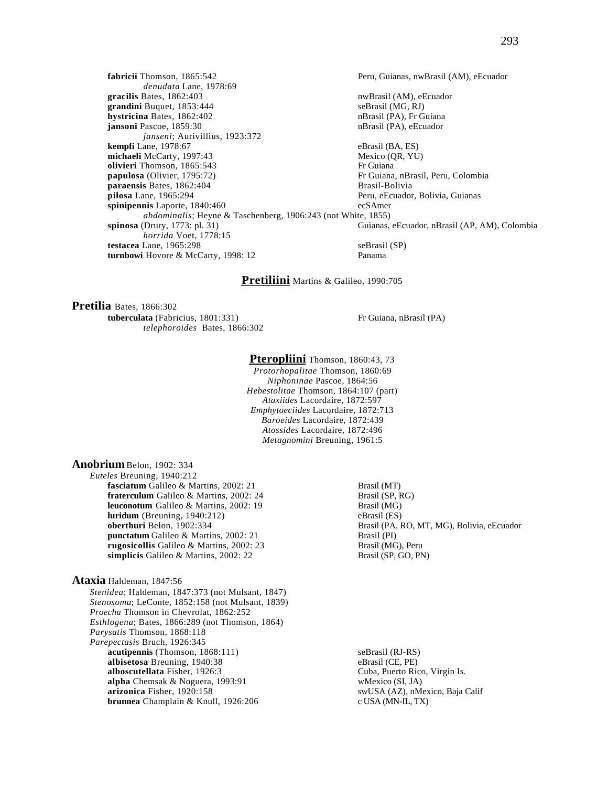**fabricii** Thomson, 1865:542 Peru, Guianas, nwBrasil (AM), eEcuador *denudata* Lane, 1978:69 **gracilis** Bates, 1862:403 **nwBrasil (AM), eEcuador** numbers and numbers of  $\overline{AB}$  numbers and  $\overline{BA}$  numbers of  $\overline{BA}$  numbers of  $\overline{BA}$  numbers of  $\overline{BA}$  numbers of  $\overline{BA}$  numbers of  $\overline{BA}$  numbers of  $\overline{$ **grandini** Buquet, 1853:444 seBrasil (MG, RJ)<br> **hystricina** Bates, 1862:402 seBrasil (PA), Fr Guiana **hystricina** Bates, 1862:402 **jansoni** Pascoe, 1859:30 nBrasil (PA), eEcuador *janseni*; Aurivillius, 1923:372 **kempfi** Lane, 1978:67 eBrasil (BA, ES) **michaeli** McCarty, 1997:43 Mexico (QR, YU) **olivieri** Thomson, 1865:543 **Fr** Guiana<br> **papulosa** (Olivier, 1795:72) **Fr** Guiana Fr Guiana, nBrasil, Peru, Colombia **paraensis** Bates, 1862:404 Brasil-Bolivia **pilosa** Lane, 1965:294 Peru, eEcuador, Bolivia, Guianas **spinipennis** Laporte, 1840:460 ecSAmer *abdominalis*; Heyne & Taschenberg, 1906:243 (not White, 1855) **spinosa** (Drury, 1773: pl. 31) Guianas, Guianas, eEcuador, nBrasil (AP, AM), Colombia *horrida* Voet, 1778:15 **testacea** Lane, 1965:298 seBrasil (SP) **turnbowi** Hovore & McCarty, 1998: 12 Panama

## **Pretiliini** Martins & Galileo, 1990:705

**Pretilia** Bates, 1866:302 **tuberculata** (Fabricius, 1801:331) Fr Guiana, nBrasil (PA) *telephoroides* Bates, 1866:302

#### Pteropliini Thomson, 1860:43, 73

*Protorhopalitae* Thomson, 1860:69 *Niphoninae* Pascoe, 1864:56 *Hebestolitae* Thomson, 1864:107 (part) *Ataxiides* Lacordaire, 1872:597 *Emphytoeciides* Lacordaire, 1872:713 *Baroeides* Lacordaire, 1872:439 *Atossides* Lacordaire, 1872:496 *Metagnomini* Breuning, 1961:5

#### **Anobrium**Belon, 1902: 334

*Euteles* Breuning, 1940:212 **fasciatum** Galileo & Martins, 2002: 21 Brasil (MT)<br> **fraterculum** Galileo & Martins, 2002: 24 Brasil (SP, RG) fraterculum Galileo & Martins, 2002: 24 **leuconotum** Galileo & Martins, 2002: 19 Brasil (MG)<br> **luridum** (Breuning, 1940:212) eBrasil (ES) **luridum** (Breuning, 1940:212)<br>**oberthuri** Belon, 1902:334 **punctatum** Galileo & Martins, 2002: 21 Brasil (PI)<br> **rugosicollis** Galileo & Martins, 2002: 23 Brasil (MG), Peru **rugosicollis** Galileo & Martins, 2002: 23 **simplicis** Galileo & Martins, 2002: 22 Brasil (SP, GO, PN)

## **Ataxia** Haldeman, 1847:56

*Stenidea*; Haldeman, 1847:373 (not Mulsant, 1847) *Stenosoma*; LeConte, 1852:158 (not Mulsant, 1839) *Proecha* Thomson in Chevrolat, 1862:252 *Esthlogena*; Bates, 1866:289 (not Thomson, 1864) *Parysatis* Thomson, 1868:118 *Parepectasis* Bruch, 1926:345 **acutipennis** (Thomson, 1868:111) seBrasil (RJ-RS) seBrasil (RJ-RS) seBrasil (CE, PE) **albisetosa** Breuning, 1940:38<br>**alboscutellata** Fisher, 1926:3 **alpha** Chemsak & Noguera, 1993:91 wMexico (SI, JA) **arizonica** Fisher, 1920:158 swUSA (AZ), nMexico, Baja Calif **brunnea** Champlain & Knull, 1926:206 c USA (MN-IL, TX) **brunnea** Champlain & Knull, 1926:206

Brasil (PA, RO, MT, MG), Bolivia, eEcuador

Cuba, Puerto Rico, Virgin Is.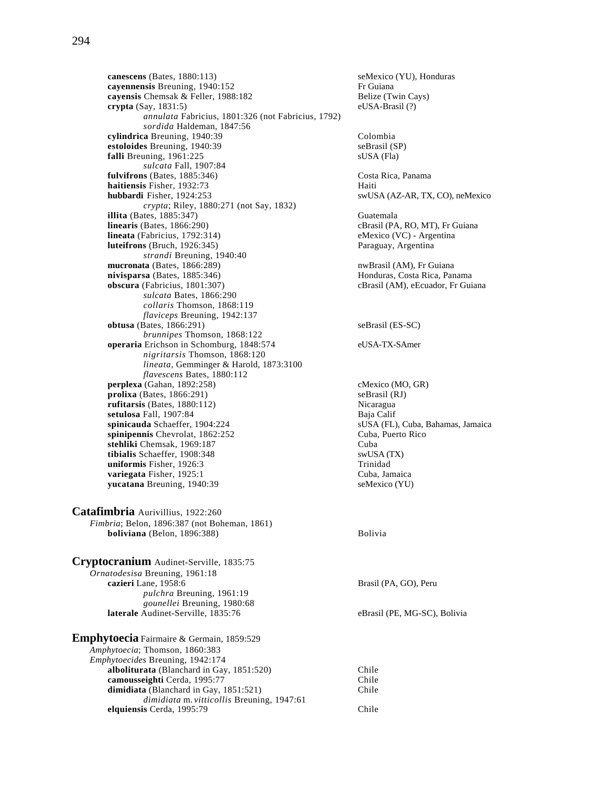**canescens** (Bates, 1880:113)<br> **cayennensis** Breuning, 1940:152<br>
Fr Guiana cayennensis Breuning, 1940:152 **cayensis** Chemsak & Feller, 1988:182 Belize (Twin Cays) **crypta** (Say, 1831:5) eUSA-Brasil (?) *annulata* Fabricius, 1801:326 (not Fabricius, 1792) *sordida* Haldeman, 1847:56 **cylindrica** Breuning, 1940:39 Colombia **estoloides** Breuning, 1940:39 seBrasil (SP) **falli** Breuning, 1961:225 sUSA (Fla) *sulcata* Fall, 1907:84 **fulvifrons** (Bates, 1885:346) Costa Rica, Panama **haitiensis** Fisher, 1932:73 Haiti **hubbardi** Fisher, 1924:253 swUSA (AZ-AR, TX, CO), neMexico *crypta*; Riley, 1880:271 (not Say, 1832) **illita** (Bates, 1885:347) Guatemala **linearis** (Bates, 1866:290)<br> **lineata** (Fabricius, 1792:314) **cBrasil (PA, RO, MT), Fr Guiana**<br>
eMexico (VC) - Argentina **lineata** (Fabricius, 1792:314) eMexico (VC) - Argentina<br> **luteifrons** (Bruch, 1926:345) eMexico (VC) - Argentina **luteifrons** (Bruch, 1926:345) *strandi* Breuning, 1940:40 **mucronata** (Bates, 1866:289) **nwBrasil** (AM), Fr Guiana **nivisparsa** (Bates, 1885:346) **Honduras, Costa Rica, Panama obscura** (Fabricius, 1801:307) cBrasil (AM), eEcuador, Fr Guiana *sulcata* Bates, 1866:290 *collaris* Thomson, 1868:119 *flaviceps* Breuning, 1942:137 **obtusa** (Bates, 1866:291) seBrasil (ES-SC) *brunnipes* Thomson, 1868:122 **operaria** Erichson in Schomburg, 1848:574 eUSA-TX-SAmer *nigritarsis* Thomson, 1868:120 *lineata*, Gemminger & Harold, 1873:3100 *flavescens* Bates, 1880:112 **perplexa** (Gahan, 1892:258) cMexico (MO, GR)<br> **prolixa** (Bates, 1866:291) seBrasil (RJ)  $\mathbf{prolixa}$  (Bates, 1866:291) **rufitarsis** (Bates, 1880:112) <br>**rufitarsis** (Bates, 1880:112) **Nicaragua**<br>**Baia Calif** setulosa Fall, 1907:84 **spinicauda** Schaeffer, 1904:224 sUSA (FL), Cuba, Bahamas, Jamaica **spinipennis** Chevrolat, 1862:252 Cuba, Puerto Rico<br> **stehliki** Chemsak. 1969:187 Cuba **stehliki** Chemsak, 1969:187<br> **ibialis** Schaeffer, 1908:348<br>
swUSA (TX) tibialis Schaeffer, 1908:348 **uniformis** Fisher, 1926:3 Trinidad **variegata** Fisher, 1925:1 Cuba, Jamaica **yucatana** Breuning, 1940:39 seMexico (YU)

**Catafimbria** Aurivillius, 1922:260 *Fimbria*; Belon, 1896:387 (not Boheman, 1861) **boliviana** (Belon, 1896:388) Bolivia

| Cryptocranium Audinet-Serville, 1835:75   |                              |
|-------------------------------------------|------------------------------|
| Ornatodesisa Breuning, 1961:18            |                              |
| cazieri Lane, 1958:6                      | Brasil (PA, GO), Peru        |
| <i>pulchra</i> Breuning, 1961:19          |                              |
| gounellei Breuning, 1980:68               |                              |
| laterale Audinet-Serville, 1835:76        | eBrasil (PE, MG-SC), Bolivia |
| Emphytoecia Fairmaire & Germain, 1859:529 |                              |

*Amphytoecia*; Thomson, 1860:383 *Emphytoecides* Breuning, 1942:174 **alboliturata** (Blanchard in Gay, 1851:520) Chile<br> **camousseighti** Cerda, 1995:77 Chile **camousseighti Cerda, 1995:77** dimidiata (Blanchard in Gay, 1851:521) Chile *dimidiata* m. *vitticollis* Breuning, 1947:61 **elquiensis** Cerda, 1995:79 Chile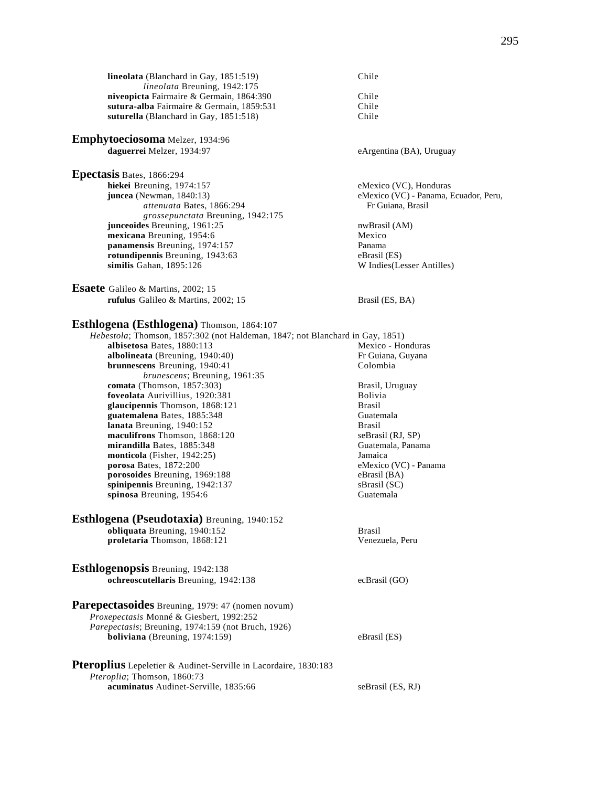**lineolata** (Blanchard in Gay, 1851:519) Chile *lineolata* Breuning, 1942:175 **niveopicta** Fairmaire & Germain, 1864:390 Chile **sutura-alba** Fairmaire & Germain, 1859:531 Chile<br>**suturella** (Blanchard in Gay, 1851:518) Chile suturella (Blanchard in Gay, 1851:518)

**Emphytoeciosoma** Melzer, 1934:96 daguerrei Melzer, 1934:97 eArgentina (BA), Uruguay

**Epectasis** Bates, 1866:294

**hiekei** Breuning, 1974:157 eMexico (VC), Honduras **juncea** (Newman, 1840:13) eMexico (VC) - Panama, Ecuador, Peru, *attenuata* Bates, 1866:294 Fr Guiana, Brasil *grossepunctata* Breuning, 1942:175 **junceoides** Breuning, 1961:25 nwBrasil (AM) **mexicana** Breuning, 1954:6 Mexico **panamensis** Breuning, 1974:157 Panama **rotundipennis** Breuning, 1943:63 eBrasil (ES) eBrasil (ES) eBrasil (ES) eBrasil (ES) eBrasil (ES) eBrasil (ES) eBrasil (ES) eBrasil (ES) eBrasil (ES) eBrasil (ES) eBrasil (ES) eBrasil (ES) eBrasil (ES) eBrasil (ES) eBrasi

**Esaete** Galileo & Martins, 2002; 15 **rufulus** Galileo & Martins, 2002; 15 Brasil (ES, BA)

## **Esthlogena (Esthlogena)** Thomson, 1864:107

| <i>Hebestola</i> ; Thomson, 1857:302 (not Haldeman, 1847; not Blanchard in Gay, 1851) |                       |
|---------------------------------------------------------------------------------------|-----------------------|
| albisetosa Bates, 1880:113                                                            | Mexico - Honduras     |
| albolineata (Breuning, 1940:40)                                                       | Fr Guiana, Guyana     |
| brunnescens Breuning, 1940:41                                                         | Colombia              |
| <i>brunescens</i> ; Breuning, 1961:35                                                 |                       |
| <b>comata</b> (Thomson, 1857:303)                                                     | Brasil, Uruguay       |
| foveolata Aurivillius, 1920:381                                                       | <b>Bolivia</b>        |
| glaucipennis Thomson, 1868:121                                                        | <b>Brasil</b>         |
| guatemalena Bates, 1885:348                                                           | Guatemala             |
| lanata Breuning, 1940:152                                                             | <b>Brasil</b>         |
| maculifrons Thomson, 1868:120                                                         | seBrasil (RJ, SP)     |
| mirandilla Bates, 1885:348                                                            | Guatemala, Panama     |
| <b>monticola</b> (Fisher, $1942:25$ )                                                 | Jamaica               |
| porosa Bates, 1872:200                                                                | eMexico (VC) - Panama |
| porosoides Breuning, 1969:188                                                         | eBrasil (BA)          |
| spinipennis Breuning, 1942:137                                                        | sBrasil (SC)          |
| spinosa Breuning, 1954:6                                                              | Guatemala             |
| Esthlogena (Pseudotaxia) Breuning, 1940:152                                           |                       |
| obliquata Breuning, 1940:152                                                          | <b>Brasil</b>         |
| proletaria Thomson, 1868:121                                                          | Venezuela, Peru       |

**Esthlogenopsis** Breuning, 1942:138 **ochreoscutellaris** Breuning, 1942:138 ecBrasil (GO)

**Parepectasoides** Breuning, 1979: 47 (nomen novum) *Proxepectasis* Monné & Giesbert, 1992:252 *Parepectasis*; Breuning, 1974:159 (not Bruch, 1926) **boliviana** (Breuning, 1974:159) eBrasil (ES)

#### **Pteroplius** Lepeletier & Audinet-Serville in Lacordaire, 1830:183 *Pteroplia*; Thomson, 1860:73 **acuminatus** Audinet-Serville, 1835:66 seBrasil (ES, RJ)

W Indies(Lesser Antilles)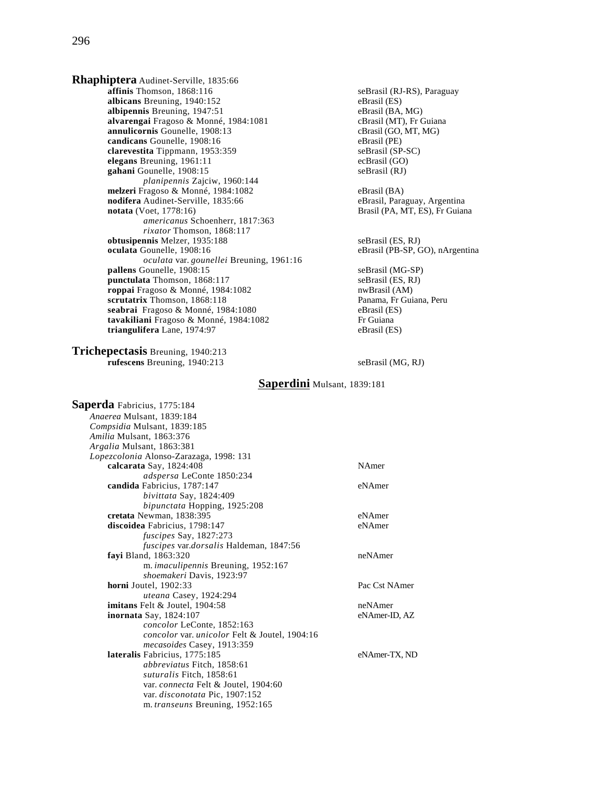**Rhaphiptera** Audinet-Serville, 1835:66 **affinis** Thomson, 1868:116 seBrasil (RJ-RS), Paraguay **albicans** Breuning, 1940:152<br> **albipennis** Breuning, 1947:51<br> **albipennis** Breuning, 1947:51 albipennis Breuning, 1947:51 **alvarengai** Fragoso & Monné, 1984:1081 cBrasil (MT), Fr Guiana<br> **annulicornis** Gounelle, 1908:13 cBrasil (GO, MT, MG) annulicornis Gounelle, 1908:13 **candicans** Gounelle, 1908:16 eBrasil (PE) **clarevestita** Tippmann, 1953:359 seBrasil (SP-SC)<br> **elegans** Breuning, 1961:11 ceBrasil (GO) **elegans** Breuning, 1961:11 ecBrasil (GO)<br> **example and the example of the example of the example of the example of the example of the example of the example of the example of the example of the example of the example of t** gahani Gounelle, 1908:15 *planipennis* Zajciw, 1960:144 **melzeri** Fragoso & Monné, 1984:1082<br> **nodifera** Audinet-Serville, 1835:66<br> **eBrasil, Paraguay, Argentina nodifera** Audinet-Serville, 1835:66 **notata** (Voet, 1778:16) Brasil (PA, MT, ES), Fr Guiana *americanus* Schoenherr, 1817:363 *rixator* Thomson, 1868:117 **obtusipennis** Melzer, 1935:188 seBrasil (ES, RJ)<br> **oculata** Gounelle, 1908:16 seBrasil (PB-SP, C *oculata* var. *gounellei* Breuning, 1961:16 **pallens** Gounelle, 1908:15 seBrasil (MG-SP) **punctulata** Thomson, 1868:117 seBrasil (ES, RJ) **roppai** Fragoso & Monné, 1984:1082 nwBrasil (AM)<br> **scrutatrix** Thomson, 1868:118 **numerical Panama, Francisc** Panama, Francisco Panama, Peru **scrutatrix** Thomson, 1868:118 Panama, Fr Guidana, Panama, Fr Guidana, Panama, Pr Guiana, Pr Guiana, Pr Guiana, Pr Guiana, Pr Guiana, Pr Guiana, Pr Guiana, Pr Guiana, Pr Guiana, Pr Guiana, Pr Guiana, Pr Guiana, Pr Guiana, seabrai Fragoso & Monné, 1984:1080 tavakiliani Fragoso & Monné, 1984:1082 Fr Guiana **triangulifera** Lane, 1974:97 eBrasil (ES)

**Trichepectasis** Breuning, 1940:213 **rufescens** Breuning, 1940:213 seBrasil (MG, RJ)

eBrasil (PB-SP, GO), nArgentina

## **Saperdini** Mulsant, 1839:181

| Saperda Fabricius, 1775:184                                 |               |
|-------------------------------------------------------------|---------------|
| Anaerea Mulsant, 1839:184                                   |               |
| Compsidia Mulsant, 1839:185                                 |               |
| Amilia Mulsant, 1863:376                                    |               |
| Argalia Mulsant, 1863:381                                   |               |
| Lopezcolonia Alonso-Zarazaga, 1998: 131                     |               |
| calcarata Say, 1824:408                                     | NAmer         |
| adspersa LeConte 1850:234                                   |               |
| candida Fabricius, 1787:147                                 | eNAmer        |
| bivittata Say, 1824:409                                     |               |
| bipunctata Hopping, 1925:208                                |               |
| cretata Newman, 1838:395                                    | eNAmer        |
| discoidea Fabricius, 1798:147                               | eNAmer        |
| fuscipes Say, 1827:273                                      |               |
| fuscipes var.dorsalis Haldeman, 1847:56                     |               |
| fayi Bland, 1863:320                                        | neNAmer       |
| m. imaculipennis Breuning, 1952:167                         |               |
| shoemakeri Davis, 1923:97                                   |               |
| horni Joutel, 1902:33                                       | Pac Cst NAmer |
| uteana Casey, 1924:294                                      |               |
| <b>imitans</b> Felt & Joutel, 1904:58                       | neNAmer       |
| inornata Say, 1824:107                                      | eNAmer-ID, AZ |
| concolor LeConte, 1852:163                                  |               |
| <i>concolor</i> var. <i>unicolor</i> Felt & Joutel, 1904:16 |               |
| mecasoides Casey, 1913:359                                  |               |
| lateralis Fabricius, 1775:185                               | eNAmer-TX, ND |
| <i>abbreviatus</i> Fitch, 1858:61                           |               |
| suturalis Fitch, 1858:61                                    |               |
| var. <i>connecta</i> Felt & Joutel, 1904:60                 |               |
| var. disconotata Pic, 1907:152                              |               |
| m. transeuns Breuning, 1952:165                             |               |
|                                                             |               |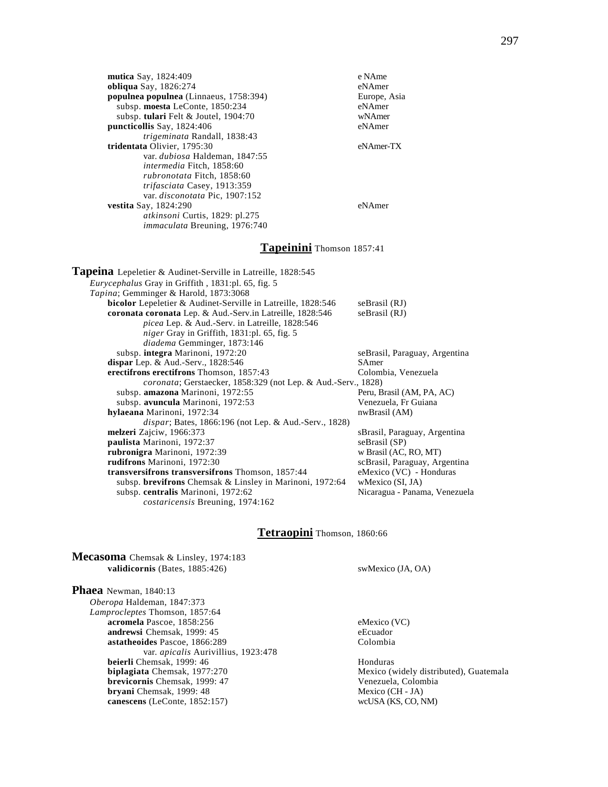| <b>mutica</b> Say, 1824:409                   | e NAme       |
|-----------------------------------------------|--------------|
| <b>obliqua</b> Say, 1826:274                  | eNAmer       |
| <b>populnea populnea</b> (Linnaeus, 1758:394) | Europe, Asia |
| subsp. moesta LeConte, 1850:234               | eNAmer       |
| subsp. tulari Felt & Joutel, $1904:70$        | wNAmer       |
| puncticollis Say, 1824:406                    | eNAmer       |
| trigeminata Randall, 1838:43                  |              |
| tridentata Olivier, 1795:30                   | eNAmer-TX    |
| var. dubiosa Haldeman, 1847:55                |              |
| intermedia Fitch, 1858:60                     |              |
| rubronotata Fitch, 1858:60                    |              |
| trifasciata Casey, 1913:359                   |              |
| var. disconotata Pic, 1907:152                |              |
| <b>vestita</b> Say, 1824:290                  | eNAmer       |
| <i>atkinsoni</i> Curtis, 1829: pl.275         |              |
| <i>immaculata</i> Breuning, 1976:740          |              |
|                                               |              |

## **Tapeinini** Thomson 1857:41

**Tapeina** Lepeletier & Audinet-Serville in Latreille, 1828:545 *Eurycephalus* Gray in Griffith , 1831:pl. 65, fig. 5 *Tapina*; Gemminger & Harold, 1873:3068 **bicolor** Lepeletier & Audinet-Serville in Latreille, 1828:546 seBrasil (RJ) **coronata coronata** Lep. & Aud.-Serv.in Latreille, 1828:546 seBrasil (RJ) *picea* Lep. & Aud.-Serv. in Latreille, 1828:546 *niger* Gray in Griffith, 1831:pl. 65, fig. 5 *diadema* Gemminger, 1873:146 subsp. **integra** Marinoni, 1972:20 seBrasil, Paraguay, Argentina dispar Lep. & Aud.-Serv., 1828:546 SAmer<br> **erectifrons erectifrons** Thomson, 1857:43 Colombia, Venezuela **erectifrons erectifrons** Thomson, 1857:43 *coronata*; Gerstaecker, 1858:329 (not Lep. & Aud.-Serv., 1828) subsp. **amazona** Marinoni, 1972:55 Peru, Brasil (AM, PA, AC) subsp. **avuncula** Marinoni, 1972:53 Venezuela, Fr Guiana **hylaeana** Marinoni, 1972:34 nwBrasil (AM) *dispar*; Bates, 1866:196 (not Lep. & Aud.-Serv., 1828) **melzeri** Zajciw, 1966:373 sBrasil, Paraguay, Argentina **paulista** Marinoni, 1972:37 seBrasil (SP) **rubronigra** Marinoni, 1972:39<br> **rudifrons** Marinoni, 1972:30<br> **rudifrons** Marinoni, 1972:30  $scBrasil$ , Paraguay, Argentina **transversifrons transversifrons** Thomson, 1857:44 eMexico (VC) - Honduras subsp. **brevifrons** Chemsak & Linsley in Marinoni, 1972:64 wMexico (SI, JA)<br>subsp. **centralis** Marinoni, 1972:62 Nicaragua - Panama, Venezuela subsp. **centralis** Marinoni, 1972:62 *costaricensis* Breuning, 1974:162

## **Tetraopini** Thomson, 1860:66

**Mecasoma** Chemsak & Linsley, 1974:183 **validicornis** (Bates, 1885:426) swMexico (JA, OA)

**Phaea** Newman, 1840:13 *Oberopa* Haldeman, 1847:373 *Lamprocleptes* Thomson, 1857:64 **acromela** Pascoe, 1858:256 eMexico (VC) **andrewsi** Chemsak, 1999: 45 eEcuador **astatheoides** Pascoe, 1866:289 Colombia var. *apicalis* Aurivillius, 1923:478 **beierli** Chemsak, 1999: 46<br> **biplagiata** Chemsak, 1977:270 Mexico (v **brevicornis** Chemsak, 1999: 47 Venezuela, Colombia **bryani** Chemsak, 1999: 48 Mexico (CH - JA)<br> **canescens** (LeConte, 1852:157) wcUSA (KS, CO, NM)  $canescens$  (LeConte,  $1852:157$ )

**Mexico** (widely distributed), Guatemala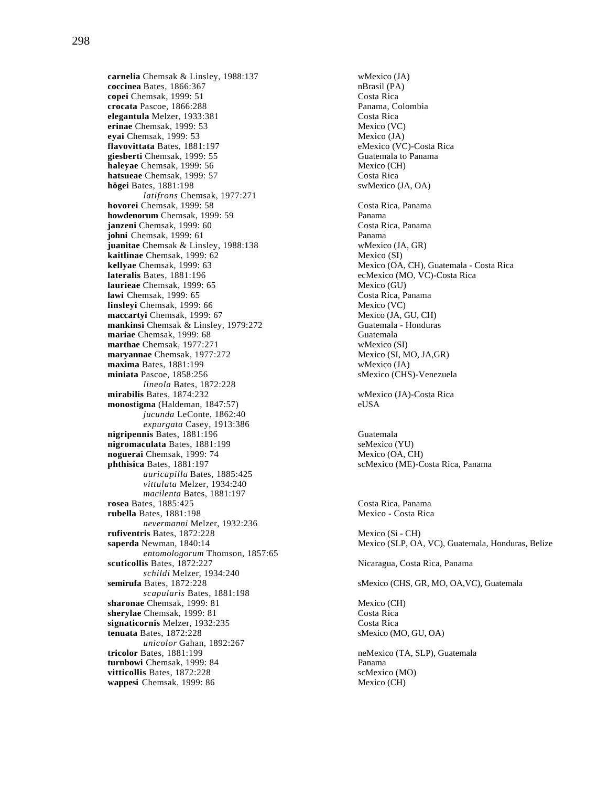**carnelia** Chemsak & Linsley, 1988:137 wMexico (JA)<br> **coccinea** Bates, 1866:367 nBrasil (PA) coccinea Bates, 1866:367 **copei** Chemsak, 1999: 51 Costa Rica **crocata** Pascoe, 1866:288 **Panama, Colombia**<br> **elegantula** Melzer. 1933:381 Costa Rica **elegantula** Melzer, 1933:381 **erinae** Chemsak, 1999: 53 Mexico (VC) **eyai** Chemsak, 1999: 53<br> **exais flavovittata** Bates, 1881:197 **and the Secure Control of the Mexico (VC)-Costa Rica flavovittata Bates, 1881:197 giesberti** Chemsak, 1999: 55 Guatemala to Panama **haleyae** Chemsak, 1999: 56 Mexico (CH) **hatsueae** Chemsak, 1999: 57 Costa Rica **högei** Bates, 1881:198 swMexico (JA, OA) *latifrons* Chemsak, 1977:271 **hovorei** Chemsak, 1999: 58 Costa Rica, Panama **howdenorum** Chemsak, 1999: 59 **Panama janzeni** Chemsak, 1999: 60 Costa Rica, Panama **johni** Chemsak, 1999: 61 Panama **juanitae** Chemsak & Linsley, 1988:138 wMexico (JA, GR) **kaitlinae** Chemsak, 1999: 62 Mexico (SI) **kellyae** Chemsak, 1999: 63 Mexico (OA, CH), Guatemala - Costa Rica **lateralis** Bates, 1881:196 **ecMexico** (MO, VC)-Costa Rica **laurieae** Chemsak, 1999: 65 Mexico (GU) **lawi** Chemsak, 1999: 65 Costa Rica, Panama<br> **linslevi** Chemsak, 1999: 66 Costa Rica, Panama **linsleyi** Chemsak, 1999: 66 **maccartyi** Chemsak, 1999: 67 Mexico (JA, GU, CH) **mankinsi** Chemsak & Linsley, 1979:272 Guatemala - Honduras **mariae** Chemsak, 1999: 68 Guatemala **marthae** Chemsak, 1977:271<br> **marvannae** Chemsak, 1977:272 Mexico (SI, MO, JA,GR) **maryannae** Chemsak, 1977:272 **maxima** Bates, 1881:199 wMexico (JA) **miniata** Pascoe, 1858:256 sMexico (CHS)-Venezuela *lineola* Bates, 1872:228 **mirabilis** Bates, 1874:232 wMexico (JA)-Costa Rica **monostigma** (Haldeman, 1847:57) eUSA *jucunda* LeConte, 1862:40 *expurgata* Casey, 1913:386 **nigripennis** Bates, 1881:196 Guatemala **nigromaculata** Bates, 1881:199 seMexico (YU) **noguerai** Chemsak, 1999: 74 Mexico (OA, CH) **phthisica** Bates, 1881:197 scMexico (ME)-Costa Rica, Panama *auricapilla* Bates, 1885:425 *vittulata* Melzer, 1934:240 *macilenta* Bates, 1881:197 **rosea** Bates, 1885:425 Costa Rica, Panama **rubella** Bates, 1881:198 Mexico - Costa Rica *nevermanni* Melzer, 1932:236 **rufiventris** Bates, 1872:228 Mexico (Si - CH) *entomologorum* Thomson, 1857:65 **scuticollis** Bates, 1872:227 Nicaragua, Costa Rica, Panama *schildi* Melzer, 1934:240 *scapularis* Bates, 1881:198 **sharonae** Chemsak, 1999: 81 Mexico (CH) **sherylae** Chemsak, 1999: 81 Costa Rica **signaticornis** Melzer, 1932:235 Costa Rica<br> **costa Rica**<br>
Same Sales, 1872:228 Costa Rica<br>
Same Sales, 1872:228 *unicolor* Gahan, 1892:267 **tricolor** Bates, 1881:199 neMexico (TA, SLP), Guatemala **turnbowi** Chemsak, 1999: 84 Panama **vitticollis** Bates, 1872:228 scMexico (MO)<br> **wappesi** Chemsak, 1999: 86 Mexico (CH) wappesi Chemsak, 1999: 86

**saperda** Newman, 1840:14 Mexico (SLP, OA, VC), Guatemala, Honduras, Belize **semirufa** Bates, 1872:228 sMexico (CHS, GR, MO, OA, VC), Guatemala sMexico (MO, GU, OA)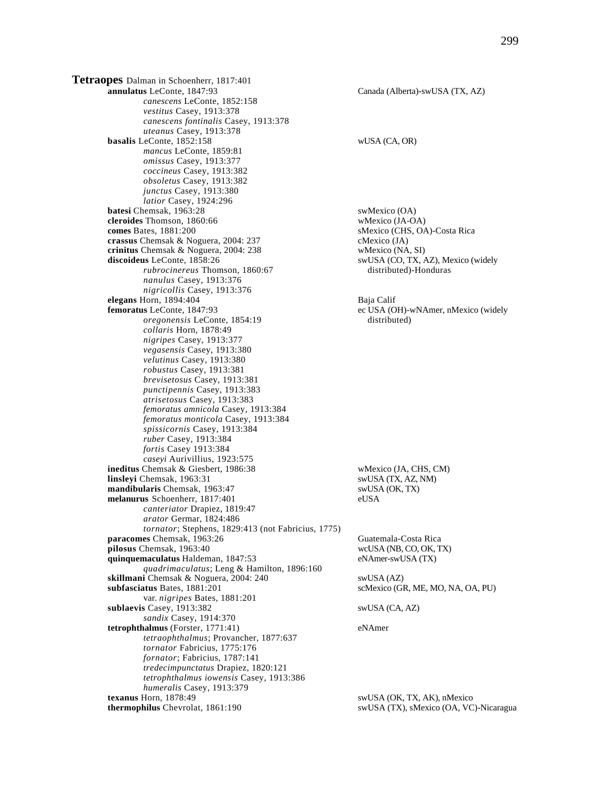**Tetraopes** Dalman in Schoenherr, 1817:401 **annulatus** LeConte, 1847:93 Canada (Alberta)-swUSA (TX, AZ) *canescens* LeConte, 1852:158 *vestitus* Casey, 1913:378 *canescens fontinalis* Casey, 1913:378 *uteanus* Casey, 1913:378 **basalis** LeConte, 1852:158 wUSA (CA, OR) *mancus* LeConte, 1859:81 *omissus* Casey, 1913:377 *coccineus* Casey, 1913:382 *obsoletus* Casey, 1913:382 *junctus* Casey, 1913:380 *latior* Casey, 1924:296 **batesi** Chemsak, 1963:28<br> **cleroides** Thomson. 1860:66 swMexico (JA-OA) **cleroides** Thomson, 1860:66 **comes** Bates, 1881:200 sMexico (CHS, OA)-Costa Rica **crassus** Chemsak & Noguera, 2004: 237 cMexico (JA)<br> **crinitus** Chemsak & Noguera, 2004: 238 wMexico (NA, SI) crinitus Chemsak & Noguera, 2004: 238 **discoideus** LeConte, 1858:26 swUSA (CO, TX, AZ), Mexico (widely *rubrocinereus* Thomson, 1860:67 distributed)-Honduras *nanulus* Casey, 1913:376 *nigricollis* Casey, 1913:376 **elegans** Horn, 1894:404<br> **femoratus** LeConte, 1847:93<br>
ec USA (O *oregonensis* LeConte, 1854:19 distributed) *collaris* Horn, 1878:49 *nigripes* Casey, 1913:377 *vegasensis* Casey, 1913:380 *velutinus* Casey, 1913:380 *robustus* Casey, 1913:381 *brevisetosus* Casey, 1913:381 *punctipennis* Casey, 1913:383 *atrisetosus* Casey, 1913:383 *femoratus amnicola* Casey, 1913:384 *femoratus monticola* Casey, 1913:384 *spissicornis* Casey, 1913:384 *ruber* Casey, 1913:384 *fortis* Casey 1913:384 *caseyi* Aurivillius, 1923:575 **ineditus** Chemsak & Giesbert, 1986:38 wMexico (JA, CHS, CM) **linsleyi** Chemsak, 1963:31 swUSA (TX, AZ, NM) **mandibularis** Chemsak, 1963:47 swUSA (OK, TX) **melanurus** Schoenherr, 1817:401 eUSA *canteriator* Drapiez, 1819:47 *arator* Germar, 1824:486 *tornator*; Stephens, 1829:413 (not Fabricius, 1775) **paracomes** Chemsak, 1963:26 Guatemala-Costa Rica **pilosus** Chemsak, 1963:40 wcUSA (NB, CO, OK, TX) **quinquemaculatus** Haldeman, 1847:53 eNAmer-swUSA (TX) *quadrimaculatus*; Leng & Hamilton, 1896:160 skillmani Chemsak & Noguera, 2004: 240 swUSA (AZ) **subfasciatus** Bates, 1881:201 scMexico (GR, ME, MO, NA, OA, PU) var. *nigripes* Bates, 1881:201 **sublaevis** Casey, 1913:382 swUSA (CA, AZ) *sandix* Casey, 1914:370 **tetrophthalmus** (Forster, 1771:41) eNAmer *tetraophthalmus*; Provancher, 1877:637 *tornator* Fabricius, 1775:176 *fornator*; Fabricius, 1787:141 *tredecimpunctatus* Drapiez, 1820:121 *tetrophthalmus iowensis* Casey, 1913:386 *humeralis* Casey, 1913:379 **texanus** Horn, 1878:49 swUSA (OK, TX, AK), nMexico

ec USA (OH)-wNAmer, nMexico (widely

**thermophilus** Chevrolat, 1861:190 swUSA (TX), sMexico (OA, VC)-Nicaragua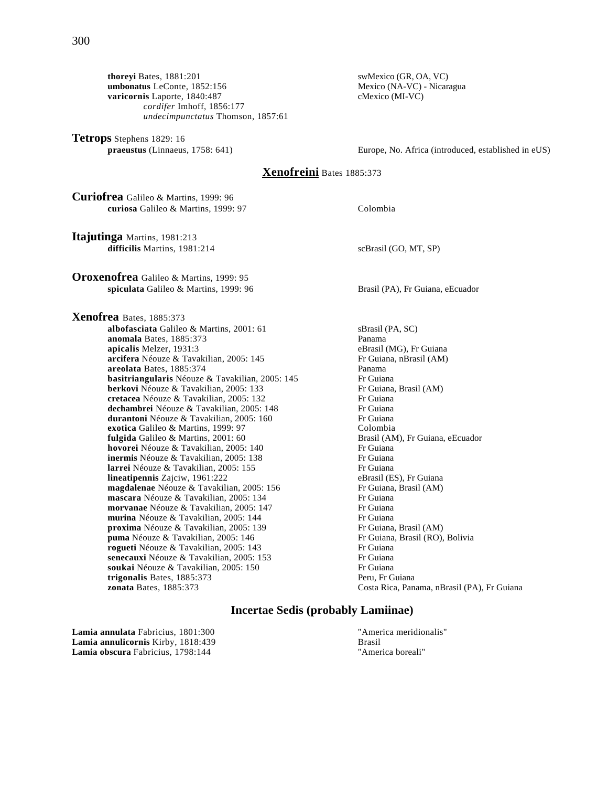**thoreyi** Bates, 1881:201<br> **umbonatus** LeConte, 1852:156<br> **there** is the swatco (GR, OA, VC)<br> **Nexico (NA-VC)** - Nicaragua **umbonatus** LeConte, 1852:156 **varicornis** Laporte, 1840:487 cMexico (MI-VC) *cordifer* Imhoff, 1856:177 *undecimpunctatus* Thomson, 1857:61

**Tetrops** Stephens 1829: 16<br>**praeustus** (Linnaeus, 1758: 641)

Europe, No. Africa (introduced, established in eUS)

## **Xenofreini** Bates 1885:373

**Curiofrea** Galileo & Martins, 1999: 96 **curiosa** Galileo & Martins, 1999: 97 Colombia

**Itajutinga** Martins, 1981:213 **difficilis** Martins, 1981:214 scBrasil (GO, MT, SP)

**Oroxenofrea** Galileo & Martins, 1999: 95 **spiculata** Galileo & Martins, 1999: 96 Brasil (PA), Fr Guiana, eEcuador

**Xenofrea** Bates, 1885:373 albofasciata Galileo & Martins, 2001: 61 sBrasil (PA, SC) **anomala** Bates, 1885:373<br> **apicalis** Melzer, 1931:3<br> **apicalis** Melzer, 1931:3 apicalis Melzer, 1931:3 **arcifera** Néouze & Tavakilian, 2005: 145 Fr Guiana, nBrasil (AM) **areolata** Bates, 1885:374<br> **basitriangularis** Néouze & Tavakilian. 2005: 145 Fr Guiana **basitriangularis** Néouze & Tavakilian, 2005: 145 Fr Guiana<br> **berkovi** Néouze & Tavakilian, 2005: 133 Fr Guiana, Brasil (AM) **berkovi** Néouze & Tavakilian, 2005: 133 **cretacea** Néouze & Tavakilian, 2005: 132 Fr Guiana **dechambrei** Néouze & Tavakilian, 2005: 148 Fr Guiana **durantoni** Néouze & Tavakilian, 2005: 160 Fr Guiana **exotica** Galileo & Martins, 1999: 97<br> **fulgida** Galileo & Martins, 2001: 60<br> **Example 3** Brasil (AM), Fr Guiana, eEcuador fulgida Galileo & Martins, 2001: 60 **hovorei** Néouze & Tavakilian, 2005: 140 Fr Guiana **inermis** Néouze & Tavakilian, 2005: 138 Fr Guiana **larrei** Néouze & Tavakilian, 2005: 155 **lineatipennis** Zajciw, 1961:222 eBrasil (ES), Fr Guiana **magdalenae** Néouze & Tavakilian, 2005: 156 Fr Guiana, Brasil (AM) **mascara** Néouze & Tavakilian, 2005: 134 Fr Guiana<br> **morvanae** Néouze & Tavakilian. 2005: 147 Fr Guiana **morvanae** Néouze & Tavakilian, 2005: 147 **murina** Néouze & Tavakilian, 2005: 144 Fr Guiana **proxima** Néouze & Tavakilian, 2005: 139 Fr Guiana, Brasil (AM) **puma** Néouze & Tavakilian, 2005: 146 Fr Guiana, Brasil (RO), Bolivia **rogueti** Néouze & Tavakilian, 2005: 143<br> **richoriana senecauxi** Néouze & Tavakilian. 2005: 153 Fr Guiana **senecauxi** Néouze & Tavakilian, 2005: 153 Fr Guiana<br> **soukai** Néouze & Tavakilian. 2005: 150 Fr Guiana soukai Néouze & Tavakilian, 2005: 150 **trigonalis** Bates, 1885:373 Peru, Fr Guiana **zonata** Bates, 1885:373 Costa Rica, Panama, nBrasil (PA), Fr Guiana

## **Incertae Sedis (probably Lamiinae)**

**Lamia annulata** Fabricius, 1801:300 TAmerica meridionalis" **Lamia annulicornis** Kirby, 1818:439 Brasil **Lamia obscura** Fabricius, 1798:144 "America boreali"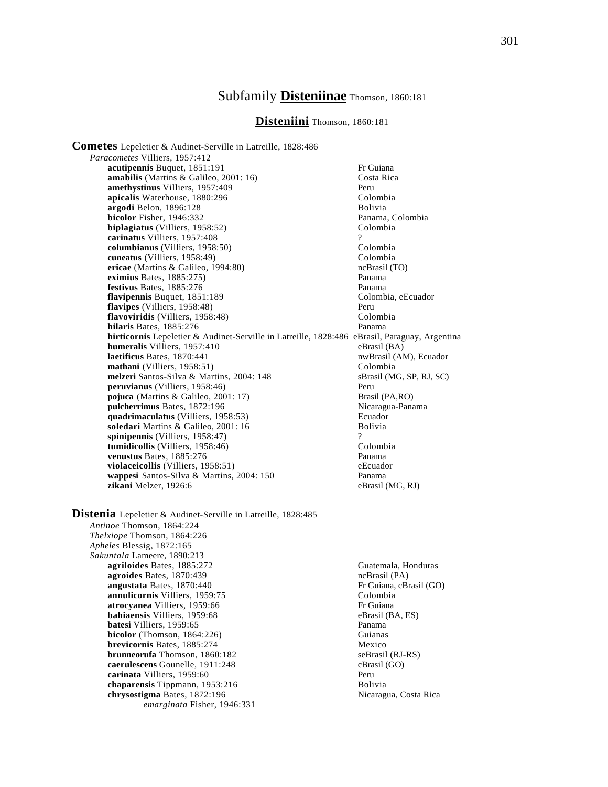## Subfamily **Disteniinae** Thomson, 1860:181

## **Disteniini** Thomson, 1860:181

**Cometes** Lepeletier & Audinet-Serville in Latreille, 1828:486 *Paracometes* Villiers, 1957:412 **acutipennis** Buquet, 1851:191 Fr Guiana **amabilis** (Martins & Galileo, 2001: 16) Costa Rica **amethystinus** Villiers, 1957:409<br> **apicalis** Waterhouse, 1880:296<br>
Colombia apicalis Waterhouse, 1880:296 **argodi** Belon, 1896:128 **Bolivia**<br> **bicolor** Fisher, 1946:332 **Bolivia** Bolivia Panama, Colombia **bicolor** Fisher, 1946:332 **biplagiatus** (Villiers, 1958:52) Colombia **carinatus** Villiers, 1957:408 ? **columbianus** (Villiers, 1958:50) Colombia<br> **cuneatus** (Villiers, 1958:49) Colombia **cuneatus** (Villiers, 1958:49) **ericae** (Martins & Galileo, 1994:80) ncBrasil (TO) **eximius** Bates, 1885:275) Panama **festivus** Bates, 1885:276 **Panama**<br> **flavipennis** Buquet, 1851:189 **Panama**<br>
Colombia, eEcuador **flavipennis Buquet, 1851:189 flavipes** (Villiers, 1958:48) Peru **flavoviridis** (Villiers, 1958:48) Colombia **hilaris** Bates, 1885:276 Panama **hirticornis** Lepeletier & Audinet-Serville in Latreille, 1828:486 eBrasil, Paraguay, Argentina **humeralis** Villiers, 1957:410 eBrasil (BA) **laetificus** Bates, 1870:441 nwBrasil (AM), Ecuador **mathani** (Villiers, 1958:51) Colombia melzeri Santos-Silva & Martins, 2004: 148 sBrasil (MG, SP, RJ, SC) **peruvianus** (Villiers, 1958:46) Peru **pojuca** (Martins & Galileo, 2001: 17) Brasil (PA,RO) **pulcherrimus** Bates, 1872:196 Nicaragua-Panama **quadrimaculatus** (Villiers, 1958:53) Ecuador soledari Martins & Galileo, 2001: 16 spinipennis *(Villiers, 1958:47)* **tumidicollis** (Villiers, 1958:46) Colombia **venustus** Bates, 1885:276 Panama **violaceicollis** (Villiers, 1958:51) eEcuador **wappesi** Santos-Silva & Martins, 2004: 150 Panama<br> **zikani** Melzer, 1926:6 eBrasil (MG, RJ) zikani Melzer, 1926:6

**Distenia** Lepeletier & Audinet-Serville in Latreille, 1828:485 *Antinoe* Thomson, 1864:224 *Thelxiope* Thomson, 1864:226 *Apheles* Blessig, 1872:165 *Sakuntala* Lameere, 1890:213 **agriloides** Bates, 1885:272 Guatemala, Honduras<br> **agroides** Bates, 1870:439 Guatemala, Honduras **agroides** Bates, 1870:439<br> **angustata** Bates, 1870:440<br> **angustata** Bates, 1870:440 **angustata** Bates, 1870:440 **annulicornis** Villiers, 1959:75 Colombia **atrocyanea** Villiers, 1959:66 Fr Guiana **bahiaensis** Villiers, 1959:68 eBrasil (BA, ES) **batesi Villiers, 1959:65** Panama<br> **bicolor** (Thomson, 1864:226) **Panama** Guianas  $bicolor$  (Thomson,  $1864:226$ ) **brevicornis** Bates, 1885:274 Mexico **brunneorufa** Thomson, 1860:182 seBrasil (RJ-RS) **caerulescens** Gounelle, 1911:248 cBrasil (GO) **carinata** Villiers, 1959:60 Peru **chaparensis Tippmann, 1953:216 Bolivia chrysostigma** Bates, 1872:196 **Nicaragua, Costa Rica** *emarginata* Fisher, 1946:331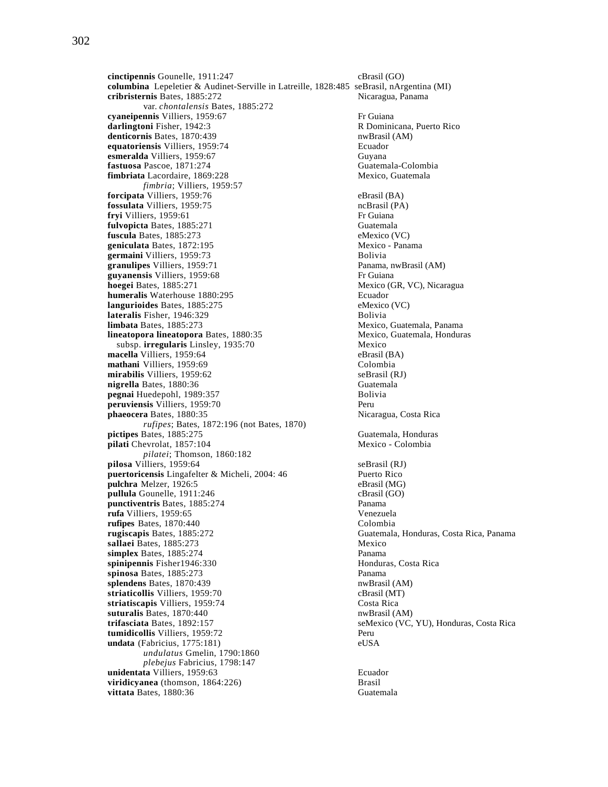**cinctipennis** Gounelle, 1911:247 cBrasil (GO) **columbina** Lepeletier & Audinet-Serville in Latreille, 1828:485 seBrasil, nArgentina (MI) **cribristernis** Bates, 1885:272 Nicaragua, Panama var. *chontalensis* Bates, 1885:272 **cyaneipennis** Villiers, 1959:67<br> **darlingtoni** Fisher, 1942:3 **Friday R** Dominicana, Puerto Rico darlingtoni Fisher, 1942:3 denticornis Bates, 1870:439 nwBrasil (AM) **equatoriensis** Villiers, 1959:74 Ecuador **esmeralda** Villiers, 1959:67 Guyana **fastuosa** Pascoe, 1871:274<br> **fimbriata** Lacordaire, 1869:228 **Guatemala-Colombia**<br>
Mexico, Guatemala **fimbriata** Lacordaire, 1869:228 *fimbria*; Villiers, 1959:57 **forcipata** Villiers, 1959:76 eBrasil (BA)<br> **fossulata** Villiers, 1959:75 eBrasil (PA) **fossulata** Villiers, 1959:75 ncBrasil (Pa) ncBrasil (Pa) ncBrasil (Pa) ncBrasil (Pa) ncBrasil (Pa) ncBrasil (Pa) ncBrasil (Pa) ncBrasil (Pa) ncBrasil (Pa) ncBrasil (Pa) ncBrasil (Pa) ncBrasil (Pa) ncBrasil (Pa) ncBrasil ( fryi Villiers, 1959:61 **fulvopicta** Bates, 1885:271 Guatemala **fuscula** Bates, 1885:273 eMexico (VC)<br> **geniculata** Bates, 1872:195 eMexico - Panama geniculata Bates, 1872:195 **germaini** Villiers, 1959:73<br> **granulipes** Villiers, 1959:71 Bolivia<br>
Panama, nwBrasil (AM) granulipes Villiers, 1959:71 **guyanensis** Villiers, 1959:68 Fr Guiana **hoegei** Bates, 1885:271 Mexico (GR, VC), Nicaragua<br> **humeralis** Waterhouse 1880:295 **Mexico Executor** Ecuador **humeralis** Waterhouse 1880:295<br> **diametrical langurioides** Bates, 1885:275 **langurioides** Bates, 1885:275 **lateralis** Fisher, 1946:329 Bolivia **limbata** Bates, 1885:273 Mexico, Guatemala, Panama **lineatopora lineatopora** Bates, 1880:35 Mexico, Guatemala, Honduras subsp. **irregularis** Linsley, 1935:70 Mexico<br> **acella** Villiers. 1959:64 eBrasil (BA) **macella** Villiers, 1959:64 eBrasil (BA) eBrasil (BA) eBrasil (BA) eBrasil (BA) eBrasil (BA) eBrasil (BA) eBrasil (BA) eBrasil (BA) eBrasil (BA) eBrasil (BA) eBrasil (BA) eBrasil (BA) eBrasil (BA) eBrasil (BA) eBrasil (BA) mathani Villiers, 1959:69 **mirabilis** Villiers, 1959:62 seBrasil (RJ) **nigrella** Bates, 1880:36 Guatemala<br> **negnai** Huedepohl. 1989:357 Guatemala pegnai Huedepohl, 1989:357 **peruviensis** Villiers, 1959:70<br> **phaeocera** Bates, 1880:35 **Perumane Service School** Politicaragua, Costa Rica phaeocera Bates, 1880:35 *rufipes*; Bates, 1872:196 (not Bates, 1870) **pictipes** Bates, 1885:275 Guatemala, Honduras<br> **pilati** Chevrolat, 1857:104 Guatemala, Honduras pilati Chevrolat, 1857:104 *pilatei*; Thomson, 1860:182 **pilosa** Villiers, 1959:64 seBrasil (RJ) **puertoricensis** Lingafelter & Micheli, 2004: 46 Puerto Rico **pulchra** Melzer, 1926:5 eBrasil (MG) **pullula** Gounelle, 1911:246 cBrasil (GO)<br> **punctiventris** Bates, 1885:274 Panama punctiventris Bates, 1885:274 **rufa** Villiers, 1959:65 Venezuela **rufipes** Bates, 1870:440 Colombia **rugiscapis** Bates, 1885:272 Guatemala, Honduras, Costa Rica, Panama **sallaei** Bates, 1885:273 Mexico **simplex** Bates, 1885:274 Panama **spinipennis** Fisher1946:330 Honduras, Costa Rica **spinosa** Bates, 1885:273 Panama **splendens** Bates, 1870:439 nwBrasil (AM) **striaticollis** Villiers, 1959:70 cBrasil (MT) **striatiscapis** Villiers, 1959:74 Costa Rica **suturalis** Bates, 1870:440<br> **trifasciata** Bates, 1892:157 **notatally semi-match of the semi-match of the semi-match of the semi-match of the semi-match of the semi-match of the semi-match of the semi-match of the semi-mat** tumidicollis Villiers, 1959:72 **undata** (Fabricius, 1775:181) eUSA *undulatus* Gmelin, 1790:1860 *plebejus* Fabricius, 1798:147 **unidentata** Villiers, 1959:63 Ecuador **viridicyanea** (thomson, 1864:226) **vittata** Bates, 1880:36 Guatemala

seMexico (VC, YU), Honduras, Costa Rica<br>Peru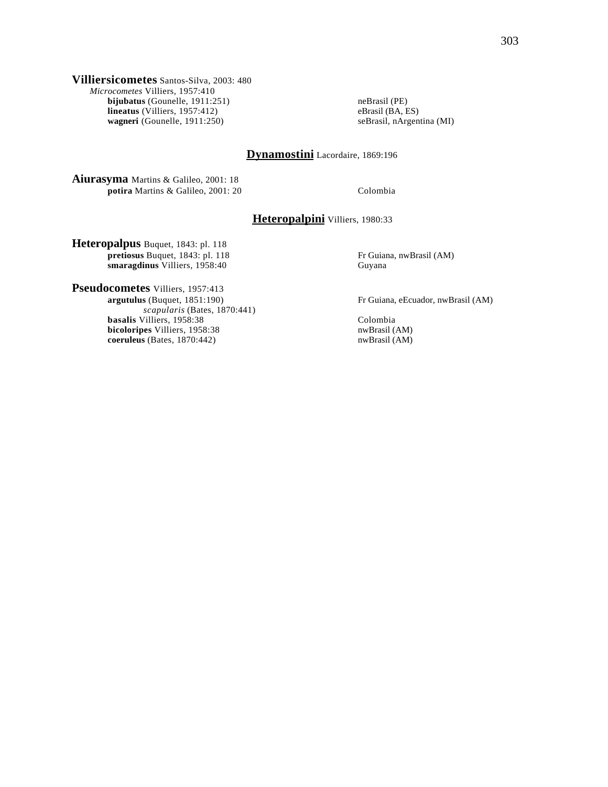**Villiersicometes** Santos-Silva, 2003: 480 *Microcometes* Villiers, 1957:410 **bijubatus** (Gounelle, 1911:251) **neBrasil (PE) hineatus** (Villiers, 1957:412) **eBrasil (BA, ES) eBrasil (BA, ES) lineatus** (Villiers, 1957:412) eBrasil (BA, ES) eBrasil (BA, ES) eBrasil, nArgentina (MI) **wagneri** (Gounelle, 1911:250)

# **Dynamostini** Lacordaire, 1869:196

**Aiurasyma** Martins & Galileo, 2001: 18 **potira** Martins & Galileo, 2001: 20 Colombia

## **Heteropalpini** Villiers, 1980:33

**Heteropalpus** Buquet, 1843: pl. 118 **pretiosus** Buquet, 1843: pl. 118 Fr Guiana, nwBrasil (AM) **smaragdinus** Villiers, 1958:40 Guyana smaragdinus Villiers, 1958:40

**Pseudocometes** Villiers, 1957:413<br>argutulus (Buquet, 1851:190) *scapularis* (Bates, 1870:441) **basalis** Villiers, 1958:38 Colombia **bicoloripes** Villiers, 1958:38 nwBrasil (AM) nwBrasil (AM) nwBrasil (AM) nwBrasil (AM) **coeruleus** (Bates, 1870:442)

Fr Guiana, eEcuador, nwBrasil (AM)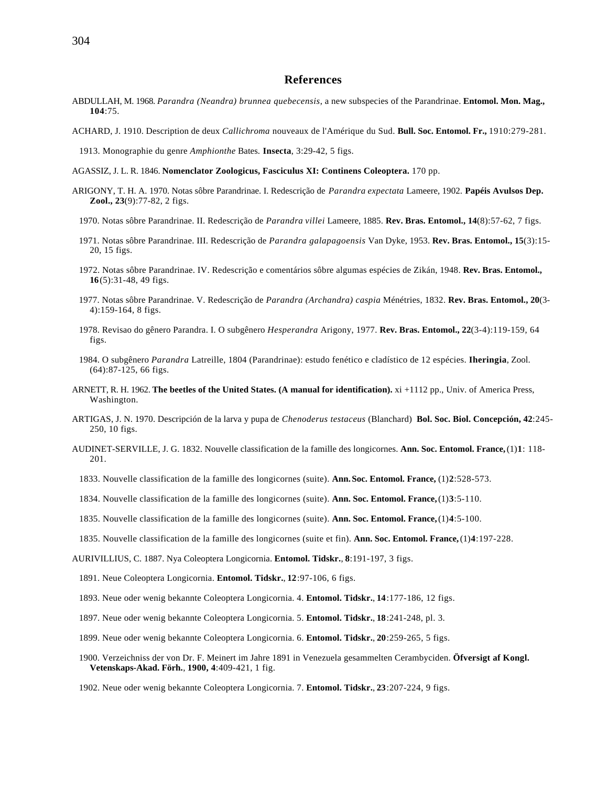#### **References**

- ABDULLAH, M. 1968. *Parandra (Neandra) brunnea quebecensis*, a new subspecies of the Parandrinae. **Entomol. Mon. Mag., 104**:75.
- ACHARD, J. 1910. Description de deux *Callichroma* nouveaux de l'Amérique du Sud. **Bull. Soc. Entomol. Fr.,** 1910:279-281.

1913. Monographie du genre *Amphionthe* Bates. **Insecta**, 3:29-42, 5 figs.

- AGASSIZ, J. L. R. 1846. **Nomenclator Zoologicus, Fasciculus XI: Continens Coleoptera.** 170 pp.
- ARIGONY, T. H. A. 1970. Notas sôbre Parandrinae. I. Redescrição de *Parandra expectata* Lameere, 1902. **Papéis Avulsos Dep. Zool., 23**(9):77-82, 2 figs.
	- 1970. Notas sôbre Parandrinae. II. Redescrição de *Parandra villei* Lameere, 1885. **Rev. Bras. Entomol., 14**(8):57-62, 7 figs.
	- 1971. Notas sôbre Parandrinae. III. Redescrição de *Parandra galapagoensis* Van Dyke, 1953. **Rev. Bras. Entomol., 15**(3):15- 20, 15 figs.
	- 1972. Notas sôbre Parandrinae. IV. Redescrição e comentários sôbre algumas espécies de Zikán, 1948. **Rev. Bras. Entomol., 16**(5):31-48, 49 figs.
	- 1977. Notas sôbre Parandrinae. V. Redescrição de *Parandra (Archandra) caspia* Ménétries, 1832. **Rev. Bras. Entomol., 20**(3- 4):159-164, 8 figs.
	- 1978. Revisao do gênero Parandra. I. O subgênero *Hesperandra* Arigony, 1977. **Rev. Bras. Entomol., 22**(3-4):119-159, 64 figs.
	- 1984. O subgênero *Parandra* Latreille, 1804 (Parandrinae): estudo fenético e cladístico de 12 espécies. **Iheringia**, Zool. (64):87-125, 66 figs.
- ARNETT, R. H. 1962. **The beetles of the United States. (A manual for identification).** xi +1112 pp., Univ. of America Press, Washington.
- ARTIGAS, J. N. 1970. Descripción de la larva y pupa de *Chenoderus testaceus* (Blanchard) **Bol. Soc. Biol. Concepción, 42**:245- 250, 10 figs.
- AUDINET-SERVILLE, J. G. 1832. Nouvelle classification de la famille des longicornes. **Ann. Soc. Entomol. France,** (1)**1**: 118- 201.
	- 1833. Nouvelle classification de la famille des longicornes (suite). **Ann.Soc. Entomol. France,** (1)**2**:528-573.
	- 1834. Nouvelle classification de la famille des longicornes (suite). **Ann. Soc. Entomol. France,** (1)**3**:5-110.
	- 1835. Nouvelle classification de la famille des longicornes (suite). **Ann. Soc. Entomol. France,** (1)**4**:5-100.
	- 1835. Nouvelle classification de la famille des longicornes (suite et fin). **Ann. Soc. Entomol. France,** (1)**4**:197-228.

AURIVILLIUS, C. 1887. Nya Coleoptera Longicornia. **Entomol. Tidskr.**, **8**:191-197, 3 figs.

- 1891. Neue Coleoptera Longicornia. **Entomol. Tidskr.**, **12**:97-106, 6 figs.
- 1893. Neue oder wenig bekannte Coleoptera Longicornia. 4. **Entomol. Tidskr.**, **14**:177-186, 12 figs.
- 1897. Neue oder wenig bekannte Coleoptera Longicornia. 5. **Entomol. Tidskr.**, **18**:241-248, pl. 3.
- 1899. Neue oder wenig bekannte Coleoptera Longicornia. 6. **Entomol. Tidskr.**, **20**:259-265, 5 figs.
- 1900. Verzeichniss der von Dr. F. Meinert im Jahre 1891 in Venezuela gesammelten Cerambyciden. **Öfversigt af Kongl. Vetenskaps-Akad. Förh.**, **1900, 4**:409-421, 1 fig.
- 1902. Neue oder wenig bekannte Coleoptera Longicornia. 7. **Entomol. Tidskr.**, **23**:207-224, 9 figs.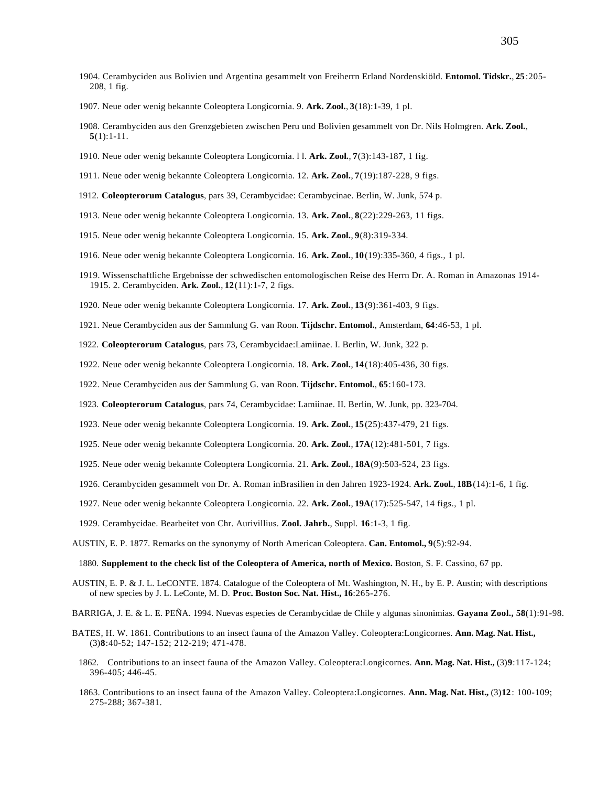- 1904. Cerambyciden aus Bolivien und Argentina gesammelt von Freiherrn Erland Nordenskiöld. **Entomol. Tidskr.**, **25**:205- 208, 1 fig.
- 1907. Neue oder wenig bekannte Coleoptera Longicornia. 9. **Ark. Zool.**, **3**(18):1-39, 1 pl.
- 1908. Cerambyciden aus den Grenzgebieten zwischen Peru und Bolivien gesammelt von Dr. Nils Holmgren. **Ark. Zool.**, **5**(1):1-11.
- 1910. Neue oder wenig bekannte Coleoptera Longicornia. l l. **Ark. Zool.**, **7**(3):143-187, 1 fig.
- 1911. Neue oder wenig bekannte Coleoptera Longicornia. 12. **Ark. Zool.**, **7**(19):187-228, 9 figs.
- 1912. **Coleopterorum Catalogus**, pars 39, Cerambycidae: Cerambycinae. Berlin, W. Junk, 574 p.
- 1913. Neue oder wenig bekannte Coleoptera Longicornia. 13. **Ark. Zool.**, **8**(22):229-263, 11 figs.
- 1915. Neue oder wenig bekannte Coleoptera Longicornia. 15. **Ark. Zool.**, **9**(8):319-334.
- 1916. Neue oder wenig bekannte Coleoptera Longicornia. 16. **Ark. Zool.**, **10**(19):335-360, 4 figs., 1 pl.
- 1919. Wissenschaftliche Ergebnisse der schwedischen entomologischen Reise des Herrn Dr. A. Roman in Amazonas 1914- 1915. 2. Cerambyciden. **Ark. Zool.**, **12**(11):1-7, 2 figs.
- 1920. Neue oder wenig bekannte Coleoptera Longicornia. 17. **Ark. Zool.**, **13**(9):361-403, 9 figs.
- 1921. Neue Cerambyciden aus der Sammlung G. van Roon. **Tijdschr. Entomol.**, Amsterdam, **64**:46-53, 1 pl.
- 1922. **Coleopterorum Catalogus**, pars 73, Cerambycidae:Lamiinae. I. Berlin, W. Junk, 322 p.
- 1922. Neue oder wenig bekannte Coleoptera Longicornia. 18. **Ark. Zool.**, **14**(18):405-436, 30 figs.
- 1922. Neue Cerambyciden aus der Sammlung G. van Roon. **Tijdschr. Entomol.**, **65**:160-173.
- 1923. **Coleopterorum Catalogus**, pars 74, Cerambycidae: Lamiinae. II. Berlin, W. Junk, pp. 323-704.
- 1923. Neue oder wenig bekannte Coleoptera Longicornia. 19. **Ark. Zool.**, **15**(25):437-479, 21 figs.
- 1925. Neue oder wenig bekannte Coleoptera Longicornia. 20. **Ark. Zool.**, **17A**(12):481-501, 7 figs.
- 1925. Neue oder wenig bekannte Coleoptera Longicornia. 21. **Ark. Zool.**, **18A**(9):503-524, 23 figs.
- 1926. Cerambyciden gesammelt von Dr. A. Roman inBrasilien in den Jahren 1923-1924. **Ark. Zool.**, **18B**(14):1-6, 1 fig.
- 1927. Neue oder wenig bekannte Coleoptera Longicornia. 22. **Ark. Zool.**, **19A**(17):525-547, 14 figs., 1 pl.
- 1929. Cerambycidae. Bearbeitet von Chr. Aurivillius. **Zool. Jahrb.**, Suppl. **16**:1-3, 1 fig.
- AUSTIN, E. P. 1877. Remarks on the synonymy of North American Coleoptera. **Can. Entomol., 9**(5):92-94.

1880. **Supplement to the check list of the Coleoptera of America, north of Mexico.** Boston, S. F. Cassino, 67 pp.

- AUSTIN, E. P. & J. L. LeCONTE. 1874. Catalogue of the Coleoptera of Mt. Washington, N. H., by E. P. Austin; with descriptions of new species by J. L. LeConte, M. D. **Proc. Boston Soc. Nat. Hist., 16**:265-276.
- BARRIGA, J. E. & L. E. PEÑA. 1994. Nuevas especies de Cerambycidae de Chile y algunas sinonimias. **Gayana Zool., 58**(1):91-98.
- BATES, H. W. 1861. Contributions to an insect fauna of the Amazon Valley. Coleoptera:Longicornes. **Ann. Mag. Nat. Hist.,** (3)**8**:40-52; 147-152; 212-219; 471-478.
	- 1862. Contributions to an insect fauna of the Amazon Valley. Coleoptera:Longicornes. **Ann. Mag. Nat. Hist.,** (3)**9**:117-124; 396-405; 446-45.
	- 1863. Contributions to an insect fauna of the Amazon Valley. Coleoptera:Longicornes. **Ann. Mag. Nat. Hist.,** (3)**12**: 100-109; 275-288; 367-381.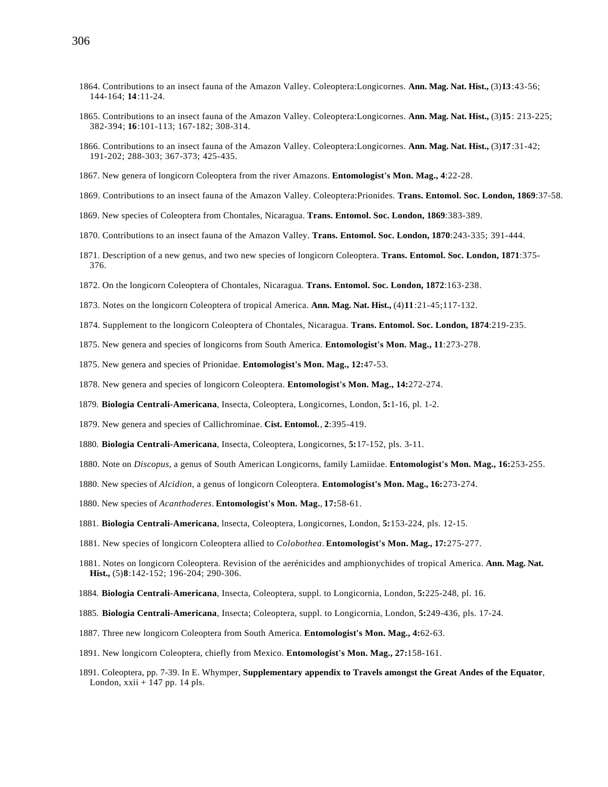- 1864. Contributions to an insect fauna of the Amazon Valley. Coleoptera:Longicornes. **Ann. Mag. Nat. Hist.,** (3)**13**:43-56; 144-164; **14**:11-24.
- 1865. Contributions to an insect fauna of the Amazon Valley. Coleoptera:Longicornes. **Ann. Mag. Nat. Hist.,** (3)**15**: 213-225; 382-394; **16**:101-113; 167-182; 308-314.
- 1866. Contributions to an insect fauna of the Amazon Valley. Coleoptera:Longicornes. **Ann. Mag. Nat. Hist.,** (3)**17**:31-42; 191-202; 288-303; 367-373; 425-435.
- 1867. New genera of longicorn Coleoptera from the river Amazons. **Entomologist's Mon. Mag., 4**:22-28.
- 1869. Contributions to an insect fauna of the Amazon Valley. Coleoptera:Prionides. **Trans. Entomol. Soc. London, 1869**:37-58.
- 1869. New species of Coleoptera from Chontales, Nicaragua. **Trans. Entomol. Soc. London, 1869**:383-389.
- 1870. Contributions to an insect fauna of the Amazon Valley. **Trans. Entomol. Soc. London, 1870**:243-335; 391-444.
- 1871. Description of a new genus, and two new species of longicorn Coleoptera. **Trans. Entomol. Soc. London, 1871**:375- 376.
- 1872. On the longicorn Coleoptera of Chontales, Nicaragua. **Trans. Entomol. Soc. London, 1872**:163-238.
- 1873. Notes on the longicorn Coleoptera of tropical America. **Ann. Mag. Nat. Hist.,** (4)**11**:21-45;117-132.
- 1874. Supplement to the longicorn Coleoptera of Chontales, Nicaragua. **Trans. Entomol. Soc. London, 1874**:219-235.
- 1875. New genera and species of longicorns from South America. **Entomologist's Mon. Mag., 11**:273-278.
- 1875. New genera and species of Prionidae. **Entomologist's Mon. Mag., 12:**47-53.
- 1878. New genera and species of longicorn Coleoptera. **Entomologist's Mon. Mag., 14:**272-274.
- 1879. **Biologia Centrali-Americana**, Insecta, Coleoptera, Longicornes, London, **5:**1-16, pl. 1-2.
- 1879. New genera and species of Callichrominae. **Cist. Entomol.**, **2**:395-419.
- 1880. **Biologia Centrali-Americana**, Insecta, Coleoptera, Longicornes, **5:**17-152, pls. 3-11.
- 1880. Note on *Discopus*, a genus of South American Longicorns, family Lamiidae. **Entomologist's Mon. Mag., 16:**253-255.
- 1880. New species of *Alcidion*, a genus of longicorn Coleoptera. **Entomologist's Mon. Mag., 16:**273-274.
- 1880. New species of *Acanthoderes*. **Entomologist's Mon. Mag.**, **17:**58-61.
- 1881. **Biologia Centrali-Americana**, lnsecta, Coleoptera, Longicornes, London, **5:**153-224, pls. 12-15.
- 1881. New species of longicorn Coleoptera allied to *Colobothea*. **Entomologist's Mon. Mag., 17:**275-277.
- 1881. Notes on longicorn Coleoptera. Revision of the aerénicides and amphionychides of tropical America. **Ann. Mag. Nat. Hist.,** (5)**8**:142-152; 196-204; 290-306.
- 1884. **Biologia Centrali-Americana**, Insecta, Coleoptera, suppl. to Longicornia, London, **5:**225-248, pl. 16.
- 1885. **Biologia Centrali-Americana**, Insecta; Coleoptera, suppl. to Longicornia, London, **5:**249-436, pls. 17-24.
- 1887. Three new longicorn Coleoptera from South America. **Entomologist's Mon. Mag., 4:**62-63.
- 1891. New longicorn Coleoptera, chiefly from Mexico. **Entomologist's Mon. Mag., 27:**158-161.
- 1891. Coleoptera, pp. 7-39. In E. Whymper, **Supplementary appendix to Travels amongst the Great Andes of the Equator**, London,  $xxi + 147$  pp. 14 pls.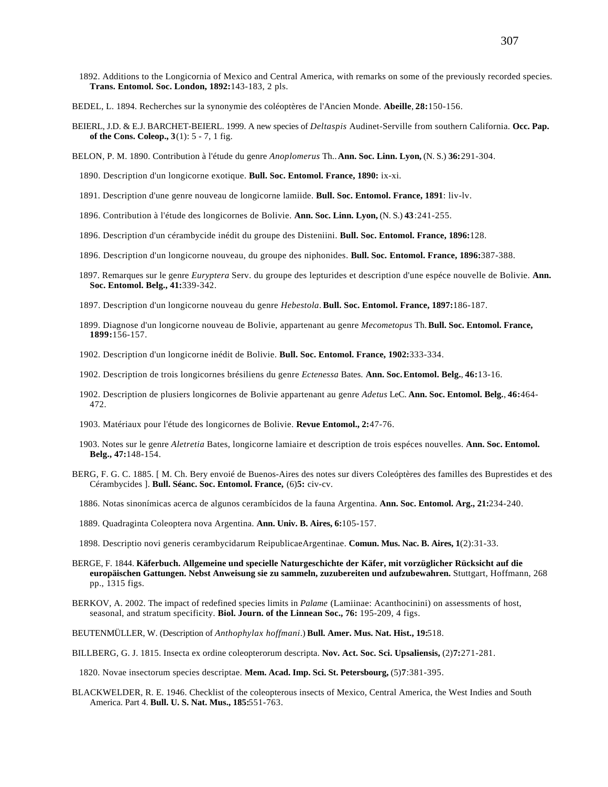- 1892. Additions to the Longicornia of Mexico and Central America, with remarks on some of the previously recorded species. **Trans. Entomol. Soc. London, 1892:**143-183, 2 pls.
- BEDEL, L. 1894. Recherches sur la synonymie des coléoptères de l'Ancien Monde. **Abeille**, **28:**150-156.
- BEIERL, J.D. & E.J. BARCHET-BEIERL. 1999. A new species of *Deltaspis* Audinet-Serville from southern California. **Occ. Pap. of the Cons. Coleop., 3**(1): 5 - 7, 1 fig.
- BELON, P. M. 1890. Contribution à l'étude du genre *Anoplomerus* Th.. **Ann. Soc. Linn. Lyon,** (N. S.) **36:**291-304.
	- 1890. Description d'un longicorne exotique. **Bull. Soc. Entomol. France, 1890:** ix-xi.
	- 1891. Description d'une genre nouveau de longicorne lamiide. **Bull. Soc. Entomol. France, 1891**: liv-lv.
	- 1896. Contribution à l'étude des longicornes de Bolivie. **Ann. Soc. Linn. Lyon,** (N. S.) **43**:241-255.
	- 1896. Description d'un cérambycide inédit du groupe des Disteniini. **Bull. Soc. Entomol. France, 1896:**128.
	- 1896. Description d'un longicorne nouveau, du groupe des niphonides. **Bull. Soc. Entomol. France, 1896:**387-388.
	- 1897. Remarques sur le genre *Euryptera* Serv. du groupe des lepturides et description d'une espéce nouvelle de Bolivie. **Ann. Soc. Entomol. Belg., 41:**339-342.
	- 1897. Description d'un longicorne nouveau du genre *Hebestola*. **Bull. Soc. Entomol. France, 1897:**186-187.
	- 1899. Diagnose d'un longicorne nouveau de Bolivie, appartenant au genre *Mecometopus* Th. **Bull. Soc. Entomol. France, 1899:**156-157.
	- 1902. Description d'un longicorne inédit de Bolivie. **Bull. Soc. Entomol. France, 1902:**333-334.
	- 1902. Description de trois longicornes brésiliens du genre *Ectenessa* Bates. **Ann. Soc.Entomol. Belg.**, **46:**13-16.
	- 1902. Description de plusiers longicornes de Bolivie appartenant au genre *Adetus* LeC. **Ann. Soc. Entomol. Belg.**, **46:**464- 472.
	- 1903. Matériaux pour l'étude des longicornes de Bolivie. **Revue Entomol., 2:**47-76.
	- 1903. Notes sur le genre *Aletretia* Bates, longicorne lamiaire et description de trois espéces nouvelles. **Ann. Soc. Entomol. Belg., 47:**148-154.
- BERG, F. G. C. 1885. [ M. Ch. Bery envoié de Buenos-Aires des notes sur divers Coleóptères des familles des Buprestides et des Cérambycides ]. **Bull. Séanc. Soc. Entomol. France,** (6)**5:** civ-cv.
	- 1886. Notas sinonímicas acerca de algunos cerambícidos de la fauna Argentina. **Ann. Soc. Entomol. Arg., 21:**234-240.
	- 1889. Quadraginta Coleoptera nova Argentina. **Ann. Univ. B. Aires, 6:**105-157.
	- 1898. Descriptio novi generis cerambycidarum ReipublicaeArgentinae. **Comun. Mus. Nac. B. Aires, 1**(2):31-33.
- BERGE, F. 1844. **Käferbuch. Allgemeine und specielle Naturgeschichte der Käfer, mit vorzüglicher Rücksicht auf die europäischen Gattungen. Nebst Anweisung sie zu sammeln, zuzubereiten und aufzubewahren.** Stuttgart, Hoffmann, 268 pp., 1315 figs.
- BERKOV, A. 2002. The impact of redefined species limits in *Palame* (Lamiinae: Acanthocinini) on assessments of host, seasonal, and stratum specificity. **Biol. Journ. of the Linnean Soc., 76:** 195-209, 4 figs.
- BEUTENMÜLLER, W. (Description of *Anthophylax hoffmani*.) **Bull. Amer. Mus. Nat. Hist., 19:**518.
- BILLBERG, G. J. 1815. Insecta ex ordine coleopterorum descripta. **Nov. Act. Soc. Sci. Upsaliensis,** (2)**7:**271-281.
	- 1820. Novae insectorum species descriptae. **Mem. Acad. Imp. Sci. St. Petersbourg,** (5)**7**:381-395.
- BLACKWELDER, R. E. 1946. Checklist of the coleopterous insects of Mexico, Central America, the West Indies and South America. Part 4. **Bull. U. S. Nat. Mus., 185:**551-763.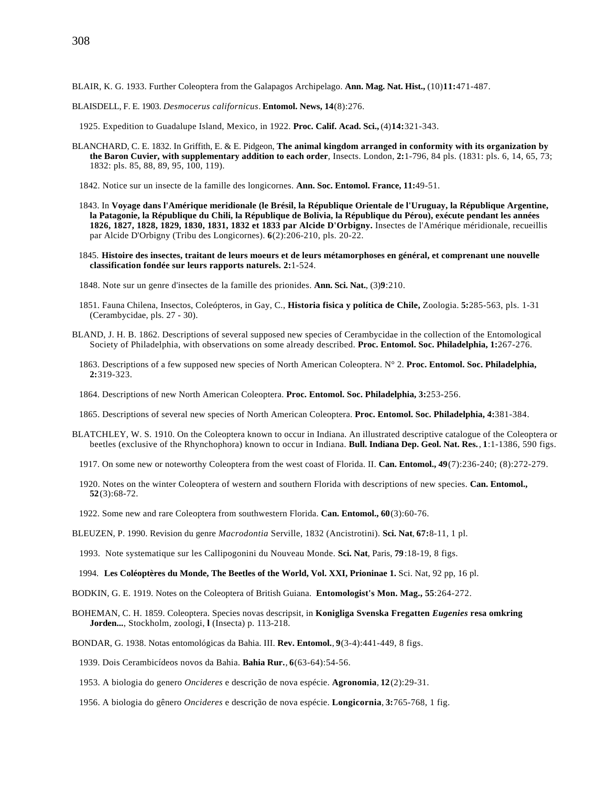BLAIR, K. G. 1933. Further Coleoptera from the Galapagos Archipelago. **Ann. Mag. Nat. Hist.,** (10)**11:**471-487.

BLAISDELL, F. E. 1903. *Desmocerus californicus*. **Entomol. News, 14**(8):276.

1925. Expedition to Guadalupe Island, Mexico, in 1922. **Proc. Calif. Acad. Sci.,** (4)**14:**321-343.

- BLANCHARD, C. E. 1832. In Griffith, E. & E. Pidgeon, **The animal kingdom arranged in conformity with its organization by the Baron Cuvier, with supplementary addition to each order**, Insects. London, **2:**1-796, 84 pls. (1831: pls. 6, 14, 65, 73; 1832: pls. 85, 88, 89, 95, 100, 119).
	- 1842. Notice sur un insecte de la famille des longicornes. **Ann. Soc. Entomol. France, 11:**49-51.
	- 1843. In **Voyage dans l'Amérique meridionale (le Brésil, la République Orientale de l'Uruguay, la République Argentine, la Patagonie, la République du Chili, la République de Bolivia, la République du Pérou), exécute pendant les années 1826, 1827, 1828, 1829, 1830, 1831, 1832 et 1833 par Alcide D'Orbigny.** Insectes de l'Amérique méridionale, recueillis par Alcide D'Orbigny (Tribu des Longicornes). **6**(2):206-210, pls. 20-22.
	- 1845. **Histoire des insectes, traitant de leurs moeurs et de leurs métamorphoses en général, et comprenant une nouvelle classification fondée sur leurs rapports naturels. 2:**1-524.
	- 1848. Note sur un genre d'insectes de la famille des prionides. **Ann. Sci. Nat.**, (3)**9**:210.
	- 1851. Fauna Chilena, Insectos, Coleópteros, in Gay, C., **Historia fisica y política de Chile,** Zoologia. **5:**285-563, pls. 1-31 (Cerambycidae, pls. 27 - 30).
- BLAND, J. H. B. 1862. Descriptions of several supposed new species of Cerambycidae in the collection of the Entomological Society of Philadelphia, with observations on some already described. **Proc. Entomol. Soc. Philadelphia, 1:**267-276.
	- 1863. Descriptions of a few supposed new species of North American Coleoptera. N° 2. **Proc. Entomol. Soc. Philadelphia, 2:**319-323.
	- 1864. Descriptions of new North American Coleoptera. **Proc. Entomol. Soc. Philadelphia, 3:**253-256.
	- 1865. Descriptions of several new species of North American Coleoptera. **Proc. Entomol. Soc. Philadelphia, 4:**381-384.
- BLATCHLEY, W. S. 1910. On the Coleoptera known to occur in Indiana. An illustrated descriptive catalogue of the Coleoptera or beetles (exclusive of the Rhynchophora) known to occur in Indiana. **Bull. Indiana Dep. Geol. Nat. Res.**, **1**:1-1386, 590 figs.
	- 1917. On some new or noteworthy Coleoptera from the west coast of Florida. II. **Can. Entomol., 49**(7):236-240; (8):272-279.
	- 1920. Notes on the winter Coleoptera of western and southern Florida with descriptions of new species. **Can. Entomol., 52**(3):68-72.
	- 1922. Some new and rare Coleoptera from southwestern Florida. **Can. Entomol., 60**(3):60-76.
- BLEUZEN, P. 1990. Revision du genre *Macrodontia* Serville, 1832 (Ancistrotini). **Sci. Nat**, **67:**8-11, 1 pl.
- 1993. Note systematique sur les Callipogonini du Nouveau Monde. **Sci. Nat**, Paris, **79**:18-19, 8 figs.
- 1994. **Les Coléoptères du Monde, The Beetles of the World, Vol. XXI, Prioninae 1.** Sci. Nat, 92 pp, 16 pl.
- BODKIN, G. E. 1919. Notes on the Coleoptera of British Guiana. **Entomologist's Mon. Mag., 55**:264-272.
- BOHEMAN, C. H. 1859. Coleoptera. Species novas descripsit, in **Konigliga Svenska Fregatten** *Eugenies* **resa omkring Jorden...**, Stockholm, zoologi, **l** (Insecta) p. 113-218.
- BONDAR, G. 1938. Notas entomológicas da Bahia. III. **Rev. Entomol.**, **9**(3-4):441-449, 8 figs.
	- 1939. Dois Cerambicídeos novos da Bahia. **Bahia Rur.**, **6**(63-64):54-56.
	- 1953. A biologia do genero *Oncideres* e descrição de nova espécie. **Agronomia**, **12**(2):29-31.
	- 1956. A biologia do gênero *Oncideres* e descrição de nova espécie. **Longicornia**, **3:**765-768, 1 fig.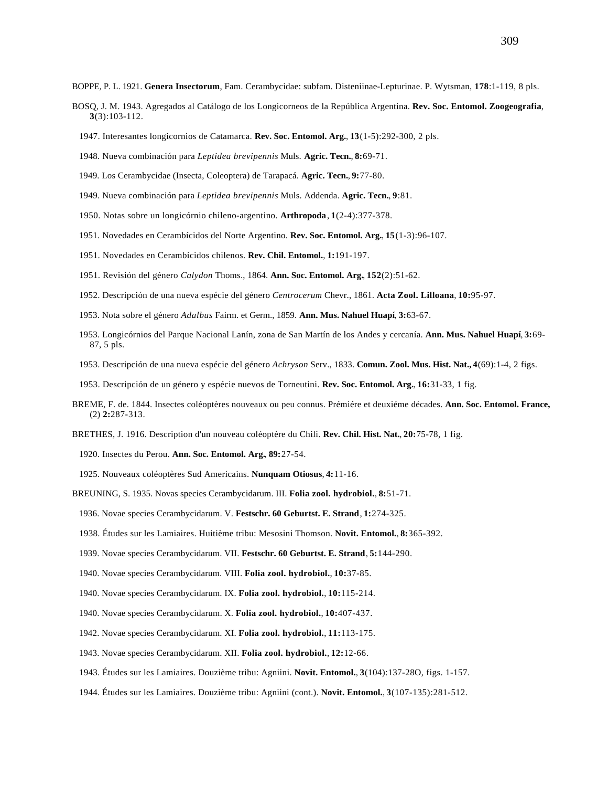BOPPE, P. L. 1921. **Genera Insectorum**, Fam. Cerambycidae: subfam. Disteniinae-Lepturinae. P. Wytsman, **178**:1-119, 8 pls.

- BOSQ, J. M. 1943. Agregados al Catálogo de los Longicorneos de la República Argentina. **Rev. Soc. Entomol. Zoogeografia**, **3**(3):103-112.
	- 1947. Interesantes longicornios de Catamarca. **Rev. Soc. Entomol. Arg.**, **13**(1-5):292-300, 2 pls.
	- 1948. Nueva combinación para *Leptidea brevipennis* Muls. **Agric. Tecn.**, **8:**69-71.
	- 1949. Los Cerambycidae (Insecta, Coleoptera) de Tarapacá. **Agric. Tecn.**, **9:**77-80.
	- 1949. Nueva combinación para *Leptidea brevipennis* Muls. Addenda. **Agric. Tecn.**, **9**:81.
	- 1950. Notas sobre un longicórnio chileno-argentino. **Arthropoda**, **1**(2-4):377-378.
	- 1951. Novedades en Cerambícidos del Norte Argentino. **Rev. Soc. Entomol. Arg.**, **15**(1-3):96-107.
	- 1951. Novedades en Cerambícidos chilenos. **Rev. Chil. Entomol.**, **1:**191-197.
	- 1951. Revisión del género *Calydon* Thoms., 1864. **Ann. Soc. Entomol. Arg.**, **152**(2):51-62.
	- 1952. Descripción de una nueva espécie del género *Centrocerum* Chevr., 1861. **Acta Zool. Lilloana**, **10:**95-97.
	- 1953. Nota sobre el género *Adalbus* Fairm. et Germ., 1859. **Ann. Mus. Nahuel Huapí**, **3:**63-67.
	- 1953. Longicórnios del Parque Nacional Lanín, zona de San Martín de los Andes y cercanía. **Ann. Mus. Nahuel Huapí**, **3:**69- 87, 5 pls.
	- 1953. Descripción de una nueva espécie del género *Achryson* Serv., 1833. **Comun. Zool. Mus. Hist. Nat., 4**(69):1-4, 2 figs.
	- 1953. Descripción de un género y espécie nuevos de Torneutini. **Rev. Soc. Entomol. Arg.**, **16:**31-33, 1 fig.
- BREME, F. de. 1844. Insectes coléoptères nouveaux ou peu connus. Prémiére et deuxiéme décades. **Ann. Soc. Entomol. France,** (2) **2:**287-313.
- BRETHES, J. 1916. Description d'un nouveau coléoptère du Chili. **Rev. Chil. Hist. Nat.**, **20:**75-78, 1 fig.
	- 1920. Insectes du Perou. **Ann. Soc. Entomol. Arg.**, **89:**27-54.
	- 1925. Nouveaux coléoptères Sud Americains. **Nunquam Otiosus**, **4:**11-16.
- BREUNING, S. 1935. Novas species Cerambycidarum. III. **Folia zool. hydrobiol.**, **8:**51-71.
- 1936. Novae species Cerambycidarum. V. **Festschr. 60 Geburtst. E. Strand**, **1:**274-325.
- 1938. Études sur les Lamiaires. Huitième tribu: Mesosini Thomson. **Novit. Entomol.**, **8:**365-392.
- 1939. Novae species Cerambycidarum. VII. **Festschr. 60 Geburtst. E. Strand**, **5:**144-290.
- 1940. Novae species Cerambycidarum. VIII. **Folia zool. hydrobiol.**, **10:**37-85.
- 1940. Novae species Cerambycidarum. IX. **Folia zool. hydrobiol.**, **10:**115-214.
- 1940. Novae species Cerambycidarum. X. **Folia zool. hydrobiol.**, **10:**407-437.
- 1942. Novae species Cerambycidarum. XI. **Folia zool. hydrobiol.**, **11:**113-175.
- 1943. Novae species Cerambycidarum. XII. **Folia zool. hydrobiol.**, **12:**12-66.
- 1943. Études sur les Lamiaires. Douzième tribu: Agniini. **Novit. Entomol.**, **3**(104):137-28O, figs. 1-157.
- 1944. Études sur les Lamiaires. Douzième tribu: Agniini (cont.). **Novit. Entomol.**, **3**(107-135):281-512.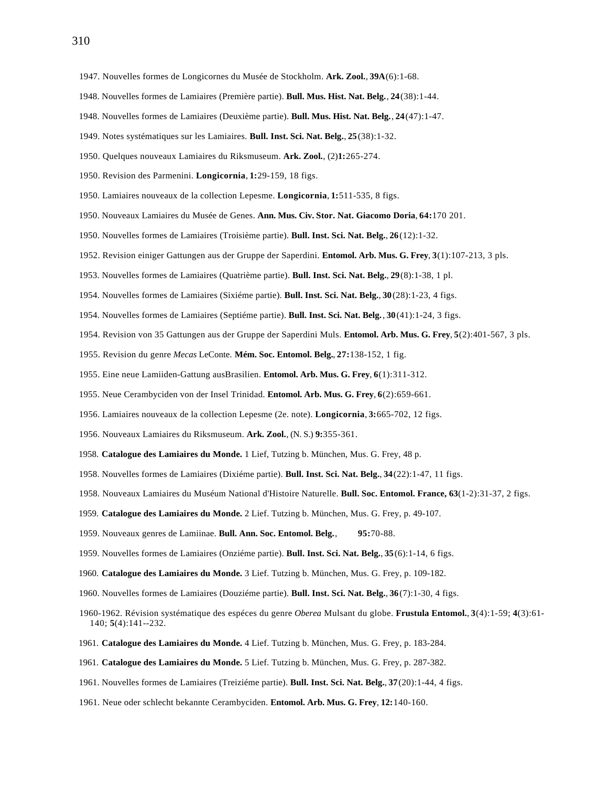- 1947. Nouvelles formes de Longicornes du Musée de Stockholm. **Ark. Zool.**, **39A**(6):1-68.
- 1948. Nouvelles formes de Lamiaires (Première partie). **Bull. Mus. Hist. Nat. Belg.**, **24**(38):1-44.
- 1948. Nouvelles formes de Lamiaires (Deuxième partie). **Bull. Mus. Hist. Nat. Belg.**, **24**(47):1-47.
- 1949. Notes systématiques sur les Lamiaires. **Bull. Inst. Sci. Nat. Belg.**, **25**(38):1-32.
- 1950. Quelques nouveaux Lamiaires du Riksmuseum. **Ark. Zool.**, (2)**1:**265-274.
- 1950. Revision des Parmenini. **Longicornia**, **1:**29-159, 18 figs.
- 1950. Lamiaires nouveaux de la collection Lepesme. **Longicornia**, **1:**511-535, 8 figs.
- 1950. Nouveaux Lamiaires du Musée de Genes. **Ann. Mus. Civ. Stor. Nat. Giacomo Doria**, **64:**170 201.
- 1950. Nouvelles formes de Lamiaires (Troisième partie). **Bull. Inst. Sci. Nat. Belg.**, **26**(12):1-32.
- 1952. Revision einiger Gattungen aus der Gruppe der Saperdini. **Entomol. Arb. Mus. G. Frey**, **3**(1):107-213, 3 pls.
- 1953. Nouvelles formes de Lamiaires (Quatrième partie). **Bull. Inst. Sci. Nat. Belg.**, **29**(8):1-38, 1 pl.
- 1954. Nouvelles formes de Lamiaires (Sixiéme partie). **Bull. Inst. Sci. Nat. Belg.**, **30**(28):1-23, 4 figs.
- 1954. Nouvelles formes de Lamiaires (Septiéme partie). **Bull. Inst. Sci. Nat. Belg.**, **30**(41):1-24, 3 figs.
- 1954. Revision von 35 Gattungen aus der Gruppe der Saperdini Muls. **Entomol. Arb. Mus. G. Frey**, **5**(2):401-567, 3 pls.
- 1955. Revision du genre *Mecas* LeConte. **Mém. Soc. Entomol. Belg.**, **27:**138-152, 1 fig.
- 1955. Eine neue Lamiiden-Gattung ausBrasilien. **Entomol. Arb. Mus. G. Frey**, **6**(1):311-312.
- 1955. Neue Cerambyciden von der Insel Trinidad. **Entomol. Arb. Mus. G. Frey**, **6**(2):659-661.
- 1956. Lamiaires nouveaux de la collection Lepesme (2e. note). **Longicornia**, **3:**665-702, 12 figs.
- 1956. Nouveaux Lamiaires du Riksmuseum. **Ark. Zool.**, (N. S.) **9:**355-361.
- 1958. **Catalogue des Lamiaires du Monde.** 1 Lief, Tutzing b. München, Mus. G. Frey, 48 p.
- 1958. Nouvelles formes de Lamiaires (Dixiéme partie). **Bull. Inst. Sci. Nat. Belg.**, **34**(22):1-47, 11 figs.
- 1958. Nouveaux Lamiaires du Muséum National d'Histoire Naturelle. **Bull. Soc. Entomol. France, 63**(1-2):31-37, 2 figs.
- 1959. **Catalogue des Lamiaires du Monde.** 2 Lief. Tutzing b. München, Mus. G. Frey, p. 49-107.
- 1959. Nouveaux genres de Lamiinae. **Bull. Ann. Soc. Entomol. Belg.**, **95:**70-88.
- 1959. Nouvelles formes de Lamiaires (Onziéme partie). **Bull. Inst. Sci. Nat. Belg.**, **35**(6):1-14, 6 figs.
- 1960. **Catalogue des Lamiaires du Monde.** 3 Lief. Tutzing b. München, Mus. G. Frey, p. 109-182.
- 1960. Nouvelles formes de Lamiaires (Douziéme partie). **Bull. Inst. Sci. Nat. Belg.**, **36**(7):1-30, 4 figs.
- 1960-1962. Révision systématique des espéces du genre *Oberea* Mulsant du globe. **Frustula Entomol.**, **3**(4):1-59; **4**(3):61- 140; **5**(4):141--232.
- 1961. **Catalogue des Lamiaires du Monde.** 4 Lief. Tutzing b. München, Mus. G. Frey, p. 183-284.
- 1961. **Catalogue des Lamiaires du Monde.** 5 Lief. Tutzing b. München, Mus. G. Frey, p. 287-382.
- 1961. Nouvelles formes de Lamiaires (Treiziéme partie). **Bull. Inst. Sci. Nat. Belg.**, **37**(20):1-44, 4 figs.
- 1961. Neue oder schlecht bekannte Cerambyciden. **Entomol. Arb. Mus. G. Frey**, **12:**140-160.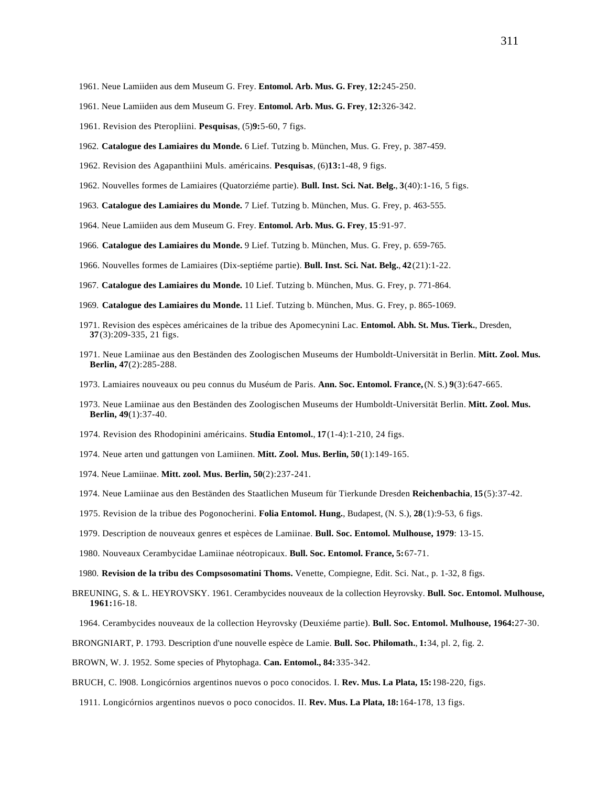- 1961. Neue Lamiiden aus dem Museum G. Frey. **Entomol. Arb. Mus. G. Frey**, **12:**245-250.
- 1961. Neue Lamiiden aus dem Museum G. Frey. **Entomol. Arb. Mus. G. Frey**, **12:**326-342.
- 1961. Revision des Pteropliini. **Pesquisas**, (5)**9:**5-60, 7 figs.
- 1962. **Catalogue des Lamiaires du Monde.** 6 Lief. Tutzing b. München, Mus. G. Frey, p. 387-459.
- 1962. Revision des Agapanthiini Muls. américains. **Pesquisas**, (6)**13:**1-48, 9 figs.
- 1962. Nouvelles formes de Lamiaires (Quatorziéme partie). **Bull. Inst. Sci. Nat. Belg.**, **3**(40):1-16, 5 figs.
- 1963. **Catalogue des Lamiaires du Monde.** 7 Lief. Tutzing b. München, Mus. G. Frey, p. 463-555.
- 1964. Neue Lamiiden aus dem Museum G. Frey. **Entomol. Arb. Mus. G. Frey**, **15**:91-97.
- 1966. **Catalogue des Lamiaires du Monde.** 9 Lief. Tutzing b. München, Mus. G. Frey, p. 659-765.
- 1966. Nouvelles formes de Lamiaires (Dix-septiéme partie). **Bull. Inst. Sci. Nat. Belg.**, **42**(21):1-22.
- 1967. **Catalogue des Lamiaires du Monde.** 10 Lief. Tutzing b. München, Mus. G. Frey, p. 771-864.
- 1969. **Catalogue des Lamiaires du Monde.** 11 Lief. Tutzing b. München, Mus. G. Frey, p. 865-1069.
- 1971. Revision des espèces américaines de la tribue des Apomecynini Lac. **Entomol. Abh. St. Mus. Tierk.**, Dresden, **37**(3):209-335, 21 figs.
- 1971. Neue Lamiinae aus den Beständen des Zoologischen Museums der Humboldt-Universität in Berlin. **Mitt. Zool. Mus. Berlin, 47**(2):285-288.
- 1973. Lamiaires nouveaux ou peu connus du Muséum de Paris. **Ann. Soc. Entomol. France,** (N. S.) **9**(3):647-665.
- 1973. Neue Lamiinae aus den Beständen des Zoologischen Museums der Humboldt-Universität Berlin. **Mitt. Zool. Mus. Berlin, 49**(1):37-40.
- 1974. Revision des Rhodopinini américains. **Studia Entomol.**, **17**(1-4):1-210, 24 figs.
- 1974. Neue arten und gattungen von Lamiinen. **Mitt. Zool. Mus. Berlin, 50**(1):149-165.
- 1974. Neue Lamiinae. **Mitt. zool. Mus. Berlin, 50**(2):237-241.
- 1974. Neue Lamiinae aus den Beständen des Staatlichen Museum für Tierkunde Dresden **Reichenbachia**, **15**(5):37-42.
- 1975. Revision de la tribue des Pogonocherini. **Folia Entomol. Hung.**, Budapest, (N. S.), **28**(1):9-53, 6 figs.
- 1979. Description de nouveaux genres et espèces de Lamiinae. **Bull. Soc. Entomol. Mulhouse, 1979**: 13-15.
- 1980. Nouveaux Cerambycidae Lamiinae néotropicaux. **Bull. Soc. Entomol. France, 5:**67-71.
- 1980. **Revision de la tribu des Compsosomatini Thoms.** Venette, Compiegne, Edit. Sci. Nat., p. 1-32, 8 figs.
- BREUNING, S. & L. HEYROVSKY. 1961. Cerambycides nouveaux de la collection Heyrovsky. **Bull. Soc. Entomol. Mulhouse, 1961:**16-18.
	- 1964. Cerambycides nouveaux de la collection Heyrovsky (Deuxiéme partie). **Bull. Soc. Entomol. Mulhouse, 1964:**27-30.
- BRONGNIART, P. 1793. Description d'une nouvelle espèce de Lamie. **Bull. Soc. Philomath.**, **1:**34, pl. 2, fig. 2.
- BROWN, W. J. 1952. Some species of Phytophaga. **Can. Entomol., 84:**335-342.
- BRUCH, C. l908. Longicórnios argentinos nuevos o poco conocidos. I. **Rev. Mus. La Plata, 15:**198-220, figs.
	- 1911. Longicórnios argentinos nuevos o poco conocidos. II. **Rev. Mus. La Plata, 18:**164-178, 13 figs.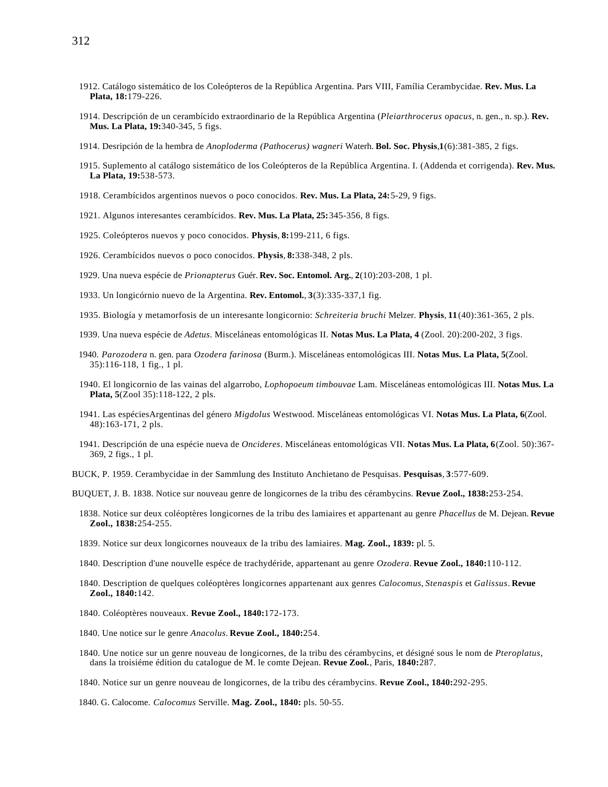312

- 1912. Catálogo sistemático de los Coleópteros de la República Argentina. Pars VIII, Família Cerambycidae. **Rev. Mus. La Plata, 18:**179-226.
- 1914. Descripción de un cerambícido extraordinario de la República Argentina (*Pleiarthrocerus opacus*, n. gen., n. sp.). **Rev. Mus. La Plata, 19:**340-345, 5 figs.
- 1914. Desripción de la hembra de *Anoploderma (Pathocerus) wagneri* Waterh. **Bol. Soc. Physis**,**1**(6):381-385, 2 figs.
- 1915. Suplemento al catálogo sistemático de los Coleópteros de la República Argentina. I. (Addenda et corrigenda). **Rev. Mus. La Plata, 19:**538-573.
- 1918. Cerambícidos argentinos nuevos o poco conocidos. **Rev. Mus. La Plata, 24:**5-29, 9 figs.
- 1921. Algunos interesantes cerambícidos. **Rev. Mus. La Plata, 25:**345-356, 8 figs.
- 1925. Coleópteros nuevos y poco conocidos. **Physis**, **8:**199-211, 6 figs.
- 1926. Cerambícidos nuevos o poco conocidos. **Physis**, **8:**338-348, 2 pls.
- 1929. Una nueva espécie de *Prionapterus* Guér. **Rev. Soc. Entomol. Arg.**, **2**(10):203-208, 1 pl.
- 1933. Un longicórnio nuevo de la Argentina. **Rev. Entomol.**, **3**(3):335-337,1 fig.
- 1935. Biología y metamorfosis de un interesante longicornio: *Schreiteria bruchi* Melzer. **Physis**, **11**(40):361-365, 2 pls.
- 1939. Una nueva espécie de *Adetus*. Misceláneas entomológicas II. **Notas Mus. La Plata, 4** (Zool. 20):200-202, 3 figs.
- 1940. *Parozodera* n. gen. para *Ozodera farinosa* (Burm.). Misceláneas entomológicas III. **Notas Mus. La Plata, 5**(Zool. 35):116-118, 1 fig., 1 pl.
- 1940. El longicornio de las vainas del algarrobo, *Lophopoeum timbouvae* Lam. Misceláneas entomológicas III. **Notas Mus. La Plata, 5**(Zool 35):118-122, 2 pls.
- 1941. Las espéciesArgentinas del género *Migdolus* Westwood. Misceláneas entomológicas VI. **Notas Mus. La Plata, 6**(Zool. 48):163-171, 2 pls.
- 1941. Descripción de una espécie nueva de *Oncideres*. Misceláneas entomológicas VII. **Notas Mus. La Plata, 6**(Zool. 50):367- 369, 2 figs., 1 pl.
- BUCK, P. 1959. Cerambycidae in der Sammlung des Instituto Anchietano de Pesquisas. **Pesquisas**, **3**:577-609.
- BUQUET, J. B. 1838. Notice sur nouveau genre de longicornes de la tribu des cérambycins. **Revue Zool., 1838:**253-254.
	- 1838. Notice sur deux coléoptères longicornes de la tribu des lamiaires et appartenant au genre *Phacellus* de M. Dejean. **Revue Zool., 1838:**254-255.
	- 1839. Notice sur deux longicornes nouveaux de la tribu des lamiaires. **Mag. Zool., 1839:** pl. 5.
	- 1840. Description d'une nouvelle espéce de trachydéride, appartenant au genre *Ozodera*. **Revue Zool., 1840:**110-112.
	- 1840. Description de quelques coléoptères longicornes appartenant aux genres *Calocomus*, *Stenaspis* et *Galissus*. **Revue Zool., 1840:**142.
	- 1840. Coléoptères nouveaux. **Revue Zool., 1840:**172-173.
	- 1840. Une notice sur le genre *Anacolus*. **Revue Zool., 1840:**254.
	- 1840. Une notice sur un genre nouveau de longicornes, de la tribu des cérambycins, et désigné sous le nom de *Pteroplatus*, dans la troisiéme édition du catalogue de M. le comte Dejean. **Revue Zool.**, Paris, **1840:**287.
	- 1840. Notice sur un genre nouveau de longicornes, de la tribu des cérambycins. **Revue Zool., 1840:**292-295.
	- 1840. G. Calocome. *Calocomus* Serville. **Mag. Zool., 1840:** pls. 50-55.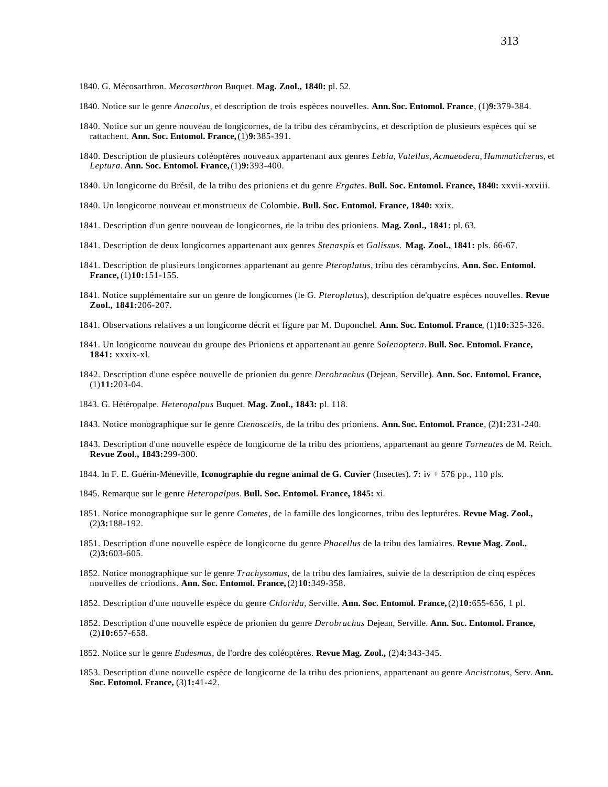- 1840. Notice sur le genre *Anacolus*, et description de trois espèces nouvelles. **Ann.Soc. Entomol. France**, (1)**9:**379-384.
- 1840. Notice sur un genre nouveau de longicornes, de la tribu des cérambycins, et description de plusieurs espèces qui se rattachent. **Ann. Soc. Entomol. France,** (1)**9:**385-391.
- 1840. Description de plusieurs coléoptères nouveaux appartenant aux genres *Lebia*, *Vatellus*, *Acmaeodera*, *Hammaticherus*, et *Leptura*. **Ann. Soc. Entomol. France,** (1)**9:**393-400.
- 1840. Un longicorne du Brésil, de la tribu des prioniens et du genre *Ergates*. **Bull. Soc. Entomol. France, 1840:** xxvii-xxviii.
- 1840. Un longicorne nouveau et monstrueux de Colombie. **Bull. Soc. Entomol. France, 1840:** xxix.
- 1841. Description d'un genre nouveau de longicornes, de la tribu des prioniens. **Mag. Zool., 1841:** pl. 63.
- 1841. Description de deux longicornes appartenant aux genres *Stenaspis* et *Galissus*. **Mag. Zool., 1841:** pls. 66-67.
- 1841. Description de plusieurs longicornes appartenant au genre *Pteroplatus*, tribu des cérambycins. **Ann. Soc. Entomol. France,** (1)**10:**151-155.
- 1841. Notice supplémentaire sur un genre de longicornes (le G. *Pteroplatus*), description de'quatre espèces nouvelles. **Revue Zool., 1841:**206-207.
- 1841. Observations relatives a un longicorne décrit et figure par M. Duponchel. **Ann. Soc. Entomol. France**, (1)**10:**325-326.
- 1841. Un longicorne nouveau du groupe des Prioniens et appartenant au genre *Solenoptera*. **Bull. Soc. Entomol. France, 1841:** xxxix-xl.
- 1842. Description d'une espèce nouvelle de prionien du genre *Derobrachus* (Dejean, Serville). **Ann. Soc. Entomol. France,** (1)**11:**203-04.
- 1843. G. Hétéropalpe. *Heteropalpus* Buquet. **Mag. Zool., 1843:** pl. 118.
- 1843. Notice monographique sur le genre *Ctenoscelis*, de la tribu des prioniens. **Ann.Soc. Entomol. France**, (2)**1:**231-240.
- 1843. Description d'une nouvelle espèce de longicorne de la tribu des prioniens, appartenant au genre *Torneutes* de M. Reich. **Revue Zool., 1843:**299-300.
- 1844. In F. E. Guérin-Méneville, **Iconographie du regne animal de G. Cuvier** (Insectes). **7:** iv + 576 pp., 110 pls.
- 1845. Remarque sur le genre *Heteropalpus*. **Bull. Soc. Entomol. France, 1845:** xi.
- 1851. Notice monographique sur le genre *Cometes*, de la famille des longicornes, tribu des lepturétes. **Revue Mag. Zool.,** (2)**3:**188-192.
- 1851. Description d'une nouvelle espèce de longicorne du genre *Phacellus* de la tribu des lamiaires. **Revue Mag. Zool.,** (2)**3:**603-605.
- 1852. Notice monographique sur le genre *Trachysomus*, de la tribu des lamiaires, suivie de la description de cinq espèces nouvelles de criodions. Ann. Soc. Entomol. France, (2)10:349-358.
- 1852. Description d'une nouvelle espèce du genre *Chlorida*, Serville. **Ann. Soc. Entomol. France,** (2)**10:**655-656, 1 pl.
- 1852. Description d'une nouvelle espèce de prionien du genre *Derobrachus* Dejean, Serville. **Ann. Soc. Entomol. France,** (2)**10:**657-658.
- 1852. Notice sur le genre *Eudesmus*, de l'ordre des coléoptères. **Revue Mag. Zool.,** (2)**4:**343-345.
- 1853. Description d'une nouvelle espèce de longicorne de la tribu des prioniens, appartenant au genre *Ancistrotus*, Serv. **Ann. Soc. Entomol. France,** (3)**1:**41-42.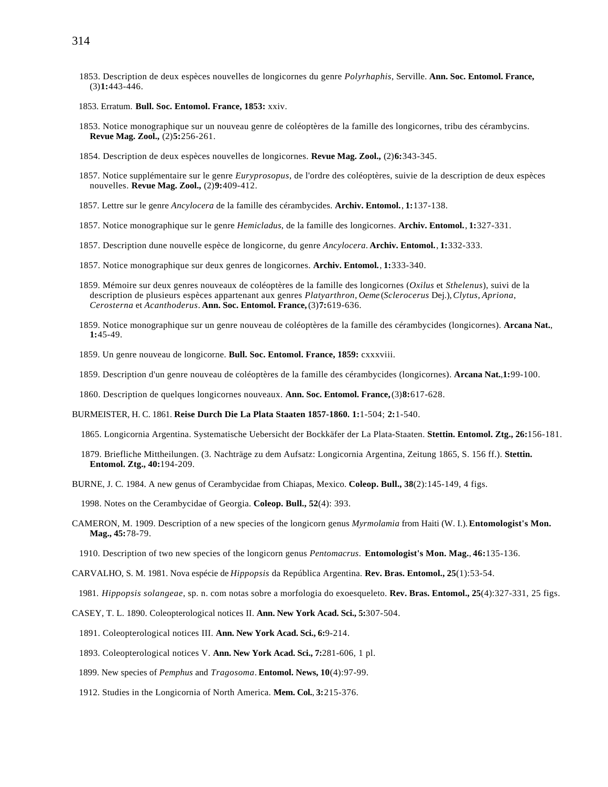- 1853. Description de deux espèces nouvelles de longicornes du genre *Polyrhaphis*, Serville. **Ann. Soc. Entomol. France,** (3)**1:**443-446.
- 1853. Erratum. **Bull. Soc. Entomol. France, 1853:** xxiv.
- 1853. Notice monographique sur un nouveau genre de coléoptères de la famille des longicornes, tribu des cérambycins. **Revue Mag. Zool.,** (2)**5:**256-261.
- 1854. Description de deux espèces nouvelles de longicornes. **Revue Mag. Zool.,** (2)**6:**343-345.
- 1857. Notice supplémentaire sur le genre *Euryprosopus*, de l'ordre des coléoptères, suivie de la description de deux espèces nouvelles. **Revue Mag. Zool.,** (2)**9:**409-412.
- 1857. Lettre sur le genre *Ancylocera* de la famille des cérambycides. **Archiv. Entomol.**, **1:**137-138.
- 1857. Notice monographique sur le genre *Hemicladus*, de la famille des longicornes. **Archiv. Entomol.**, **1:**327-331.
- 1857. Description dune nouvelle espèce de longicorne, du genre *Ancylocera*. **Archiv. Entomol.**, **1:**332-333.
- 1857. Notice monographique sur deux genres de longicornes. **Archiv. Entomol.**, **1:**333-340.
- 1859. Mémoire sur deux genres nouveaux de coléoptères de la famille des longicornes (*Oxilus* et *Sthelenus*), suivi de la description de plusieurs espèces appartenant aux genres *Platyarthron*, *Oeme* (*Sclerocerus* Dej.), *Clytus*, *Apriona*, *Cerosterna* et *Acanthoderus*. **Ann. Soc. Entomol. France,** (3)**7:**619-636.
- 1859. Notice monographique sur un genre nouveau de coléoptères de la famille des cérambycides (longicornes). **Arcana Nat.**, **1:**45-49.
- 1859. Un genre nouveau de longicorne. **Bull. Soc. Entomol. France, 1859:** cxxxviii.
- 1859. Description d'un genre nouveau de coléoptères de la famille des cérambycides (longicornes). **Arcana Nat.**,**1:**99-100.
- 1860. Description de quelques longicornes nouveaux. **Ann. Soc. Entomol. France,** (3)**8:**617-628.
- BURMEISTER, H. C. 1861. **Reise Durch Die La Plata Staaten 1857-1860. 1:**1-504; **2:**1-540.
	- 1865. Longicornia Argentina. Systematische Uebersicht der Bockkäfer der La Plata-Staaten. **Stettin. Entomol. Ztg., 26:**156-181.
	- 1879. Briefliche Mittheilungen. (3. Nachträge zu dem Aufsatz: Longicornia Argentina, Zeitung 1865, S. 156 ff.). **Stettin. Entomol. Ztg., 40:**194-209.
- BURNE, J. C. 1984. A new genus of Cerambycidae from Chiapas, Mexico. **Coleop. Bull., 38**(2):145-149, 4 figs.

1998. Notes on the Cerambycidae of Georgia. **Coleop. Bull., 52**(4): 393.

- CAMERON, M. 1909. Description of a new species of the longicorn genus *Myrmolamia* from Haiti (W. I.). **Entomologist's Mon. Mag., 45:**78-79.
	- 1910. Description of two new species of the longicorn genus *Pentomacrus*. **Entomologist's Mon. Mag.**, **46:**135-136.
- CARVALHO, S. M. 1981. Nova espécie de *Hippopsis* da República Argentina. **Rev. Bras. Entomol., 25**(1):53-54.
	- 1981. *Hippopsis solangeae*, sp. n. com notas sobre a morfologia do exoesqueleto. **Rev. Bras. Entomol., 25**(4):327-331, 25 figs.
- CASEY, T. L. 1890. Coleopterological notices II. **Ann. New York Acad. Sci., 5:**307-504.
	- 1891. Coleopterological notices III. **Ann. New York Acad. Sci., 6:**9-214.
	- 1893. Coleopterological notices V. **Ann. New York Acad. Sci., 7:**281-606, 1 pl.
	- 1899. New species of *Pemphus* and *Tragosoma*. **Entomol. News, 10**(4):97-99.
	- 1912. Studies in the Longicornia of North America. **Mem. Col.**, **3:**215-376.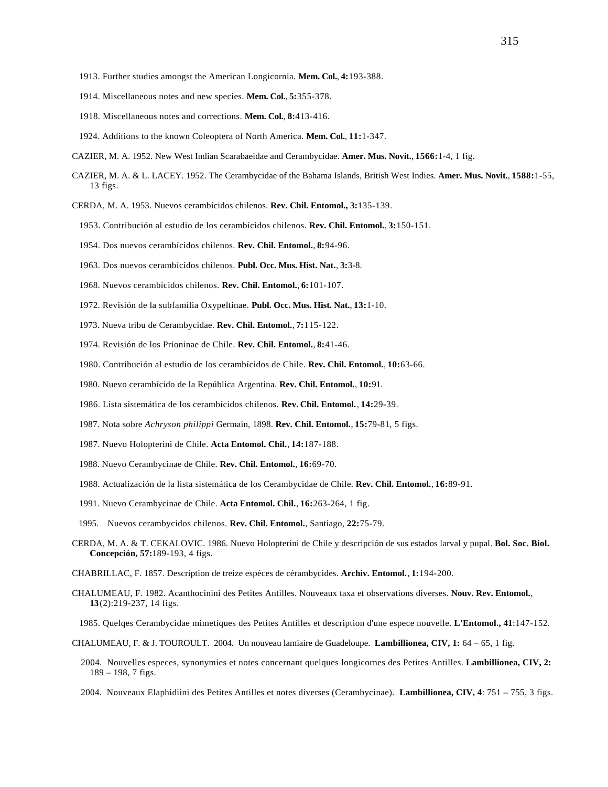- 1913. Further studies amongst the American Longicornia. **Mem. Col.**, **4:**193-388.
- 1914. Miscellaneous notes and new species. **Mem. Col.**, **5:**355-378.
- 1918. Miscellaneous notes and corrections. **Mem. Col.**, **8:**413-416.
- 1924. Additions to the known Coleoptera of North America. **Mem. Col.**, **11:**1-347.
- CAZIER, M. A. 1952. New West Indian Scarabaeidae and Cerambycidae. **Amer. Mus. Novit.**, **1566:**1-4, 1 fig.
- CAZIER, M. A. & L. LACEY. 1952. The Cerambycidae of the Bahama Islands, British West Indies. **Amer. Mus. Novit.**, **1588:**1-55, 13 figs.
- CERDA, M. A. 1953. Nuevos cerambícidos chilenos. **Rev. Chil. Entomol., 3:**135-139.
	- 1953. Contribución al estudio de los cerambícidos chilenos. **Rev. Chil. Entomol.**, **3:**150-151.
	- 1954. Dos nuevos cerambícidos chilenos. **Rev. Chil. Entomol.**, **8:**94-96.
	- 1963. Dos nuevos cerambícidos chilenos. **Publ. Occ. Mus. Hist. Nat.**, **3:**3-8.
	- 1968. Nuevos cerambícidos chilenos. **Rev. Chil. Entomol.**, **6:**101-107.
	- 1972. Revisión de la subfamília Oxypeltinae. **Publ. Occ. Mus. Hist. Nat.**, **13:**1-10.
	- 1973. Nueva tribu de Cerambycidae. **Rev. Chil. Entomol.**, **7:**115-122.
	- 1974. Revisión de los Prioninae de Chile. **Rev. Chil. Entomol.**, **8:**41-46.
	- 1980. Contribución al estudio de los cerambícidos de Chile. **Rev. Chil. Entomol.**, **10:**63-66.
	- 1980. Nuevo cerambícido de la República Argentina. **Rev. Chil. Entomol.**, **10:**91.
	- 1986. Lista sistemática de los cerambícidos chilenos. **Rev. Chil. Entomol.**, **14:**29-39.
	- 1987. Nota sobre *Achryson philippi* Germain, 1898. **Rev. Chil. Entomol.**, **15:**79-81, 5 figs.
	- 1987. Nuevo Holopterini de Chile. **Acta Entomol. Chil.**, **14:**187-188.
	- 1988. Nuevo Cerambycinae de Chile. **Rev. Chil. Entomol.**, **16:**69-70.
	- 1988. Actualización de la lista sistemática de los Cerambycidae de Chile. **Rev. Chil. Entomol.**, **16:**89-91.
	- 1991. Nuevo Cerambycinae de Chile. **Acta Entomol. Chil.**, **16:**263-264, 1 fig.
	- 1995. Nuevos cerambycidos chilenos. **Rev. Chil. Entomol.**, Santiago, **22:**75-79.
- CERDA, M. A. & T. CEKALOVIC. 1986. Nuevo Holopterini de Chile y descripción de sus estados larval y pupal. **Bol. Soc. Biol. Concepción, 57:**189-193, 4 figs.
- CHABRILLAC, F. 1857. Description de treize espèces de cérambycides. **Archiv. Entomol.**, **1:**194-200.
- CHALUMEAU, F. 1982. Acanthocinini des Petites Antilles. Nouveaux taxa et observations diverses. **Nouv. Rev. Entomol.**, **13**(2):219-237, 14 figs.
- 1985. Quelqes Cerambycidae mimetiques des Petites Antilles et description d'une espece nouvelle. **L'Entomol., 41**:147-152.
- CHALUMEAU, F. & J. TOUROULT. 2004. Un nouveau lamiaire de Guadeloupe. **Lambillionea, CIV, 1:** 64 65, 1 fig.
	- 2004. Nouvelles especes, synonymies et notes concernant quelques longicornes des Petites Antilles. **Lambillionea, CIV, 2:** 189 – 198, 7 figs.
	- 2004. Nouveaux Elaphidiini des Petites Antilles et notes diverses (Cerambycinae). **Lambillionea, CIV, 4**: 751 755, 3 figs.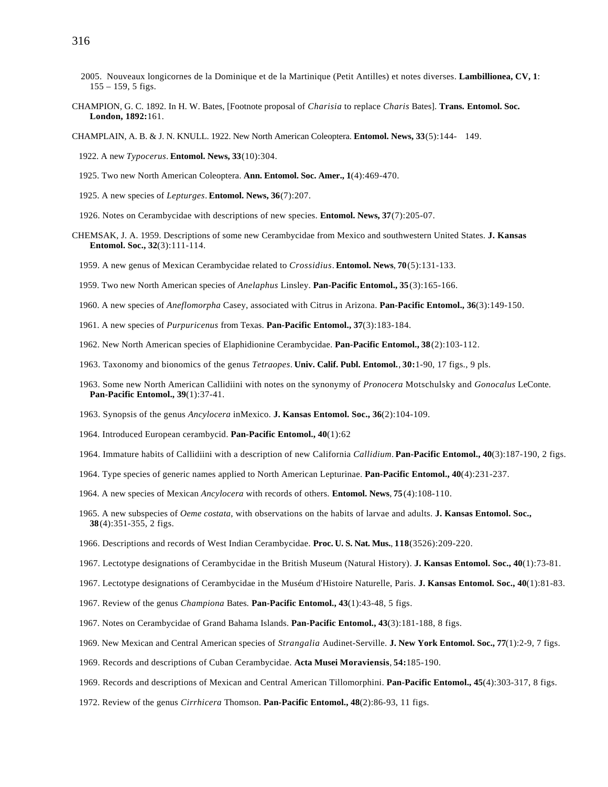- 2005. Nouveaux longicornes de la Dominique et de la Martinique (Petit Antilles) et notes diverses. **Lambillionea, CV, 1**: 155 – 159, 5 figs.
- CHAMPION, G. C. 1892. In H. W. Bates, [Footnote proposal of *Charisia* to replace *Charis* Bates]. **Trans. Entomol. Soc. London, 1892:**161.
- CHAMPLAIN, A. B. & J. N. KNULL. 1922. New North American Coleoptera. **Entomol. News, 33**(5):144- 149.
	- 1922. A new *Typocerus*. **Entomol. News, 33**(10):304.
	- 1925. Two new North American Coleoptera. **Ann. Entomol. Soc. Amer., 1**(4):469-470.
	- 1925. A new species of *Lepturges*. **Entomol. News, 36**(7):207.
	- 1926. Notes on Cerambycidae with descriptions of new species. **Entomol. News, 37**(7):205-07.
- CHEMSAK, J. A. 1959. Descriptions of some new Cerambycidae from Mexico and southwestern United States. **J. Kansas Entomol. Soc., 32**(3):111-114.
	- 1959. A new genus of Mexican Cerambycidae related to *Crossidius*. **Entomol. News**, **70**(5):131-133.
	- 1959. Two new North American species of *Anelaphus* Linsley. **Pan-Pacific Entomol., 35**(3):165-166.
	- 1960. A new species of *Aneflomorpha* Casey, associated with Citrus in Arizona. **Pan-Pacific Entomol., 36**(3):149-150.
	- 1961. A new species of *Purpuricenus* from Texas. **Pan-Pacific Entomol., 37**(3):183-184.
	- 1962. New North American species of Elaphidionine Cerambycidae. **Pan-Pacific Entomol., 38**(2):103-112.
	- 1963. Taxonomy and bionomics of the genus *Tetraopes*. **Univ. Calif. Publ. Entomol.**, **30:**1-90, 17 figs., 9 pls.
	- 1963. Some new North American Callidiini with notes on the synonymy of *Pronocera* Motschulsky and *Gonocalus* LeConte. **Pan-Pacific Entomol., 39**(1):37-41.
	- 1963. Synopsis of the genus *Ancylocera* inMexico. **J. Kansas Entomol. Soc., 36**(2):104-109.
	- 1964. Introduced European cerambycid. **Pan-Pacific Entomol., 40**(1):62
	- 1964. Immature habits of Callidiini with a description of new California *Callidium*. **Pan-Pacific Entomol., 40**(3):187-190, 2 figs.
	- 1964. Type species of generic names applied to North American Lepturinae. **Pan-Pacific Entomol., 40**(4):231-237.
	- 1964. A new species of Mexican *Ancylocera* with records of others. **Entomol. News**, **75**(4):108-110.
	- 1965. A new subspecies of *Oeme costata*, with observations on the habits of larvae and adults. **J. Kansas Entomol. Soc., 38**(4):351-355, 2 figs.
	- 1966. Descriptions and records of West Indian Cerambycidae. **Proc. U. S. Nat. Mus.**, **118**(3526):209-220.
	- 1967. Lectotype designations of Cerambycidae in the British Museum (Natural History). **J. Kansas Entomol. Soc., 40**(1):73-81.
	- 1967. Lectotype designations of Cerambycidae in the Muséum d'Histoire Naturelle, Paris. **J. Kansas Entomol. Soc., 40**(1):81-83.
	- 1967. Review of the genus *Championa* Bates. **Pan-Pacific Entomol., 43**(1):43-48, 5 figs.
	- 1967. Notes on Cerambycidae of Grand Bahama Islands. **Pan-Pacific Entomol., 43**(3):181-188, 8 figs.
	- 1969. New Mexican and Central American species of *Strangalia* Audinet-Serville. **J. New York Entomol. Soc., 77**(1):2-9, 7 figs.
	- 1969. Records and descriptions of Cuban Cerambycidae. **Acta Musei Moraviensis**, **54:**185-190.
	- 1969. Records and descriptions of Mexican and Central American Tillomorphini. **Pan-Pacific Entomol., 45**(4):303-317, 8 figs.
	- 1972. Review of the genus *Cirrhicera* Thomson. **Pan-Pacific Entomol., 48**(2):86-93, 11 figs.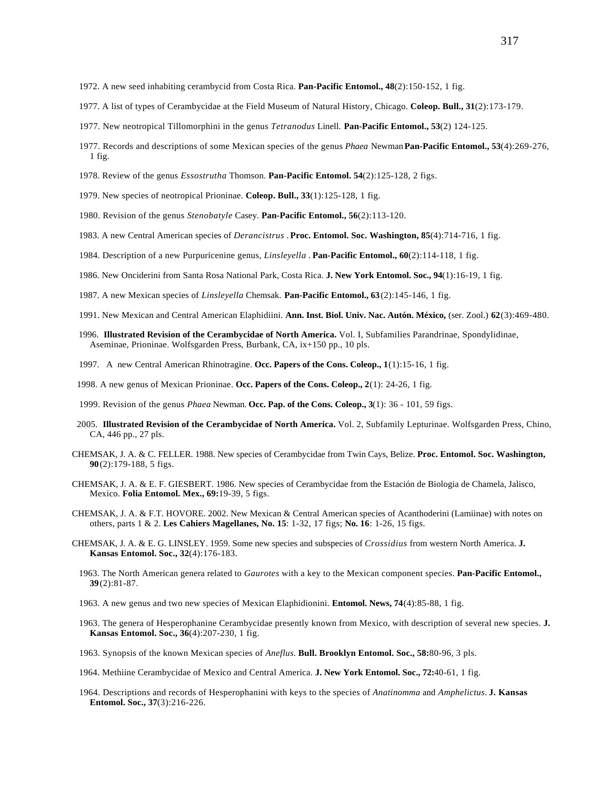- 1972. A new seed inhabiting cerambycid from Costa Rica. **Pan-Pacific Entomol., 48**(2):150-152, 1 fig.
- 1977. A list of types of Cerambycidae at the Field Museum of Natural History, Chicago. **Coleop. Bull., 31**(2):173-179.
- 1977. New neotropical Tillomorphini in the genus *Tetranodus* Linell. **Pan-Pacific Entomol., 53**(2) 124-125.
- 1977. Records and descriptions of some Mexican species of the genus *Phaea* Newman **Pan-Pacific Entomol., 53**(4):269-276, 1 fig.
- 1978. Review of the genus *Essostrutha* Thomson. **Pan-Pacific Entomol. 54**(2):125-128, 2 figs.
- 1979. New species of neotropical Prioninae. **Coleop. Bull., 33**(1):125-128, 1 fig.
- 1980. Revision of the genus *Stenobatyle* Casey. **Pan-Pacific Entomol., 56**(2):113-120.
- 1983. A new Central American species of *Derancistrus* . **Proc. Entomol. Soc. Washington, 85**(4):714-716, 1 fig.
- 1984. Description of a new Purpuricenine genus, *Linsleyella* . **Pan-Pacific Entomol., 60**(2):114-118, 1 fig.
- 1986. New Onciderini from Santa Rosa National Park, Costa Rica. **J. New York Entomol. Soc., 94**(1):16-19, 1 fig.
- 1987. A new Mexican species of *Linsleyella* Chemsak. **Pan-Pacific Entomol., 63**(2):145-146, 1 fig.
- 1991. New Mexican and Central American Elaphidiini. **Ann. Inst. Biol. Univ. Nac. Autón. México,** (ser. Zool.) **62**(3):469-480.
- 1996. **Illustrated Revision of the Cerambycidae of North America.** Vol. I, Subfamilies Parandrinae, Spondylidinae, Aseminae, Prioninae. Wolfsgarden Press, Burbank, CA, ix+150 pp., 10 pls.
- 1997. A new Central American Rhinotragine. **Occ. Papers of the Cons. Coleop., 1**(1):15-16, 1 fig.
- 1998. A new genus of Mexican Prioninae. **Occ. Papers of the Cons. Coleop., 2**(1): 24-26, 1 fig.
- 1999. Revision of the genus *Phaea* Newman. **Occ. Pap. of the Cons. Coleop., 3**(1): 36 101, 59 figs.
- 2005. **Illustrated Revision of the Cerambycidae of North America.** Vol. 2, Subfamily Lepturinae. Wolfsgarden Press, Chino, CA, 446 pp., 27 pls.
- CHEMSAK, J. A. & C. FELLER. 1988. New species of Cerambycidae from Twin Cays, Belize. **Proc. Entomol. Soc. Washington, 90**(2):179-188, 5 figs.
- CHEMSAK, J. A. & E. F. GIESBERT. 1986. New species of Cerambycidae from the Estación de Biologia de Chamela, Jalisco, Mexico. **Folia Entomol. Mex., 69:**19-39, 5 figs.
- CHEMSAK, J. A. & F.T. HOVORE. 2002. New Mexican & Central American species of Acanthoderini (Lamiinae) with notes on others, parts 1 & 2. **Les Cahiers Magellanes, No. 15**: 1-32, 17 figs; **No. 16**: 1-26, 15 figs.
- CHEMSAK, J. A. & E. G. LINSLEY. 1959. Some new species and subspecies of *Crossidius* from western North America. **J. Kansas Entomol. Soc., 32**(4):176-183.
	- 1963. The North American genera related to *Gaurotes* with a key to the Mexican component species. **Pan-Pacific Entomol., 39**(2):81-87.
	- 1963. A new genus and two new species of Mexican Elaphidionini. **Entomol. News, 74**(4):85-88, 1 fig.
	- 1963. The genera of Hesperophanine Cerambycidae presently known from Mexico, with description of several new species. **J. Kansas Entomol. Soc., 36**(4):207-230, 1 fig.
	- 1963. Synopsis of the known Mexican species of *Aneflus.* **Bull. Brooklyn Entomol. Soc., 58:**80-96, 3 pls.
	- 1964. Methiine Cerambycidae of Mexico and Central America. **J. New York Entomol. Soc., 72:**40-61, 1 fig.
	- 1964. Descriptions and records of Hesperophanini with keys to the species of *Anatinomma* and *Amphelictus*. **J. Kansas Entomol. Soc., 37**(3):216-226.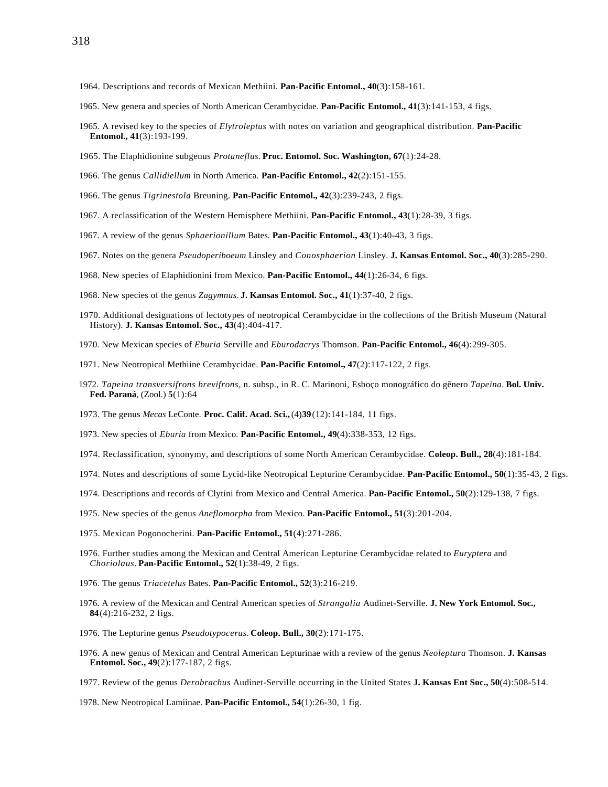- 1965. New genera and species of North American Cerambycidae. **Pan-Pacific Entomol., 41**(3):141-153, 4 figs.
- 1965. A revised key to the species of *Elytroleptus* with notes on variation and geographical distribution. **Pan-Pacific Entomol., 41**(3):193-199.
- 1965. The Elaphidionine subgenus *Protaneflus*. **Proc. Entomol. Soc. Washington, 67**(1):24-28.
- 1966. The genus *Callidiellum* in North America. **Pan-Pacific Entomol., 42**(2):151-155.
- 1966. The genus *Tigrinestola* Breuning. **Pan-Pacific Entomol., 42**(3):239-243, 2 figs.
- 1967. A reclassification of the Western Hemisphere Methiini. **Pan-Pacific Entomol., 43**(1):28-39, 3 figs.
- 1967. A review of the genus *Sphaerionillum* Bates. **Pan-Pacific Entomol., 43**(1):40-43, 3 figs.
- 1967. Notes on the genera *Pseudoperiboeum* Linsley and *Conosphaerion* Linsley. **J. Kansas Entomol. Soc., 40**(3):285-290.
- 1968. New species of Elaphidionini from Mexico. **Pan-Pacific Entomol., 44**(1):26-34, 6 figs.
- 1968. New species of the genus *Zagymnus*. **J. Kansas Entomol. Soc., 41**(1):37-40, 2 figs.
- 1970. Additional designations of lectotypes of neotropical Cerambycidae in the collections of the British Museum (Natural History). **J. Kansas Entomol. Soc., 43**(4):404-417.
- 1970. New Mexican species of *Eburia* Serville and *Eburodacrys* Thomson. **Pan-Pacific Entomol., 46**(4):299-305.
- 1971. New Neotropical Methiine Cerambycidae. **Pan-Pacific Entomol., 47**(2):117-122, 2 figs.
- 1972. *Tapeina transversifrons brevifrons*, n. subsp., in R. C. Marinoni, Esboço monográfico do gênero *Tapeina*. **Bol. Univ. Fed. Paraná**, (Zool.) **5**(1):64
- 1973. The genus *Mecas* LeConte. **Proc. Calif. Acad. Sci.,** (4)**39**(12):141-184, 11 figs.
- 1973. New species of *Eburia* from Mexico. **Pan-Pacific Entomol., 49**(4):338-353, 12 figs.
- 1974. Reclassification, synonymy, and descriptions of some North American Cerambycidae. **Coleop. Bull., 28**(4):181-184.
- 1974. Notes and descriptions of some Lycid-like Neotropical Lepturine Cerambycidae. **Pan-Pacific Entomol., 50**(1):35-43, 2 figs.
- 1974. Descriptions and records of Clytini from Mexico and Central America. **Pan-Pacific Entomol., 50**(2):129-138, 7 figs.
- 1975. New species of the genus *Aneflomorpha* from Mexico. **Pan-Pacific Entomol., 51**(3):201-204.
- 1975. Mexican Pogonocherini. **Pan-Pacific Entomol., 51**(4):271-286.
- 1976. Further studies among the Mexican and Central American Lepturine Cerambycidae related to *Euryptera* and *Choriolaus*. **Pan-Pacific Entomol., 52**(1):38-49, 2 figs.
- 1976. The genus *Triacetelus* Bates. **Pan-Pacific Entomol., 52**(3):216-219.
- 1976. A review of the Mexican and Central American species of *Strangalia* Audinet-Serville. **J. New York Entomol. Soc., 84**(4):216-232, 2 figs.
- 1976. The Lepturine genus *Pseudotypocerus*. **Coleop. Bull., 30**(2):171-175.
- 1976. A new genus of Mexican and Central American Lepturinae with a review of the genus *Neoleptura* Thomson. **J. Kansas Entomol. Soc., 49**(2):177-187, 2 figs.
- 1977. Review of the genus *Derobrachus* Audinet-Serville occurring in the United States **J. Kansas Ent Soc., 50**(4):508-514.
- 1978. New Neotropical Lamiinae. **Pan-Pacific Entomol., 54**(1):26-30, 1 fig.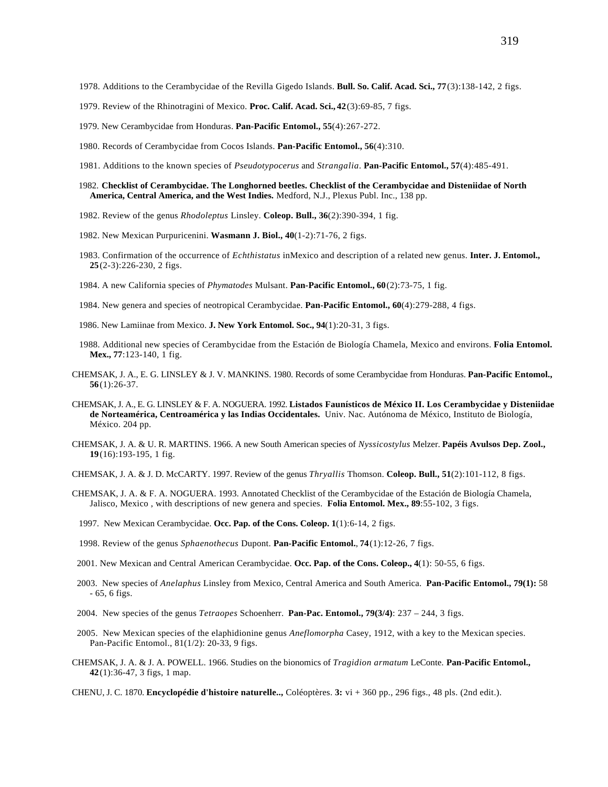- 1978. Additions to the Cerambycidae of the Revilla Gigedo Islands. **Bull. So. Calif. Acad. Sci., 77**(3):138-142, 2 figs.
- 1979. Review of the Rhinotragini of Mexico. **Proc. Calif. Acad. Sci., 42**(3):69-85, 7 figs.
- 1979. New Cerambycidae from Honduras. **Pan-Pacific Entomol., 55**(4):267-272.
- 1980. Records of Cerambycidae from Cocos Islands. **Pan-Pacific Entomol., 56**(4):310.
- 1981. Additions to the known species of *Pseudotypocerus* and *Strangalia.* **Pan-Pacific Entomol., 57**(4):485-491.
- 1982. **Checklist of Cerambycidae. The Longhorned beetles. Checklist of the Cerambycidae and Disteniidae of North America, Central America, and the West Indies.** Medford, N.J., Plexus Publ. Inc., 138 pp.
- 1982. Review of the genus *Rhodoleptus* Linsley. **Coleop. Bull., 36**(2):390-394, 1 fig.
- 1982. New Mexican Purpuricenini. **Wasmann J. Biol., 40**(1-2):71-76, 2 figs.
- 1983. Confirmation of the occurrence of *Echthistatus* inMexico and description of a related new genus. **Inter. J. Entomol., 25**(2-3):226-230, 2 figs.
- 1984. A new California species of *Phymatodes* Mulsant. **Pan-Pacific Entomol., 60**(2):73-75, 1 fig.
- 1984. New genera and species of neotropical Cerambycidae. **Pan-Pacific Entomol., 60**(4):279-288, 4 figs.
- 1986. New Lamiinae from Mexico. **J. New York Entomol. Soc., 94**(1):20-31, 3 figs.
- 1988. Additional new species of Cerambycidae from the Estación de Biología Chamela, Mexico and environs. **Folia Entomol. Mex., 77**:123-140, 1 fig.
- CHEMSAK, J. A., E. G. LINSLEY & J. V. MANKINS. 1980. Records of some Cerambycidae from Honduras. **Pan-Pacific Entomol., 56**(1):26-37.
- CHEMSAK, J. A., E. G. LINSLEY & F. A. NOGUERA. 1992. **Listados Faunísticos de México II. Los Cerambycidae y Disteniidae de Norteamérica, Centroamérica y las Indias Occidentales.** Univ. Nac. Autónoma de México, Instituto de Biología, México. 204 pp.
- CHEMSAK, J. A. & U. R. MARTINS. 1966. A new South American species of *Nyssicostylus* Melzer. **Papéis Avulsos Dep. Zool., 19**(16):193-195, 1 fig.
- CHEMSAK, J. A. & J. D. McCARTY. 1997. Review of the genus *Thryallis* Thomson. **Coleop. Bull., 51**(2):101-112, 8 figs.
- CHEMSAK, J. A. & F. A. NOGUERA. 1993. Annotated Checklist of the Cerambycidae of the Estación de Biología Chamela, Jalisco, Mexico , with descriptions of new genera and species. **Folia Entomol. Mex., 89**:55-102, 3 figs.
	- 1997. New Mexican Cerambycidae. **Occ. Pap. of the Cons. Coleop. 1**(1):6-14, 2 figs.
	- 1998. Review of the genus *Sphaenothecus* Dupont. **Pan-Pacific Entomol.**, **74**(1):12-26, 7 figs.
- 2001. New Mexican and Central American Cerambycidae. **Occ. Pap. of the Cons. Coleop., 4**(1): 50-55, 6 figs.
- 2003. New species of *Anelaphus* Linsley from Mexico, Central America and South America. **Pan-Pacific Entomol., 79(1):** 58 - 65, 6 figs.
- 2004. New species of the genus *Tetraopes* Schoenherr. **Pan-Pac. Entomol., 79(3/4)**: 237 244, 3 figs.
- 2005. New Mexican species of the elaphidionine genus *Aneflomorpha* Casey, 1912, with a key to the Mexican species. Pan-Pacific Entomol., 81(1/2): 20-33, 9 figs.
- CHEMSAK, J. A. & J. A. POWELL. 1966. Studies on the bionomics of *Tragidion armatum* LeConte. **Pan-Pacific Entomol., 42**(1):36-47, 3 figs, 1 map.
- CHENU, J. C. 1870. **Encyclopédie d'histoire naturelle..,** Coléoptères. **3:** vi + 360 pp., 296 figs., 48 pls. (2nd edit.).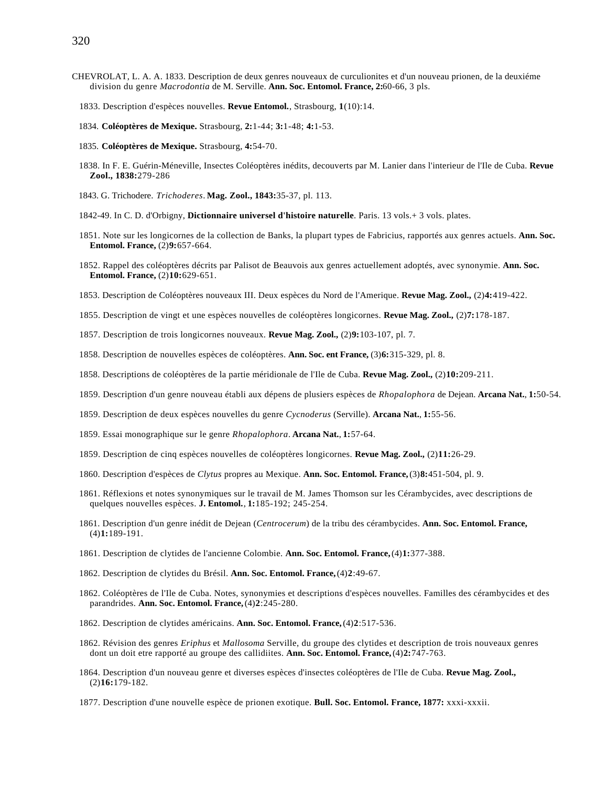- CHEVROLAT, L. A. A. 1833. Description de deux genres nouveaux de curculionites et d'un nouveau prionen, de la deuxiéme division du genre *Macrodontia* de M. Serville. **Ann. Soc. Entomol. France, 2:**60-66, 3 pls.
	- 1833. Description d'espèces nouvelles. **Revue Entomol.**, Strasbourg, **1**(10):14.
	- 1834. **Coléoptères de Mexique.** Strasbourg, **2:**1-44; **3:**1-48; **4:**1-53.
	- 1835. **Coléoptères de Mexique.** Strasbourg, **4:**54-70.
	- 1838. In F. E. Guérin-Méneville, Insectes Coléoptères inédits, decouverts par M. Lanier dans l'interieur de l'Ile de Cuba. **Revue Zool., 1838:**279-286
	- 1843. G. Trichodere. *Trichoderes*. **Mag. Zool., 1843:**35-37, pl. 113.
	- 1842-49. In C. D. d'Orbigny, **Dictionnaire universel d'histoire naturelle**. Paris. 13 vols.+ 3 vols. plates.
	- 1851. Note sur les longicornes de la collection de Banks, la plupart types de Fabricius, rapportés aux genres actuels. **Ann. Soc. Entomol. France,** (2)**9:**657-664.
	- 1852. Rappel des coléoptères décrits par Palisot de Beauvois aux genres actuellement adoptés, avec synonymie. **Ann. Soc. Entomol. France,** (2)**10:**629-651.
	- 1853. Description de Coléoptères nouveaux III. Deux espèces du Nord de l'Amerique. **Revue Mag. Zool.,** (2)**4:**419-422.
	- 1855. Description de vingt et une espèces nouvelles de coléoptères longicornes. **Revue Mag. Zool.,** (2)**7:**178-187.
	- 1857. Description de trois longicornes nouveaux. **Revue Mag. Zool.,** (2)**9:**103-107, pl. 7.
	- 1858. Description de nouvelles espèces de coléoptères. **Ann. Soc. ent France,** (3)**6:**315-329, pl. 8.
	- 1858. Descriptions de coléoptères de la partie méridionale de l'Ile de Cuba. **Revue Mag. Zool.,** (2)**10:**209-211.
	- 1859. Description d'un genre nouveau établi aux dépens de plusiers espèces de *Rhopalophora* de Dejean. **Arcana Nat.**, **1:**50-54.
	- 1859. Description de deux espèces nouvelles du genre *Cycnoderus* (Serville). **Arcana Nat.**, **1:**55-56.
	- 1859. Essai monographique sur le genre *Rhopalophora*. **Arcana Nat.**, **1:**57-64.
	- 1859. Description de cinq espèces nouvelles de coléoptères longicornes. **Revue Mag. Zool.,** (2)**11:**26-29.
	- 1860. Description d'espèces de *Clytus* propres au Mexique. **Ann. Soc. Entomol. France,** (3)**8:**451-504, pl. 9.
	- 1861. Réflexions et notes synonymiques sur le travail de M. James Thomson sur les Cérambycides, avec descriptions de quelques nouvelles espèces. **J. Entomol.**, **1:**185-192; 245-254.
	- 1861. Description d'un genre inédit de Dejean (*Centrocerum*) de la tribu des cérambycides. **Ann. Soc. Entomol. France,** (4)**1:**189-191.
	- 1861. Description de clytides de l'ancienne Colombie. **Ann. Soc. Entomol. France,** (4)**1:**377-388.
	- 1862. Description de clytides du Brésil. **Ann. Soc. Entomol. France,** (4)**2**:49-67.
	- 1862. Coléoptères de l'Ile de Cuba. Notes, synonymies et descriptions d'espèces nouvelles. Familles des cérambycides et des parandrides. **Ann. Soc. Entomol. France,** (4)**2**:245-280.
	- 1862. Description de clytides américains. **Ann. Soc. Entomol. France,** (4)**2**:517-536.
	- 1862. Révision des genres *Eriphus* et *Mallosoma* Serville, du groupe des clytides et description de trois nouveaux genres dont un doit etre rapporté au groupe des callidiites. **Ann. Soc. Entomol. France,** (4)**2:**747-763.
	- 1864. Description d'un nouveau genre et diverses espèces d'insectes coléoptères de l'Ile de Cuba. **Revue Mag. Zool.,** (2)**16:**179-182.
	- 1877. Description d'une nouvelle espèce de prionen exotique. **Bull. Soc. Entomol. France, 1877:** xxxi-xxxii.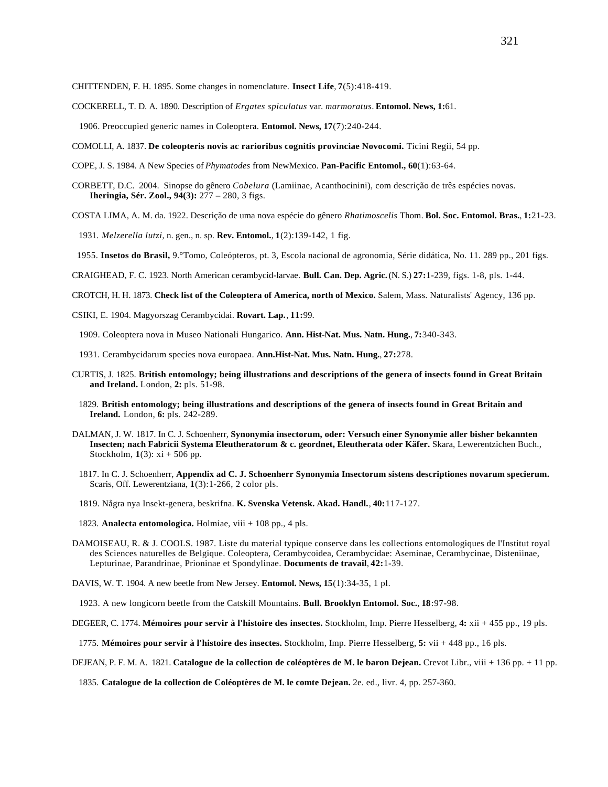CHITTENDEN, F. H. 1895. Some changes in nomenclature. **Insect Life**, **7**(5):418-419.

COCKERELL, T. D. A. 1890. Description of *Ergates spiculatus* var. *marmoratus*. **Entomol. News, 1:**61.

1906. Preoccupied generic names in Coleoptera. **Entomol. News, 17**(7):240-244.

COMOLLI, A. 1837. **De coleopteris novis ac rarioribus cognitis provinciae Novocomi.** Ticini Regii, 54 pp.

COPE, J. S. 1984. A New Species of *Phymatodes* from NewMexico. **Pan-Pacific Entomol., 60**(1):63-64.

- CORBETT, D.C. 2004. Sinopse do gênero *Cobelura* (Lamiinae, Acanthocinini), com descrição de três espécies novas. **Iheringia, Sér. Zool., 94(3):** 277 – 280, 3 figs.
- COSTA LIMA, A. M. da. 1922. Descrição de uma nova espécie do gênero *Rhatimoscelis* Thom. **Bol. Soc. Entomol. Bras.**, **1:**21-23.

1931. *Melzerella lutzi*, n. gen., n. sp. **Rev. Entomol.**, **1**(2):139-142, 1 fig.

1955. **Insetos do Brasil,** 9.°Tomo, Coleópteros, pt. 3, Escola nacional de agronomia, Série didática, No. 11. 289 pp., 201 figs.

CRAIGHEAD, F. C. 1923. North American cerambycid-larvae. **Bull. Can. Dep. Agric.** (N. S.) **27:**1-239, figs. 1-8, pls. 1-44.

CROTCH, H. H. 1873. **Check list of the Coleoptera of America, north of Mexico.** Salem, Mass. Naturalists' Agency, 136 pp.

CSIKI, E. 1904. Magyorszag Cerambycidai. **Rovart. Lap.**, **11:**99.

1909. Coleoptera nova in Museo Nationali Hungarico. **Ann. Hist-Nat. Mus. Natn. Hung.**, **7:**340-343.

- 1931. Cerambycidarum species nova europaea. **Ann.Hist-Nat. Mus. Natn. Hung.**, **27:**278.
- CURTIS, J. 1825. **British entomology; being illustrations and descriptions of the genera of insects found in Great Britain and Ireland.** London, **2:** pls. 51-98.
	- 1829. **British entomology; being illustrations and descriptions of the genera of insects found in Great Britain and Ireland.** London, **6:** pls. 242-289.
- DALMAN, J. W. 1817. In C. J. Schoenherr, **Synonymia insectorum, oder: Versuch einer Synonymie aller bisher bekannten** Insecten; nach Fabricii Systema Eleutheratorum & c. geordnet, Eleutherata oder Käfer. Skara, Lewerentzichen Buch., Stockholm, **1**(3): xi + 506 pp.
	- 1817. In C. J. Schoenherr, **Appendix ad C. J. Schoenherr Synonymia Insectorum sistens descriptiones novarum specierum.** Scaris, Off. Lewerentziana, **1**(3):1-266, 2 color pls.
	- 1819. Några nya Insekt-genera, beskrifna. **K. Svenska Vetensk. Akad. Handl.**, **40:**117-127.
	- 1823. **Analecta entomologica.** Holmiae, viii + 108 pp., 4 pls.
- DAMOISEAU, R. & J. COOLS. 1987. Liste du material typique conserve dans les collections entomologiques de l'Institut royal des Sciences naturelles de Belgique. Coleoptera, Cerambycoidea, Cerambycidae: Aseminae, Cerambycinae, Disteniinae, Lepturinae, Parandrinae, Prioninae et Spondylinae. **Documents de travail**, **42:**1-39.
- DAVIS, W. T. 1904. A new beetle from New Jersey. **Entomol. News, 15**(1):34-35, 1 pl.

1923. A new longicorn beetle from the Catskill Mountains. **Bull. Brooklyn Entomol. Soc.**, **18**:97-98.

DEGEER, C. 1774. **Mémoires pour servir à l'histoire des insectes.** Stockholm, Imp. Pierre Hesselberg, **4:** xii + 455 pp., 19 pls.

1775. **Mémoires pour servir à l'histoire des insectes.** Stockholm, Imp. Pierre Hesselberg, **5:** vii + 448 pp., 16 pls.

DEJEAN, P. F. M. A. 1821. **Catalogue de la collection de coléoptères de M. le baron Dejean.** Crevot Libr., viii + 136 pp. + 11 pp.

1835. **Catalogue de la collection de Coléoptères de M. le comte Dejean.** 2e. ed., livr. 4, pp. 257-360.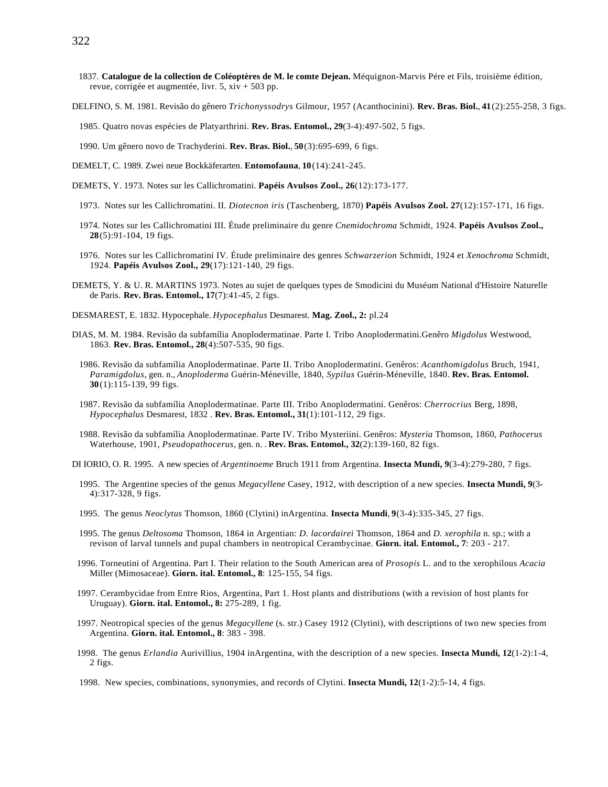- 1837. **Catalogue de la collection de Coléoptères de M. le comte Dejean.** Méquignon-Marvis Pére et Fils, troisième édition, revue, corrigée et augmentée, livr. 5, xiv + 503 pp.
- DELFINO, S. M. 1981. Revisão do gênero *Trichonyssodrys* Gilmour, 1957 (Acanthocinini). **Rev. Bras. Biol.**, **41**(2):255-258, 3 figs.

1985. Quatro novas espécies de Platyarthrini. **Rev. Bras. Entomol., 29**(3-4):497-502, 5 figs.

- 1990. Um gênero novo de Trachyderini. **Rev. Bras. Biol.**, **50**(3):695-699, 6 figs.
- DEMELT, C. 1989. Zwei neue Bockkäferarten. **Entomofauna**, **10**(14):241-245.
- DEMETS, Y. 1973. Notes sur les Callichromatini. **Papéis Avulsos Zool., 26**(12):173-177.
	- 1973. Notes sur les Callichromatini. II. *Diotecnon iris* (Taschenberg, 1870) **Papéis Avulsos Zool. 27**(12):157-171, 16 figs.
	- 1974. Notes sur les Callichromatini III. Étude preliminaire du genre *Cnemidochroma* Schmidt, 1924. **Papéis Avulsos Zool., 28**(5):91-104, 19 figs.
	- 1976. Notes sur les Callichromatini IV. Étude preliminaire des genres *Schwarzerion* Schmidt, 1924 et *Xenochroma* Schmidt, 1924. **Papéis Avulsos Zool., 29**(17):121-140, 29 figs.
- DEMETS, Y. & U. R. MARTINS 1973. Notes au sujet de quelques types de Smodicini du Muséum National d'Histoire Naturelle de Paris. **Rev. Bras. Entomol., 17**(7):41-45, 2 figs.
- DESMAREST, E. 1832. Hypocephale. *Hypocephalus* Desmarest. **Mag. Zool., 2:** pl.24
- DIAS, M. M. 1984. Revisão da subfamília Anoplodermatinae. Parte I. Tribo Anoplodermatini.Genêro *Migdolus* Westwood, 1863. **Rev. Bras. Entomol., 28**(4):507-535, 90 figs.
	- 1986. Revisão da subfamília Anoplodermatinae. Parte II. Tribo Anoplodermatini. Genêros: *Acanthomigdolus* Bruch, 1941, *Paramigdolus*, gen. n., *Anoploderma* Guérin-Méneville, 1840, *Sypilus* Guérin-Méneville, 1840. **Rev. Bras. Entomol. 30**(1):115-139, 99 figs.
	- 1987. Revisão da subfamília Anoplodermatinae. Parte III. Tribo Anoplodermatini. Genêros: *Cherrocrius* Berg, 1898, *Hypocephalus* Desmarest, 1832 . **Rev. Bras. Entomol., 31**(1):101-112, 29 figs.
	- 1988. Revisão da subfamília Anoplodermatinae. Parte IV. Tribo Mysteriini. Genêros: *Mysteria* Thomson, 1860, *Pathocerus* Waterhouse, 1901, *Pseudopathocerus*, gen. n. . **Rev. Bras. Entomol., 32**(2):139-160, 82 figs.
- DI IORIO, O. R. 1995. A new species of *Argentinoeme* Bruch 1911 from Argentina. **Insecta Mundi, 9**(3-4):279-280, 7 figs.
	- 1995. The Argentine species of the genus *Megacyllene* Casey, 1912, with description of a new species. **Insecta Mundi, 9**(3- 4):317-328, 9 figs.
	- 1995. The genus *Neoclytus* Thomson, 1860 (Clytini) inArgentina. **Insecta Mundi**, **9**(3-4):335-345, 27 figs.
	- 1995. The genus *Deltosoma* Thomson, 1864 in Argentian: *D. lacordairei* Thomson, 1864 and *D. xerophila* n. sp.; with a revison of larval tunnels and pupal chambers in neotropical Cerambycinae. **Giorn. ital. Entomol., 7**: 203 - 217.
- 1996. Torneutini of Argentina. Part I. Their relation to the South American area of *Prosopis* L. and to the xerophilous *Acacia* Miller (Mimosaceae). **Giorn. ital. Entomol., 8**: 125-155, 54 figs.
- 1997. Cerambycidae from Entre Rios, Argentina, Part 1. Host plants and distributions (with a revision of host plants for Uruguay). **Giorn. ital. Entomol., 8:** 275-289, 1 fig.
- 1997. Neotropical species of the genus *Megacyllene* (s. str.) Casey 1912 (Clytini), with descriptions of two new species from Argentina. **Giorn. ital. Entomol., 8**: 383 - 398.
- 1998. The genus *Erlandia* Aurivillius, 1904 inArgentina, with the description of a new species. **Insecta Mundi, 12**(1-2):1-4, 2 figs.
- 1998. New species, combinations, synonymies, and records of Clytini. **Insecta Mundi, 12**(1-2):5-14, 4 figs.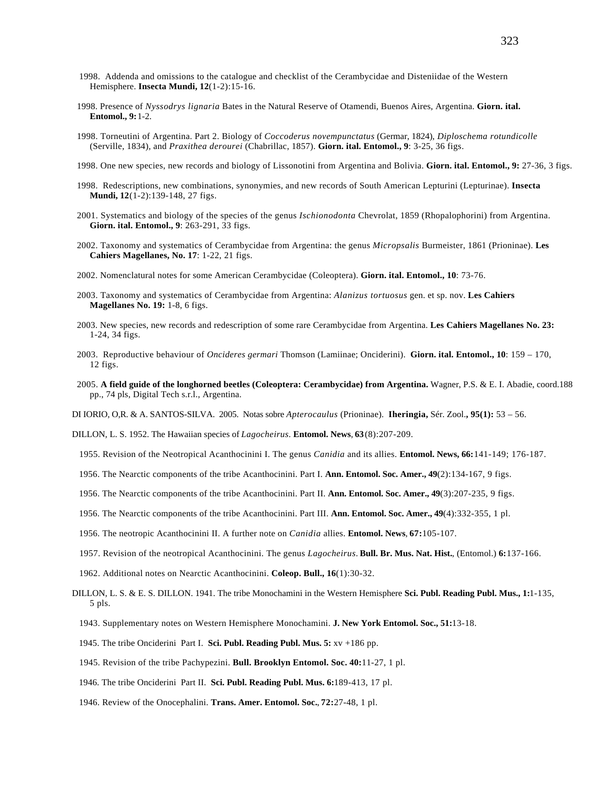- 1998. Addenda and omissions to the catalogue and checklist of the Cerambycidae and Disteniidae of the Western Hemisphere. **Insecta Mundi, 12**(1-2):15-16.
- 1998. Presence of *Nyssodrys lignaria* Bates in the Natural Reserve of Otamendi, Buenos Aires, Argentina. **Giorn. ital. Entomol., 9:**1-2.
- 1998. Torneutini of Argentina. Part 2. Biology of *Coccoderus novempunctatus* (Germar, 1824), *Diploschema rotundicolle* (Serville, 1834), and *Praxithea derourei* (Chabrillac, 1857). **Giorn. ital. Entomol., 9**: 3-25, 36 figs.
- 1998. One new species, new records and biology of Lissonotini from Argentina and Bolivia. **Giorn. ital. Entomol., 9:** 27-36, 3 figs.
- 1998. Redescriptions, new combinations, synonymies, and new records of South American Lepturini (Lepturinae). **Insecta Mundi, 12**(1-2):139-148, 27 figs.
- 2001. Systematics and biology of the species of the genus *Ischionodonta* Chevrolat, 1859 (Rhopalophorini) from Argentina. **Giorn. ital. Entomol., 9**: 263-291, 33 figs.
- 2002. Taxonomy and systematics of Cerambycidae from Argentina: the genus *Micropsalis* Burmeister, 1861 (Prioninae). **Les Cahiers Magellanes, No. 17**: 1-22, 21 figs.
- 2002. Nomenclatural notes for some American Cerambycidae (Coleoptera). **Giorn. ital. Entomol., 10**: 73-76.
- 2003. Taxonomy and systematics of Cerambycidae from Argentina: *Alanizus tortuosus* gen. et sp. nov. **Les Cahiers Magellanes No. 19:** 1-8, 6 figs.
- 2003. New species, new records and redescription of some rare Cerambycidae from Argentina. **Les Cahiers Magellanes No. 23:** 1-24, 34 figs.
- 2003. Reproductive behaviour of *Oncideres germari* Thomson (Lamiinae; Onciderini). **Giorn. ital. Entomol., 10**: 159 170, 12 figs.
- 2005. **A field guide of the longhorned beetles (Coleoptera: Cerambycidae) from Argentina.** Wagner, P.S. & E. I. Abadie, coord.188 pp., 74 pls, Digital Tech s.r.l., Argentina.
- DI IORIO, O,R. & A. SANTOS-SILVA. 2005. Notas sobre *Apterocaulus* (Prioninae). **Iheringia,** Sér. Zool.**, 95(1):** 53 56.
- DILLON, L. S. 1952. The Hawaiian species of *Lagocheirus.* **Entomol. News**, **63**(8):207-209.
- 1955. Revision of the Neotropical Acanthocinini I. The genus *Canidia* and its allies. **Entomol. News, 66:**141-149; 176-187.
- 1956. The Nearctic components of the tribe Acanthocinini. Part I. **Ann. Entomol. Soc. Amer., 49**(2):134-167, 9 figs.
- 1956. The Nearctic components of the tribe Acanthocinini. Part II. **Ann. Entomol. Soc. Amer., 49**(3):207-235, 9 figs.
- 1956. The Nearctic components of the tribe Acanthocinini. Part III. **Ann. Entomol. Soc. Amer., 49**(4):332-355, 1 pl.
- 1956. The neotropic Acanthocinini II. A further note on *Canidia* allies. **Entomol. News**, **67:**105-107.
- 1957. Revision of the neotropical Acanthocinini. The genus *Lagocheirus*. **Bull. Br. Mus. Nat. Hist.**, (Entomol.) **6:**137-166.
- 1962. Additional notes on Nearctic Acanthocinini. **Coleop. Bull., 16**(1):30-32.
- DILLON, L. S. & E. S. DILLON. 1941. The tribe Monochamini in the Western Hemisphere **Sci. Publ. Reading Publ. Mus., 1:**1-135, 5 pls.
	- 1943. Supplementary notes on Western Hemisphere Monochamini. **J. New York Entomol. Soc., 51:**13-18.
	- 1945. The tribe Onciderini Part I. **Sci. Publ. Reading Publ. Mus. 5:** xv +186 pp.
	- 1945. Revision of the tribe Pachypezini. **Bull. Brooklyn Entomol. Soc. 40:**11-27, 1 pl.
	- 1946. The tribe Onciderini Part II. **Sci. Publ. Reading Publ. Mus. 6:**189-413, 17 pl.
	- 1946. Review of the Onocephalini. **Trans. Amer. Entomol. Soc.**, **72:**27-48, 1 pl.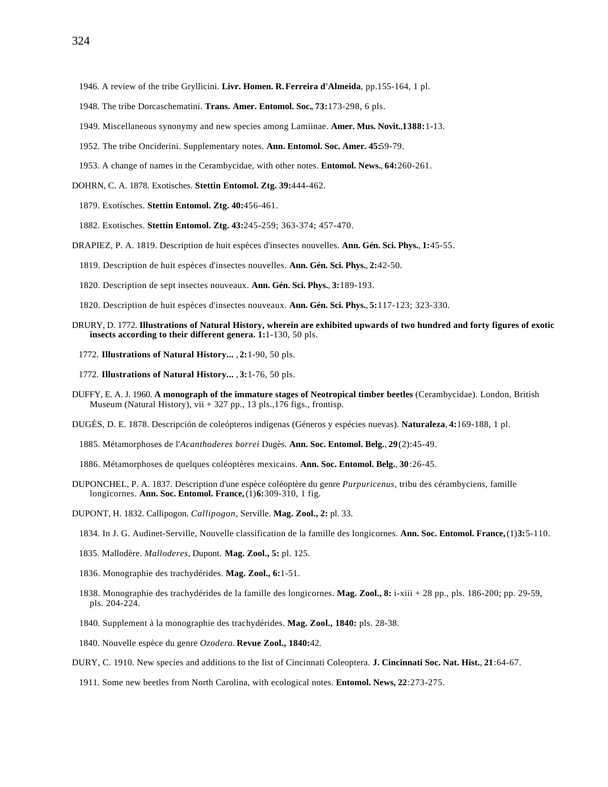1946. A review of the tribe Gryllicini. **Livr. Homen. R.Ferreira d'Almeida**, pp.155-164, 1 pl.

- 1948. The tribe Dorcaschematini. **Trans. Amer. Entomol. Soc.**, **73:**173-298, 6 pls.
- 1949. Miscellaneous synonymy and new species among Lamiinae. **Amer. Mus. Novit.**,**1388:**1-13.
- 1952. The tribe Onciderini. Supplementary notes. **Ann. Entomol. Soc. Amer. 45:**59-79.
- 1953. A change of names in the Cerambycidae, with other notes. **Entomol. News.**, **64:**260-261.
- DOHRN, C. A. 1878. Exotisches. **Stettin Entomol. Ztg. 39:**444-462.
	- 1879. Exotisches. **Stettin Entomol. Ztg. 40:**456-461.
	- 1882. Exotisches. **Stettin Entomol. Ztg. 43:**245-259; 363-374; 457-470.
- DRAPIEZ, P. A. 1819. Description de huit espèces d'insectes nouvelles. **Ann. Gén. Sci. Phys.**, **1:**45-55.
	- 1819. Description de huit espèces d'insectes nouvelles. **Ann. Gén. Sci. Phys.**, **2:**42-50.
	- 1820. Description de sept insectes nouveaux. **Ann. Gén. Sci. Phys.**, **3:**189-193.
	- 1820. Description de huit espèces d'insectes nouveaux. **Ann. Gén. Sci. Phys.**, **5:**117-123; 323-330.
- DRURY, D. 1772. **Illustrations of Natural History, wherein are exhibited upwards of two hundred and forty figures of exotic insects according to their different genera. 1:**1-130, 50 pls.
	- 1772. **Illustrations of Natural History...** , **2:**1-90, 50 pls.
	- 1772. **Illustrations of Natural History...** , **3:**1-76, 50 pls.
- DUFFY, E. A. J. 1960. **A monograph of the immature stages of Neotropical timber beetles** (Cerambycidae). London, British Museum (Natural History), vii + 327 pp., 13 pls.,176 figs., frontisp.

DUGÉS, D. E. 1878. Descripción de coleópteros indígenas (Géneros y espécies nuevas). **Naturaleza**, **4:**169-188, 1 pl.

1885. Métamorphoses de l'*Acanthoderes borrei* Dugès. **Ann. Soc. Entomol. Belg.**, **29**(2):45-49.

- 1886. Métamorphoses de quelques coléoptères mexicains. **Ann. Soc. Entomol. Belg.**, **30**:26-45.
- DUPONCHEL, P. A. 1837. Description d'une espèce coléoptère du genre *Purpuricenus*, tribu des cérambyciens, famille longicornes. **Ann. Soc. Entomol. France,** (1)**6:**309-310, 1 fig.
- DUPONT, H. 1832. Callipogon. *Callipogon*, Serville. **Mag. Zool., 2:** pl. 33.
	- 1834. In J. G. Audinet-Serville, Nouvelle classification de la famille des longicornes. **Ann. Soc. Entomol. France,** (1)**3:**5-110.
	- 1835. Mallodère. *Malloderes*, Dupont. **Mag. Zool., 5:** pl. 125.
	- 1836. Monographie des trachydérides. **Mag. Zool., 6:**1-51.
	- 1838. Monographie des trachydérides de la famille des longicornes. **Mag. Zool., 8:** i-xiii + 28 pp., pls. 186-200; pp. 29-59, pls. 204-224.
	- 1840. Supplement à la monographie des trachydérides. **Mag. Zool., 1840:** pls. 28-38.
	- 1840. Nouvelle espèce du genre *Ozodera*. **Revue Zool., 1840:**42.
- DURY, C. 1910. New species and additions to the list of Cincinnati Coleoptera. **J. Cincinnati Soc. Nat. Hist.**, **21**:64-67.
	- 1911. Some new beetles from North Carolina, with ecological notes. **Entomol. News, 22**:273-275.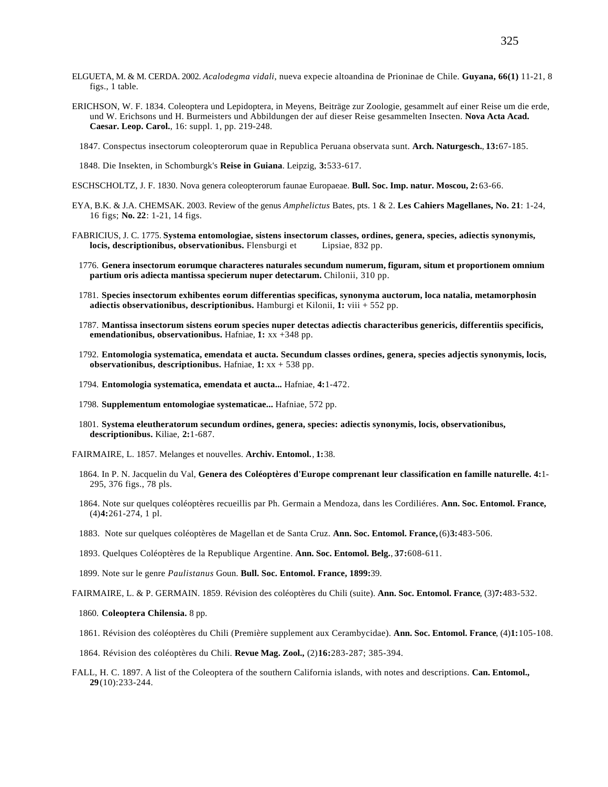- ELGUETA, M. & M. CERDA. 2002. *Acalodegma vidali*, nueva expecie altoandina de Prioninae de Chile. **Guyana, 66(1)** 11-21, 8 figs., 1 table.
- ERICHSON, W. F. 1834. Coleoptera und Lepidoptera, in Meyens, Beiträge zur Zoologie, gesammelt auf einer Reise um die erde, und W. Erichsons und H. Burmeisters und Abbildungen der auf dieser Reise gesammelten Insecten. **Nova Acta Acad. Caesar. Leop. Carol.**, 16: suppl. 1, pp. 219-248.
	- 1847. Conspectus insectorum coleopterorum quae in Republica Peruana observata sunt. **Arch. Naturgesch.**, **13:**67-185.

1848. Die Insekten, in Schomburgk's **Reise in Guiana**. Leipzig, **3:**533-617.

- ESCHSCHOLTZ, J. F. 1830. Nova genera coleopterorum faunae Europaeae. **Bull. Soc. Imp. natur. Moscou, 2:**63-66.
- EYA, B.K. & J.A. CHEMSAK. 2003. Review of the genus *Amphelictus* Bates, pts. 1 & 2. **Les Cahiers Magellanes, No. 21**: 1-24, 16 figs; **No. 22**: 1-21, 14 figs.
- FABRICIUS, J. C. 1775. **Systema entomologiae, sistens insectorum classes, ordines, genera, species, adiectis synonymis, locis, descriptionibus, observationibus.** Flensburgi et Lipsiae, 832 pp.
	- 1776. **Genera insectorum eorumque characteres naturales secundum numerum, figuram, situm et proportionem omnium partium oris adiecta mantissa specierum nuper detectarum.** Chilonii, 310 pp.
	- 1781. **Species insectorum exhibentes eorum differentias specificas, synonyma auctorum, loca natalia, metamorphosin adiectis observationibus, descriptionibus.** Hamburgi et Kilonii, **1:** viii + 552 pp.
	- 1787. **Mantissa insectorum sistens eorum species nuper detectas adiectis characteribus genericis, differentiis specificis, emendationibus, observationibus.** Hafniae, **1:** xx +348 pp.
	- 1792. **Entomologia systematica, emendata et aucta. Secundum classes ordines, genera, species adjectis synonymis, locis, observationibus, descriptionibus.** Hafniae, **1:** xx + 538 pp.
	- 1794. **Entomologia systematica, emendata et aucta...** Hafniae, **4:**1-472.
	- 1798. **Supplementum entomologiae systematicae...** Hafniae, 572 pp.
	- 1801. **Systema eleutheratorum secundum ordines, genera, species: adiectis synonymis, locis, observationibus, descriptionibus.** Kiliae, **2:**1-687.
- FAIRMAIRE, L. 1857. Melanges et nouvelles. **Archiv. Entomol.**, **1:**38.
	- 1864. In P. N. Jacquelin du Val, **Genera des Coléoptères d'Europe comprenant leur classification en famille naturelle. 4:**1- 295, 376 figs., 78 pls.
	- 1864. Note sur quelques coléoptères recueillis par Ph. Germain a Mendoza, dans les Cordiliéres. **Ann. Soc. Entomol. France,** (4)**4:**261-274, 1 pl.
	- 1883. Note sur quelques coléoptères de Magellan et de Santa Cruz. **Ann. Soc. Entomol. France,** (6)**3:**483-506.
	- 1893. Quelques Coléoptères de la Republique Argentine. **Ann. Soc. Entomol. Belg.**, **37:**608-611.
	- 1899. Note sur le genre *Paulistanus* Goun. **Bull. Soc. Entomol. France, 1899:**39.

FAIRMAIRE, L. & P. GERMAIN. 1859. Révision des coléoptères du Chili (suite). **Ann. Soc. Entomol. France**, (3)**7:**483-532.

- 1860. **Coleoptera Chilensia.** 8 pp.
- 1861. Révision des coléoptères du Chili (Première supplement aux Cerambycidae). **Ann. Soc. Entomol. France**, (4)**1:**105-108.
- 1864. Révision des coléoptères du Chili. **Revue Mag. Zool.,** (2)**16:**283-287; 385-394.
- FALL, H. C. 1897. A list of the Coleoptera of the southern California islands, with notes and descriptions. **Can. Entomol., 29**(10):233-244.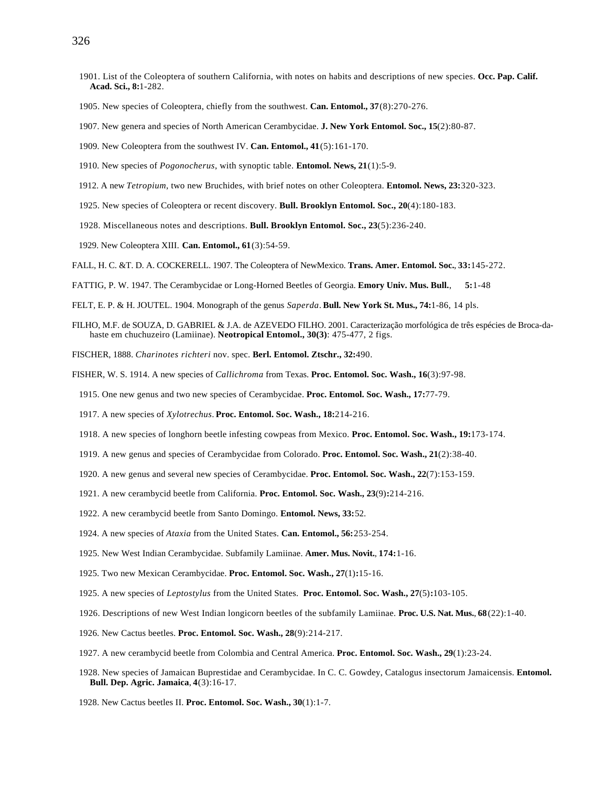- 1901. List of the Coleoptera of southern California, with notes on habits and descriptions of new species. **Occ. Pap. Calif. Acad. Sci., 8:**1-282.
- 1905. New species of Coleoptera, chiefly from the southwest. **Can. Entomol., 37**(8):270-276.
- 1907. New genera and species of North American Cerambycidae. **J. New York Entomol. Soc., 15**(2):80-87.
- 1909. New Coleoptera from the southwest IV. **Can. Entomol., 41**(5):161-170.
- 1910. New species of *Pogonocherus*, with synoptic table. **Entomol. News, 21**(1):5-9.
- 1912. A new *Tetropium*, two new Bruchides, with brief notes on other Coleoptera. **Entomol. News, 23:**320-323.
- 1925. New species of Coleoptera or recent discovery. **Bull. Brooklyn Entomol. Soc., 20**(4):180-183.
- 1928. Miscellaneous notes and descriptions. **Bull. Brooklyn Entomol. Soc., 23**(5):236-240.
- 1929. New Coleoptera XIII. **Can. Entomol., 61**(3):54-59.
- FALL, H. C. &T. D. A. COCKERELL. 1907. The Coleoptera of NewMexico. **Trans. Amer. Entomol. Soc.**, **33:**145-272.
- FATTIG, P. W. 1947. The Cerambycidae or Long-Horned Beetles of Georgia. **Emory Univ. Mus. Bull.**, **5:**1-48
- FELT, E. P. & H. JOUTEL. 1904. Monograph of the genus *Saperda*. **Bull. New York St. Mus., 74:**1-86, 14 pls.
- FILHO, M.F. de SOUZA, D. GABRIEL & J.A. de AZEVEDO FILHO. 2001. Caracterização morfológica de três espécies de Broca-dahaste em chuchuzeiro (Lamiinae). **Neotropical Entomol., 30(3)**: 475-477, 2 figs.
- FISCHER, 1888. *Charinotes richteri* nov. spec. **Berl. Entomol. Ztschr., 32:**490.
- FISHER, W. S. 1914. A new species of *Callichroma* from Texas. **Proc. Entomol. Soc. Wash., 16**(3):97-98.
	- 1915. One new genus and two new species of Cerambycidae. **Proc. Entomol. Soc. Wash., 17:**77-79.
	- 1917. A new species of *Xylotrechus*. **Proc. Entomol. Soc. Wash., 18:**214-216.
	- 1918. A new species of longhorn beetle infesting cowpeas from Mexico. **Proc. Entomol. Soc. Wash., 19:**173-174.
	- 1919. A new genus and species of Cerambycidae from Colorado. **Proc. Entomol. Soc. Wash., 21**(2):38-40.
	- 1920. A new genus and several new species of Cerambycidae. **Proc. Entomol. Soc. Wash., 22**(7):153-159.
	- 1921. A new cerambycid beetle from California. **Proc. Entomol. Soc. Wash., 23**(9)**:**214-216.
	- 1922. A new cerambycid beetle from Santo Domingo. **Entomol. News, 33:**52.
	- 1924. A new species of *Ataxia* from the United States. **Can. Entomol., 56:**253-254.
	- 1925. New West Indian Cerambycidae. Subfamily Lamiinae. **Amer. Mus. Novit.**, **174:**1-16.
	- 1925. Two new Mexican Cerambycidae. **Proc. Entomol. Soc. Wash., 27**(1)**:**15-16.
	- 1925. A new species of *Leptostylus* from the United States. **Proc. Entomol. Soc. Wash., 27**(5)**:**103-105.
	- 1926. Descriptions of new West Indian longicorn beetles of the subfamily Lamiinae. **Proc. U.S. Nat. Mus.**, **68**(22):1-40.
	- 1926. New Cactus beetles. **Proc. Entomol. Soc. Wash., 28**(9):214-217.
	- 1927. A new cerambycid beetle from Colombia and Central America. **Proc. Entomol. Soc. Wash., 29**(1):23-24.
	- 1928. New species of Jamaican Buprestidae and Cerambycidae. In C. C. Gowdey, Catalogus insectorum Jamaicensis. **Entomol. Bull. Dep. Agric. Jamaica**, **4**(3):16-17.
	- 1928. New Cactus beetles II. **Proc. Entomol. Soc. Wash., 30**(1):1-7.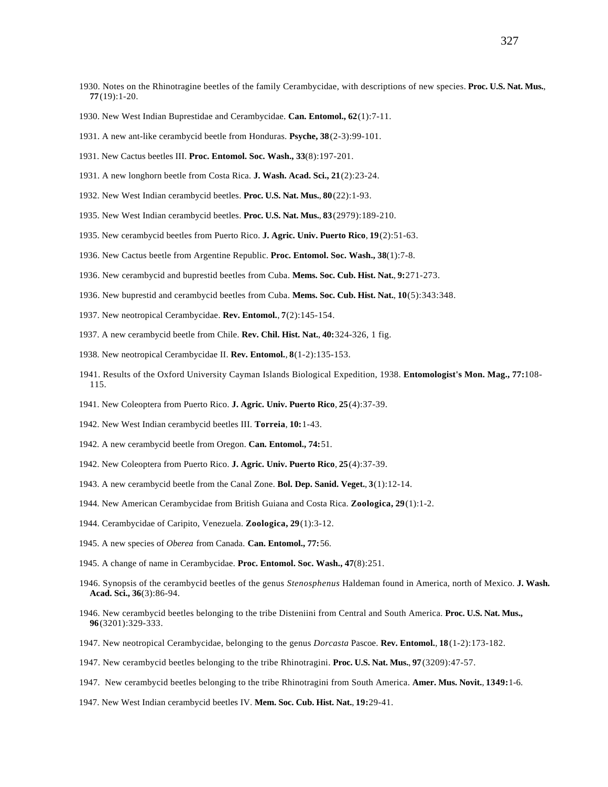- 1930. Notes on the Rhinotragine beetles of the family Cerambycidae, with descriptions of new species. **Proc. U.S. Nat. Mus.**, **77**(19):1-20.
- 1930. New West Indian Buprestidae and Cerambycidae. **Can. Entomol., 62**(1):7-11.
- 1931. A new ant-like cerambycid beetle from Honduras. **Psyche, 38**(2-3):99-101.
- 1931. New Cactus beetles III. **Proc. Entomol. Soc. Wash., 33**(8):197-201.
- 1931. A new longhorn beetle from Costa Rica. **J. Wash. Acad. Sci., 21**(2):23-24.
- 1932. New West Indian cerambycid beetles. **Proc. U.S. Nat. Mus.**, **80**(22):1-93.
- 1935. New West Indian cerambycid beetles. **Proc. U.S. Nat. Mus.**, **83**(2979):189-210.
- 1935. New cerambycid beetles from Puerto Rico. **J. Agric. Univ. Puerto Rico**, **19**(2):51-63.
- 1936. New Cactus beetle from Argentine Republic. **Proc. Entomol. Soc. Wash., 38**(1):7-8.
- 1936. New cerambycid and buprestid beetles from Cuba. **Mems. Soc. Cub. Hist. Nat.**, **9:**271-273.
- 1936. New buprestid and cerambycid beetles from Cuba. **Mems. Soc. Cub. Hist. Nat.**, **10**(5):343:348.
- 1937. New neotropical Cerambycidae. **Rev. Entomol.**, **7**(2):145-154.
- 1937. A new cerambycid beetle from Chile. **Rev. Chil. Hist. Nat.**, **40:**324-326, 1 fig.
- 1938. New neotropical Cerambycidae II. **Rev. Entomol.**, **8**(1-2):135-153.
- 1941. Results of the Oxford University Cayman Islands Biological Expedition, 1938. **Entomologist's Mon. Mag., 77:**108- 115.
- 1941. New Coleoptera from Puerto Rico. **J. Agric. Univ. Puerto Rico**, **25**(4):37-39.
- 1942. New West Indian cerambycid beetles III. **Torreia**, **10:**1-43.
- 1942. A new cerambycid beetle from Oregon. **Can. Entomol., 74:**51.
- 1942. New Coleoptera from Puerto Rico. **J. Agric. Univ. Puerto Rico**, **25**(4):37-39.
- 1943. A new cerambycid beetle from the Canal Zone. **Bol. Dep. Sanid. Veget.**, **3**(1):12-14.
- 1944. New American Cerambycidae from British Guiana and Costa Rica. **Zoologica, 29**(1):1-2.
- 1944. Cerambycidae of Caripito, Venezuela. **Zoologica, 29**(1):3-12.
- 1945. A new species of *Oberea* from Canada. **Can. Entomol., 77:**56.
- 1945. A change of name in Cerambycidae. **Proc. Entomol. Soc. Wash., 47**(8):251.
- 1946. Synopsis of the cerambycid beetles of the genus *Stenosphenus* Haldeman found in America, north of Mexico. **J. Wash. Acad. Sci., 36**(3):86-94.
- 1946. New cerambycid beetles belonging to the tribe Disteniini from Central and South America. **Proc. U.S. Nat. Mus., 96**(3201):329-333.
- 1947. New neotropical Cerambycidae, belonging to the genus *Dorcasta* Pascoe. **Rev. Entomol.**, **18**(1-2):173-182.
- 1947. New cerambycid beetles belonging to the tribe Rhinotragini. **Proc. U.S. Nat. Mus.**, **97**(3209):47-57.
- 1947. New cerambycid beetles belonging to the tribe Rhinotragini from South America. **Amer. Mus. Novit.**, **1349:**1-6.
- 1947. New West Indian cerambycid beetles IV. **Mem. Soc. Cub. Hist. Nat.**, **19:**29-41.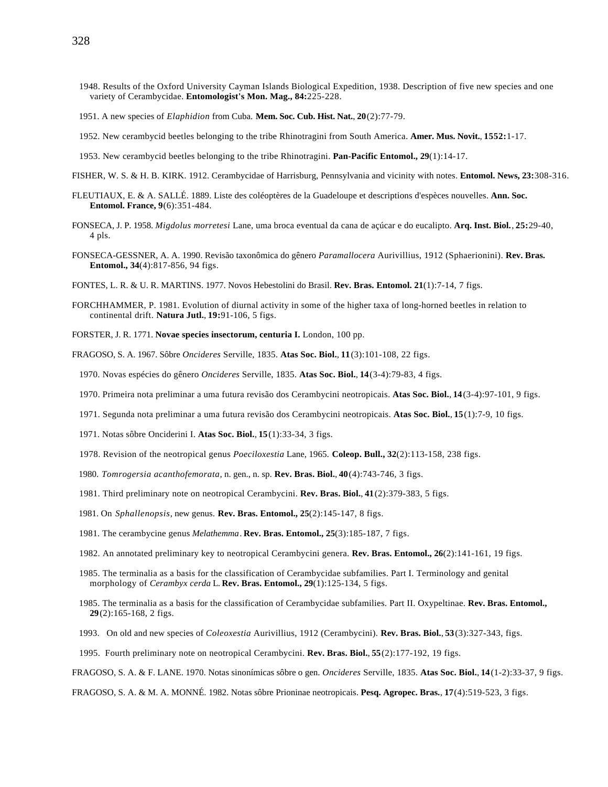- 1948. Results of the Oxford University Cayman Islands Biological Expedition, 1938. Description of five new species and one variety of Cerambycidae. **Entomologist's Mon. Mag., 84:**225-228.
- 1951. A new species of *Elaphidion* from Cuba. **Mem. Soc. Cub. Hist. Nat.**, **20**(2):77-79.
- 1952. New cerambycid beetles belonging to the tribe Rhinotragini from South America. **Amer. Mus. Novit.**, **1552:**1-17.
- 1953. New cerambycid beetles belonging to the tribe Rhinotragini. **Pan-Pacific Entomol., 29**(1):14-17.
- FISHER, W. S. & H. B. KIRK. 1912. Cerambycidae of Harrisburg, Pennsylvania and vicinity with notes. **Entomol. News, 23:**308-316.
- FLEUTIAUX, E. & A. SALLÉ. 1889. Liste des coléoptères de la Guadeloupe et descriptions d'espèces nouvelles. **Ann. Soc. Entomol. France, 9**(6):351-484.
- FONSECA, J. P. 1958. *Migdolus morretesi* Lane, uma broca eventual da cana de açúcar e do eucalipto. **Arq. Inst. Biol.**, **25:**29-40, 4 pls.
- FONSECA-GESSNER, A. A. 1990. Revisão taxonômica do gênero *Paramallocera* Aurivillius, 1912 (Sphaerionini). **Rev. Bras. Entomol., 34**(4):817-856, 94 figs.
- FONTES, L. R. & U. R. MARTINS. 1977. Novos Hebestolini do Brasil. **Rev. Bras. Entomol. 21**(1):7-14, 7 figs.
- FORCHHAMMER, P. 1981. Evolution of diurnal activity in some of the higher taxa of long-horned beetles in relation to continental drift. **Natura Jutl.**, **19:**91-106, 5 figs.
- FORSTER, J. R. 1771. **Novae species insectorum, centuria I.** London, 100 pp.
- FRAGOSO, S. A. 1967. Sôbre *Oncideres* Serville, 1835. **Atas Soc. Biol.**, **11**(3):101-108, 22 figs.
	- 1970. Novas espécies do gênero *Oncideres* Serville, 1835. **Atas Soc. Biol.**, **14**(3-4):79-83, 4 figs.
	- 1970. Primeira nota preliminar a uma futura revisão dos Cerambycini neotropicais. **Atas Soc. Biol.**, **14**(3-4):97-101, 9 figs.
	- 1971. Segunda nota preliminar a uma futura revisão dos Cerambycini neotropicais. **Atas Soc. Biol.**, **15**(1):7-9, 10 figs.
	- 1971. Notas sôbre Onciderini I. **Atas Soc. Biol.**, **15**(1):33-34, 3 figs.
	- 1978. Revision of the neotropical genus *Poeciloxestia* Lane, 1965. **Coleop. Bull., 32**(2):113-158, 238 figs.
	- 1980. *Tomrogersia acanthofemorata*, n. gen., n. sp. **Rev. Bras. Biol.**, **40**(4):743-746, 3 figs.
	- 1981. Third preliminary note on neotropical Cerambycini. **Rev. Bras. Biol.**, **41**(2):379-383, 5 figs.
	- 1981. On *Sphallenopsis*, new genus. **Rev. Bras. Entomol., 25**(2):145-147, 8 figs.
	- 1981. The cerambycine genus *Melathemma*. **Rev. Bras. Entomol., 25**(3):185-187, 7 figs.
	- 1982. An annotated preliminary key to neotropical Cerambycini genera. **Rev. Bras. Entomol., 26**(2):141-161, 19 figs.
	- 1985. The terminalia as a basis for the classification of Cerambycidae subfamilies. Part I. Terminology and genital morphology of *Cerambyx cerda* L. **Rev. Bras. Entomol., 29**(1):125-134, 5 figs.
	- 1985. The terminalia as a basis for the classification of Cerambycidae subfamilies. Part II. Oxypeltinae. **Rev. Bras. Entomol., 29**(2):165-168, 2 figs.
	- 1993. On old and new species of *Coleoxestia* Aurivillius, 1912 (Cerambycini). **Rev. Bras. Biol.**, **53**(3):327-343, figs.
	- 1995. Fourth preliminary note on neotropical Cerambycini. **Rev. Bras. Biol.**, **55**(2):177-192, 19 figs.

FRAGOSO, S. A. & F. LANE. 1970. Notas sinonímicas sôbre o gen. *Oncideres* Serville, 1835. **Atas Soc. Biol.**, **14**(1-2):33-37, 9 figs.

FRAGOSO, S. A. & M. A. MONNÉ. 1982. Notas sôbre Prioninae neotropicais. **Pesq. Agropec. Bras.**, **17**(4):519-523, 3 figs.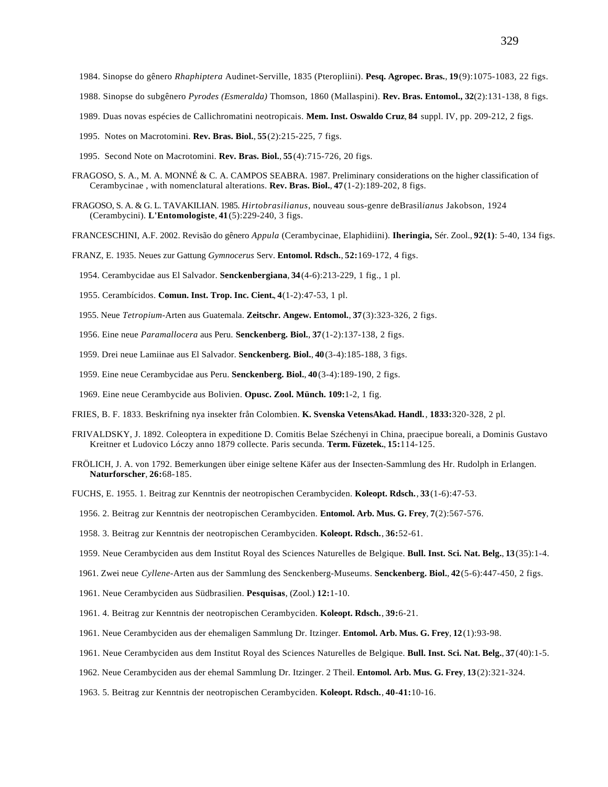- 1984. Sinopse do gênero *Rhaphiptera* Audinet-Serville, 1835 (Pteropliini). **Pesq. Agropec. Bras.**, **19**(9):1075-1083, 22 figs.
- 1988. Sinopse do subgênero *Pyrodes (Esmeralda)* Thomson, 1860 (Mallaspini). **Rev. Bras. Entomol., 32**(2):131-138, 8 figs.
- 1989. Duas novas espécies de Callichromatini neotropicais. **Mem. Inst. Oswaldo Cruz**, **84** suppl. IV, pp. 209-212, 2 figs.
- 1995. Notes on Macrotomini. **Rev. Bras. Biol.**, **55**(2):215-225, 7 figs.
- 1995. Second Note on Macrotomini. **Rev. Bras. Biol.**, **55**(4):715-726, 20 figs.
- FRAGOSO, S. A., M. A. MONNÉ & C. A. CAMPOS SEABRA. 1987. Preliminary considerations on the higher classification of Cerambycinae , with nomenclatural alterations. **Rev. Bras. Biol.**, **47**(1-2):189-202, 8 figs.
- FRAGOSO, S. A. & G. L. TAVAKILIAN. 1985. *Hirtobrasilianus*, nouveau sous-genre deBrasil*ianus* Jakobson, 1924 (Cerambycini). **L'Entomologiste**, **41**(5):229-240, 3 figs.
- FRANCESCHINI, A.F. 2002. Revisão do gênero *Appula* (Cerambycinae, Elaphidiini). **Iheringia,** Sér. Zool., **92(1)**: 5-40, 134 figs.
- FRANZ, E. 1935. Neues zur Gattung *Gymnocerus* Serv. **Entomol. Rdsch.**, **52:**169-172, 4 figs.
	- 1954. Cerambycidae aus El Salvador. **Senckenbergiana**, **34**(4-6):213-229, 1 fig., 1 pl.
	- 1955. Cerambícidos. **Comun. Inst. Trop. Inc. Cient.**, **4**(1-2):47-53, 1 pl.
	- 1955. Neue *Tetropium*-Arten aus Guatemala. **Zeitschr. Angew. Entomol.**, **37**(3):323-326, 2 figs.
	- 1956. Eine neue *Paramallocera* aus Peru. **Senckenberg. Biol.**, **37**(1-2):137-138, 2 figs.
	- 1959. Drei neue Lamiinae aus El Salvador. **Senckenberg. Biol.**, **40**(3-4):185-188, 3 figs.
	- 1959. Eine neue Cerambycidae aus Peru. **Senckenberg. Biol.**, **40**(3-4):189-190, 2 figs.
	- 1969. Eine neue Cerambycide aus Bolivien. **Opusc. Zool. Münch. 109:**1-2, 1 fig.
- FRIES, B. F. 1833. Beskrifning nya insekter från Colombien. **K. Svenska VetensAkad. Handl.**, **1833:**320-328, 2 pl.
- FRIVALDSKY, J. 1892. Coleoptera in expeditione D. Comitis Belae Széchenyi in China, praecipue boreali, a Dominis Gustavo Kreitner et Ludovico Lóczy anno 1879 collecte. Paris secunda. **Term. Füzetek.**, **15:**114-125.
- FRÖLICH, J. A. von 1792. Bemerkungen über einige seltene Käfer aus der Insecten-Sammlung des Hr. Rudolph in Erlangen. **Naturforscher**, **26:**68-185.
- FUCHS, E. 1955. 1. Beitrag zur Kenntnis der neotropischen Cerambyciden. **Koleopt. Rdsch.**, **33**(1-6):47-53.
- 1956. 2. Beitrag zur Kenntnis der neotropischen Cerambyciden. **Entomol. Arb. Mus. G. Frey**, **7**(2):567-576.
- 1958. 3. Beitrag zur Kenntnis der neotropischen Cerambyciden. **Koleopt. Rdsch.**, **36:**52-61.
- 1959. Neue Cerambyciden aus dem Institut Royal des Sciences Naturelles de Belgique. **Bull. Inst. Sci. Nat. Belg.**, **13**(35):1-4.
- 1961. Zwei neue *Cyllene*-Arten aus der Sammlung des Senckenberg-Museums. **Senckenberg. Biol.**, **42**(5-6):447-450, 2 figs.
- 1961. Neue Cerambyciden aus Südbrasilien. **Pesquisas**, (Zool.) **12:**1-10.
- 1961. 4. Beitrag zur Kenntnis der neotropischen Cerambyciden. **Koleopt. Rdsch.**, **39:**6-21.
- 1961. Neue Cerambyciden aus der ehemaligen Sammlung Dr. Itzinger. **Entomol. Arb. Mus. G. Frey**, **12**(1):93-98.
- 1961. Neue Cerambyciden aus dem Institut Royal des Sciences Naturelles de Belgique. **Bull. Inst. Sci. Nat. Belg.**, **37**(40):1-5.
- 1962. Neue Cerambyciden aus der ehemal Sammlung Dr. Itzinger. 2 Theil. **Entomol. Arb. Mus. G. Frey**, **13**(2):321-324.
- 1963. 5. Beitrag zur Kenntnis der neotropischen Cerambyciden. **Koleopt. Rdsch.**, **40-41:**10-16.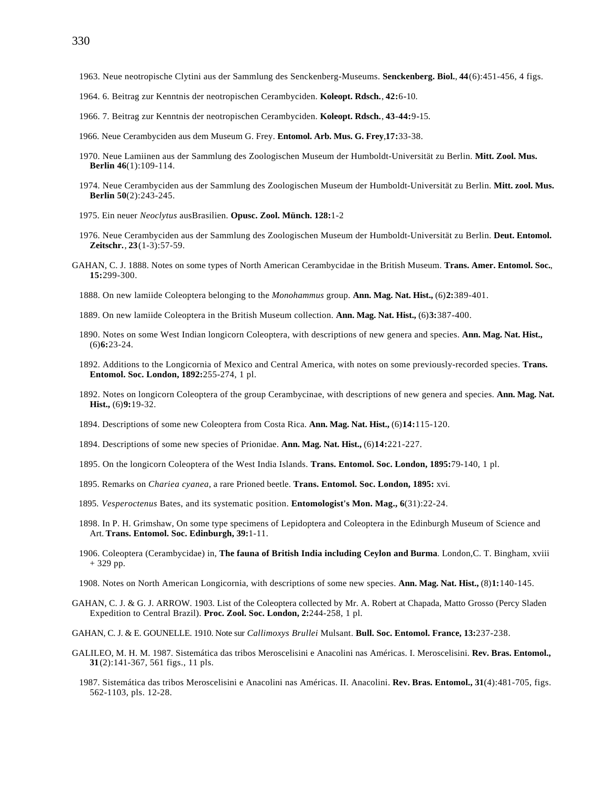- 1963. Neue neotropische Clytini aus der Sammlung des Senckenberg-Museums. **Senckenberg. Biol.**, **44**(6):451-456, 4 figs.
- 1964. 6. Beitrag zur Kenntnis der neotropischen Cerambyciden. **Koleopt. Rdsch.**, **42:**6**-**10.
- 1966. 7. Beitrag zur Kenntnis der neotropischen Cerambyciden. **Koleopt. Rdsch.**, **43-44:**9**-**15.
- 1966. Neue Cerambyciden aus dem Museum G. Frey. **Entomol. Arb. Mus. G. Frey**,**17:**33-38.
- 1970. Neue Lamiinen aus der Sammlung des Zoologischen Museum der Humboldt-Universität zu Berlin. **Mitt. Zool. Mus. Berlin 46**(1):109-114.
- 1974. Neue Cerambyciden aus der Sammlung des Zoologischen Museum der Humboldt-Universität zu Berlin. **Mitt. zool. Mus. Berlin 50**(2):243-245.
- 1975. Ein neuer *Neoclytus* ausBrasilien. **Opusc. Zool. Münch. 128:**1-2
- 1976. Neue Cerambyciden aus der Sammlung des Zoologischen Museum der Humboldt-Universität zu Berlin. **Deut. Entomol. Zeitschr.**, **23**(1-3):57-59.
- GAHAN, C. J. 1888. Notes on some types of North American Cerambycidae in the British Museum. **Trans. Amer. Entomol. Soc.**, **15:**299-300.
	- 1888. On new lamiide Coleoptera belonging to the *Monohammus* group. **Ann. Mag. Nat. Hist.,** (6)**2:**389-401.
	- 1889. On new lamiide Coleoptera in the British Museum collection. **Ann. Mag. Nat. Hist.,** (6)**3:**387-400.
	- 1890. Notes on some West Indian longicorn Coleoptera, with descriptions of new genera and species. **Ann. Mag. Nat. Hist.,** (6)**6:**23-24.
	- 1892. Additions to the Longicornia of Mexico and Central America, with notes on some previously-recorded species. **Trans. Entomol. Soc. London, 1892:**255-274, 1 pl.
	- 1892. Notes on longicorn Coleoptera of the group Cerambycinae, with descriptions of new genera and species. **Ann. Mag. Nat. Hist.,** (6)**9:**19-32.
	- 1894. Descriptions of some new Coleoptera from Costa Rica. **Ann. Mag. Nat. Hist.,** (6)**14:**115-120.
	- 1894. Descriptions of some new species of Prionidae. **Ann. Mag. Nat. Hist.,** (6)**14:**221-227.
	- 1895. On the longicorn Coleoptera of the West India Islands. **Trans. Entomol. Soc. London, 1895:**79-140, 1 pl.
	- 1895. Remarks on *Chariea cyanea*, a rare Prioned beetle. **Trans. Entomol. Soc. London, 1895:** xvi.
	- 1895. *Vesperoctenus* Bates, and its systematic position. **Entomologist's Mon. Mag., 6**(31):22-24.
	- 1898. In P. H. Grimshaw, On some type specimens of Lepidoptera and Coleoptera in the Edinburgh Museum of Science and Art. **Trans. Entomol. Soc. Edinburgh, 39:**1-11.
	- 1906. Coleoptera (Cerambycidae) in, **The fauna of British India including Ceylon and Burma**. London,C. T. Bingham, xviii + 329 pp.
	- 1908. Notes on North American Longicornia, with descriptions of some new species. **Ann. Mag. Nat. Hist.,** (8)**1:**140-145.
- GAHAN, C. J. & G. J. ARROW. 1903. List of the Coleoptera collected by Mr. A. Robert at Chapada, Matto Grosso (Percy Sladen Expedition to Central Brazil). **Proc. Zool. Soc. London, 2:**244-258, 1 pl.
- GAHAN, C. J. & E. GOUNELLE. 1910. Note sur *Callimoxys Brullei* Mulsant. **Bull. Soc. Entomol. France, 13:**237-238.
- GALILEO, M. H. M. 1987. Sistemática das tribos Meroscelisini e Anacolini nas Américas. I. Meroscelisini. **Rev. Bras. Entomol., 31**(2):141-367, 561 figs., 11 pls.
	- 1987. Sistemática das tribos Meroscelisini e Anacolini nas Américas. II. Anacolini. **Rev. Bras. Entomol., 31**(4):481-705, figs. 562-1103, pls. 12-28.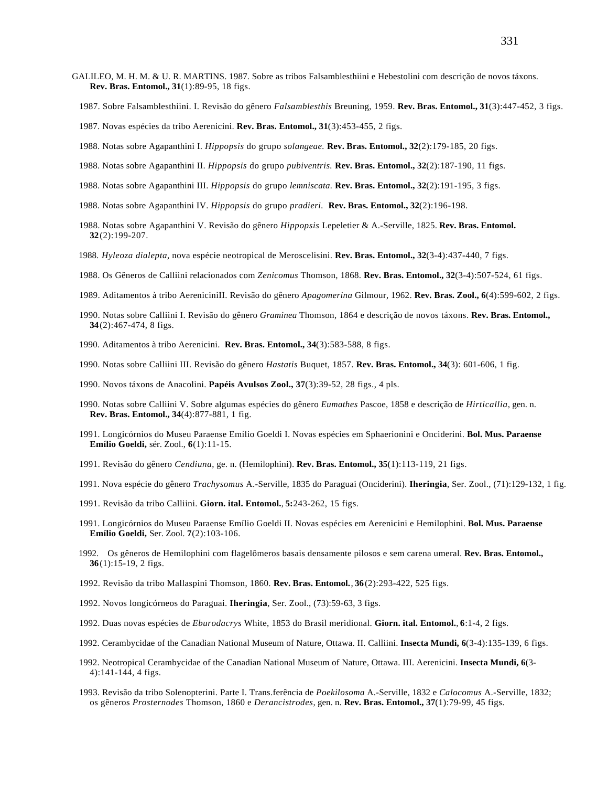- GALILEO, M. H. M. & U. R. MARTINS. 1987. Sobre as tribos Falsamblesthiini e Hebestolini com descrição de novos táxons. **Rev. Bras. Entomol., 31**(1):89-95, 18 figs.
	- 1987. Sobre Falsamblesthiini. I. Revisão do gênero *Falsamblesthis* Breuning, 1959. **Rev. Bras. Entomol., 31**(3):447-452, 3 figs.
	- 1987. Novas espécies da tribo Aerenicini. **Rev. Bras. Entomol., 31**(3):453-455, 2 figs.
	- 1988. Notas sobre Agapanthini I. *Hippopsis* do grupo *solangeae.* **Rev. Bras. Entomol., 32**(2):179-185, 20 figs.
	- 1988. Notas sobre Agapanthini II. *Hippopsis* do grupo *pubiventris.* **Rev. Bras. Entomol., 32**(2):187-190, 11 figs.
	- 1988. Notas sobre Agapanthini III. *Hippopsis* do grupo *lemniscata.* **Rev. Bras. Entomol., 32**(2):191-195, 3 figs.
	- 1988. Notas sobre Agapanthini IV. *Hippopsis* do grupo *pradieri.* **Rev. Bras. Entomol., 32**(2):196-198.
	- 1988. Notas sobre Agapanthini V. Revisão do gênero *Hippopsis* Lepeletier & A.-Serville, 1825. **Rev. Bras. Entomol. 32**(2):199-207.
	- 1988. *Hyleoza dialepta*, nova espécie neotropical de Meroscelisini. **Rev. Bras. Entomol., 32**(3-4):437-440, 7 figs.
	- 1988. Os Gêneros de Calliini relacionados com *Zenicomus* Thomson, 1868. **Rev. Bras. Entomol., 32**(3-4):507-524, 61 figs.
	- 1989. Aditamentos à tribo AereniciniII. Revisão do gênero *Apagomerina* Gilmour, 1962. **Rev. Bras. Zool., 6**(4):599-602, 2 figs.
	- 1990. Notas sobre Calliini I. Revisão do gênero *Graminea* Thomson, 1864 e descrição de novos táxons. **Rev. Bras. Entomol., 34**(2):467-474, 8 figs.
	- 1990. Aditamentos à tribo Aerenicini. **Rev. Bras. Entomol., 34**(3):583-588, 8 figs.
	- 1990. Notas sobre Calliini III. Revisão do gênero *Hastatis* Buquet, 1857. **Rev. Bras. Entomol., 34**(3): 601-606, 1 fig.
	- 1990. Novos táxons de Anacolini. **Papéis Avulsos Zool., 37**(3):39-52, 28 figs., 4 pls.
	- 1990. Notas sobre Calliini V. Sobre algumas espécies do gênero *Eumathes* Pascoe, 1858 e descrição de *Hirticallia*, gen. n. **Rev. Bras. Entomol., 34**(4):877-881, 1 fig.
	- 1991. Longicórnios do Museu Paraense Emílio Goeldi I. Novas espécies em Sphaerionini e Onciderini. **Bol. Mus. Paraense Emílio Goeldi,** sér. Zool., **6**(1):11-15.
	- 1991. Revisão do gênero *Cendiuna*, ge. n. (Hemilophini). **Rev. Bras. Entomol., 35**(1):113-119, 21 figs.
	- 1991. Nova espécie do gênero *Trachysomus* A.-Serville, 1835 do Paraguai (Onciderini). **Iheringia**, Ser. Zool., (71):129-132, 1 fig.
	- 1991. Revisão da tribo Calliini. **Giorn. ital. Entomol.**, **5:**243-262, 15 figs.
	- 1991. Longicórnios do Museu Paraense Emílio Goeldi II. Novas espécies em Aerenicini e Hemilophini. **Bol. Mus. Paraense Emílio Goeldi,** Ser. Zool. **7**(2):103-106.
	- 1992. Os gêneros de Hemilophini com flagelômeros basais densamente pilosos e sem carena umeral. **Rev. Bras. Entomol., 36**(1):15-19, 2 figs.
	- 1992. Revisão da tribo Mallaspini Thomson, 1860. **Rev. Bras. Entomol.**, **36**(2):293-422, 525 figs.
	- 1992. Novos longicórneos do Paraguai. **Iheringia**, Ser. Zool., (73):59-63, 3 figs.
	- 1992. Duas novas espécies de *Eburodacrys* White, 1853 do Brasil meridional. **Giorn. ital. Entomol.**, **6**:1-4, 2 figs.
	- 1992. Cerambycidae of the Canadian National Museum of Nature, Ottawa. II. Calliini. **Insecta Mundi, 6**(3-4):135-139, 6 figs.
	- 1992. Neotropical Cerambycidae of the Canadian National Museum of Nature, Ottawa. III. Aerenicini. **Insecta Mundi, 6**(3- 4):141-144, 4 figs.
	- 1993. Revisão da tribo Solenopterini. Parte I. Trans.ferência de *Poekilosoma* A.-Serville, 1832 e *Calocomus* A.-Serville, 1832; os gêneros *Prosternodes* Thomson, 1860 e *Derancistrodes*, gen. n. **Rev. Bras. Entomol., 37**(1):79-99, 45 figs.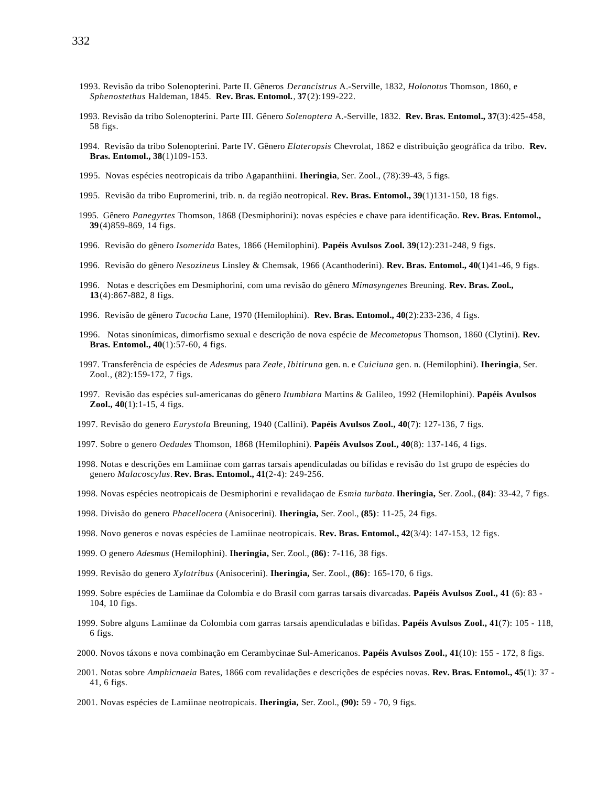- 1993. Revisão da tribo Solenopterini. Parte II. Gêneros *Derancistrus* A.-Serville, 1832, *Holonotus* Thomson, 1860, e *Sphenostethus* Haldeman, 1845. **Rev. Bras. Entomol.**, **37**(2):199-222.
- 1993. Revisão da tribo Solenopterini. Parte III. Gênero *Solenoptera* A.-Serville, 1832. **Rev. Bras. Entomol., 37**(3):425-458, 58 figs.
- 1994. Revisão da tribo Solenopterini. Parte IV. Gênero *Elateropsis* Chevrolat, 1862 e distribuição geográfica da tribo. **Rev. Bras. Entomol., 38**(1)109-153.
- 1995. Novas espécies neotropicais da tribo Agapanthiini. **Iheringia**, Ser. Zool., (78):39-43, 5 figs.
- 1995. Revisão da tribo Eupromerini, trib. n. da região neotropical. **Rev. Bras. Entomol., 39**(1)131-150, 18 figs.
- 1995. Gênero *Panegyrtes* Thomson, 1868 (Desmiphorini): novas espécies e chave para identificação. **Rev. Bras. Entomol., 39**(4)859-869, 14 figs.
- 1996. Revisão do gênero *Isomerida* Bates, 1866 (Hemilophini). **Papéis Avulsos Zool. 39**(12):231-248, 9 figs.
- 1996. Revisão do gênero *Nesozineus* Linsley & Chemsak, 1966 (Acanthoderini). **Rev. Bras. Entomol., 40**(1)41-46, 9 figs.
- 1996. Notas e descrições em Desmiphorini, com uma revisão do gênero *Mimasyngenes* Breuning. **Rev. Bras. Zool., 13**(4):867-882, 8 figs.
- 1996. Revisão de gênero *Tacocha* Lane, 1970 (Hemilophini). **Rev. Bras. Entomol., 40**(2):233-236, 4 figs.
- 1996. Notas sinonímicas, dimorfismo sexual e descrição de nova espécie de *Mecometopus* Thomson, 1860 (Clytini). **Rev. Bras. Entomol., 40**(1):57-60, 4 figs.
- 1997. Transferência de espécies de *Adesmus* para *Zeale*, *Ibitiruna* gen. n. e *Cuiciuna* gen. n. (Hemilophini). **Iheringia**, Ser. Zool., (82):159-172, 7 figs.
- 1997. Revisão das espécies sul-americanas do gênero *Itumbiara* Martins & Galileo, 1992 (Hemilophini). **Papéis Avulsos Zool., 40**(1):1-15, 4 figs.
- 1997. Revisão do genero *Eurystola* Breuning, 1940 (Callini). **Papéis Avulsos Zool., 40**(7): 127-136, 7 figs.
- 1997. Sobre o genero *Oedudes* Thomson, 1868 (Hemilophini). **Papéis Avulsos Zool., 40**(8): 137-146, 4 figs.
- 1998. Notas e descrições em Lamiinae com garras tarsais apendiculadas ou bífidas e revisão do 1st grupo de espécies do genero *Malacoscylus*. **Rev. Bras. Entomol., 41**(2-4): 249-256.
- 1998. Novas espécies neotropicais de Desmiphorini e revalidaçao de *Esmia turbata*. **Iheringia,** Ser. Zool., **(84)**: 33-42, 7 figs.
- 1998. Divisão do genero *Phacellocera* (Anisocerini). **Iheringia,** Ser. Zool., **(85)**: 11-25, 24 figs.
- 1998. Novo generos e novas espécies de Lamiinae neotropicais. **Rev. Bras. Entomol., 42**(3/4): 147-153, 12 figs.
- 1999. O genero *Adesmus* (Hemilophini). **Iheringia,** Ser. Zool., **(86)**: 7-116, 38 figs.
- 1999. Revisão do genero *Xylotribus* (Anisocerini). **Iheringia,** Ser. Zool., **(86)**: 165-170, 6 figs.
- 1999. Sobre espécies de Lamiinae da Colombia e do Brasil com garras tarsais divarcadas. **Papéis Avulsos Zool., 41** (6): 83 104, 10 figs.
- 1999. Sobre alguns Lamiinae da Colombia com garras tarsais apendiculadas e bifidas. **Papéis Avulsos Zool., 41**(7): 105 118, 6 figs.
- 2000. Novos táxons e nova combinação em Cerambycinae Sul-Americanos. **Papéis Avulsos Zool., 41**(10): 155 172, 8 figs.
- 2001. Notas sobre *Amphicnaeia* Bates, 1866 com revalidações e descrições de espécies novas. **Rev. Bras. Entomol., 45**(1): 37 41, 6 figs.
- 2001. Novas espécies de Lamiinae neotropicais. **Iheringia,** Ser. Zool., **(90):** 59 70, 9 figs.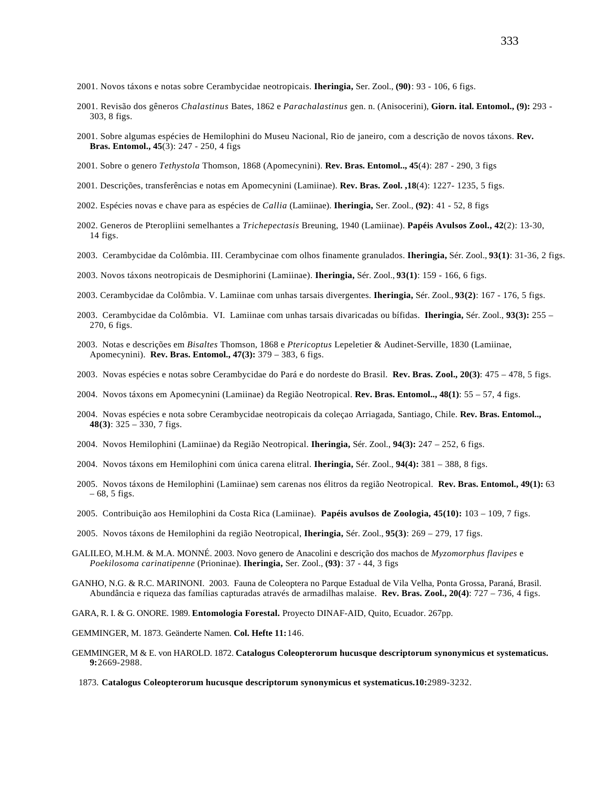- 2001. Novos táxons e notas sobre Cerambycidae neotropicais. **Iheringia,** Ser. Zool., **(90)**: 93 106, 6 figs.
- 2001. Revisão dos gêneros *Chalastinus* Bates, 1862 e *Parachalastinus* gen. n. (Anisocerini), **Giorn. ital. Entomol., (9):** 293 303, 8 figs.
- 2001. Sobre algumas espécies de Hemilophini do Museu Nacional, Rio de janeiro, com a descrição de novos táxons. **Rev. Bras. Entomol., 45**(3): 247 - 250, 4 figs
- 2001. Sobre o genero *Tethystola* Thomson, 1868 (Apomecynini). **Rev. Bras. Entomol.., 45**(4): 287 290, 3 figs
- 2001. Descrições, transferências e notas em Apomecynini (Lamiinae). **Rev. Bras. Zool. ,18**(4): 1227- 1235, 5 figs.
- 2002. Espécies novas e chave para as espécies de *Callia* (Lamiinae). **Iheringia,** Ser. Zool., **(92)**: 41 52, 8 figs
- 2002. Generos de Pteropliini semelhantes a *Trichepectasis* Breuning, 1940 (Lamiinae). **Papéis Avulsos Zool., 42**(2): 13-30, 14 figs.
- 2003. Cerambycidae da Colômbia. III. Cerambycinae com olhos finamente granulados. **Iheringia,** Sér. Zool., **93(1)**: 31-36, 2 figs.
- 2003. Novos táxons neotropicais de Desmiphorini (Lamiinae). **Iheringia,** Sér. Zool., **93(1)**: 159 166, 6 figs.
- 2003. Cerambycidae da Colômbia. V. Lamiinae com unhas tarsais divergentes. **Iheringia,** Sér. Zool., **93(2)**: 167 176, 5 figs.
- 2003. Cerambycidae da Colômbia. VI. Lamiinae com unhas tarsais divaricadas ou bífidas. **Iheringia,** Sér. Zool., **93(3):** 255 270, 6 figs.
- 2003. Notas e descrições em *Bisaltes* Thomson, 1868 e *Ptericoptus* Lepeletier & Audinet-Serville, 1830 (Lamiinae, Apomecynini). **Rev. Bras. Entomol., 47(3):** 379 – 383, 6 figs.
- 2003. Novas espécies e notas sobre Cerambycidae do Pará e do nordeste do Brasil. **Rev. Bras. Zool., 20(3)**: 475 478, 5 figs.
- 2004. Novos táxons em Apomecynini (Lamiinae) da Região Neotropical. **Rev. Bras. Entomol.., 48(1)**: 55 57, 4 figs.
- 2004. Novas espécies e nota sobre Cerambycidae neotropicais da coleçao Arriagada, Santiago, Chile. **Rev. Bras. Entomol.., 48(3)**: 325 – 330, 7 figs.
- 2004. Novos Hemilophini (Lamiinae) da Região Neotropical. **Iheringia,** Sér. Zool., **94(3):** 247 252, 6 figs.
- 2004. Novos táxons em Hemilophini com única carena elitral. **Iheringia,** Sér. Zool., **94(4):** 381 388, 8 figs.
- 2005. Novos táxons de Hemilophini (Lamiinae) sem carenas nos élitros da região Neotropical. **Rev. Bras. Entomol., 49(1):** 63  $-68, 5$  figs.
- 2005. Contribuição aos Hemilophini da Costa Rica (Lamiinae). **Papéis avulsos de Zoologia, 45(10):** 103 109, 7 figs.
- 2005. Novos táxons de Hemilophini da região Neotropical, **Iheringia,** Sér. Zool., **95(3)**: 269 279, 17 figs.
- GALILEO, M.H.M. & M.A. MONNÉ. 2003. Novo genero de Anacolini e descrição dos machos de *Myzomorphus flavipes* e *Poekilosoma carinatipenne* (Prioninae). **Iheringia,** Ser. Zool., **(93)**: 37 - 44, 3 figs
- GANHO, N.G. & R.C. MARINONI. 2003. Fauna de Coleoptera no Parque Estadual de Vila Velha, Ponta Grossa, Paraná, Brasil. Abundância e riqueza das famílias capturadas através de armadilhas malaise. **Rev. Bras. Zool., 20(4)**: 727 – 736, 4 figs.

GARA, R. I. & G. ONORE. 1989. **Entomologia Forestal.** Proyecto DINAF-AID, Quito, Ecuador. 267pp.

GEMMINGER, M. 1873. Geänderte Namen. **Col. Hefte 11:**146.

- GEMMINGER, M & E. von HAROLD. 1872. **Catalogus Coleopterorum hucusque descriptorum synonymicus et systematicus. 9:**2669-2988.
	- 1873. **Catalogus Coleopterorum hucusque descriptorum synonymicus et systematicus.10:**2989-3232.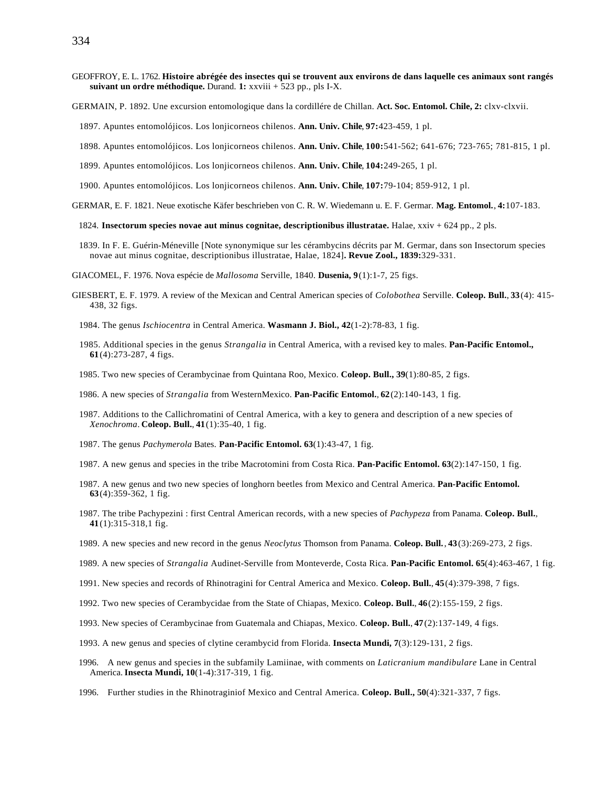- GEOFFROY, E. L. 1762. **Histoire abrégée des insectes qui se trouvent aux environs de dans laquelle ces animaux sont rangés suivant un ordre méthodique.** Durand. **1:** xxviii + 523 pp., pls I-X.
- GERMAIN, P. 1892. Une excursion entomologique dans la cordillére de Chillan. **Act. Soc. Entomol. Chile, 2:** clxv-clxvii.
	- 1897. Apuntes entomolójicos. Los lonjicorneos chilenos. **Ann. Univ. Chile**, **97:**423-459, 1 pl.
	- 1898. Apuntes entomolójicos. Los lonjicorneos chilenos. **Ann. Univ. Chile**, **100:**541-562; 641-676; 723-765; 781-815, 1 pl.
	- 1899. Apuntes entomolójicos. Los lonjicorneos chilenos. **Ann. Univ. Chile**, **104:**249-265, 1 pl.
	- 1900. Apuntes entomolójicos. Los lonjicorneos chilenos. **Ann. Univ. Chile**, **107:**79-104; 859-912, 1 pl.
- GERMAR, E. F. 1821. Neue exotische Käfer beschrieben von C. R. W. Wiedemann u. E. F. Germar. **Mag. Entomol.**, **4:**107-183.
	- 1824. **Insectorum species novae aut minus cognitae, descriptionibus illustratae.** Halae, xxiv + 624 pp., 2 pls.
	- 1839. In F. E. Guérin-Méneville [Note synonymique sur les cérambycins décrits par M. Germar, dans son Insectorum species novae aut minus cognitae, descriptionibus illustratae, Halae, 1824]**. Revue Zool., 1839:**329-331.
- GIACOMEL, F. 1976. Nova espécie de *Mallosoma* Serville, 1840. **Dusenia, 9**(1):1-7, 25 figs.
- GIESBERT, E. F. 1979. A review of the Mexican and Central American species of *Colobothea* Serville. **Coleop. Bull.**, **33**(4): 415- 438, 32 figs.
	- 1984. The genus *Ischiocentra* in Central America. **Wasmann J. Biol., 42**(1-2):78-83, 1 fig.
	- 1985. Additional species in the genus *Strangalia* in Central America, with a revised key to males. **Pan-Pacific Entomol., 61**(4):273-287, 4 figs.
	- 1985. Two new species of Cerambycinae from Quintana Roo, Mexico. **Coleop. Bull., 39**(1):80-85, 2 figs.
	- 1986. A new species of *Strangalia* from WesternMexico. **Pan-Pacific Entomol.**, **62**(2):140-143, 1 fig.
	- 1987. Additions to the Callichromatini of Central America, with a key to genera and description of a new species of *Xenochroma*. **Coleop. Bull.**, **41**(1):35-40, 1 fig.
	- 1987. The genus *Pachymerola* Bates. **Pan-Pacific Entomol. 63**(1):43-47, 1 fig.
	- 1987. A new genus and species in the tribe Macrotomini from Costa Rica. **Pan-Pacific Entomol. 63**(2):147-150, 1 fig.
	- 1987. A new genus and two new species of longhorn beetles from Mexico and Central America. **Pan-Pacific Entomol. 63**(4):359-362, 1 fig.
	- 1987. The tribe Pachypezini : first Central American records, with a new species of *Pachypeza* from Panama. **Coleop. Bull.**, **41**(1):315-318,1 fig.
	- 1989. A new species and new record in the genus *Neoclytus* Thomson from Panama. **Coleop. Bull.**, **43**(3):269-273, 2 figs.
	- 1989. A new species of *Strangalia* Audinet-Serville from Monteverde, Costa Rica. **Pan-Pacific Entomol. 65**(4):463-467, 1 fig.
	- 1991. New species and records of Rhinotragini for Central America and Mexico. **Coleop. Bull.**, **45**(4):379-398, 7 figs.
	- 1992. Two new species of Cerambycidae from the State of Chiapas, Mexico. **Coleop. Bull.**, **46**(2):155-159, 2 figs.
	- 1993. New species of Cerambycinae from Guatemala and Chiapas, Mexico. **Coleop. Bull.**, **47**(2):137-149, 4 figs.
	- 1993. A new genus and species of clytine cerambycid from Florida. **Insecta Mundi, 7**(3):129-131, 2 figs.
	- 1996. A new genus and species in the subfamily Lamiinae, with comments on *Laticranium mandibulare* Lane in Central America. **Insecta Mundi, 10**(1-4):317-319, 1 fig.
	- 1996. Further studies in the Rhinotraginiof Mexico and Central America. **Coleop. Bull., 50**(4):321-337, 7 figs.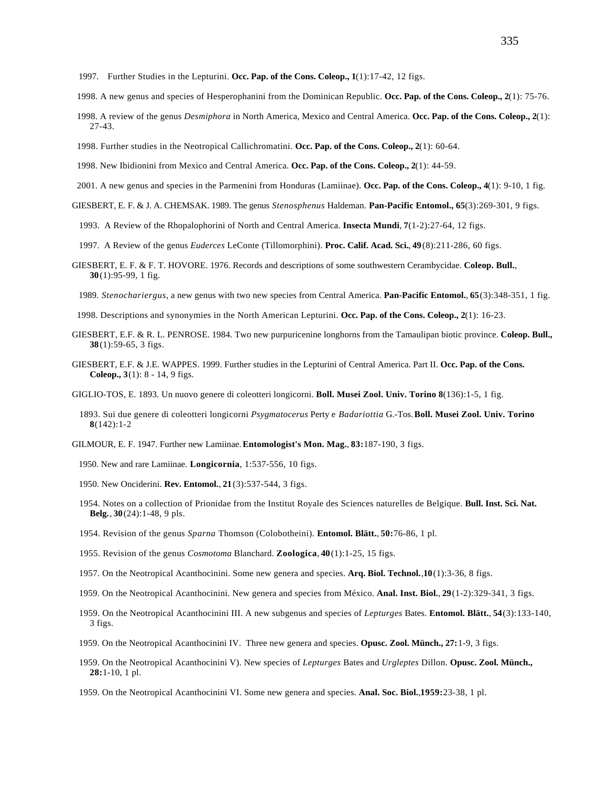- 1997. Further Studies in the Lepturini. **Occ. Pap. of the Cons. Coleop., 1**(1):17-42, 12 figs.
- 1998. A new genus and species of Hesperophanini from the Dominican Republic. **Occ. Pap. of the Cons. Coleop., 2**(1): 75-76.
- 1998. A review of the genus *Desmiphora* in North America, Mexico and Central America. **Occ. Pap. of the Cons. Coleop., 2**(1): 27-43.
- 1998. Further studies in the Neotropical Callichromatini. **Occ. Pap. of the Cons. Coleop., 2**(1): 60-64.
- 1998. New Ibidionini from Mexico and Central America. **Occ. Pap. of the Cons. Coleop., 2**(1): 44-59.
- 2001. A new genus and species in the Parmenini from Honduras (Lamiinae). **Occ. Pap. of the Cons. Coleop., 4**(1): 9-10, 1 fig.
- GIESBERT, E. F. & J. A. CHEMSAK. 1989. The genus *Stenosphenus* Haldeman. **Pan-Pacific Entomol., 65**(3):269-301, 9 figs.
	- 1993. A Review of the Rhopalophorini of North and Central America. **Insecta Mundi**, **7**(1-2):27-64, 12 figs.
	- 1997. A Review of the genus *Euderces* LeConte (Tillomorphini). **Proc. Calif. Acad. Sci.**, **49**(8):211-286, 60 figs.
- GIESBERT, E. F. & F. T. HOVORE. 1976. Records and descriptions of some southwestern Cerambycidae. **Coleop. Bull.**, **30**(1):95-99, 1 fig.
	- 1989. *Stenochariergus*, a new genus with two new species from Central America. **Pan-Pacific Entomol.**, **65**(3):348-351, 1 fig.
- 1998. Descriptions and synonymies in the North American Lepturini. **Occ. Pap. of the Cons. Coleop., 2**(1): 16-23.
- GIESBERT, E.F. & R. L. PENROSE. 1984. Two new purpuricenine longhorns from the Tamaulipan biotic province. **Coleop. Bull., 38**(1):59-65, 3 figs.
- GIESBERT, E.F. & J.E. WAPPES. 1999. Further studies in the Lepturini of Central America. Part II. **Occ. Pap. of the Cons. Coleop., 3**(1): 8 - 14, 9 figs.
- GIGLIO-TOS, E. 1893. Un nuovo genere di coleotteri longicorni. **Boll. Musei Zool. Univ. Torino 8**(136):1-5, 1 fig.
	- 1893. Sui due genere di coleotteri longicorni *Psygmatocerus* Perty e *Badariottia* G.-Tos. **Boll. Musei Zool. Univ. Torino 8**(142):1-2
- GILMOUR, E. F. 1947. Further new Lamiinae. **Entomologist's Mon. Mag.**, **83:**187-190, 3 figs.
	- 1950. New and rare Lamiinae. **Longicornia**, 1:537-556, 10 figs.
	- 1950. New Onciderini. **Rev. Entomol.**, **21**(3):537-544, 3 figs.
	- 1954. Notes on a collection of Prionidae from the Institut Royale des Sciences naturelles de Belgique. **Bull. Inst. Sci. Nat. Belg.**, **30**(24):1-48, 9 pls.
	- 1954. Revision of the genus *Sparna* Thomson (Colobotheini). **Entomol. Blätt.**, **50:**76-86, 1 pl.
	- 1955. Revision of the genus *Cosmotoma* Blanchard. **Zoologica**, **40**(1):1-25, 15 figs.
	- 1957. On the Neotropical Acanthocinini. Some new genera and species. **Arq. Biol. Technol.**,**10**(1):3-36, 8 figs.
	- 1959. On the Neotropical Acanthocinini. New genera and species from México. **Anal. Inst. Biol.**, **29**(1-2):329-341, 3 figs.
	- 1959. On the Neotropical Acanthocinini III. A new subgenus and species of *Lepturges* Bates. **Entomol. Blätt.**, **54**(3):133-140, 3 figs.
	- 1959. On the Neotropical Acanthocinini IV. Three new genera and species. **Opusc. Zool. Münch., 27:**1-9, 3 figs.
	- 1959. On the Neotropical Acanthocinini V). New species of *Lepturges* Bates and *Urgleptes* Dillon. **Opusc. Zool. Münch., 28:**1-10, 1 pl.
	- 1959. On the Neotropical Acanthocinini VI. Some new genera and species. **Anal. Soc. Biol.**,**1959:**23-38, 1 pl.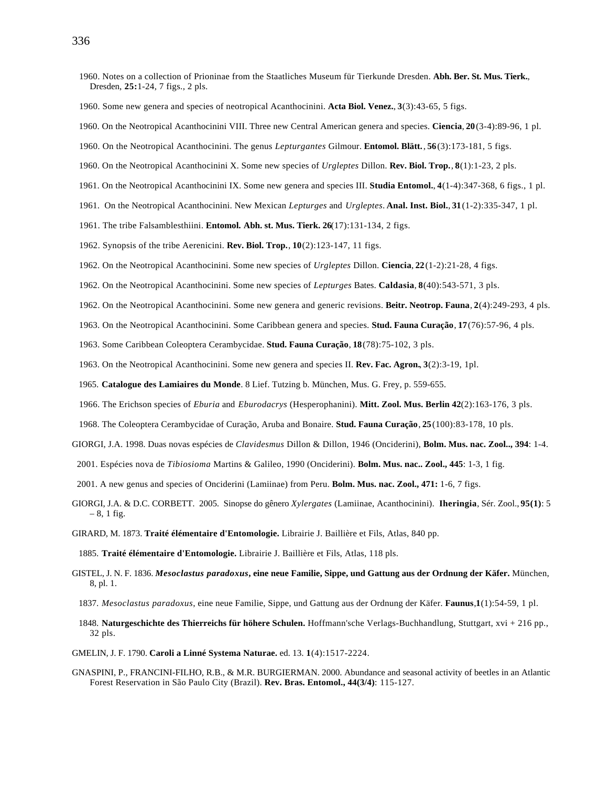- 1960. Notes on a collection of Prioninae from the Staatliches Museum für Tierkunde Dresden. **Abh. Ber. St. Mus. Tierk.**, Dresden, **25:**1-24, 7 figs., 2 pls.
- 1960. Some new genera and species of neotropical Acanthocinini. **Acta Biol. Venez.**, **3**(3):43-65, 5 figs.
- 1960. On the Neotropical Acanthocinini VIII. Three new Central American genera and species. **Ciencia**, **20**(3-4):89-96, 1 pl.
- 1960. On the Neotropical Acanthocinini. The genus *Lepturgantes* Gilmour. **Entomol. Blätt.**, **56**(3):173-181, 5 figs.
- 1960. On the Neotropical Acanthocinini X. Some new species of *Urgleptes* Dillon. **Rev. Biol. Trop.**, **8**(1):1-23, 2 pls.
- 1961. On the Neotropical Acanthocinini IX. Some new genera and species III. **Studia Entomol.**, **4**(1-4):347-368, 6 figs., 1 pl.
- 1961. On the Neotropical Acanthocinini. New Mexican *Lepturges* and *Urgleptes*. **Anal. Inst. Biol.**, **31**(1-2):335-347, 1 pl.
- 1961. The tribe Falsamblesthiini. **Entomol. Abh. st. Mus. Tierk. 26**(17):131-134, 2 figs.
- 1962. Synopsis of the tribe Aerenicini. **Rev. Biol. Trop.**, **10**(2):123-147, 11 figs.
- 1962. On the Neotropical Acanthocinini. Some new species of *Urgleptes* Dillon. **Ciencia**, **22**(1-2):21-28, 4 figs.
- 1962. On the Neotropical Acanthocinini. Some new species of *Lepturges* Bates. **Caldasia**, **8**(40):543-571, 3 pls.
- 1962. On the Neotropical Acanthocinini. Some new genera and generic revisions. **Beitr. Neotrop. Fauna**, **2**(4):249-293, 4 pls.
- 1963. On the Neotropical Acanthocinini. Some Caribbean genera and species. **Stud. Fauna Curação**, **17**(76):57-96, 4 pls.
- 1963. Some Caribbean Coleoptera Cerambycidae. **Stud. Fauna Curação**, **18**(78):75-102, 3 pls.
- 1963. On the Neotropical Acanthocinini. Some new genera and species II. **Rev. Fac. Agron.**, **3**(2):3-19, 1pl.
- 1965. **Catalogue des Lamiaires du Monde**. 8 Lief. Tutzing b. München, Mus. G. Frey, p. 559-655.
- 1966. The Erichson species of *Eburia* and *Eburodacrys* (Hesperophanini). **Mitt. Zool. Mus. Berlin 42**(2):163-176, 3 pls.
- 1968. The Coleoptera Cerambycidae of Curação, Aruba and Bonaire. **Stud. Fauna Curação**, **25**(100):83-178, 10 pls.
- GIORGI, J.A. 1998. Duas novas espécies de *Clavidesmus* Dillon & Dillon, 1946 (Onciderini), **Bolm. Mus. nac. Zool.., 394**: 1-4.
- 2001. Espécies nova de *Tibiosioma* Martins & Galileo, 1990 (Onciderini). **Bolm. Mus. nac.. Zool., 445**: 1-3, 1 fig.
- 2001. A new genus and species of Onciderini (Lamiinae) from Peru. **Bolm. Mus. nac. Zool., 471:** 1-6, 7 figs.
- GIORGI, J.A. & D.C. CORBETT. 2005. Sinopse do gênero *Xylergates* (Lamiinae, Acanthocinini). **Iheringia**, Sér. Zool., **95(1)**: 5  $-8$ , 1 fig.
- GIRARD, M. 1873. **Traité élémentaire d'Entomologie.** Librairie J. Baillière et Fils, Atlas, 840 pp.
- 1885. **Traité élémentaire d'Entomologie.** Librairie J. Baillière et Fils, Atlas, 118 pls.
- GISTEL, J. N. F. 1836. *Mesoclastus paradoxus***, eine neue Familie, Sippe, und Gattung aus der Ordnung der Käfer.** München, 8, pl. 1.
	- 1837. *Mesoclastus paradoxus*, eine neue Familie, Sippe, und Gattung aus der Ordnung der Käfer. **Faunus**,**1**(1):54-59, 1 pl.
	- 1848. **Naturgeschichte des Thierreichs für höhere Schulen.** Hoffmann'sche Verlags-Buchhandlung, Stuttgart, xvi + 216 pp., 32 pls.
- GMELIN, J. F. 1790. **Caroli a Linné Systema Naturae.** ed. 13. **1**(4):1517-2224.
- GNASPINI, P., FRANCINI-FILHO, R.B., & M.R. BURGIERMAN. 2000. Abundance and seasonal activity of beetles in an Atlantic Forest Reservation in São Paulo City (Brazil). **Rev. Bras. Entomol., 44(3/4)**: 115-127.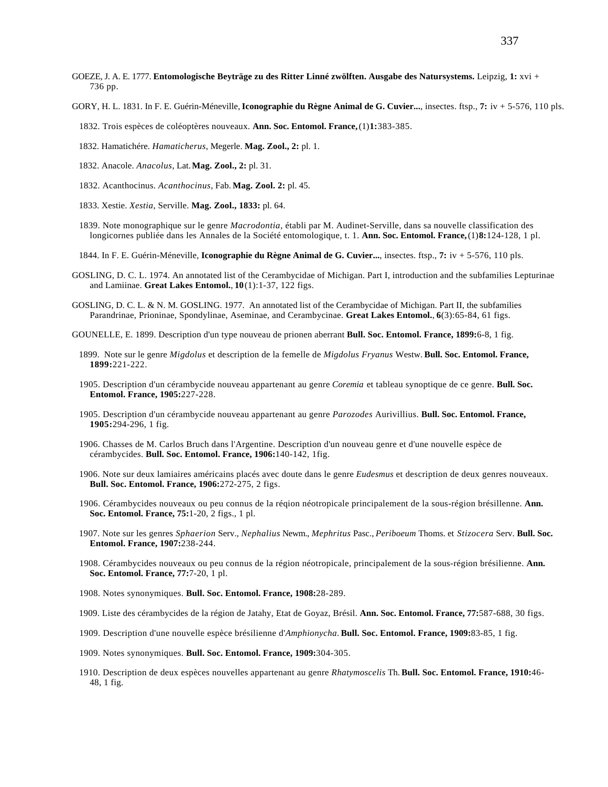- GOEZE, J. A. E. 1777. **Entomologische Beyträge zu des Ritter Linné zwölften. Ausgabe des Natursystems.** Leipzig, **1:** xvi + 736 pp.
- GORY, H. L. 1831. In F. E. Guérin-Méneville, **Iconographie du Règne Animal de G. Cuvier...**, insectes. ftsp., **7:** iv + 5-576, 110 pls.
	- 1832. Trois espèces de coléoptères nouveaux. **Ann. Soc. Entomol. France,** (1)**1:**383-385.
	- 1832. Hamatichére. *Hamaticherus*, Megerle. **Mag. Zool., 2:** pl. 1.
	- 1832. Anacole. *Anacolus*, Lat. **Mag. Zool., 2:** pl. 31.
	- 1832. Acanthocinus. *Acanthocinus*, Fab. **Mag. Zool. 2:** pl. 45.
	- 1833. Xestie. *Xestia*, Serville. **Mag. Zool., 1833:** pl. 64.
	- 1839. Note monographique sur le genre *Macrodontia*, établi par M. Audinet-Serville, dans sa nouvelle classification des longicornes publiée dans les Annales de la Société entomologique, t. 1. **Ann. Soc. Entomol. France,** (1)**8:**124-128, 1 pl.
	- 1844. In F. E. Guérin-Méneville, **Iconographie du Règne Animal de G. Cuvier...**, insectes. ftsp., **7:** iv + 5-576, 110 pls.
- GOSLING, D. C. L. 1974. An annotated list of the Cerambycidae of Michigan. Part I, introduction and the subfamilies Lepturinae and Lamiinae. **Great Lakes Entomol.**, **10**(1):1-37, 122 figs.
- GOSLING, D. C. L. & N. M. GOSLING. 1977. An annotated list of the Cerambycidae of Michigan. Part II, the subfamilies Parandrinae, Prioninae, Spondylinae, Aseminae, and Cerambycinae. **Great Lakes Entomol.**, **6**(3):65-84, 61 figs.
- GOUNELLE, E. 1899. Description d'un type nouveau de prionen aberrant **Bull. Soc. Entomol. France, 1899:**6-8, 1 fig.
	- 1899. Note sur le genre *Migdolus* et description de la femelle de *Migdolus Fryanus* Westw. **Bull. Soc. Entomol. France, 1899:**221-222.
	- 1905. Description d'un cérambycide nouveau appartenant au genre *Coremia* et tableau synoptique de ce genre. **Bull. Soc. Entomol. France, 1905:**227-228.
	- 1905. Description d'un cérambycide nouveau appartenant au genre *Parozodes* Aurivillius. **Bull. Soc. Entomol. France, 1905:**294-296, 1 fig.
	- 1906. Chasses de M. Carlos Bruch dans l'Argentine. Description d'un nouveau genre et d'une nouvelle espèce de cérambycides. **Bull. Soc. Entomol. France, 1906:**140-142, 1fig.
	- 1906. Note sur deux lamiaires américains placés avec doute dans le genre *Eudesmus* et description de deux genres nouveaux. **Bull. Soc. Entomol. France, 1906:**272-275, 2 figs.
	- 1906. Cérambycides nouveaux ou peu connus de la réqion néotropicale principalement de la sous-région brésillenne. **Ann. Soc. Entomol. France, 75:**1-20, 2 figs., 1 pl.
	- 1907. Note sur les genres *Sphaerion* Serv., *Nephalius* Newm., *Mephritus* Pasc., *Periboeum* Thoms. et *Stizocera* Serv. **Bull. Soc. Entomol. France, 1907:**238-244.
	- 1908. Cérambycides nouveaux ou peu connus de la région néotropicale, principalement de la sous-région brésilienne. **Ann. Soc. Entomol. France, 77:**7-20, 1 pl.
	- 1908. Notes synonymiques. **Bull. Soc. Entomol. France, 1908:**28-289.
	- 1909. Liste des cérambycides de la région de Jatahy, Etat de Goyaz, Brésil. **Ann. Soc. Entomol. France, 77:**587-688, 30 figs.
	- 1909. Description d'une nouvelle espèce brésilienne d'*Amphionycha*. **Bull. Soc. Entomol. France, 1909:**83-85, 1 fig.
	- 1909. Notes synonymiques. **Bull. Soc. Entomol. France, 1909:**304-305.
	- 1910. Description de deux espèces nouvelles appartenant au genre *Rhatymoscelis* Th. **Bull. Soc. Entomol. France, 1910:**46- 48, 1 fig.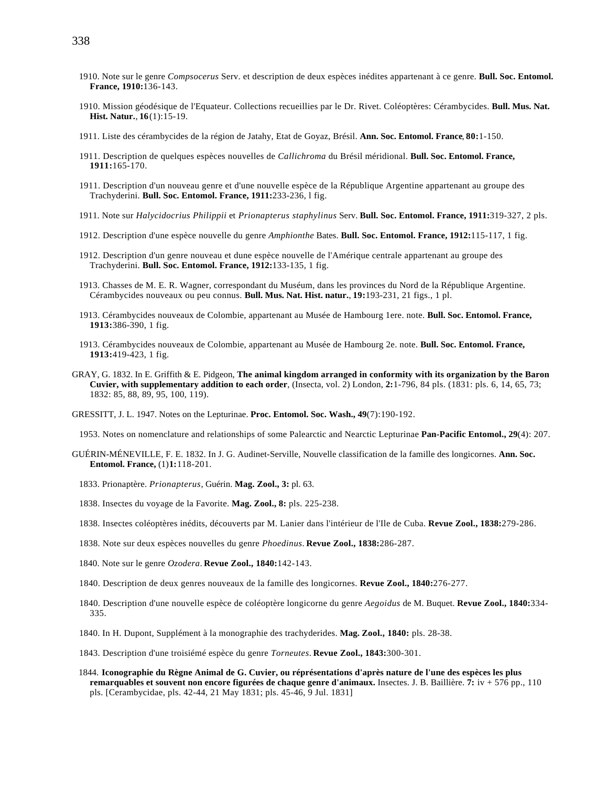- 1910. Note sur le genre *Compsocerus* Serv. et description de deux espèces inédites appartenant à ce genre. **Bull. Soc. Entomol. France, 1910:**136-143.
- 1910. Mission géodésique de l'Equateur. Collections recueillies par le Dr. Rivet. Coléoptères: Cérambycides. **Bull. Mus. Nat. Hist. Natur.**, **16**(1):15-19.
- 1911. Liste des cérambycides de la région de Jatahy, Etat de Goyaz, Brésil. **Ann. Soc. Entomol. France**, **80:**1-150.
- 1911. Description de quelques espèces nouvelles de *Callichroma* du Brésil méridional. **Bull. Soc. Entomol. France, 1911:**165-170.
- 1911. Description d'un nouveau genre et d'une nouvelle espèce de la République Argentine appartenant au groupe des Trachyderini. **Bull. Soc. Entomol. France, 1911:**233-236, l fig.
- 1911. Note sur *Halycidocrius Philippii* et *Prionapterus staphylinus* Serv. **Bull. Soc. Entomol. France, 1911:**319-327, 2 pls.
- 1912. Description d'une espèce nouvelle du genre *Amphionthe* Bates. **Bull. Soc. Entomol. France, 1912:**115-117, 1 fig.
- 1912. Description d'un genre nouveau et dune espèce nouvelle de l'Amérique centrale appartenant au groupe des Trachyderini. **Bull. Soc. Entomol. France, 1912:**133-135, 1 fig.
- 1913. Chasses de M. E. R. Wagner, correspondant du Muséum, dans les provinces du Nord de la République Argentine. Cérambycides nouveaux ou peu connus. **Bull. Mus. Nat. Hist. natur.**, **19:**193-231, 21 figs., 1 pl.
- 1913. Cérambycides nouveaux de Colombie, appartenant au Musée de Hambourg 1ere. note. **Bull. Soc. Entomol. France, 1913:**386-390, 1 fig.
- 1913. Cérambycides nouveaux de Colombie, appartenant au Musée de Hambourg 2e. note. **Bull. Soc. Entomol. France, 1913:**419-423, 1 fig.
- GRAY, G. 1832. In E. Griffith & E. Pidgeon, **The animal kingdom arranged in conformity with its organization by the Baron Cuvier, with supplementary addition to each order**, (Insecta, vol. 2) London, **2:**1-796, 84 pls. (1831: pls. 6, 14, 65, 73; 1832: 85, 88, 89, 95, 100, 119).
- GRESSITT, J. L. 1947. Notes on the Lepturinae. **Proc. Entomol. Soc. Wash., 49**(7):190-192.

1953. Notes on nomenclature and relationships of some Palearctic and Nearctic Lepturinae **Pan-Pacific Entomol., 29**(4): 207.

- GUÉRIN-MÉNEVILLE, F. E. 1832. In J. G. Audinet-Serville, Nouvelle classification de la famille des longicornes. **Ann. Soc. Entomol. France,** (1)**1:**118-201.
	- 1833. Prionaptère. *Prionapterus*, Guérin. **Mag. Zool., 3:** pl. 63.
	- 1838. Insectes du voyage de la Favorite. **Mag. Zool., 8:** pls. 225-238.
	- 1838. Insectes coléoptères inédits, découverts par M. Lanier dans l'intérieur de l'Ile de Cuba. **Revue Zool., 1838:**279-286.
	- 1838. Note sur deux espèces nouvelles du genre *Phoedinus*. **Revue Zool., 1838:**286-287.
	- 1840. Note sur le genre *Ozodera*. **Revue Zool., 1840:**142-143.
	- 1840. Description de deux genres nouveaux de la famille des longicornes. **Revue Zool., 1840:**276-277.
	- 1840. Description d'une nouvelle espèce de coléoptère longicorne du genre *Aegoidus* de M. Buquet. **Revue Zool., 1840:**334- 335.
	- 1840. In H. Dupont, Supplément à la monographie des trachyderides. **Mag. Zool., 1840:** pls. 28-38.
	- 1843. Description d'une troisiémé espèce du genre *Torneutes*. **Revue Zool., 1843:**300-301.
	- 1844. **Iconographie du Règne Animal de G. Cuvier, ou réprésentations d'après nature de l'une des espèces les plus remarquables et souvent non encore figurées de chaque genre d'animaux.** Insectes. J. B. Baillière. **7:** iv + 576 pp., 110 pls. [Cerambycidae, pls. 42-44, 21 May 1831; pls. 45-46, 9 Jul. 1831]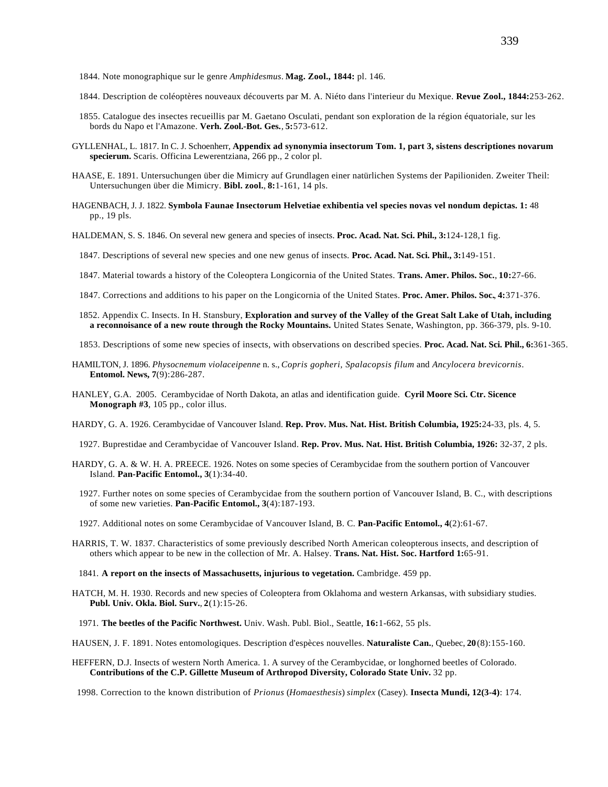- 1844. Note monographique sur le genre *Amphidesmus*. **Mag. Zool., 1844:** pl. 146.
- 1844. Description de coléoptères nouveaux découverts par M. A. Niéto dans l'interieur du Mexique. **Revue Zool., 1844:**253-262.
- 1855. Catalogue des insectes recueillis par M. Gaetano Osculati, pendant son exploration de la région équatoriale, sur les bords du Napo et l'Amazone. **Verh. Zool.-Bot. Ges.**, **5:**573-612.
- GYLLENHAL, L. 1817. In C. J. Schoenherr, **Appendix ad synonymia insectorum Tom. 1, part 3, sistens descriptiones novarum specierum.** Scaris. Officina Lewerentziana, 266 pp., 2 color pl.
- HAASE, E. 1891. Untersuchungen über die Mimicry auf Grundlagen einer natürlichen Systems der Papilioniden. Zweiter Theil: Untersuchungen über die Mimicry. **Bibl. zool.**, **8:**1-161, 14 pls.
- HAGENBACH, J. J. 1822. **Symbola Faunae Insectorum Helvetiae exhibentia vel species novas vel nondum depictas. 1:** 48 pp., 19 pls.
- HALDEMAN, S. S. 1846. On several new genera and species of insects. **Proc. Acad. Nat. Sci. Phil., 3:**124-128,1 fig.
- 1847. Descriptions of several new species and one new genus of insects. **Proc. Acad. Nat. Sci. Phil., 3:**149-151.
- 1847. Material towards a history of the Coleoptera Longicornia of the United States. **Trans. Amer. Philos. Soc.**, **10:**27-66.
- 1847. Corrections and additions to his paper on the Longicornia of the United States. **Proc. Amer. Philos. Soc.**, **4:**371-376.
- 1852. Appendix C. Insects. In H. Stansbury, **Exploration and survey of the Valley of the Great Salt Lake of Utah, including a reconnoisance of a new route through the Rocky Mountains.** United States Senate, Washington, pp. 366-379, pls. 9-10.
- 1853. Descriptions of some new species of insects, with observations on described species. **Proc. Acad. Nat. Sci. Phil., 6:**361-365.
- HAMILTON, J. 1896. *Physocnemum violaceipenne* n. s., *Copris gopheri, Spalacopsis filum* and *Ancylocera brevicornis*. **Entomol. News, 7**(9):286-287.
- HANLEY, G.A. 2005. Cerambycidae of North Dakota, an atlas and identification guide. **Cyril Moore Sci. Ctr. Sicence Monograph #3**, 105 pp., color illus.
- HARDY, G. A. 1926. Cerambycidae of Vancouver Island. **Rep. Prov. Mus. Nat. Hist. British Columbia, 1925:**24-33, pls. 4, 5.
	- 1927. Buprestidae and Cerambycidae of Vancouver Island. **Rep. Prov. Mus. Nat. Hist. British Columbia, 1926:** 32-37, 2 pls.
- HARDY, G. A. & W. H. A. PREECE. 1926. Notes on some species of Cerambycidae from the southern portion of Vancouver Island. **Pan-Pacific Entomol., 3**(1):34-40.
	- 1927. Further notes on some species of Cerambycidae from the southern portion of Vancouver Island, B. C., with descriptions of some new varieties. **Pan-Pacific Entomol., 3**(4):187-193.
	- 1927. Additional notes on some Cerambycidae of Vancouver Island, B. C. **Pan-Pacific Entomol., 4**(2):61-67.
- HARRIS, T. W. 1837. Characteristics of some previously described North American coleopterous insects, and description of others which appear to be new in the collection of Mr. A. Halsey. **Trans. Nat. Hist. Soc. Hartford 1:**65-91.
	- 1841. **A report on the insects of Massachusetts, injurious to vegetation.** Cambridge. 459 pp.
- HATCH, M. H. 1930. Records and new species of Coleoptera from Oklahoma and western Arkansas, with subsidiary studies. **Publ. Univ. Okla. Biol. Surv.**, **2**(1):15-26.
	- 1971. **The beetles of the Pacific Northwest.** Univ. Wash. Publ. Biol., Seattle, **16:**1-662, 55 pls.

HAUSEN, J. F. 1891. Notes entomologiques. Description d'espèces nouvelles. **Naturaliste Can.**, Quebec, **20**(8):155-160.

HEFFERN, D.J. Insects of western North America. 1. A survey of the Cerambycidae, or longhorned beetles of Colorado. **Contributions of the C.P. Gillette Museum of Arthropod Diversity, Colorado State Univ.** 32 pp.

1998. Correction to the known distribution of *Prionus* (*Homaesthesis*) *simplex* (Casey). **Insecta Mundi, 12(3-4)**: 174.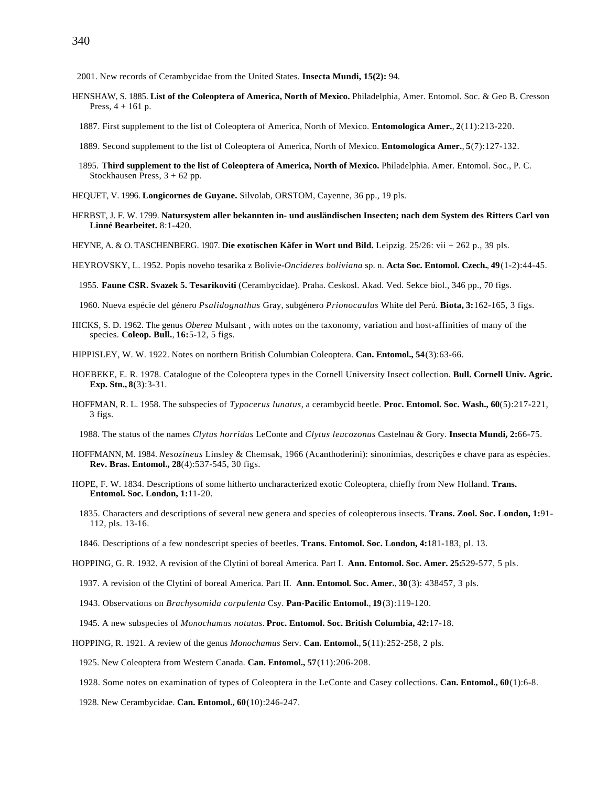2001. New records of Cerambycidae from the United States. **Insecta Mundi, 15(2):** 94.

- HENSHAW, S. 1885. **List of the Coleoptera of America, North of Mexico.** Philadelphia, Amer. Entomol. Soc. & Geo B. Cresson Press,  $4 + 161$  p.
	- 1887. First supplement to the list of Coleoptera of America, North of Mexico. **Entomologica Amer.**, **2**(11):213-220.
	- 1889. Second supplement to the list of Coleoptera of America, North of Mexico. **Entomologica Amer.**, **5**(7):127-132.
	- 1895. **Third supplement to the list of Coleoptera of America, North of Mexico.** Philadelphia. Amer. Entomol. Soc., P. C. Stockhausen Press, 3 + 62 pp.

HEQUET, V. 1996. **Longicornes de Guyane.** Silvolab, ORSTOM, Cayenne, 36 pp., 19 pls.

- HERBST, J. F. W. 1799. **Natursystem aller bekannten in- und ausländischen Insecten; nach dem System des Ritters Carl von Linné Bearbeitet.** 8:1-420.
- HEYNE, A. & O. TASCHENBERG. 1907. **Die exotischen Käfer in Wort und Bild.** Leipzig. 25/26: vii + 262 p., 39 pls.
- HEYROVSKY, L. 1952. Popis noveho tesarika z Bolivie-*Oncideres boliviana* sp. n. **Acta Soc. Entomol. Czech.**, **49**(1-2):44-45.

1955. **Faune CSR. Svazek 5. Tesarikoviti** (Cerambycidae). Praha. Ceskosl. Akad. Ved. Sekce biol., 346 pp., 70 figs.

1960. Nueva espécie del género *Psalidognathus* Gray, subgénero *Prionocaulus* White del Perú. **Biota, 3:**162-165, 3 figs.

- HICKS, S. D. 1962. The genus *Oberea* Mulsant , with notes on the taxonomy, variation and host-affinities of many of the species. **Coleop. Bull.**, **16:**5-12, 5 figs.
- HIPPISLEY, W. W. 1922. Notes on northern British Columbian Coleoptera. **Can. Entomol., 54**(3):63-66.
- HOEBEKE, E. R. 1978. Catalogue of the Coleoptera types in the Cornell University Insect collection. **Bull. Cornell Univ. Agric. Exp. Stn., 8**(3):3-31.
- HOFFMAN, R. L. 1958. The subspecies of *Typocerus lunatus*, a cerambycid beetle. **Proc. Entomol. Soc. Wash., 60**(5):217-221, 3 figs.

1988. The status of the names *Clytus horridus* LeConte and *Clytus leucozonus* Castelnau & Gory. **Insecta Mundi, 2:**66-75.

- HOFFMANN, M. 1984. *Nesozineus* Linsley & Chemsak, 1966 (Acanthoderini): sinonímias, descrições e chave para as espécies. **Rev. Bras. Entomol., 28**(4):537-545, 30 figs.
- HOPE, F. W. 1834. Descriptions of some hitherto uncharacterized exotic Coleoptera, chiefly from New Holland. **Trans. Entomol. Soc. London, 1:**11-20.
	- 1835. Characters and descriptions of several new genera and species of coleopterous insects. **Trans. Zool. Soc. London, 1:**91- 112, pls. 13-16.
	- 1846. Descriptions of a few nondescript species of beetles. **Trans. Entomol. Soc. London, 4:**181-183, pl. 13.

HOPPING, G. R. 1932. A revision of the Clytini of boreal America. Part I. **Ann. Entomol. Soc. Amer. 25:**529-577, 5 pls.

- 1937. A revision of the Clytini of boreal America. Part II. **Ann. Entomol. Soc. Amer.**, **30**(3): 438457, 3 pls.
- 1943. Observations on *Brachysomida corpulenta* Csy. **Pan-Pacific Entomol.**, **19**(3):119-120.
- 1945. A new subspecies of *Monochamus notatus*. **Proc. Entomol. Soc. British Columbia, 42:**17-18.

HOPPING, R. 1921. A review of the genus *Monochamus* Serv. **Can. Entomol.**, **5**(11):252-258, 2 pls.

1925. New Coleoptera from Western Canada. **Can. Entomol., 57**(11):206-208.

1928. Some notes on examination of types of Coleoptera in the LeConte and Casey collections. **Can. Entomol., 60**(1):6-8.

1928. New Cerambycidae. **Can. Entomol., 60**(10):246-247.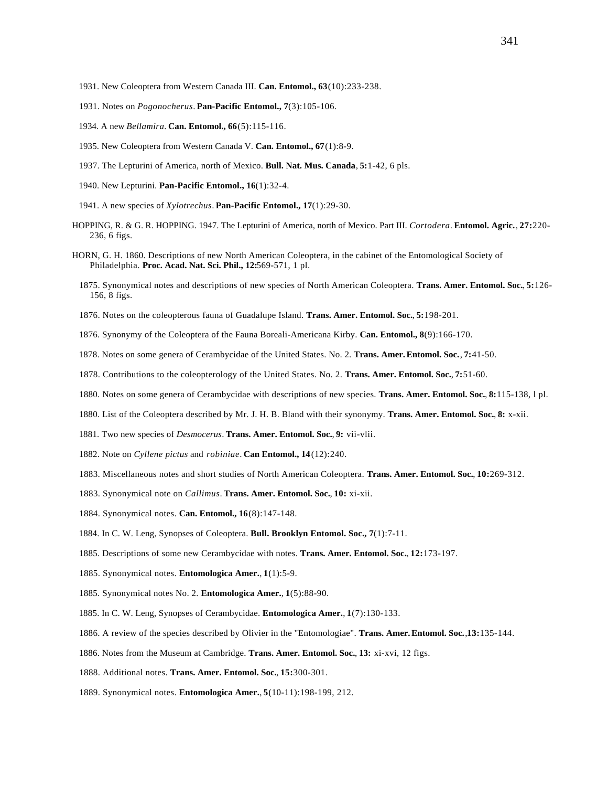- 1931. New Coleoptera from Western Canada III. **Can. Entomol., 63**(10):233-238.
- 1931. Notes on *Pogonocherus*. **Pan-Pacific Entomol., 7**(3):105-106.
- 1934. A new *Bellamira*. **Can. Entomol., 66**(5):115-116.
- 1935. New Coleoptera from Western Canada V. **Can. Entomol., 67**(1):8-9.
- 1937. The Lepturini of America, north of Mexico. **Bull. Nat. Mus. Canada**, **5:**1-42, 6 pls.
- 1940. New Lepturini. **Pan-Pacific Entomol., 16**(1):32-4.
- 1941. A new species of *Xylotrechus*. **Pan-Pacific Entomol., 17**(1):29-30.
- HOPPING, R. & G. R. HOPPING. 1947. The Lepturini of America, north of Mexico. Part III. *Cortodera*. **Entomol. Agric.**, **27:**220- 236, 6 figs.
- HORN, G. H. 1860. Descriptions of new North American Coleoptera, in the cabinet of the Entomological Society of Philadelphia. **Proc. Acad. Nat. Sci. Phil., 12:**569-571, 1 pl.
	- 1875. Synonymical notes and descriptions of new species of North American Coleoptera. **Trans. Amer. Entomol. Soc.**, **5:**126- 156, 8 figs.
	- 1876. Notes on the coleopterous fauna of Guadalupe Island. **Trans. Amer. Entomol. Soc.**, **5:**198-201.
	- 1876. Synonymy of the Coleoptera of the Fauna Boreali-Americana Kirby. **Can. Entomol., 8**(9):166-170.
	- 1878. Notes on some genera of Cerambycidae of the United States. No. 2. **Trans. Amer.Entomol. Soc.**, **7:**41-50.
	- 1878. Contributions to the coleopterology of the United States. No. 2. **Trans. Amer. Entomol. Soc.**, **7:**51-60.
	- 1880. Notes on some genera of Cerambycidae with descriptions of new species. **Trans. Amer. Entomol. Soc.**, **8:**115-138, l pl.
	- 1880. List of the Coleoptera described by Mr. J. H. B. Bland with their synonymy. **Trans. Amer. Entomol. Soc.**, **8:** x-xii.
	- 1881. Two new species of *Desmocerus*. **Trans. Amer. Entomol. Soc.**, **9:** vii-vlii.
	- 1882. Note on *Cyllene pictus* and *robiniae*. **Can Entomol., 14**(12):240.
	- 1883. Miscellaneous notes and short studies of North American Coleoptera. **Trans. Amer. Entomol. Soc.**, **10:**269-312.
	- 1883. Synonymical note on *Callimus*. **Trans. Amer. Entomol. Soc.**, **10:** xi-xii.
	- 1884. Synonymical notes. **Can. Entomol., 16**(8):147-148.
	- 1884. In C. W. Leng, Synopses of Coleoptera. **Bull. Brooklyn Entomol. Soc., 7**(1):7-11.
	- 1885. Descriptions of some new Cerambycidae with notes. **Trans. Amer. Entomol. Soc.**, **12:**173-197.
	- 1885. Synonymical notes. **Entomologica Amer.**, **1**(1):5-9.
	- 1885. Synonymical notes No. 2. **Entomologica Amer.**, **1**(5):88-90.
	- 1885. In C. W. Leng, Synopses of Cerambycidae. **Entomologica Amer.**, **1**(7):130-133.
	- 1886. A review of the species described by Olivier in the "Entomologiae". **Trans. Amer.Entomol. Soc.**,**13:**135-144.
	- 1886. Notes from the Museum at Cambridge. **Trans. Amer. Entomol. Soc.**, **13:** xi-xvi, 12 figs.
	- 1888. Additional notes. **Trans. Amer. Entomol. Soc.**, **15:**300-301.
	- 1889. Synonymical notes. **Entomologica Amer.**, **5**(10-11):198-199, 212.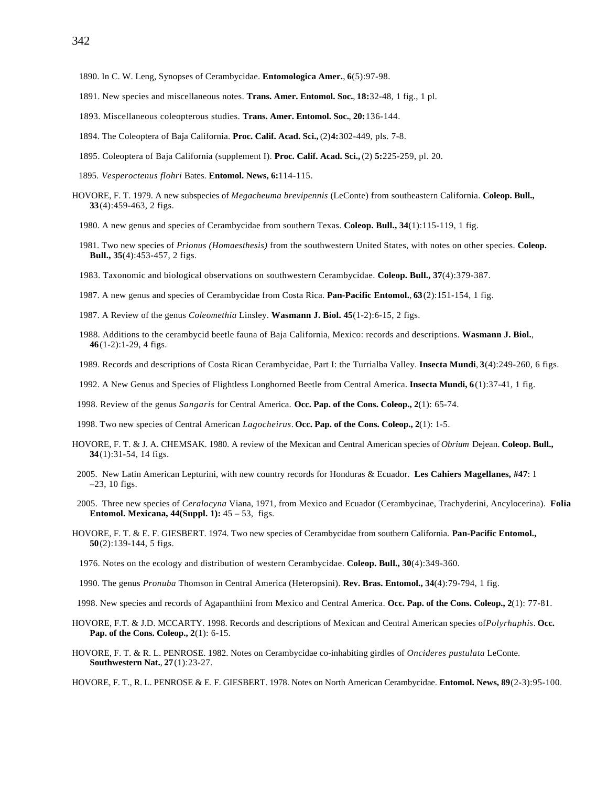- 1890. In C. W. Leng, Synopses of Cerambycidae. **Entomologica Amer.**, **6**(5):97-98.
- 1891. New species and miscellaneous notes. **Trans. Amer. Entomol. Soc.**, **18:**32-48, 1 fig., 1 pl.
- 1893. Miscellaneous coleopterous studies. **Trans. Amer. Entomol. Soc.**, **20:**136-144.
- 1894. The Coleoptera of Baja California. **Proc. Calif. Acad. Sci.,** (2)**4:**302-449, pls. 7-8.
- 1895. Coleoptera of Baja California (supplement I). **Proc. Calif. Acad. Sci.,** (2) **5:**225-259, pl. 20.
- 1895. *Vesperoctenus flohri* Bates. **Entomol. News, 6:**114-115.
- HOVORE, F. T. 1979. A new subspecies of *Megacheuma brevipennis* (LeConte) from southeastern California. **Coleop. Bull., 33**(4):459-463, 2 figs.
	- 1980. A new genus and species of Cerambycidae from southern Texas. **Coleop. Bull., 34**(1):115-119, 1 fig.
	- 1981. Two new species of *Prionus (Homaesthesis)* from the southwestern United States, with notes on other species. **Coleop. Bull., 35**(4):453-457, 2 figs.
	- 1983. Taxonomic and biological observations on southwestern Cerambycidae. **Coleop. Bull., 37**(4):379-387.
	- 1987. A new genus and species of Cerambycidae from Costa Rica. **Pan-Pacific Entomol.**, **63**(2):151-154, 1 fig.
	- 1987. A Review of the genus *Coleomethia* Linsley. **Wasmann J. Biol. 45**(1-2):6-15, 2 figs.
	- 1988. Additions to the cerambycid beetle fauna of Baja California, Mexico: records and descriptions. **Wasmann J. Biol.**, **46**(1-2):1-29, 4 figs.
	- 1989. Records and descriptions of Costa Rican Cerambycidae, Part I: the Turrialba Valley. **Insecta Mundi**, **3**(4):249-260, 6 figs.
	- 1992. A New Genus and Species of Flightless Longhorned Beetle from Central America. **Insecta Mundi, 6**(1):37-41, 1 fig.
- 1998. Review of the genus *Sangaris* for Central America. **Occ. Pap. of the Cons. Coleop., 2**(1): 65-74.
- 1998. Two new species of Central American *Lagocheirus*. **Occ. Pap. of the Cons. Coleop., 2**(1): 1-5.
- HOVORE, F. T. & J. A. CHEMSAK. 1980. A review of the Mexican and Central American species of *Obrium* Dejean. **Coleop. Bull., 34**(1):31-54, 14 figs.
- 2005. New Latin American Lepturini, with new country records for Honduras & Ecuador. **Les Cahiers Magellanes, #47**: 1 –23, 10 figs.
- 2005. Three new species of *Ceralocyna* Viana, 1971, from Mexico and Ecuador (Cerambycinae, Trachyderini, Ancylocerina). **Folia Entomol. Mexicana, 44(Suppl. 1):** 45 – 53, figs.
- HOVORE, F. T. & E. F. GIESBERT. 1974. Two new species of Cerambycidae from southern California. **Pan-Pacific Entomol., 50**(2):139-144, 5 figs.
	- 1976. Notes on the ecology and distribution of western Cerambycidae. **Coleop. Bull., 30**(4):349-360.
- 1990. The genus *Pronuba* Thomson in Central America (Heteropsini). **Rev. Bras. Entomol., 34**(4):79-794, 1 fig.
- 1998. New species and records of Agapanthiini from Mexico and Central America. **Occ. Pap. of the Cons. Coleop., 2**(1): 77-81.
- HOVORE, F.T. & J.D. MCCARTY. 1998. Records and descriptions of Mexican and Central American species of*Polyrhaphis*. **Occ. Pap. of the Cons. Coleop., 2**(1): 6-15.
- HOVORE, F. T. & R. L. PENROSE. 1982. Notes on Cerambycidae co-inhabiting girdles of *Oncideres pustulata* LeConte. **Southwestern Nat.**, **27**(1):23-27.

HOVORE, F. T., R. L. PENROSE & E. F. GIESBERT. 1978. Notes on North American Cerambycidae. **Entomol. News, 89**(2-3):95-100.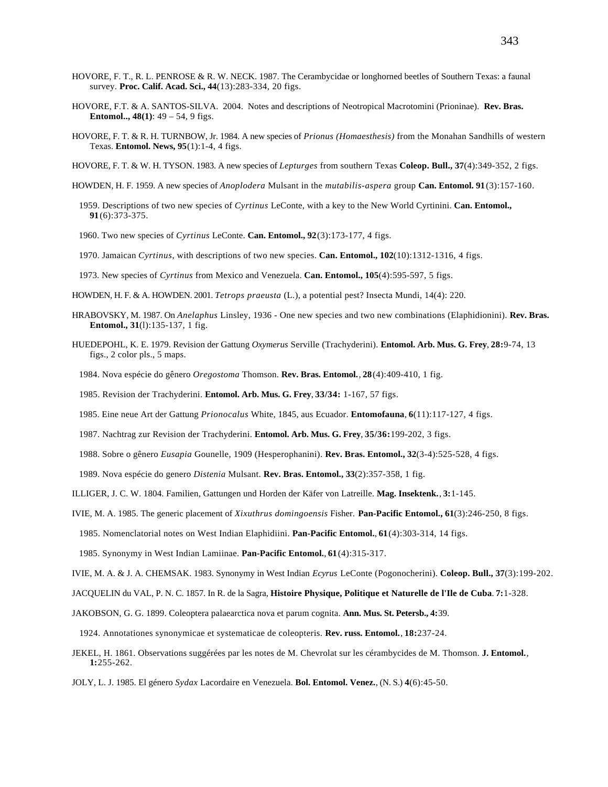- HOVORE, F. T., R. L. PENROSE & R. W. NECK. 1987. The Cerambycidae or longhorned beetles of Southern Texas: a faunal survey. **Proc. Calif. Acad. Sci., 44**(13):283-334, 20 figs.
- HOVORE, F.T. & A. SANTOS-SILVA. 2004. Notes and descriptions of Neotropical Macrotomini (Prioninae). **Rev. Bras. Entomol.., 48(1)**: 49 – 54, 9 figs.
- HOVORE, F. T. & R. H. TURNBOW, Jr. 1984. A new species of *Prionus (Homaesthesis)* from the Monahan Sandhills of western Texas. **Entomol. News, 95**(1):1-4, 4 figs.
- HOVORE, F. T. & W. H. TYSON. 1983. A new species of *Lepturges* from southern Texas **Coleop. Bull., 37**(4):349-352, 2 figs.
- HOWDEN, H. F. 1959. A new species of *Anoplodera* Mulsant in the *mutabilis-aspera* group **Can. Entomol. 91**(3):157-160.
	- 1959. Descriptions of two new species of *Cyrtinus* LeConte, with a key to the New World Cyrtinini. **Can. Entomol., 91**(6):373-375.
	- 1960. Two new species of *Cyrtinus* LeConte. **Can. Entomol., 92**(3):173-177, 4 figs.
	- 1970. Jamaican *Cyrtinus*, with descriptions of two new species. **Can. Entomol., 102**(10):1312-1316, 4 figs.
	- 1973. New species of *Cyrtinus* from Mexico and Venezuela. **Can. Entomol., 105**(4):595-597, 5 figs.

HOWDEN, H. F. & A. HOWDEN. 2001. *Tetrops praeusta* (L.), a potential pest? Insecta Mundi, 14(4): 220.

- HRABOVSKY, M. 1987. On *Anelaphus* Linsley, 1936 One new species and two new combinations (Elaphidionini). **Rev. Bras. Entomol., 31**(l):135-137, 1 fig.
- HUEDEPOHL, K. E. 1979. Revision der Gattung *Oxymerus* Serville (Trachyderini). **Entomol. Arb. Mus. G. Frey**, **28:**9-74, 13 figs., 2 color pls., 5 maps.
	- 1984. Nova espécie do gênero *Oregostoma* Thomson. **Rev. Bras. Entomol.**, **28**(4):409-410, 1 fig.
	- 1985. Revision der Trachyderini. **Entomol. Arb. Mus. G. Frey**, **33/34:** 1-167, 57 figs.
	- 1985. Eine neue Art der Gattung *Prionocalus* White, 1845, aus Ecuador. **Entomofauna**, **6**(11):117-127, 4 figs.
	- 1987. Nachtrag zur Revision der Trachyderini. **Entomol. Arb. Mus. G. Frey**, **35/36:**199-202, 3 figs.
	- 1988. Sobre o gênero *Eusapia* Gounelle, 1909 (Hesperophanini). **Rev. Bras. Entomol., 32**(3-4):525-528, 4 figs.
	- 1989. Nova espécie do genero *Distenia* Mulsant. **Rev. Bras. Entomol., 33**(2):357-358, 1 fig.

ILLIGER, J. C. W. 1804. Familien, Gattungen und Horden der Käfer von Latreille. **Mag. Insektenk.**, **3:**1-145.

- IVIE, M. A. 1985. The generic placement of *Xixuthrus domingoensis* Fisher. **Pan-Pacific Entomol., 61**(3):246-250, 8 figs.
	- 1985. Nomenclatorial notes on West Indian Elaphidiini. **Pan-Pacific Entomol.**, **61**(4):303-314, 14 figs.

1985. Synonymy in West Indian Lamiinae. **Pan-Pacific Entomol.**, **61**(4):315-317.

IVIE, M. A. & J. A. CHEMSAK. 1983. Synonymy in West Indian *Ecyrus* LeConte (Pogonocherini). **Coleop. Bull., 37**(3):199-202.

- JACQUELIN du VAL, P. N. C. 1857. In R. de la Sagra, **Histoire Physique, Politique et Naturelle de l'Ile de Cuba**. **7:**1-328.
- JAKOBSON, G. G. 1899. Coleoptera palaearctica nova et parum cognita. **Ann. Mus. St. Petersb., 4:**39.

1924. Annotationes synonymicae et systematicae de coleopteris. **Rev. russ. Entomol.**, **18:**237-24.

- JEKEL, H. 1861. Observations suggérées par les notes de M. Chevrolat sur les cérambycides de M. Thomson. **J. Entomol.**, **1:**255-262.
- JOLY, L. J. 1985. El género *Sydax* Lacordaire en Venezuela. **Bol. Entomol. Venez.**, (N. S.) **4**(6):45-50.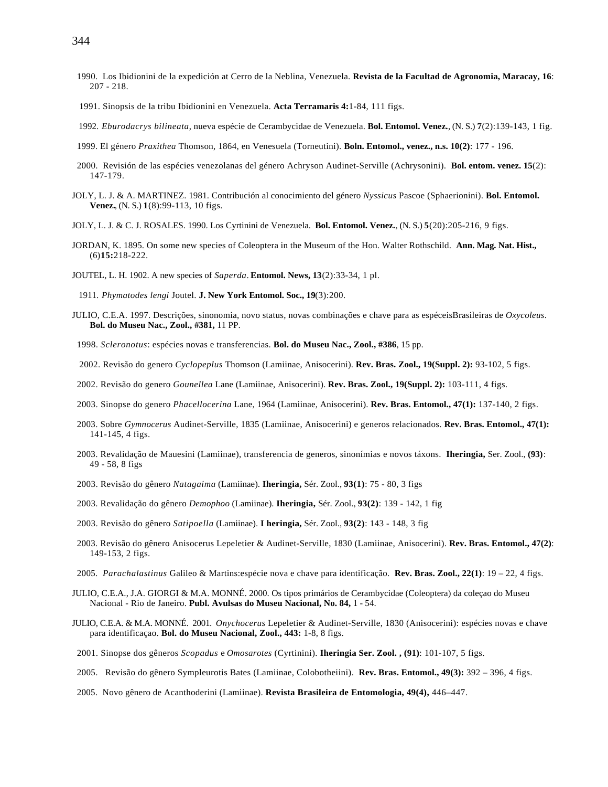- 1990. Los Ibidionini de la expedición at Cerro de la Neblina, Venezuela. **Revista de la Facultad de Agronomia, Maracay, 16**:
- 207 218.
- 1991. Sinopsis de la tribu Ibidionini en Venezuela. **Acta Terramaris 4:**1-84, 111 figs.
- 1992. *Eburodacrys bilineata*, nueva espécie de Cerambycidae de Venezuela. **Bol. Entomol. Venez.**, (N. S.) **7**(2):139-143, 1 fig.
- 1999. El género *Praxithea* Thomson, 1864, en Venesuela (Torneutini). **Boln. Entomol., venez., n.s. 10(2)**: 177 196.
- 2000. Revisión de las espécies venezolanas del género Achryson Audinet-Serville (Achrysonini). **Bol. entom. venez. 15**(2): 147-179.
- JOLY, L. J. & A. MARTINEZ. 1981. Contribución al conocimiento del género *Nyssicus* Pascoe (Sphaerionini). **Bol. Entomol. Venez.**, (N. S.) **1**(8):99-113, 10 figs.
- JOLY, L. J. & C. J. ROSALES. 1990. Los Cyrtinini de Venezuela. **Bol. Entomol. Venez.**, (N. S.) **5**(20):205-216, 9 figs.
- JORDAN, K. 1895. On some new species of Coleoptera in the Museum of the Hon. Walter Rothschild. **Ann. Mag. Nat. Hist.,** (6)**15:**218-222.
- JOUTEL, L. H. 1902. A new species of *Saperda*. **Entomol. News, 13**(2):33-34, 1 pl.

1911. *Phymatodes lengi* Joutel. **J. New York Entomol. Soc., 19**(3):200.

- JULIO, C.E.A. 1997. Descrições, sinonomia, novo status, novas combinações e chave para as espéceisBrasileiras de *Oxycoleus*. **Bol. do Museu Nac., Zool., #381,** 11 PP.
- 1998. *Scleronotus*: espécies novas e transferencias. **Bol. do Museu Nac., Zool., #386**, 15 pp.
- 2002. Revisão do genero *Cyclopeplus* Thomson (Lamiinae, Anisocerini). **Rev. Bras. Zool., 19(Suppl. 2):** 93-102, 5 figs.
- 2002. Revisão do genero *Gounellea* Lane (Lamiinae, Anisocerini). **Rev. Bras. Zool., 19(Suppl. 2):** 103-111, 4 figs.
- 2003. Sinopse do genero *Phacellocerina* Lane, 1964 (Lamiinae, Anisocerini). **Rev. Bras. Entomol., 47(1):** 137-140, 2 figs.
- 2003. Sobre *Gymnocerus* Audinet-Serville, 1835 (Lamiinae, Anisocerini) e generos relacionados. **Rev. Bras. Entomol., 47(1):** 141-145, 4 figs.
- 2003. Revalidação de Mauesini (Lamiinae), transferencia de generos, sinonímias e novos táxons. **Iheringia,** Ser. Zool., **(93)**: 49 - 58, 8 figs
- 2003. Revisão do gênero *Natagaima* (Lamiinae). **Iheringia,** Sér. Zool., **93(1)**: 75 80, 3 figs
- 2003. Revalidação do gênero *Demophoo* (Lamiinae). **Iheringia,** Sér. Zool., **93(2)**: 139 142, 1 fig
- 2003. Revisão do gênero *Satipoella* (Lamiinae). **I heringia,** Sér. Zool., **93(2)**: 143 148, 3 fig
- 2003. Revisão do gênero Anisocerus Lepeletier & Audinet-Serville, 1830 (Lamiinae, Anisocerini). **Rev. Bras. Entomol., 47(2)**: 149-153, 2 figs.
- 2005. *Parachalastinus* Galileo & Martins:espécie nova e chave para identificação. **Rev. Bras. Zool., 22(1)**: 19 22, 4 figs.
- JULIO, C.E.A., J.A. GIORGI & M.A. MONNÉ. 2000. Os tipos primários de Cerambycidae (Coleoptera) da coleçao do Museu Nacional - Rio de Janeiro. **Publ. Avulsas do Museu Nacional, No. 84,** 1 - 54.
- JULIO, C.E.A. & M.A. MONNÉ. 2001. *Onychocerus* Lepeletier & Audinet-Serville, 1830 (Anisocerini): espécies novas e chave para identificaçao. **Bol. do Museu Nacional, Zool., 443:** 1-8, 8 figs.
- 2001. Sinopse dos gêneros *Scopadus* e *Omosarotes* (Cyrtinini). **Iheringia Ser. Zool. , (91)**: 101-107, 5 figs.
- 2005. Revisão do gênero Sympleurotis Bates (Lamiinae, Colobotheiini). **Rev. Bras. Entomol., 49(3):** 392 396, 4 figs.
- 2005. Novo gênero de Acanthoderini (Lamiinae). **Revista Brasileira de Entomologia, 49(4),** 446–447.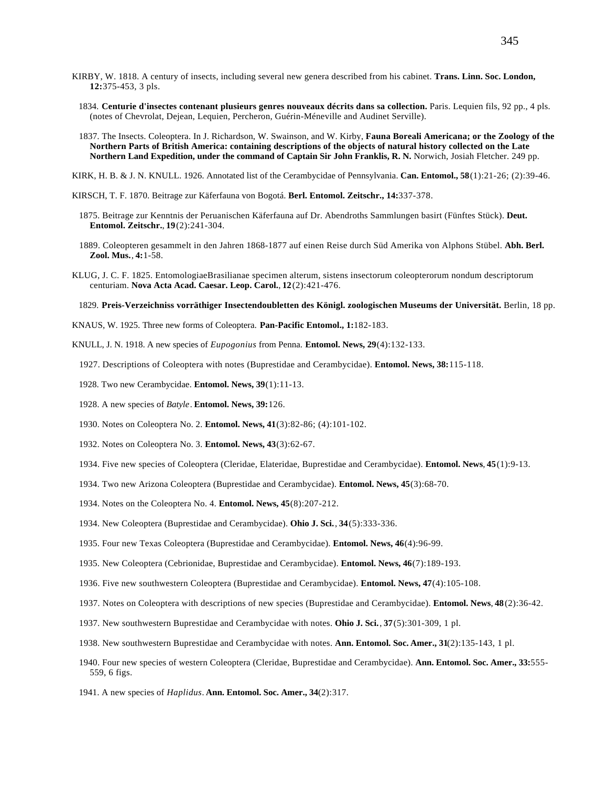- KIRBY, W. 1818. A century of insects, including several new genera described from his cabinet. **Trans. Linn. Soc. London, 12:**375-453, 3 pls.
	- 1834. **Centurie d'insectes contenant plusieurs genres nouveaux décrits dans sa collection.** Paris. Lequien fils, 92 pp., 4 pls. (notes of Chevrolat, Dejean, Lequien, Percheron, Guérin-Méneville and Audinet Serville).
	- 1837. The Insects. Coleoptera. In J. Richardson, W. Swainson, and W. Kirby, **Fauna Boreali Americana; or the Zoology of the Northern Parts of British America: containing descriptions of the objects of natural history collected on the Late Northern Land Expedition, under the command of Captain Sir John Franklis, R. N.** Norwich, Josiah Fletcher. 249 pp.
- KIRK, H. B. & J. N. KNULL. 1926. Annotated list of the Cerambycidae of Pennsylvania. **Can. Entomol., 58**(1):21-26; (2):39-46.
- KIRSCH, T. F. 1870. Beitrage zur Käferfauna von Bogotá. **Berl. Entomol. Zeitschr., 14:**337-378.
	- 1875. Beitrage zur Kenntnis der Peruanischen Käferfauna auf Dr. Abendroths Sammlungen basirt (Fünftes Stück). **Deut. Entomol. Zeitschr.**, **19**(2):241-304.
	- 1889. Coleopteren gesammelt in den Jahren 1868-1877 auf einen Reise durch Süd Amerika von Alphons Stübel. **Abh. Berl. Zool. Mus.**, **4:**1-58.
- KLUG, J. C. F. 1825. EntomologiaeBrasilianae specimen alterum, sistens insectorum coleopterorum nondum descriptorum centuriam. **Nova Acta Acad. Caesar. Leop. Carol.**, **12**(2):421-476.

1829. **Preis-Verzeichniss vorräthiger Insectendoubletten des Königl. zoologischen Museums der Universität.** Berlin, 18 pp.

- KNAUS, W. 1925. Three new forms of Coleoptera. **Pan-Pacific Entomol., 1:**182-183.
- KNULL, J. N. 1918. A new species of *Eupogonius* from Penna. **Entomol. News, 29**(4):132-133.
	- 1927. Descriptions of Coleoptera with notes (Buprestidae and Cerambycidae). **Entomol. News, 38:**115-118.
	- 1928. Two new Cerambycidae. **Entomol. News, 39**(1):11-13.
	- 1928. A new species of *Batyle*. **Entomol. News, 39:**126.
	- 1930. Notes on Coleoptera No. 2. **Entomol. News, 41**(3):82-86; (4):101-102.
	- 1932. Notes on Coleoptera No. 3. **Entomol. News, 43**(3):62-67.
	- 1934. Five new species of Coleoptera (Cleridae, Elateridae, Buprestidae and Cerambycidae). **Entomol. News**, **45**(1):9-13.
	- 1934. Two new Arizona Coleoptera (Buprestidae and Cerambycidae). **Entomol. News, 45**(3):68-70.
	- 1934. Notes on the Coleoptera No. 4. **Entomol. News, 45**(8):207-212.
	- 1934. New Coleoptera (Buprestidae and Cerambycidae). **Ohio J. Sci.**, **34**(5):333-336.
	- 1935. Four new Texas Coleoptera (Buprestidae and Cerambycidae). **Entomol. News, 46**(4):96-99.
	- 1935. New Coleoptera (Cebrionidae, Buprestidae and Cerambycidae). **Entomol. News, 46**(7):189-193.
	- 1936. Five new southwestern Coleoptera (Buprestidae and Cerambycidae). **Entomol. News, 47**(4):105-108.
	- 1937. Notes on Coleoptera with descriptions of new species (Buprestidae and Cerambycidae). **Entomol. News**, **48**(2):36-42.
	- 1937. New southwestern Buprestidae and Cerambycidae with notes. **Ohio J. Sci.**, **37**(5):301-309, 1 pl.
	- 1938. New southwestern Buprestidae and Cerambycidae with notes. **Ann. Entomol. Soc. Amer., 31**(2):135-143, 1 pl.
	- 1940. Four new species of western Coleoptera (Cleridae, Buprestidae and Cerambycidae). **Ann. Entomol. Soc. Amer., 33:**555- 559, 6 figs.
	- 1941. A new species of *Haplidus*. **Ann. Entomol. Soc. Amer., 34**(2):317.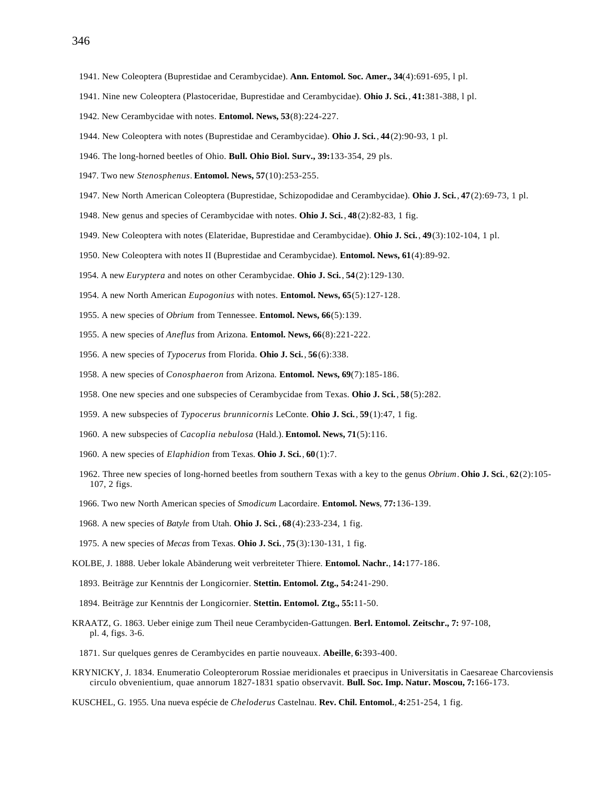- 1941. New Coleoptera (Buprestidae and Cerambycidae). **Ann. Entomol. Soc. Amer., 34**(4):691-695, l pl.
- 1941. Nine new Coleoptera (Plastoceridae, Buprestidae and Cerambycidae). **Ohio J. Sci.**, **41:**381-388, l pl.
- 1942. New Cerambycidae with notes. **Entomol. News, 53**(8):224-227.
- 1944. New Coleoptera with notes (Buprestidae and Cerambycidae). **Ohio J. Sci.**, **44**(2):90-93, 1 pl.
- 1946. The long-horned beetles of Ohio. **Bull. Ohio Biol. Surv., 39:**133-354, 29 pls.
- 1947. Two new *Stenosphenus*. **Entomol. News, 57**(10):253-255.
- 1947. New North American Coleoptera (Buprestidae, Schizopodidae and Cerambycidae). **Ohio J. Sci.**, **47**(2):69-73, 1 pl.
- 1948. New genus and species of Cerambycidae with notes. **Ohio J. Sci.**, **48**(2):82-83, 1 fig.
- 1949. New Coleoptera with notes (Elateridae, Buprestidae and Cerambycidae). **Ohio J. Sci.**, **49**(3):102-104, 1 pl.
- 1950. New Coleoptera with notes II (Buprestidae and Cerambycidae). **Entomol. News, 61**(4):89-92.
- 1954. A new *Euryptera* and notes on other Cerambycidae. **Ohio J. Sci.**, **54**(2):129-130.
- 1954. A new North American *Eupogonius* with notes. **Entomol. News, 65**(5):127-128.
- 1955. A new species of *Obrium* from Tennessee. **Entomol. News, 66**(5):139.
- 1955. A new species of *Aneflus* from Arizona. **Entomol. News, 66**(8):221-222.
- 1956. A new species of *Typocerus* from Florida. **Ohio J. Sci.**, **56**(6):338.
- 1958. A new species of *Conosphaeron* from Arizona. **Entomol. News, 69**(7):185-186.
- 1958. One new species and one subspecies of Cerambycidae from Texas. **Ohio J. Sci.**, **58**(5):282.
- 1959. A new subspecies of *Typocerus brunnicornis* LeConte. **Ohio J. Sci.**, **59**(1):47, 1 fig.
- 1960. A new subspecies of *Cacoplia nebulosa* (Hald.). **Entomol. News, 71**(5):116.
- 1960. A new species of *Elaphidion* from Texas. **Ohio J. Sci.**, **60**(1):7.
- 1962. Three new species of long-horned beetles from southern Texas with a key to the genus *Obrium*. **Ohio J. Sci.**, **62**(2):105- 107, 2 figs.
- 1966. Two new North American species of *Smodicum* Lacordaire. **Entomol. News**, **77:**136-139.
- 1968. A new species of *Batyle* from Utah. **Ohio J. Sci.**, **68**(4):233-234, 1 fig.
- 1975. A new species of *Mecas* from Texas. **Ohio J. Sci.**, **75**(3):130-131, 1 fig.
- KOLBE, J. 1888. Ueber lokale Abänderung weit verbreiteter Thiere. **Entomol. Nachr.**, **14:**177-186.
- 1893. Beiträge zur Kenntnis der Longicornier. **Stettin. Entomol. Ztg., 54:**241-290.
- 1894. Beiträge zur Kenntnis der Longicornier. **Stettin. Entomol. Ztg., 55:**11-50.
- KRAATZ, G. 1863. Ueber einige zum Theil neue Cerambyciden-Gattungen. **Berl. Entomol. Zeitschr., 7:** 97-108, pl. 4, figs. 3-6.
- 1871. Sur quelques genres de Cerambycides en partie nouveaux. **Abeille**, **6:**393-400.
- KRYNICKY, J. 1834. Enumeratio Coleopterorum Rossiae meridionales et praecipus in Universitatis in Caesareae Charcoviensis circulo obvenientium, quae annorum 1827-1831 spatio observavit. **Bull. Soc. Imp. Natur. Moscou, 7:**166-173.
- KUSCHEL, G. 1955. Una nueva espécie de *Cheloderus* Castelnau. **Rev. Chil. Entomol.**, **4:**251-254, 1 fig.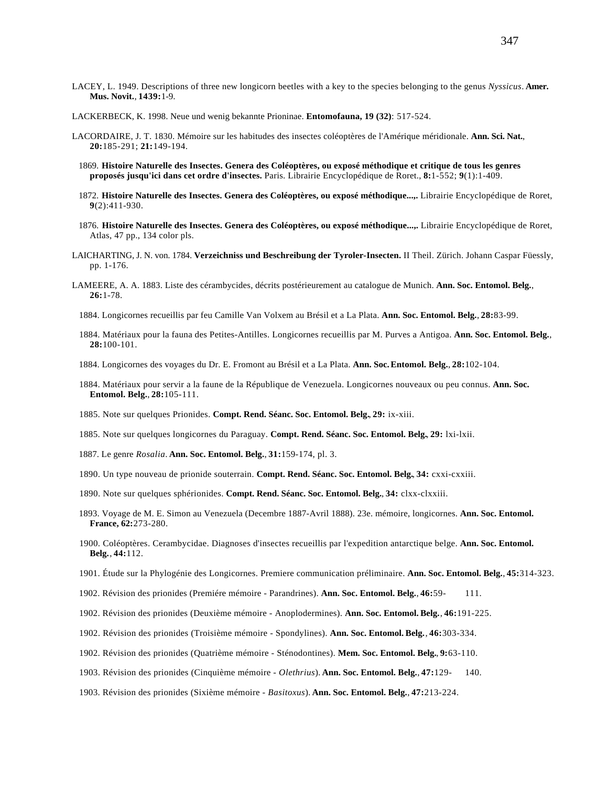- LACEY, L. 1949. Descriptions of three new longicorn beetles with a key to the species belonging to the genus *Nyssicus*. **Amer. Mus. Novit.**, **1439:**1-9.
- LACKERBECK, K. 1998. Neue und wenig bekannte Prioninae. **Entomofauna, 19 (32)**: 517-524.
- LACORDAIRE, J. T. 1830. Mémoire sur les habitudes des insectes coléoptères de l'Amérique méridionale. **Ann. Sci. Nat.**, **20:**185-291; **21:**149-194.
	- 1869. **Histoire Naturelle des Insectes. Genera des Coléoptères, ou exposé méthodique et critique de tous les genres proposés jusqu'ici dans cet ordre d'insectes.** Paris. Librairie Encyclopédique de Roret., **8:**1-552; **9**(1):1-409.
	- 1872. **Histoire Naturelle des Insectes. Genera des Coléoptères, ou exposé méthodique...,.** Librairie Encyclopédique de Roret, **9**(2):411-930.
	- 1876. **Histoire Naturelle des Insectes. Genera des Coléoptères, ou exposé méthodique...,.** Librairie Encyclopédique de Roret, Atlas, 47 pp., 134 color pls.
- LAICHARTING, J. N. von. 1784. **Verzeichniss und Beschreibung der Tyroler-Insecten.** II Theil. Zürich. Johann Caspar Füessly, pp. 1-176.
- LAMEERE, A. A. 1883. Liste des cérambycides, décrits postérieurement au catalogue de Munich. **Ann. Soc. Entomol. Belg.**, **26:**1-78.
	- 1884. Longicornes recueillis par feu Camille Van Volxem au Brésil et a La Plata. **Ann. Soc. Entomol. Belg.**, **28:**83-99.
	- 1884. Matériaux pour la fauna des Petites-Antilles. Longicornes recueillis par M. Purves a Antigoa. **Ann. Soc. Entomol. Belg.**, **28:**100-101.
	- 1884. Longicornes des voyages du Dr. E. Fromont au Brésil et a La Plata. **Ann. Soc.Entomol. Belg.**, **28:**102-104.
	- 1884. Matériaux pour servir a la faune de la République de Venezuela. Longicornes nouveaux ou peu connus. **Ann. Soc. Entomol. Belg.**, **28:**105-111.
	- 1885. Note sur quelques Prionides. **Compt. Rend. Séanc. Soc. Entomol. Belg.**, **29:** ix-xiii.
	- 1885. Note sur quelques longicornes du Paraguay. **Compt. Rend. Séanc. Soc. Entomol. Belg.**, **29:** lxi-lxii.
	- 1887. Le genre *Rosalia*. **Ann. Soc. Entomol. Belg.**, **31:**159-174, pl. 3.
	- 1890. Un type nouveau de prionide souterrain. **Compt. Rend. Séanc. Soc. Entomol. Belg.**, **34:** cxxi-cxxiii.
	- 1890. Note sur quelques sphérionides. **Compt. Rend. Séanc. Soc. Entomol. Belg.**, **34:** clxx-clxxiii.
	- 1893. Voyage de M. E. Simon au Venezuela (Decembre 1887-Avril 1888). 23e. mémoire, longicornes. **Ann. Soc. Entomol. France, 62:**273-280.
	- 1900. Coléoptères. Cerambycidae. Diagnoses d'insectes recueillis par l'expedition antarctique belge. **Ann. Soc. Entomol. Belg.**, **44:**112.
	- 1901. Étude sur la Phylogénie des Longicornes. Premiere communication préliminaire. **Ann. Soc. Entomol. Belg.**, **45:**314-323.
	- 1902. Révision des prionides (Premiére mémoire Parandrines). **Ann. Soc. Entomol. Belg.**, **46:**59- 111.
	- 1902. Révision des prionides (Deuxième mémoire Anoplodermines). **Ann. Soc. Entomol. Belg.**, **46:**191-225.
	- 1902. Révision des prionides (Troisième mémoire Spondylines). **Ann. Soc. Entomol. Belg.**, **46:**303-334.
	- 1902. Révision des prionides (Quatrième mémoire Sténodontines). **Mem. Soc. Entomol. Belg.**, **9:**63-110.
	- 1903. Révision des prionides (Cinquième mémoire - *Olethrius*). **Ann. Soc. Entomol. Belg.**, **47:**129- 140.
	- 1903. Révision des prionides (Sixième mémoire - *Basitoxus*). **Ann. Soc. Entomol. Belg.**, **47:**213-224.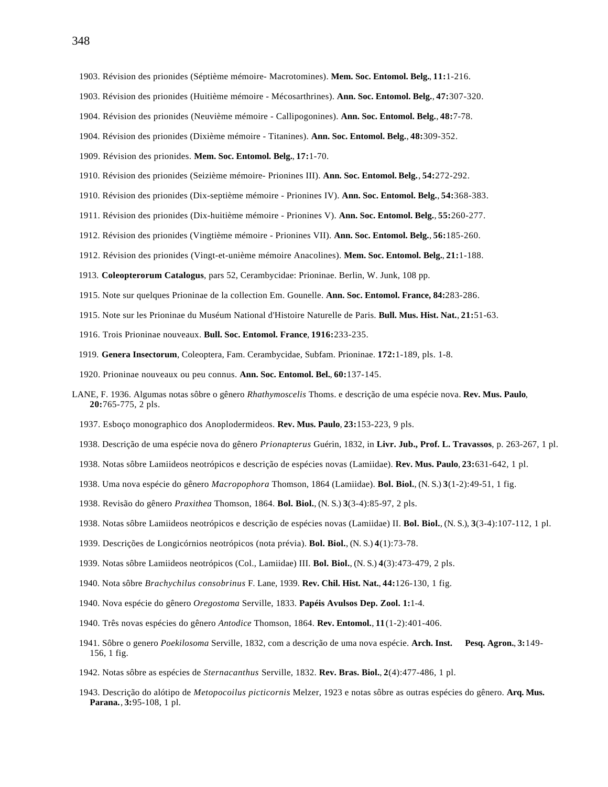- 1903. Révision des prionides (Séptième mémoire- Macrotomines). **Mem. Soc. Entomol. Belg.**, **11:**1-216.
- 1903. Révision des prionides (Huitième mémoire Mécosarthrines). **Ann. Soc. Entomol. Belg.**, **47:**307-320.
- 1904. Révision des prionides (Neuvième mémoire Callipogonines). **Ann. Soc. Entomol. Belg.**, **48:**7-78.
- 1904. Révision des prionides (Dixième mémoire Titanines). **Ann. Soc. Entomol. Belg.**, **48:**309-352.
- 1909. Révision des prionides. **Mem. Soc. Entomol. Belg.**, **17:**1-70.
- 1910. Révision des prionides (Seizième mémoire- Prionines III). **Ann. Soc. Entomol. Belg.**, **54:**272-292.
- 1910. Révision des prionides (Dix-septième mémoire Prionines IV). **Ann. Soc. Entomol. Belg.**, **54:**368-383.
- 1911. Révision des prionides (Dix-huitième mémoire Prionines V). **Ann. Soc. Entomol. Belg.**, **55:**260-277.
- 1912. Révision des prionides (Vingtième mémoire Prionines VII). **Ann. Soc. Entomol. Belg.**, **56:**185-260.
- 1912. Révision des prionides (Vingt-et-unième mémoire Anacolines). **Mem. Soc. Entomol. Belg.**, **21:**1-188.
- 1913. **Coleopterorum Catalogus**, pars 52, Cerambycidae: Prioninae. Berlin, W. Junk, 108 pp.
- 1915. Note sur quelques Prioninae de la collection Em. Gounelle. **Ann. Soc. Entomol. France, 84:**283-286.
- 1915. Note sur les Prioninae du Muséum National d'Histoire Naturelle de Paris. **Bull. Mus. Hist. Nat.**, **21:**51-63.
- 1916. Trois Prioninae nouveaux. **Bull. Soc. Entomol. France**, **1916:**233-235.
- 1919. **Genera Insectorum**, Coleoptera, Fam. Cerambycidae, Subfam. Prioninae. **172:**1-189, pls. 1-8.
- 1920. Prioninae nouveaux ou peu connus. **Ann. Soc. Entomol. Bel.**, **60:**137-145.
- LANE, F. 1936. Algumas notas sôbre o gênero *Rhathymoscelis* Thoms. e descrição de uma espécie nova. **Rev. Mus. Paulo**, **20:**765-775, 2 pls.
	- 1937. Esboço monographico dos Anoplodermideos. **Rev. Mus. Paulo**, **23:**153-223, 9 pls.
	- 1938. Descrição de uma espécie nova do gênero *Prionapterus* Guérin, 1832, in **Livr. Jub., Prof. L. Travassos**, p. 263-267, 1 pl.
	- 1938. Notas sôbre Lamiideos neotrópicos e descrição de espécies novas (Lamiidae). **Rev. Mus. Paulo**, **23:**631-642, 1 pl.
	- 1938. Uma nova espécie do gênero *Macropophora* Thomson, 1864 (Lamiidae). **Bol. Biol.**, (N. S.) **3**(1-2):49-51, 1 fig.
	- 1938. Revisão do gênero *Praxithea* Thomson, 1864. **Bol. Biol.**, (N. S.) **3**(3-4):85-97, 2 pls.
	- 1938. Notas sôbre Lamiideos neotrópicos e descrição de espécies novas (Lamiidae) II. **Bol. Biol.**, (N. S.), **3**(3-4):107-112, 1 pl.
	- 1939. Descrições de Longicórnios neotrópicos (nota prévia). **Bol. Biol.**, (N. S.) **4**(1):73-78.
	- 1939. Notas sôbre Lamiideos neotrópicos (Col., Lamiidae) III. **Bol. Biol.**, (N. S.) **4**(3):473-479, 2 pls.
	- 1940. Nota sôbre *Brachychilus consobrinus* F. Lane, 1939. **Rev. Chil. Hist. Nat.**, **44:**126-130, 1 fig.
	- 1940. Nova espécie do gênero *Oregostoma* Serville, 1833. **Papéis Avulsos Dep. Zool. 1:**1-4.
	- 1940. Três novas espécies do gênero *Antodice* Thomson, 1864. **Rev. Entomol.**, **11**(1-2):401-406.
	- 1941. Sôbre o genero *Poekilosoma* Serville, 1832, com a descrição de uma nova espécie. **Arch. Inst. Pesq. Agron.**, **3:**149- 156, 1 fig.
	- 1942. Notas sôbre as espécies de *Sternacanthus* Serville, 1832. **Rev. Bras. Biol.**, **2**(4):477-486, 1 pl.
	- 1943. Descrição do alótipo de *Metopocoilus picticornis* Melzer, 1923 e notas sôbre as outras espécies do gênero. **Arq. Mus. Parana.**, **3:**95-108, 1 pl.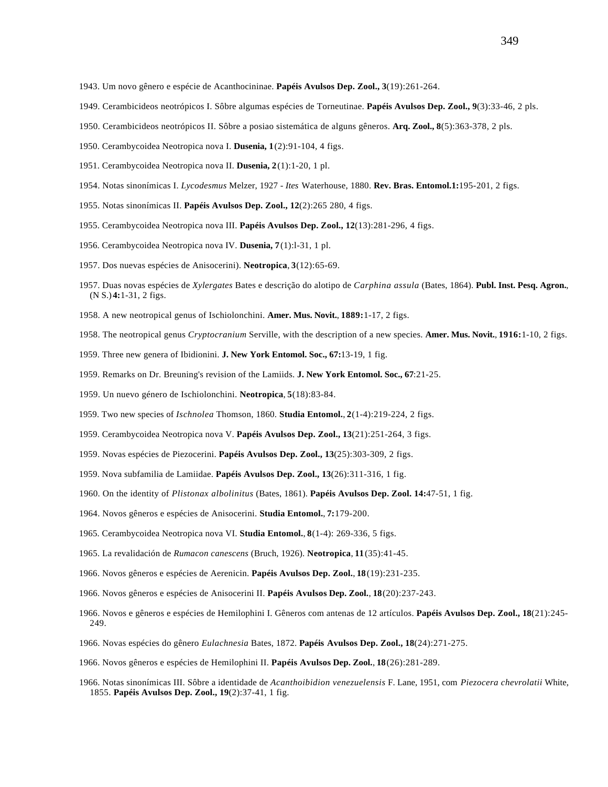- 1943. Um novo gênero e espécie de Acanthocininae. **Papéis Avulsos Dep. Zool., 3**(19):261-264.
- 1949. Cerambicideos neotrópicos I. Sôbre algumas espécies de Torneutinae. **Papéis Avulsos Dep. Zool., 9**(3):33-46, 2 pls.
- 1950. Cerambicideos neotrópicos II. Sôbre a posiao sistemática de alguns gêneros. **Arq. Zool., 8**(5):363-378, 2 pls.
- 1950. Cerambycoidea Neotropica nova I. **Dusenia, 1**(2):91-104, 4 figs.
- 1951. Cerambycoidea Neotropica nova II. **Dusenia, 2**(1):1-20, 1 pl.
- 1954. Notas sinonímicas I. *Lycodesmus* Melzer, 1927 - *Ites* Waterhouse, 1880. **Rev. Bras. Entomol.1:**195-201, 2 figs.
- 1955. Notas sinonímicas II. **Papéis Avulsos Dep. Zool., 12**(2):265 280, 4 figs.
- 1955. Cerambycoidea Neotropica nova III. **Papéis Avulsos Dep. Zool., 12**(13):281-296, 4 figs.
- 1956. Cerambycoidea Neotropica nova IV. **Dusenia, 7**(1):l-31, 1 pl.
- 1957. Dos nuevas espécies de Anisocerini). **Neotropica**, **3**(12):65-69.
- 1957. Duas novas espécies de *Xylergates* Bates e descrição do alotipo de *Carphina assula* (Bates, 1864). **Publ. Inst. Pesq. Agron.**, (N S.) **4:**1-31, 2 figs.
- 1958. A new neotropical genus of Ischiolonchini. **Amer. Mus. Novit.**, **1889:**1-17, 2 figs.
- 1958. The neotropical genus *Cryptocranium* Serville, with the description of a new species. **Amer. Mus. Novit.**, **1916:**1-10, 2 figs.
- 1959. Three new genera of Ibidionini. **J. New York Entomol. Soc., 67:**13-19, 1 fig.
- 1959. Remarks on Dr. Breuning's revision of the Lamiids. **J. New York Entomol. Soc., 67**:21-25.
- 1959. Un nuevo género de Ischiolonchini. **Neotropica**, **5**(18):83-84.
- 1959. Two new species of *Ischnolea* Thomson, 1860. **Studia Entomol.**, **2**(1-4):219-224, 2 figs.
- 1959. Cerambycoidea Neotropica nova V. **Papéis Avulsos Dep. Zool., 13**(21):251-264, 3 figs.
- 1959. Novas espécies de Piezocerini. **Papéis Avulsos Dep. Zool., 13**(25):303-309, 2 figs.
- 1959. Nova subfamilia de Lamiidae. **Papéis Avulsos Dep. Zool., 13**(26):311-316, 1 fig.
- 1960. On the identity of *Plistonax albolinitus* (Bates, 1861). **Papéis Avulsos Dep. Zool. 14:**47-51, 1 fig.
- 1964. Novos gêneros e espécies de Anisocerini. **Studia Entomol.**, **7:**179-200.
- 1965. Cerambycoidea Neotropica nova VI. **Studia Entomol.**, **8**(1-4): 269-336, 5 figs.
- 1965. La revalidación de *Rumacon canescens* (Bruch, 1926). **Neotropica**, **11**(35):41-45.
- 1966. Novos gêneros e espécies de Aerenicin. **Papéis Avulsos Dep. Zool.**, **18**(19):231-235.
- 1966. Novos gêneros e espécies de Anisocerini II. **Papéis Avulsos Dep. Zool.**, **18**(20):237-243.
- 1966. Novos e gêneros e espécies de Hemilophini I. Gêneros com antenas de 12 artículos. **Papéis Avulsos Dep. Zool., 18**(21):245- 249.
- 1966. Novas espécies do gênero *Eulachnesia* Bates, 1872. **Papéis Avulsos Dep. Zool., 18**(24):271-275.
- 1966. Novos gêneros e espécies de Hemilophini II. **Papéis Avulsos Dep. Zool.**, **18**(26):281-289.
- 1966. Notas sinonímicas III. Sôbre a identidade de *Acanthoibidion venezuelensis* F. Lane, 1951, com *Piezocera chevrolatii* White, 1855. **Papéis Avulsos Dep. Zool., 19**(2):37-41, 1 fig.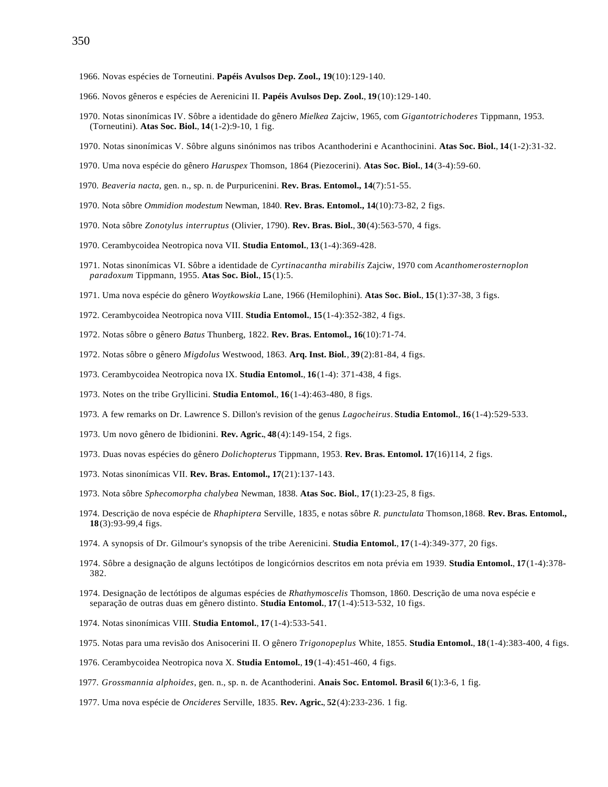- 1966. Novas espécies de Torneutini. **Papéis Avulsos Dep. Zool., 19**(10):129-140.
- 1966. Novos gêneros e espécies de Aerenicini II. **Papéis Avulsos Dep. Zool.**, **19**(10):129-140.
- 1970. Notas sinonímicas IV. Sôbre a identidade do gênero *Mielkea* Zajciw, 1965, com *Gigantotrichoderes* Tippmann, 1953. (Torneutini). **Atas Soc. Biol.**, **14**(1-2):9-10, 1 fig.
- 1970. Notas sinonímicas V. Sôbre alguns sinónimos nas tribos Acanthoderini e Acanthocinini. **Atas Soc. Biol.**, **14**(1-2):31-32.
- 1970. Uma nova espécie do gênero *Haruspex* Thomson, 1864 (Piezocerini). **Atas Soc. Biol.**, **14**(3-4):59-60.
- 1970. *Beaveria nacta*, gen. n., sp. n. de Purpuricenini. **Rev. Bras. Entomol., 14**(7):51-55.
- 1970. Nota sôbre *Ommidion modestum* Newman, 1840. **Rev. Bras. Entomol., 14**(10):73-82, 2 figs.
- 1970. Nota sôbre *Zonotylus interruptus* (Olivier, 1790). **Rev. Bras. Biol.**, **30**(4):563-570, 4 figs.
- 1970. Cerambycoidea Neotropica nova VII. **Studia Entomol.**, **13**(1-4):369-428.
- 1971. Notas sinonímicas VI. Sôbre a identidade de *Cyrtinacantha mirabilis* Zajciw, 1970 com *Acanthomerosternoplon paradoxum* Tippmann, 1955. **Atas Soc. Biol.**, **15**(1):5.
- 1971. Uma nova espécie do gênero *Woytkowskia* Lane, 1966 (Hemilophini). **Atas Soc. Biol.**, **15**(1):37-38, 3 figs.
- 1972. Cerambycoidea Neotropica nova VIII. **Studia Entomol.**, **15**(1-4):352-382, 4 figs.
- 1972. Notas sôbre o gênero *Batus* Thunberg, 1822. **Rev. Bras. Entomol., 16**(10):71-74.
- 1972. Notas sôbre o gênero *Migdolus* Westwood, 1863. **Arq. Inst. Biol.**, **39**(2):81-84, 4 figs.
- 1973. Cerambycoidea Neotropica nova IX. **Studia Entomol.**, **16**(1-4): 371-438, 4 figs.
- 1973. Notes on the tribe Gryllicini. **Studia Entomol.**, **16**(1-4):463-480, 8 figs.
- 1973. A few remarks on Dr. Lawrence S. Dillon's revision of the genus *Lagocheirus*. **Studia Entomol.**, **16**(1-4):529-533.
- 1973. Um novo gênero de Ibidionini. **Rev. Agric.**, **48**(4):149-154, 2 figs.
- 1973. Duas novas espécies do gênero *Dolichopterus* Tippmann, 1953. **Rev. Bras. Entomol. 17**(16)114, 2 figs.
- 1973. Notas sinonímicas VII. **Rev. Bras. Entomol., 17**(21):137-143.
- 1973. Nota sôbre *Sphecomorpha chalybea* Newman, 1838. **Atas Soc. Biol.**, **17**(1):23-25, 8 figs.
- 1974. Descriçäo de nova espécie de *Rhaphiptera* Serville, 1835, e notas sôbre *R. punctulata* Thomson,1868. **Rev. Bras. Entomol., 18**(3):93-99,4 figs.
- 1974. A synopsis of Dr. Gilmour's synopsis of the tribe Aerenicini. **Studia Entomol.**, **17**(1-4):349-377, 20 figs.
- 1974. Sôbre a designação de alguns lectótipos de longicórnios descritos em nota prévia em 1939. **Studia Entomol.**, **17**(1-4):378- 382.
- 1974. Designação de lectótipos de algumas espécies de *Rhathymoscelis* Thomson, 1860. Descrição de uma nova espécie e separação de outras duas em gênero distinto. **Studia Entomol.**, **17**(1-4):513-532, 10 figs.
- 1974. Notas sinonímicas VIII. **Studia Entomol.**, **17**(1-4):533-541.
- 1975. Notas para uma revisão dos Anisocerini II. O gênero *Trigonopeplus* White, 1855. **Studia Entomol.**, **18**(1-4):383-400, 4 figs.
- 1976. Cerambycoidea Neotropica nova X. **Studia Entomol.**, **19**(1-4):451-460, 4 figs.
- 1977. *Grossmannia alphoides*, gen. n., sp. n. de Acanthoderini. **Anais Soc. Entomol. Brasil 6**(1):3-6, 1 fig.
- 1977. Uma nova espécie de *Oncideres* Serville, 1835. **Rev. Agric.**, **52**(4):233-236. 1 fig.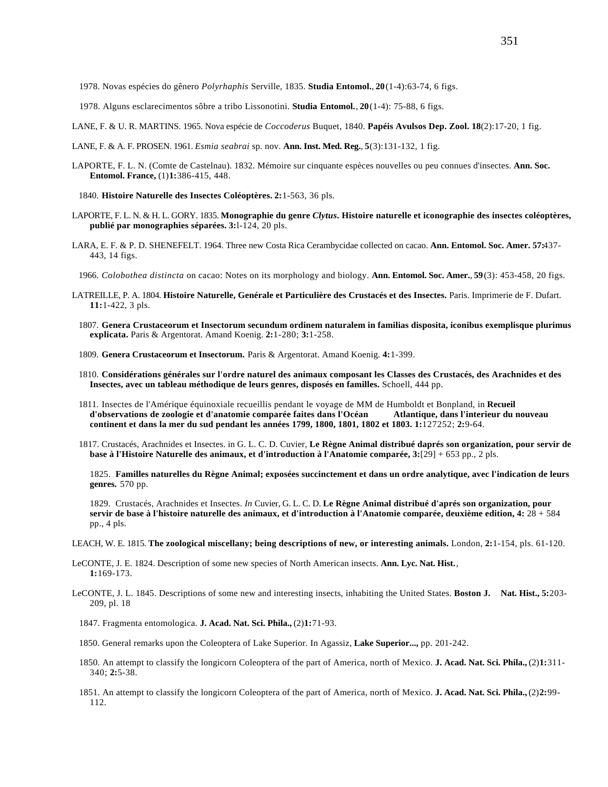1978. Novas espécies do gênero *Polyrhaphis* Serville, 1835. **Studia Entomol.**, **20**(1-4):63-74, 6 figs.

- 1978. Alguns esclarecimentos sôbre a tribo Lissonotini. **Studia Entomol.**, **20**(1-4): 75-88, 6 figs.
- LANE, F. & U. R. MARTINS. 1965. Nova espécie de *Coccoderus* Buquet, 1840. **Papéis Avulsos Dep. Zool. 18**(2):17-20, 1 fig.
- LANE, F. & A. F. PROSEN. 1961. *Esmia seabrai* sp. nov. **Ann. Inst. Med. Reg.**, **5**(3):131-132, 1 fig.
- LAPORTE, F. L. N. (Comte de Castelnau). 1832. Mémoire sur cinquante espèces nouvelles ou peu connues d'insectes. **Ann. Soc. Entomol. France,** (1)**1:**386-415, 448.
	- 1840. **Histoire Naturelle des Insectes Coléoptères. 2:**1-563, 36 pls.
- LAPORTE, F. L. N. & H. L. GORY. 1835. **Monographie du genre** *Clytus***. Histoire naturelle et iconographie des insectes coléoptères, publié par monographies séparées. 3:**l-124, 20 pls.
- LARA, E. F. & P. D. SHENEFELT. 1964. Three new Costa Rica Cerambycidae collected on cacao. **Ann. Entomol. Soc. Amer. 57:**437- 443, 14 figs.
	- 1966. *Colobothea distincta* on cacao: Notes on its morphology and biology. **Ann. Entomol. Soc. Amer.**, **59**(3): 453-458, 20 figs.
- LATREILLE, P. A. 1804. **Histoire Naturelle, Genérale et Particulière des Crustacés et des Insectes.** Paris. Imprimerie de F. Dufart. **11:**1-422, 3 pls.
	- 1807. **Genera Crustaceorum et Insectorum secundum ordinem naturalem in familias disposita, iconibus exemplisque plurimus explicata.** Paris & Argentorat. Amand Koenig. **2:**1-280; **3:**1-258.
	- 1809. **Genera Crustaceorum et Insectorum.** Paris & Argentorat. Amand Koenig. **4:**1-399.
	- 1810. **Considérations générales sur l'ordre naturel des animaux composant les Classes des Crustacés, des Arachnides et des Insectes, avec un tableau méthodique de leurs genres, disposés en familles.** Schoell, 444 pp.
	- 1811. Insectes de l'Amérique équinoxiale recueillis pendant le voyage de MM de Humboldt et Bonpland, in **Recueil** d'observations de zoologie et d'anatomie comparée faites dans l'Océan **continent et dans la mer du sud pendant les années 1799, 1800, 1801, 1802 et 1803. 1:**127252; **2:**9-64.
	- 1817. Crustacés, Arachnides et Insectes. in G. L. C. D. Cuvier, **Le Règne Animal distribué daprés son organization, pour servir de base à l'Histoire Naturelle des animaux, et d'introduction à l'Anatomie comparée, 3:**[29] + 653 pp., 2 pls.

1825. **Familles naturelles du Règne Animal; exposées succinctement et dans un ordre analytique, avec l'indication de leurs genres.** 570 pp.

1829. Crustacés, Arachnides et Insectes. *In* Cuvier, G. L. C. D. **Le Règne Animal distribué d'aprés son organization, pour servir de base à l'histoire naturelle des animaux, et d'introduction à l'Anatomie comparée, deuxième edition, 4:** 28 + 584 pp., 4 pls.

LEACH, W. E. 1815. **The zoological miscellany; being descriptions of new, or interesting animals.** London, **2:**1-154, pls. 61-120.

- LeCONTE, J. E. 1824. Description of some new species of North American insects. **Ann. Lyc. Nat. Hist.**, **1:**169-173.
- LeCONTE, J. L. 1845. Descriptions of some new and interesting insects, inhabiting the United States. **Boston J. Nat. Hist., 5:**203- 209, pl. 18

1847. Fragmenta entomologica. **J. Acad. Nat. Sci. Phila.,** (2)**1:**71-93.

- 1850. General remarks upon the Coleoptera of Lake Superior. In Agassiz, **Lake Superior...,** pp. 201-242.
- 1850. An attempt to classify the longicorn Coleoptera of the part of America, north of Mexico. **J. Acad. Nat. Sci. Phila.,** (2)**1:**311- 340; **2:**5-38.
- 1851. An attempt to classify the longicorn Coleoptera of the part of America, north of Mexico. **J. Acad. Nat. Sci. Phila.,** (2)**2:**99- 112.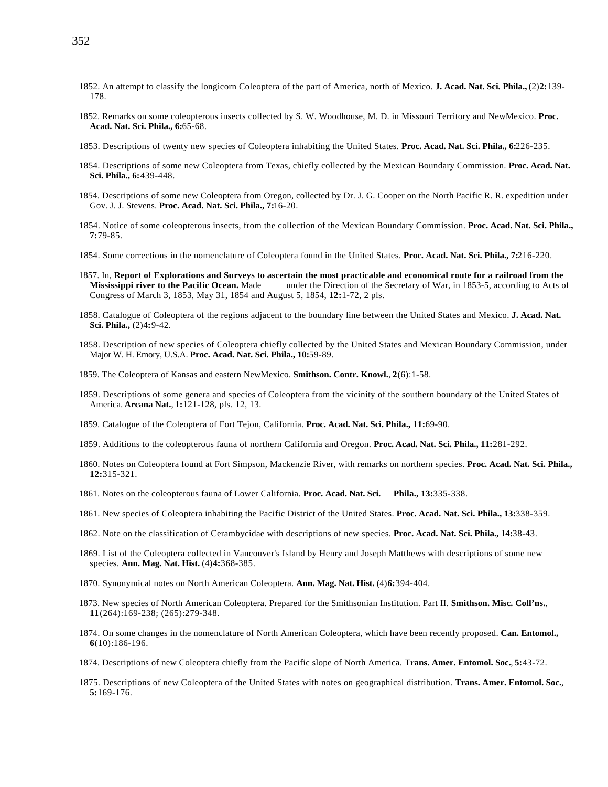- 1852. An attempt to classify the longicorn Coleoptera of the part of America, north of Mexico. **J. Acad. Nat. Sci. Phila.,** (2)**2:**139- 178.
- 1852. Remarks on some coleopterous insects collected by S. W. Woodhouse, M. D. in Missouri Territory and NewMexico. **Proc. Acad. Nat. Sci. Phila., 6:**65-68.
- 1853. Descriptions of twenty new species of Coleoptera inhabiting the United States. **Proc. Acad. Nat. Sci. Phila., 6:**226-235.
- 1854. Descriptions of some new Coleoptera from Texas, chiefly collected by the Mexican Boundary Commission. **Proc. Acad. Nat. Sci. Phila., 6:**439-448.
- 1854. Descriptions of some new Coleoptera from Oregon, collected by Dr. J. G. Cooper on the North Pacific R. R. expedition under Gov. J. J. Stevens. **Proc. Acad. Nat. Sci. Phila., 7:**16-20.
- 1854. Notice of some coleopterous insects, from the collection of the Mexican Boundary Commission. **Proc. Acad. Nat. Sci. Phila., 7:**79-85.
- 1854. Some corrections in the nomenclature of Coleoptera found in the United States. **Proc. Acad. Nat. Sci. Phila., 7:**216-220.
- 1857. In, **Report of Explorations and Surveys to ascertain the most practicable and economical route for a railroad from the Mississippi river to the Pacific Ocean.** Made under the Direction of the Secretary of War, in 1853-5, according to Acts of Congress of March 3, 1853, May 31, 1854 and August 5, 1854, **12:**1-72, 2 pls.
- 1858. Catalogue of Coleoptera of the regions adjacent to the boundary line between the United States and Mexico. **J. Acad. Nat. Sci. Phila.,** (2)**4:**9-42.
- 1858. Description of new species of Coleoptera chiefly collected by the United States and Mexican Boundary Commission, under Major W. H. Emory, U.S.A. **Proc. Acad. Nat. Sci. Phila., 10:**59-89.
- 1859. The Coleoptera of Kansas and eastern NewMexico. **Smithson. Contr. Knowl.**, **2**(6):1-58.
- 1859. Descriptions of some genera and species of Coleoptera from the vicinity of the southern boundary of the United States of America. **Arcana Nat.**, **1:**121-128, pls. 12, 13.
- 1859. Catalogue of the Coleoptera of Fort Tejon, California. **Proc. Acad. Nat. Sci. Phila., 11:**69-90.
- 1859. Additions to the coleopterous fauna of northern California and Oregon. **Proc. Acad. Nat. Sci. Phila., 11:**281-292.
- 1860. Notes on Coleoptera found at Fort Simpson, Mackenzie River, with remarks on northern species. **Proc. Acad. Nat. Sci. Phila., 12:**315-321.
- 1861. Notes on the coleopterous fauna of Lower California. **Proc. Acad. Nat. Sci. Phila., 13:**335-338.
- 1861. New species of Coleoptera inhabiting the Pacific District of the United States. **Proc. Acad. Nat. Sci. Phila., 13:**338-359.
- 1862. Note on the classification of Cerambycidae with descriptions of new species. **Proc. Acad. Nat. Sci. Phila., 14:**38-43.
- 1869. List of the Coleoptera collected in Vancouver's Island by Henry and Joseph Matthews with descriptions of some new species. **Ann. Mag. Nat. Hist.** (4)**4:**368-385.
- 1870. Synonymical notes on North American Coleoptera. **Ann. Mag. Nat. Hist.** (4)**6:**394-404.
- 1873. New species of North American Coleoptera. Prepared for the Smithsonian Institution. Part II. **Smithson. Misc. Coll'ns.**, **11**(264):169-238; (265):279-348.
- 1874. On some changes in the nomenclature of North American Coleoptera, which have been recently proposed. **Can. Entomol., 6**(10):186-196.
- 1874. Descriptions of new Coleoptera chiefly from the Pacific slope of North America. **Trans. Amer. Entomol. Soc.**, **5:**43-72.
- 1875. Descriptions of new Coleoptera of the United States with notes on geographical distribution. **Trans. Amer. Entomol. Soc.**, **5:**169-176.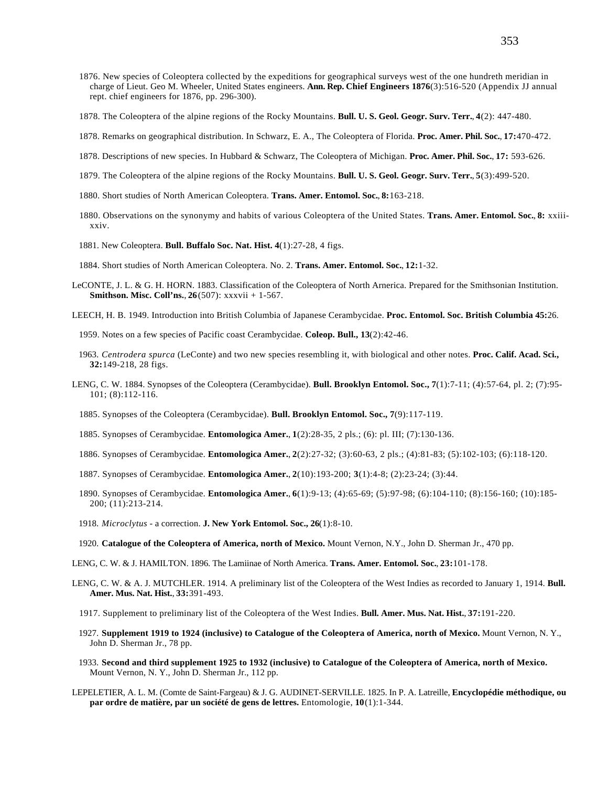- 1876. New species of Coleoptera collected by the expeditions for geographical surveys west of the one hundreth meridian in charge of Lieut. Geo M. Wheeler, United States engineers. **Ann. Rep. Chief Engineers 1876**(3):516-520 (Appendix JJ annual rept. chief engineers for 1876, pp. 296-300).
- 1878. The Coleoptera of the alpine regions of the Rocky Mountains. **Bull. U. S. Geol. Geogr. Surv. Terr.**, **4**(2): 447-480.
- 1878. Remarks on geographical distribution. In Schwarz, E. A., The Coleoptera of Florida. **Proc. Amer. Phil. Soc.**, **17:**470-472.
- 1878. Descriptions of new species. In Hubbard & Schwarz, The Coleoptera of Michigan. **Proc. Amer. Phil. Soc.**, **17:** 593-626.
- 1879. The Coleoptera of the alpine regions of the Rocky Mountains. **Bull. U. S. Geol. Geogr. Surv. Terr.**, **5**(3):499-520.
- 1880. Short studies of North American Coleoptera. **Trans. Amer. Entomol. Soc.**, **8:**163-218.
- 1880. Observations on the synonymy and habits of various Coleoptera of the United States. **Trans. Amer. Entomol. Soc.**, **8:** xxiiixxiv.
- 1881. New Coleoptera. **Bull. Buffalo Soc. Nat. Hist. 4**(1):27-28, 4 figs.
- 1884. Short studies of North American Coleoptera. No. 2. **Trans. Amer. Entomol. Soc.**, **12:**1-32.
- LeCONTE, J. L. & G. H. HORN. 1883. Classification of the Coleoptera of North Arnerica. Prepared for the Smithsonian Institution. **Smithson. Misc. Coll'ns.**, **26**(507): xxxvii + 1-567.
- LEECH, H. B. 1949. Introduction into British Columbia of Japanese Cerambycidae. **Proc. Entomol. Soc. British Columbia 45:**26.
	- 1959. Notes on a few species of Pacific coast Cerambycidae. **Coleop. Bull., 13**(2):42-46.
	- 1963. *Centrodera spurca* (LeConte) and two new species resembling it, with biological and other notes. **Proc. Calif. Acad. Sci., 32:**149-218, 28 figs.
- LENG, C. W. 1884. Synopses of the Coleoptera (Cerambycidae). **Bull. Brooklyn Entomol. Soc., 7**(1):7-11; (4):57-64, pl. 2; (7):95- 101; (8):112-116.
	- 1885. Synopses of the Coleoptera (Cerambycidae). **Bull. Brooklyn Entomol. Soc., 7**(9):117-119.
	- 1885. Synopses of Cerambycidae. **Entomologica Amer.**, **1**(2):28-35, 2 pls.; (6): pl. III; (7):130-136.
	- 1886. Synopses of Cerambycidae. **Entomologica Amer.**, **2**(2):27-32; (3):60-63, 2 pls.; (4):81-83; (5):102-103; (6):118-120.
	- 1887. Synopses of Cerambycidae. **Entomologica Amer.**, **2**(10):193-200; **3**(1):4-8; (2):23-24; (3):44.
	- 1890. Synopses of Cerambycidae. **Entomologica Amer.**, **6**(1):9-13; (4):65-69; (5):97-98; (6):104-110; (8):156-160; (10):185- 200; (11):213-214.
	- 1918. *Microclytus* a correction. **J. New York Entomol. Soc., 26**(1):8-10.
	- 1920. **Catalogue of the Coleoptera of America, north of Mexico.** Mount Vernon, N.Y., John D. Sherman Jr., 470 pp.
- LENG, C. W. & J. HAMILTON. 1896. The Lamiinae of North America. **Trans. Amer. Entomol. Soc.**, **23:**101-178.
- LENG, C. W. & A. J. MUTCHLER. 1914. A preliminary list of the Coleoptera of the West Indies as recorded to January 1, 1914. **Bull. Amer. Mus. Nat. Hist.**, **33:**391-493.
	- 1917. Supplement to preliminary list of the Coleoptera of the West Indies. **Bull. Amer. Mus. Nat. Hist.**, **37:**191-220.
	- 1927. **Supplement 1919 to 1924 (inclusive) to Catalogue of the Coleoptera of America, north of Mexico.** Mount Vernon, N. Y., John D. Sherman Jr., 78 pp.
	- 1933. **Second and third supplement 1925 to 1932 (inclusive) to Catalogue of the Coleoptera of America, north of Mexico.** Mount Vernon, N. Y., John D. Sherman Jr., 112 pp.
- LEPELETIER, A. L. M. (Comte de Saint-Fargeau) & J. G. AUDINET-SERVILLE. 1825. In P. A. Latreille, **Encyclopédie méthodique, ou par ordre de matière, par un société de gens de lettres.** Entomologie, **10**(1):1-344.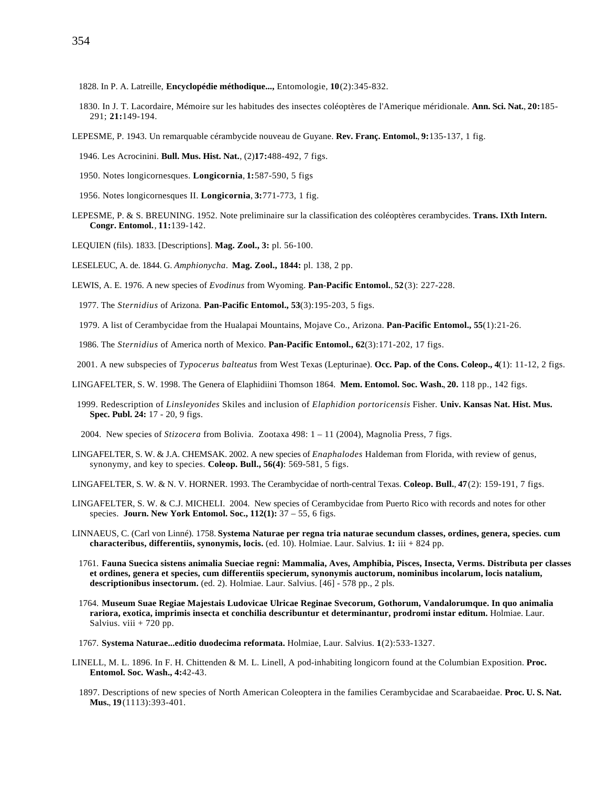- 1830. In J. T. Lacordaire, Mémoire sur les habitudes des insectes coléoptères de l'Amerique méridionale. **Ann. Sci. Nat.**, **20:**185- 291; **21:**149-194.
- LEPESME, P. 1943. Un remarquable cérambycide nouveau de Guyane. **Rev. Franç. Entomol.**, **9:**135-137, 1 fig.
	- 1946. Les Acrocinini. **Bull. Mus. Hist. Nat.**, (2)**17:**488-492, 7 figs.
	- 1950. Notes longicornesques. **Longicornia**, **1:**587-590, 5 figs
	- 1956. Notes longicornesques II. **Longicornia**, **3:**771-773, 1 fig.
- LEPESME, P. & S. BREUNING. 1952. Note preliminaire sur la classification des coléoptères cerambycides. **Trans. IXth Intern. Congr. Entomol.**, **11:**139-142.
- LEQUIEN (fils). 1833. [Descriptions]. **Mag. Zool., 3:** pl. 56-100.
- LESELEUC, A. de. 1844. G. *Amphionycha*. **Mag. Zool., 1844:** pl. 138, 2 pp.
- LEWIS, A. E. 1976. A new species of *Evodinus* from Wyoming. **Pan-Pacific Entomol.**, **52**(3): 227-228.
	- 1977. The *Sternidius* of Arizona. **Pan-Pacific Entomol., 53**(3):195-203, 5 figs.
	- 1979. A list of Cerambycidae from the Hualapai Mountains, Mojave Co., Arizona. **Pan-Pacific Entomol., 55**(1):21-26.
	- 1986. The *Sternidius* of America north of Mexico. **Pan-Pacific Entomol., 62**(3):171-202, 17 figs.
- 2001. A new subspecies of *Typocerus balteatus* from West Texas (Lepturinae). **Occ. Pap. of the Cons. Coleop., 4**(1): 11-12, 2 figs.
- LINGAFELTER, S. W. 1998. The Genera of Elaphidiini Thomson 1864. **Mem. Entomol. Soc. Wash.**, **20.** 118 pp., 142 figs.
- 1999. Redescription of *Linsleyonides* Skiles and inclusion of *Elaphidion portoricensis* Fisher. **Univ. Kansas Nat. Hist. Mus. Spec. Publ. 24:** 17 - 20, 9 figs.
- 2004. New species of *Stizocera* from Bolivia. Zootaxa 498: 1 11 (2004), Magnolia Press, 7 figs.
- LINGAFELTER, S. W. & J.A. CHEMSAK. 2002. A new species of *Enaphalodes* Haldeman from Florida, with review of genus, synonymy, and key to species. **Coleop. Bull., 56(4)**: 569-581, 5 figs.
- LINGAFELTER, S. W. & N. V. HORNER. 1993. The Cerambycidae of north-central Texas. **Coleop. Bull.**, **47**(2): 159-191, 7 figs.
- LINGAFELTER, S. W. & C.J. MICHELI. 2004. New species of Cerambycidae from Puerto Rico with records and notes for other species. **Journ. New York Entomol. Soc., 112(1):** 37 – 55, 6 figs.
- LINNAEUS, C. (Carl von Linné). 1758. **Systema Naturae per regna tria naturae secundum classes, ordines, genera, species. cum characteribus, differentiis, synonymis, locis.** (ed. 10). Holmiae. Laur. Salvius. **1:** iii + 824 pp.
	- 1761. **Fauna Suecica sistens animalia Sueciae regni: Mammalia, Aves, Amphibia, Pisces, Insecta, Verms. Distributa per classes et ordines, genera et species, cum differentiis specierum, synonymis auctorum, nominibus incolarum, locis natalium, descriptionibus insectorum.** (ed. 2). Holmiae. Laur. Salvius. [46] - 578 pp., 2 pls.
	- 1764. **Museum Suae Regiae Majestais Ludovicae Ulricae Reginae Svecorum, Gothorum, Vandalorumque. In quo animalia rariora, exotica, imprimis insecta et conchilia describuntur et determinantur, prodromi instar editum.** Holmiae. Laur. Salvius. viii  $+ 720$  pp.
	- 1767. **Systema Naturae...editio duodecima reformata.** Holmiae, Laur. Salvius. **1**(2):533-1327.
- LINELL, M. L. 1896. In F. H. Chittenden & M. L. Linell, A pod-inhabiting longicorn found at the Columbian Exposition. **Proc. Entomol. Soc. Wash., 4:**42-43.
	- 1897. Descriptions of new species of North American Coleoptera in the families Cerambycidae and Scarabaeidae. **Proc. U. S. Nat. Mus.**, **19**(1113):393-401.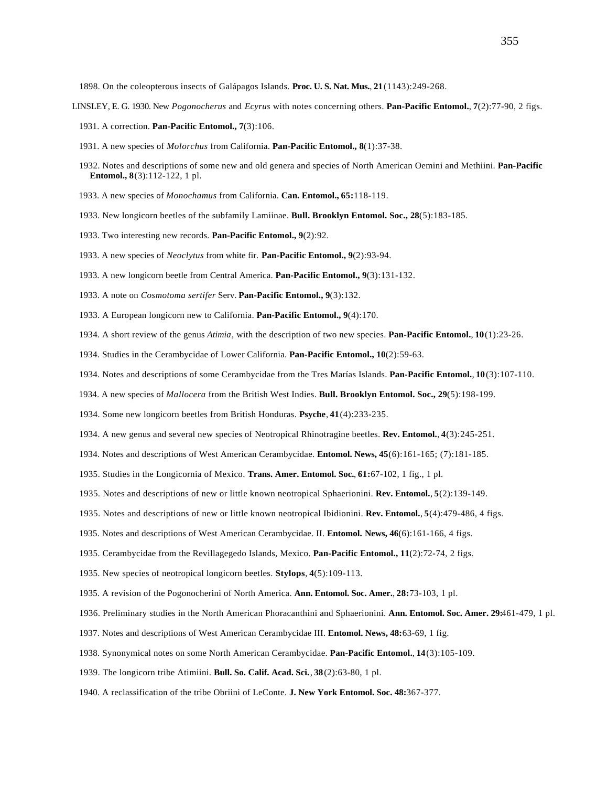1898. On the coleopterous insects of Galápagos Islands. **Proc. U. S. Nat. Mus.**, **21**(1143):249-268.

- LINSLEY, E. G. 1930. New *Pogonocherus* and *Ecyrus* with notes concerning others. **Pan-Pacific Entomol.**, **7**(2):77-90, 2 figs.
	- 1931. A correction. **Pan-Pacific Entomol., 7**(3):106.
	- 1931. A new species of *Molorchus* from California. **Pan-Pacific Entomol., 8**(1):37-38.
	- 1932. Notes and descriptions of some new and old genera and species of North American Oemini and Methiini. **Pan-Pacific Entomol., 8**(3):112-122, 1 pl.
	- 1933. A new species of *Monochamus* from California. **Can. Entomol., 65:**118-119.
	- 1933. New longicorn beetles of the subfamily Lamiinae. **Bull. Brooklyn Entomol. Soc., 28**(5):183-185.
	- 1933. Two interesting new records. **Pan-Pacific Entomol., 9**(2):92.
	- 1933. A new species of *Neoclytus* from white fir. **Pan-Pacific Entomol., 9**(2):93-94.
	- 1933. A new longicorn beetle from Central America. **Pan-Pacific Entomol., 9**(3):131-132.
	- 1933. A note on *Cosmotoma sertifer* Serv. **Pan-Pacific Entomol., 9**(3):132.
	- 1933. A European longicorn new to California. **Pan-Pacific Entomol., 9**(4):170.
	- 1934. A short review of the genus *Atimia*, with the description of two new species. **Pan-Pacific Entomol.**, **10**(1):23-26.
	- 1934. Studies in the Cerambycidae of Lower California. **Pan-Pacific Entomol., 10**(2):59-63.
	- 1934. Notes and descriptions of some Cerambycidae from the Tres Marías Islands. **Pan-Pacific Entomol.**, **10**(3):107-110.
	- 1934. A new species of *Mallocera* from the British West Indies. **Bull. Brooklyn Entomol. Soc., 29**(5):198-199.
	- 1934. Some new longicorn beetles from British Honduras. **Psyche**, **41**(4):233-235.
	- 1934. A new genus and several new species of Neotropical Rhinotragine beetles. **Rev. Entomol.**, **4**(3):245-251.
	- 1934. Notes and descriptions of West American Cerambycidae. **Entomol. News, 45**(6):161-165; (7):181-185.
	- 1935. Studies in the Longicornia of Mexico. **Trans. Amer. Entomol. Soc.**, **61:**67-102, 1 fig., 1 pl.
	- 1935. Notes and descriptions of new or little known neotropical Sphaerionini. **Rev. Entomol.**, **5**(2):139-149.
	- 1935. Notes and descriptions of new or little known neotropical Ibidionini. **Rev. Entomol.**, **5**(4):479-486, 4 figs.
	- 1935. Notes and descriptions of West American Cerambycidae. II. **Entomol. News, 46**(6):161-166, 4 figs.
	- 1935. Cerambycidae from the Revillagegedo Islands, Mexico. **Pan-Pacific Entomol., 11**(2):72-74, 2 figs.
	- 1935. New species of neotropical longicorn beetles. **Stylops**, **4**(5):109-113.
	- 1935. A revision of the Pogonocherini of North America. **Ann. Entomol. Soc. Amer.**, **28:**73-103, 1 pl.
	- 1936. Preliminary studies in the North American Phoracanthini and Sphaerionini. **Ann. Entomol. Soc. Amer. 29:**461-479, 1 pl.
	- 1937. Notes and descriptions of West American Cerambycidae III. **Entomol. News, 48:**63-69, 1 fig.
	- 1938. Synonymical notes on some North American Cerambycidae. **Pan-Pacific Entomol.**, **14**(3):105-109.
	- 1939. The longicorn tribe Atimiini. **Bull. So. Calif. Acad. Sci.**, **38**(2):63-80, 1 pl.
	- 1940. A reclassification of the tribe Obriini of LeConte. **J. New York Entomol. Soc. 48:**367-377.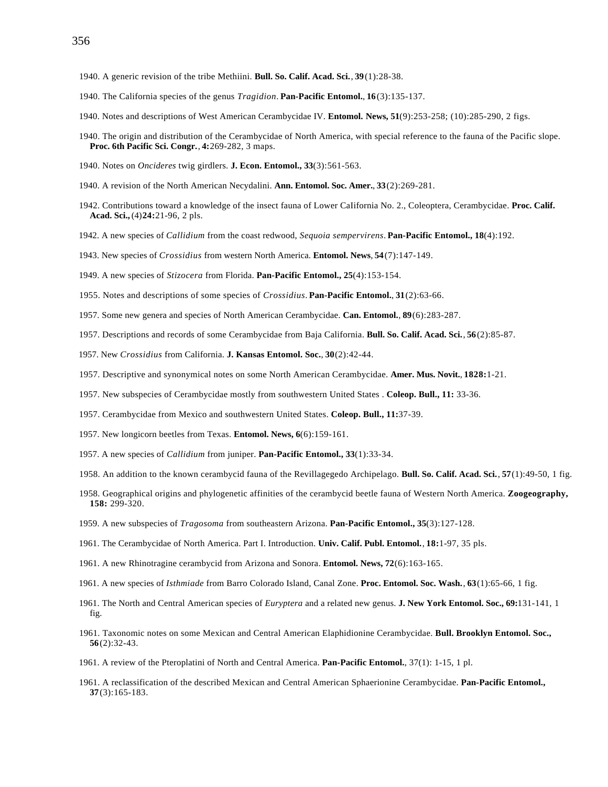- 1940. A generic revision of the tribe Methiini. **Bull. So. Calif. Acad. Sci.**, **39**(1):28-38.
- 1940. The California species of the genus *Tragidion*. **Pan-Pacific Entomol.**, **16**(3):135-137.
- 1940. Notes and descriptions of West American Cerambycidae IV. **Entomol. News, 51**(9):253-258; (10):285-290, 2 figs.
- 1940. The origin and distribution of the Cerambycidae of North America, with special reference to the fauna of the Pacific slope. **Proc. 6th Pacific Sci. Congr.**, **4:**269-282, 3 maps.
- 1940. Notes on *Oncideres* twig girdlers. **J. Econ. Entomol., 33**(3):561-563.
- 1940. A revision of the North American Necydalini. **Ann. Entomol. Soc. Amer.**, **33**(2):269-281.
- 1942. Contributions toward a knowledge of the insect fauna of Lower CaIifornia No. 2., Coleoptera, Cerambycidae. **Proc. Calif. Acad. Sci.,** (4)**24:**21-96, 2 pls.
- 1942. A new species of *Callidium* from the coast redwood, *Sequoia sempervirens*. **Pan-Pacific Entomol., 18**(4):192.
- 1943. New species of *Crossidius* from western North America. **Entomol. News**, **54**(7):147-149.
- 1949. A new species of *Stizocera* from Florida. **Pan-Pacific Entomol., 25**(4):153-154.
- 1955. Notes and descriptions of some species of *Crossidius*. **Pan-Pacific Entomol.**, **31**(2):63-66.
- 1957. Some new genera and species of North American Cerambycidae. **Can. Entomol.**, **89**(6):283-287.
- 1957. Descriptions and records of some Cerambycidae from Baja California. **Bull. So. Calif. Acad. Sci.**, **56**(2):85-87.
- 1957. New *Crossidius* from California. **J. Kansas Entomol. Soc.**, **30**(2):42-44.
- 1957. Descriptive and synonymical notes on some North American Cerambycidae. **Amer. Mus. Novit.**, **1828:**1-21.
- 1957. New subspecies of Cerambycidae mostly from southwestern United States . **Coleop. Bull., 11:** 33-36.
- 1957. Cerambycidae from Mexico and southwestern United States. **Coleop. Bull., 11:**37-39.
- 1957. New longicorn beetles from Texas. **Entomol. News, 6**(6):159-161.
- 1957. A new species of *Callidium* from juniper. **Pan-Pacific Entomol., 33**(1):33-34.
- 1958. An addition to the known cerambycid fauna of the Revillagegedo Archipelago. **Bull. So. Calif. Acad. Sci.**, **57**(1):49-50, 1 fig.
- 1958. Geographical origins and phylogenetic affinities of the cerambycid beetle fauna of Western North America. **Zoogeography, 158:** 299-320.
- 1959. A new subspecies of *Tragosoma* from southeastern Arizona. **Pan-Pacific Entomol., 35**(3):127-128.
- 1961. The Cerambycidae of North America. Part I. Introduction. **Univ. Calif. Publ. Entomol.**, **18:**1-97, 35 pls.
- 1961. A new Rhinotragine cerambycid from Arizona and Sonora. **Entomol. News, 72**(6):163-165.
- 1961. A new species of *Isthmiade* from Barro Colorado Island, Canal Zone. **Proc. Entomol. Soc. Wash.**, **63**(1):65-66, 1 fig.
- 1961. The North and Central American species of *Euryptera* and a related new genus. **J. New York Entomol. Soc., 69:**131-141, 1 fig.
- 1961. Taxonomic notes on some Mexican and Central American Elaphidionine Cerambycidae. **Bull. Brooklyn Entomol. Soc., 56**(2):32-43.
- 1961. A review of the Pteroplatini of North and Central America. **Pan-Pacific Entomol.**, 37(1): 1-15, 1 pl.
- 1961. A reclassification of the described Mexican and Central American Sphaerionine Cerambycidae. **Pan-Pacific Entomol., 37**(3):165-183.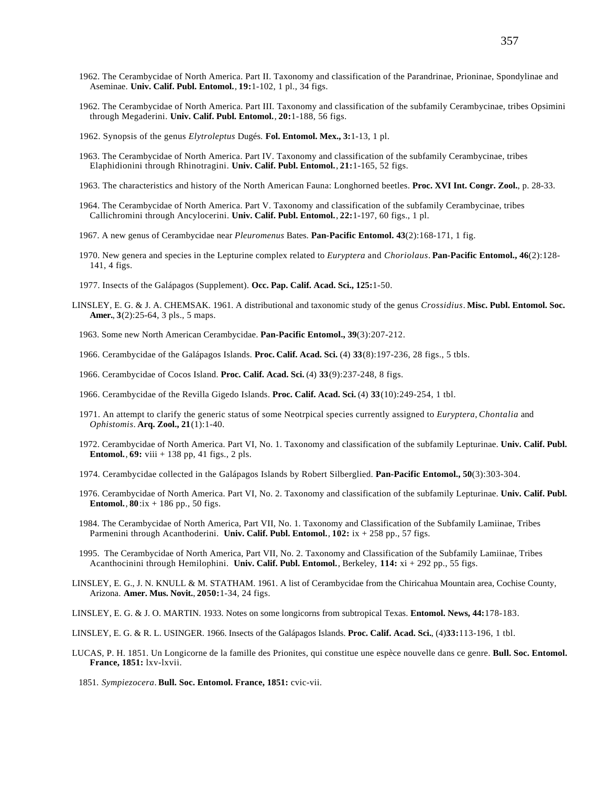- 1962. The Cerambycidae of North America. Part II. Taxonomy and classification of the Parandrinae, Prioninae, Spondylinae and Aseminae. **Univ. Calif. Publ. Entomol.**, **19:**1-102, 1 pl., 34 figs.
- 1962. The Cerambycidae of North America. Part III. Taxonomy and classification of the subfamily Cerambycinae, tribes Opsimini through Megaderini. **Univ. Calif. Publ. Entomol.**, **20:**1-188, 56 figs.
- 1962. Synopsis of the genus *Elytroleptus* Dugés. **Fol. Entomol. Mex., 3:**1-13, 1 pl.
- 1963. The Cerambycidae of North America. Part IV. Taxonomy and classification of the subfamily Cerambycinae, tribes Elaphidionini through Rhinotragini. **Univ. Calif. Publ. Entomol.**, **21:**1-165, 52 figs.
- 1963. The characteristics and history of the North American Fauna: Longhorned beetles. **Proc. XVI Int. Congr. Zool.**, p. 28-33.
- 1964. The Cerambycidae of North America. Part V. Taxonomy and classification of the subfamily Cerambycinae, tribes Callichromini through Ancylocerini. **Univ. Calif. Publ. Entomol.**, **22:**1-197, 60 figs., 1 pl.
- 1967. A new genus of Cerambycidae near *Pleuromenus* Bates. **Pan-Pacific Entomol. 43**(2):168-171, 1 fig.
- 1970. New genera and species in the Lepturine complex related to *Euryptera* and *Choriolaus*. **Pan-Pacific Entomol., 46**(2):128- 141, 4 figs.
- 1977. Insects of the Galápagos (Supplement). **Occ. Pap. Calif. Acad. Sci., 125:**1-50.
- LINSLEY, E. G. & J. A. CHEMSAK. 1961. A distributional and taxonomic study of the genus *Crossidius*. **Misc. Publ. Entomol. Soc. Amer.**, **3**(2):25-64, 3 pls., 5 maps.
	- 1963. Some new North American Cerambycidae. **Pan-Pacific Entomol., 39**(3):207-212.
	- 1966. Cerambycidae of the Galápagos Islands. **Proc. Calif. Acad. Sci.** (4) **33**(8):197-236, 28 figs., 5 tbls.
	- 1966. Cerambycidae of Cocos Island. **Proc. Calif. Acad. Sci.** (4) **33**(9):237-248, 8 figs.
	- 1966. Cerambycidae of the Revilla Gigedo Islands. **Proc. Calif. Acad. Sci.** (4) **33**(10):249-254, 1 tbl.
	- 1971. An attempt to clarify the generic status of some Neotrpical species currently assigned to *Euryptera*, *Chontalia* and *Ophistomis*. **Arq. Zool., 21**(1):1-40.
	- 1972. Cerambycidae of North America. Part VI, No. 1. Taxonomy and classification of the subfamily Lepturinae. **Univ. Calif. Publ. Entomol.**, **69:** viii + 138 pp, 41 figs., 2 pls.
	- 1974. Cerambycidae collected in the Galápagos Islands by Robert Silberglied. **Pan-Pacific Entomol., 50**(3):303-304.
	- 1976. Cerambycidae of North America. Part VI, No. 2. Taxonomy and classification of the subfamily Lepturinae. **Univ. Calif. Publ. Entomol.**, **80**:ix + 186 pp., 50 figs.
	- 1984. The Cerambycidae of North America, Part VII, No. 1. Taxonomy and Classification of the Subfamily Lamiinae, Tribes Parmenini through Acanthoderini. **Univ. Calif. Publ. Entomol.**, **102:** ix + 258 pp., 57 figs.
	- 1995. The Cerambycidae of North America, Part VII, No. 2. Taxonomy and Classification of the Subfamily Lamiinae, Tribes Acanthocinini through Hemilophini. **Univ. Calif. Publ. Entomol.**, Berkeley, **114:** xi + 292 pp., 55 figs.
- LINSLEY, E. G., J. N. KNULL & M. STATHAM. 1961. A list of Cerambycidae from the Chiricahua Mountain area, Cochise County, Arizona. **Amer. Mus. Novit.**, **2050:**1-34, 24 figs.
- LINSLEY, E. G. & J. O. MARTIN. 1933. Notes on some longicorns from subtropical Texas. **Entomol. News, 44:**178-183.
- LINSLEY, E. G. & R. L. USINGER. 1966. Insects of the Galápagos Islands. **Proc. Calif. Acad. Sci.**, (4)**33:**113-196, 1 tbl.
- LUCAS, P. H. 1851. Un Longicorne de la famille des Prionites, qui constitue une espèce nouvelle dans ce genre. **Bull. Soc. Entomol. France, 1851:** lxv-lxvii.
	- 1851. *Sympiezocera*. **Bull. Soc. Entomol. France, 1851:** cvic-vii.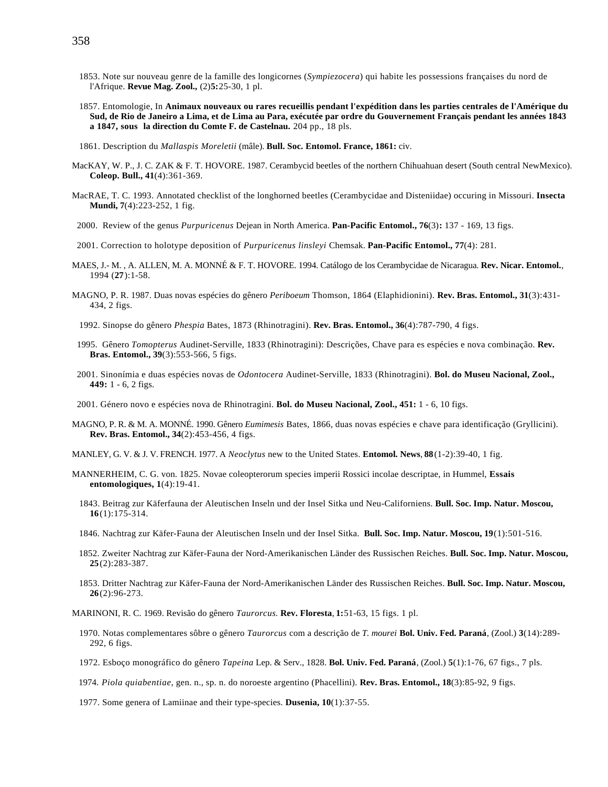- 1853. Note sur nouveau genre de la famille des longicornes (*Sympiezocera*) qui habite les possessions françaises du nord de l'Afrique. **Revue Mag. Zool.,** (2)**5:**25-30, 1 pl.
- 1857. Entomologie, In **Animaux nouveaux ou rares recueillis pendant l'expédition dans les parties centrales de l'Amérique du Sud, de Rio de Janeiro a Lima, et de Lima au Para, exécutée par ordre du Gouvernement Français pendant les années 1843 a 1847, sous la direction du Comte F. de Castelnau.** 204 pp., 18 pls.
- 1861. Description du *Mallaspis Moreletii* (mâle). **Bull. Soc. Entomol. France, 1861:** civ.
- MacKAY, W. P., J. C. ZAK & F. T. HOVORE. 1987. Cerambycid beetles of the northern Chihuahuan desert (South central NewMexico). **Coleop. Bull., 41**(4):361-369.
- MacRAE, T. C. 1993. Annotated checklist of the longhorned beetles (Cerambycidae and Disteniidae) occuring in Missouri. **Insecta Mundi, 7**(4):223-252, 1 fig.
- 2000. Review of the genus *Purpuricenus* Dejean in North America. **Pan-Pacific Entomol., 76**(3)**:** 137 169, 13 figs.
- 2001. Correction to holotype deposition of *Purpuricenus linsleyi* Chemsak. **Pan-Pacific Entomol., 77**(4): 281.
- MAES, J.- M. , A. ALLEN, M. A. MONNÉ & F. T. HOVORE. 1994. Catálogo de los Cerambycidae de Nicaragua. **Rev. Nicar. Entomol.**, 1994 (**27**):1-58.
- MAGNO, P. R. 1987. Duas novas espécies do gênero *Periboeum* Thomson, 1864 (Elaphidionini). **Rev. Bras. Entomol., 31**(3):431- 434, 2 figs.
	- 1992. Sinopse do gênero *Phespia* Bates, 1873 (Rhinotragini). **Rev. Bras. Entomol., 36**(4):787-790, 4 figs.
- 1995. Gênero *Tomopterus* Audinet-Serville, 1833 (Rhinotragini): Descrições, Chave para es espécies e nova combinação. **Rev. Bras. Entomol., 39**(3):553-566, 5 figs.
- 2001. Sinonímia e duas espécies novas de *Odontocera* Audinet-Serville, 1833 (Rhinotragini). **Bol. do Museu Nacional, Zool., 449:** 1 - 6, 2 figs.
- 2001. Género novo e espécies nova de Rhinotragini. **Bol. do Museu Nacional, Zool., 451:** 1 6, 10 figs.
- MAGNO, P. R. & M. A. MONNÉ. 1990. Gênero *Eumimesis* Bates, 1866, duas novas espécies e chave para identificação (Gryllicini). **Rev. Bras. Entomol., 34**(2):453-456, 4 figs.
- MANLEY, G. V. & J. V. FRENCH. 1977. A *Neoclytus* new to the United States. **Entomol. News**, **88**(1-2):39-40, 1 fig.
- MANNERHEIM, C. G. von. 1825. Novae coleopterorum species imperii Rossici incolae descriptae, in Hummel, **Essais entomologiques, 1**(4):19-41.
	- 1843. Beitrag zur Käferfauna der Aleutischen Inseln und der Insel Sitka und Neu-Californiens. **Bull. Soc. Imp. Natur. Moscou, 16**(1):175-314.
	- 1846. Nachtrag zur Käfer-Fauna der Aleutischen Inseln und der Insel Sitka. **Bull. Soc. Imp. Natur. Moscou, 19**(1):501-516.
	- 1852. Zweiter Nachtrag zur Käfer-Fauna der Nord-Amerikanischen Länder des Russischen Reiches. **Bull. Soc. Imp. Natur. Moscou, 25**(2):283-387.
	- 1853. Dritter Nachtrag zur Käfer-Fauna der Nord-Amerikanischen Länder des Russischen Reiches. **Bull. Soc. Imp. Natur. Moscou, 26**(2):96-273.

MARINONI, R. C. 1969. Revisão do gênero *Taurorcus.* **Rev. Floresta**, **1:**51-63, 15 figs. 1 pl.

- 1970. Notas complementares sôbre o gênero *Taurorcus* com a descrição de *T. mourei* **Bol. Univ. Fed. Paraná**, (Zool.) **3**(14):289- 292, 6 figs.
- 1972. Esboço monográfico do gênero *Tapeina* Lep. & Serv., 1828. **Bol. Univ. Fed. Paraná**, (Zool.) **5**(1):1-76, 67 figs., 7 pls.
- 1974. *Piola quiabentiae*, gen. n., sp. n. do noroeste argentino (Phacellini). **Rev. Bras. Entomol., 18**(3):85-92, 9 figs.
- 1977. Some genera of Lamiinae and their type-species. **Dusenia, 10**(1):37-55.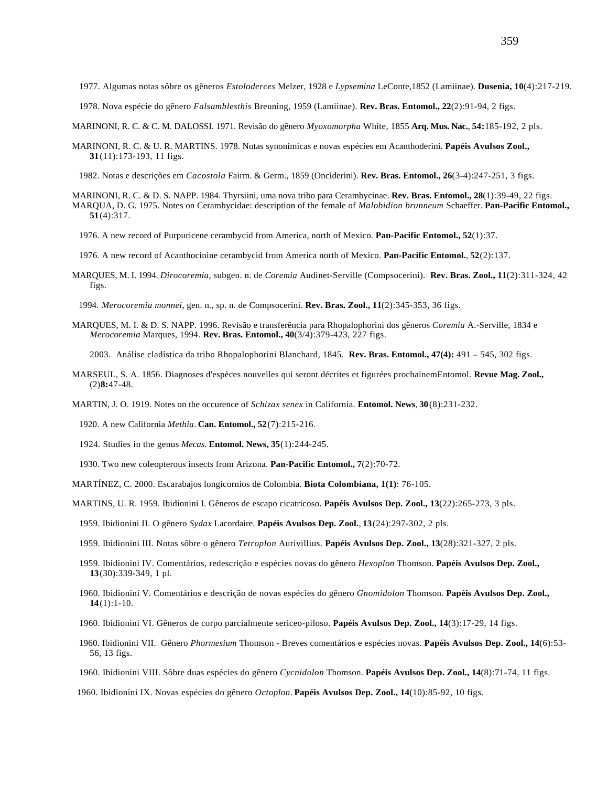1977. Algumas notas sôbre os gêneros *Estoloderces* Melzer, 1928 e *Lypsemina* LeConte,1852 (Lamiinae). **Dusenia, 10**(4):217-219.

1978. Nova espécie do gênero *Falsamblesthis* Breuning, 1959 (Lamiinae). **Rev. Bras. Entomol., 22**(2):91-94, 2 figs.

- MARINONI, R. C. & C. M. DALOSSI. 1971. Revisão do gênero *Myoxomorpha* White, 1855 **Arq. Mus. Nac.**, **54:**185-192, 2 pls.
- MARINONI, R. C. & U. R. MARTINS. 1978. Notas synonímicas e novas espécies em Acanthoderini. **Papéis Avulsos Zool., 31**(11):173-193, 11 figs.

1982. Notas e descrições em *Cacostola* Fairm. & Germ., 1859 (Onciderini). **Rev. Bras. Entomol., 26**(3-4):247-251, 3 figs.

- MARINONI, R. C. & D. S. NAPP. 1984. Thyrsiini, uma nova tribo para Cerambycinae. **Rev. Bras. Entomol., 28**(1):39-49, 22 figs. MARQUA, D. G. 1975. Notes on Cerambycidae: description of the female of *Malobidion brunneum* Schaeffer. **Pan-Pacific Entomol., 51**(4):317.
	- 1976. A new record of Purpuricene cerambycid from America, north of Mexico. **Pan-Pacific Entomol., 52**(1):37.
	- 1976. A new record of Acanthocinine cerambycid from America north of Mexico. **Pan-Pacific Entomol.**, **52**(2):137.
- MARQUES, M. I. 1994. *Dirocoremia*, subgen. n. de *Coremia* Audinet-Serville (Compsocerini). **Rev. Bras. Zool., 11**(2):311-324, 42 figs.

1994. *Merocoremia monnei*, gen. n., sp. n. de Compsocerini. **Rev. Bras. Zool., 11**(2):345-353, 36 figs.

MARQUES, M. I. & D. S. NAPP. 1996. Revisão e transferência para Rhopalophorini dos gêneros *Coremia* A.-Serville, 1834 e *Merocoremia* Marques, 1994. **Rev. Bras. Entomol., 40**(3/4):379-423, 227 figs.

2003. Análise cladística da tribo Rhopalophorini Blanchard, 1845. **Rev. Bras. Entomol., 47(4):** 491 – 545, 302 figs.

MARSEUL, S. A. 1856. Diagnoses d'espèces nouvelles qui seront décrites et figurées prochainemEntomol. **Revue Mag. Zool.,** (2)**8:**47-48.

MARTIN, J. O. 1919. Notes on the occurence of *Schizax senex* in California. **Entomol. News**, **30**(8):231-232.

1920. A new California *Methia*. **Can. Entomol., 52**(7):215-216.

1924. Studies in the genus *Mecas.* **Entomol. News, 35**(1):244-245.

1930. Two new coleopterous insects from Arizona. **Pan-Pacific Entomol., 7**(2):70-72.

MARTÍNEZ, C. 2000. Escarabajos longicornios de Colombia. **Biota Colombiana, 1(1)**: 76-105.

MARTINS, U. R. 1959. Ibidionini I. Gêneros de escapo cicatricoso. **Papéis Avulsos Dep. Zool., 13**(22):265-273, 3 pls.

- 1959. Ibidionini II. O gênero *Sydax* Lacordaire. **Papéis Avulsos Dep. Zool.**, **13**(24):297-302, 2 pls.
- 1959. Ibidionini III. Notas sôbre o gênero *Tetroplon* Aurivillius. **Papéis Avulsos Dep. Zool., 13**(28):321-327, 2 pls.
- 1959. Ibidionini IV. Comentários, redescrição e espécies novas do gênero *Hexoplon* Thomson. **Papéis Avulsos Dep. Zool., 13**(30):339-349, 1 pl.
- 1960. Ibidionini V. Comentários e descrição de novas espécies do gênero *Gnomidolon* Thomson. **Papéis Avulsos Dep. Zool., 14**(1):1-10.
- 1960. Ibidionini VI. Gêneros de corpo parcialmente sericeo-piloso. **Papéis Avulsos Dep. Zool., 14**(3):17-29, 14 figs.
- 1960. Ibidionini VII. Gênero *Phormesium* Thomson Breves comentários e espécies novas. **Papéis Avulsos Dep. Zool., 14**(6):53- 56, 13 figs.
- 1960. Ibidionini VIII. Sôbre duas espécies do gênero *Cycnidolon* Thomson. **Papéis Avulsos Dep. Zool., 14**(8):71-74, 11 figs.

1960. Ibidionini IX. Novas espécies do gênero *Octoplon*. **Papéis Avulsos Dep. Zool., 14**(10):85-92, 10 figs.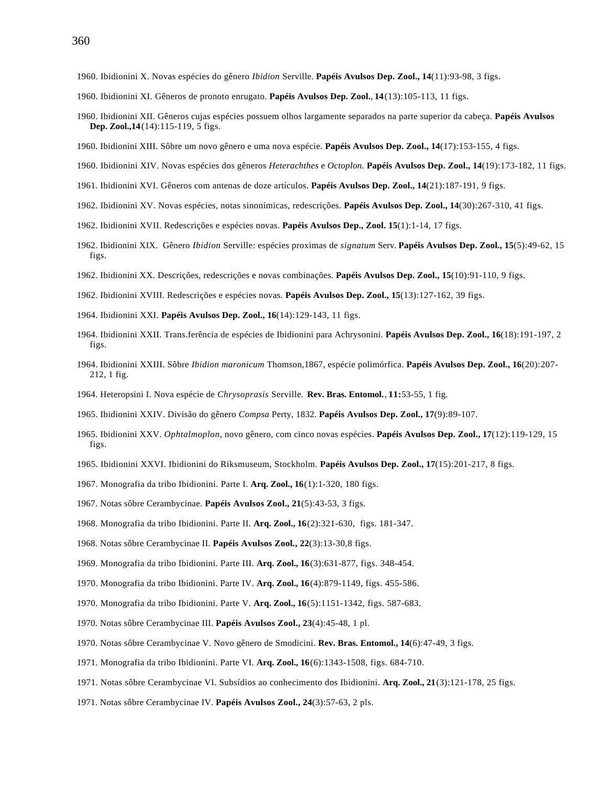- 1960. Ibidionini X. Novas espécies do gênero *Ibidion* Serville. **Papéis Avulsos Dep. Zool., 14**(11):93-98, 3 figs.
- 1960. Ibidionini XI. Gêneros de pronoto enrugato. **Papéis Avulsos Dep. Zool.**, **14**(13):105-113, 11 figs.
- 1960. Ibidionini XII. Gêneros cujas espécies possuem olhos largamente separados na parte superior da cabeça. **Papéis Avulsos Dep. Zool.,14**(14):115-119, 5 figs.
- 1960. Ibidionini XIII. Sôbre um novo gênero e uma nova espécie. **Papéis Avulsos Dep. Zool., 14**(17):153-155, 4 figs.
- 1960. Ibidionini XIV. Novas espécies dos gêneros *Heterachthes* e *Octoplon.* **Papéis Avulsos Dep. Zool., 14**(19):173-182, 11 figs.
- 1961. Ibidionini XVI. Gêneros com antenas de doze artículos. **Papéis Avulsos Dep. Zool., 14**(21):187-191, 9 figs.
- 1962. Ibidionini XV. Novas espécies, notas sinonímicas, redescrições. **Papéis Avulsos Dep. Zool., 14**(30):267-310, 41 figs.
- 1962. Ibidionini XVII. Redescrições e espécies novas. **Papéis Avulsos Dep., Zool. 15**(1):1-14, 17 figs.
- 1962. Ibidionini XIX. Gênero *Ibidion* Serville: espécies proximas de *signatum* Serv. **Papéis Avulsos Dep. Zool., 15**(5):49-62, 15 figs.
- 1962. Ibidionini XX. Descrições, redescrições e novas combinações. **Papéis Avulsos Dep. Zool., 15**(10):91-110, 9 figs.
- 1962. Ibidionini XVIII. Redescrições e espécies novas. **Papéis Avulsos Dep. Zool., 15**(13):127-162, 39 figs.
- 1964. Ibidionini XXI. **Papéis Avulsos Dep. Zool., 16**(14):129-143, 11 figs.
- 1964. Ibidionini XXII. Trans.ferência de espécies de Ibidionini para Achrysonini. **Papéis Avulsos Dep. Zool., 16**(18):191-197, 2 figs.
- 1964. Ibidionini XXIII. Sôbre *Ibidion maronicum* Thomson,1867, espécie polimórfica. **Papéis Avulsos Dep. Zool., 16**(20):207- 212, 1 fig.
- 1964. Heteropsini I. Nova espécie de *Chrysoprasis* Serville*.* **Rev. Bras. Entomol.**, **11:**53-55, 1 fig.
- 1965. Ibidionini XXIV. Divisão do gênero *Compsa* Perty, 1832. **Papéis Avulsos Dep. Zool., 17**(9):89-107.
- 1965. Ibidionini XXV. *Ophtalmoplon*, novo gênero, com cinco novas espécies. **Papéis Avulsos Dep. Zool., 17**(12):119-129, 15 figs.
- 1965. Ibidionini XXVI. Ibidionini do Riksmuseum, Stockholm. **Papéis Avulsos Dep. Zool., 17**(15):201-217, 8 figs.
- 1967. Monografia da tribo Ibidionini. Parte I. **Arq. Zool., 16**(1):1-320, 180 figs.
- 1967. Notas sôbre Cerambycinae. **Papéis Avulsos Zool., 21**(5):43-53, 3 figs.
- 1968. Monografia da tribo Ibidionini. Parte II. **Arq. Zool., 16**(2):321-630, figs. 181-347.
- 1968. Notas sôbre Cerambycinae II. **Papéis Avulsos Zool., 22**(3):13-30,8 figs.
- 1969. Monografia da tribo Ibidionini. Parte III. **Arq. Zool., 16**(3):631-877, figs. 348-454.
- 1970. Monografia da tribo Ibidionini. Parte IV. **Arq. Zool., 16**(4):879-1149, figs. 455-586.
- 1970. Monografia da tribo Ibidionini. Parte V. **Arq. Zool., 16**(5):1151-1342, figs. 587-683.
- 1970. Notas sôbre Cerambycinae III. **Papéis Avulsos Zool., 23**(4):45-48, 1 pl.
- 1970. Notas sôbre Cerambycinae V. Novo gênero de Smodicini. **Rev. Bras. Entomol., 14**(6):47-49, 3 figs.
- 1971. Monografia da tribo Ibidionini. Parte VI. **Arq. Zool., 16**(6):1343-1508, figs. 684-710.
- 1971. Notas sôbre Cerambycinae VI. Subsídios ao conhecimento dos Ibidionini. **Arq. Zool., 21**(3):121-178, 25 figs.
- 1971. Notas sôbre Cerambycinae IV. **Papéis Avulsos Zool., 24**(3):57-63, 2 pls.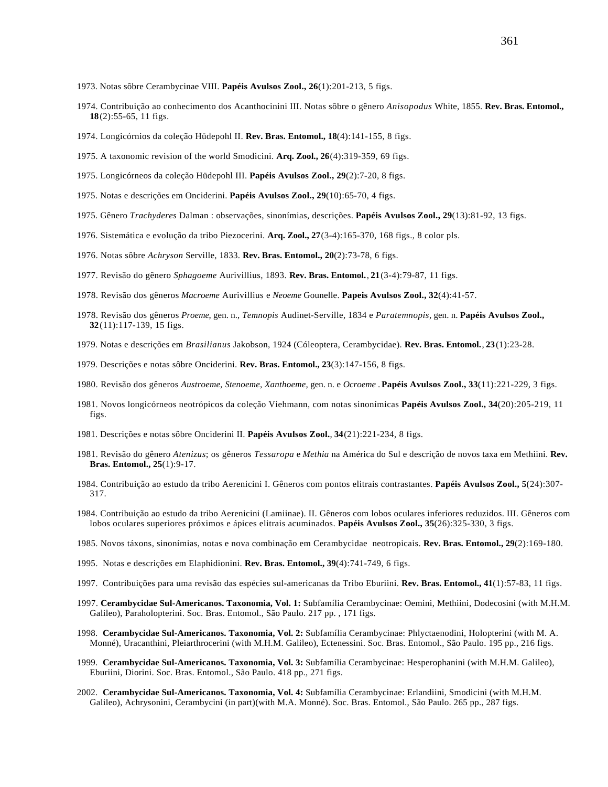- 1973. Notas sôbre Cerambycinae VIII. **Papéis Avulsos Zool., 26**(1):201-213, 5 figs.
- 1974. Contribuição ao conhecimento dos Acanthocinini III. Notas sôbre o gênero *Anisopodus* White, 1855. **Rev. Bras. Entomol., 18**(2):55-65, 11 figs.
- 1974. Longicórnios da coleção Hüdepohl II. **Rev. Bras. Entomol., 18**(4):141-155, 8 figs.
- 1975. A taxonomic revision of the world Smodicini. **Arq. Zool., 26**(4):319-359, 69 figs.
- 1975. Longicórneos da coleção Hüdepohl III. **Papéis Avulsos Zool., 29**(2):7-20, 8 figs.
- 1975. Notas e descrições em Onciderini. **Papéis Avulsos Zool., 29**(10):65-70, 4 figs.
- 1975. Gênero *Trachyderes* Dalman : observações, sinonímias, descrições. **Papéis Avulsos Zool., 29**(13):81-92, 13 figs.
- 1976. Sistemática e evolução da tribo Piezocerini. **Arq. Zool., 27**(3-4):165-370, 168 figs., 8 color pls.
- 1976. Notas sôbre *Achryson* Serville, 1833. **Rev. Bras. Entomol., 20**(2):73-78, 6 figs.
- 1977. Revisão do gênero *Sphagoeme* Aurivillius, 1893. **Rev. Bras. Entomol.**, **21**(3-4):79-87, 11 figs.
- 1978. Revisão dos gêneros *Macroeme* Aurivillius e *Neoeme* Gounelle. **Papeis Avulsos Zool., 32**(4):41-57.
- 1978. Revisão dos gêneros *Proeme*, gen. n., *Temnopis* Audinet-Serville, 1834 e *Paratemnopis*, gen. n. **Papéis Avulsos Zool., 32**(11):117-139, 15 figs.
- 1979. Notas e descrições em *Brasilianus* Jakobson, 1924 (Cóleoptera, Cerambycidae). **Rev. Bras. Entomol.**, **23**(1):23-28.
- 1979. Descrições e notas sôbre Onciderini. **Rev. Bras. Entomol., 23**(3):147-156, 8 figs.
- 1980. Revisão dos gêneros *Austroeme, Stenoeme, Xanthoeme,* gen. n. e *Ocroeme* . **Papéis Avulsos Zool., 33**(11):221-229, 3 figs.
- 1981. Novos longicórneos neotrópicos da coleção Viehmann, com notas sinonímicas **Papéis Avulsos Zool., 34**(20):205-219, 11 figs.
- 1981. Descrições e notas sôbre Onciderini II. **Papéis Avulsos Zool.**, **34**(21):221-234, 8 figs.
- 1981. Revisão do gênero *Atenizus*; os gêneros *Tessaropa* e *Methia* na América do Sul e descrição de novos taxa em Methiini. **Rev. Bras. Entomol., 25**(1):9-17.
- 1984. Contribuição ao estudo da tribo Aerenicini I. Gêneros com pontos elitrais contrastantes. **Papéis Avulsos Zool., 5**(24):307- 317.
- 1984. Contribuição ao estudo da tribo Aerenicini (Lamiinae). II. Gêneros com lobos oculares inferiores reduzidos. III. Gêneros com lobos oculares superiores próximos e ápices elitrais acuminados. **Papéis Avulsos Zool., 35**(26):325-330, 3 figs.
- 1985. Novos táxons, sinonímias, notas e nova combinação em Cerambycidae neotropicais. **Rev. Bras. Entomol., 29**(2):169-180.
- 1995. Notas e descrições em Elaphidionini. **Rev. Bras. Entomol., 39**(4):741-749, 6 figs.
- 1997. Contribuições para uma revisão das espécies sul-americanas da Tribo Eburiini. **Rev. Bras. Entomol., 41**(1):57-83, 11 figs.
- 1997. **Cerambycidae Sul-Americanos. Taxonomia, Vol. 1:** Subfamília Cerambycinae: Oemini, Methiini, Dodecosini (with M.H.M. Galileo), Paraholopterini. Soc. Bras. Entomol., São Paulo. 217 pp. , 171 figs.
- 1998. **Cerambycidae Sul-Americanos. Taxonomia, Vol. 2:** Subfamília Cerambycinae: Phlyctaenodini, Holopterini (with M. A. Monné), Uracanthini, Pleiarthrocerini (with M.H.M. Galileo), Ectenessini. Soc. Bras. Entomol., São Paulo. 195 pp., 216 figs.
- 1999. **Cerambycidae Sul-Americanos. Taxonomia, Vol. 3:** Subfamília Cerambycinae: Hesperophanini (with M.H.M. Galileo), Eburiini, Diorini. Soc. Bras. Entomol., São Paulo. 418 pp., 271 figs.
- 2002. **Cerambycidae Sul-Americanos. Taxonomia, Vol. 4:** Subfamília Cerambycinae: Erlandiini, Smodicini (with M.H.M. Galileo), Achrysonini, Cerambycini (in part)(with M.A. Monné). Soc. Bras. Entomol., São Paulo. 265 pp., 287 figs.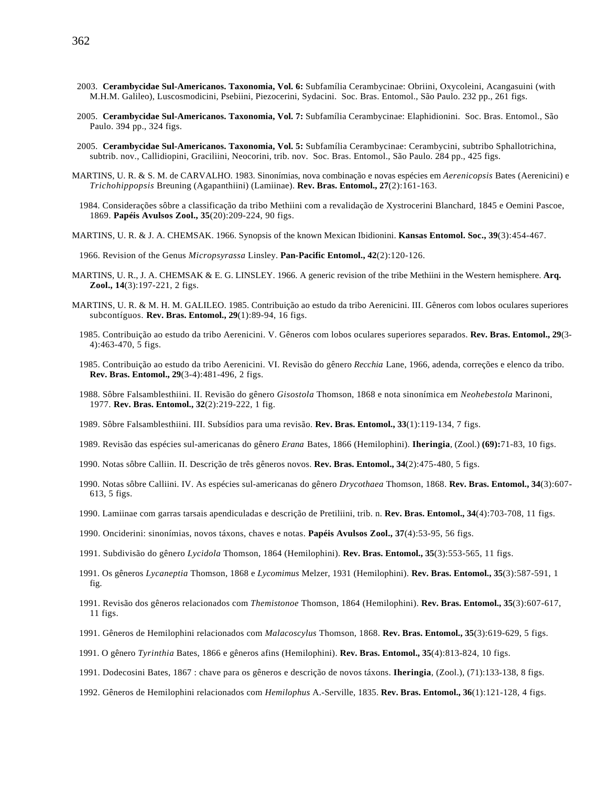- 2003. **Cerambycidae Sul-Americanos. Taxonomia, Vol. 6:** Subfamília Cerambycinae: Obriini, Oxycoleini, Acangasuini (with M.H.M. Galileo), Luscosmodicini, Psebiini, Piezocerini, Sydacini. Soc. Bras. Entomol., São Paulo. 232 pp., 261 figs.
- 2005. **Cerambycidae Sul-Americanos. Taxonomia, Vol. 7:** Subfamília Cerambycinae: Elaphidionini. Soc. Bras. Entomol., São Paulo. 394 pp., 324 figs.
- 2005. **Cerambycidae Sul-Americanos. Taxonomia, Vol. 5:** Subfamília Cerambycinae: Cerambycini, subtribo Sphallotrichina, subtrib. nov., Callidiopini, Graciliini, Neocorini, trib. nov. Soc. Bras. Entomol., São Paulo. 284 pp., 425 figs.
- MARTINS, U. R. & S. M. de CARVALHO. 1983. Sinonímias, nova combinação e novas espécies em *Aerenicopsis* Bates (Aerenicini) e *Trichohippopsis* Breuning (Agapanthiini) (Lamiinae). **Rev. Bras. Entomol., 27**(2):161-163.
	- 1984. Considerações sôbre a classificação da tribo Methiini com a revalidação de Xystrocerini Blanchard, 1845 e Oemini Pascoe, 1869. **Papéis Avulsos Zool., 35**(20):209-224, 90 figs.
- MARTINS, U. R. & J. A. CHEMSAK. 1966. Synopsis of the known Mexican Ibidionini. **Kansas Entomol. Soc., 39**(3):454-467.
	- 1966. Revision of the Genus *Micropsyrassa* Linsley. **Pan-Pacific Entomol., 42**(2):120-126.
- MARTINS, U. R., J. A. CHEMSAK & E. G. LINSLEY. 1966. A generic revision of the tribe Methiini in the Western hemisphere. **Arq. Zool., 14**(3):197-221, 2 figs.
- MARTINS, U. R. & M. H. M. GALILEO. 1985. Contribuição ao estudo da tribo Aerenicini. III. Gêneros com lobos oculares superiores subcontíguos. **Rev. Bras. Entomol., 29**(1):89-94, 16 figs.
	- 1985. Contribuição ao estudo da tribo Aerenicini. V. Gêneros com lobos oculares superiores separados. **Rev. Bras. Entomol., 29**(3- 4):463-470, 5 figs.
	- 1985. Contribuição ao estudo da tribo Aerenicini. VI. Revisão do gênero *Recchia* Lane, 1966, adenda, correções e elenco da tribo. **Rev. Bras. Entomol., 29**(3-4):481-496, 2 figs.
	- 1988. Sôbre Falsamblesthiini. II. Revisão do gênero *Gisostola* Thomson, 1868 e nota sinonímica em *Neohebestola* Marinoni, 1977. **Rev. Bras. Entomol., 32**(2):219-222, 1 fig.
	- 1989. Sôbre Falsamblesthiini. III. Subsídios para uma revisão. **Rev. Bras. Entomol., 33**(1):119-134, 7 figs.
	- 1989. Revisão das espécies sul-americanas do gênero *Erana* Bates, 1866 (Hemilophini). **Iheringia**, (Zool.) **(69):**71-83, 10 figs.
	- 1990. Notas sôbre Calliin. II. Descrição de três gêneros novos. **Rev. Bras. Entomol., 34**(2):475-480, 5 figs.
	- 1990. Notas sôbre Calliini. IV. As espécies sul-americanas do gênero *Drycothaea* Thomson, 1868. **Rev. Bras. Entomol., 34**(3):607- 613, 5 figs.
	- 1990. Lamiinae com garras tarsais apendiculadas e descrição de Pretiliini, trib. n. **Rev. Bras. Entomol., 34**(4):703-708, 11 figs.
	- 1990. Onciderini: sinonímias, novos táxons, chaves e notas. **Papéis Avulsos Zool., 37**(4):53-95, 56 figs.
	- 1991. Subdivisão do gênero *Lycidola* Thomson, 1864 (Hemilophini). **Rev. Bras. Entomol., 35**(3):553-565, 11 figs.
	- 1991. Os gêneros *Lycaneptia* Thomson, 1868 e *Lycomimus* Melzer, 1931 (Hemilophini). **Rev. Bras. Entomol., 35**(3):587-591, 1 fig.
	- 1991. Revisão dos gêneros relacionados com *Themistonoe* Thomson, 1864 (Hemilophini). **Rev. Bras. Entomol., 35**(3):607-617, 11 figs.
	- 1991. Gêneros de Hemilophini relacionados com *Malacoscylus* Thomson, 1868. **Rev. Bras. Entomol., 35**(3):619-629, 5 figs.
	- 1991. O gênero *Tyrinthia* Bates, 1866 e gêneros afins (Hemilophini). **Rev. Bras. Entomol., 35**(4):813-824, 10 figs.
	- 1991. Dodecosini Bates, 1867 : chave para os gêneros e descrição de novos táxons. **Iheringia**, (Zool.), (71):133-138, 8 figs.
	- 1992. Gêneros de Hemilophini relacionados com *Hemilophus* A.-Serville, 1835. **Rev. Bras. Entomol., 36**(1):121-128, 4 figs.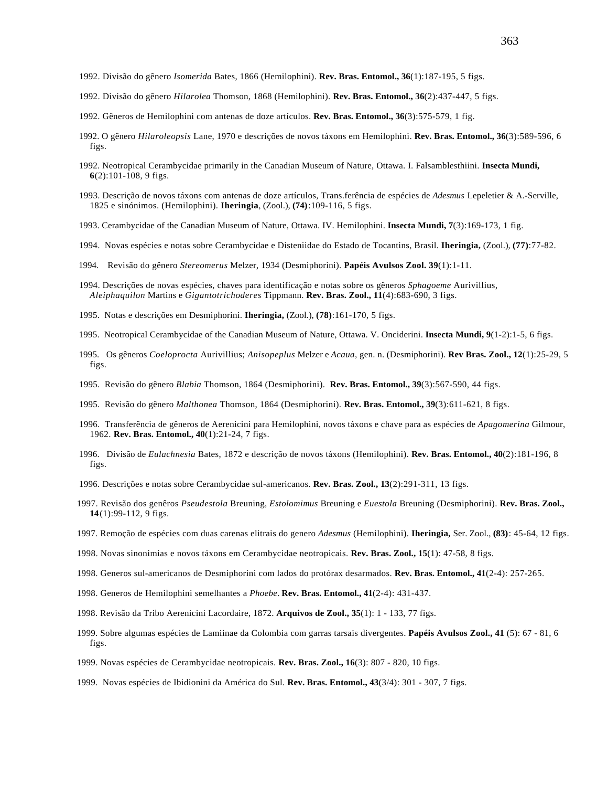- 1992. Divisão do gênero *Isomerida* Bates, 1866 (Hemilophini). **Rev. Bras. Entomol., 36**(1):187-195, 5 figs.
- 1992. Divisão do gênero *Hilarolea* Thomson, 1868 (Hemilophini). **Rev. Bras. Entomol., 36**(2):437-447, 5 figs.
- 1992. Gêneros de Hemilophini com antenas de doze artículos. **Rev. Bras. Entomol., 36**(3):575-579, 1 fig.
- 1992. O gênero *Hilaroleopsis* Lane, 1970 e descrições de novos táxons em Hemilophini. **Rev. Bras. Entomol., 36**(3):589-596, 6 figs.
- 1992. Neotropical Cerambycidae primarily in the Canadian Museum of Nature, Ottawa. I. Falsamblesthiini. **Insecta Mundi, 6**(2):101-108, 9 figs.
- 1993. Descrição de novos táxons com antenas de doze artículos, Trans.ferência de espécies de *Adesmus* Lepeletier & A.-Serville, 1825 e sinónimos. (Hemilophini). **Iheringia**, (Zool.), **(74)**:109-116, 5 figs.
- 1993. Cerambycidae of the Canadian Museum of Nature, Ottawa. IV. Hemilophini. **Insecta Mundi, 7**(3):169-173, 1 fig.
- 1994. Novas espécies e notas sobre Cerambycidae e Disteniidae do Estado de Tocantins, Brasil. **Iheringia,** (Zool.), **(77)**:77-82.
- 1994. Revisão do gênero *Stereomerus* Melzer, 1934 (Desmiphorini). **Papéis Avulsos Zool. 39**(1):1-11.
- 1994. Descrições de novas espécies, chaves para identificação e notas sobre os gêneros *Sphagoeme* Aurivillius, *Aleiphaquilon* Martins e *Gigantotrichoderes* Tippmann. **Rev. Bras. Zool., 11**(4):683-690, 3 figs.
- 1995. Notas e descrições em Desmiphorini. **Iheringia,** (Zool.), **(78)**:161-170, 5 figs.
- 1995. Neotropical Cerambycidae of the Canadian Museum of Nature, Ottawa. V. Onciderini. **Insecta Mundi, 9**(1-2):1-5, 6 figs.
- 1995. Os gêneros *Coeloprocta* Aurivillius; *Anisopeplus* Melzer e *Acaua*, gen. n. (Desmiphorini). **Rev Bras. Zool., 12**(1):25-29, 5 figs.
- 1995. Revisão do gênero *Blabia* Thomson, 1864 (Desmiphorini). **Rev. Bras. Entomol., 39**(3):567-590, 44 figs.
- 1995. Revisão do gênero *Malthonea* Thomson, 1864 (Desmiphorini). **Rev. Bras. Entomol., 39**(3):611-621, 8 figs.
- 1996. Transferência de gêneros de Aerenicini para Hemilophini, novos táxons e chave para as espécies de *Apagomerina* Gilmour, 1962. **Rev. Bras. Entomol., 40**(1):21-24, 7 figs.
- 1996. Divisão de *Eulachnesia* Bates, 1872 e descrição de novos táxons (Hemilophini). **Rev. Bras. Entomol., 40**(2):181-196, 8 figs.
- 1996. Descrições e notas sobre Cerambycidae sul-americanos. **Rev. Bras. Zool., 13**(2):291-311, 13 figs.
- 1997. Revisão dos genêros *Pseudestola* Breuning, *Estolomimus* Breuning e *Euestola* Breuning (Desmiphorini). **Rev. Bras. Zool., 14**(1):99-112, 9 figs.
- 1997. Remoção de espécies com duas carenas elitrais do genero *Adesmus* (Hemilophini). **Iheringia,** Ser. Zool., **(83)**: 45-64, 12 figs.
- 1998. Novas sinonimias e novos táxons em Cerambycidae neotropicais. **Rev. Bras. Zool., 15**(1): 47-58, 8 figs.
- 1998. Generos sul-americanos de Desmiphorini com lados do protórax desarmados. **Rev. Bras. Entomol., 41**(2-4): 257-265.
- 1998. Generos de Hemilophini semelhantes a *Phoebe*. **Rev. Bras. Entomol., 41**(2-4): 431-437.
- 1998. Revisão da Tribo Aerenicini Lacordaire, 1872. **Arquivos de Zool., 35**(1): 1 133, 77 figs.
- 1999. Sobre algumas espécies de Lamiinae da Colombia com garras tarsais divergentes. **Papéis Avulsos Zool., 41** (5): 67 81, 6 figs.
- 1999. Novas espécies de Cerambycidae neotropicais. **Rev. Bras. Zool., 16**(3): 807 820, 10 figs.
- 1999. Novas espécies de Ibidionini da América do Sul. **Rev. Bras. Entomol., 43**(3/4): 301 307, 7 figs.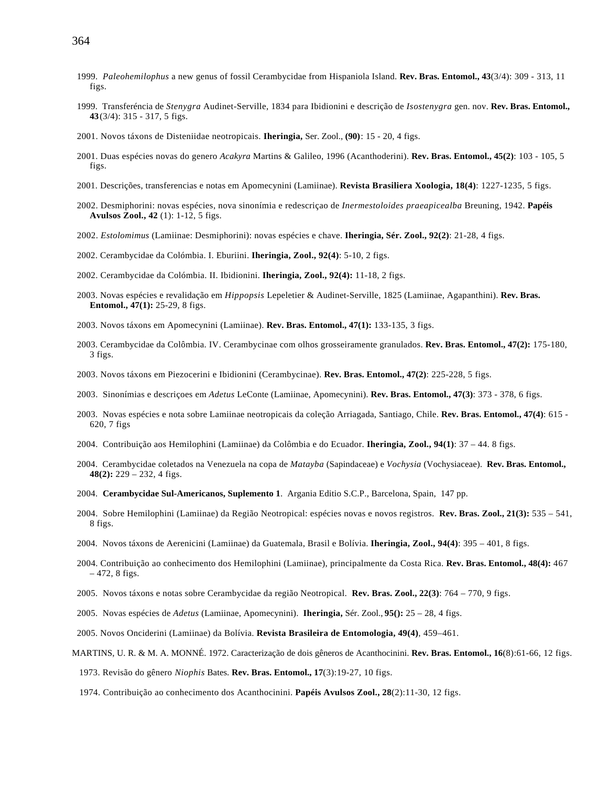- 1999. *Paleohemilophus* a new genus of fossil Cerambycidae from Hispaniola Island. **Rev. Bras. Entomol., 43**(3/4): 309 313, 11 figs.
- 1999. Transferéncia de *Stenygra* Audinet-Serville, 1834 para Ibidionini e descrição de *Isostenygra* gen. nov. **Rev. Bras. Entomol., 43**(3/4): 315 - 317, 5 figs.
- 2001. Novos táxons de Disteniidae neotropicais. **Iheringia,** Ser. Zool., **(90)**: 15 20, 4 figs.
- 2001. Duas espécies novas do genero *Acakyra* Martins & Galileo, 1996 (Acanthoderini). **Rev. Bras. Entomol., 45(2)**: 103 105, 5 figs.
- 2001. Descrições, transferencias e notas em Apomecynini (Lamiinae). **Revista Brasiliera Xoologia, 18(4)**: 1227-1235, 5 figs.
- 2002. Desmiphorini: novas espécies, nova sinonímia e redescriçao de *Inermestoloides praeapicealba* Breuning, 1942. **Papéis Avulsos Zool., 42** (1): 1-12, 5 figs.
- 2002. *Estolomimus* (Lamiinae: Desmiphorini): novas espécies e chave. **Iheringia, Sér. Zool., 92(2)**: 21-28, 4 figs.
- 2002. Cerambycidae da Colómbia. I. Eburiini. **Iheringia, Zool., 92(4)**: 5-10, 2 figs.
- 2002. Cerambycidae da Colómbia. II. Ibidionini. **Iheringia, Zool., 92(4):** 11-18, 2 figs.
- 2003. Novas espécies e revalidação em *Hippopsis* Lepeletier & Audinet-Serville, 1825 (Lamiinae, Agapanthini). **Rev. Bras. Entomol., 47(1):** 25-29, 8 figs.
- 2003. Novos táxons em Apomecynini (Lamiinae). **Rev. Bras. Entomol., 47(1):** 133-135, 3 figs.
- 2003. Cerambycidae da Colômbia. IV. Cerambycinae com olhos grosseiramente granulados. **Rev. Bras. Entomol., 47(2):** 175-180, 3 figs.
- 2003. Novos táxons em Piezocerini e Ibidionini (Cerambycinae). **Rev. Bras. Entomol., 47(2)**: 225-228, 5 figs.
- 2003. Sinonímias e descriçoes em *Adetus* LeConte (Lamiinae, Apomecynini). **Rev. Bras. Entomol., 47(3)**: 373 378, 6 figs.
- 2003. Novas espécies e nota sobre Lamiinae neotropicais da coleção Arriagada, Santiago, Chile. **Rev. Bras. Entomol., 47(4)**: 615 620, 7 figs
- 2004. Contribuição aos Hemilophini (Lamiinae) da Colômbia e do Ecuador. **Iheringia, Zool., 94(1)**: 37 44. 8 figs.
- 2004. Cerambycidae coletados na Venezuela na copa de *Matayba* (Sapindaceae) e *Vochysia* (Vochysiaceae). **Rev. Bras. Entomol., 48(2):** 229 – 232, 4 figs.
- 2004. **Cerambycidae Sul-Americanos, Suplemento 1**. Argania Editio S.C.P., Barcelona, Spain, 147 pp.
- 2004. Sobre Hemilophini (Lamiinae) da Região Neotropical: espécies novas e novos registros. **Rev. Bras. Zool., 21(3):** 535 541, 8 figs.
- 2004. Novos táxons de Aerenicini (Lamiinae) da Guatemala, Brasil e Bolívia. **Iheringia, Zool., 94(4)**: 395 401, 8 figs.
- 2004. Contribuição ao conhecimento dos Hemilophini (Lamiinae), principalmente da Costa Rica. **Rev. Bras. Entomol., 48(4):** 467 – 472, 8 figs.
- 2005. Novos táxons e notas sobre Cerambycidae da região Neotropical. **Rev. Bras. Zool., 22(3)**: 764 770, 9 figs.
- 2005. Novas espécies de *Adetus* (Lamiinae, Apomecynini). **Iheringia,** Sér. Zool., **95():** 25 28, 4 figs.
- 2005. Novos Onciderini (Lamiinae) da Bolívia. **Revista Brasileira de Entomologia, 49(4)**, 459–461.
- MARTINS, U. R. & M. A. MONNÉ. 1972. Caracterização de dois gêneros de Acanthocinini. **Rev. Bras. Entomol., 16**(8):61-66, 12 figs.
	- 1973. Revisão do gênero *Niophis* Bates. **Rev. Bras. Entomol., 17**(3):19-27, 10 figs.
	- 1974. Contribuição ao conhecimento dos Acanthocinini. **Papéis Avulsos Zool., 28**(2):11-30, 12 figs.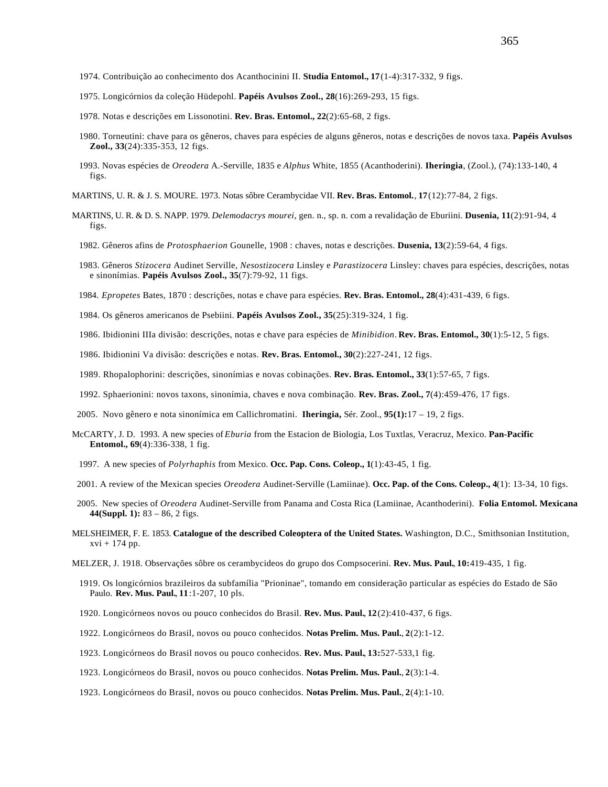- 1974. Contribuição ao conhecimento dos Acanthocinini II. **Studia Entomol., 17**(1-4):317-332, 9 figs.
- 1975. Longicórnios da coleção Hüdepohl. **Papéis Avulsos Zool., 28**(16):269-293, 15 figs.
- 1978. Notas e descrições em Lissonotini. **Rev. Bras. Entomol., 22**(2):65-68, 2 figs.
- 1980. Torneutini: chave para os gêneros, chaves para espécies de alguns gêneros, notas e descrições de novos taxa. **Papéis Avulsos Zool., 33**(24):335-353, 12 figs.
- 1993. Novas espécies de *Oreodera* A.-Serville, 1835 e *Alphus* White, 1855 (Acanthoderini). **Iheringia**, (Zool.), (74):133-140, 4 figs.

MARTINS, U. R. & J. S. MOURE. 1973. Notas sôbre Cerambycidae VII. **Rev. Bras. Entomol.**, **17**(12):77-84, 2 figs.

- MARTINS, U. R. & D. S. NAPP. 1979. *Delemodacrys mourei*, gen. n., sp. n. com a revalidação de Eburiini. **Dusenia, 11**(2):91-94, 4 figs.
	- 1982. Gêneros afins de *Protosphaerion* Gounelle, 1908 : chaves, notas e descrições. **Dusenia, 13**(2):59-64, 4 figs.
	- 1983. Gêneros *Stizocera* Audinet Serville, *Nesostizocera* Linsley e *Parastizocera* Linsley: chaves para espécies, descrições, notas e sinonímias. **Papéis Avulsos Zool., 35**(7):79-92, 11 figs.
	- 1984. *Epropetes* Bates, 1870 : descrições, notas e chave para espécies. **Rev. Bras. Entomol., 28**(4):431-439, 6 figs.
	- 1984. Os gêneros americanos de Psebiini. **Papéis Avulsos Zool., 35**(25):319-324, 1 fig.

1986. Ibidionini IIIa divisão: descrições, notas e chave para espécies de *Minibidion*. **Rev. Bras. Entomol., 30**(1):5-12, 5 figs.

- 1986. Ibidionini Va divisão: descrições e notas. **Rev. Bras. Entomol., 30**(2):227-241, 12 figs.
- 1989. Rhopalophorini: descrições, sinonímias e novas cobinações. **Rev. Bras. Entomol., 33**(1):57-65, 7 figs.
- 1992. Sphaerionini: novos taxons, sinonímia, chaves e nova combinação. **Rev. Bras. Zool., 7**(4):459-476, 17 figs.
- 2005. Novo gênero e nota sinonímica em Callichromatini. **Iheringia,** Sér. Zool., **95(1):**17 19, 2 figs.
- McCARTY, J. D. 1993. A new species of *Eburia* from the Estacion de Biologia, Los Tuxtlas, Veracruz, Mexico. **Pan-Pacific Entomol., 69**(4):336-338, 1 fig.
	- 1997. A new species of *Polyrhaphis* from Mexico. **Occ. Pap. Cons. Coleop., 1**(1):43-45, 1 fig.
- 2001. A review of the Mexican species *Oreodera* Audinet-Serville (Lamiinae). **Occ. Pap. of the Cons. Coleop., 4**(1): 13-34, 10 figs.
- 2005. New species of *Oreodera* Audinet-Serville from Panama and Costa Rica (Lamiinae, Acanthoderini). **Folia Entomol. Mexicana, 44(Suppl. 1):** 83 – 86, 2 figs.
- MELSHEIMER, F. E. 1853. **Catalogue of the described Coleoptera of the United States.** Washington, D.C., Smithsonian Institution, xvi + 174 pp.
- MELZER, J. 1918. Observações sôbre os cerambycideos do grupo dos Compsocerini. **Rev. Mus. Paul.**, **10:**419-435, 1 fig.
	- 1919. Os longicórnios brazileiros da subfamília "Prioninae", tomando em consideração particular as espécies do Estado de São Paulo. **Rev. Mus. Paul.**, **11**:1-207, 10 pls.
	- 1920. Longicórneos novos ou pouco conhecidos do Brasil. **Rev. Mus. Paul.**, **12**(2):410-437, 6 figs.
	- 1922. Longicórneos do Brasil, novos ou pouco conhecidos. **Notas Prelim. Mus. Paul.**, **2**(2):1-12.
	- 1923. Longicórneos do Brasil novos ou pouco conhecidos. **Rev. Mus. Paul.**, **13:**527-533,1 fig.
	- 1923. Longicórneos do Brasil, novos ou pouco conhecidos. **Notas Prelim. Mus. Paul.**, **2**(3):1-4.
	- 1923. Longicórneos do Brasil, novos ou pouco conhecidos. **Notas Prelim. Mus. Paul.**, **2**(4):1-10.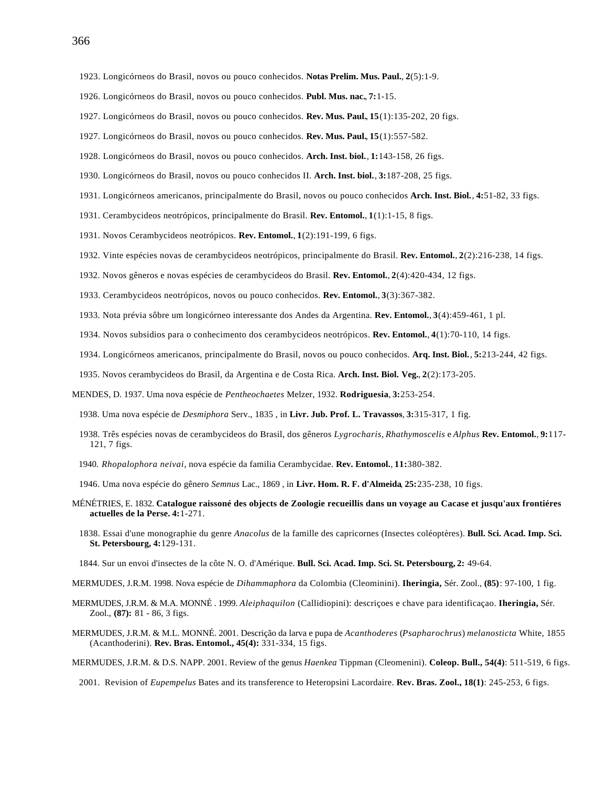- 1926. Longicórneos do Brasil, novos ou pouco conhecidos. **Publ. Mus. nac.**, **7:**1-15.
- 1927. Longicórneos do Brasil, novos ou pouco conhecidos. **Rev. Mus. Paul.**, **15**(1):135-202, 20 figs.
- 1927. Longicórneos do Brasil, novos ou pouco conhecidos. **Rev. Mus. Paul.**, **15**(1):557-582.
- 1928. Longicórneos do Brasil, novos ou pouco conhecidos. **Arch. Inst. biol.**, **1:**143-158, 26 figs.
- 1930. Longicórneos do Brasil, novos ou pouco conhecidos II. **Arch. Inst. biol.**, **3:**187-208, 25 figs.
- 1931. Longicórneos americanos, principalmente do Brasil, novos ou pouco conhecidos **Arch. Inst. Biol.**, **4:**51-82, 33 figs.
- 1931. Cerambycideos neotrópicos, principalmente do Brasil. **Rev. Entomol.**, **1**(1):1-15, 8 figs.
- 1931. Novos Cerambycideos neotrópicos. **Rev. Entomol.**, **1**(2):191-199, 6 figs.
- 1932. Vinte espécies novas de cerambycideos neotrópicos, principalmente do Brasil. **Rev. Entomol.**, **2**(2):216-238, 14 figs.
- 1932. Novos gêneros e novas espécies de cerambycideos do Brasil. **Rev. Entomol.**, **2**(4):420-434, 12 figs.
- 1933. Cerambycideos neotrópicos, novos ou pouco conhecidos. **Rev. Entomol.**, **3**(3):367-382.
- 1933. Nota prévia sôbre um longicórneo interessante dos Andes da Argentina. **Rev. Entomol.**, **3**(4):459-461, 1 pl.
- 1934. Novos subsidios para o conhecimento dos cerambycideos neotrópicos. **Rev. Entomol.**, **4**(1):70-110, 14 figs.
- 1934. Longicórneos americanos, principalmente do Brasil, novos ou pouco conhecidos. **Arq. Inst. Biol.**, **5:**213-244, 42 figs.
- 1935. Novos cerambycideos do Brasil, da Argentina e de Costa Rica. **Arch. Inst. Biol. Veg.**, **2**(2):173-205.
- MENDES, D. 1937. Uma nova espécie de *Pentheochaetes* Melzer, 1932. **Rodriguesia**, **3:**253-254.
	- 1938. Uma nova espécie de *Desmiphora* Serv., 1835 , in **Livr. Jub. Prof. L. Travassos**, **3:**315-317, 1 fig.
	- 1938. Três espécies novas de cerambycideos do Brasil, dos gêneros *Lygrocharis*, *Rhathymoscelis* e *Alphus* **Rev. Entomol.**, **9:**117- 121, 7 figs.
	- 1940. *Rhopalophora neivai*, nova espécie da familia Cerambycidae. **Rev. Entomol.**, **11:**380-382.
	- 1946. Uma nova espécie do gênero *Semnus* Lac., 1869 , in **Livr. Hom. R. F. d'Almeida**, **25:**235-238, 10 figs.
- MÉNÉTRIES, E. 1832. **Catalogue raissoné des objects de Zoologie recueillis dans un voyage au Cacase et jusqu'aux frontiéres actuelles de la Perse. 4:**1-271.
	- 1838. Essai d'une monographie du genre *Anacolus* de la famille des capricornes (Insectes coléoptères). **Bull. Sci. Acad. Imp. Sci. St. Petersbourg, 4:**129-131.
	- 1844. Sur un envoi d'insectes de la côte N. O. d'Amérique. **Bull. Sci. Acad. Imp. Sci. St. Petersbourg, 2:** 49-64.
- MERMUDES, J.R.M. 1998. Nova espécie de *Dihammaphora* da Colombia (Cleominini). **Iheringia,** Sér. Zool., **(85)**: 97-100, 1 fig.
- MERMUDES, J.R.M. & M.A. MONNÉ . 1999. *Aleiphaquilon* (Callidiopini): descriçoes e chave para identificaçao. **Iheringia,** Sér. Zool., **(87):** 81 - 86, 3 figs.
- MERMUDES, J.R.M. & M.L. MONNÉ. 2001. Descrição da larva e pupa de *Acanthoderes* (*Psapharochrus*) *melanosticta* White, 1855 (Acanthoderini). **Rev. Bras. Entomol., 45(4):** 331-334, 15 figs.
- MERMUDES, J.R.M. & D.S. NAPP. 2001. Review of the genus *Haenkea* Tippman (Cleomenini). **Coleop. Bull., 54(4)**: 511-519, 6 figs.
	- 2001. Revision of *Eupempelus* Bates and its transference to Heteropsini Lacordaire. **Rev. Bras. Zool., 18(1)**: 245-253, 6 figs.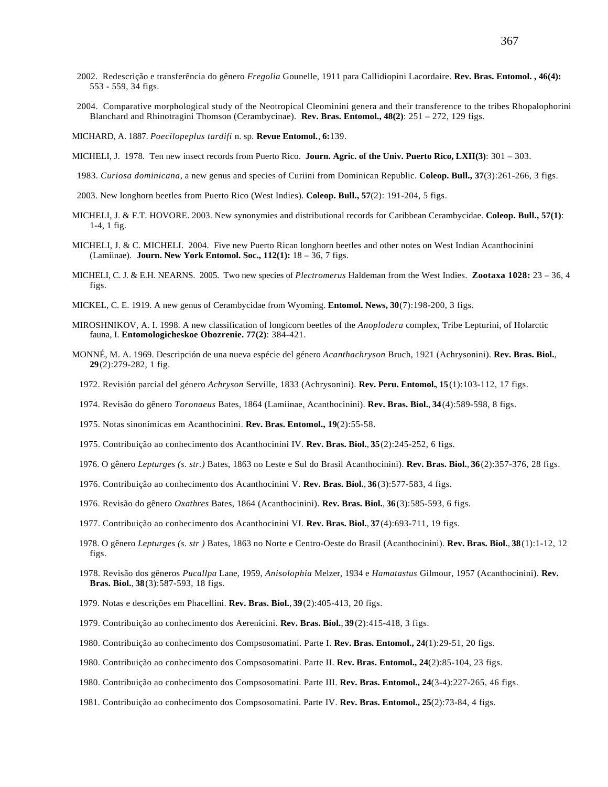- 2002. Redescrição e transferência do gênero *Fregolia* Gounelle, 1911 para Callidiopini Lacordaire. **Rev. Bras. Entomol. , 46(4):** 553 - 559, 34 figs.
- 2004. Comparative morphological study of the Neotropical Cleominini genera and their transference to the tribes Rhopalophorini Blanchard and Rhinotragini Thomson (Cerambycinae). **Rev. Bras. Entomol., 48(2)**: 251 – 272, 129 figs.
- MICHARD, A. 1887. *Poecilopeplus tardifi* n. sp. **Revue Entomol.**, **6:**139.
- MICHELI, J. 1978. Ten new insect records from Puerto Rico. **Journ. Agric. of the Univ. Puerto Rico, LXII(3)**: 301 303.
- 1983. *Curiosa dominicana*, a new genus and species of Curiini from Dominican Republic. **Coleop. Bull., 37**(3):261-266, 3 figs.
- 2003. New longhorn beetles from Puerto Rico (West Indies). **Coleop. Bull., 57**(2): 191-204, 5 figs.
- MICHELI, J. & F.T. HOVORE. 2003. New synonymies and distributional records for Caribbean Cerambycidae. **Coleop. Bull., 57(1)**: 1-4, 1 fig.
- MICHELI, J. & C. MICHELI. 2004. Five new Puerto Rican longhorn beetles and other notes on West Indian Acanthocinini (Lamiinae). **Journ. New York Entomol. Soc., 112(1):** 18 – 36, 7 figs.
- MICHELI, C. J. & E.H. NEARNS. 2005. Two new species of *Plectromerus* Haldeman from the West Indies. **Zootaxa 1028:** 23 36, 4 figs.
- MICKEL, C. E. 1919. A new genus of Cerambycidae from Wyoming. **Entomol. News, 30**(7):198-200, 3 figs.
- MIROSHNIKOV, A. I. 1998. A new classification of longicorn beetles of the *Anoplodera* complex, Tribe Lepturini, of Holarctic fauna, I. **Entomologicheskoe Obozrenie. 77(2)**: 384-421.
- MONNÉ, M. A. 1969. Descripción de una nueva espécie del género *Acanthachryson* Bruch, 1921 (Achrysonini). **Rev. Bras. Biol.**, **29**(2):279-282, 1 fig.
	- 1972. Revisión parcial del género *Achryson* Serville, 1833 (Achrysonini). **Rev. Peru. Entomol.**, **15**(1):103-112, 17 figs.
	- 1974. Revisão do gênero *Toronaeus* Bates, 1864 (Lamiinae, Acanthocinini). **Rev. Bras. Biol.**, **34**(4):589-598, 8 figs.
	- 1975. Notas sinonímicas em Acanthocinini. **Rev. Bras. Entomol., 19**(2):55-58.
	- 1975. Contribuição ao conhecimento dos Acanthocinini IV. **Rev. Bras. Biol.**, **35**(2):245-252, 6 figs.
	- 1976. O gênero *Lepturges (s. str.)* Bates, 1863 no Leste e Sul do Brasil Acanthocinini). **Rev. Bras. Biol.**, **36**(2):357-376, 28 figs.
	- 1976. Contribuição ao conhecimento dos Acanthocinini V. **Rev. Bras. Biol.**, **36**(3):577-583, 4 figs.
	- 1976. Revisão do gênero *Oxathres* Bates, 1864 (Acanthocinini). **Rev. Bras. Biol.**, **36**(3):585-593, 6 figs.
	- 1977. Contribuição ao conhecimento dos Acanthocinini VI. **Rev. Bras. Biol.**, **37**(4):693-711, 19 figs.
	- 1978. O gênero *Lepturges (s. str )* Bates, 1863 no Norte e Centro-Oeste do Brasil (Acanthocinini). **Rev. Bras. Biol.**, **38**(1):1-12, 12 figs.
	- 1978. Revisão dos gêneros *Pucallpa* Lane, 1959, *Anisolophia* Melzer, 1934 e *Hamatastus* Gilmour, 1957 (Acanthocinini). **Rev. Bras. Biol.**, **38**(3):587-593, 18 figs.
	- 1979. Notas e descrições em Phacellini. **Rev. Bras. Biol.**, **39**(2):405-413, 20 figs.
	- 1979. Contribuição ao conhecimento dos Aerenicini. **Rev. Bras. Biol.**, **39**(2):415-418, 3 figs.
	- 1980. Contribuição ao conhecimento dos Compsosomatini. Parte I. **Rev. Bras. Entomol., 24**(1):29-51, 20 figs.
	- 1980. Contribuição ao conhecimento dos Compsosomatini. Parte II. **Rev. Bras. Entomol., 24**(2):85-104, 23 figs.
	- 1980. Contribuição ao conhecimento dos Compsosomatini. Parte III. **Rev. Bras. Entomol., 24**(3-4):227-265, 46 figs.
	- 1981. Contribuição ao conhecimento dos Compsosomatini. Parte IV. **Rev. Bras. Entomol., 25**(2):73-84, 4 figs.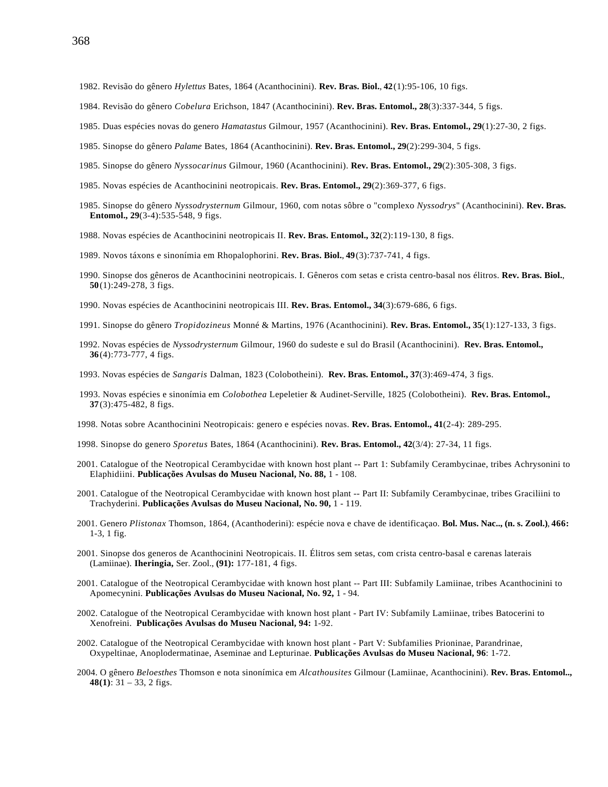- 1982. Revisão do gênero *Hylettus* Bates, 1864 (Acanthocinini). **Rev. Bras. Biol.**, **42**(1):95-106, 10 figs.
- 1984. Revisão do gênero *Cobelura* Erichson, 1847 (Acanthocinini). **Rev. Bras. Entomol., 28**(3):337-344, 5 figs.
- 1985. Duas espécies novas do genero *Hamatastus* Gilmour, 1957 (Acanthocinini). **Rev. Bras. Entomol., 29**(1):27-30, 2 figs.
- 1985. Sinopse do gênero *Palame* Bates, 1864 (Acanthocinini). **Rev. Bras. Entomol., 29**(2):299-304, 5 figs.
- 1985. Sinopse do gênero *Nyssocarinus* Gilmour, 1960 (Acanthocinini). **Rev. Bras. Entomol., 29**(2):305-308, 3 figs.
- 1985. Novas espécies de Acanthocinini neotropicais. **Rev. Bras. Entomol., 29**(2):369-377, 6 figs.
- 1985. Sinopse do gênero *Nyssodrysternum* Gilmour, 1960, com notas sôbre o "complexo *Nyssodrys*" (Acanthocinini). **Rev. Bras. Entomol., 29**(3-4):535-548, 9 figs.
- 1988. Novas espécies de Acanthocinini neotropicais II. **Rev. Bras. Entomol., 32**(2):119-130, 8 figs.
- 1989. Novos táxons e sinonímia em Rhopalophorini. **Rev. Bras. Biol.**, **49**(3):737-741, 4 figs.
- 1990. Sinopse dos gêneros de Acanthocinini neotropicais. I. Gêneros com setas e crista centro-basal nos élitros. **Rev. Bras. Biol.**, **50**(1):249-278, 3 figs.
- 1990. Novas espécies de Acanthocinini neotropicais III. **Rev. Bras. Entomol., 34**(3):679-686, 6 figs.
- 1991. Sinopse do gênero *Tropidozineus* Monné & Martins, 1976 (Acanthocinini). **Rev. Bras. Entomol., 35**(1):127-133, 3 figs.
- 1992. Novas espécies de *Nyssodrysternum* Gilmour, 1960 do sudeste e sul do Brasil (Acanthocinini). **Rev. Bras. Entomol., 36**(4):773-777, 4 figs.
- 1993. Novas espécies de *Sangaris* Dalman, 1823 (Colobotheini). **Rev. Bras. Entomol., 37**(3):469-474, 3 figs.
- 1993. Novas espécies e sinonímia em *Colobothea* Lepeletier & Audinet-Serville, 1825 (Colobotheini). **Rev. Bras. Entomol., 37**(3):475-482, 8 figs.
- 1998. Notas sobre Acanthocinini Neotropicais: genero e espécies novas. **Rev. Bras. Entomol., 41**(2-4): 289-295.
- 1998. Sinopse do genero *Sporetus* Bates, 1864 (Acanthocinini). **Rev. Bras. Entomol., 42**(3/4): 27-34, 11 figs.
- 2001. Catalogue of the Neotropical Cerambycidae with known host plant -- Part 1: Subfamily Cerambycinae, tribes Achrysonini to Elaphidiini. **Publicações Avulsas do Museu Nacional, No. 88,** 1 - 108.
- 2001. Catalogue of the Neotropical Cerambycidae with known host plant -- Part II: Subfamily Cerambycinae, tribes Graciliini to Trachyderini. **Publicações Avulsas do Museu Nacional, No. 90,** 1 - 119.
- 2001. Genero *Plistonax* Thomson, 1864, (Acanthoderini): espécie nova e chave de identificaçao. **Bol. Mus. Nac.., (n. s. Zool.)**, **466:** 1-3, 1 fig.
- 2001. Sinopse dos generos de Acanthocinini Neotropicais. II. Élitros sem setas, com crista centro-basal e carenas laterais (Lamiinae). **Iheringia,** Ser. Zool., **(91):** 177-181, 4 figs.
- 2001. Catalogue of the Neotropical Cerambycidae with known host plant -- Part III: Subfamily Lamiinae, tribes Acanthocinini to Apomecynini. **Publicações Avulsas do Museu Nacional, No. 92,** 1 - 94.
- 2002. Catalogue of the Neotropical Cerambycidae with known host plant Part IV: Subfamily Lamiinae, tribes Batocerini to Xenofreini. **Publicações Avulsas do Museu Nacional, 94:** 1-92.
- 2002. Catalogue of the Neotropical Cerambycidae with known host plant Part V: Subfamilies Prioninae, Parandrinae, Oxypeltinae, Anoplodermatinae, Aseminae and Lepturinae. **Publicações Avulsas do Museu Nacional, 96**: 1-72.
- 2004. O gênero *Beloesthes* Thomson e nota sinonímica em *Alcathousites* Gilmour (Lamiinae, Acanthocinini). **Rev. Bras. Entomol.., 48(1)**: 31 – 33, 2 figs.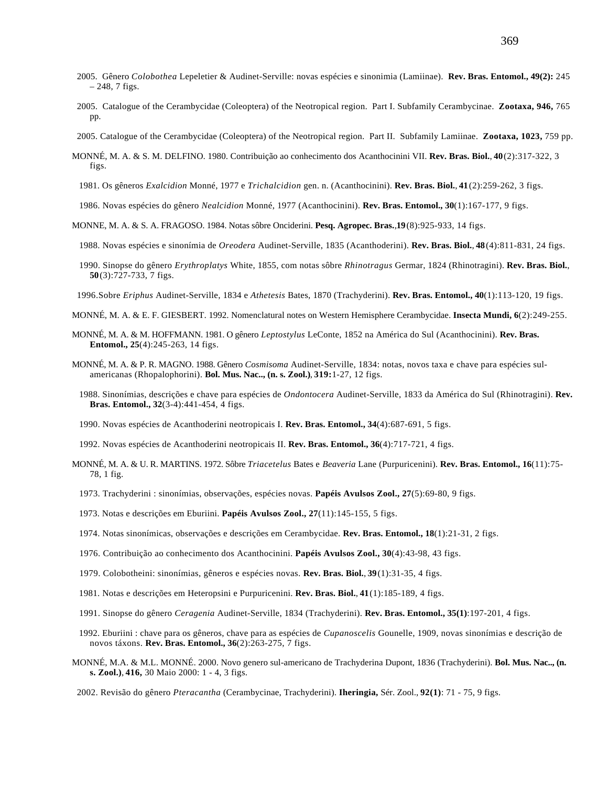- 2005. Gênero *Colobothea* Lepeletier & Audinet-Serville: novas espécies e sinonimia (Lamiinae). **Rev. Bras. Entomol., 49(2):** 245  $-248, 7$  figs.
- 2005. Catalogue of the Cerambycidae (Coleoptera) of the Neotropical region. Part I. Subfamily Cerambycinae. **Zootaxa, 946,** 765 pp.
- 2005. Catalogue of the Cerambycidae (Coleoptera) of the Neotropical region. Part II. Subfamily Lamiinae. **Zootaxa, 1023,** 759 pp.
- MONNÉ, M. A. & S. M. DELFINO. 1980. Contribuição ao conhecimento dos Acanthocinini VII. **Rev. Bras. Biol.**, **40**(2):317-322, 3 figs.
	- 1981. Os gêneros *Exalcidion* Monné, 1977 e *Trichalcidion* gen. n. (Acanthocinini). **Rev. Bras. Biol.**, **41**(2):259-262, 3 figs.
	- 1986. Novas espécies do gênero *Nealcidion* Monné, 1977 (Acanthocinini). **Rev. Bras. Entomol., 30**(1):167-177, 9 figs.
- MONNE, M. A. & S. A. FRAGOSO. 1984. Notas sôbre Onciderini. **Pesq. Agropec. Bras.**,**19**(8):925-933, 14 figs.
- 1988. Novas espécies e sinonímia de *Oreodera* Audinet-Serville, 1835 (Acanthoderini). **Rev. Bras. Biol.**, **48**(4):811-831, 24 figs.
- 1990. Sinopse do gênero *Erythroplatys* White, 1855, com notas sôbre *Rhinotragus* Germar, 1824 (Rhinotragini). **Rev. Bras. Biol.**, **50**(3):727-733, 7 figs.
- 1996.Sobre *Eriphus* Audinet-Serville, 1834 e *Athetesis* Bates, 1870 (Trachyderini). **Rev. Bras. Entomol., 40**(1):113-120, 19 figs.
- MONNÉ, M. A. & E. F. GIESBERT. 1992. Nomenclatural notes on Western Hemisphere Cerambycidae. **Insecta Mundi, 6**(2):249-255.
- MONNÉ, M. A. & M. HOFFMANN. 1981. O gênero *Leptostylus* LeConte, 1852 na América do Sul (Acanthocinini). **Rev. Bras. Entomol., 25**(4):245-263, 14 figs.
- MONNÉ, M. A. & P. R. MAGNO. 1988. Gênero *Cosmisoma* Audinet-Serville, 1834: notas, novos taxa e chave para espécies sulamericanas (Rhopalophorini). **Bol. Mus. Nac.., (n. s. Zool.)**, **319:**1-27, 12 figs.
	- 1988. Sinonímias, descrições e chave para espécies de *Ondontocera* Audinet-Serville, 1833 da América do Sul (Rhinotragini). **Rev. Bras. Entomol., 32**(3-4):441-454, 4 figs.
	- 1990. Novas espécies de Acanthoderini neotropicais I. **Rev. Bras. Entomol., 34**(4):687-691, 5 figs.
	- 1992. Novas espécies de Acanthoderini neotropicais II. **Rev. Bras. Entomol., 36**(4):717-721, 4 figs.
- MONNÉ, M. A. & U. R. MARTINS. 1972. Sôbre *Triacetelus* Bates e *Beaveria* Lane (Purpuricenini). **Rev. Bras. Entomol., 16**(11):75- 78, 1 fig.
	- 1973. Trachyderini : sinonímias, observações, espécies novas. **Papéis Avulsos Zool., 27**(5):69-80, 9 figs.
	- 1973. Notas e descrições em Eburiini. **Papéis Avulsos Zool., 27**(11):145-155, 5 figs.
	- 1974. Notas sinonímicas, observações e descrições em Cerambycidae. **Rev. Bras. Entomol., 18**(1):21-31, 2 figs.
	- 1976. Contribuição ao conhecimento dos Acanthocinini. **Papéis Avulsos Zool., 30**(4):43-98, 43 figs.
	- 1979. Colobotheini: sinonímias, gêneros e espécies novas. **Rev. Bras. Biol.**, **39**(1):31-35, 4 figs.
	- 1981. Notas e descrições em Heteropsini e Purpuricenini. **Rev. Bras. Biol.**, **41**(1):185-189, 4 figs.
	- 1991. Sinopse do gênero *Ceragenia* Audinet-Serville, 1834 (Trachyderini). **Rev. Bras. Entomol., 35(1)**:197-201, 4 figs.
	- 1992. Eburiini : chave para os gêneros, chave para as espécies de *Cupanoscelis* Gounelle, 1909, novas sinonímias e descrição de novos táxons. **Rev. Bras. Entomol., 36**(2):263-275, 7 figs.
- MONNÉ, M.A. & M.L. MONNÉ. 2000. Novo genero sul-americano de Trachyderina Dupont, 1836 (Trachyderini). **Bol. Mus. Nac.., (n. s. Zool.)**, **416,** 30 Maio 2000: 1 - 4, 3 figs.
- 2002. Revisão do gênero *Pteracantha* (Cerambycinae, Trachyderini). **Iheringia,** Sér. Zool., **92(1)**: 71 75, 9 figs.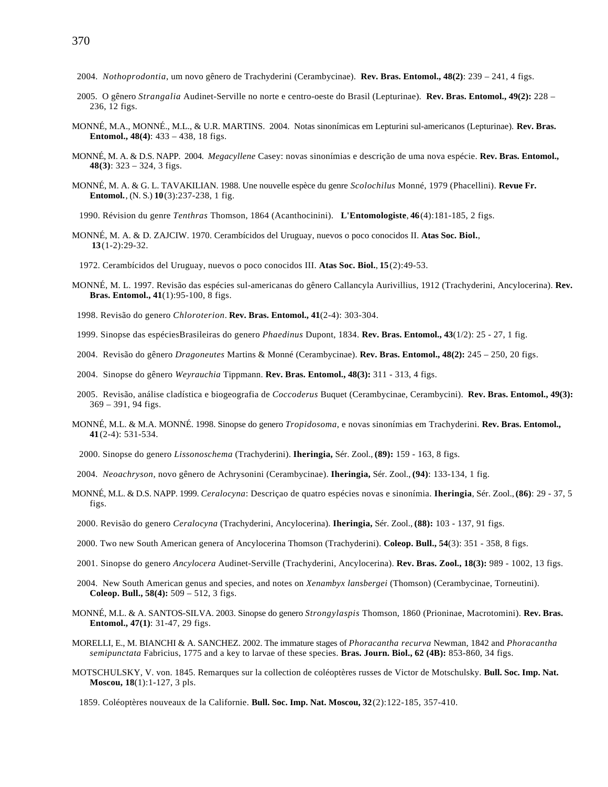- 2004. *Nothoprodontia*, um novo gênero de Trachyderini (Cerambycinae). **Rev. Bras. Entomol., 48(2)**: 239 241, 4 figs.
- 2005. O gênero *Strangalia* Audinet-Serville no norte e centro-oeste do Brasil (Lepturinae). **Rev. Bras. Entomol., 49(2):** 228 236, 12 figs.
- MONNÉ, M.A., MONNÉ., M.L., & U.R. MARTINS. 2004. Notas sinonímicas em Lepturini sul-americanos (Lepturinae). **Rev. Bras. Entomol., 48(4)**: 433 – 438, 18 figs.
- MONNÉ, M. A. & D.S. NAPP. 2004. *Megacyllene* Casey: novas sinonímias e descrição de uma nova espécie. **Rev. Bras. Entomol., 48(3)**: 323 – 324, 3 figs.
- MONNÉ, M. A. & G. L. TAVAKILIAN. 1988. Une nouvelle espèce du genre *Scolochilus* Monné, 1979 (Phacellini). **Revue Fr. Entomol.**, (N. S.) **10**(3):237-238, 1 fig.

1990. Révision du genre *Tenthras* Thomson, 1864 (Acanthocinini). **L'Entomologiste**, **46**(4):181-185, 2 figs.

MONNÉ, M. A. & D. ZAJCIW. 1970. Cerambícidos del Uruguay, nuevos o poco conocidos II. **Atas Soc. Biol.**, **13**(1-2):29-32.

1972. Cerambícidos del Uruguay, nuevos o poco conocidos III. **Atas Soc. Biol.**, **15**(2):49-53.

- MONNÉ, M. L. 1997. Revisão das espécies sul-americanas do gênero Callancyla Aurivillius, 1912 (Trachyderini, Ancylocerina). **Rev. Bras. Entomol., 41**(1):95-100, 8 figs.
- 1998. Revisão do genero *Chloroterion*. **Rev. Bras. Entomol., 41**(2-4): 303-304.
- 1999. Sinopse das espéciesBrasileiras do genero *Phaedinus* Dupont, 1834. **Rev. Bras. Entomol., 43**(1/2): 25 27, 1 fig.
- 2004. Revisão do gênero *Dragoneutes* Martins & Monné (Cerambycinae). **Rev. Bras. Entomol., 48(2):** 245 250, 20 figs.
- 2004. Sinopse do gênero *Weyrauchia* Tippmann. **Rev. Bras. Entomol., 48(3):** 311 313, 4 figs.
- 2005. Revisão, análise cladística e biogeografia de *Coccoderus* Buquet (Cerambycinae, Cerambycini). **Rev. Bras. Entomol., 49(3):** 369 – 391, 94 figs.
- MONNÉ, M.L. & M.A. MONNÉ. 1998. Sinopse do genero *Tropidosoma*, e novas sinonímias em Trachyderini. **Rev. Bras. Entomol., 41**(2-4): 531-534.
	- 2000. Sinopse do genero *Lissonoschema* (Trachyderini). **Iheringia,** Sér. Zool., **(89):** 159 163, 8 figs.
- 2004. *Neoachryson*, novo gênero de Achrysonini (Cerambycinae). **Iheringia,** Sér. Zool., **(94)**: 133-134, 1 fig.
- MONNÉ, M.L. & D.S. NAPP. 1999. *Ceralocyna*: Descriçao de quatro espécies novas e sinonímia. **Iheringia**, Sér. Zool., **(86)**: 29 37, 5 figs.
- 2000. Revisão do genero *Ceralocyna* (Trachyderini, Ancylocerina). **Iheringia,** Sér. Zool., **(88):** 103 137, 91 figs.
- 2000. Two new South American genera of Ancylocerina Thomson (Trachyderini). **Coleop. Bull., 54**(3): 351 358, 8 figs.
- 2001. Sinopse do genero *Ancylocera* Audinet-Serville (Trachyderini, Ancylocerina). **Rev. Bras. Zool., 18(3):** 989 1002, 13 figs.
- 2004. New South American genus and species, and notes on *Xenambyx lansbergei* (Thomson) (Cerambycinae, Torneutini). **Coleop. Bull., 58(4):** 509 – 512, 3 figs.
- MONNÉ, M.L. & A. SANTOS-SILVA. 2003. Sinopse do genero *Strongylaspis* Thomson, 1860 (Prioninae, Macrotomini). **Rev. Bras. Entomol., 47(1)**: 31-47, 29 figs.
- MORELLI, E., M. BIANCHI & A. SANCHEZ. 2002. The immature stages of *Phoracantha recurva* Newman, 1842 and *Phoracantha semipunctata* Fabricius, 1775 and a key to larvae of these species. **Bras. Journ. Biol., 62 (4B):** 853-860, 34 figs.
- MOTSCHULSKY, V. von. 1845. Remarques sur la collection de coléoptères russes de Victor de Motschulsky. **Bull. Soc. Imp. Nat. Moscou, 18**(1):1-127, 3 pls.
	- 1859. Coléoptères nouveaux de la Californie. **Bull. Soc. Imp. Nat. Moscou, 32**(2):122-185, 357-410.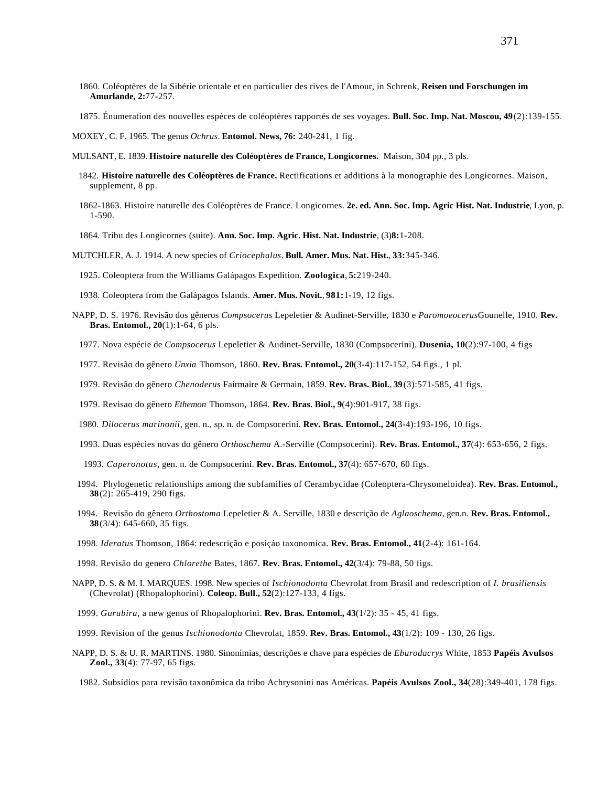- 1860. Coléoptères de la Sibérie orientale et en particulier des rives de l'Amour, in Schrenk, **Reisen und Forschungen im Amurlande, 2:**77-257.
- 1875. Énumeration des nouvelles espèces de coléoptères rapportés de ses voyages. **Bull. Soc. Imp. Nat. Moscou, 49**(2):139-155.

MOXEY, C. F. 1965. The genus *Ochrus*. **Entomol. News, 76:** 240-241, 1 fig.

- MULSANT, E. 1839. **Histoire naturelle des Coléoptères de France, Longicornes.** Maison, 304 pp., 3 pls.
	- 1842. **Histoire naturelle des Coléoptères de France.** Rectifications et additions à la monographie des Longicornes. Maison, supplement, 8 pp.
	- 1862-1863. Histoire naturelle des Coléoptères de France. Longicornes. **2e. ed. Ann. Soc. Imp. Agric Hist. Nat. Industrie**, Lyon, p. 1-590.
	- 1864. Tribu des Longicornes (suite). **Ann. Soc. Imp. Agric. Hist. Nat. Industrie**, (3)**8:**1-208.
- MUTCHLER, A. J. 1914. A new species of *Criocephalus*. **Bull. Amer. Mus. Nat. Hist.**, **33:**345-346.
	- 1925. Coleoptera from the Williams Galápagos Expedition. **Zoologica**, **5:**219-240.
	- 1938. Coleoptera from the Galápagos Islands. **Amer. Mus. Novit.**, **981:**1-19, 12 figs.
- NAPP, D. S. 1976. Revisão dos gêneros *Compsocerus* Lepeletier & Audinet-Serville, 1830 e *Paromoeocerus*Gounelle, 1910. **Rev. Bras. Entomol., 20**(1):1-64, 6 pls.
	- 1977. Nova espécie de *Compsocerus* Lepeletier & Audinet-Serville, 1830 (Compsocerini). **Dusenia, 10**(2):97-100, 4 figs
	- 1977. Revisão do gênero *Unxia* Thomson, 1860. **Rev. Bras. Entomol., 20**(3-4):117-152, 54 figs., 1 pl.
	- 1979. Revisão do gênero *Chenoderus* Fairmaire & Germain, 1859. **Rev. Bras. Biol.**, **39**(3):571-585, 41 figs.
	- 1979. Revisao do gênero *Ethemon* Thomson, 1864. **Rev. Bras. Biol., 9**(4):901-917, 38 figs.
	- 1980. *Dilocerus marinonii*, gen. n., sp. n. de Compsocerini. **Rev. Bras. Entomol., 24**(3-4):193-196, 10 figs.
	- 1993. Duas espécies novas do gênero *Orthoschema* A.-Serville (Compsocerini). **Rev. Bras. Entomol., 37**(4): 653-656, 2 figs.
	- 1993. *Caperonotus*, gen. n. de Compsocerini. **Rev. Bras. Entomol., 37**(4): 657-670, 60 figs.
- 1994. Phylogenetic relationships among the subfamilies of Cerambycidae (Coleoptera-Chrysomeloidea). **Rev. Bras. Entomol., 38**(2): 265-419, 290 figs.
- 1994. Revisão do gênero *Orthostoma* Lepeletier & A. Serville, 1830 e descrição de *Aglaoschema*, gen.n. **Rev. Bras. Entomol., 38**(3/4): 645-660, 35 figs.
- 1998. *Ideratus* Thomson, 1864: redescrição e posiçáo taxonomica. **Rev. Bras. Entomol., 41**(2-4): 161-164.
- 1998. Revisão do genero *Chlorethe* Bates, 1867. **Rev. Bras. Entomol., 42**(3/4): 79-88, 50 figs.
- NAPP, D. S. & M. I. MARQUES. 1998. New species of *Ischionodonta* Chevrolat from Brasil and redescription of *I. brasiliensis* (Chevrolat) (Rhopalophorini). **Coleop. Bull., 52**(2):127-133, 4 figs.
- 1999. *Gurubira*, a new genus of Rhopalophorini. **Rev. Bras. Entomol., 43**(1/2): 35 45, 41 figs.
- 1999. Revision of the genus *Ischionodonta* Chevrolat, 1859. **Rev. Bras. Entomol., 43**(1/2): 109 130, 26 figs.
- NAPP, D. S. & U. R. MARTINS. 1980. Sinonímias, descrições e chave para espécies de *Eburodacrys* White, 1853 **Papéis Avulsos Zool., 33**(4): 77-97, 65 figs.
	- 1982. Subsídios para revisão taxonômica da tribo Achrysonini nas Américas. **Papéis Avulsos Zool., 34**(28):349-401, 178 figs.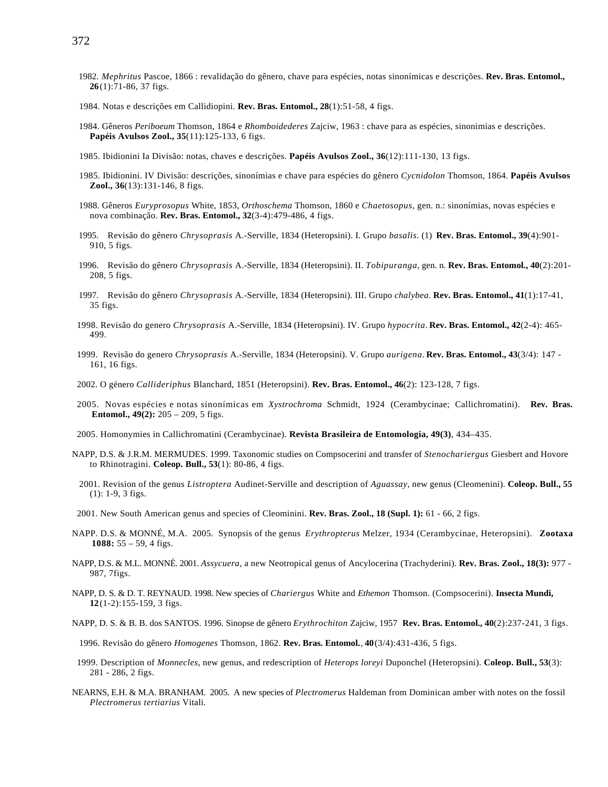- 1982. *Mephritus* Pascoe, 1866 : revalidação do gênero, chave para espécies, notas sinonímicas e descrições. **Rev. Bras. Entomol., 26**(1):71-86, 37 figs.
- 1984. Notas e descrições em Callidiopini. **Rev. Bras. Entomol., 28**(1):51-58, 4 figs.
- 1984. Gêneros *Periboeum* Thomson, 1864 e *Rhomboidederes* Zajciw, 1963 : chave para as espécies, sinonimias e descrições. **Papéis Avulsos Zool., 35**(11):125-133, 6 figs.
- 1985. Ibidionini Ia Divisão: notas, chaves e descrições. **Papéis Avulsos Zool., 36**(12):111-130, 13 figs.
- 1985. Ibidionini. IV Divisão: descrições, sinonímias e chave para espécies do gênero *Cycnidolon* Thomson, 1864. **Papéis Avulsos Zool., 36**(13):131-146, 8 figs.
- 1988. Gêneros *Euryprosopus* White, 1853, *Orthoschema* Thomson, 1860 e *Chaetosopus*, gen. n.: sinonímias, novas espécies e nova combinação. **Rev. Bras. Entomol., 32**(3-4):479-486, 4 figs.
- 1995. Revisão do gênero *Chrysoprasis* A.-Serville, 1834 (Heteropsini). I. Grupo *basalis.* (1) **Rev. Bras. Entomol., 39**(4):901- 910, 5 figs.
- 1996. Revisão do gênero *Chrysoprasis* A.-Serville, 1834 (Heteropsini). II. *Tobipuranga*, gen. n. **Rev. Bras. Entomol., 40**(2):201- 208, 5 figs.
- 1997. Revisão do gênero *Chrysoprasis* A.-Serville, 1834 (Heteropsini). III. Grupo *chalybea.* **Rev. Bras. Entomol., 41**(1):17-41, 35 figs.
- 1998. Revisão do genero *Chrysoprasis* A.-Serville, 1834 (Heteropsini). IV. Grupo *hypocrita*. **Rev. Bras. Entomol., 42**(2-4): 465- 499.
- 1999. Revisão do genero *Chrysoprasis* A.-Serville, 1834 (Heteropsini). V. Grupo *aurigena*. **Rev. Bras. Entomol., 43**(3/4): 147 161, 16 figs.
- 2002. O género *Callideriphus* Blanchard, 1851 (Heteropsini). **Rev. Bras. Entomol., 46**(2): 123-128, 7 figs.
- 2005. Novas espécies e notas sinonímicas em *Xystrochroma* Schmidt, 1924 (Cerambycinae; Callichromatini). **Rev. Bras. Entomol., 49(2):** 205 – 209, 5 figs.
- 2005. Homonymies in Callichromatini (Cerambycinae). **Revista Brasileira de Entomologia, 49(3)**, 434–435.
- NAPP, D.S. & J.R.M. MERMUDES. 1999. Taxonomic studies on Compsocerini and transfer of *Stenochariergus* Giesbert and Hovore to Rhinotragini. **Coleop. Bull., 53**(1): 80-86, 4 figs.
	- 2001. Revision of the genus *Listroptera* Audinet-Serville and description of *Aguassay*, new genus (Cleomenini). **Coleop. Bull., 55** (1): 1-9, 3 figs.
- 2001. New South American genus and species of Cleominini. **Rev. Bras. Zool., 18 (Supl. 1):** 61 66, 2 figs.
- NAPP. D.S. & MONNÉ, M.A. 2005. Synopsis of the genus *Erythropterus* Melzer, 1934 (Cerambycinae, Heteropsini). **Zootaxa 1088:** 55 – 59, 4 figs.
- NAPP, D.S. & M.L. MONNÉ. 2001. *Assycuera*, a new Neotropical genus of Ancylocerina (Trachyderini). **Rev. Bras. Zool., 18(3):** 977 987, 7figs.
- NAPP, D. S. & D. T. REYNAUD. 1998. New species of *Chariergus* White and *Ethemon* Thomson. (Compsocerini). **Insecta Mundi, 12**(1-2):155-159, 3 figs.
- NAPP, D. S. & B. B. dos SANTOS. 1996. Sinopse de gênero *Erythrochiton* Zajciw, 1957 **Rev. Bras. Entomol., 40**(2):237-241, 3 figs.

1996. Revisão do gênero *Homogenes* Thomson, 1862. **Rev. Bras. Entomol.**, **40**(3/4):431-436, 5 figs.

- 1999. Description of *Monnecles*, new genus, and redescription of *Heterops loreyi* Duponchel (Heteropsini). **Coleop. Bull., 53**(3): 281 - 286, 2 figs.
- NEARNS, E.H. & M.A. BRANHAM. 2005. A new species of *Plectromerus* Haldeman from Dominican amber with notes on the fossil *Plectromerus tertiarius* Vitali.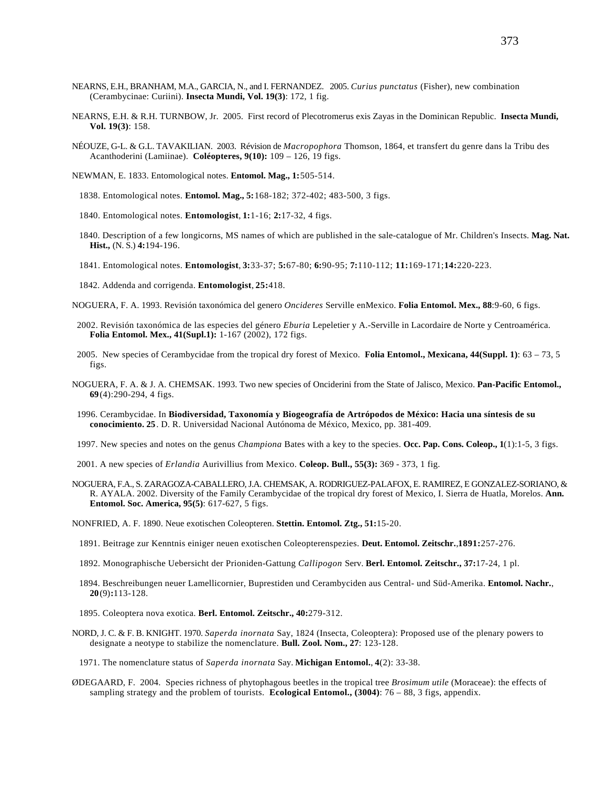- NEARNS, E.H., BRANHAM, M.A., GARCIA, N., and I. FERNANDEZ. 2005. *Curius punctatus* (Fisher), new combination (Cerambycinae: Curiini). **Insecta Mundi, Vol. 19(3)**: 172, 1 fig.
- NEARNS, E.H. & R.H. TURNBOW, Jr. 2005. First record of Plecotromerus exis Zayas in the Dominican Republic. **Insecta Mundi, Vol. 19(3)**: 158.
- NÉOUZE, G-L. & G.L. TAVAKILIAN. 2003. Révision de *Macropophora* Thomson, 1864, et transfert du genre dans la Tribu des Acanthoderini (Lamiinae). **Coléopteres, 9(10):** 109 – 126, 19 figs.
- NEWMAN, E. 1833. Entomological notes. **Entomol. Mag., 1:**505-514.
	- 1838. Entomological notes. **Entomol. Mag., 5:**168-182; 372-402; 483-500, 3 figs.
	- 1840. Entomological notes. **Entomologist**, **1:**1-16; **2:**17-32, 4 figs.
	- 1840. Description of a few longicorns, MS names of which are published in the sale-catalogue of Mr. Children's Insects. **Mag. Nat. Hist.,** (N. S.) **4:**194-196.
	- 1841. Entomological notes. **Entomologist**, **3:**33-37; **5:**67-80; **6:**90-95; **7:**110-112; **11:**169-171;**14:**220-223.
	- 1842. Addenda and corrigenda. **Entomologist**, **25:**418.
- NOGUERA, F. A. 1993. Revisión taxonómica del genero *Oncideres* Serville enMexico. **Folia Entomol. Mex., 88**:9-60, 6 figs.
- 2002. Revisión taxonómica de las especies del género *Eburia* Lepeletier y A.-Serville in Lacordaire de Norte y Centroamérica. **Folia Entomol. Mex., 41(Supl.1):** 1-167 (2002), 172 figs.
- 2005. New species of Cerambycidae from the tropical dry forest of Mexico. **Folia Entomol., Mexicana, 44(Suppl. 1)**: 63 73, 5 figs.
- NOGUERA, F. A. & J. A. CHEMSAK. 1993. Two new species of Onciderini from the State of Jalisco, Mexico. **Pan-Pacific Entomol., 69**(4):290-294, 4 figs.
- 1996. Cerambycidae. In **Biodiversidad, Taxonomía y Biogeografía de Artrópodos de México: Hacia una síntesis de su conocimiento. 25**. D. R. Universidad Nacional Autónoma de México, Mexico, pp. 381-409.
- 1997. New species and notes on the genus *Championa* Bates with a key to the species. **Occ. Pap. Cons. Coleop., 1**(1):1-5, 3 figs.
- 2001. A new species of *Erlandia* Aurivillius from Mexico. **Coleop. Bull., 55(3):** 369 373, 1 fig.
- NOGUERA, F.A., S. ZARAGOZA-CABALLERO, J.A. CHEMSAK, A. RODRIGUEZ-PALAFOX, E. RAMIREZ, E GONZALEZ-SORIANO, & R. AYALA. 2002. Diversity of the Family Cerambycidae of the tropical dry forest of Mexico, I. Sierra de Huatla, Morelos. **Ann. Entomol. Soc. America, 95(5)**: 617-627, 5 figs.

NONFRIED, A. F. 1890. Neue exotischen Coleopteren. **Stettin. Entomol. Ztg., 51:**15-20.

- 1891. Beitrage zur Kenntnis einiger neuen exotischen Coleopterenspezies. **Deut. Entomol. Zeitschr.**,**1891:**257-276.
- 1892. Monographische Uebersicht der Prioniden-Gattung *Callipogon* Serv. **Berl. Entomol. Zeitschr., 37:**17-24, 1 pl.
- 1894. Beschreibungen neuer Lamellicornier, Buprestiden und Cerambyciden aus Central- und Süd-Amerika. **Entomol. Nachr.**, **20**(9)**:**113-128.
- 1895. Coleoptera nova exotica. **Berl. Entomol. Zeitschr., 40:**279-312.
- NORD, J. C. & F. B. KNIGHT. 1970. *Saperda inornata* Say, 1824 (Insecta, Coleoptera): Proposed use of the plenary powers to designate a neotype to stabilize the nomenclature. **Bull. Zool. Nom., 27**: 123-128.
	- 1971. The nomenclature status of *Saperda inornata* Say. **Michigan Entomol.**, **4**(2): 33-38.
- ØDEGAARD, F. 2004. Species richness of phytophagous beetles in the tropical tree *Brosimum utile* (Moraceae): the effects of sampling strategy and the problem of tourists. **Ecological Entomol.,**  $(3004)$ : 76 – 88, 3 figs, appendix.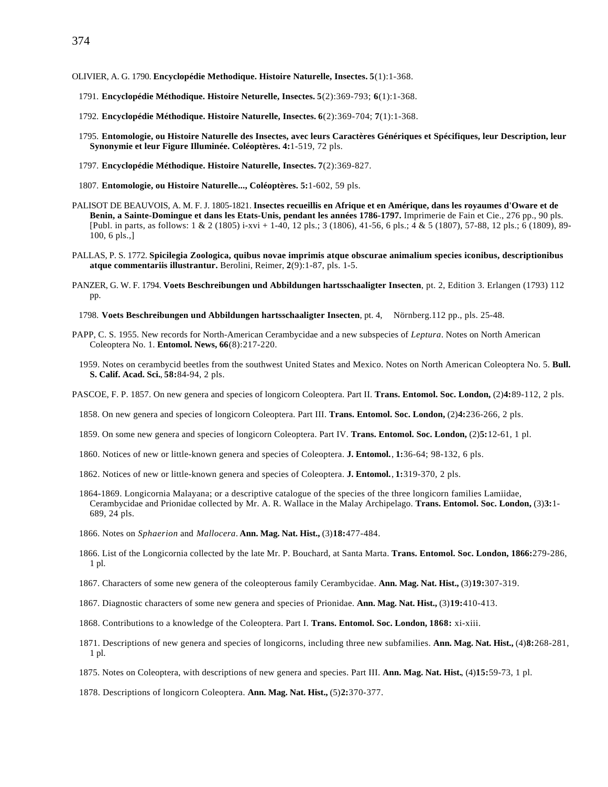- OLIVIER, A. G. 1790. **Encyclopédie Methodique. Histoire Naturelle, Insectes. 5**(1):1-368.
	- 1791. **Encyclopédie Méthodique. Histoire Neturelle, Insectes. 5**(2):369-793; **6**(1):1-368.
	- 1792. **Encyclopédie Méthodique. Histoire Naturelle, Insectes. 6**(2):369-704; **7**(1):1-368.
	- 1795. **Entomologie, ou Histoire Naturelle des Insectes, avec leurs Caractères Génériques et Spécifiques, leur Description, leur Synonymie et leur Figure Illuminée. Coléoptères. 4:**1-519, 72 pls.
	- 1797. **Encyclopédie Méthodique. Histoire Naturelle, Insectes. 7**(2):369-827.
	- 1807. **Entomologie, ou Histoire Naturelle..., Coléoptères. 5:**1-602, 59 pls.
- PALISOT DE BEAUVOIS, A. M. F. J. 1805-1821. **Insectes recueillis en Afrique et en Amérique, dans les royaumes d'Oware et de Benin, a Sainte-Domingue et dans les Etats-Unis, pendant les années 1786-1797.** Imprimerie de Fain et Cie., 276 pp., 90 pls. [Publ. in parts, as follows: 1 & 2 (1805) i-xvi + 1-40, 12 pls.; 3 (1806), 41-56, 6 pls.; 4 & 5 (1807), 57-88, 12 pls.; 6 (1809), 89-100, 6 pls.,]
- PALLAS, P. S. 1772. **Spicilegia Zoologica, quibus novae imprimis atque obscurae animalium species iconibus, descriptionibus atque commentariis illustrantur.** Berolini, Reimer, **2**(9):1-87, pls. 1-5.
- PANZER, G. W. F. 1794. **Voets Beschreibungen und Abbildungen hartsschaaligter Insecten**, pt. 2, Edition 3. Erlangen (1793) 112 pp.
	- 1798. **Voets Beschreibungen und Abbildungen hartsschaaligter Insecten**, pt. 4, Nörnberg.112 pp., pls. 25-48.
- PAPP, C. S. 1955. New records for North-American Cerambycidae and a new subspecies of *Leptura*. Notes on North American Coleoptera No. 1. **Entomol. News, 66**(8):217-220.
	- 1959. Notes on cerambycid beetles from the southwest United States and Mexico. Notes on North American Coleoptera No. 5. **Bull. S. Calif. Acad. Sci.**, **58:**84-94, 2 pls.

PASCOE, F. P. 1857. On new genera and species of longicorn Coleoptera. Part II. **Trans. Entomol. Soc. London,** (2)**4:**89-112, 2 pls.

- 1858. On new genera and species of longicorn Coleoptera. Part III. **Trans. Entomol. Soc. London,** (2)**4:**236-266, 2 pls.
- 1859. On some new genera and species of longicorn Coleoptera. Part IV. **Trans. Entomol. Soc. London,** (2)**5:**12-61, 1 pl.
- 1860. Notices of new or little-known genera and species of Coleoptera. **J. Entomol.**, **1:**36-64; 98-132, 6 pls.
- 1862. Notices of new or little-known genera and species of Coleoptera. **J. Entomol.**, **1:**319-370, 2 pls.
- 1864-1869. Longicornia Malayana; or a descriptive catalogue of the species of the three longicorn families Lamiidae, Cerambycidae and Prionidae collected by Mr. A. R. Wallace in the Malay Archipelago. **Trans. Entomol. Soc. London,** (3)**3:**1- 689, 24 pls.
- 1866. Notes on *Sphaerion* and *Mallocera*. **Ann. Mag. Nat. Hist.,** (3)**18:**477-484.
- 1866. List of the Longicornia collected by the late Mr. P. Bouchard, at Santa Marta. **Trans. Entomol. Soc. London, 1866:**279-286, 1 pl.
- 1867. Characters of some new genera of the coleopterous family Cerambycidae. **Ann. Mag. Nat. Hist.,** (3)**19:**307-319.
- 1867. Diagnostic characters of some new genera and species of Prionidae. **Ann. Mag. Nat. Hist.,** (3)**19:**410-413.
- 1868. Contributions to a knowledge of the Coleoptera. Part I. **Trans. Entomol. Soc. London, 1868:** xi-xiii.
- 1871. Descriptions of new genera and species of longicorns, including three new subfamilies. **Ann. Mag. Nat. Hist.,** (4)**8:**268-281, 1 pl.
- 1875. Notes on Coleoptera, with descriptions of new genera and species. Part III. **Ann. Mag. Nat. Hist.**, (4)**15:**59-73, 1 pl.
- 1878. Descriptions of longicorn Coleoptera. **Ann. Mag. Nat. Hist.,** (5)**2:**370-377.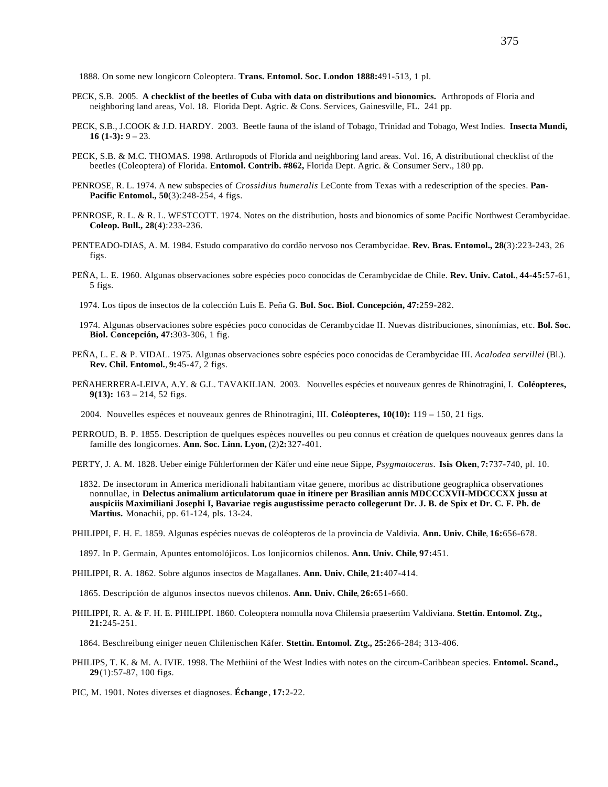1888. On some new longicorn Coleoptera. **Trans. Entomol. Soc. London 1888:**491-513, 1 pl.

- PECK, S.B. 2005. **A checklist of the beetles of Cuba with data on distributions and bionomics.** Arthropods of Floria and neighboring land areas, Vol. 18. Florida Dept. Agric. & Cons. Services, Gainesville, FL. 241 pp.
- PECK, S.B., J.COOK & J.D. HARDY. 2003. Beetle fauna of the island of Tobago, Trinidad and Tobago, West Indies. **Insecta Mundi, 16 (1-3):** 9 – 23.
- PECK, S.B. & M.C. THOMAS. 1998. Arthropods of Florida and neighboring land areas. Vol. 16, A distributional checklist of the beetles (Coleoptera) of Florida. **Entomol. Contrib. #862,** Florida Dept. Agric. & Consumer Serv., 180 pp.
- PENROSE, R. L. 1974. A new subspecies of *Crossidius humeralis* LeConte from Texas with a redescription of the species. **Pan-Pacific Entomol., 50**(3):248-254, 4 figs.
- PENROSE, R. L. & R. L. WESTCOTT. 1974. Notes on the distribution, hosts and bionomics of some Pacific Northwest Cerambycidae. **Coleop. Bull., 28**(4):233-236.
- PENTEADO-DIAS, A. M. 1984. Estudo comparativo do cordão nervoso nos Cerambycidae. **Rev. Bras. Entomol., 28**(3):223-243, 26 figs.
- PEÑA, L. E. 1960. Algunas observaciones sobre espécies poco conocidas de Cerambycidae de Chile. **Rev. Univ. Catol.**, **44-45:**57-61, 5 figs.
	- 1974. Los tipos de insectos de la colección Luis E. Peña G. **Bol. Soc. Biol. Concepción, 47:**259-282.
	- 1974. Algunas observaciones sobre espécies poco conocidas de Cerambycidae II. Nuevas distribuciones, sinonímias, etc. **Bol. Soc. Biol. Concepción, 47:**303-306, 1 fig.
- PEÑA, L. E. & P. VIDAL. 1975. Algunas observaciones sobre espécies poco conocidas de Cerambycidae III. *Acalodea servillei* (Bl.). **Rev. Chil. Entomol.**, **9:**45-47, 2 figs.
- PEÑAHERRERA-LEIVA, A.Y. & G.L. TAVAKILIAN. 2003. Nouvelles espécies et nouveaux genres de Rhinotragini, I. **Coléopteres, 9(13):** 163 – 214, 52 figs.
	- 2004. Nouvelles espéces et nouveaux genres de Rhinotragini, III. **Coléopteres, 10(10):** 119 150, 21 figs.
- PERROUD, B. P. 1855. Description de quelques espèces nouvelles ou peu connus et création de quelques nouveaux genres dans la famille des longicornes. **Ann. Soc. Linn. Lyon,** (2)**2:**327-401.
- PERTY, J. A. M. 1828. Ueber einige Fühlerformen der Käfer und eine neue Sippe, *Psygmatocerus*. **Isis Oken**, **7:**737-740, pl. 10.
	- 1832. De insectorum in America meridionali habitantiam vitae genere, moribus ac distributione geographica observationes nonnullae, in **Delectus animalium articulatorum quae in itinere per Brasilian annis MDCCCXVII-MDCCCXX jussu at auspiciis Maximiliani Josephi I, Bavariae regis augustissime peracto collegerunt Dr. J. B. de Spix et Dr. C. F. Ph. de Martius.** Monachii, pp. 61-124, pls. 13-24.
- PHILIPPI, F. H. E. 1859. Algunas espécies nuevas de coléopteros de la provincia de Valdivia. **Ann. Univ. Chile**, **16:**656-678.

1897. In P. Germain, Apuntes entomolójicos. Los lonjicornios chilenos. **Ann. Univ. Chile**, **97:**451.

PHILIPPI, R. A. 1862. Sobre algunos insectos de Magallanes. **Ann. Univ. Chile**, **21:**407-414.

1865. Descripción de algunos insectos nuevos chilenos. **Ann. Univ. Chile**, **26:**651-660.

PHILIPPI, R. A. & F. H. E. PHILIPPI. 1860. Coleoptera nonnulla nova Chilensia praesertim Valdiviana. **Stettin. Entomol. Ztg., 21:**245-251.

1864. Beschreibung einiger neuen Chilenischen Käfer. **Stettin. Entomol. Ztg., 25:**266-284; 313-406.

- PHILIPS, T. K. & M. A. IVIE. 1998. The Methiini of the West Indies with notes on the circum-Caribbean species. **Entomol. Scand., 29**(1):57-87, 100 figs.
- PIC, M. 1901. Notes diverses et diagnoses. **Échange**, **17:**2-22.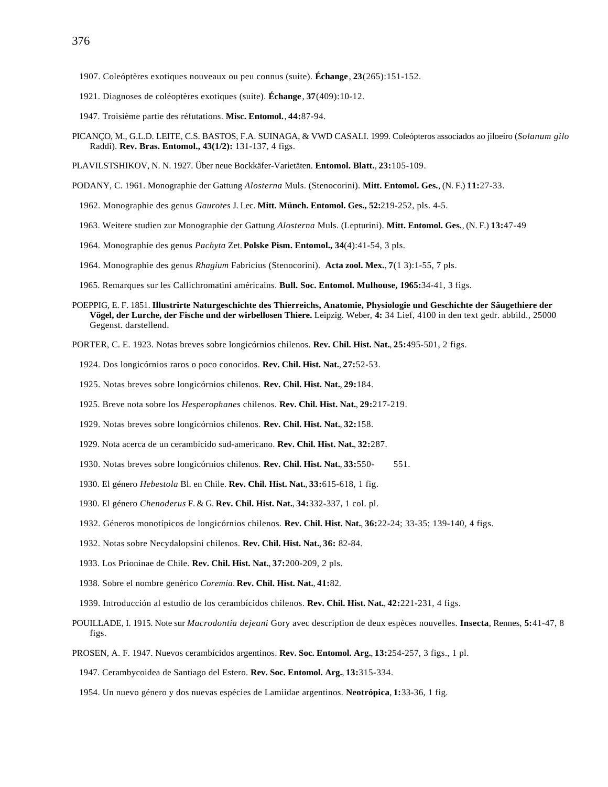- 1907. Coleóptères exotiques nouveaux ou peu connus (suite). **Échange**, **23**(265):151-152.
- 1921. Diagnoses de coléoptères exotiques (suite). **Échange**, **37**(409):10-12.
- 1947. Troisième partie des réfutations. **Misc. Entomol.**, **44:**87-94.
- PICANÇO, M., G.L.D. LEITE, C.S. BASTOS, F.A. SUINAGA, & VWD CASALI. 1999. Coleópteros associados ao jiloeiro (*Solanum gilo* Raddi). **Rev. Bras. Entomol., 43(1/2):** 131-137, 4 figs.
- PLAVILSTSHIKOV, N. N. 1927. Über neue Bockkäfer-Varietäten. **Entomol. Blatt.**, **23:**105-109.
- PODANY, C. 1961. Monographie der Gattung *Alosterna* Muls. (Stenocorini). **Mitt. Entomol. Ges.**, (N. F.) **11:**27-33.
	- 1962. Monographie des genus *Gaurotes* J. Lec. **Mitt. Münch. Entomol. Ges., 52:**219-252, pls. 4-5.
	- 1963. Weitere studien zur Monographie der Gattung *Alosterna* Muls. (Lepturini). **Mitt. Entomol. Ges.**, (N. F.) **13:**47-49
	- 1964. Monographie des genus *Pachyta* Zet. **Polske Pism. Entomol., 34**(4):41-54, 3 pls.
	- 1964. Monographie des genus *Rhagium* Fabricius (Stenocorini). **Acta zool. Mex.**, **7**(1 3):1-55, 7 pls.
	- 1965. Remarques sur les Callichromatini américains. **Bull. Soc. Entomol. Mulhouse, 1965:**34-41, 3 figs.
- POEPPIG, E. F. 1851. **Illustrirte Naturgeschichte des Thierreichs, Anatomie, Physiologie und Geschichte der Säugethiere der Vögel, der Lurche, der Fische und der wirbellosen Thiere.** Leipzig. Weber, **4:** 34 Lief, 4100 in den text gedr. abbild., 25000 Gegenst. darstellend.

PORTER, C. E. 1923. Notas breves sobre longicórnios chilenos. **Rev. Chil. Hist. Nat.**, **25:**495-501, 2 figs.

- 1924. Dos longicórnios raros o poco conocidos. **Rev. Chil. Hist. Nat.**, **27:**52-53.
- 1925. Notas breves sobre longicórnios chilenos. **Rev. Chil. Hist. Nat.**, **29:**184.
- 1925. Breve nota sobre los *Hesperophanes* chilenos. **Rev. Chil. Hist. Nat.**, **29:**217-219.
- 1929. Notas breves sobre longicórnios chilenos. **Rev. Chil. Hist. Nat.**, **32:**158.
- 1929. Nota acerca de un cerambícido sud-americano. **Rev. Chil. Hist. Nat.**, **32:**287.
- 1930. Notas breves sobre longicórnios chilenos. **Rev. Chil. Hist. Nat.**, **33:**550- 551.
- 1930. El género *Hebestola* Bl. en Chile. **Rev. Chil. Hist. Nat.**, **33:**615-618, 1 fig.
- 1930. El género *Chenoderus* F. & G. **Rev. Chil. Hist. Nat.**, **34:**332-337, 1 col. pl.
- 1932. Géneros monotípicos de longicórnios chilenos. **Rev. Chil. Hist. Nat.**, **36:**22-24; 33-35; 139-140, 4 figs.
- 1932. Notas sobre Necydalopsini chilenos. **Rev. Chil. Hist. Nat.**, **36:** 82-84.
- 1933. Los Prioninae de Chile. **Rev. Chil. Hist. Nat.**, **37:**200-209, 2 pls.
- 1938. Sobre el nombre genérico *Coremia*. **Rev. Chil. Hist. Nat.**, **41:**82.
- 1939. Introducción al estudio de los cerambícidos chilenos. **Rev. Chil. Hist. Nat.**, **42:**221-231, 4 figs.
- POUILLADE, I. 1915. Note sur *Macrodontia dejeani* Gory avec description de deux espèces nouvelles. **Insecta**, Rennes, **5:**41-47, 8 figs.
- PROSEN, A. F. 1947. Nuevos cerambícidos argentinos. **Rev. Soc. Entomol. Arg.**, **13:**254-257, 3 figs., 1 pl.
	- 1947. Cerambycoidea de Santiago del Estero. **Rev. Soc. Entomol. Arg.**, **13:**315-334.
	- 1954. Un nuevo género y dos nuevas espécies de Lamiidae argentinos. **Neotrópica**, **1:**33-36, 1 fig.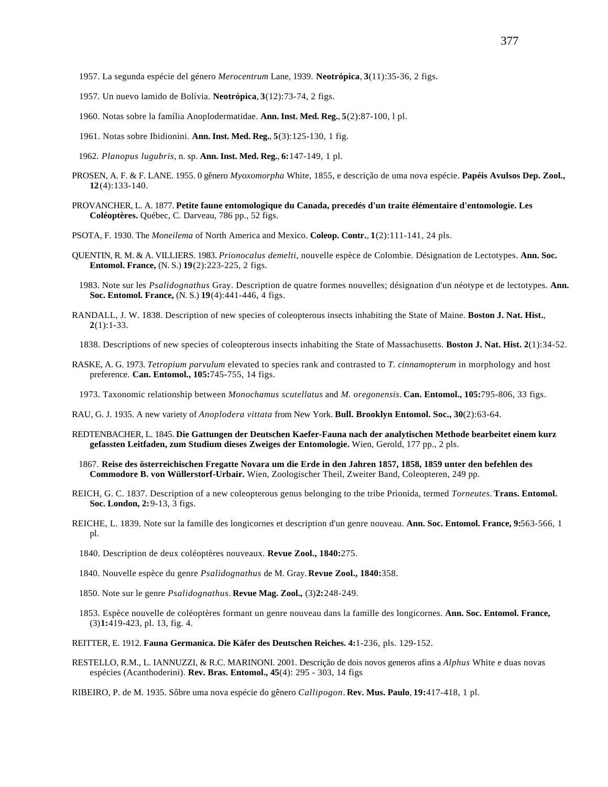- 1957. Un nuevo lamido de Bolívia. **Neotrópica**, **3**(12):73-74, 2 figs.
- 1960. Notas sobre la família Anoplodermatidae. **Ann. Inst. Med. Reg.**, **5**(2):87-100, l pl.
- 1961. Notas sobre Ibidionini. **Ann. Inst. Med. Reg.**, **5**(3):125-130, 1 fig.
- 1962. *Planopus lugubris*, n. sp. **Ann. Inst. Med. Reg.**, **6:**147-149, 1 pl.
- PROSEN, A. F. & F. LANE. 1955. 0 gênero *Myoxomorpha* White, 1855, e descrição de uma nova espécie. **Papéis Avulsos Dep. Zool., 12**(4):133-140.
- PROVANCHER, L. A. 1877. **Petite faune entomologique du Canada, precedés d'un traite élémentaire d'entomologie. Les Coléoptères.** Québec, C. Darveau, 786 pp., 52 figs.
- PSOTA, F. 1930. The *Moneilema* of North America and Mexico. **Coleop. Contr.**, **1**(2):111-141, 24 pls.
- QUENTIN, R. M. & A. VILLIERS. 1983. *Prionocalus demelti*, nouvelle espèce de Colombie. Désignation de Lectotypes. **Ann. Soc. Entomol. France,** (N. S.) **19**(2):223-225, 2 figs.
- 1983. Note sur les *Psalidognathus* Gray. Description de quatre formes nouvelles; désignation d'un néotype et de lectotypes. **Ann. Soc. Entomol. France,** (N. S.) **19**(4):441-446, 4 figs.
- RANDALL, J. W. 1838. Description of new species of coleopterous insects inhabiting the State of Maine. **Boston J. Nat. Hist.**, **2**(1):1-33.
- 1838. Descriptions of new species of coleopterous insects inhabiting the State of Massachusetts. **Boston J. Nat. Hist. 2**(1):34-52.
- RASKE, A. G. 1973. *Tetropium parvulum* elevated to species rank and contrasted to *T. cinnamopterum* in morphology and host preference. **Can. Entomol., 105:**745-755, 14 figs.
- 1973. Taxonomic relationship between *Monochamus scutellatus* and *M. oregonensis*. **Can. Entomol., 105:**795-806, 33 figs.
- RAU, G. J. 1935. A new variety of *Anoplodera vittata* from New York. **Bull. Brooklyn Entomol. Soc., 30**(2):63-64.
- REDTENBACHER, L. 1845. **Die Gattungen der Deutschen Kaefer-Fauna nach der analytischen Methode bearbeitet einem kurz gefassten Leitfaden, zum Studium dieses Zweiges der Entomologie.** Wien, Gerold, 177 pp., 2 pls.
	- 1867. **Reise des österreichischen Fregatte Novara um die Erde in den Jahren 1857, 1858, 1859 unter den befehlen des Commodore B. von Wüllerstorf-Urbair.** Wien, Zoologischer Theil, Zweiter Band, Coleopteren, 249 pp.
- REICH, G. C. 1837. Description of a new coleopterous genus belonging to the tribe Prionida, termed *Torneutes*. **Trans. Entomol. Soc. London, 2:**9-13, 3 figs.
- REICHE, L. 1839. Note sur la famille des longicornes et description d'un genre nouveau. **Ann. Soc. Entomol. France, 9:**563-566, 1 pl.
	- 1840. Description de deux coléoptères nouveaux. **Revue Zool., 1840:**275.
	- 1840. Nouvelle espèce du genre *Psalidognathus* de M. Gray. **Revue Zool., 1840:**358.
	- 1850. Note sur le genre *Psalidognathus*. **Revue Mag. Zool.,** (3)**2:**248-249.
	- 1853. Espèce nouvelle de coléoptères formant un genre nouveau dans la famille des longicornes. **Ann. Soc. Entomol. France,** (3)**1:**419-423, pl. 13, fig. 4.
- REITTER, E. 1912. **Fauna Germanica. Die Käfer des Deutschen Reiches. 4:**1-236, pls. 129-152.
- RESTELLO, R.M., L. IANNUZZI, & R.C. MARINONI. 2001. Descrição de dois novos generos afins a *Alphus* White e duas novas espécies (Acanthoderini). **Rev. Bras. Entomol., 45**(4): 295 - 303, 14 figs
- RIBEIRO, P. de M. 1935. Sôbre uma nova espécie do gênero *Callipogon*. **Rev. Mus. Paulo**, **19:**417-418, 1 pl.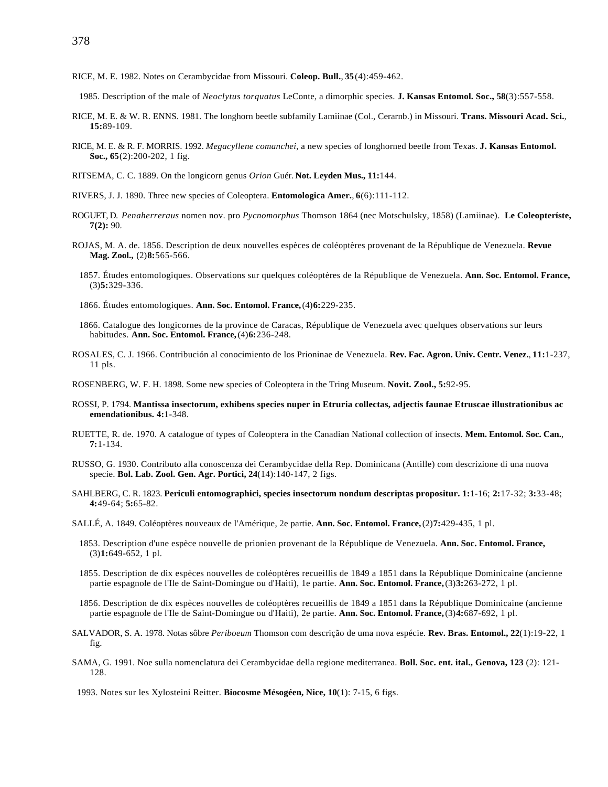- RICE, M. E. 1982. Notes on Cerambycidae from Missouri. **Coleop. Bull.**, **35**(4):459-462.
- 1985. Description of the male of *Neoclytus torquatus* LeConte, a dimorphic species. **J. Kansas Entomol. Soc., 58**(3):557-558.
- RICE, M. E. & W. R. ENNS. 1981. The longhorn beetle subfamily Lamiinae (Col., Cerarnb.) in Missouri. **Trans. Missouri Acad. Sci.**, **15:**89-109.
- RICE, M. E. & R. F. MORRIS. 1992. *Megacyllene comanchei*, a new species of longhorned beetle from Texas. **J. Kansas Entomol. Soc., 65**(2):200-202, 1 fig.
- RITSEMA, C. C. 1889. On the longicorn genus *Orion* Guér. **Not. Leyden Mus., 11:**144.
- RIVERS, J. J. 1890. Three new species of Coleoptera. **Entomologica Amer.**, **6**(6):111-112.
- ROGUET, D. *Penaherreraus* nomen nov. pro *Pycnomorphus* Thomson 1864 (nec Motschulsky, 1858) (Lamiinae). **Le Coleopteríste, 7(2):** 90.
- ROJAS, M. A. de. 1856. Description de deux nouvelles espèces de coléoptères provenant de la République de Venezuela. **Revue Mag. Zool.,** (2)**8:**565-566.
	- 1857. Études entomologiques. Observations sur quelques coléoptères de la République de Venezuela. **Ann. Soc. Entomol. France,** (3)**5:**329-336.
	- 1866. Études entomologiques. **Ann. Soc. Entomol. France,** (4)**6:**229-235.
	- 1866. Catalogue des longicornes de la province de Caracas, République de Venezuela avec quelques observations sur leurs habitudes. **Ann. Soc. Entomol. France,** (4)**6:**236-248.
- ROSALES, C. J. 1966. Contribución al conocimiento de los Prioninae de Venezuela. **Rev. Fac. Agron. Univ. Centr. Venez.**, **11:**1-237, 11 pls.
- ROSENBERG, W. F. H. 1898. Some new species of Coleoptera in the Tring Museum. **Novit. Zool., 5:**92-95.
- ROSSI, P. 1794. **Mantissa insectorum, exhibens species nuper in Etruria collectas, adjectis faunae Etruscae illustrationibus ac emendationibus. 4:**1-348.
- RUETTE, R. de. 1970. A catalogue of types of Coleoptera in the Canadian National collection of insects. **Mem. Entomol. Soc. Can.**, **7:**1-134.
- RUSSO, G. 1930. Contributo alla conoscenza dei Cerambycidae della Rep. Dominicana (Antille) com descrizione di una nuova specie. **Bol. Lab. Zool. Gen. Agr. Portici, 24**(14):140-147, 2 figs.
- SAHLBERG, C. R. 1823. **Periculi entomographici, species insectorum nondum descriptas propositur. 1:**1-16; **2:**17-32; **3:**33-48; **4:**49-64; **5:**65-82.
- SALLÉ, A. 1849. Coléoptères nouveaux de l'Amérique, 2e partie. **Ann. Soc. Entomol. France,** (2)**7:**429-435, 1 pl.
	- 1853. Description d'une espèce nouvelle de prionien provenant de la République de Venezuela. **Ann. Soc. Entomol. France,** (3)**1:**649-652, 1 pl.
	- 1855. Description de dix espèces nouvelles de coléoptères recueillis de 1849 a 1851 dans la République Dominicaine (ancienne partie espagnole de l'Ile de Saint-Domingue ou d'Haiti), 1e partie. **Ann. Soc. Entomol. France,** (3)**3:**263-272, 1 pl.
	- 1856. Description de dix espèces nouvelles de coléoptères recueillis de 1849 a 1851 dans la République Dominicaine (ancienne partie espagnole de l'Ile de Saint-Domingue ou d'Haiti), 2e partie. **Ann. Soc. Entomol. France,** (3)**4:**687-692, 1 pl.
- SALVADOR, S. A. 1978. Notas sôbre *Periboeum* Thomson com descrição de uma nova espécie. **Rev. Bras. Entomol., 22**(1):19-22, 1 fig.
- SAMA, G. 1991. Noe sulla nomenclatura dei Cerambycidae della regione mediterranea. **Boll. Soc. ent. ital., Genova, 123** (2): 121- 128.
- 1993. Notes sur les Xylosteini Reitter. **Biocosme Mésogéen, Nice, 10**(1): 7-15, 6 figs.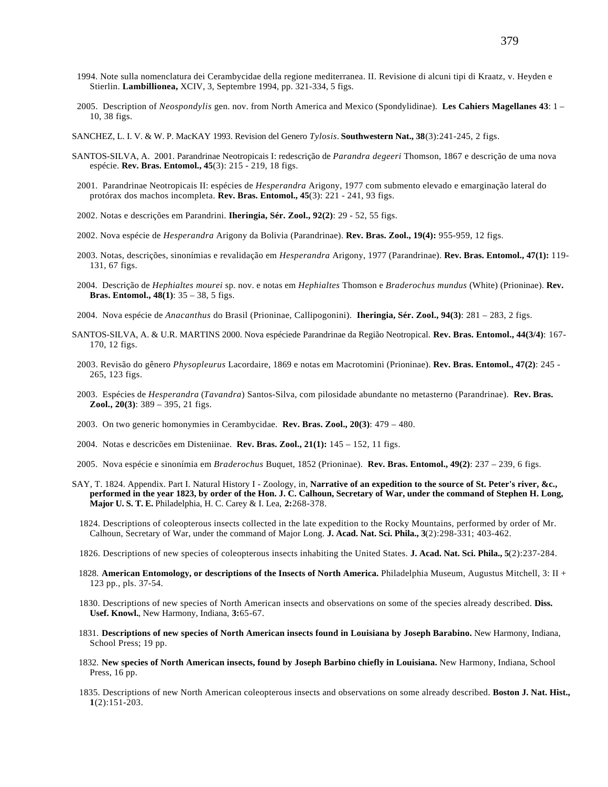- 1994. Note sulla nomenclatura dei Cerambycidae della regione mediterranea. II. Revisione di alcuni tipi di Kraatz, v. Heyden e Stierlin. **Lambillionea,** XCIV, 3, Septembre 1994, pp. 321-334, 5 figs.
- 2005. Description of *Neospondylis* gen. nov. from North America and Mexico (Spondylidinae). **Les Cahiers Magellanes 43**: 1 10, 38 figs.
- SANCHEZ, L. I. V. & W. P. MacKAY 1993. Revision del Genero *Tylosis*. **Southwestern Nat., 38**(3):241-245, 2 figs.
- SANTOS-SILVA, A. 2001. Parandrinae Neotropicais I: redescrição de *Parandra degeeri* Thomson, 1867 e descrição de uma nova espécie. **Rev. Bras. Entomol., 45**(3): 215 - 219, 18 figs.
- 2001. Parandrinae Neotropicais II: espécies de *Hesperandra* Arigony, 1977 com submento elevado e emarginação lateral do protórax dos machos incompleta. **Rev. Bras. Entomol., 45**(3): 221 - 241, 93 figs.
- 2002. Notas e descrições em Parandrini. **Iheringia, Sér. Zool., 92(2)**: 29 52, 55 figs.
- 2002. Nova espécie de *Hesperandra* Arigony da Bolivia (Parandrinae). **Rev. Bras. Zool., 19(4):** 955-959, 12 figs.
- 2003. Notas, descrições, sinonímias e revalidação em *Hesperandra* Arigony, 1977 (Parandrinae). **Rev. Bras. Entomol., 47(1):** 119- 131, 67 figs.
- 2004. Descrição de *Hephialtes mourei* sp. nov. e notas em *Hephialtes* Thomson e *Braderochus mundus* (White) (Prioninae). **Rev. Bras. Entomol., 48(1)**: 35 – 38, 5 figs.
- 2004. Nova espécie de *Anacanthus* do Brasil (Prioninae, Callipogonini). **Iheringia, Sér. Zool., 94(3)**: 281 283, 2 figs.
- SANTOS-SILVA, A. & U.R. MARTINS 2000. Nova espéciede Parandrinae da Região Neotropical. **Rev. Bras. Entomol., 44(3/4)**: 167- 170, 12 figs.
- 2003. Revisão do gênero *Physopleurus* Lacordaire, 1869 e notas em Macrotomini (Prioninae). **Rev. Bras. Entomol., 47(2)**: 245 265, 123 figs.
- 2003. Espécies de *Hesperandra* (*Tavandra*) Santos-Silva, com pilosidade abundante no metasterno (Parandrinae). **Rev. Bras. Zool., 20(3)**: 389 – 395, 21 figs.
- 2003. On two generic homonymies in Cerambycidae. **Rev. Bras. Zool., 20(3)**: 479 480.
- 2004. Notas e descricões em Disteniinae. **Rev. Bras. Zool., 21(1):** 145 152, 11 figs.
- 2005. Nova espécie e sinonímia em *Braderochus* Buquet, 1852 (Prioninae). **Rev. Bras. Entomol., 49(2)**: 237 239, 6 figs.
- SAY, T. 1824. Appendix. Part I. Natural History I Zoology, in, **Narrative of an expedition to the source of St. Peter's river, &c., performed in the year 1823, by order of the Hon. J. C. Calhoun, Secretary of War, under the command of Stephen H. Long, Major U. S. T. E.** Philadelphia, H. C. Carey & I. Lea, **2:**268-378.
	- 1824. Descriptions of coleopterous insects collected in the late expedition to the Rocky Mountains, performed by order of Mr. Calhoun, Secretary of War, under the command of Major Long. **J. Acad. Nat. Sci. Phila., 3**(2):298-331; 403-462.
	- 1826. Descriptions of new species of coleopterous insects inhabiting the United States. **J. Acad. Nat. Sci. Phila., 5**(2):237-284.
	- 1828. **American Entomology, or descriptions of the Insects of North America.** Philadelphia Museum, Augustus Mitchell, 3: II + 123 pp., pls. 37-54.
	- 1830. Descriptions of new species of North American insects and observations on some of the species already described. **Diss. Usef. Knowl.**, New Harmony, Indiana, **3:**65-67.
	- 1831. **Descriptions of new species of North American insects found in Louisiana by Joseph Barabino.** New Harmony, Indiana, School Press; 19 pp.
	- 1832. **New species of North American insects, found by Joseph Barbino chiefly in Louisiana.** New Harmony, Indiana, School Press, 16 pp.
	- 1835. Descriptions of new North American coleopterous insects and observations on some already described. **Boston J. Nat. Hist., 1**(2):151-203.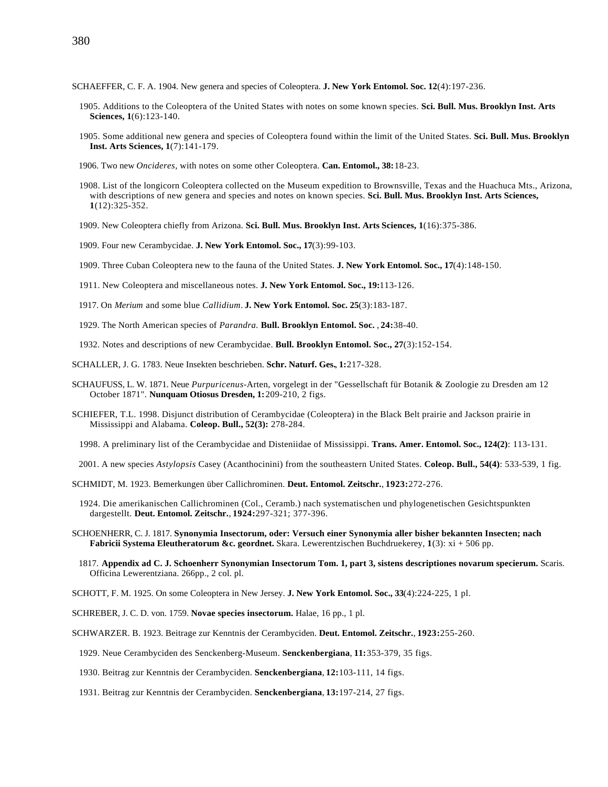- SCHAEFFER, C. F. A. 1904. New genera and species of Coleoptera. **J. New York Entomol. Soc. 12**(4):197-236.
	- 1905. Additions to the Coleoptera of the United States with notes on some known species. **Sci. Bull. Mus. Brooklyn Inst. Arts Sciences, 1**(6):123-140.
	- 1905. Some additional new genera and species of Coleoptera found within the limit of the United States. **Sci. Bull. Mus. Brooklyn Inst. Arts Sciences, 1**(7):141-179.
	- 1906. Two new *Oncideres*, with notes on some other Coleoptera. **Can. Entomol., 38:**18-23.
	- 1908. List of the longicorn Coleoptera collected on the Museum expedition to Brownsville, Texas and the Huachuca Mts., Arizona, with descriptions of new genera and species and notes on known species. **Sci. Bull. Mus. Brooklyn Inst. Arts Sciences, 1**(12):325-352.
	- 1909. New Coleoptera chiefly from Arizona. **Sci. Bull. Mus. Brooklyn Inst. Arts Sciences, 1**(16):375-386.
	- 1909. Four new Cerambycidae. **J. New York Entomol. Soc., 17**(3):99-103.
	- 1909. Three Cuban Coleoptera new to the fauna of the United States. **J. New York Entomol. Soc., 17**(4):148-150.
	- 1911. New Coleoptera and miscellaneous notes. **J. New York Entomol. Soc., 19:**113-126.
	- 1917. On *Merium* and some blue *Callidium*. **J. New York Entomol. Soc. 25**(3):183-187.
	- 1929. The North American species of *Parandra.* **Bull. Brooklyn Entomol. Soc.** , **24:**38-40.
	- 1932. Notes and descriptions of new Cerambycidae. **Bull. Brooklyn Entomol. Soc., 27**(3):152-154.
- SCHALLER, J. G. 1783. Neue Insekten beschrieben. **Schr. Naturf. Ges.**, **1:**217-328.
- SCHAUFUSS, L. W. 1871. Neue *Purpuricenus*-Arten, vorgelegt in der "Gessellschaft für Botanik & Zoologie zu Dresden am 12 October 1871". **Nunquam Otiosus Dresden, 1:**209-210, 2 figs.
- SCHIEFER, T.L. 1998. Disjunct distribution of Cerambycidae (Coleoptera) in the Black Belt prairie and Jackson prairie in Mississippi and Alabama. **Coleop. Bull., 52(3):** 278-284.
	- 1998. A preliminary list of the Cerambycidae and Disteniidae of Mississippi. **Trans. Amer. Entomol. Soc., 124(2)**: 113-131.
- 2001. A new species *Astylopsis* Casey (Acanthocinini) from the southeastern United States. **Coleop. Bull., 54(4)**: 533-539, 1 fig.

SCHMIDT, M. 1923. Bemerkungen über Callichrominen. **Deut. Entomol. Zeitschr.**, **1923:**272-276.

- 1924. Die amerikanischen Callichrominen (Col., Ceramb.) nach systematischen und phylogenetischen Gesichtspunkten dargestellt. **Deut. Entomol. Zeitschr.**, **1924:**297-321; 377-396.
- SCHOENHERR, C. J. 1817. **Synonymia Insectorum, oder: Versuch einer Synonymia aller bisher bekannten Insecten; nach Fabricii Systema Eleutheratorum &c. geordnet.** Skara. Lewerentzischen Buchdruekerey, **1**(3): xi + 506 pp.
	- 1817. **Appendix ad C. J. Schoenherr Synonymian Insectorum Tom. 1, part 3, sistens descriptiones novarum specierum.** Scaris. Officina Lewerentziana. 266pp., 2 col. pl.

SCHOTT, F. M. 1925. On some Coleoptera in New Jersey. **J. New York Entomol. Soc., 33**(4):224-225, 1 pl.

SCHREBER, J. C. D. von. 1759. **Novae species insectorum.** Halae, 16 pp., 1 pl.

SCHWARZER. B. 1923. Beitrage zur Kenntnis der Cerambyciden. **Deut. Entomol. Zeitschr.**, **1923:**255-260.

- 1929. Neue Cerambyciden des Senckenberg-Museum. **Senckenbergiana**, **11:**353-379, 35 figs.
- 1930. Beitrag zur Kenntnis der Cerambyciden. **Senckenbergiana**, **12:**103-111, 14 figs.
- 1931. Beitrag zur Kenntnis der Cerambyciden. **Senckenbergiana**, **13:**197-214, 27 figs.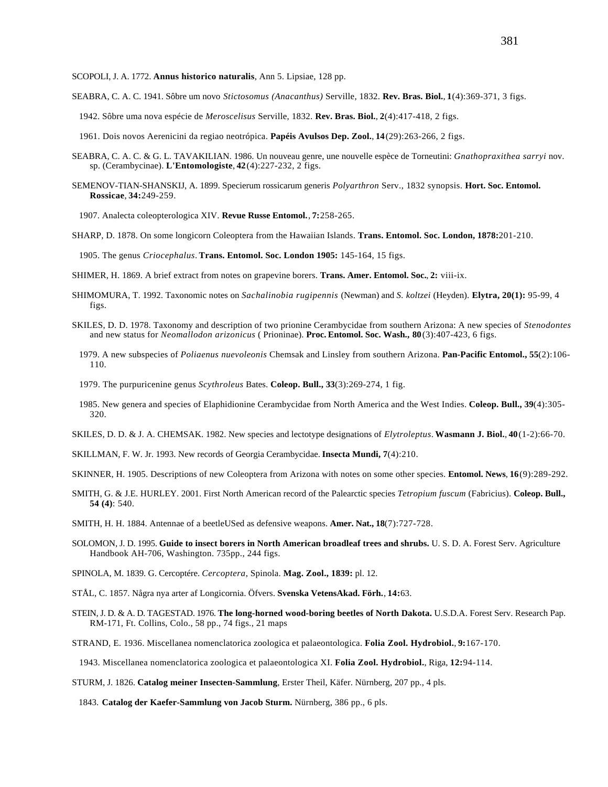## SCOPOLI, J. A. 1772. **Annus historico naturalis**, Ann 5. Lipsiae, 128 pp.

SEABRA, C. A. C. 1941. Sôbre um novo *Stictosomus (Anacanthus)* Serville, 1832. **Rev. Bras. Biol.**, **1**(4):369-371, 3 figs.

- 1942. Sôbre uma nova espécie de *Meroscelisus* Serville, 1832. **Rev. Bras. Biol.**, **2**(4):417-418, 2 figs.
- 1961. Dois novos Aerenicini da regiao neotrópica. **Papéis Avulsos Dep. Zool.**, **14**(29):263-266, 2 figs.
- SEABRA, C. A. C. & G. L. TAVAKILIAN. 1986. Un nouveau genre, une nouvelle espèce de Torneutini: *Gnathopraxithea sarryi* nov. sp. (Cerambycinae). **L'Entomologiste**, **42**(4):227-232, 2 figs.
- SEMENOV-TIAN-SHANSKIJ, A. 1899. Specierum rossicarum generis *Polyarthron* Serv., 1832 synopsis. **Hort. Soc. Entomol. Rossicae**, **34:**249-259.

1907. Analecta coleopterologica XIV. **Revue Russe Entomol.**, **7:**258-265.

SHARP, D. 1878. On some longicorn Coleoptera from the Hawaiian Islands. **Trans. Entomol. Soc. London, 1878:**201-210.

1905. The genus *Criocephalus*. **Trans. Entomol. Soc. London 1905:** 145-164, 15 figs.

- SHIMER, H. 1869. A brief extract from notes on grapevine borers. **Trans. Amer. Entomol. Soc.**, **2:** viii-ix.
- SHIMOMURA, T. 1992. Taxonomic notes on *Sachalinobia rugipennis* (Newman) and *S. koltzei* (Heyden). **Elytra, 20(1):** 95-99, 4 figs.
- SKILES, D. D. 1978. Taxonomy and description of two prionine Cerambycidae from southern Arizona: A new species of *Stenodontes* and new status for *Neomallodon arizonicus* ( Prioninae). **Proc. Entomol. Soc. Wash., 80**(3):407-423, 6 figs.
	- 1979. A new subspecies of *Poliaenus nuevoleonis* Chemsak and Linsley from southern Arizona. **Pan-Pacific Entomol., 55**(2):106- 110.
	- 1979. The purpuricenine genus *Scythroleus* Bates. **Coleop. Bull., 33**(3):269-274, 1 fig.
	- 1985. New genera and species of Elaphidionine Cerambycidae from North America and the West Indies. **Coleop. Bull., 39**(4):305- 320.
- SKILES, D. D. & J. A. CHEMSAK. 1982. New species and lectotype designations of *Elytroleptus*. **Wasmann J. Biol.**, **40**(1-2):66-70.
- SKILLMAN, F. W. Jr. 1993. New records of Georgia Cerambycidae. **Insecta Mundi, 7**(4):210.
- SKINNER, H. 1905. Descriptions of new Coleoptera from Arizona with notes on some other species. **Entomol. News**, **16**(9):289-292.
- SMITH, G. & J.E. HURLEY. 2001. First North American record of the Palearctic species *Tetropium fuscum* (Fabricius). **Coleop. Bull., 54 (4)**: 540.
- SMITH, H. H. 1884. Antennae of a beetleUSed as defensive weapons. **Amer. Nat., 18**(7):727-728.
- SOLOMON, J. D. 1995. **Guide to insect borers in North American broadleaf trees and shrubs.** U. S. D. A. Forest Serv. Agriculture Handbook AH-706, Washington. 735pp., 244 figs.
- SPINOLA, M. 1839. G. Cercoptére. *Cercoptera*, Spinola. **Mag. Zool., 1839:** pl. 12.
- STÅL, C. 1857. Några nya arter af Longicornia. Öfvers. **Svenska VetensAkad. Förh.**, **14:**63.
- STEIN, J. D. & A. D. TAGESTAD. 1976. **The long-horned wood-boring beetles of North Dakota.** U.S.D.A. Forest Serv. Research Pap. RM-171, Ft. Collins, Colo., 58 pp., 74 figs., 21 maps

STRAND, E. 1936. Miscellanea nomenclatorica zoologica et palaeontologica. **Folia Zool. Hydrobiol.**, **9:**167-170.

1943. Miscellanea nomenclatorica zoologica et palaeontologica XI. **Folia Zool. Hydrobiol.**, Riga, **12:**94-114.

STURM, J. 1826. **Catalog meiner Insecten-Sammlung**, Erster Theil, Käfer. Nürnberg, 207 pp., 4 pls.

1843. **Catalog der Kaefer-Sammlung von Jacob Sturm.** Nürnberg, 386 pp., 6 pls.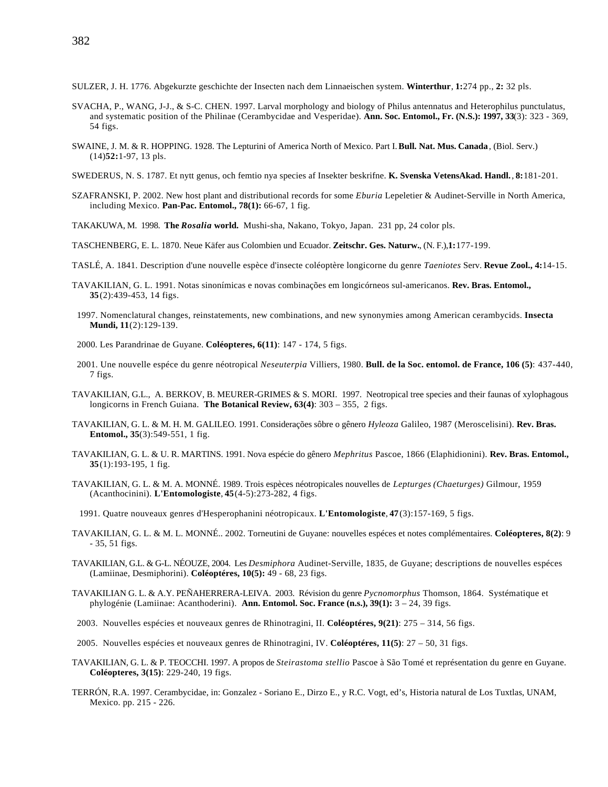SULZER, J. H. 1776. Abgekurzte geschichte der Insecten nach dem Linnaeischen system. **Winterthur**, **1:**274 pp., **2:** 32 pls.

- SVACHA, P., WANG, J-J., & S-C. CHEN. 1997. Larval morphology and biology of Philus antennatus and Heterophilus punctulatus, and systematic position of the Philinae (Cerambycidae and Vesperidae). **Ann. Soc. Entomol., Fr. (N.S.): 1997, 33**(3): 323 - 369, 54 figs.
- SWAINE, J. M. & R. HOPPING. 1928. The Lepturini of America North of Mexico. Part I. **Bull. Nat. Mus. Canada**, (Biol. Serv.) (14)**52:**1-97, 13 pls.
- SWEDERUS, N. S. 1787. Et nytt genus, och femtio nya species af Insekter beskrifne. **K. Svenska VetensAkad. Handl.**, **8:**181-201.
- SZAFRANSKI, P. 2002. New host plant and distributional records for some *Eburia* Lepeletier & Audinet-Serville in North America, including Mexico. **Pan-Pac. Entomol., 78(1):** 66-67, 1 fig.

TAKAKUWA, M. 1998. **The** *Rosalia* **world.** Mushi-sha, Nakano, Tokyo, Japan. 231 pp, 24 color pls.

TASCHENBERG, E. L. 1870. Neue Käfer aus Colombien und Ecuador. **Zeitschr. Ges. Naturw.**, (N. F.),**1:**177-199.

- TASLÉ, A. 1841. Description d'une nouvelle espèce d'insecte coléoptère longicorne du genre *Taeniotes* Serv. **Revue Zool., 4:**14-15.
- TAVAKILIAN, G. L. 1991. Notas sinonímicas e novas combinações em longicórneos sul-americanos. **Rev. Bras. Entomol., 35**(2):439-453, 14 figs.
- 1997. Nomenclatural changes, reinstatements, new combinations, and new synonymies among American cerambycids. **Insecta Mundi, 11**(2):129-139.
- 2000. Les Parandrinae de Guyane. **Coléopteres, 6(11)**: 147 174, 5 figs.
- 2001. Une nouvelle espéce du genre néotropical *Neseuterpia* Villiers, 1980. **Bull. de la Soc. entomol. de France, 106 (5)**: 437-440, 7 figs.
- TAVAKILIAN, G.L., A. BERKOV, B. MEURER-GRIMES & S. MORI. 1997. Neotropical tree species and their faunas of xylophagous longicorns in French Guiana. **The Botanical Review, 63(4)**: 303 – 355, 2 figs.
- TAVAKILIAN, G. L. & M. H. M. GALILEO. 1991. Considerações sôbre o gênero *Hyleoza* Galileo, 1987 (Meroscelisini). **Rev. Bras. Entomol., 35**(3):549-551, 1 fig.
- TAVAKILIAN, G. L. & U. R. MARTINS. 1991. Nova espécie do gênero *Mephritus* Pascoe, 1866 (Elaphidionini). **Rev. Bras. Entomol., 35**(1):193-195, 1 fig.
- TAVAKILIAN, G. L. & M. A. MONNÉ. 1989. Trois espèces néotropicales nouvelles de *Lepturges (Chaeturges)* Gilmour, 1959 (Acanthocinini). **L'Entomologiste**, **45**(4-5):273-282, 4 figs.
	- 1991. Quatre nouveaux genres d'Hesperophanini néotropicaux. **L'Entomologiste**, **47**(3):157-169, 5 figs.
- TAVAKILIAN, G. L. & M. L. MONNÉ.. 2002. Torneutini de Guyane: nouvelles espéces et notes complémentaires. **Coléopteres, 8(2)**: 9 - 35, 51 figs.
- TAVAKILIAN, G.L. & G-L. NÉOUZE, 2004. Les *Desmiphora* Audinet-Serville, 1835, de Guyane; descriptions de nouvelles espéces (Lamiinae, Desmiphorini). **Coléoptéres, 10(5):** 49 - 68, 23 figs.
- TAVAKILIAN G. L. & A.Y. PEÑAHERRERA-LEIVA. 2003. Révision du genre *Pycnomorphus* Thomson, 1864. Systématique et phylogénie (Lamiinae: Acanthoderini). **Ann. Entomol. Soc. France (n.s.), 39(1):** 3 – 24, 39 figs.
- 2003. Nouvelles espécies et nouveaux genres de Rhinotragini, II. **Coléoptéres, 9(21)**: 275 314, 56 figs.
- 2005. Nouvelles espécies et nouveaux genres de Rhinotragini, IV. **Coléoptéres, 11(5)**: 27 50, 31 figs.
- TAVAKILIAN, G. L. & P. TEOCCHI. 1997. A propos de *Steirastoma stellio* Pascoe à São Tomé et représentation du genre en Guyane. **Coléopteres, 3(15)**: 229-240, 19 figs.
- TERRÓN, R.A. 1997. Cerambycidae, in: Gonzalez Soriano E., Dirzo E., y R.C. Vogt, ed's, Historia natural de Los Tuxtlas, UNAM, Mexico. pp. 215 - 226.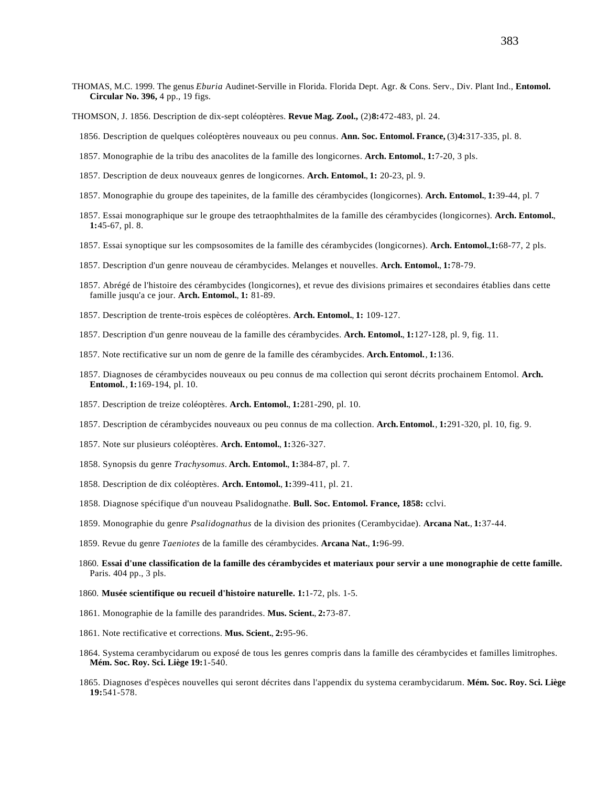- THOMAS, M.C. 1999. The genus *Eburia* Audinet-Serville in Florida. Florida Dept. Agr. & Cons. Serv., Div. Plant Ind., **Entomol. Circular No. 396,** 4 pp., 19 figs.
- THOMSON, J. 1856. Description de dix-sept coléoptères. **Revue Mag. Zool.,** (2)**8:**472-483, pl. 24.
	- 1856. Description de quelques coléoptères nouveaux ou peu connus. **Ann. Soc. Entomol. France,** (3)**4:**317-335, pl. 8.
	- 1857. Monographie de la tribu des anacolites de la famille des longicornes. **Arch. Entomol.**, **1:**7-20, 3 pls.
	- 1857. Description de deux nouveaux genres de longicornes. **Arch. Entomol.**, **1:** 20-23, pl. 9.
	- 1857. Monographie du groupe des tapeinites, de la famille des cérambycides (longicornes). **Arch. Entomol.**, **1:**39-44, pl. 7
	- 1857. Essai monographique sur le groupe des tetraophthalmites de la famille des cérambycides (longicornes). **Arch. Entomol.**, **1:**45-67, pl. 8.
	- 1857. Essai synoptique sur les compsosomites de la famille des cérambycides (longicornes). **Arch. Entomol.**,**1:**68-77, 2 pls.
	- 1857. Description d'un genre nouveau de cérambycides. Melanges et nouvelles. **Arch. Entomol.**, **1:**78-79.
	- 1857. Abrégé de l'histoire des cérambycides (longicornes), et revue des divisions primaires et secondaires établies dans cette famille jusqu'a ce jour. **Arch. Entomol.**, **1:** 81-89.
	- 1857. Description de trente-trois espèces de coléoptères. **Arch. Entomol.**, **1:** 109-127.
	- 1857. Description d'un genre nouveau de la famille des cérambycides. **Arch. Entomol.**, **1:**127-128, pl. 9, fig. 11.
	- 1857. Note rectificative sur un nom de genre de la famille des cérambycides. **Arch.Entomol.**, **1:**136.
	- 1857. Diagnoses de cérambycides nouveaux ou peu connus de ma collection qui seront décrits prochainem Entomol. **Arch. Entomol.**, **1:**169-194, pl. 10.
	- 1857. Description de treize coléoptères. **Arch. Entomol.**, **1:**281-290, pl. 10.
	- 1857. Description de cérambycides nouveaux ou peu connus de ma collection. **Arch.Entomol.**, **1:**291-320, pl. 10, fig. 9.
	- 1857. Note sur plusieurs coléoptères. **Arch. Entomol.**, **1:**326-327.
	- 1858. Synopsis du genre *Trachysomus*. **Arch. Entomol.**, **1:**384-87, pl. 7.
	- 1858. Description de dix coléoptères. **Arch. Entomol.**, **1:**399-411, pl. 21.
	- 1858. Diagnose spécifique d'un nouveau Psalidognathe. **Bull. Soc. Entomol. France, 1858:** cclvi.
	- 1859. Monographie du genre *Psalidognathus* de la division des prionites (Cerambycidae). **Arcana Nat.**, **1:**37-44.
	- 1859. Revue du genre *Taeniotes* de la famille des cérambycides. **Arcana Nat.**, **1:**96-99.
	- 1860. **Essai d'une classification de la famille des cérambycides et materiaux pour servir a une monographie de cette famille.** Paris. 404 pp., 3 pls.
	- 1860. **Musée scientifique ou recueil d'histoire naturelle. 1:**1-72, pls. 1-5.
	- 1861. Monographie de la famille des parandrides. **Mus. Scient.**, **2:**73-87.
	- 1861. Note rectificative et corrections. **Mus. Scient.**, **2:**95-96.
	- 1864. Systema cerambycidarum ou exposé de tous les genres compris dans la famille des cérambycides et familles limitrophes. **Mém. Soc. Roy. Sci. Liège 19:**1-540.
	- 1865. Diagnoses d'espèces nouvelles qui seront décrites dans l'appendix du systema cerambycidarum. **Mém. Soc. Roy. Sci. Liège 19:**541-578.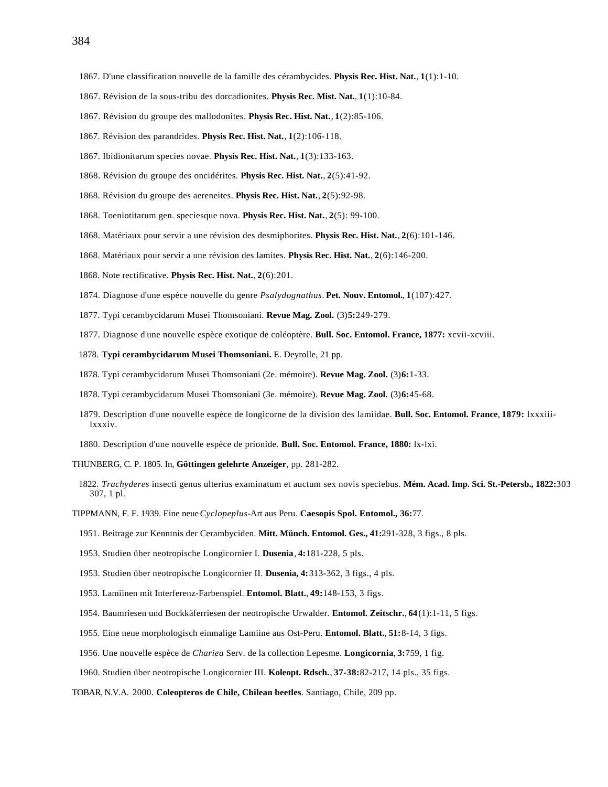- 1867. Révision de la sous-tribu des dorcadionites. **Physis Rec. Mist. Nat.**, **1**(1):10-84.
- 1867. Révision du groupe des mallodonites. **Physis Rec. Hist. Nat.**, **1**(2):85-106.
- 1867. Révision des parandrides. **Physis Rec. Hist. Nat.**, **1**(2):106-118.
- 1867. Ibidionitarum species novae. **Physis Rec. Hist. Nat.**, **1**(3):133-163.
- 1868. Révision du groupe des oncidérites. **Physis Rec. Hist. Nat.**, **2**(5):41-92.
- 1868. Révision du groupe des aereneites. **Physis Rec. Hist. Nat.**, **2**(5):92-98.
- 1868. Toeniotitarum gen. speciesque nova. **Physis Rec. Hist. Nat.**, **2**(5): 99-100.
- 1868. Matériaux pour servir a une révision des desmiphorites. **Physis Rec. Hist. Nat.**, **2**(6):101-146.
- 1868. Matériaux pour servir a une révision des lamites. **Physis Rec. Hist. Nat.**, **2**(6):146-200.
- 1868. Note rectificative. **Physis Rec. Hist. Nat.**, **2**(6):201.
- 1874. Diagnose d'une espèce nouvelle du genre *Psalydognathus*. **Pet. Nouv. Entomol.**, **1**(107):427.
- 1877. Typi cerambycidarum Musei Thomsoniani. **Revue Mag. Zool.** (3)**5:**249-279.
- 1877. Diagnose d'une nouvelle espèce exotique de coléoptère. **Bull. Soc. Entomol. France, 1877:** xcvii-xcviii.
- 1878. **Typi cerambycidarum Musei Thomsoniani.** E. Deyrolle, 21 pp.
- 1878. Typi cerambycidarum Musei Thomsoniani (2e. mémoire). **Revue Mag. Zool.** (3)**6:**1-33.
- 1878. Typi cerambycidarum Musei Thomsoniani (3e. mémoire). **Revue Mag. Zool.** (3)**6:**45-68.
- 1879. Description d'une nouvelle espèce de longicorne de la division des lamiidae. **Bull. Soc. Entomol. France**, **1879:** lxxxiiilxxxiv.
- 1880. Description d'une nouvelle espèce de prionide. **Bull. Soc. Entomol. France, 1880:** lx-lxi.

THUNBERG, C. P. 1805. In, **Göttingen gelehrte Anzeiger**, pp. 281-282.

- 1822. *Trachyderes* insecti genus ulterius examinatum et auctum sex novis speciebus. **Mém. Acad. Imp. Sci. St.-Petersb., 1822:**303 307, 1 pl.
- TIPPMANN, F. F. 1939. Eine neue *Cyclopeplus*-Art aus Peru. **Caesopis Spol. Entomol., 36:**77.
	- 1951. Beitrage zur Kenntnis der Cerambyciden. **Mitt. Münch. Entomol. Ges., 41:**291-328, 3 figs., 8 pls.
	- 1953. Studien über neotropische Longicornier I. **Dusenia**, **4:**181-228, 5 pls.
	- 1953. Studien über neotropische Longicornier II. **Dusenia, 4:**313-362, 3 figs., 4 pls.
	- 1953. Lamiinen mit Interferenz-Farbenspiel. **Entomol. Blatt.**, **49:**148-153, 3 figs.
	- 1954. Baumriesen und Bockkäferriesen der neotropische Urwalder. **Entomol. Zeitschr.**, **64**(1):1-11, 5 figs.
	- 1955. Eine neue morphologisch einmalige Lamiine aus Ost-Peru. **Entomol. Blatt.**, **51:**8-14, 3 figs.
	- 1956. Une nouvelle espèce de *Chariea* Serv. de la collection Lepesme. **Longicornia**, **3:**759, 1 fig.
	- 1960. Studien über neotropische Longicornier III. **Koleopt. Rdsch.**, **37-38:**82-217, 14 pls., 35 figs.

TOBAR, N.V.A. 2000. **Coleopteros de Chile, Chilean beetles**. Santiago, Chile, 209 pp.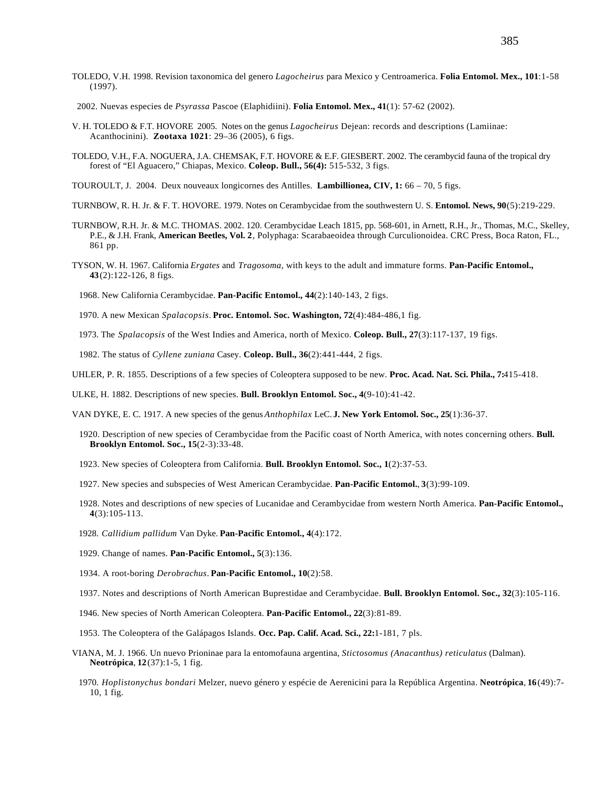TOLEDO, V.H. 1998. Revision taxonomica del genero *Lagocheirus* para Mexico y Centroamerica. **Folia Entomol. Mex., 101**:1-58 (1997).

2002. Nuevas especies de *Psyrassa* Pascoe (Elaphidiini). **Folia Entomol. Mex., 41**(1): 57-62 (2002).

- V. H. TOLEDO & F.T. HOVORE 2005. Notes on the genus *Lagocheirus* Dejean: records and descriptions (Lamiinae: Acanthocinini). **Zootaxa 1021**: 29–36 (2005), 6 figs.
- TOLEDO, V.H., F.A. NOGUERA, J.A. CHEMSAK, F.T. HOVORE & E.F. GIESBERT. 2002. The cerambycid fauna of the tropical dry forest of "El Aguacero," Chiapas, Mexico. **Coleop. Bull., 56(4):** 515-532, 3 figs.
- TOUROULT, J. 2004. Deux nouveaux longicornes des Antilles. **Lambillionea, CIV, 1:** 66 70, 5 figs.
- TURNBOW, R. H. Jr. & F. T. HOVORE. 1979. Notes on Cerambycidae from the southwestern U. S. **Entomol. News, 90**(5):219-229.
- TURNBOW, R.H. Jr. & M.C. THOMAS. 2002. 120. Cerambycidae Leach 1815, pp. 568-601, in Arnett, R.H., Jr., Thomas, M.C., Skelley, P.E., & J.H. Frank, **American Beetles, Vol. 2**, Polyphaga: Scarabaeoidea through Curculionoidea. CRC Press, Boca Raton, FL., 861 pp.
- TYSON, W. H. 1967. California *Ergates* and *Tragosoma*, with keys to the adult and immature forms. **Pan-Pacific Entomol., 43**(2):122-126, 8 figs.

1968. New California Cerambycidae. **Pan-Pacific Entomol., 44**(2):140-143, 2 figs.

1970. A new Mexican *Spalacopsis*. **Proc. Entomol. Soc. Washington, 72**(4):484-486,1 fig.

1973. The *Spalacopsis* of the West Indies and America, north of Mexico. **Coleop. Bull., 27**(3):117-137, 19 figs.

1982. The status of *Cyllene zuniana* Casey. **Coleop. Bull., 36**(2):441-444, 2 figs.

UHLER, P. R. 1855. Descriptions of a few species of Coleoptera supposed to be new. **Proc. Acad. Nat. Sci. Phila., 7:**415-418.

ULKE, H. 1882. Descriptions of new species. **Bull. Brooklyn Entomol. Soc., 4**(9-10):41-42.

VAN DYKE, E. C. 1917. A new species of the genus *Anthophilax* LeC. **J. New York Entomol. Soc., 25**(1):36-37.

- 1920. Description of new species of Cerambycidae from the Pacific coast of North America, with notes concerning others. **Bull. Brooklyn Entomol. Soc., 15**(2-3):33-48.
- 1923. New species of Coleoptera from California. **Bull. Brooklyn Entomol. Soc., 1**(2):37-53.
- 1927. New species and subspecies of West American Cerambycidae. **Pan-Pacific Entomol.**, **3**(3):99-109.
- 1928. Notes and descriptions of new species of Lucanidae and Cerambycidae from western North America. **Pan-Pacific Entomol., 4**(3):105-113.
- 1928. *Callidium pallidum* Van Dyke. **Pan-Pacific Entomol., 4**(4):172.
- 1929. Change of names. **Pan-Pacific Entomol., 5**(3):136.
- 1934. A root-boring *Derobrachus*. **Pan-Pacific Entomol., 10**(2):58.
- 1937. Notes and descriptions of North American Buprestidae and Cerambycidae. **Bull. Brooklyn Entomol. Soc., 32**(3):105-116.
- 1946. New species of North American Coleoptera. **Pan-Pacific Entomol., 22**(3):81-89.
- 1953. The Coleoptera of the Galápagos Islands. **Occ. Pap. Calif. Acad. Sci., 22:**1-181, 7 pls.
- VIANA, M. J. 1966. Un nuevo Prioninae para la entomofauna argentina, *Stictosomus (Anacanthus) reticulatus* (Dalman). **Neotrópica**, **12**(37):1-5, 1 fig.
	- 1970. *Hoplistonychus bondari* Melzer, nuevo género y espécie de Aerenicini para la República Argentina. **Neotrópica**, **16**(49):7- 10, 1 fig.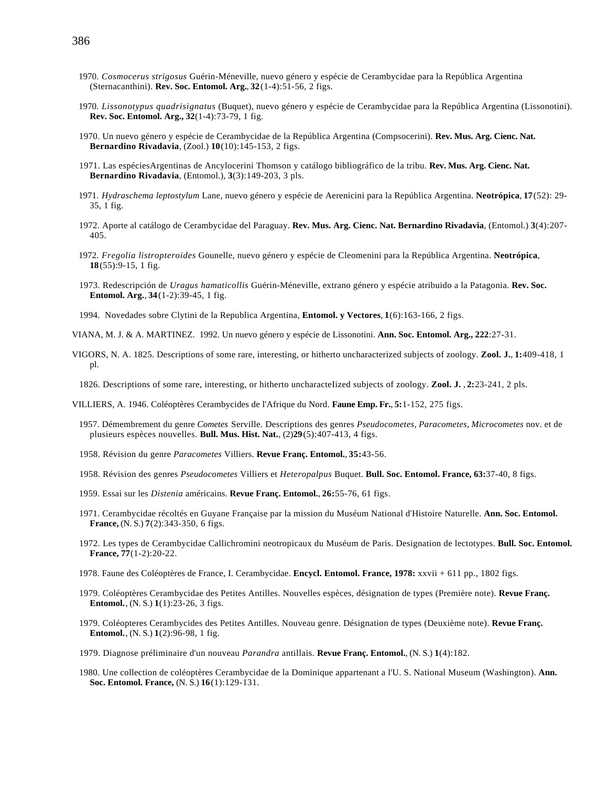- 1970. *Cosmocerus strigosus* Guérin-Méneville, nuevo género y espécie de Cerambycidae para la República Argentina (Sternacanthini). **Rev. Soc. Entomol. Arg.**, **32**(1-4):51-56, 2 figs.
- 1970. *Lissonotypus quadrisignatus* (Buquet), nuevo género y espécie de Cerambycidae para la República Argentina (Lissonotini). **Rev. Soc. Entomol. Arg., 32**(1-4):73-79, 1 fig.
- 1970. Un nuevo género y espécie de Cerambycidae de la República Argentina (Compsocerini). **Rev. Mus. Arg. Cienc. Nat. Bernardino Rivadavia**, (Zool.) **10**(10):145-153, 2 figs.
- 1971. Las espéciesArgentinas de Ancylocerini Thomson y catálogo bibliográfico de la tribu. **Rev. Mus. Arg. Cienc. Nat. Bernardino Rivadavia**, (Entomol.), **3**(3):149-203, 3 pls.
- 1971. *Hydraschema leptostylum* Lane, nuevo género y espécie de Aerenicini para la República Argentina. **Neotrópica**, **17**(52): 29- 35, 1 fig.
- 1972. Aporte al catálogo de Cerambycidae del Paraguay. **Rev. Mus. Arg. Cienc. Nat. Bernardino Rivadavia**, (Entomol.) **3**(4):207- 405.
- 1972. *Fregolia listropteroides* Gounelle, nuevo género y espécie de Cleomenini para la República Argentina. **Neotrópica**, **18**(55):9-15, 1 fig.
- 1973. Redescripción de *Uragus hamaticollis* Guérin-Méneville, extrano género y espécie atribuido a la Patagonia. **Rev. Soc. Entomol. Arg.**, **34**(1-2):39-45, 1 fig.
- 1994. Novedades sobre Clytini de la Republica Argentina, **Entomol. y Vectores**, **1**(6):163-166, 2 figs.
- VIANA, M. J. & A. MARTINEZ. 1992. Un nuevo género y espécie de Lissonotini. **Ann. Soc. Entomol. Arg., 222**:27-31.
- VIGORS, N. A. 1825. Descriptions of some rare, interesting, or hitherto uncharacterized subjects of zoology. **Zool. J.**, **1:**409-418, 1 pl.
	- 1826. Descriptions of some rare, interesting, or hitherto uncharacteIized subjects of zoology. **Zool. J.** , **2:**23-241, 2 pls.
- VILLIERS, A. 1946. Coléoptères Cerambycides de l'Afrique du Nord. **Faune Emp. Fr.**, **5:**1-152, 275 figs.
	- 1957. Démembrement du genre *Cometes* Serville. Descriptions des genres *Pseudocometes*, *Paracometes*, *Microcometes* nov. et de plusieurs espèces nouvelles. **Bull. Mus. Hist. Nat.**, (2)**29**(5):407-413, 4 figs.
	- 1958. Révision du genre *Paracometes* Villiers. **Revue Franç. Entomol.**, **35:**43-56.
	- 1958. Révision des genres *Pseudocometes* Villiers et *Heteropalpus* Buquet. **Bull. Soc. Entomol. France, 63:**37-40, 8 figs.
	- 1959. Essai sur les *Distenia* américains. **Revue Franç. Entomol.**, **26:**55-76, 61 figs.
	- 1971. Cerambycidae récoltés en Guyane Française par la mission du Muséum National d'Histoire Naturelle. **Ann. Soc. Entomol. France,** (N. S.) **7**(2):343-350, 6 figs.
	- 1972. Les types de Cerambycidae Callichromini neotropicaux du Muséum de Paris. Designation de lectotypes. **Bull. Soc. Entomol. France, 77**(1-2):20-22.
	- 1978. Faune des Coléoptères de France, I. Cerambycidae. **Encycl. Entomol. France, 1978:** xxvii + 611 pp., 1802 figs.
	- 1979. Coléoptères Cerambycidae des Petites Antilles. Nouvelles espèces, désignation de types (Première note). **Revue Franç. Entomol.**, (N. S.) **1**(1):23-26, 3 figs.
	- 1979. Coléopteres Cerambycides des Petites Antilles. Nouveau genre. Désignation de types (Deuxième note). **Revue Franç. Entomol.**, (N. S.) **1**(2):96-98, 1 fig.
	- 1979. Diagnose préliminaire d'un nouveau *Parandra* antillais. **Revue Franç. Entomol.**, (N. S.) **1**(4):182.
	- 1980. Une collection de coléoptères Cerambycidae de la Dominique appartenant a l'U. S. National Museum (Washington). **Ann. Soc. Entomol. France,** (N. S.) **16**(1):129-131.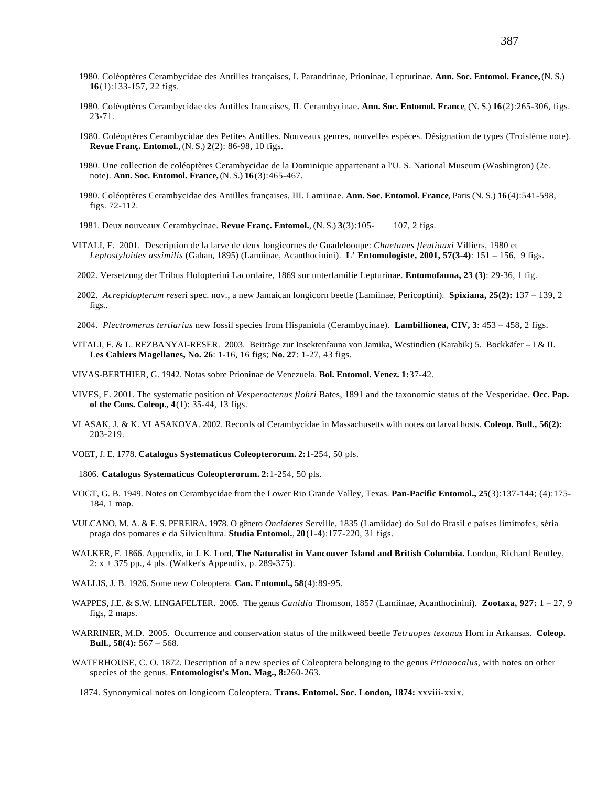- 1980. Coléoptères Cerambycidae des Antilles françaises, I. Parandrinae, Prioninae, Lepturinae. **Ann. Soc. Entomol. France,** (N. S.) **16**(1):133-157, 22 figs.
- 1980. Coléoptères Cerambycidae des Antilles francaises, II. Cerambycinae. **Ann. Soc. Entomol. France**, (N. S.) **16**(2):265-306, figs. 23-71.
- 1980. Coléoptères Cerambycidae des Petites Antilles. Nouveaux genres, nouvelles espèces. Désignation de types (Troislème note). **Revue Franç. Entomol.**, (N. S.) **2**(2): 86-98, 10 figs.
- 1980. Une collection de coléoptères Cerambycidae de la Dominique appartenant a l'U. S. National Museum (Washington) (2e. note). **Ann. Soc. Entomol. France,** (N. S.) **16**(3):465-467.
- 1980. Coléoptères Cerambycidae des Antilles françaises, III. Lamiinae. **Ann. Soc. Entomol. France**, Paris (N. S.) **16**(4):541-598, figs. 72-112.
- 1981. Deux nouveaux Cerambycinae. **Revue Franç. Entomol.**, (N. S.) **3**(3):105- 107, 2 figs.
- VITALI, F. 2001. Description de la larve de deux longicornes de Guadelooupe: *Chaetanes fleutiauxi* Villiers, 1980 et *Leptostyloides assimilis* (Gahan, 1895) (Lamiinae, Acanthocinini). **L' Entomologiste, 2001, 57(3-4)**: 151 – 156, 9 figs.
- 2002. Versetzung der Tribus Holopterini Lacordaire, 1869 sur unterfamilie Lepturinae. **Entomofauna, 23 (3)**: 29-36, 1 fig.
- 2002. *Acrepidopterum rese*ri spec. nov., a new Jamaican longicorn beetle (Lamiinae, Pericoptini). **Spixiana, 25(2):** 137 139, 2 figs..
- 2004. *Plectromerus tertiarius* new fossil species from Hispaniola (Cerambycinae). **Lambillionea, CIV, 3**: 453 458, 2 figs.
- VITALI, F. & L. REZBANYAI-RESER. 2003. Beiträge zur Insektenfauna von Jamika, Westindien (Karabik) 5. Bockkäfer I & II. **Les Cahiers Magellanes, No. 26**: 1-16, 16 figs; **No. 27**: 1-27, 43 figs.
- VIVAS-BERTHIER, G. 1942. Notas sobre Prioninae de Venezuela. **Bol. Entomol. Venez. 1:**37-42.
- VIVES, E. 2001. The systematic position of *Vesperoctenus flohri* Bates, 1891 and the taxonomic status of the Vesperidae. **Occ. Pap. of the Cons. Coleop., 4**(1): 35-44, 13 figs.
- VLASAK, J. & K. VLASAKOVA. 2002. Records of Cerambycidae in Massachusetts with notes on larval hosts. **Coleop. Bull., 56(2):** 203-219.
- VOET, J. E. 1778. **Catalogus Systematicus Coleopterorum. 2:**1-254, 50 pls.
- 1806. **Catalogus Systematicus Coleopterorum. 2:**1-254, 50 pls.
- VOGT, G. B. 1949. Notes on Cerambycidae from the Lower Rio Grande Valley, Texas. **Pan-Pacific Entomol., 25**(3):137-144; (4):175- 184, 1 map.
- VULCANO, M. A. & F. S. PEREIRA. 1978. O gênero *Oncideres* Serville, 1835 (Lamiidae) do Sul do Brasil e países limítrofes, séria praga dos pomares e da Silvicultura. **Studia Entomol.**, **20**(1-4):177-220, 31 figs.
- WALKER, F. 1866. Appendix, in J. K. Lord, **The Naturalist in Vancouver Island and British Columbia.** London, Richard Bentley, 2: x + 375 pp., 4 pls. (Walker's Appendix, p. 289-375).
- WALLIS, J. B. 1926. Some new Coleoptera. **Can. Entomol., 58**(4):89-95.
- WAPPES, J.E. & S.W. LINGAFELTER. 2005. The genus *Canidia* Thomson, 1857 (Lamiinae, Acanthocinini). **Zootaxa, 927:** 1 27, 9 figs, 2 maps.
- WARRINER, M.D. 2005. Occurrence and conservation status of the milkweed beetle *Tetraopes texanus* Horn in Arkansas. **Coleop. Bull., 58(4):** 567 – 568.
- WATERHOUSE, C. O. 1872. Description of a new species of Coleoptera belonging to the genus *Prionocalus*, with notes on other species of the genus. **Entomologist's Mon. Mag., 8:**260-263.
	- 1874. Synonymical notes on longicorn Coleoptera. **Trans. Entomol. Soc. London, 1874:** xxviii-xxix.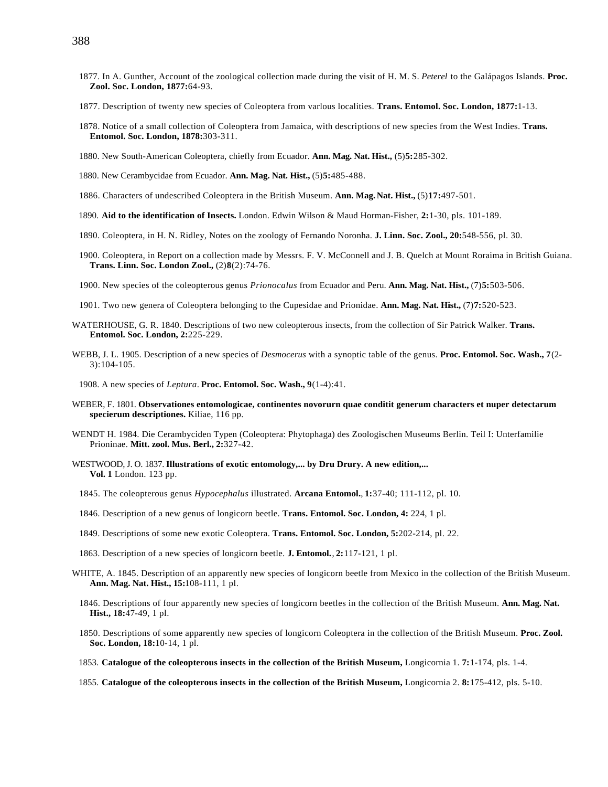- 1877. In A. Gunther, Account of the zoological collection made during the visit of H. M. S. *Peterel* to the Galápagos Islands. **Proc. Zool. Soc. London, 1877:**64-93.
- 1877. Description of twenty new species of Coleoptera from varlous localities. **Trans. Entomol. Soc. London, 1877:**1-13.
- 1878. Notice of a small collection of Coleoptera from Jamaica, with descriptions of new species from the West Indies. **Trans. Entomol. Soc. London, 1878:**303-311.
- 1880. New South-American Coleoptera, chiefly from Ecuador. **Ann. Mag. Nat. Hist.,** (5)**5:**285-302.
- 1880. New Cerambycidae from Ecuador. **Ann. Mag. Nat. Hist.,** (5)**5:**485-488.
- 1886. Characters of undescribed Coleoptera in the British Museum. **Ann. Mag.Nat. Hist.,** (5)**17:**497-501.
- 1890. **Aid to the identification of Insects.** London. Edwin Wilson & Maud Horman-Fisher, **2:**1-30, pls. 101-189.
- 1890. Coleoptera, in H. N. Ridley, Notes on the zoology of Fernando Noronha. **J. Linn. Soc. Zool., 20:**548-556, pl. 30.
- 1900. Coleoptera, in Report on a collection made by Messrs. F. V. McConnell and J. B. Quelch at Mount Roraima in British Guiana. **Trans. Linn. Soc. London Zool.,** (2)**8**(2):74-76.
- 1900. New species of the coleopterous genus *Prionocalus* from Ecuador and Peru. **Ann. Mag. Nat. Hist.,** (7)**5:**503-506.
- 1901. Two new genera of Coleoptera belonging to the Cupesidae and Prionidae. **Ann. Mag. Nat. Hist.,** (7)**7:**520-523.
- WATERHOUSE, G. R. 1840. Descriptions of two new coleopterous insects, from the collection of Sir Patrick Walker. **Trans. Entomol. Soc. London, 2:**225-229.
- WEBB, J. L. 1905. Description of a new species of *Desmocerus* with a synoptic table of the genus. **Proc. Entomol. Soc. Wash., 7**(2- 3):104-105.

1908. A new species of *Leptura*. **Proc. Entomol. Soc. Wash., 9**(1-4):41.

- WEBER, F. 1801. **Observationes entomologicae, continentes novorurn quae conditit generum characters et nuper detectarum specierum descriptiones.** Kiliae, 116 pp.
- WENDT H. 1984. Die Cerambyciden Typen (Coleoptera: Phytophaga) des Zoologischen Museums Berlin. Teil I: Unterfamilie Prioninae. **Mitt. zool. Mus. Berl., 2:**327-42.
- WESTWOOD, J. O. 1837. **Illustrations of exotic entomology,... by Dru Drury. A new edition,... Vol. 1** London. 123 pp.
	- 1845. The coleopterous genus *Hypocephalus* illustrated. **Arcana Entomol.**, **1:**37-40; 111-112, pl. 10.
	- 1846. Description of a new genus of longicorn beetle. **Trans. Entomol. Soc. London, 4:** 224, 1 pl.
	- 1849. Descriptions of some new exotic Coleoptera. **Trans. Entomol. Soc. London, 5:**202-214, pl. 22.
	- 1863. Description of a new species of longicorn beetle. **J. Entomol.**, **2:**117-121, 1 pl.
- WHITE, A. 1845. Description of an apparently new species of longicorn beetle from Mexico in the collection of the British Museum. **Ann. Mag. Nat. Hist., 15:**108-111, 1 pl.
	- 1846. Descriptions of four apparently new species of longicorn beetles in the collection of the British Museum. **Ann. Mag. Nat. Hist., 18:**47-49, 1 pl.
	- 1850. Descriptions of some apparently new species of longicorn Coleoptera in the collection of the British Museum. **Proc. Zool. Soc. London, 18:**10-14, 1 pl.
	- 1853. **Catalogue of the coleopterous insects in the collection of the British Museum,** Longicornia 1. **7:**1-174, pls. 1-4.
	- 1855. **Catalogue of the coleopterous insects in the collection of the British Museum,** Longicornia 2. **8:**175-412, pls. 5-10.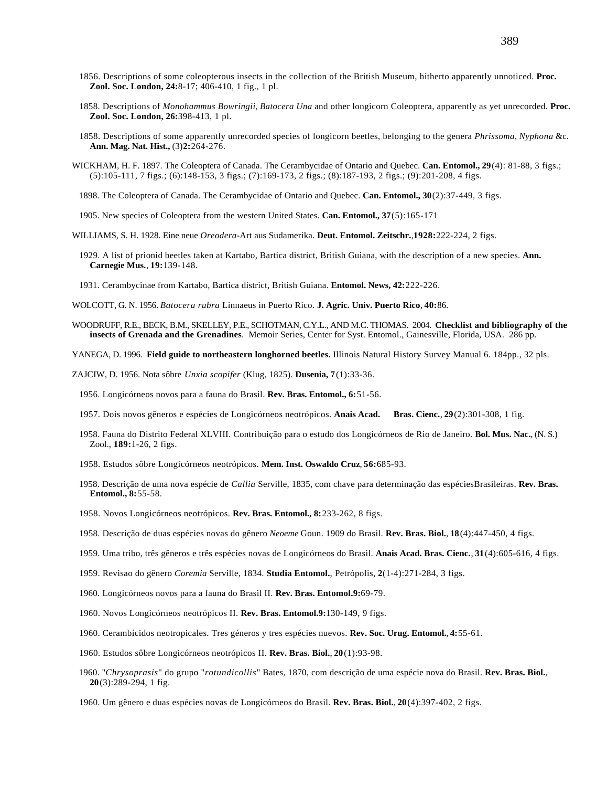- 1856. Descriptions of some coleopterous insects in the collection of the British Museum, hitherto apparently unnoticed. **Proc. Zool. Soc. London, 24:**8-17; 406-410, 1 fig., 1 pl.
- 1858. Descriptions of *Monohammus Bowringii*, *Batocera Una* and other longicorn Coleoptera, apparently as yet unrecorded. **Proc. Zool. Soc. London, 26:**398-413, 1 pl.
- 1858. Descriptions of some apparently unrecorded species of longicorn beetles, belonging to the genera *Phrissoma*, *Nyphona* &c. **Ann. Mag. Nat. Hist.,** (3)**2:**264-276.
- WICKHAM, H. F. 1897. The Coleoptera of Canada. The Cerambycidae of Ontario and Quebec. **Can. Entomol., 29**(4): 81-88, 3 figs.; (5):105-111, 7 figs.; (6):148-153, 3 figs.; (7):169-173, 2 figs.; (8):187-193, 2 figs.; (9):201-208, 4 figs.
	- 1898. The Coleoptera of Canada. The Cerambycidae of Ontario and Quebec. **Can. Entomol., 30**(2):37-449, 3 figs.
	- 1905. New species of Coleoptera from the western United States. **Can. Entomol., 37**(5):165-171
- WILLIAMS, S. H. 1928. Eine neue *Oreodera*-Art aus Sudamerika. **Deut. Entomol. Zeitschr.**,**1928:**222-224, 2 figs.
	- 1929. A list of prionid beetles taken at Kartabo, Bartica district, British Guiana, with the description of a new species. **Ann. Carnegie Mus.**, **19:**139-148.
	- 1931. Cerambycinae from Kartabo, Bartica district, British Guiana. **Entomol. News, 42:**222-226.
- WOLCOTT, G. N. 1956. *Batocera rubra* Linnaeus in Puerto Rico. **J. Agric. Univ. Puerto Rico**, **40:**86.
- WOODRUFF, R.E., BECK, B.M., SKELLEY, P.E., SCHOTMAN, C.Y.L., AND M.C. THOMAS. 2004. **Checklist and bibliography of the insects of Grenada and the Grenadines**. Memoir Series, Center for Syst. Entomol., Gainesville, Florida, USA. 286 pp.
- YANEGA, D. 1996. **Field guide to northeastern longhorned beetles.** Illinois Natural History Survey Manual 6. 184pp., 32 pls.
- ZAJCIW, D. 1956. Nota sôbre *Unxia scopifer* (Klug, 1825). **Dusenia, 7**(1):33-36.
	- 1956. Longicórneos novos para a fauna do Brasil. **Rev. Bras. Entomol., 6:**51-56.
	- 1957. Dois novos gêneros e espécies de Longicórneos neotrópicos. **Anais Acad. Bras. Cienc.**, **29**(2):301-308, 1 fig.
	- 1958. Fauna do Distrito Federal XLVIII. Contribuição para o estudo dos Longicórneos de Rio de Janeiro. **Bol. Mus. Nac.**, (N. S.) Zool., **189:**1-26, 2 figs.
	- 1958. Estudos sôbre Longicórneos neotrópicos. **Mem. Inst. Oswaldo Cruz**, **56:**685-93.
	- 1958. Descrição de uma nova espécie de *Callia* Serville, 1835, com chave para determinação das espéciesBrasileiras. **Rev. Bras. Entomol., 8:**55-58.
	- 1958. Novos Longicórneos neotrópicos. **Rev. Bras. Entomol., 8:**233-262, 8 figs.
	- 1958. Descrição de duas espécies novas do gênero *Neoeme* Goun. 1909 do Brasil. **Rev. Bras. Biol.**, **18**(4):447-450, 4 figs.
	- 1959. Uma tribo, três gêneros e três espécies novas de Longicórneos do Brasil. **Anais Acad. Bras. Cienc.**, **31**(4):605-616, 4 figs.
	- 1959. Revisao do gênero *Coremia* Serville, 1834. **Studia Entomol.**, Petrópolis, **2**(1-4):271-284, 3 figs.
	- 1960. Longicórneos novos para a fauna do Brasil II. **Rev. Bras. Entomol.9:**69-79.
	- 1960. Novos Longicórneos neotrópicos II. **Rev. Bras. Entomol.9:**130-149, 9 figs.
	- 1960. Cerambícidos neotropicales. Tres géneros y tres espécies nuevos. **Rev. Soc. Urug. Entomol.**, **4:**55-61.
	- 1960. Estudos sôbre Longicórneos neotrópicos II. **Rev. Bras. Biol.**, **20**(1):93-98.
	- 1960. "*Chrysoprasis*" do grupo "*rotundicollis*" Bates, 1870, com descrição de uma espécie nova do Brasil. **Rev. Bras. Biol.**, **20**(3):289-294, 1 fig.
	- 1960. Um gênero e duas espécies novas de Longicórneos do Brasil. **Rev. Bras. Biol.**, **20**(4):397-402, 2 figs.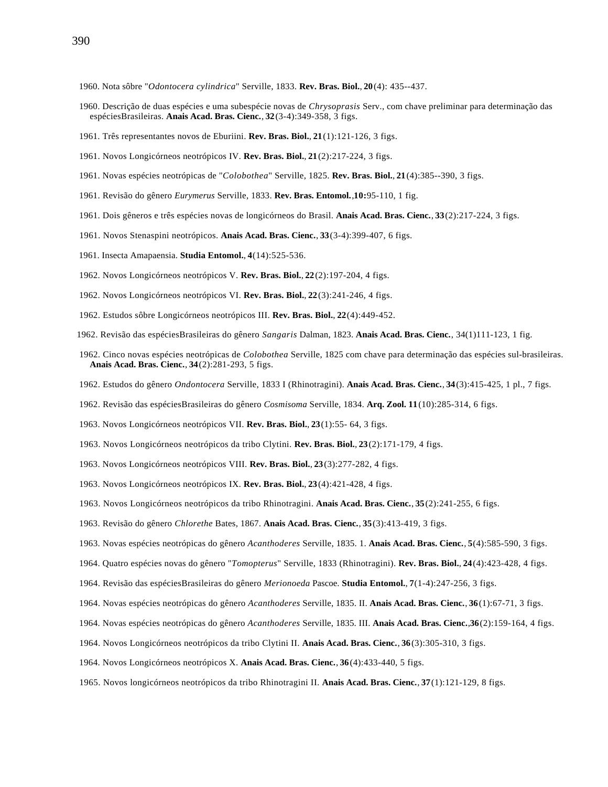- 1960. Nota sôbre "*Odontocera cylindrica*" Serville, 1833. **Rev. Bras. Biol.**, **20**(4): 435--437.
- 1960. Descrição de duas espécies e uma subespécie novas de *Chrysoprasis* Serv., com chave preliminar para determinação das espéciesBrasileiras. **Anais Acad. Bras. Cienc.**, **32**(3-4):349-358, 3 figs.
- 1961. Três representantes novos de Eburiini. **Rev. Bras. Biol.**, **21**(1):121-126, 3 figs.
- 1961. Novos Longicórneos neotrópicos IV. **Rev. Bras. Biol.**, **21**(2):217-224, 3 figs.
- 1961. Novas espécies neotrópicas de "*Colobothea*" Serville, 1825. **Rev. Bras. Biol.**, **21**(4):385--390, 3 figs.
- 1961. Revisão do gênero *Eurymerus* Serville, 1833. **Rev. Bras. Entomol.**,**10:**95-110, 1 fig.
- 1961. Dois gêneros e três espécies novas de longicórneos do Brasil. **Anais Acad. Bras. Cienc.**, **33**(2):217-224, 3 figs.
- 1961. Novos Stenaspini neotrópicos. **Anais Acad. Bras. Cienc.**, **33**(3-4):399-407, 6 figs.
- 1961. Insecta Amapaensia. **Studia Entomol.**, **4**(14):525-536.
- 1962. Novos Longicórneos neotrópicos V. **Rev. Bras. Biol.**, **22**(2):197-204, 4 figs.
- 1962. Novos Longicórneos neotrópicos VI. **Rev. Bras. Biol.**, **22**(3):241-246, 4 figs.
- 1962. Estudos sôbre Longicórneos neotrópicos III. **Rev. Bras. Biol.**, **22**(4):449-452.
- 1962. Revisão das espéciesBrasileiras do gênero *Sangaris* Dalman, 1823. **Anais Acad. Bras. Cienc.**, 34(1)111-123, 1 fig.
- 1962. Cinco novas espécies neotrópicas de *Colobothea* Serville, 1825 com chave para determinação das espécies sul-brasileiras. **Anais Acad. Bras. Cienc.**, **34**(2):281-293, 5 figs.
- 1962. Estudos do gênero *Ondontocera* Serville, 1833 I (Rhinotragini). **Anais Acad. Bras. Cienc.**, **34**(3):415-425, 1 pl., 7 figs.
- 1962. Revisão das espéciesBrasileiras do gênero *Cosmisoma* Serville, 1834. **Arq. Zool. 11**(10):285-314, 6 figs.
- 1963. Novos Longicórneos neotrópicos VII. **Rev. Bras. Biol.**, **23**(1):55- 64, 3 figs.
- 1963. Novos Longicórneos neotrópicos da tribo Clytini. **Rev. Bras. Biol.**, **23**(2):171-179, 4 figs.
- 1963. Novos Longicórneos neotrópicos VIII. **Rev. Bras. Biol.**, **23**(3):277-282, 4 figs.
- 1963. Novos Longicórneos neotrópicos IX. **Rev. Bras. Biol.**, **23**(4):421-428, 4 figs.
- 1963. Novos Longicórneos neotrópicos da tribo Rhinotragini. **Anais Acad. Bras. Cienc.**, **35**(2):241-255, 6 figs.
- 1963. Revisão do gênero *Chlorethe* Bates, 1867. **Anais Acad. Bras. Cienc.**, **35**(3):413-419, 3 figs.
- 1963. Novas espécies neotrópicas do gênero *Acanthoderes* Serville, 1835. 1. **Anais Acad. Bras. Cienc.**, **5**(4):585-590, 3 figs.
- 1964. Quatro espécies novas do gênero "*Tomopterus*" Serville, 1833 (Rhinotragini). **Rev. Bras. Biol.**, **24**(4):423-428, 4 figs.
- 1964. Revisão das espéciesBrasileiras do gênero *Merionoeda* Pascoe. **Studia Entomol.**, **7**(1-4):247-256, 3 figs.
- 1964. Novas espécies neotrópicas do gênero *Acanthoderes* Serville, 1835. II. **Anais Acad. Bras. Cienc.**, **36**(1):67-71, 3 figs.
- 1964. Novas espécies neotrópicas do gênero *Acanthoderes* Serville, 1835. III. **Anais Acad. Bras. Cienc.**,**36**(2):159-164, 4 figs.
- 1964. Novos Longicórneos neotrópicos da tribo Clytini II. **Anais Acad. Bras. Cienc.**, **36**(3):305-310, 3 figs.
- 1964. Novos Longicórneos neotrópicos X. **Anais Acad. Bras. Cienc.**, **36**(4):433-440, 5 figs.
- 1965. Novos longicórneos neotrópicos da tribo Rhinotragini II. **Anais Acad. Bras. Cienc.**, **37**(1):121-129, 8 figs.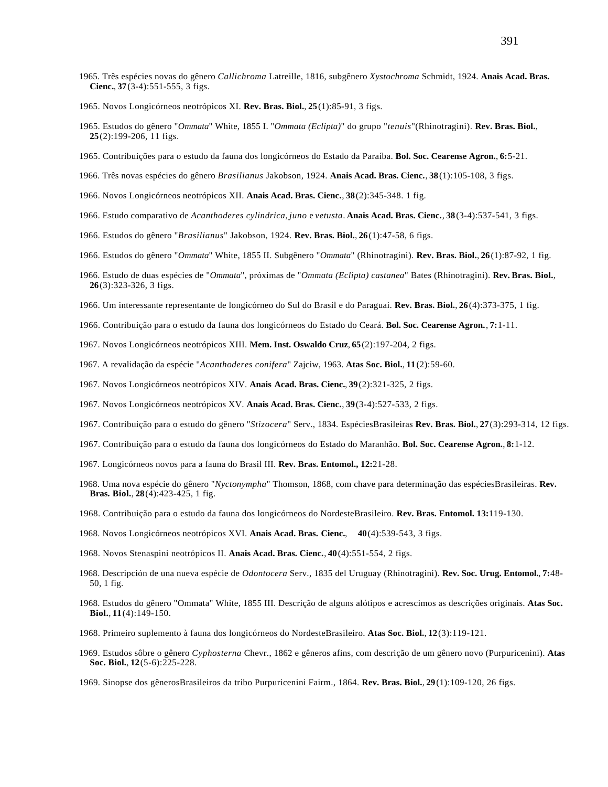- 1965. Três espécies novas do gênero *Callichroma* Latreille, 1816, subgênero *Xystochroma* Schmidt, 1924. **Anais Acad. Bras. Cienc.**, **37**(3-4):551-555, 3 figs.
- 1965. Novos Longicórneos neotrópicos XI. **Rev. Bras. Biol.**, **25**(1):85-91, 3 figs.
- 1965. Estudos do gênero "*Ommata*" White, 1855 I. "*Ommata (Eclipta)*" do grupo "*tenuis*"(Rhinotragini). **Rev. Bras. Biol.**, **25**(2):199-206, 11 figs.
- 1965. Contribuições para o estudo da fauna dos longicórneos do Estado da Paraíba. **Bol. Soc. Cearense Agron.**, **6:**5-21.
- 1966. Três novas espécies do gênero *Brasilianus* Jakobson, 1924. **Anais Acad. Bras. Cienc.**, **38**(1):105-108, 3 figs.
- 1966. Novos Longicórneos neotrópicos XII. **Anais Acad. Bras. Cienc.**, **38**(2):345-348. 1 fig.
- 1966. Estudo comparativo de *Acanthoderes cylindrica*, *juno* e *vetusta*. **Anais Acad. Bras. Cienc.**, **38**(3-4):537-541, 3 figs.
- 1966. Estudos do gênero "*Brasilianus*" Jakobson, 1924. **Rev. Bras. Biol.**, **26**(1):47-58, 6 figs.
- 1966. Estudos do gênero "*Ommata*" White, 1855 II. Subgênero "*Ommata*" (Rhinotragini). **Rev. Bras. Biol.**, **26**(1):87-92, 1 fig.
- 1966. Estudo de duas espécies de "*Ommata*", próximas de "*Ommata (Eclipta) castanea*" Bates (Rhinotragini). **Rev. Bras. Biol.**, **26**(3):323-326, 3 figs.
- 1966. Um interessante representante de longicórneo do Sul do Brasil e do Paraguai. **Rev. Bras. Biol.**, **26**(4):373-375, 1 fig.
- 1966. Contribuição para o estudo da fauna dos longicórneos do Estado do Ceará. **Bol. Soc. Cearense Agron.**, **7:**1-11.
- 1967. Novos Longicórneos neotrópicos XIII. **Mem. Inst. Oswaldo Cruz**, **65**(2):197-204, 2 figs.
- 1967. A revalidação da espécie "*Acanthoderes conifera*" Zajciw, 1963. **Atas Soc. Biol.**, **11**(2):59-60.
- 1967. Novos Longicórneos neotrópicos XIV. **Anais Acad. Bras. Cienc.**, **39**(2):321-325, 2 figs.
- 1967. Novos Longicórneos neotrópicos XV. **Anais Acad. Bras. Cienc.**, **39**(3-4):527-533, 2 figs.
- 1967. Contribuição para o estudo do gênero "*Stizocera*" Serv., 1834. EspéciesBrasileiras **Rev. Bras. Biol.**, **27**(3):293-314, 12 figs.
- 1967. Contribuição para o estudo da fauna dos longicórneos do Estado do Maranhão. **Bol. Soc. Cearense Agron.**, **8:**1-12.
- 1967. Longicórneos novos para a fauna do Brasil III. **Rev. Bras. Entomol., 12:**21-28.
- 1968. Uma nova espécie do gênero "*Nyctonympha*" Thomson, 1868, com chave para determinação das espéciesBrasileiras. **Rev. Bras. Biol.**, **28**(4):423-425, 1 fig.
- 1968. Contribuição para o estudo da fauna dos longicórneos do NordesteBrasileiro. **Rev. Bras. Entomol. 13:**119-130.
- 1968. Novos Longicórneos neotrópicos XVI. **Anais Acad. Bras. Cienc.**, **40**(4):539-543, 3 figs.
- 1968. Novos Stenaspini neotrópicos II. **Anais Acad. Bras. Cienc.**, **40**(4):551-554, 2 figs.
- 1968. Descripción de una nueva espécie de *Odontocera* Serv., 1835 del Uruguay (Rhinotragini). **Rev. Soc. Urug. Entomol.**, **7:**48- 50, 1 fig.
- 1968. Estudos do gênero "Ommata" White, 1855 III. Descrição de alguns alótipos e acrescimos as descrições originais. **Atas Soc. Biol.**, **11**(4):149-150.
- 1968. Primeiro suplemento à fauna dos longicórneos do NordesteBrasileiro. **Atas Soc. Biol.**, **12**(3):119-121.
- 1969. Estudos sôbre o gênero *Cyphosterna* Chevr., 1862 e gêneros afins, com descrição de um gênero novo (Purpuricenini). **Atas Soc. Biol.**, **12**(5-6):225-228.
- 1969. Sinopse dos gênerosBrasileiros da tribo Purpuricenini Fairm., 1864. **Rev. Bras. Biol.**, **29**(1):109-120, 26 figs.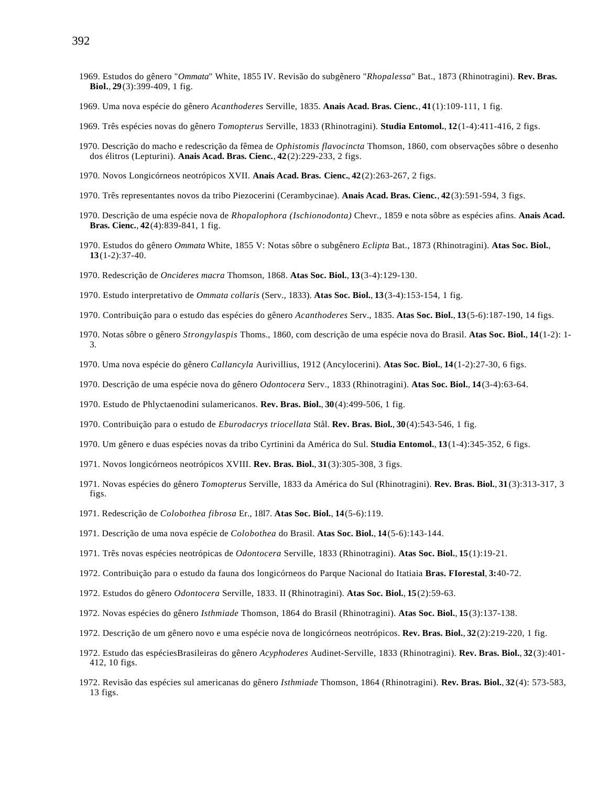- 1969. Estudos do gênero "*Ommata*" White, 1855 IV. Revisão do subgênero "*Rhopalessa*" Bat., 1873 (Rhinotragini). **Rev. Bras. Biol.**, **29**(3):399-409, 1 fig.
- 1969. Uma nova espécie do gênero *Acanthoderes* Serville, 1835. **Anais Acad. Bras. Cienc.**, **41**(1):109-111, 1 fig.
- 1969. Três espécies novas do gênero *Tomopterus* Serville, 1833 (Rhinotragini). **Studia Entomol.**, **12**(1-4):411-416, 2 figs.
- 1970. Descrição do macho e redescrição da fêmea de *Ophistomis flavocincta* Thomson, 1860, com observações sôbre o desenho dos élitros (Lepturini). **Anais Acad. Bras. Cienc.**, **42**(2):229-233, 2 figs.
- 1970. Novos Longicórneos neotrópicos XVII. **Anais Acad. Bras. Cienc.**, **42**(2):263-267, 2 figs.
- 1970. Três representantes novos da tribo Piezocerini (Cerambycinae). **Anais Acad. Bras. Cienc.**, **42**(3):591-594, 3 figs.
- 1970. Descrição de uma espécie nova de *Rhopalophora (Ischionodonta)* Chevr., 1859 e nota sôbre as espécies afins. **Anais Acad. Bras. Cienc.**, **42**(4):839-841, 1 fig.
- 1970. Estudos do gênero *Ommata* White, 1855 V: Notas sôbre o subgênero *Eclipta* Bat., 1873 (Rhinotragini). **Atas Soc. Biol.**, **13**(1-2):37-40.
- 1970. Redescrição de *Oncideres macra* Thomson, 1868. **Atas Soc. Biol.**, **13**(3-4):129-130.
- 1970. Estudo interpretativo de *Ommata collaris* (Serv., 1833). **Atas Soc. Biol.**, **13**(3-4):153-154, 1 fig.
- 1970. Contribuição para o estudo das espécies do gênero *Acanthoderes* Serv., 1835. **Atas Soc. Biol.**, **13**(5-6):187-190, 14 figs.
- 1970. Notas sôbre o gênero *Strongylaspis* Thoms., 1860, com descrição de uma espécie nova do Brasil. **Atas Soc. Biol.**, **14**(1-2): 1- 3.
- 1970. Uma nova espécie do gênero *Callancyla* Aurivillius, 1912 (Ancylocerini). **Atas Soc. Biol.**, **14**(1-2):27-30, 6 figs.
- 1970. Descrição de uma espécie nova do gênero *Odontocera* Serv., 1833 (Rhinotragini). **Atas Soc. Biol.**, **14**(3-4):63-64.
- 1970. Estudo de Phlyctaenodini sulamericanos. **Rev. Bras. Biol.**, **30**(4):499-506, 1 fig.
- 1970. Contribuição para o estudo de *Eburodacrys triocellata* Stål. **Rev. Bras. Biol.**, **30**(4):543-546, 1 fig.
- 1970. Um gênero e duas espécies novas da tribo Cyrtinini da América do Sul. **Studia Entomol.**, **13**(1-4):345-352, 6 figs.
- 1971. Novos longicórneos neotrópicos XVIII. **Rev. Bras. Biol.**, **31**(3):305-308, 3 figs.
- 1971. Novas espécies do gênero *Tomopterus* Serville, 1833 da América do Sul (Rhinotragini). **Rev. Bras. Biol.**, **31**(3):313-317, 3 figs.
- 1971. Redescrição de *Colobothea fibrosa* Er., 18l7. **Atas Soc. Biol.**, **14**(5-6):119.
- 1971. Descrição de uma nova espécie de *Colobothea* do Brasil. **Atas Soc. Biol.**, **14**(5-6):143-144.
- 1971. Três novas espécies neotrópicas de *Odontocera* Serville, 1833 (Rhinotragini). **Atas Soc. Biol.**, **15**(1):19-21.
- 1972. Contribuição para o estudo da fauna dos longicórneos do Parque Nacional do Itatiaia **Bras. FIorestal**, **3:**40-72.
- 1972. Estudos do gênero *Odontocera* Serville, 1833. II (Rhinotragini). **Atas Soc. Biol.**, **15**(2):59-63.
- 1972. Novas espécies do gênero *Isthmiade* Thomson, 1864 do Brasil (Rhinotragini). **Atas Soc. Biol.**, **15**(3):137-138.
- 1972. Descrição de um gênero novo e uma espécie nova de longicórneos neotrópicos. **Rev. Bras. Biol.**, **32**(2):219-220, 1 fig.
- 1972. Estudo das espéciesBrasileiras do gênero *Acyphoderes* Audinet-Serville, 1833 (Rhinotragini). **Rev. Bras. Biol.**, **32**(3):401- 412, 10 figs.
- 1972. Revisão das espécies sul americanas do gênero *Isthmiade* Thomson, 1864 (Rhinotragini). **Rev. Bras. Biol.**, **32**(4): 573-583, 13 figs.